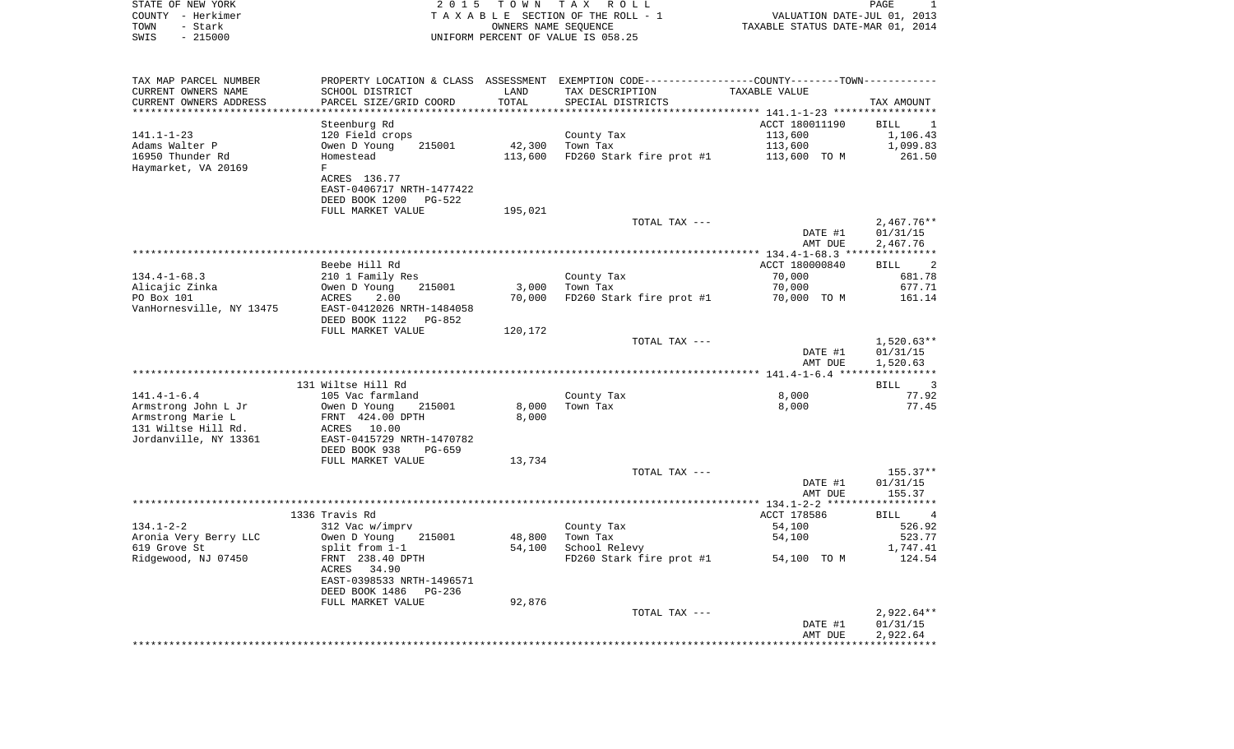| STATE OF NEW YORK                      | 2 0 1 5                                       |                      | TOWN TAX ROLL                                                                                 |                                  | PAGE<br>1                          |
|----------------------------------------|-----------------------------------------------|----------------------|-----------------------------------------------------------------------------------------------|----------------------------------|------------------------------------|
| COUNTY - Herkimer                      |                                               |                      | TAXABLE SECTION OF THE ROLL - 1                                                               | VALUATION DATE-JUL 01, 2013      |                                    |
| TOWN<br>- Stark<br>$-215000$<br>SWIS   |                                               | OWNERS NAME SEQUENCE |                                                                                               | TAXABLE STATUS DATE-MAR 01, 2014 |                                    |
|                                        |                                               |                      | UNIFORM PERCENT OF VALUE IS 058.25                                                            |                                  |                                    |
| TAX MAP PARCEL NUMBER                  |                                               |                      | PROPERTY LOCATION & CLASS ASSESSMENT EXEMPTION CODE---------------COUNTY-------TOWN---------- |                                  |                                    |
| CURRENT OWNERS NAME                    | SCHOOL DISTRICT                               | LAND                 | TAX DESCRIPTION                                                                               | TAXABLE VALUE                    |                                    |
| CURRENT OWNERS ADDRESS                 | PARCEL SIZE/GRID COORD                        | TOTAL                | SPECIAL DISTRICTS                                                                             |                                  | TAX AMOUNT                         |
| ***********************                |                                               |                      | ************************************ 141.1-1-23 *****************                             |                                  |                                    |
|                                        | Steenburg Rd                                  |                      |                                                                                               | ACCT 180011190                   | BILL<br>-1                         |
| 141.1-1-23                             | 120 Field crops                               |                      | County Tax                                                                                    | 113,600                          | 1,106.43                           |
| Adams Walter P<br>16950 Thunder Rd     | 215001<br>Owen D Young<br>Homestead           | 42,300<br>113,600    | Town Tax<br>FD260 Stark fire prot #1                                                          | 113,600<br>113,600 TO M          | 1,099.83<br>261.50                 |
| Haymarket, VA 20169                    | F                                             |                      |                                                                                               |                                  |                                    |
|                                        | ACRES 136.77                                  |                      |                                                                                               |                                  |                                    |
|                                        | EAST-0406717 NRTH-1477422                     |                      |                                                                                               |                                  |                                    |
|                                        | DEED BOOK 1200<br>PG-522                      |                      |                                                                                               |                                  |                                    |
|                                        | FULL MARKET VALUE                             | 195,021              |                                                                                               |                                  |                                    |
|                                        |                                               |                      | TOTAL TAX ---                                                                                 | DATE #1                          | $2,467.76**$<br>01/31/15           |
|                                        |                                               |                      |                                                                                               | AMT DUE                          | 2,467.76                           |
|                                        |                                               |                      |                                                                                               |                                  |                                    |
|                                        | Beebe Hill Rd                                 |                      |                                                                                               | ACCT 180000840                   | BILL<br>$\overline{\phantom{a}}$ 2 |
| $134.4 - 1 - 68.3$                     | 210 1 Family Res                              |                      | County Tax                                                                                    | 70,000                           | 681.78                             |
| Alicajic Zinka                         | Owen D Young<br>215001                        | 3,000                | Town Tax                                                                                      | 70,000                           | 677.71                             |
| PO Box 101<br>VanHornesville, NY 13475 | ACRES<br>2.00<br>EAST-0412026 NRTH-1484058    | 70,000               | FD260 Stark fire prot #1                                                                      | 70,000 TO M                      | 161.14                             |
|                                        | DEED BOOK 1122<br>PG-852                      |                      |                                                                                               |                                  |                                    |
|                                        | FULL MARKET VALUE                             | 120,172              |                                                                                               |                                  |                                    |
|                                        |                                               |                      | TOTAL TAX ---                                                                                 |                                  | 1,520.63**                         |
|                                        |                                               |                      |                                                                                               | DATE #1                          | 01/31/15                           |
|                                        |                                               |                      |                                                                                               | AMT DUE                          | 1,520.63                           |
|                                        | 131 Wiltse Hill Rd                            |                      |                                                                                               |                                  | BILL<br>$\overline{\phantom{a}}$   |
| $141.4 - 1 - 6.4$                      | 105 Vac farmland                              |                      | County Tax                                                                                    | 8,000                            | 77.92                              |
| Armstrong John L Jr                    | Owen D Young<br>215001                        | 8,000                | Town Tax                                                                                      | 8,000                            | 77.45                              |
| Armstrong Marie L                      | FRNT 424.00 DPTH                              | 8,000                |                                                                                               |                                  |                                    |
| 131 Wiltse Hill Rd.                    | ACRES 10.00                                   |                      |                                                                                               |                                  |                                    |
| Jordanville, NY 13361                  | EAST-0415729 NRTH-1470782<br>DEED BOOK 938    |                      |                                                                                               |                                  |                                    |
|                                        | PG-659<br>FULL MARKET VALUE                   | 13,734               |                                                                                               |                                  |                                    |
|                                        |                                               |                      | TOTAL TAX ---                                                                                 |                                  | 155.37**                           |
|                                        |                                               |                      |                                                                                               | DATE #1                          | 01/31/15                           |
|                                        |                                               |                      |                                                                                               | AMT DUE                          | 155.37                             |
|                                        |                                               |                      |                                                                                               |                                  |                                    |
| $134.1 - 2 - 2$                        | 1336 Travis Rd<br>312 Vac w/imprv             |                      | County Tax                                                                                    | ACCT 178586<br>54,100            | BILL<br>$\overline{4}$<br>526.92   |
| Aronia Very Berry LLC                  | Owen D Young<br>215001                        | 48,800               | Town Tax                                                                                      | 54,100                           | 523.77                             |
| 619 Grove St                           | split from 1-1                                |                      | 54,100 School Relevy                                                                          |                                  | 1,747.41                           |
| Ridgewood, NJ 07450                    | FRNT 238.40 DPTH                              |                      | FD260 Stark fire prot #1                                                                      | 54,100 TO M                      | 124.54                             |
|                                        | ACRES 34.90                                   |                      |                                                                                               |                                  |                                    |
|                                        | EAST-0398533 NRTH-1496571                     |                      |                                                                                               |                                  |                                    |
|                                        | DEED BOOK 1486<br>PG-236<br>FULL MARKET VALUE | 92,876               |                                                                                               |                                  |                                    |
|                                        |                                               |                      | TOTAL TAX ---                                                                                 |                                  | $2,922.64**$                       |
|                                        |                                               |                      |                                                                                               | DATE #1                          | 01/31/15                           |
|                                        |                                               |                      |                                                                                               | AMT DUE                          | 2,922.64                           |
|                                        |                                               |                      |                                                                                               |                                  |                                    |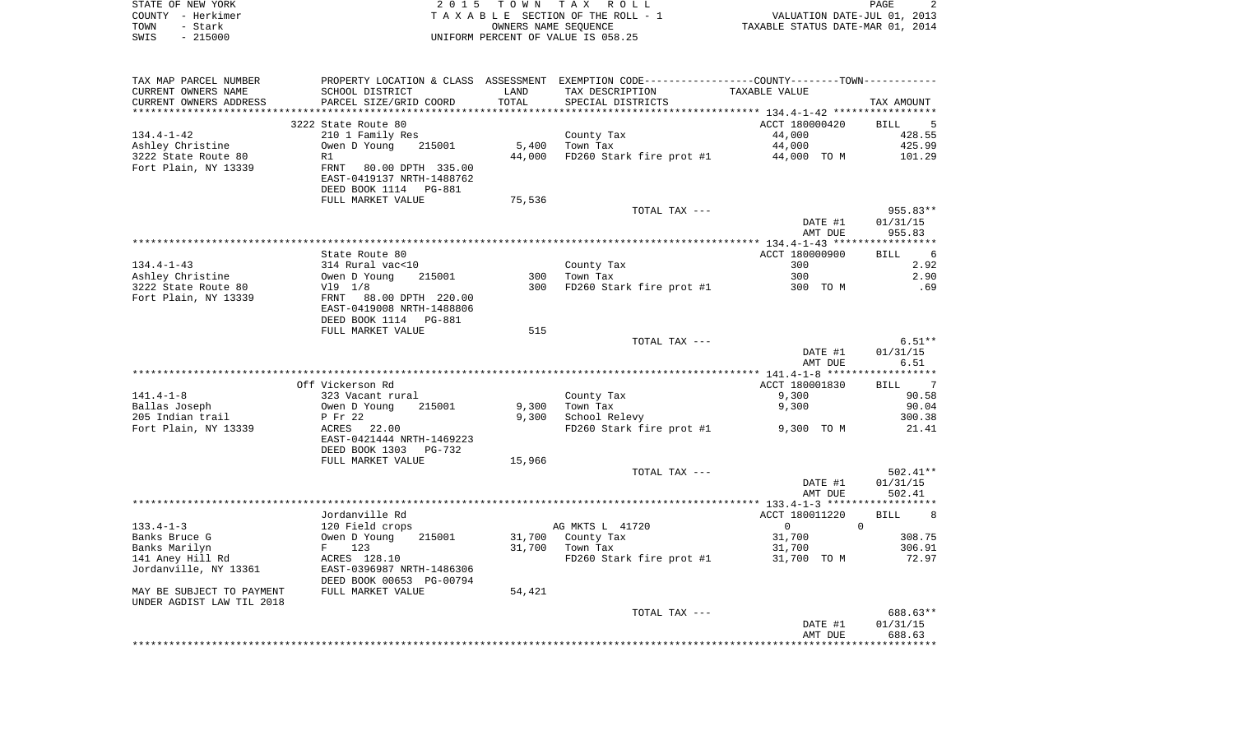| STATE OF NEW YORK | 2015 TOWN TAX ROLL                 | <b>PAGE</b>                      |
|-------------------|------------------------------------|----------------------------------|
| COUNTY - Herkimer | TAXABLE SECTION OF THE ROLL - 1    | VALUATION DATE-JUL 01, 2013      |
| TOWN<br>– Stark   | OWNERS NAME SEOUENCE               | TAXABLE STATUS DATE-MAR 01, 2014 |
| $-215000$<br>SWIS | UNIFORM PERCENT OF VALUE IS 058.25 |                                  |

| TAX MAP PARCEL NUMBER     |                           |        | PROPERTY LOCATION & CLASS ASSESSMENT EXEMPTION CODE---------------COUNTY-------TOWN---------- |                |                                           |
|---------------------------|---------------------------|--------|-----------------------------------------------------------------------------------------------|----------------|-------------------------------------------|
| CURRENT OWNERS NAME       | SCHOOL DISTRICT           | LAND   | TAX DESCRIPTION                                                                               | TAXABLE VALUE  |                                           |
| CURRENT OWNERS ADDRESS    | PARCEL SIZE/GRID COORD    | TOTAL  | SPECIAL DISTRICTS                                                                             |                | TAX AMOUNT                                |
| ************************  |                           |        |                                                                                               |                |                                           |
|                           | 3222 State Route 80       |        |                                                                                               | ACCT 180000420 | BILL 5                                    |
| $134.4 - 1 - 42$          | 210 1 Family Res          |        | County Tax                                                                                    | 44,000         | 428.55                                    |
| Ashley Christine          | Owen D Young 215001       | 5,400  | Town Tax                                                                                      | 44,000         | 425.99                                    |
| 3222 State Route 80       | R1                        | 44,000 | FD260 Stark fire prot $#1$ 44,000 TO M                                                        |                | 101.29                                    |
| Fort Plain, NY 13339      | FRNT 80.00 DPTH 335.00    |        |                                                                                               |                |                                           |
|                           | EAST-0419137 NRTH-1488762 |        |                                                                                               |                |                                           |
|                           | DEED BOOK 1114 PG-881     |        |                                                                                               |                |                                           |
|                           | FULL MARKET VALUE         | 75,536 |                                                                                               |                |                                           |
|                           |                           |        | TOTAL TAX ---                                                                                 |                | $955.83**$                                |
|                           |                           |        |                                                                                               | DATE #1        | 01/31/15                                  |
|                           |                           |        |                                                                                               | AMT DUE        | 955.83                                    |
|                           |                           |        |                                                                                               |                |                                           |
|                           | State Route 80            |        |                                                                                               | ACCT 180000900 | $6\overline{6}$<br>BILL                   |
| $134.4 - 1 - 43$          | 314 Rural vac<10          |        |                                                                                               | 300            | 2.92                                      |
|                           |                           |        | County Tax                                                                                    | 300            |                                           |
| Ashley Christine          | Owen D Young<br>215001    |        | 300 Town Tax                                                                                  |                | 2.90                                      |
| 3222 State Route 80       | V19 1/8                   | 300    | FD260 Stark fire prot #1 300 TO M                                                             |                | .69                                       |
| Fort Plain, NY 13339      | FRNT 88.00 DPTH 220.00    |        |                                                                                               |                |                                           |
|                           | EAST-0419008 NRTH-1488806 |        |                                                                                               |                |                                           |
|                           | DEED BOOK 1114 PG-881     |        |                                                                                               |                |                                           |
|                           | FULL MARKET VALUE         | 515    |                                                                                               |                |                                           |
|                           |                           |        | TOTAL TAX ---                                                                                 |                | $6.51**$                                  |
|                           |                           |        |                                                                                               | DATE #1        | 01/31/15                                  |
|                           |                           |        |                                                                                               | AMT DUE        | 6.51                                      |
|                           |                           |        |                                                                                               |                |                                           |
|                           | Off Vickerson Rd          |        |                                                                                               | ACCT 180001830 | BILL 7                                    |
| $141.4 - 1 - 8$           | 323 Vacant rural          |        | County Tax                                                                                    | 9,300          | 90.58                                     |
| Ballas Joseph             | Owen D Young<br>215001    | 9,300  | Town Tax                                                                                      | 9,300          | 90.04                                     |
| 205 Indian trail          | P Fr 22                   | 9,300  | School Relevy                                                                                 |                | 300.38                                    |
| Fort Plain, NY 13339      | ACRES 22.00               |        | FD260 Stark fire prot #1 9,300 TO M                                                           |                | 21.41                                     |
|                           | EAST-0421444 NRTH-1469223 |        |                                                                                               |                |                                           |
|                           | DEED BOOK 1303<br>PG-732  |        |                                                                                               |                |                                           |
|                           | FULL MARKET VALUE         | 15,966 |                                                                                               |                |                                           |
|                           |                           |        | TOTAL TAX ---                                                                                 |                | $502.41**$                                |
|                           |                           |        |                                                                                               | DATE #1        | 01/31/15                                  |
|                           |                           |        |                                                                                               | AMT DUE        | 502.41                                    |
|                           |                           |        |                                                                                               |                |                                           |
|                           | Jordanville Rd            |        |                                                                                               | ACCT 180011220 | <b>BILL</b><br>$\overline{\phantom{0}}$ 8 |
| $133.4 - 1 - 3$           | 120 Field crops           |        | AG MKTS L 41720                                                                               | $\overline{0}$ | $\mathbf{0}$                              |
| Banks Bruce G             | Owen D Young<br>215001    |        | 31,700 County Tax                                                                             | 31,700         | 308.75                                    |
| Banks Marilyn             | $F = 123$                 |        | 31,700 Town Tax                                                                               | 31,700         | 306.91                                    |
| 141 Aney Hill Rd          | ACRES 128.10              |        | $FD260$ Stark fire prot #1 31,700 TO M                                                        |                | 72.97                                     |
| Jordanville, NY 13361     | EAST-0396987 NRTH-1486306 |        |                                                                                               |                |                                           |
|                           | DEED BOOK 00653 PG-00794  |        |                                                                                               |                |                                           |
| MAY BE SUBJECT TO PAYMENT | FULL MARKET VALUE         | 54,421 |                                                                                               |                |                                           |
| UNDER AGDIST LAW TIL 2018 |                           |        |                                                                                               |                |                                           |
|                           |                           |        |                                                                                               |                | 688.63**                                  |
|                           |                           |        | TOTAL TAX ---                                                                                 |                |                                           |
|                           |                           |        |                                                                                               | DATE #1        | 01/31/15                                  |
|                           |                           |        |                                                                                               | AMT DUE        | 688.63                                    |
|                           |                           |        |                                                                                               |                |                                           |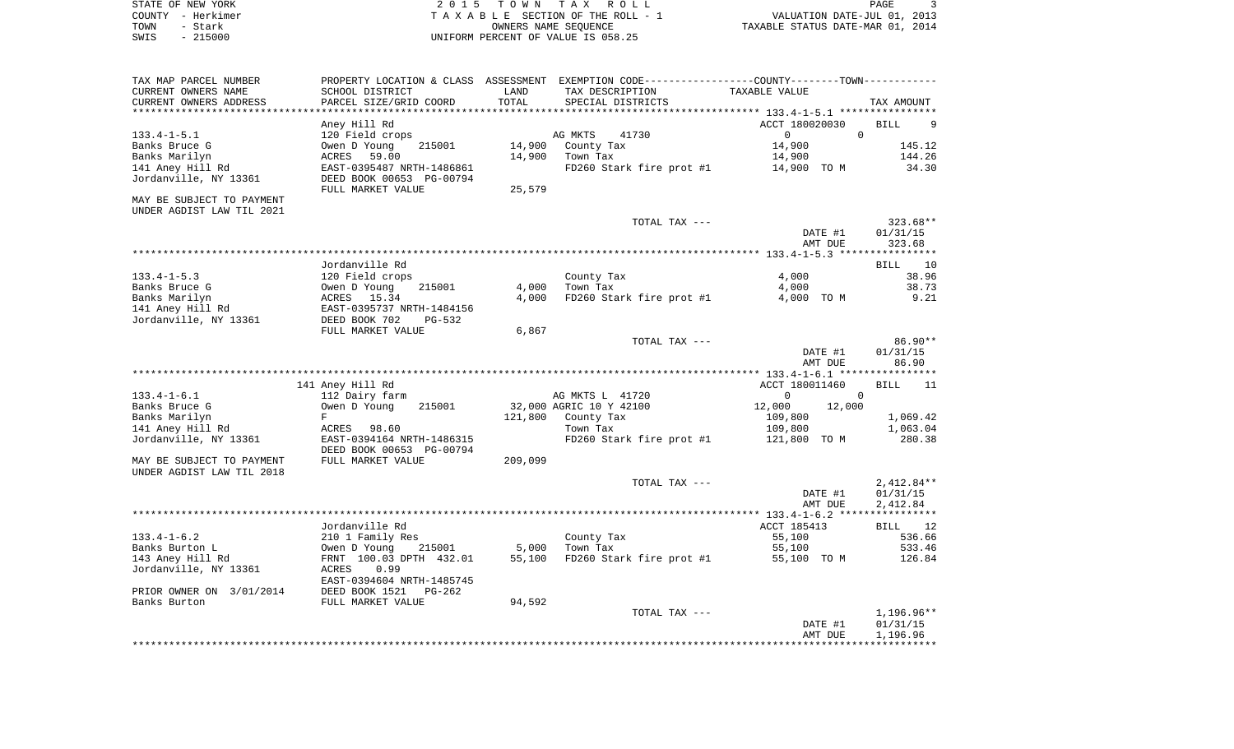| STATE OF NEW YORK | 2015 TOWN TAX ROLL                 | PAGE                             |
|-------------------|------------------------------------|----------------------------------|
| COUNTY - Herkimer | TAXABLE SECTION OF THE ROLL - 1    | VALUATION DATE-JUL 01, 2013      |
| TOWN<br>- Stark   | OWNERS NAME SEOUENCE               | TAXABLE STATUS DATE-MAR 01, 2014 |
| $-215000$<br>SWIS | UNIFORM PERCENT OF VALUE IS 058.25 |                                  |

| TAX MAP PARCEL NUMBER          |                             |         | PROPERTY LOCATION & CLASS ASSESSMENT EXEMPTION CODE----------------COUNTY-------TOWN---------- |                                           |                      |
|--------------------------------|-----------------------------|---------|------------------------------------------------------------------------------------------------|-------------------------------------------|----------------------|
| CURRENT OWNERS NAME            | SCHOOL DISTRICT             | LAND    | TAX DESCRIPTION                                                                                | TAXABLE VALUE                             |                      |
| CURRENT OWNERS ADDRESS         | PARCEL SIZE/GRID COORD      | TOTAL   | SPECIAL DISTRICTS                                                                              |                                           | TAX AMOUNT           |
| *********************          | ************************    |         |                                                                                                |                                           |                      |
|                                | Aney Hill Rd                |         |                                                                                                | ACCT 180020030                            | <b>BILL</b>          |
| $133.4 - 1 - 5.1$              | 120 Field crops             |         | AG MKTS<br>41730                                                                               | $\Omega$<br>$\mathbf 0$                   |                      |
| Banks Bruce G                  | Owen D Young<br>215001      | 14,900  | County Tax                                                                                     | 14,900                                    | 145.12               |
| Banks Marilyn                  | 59.00<br>ACRES              | 14,900  | Town Tax                                                                                       | 14,900                                    | 144.26               |
| 141 Aney Hill Rd               | EAST-0395487 NRTH-1486861   |         | FD260 Stark fire prot #1                                                                       | 14,900 TO M                               | 34.30                |
| Jordanville, NY 13361          | DEED BOOK 00653 PG-00794    |         |                                                                                                |                                           |                      |
| MAY BE SUBJECT TO PAYMENT      | FULL MARKET VALUE           | 25,579  |                                                                                                |                                           |                      |
| UNDER AGDIST LAW TIL 2021      |                             |         |                                                                                                |                                           |                      |
|                                |                             |         | TOTAL TAX ---                                                                                  |                                           | 323.68**             |
|                                |                             |         |                                                                                                | DATE #1                                   | 01/31/15             |
|                                |                             |         |                                                                                                | AMT DUE                                   | 323.68               |
|                                |                             |         |                                                                                                |                                           |                      |
|                                | Jordanville Rd              |         |                                                                                                |                                           | <b>BILL</b><br>10    |
| $133.4 - 1 - 5.3$              | 120 Field crops             |         | County Tax                                                                                     | 4,000                                     | 38.96                |
| Banks Bruce G                  | 215001<br>Owen D Young      | 4,000   | Town Tax                                                                                       | 4,000                                     | 38.73                |
| Banks Marilyn                  | ACRES<br>15.34              | 4,000   | FD260 Stark fire prot #1                                                                       | 4,000 TO M                                | 9.21                 |
| 141 Aney Hill Rd               | EAST-0395737 NRTH-1484156   |         |                                                                                                |                                           |                      |
| Jordanville, NY 13361          | DEED BOOK 702<br>PG-532     |         |                                                                                                |                                           |                      |
|                                | FULL MARKET VALUE           | 6,867   |                                                                                                |                                           |                      |
|                                |                             |         | TOTAL TAX ---                                                                                  |                                           | 86.90**              |
|                                |                             |         |                                                                                                | DATE #1                                   | 01/31/15             |
|                                |                             |         |                                                                                                | AMT DUE                                   | 86.90                |
|                                |                             |         |                                                                                                |                                           |                      |
| $133.4 - 1 - 6.1$              | 141 Aney Hill Rd            |         |                                                                                                | ACCT 180011460<br>$\mathbf 0$<br>$\Omega$ | <b>BILL</b><br>11    |
|                                | 112 Dairy farm              |         | AG MKTS L 41720                                                                                |                                           |                      |
| Banks Bruce G<br>Banks Marilyn | Owen D Young<br>215001<br>F | 121,800 | 32,000 AGRIC 10 Y 42100<br>County Tax                                                          | 12,000<br>12,000<br>109,800               | 1,069.42             |
| 141 Aney Hill Rd               | ACRES<br>98.60              |         | Town Tax                                                                                       | 109,800                                   | 1,063.04             |
| Jordanville, NY 13361          | EAST-0394164 NRTH-1486315   |         | FD260 Stark fire prot #1                                                                       | 121,800 TO M                              | 280.38               |
|                                | DEED BOOK 00653 PG-00794    |         |                                                                                                |                                           |                      |
| MAY BE SUBJECT TO PAYMENT      | FULL MARKET VALUE           | 209,099 |                                                                                                |                                           |                      |
| UNDER AGDIST LAW TIL 2018      |                             |         |                                                                                                |                                           |                      |
|                                |                             |         | TOTAL TAX ---                                                                                  |                                           | $2,412.84**$         |
|                                |                             |         |                                                                                                | DATE #1                                   | 01/31/15             |
|                                |                             |         |                                                                                                | AMT DUE                                   | 2,412.84             |
|                                |                             |         |                                                                                                |                                           |                      |
|                                | Jordanville Rd              |         |                                                                                                | ACCT 185413                               | BILL 12              |
| $133.4 - 1 - 6.2$              | 210 1 Family Res            |         | County Tax                                                                                     | 55,100                                    | 536.66               |
| Banks Burton L                 | Owen D Young<br>215001      | 5,000   | Town Tax                                                                                       | 55,100                                    | 533.46               |
| 143 Aney Hill Rd               | FRNT 100.03 DPTH 432.01     | 55,100  | FD260 Stark fire prot #1                                                                       | 55,100 TO M                               | 126.84               |
| Jordanville, NY 13361          | 0.99<br>ACRES               |         |                                                                                                |                                           |                      |
|                                | EAST-0394604 NRTH-1485745   |         |                                                                                                |                                           |                      |
| PRIOR OWNER ON 3/01/2014       | DEED BOOK 1521<br>PG-262    |         |                                                                                                |                                           |                      |
| Banks Burton                   | FULL MARKET VALUE           | 94,592  |                                                                                                |                                           |                      |
|                                |                             |         | TOTAL TAX ---                                                                                  |                                           | 1,196.96**           |
|                                |                             |         |                                                                                                | DATE #1<br>AMT DUE                        | 01/31/15<br>1,196.96 |
|                                |                             |         |                                                                                                |                                           |                      |
|                                |                             |         |                                                                                                |                                           |                      |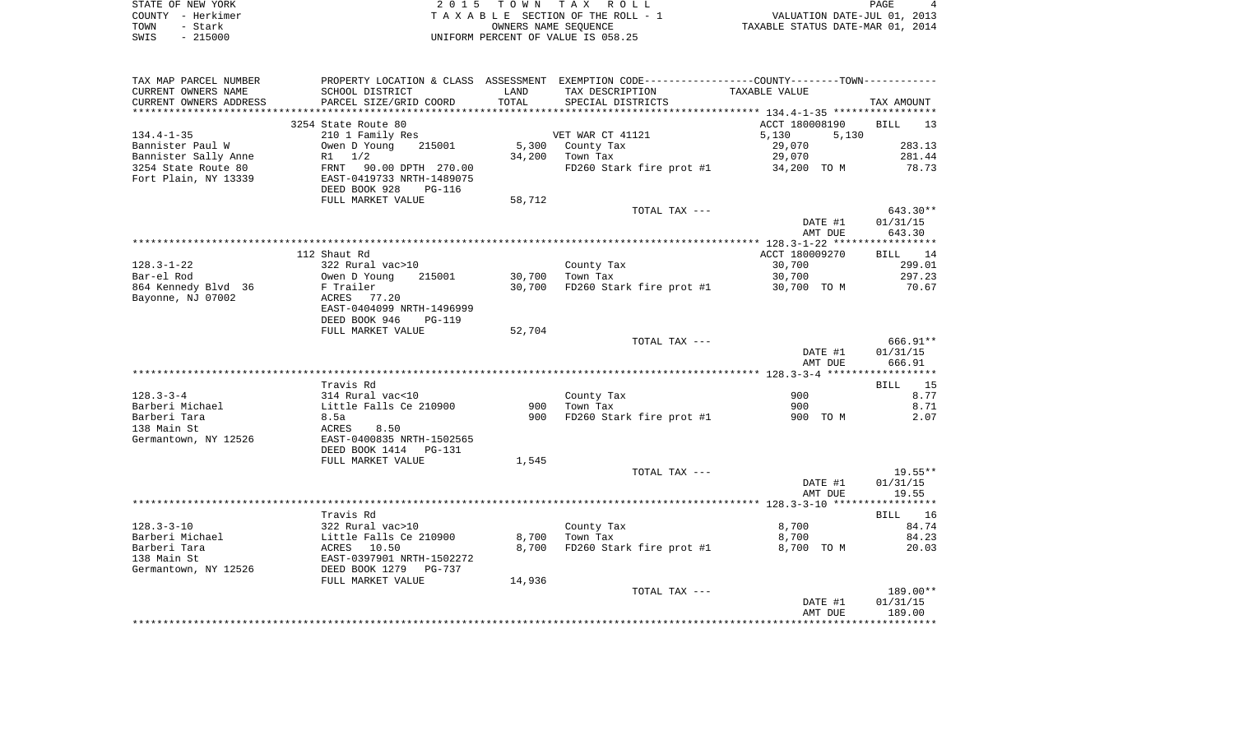| STATE OF NEW YORK | 2015 TOWN TAX ROLL                 | $\overline{4}$<br>PAGE           |
|-------------------|------------------------------------|----------------------------------|
| COUNTY - Herkimer | TAXABLE SECTION OF THE ROLL - 1    | VALUATION DATE-JUL 01, 2013      |
| TOWN<br>- Stark   | OWNERS NAME SEOUENCE               | TAXABLE STATUS DATE-MAR 01, 2014 |
| - 215000<br>SWIS  | UNIFORM PERCENT OF VALUE IS 058.25 |                                  |

| TAX MAP PARCEL NUMBER  | PROPERTY LOCATION & CLASS ASSESSMENT EXEMPTION CODE---------------COUNTY-------TOWN---------- |        |                          |                    |                    |
|------------------------|-----------------------------------------------------------------------------------------------|--------|--------------------------|--------------------|--------------------|
| CURRENT OWNERS NAME    | SCHOOL DISTRICT                                                                               | LAND   | TAX DESCRIPTION          | TAXABLE VALUE      |                    |
| CURRENT OWNERS ADDRESS | PARCEL SIZE/GRID COORD                                                                        | TOTAL  | SPECIAL DISTRICTS        |                    | TAX AMOUNT         |
| ********************   |                                                                                               |        |                          |                    |                    |
|                        | 3254 State Route 80                                                                           |        |                          | ACCT 180008190     | <b>BILL</b><br>13  |
| $134.4 - 1 - 35$       | 210 1 Family Res                                                                              |        | VET WAR CT 41121         | 5,130<br>5,130     |                    |
| Bannister Paul W       | Owen D Young<br>215001                                                                        | 5,300  | County Tax               | 29,070             | 283.13             |
| Bannister Sally Anne   | $R1 \t1/2$                                                                                    | 34,200 | Town Tax                 | 29,070             | 281.44             |
| 3254 State Route 80    | 90.00 DPTH 270.00<br>FRNT                                                                     |        | FD260 Stark fire prot #1 | 34,200 TO M        | 78.73              |
| Fort Plain, NY 13339   | EAST-0419733 NRTH-1489075                                                                     |        |                          |                    |                    |
|                        | DEED BOOK 928<br>PG-116                                                                       |        |                          |                    |                    |
|                        | FULL MARKET VALUE                                                                             | 58,712 |                          |                    |                    |
|                        |                                                                                               |        | TOTAL TAX ---            |                    | 643.30**           |
|                        |                                                                                               |        |                          | DATE #1            | 01/31/15           |
|                        |                                                                                               |        |                          | AMT DUE            | 643.30             |
|                        |                                                                                               |        |                          |                    |                    |
|                        | 112 Shaut Rd                                                                                  |        |                          | ACCT 180009270     | BILL 14            |
| $128.3 - 1 - 22$       | 322 Rural vac>10                                                                              |        | County Tax               | 30,700             | 299.01             |
| Bar-el Rod             | Owen D Young<br>215001                                                                        | 30,700 | Town Tax                 | 30,700             | 297.23             |
| 864 Kennedy Blvd 36    | F Trailer                                                                                     | 30,700 | FD260 Stark fire prot #1 | 30,700 TO M        | 70.67              |
| Bayonne, NJ 07002      | ACRES 77.20                                                                                   |        |                          |                    |                    |
|                        | EAST-0404099 NRTH-1496999                                                                     |        |                          |                    |                    |
|                        | DEED BOOK 946<br><b>PG-119</b>                                                                |        |                          |                    |                    |
|                        | FULL MARKET VALUE                                                                             | 52,704 |                          |                    |                    |
|                        |                                                                                               |        | TOTAL TAX ---            |                    | 666.91**           |
|                        |                                                                                               |        |                          | DATE #1<br>AMT DUE | 01/31/15<br>666.91 |
|                        |                                                                                               |        |                          |                    |                    |
|                        | Travis Rd                                                                                     |        |                          |                    | BILL 15            |
| $128.3 - 3 - 4$        | 314 Rural vac<10                                                                              |        | County Tax               | 900                | 8.77               |
| Barberi Michael        | Little Falls Ce 210900                                                                        | 900    | Town Tax                 | 900                | 8.71               |
| Barberi Tara           | 8.5a                                                                                          | 900    | FD260 Stark fire prot #1 | 900 TO M           | 2.07               |
| 138 Main St            | 8.50<br>ACRES                                                                                 |        |                          |                    |                    |
| Germantown, NY 12526   | EAST-0400835 NRTH-1502565                                                                     |        |                          |                    |                    |
|                        | DEED BOOK 1414<br>PG-131                                                                      |        |                          |                    |                    |
|                        | FULL MARKET VALUE                                                                             | 1,545  |                          |                    |                    |
|                        |                                                                                               |        | TOTAL TAX ---            |                    | $19.55**$          |
|                        |                                                                                               |        |                          | DATE #1            | 01/31/15           |
|                        |                                                                                               |        |                          | AMT DUE            | 19.55              |
|                        |                                                                                               |        |                          |                    |                    |
|                        | Travis Rd                                                                                     |        |                          |                    | BILL 16            |
| $128.3 - 3 - 10$       | 322 Rural vac>10                                                                              |        | County Tax               | 8,700              | 84.74              |
| Barberi Michael        | Little Falls Ce 210900                                                                        | 8,700  | Town Tax                 | 8,700              | 84.23              |
| Barberi Tara           | 10.50<br>ACRES                                                                                | 8,700  | FD260 Stark fire prot #1 | 8,700 TO M         | 20.03              |
| 138 Main St            | EAST-0397901 NRTH-1502272                                                                     |        |                          |                    |                    |
| Germantown, NY 12526   | DEED BOOK 1279<br>PG-737                                                                      |        |                          |                    |                    |
|                        | FULL MARKET VALUE                                                                             | 14,936 |                          |                    |                    |
|                        |                                                                                               |        | TOTAL TAX ---            |                    | 189.00**           |
|                        |                                                                                               |        |                          | DATE #1            | 01/31/15           |
|                        |                                                                                               |        |                          | AMT DUE            | 189.00             |
|                        |                                                                                               |        |                          |                    |                    |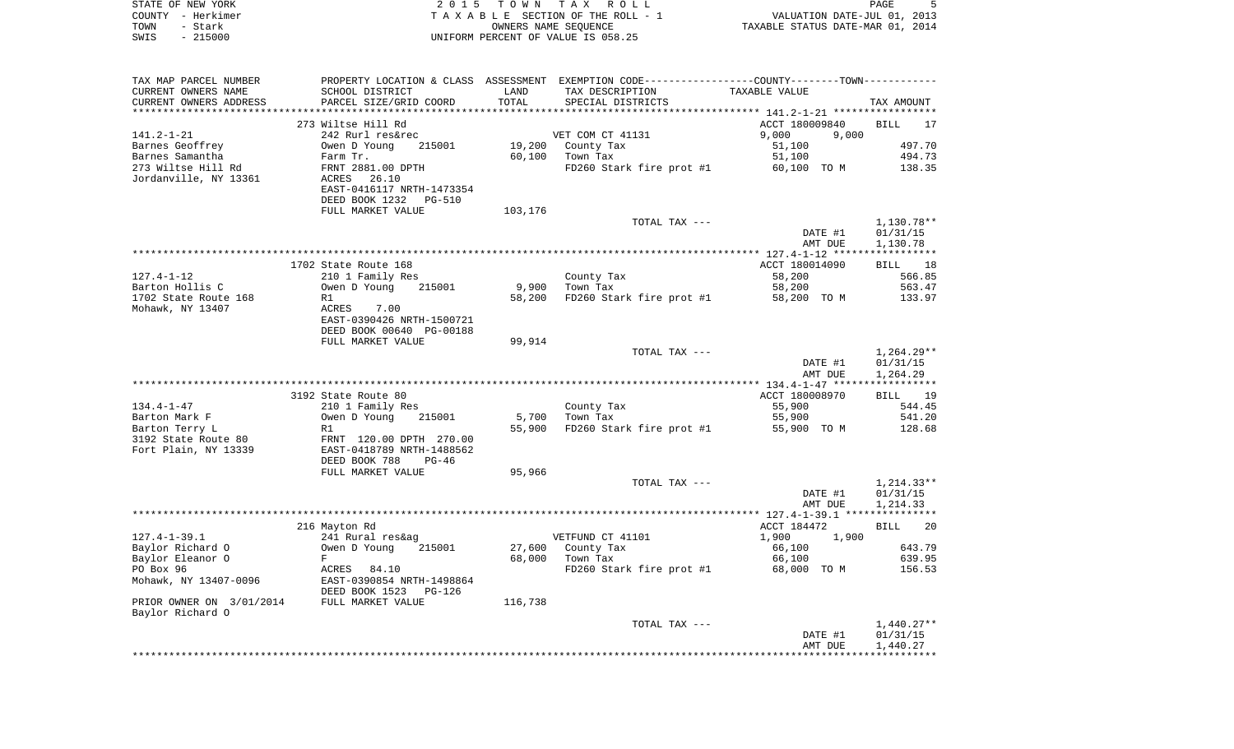| STATE OF NEW YORK<br>COUNTY - Herkimer<br>TOWN<br>- Stark     | 2 0 1 5                                                                                                   | T O W N          | TAX ROLL<br>TAXABLE SECTION OF THE ROLL - 1<br>OWNERS NAME SEQUENCE                           | VALUATION DATE-JUL 01, 2013<br>TAXABLE STATUS DATE-MAR 01, 2014 | PAGE<br>5                            |
|---------------------------------------------------------------|-----------------------------------------------------------------------------------------------------------|------------------|-----------------------------------------------------------------------------------------------|-----------------------------------------------------------------|--------------------------------------|
| $-215000$<br>SWIS                                             |                                                                                                           |                  | UNIFORM PERCENT OF VALUE IS 058.25                                                            |                                                                 |                                      |
| TAX MAP PARCEL NUMBER                                         |                                                                                                           |                  | PROPERTY LOCATION & CLASS ASSESSMENT EXEMPTION CODE---------------COUNTY-------TOWN---------- |                                                                 |                                      |
| CURRENT OWNERS NAME<br>CURRENT OWNERS ADDRESS                 | SCHOOL DISTRICT<br>PARCEL SIZE/GRID COORD                                                                 | LAND<br>TOTAL    | TAX DESCRIPTION<br>SPECIAL DISTRICTS                                                          | TAXABLE VALUE                                                   | TAX AMOUNT                           |
| *************************                                     |                                                                                                           |                  |                                                                                               |                                                                 |                                      |
|                                                               | 273 Wiltse Hill Rd                                                                                        |                  |                                                                                               | ACCT 180009840                                                  | BILL<br>17                           |
| $141.2 - 1 - 21$                                              | 242 Rurl res&rec                                                                                          |                  | VET COM CT 41131                                                                              | 9,000<br>9,000                                                  |                                      |
| Barnes Geoffrey                                               | 215001<br>Owen D Young                                                                                    | 19,200           | County Tax                                                                                    | 51,100                                                          | 497.70                               |
| Barnes Samantha                                               | Farm Tr.                                                                                                  | 60,100           | Town Tax                                                                                      | 51,100                                                          | 494.73                               |
| 273 Wiltse Hill Rd<br>Jordanville, NY 13361                   | FRNT 2881.00 DPTH<br>ACRES<br>26.10<br>EAST-0416117 NRTH-1473354<br>DEED BOOK 1232<br>PG-510              |                  | FD260 Stark fire prot #1                                                                      | 60,100 TO M                                                     | 138.35                               |
|                                                               | FULL MARKET VALUE                                                                                         | 103,176          |                                                                                               |                                                                 |                                      |
|                                                               |                                                                                                           |                  | TOTAL TAX ---                                                                                 | DATE #1<br>AMT DUE                                              | 1,130.78**<br>01/31/15<br>1,130.78   |
|                                                               |                                                                                                           |                  |                                                                                               |                                                                 |                                      |
|                                                               | 1702 State Route 168                                                                                      |                  |                                                                                               | ACCT 180014090                                                  | BILL 18                              |
| $127.4 - 1 - 12$                                              | 210 1 Family Res                                                                                          |                  | County Tax                                                                                    | 58,200                                                          | 566.85                               |
| Barton Hollis C                                               | 215001<br>Owen D Young                                                                                    | 9,900            | Town Tax                                                                                      | 58,200                                                          | 563.47                               |
| 1702 State Route 168                                          | R1                                                                                                        | 58,200           | FD260 Stark fire prot #1                                                                      | 58,200 TO M                                                     | 133.97                               |
| Mohawk, NY 13407                                              | ACRES<br>7.00<br>EAST-0390426 NRTH-1500721<br>DEED BOOK 00640 PG-00188                                    |                  |                                                                                               |                                                                 |                                      |
|                                                               | FULL MARKET VALUE                                                                                         | 99,914           |                                                                                               |                                                                 |                                      |
|                                                               |                                                                                                           |                  | TOTAL TAX ---                                                                                 | DATE #1<br>AMT DUE                                              | $1,264.29**$<br>01/31/15<br>1,264.29 |
|                                                               |                                                                                                           |                  |                                                                                               |                                                                 |                                      |
|                                                               | 3192 State Route 80                                                                                       |                  |                                                                                               | ACCT 180008970                                                  | BILL<br>19                           |
| $134.4 - 1 - 47$                                              | 210 1 Family Res                                                                                          |                  | County Tax                                                                                    | 55,900                                                          | 544.45                               |
| Barton Mark F                                                 | Owen D Young<br>215001                                                                                    | 5,700            | Town Tax                                                                                      | 55,900                                                          | 541.20                               |
| Barton Terry L<br>3192 State Route 80<br>Fort Plain, NY 13339 | R1<br>FRNT 120.00 DPTH 270.00<br>EAST-0418789 NRTH-1488562<br>DEED BOOK 788<br>PG-46<br>FULL MARKET VALUE | 55,900<br>95,966 | FD260 Stark fire prot #1                                                                      | 55,900 TO M                                                     | 128.68                               |
|                                                               |                                                                                                           |                  | TOTAL TAX ---                                                                                 |                                                                 | $1,214.33**$                         |
|                                                               |                                                                                                           |                  |                                                                                               | DATE #1<br>AMT DUE                                              | 01/31/15<br>1,214.33                 |
|                                                               |                                                                                                           |                  |                                                                                               |                                                                 |                                      |
|                                                               | 216 Mayton Rd                                                                                             |                  |                                                                                               | ACCT 184472                                                     | BILL<br>20                           |
| $127.4 - 1 - 39.1$                                            | 241 Rural res&ag                                                                                          |                  | VETFUND CT 41101                                                                              | 1,900<br>1,900                                                  |                                      |
| Baylor Richard O<br>Baylor Eleanor O                          | Owen D Young<br>215001<br>F                                                                               | 68,000           | 27,600 County Tax<br>Town Tax                                                                 | 66,100<br>66,100                                                | 643.79<br>639.95                     |
| PO Box 96                                                     | ACRES<br>84.10                                                                                            |                  | FD260 Stark fire prot #1                                                                      | 68,000 TO M                                                     | 156.53                               |
| Mohawk, NY 13407-0096                                         | EAST-0390854 NRTH-1498864<br>DEED BOOK 1523 PG-126                                                        |                  |                                                                                               |                                                                 |                                      |
| PRIOR OWNER ON 3/01/2014<br>Baylor Richard O                  | FULL MARKET VALUE                                                                                         | 116,738          |                                                                                               |                                                                 |                                      |
|                                                               |                                                                                                           |                  | TOTAL TAX ---                                                                                 | DATE #1                                                         | $1,440.27**$<br>01/31/15             |
|                                                               |                                                                                                           |                  |                                                                                               | AMT DUE                                                         | 1,440.27                             |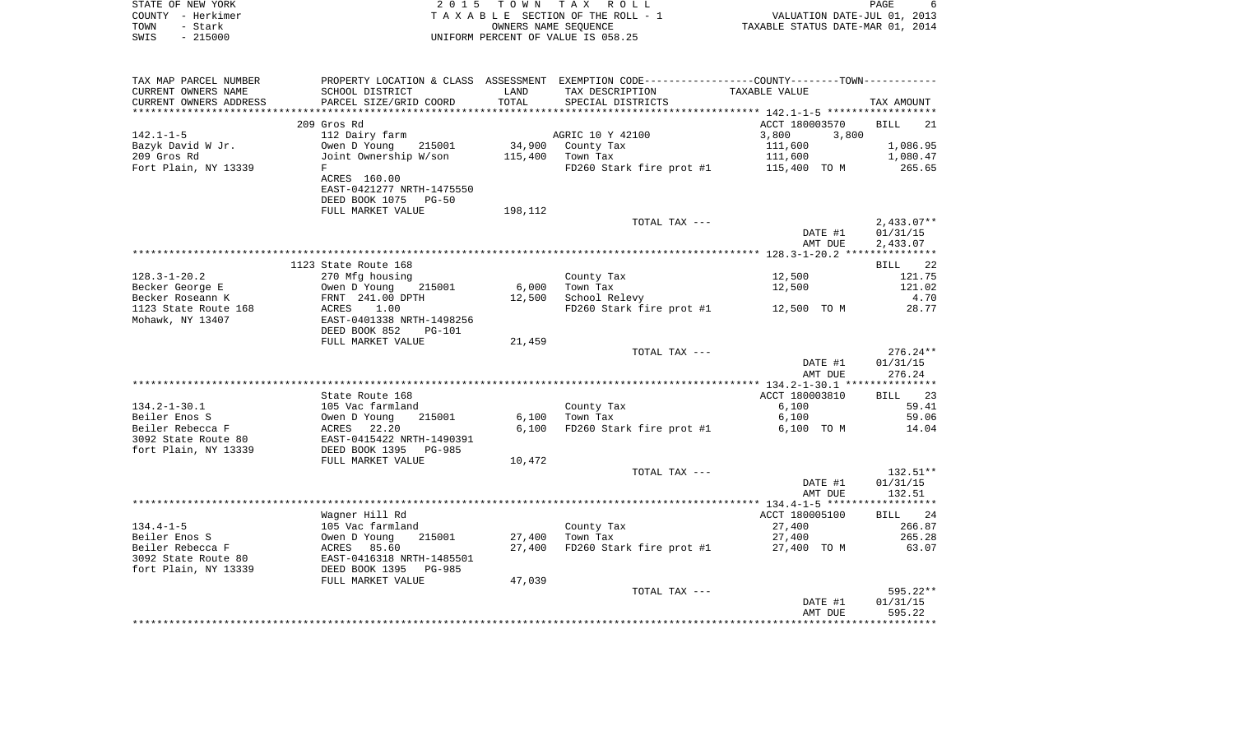| STATE OF NEW YORK      |                           |            | 2015 TOWN TAX ROLL                 |                                                              | PAGE                        | -6  |
|------------------------|---------------------------|------------|------------------------------------|--------------------------------------------------------------|-----------------------------|-----|
| – Herkimer<br>COUNTY   |                           |            | TAXABLE SECTION OF THE ROLL - 1    |                                                              | VALUATION DATE-JUL 01, 2013 |     |
| - Stark<br>TOWN        |                           |            | OWNERS NAME SEOUENCE               | TAXABLE STATUS DATE-MAR 01, 2014                             |                             |     |
| $-215000$<br>SWIS      |                           |            | UNIFORM PERCENT OF VALUE IS 058.25 |                                                              |                             |     |
|                        |                           |            |                                    |                                                              |                             |     |
|                        |                           |            |                                    |                                                              |                             |     |
|                        |                           |            |                                    |                                                              |                             |     |
| TAX MAP PARCEL NUMBER  | PROPERTY LOCATION & CLASS | ASSESSMENT |                                    | EXEMPTION CODE------------------COUNTY-------TOWN----------- |                             |     |
| CURRENT OWNERS NAME    | SCHOOL DISTRICT           | LAND       | TAX DESCRIPTION                    | TAXABLE VALUE                                                |                             |     |
| CURRENT OWNERS ADDRESS | PARCEL SIZE/GRID COORD    | TOTAL      | SPECIAL DISTRICTS                  |                                                              | TAX AMOUNT                  |     |
|                        |                           |            |                                    |                                                              |                             |     |
|                        | 209 Gros Rd               |            |                                    | ACCT 180003570                                               | <b>BILL</b>                 | -21 |

| 34,900 County Tax<br>1,086.95<br>Bazyk David W Jr.<br>Owen D Young 215001<br>111,600<br>111,600<br>Joint Ownership W/son<br>209 Gros Rd<br>115,400<br>Town Tax<br>1,080.47<br>Fort Plain, NY 13339<br>FD260 Stark fire prot #1 115,400 TO M<br>265.65<br>F<br>ACRES 160.00<br>EAST-0421277 NRTH-1475550<br>DEED BOOK 1075 PG-50<br>FULL MARKET VALUE<br>198,112<br>TOTAL TAX ---<br>$2,433.07**$<br>DATE #1<br>01/31/15<br>AMT DUE<br>2,433.07<br>1123 State Route 168<br>BILL 22<br>$128.3 - 1 - 20.2$<br>270 Mfg housing<br>County Tax<br>12,500<br>121.75<br>Owen D Young 215001<br>6,000<br>121.02<br>Becker George E<br>Town Tax<br>12,500<br>4.70<br>Becker Roseann K<br>FRNT 241.00 DPTH<br>12,500<br>School Relevy<br>$FD260$ Stark fire prot #1 $12,500$ TO M<br>1123 State Route 168<br>1.00<br>28.77<br>ACRES<br>EAST-0401338 NRTH-1498256<br>Mohawk, NY 13407<br>DEED BOOK 852<br><b>PG-101</b><br>FULL MARKET VALUE<br>21,459<br>$276.24**$<br>TOTAL TAX ---<br>DATE #1<br>01/31/15<br>AMT DUE<br>276.24<br>ACCT 180003810<br>State Route 168<br>BILL 23<br>$134.2 - 1 - 30.1$<br>County Tax<br>6,100<br>59.41<br>105 Vac farmland<br>59.06<br>Beiler Enos S<br>215001<br>6,100<br>Town Tax<br>6,100<br>Owen D Young<br>Beiler Rebecca F<br>ACRES 22.20<br>6,100<br>FD260 Stark fire prot #1<br>14.04<br>6,100 TO M<br>EAST-0415422 NRTH-1490391<br>3092 State Route 80<br>DEED BOOK 1395 PG-985<br>fort Plain, NY 13339<br>FULL MARKET VALUE<br>10,472<br>$132.51**$<br>TOTAL TAX ---<br>DATE #1<br>01/31/15<br>AMT DUE<br>132.51<br>Wagner Hill Rd<br>ACCT 180005100<br>BILL 24<br>266.87<br>$134.4 - 1 - 5$<br>105 Vac farmland<br>County Tax<br>27,400<br>Beiler Enos S<br>Owen D Young<br>215001<br>27,400<br>Town Tax<br>27,400<br>265.28<br>Beiler Rebecca F<br>ACRES 85.60<br>27,400<br>FD260 Stark fire prot #1 27,400 TO M<br>63.07<br>EAST-0416318 NRTH-1485501<br>3092 State Route 80<br>fort Plain, NY 13339<br>DEED BOOK 1395 PG-985<br>FULL MARKET VALUE<br>47,039<br>595.22**<br>TOTAL TAX ---<br>DATE #1<br>01/31/15<br>595.22<br>AMT DUE | $142.1 - 1 - 5$ | 112 Dairy farm | AGRIC 10 Y 42100 | 3,800<br>3,800 |  |
|-------------------------------------------------------------------------------------------------------------------------------------------------------------------------------------------------------------------------------------------------------------------------------------------------------------------------------------------------------------------------------------------------------------------------------------------------------------------------------------------------------------------------------------------------------------------------------------------------------------------------------------------------------------------------------------------------------------------------------------------------------------------------------------------------------------------------------------------------------------------------------------------------------------------------------------------------------------------------------------------------------------------------------------------------------------------------------------------------------------------------------------------------------------------------------------------------------------------------------------------------------------------------------------------------------------------------------------------------------------------------------------------------------------------------------------------------------------------------------------------------------------------------------------------------------------------------------------------------------------------------------------------------------------------------------------------------------------------------------------------------------------------------------------------------------------------------------------------------------------------------------------------------------------------------------------------------------------------------------------------------------------------------------------------------------------------------|-----------------|----------------|------------------|----------------|--|
|                                                                                                                                                                                                                                                                                                                                                                                                                                                                                                                                                                                                                                                                                                                                                                                                                                                                                                                                                                                                                                                                                                                                                                                                                                                                                                                                                                                                                                                                                                                                                                                                                                                                                                                                                                                                                                                                                                                                                                                                                                                                         |                 |                |                  |                |  |
|                                                                                                                                                                                                                                                                                                                                                                                                                                                                                                                                                                                                                                                                                                                                                                                                                                                                                                                                                                                                                                                                                                                                                                                                                                                                                                                                                                                                                                                                                                                                                                                                                                                                                                                                                                                                                                                                                                                                                                                                                                                                         |                 |                |                  |                |  |
|                                                                                                                                                                                                                                                                                                                                                                                                                                                                                                                                                                                                                                                                                                                                                                                                                                                                                                                                                                                                                                                                                                                                                                                                                                                                                                                                                                                                                                                                                                                                                                                                                                                                                                                                                                                                                                                                                                                                                                                                                                                                         |                 |                |                  |                |  |
|                                                                                                                                                                                                                                                                                                                                                                                                                                                                                                                                                                                                                                                                                                                                                                                                                                                                                                                                                                                                                                                                                                                                                                                                                                                                                                                                                                                                                                                                                                                                                                                                                                                                                                                                                                                                                                                                                                                                                                                                                                                                         |                 |                |                  |                |  |
|                                                                                                                                                                                                                                                                                                                                                                                                                                                                                                                                                                                                                                                                                                                                                                                                                                                                                                                                                                                                                                                                                                                                                                                                                                                                                                                                                                                                                                                                                                                                                                                                                                                                                                                                                                                                                                                                                                                                                                                                                                                                         |                 |                |                  |                |  |
|                                                                                                                                                                                                                                                                                                                                                                                                                                                                                                                                                                                                                                                                                                                                                                                                                                                                                                                                                                                                                                                                                                                                                                                                                                                                                                                                                                                                                                                                                                                                                                                                                                                                                                                                                                                                                                                                                                                                                                                                                                                                         |                 |                |                  |                |  |
|                                                                                                                                                                                                                                                                                                                                                                                                                                                                                                                                                                                                                                                                                                                                                                                                                                                                                                                                                                                                                                                                                                                                                                                                                                                                                                                                                                                                                                                                                                                                                                                                                                                                                                                                                                                                                                                                                                                                                                                                                                                                         |                 |                |                  |                |  |
|                                                                                                                                                                                                                                                                                                                                                                                                                                                                                                                                                                                                                                                                                                                                                                                                                                                                                                                                                                                                                                                                                                                                                                                                                                                                                                                                                                                                                                                                                                                                                                                                                                                                                                                                                                                                                                                                                                                                                                                                                                                                         |                 |                |                  |                |  |
|                                                                                                                                                                                                                                                                                                                                                                                                                                                                                                                                                                                                                                                                                                                                                                                                                                                                                                                                                                                                                                                                                                                                                                                                                                                                                                                                                                                                                                                                                                                                                                                                                                                                                                                                                                                                                                                                                                                                                                                                                                                                         |                 |                |                  |                |  |
|                                                                                                                                                                                                                                                                                                                                                                                                                                                                                                                                                                                                                                                                                                                                                                                                                                                                                                                                                                                                                                                                                                                                                                                                                                                                                                                                                                                                                                                                                                                                                                                                                                                                                                                                                                                                                                                                                                                                                                                                                                                                         |                 |                |                  |                |  |
|                                                                                                                                                                                                                                                                                                                                                                                                                                                                                                                                                                                                                                                                                                                                                                                                                                                                                                                                                                                                                                                                                                                                                                                                                                                                                                                                                                                                                                                                                                                                                                                                                                                                                                                                                                                                                                                                                                                                                                                                                                                                         |                 |                |                  |                |  |
|                                                                                                                                                                                                                                                                                                                                                                                                                                                                                                                                                                                                                                                                                                                                                                                                                                                                                                                                                                                                                                                                                                                                                                                                                                                                                                                                                                                                                                                                                                                                                                                                                                                                                                                                                                                                                                                                                                                                                                                                                                                                         |                 |                |                  |                |  |
|                                                                                                                                                                                                                                                                                                                                                                                                                                                                                                                                                                                                                                                                                                                                                                                                                                                                                                                                                                                                                                                                                                                                                                                                                                                                                                                                                                                                                                                                                                                                                                                                                                                                                                                                                                                                                                                                                                                                                                                                                                                                         |                 |                |                  |                |  |
|                                                                                                                                                                                                                                                                                                                                                                                                                                                                                                                                                                                                                                                                                                                                                                                                                                                                                                                                                                                                                                                                                                                                                                                                                                                                                                                                                                                                                                                                                                                                                                                                                                                                                                                                                                                                                                                                                                                                                                                                                                                                         |                 |                |                  |                |  |
|                                                                                                                                                                                                                                                                                                                                                                                                                                                                                                                                                                                                                                                                                                                                                                                                                                                                                                                                                                                                                                                                                                                                                                                                                                                                                                                                                                                                                                                                                                                                                                                                                                                                                                                                                                                                                                                                                                                                                                                                                                                                         |                 |                |                  |                |  |
|                                                                                                                                                                                                                                                                                                                                                                                                                                                                                                                                                                                                                                                                                                                                                                                                                                                                                                                                                                                                                                                                                                                                                                                                                                                                                                                                                                                                                                                                                                                                                                                                                                                                                                                                                                                                                                                                                                                                                                                                                                                                         |                 |                |                  |                |  |
|                                                                                                                                                                                                                                                                                                                                                                                                                                                                                                                                                                                                                                                                                                                                                                                                                                                                                                                                                                                                                                                                                                                                                                                                                                                                                                                                                                                                                                                                                                                                                                                                                                                                                                                                                                                                                                                                                                                                                                                                                                                                         |                 |                |                  |                |  |
|                                                                                                                                                                                                                                                                                                                                                                                                                                                                                                                                                                                                                                                                                                                                                                                                                                                                                                                                                                                                                                                                                                                                                                                                                                                                                                                                                                                                                                                                                                                                                                                                                                                                                                                                                                                                                                                                                                                                                                                                                                                                         |                 |                |                  |                |  |
|                                                                                                                                                                                                                                                                                                                                                                                                                                                                                                                                                                                                                                                                                                                                                                                                                                                                                                                                                                                                                                                                                                                                                                                                                                                                                                                                                                                                                                                                                                                                                                                                                                                                                                                                                                                                                                                                                                                                                                                                                                                                         |                 |                |                  |                |  |
|                                                                                                                                                                                                                                                                                                                                                                                                                                                                                                                                                                                                                                                                                                                                                                                                                                                                                                                                                                                                                                                                                                                                                                                                                                                                                                                                                                                                                                                                                                                                                                                                                                                                                                                                                                                                                                                                                                                                                                                                                                                                         |                 |                |                  |                |  |
|                                                                                                                                                                                                                                                                                                                                                                                                                                                                                                                                                                                                                                                                                                                                                                                                                                                                                                                                                                                                                                                                                                                                                                                                                                                                                                                                                                                                                                                                                                                                                                                                                                                                                                                                                                                                                                                                                                                                                                                                                                                                         |                 |                |                  |                |  |
|                                                                                                                                                                                                                                                                                                                                                                                                                                                                                                                                                                                                                                                                                                                                                                                                                                                                                                                                                                                                                                                                                                                                                                                                                                                                                                                                                                                                                                                                                                                                                                                                                                                                                                                                                                                                                                                                                                                                                                                                                                                                         |                 |                |                  |                |  |
|                                                                                                                                                                                                                                                                                                                                                                                                                                                                                                                                                                                                                                                                                                                                                                                                                                                                                                                                                                                                                                                                                                                                                                                                                                                                                                                                                                                                                                                                                                                                                                                                                                                                                                                                                                                                                                                                                                                                                                                                                                                                         |                 |                |                  |                |  |
|                                                                                                                                                                                                                                                                                                                                                                                                                                                                                                                                                                                                                                                                                                                                                                                                                                                                                                                                                                                                                                                                                                                                                                                                                                                                                                                                                                                                                                                                                                                                                                                                                                                                                                                                                                                                                                                                                                                                                                                                                                                                         |                 |                |                  |                |  |
|                                                                                                                                                                                                                                                                                                                                                                                                                                                                                                                                                                                                                                                                                                                                                                                                                                                                                                                                                                                                                                                                                                                                                                                                                                                                                                                                                                                                                                                                                                                                                                                                                                                                                                                                                                                                                                                                                                                                                                                                                                                                         |                 |                |                  |                |  |
|                                                                                                                                                                                                                                                                                                                                                                                                                                                                                                                                                                                                                                                                                                                                                                                                                                                                                                                                                                                                                                                                                                                                                                                                                                                                                                                                                                                                                                                                                                                                                                                                                                                                                                                                                                                                                                                                                                                                                                                                                                                                         |                 |                |                  |                |  |
|                                                                                                                                                                                                                                                                                                                                                                                                                                                                                                                                                                                                                                                                                                                                                                                                                                                                                                                                                                                                                                                                                                                                                                                                                                                                                                                                                                                                                                                                                                                                                                                                                                                                                                                                                                                                                                                                                                                                                                                                                                                                         |                 |                |                  |                |  |
|                                                                                                                                                                                                                                                                                                                                                                                                                                                                                                                                                                                                                                                                                                                                                                                                                                                                                                                                                                                                                                                                                                                                                                                                                                                                                                                                                                                                                                                                                                                                                                                                                                                                                                                                                                                                                                                                                                                                                                                                                                                                         |                 |                |                  |                |  |
|                                                                                                                                                                                                                                                                                                                                                                                                                                                                                                                                                                                                                                                                                                                                                                                                                                                                                                                                                                                                                                                                                                                                                                                                                                                                                                                                                                                                                                                                                                                                                                                                                                                                                                                                                                                                                                                                                                                                                                                                                                                                         |                 |                |                  |                |  |
|                                                                                                                                                                                                                                                                                                                                                                                                                                                                                                                                                                                                                                                                                                                                                                                                                                                                                                                                                                                                                                                                                                                                                                                                                                                                                                                                                                                                                                                                                                                                                                                                                                                                                                                                                                                                                                                                                                                                                                                                                                                                         |                 |                |                  |                |  |
|                                                                                                                                                                                                                                                                                                                                                                                                                                                                                                                                                                                                                                                                                                                                                                                                                                                                                                                                                                                                                                                                                                                                                                                                                                                                                                                                                                                                                                                                                                                                                                                                                                                                                                                                                                                                                                                                                                                                                                                                                                                                         |                 |                |                  |                |  |
|                                                                                                                                                                                                                                                                                                                                                                                                                                                                                                                                                                                                                                                                                                                                                                                                                                                                                                                                                                                                                                                                                                                                                                                                                                                                                                                                                                                                                                                                                                                                                                                                                                                                                                                                                                                                                                                                                                                                                                                                                                                                         |                 |                |                  |                |  |
|                                                                                                                                                                                                                                                                                                                                                                                                                                                                                                                                                                                                                                                                                                                                                                                                                                                                                                                                                                                                                                                                                                                                                                                                                                                                                                                                                                                                                                                                                                                                                                                                                                                                                                                                                                                                                                                                                                                                                                                                                                                                         |                 |                |                  |                |  |
|                                                                                                                                                                                                                                                                                                                                                                                                                                                                                                                                                                                                                                                                                                                                                                                                                                                                                                                                                                                                                                                                                                                                                                                                                                                                                                                                                                                                                                                                                                                                                                                                                                                                                                                                                                                                                                                                                                                                                                                                                                                                         |                 |                |                  |                |  |
|                                                                                                                                                                                                                                                                                                                                                                                                                                                                                                                                                                                                                                                                                                                                                                                                                                                                                                                                                                                                                                                                                                                                                                                                                                                                                                                                                                                                                                                                                                                                                                                                                                                                                                                                                                                                                                                                                                                                                                                                                                                                         |                 |                |                  |                |  |
|                                                                                                                                                                                                                                                                                                                                                                                                                                                                                                                                                                                                                                                                                                                                                                                                                                                                                                                                                                                                                                                                                                                                                                                                                                                                                                                                                                                                                                                                                                                                                                                                                                                                                                                                                                                                                                                                                                                                                                                                                                                                         |                 |                |                  |                |  |
|                                                                                                                                                                                                                                                                                                                                                                                                                                                                                                                                                                                                                                                                                                                                                                                                                                                                                                                                                                                                                                                                                                                                                                                                                                                                                                                                                                                                                                                                                                                                                                                                                                                                                                                                                                                                                                                                                                                                                                                                                                                                         |                 |                |                  |                |  |
|                                                                                                                                                                                                                                                                                                                                                                                                                                                                                                                                                                                                                                                                                                                                                                                                                                                                                                                                                                                                                                                                                                                                                                                                                                                                                                                                                                                                                                                                                                                                                                                                                                                                                                                                                                                                                                                                                                                                                                                                                                                                         |                 |                |                  |                |  |
|                                                                                                                                                                                                                                                                                                                                                                                                                                                                                                                                                                                                                                                                                                                                                                                                                                                                                                                                                                                                                                                                                                                                                                                                                                                                                                                                                                                                                                                                                                                                                                                                                                                                                                                                                                                                                                                                                                                                                                                                                                                                         |                 |                |                  |                |  |
|                                                                                                                                                                                                                                                                                                                                                                                                                                                                                                                                                                                                                                                                                                                                                                                                                                                                                                                                                                                                                                                                                                                                                                                                                                                                                                                                                                                                                                                                                                                                                                                                                                                                                                                                                                                                                                                                                                                                                                                                                                                                         |                 |                |                  |                |  |
|                                                                                                                                                                                                                                                                                                                                                                                                                                                                                                                                                                                                                                                                                                                                                                                                                                                                                                                                                                                                                                                                                                                                                                                                                                                                                                                                                                                                                                                                                                                                                                                                                                                                                                                                                                                                                                                                                                                                                                                                                                                                         |                 |                |                  |                |  |
|                                                                                                                                                                                                                                                                                                                                                                                                                                                                                                                                                                                                                                                                                                                                                                                                                                                                                                                                                                                                                                                                                                                                                                                                                                                                                                                                                                                                                                                                                                                                                                                                                                                                                                                                                                                                                                                                                                                                                                                                                                                                         |                 |                |                  |                |  |
|                                                                                                                                                                                                                                                                                                                                                                                                                                                                                                                                                                                                                                                                                                                                                                                                                                                                                                                                                                                                                                                                                                                                                                                                                                                                                                                                                                                                                                                                                                                                                                                                                                                                                                                                                                                                                                                                                                                                                                                                                                                                         |                 |                |                  |                |  |
|                                                                                                                                                                                                                                                                                                                                                                                                                                                                                                                                                                                                                                                                                                                                                                                                                                                                                                                                                                                                                                                                                                                                                                                                                                                                                                                                                                                                                                                                                                                                                                                                                                                                                                                                                                                                                                                                                                                                                                                                                                                                         |                 |                |                  |                |  |
|                                                                                                                                                                                                                                                                                                                                                                                                                                                                                                                                                                                                                                                                                                                                                                                                                                                                                                                                                                                                                                                                                                                                                                                                                                                                                                                                                                                                                                                                                                                                                                                                                                                                                                                                                                                                                                                                                                                                                                                                                                                                         |                 |                |                  |                |  |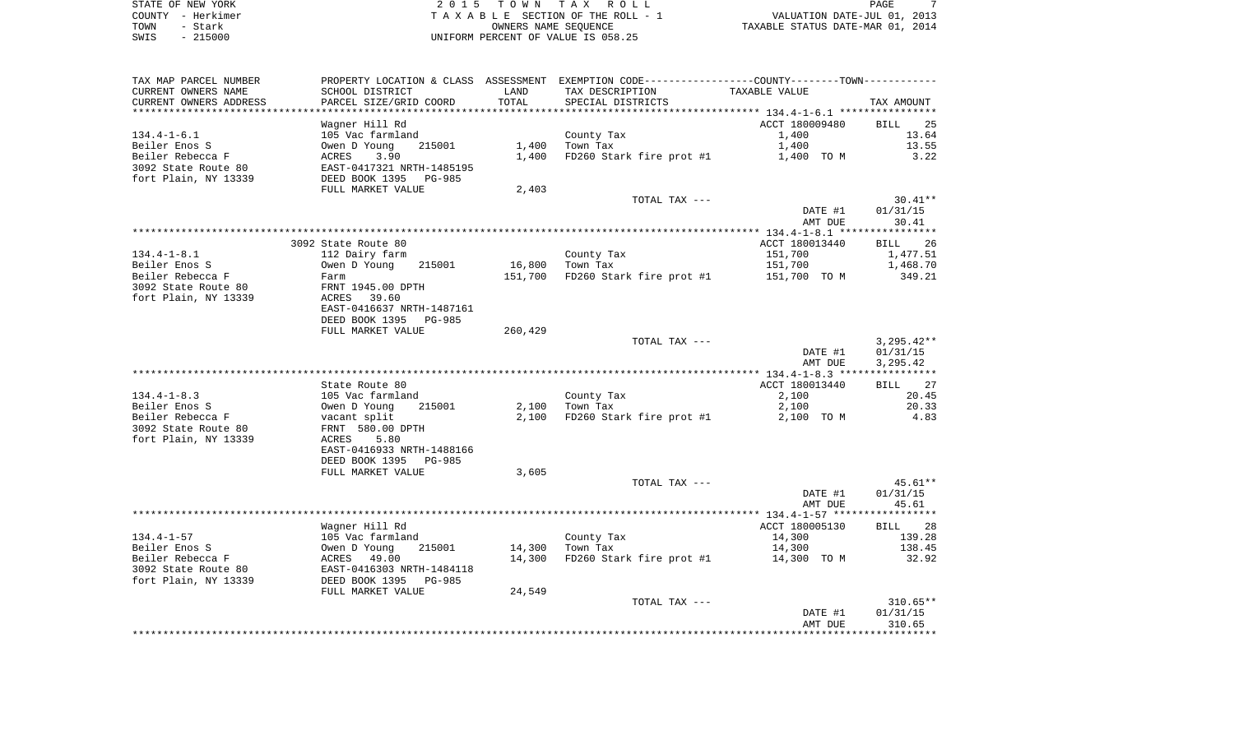STATE OF NEW YORK **EXECUTE:** A 2 0 1 5 T O W N T A X R O L L PAGE 7 COUNTY - Herkimer T A X A B L E SECTION OF THE ROLL - 1 VALUATION DATE-JUL 01, 2013 L E SECTION OF THE ROLL - 1<br>
TAXABLE STATUS DATE-JUL 01, 2013<br>
TAXABLE STATUS DATE-MAR 01, 2014 SWIS - 215000 UNIFORM PERCENT OF VALUE IS 058.25

| TAX MAP PARCEL NUMBER                         |                                           | LAND            | PROPERTY LOCATION & CLASS ASSESSMENT EXEMPTION CODE---------------COUNTY-------TOWN--------- | TAXABLE VALUE  |                   |
|-----------------------------------------------|-------------------------------------------|-----------------|----------------------------------------------------------------------------------------------|----------------|-------------------|
| CURRENT OWNERS NAME<br>CURRENT OWNERS ADDRESS | SCHOOL DISTRICT<br>PARCEL SIZE/GRID COORD | TOTAL           | TAX DESCRIPTION<br>SPECIAL DISTRICTS                                                         |                | TAX AMOUNT        |
|                                               |                                           | * * * * * * * * |                                                                                              |                |                   |
|                                               | Wagner Hill Rd                            |                 |                                                                                              | ACCT 180009480 | 25<br>BILL        |
| $134.4 - 1 - 6.1$                             | 105 Vac farmland                          |                 | County Tax                                                                                   | 1,400          | 13.64             |
| Beiler Enos S                                 | Owen D Young<br>215001                    | 1,400           | Town Tax                                                                                     | 1,400          | 13.55             |
| Beiler Rebecca F                              | ACRES<br>3.90                             | 1,400           | FD260 Stark fire prot #1                                                                     | 1,400 TO M     | 3.22              |
| 3092 State Route 80                           | EAST-0417321 NRTH-1485195                 |                 |                                                                                              |                |                   |
| fort Plain, NY 13339                          | DEED BOOK 1395<br><b>PG-985</b>           |                 |                                                                                              |                |                   |
|                                               | FULL MARKET VALUE                         | 2,403           |                                                                                              |                |                   |
|                                               |                                           |                 | TOTAL TAX ---                                                                                |                | $30.41**$         |
|                                               |                                           |                 |                                                                                              | DATE #1        | 01/31/15          |
|                                               |                                           |                 |                                                                                              | AMT DUE        | 30.41             |
|                                               |                                           |                 |                                                                                              |                |                   |
|                                               | 3092 State Route 80                       |                 |                                                                                              | ACCT 180013440 | <b>BILL</b><br>26 |
| $134.4 - 1 - 8.1$                             | 112 Dairy farm                            |                 | County Tax                                                                                   | 151,700        | 1,477.51          |
| Beiler Enos S                                 | Owen D Young<br>215001                    | 16,800          | Town Tax                                                                                     | 151,700        | 1,468.70          |
| Beiler Rebecca F                              | Farm                                      | 151,700         | FD260 Stark fire prot #1                                                                     | 151,700 TO M   | 349.21            |
| 3092 State Route 80                           | FRNT 1945.00 DPTH                         |                 |                                                                                              |                |                   |
| fort Plain, NY 13339                          | ACRES<br>39.60                            |                 |                                                                                              |                |                   |
|                                               | EAST-0416637 NRTH-1487161                 |                 |                                                                                              |                |                   |
|                                               | DEED BOOK 1395<br><b>PG-985</b>           |                 |                                                                                              |                |                   |
|                                               | FULL MARKET VALUE                         | 260,429         |                                                                                              |                |                   |
|                                               |                                           |                 | TOTAL TAX ---                                                                                |                | $3,295.42**$      |
|                                               |                                           |                 |                                                                                              | DATE #1        | 01/31/15          |
|                                               |                                           |                 |                                                                                              | AMT DUE        | 3,295.42          |
|                                               |                                           |                 |                                                                                              |                |                   |
|                                               | State Route 80                            |                 |                                                                                              | ACCT 180013440 | <b>BILL</b><br>27 |
| $134.4 - 1 - 8.3$                             | 105 Vac farmland                          |                 | County Tax                                                                                   | 2,100          | 20.45             |
| Beiler Enos S                                 | Owen D Young<br>215001                    | 2,100           | Town Tax                                                                                     | 2,100          | 20.33             |
| Beiler Rebecca F                              | vacant split                              | 2,100           | FD260 Stark fire prot #1                                                                     | 2,100 TO M     | 4.83              |
| 3092 State Route 80                           | FRNT 580.00 DPTH                          |                 |                                                                                              |                |                   |
| fort Plain, NY 13339                          | 5.80<br>ACRES                             |                 |                                                                                              |                |                   |
|                                               | EAST-0416933 NRTH-1488166                 |                 |                                                                                              |                |                   |
|                                               | DEED BOOK 1395<br><b>PG-985</b>           |                 |                                                                                              |                |                   |
|                                               | FULL MARKET VALUE                         | 3,605           |                                                                                              |                |                   |
|                                               |                                           |                 | TOTAL TAX ---                                                                                |                | 45.61**           |
|                                               |                                           |                 |                                                                                              | DATE #1        | 01/31/15          |
|                                               |                                           |                 |                                                                                              | AMT DUE        | 45.61             |
|                                               |                                           |                 |                                                                                              |                |                   |
|                                               | Wagner Hill Rd                            |                 |                                                                                              | ACCT 180005130 | 28<br>BILL        |
| $134.4 - 1 - 57$                              | 105 Vac farmland                          |                 | County Tax                                                                                   | 14,300         | 139.28            |
| Beiler Enos S                                 | Owen D Young<br>215001                    | 14,300          | Town Tax                                                                                     | 14,300         | 138.45            |
| Beiler Rebecca F                              | 49.00<br>ACRES                            | 14,300          | FD260 Stark fire prot #1                                                                     | 14,300 TO M    | 32.92             |
| 3092 State Route 80                           | EAST-0416303 NRTH-1484118                 |                 |                                                                                              |                |                   |
| fort Plain, NY 13339                          | DEED BOOK 1395<br><b>PG-985</b>           |                 |                                                                                              |                |                   |
|                                               | FULL MARKET VALUE                         | 24,549          |                                                                                              |                |                   |
|                                               |                                           |                 | TOTAL TAX ---                                                                                |                | $310.65**$        |
|                                               |                                           |                 |                                                                                              | DATE #1        | 01/31/15          |
|                                               |                                           |                 |                                                                                              | AMT DUE        | 310.65            |
|                                               |                                           |                 |                                                                                              |                |                   |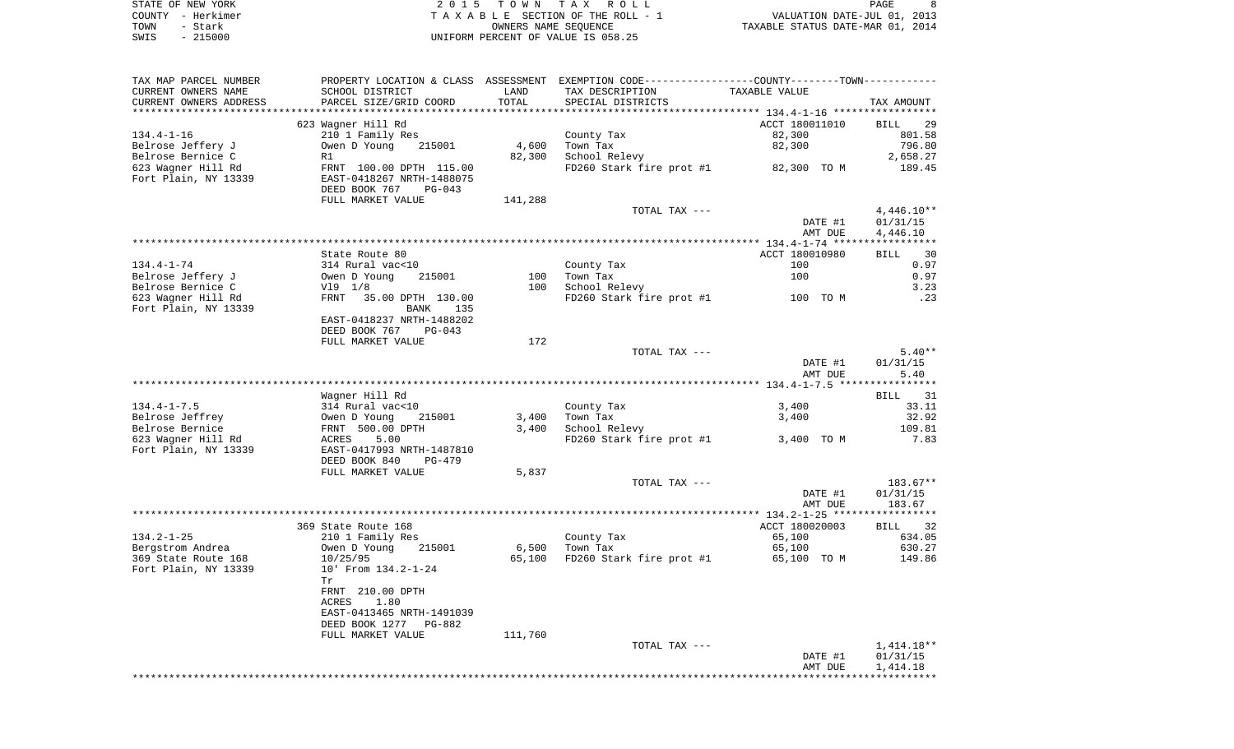|      | STATE OF NEW YORK | 2015 TOWN TAX ROLL                 | PAGE                             |
|------|-------------------|------------------------------------|----------------------------------|
|      | COUNTY - Herkimer | TAXABLE SECTION OF THE ROLL - 1    | VALUATION DATE-JUL 01, 2013      |
| TOWN |                   | OWNERS NAME SEOUENCE               | TAXABLE STATUS DATE-MAR 01, 2014 |
| SWIS | $-215000$         | UNIFORM PERCENT OF VALUE IS 058.25 |                                  |

| TAX MAP PARCEL NUMBER                   |                                                                   |                 | PROPERTY LOCATION & CLASS ASSESSMENT EXEMPTION CODE---------------COUNTY-------TOWN---------- |                       |                  |
|-----------------------------------------|-------------------------------------------------------------------|-----------------|-----------------------------------------------------------------------------------------------|-----------------------|------------------|
| CURRENT OWNERS NAME                     | SCHOOL DISTRICT                                                   | LAND            | TAX DESCRIPTION                                                                               | TAXABLE VALUE         |                  |
| CURRENT OWNERS ADDRESS                  | PARCEL SIZE/GRID COORD                                            | TOTAL           | SPECIAL DISTRICTS                                                                             |                       | TAX AMOUNT       |
|                                         |                                                                   |                 |                                                                                               |                       |                  |
|                                         | 623 Wagner Hill Rd                                                |                 |                                                                                               | ACCT 180011010        | BILL 29          |
| $134.4 - 1 - 16$                        | 210 1 Family Res                                                  |                 | County Tax                                                                                    | 82,300                | 801.58           |
| Belrose Jeffery J                       | Owen D Young<br>215001                                            | 4,600           | Town Tax                                                                                      | 82,300                | 796.80           |
| Belrose Bernice C                       | R1                                                                | 82,300          | School Relevy                                                                                 |                       | 2,658.27         |
| 623 Wagner Hill Rd                      | FRNT 100.00 DPTH 115.00<br>EAST-0418267 NRTH-1488075              |                 | FD260 Stark fire prot #1 82,300 TO M                                                          |                       | 189.45           |
| Fort Plain, NY 13339                    |                                                                   |                 |                                                                                               |                       |                  |
|                                         | DEED BOOK 767<br>PG-043                                           |                 |                                                                                               |                       |                  |
|                                         | FULL MARKET VALUE                                                 | 141,288         |                                                                                               |                       |                  |
|                                         |                                                                   |                 | TOTAL TAX ---                                                                                 |                       | $4,446.10**$     |
|                                         |                                                                   |                 |                                                                                               | DATE #1               | 01/31/15         |
|                                         |                                                                   |                 |                                                                                               | AMT DUE               | 4,446.10         |
|                                         |                                                                   |                 |                                                                                               |                       |                  |
|                                         | State Route 80                                                    |                 |                                                                                               | ACCT 180010980        | 30<br>BILL       |
| 134.4-1-74                              | 314 Rural vac<10                                                  |                 | County Tax                                                                                    | 100                   | 0.97             |
| Belrose Jeffery J                       | Owen D Young<br>V19 1/8<br>215001                                 | 100             | Town Tax                                                                                      | 100                   | 0.97             |
| Belrose Bernice C                       |                                                                   | 100             | School Relevy                                                                                 |                       | 3.23             |
| 623 Wagner Hill Rd                      | FRNT 35.00 DPTH 130.00                                            |                 | FD260 Stark fire prot #1 100 TO M                                                             |                       | .23              |
| Fort Plain, NY 13339                    | BANK 135                                                          |                 |                                                                                               |                       |                  |
|                                         | EAST-0418237 NRTH-1488202                                         |                 |                                                                                               |                       |                  |
|                                         | DEED BOOK 767 PG-043                                              |                 |                                                                                               |                       |                  |
|                                         | FULL MARKET VALUE                                                 | 172             |                                                                                               |                       |                  |
|                                         |                                                                   |                 | TOTAL TAX ---                                                                                 |                       | $5.40**$         |
|                                         |                                                                   |                 |                                                                                               | DATE #1               | 01/31/15         |
|                                         |                                                                   |                 |                                                                                               | AMT DUE               | 5.40             |
|                                         |                                                                   |                 |                                                                                               |                       |                  |
|                                         | Wagner Hill Rd                                                    |                 |                                                                                               |                       | BILL 31          |
| $134.4 - 1 - 7.5$                       |                                                                   |                 | County Tax                                                                                    | 3,400                 | 33.11            |
| Belrose Jeffrey                         | 314 Rural vac<10<br>Owen D Young 21<br>FRNT 500.00 DPTH<br>215001 | 3,400           | Town Tax                                                                                      | 3,400                 | 32.92            |
| Belrose Bernice                         |                                                                   | 3,400           | School Relevy                                                                                 |                       | 109.81           |
| 623 Wagner Hill Rd                      | ACRES 5.00<br>EAST-0417993 NRTH-1487810                           |                 | $FD260$ Stark fire prot #1 $3,400$ TO M                                                       |                       | 7.83             |
| Fort Plain, NY 13339                    |                                                                   |                 |                                                                                               |                       |                  |
|                                         | DEED BOOK 840<br>PG-479                                           |                 |                                                                                               |                       |                  |
|                                         | FULL MARKET VALUE                                                 | 5,837           |                                                                                               |                       |                  |
|                                         |                                                                   |                 | TOTAL TAX ---                                                                                 |                       | 183.67**         |
|                                         |                                                                   |                 |                                                                                               | DATE #1               | 01/31/15         |
|                                         |                                                                   |                 |                                                                                               | AMT DUE               | 183.67           |
|                                         |                                                                   |                 |                                                                                               |                       |                  |
|                                         | 369 State Route 168                                               |                 |                                                                                               | ACCT 180020003        | BILL 32          |
| $134.2 - 1 - 25$                        | 210 1 Family Res                                                  |                 | County Tax                                                                                    | 65,100                | 634.05           |
| Bergstrom Andrea<br>369 State Route 168 | Owen D Young<br>215001<br>10/25/95                                | 6,500<br>65,100 | Town Tax<br>FD260 Stark fire prot #1                                                          | 65,100<br>65,100 TO M | 630.27<br>149.86 |
| Fort Plain, NY 13339                    | 10' From 134.2-1-24                                               |                 |                                                                                               |                       |                  |
|                                         | Tr                                                                |                 |                                                                                               |                       |                  |
|                                         | FRNT 210.00 DPTH                                                  |                 |                                                                                               |                       |                  |
|                                         | ACRES<br>1.80                                                     |                 |                                                                                               |                       |                  |
|                                         | EAST-0413465 NRTH-1491039                                         |                 |                                                                                               |                       |                  |
|                                         | DEED BOOK 1277 PG-882                                             |                 |                                                                                               |                       |                  |
|                                         | FULL MARKET VALUE                                                 | 111,760         |                                                                                               |                       |                  |
|                                         |                                                                   |                 | TOTAL TAX ---                                                                                 |                       | 1,414.18**       |
|                                         |                                                                   |                 |                                                                                               | DATE #1               | 01/31/15         |
|                                         |                                                                   |                 |                                                                                               | AMT DUE               | 1,414.18         |
|                                         |                                                                   |                 |                                                                                               |                       |                  |
|                                         |                                                                   |                 |                                                                                               |                       |                  |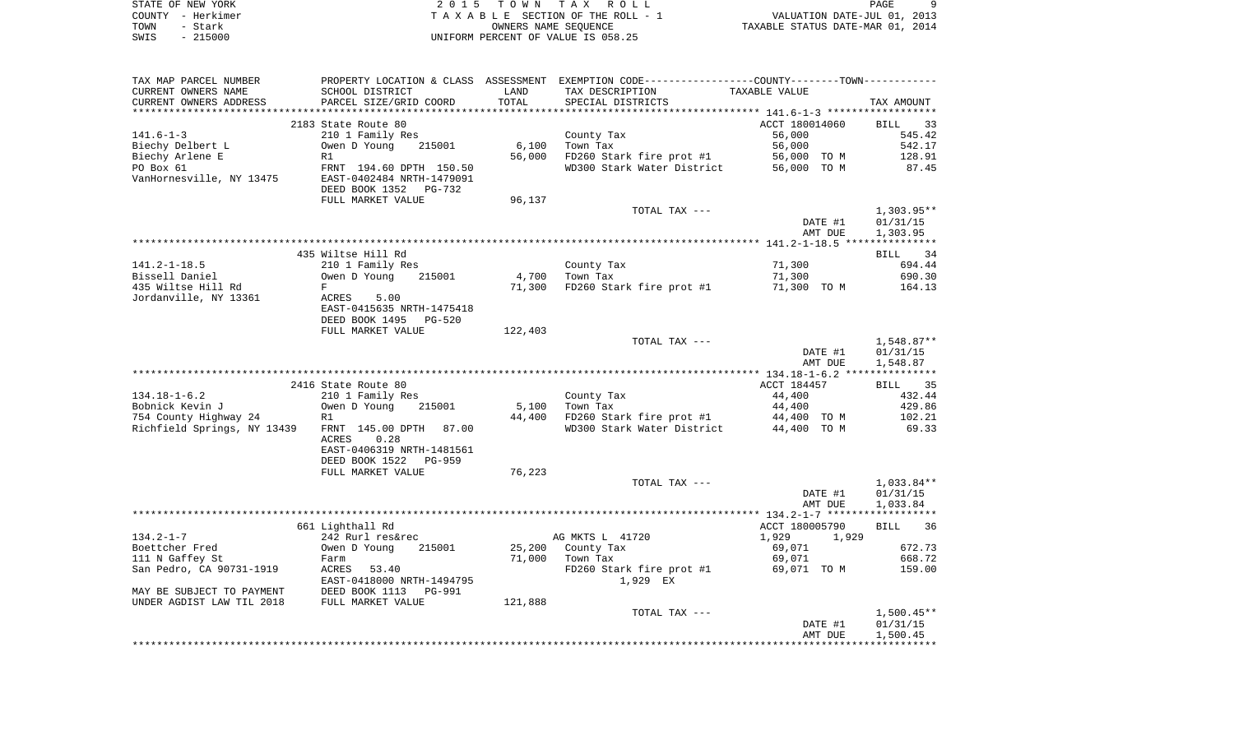|      | STATE OF NEW YORK | 2015 TOWN TAX ROLL                 | PAGE                             |  |
|------|-------------------|------------------------------------|----------------------------------|--|
|      | COUNTY - Herkimer | TAXABLE SECTION OF THE ROLL - 1    | VALUATION DATE-JUL 01, 2013      |  |
| TOWN | - Stark           | OWNERS NAME SEOUENCE               | TAXABLE STATUS DATE-MAR 01, 2014 |  |
| SWIS | $-215000$         | UNIFORM PERCENT OF VALUE IS 058.25 |                                  |  |

| TAX MAP PARCEL NUMBER       |                            |         | PROPERTY LOCATION & CLASS ASSESSMENT EXEMPTION CODE---------------COUNTY-------TOWN---------- |                |                      |
|-----------------------------|----------------------------|---------|-----------------------------------------------------------------------------------------------|----------------|----------------------|
| CURRENT OWNERS NAME         | SCHOOL DISTRICT            | LAND    | TAX DESCRIPTION                                                                               | TAXABLE VALUE  |                      |
| CURRENT OWNERS ADDRESS      | PARCEL SIZE/GRID COORD     | TOTAL   | SPECIAL DISTRICTS                                                                             |                | TAX AMOUNT           |
|                             |                            |         |                                                                                               |                |                      |
|                             | 2183 State Route 80        |         |                                                                                               | ACCT 180014060 | <b>BILL</b><br>33    |
| $141.6 - 1 - 3$             | 210 1 Family Res           |         | County Tax                                                                                    | 56,000         | 545.42               |
| Biechy Delbert L            | Owen D Young<br>215001     | 6,100   | Town Tax                                                                                      | 56,000         | 542.17               |
| Biechy Arlene E             | R1                         | 56,000  | FD260 Stark fire prot #1                                                                      | 56,000 TO M    | 128.91               |
| PO Box 61                   | FRNT 194.60 DPTH 150.50    |         | WD300 Stark Water District                                                                    | 56,000 TO M    | 87.45                |
| VanHornesville, NY 13475    | EAST-0402484 NRTH-1479091  |         |                                                                                               |                |                      |
|                             | DEED BOOK 1352<br>$PG-732$ |         |                                                                                               |                |                      |
|                             | FULL MARKET VALUE          | 96,137  |                                                                                               |                |                      |
|                             |                            |         | TOTAL TAX ---                                                                                 |                | $1,303.95**$         |
|                             |                            |         |                                                                                               | DATE #1        | 01/31/15             |
|                             |                            |         |                                                                                               | AMT DUE        | 1,303.95             |
|                             | 435 Wiltse Hill Rd         |         |                                                                                               |                | 34                   |
| $141.2 - 1 - 18.5$          | 210 1 Family Res           |         | County Tax                                                                                    | 71,300         | BILL<br>694.44       |
| Bissell Daniel              | Owen D Young<br>215001     | 4,700   | Town Tax                                                                                      | 71,300         | 690.30               |
| 435 Wiltse Hill Rd          | F                          | 71,300  | FD260 Stark fire prot #1                                                                      | 71,300 TO M    | 164.13               |
| Jordanville, NY 13361       | ACRES<br>5.00              |         |                                                                                               |                |                      |
|                             | EAST-0415635 NRTH-1475418  |         |                                                                                               |                |                      |
|                             | DEED BOOK 1495<br>$PG-520$ |         |                                                                                               |                |                      |
|                             | FULL MARKET VALUE          | 122,403 |                                                                                               |                |                      |
|                             |                            |         | TOTAL TAX ---                                                                                 |                | 1,548.87**           |
|                             |                            |         |                                                                                               | DATE #1        | 01/31/15             |
|                             |                            |         |                                                                                               | AMT DUE        | 1,548.87             |
|                             |                            |         |                                                                                               |                |                      |
|                             | 2416 State Route 80        |         |                                                                                               | ACCT 184457    | BILL 35              |
| $134.18 - 1 - 6.2$          | 210 1 Family Res           |         | County Tax                                                                                    | 44,400         | 432.44               |
| Bobnick Kevin J             | Owen D Young<br>215001     | 5,100   | Town Tax                                                                                      | 44,400         | 429.86               |
| 754 County Highway 24       | R1                         | 44,400  | FD260 Stark fire prot #1                                                                      | 44,400 TO M    | 102.21               |
| Richfield Springs, NY 13439 | FRNT 145.00 DPTH<br>87.00  |         | WD300 Stark Water District                                                                    | 44,400 TO M    | 69.33                |
|                             | 0.28<br>ACRES              |         |                                                                                               |                |                      |
|                             | EAST-0406319 NRTH-1481561  |         |                                                                                               |                |                      |
|                             | DEED BOOK 1522<br>PG-959   |         |                                                                                               |                |                      |
|                             | FULL MARKET VALUE          | 76,223  |                                                                                               |                |                      |
|                             |                            |         | TOTAL TAX ---                                                                                 |                | 1,033.84**           |
|                             |                            |         |                                                                                               | DATE #1        | 01/31/15<br>1,033.84 |
|                             |                            |         |                                                                                               | AMT DUE        |                      |
|                             | 661 Lighthall Rd           |         |                                                                                               | ACCT 180005790 | <b>BILL</b><br>36    |
| $134.2 - 1 - 7$             | 242 Rurl res&rec           |         | AG MKTS L 41720                                                                               | 1,929<br>1,929 |                      |
| Boettcher Fred              | Owen D Young<br>215001     | 25,200  | County Tax                                                                                    | 69,071         | 672.73               |
| 111 N Gaffey St             | Farm                       | 71,000  | Town Tax                                                                                      | 69,071         | 668.72               |
| San Pedro, CA 90731-1919    | ACRES 53.40                |         | FD260 Stark fire prot #1                                                                      | 69,071 TO M    | 159.00               |
|                             | EAST-0418000 NRTH-1494795  |         | 1,929 EX                                                                                      |                |                      |
| MAY BE SUBJECT TO PAYMENT   | DEED BOOK 1113<br>PG-991   |         |                                                                                               |                |                      |
| UNDER AGDIST LAW TIL 2018   | FULL MARKET VALUE          | 121,888 |                                                                                               |                |                      |
|                             |                            |         | TOTAL TAX ---                                                                                 |                | $1,500.45**$         |
|                             |                            |         |                                                                                               | DATE #1        | 01/31/15             |
|                             |                            |         |                                                                                               | AMT DUE        | 1,500.45             |
|                             |                            |         |                                                                                               |                |                      |
|                             |                            |         |                                                                                               |                |                      |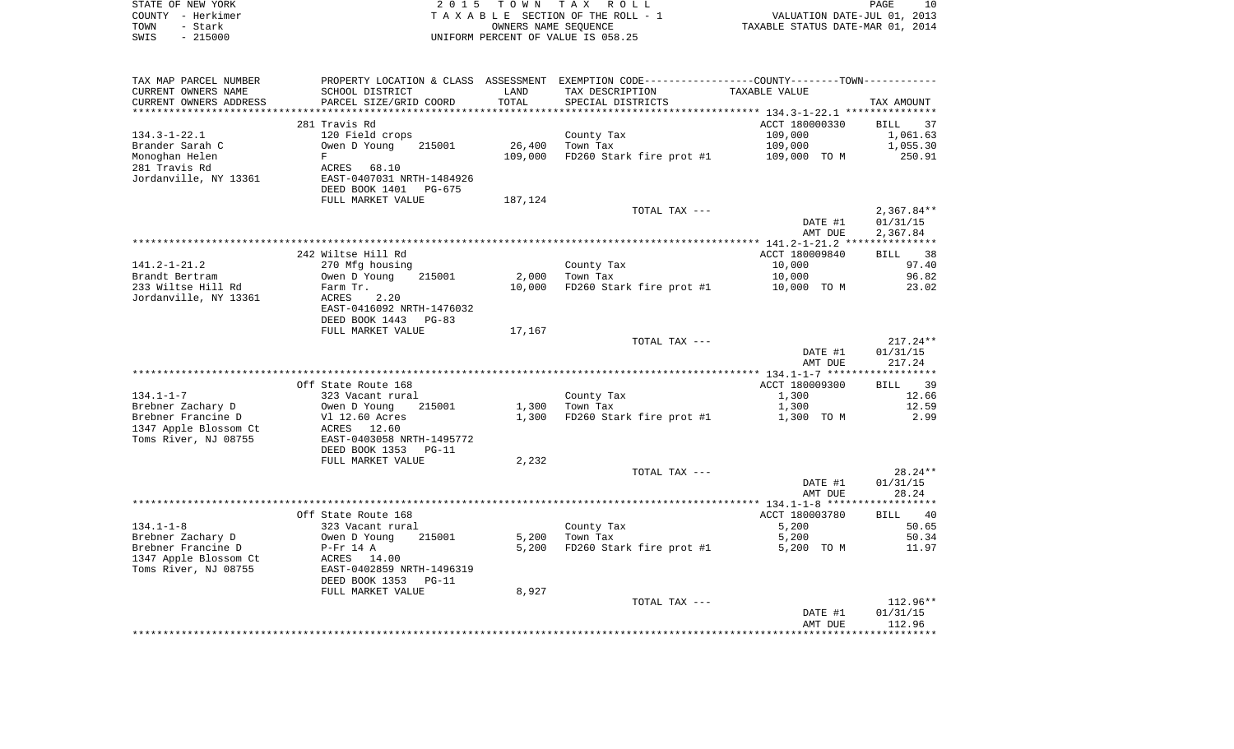| STATE OF NEW YORK | 2015 TOWN TAX ROLL                 | 10<br><b>PAGE</b>                |
|-------------------|------------------------------------|----------------------------------|
| COUNTY - Herkimer | TAXABLE SECTION OF THE ROLL - 1    | VALUATION DATE-JUL 01, 2013      |
| TOWN<br>– Stark   | OWNERS NAME SEOUENCE               | TAXABLE STATUS DATE-MAR 01, 2014 |
| $-215000$<br>SWIS | UNIFORM PERCENT OF VALUE IS 058.25 |                                  |

| TAX MAP PARCEL NUMBER<br>CURRENT OWNERS NAME<br>CURRENT OWNERS ADDRESS | PROPERTY LOCATION & CLASS ASSESSMENT<br>SCHOOL DISTRICT<br>PARCEL SIZE/GRID COORD | LAND<br>TOTAL | EXEMPTION CODE-----------------COUNTY-------TOWN-----------<br>TAX DESCRIPTION<br>SPECIAL DISTRICTS | TAXABLE VALUE                                      | TAX AMOUNT                 |
|------------------------------------------------------------------------|-----------------------------------------------------------------------------------|---------------|-----------------------------------------------------------------------------------------------------|----------------------------------------------------|----------------------------|
|                                                                        |                                                                                   | ******        |                                                                                                     | ********************* 134.3-1-22.1 *************** |                            |
|                                                                        | 281 Travis Rd                                                                     |               |                                                                                                     | ACCT 180000330                                     | <b>BILL</b><br>37          |
| $134.3 - 1 - 22.1$                                                     | 120 Field crops                                                                   |               | County Tax                                                                                          | 109,000                                            | 1,061.63                   |
| Brander Sarah C                                                        | Owen D Young<br>215001                                                            | 26,400        | Town Tax                                                                                            | 109,000                                            | 1,055.30                   |
| Monoghan Helen                                                         | $\mathbf F$                                                                       | 109,000       | FD260 Stark fire prot #1                                                                            | 109,000 TO M                                       | 250.91                     |
| 281 Travis Rd                                                          | ACRES<br>68.10                                                                    |               |                                                                                                     |                                                    |                            |
| Jordanville, NY 13361                                                  | EAST-0407031 NRTH-1484926                                                         |               |                                                                                                     |                                                    |                            |
|                                                                        | DEED BOOK 1401<br>PG-675                                                          |               |                                                                                                     |                                                    |                            |
|                                                                        | FULL MARKET VALUE                                                                 | 187,124       |                                                                                                     |                                                    |                            |
|                                                                        |                                                                                   |               | TOTAL TAX ---                                                                                       |                                                    | $2,367.84**$               |
|                                                                        |                                                                                   |               |                                                                                                     | DATE #1<br>AMT DUE                                 | 01/31/15<br>2,367.84       |
|                                                                        |                                                                                   |               |                                                                                                     |                                                    |                            |
|                                                                        | 242 Wiltse Hill Rd                                                                |               |                                                                                                     | ACCT 180009840                                     | 38<br>BILL                 |
| $141.2 - 1 - 21.2$                                                     | 270 Mfg housing                                                                   |               | County Tax                                                                                          | 10,000                                             | 97.40                      |
| Brandt Bertram                                                         | Owen D Young<br>215001                                                            | 2,000         | Town Tax                                                                                            | 10,000                                             | 96.82                      |
| 233 Wiltse Hill Rd                                                     | Farm Tr.                                                                          | 10,000        | FD260 Stark fire prot #1                                                                            | 10,000 TO M                                        | 23.02                      |
| Jordanville, NY 13361                                                  | ACRES<br>2.20                                                                     |               |                                                                                                     |                                                    |                            |
|                                                                        | EAST-0416092 NRTH-1476032                                                         |               |                                                                                                     |                                                    |                            |
|                                                                        | DEED BOOK 1443<br>$PG-83$                                                         |               |                                                                                                     |                                                    |                            |
|                                                                        | FULL MARKET VALUE                                                                 | 17,167        |                                                                                                     |                                                    |                            |
|                                                                        |                                                                                   |               | TOTAL TAX ---                                                                                       |                                                    | $217.24**$                 |
|                                                                        |                                                                                   |               |                                                                                                     | DATE #1                                            | 01/31/15                   |
|                                                                        |                                                                                   |               |                                                                                                     | AMT DUE                                            | 217.24                     |
|                                                                        | Off State Route 168                                                               |               |                                                                                                     | ACCT 180009300                                     | 39<br>BILL                 |
| $134.1 - 1 - 7$                                                        | 323 Vacant rural                                                                  |               | County Tax                                                                                          | 1,300                                              | 12.66                      |
| Brebner Zachary D                                                      | Owen D Young<br>215001                                                            | 1,300         | Town Tax                                                                                            | 1,300                                              | 12.59                      |
| Brebner Francine D                                                     | Vl 12.60 Acres                                                                    | 1,300         | FD260 Stark fire prot #1                                                                            | 1,300 TO M                                         | 2.99                       |
| 1347 Apple Blossom Ct                                                  | ACRES<br>12.60                                                                    |               |                                                                                                     |                                                    |                            |
| Toms River, NJ 08755                                                   | EAST-0403058 NRTH-1495772                                                         |               |                                                                                                     |                                                    |                            |
|                                                                        | DEED BOOK 1353<br>PG-11                                                           |               |                                                                                                     |                                                    |                            |
|                                                                        | FULL MARKET VALUE                                                                 | 2,232         |                                                                                                     |                                                    |                            |
|                                                                        |                                                                                   |               | TOTAL TAX ---                                                                                       |                                                    | $28.24**$                  |
|                                                                        |                                                                                   |               |                                                                                                     | DATE #1                                            | 01/31/15                   |
|                                                                        |                                                                                   |               |                                                                                                     | AMT DUE                                            | 28.24                      |
|                                                                        |                                                                                   |               |                                                                                                     |                                                    |                            |
| $134.1 - 1 - 8$                                                        | Off State Route 168<br>323 Vacant rural                                           |               | County Tax                                                                                          | ACCT 180003780<br>5,200                            | <b>BILL</b><br>40<br>50.65 |
| Brebner Zachary D                                                      | Owen D Young<br>215001                                                            | 5,200         | Town Tax                                                                                            | 5,200                                              | 50.34                      |
| Brebner Francine D                                                     | $P-Fr$ 14 A                                                                       | 5,200         | FD260 Stark fire prot #1                                                                            | 5,200 TO M                                         | 11.97                      |
| 1347 Apple Blossom Ct                                                  | ACRES 14.00                                                                       |               |                                                                                                     |                                                    |                            |
| Toms River, NJ 08755                                                   | EAST-0402859 NRTH-1496319                                                         |               |                                                                                                     |                                                    |                            |
|                                                                        | DEED BOOK 1353<br>$PG-11$                                                         |               |                                                                                                     |                                                    |                            |
|                                                                        | FULL MARKET VALUE                                                                 | 8,927         |                                                                                                     |                                                    |                            |
|                                                                        |                                                                                   |               | TOTAL TAX ---                                                                                       |                                                    | 112.96**                   |
|                                                                        |                                                                                   |               |                                                                                                     | DATE #1                                            | 01/31/15                   |
|                                                                        |                                                                                   |               |                                                                                                     | AMT DUE                                            | 112.96                     |
|                                                                        |                                                                                   |               |                                                                                                     |                                                    |                            |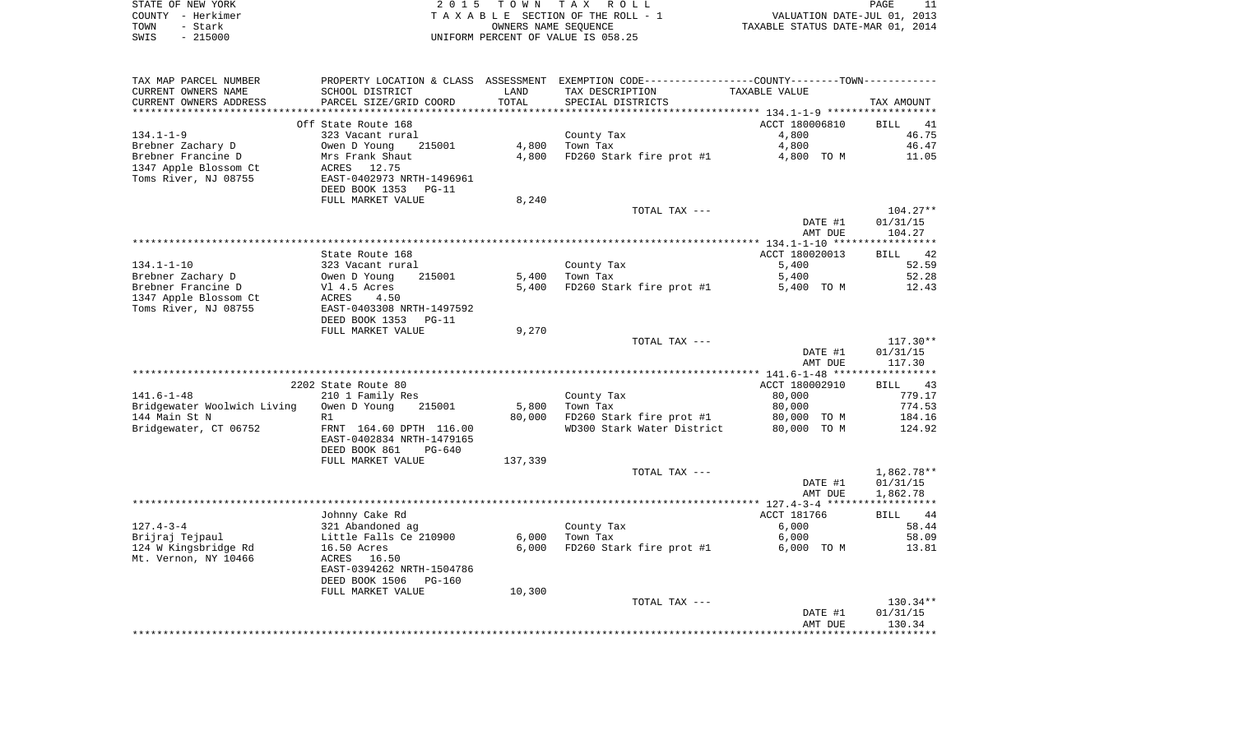|      | STATE OF NEW YORK | 2015 TOWN TAX ROLL                 | PAGE                             |
|------|-------------------|------------------------------------|----------------------------------|
|      | COUNTY - Herkimer | TAXABLE SECTION OF THE ROLL - 1    | VALUATION DATE-JUL 01, 2013      |
| TOWN | - Stark           | OWNERS NAME SEOUENCE               | TAXABLE STATUS DATE-MAR 01, 2014 |
| SWIS | $-215000$         | UNIFORM PERCENT OF VALUE IS 058.25 |                                  |

| TAX MAP PARCEL NUMBER       |                           |         | PROPERTY LOCATION & CLASS ASSESSMENT EXEMPTION CODE----------------COUNTY-------TOWN----------- |                |            |
|-----------------------------|---------------------------|---------|-------------------------------------------------------------------------------------------------|----------------|------------|
| CURRENT OWNERS NAME         | SCHOOL DISTRICT           | LAND    | TAX DESCRIPTION                                                                                 | TAXABLE VALUE  |            |
| CURRENT OWNERS ADDRESS      | PARCEL SIZE/GRID COORD    | TOTAL   | SPECIAL DISTRICTS                                                                               |                | TAX AMOUNT |
|                             |                           |         |                                                                                                 |                |            |
|                             | Off State Route 168       |         |                                                                                                 | ACCT 180006810 | BILL<br>41 |
| $134.1 - 1 - 9$             | 323 Vacant rural          |         | County Tax                                                                                      | 4,800          | 46.75      |
| Brebner Zachary D           | Owen D Young<br>215001    | 4,800   | Town Tax                                                                                        | 4,800          | 46.47      |
| Brebner Francine D          | Mrs Frank Shaut           | 4,800   | FD260 Stark fire prot #1                                                                        | 4,800 TO M     | 11.05      |
| 1347 Apple Blossom Ct       | ACRES<br>12.75            |         |                                                                                                 |                |            |
| Toms River, NJ 08755        | EAST-0402973 NRTH-1496961 |         |                                                                                                 |                |            |
|                             |                           |         |                                                                                                 |                |            |
|                             | DEED BOOK 1353<br>$PG-11$ |         |                                                                                                 |                |            |
|                             | FULL MARKET VALUE         | 8,240   |                                                                                                 |                |            |
|                             |                           |         | TOTAL TAX ---                                                                                   |                | $104.27**$ |
|                             |                           |         |                                                                                                 | DATE #1        | 01/31/15   |
|                             |                           |         |                                                                                                 | AMT DUE        | 104.27     |
|                             |                           |         |                                                                                                 |                |            |
|                             | State Route 168           |         |                                                                                                 | ACCT 180020013 | 42<br>BILL |
| $134.1 - 1 - 10$            | 323 Vacant rural          |         | County Tax                                                                                      | 5,400          | 52.59      |
| Brebner Zachary D           | 215001<br>Owen D Young    | 5,400   | Town Tax                                                                                        | 5,400          | 52.28      |
| Brebner Francine D          | Vl 4.5 Acres              | 5,400   | FD260 Stark fire prot #1                                                                        | 5,400 TO M     | 12.43      |
| 1347 Apple Blossom Ct       | ACRES<br>4.50             |         |                                                                                                 |                |            |
| Toms River, NJ 08755        |                           |         |                                                                                                 |                |            |
|                             | EAST-0403308 NRTH-1497592 |         |                                                                                                 |                |            |
|                             | DEED BOOK 1353<br>$PG-11$ |         |                                                                                                 |                |            |
|                             | FULL MARKET VALUE         | 9,270   |                                                                                                 |                |            |
|                             |                           |         | TOTAL TAX ---                                                                                   |                | $117.30**$ |
|                             |                           |         |                                                                                                 | DATE #1        | 01/31/15   |
|                             |                           |         |                                                                                                 | AMT DUE        | 117.30     |
|                             |                           |         |                                                                                                 |                |            |
|                             | 2202 State Route 80       |         |                                                                                                 | ACCT 180002910 | BILL<br>43 |
| $141.6 - 1 - 48$            | 210 1 Family Res          |         | County Tax                                                                                      | 80,000         | 779.17     |
| Bridgewater Woolwich Living | Owen D Young<br>215001    | 5,800   | Town Tax                                                                                        | 80,000         | 774.53     |
| 144 Main St N               | R1                        | 80,000  | FD260 Stark fire prot #1                                                                        | 80,000 TO M    | 184.16     |
| Bridgewater, CT 06752       | FRNT 164.60 DPTH 116.00   |         | WD300 Stark Water District                                                                      | 80,000 TO M    | 124.92     |
|                             | EAST-0402834 NRTH-1479165 |         |                                                                                                 |                |            |
|                             | DEED BOOK 861<br>$PG-640$ |         |                                                                                                 |                |            |
|                             | FULL MARKET VALUE         | 137,339 |                                                                                                 |                |            |
|                             |                           |         | TOTAL TAX ---                                                                                   |                | 1,862.78** |
|                             |                           |         |                                                                                                 |                |            |
|                             |                           |         |                                                                                                 | DATE #1        | 01/31/15   |
|                             |                           |         |                                                                                                 | AMT DUE        | 1,862.78   |
|                             |                           |         |                                                                                                 |                |            |
|                             | Johnny Cake Rd            |         |                                                                                                 | ACCT 181766    | BILL 44    |
| $127.4 - 3 - 4$             | 321 Abandoned ag          |         | County Tax                                                                                      | 6,000          | 58.44      |
| Brijraj Tejpaul             | Little Falls Ce 210900    | 6,000   | Town Tax                                                                                        | 6,000          | 58.09      |
| 124 W Kingsbridge Rd        | 16.50 Acres               | 6,000   | FD260 Stark fire prot #1                                                                        | 6,000 TO M     | 13.81      |
| Mt. Vernon, NY 10466        | 16.50<br>ACRES            |         |                                                                                                 |                |            |
|                             | EAST-0394262 NRTH-1504786 |         |                                                                                                 |                |            |
|                             | DEED BOOK 1506<br>PG-160  |         |                                                                                                 |                |            |
|                             | FULL MARKET VALUE         | 10,300  |                                                                                                 |                |            |
|                             |                           |         | TOTAL TAX ---                                                                                   |                | $130.34**$ |
|                             |                           |         |                                                                                                 | DATE #1        | 01/31/15   |
|                             |                           |         |                                                                                                 | AMT DUE        | 130.34     |
|                             |                           |         |                                                                                                 |                |            |
|                             |                           |         |                                                                                                 |                |            |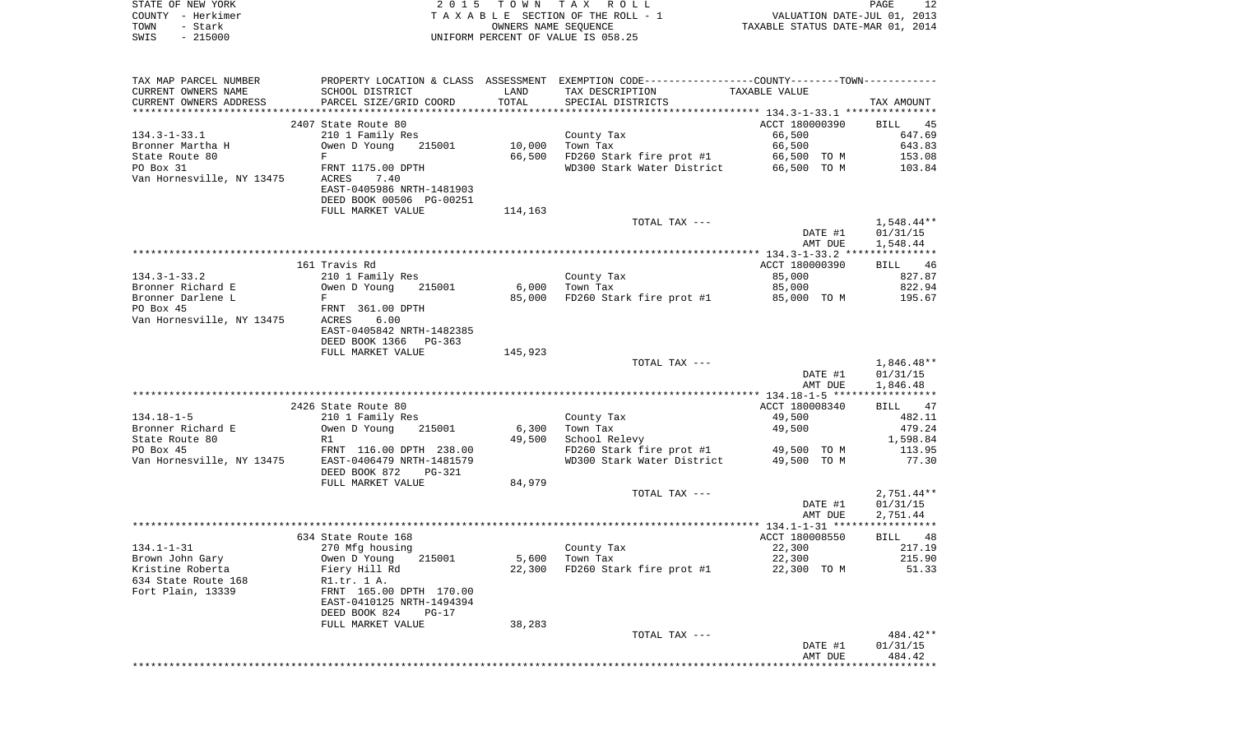|      | STATE OF NEW YORK     | 2015 TOWN TAX ROLL                                                                             | PAGE                             | 12 |
|------|-----------------------|------------------------------------------------------------------------------------------------|----------------------------------|----|
|      | COUNTY - Herkimer     | TAXABLE SECTION OF THE ROLL - 1                                                                | VALUATION DATE-JUL 01, 2013      |    |
| TOWN | - Stark               | OWNERS NAME SEOUENCE                                                                           | TAXABLE STATUS DATE-MAR 01, 2014 |    |
| SWIS | $-215000$             | UNIFORM PERCENT OF VALUE IS 058.25                                                             |                                  |    |
|      |                       |                                                                                                |                                  |    |
|      |                       |                                                                                                |                                  |    |
|      |                       |                                                                                                |                                  |    |
|      | TAX MAP PARCEL NUMBER | PROPERTY LOCATION & CLASS ASSESSMENT EXEMPTION CODE----------------COUNTY-------TOWN---------- |                                  |    |

| CURRENT OWNERS NAME       | SCHOOL DISTRICT                | LAND    | TAX DESCRIPTION                        | TAXABLE VALUE  |                        |
|---------------------------|--------------------------------|---------|----------------------------------------|----------------|------------------------|
| CURRENT OWNERS ADDRESS    | PARCEL SIZE/GRID COORD         | TOTAL   | SPECIAL DISTRICTS                      |                | TAX AMOUNT             |
| ***********************   |                                |         |                                        |                |                        |
|                           | 2407 State Route 80            |         |                                        | ACCT 180000390 | <b>BILL</b><br>45      |
| $134.3 - 1 - 33.1$        | 210 1 Family Res               |         | County Tax                             | 66,500         | 647.69                 |
| Bronner Martha H          | Owen D Young<br>215001         | 10,000  | Town Tax                               | 66,500         | 643.83                 |
| State Route 80            | $\mathbf F$                    | 66,500  | FD260 Stark fire prot #1               | 66,500 TO M    | 153.08                 |
| PO Box 31                 | FRNT 1175.00 DPTH              |         | WD300 Stark Water District             | 66,500 TO M    | 103.84                 |
| Van Hornesville, NY 13475 | ACRES<br>7.40                  |         |                                        |                |                        |
|                           | EAST-0405986 NRTH-1481903      |         |                                        |                |                        |
|                           | DEED BOOK 00506 PG-00251       |         |                                        |                |                        |
|                           | FULL MARKET VALUE              | 114,163 |                                        |                |                        |
|                           |                                |         | TOTAL TAX ---                          |                | $1,548.44**$           |
|                           |                                |         |                                        | DATE #1        | 01/31/15               |
|                           |                                |         |                                        | AMT DUE        | 1,548.44               |
|                           |                                |         |                                        |                |                        |
|                           | 161 Travis Rd                  |         |                                        | ACCT 180000390 | <b>BILL</b><br>46      |
| $134.3 - 1 - 33.2$        | 210 1 Family Res               |         | County Tax                             | 85,000         | 827.87                 |
| Bronner Richard E         | Owen D Young<br>215001         | 6,000   | Town Tax                               | 85,000         | 822.94                 |
| Bronner Darlene L         | F                              | 85,000  | FD260 Stark fire prot #1               | 85,000 TO M    | 195.67                 |
| PO Box 45                 | FRNT 361.00 DPTH               |         |                                        |                |                        |
| Van Hornesville, NY 13475 | 6.00<br>ACRES                  |         |                                        |                |                        |
|                           | EAST-0405842 NRTH-1482385      |         |                                        |                |                        |
|                           | DEED BOOK 1366<br>$PG-363$     |         |                                        |                |                        |
|                           | FULL MARKET VALUE              | 145,923 |                                        |                |                        |
|                           |                                |         | TOTAL TAX ---                          |                | $1,846.48**$           |
|                           |                                |         |                                        | DATE #1        | 01/31/15               |
|                           |                                |         |                                        | AMT DUE        | 1,846.48               |
|                           |                                |         |                                        |                |                        |
|                           | 2426 State Route 80            |         |                                        | ACCT 180008340 | 47<br>BILL             |
| $134.18 - 1 - 5$          | 210 1 Family Res               |         | County Tax                             | 49,500         | 482.11                 |
| Bronner Richard E         | Owen D Young<br>215001         | 6,300   | Town Tax                               | 49,500         | 479.24                 |
| State Route 80            | R1                             | 49,500  | School Relevy                          |                | 1,598.84               |
| PO Box 45                 | FRNT 116.00 DPTH 238.00        |         | FD260 Stark fire prot $#1$ 49,500 TO M |                | 113.95                 |
| Van Hornesville, NY 13475 | EAST-0406479 NRTH-1481579      |         | WD300 Stark Water District             | 49,500 TO M    | 77.30                  |
|                           | DEED BOOK 872<br><b>PG-321</b> |         |                                        |                |                        |
|                           | FULL MARKET VALUE              | 84,979  |                                        |                |                        |
|                           |                                |         | TOTAL TAX ---                          |                | $2,751.44**$           |
|                           |                                |         |                                        | DATE #1        | 01/31/15               |
|                           |                                |         |                                        | AMT DUE        | 2,751.44               |
|                           |                                |         |                                        |                |                        |
|                           | 634 State Route 168            |         |                                        | ACCT 180008550 | BILL 48                |
| $134.1 - 1 - 31$          | 270 Mfg housing                |         | County Tax                             | 22,300         | 217.19                 |
| Brown John Gary           | 215001<br>Owen D Young         | 5,600   | Town Tax                               | 22,300         | 215.90                 |
| Kristine Roberta          | Fiery Hill Rd                  | 22,300  | FD260 Stark fire prot #1               | 22,300 TO M    | 51.33                  |
| 634 State Route 168       | R1.tr. 1 A.                    |         |                                        |                |                        |
|                           | FRNT 165.00 DPTH 170.00        |         |                                        |                |                        |
| Fort Plain, 13339         | EAST-0410125 NRTH-1494394      |         |                                        |                |                        |
|                           |                                |         |                                        |                |                        |
|                           | DEED BOOK 824<br>$PG-17$       |         |                                        |                |                        |
|                           | FULL MARKET VALUE              | 38,283  |                                        |                |                        |
|                           |                                |         | TOTAL TAX ---                          |                | 484.42**               |
|                           |                                |         |                                        | DATE #1        | 01/31/15               |
|                           |                                |         |                                        | AMT DUE        | 484.42<br>************ |
|                           |                                |         |                                        |                |                        |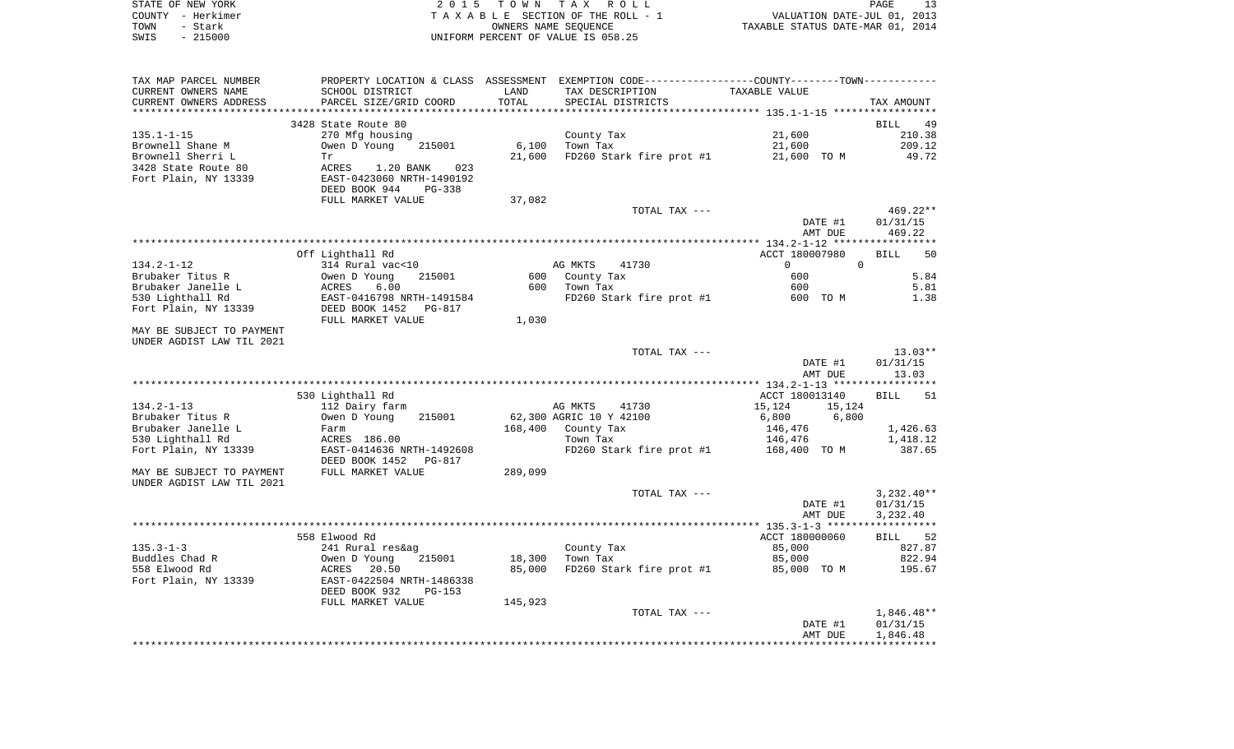| STATE OF NEW YORK | 2015 TOWN TAX ROLL                 | PAGE                             |
|-------------------|------------------------------------|----------------------------------|
| COUNTY - Herkimer | TAXABLE SECTION OF THE ROLL - 1    | VALUATION DATE-JUL 01, 2013      |
| TOWN<br>– Stark   | OWNERS NAME SEOUENCE               | TAXABLE STATUS DATE-MAR 01, 2014 |
| $-215000$<br>SWIS | UNIFORM PERCENT OF VALUE IS 058.25 |                                  |

| TAX MAP PARCEL NUMBER<br>CURRENT OWNERS NAME    | SCHOOL DISTRICT                                        | LAND    | PROPERTY LOCATION & CLASS ASSESSMENT EXEMPTION CODE----------------COUNTY--------TOWN-----------<br>TAX DESCRIPTION | TAXABLE VALUE                    |                   |
|-------------------------------------------------|--------------------------------------------------------|---------|---------------------------------------------------------------------------------------------------------------------|----------------------------------|-------------------|
| CURRENT OWNERS ADDRESS<br>********************* | PARCEL SIZE/GRID COORD<br>**************************** | TOTAL   | SPECIAL DISTRICTS                                                                                                   |                                  | TAX AMOUNT        |
|                                                 | 3428 State Route 80                                    |         |                                                                                                                     |                                  | BILL<br>49        |
| $135.1 - 1 - 15$                                | 270 Mfg housing                                        |         | County Tax                                                                                                          | 21,600                           | 210.38            |
| Brownell Shane M                                | Owen D Young<br>215001                                 | 6,100   | Town Tax                                                                                                            | 21,600                           | 209.12            |
| Brownell Sherri L                               | Tr                                                     | 21,600  | FD260 Stark fire prot #1                                                                                            | 21,600 TO M                      | 49.72             |
| 3428 State Route 80                             | ACRES<br>1.20 BANK<br>023                              |         |                                                                                                                     |                                  |                   |
| Fort Plain, NY 13339                            | EAST-0423060 NRTH-1490192                              |         |                                                                                                                     |                                  |                   |
|                                                 | DEED BOOK 944<br><b>PG-338</b>                         |         |                                                                                                                     |                                  |                   |
|                                                 | FULL MARKET VALUE                                      | 37,082  |                                                                                                                     |                                  |                   |
|                                                 |                                                        |         | TOTAL TAX ---                                                                                                       |                                  | 469.22**          |
|                                                 |                                                        |         |                                                                                                                     | DATE #1                          | 01/31/15          |
|                                                 |                                                        |         |                                                                                                                     | AMT DUE                          | 469.22            |
|                                                 |                                                        |         |                                                                                                                     |                                  |                   |
|                                                 | Off Lighthall Rd                                       |         |                                                                                                                     | ACCT 180007980                   | <b>BILL</b><br>50 |
| 134.2-1-12                                      | 314 Rural vac<10                                       |         | AG MKTS<br>41730                                                                                                    | $\overline{0}$<br>$\overline{0}$ |                   |
| Brubaker Titus R                                | Owen D Young<br>215001                                 | 600     | County Tax                                                                                                          | 600                              | 5.84              |
| Brubaker Janelle L                              | ACRES<br>6.00                                          | 600     | Town Tax                                                                                                            | 600                              | 5.81              |
| 530 Lighthall Rd                                | EAST-0416798 NRTH-1491584                              |         | FD260 Stark fire prot #1                                                                                            | 600 TO M                         | 1.38              |
| Fort Plain, NY 13339                            | DEED BOOK 1452<br>PG-817                               |         |                                                                                                                     |                                  |                   |
| MAY BE SUBJECT TO PAYMENT                       | FULL MARKET VALUE                                      | 1,030   |                                                                                                                     |                                  |                   |
| UNDER AGDIST LAW TIL 2021                       |                                                        |         |                                                                                                                     |                                  |                   |
|                                                 |                                                        |         | TOTAL TAX ---                                                                                                       |                                  | $13.03**$         |
|                                                 |                                                        |         |                                                                                                                     | DATE #1                          | 01/31/15          |
|                                                 |                                                        |         |                                                                                                                     | AMT DUE                          | 13.03             |
|                                                 |                                                        |         |                                                                                                                     |                                  |                   |
|                                                 | 530 Lighthall Rd                                       |         |                                                                                                                     | ACCT 180013140                   | 51<br><b>BILL</b> |
| $134.2 - 1 - 13$                                | 112 Dairy farm                                         |         | AG MKTS<br>41730                                                                                                    | 15,124<br>15,124                 |                   |
| Brubaker Titus R                                | 215001<br>Owen D Young                                 |         | 62,300 AGRIC 10 Y 42100                                                                                             | 6,800<br>6,800                   |                   |
| Brubaker Janelle L                              | Farm                                                   | 168,400 | County Tax                                                                                                          | 146,476                          | 1,426.63          |
| 530 Lighthall Rd                                | ACRES 186.00                                           |         | Town Tax                                                                                                            | 146,476                          | 1,418.12          |
| Fort Plain, NY 13339                            | EAST-0414636 NRTH-1492608                              |         | FD260 Stark fire prot #1                                                                                            | 168,400 TO M                     | 387.65            |
|                                                 | DEED BOOK 1452<br>PG-817                               |         |                                                                                                                     |                                  |                   |
| MAY BE SUBJECT TO PAYMENT                       | FULL MARKET VALUE                                      | 289,099 |                                                                                                                     |                                  |                   |
| UNDER AGDIST LAW TIL 2021                       |                                                        |         |                                                                                                                     |                                  |                   |
|                                                 |                                                        |         | TOTAL TAX ---                                                                                                       |                                  | $3,232.40**$      |
|                                                 |                                                        |         |                                                                                                                     | DATE #1                          | 01/31/15          |
|                                                 |                                                        |         |                                                                                                                     | AMT DUE                          | 3,232.40          |
|                                                 |                                                        |         |                                                                                                                     |                                  |                   |
| $135.3 - 1 - 3$                                 | 558 Elwood Rd                                          |         |                                                                                                                     | ACCT 180000060<br>85,000         | BILL 52<br>827.87 |
| Buddles Chad R                                  | 241 Rural res&ag<br>Owen D Young<br>215001             | 18,300  | County Tax<br>Town Tax                                                                                              | 85,000                           | 822.94            |
| 558 Elwood Rd                                   | 20.50<br>ACRES                                         | 85,000  | FD260 Stark fire prot #1                                                                                            | 85,000 TO M                      | 195.67            |
| Fort Plain, NY 13339                            | EAST-0422504 NRTH-1486338                              |         |                                                                                                                     |                                  |                   |
|                                                 | DEED BOOK 932<br>$PG-153$                              |         |                                                                                                                     |                                  |                   |
|                                                 | FULL MARKET VALUE                                      | 145,923 |                                                                                                                     |                                  |                   |
|                                                 |                                                        |         | TOTAL TAX ---                                                                                                       |                                  | $1,846.48**$      |
|                                                 |                                                        |         |                                                                                                                     | DATE #1                          | 01/31/15          |
|                                                 |                                                        |         |                                                                                                                     | AMT DUE                          | 1,846.48          |
|                                                 |                                                        |         |                                                                                                                     |                                  |                   |
|                                                 |                                                        |         |                                                                                                                     |                                  |                   |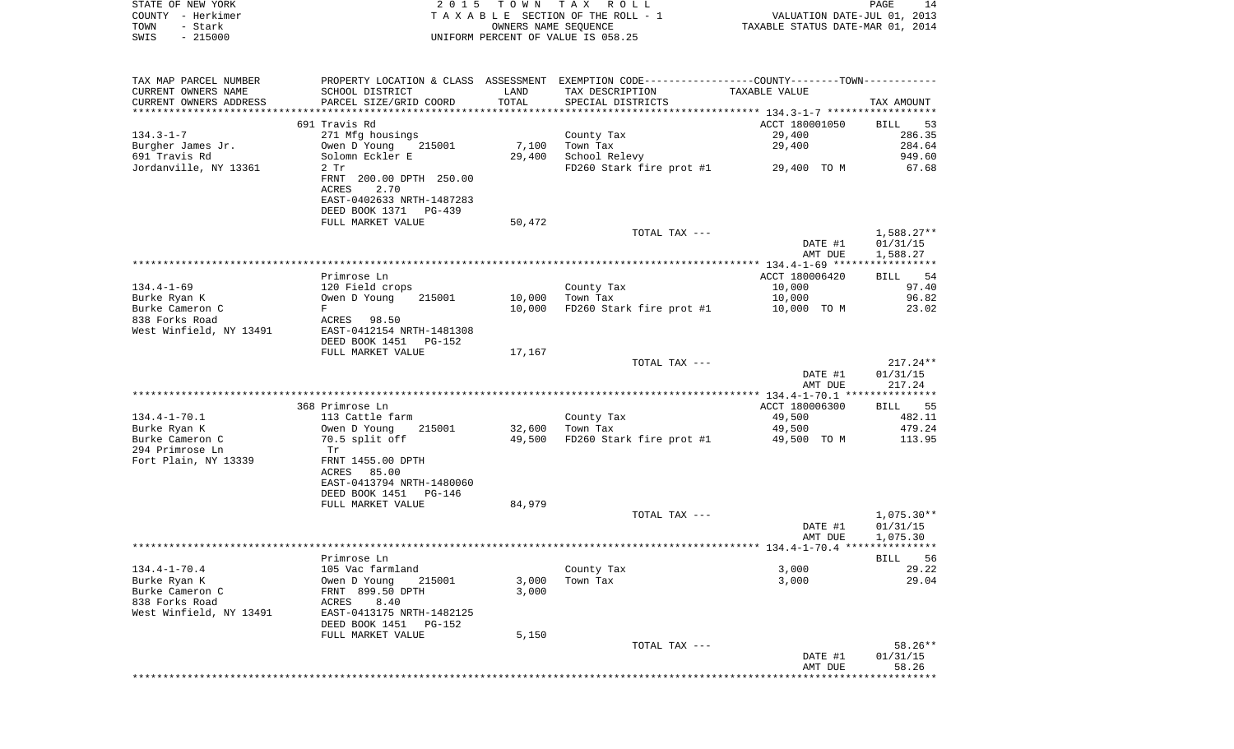| STATE OF NEW YORK      | 2 0 1 5                      | T O W N              | R O L L<br>T A X                                                                               |                                  | 14<br>PAGE        |
|------------------------|------------------------------|----------------------|------------------------------------------------------------------------------------------------|----------------------------------|-------------------|
| COUNTY<br>- Herkimer   |                              |                      | TAXABLE SECTION OF THE ROLL - 1                                                                | VALUATION DATE-JUL 01, 2013      |                   |
| - Stark<br>TOWN        |                              | OWNERS NAME SEQUENCE |                                                                                                | TAXABLE STATUS DATE-MAR 01, 2014 |                   |
| SWIS<br>$-215000$      |                              |                      | UNIFORM PERCENT OF VALUE IS 058.25                                                             |                                  |                   |
| TAX MAP PARCEL NUMBER  |                              |                      | PROPERTY LOCATION & CLASS ASSESSMENT EXEMPTION CODE----------------COUNTY-------TOWN---------- |                                  |                   |
| CURRENT OWNERS NAME    | SCHOOL DISTRICT              | LAND                 | TAX DESCRIPTION                                                                                | TAXABLE VALUE                    |                   |
| CURRENT OWNERS ADDRESS | PARCEL SIZE/GRID COORD       | TOTAL                | SPECIAL DISTRICTS                                                                              |                                  | TAX AMOUNT        |
|                        |                              |                      |                                                                                                |                                  |                   |
|                        | 691 Travis Rd                |                      |                                                                                                | ACCT 180001050                   | 53<br><b>BILL</b> |
| $134.3 - 1 - 7$        | 271 Mfg housings             |                      | County Tax                                                                                     | 29,400                           | 286.35            |
| Burgher James Jr.      | 215001 7,100<br>Owen D Young |                      | Town Tax                                                                                       | 29,400                           | 284.64            |
| 691 Travis Rd          | Solomn Eckler E              | 29,400               | School Relevy                                                                                  |                                  | 949.60            |
| Jordanville, NY 13361  | $2$ Tr                       |                      | FD260 Stark fire prot #1                                                                       | 29,400 TO M                      | 67.68             |
|                        | FRNT 200.00 DPTH 250.00      |                      |                                                                                                |                                  |                   |
|                        | 2.70<br>ACRES                |                      |                                                                                                |                                  |                   |
|                        | EAST-0402633 NRTH-1487283    |                      |                                                                                                |                                  |                   |
|                        | DEED BOOK 1371 PG-439        |                      |                                                                                                |                                  |                   |
|                        | FULL MARKET VALUE            | 50,472               |                                                                                                |                                  |                   |
|                        |                              |                      | TOTAL TAX ---                                                                                  |                                  | $1,588.27**$      |
|                        |                              |                      |                                                                                                | DATE #1                          | 01/31/15          |
|                        |                              |                      |                                                                                                | AMT DUE                          | 1,588.27          |
|                        |                              |                      |                                                                                                |                                  |                   |
|                        | Primrose Ln                  |                      |                                                                                                | ACCT 180006420                   | 54<br><b>BILL</b> |
| $134.4 - 1 - 69$       | 120 Field crops              |                      | County Tax                                                                                     | 10,000                           | 97.40             |
| Burke Ryan K           | Owen D Young<br>215001       | 10,000               | Town Tax                                                                                       | 10,000 10                        | 96.82             |
| Burke Cameron C        | $\mathbf F$                  | 10,000               | FD260 Stark fire prot #1                                                                       | 10,000 TO M                      | 23.02             |
| 838 Forks Road         | ACRES<br>98.50               |                      |                                                                                                |                                  |                   |

West Winfield, NY 13491 EAST-0412154 NRTH-1481308

DEED BOOK 1451 PG-152

FULL MARKET VALUE 17,167 TOTAL TAX --- $217.24**$  DATE #1 01/31/15 AMT DUE 217.24 \*\*\*\*\*\*\*\*\*\*\*\*\*\*\*\*\*\*\*\*\*\*\*\*\*\*\*\*\*\*\*\*\*\*\*\*\*\*\*\*\*\*\*\*\*\*\*\*\*\*\*\*\*\*\*\*\*\*\*\*\*\*\*\*\*\*\*\*\*\*\*\*\*\*\*\*\*\*\*\*\*\*\*\*\*\*\*\*\*\*\*\*\*\*\*\*\*\*\*\*\*\*\* 134.4-1-70.1 \*\*\*\*\*\*\*\*\*\*\*\*\*\*\*368 Primrose Ln **ACCT 180006300** BILL 555 Primrose Ln **ACCT** 180006300 134.4-1-70.1 113 Cattle farm County Tax 49,500 482.11 Burke Ryan K Owen D Young 215001 32,600 Town Tax 49,500 479.24 70.5 split off  $49,500$  FD260 Stark fire prot #1 294 Primrose Ln Tr FRNT 1455.00 DPTH Fort Plain, NY 13339 ACRES 85.00 EAST-0413794 NRTH-1480060 DEED BOOK 1451 PG-146FULL MARKET VALUE 84,979 TOTAL TAX  $---$  1,075.30\*\* DATE #1 01/31/15 AMT DUE 1,075.30 \*\*\*\*\*\*\*\*\*\*\*\*\*\*\*\*\*\*\*\*\*\*\*\*\*\*\*\*\*\*\*\*\*\*\*\*\*\*\*\*\*\*\*\*\*\*\*\*\*\*\*\*\*\*\*\*\*\*\*\*\*\*\*\*\*\*\*\*\*\*\*\*\*\*\*\*\*\*\*\*\*\*\*\*\*\*\*\*\*\*\*\*\*\*\*\*\*\*\*\*\*\*\* 134.4-1-70.4 \*\*\*\*\*\*\*\*\*\*\*\*\*\*\* Primrose Ln BILL 56 134.4-1-70.4 105 Vac farmland County Tax 3,000 29.22 Burke Ryan K Owen D Young 215001 3,000 Town Tax 3,000 29.04 Burke Cameron C FRNT 899.50 DPTH 3,000 838 Forks Road ACRES 8.40 West Winfield, NY 13491 EAST-0413175 NRTH-1482125 DEED BOOK 1451 PG-152FULL MARKET VALUE 5,150 TOTAL TAX --- 58.26\*\* DATE #1 01/31/15 AMT DUE 58.26\*\*\*\*\*\*\*\*\*\*\*\*\*\*\*\*\*\*\*\*\*\*\*\*\*\*\*\*\*\*\*\*\*\*\*\*\*\*\*\*\*\*\*\*\*\*\*\*\*\*\*\*\*\*\*\*\*\*\*\*\*\*\*\*\*\*\*\*\*\*\*\*\*\*\*\*\*\*\*\*\*\*\*\*\*\*\*\*\*\*\*\*\*\*\*\*\*\*\*\*\*\*\*\*\*\*\*\*\*\*\*\*\*\*\*\*\*\*\*\*\*\*\*\*\*\*\*\*\*\*\*\*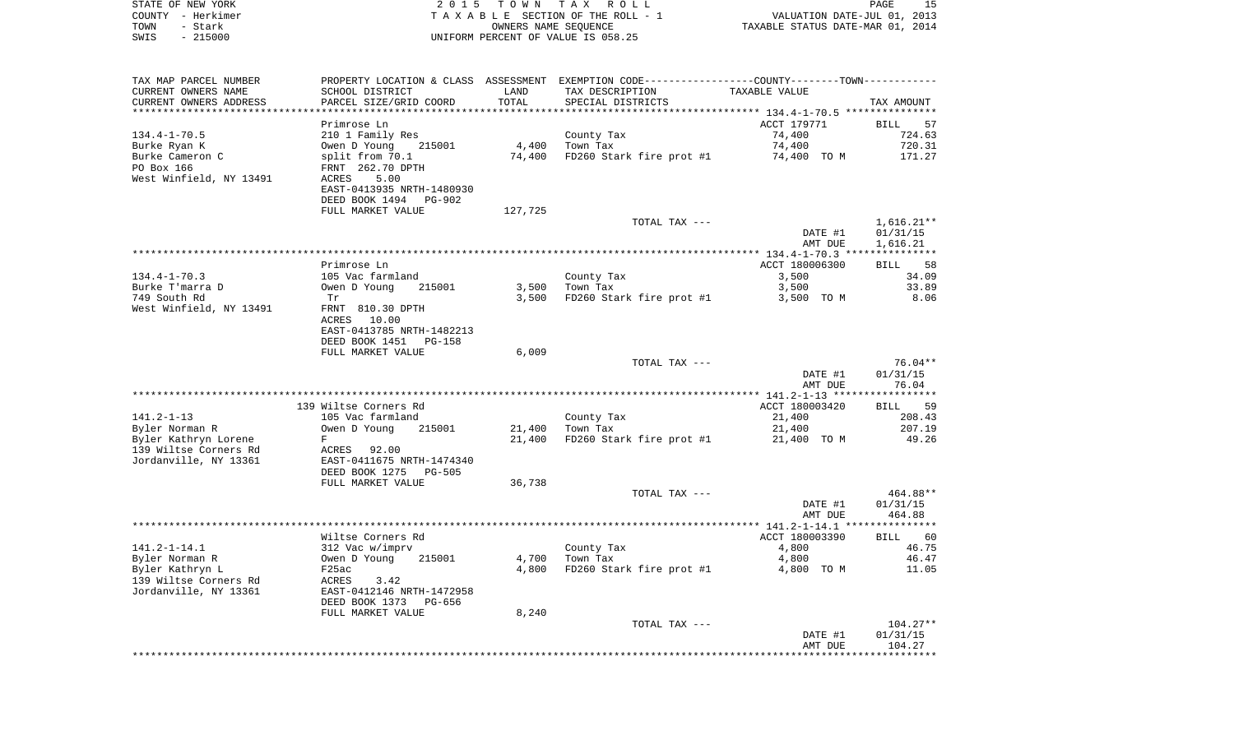| STATE OF NEW YORK<br>COUNTY - Herkimer<br>- Stark<br>TOWN<br>$-215000$<br>SWIS | 2 0 1 5                                     | T O W N<br>OWNERS NAME SEQUENCE | TAX ROLL<br>TAXABLE SECTION OF THE ROLL - 1<br>UNIFORM PERCENT OF VALUE IS 058.25 | VALUATION DATE-JUL 01, 2013<br>TAXABLE STATUS DATE-MAR 01, 2014 | PAGE<br>15          |
|--------------------------------------------------------------------------------|---------------------------------------------|---------------------------------|-----------------------------------------------------------------------------------|-----------------------------------------------------------------|---------------------|
|                                                                                |                                             |                                 |                                                                                   |                                                                 |                     |
| TAX MAP PARCEL NUMBER                                                          | PROPERTY LOCATION & CLASS ASSESSMENT        |                                 | EXEMPTION CODE-----------------COUNTY-------TOWN-----------                       |                                                                 |                     |
| CURRENT OWNERS NAME                                                            | SCHOOL DISTRICT                             | LAND                            | TAX DESCRIPTION                                                                   | TAXABLE VALUE                                                   |                     |
| CURRENT OWNERS ADDRESS                                                         | PARCEL SIZE/GRID COORD                      | TOTAL                           | SPECIAL DISTRICTS                                                                 |                                                                 | TAX AMOUNT          |
| ***********************                                                        |                                             |                                 |                                                                                   |                                                                 |                     |
|                                                                                | Primrose Ln                                 |                                 |                                                                                   | ACCT 179771                                                     | BILL<br>57          |
| $134.4 - 1 - 70.5$                                                             | 210 1 Family Res                            | 4,400                           | County Tax<br>Town Tax                                                            | 74,400<br>74,400                                                | 724.63<br>720.31    |
| Burke Ryan K<br>Burke Cameron C                                                | Owen D Young<br>215001<br>split from 70.1   | 74,400                          | FD260 Stark fire prot #1                                                          | 74,400 TO M                                                     | 171.27              |
| PO Box 166                                                                     | FRNT 262.70 DPTH                            |                                 |                                                                                   |                                                                 |                     |
| West Winfield, NY 13491                                                        | ACRES<br>5.00                               |                                 |                                                                                   |                                                                 |                     |
|                                                                                | EAST-0413935 NRTH-1480930                   |                                 |                                                                                   |                                                                 |                     |
|                                                                                | DEED BOOK 1494<br>PG-902                    |                                 |                                                                                   |                                                                 |                     |
|                                                                                | FULL MARKET VALUE                           | 127,725                         |                                                                                   |                                                                 |                     |
|                                                                                |                                             |                                 | TOTAL TAX ---                                                                     |                                                                 | $1,616.21**$        |
|                                                                                |                                             |                                 |                                                                                   | DATE #1                                                         | 01/31/15            |
|                                                                                |                                             |                                 |                                                                                   | AMT DUE                                                         | 1,616.21            |
|                                                                                | Primrose Ln                                 |                                 |                                                                                   | ACCT 180006300                                                  | 58<br>BILL          |
| $134.4 - 1 - 70.3$                                                             | 105 Vac farmland                            |                                 | County Tax                                                                        | 3,500                                                           | 34.09               |
| Burke T'marra D                                                                | Owen D Young<br>215001                      | 3,500                           | Town Tax                                                                          | 3,500                                                           | 33.89               |
| 749 South Rd                                                                   | Tr                                          | 3,500                           | FD260 Stark fire prot #1                                                          | 3,500 TO M                                                      | 8.06                |
| West Winfield, NY 13491                                                        | FRNT 810.30 DPTH<br>ACRES 10.00             |                                 |                                                                                   |                                                                 |                     |
|                                                                                | EAST-0413785 NRTH-1482213                   |                                 |                                                                                   |                                                                 |                     |
|                                                                                | DEED BOOK 1451<br>PG-158                    |                                 |                                                                                   |                                                                 |                     |
|                                                                                | FULL MARKET VALUE                           | 6,009                           |                                                                                   |                                                                 | 76.04**             |
|                                                                                |                                             |                                 | TOTAL TAX ---                                                                     | DATE #1                                                         | 01/31/15            |
|                                                                                |                                             |                                 |                                                                                   | AMT DUE                                                         | 76.04               |
|                                                                                |                                             |                                 |                                                                                   |                                                                 |                     |
|                                                                                | 139 Wiltse Corners Rd                       |                                 |                                                                                   | ACCT 180003420                                                  | 59<br>BILL          |
| $141.2 - 1 - 13$                                                               | 105 Vac farmland                            |                                 | County Tax                                                                        | 21,400                                                          | 208.43              |
| Byler Norman R                                                                 | 215001<br>Owen D Young                      | 21,400                          | Town Tax                                                                          | 21,400                                                          | 207.19              |
| Byler Kathryn Lorene                                                           | F                                           | 21,400                          | FD260 Stark fire prot #1                                                          | 21,400 TO M                                                     | 49.26               |
| 139 Wiltse Corners Rd<br>Jordanville, NY 13361                                 | ACRES<br>92.00<br>EAST-0411675 NRTH-1474340 |                                 |                                                                                   |                                                                 |                     |
|                                                                                | DEED BOOK 1275<br>PG-505                    |                                 |                                                                                   |                                                                 |                     |
|                                                                                | FULL MARKET VALUE                           | 36,738                          |                                                                                   |                                                                 |                     |
|                                                                                |                                             |                                 | TOTAL TAX ---                                                                     |                                                                 | 464.88**            |
|                                                                                |                                             |                                 |                                                                                   | DATE #1                                                         | 01/31/15            |
|                                                                                |                                             |                                 |                                                                                   | AMT DUE                                                         | 464.88              |
|                                                                                | Wiltse Corners Rd                           |                                 |                                                                                   |                                                                 |                     |
| $141.2 - 1 - 14.1$                                                             | 312 Vac w/imprv                             |                                 |                                                                                   | ACCT 180003390<br>4,800                                         | 60<br>BILL<br>46.75 |
| Byler Norman R                                                                 | Owen D Young<br>215001                      | 4,700                           | County Tax<br>Town Tax                                                            | 4,800                                                           | 46.47               |
| Byler Kathryn L                                                                | F25ac                                       | 4,800                           | FD260 Stark fire prot #1                                                          | 4,800 TO M                                                      | 11.05               |
| 139 Wiltse Corners Rd                                                          | ACRES<br>3.42                               |                                 |                                                                                   |                                                                 |                     |
| Jordanville, NY 13361                                                          | EAST-0412146 NRTH-1472958                   |                                 |                                                                                   |                                                                 |                     |
|                                                                                | DEED BOOK 1373<br>PG-656                    |                                 |                                                                                   |                                                                 |                     |
|                                                                                | FULL MARKET VALUE                           | 8,240                           |                                                                                   |                                                                 |                     |
|                                                                                |                                             |                                 | TOTAL TAX ---                                                                     |                                                                 | 104.27**            |
|                                                                                |                                             |                                 |                                                                                   | DATE #1<br>AMT DUE                                              | 01/31/15<br>104.27  |
|                                                                                |                                             |                                 |                                                                                   | *******************************                                 |                     |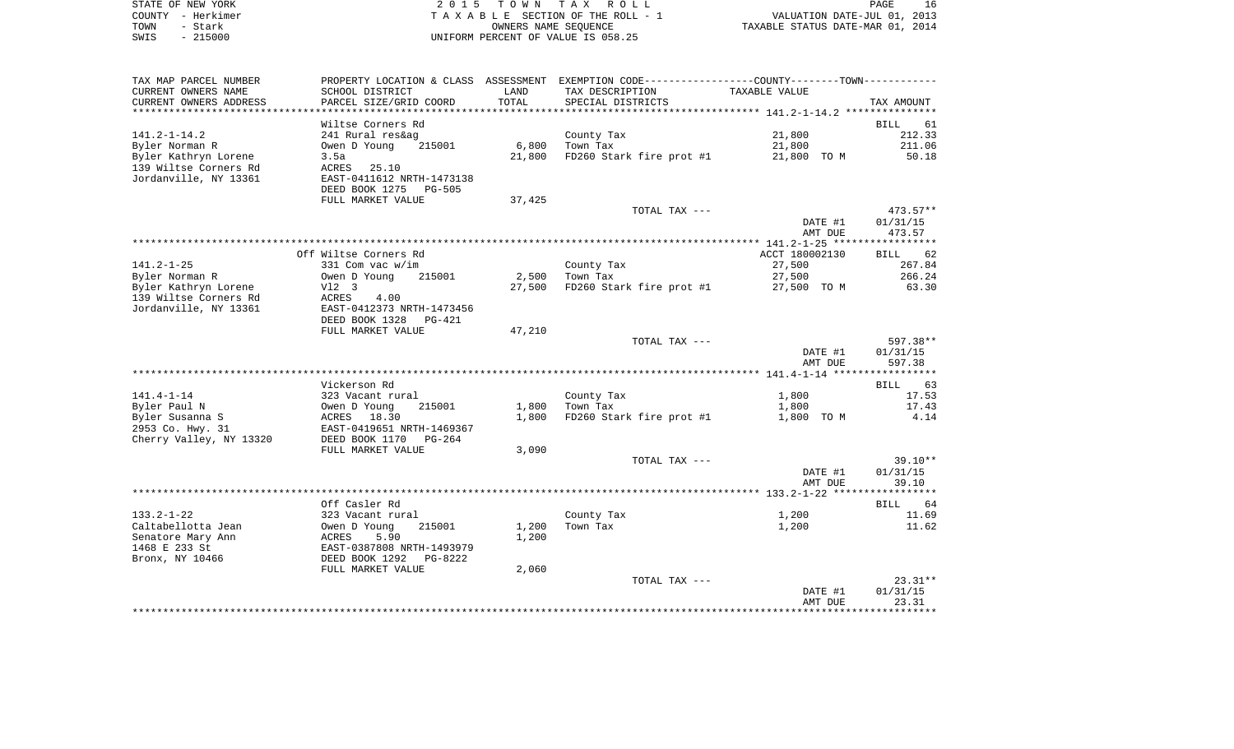|      | STATE OF NEW YORK | 2015 TOWN TAX ROLL                 | 16<br>PAGE                       |
|------|-------------------|------------------------------------|----------------------------------|
|      | COUNTY - Herkimer | TAXABLE SECTION OF THE ROLL - 1    | VALUATION DATE-JUL 01, 2013      |
| TOWN | - Stark           | OWNERS NAME SEOUENCE               | TAXABLE STATUS DATE-MAR 01, 2014 |
| SWIS | $-215000$         | UNIFORM PERCENT OF VALUE IS 058.25 |                                  |

| TAX MAP PARCEL NUMBER   | PROPERTY LOCATION & CLASS | ASSESSMENT                  | EXEMPTION CODE----------------COUNTY-------TOWN----------- |                |                      |
|-------------------------|---------------------------|-----------------------------|------------------------------------------------------------|----------------|----------------------|
| CURRENT OWNERS NAME     | SCHOOL DISTRICT           | LAND                        | TAX DESCRIPTION                                            | TAXABLE VALUE  |                      |
| CURRENT OWNERS ADDRESS  | PARCEL SIZE/GRID COORD    | TOTAL                       | SPECIAL DISTRICTS                                          |                | TAX AMOUNT           |
| *******************     | ******************        | * * * * * * * * * * * * * * |                                                            |                |                      |
|                         | Wiltse Corners Rd         |                             |                                                            |                | <b>BILL</b><br>61    |
| $141.2 - 1 - 14.2$      | 241 Rural res&ag          |                             | County Tax                                                 | 21,800         | 212.33               |
| Byler Norman R          | Owen D Young<br>215001    | 6,800                       | Town Tax                                                   | 21,800         | 211.06               |
| Byler Kathryn Lorene    | 3.5a                      | 21,800                      | FD260 Stark fire prot #1                                   | 21,800 TO M    | 50.18                |
| 139 Wiltse Corners Rd   | <b>ACRES</b><br>25.10     |                             |                                                            |                |                      |
| Jordanville, NY 13361   | EAST-0411612 NRTH-1473138 |                             |                                                            |                |                      |
|                         | DEED BOOK 1275 PG-505     |                             |                                                            |                |                      |
|                         | FULL MARKET VALUE         | 37,425                      |                                                            |                |                      |
|                         |                           |                             | TOTAL TAX ---                                              |                | $473.57**$           |
|                         |                           |                             |                                                            | DATE #1        | 01/31/15             |
|                         |                           |                             |                                                            | AMT DUE        | 473.57               |
|                         |                           |                             |                                                            |                |                      |
|                         | Off Wiltse Corners Rd     |                             |                                                            | ACCT 180002130 | <b>BILL</b><br>62    |
| $141.2 - 1 - 25$        | 331 Com vac w/im          |                             | County Tax                                                 | 27,500         | 267.84               |
| Byler Norman R          | Owen D Young<br>215001    | 2,500                       | Town Tax                                                   | 27,500         | 266.24               |
| Byler Kathryn Lorene    | V12 3                     | 27,500                      | FD260 Stark fire prot #1                                   | 27,500 TO M    | 63.30                |
| 139 Wiltse Corners Rd   | ACRES<br>4.00             |                             |                                                            |                |                      |
| Jordanville, NY 13361   | EAST-0412373 NRTH-1473456 |                             |                                                            |                |                      |
|                         | DEED BOOK 1328<br>PG-421  |                             |                                                            |                |                      |
|                         | FULL MARKET VALUE         | 47,210                      |                                                            |                |                      |
|                         |                           |                             | TOTAL TAX ---                                              |                | 597.38**             |
|                         |                           |                             |                                                            | DATE #1        | 01/31/15             |
|                         |                           |                             |                                                            | AMT DUE        | 597.38               |
|                         |                           |                             |                                                            |                |                      |
|                         | Vickerson Rd              |                             |                                                            |                | 63<br>BILL           |
| $141.4 - 1 - 14$        | 323 Vacant rural          |                             | County Tax                                                 | 1,800          | 17.53                |
| Byler Paul N            | Owen D Young<br>215001    | 1,800                       | Town Tax                                                   | 1,800          | 17.43                |
| Byler Susanna S         | ACRES 18.30               | 1,800                       | FD260 Stark fire prot #1                                   | 1,800 TO M     | 4.14                 |
| 2953 Co. Hwy. 31        | EAST-0419651 NRTH-1469367 |                             |                                                            |                |                      |
| Cherry Valley, NY 13320 | DEED BOOK 1170<br>PG-264  |                             |                                                            |                |                      |
|                         | FULL MARKET VALUE         | 3,090                       |                                                            |                |                      |
|                         |                           |                             | TOTAL TAX ---                                              |                | $39.10**$            |
|                         |                           |                             |                                                            | DATE #1        | 01/31/15             |
|                         |                           |                             |                                                            | AMT DUE        | 39.10                |
|                         |                           |                             |                                                            |                |                      |
|                         | Off Casler Rd             |                             |                                                            |                | 64<br>BILL           |
| $133.2 - 1 - 22$        | 323 Vacant rural          |                             | County Tax                                                 | 1,200          | 11.69                |
| Caltabellotta Jean      | Owen D Young<br>215001    | 1,200                       | Town Tax                                                   | 1,200          | 11.62                |
| Senatore Mary Ann       | 5.90<br>ACRES             | 1,200                       |                                                            |                |                      |
| 1468 E 233 St           | EAST-0387808 NRTH-1493979 |                             |                                                            |                |                      |
| Bronx, NY 10466         | DEED BOOK 1292<br>PG-8222 |                             |                                                            |                |                      |
|                         | FULL MARKET VALUE         | 2,060                       |                                                            |                |                      |
|                         |                           |                             | TOTAL TAX ---                                              |                | $23.31**$            |
|                         |                           |                             |                                                            | DATE #1        | 01/31/15             |
|                         |                           |                             |                                                            | AMT DUE        | 23.31<br>*********** |
|                         |                           |                             |                                                            |                |                      |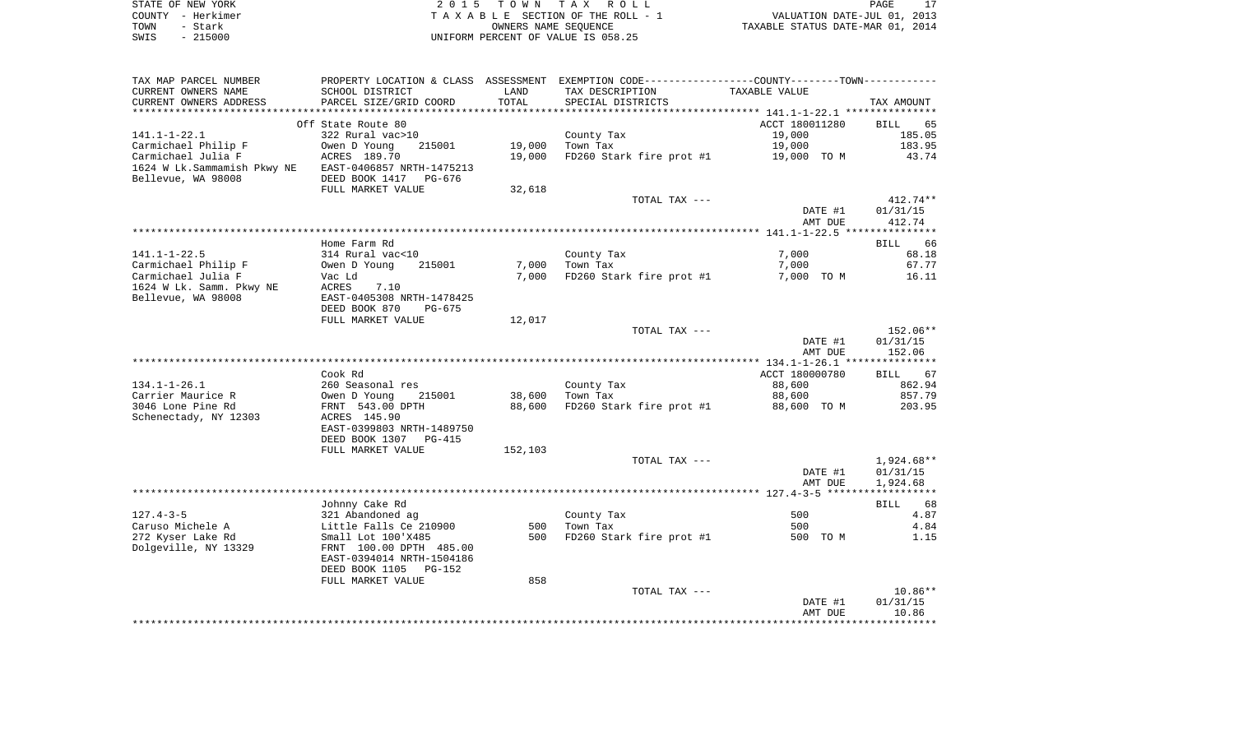| STATE OF NEW YORK | 2015 TOWN TAX ROLL                 | PAGE                             |
|-------------------|------------------------------------|----------------------------------|
| COUNTY - Herkimer | TAXABLE SECTION OF THE ROLL - 1    | VALUATION DATE-JUL 01, 2013      |
| TOWN<br>- Stark   | OWNERS NAME SEOUENCE               | TAXABLE STATUS DATE-MAR 01, 2014 |
| $-215000$<br>SWIS | UNIFORM PERCENT OF VALUE IS 058.25 |                                  |

| TAX MAP PARCEL NUMBER                                  | PROPERTY LOCATION & CLASS ASSESSMENT EXEMPTION CODE---------------COUNTY-------TOWN---------- |                |                                      |                |                        |
|--------------------------------------------------------|-----------------------------------------------------------------------------------------------|----------------|--------------------------------------|----------------|------------------------|
| CURRENT OWNERS NAME<br>CURRENT OWNERS ADDRESS          | SCHOOL DISTRICT<br>PARCEL SIZE/GRID COORD                                                     | LAND<br>TOTAL  | TAX DESCRIPTION<br>SPECIAL DISTRICTS | TAXABLE VALUE  | TAX AMOUNT             |
| *****************                                      |                                                                                               |                |                                      |                |                        |
|                                                        | Off State Route 80                                                                            |                |                                      | ACCT 180011280 | BILL<br>65             |
| 141.1-1-22.1                                           | 322 Rural vac>10                                                                              |                | County Tax                           | 19,000         | 185.05                 |
| Carmichael Philip F                                    | Owen D Young<br>215001                                                                        | 19,000         | Town Tax                             | 19,000         | 183.95                 |
| Carmichael Julia F                                     | ACRES 189.70                                                                                  | 19,000         | FD260 Stark fire prot #1             | 19,000 TO M    | 43.74                  |
| 1624 W Lk. Sammamish Pkwy NE EAST-0406857 NRTH-1475213 |                                                                                               |                |                                      |                |                        |
| Bellevue, WA 98008                                     | DEED BOOK 1417 PG-676<br>FULL MARKET VALUE                                                    |                |                                      |                |                        |
|                                                        |                                                                                               | 32,618         | TOTAL TAX ---                        |                | $412.74**$             |
|                                                        |                                                                                               |                |                                      | DATE #1        | 01/31/15               |
|                                                        |                                                                                               |                |                                      | AMT DUE        | 412.74                 |
|                                                        |                                                                                               |                |                                      |                |                        |
|                                                        | Home Farm Rd                                                                                  |                |                                      |                | BILL<br>66             |
| $141.1 - 1 - 22.5$                                     | 314 Rural vac<10                                                                              |                | County Tax                           | 7,000          | 68.18                  |
| Carmichael Philip F<br>Carmichael Julia F              | Owen D Young<br>215001                                                                        | 7,000<br>7,000 | Town Tax<br>FD260 Stark fire prot #1 | 7,000          | 67.77<br>16.11         |
| 1624 W Lk. Samm. Pkwy NE                               | Vac Ld<br>ACRES<br>7.10                                                                       |                |                                      | 7,000 TO M     |                        |
| Bellevue, WA 98008                                     | EAST-0405308 NRTH-1478425                                                                     |                |                                      |                |                        |
|                                                        | DEED BOOK 870<br>PG-675                                                                       |                |                                      |                |                        |
|                                                        | FULL MARKET VALUE                                                                             | 12,017         |                                      |                |                        |
|                                                        |                                                                                               |                | TOTAL TAX ---                        |                | 152.06**               |
|                                                        |                                                                                               |                |                                      | DATE #1        | 01/31/15               |
|                                                        |                                                                                               |                |                                      | AMT DUE        | 152.06                 |
|                                                        | Cook Rd                                                                                       |                |                                      | ACCT 180000780 | BILL 67                |
| $134.1 - 1 - 26.1$                                     | 260 Seasonal res                                                                              |                | County Tax                           | 88,600         | 862.94                 |
| Carrier Maurice R                                      | Owen D Young<br>215001                                                                        | 38,600         | Town Tax                             | 88,600         | 857.79                 |
| 3046 Lone Pine Rd                                      | FRNT 543.00 DPTH                                                                              | 88,600         | FD260 Stark fire prot #1             | 88,600 TO M    | 203.95                 |
| Schenectady, NY 12303                                  | ACRES 145.90                                                                                  |                |                                      |                |                        |
|                                                        | EAST-0399803 NRTH-1489750                                                                     |                |                                      |                |                        |
|                                                        | DEED BOOK 1307 PG-415                                                                         |                |                                      |                |                        |
|                                                        | FULL MARKET VALUE                                                                             | 152,103        |                                      |                |                        |
|                                                        |                                                                                               |                | TOTAL TAX ---                        | DATE #1        | 1,924.68**<br>01/31/15 |
|                                                        |                                                                                               |                |                                      | AMT DUE        | 1,924.68               |
|                                                        |                                                                                               |                |                                      |                |                        |
|                                                        | Johnny Cake Rd                                                                                |                |                                      |                | BILL 68                |
| $127.4 - 3 - 5$                                        | 321 Abandoned ag                                                                              |                | County Tax                           | 500            | 4.87                   |
| Caruso Michele A                                       | Little Falls Ce 210900                                                                        | 500            | Town Tax                             | 500            | 4.84                   |
| 272 Kyser Lake Rd                                      | Small Lot 100'X485                                                                            | 500            | FD260 Stark fire prot #1             | 500 TO M       | 1.15                   |
| Dolgeville, NY 13329                                   | FRNT 100.00 DPTH 485.00                                                                       |                |                                      |                |                        |
|                                                        | EAST-0394014 NRTH-1504186<br>DEED BOOK 1105<br>PG-152                                         |                |                                      |                |                        |
|                                                        | FULL MARKET VALUE                                                                             | 858            |                                      |                |                        |
|                                                        |                                                                                               |                | TOTAL TAX ---                        |                | $10.86**$              |
|                                                        |                                                                                               |                |                                      | DATE #1        | 01/31/15               |
|                                                        |                                                                                               |                |                                      | AMT DUE        | 10.86                  |
|                                                        |                                                                                               |                |                                      |                |                        |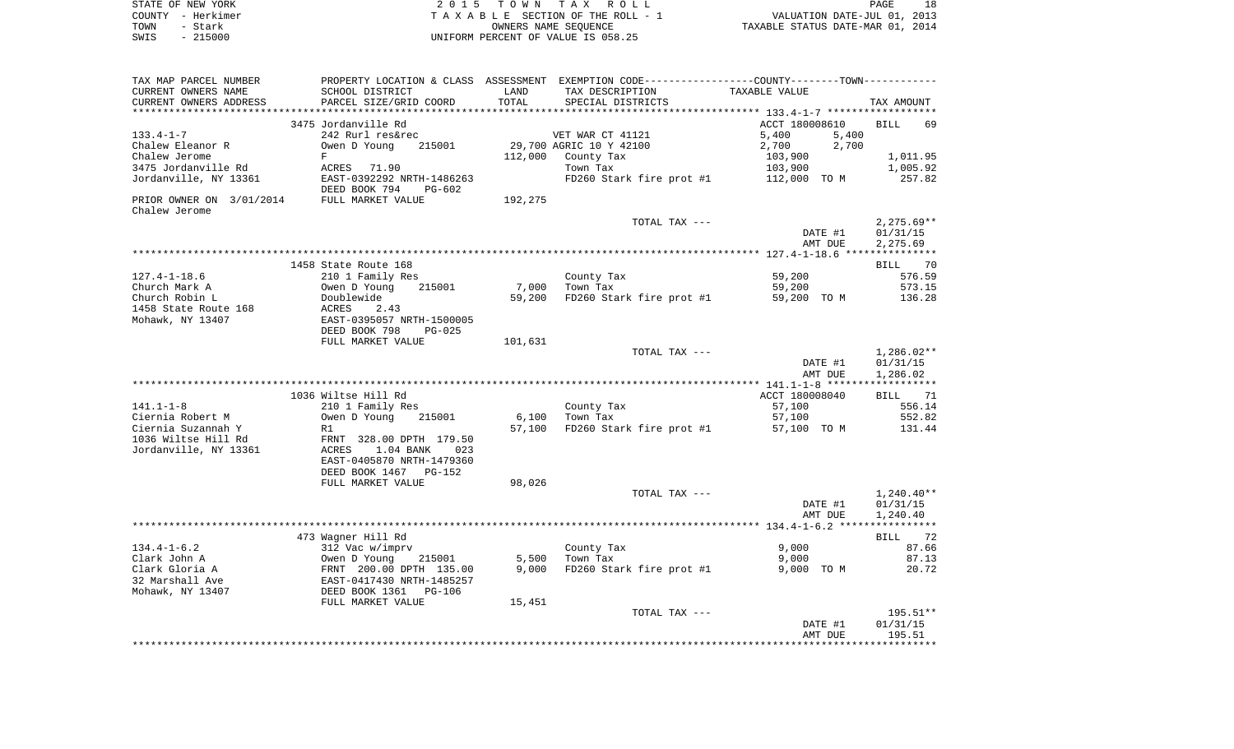| STATE OF NEW YORK | 2015 TOWN TAX ROLL                                             | PAGE | 18 |
|-------------------|----------------------------------------------------------------|------|----|
| COUNTY - Herkimer | VALUATION DATE-JUL 01, 2013<br>TAXABLE SECTION OF THE ROLL - 1 |      |    |
| TOWN<br>- Stark   | TAXABLE STATUS DATE-MAR 01, 2014<br>OWNERS NAME SEOUENCE       |      |    |
| $-215000$<br>SWIS | UNIFORM PERCENT OF VALUE IS 058.25                             |      |    |

| TAX MAP PARCEL NUMBER                     |                                                      |                 | PROPERTY LOCATION & CLASS ASSESSMENT EXEMPTION CODE---------------COUNTY-------TOWN---------- |                |                   |
|-------------------------------------------|------------------------------------------------------|-----------------|-----------------------------------------------------------------------------------------------|----------------|-------------------|
| CURRENT OWNERS NAME                       | SCHOOL DISTRICT                                      | LAND            | TAX DESCRIPTION                                                                               | TAXABLE VALUE  |                   |
| CURRENT OWNERS ADDRESS                    | PARCEL SIZE/GRID COORD                               | TOTAL           | SPECIAL DISTRICTS                                                                             |                | TAX AMOUNT        |
| *******************                       | **************************                           | *************** |                                                                                               |                |                   |
|                                           | 3475 Jordanville Rd                                  |                 |                                                                                               | ACCT 180008610 | <b>BILL</b><br>69 |
| $133.4 - 1 - 7$                           | 242 Rurl res&rec                                     |                 | VET WAR CT 41121                                                                              | 5,400<br>5,400 |                   |
| Chalew Eleanor R                          | Owen D Young<br>215001                               |                 | 29,700 AGRIC 10 Y 42100                                                                       | 2,700<br>2,700 |                   |
| Chalew Jerome                             | $\mathbf F$                                          | 112,000         | County Tax                                                                                    | 103,900        | 1,011.95          |
| 3475 Jordanville Rd                       | ACRES<br>71.90                                       |                 | Town Tax                                                                                      | 103,900        | 1,005.92          |
| Jordanville, NY 13361                     | EAST-0392292 NRTH-1486263<br>DEED BOOK 794<br>PG-602 |                 | FD260 Stark fire prot #1                                                                      | 112,000 TO M   | 257.82            |
| PRIOR OWNER ON 3/01/2014<br>Chalew Jerome | FULL MARKET VALUE                                    | 192,275         |                                                                                               |                |                   |
|                                           |                                                      |                 | TOTAL TAX ---                                                                                 |                | $2,275.69**$      |
|                                           |                                                      |                 |                                                                                               | DATE #1        | 01/31/15          |
|                                           |                                                      |                 |                                                                                               | AMT DUE        | 2,275.69          |
|                                           |                                                      |                 |                                                                                               |                |                   |
|                                           | 1458 State Route 168                                 |                 |                                                                                               |                | 70<br><b>BILL</b> |
| $127.4 - 1 - 18.6$                        | 210 1 Family Res                                     |                 | County Tax                                                                                    | 59,200         | 576.59            |
| Church Mark A                             | 215001<br>Owen D Young                               | 7,000           | Town Tax                                                                                      | 59,200         | 573.15            |
| Church Robin L<br>1458 State Route 168    | Doublewide<br>ACRES<br>2.43                          | 59,200          | FD260 Stark fire prot #1                                                                      | 59,200 TO M    | 136.28            |
| Mohawk, NY 13407                          | EAST-0395057 NRTH-1500005                            |                 |                                                                                               |                |                   |
|                                           | DEED BOOK 798<br>$PG-025$                            |                 |                                                                                               |                |                   |
|                                           | FULL MARKET VALUE                                    | 101,631         |                                                                                               |                |                   |
|                                           |                                                      |                 | TOTAL TAX ---                                                                                 |                | $1,286.02**$      |
|                                           |                                                      |                 |                                                                                               | DATE #1        | 01/31/15          |
|                                           |                                                      |                 |                                                                                               | AMT DUE        | 1,286.02          |
|                                           |                                                      |                 |                                                                                               |                | ***********       |
|                                           | 1036 Wiltse Hill Rd                                  |                 |                                                                                               | ACCT 180008040 | 71<br>BILL        |
| $141.1 - 1 - 8$                           | 210 1 Family Res                                     |                 | County Tax                                                                                    | 57,100         | 556.14            |
| Ciernia Robert M                          | Owen D Young<br>215001                               | 6,100           | Town Tax                                                                                      | 57,100         | 552.82            |
| Ciernia Suzannah Y                        | R1                                                   | 57,100          | FD260 Stark fire prot #1                                                                      | 57,100 TO M    | 131.44            |
| 1036 Wiltse Hill Rd                       | FRNT 328.00 DPTH 179.50                              |                 |                                                                                               |                |                   |
| Jordanville, NY 13361                     | 1.04 BANK<br>ACRES<br>023                            |                 |                                                                                               |                |                   |
|                                           | EAST-0405870 NRTH-1479360                            |                 |                                                                                               |                |                   |
|                                           | DEED BOOK 1467<br>PG-152<br>FULL MARKET VALUE        | 98,026          |                                                                                               |                |                   |
|                                           |                                                      |                 | TOTAL TAX ---                                                                                 |                | $1,240.40**$      |
|                                           |                                                      |                 |                                                                                               | DATE #1        | 01/31/15          |
|                                           |                                                      |                 |                                                                                               | AMT DUE        | 1,240.40          |
|                                           |                                                      |                 |                                                                                               |                |                   |
|                                           | 473 Wagner Hill Rd                                   |                 |                                                                                               |                | 72<br>BILL        |
| $134.4 - 1 - 6.2$                         | 312 Vac w/imprv                                      |                 | County Tax                                                                                    | 9,000          | 87.66             |
| Clark John A                              | Owen D Young<br>215001                               | 5,500           | Town Tax                                                                                      | 9,000          | 87.13             |
| Clark Gloria A                            | FRNT 200.00 DPTH 135.00                              | 9,000           | FD260 Stark fire prot #1                                                                      | 9,000 TO M     | 20.72             |
| 32 Marshall Ave                           | EAST-0417430 NRTH-1485257                            |                 |                                                                                               |                |                   |
| Mohawk, NY 13407                          | DEED BOOK 1361<br><b>PG-106</b>                      |                 |                                                                                               |                |                   |
|                                           | FULL MARKET VALUE                                    | 15,451          |                                                                                               |                |                   |
|                                           |                                                      |                 | TOTAL TAX ---                                                                                 |                | 195.51**          |
|                                           |                                                      |                 |                                                                                               | DATE #1        | 01/31/15          |
|                                           |                                                      |                 |                                                                                               | AMT DUE        | 195.51            |
|                                           |                                                      |                 |                                                                                               |                |                   |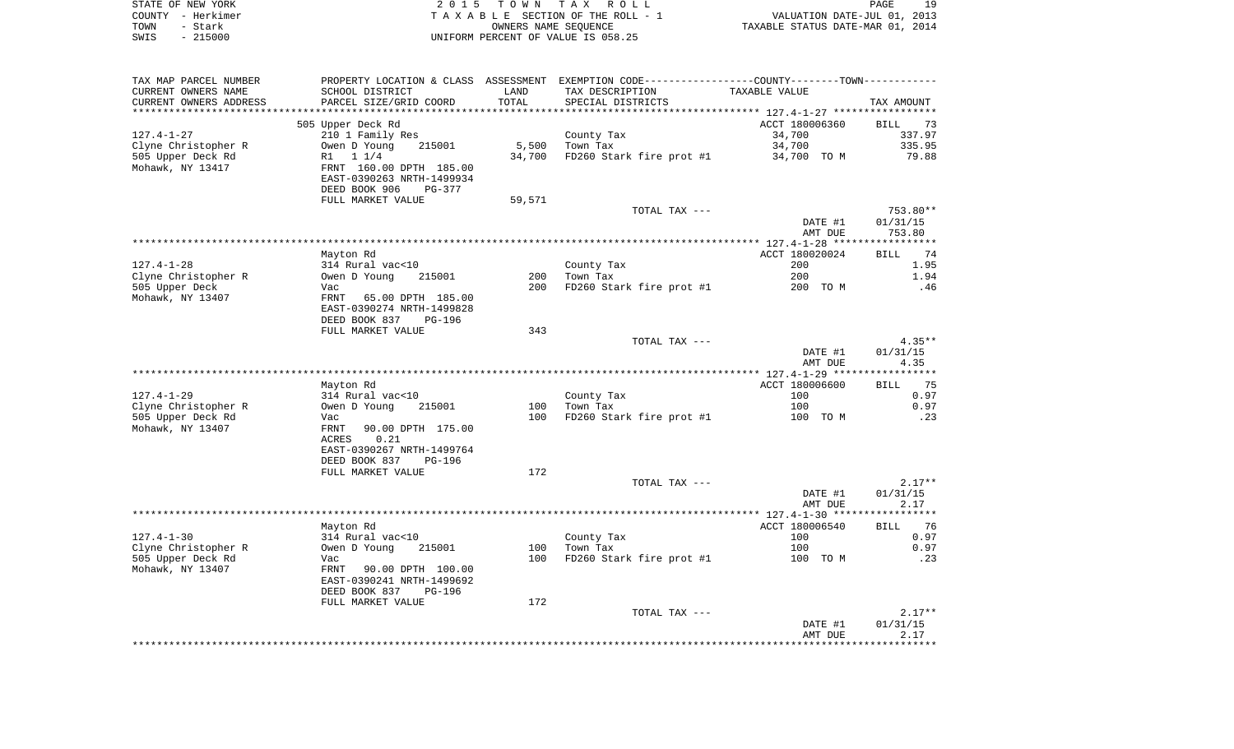| STATE OF NEW YORK | 2015 TOWN TAX ROLL                 | 19<br>PAGE                       |
|-------------------|------------------------------------|----------------------------------|
| COUNTY - Herkimer | TAXABLE SECTION OF THE ROLL - 1    | VALUATION DATE-JUL 01, 2013      |
| TOWN<br>– Stark   | OWNERS NAME SEOUENCE               | TAXABLE STATUS DATE-MAR 01, 2014 |
| $-215000$<br>SWIS | UNIFORM PERCENT OF VALUE IS 058.25 |                                  |

| TAX MAP PARCEL NUMBER  | PROPERTY LOCATION & CLASS ASSESSMENT         |        | EXEMPTION CODE-----------------COUNTY-------TOWN----------- |                |                   |
|------------------------|----------------------------------------------|--------|-------------------------------------------------------------|----------------|-------------------|
| CURRENT OWNERS NAME    | SCHOOL DISTRICT                              | LAND   | TAX DESCRIPTION                                             | TAXABLE VALUE  |                   |
| CURRENT OWNERS ADDRESS | PARCEL SIZE/GRID COORD                       | TOTAL  | SPECIAL DISTRICTS                                           |                | TAX AMOUNT        |
|                        |                                              |        |                                                             |                |                   |
|                        | 505 Upper Deck Rd                            |        |                                                             | ACCT 180006360 | <b>BILL</b><br>73 |
| $127.4 - 1 - 27$       | 210 1 Family Res                             |        | County Tax                                                  | 34,700         | 337.97            |
| Clyne Christopher R    | Owen D Young<br>215001                       | 5,500  | Town Tax                                                    | 34,700         | 335.95            |
| 505 Upper Deck Rd      | R1 1 1/4                                     | 34,700 | FD260 Stark fire prot #1                                    | 34,700 TO M    | 79.88             |
| Mohawk, NY 13417       | FRNT 160.00 DPTH 185.00                      |        |                                                             |                |                   |
|                        | EAST-0390263 NRTH-1499934                    |        |                                                             |                |                   |
|                        | DEED BOOK 906<br>PG-377<br>FULL MARKET VALUE |        |                                                             |                |                   |
|                        |                                              | 59,571 | TOTAL TAX ---                                               |                | $753.80**$        |
|                        |                                              |        |                                                             | DATE #1        | 01/31/15          |
|                        |                                              |        |                                                             | AMT DUE        | 753.80            |
|                        |                                              |        |                                                             |                | ***********       |
|                        | Mayton Rd                                    |        |                                                             | ACCT 180020024 | 74<br>BILL        |
| $127.4 - 1 - 28$       | 314 Rural vac<10                             |        | County Tax                                                  | 200            | 1.95              |
| Clyne Christopher R    | Owen D Young<br>215001                       | 200    | Town Tax                                                    | 200            | 1.94              |
| 505 Upper Deck         | Vac                                          | 200    | FD260 Stark fire prot #1                                    | 200 TO M       | .46               |
| Mohawk, NY 13407       | FRNT 65.00 DPTH 185.00                       |        |                                                             |                |                   |
|                        | EAST-0390274 NRTH-1499828                    |        |                                                             |                |                   |
|                        | DEED BOOK 837<br>PG-196                      |        |                                                             |                |                   |
|                        | FULL MARKET VALUE                            | 343    |                                                             |                |                   |
|                        |                                              |        | TOTAL TAX ---                                               |                | $4.35**$          |
|                        |                                              |        |                                                             | DATE #1        | 01/31/15          |
|                        |                                              |        |                                                             | AMT DUE        | 4.35              |
|                        |                                              |        |                                                             |                |                   |
|                        | Mayton Rd                                    |        |                                                             | ACCT 180006600 | 75<br>BILL        |
| $127.4 - 1 - 29$       | 314 Rural vac<10                             |        | County Tax                                                  | 100            | 0.97              |
| Clyne Christopher R    | Owen D Young<br>215001                       | 100    | Town Tax                                                    | 100            | 0.97              |
| 505 Upper Deck Rd      | Vac                                          | 100    | FD260 Stark fire prot #1                                    | 100 TO M       | .23               |
| Mohawk, NY 13407       | FRNT<br>90.00 DPTH 175.00<br>ACRES<br>0.21   |        |                                                             |                |                   |
|                        | EAST-0390267 NRTH-1499764                    |        |                                                             |                |                   |
|                        | DEED BOOK 837<br>PG-196                      |        |                                                             |                |                   |
|                        | FULL MARKET VALUE                            | 172    |                                                             |                |                   |
|                        |                                              |        | TOTAL TAX ---                                               |                | $2.17**$          |
|                        |                                              |        |                                                             | DATE #1        | 01/31/15          |
|                        |                                              |        |                                                             | AMT DUE        | 2.17              |
|                        |                                              |        |                                                             |                | ***********       |
|                        | Mayton Rd                                    |        |                                                             | ACCT 180006540 | 76<br>BILL        |
| $127.4 - 1 - 30$       | 314 Rural vac<10                             |        | County Tax                                                  | 100            | 0.97              |
| Clyne Christopher R    | Owen D Young<br>215001                       | 100    | Town Tax                                                    | 100            | 0.97              |
| 505 Upper Deck Rd      | Vac                                          | 100    | FD260 Stark fire prot #1                                    | 100 TO M       | .23               |
| Mohawk, NY 13407       | FRNT<br>90.00 DPTH 100.00                    |        |                                                             |                |                   |
|                        | EAST-0390241 NRTH-1499692                    |        |                                                             |                |                   |
|                        | DEED BOOK 837<br><b>PG-196</b>               |        |                                                             |                |                   |
|                        | FULL MARKET VALUE                            | 172    |                                                             |                |                   |
|                        |                                              |        | TOTAL TAX ---                                               |                | $2.17**$          |
|                        |                                              |        |                                                             | DATE #1        | 01/31/15          |
|                        |                                              |        |                                                             | AMT DUE        | 2.17              |
|                        |                                              |        |                                                             |                |                   |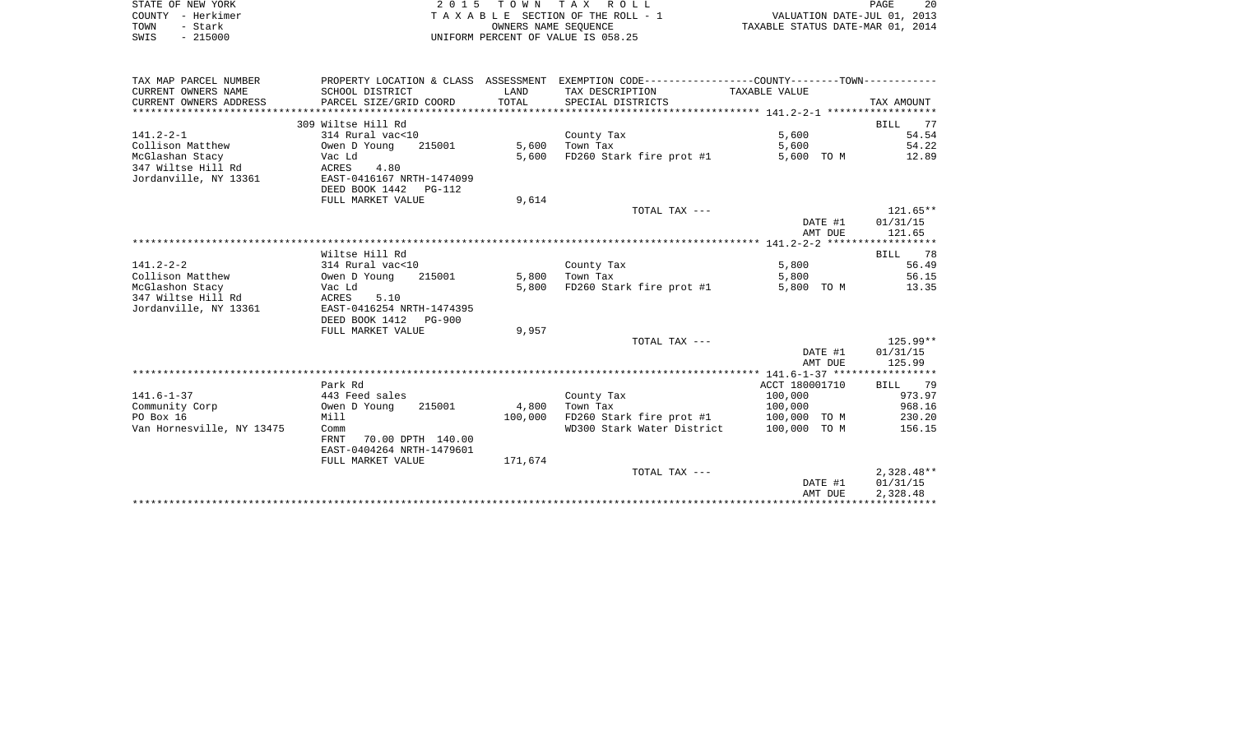|      | STATE OF NEW YORK | 2015 TOWN TAX ROLL                 | 20<br>PAGE                       |
|------|-------------------|------------------------------------|----------------------------------|
|      | COUNTY - Herkimer | TAXABLE SECTION OF THE ROLL - 1    | VALUATION DATE-JUL 01, 2013      |
| TOWN | - Stark           | OWNERS NAME SEOUENCE               | TAXABLE STATUS DATE-MAR 01, 2014 |
| SWIS | - 215000          | UNIFORM PERCENT OF VALUE IS 058.25 |                                  |

| TAX MAP PARCEL NUMBER     |                                  |         | PROPERTY LOCATION & CLASS ASSESSMENT EXEMPTION CODE---------------COUNTY-------TOWN---------- |                |              |
|---------------------------|----------------------------------|---------|-----------------------------------------------------------------------------------------------|----------------|--------------|
| CURRENT OWNERS NAME       | SCHOOL DISTRICT                  | LAND    | TAX DESCRIPTION                                                                               | TAXABLE VALUE  |              |
| CURRENT OWNERS ADDRESS    | PARCEL SIZE/GRID COORD           | TOTAL   | SPECIAL DISTRICTS                                                                             |                | TAX AMOUNT   |
|                           |                                  |         |                                                                                               |                |              |
|                           | 309 Wiltse Hill Rd               |         |                                                                                               |                | BILL 77      |
| $141.2 - 2 - 1$           | 314 Rural vac<10                 |         | County Tax                                                                                    | 5,600          | 54.54        |
| Collison Matthew          | Owen D Young<br>215001           | 5,600   | Town Tax                                                                                      | 5,600          | 54.22        |
| McGlashan Stacy           | Vac Ld                           | 5,600   | FD260 Stark fire prot #1                                                                      | 5,600 TO M     | 12.89        |
| 347 Wiltse Hill Rd        | ACRES<br>4.80                    |         |                                                                                               |                |              |
| Jordanville, NY 13361     | EAST-0416167 NRTH-1474099        |         |                                                                                               |                |              |
|                           | DEED BOOK 1442<br>PG-112         |         |                                                                                               |                |              |
|                           | FULL MARKET VALUE                | 9,614   |                                                                                               |                |              |
|                           |                                  |         | TOTAL TAX ---                                                                                 |                | $121.65***$  |
|                           |                                  |         |                                                                                               | DATE #1        | 01/31/15     |
|                           |                                  |         |                                                                                               | AMT DUE        | 121.65       |
|                           |                                  |         |                                                                                               |                |              |
|                           | Wiltse Hill Rd                   |         |                                                                                               |                | 78<br>BILL   |
| $141.2 - 2 - 2$           | 314 Rural vac<10                 |         | County Tax                                                                                    | 5,800          | 56.49        |
| Collison Matthew          | Owen D Young<br>215001           | 5,800   | Town Tax                                                                                      | 5,800          | 56.15        |
| McGlashon Stacy           | Vac Ld                           | 5,800   | FD260 Stark fire prot #1                                                                      | 5,800 TO M     | 13.35        |
| 347 Wiltse Hill Rd        | ACRES<br>5.10                    |         |                                                                                               |                |              |
| Jordanville, NY 13361     | EAST-0416254 NRTH-1474395        |         |                                                                                               |                |              |
|                           | DEED BOOK 1412<br><b>PG-900</b>  |         |                                                                                               |                |              |
|                           | FULL MARKET VALUE                | 9,957   |                                                                                               |                |              |
|                           |                                  |         | TOTAL TAX ---                                                                                 |                | $125.99**$   |
|                           |                                  |         |                                                                                               | DATE #1        | 01/31/15     |
|                           |                                  |         |                                                                                               | AMT DUE        | 125.99       |
|                           | Park Rd                          |         |                                                                                               | ACCT 180001710 | BILL 79      |
| $141.6 - 1 - 37$          | 443 Feed sales                   |         | County Tax                                                                                    | 100,000        | 973.97       |
| Community Corp            | Owen D Young<br>215001           | 4,800   | Town Tax                                                                                      | 100,000        | 968.16       |
| PO Box 16                 | Mill                             | 100,000 | FD260 Stark fire prot #1                                                                      | 100,000 TO M   | 230.20       |
| Van Hornesville, NY 13475 | Comm                             |         | WD300 Stark Water District                                                                    | 100,000 TO M   | 156.15       |
|                           | 70.00 DPTH 140.00<br><b>FRNT</b> |         |                                                                                               |                |              |
|                           | EAST-0404264 NRTH-1479601        |         |                                                                                               |                |              |
|                           | FULL MARKET VALUE                | 171,674 |                                                                                               |                |              |
|                           |                                  |         | TOTAL TAX ---                                                                                 |                | $2,328.48**$ |
|                           |                                  |         |                                                                                               | DATE #1        | 01/31/15     |
|                           |                                  |         |                                                                                               | AMT DUE        | 2,328.48     |
|                           |                                  |         |                                                                                               |                |              |
|                           |                                  |         |                                                                                               |                |              |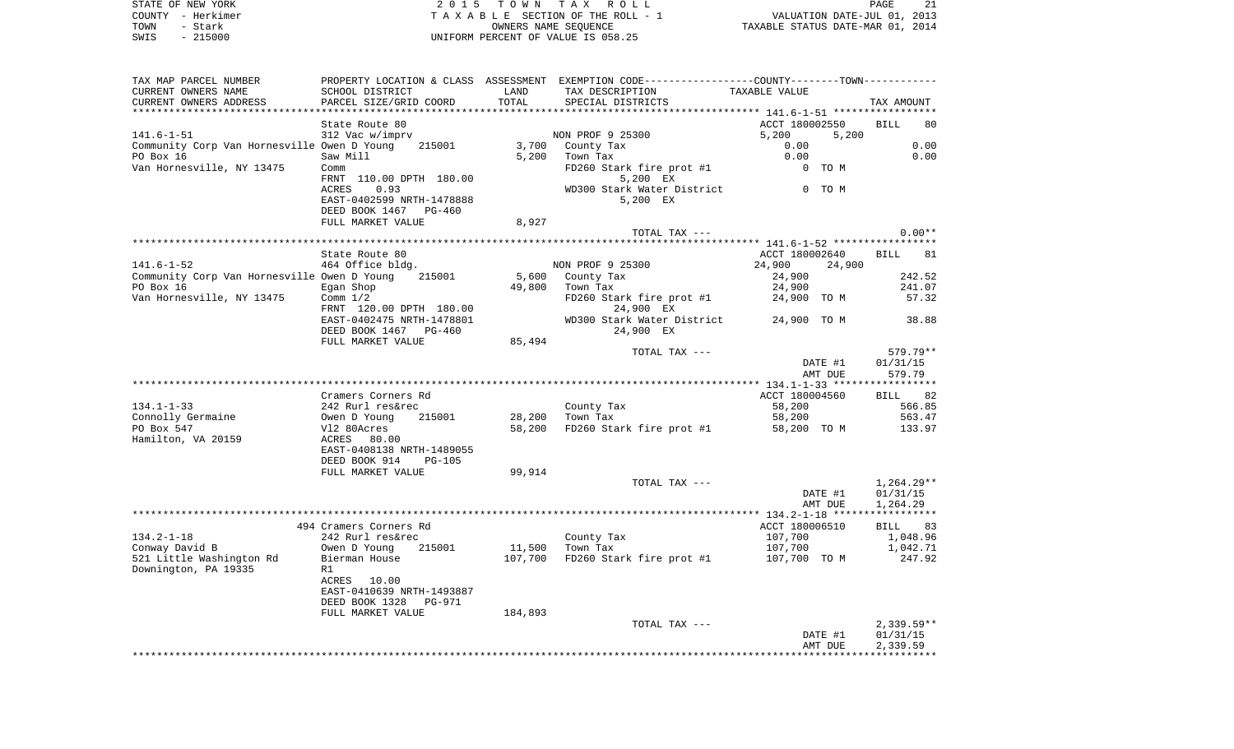| STATE OF NEW YORK | 2015 TOWN TAX ROLL                    | 21<br>PAGE                       |
|-------------------|---------------------------------------|----------------------------------|
| COUNTY - Herkimer | T A X A B L E SECTION OF THE ROLL - 1 | VALUATION DATE-JUL 01, 2013      |
| TOWN<br>- Stark   | OWNERS NAME SEOUENCE                  | TAXABLE STATUS DATE-MAR 01, 2014 |
| $-215000$<br>SWIS | UNIFORM PERCENT OF VALUE IS 058.25    |                                  |

| TAX MAP PARCEL NUMBER                       |                                       |         | PROPERTY LOCATION & CLASS ASSESSMENT EXEMPTION CODE---------------COUNTY-------TOWN---------- |                |         |              |
|---------------------------------------------|---------------------------------------|---------|-----------------------------------------------------------------------------------------------|----------------|---------|--------------|
| CURRENT OWNERS NAME                         | SCHOOL DISTRICT                       | LAND    | TAX DESCRIPTION                                                                               | TAXABLE VALUE  |         |              |
| CURRENT OWNERS ADDRESS                      | PARCEL SIZE/GRID COORD                | TOTAL   | SPECIAL DISTRICTS                                                                             |                |         | TAX AMOUNT   |
|                                             |                                       |         |                                                                                               |                |         |              |
|                                             | State Route 80                        |         |                                                                                               | ACCT 180002550 |         | BILL<br>80   |
| 141.6–1–51                                  | 312 Vac w/imprv                       |         | NON PROF 9 25300                                                                              | 5,200          | 5,200   |              |
| Community Corp Van Hornesville Owen D Young | 215001                                |         | 3,700 County Tax                                                                              | 0.00           |         | 0.00         |
| PO Box 16                                   | Saw Mill                              |         | 5,200 Town Tax                                                                                | 0.00           |         | 0.00         |
| Van Hornesville, NY 13475                   | Comm                                  |         | FD260 Stark fire prot #1                                                                      |                | $0$ TOM |              |
|                                             | FRNT 110.00 DPTH 180.00               |         | 5,200 EX                                                                                      |                |         |              |
|                                             | 0.93<br>ACRES                         |         | WD300 Stark Water District 0 TO M                                                             |                |         |              |
|                                             | EAST-0402599 NRTH-1478888             |         | 5,200 EX                                                                                      |                |         |              |
|                                             | DEED BOOK 1467 PG-460                 |         |                                                                                               |                |         |              |
|                                             | FULL MARKET VALUE                     | 8,927   |                                                                                               |                |         |              |
|                                             |                                       |         | TOTAL TAX ---                                                                                 |                |         | $0.00**$     |
|                                             |                                       |         |                                                                                               |                |         |              |
|                                             | State Route 80                        |         |                                                                                               | ACCT 180002640 |         | BILL 81      |
| 141.6-1-52                                  | 464 Office bldg.                      |         | NON PROF 9 25300                                                                              | 24,900         | 24,900  |              |
| Community Corp Van Hornesville Owen D Young | 215001                                |         | 5,600 County Tax                                                                              | 24,900         |         | 242.52       |
| PO Box 16<br><b>Egan Shop</b>               |                                       | 49,800  | Town Tax                                                                                      | 24,900         |         | 241.07       |
| Van Hornesville, NY 13475 Comm 1/2          |                                       |         | FD260 Stark fire prot #1 24,900 TO M                                                          |                |         | 57.32        |
|                                             | FRNT 120.00 DPTH 180.00               |         | 24,900 EX                                                                                     |                |         |              |
|                                             | EAST-0402475 NRTH-1478801             |         | WD300 Stark Water District 24,900 TO M                                                        |                |         | 38.88        |
|                                             | DEED BOOK 1467 PG-460                 |         | 24,900 EX                                                                                     |                |         |              |
|                                             | FULL MARKET VALUE                     | 85,494  |                                                                                               |                |         |              |
|                                             |                                       |         | TOTAL TAX ---                                                                                 |                |         | 579.79**     |
|                                             |                                       |         |                                                                                               |                | DATE #1 | 01/31/15     |
|                                             |                                       |         |                                                                                               |                | AMT DUE | 579.79       |
|                                             |                                       |         |                                                                                               |                |         |              |
|                                             | Cramers Corners Rd                    |         |                                                                                               | ACCT 180004560 |         | BILL 82      |
| 134.1-1-33                                  | 242 Rurl res&rec                      |         | County Tax                                                                                    | 58,200         |         | 566.85       |
| Connolly Germaine                           | Owen D Young<br>V12 80Acres<br>215001 |         | 28,200 Town Tax                                                                               | 58,200         |         | 563.47       |
| PO Box 547                                  |                                       |         | 58,200 FD260 Stark fire prot #1                                                               | 58,200 TO M    |         | 133.97       |
| Hamilton, VA 20159                          | ACRES 80.00                           |         |                                                                                               |                |         |              |
|                                             | EAST-0408138 NRTH-1489055             |         |                                                                                               |                |         |              |
|                                             | DEED BOOK 914<br>PG-105               |         |                                                                                               |                |         |              |
|                                             | FULL MARKET VALUE                     | 99,914  |                                                                                               |                |         |              |
|                                             |                                       |         | TOTAL TAX ---                                                                                 |                |         | 1,264.29**   |
|                                             |                                       |         |                                                                                               |                | DATE #1 | 01/31/15     |
|                                             |                                       |         |                                                                                               |                | AMT DUE | 1,264.29     |
|                                             |                                       |         |                                                                                               |                |         |              |
|                                             | 494 Cramers Corners Rd                |         |                                                                                               | ACCT 180006510 |         | BILL 83      |
| 134.2-1-18                                  | 242 Rurl res&rec                      |         | County Tax                                                                                    | 107,700        |         | 1,048.96     |
| Conway David B                              | Owen D Young 215001                   |         | 11,500 Town Tax                                                                               | 107,700        |         | 1,042.71     |
| 521 Little Washington Rd                    | Bierman House                         |         | $107,700$ FD260 Stark fire prot #1 $107,700$ TO M                                             |                |         | 247.92       |
| Downington, PA 19335                        | R1                                    |         |                                                                                               |                |         |              |
|                                             | ACRES 10.00                           |         |                                                                                               |                |         |              |
|                                             | EAST-0410639 NRTH-1493887             |         |                                                                                               |                |         |              |
|                                             | DEED BOOK 1328 PG-971                 |         |                                                                                               |                |         |              |
|                                             | FULL MARKET VALUE                     | 184,893 |                                                                                               |                |         |              |
|                                             |                                       |         | TOTAL TAX ---                                                                                 |                |         | $2,339.59**$ |
|                                             |                                       |         |                                                                                               |                | DATE #1 | 01/31/15     |
|                                             |                                       |         |                                                                                               |                | AMT DUE | 2,339.59     |
|                                             |                                       |         |                                                                                               |                |         |              |
|                                             |                                       |         |                                                                                               |                |         |              |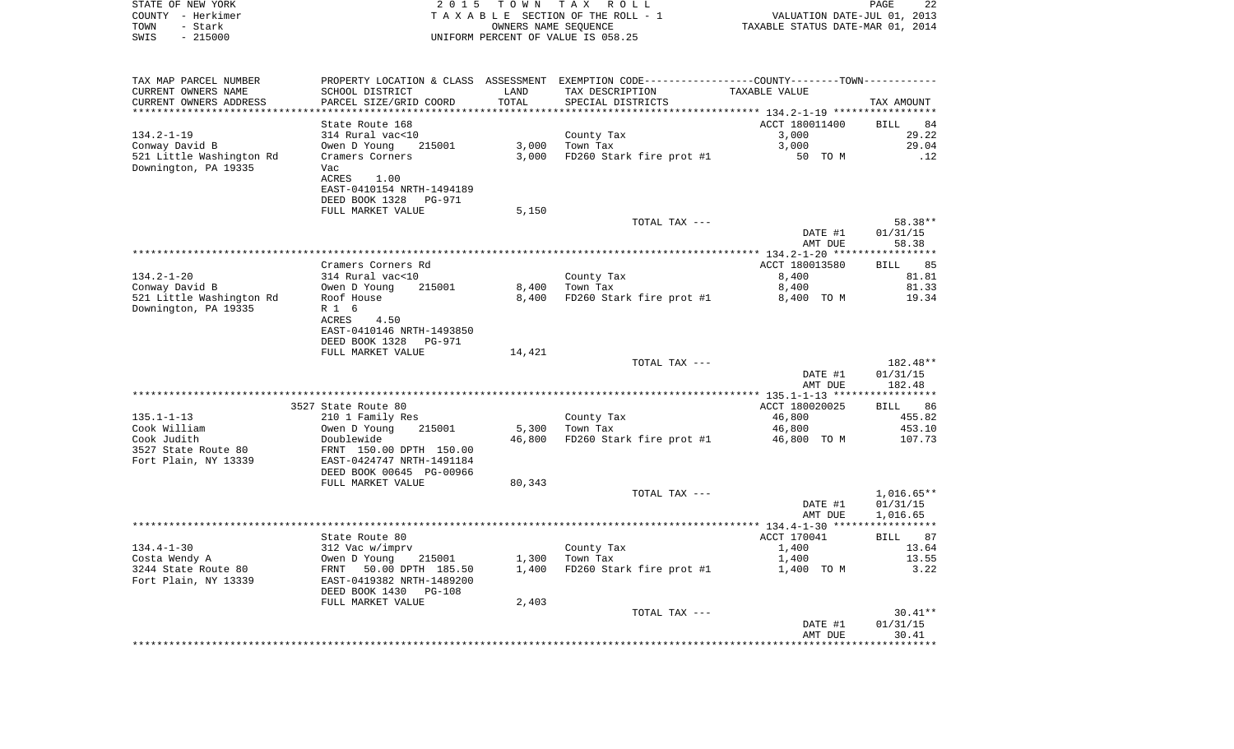| STATE OF NEW YORK<br>COUNTY - Herkimer<br>- Stark<br>TOWN<br>$-215000$<br>SWIS | 2 0 1 5                                                                                        | T O W N<br>OWNERS NAME SEQUENCE | TAX ROLL<br>TAXABLE SECTION OF THE ROLL - 1<br>UNIFORM PERCENT OF VALUE IS 058.25 | VALUATION DATE-JUL 01, 2013<br>TAXABLE STATUS DATE-MAR 01, 2014 | PAGE<br>22                           |
|--------------------------------------------------------------------------------|------------------------------------------------------------------------------------------------|---------------------------------|-----------------------------------------------------------------------------------|-----------------------------------------------------------------|--------------------------------------|
| TAX MAP PARCEL NUMBER                                                          | PROPERTY LOCATION & CLASS ASSESSMENT                                                           |                                 | EXEMPTION CODE-----------------COUNTY-------TOWN-----------                       |                                                                 |                                      |
| CURRENT OWNERS NAME                                                            | SCHOOL DISTRICT                                                                                | LAND                            | TAX DESCRIPTION                                                                   | TAXABLE VALUE                                                   |                                      |
| CURRENT OWNERS ADDRESS<br>*********************                                | PARCEL SIZE/GRID COORD                                                                         | TOTAL                           | SPECIAL DISTRICTS                                                                 |                                                                 | TAX AMOUNT                           |
|                                                                                | State Route 168                                                                                |                                 |                                                                                   | ACCT 180011400                                                  | 84<br>BILL                           |
| $134.2 - 1 - 19$                                                               | 314 Rural vac<10                                                                               |                                 | County Tax                                                                        | 3,000                                                           | 29.22                                |
| Conway David B                                                                 | Owen D Young<br>215001                                                                         | 3,000                           | Town Tax                                                                          | 3,000                                                           | 29.04                                |
| 521 Little Washington Rd<br>Downington, PA 19335                               | Cramers Corners<br>Vac<br>ACRES<br>1.00<br>EAST-0410154 NRTH-1494189                           | 3,000                           | FD260 Stark fire prot #1                                                          | 50 TO M                                                         | .12                                  |
|                                                                                | DEED BOOK 1328<br>PG-971                                                                       |                                 |                                                                                   |                                                                 |                                      |
|                                                                                | FULL MARKET VALUE                                                                              | 5,150                           |                                                                                   |                                                                 |                                      |
|                                                                                |                                                                                                |                                 | TOTAL TAX ---                                                                     |                                                                 | 58.38**                              |
|                                                                                |                                                                                                |                                 |                                                                                   | DATE #1<br>AMT DUE                                              | 01/31/15<br>58.38                    |
|                                                                                |                                                                                                |                                 |                                                                                   |                                                                 |                                      |
|                                                                                | Cramers Corners Rd                                                                             |                                 |                                                                                   | ACCT 180013580                                                  | 85<br>BILL                           |
| $134.2 - 1 - 20$                                                               | 314 Rural vac<10                                                                               |                                 | County Tax                                                                        | 8,400                                                           | 81.81                                |
| Conway David B                                                                 | Owen D Young<br>215001                                                                         | 8,400                           | Town Tax                                                                          | 8,400                                                           | 81.33                                |
| 521 Little Washington Rd<br>Downington, PA 19335                               | Roof House<br>R 1 6<br>ACRES<br>4.50<br>EAST-0410146 NRTH-1493850<br>DEED BOOK 1328<br>PG-971  | 8,400                           | FD260 Stark fire prot #1                                                          | 8,400 TO M                                                      | 19.34                                |
|                                                                                | FULL MARKET VALUE                                                                              | 14,421                          |                                                                                   |                                                                 |                                      |
|                                                                                |                                                                                                |                                 | TOTAL TAX ---                                                                     |                                                                 | 182.48**                             |
|                                                                                |                                                                                                |                                 |                                                                                   | DATE #1<br>AMT DUE                                              | 01/31/15<br>182.48                   |
|                                                                                |                                                                                                |                                 |                                                                                   |                                                                 |                                      |
| $135.1 - 1 - 13$                                                               | 3527 State Route 80<br>210 1 Family Res                                                        |                                 | County Tax                                                                        | ACCT 180020025<br>46,800                                        | 86<br>BILL<br>455.82                 |
| Cook William                                                                   | Owen D Young<br>215001                                                                         | 5,300                           | Town Tax                                                                          | 46,800                                                          | 453.10                               |
| Cook Judith<br>3527 State Route 80<br>Fort Plain, NY 13339                     | Doublewide<br>FRNT 150.00 DPTH 150.00<br>EAST-0424747 NRTH-1491184<br>DEED BOOK 00645 PG-00966 | 46,800                          | FD260 Stark fire prot #1                                                          | 46,800 TO M                                                     | 107.73                               |
|                                                                                | FULL MARKET VALUE                                                                              | 80,343                          |                                                                                   |                                                                 |                                      |
|                                                                                |                                                                                                |                                 | TOTAL TAX ---                                                                     | DATE #1<br>AMT DUE                                              | $1,016.65**$<br>01/31/15<br>1,016.65 |
|                                                                                |                                                                                                |                                 |                                                                                   |                                                                 |                                      |
|                                                                                | State Route 80                                                                                 |                                 |                                                                                   | ACCT 170041                                                     | 87<br>BILL                           |
| $134.4 - 1 - 30$<br>Costa Wendy A                                              | 312 Vac w/imprv<br>Owen D Young 215001                                                         | 1,300                           | County Tax<br>Town Tax                                                            | 1,400<br>1,400                                                  | 13.64<br>13.55                       |
| 3244 State Route 80<br>Fort Plain, NY 13339                                    | 50.00 DPTH 185.50<br>FRNT<br>EAST-0419382 NRTH-1489200<br>DEED BOOK 1430 PG-108                | 1,400                           | FD260 Stark fire prot #1                                                          | 1,400 TO M                                                      | 3.22                                 |
|                                                                                | FULL MARKET VALUE                                                                              | 2,403                           |                                                                                   |                                                                 |                                      |
|                                                                                |                                                                                                |                                 | TOTAL TAX ---                                                                     | DATE #1<br>AMT DUE                                              | $30.41**$<br>01/31/15<br>30.41       |
|                                                                                |                                                                                                |                                 |                                                                                   |                                                                 |                                      |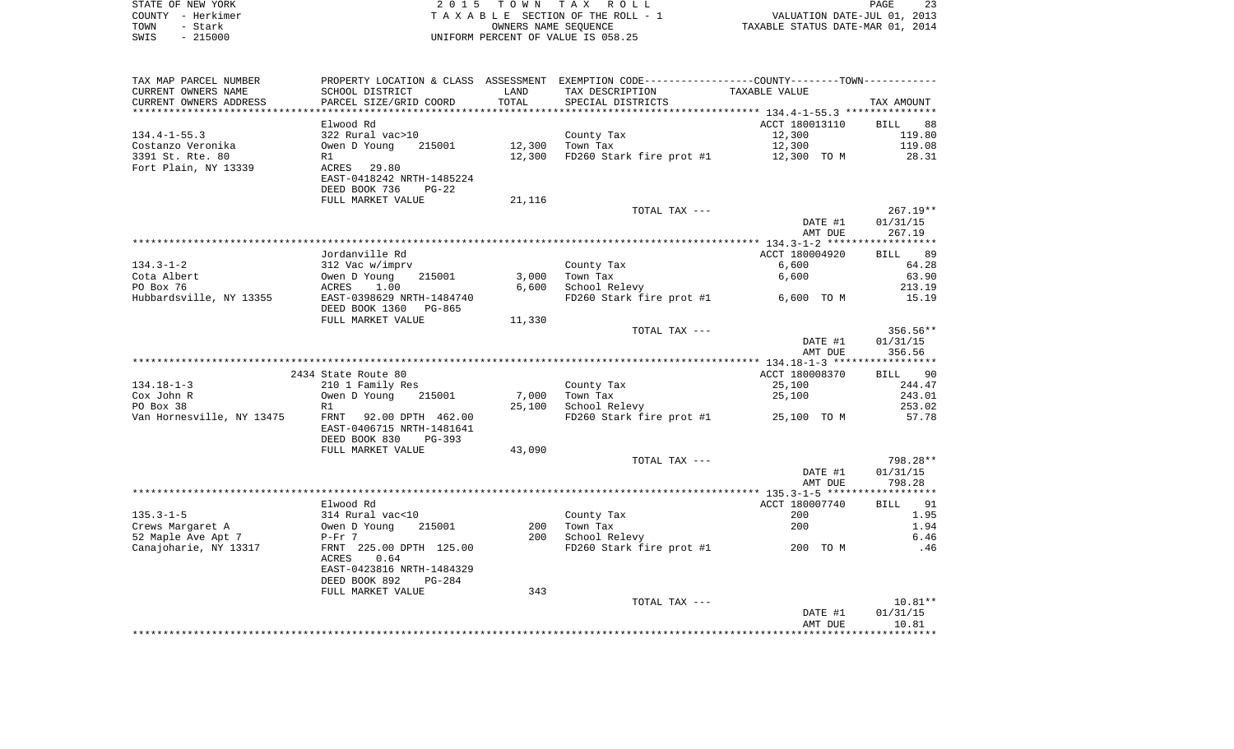| STATE OF NEW YORK | 2015 TOWN TAX ROLL                 | -23<br>PAGE                      |
|-------------------|------------------------------------|----------------------------------|
| COUNTY - Herkimer | TAXABLE SECTION OF THE ROLL - 1    | VALUATION DATE-JUL 01, 2013      |
| TOWN<br>- Stark   | OWNERS NAME SEOUENCE               | TAXABLE STATUS DATE-MAR 01, 2014 |
| $-215000$<br>SWIS | UNIFORM PERCENT OF VALUE IS 058.25 |                                  |

 $\begin{array}{c} 23 \\ 2013 \\ 2014 \end{array}$ 

| TAX MAP PARCEL NUMBER     |                                |        | PROPERTY LOCATION & CLASS ASSESSMENT EXEMPTION CODE----------------COUNTY-------TOWN----------- |                |                    |
|---------------------------|--------------------------------|--------|-------------------------------------------------------------------------------------------------|----------------|--------------------|
| CURRENT OWNERS NAME       | SCHOOL DISTRICT                | LAND   | TAX DESCRIPTION                                                                                 | TAXABLE VALUE  |                    |
| CURRENT OWNERS ADDRESS    | PARCEL SIZE/GRID COORD         | TOTAL  | SPECIAL DISTRICTS                                                                               |                | TAX AMOUNT         |
|                           |                                |        |                                                                                                 |                |                    |
|                           | Elwood Rd                      |        |                                                                                                 | ACCT 180013110 | <b>BILL</b><br>88  |
| $134.4 - 1 - 55.3$        | 322 Rural vac>10               |        | County Tax                                                                                      | 12,300         | 119.80             |
| Costanzo Veronika         | Owen D Young<br>215001         | 12,300 | Town Tax                                                                                        | 12,300         | 119.08             |
|                           |                                |        |                                                                                                 |                |                    |
| 3391 St. Rte. 80          | R1                             | 12,300 | FD260 Stark fire prot #1                                                                        | 12,300 TO M    | 28.31              |
| Fort Plain, NY 13339      | 29.80<br>ACRES                 |        |                                                                                                 |                |                    |
|                           | EAST-0418242 NRTH-1485224      |        |                                                                                                 |                |                    |
|                           | DEED BOOK 736<br>$PG-22$       |        |                                                                                                 |                |                    |
|                           | FULL MARKET VALUE              | 21,116 |                                                                                                 |                |                    |
|                           |                                |        | TOTAL TAX ---                                                                                   |                | $267.19**$         |
|                           |                                |        |                                                                                                 | DATE #1        | 01/31/15           |
|                           |                                |        |                                                                                                 | AMT DUE        | 267.19             |
|                           |                                |        |                                                                                                 |                |                    |
|                           | Jordanville Rd                 |        |                                                                                                 | ACCT 180004920 | 89<br>BILL         |
| $134.3 - 1 - 2$           | 312 Vac w/imprv                |        | County Tax                                                                                      | 6,600          | 64.28              |
| Cota Albert               | Owen D Young<br>215001         | 3,000  | Town Tax                                                                                        | 6,600          | 63.90              |
| PO Box 76                 | ACRES<br>1.00                  | 6,600  | School Relevy                                                                                   |                | 213.19             |
|                           |                                |        |                                                                                                 |                |                    |
| Hubbardsville, NY 13355   | EAST-0398629 NRTH-1484740      |        | FD260 Stark fire prot #1                                                                        | 6,600 TO M     | 15.19              |
|                           | DEED BOOK 1360<br>PG-865       |        |                                                                                                 |                |                    |
|                           | FULL MARKET VALUE              | 11,330 |                                                                                                 |                |                    |
|                           |                                |        | TOTAL TAX ---                                                                                   |                | 356.56**           |
|                           |                                |        |                                                                                                 | DATE #1        | 01/31/15           |
|                           |                                |        |                                                                                                 | AMT DUE        | 356.56             |
|                           |                                |        |                                                                                                 |                |                    |
|                           | 2434 State Route 80            |        |                                                                                                 | ACCT 180008370 | 90<br>BILL         |
| $134.18 - 1 - 3$          | 210 1 Family Res               |        | County Tax                                                                                      | 25,100         | 244.47             |
| Cox John R                | Owen D Young<br>215001         | 7,000  | Town Tax                                                                                        | 25,100         | 243.01             |
| PO Box 38                 | R1                             | 25,100 | School Relevy                                                                                   |                | 253.02             |
| Van Hornesville, NY 13475 | FRNT<br>92.00 DPTH 462.00      |        | FD260 Stark fire prot #1                                                                        | 25,100 TO M    | 57.78              |
|                           | EAST-0406715 NRTH-1481641      |        |                                                                                                 |                |                    |
|                           | DEED BOOK 830<br>$PG-393$      |        |                                                                                                 |                |                    |
|                           |                                |        |                                                                                                 |                |                    |
|                           | FULL MARKET VALUE              | 43,090 |                                                                                                 |                |                    |
|                           |                                |        | TOTAL TAX ---                                                                                   |                | 798.28**           |
|                           |                                |        |                                                                                                 | DATE #1        | 01/31/15           |
|                           |                                |        |                                                                                                 | AMT DUE        | 798.28             |
|                           |                                |        |                                                                                                 |                | ****************** |
|                           | Elwood Rd                      |        |                                                                                                 | ACCT 180007740 | <b>BILL</b><br>91  |
| $135.3 - 1 - 5$           | 314 Rural vac<10               |        | County Tax                                                                                      | 200            | 1.95               |
| Crews Margaret A          | Owen D Young<br>215001         | 200    | Town Tax                                                                                        | 200            | 1.94               |
| 52 Maple Ave Apt 7        | $P-Fr$ 7                       | 200    | School Relevy                                                                                   |                | 6.46               |
| Canajoharie, NY 13317     | FRNT 225.00 DPTH 125.00        |        | FD260 Stark fire prot #1                                                                        | 200 TO M       | .46                |
|                           | 0.64<br>ACRES                  |        |                                                                                                 |                |                    |
|                           | EAST-0423816 NRTH-1484329      |        |                                                                                                 |                |                    |
|                           | DEED BOOK 892<br><b>PG-284</b> |        |                                                                                                 |                |                    |
|                           |                                |        |                                                                                                 |                |                    |
|                           | FULL MARKET VALUE              | 343    |                                                                                                 |                |                    |
|                           |                                |        | TOTAL TAX ---                                                                                   |                | $10.81**$          |
|                           |                                |        |                                                                                                 | DATE #1        | 01/31/15           |
|                           |                                |        |                                                                                                 | AMT DUE        | 10.81              |
|                           |                                |        |                                                                                                 |                |                    |
|                           |                                |        |                                                                                                 |                |                    |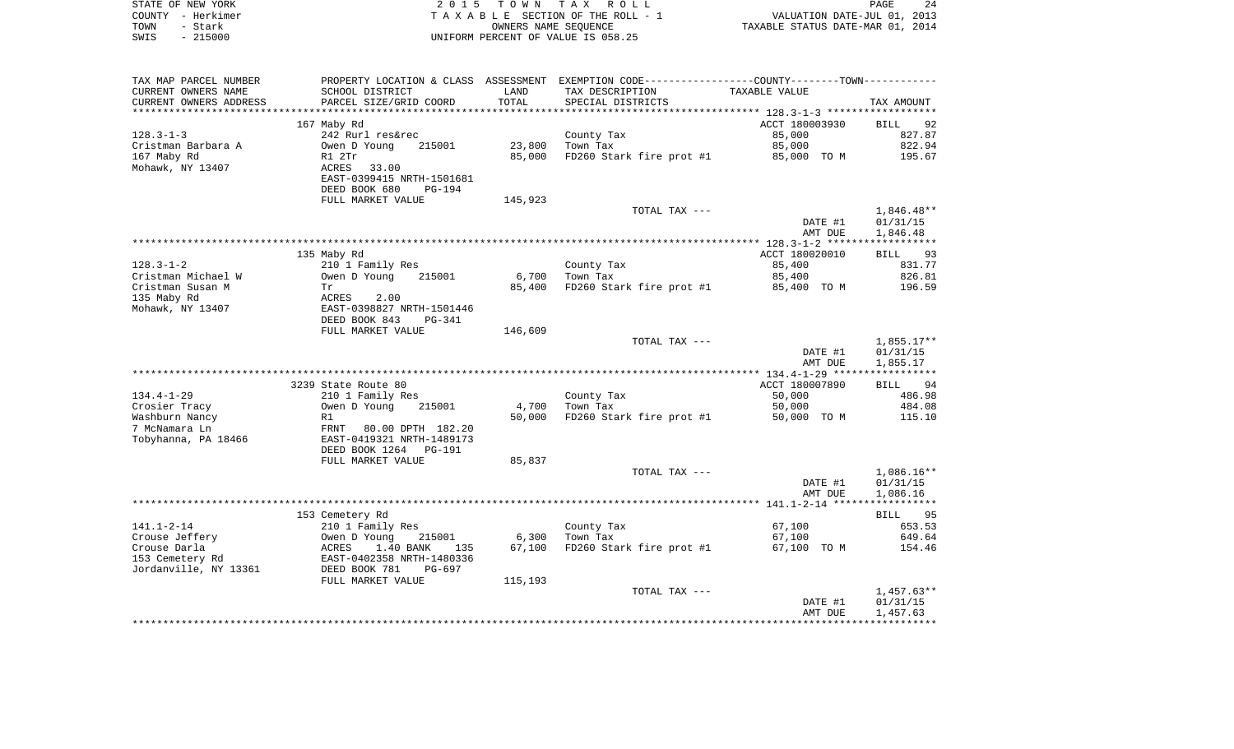|      | STATE OF NEW YORK | 2015 TOWN TAX ROLL                 | 24<br>PAGE                       |
|------|-------------------|------------------------------------|----------------------------------|
|      | COUNTY – Herkimer | TAXABLE SECTION OF THE ROLL - 1    | VALUATION DATE-JUL 01, 2013      |
| TOWN | - Stark           | OWNERS NAME SEOUENCE               | TAXABLE STATUS DATE-MAR 01, 2014 |
| SWIS | $-215000$         | UNIFORM PERCENT OF VALUE IS 058.25 |                                  |

| TAX MAP PARCEL NUMBER  |                                |         | PROPERTY LOCATION & CLASS ASSESSMENT EXEMPTION CODE----------------COUNTY--------TOWN----------- |                    |                      |
|------------------------|--------------------------------|---------|--------------------------------------------------------------------------------------------------|--------------------|----------------------|
| CURRENT OWNERS NAME    | SCHOOL DISTRICT                | LAND    | TAX DESCRIPTION                                                                                  | TAXABLE VALUE      |                      |
| CURRENT OWNERS ADDRESS | PARCEL SIZE/GRID COORD         | TOTAL   | SPECIAL DISTRICTS                                                                                |                    | TAX AMOUNT           |
| ********************   | **************************     |         |                                                                                                  |                    |                      |
|                        | 167 Maby Rd                    |         |                                                                                                  | ACCT 180003930     | 92<br>BILL           |
| $128.3 - 1 - 3$        | 242 Rurl res&rec               |         | County Tax                                                                                       | 85,000             | 827.87               |
| Cristman Barbara A     | Owen D Young<br>215001         | 23,800  | Town Tax                                                                                         | 85,000             | 822.94               |
| 167 Maby Rd            | R1 2Tr                         | 85,000  | FD260 Stark fire prot #1                                                                         | 85,000 TO M        | 195.67               |
| Mohawk, NY 13407       | ACRES<br>33.00                 |         |                                                                                                  |                    |                      |
|                        | EAST-0399415 NRTH-1501681      |         |                                                                                                  |                    |                      |
|                        | DEED BOOK 680<br><b>PG-194</b> |         |                                                                                                  |                    |                      |
|                        | FULL MARKET VALUE              | 145,923 |                                                                                                  |                    |                      |
|                        |                                |         | TOTAL TAX ---                                                                                    |                    | $1,846.48**$         |
|                        |                                |         |                                                                                                  | DATE #1            | 01/31/15             |
|                        |                                |         |                                                                                                  | AMT DUE            | 1,846.48             |
|                        |                                |         |                                                                                                  |                    |                      |
|                        | 135 Maby Rd                    |         |                                                                                                  | ACCT 180020010     | BILL 93              |
| $128.3 - 1 - 2$        | 210 1 Family Res               |         | County Tax                                                                                       | 85,400             | 831.77               |
| Cristman Michael W     | Owen D Young<br>215001         | 6,700   | Town Tax                                                                                         | 85,400             | 826.81               |
| Cristman Susan M       | Tr                             | 85,400  | FD260 Stark fire prot #1                                                                         | 85,400 TO M        | 196.59               |
| 135 Maby Rd            | ACRES<br>2.00                  |         |                                                                                                  |                    |                      |
| Mohawk, NY 13407       | EAST-0398827 NRTH-1501446      |         |                                                                                                  |                    |                      |
|                        | DEED BOOK 843<br>PG-341        |         |                                                                                                  |                    |                      |
|                        | FULL MARKET VALUE              | 146,609 |                                                                                                  |                    |                      |
|                        |                                |         | TOTAL TAX ---                                                                                    |                    | $1,855.17**$         |
|                        |                                |         |                                                                                                  | DATE #1            | 01/31/15             |
|                        |                                |         |                                                                                                  | AMT DUE            | 1,855.17             |
|                        |                                |         |                                                                                                  |                    |                      |
|                        | 3239 State Route 80            |         |                                                                                                  | ACCT 180007890     | BILL<br>94           |
| $134.4 - 1 - 29$       | 210 1 Family Res               |         | County Tax                                                                                       | 50,000             | 486.98               |
| Crosier Tracy          | Owen D Young<br>215001         | 4,700   | Town Tax                                                                                         | 50,000             | 484.08               |
| Washburn Nancy         | R1                             | 50,000  | FD260 Stark fire prot #1                                                                         | 50,000 TO M        | 115.10               |
| 7 McNamara Ln          | FRNT<br>80.00 DPTH 182.20      |         |                                                                                                  |                    |                      |
| Tobyhanna, PA 18466    | EAST-0419321 NRTH-1489173      |         |                                                                                                  |                    |                      |
|                        | DEED BOOK 1264<br>PG-191       |         |                                                                                                  |                    |                      |
|                        | FULL MARKET VALUE              | 85,837  |                                                                                                  |                    |                      |
|                        |                                |         | TOTAL TAX ---                                                                                    |                    | $1,086.16**$         |
|                        |                                |         |                                                                                                  | DATE #1            | 01/31/15             |
|                        |                                |         |                                                                                                  | AMT DUE            | 1,086.16             |
|                        | 153 Cemetery Rd                |         |                                                                                                  |                    | BILL 95              |
| $141.1 - 2 - 14$       | 210 1 Family Res               |         | County Tax                                                                                       | 67,100             | 653.53               |
| Crouse Jeffery         | Owen D Young<br>215001         | 6,300   | Town Tax                                                                                         | 67,100             | 649.64               |
| Crouse Darla           | ACRES<br>1.40 BANK<br>135      | 67,100  | FD260 Stark fire prot #1                                                                         | 67,100 TO M        | 154.46               |
| 153 Cemetery Rd        | EAST-0402358 NRTH-1480336      |         |                                                                                                  |                    |                      |
| Jordanville, NY 13361  | DEED BOOK 781<br>PG-697        |         |                                                                                                  |                    |                      |
|                        | FULL MARKET VALUE              | 115,193 |                                                                                                  |                    |                      |
|                        |                                |         | TOTAL TAX ---                                                                                    |                    | $1,457.63**$         |
|                        |                                |         |                                                                                                  |                    |                      |
|                        |                                |         |                                                                                                  |                    |                      |
|                        |                                |         |                                                                                                  | DATE #1<br>AMT DUE | 01/31/15<br>1,457.63 |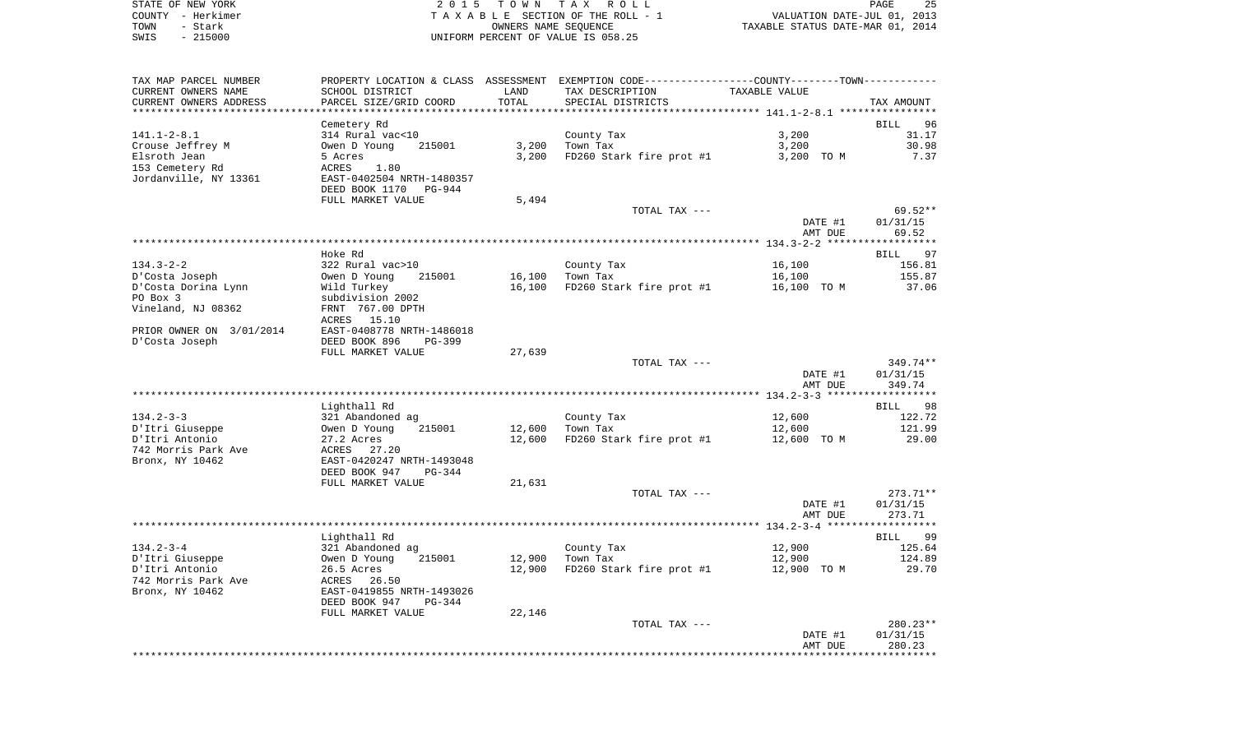| STATE OF NEW YORK | 2015 TOWN TAX ROLL                 | 25<br>PAGE                       |
|-------------------|------------------------------------|----------------------------------|
| COUNTY - Herkimer | TAXABLE SECTION OF THE ROLL - 1    | VALUATION DATE-JUL 01, 2013      |
| TOWN<br>– Stark   | OWNERS NAME SEOUENCE               | TAXABLE STATUS DATE-MAR 01, 2014 |
| $-215000$<br>SWIS | UNIFORM PERCENT OF VALUE IS 058.25 |                                  |

| TAX MAP PARCEL NUMBER<br>CURRENT OWNERS NAME             | PROPERTY LOCATION & CLASS ASSESSMENT<br>SCHOOL DISTRICT                           | LAND   | EXEMPTION CODE-----------------COUNTY--------TOWN-----------<br>TAX DESCRIPTION | TAXABLE VALUE      |                              |
|----------------------------------------------------------|-----------------------------------------------------------------------------------|--------|---------------------------------------------------------------------------------|--------------------|------------------------------|
| CURRENT OWNERS ADDRESS<br>********************           | PARCEL SIZE/GRID COORD<br>********************                                    | TOTAL  | SPECIAL DISTRICTS                                                               |                    | TAX AMOUNT                   |
|                                                          | Cemetery Rd                                                                       |        |                                                                                 |                    | <b>BILL</b><br>96            |
| $141.1 - 2 - 8.1$<br>Crouse Jeffrey M                    | 314 Rural vac<10<br>Owen D Young<br>215001                                        | 3,200  | County Tax<br>Town Tax                                                          | 3,200<br>3,200     | 31.17<br>30.98               |
| Elsroth Jean<br>153 Cemetery Rd<br>Jordanville, NY 13361 | 5 Acres<br>1.80<br>ACRES<br>EAST-0402504 NRTH-1480357<br>DEED BOOK 1170<br>PG-944 | 3,200  | FD260 Stark fire prot #1                                                        | 3,200 TO M         | 7.37                         |
|                                                          | FULL MARKET VALUE                                                                 | 5,494  |                                                                                 |                    |                              |
|                                                          |                                                                                   |        | TOTAL TAX ---                                                                   | DATE #1<br>AMT DUE | 69.52**<br>01/31/15<br>69.52 |
|                                                          |                                                                                   |        |                                                                                 |                    |                              |
|                                                          | Hoke Rd                                                                           |        |                                                                                 |                    | 97<br>BILL                   |
| $134.3 - 2 - 2$                                          | 322 Rural vac>10                                                                  |        | County Tax                                                                      | 16,100             | 156.81                       |
| D'Costa Joseph                                           | Owen D Young<br>215001                                                            | 16,100 | Town Tax                                                                        | 16,100             | 155.87                       |
| D'Costa Dorina Lynn                                      | Wild Turkey                                                                       | 16,100 | FD260 Stark fire prot #1                                                        | 16,100 TO M        | 37.06                        |
| PO Box 3<br>Vineland, NJ 08362                           | subdivision 2002<br>FRNT 767.00 DPTH                                              |        |                                                                                 |                    |                              |
|                                                          | 15.10<br>ACRES                                                                    |        |                                                                                 |                    |                              |
| PRIOR OWNER ON 3/01/2014                                 | EAST-0408778 NRTH-1486018                                                         |        |                                                                                 |                    |                              |
| D'Costa Joseph                                           | DEED BOOK 896<br>$PG-399$                                                         |        |                                                                                 |                    |                              |
|                                                          | FULL MARKET VALUE                                                                 | 27,639 |                                                                                 |                    |                              |
|                                                          |                                                                                   |        | TOTAL TAX ---                                                                   |                    | $349.74**$                   |
|                                                          |                                                                                   |        |                                                                                 | DATE #1<br>AMT DUE | 01/31/15<br>349.74           |
|                                                          |                                                                                   |        |                                                                                 |                    |                              |
|                                                          | Lighthall Rd                                                                      |        |                                                                                 |                    | <b>BILL</b><br>98            |
| $134.2 - 3 - 3$<br>D'Itri Giuseppe                       | 321 Abandoned ag<br>Owen D Young<br>215001                                        | 12,600 | County Tax<br>Town Tax                                                          | 12,600<br>12,600   | 122.72<br>121.99             |
| D'Itri Antonio                                           | 27.2 Acres                                                                        | 12,600 | FD260 Stark fire prot #1                                                        | 12,600 TO M        | 29.00                        |
| 742 Morris Park Ave                                      | ACRES 27.20                                                                       |        |                                                                                 |                    |                              |
| Bronx, NY 10462                                          | EAST-0420247 NRTH-1493048<br>DEED BOOK 947<br>PG-344                              |        |                                                                                 |                    |                              |
|                                                          | FULL MARKET VALUE                                                                 | 21,631 |                                                                                 |                    |                              |
|                                                          |                                                                                   |        | TOTAL TAX ---                                                                   | DATE #1            | $273.71**$<br>01/31/15       |
|                                                          |                                                                                   |        |                                                                                 | AMT DUE            | 273.71                       |
|                                                          | Lighthall Rd                                                                      |        |                                                                                 |                    | 99<br>BILL                   |
| $134.2 - 3 - 4$                                          | 321 Abandoned ag                                                                  |        | County Tax                                                                      | 12,900             | 125.64                       |
| D'Itri Giuseppe                                          | Owen D Young<br>215001                                                            | 12,900 | Town Tax                                                                        | 12,900             | 124.89                       |
| D'Itri Antonio                                           | 26.5 Acres                                                                        | 12,900 | FD260 Stark fire prot #1                                                        | 12,900 TO M        | 29.70                        |
| 742 Morris Park Ave<br>Bronx, NY 10462                   | 26.50<br>ACRES<br>EAST-0419855 NRTH-1493026<br>DEED BOOK 947                      |        |                                                                                 |                    |                              |
|                                                          | PG-344<br>FULL MARKET VALUE                                                       | 22,146 |                                                                                 |                    |                              |
|                                                          |                                                                                   |        | TOTAL TAX ---                                                                   |                    | $280.23**$                   |
|                                                          |                                                                                   |        |                                                                                 | DATE #1<br>AMT DUE | 01/31/15<br>280.23           |
|                                                          |                                                                                   |        |                                                                                 |                    |                              |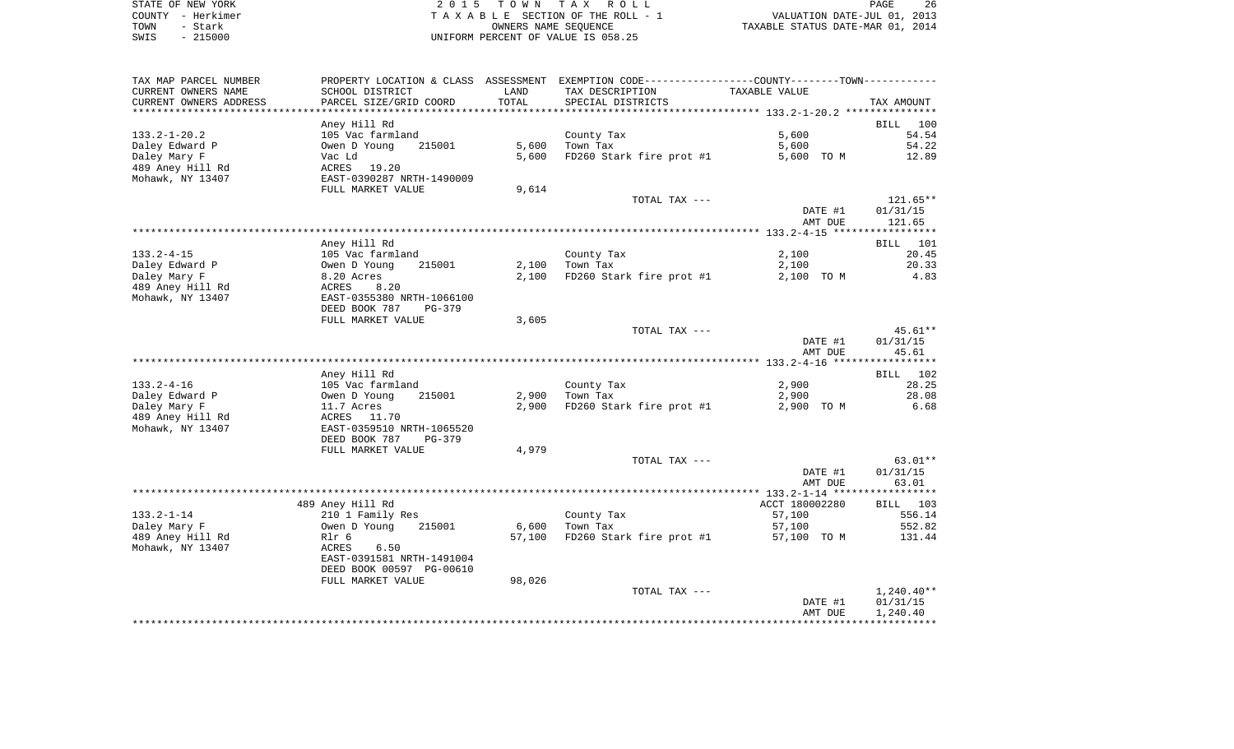| STATE OF NEW YORK | 2015 TOWN TAX ROLL                 | 26<br>PAGE                       |
|-------------------|------------------------------------|----------------------------------|
| COUNTY - Herkimer | TAXABLE SECTION OF THE ROLL - 1    | VALUATION DATE-JUL 01, 2013      |
| TOWN<br>- Stark   | OWNERS NAME SEOUENCE               | TAXABLE STATUS DATE-MAR 01, 2014 |
| $-215000$<br>SWIS | UNIFORM PERCENT OF VALUE IS 058.25 |                                  |

| TAX MAP PARCEL NUMBER                |                                                      |                | PROPERTY LOCATION & CLASS ASSESSMENT EXEMPTION CODE---------------COUNTY-------TOWN---------- |                     |                    |
|--------------------------------------|------------------------------------------------------|----------------|-----------------------------------------------------------------------------------------------|---------------------|--------------------|
| CURRENT OWNERS NAME                  | SCHOOL DISTRICT                                      | LAND           | TAX DESCRIPTION                                                                               | TAXABLE VALUE       |                    |
| CURRENT OWNERS ADDRESS               | PARCEL SIZE/GRID COORD                               | TOTAL          | SPECIAL DISTRICTS                                                                             |                     | TAX AMOUNT         |
|                                      |                                                      | ***********    |                                                                                               |                     |                    |
|                                      | Aney Hill Rd                                         |                |                                                                                               |                     | <b>BILL</b><br>100 |
| $133.2 - 1 - 20.2$                   | 105 Vac farmland                                     |                | County Tax                                                                                    | 5,600               | 54.54              |
| Daley Edward P<br>Daley Mary F       | Owen D Young<br>215001<br>Vac Ld                     | 5,600<br>5,600 | Town Tax<br>FD260 Stark fire prot #1                                                          | 5,600<br>5,600 TO M | 54.22<br>12.89     |
| 489 Aney Hill Rd                     | 19.20<br>ACRES                                       |                |                                                                                               |                     |                    |
| Mohawk, NY 13407                     | EAST-0390287 NRTH-1490009                            |                |                                                                                               |                     |                    |
|                                      | FULL MARKET VALUE                                    | 9,614          |                                                                                               |                     |                    |
|                                      |                                                      |                | TOTAL TAX ---                                                                                 |                     | 121.65**           |
|                                      |                                                      |                |                                                                                               | DATE #1             | 01/31/15           |
|                                      |                                                      |                |                                                                                               | AMT DUE             | 121.65             |
|                                      |                                                      |                |                                                                                               |                     |                    |
|                                      | Aney Hill Rd                                         |                |                                                                                               |                     | <b>BILL</b><br>101 |
| $133.2 - 4 - 15$                     | 105 Vac farmland                                     |                | County Tax                                                                                    | 2,100               | 20.45              |
| Daley Edward P                       | Owen D Young<br>215001                               | 2,100          | Town Tax                                                                                      | 2,100               | 20.33              |
| Daley Mary F                         | 8.20 Acres                                           | 2,100          | FD260 Stark fire prot #1                                                                      | 2,100 TO M          | 4.83               |
| 489 Aney Hill Rd<br>Mohawk, NY 13407 | ACRES<br>8.20<br>EAST-0355380 NRTH-1066100           |                |                                                                                               |                     |                    |
|                                      | DEED BOOK 787<br>$PG-379$                            |                |                                                                                               |                     |                    |
|                                      | FULL MARKET VALUE                                    | 3,605          |                                                                                               |                     |                    |
|                                      |                                                      |                | TOTAL TAX ---                                                                                 |                     | 45.61**            |
|                                      |                                                      |                |                                                                                               | DATE #1             | 01/31/15           |
|                                      |                                                      |                |                                                                                               | AMT DUE             | 45.61              |
|                                      |                                                      |                |                                                                                               |                     |                    |
|                                      | Aney Hill Rd                                         |                |                                                                                               |                     | <b>BILL</b><br>102 |
| $133.2 - 4 - 16$                     | 105 Vac farmland                                     |                | County Tax                                                                                    | 2,900               | 28.25              |
| Daley Edward P                       | 215001<br>Owen D Young                               | 2,900          | Town Tax                                                                                      | 2,900               | 28.08              |
| Daley Mary F                         | 11.7 Acres                                           | 2,900          | FD260 Stark fire prot #1                                                                      | 2,900 TO M          | 6.68               |
| 489 Aney Hill Rd                     | ACRES<br>11.70                                       |                |                                                                                               |                     |                    |
| Mohawk, NY 13407                     | EAST-0359510 NRTH-1065520<br>DEED BOOK 787<br>PG-379 |                |                                                                                               |                     |                    |
|                                      | FULL MARKET VALUE                                    | 4,979          |                                                                                               |                     |                    |
|                                      |                                                      |                | TOTAL TAX ---                                                                                 |                     | $63.01**$          |
|                                      |                                                      |                |                                                                                               | DATE #1             | 01/31/15           |
|                                      |                                                      |                |                                                                                               | AMT DUE             | 63.01              |
|                                      |                                                      |                |                                                                                               |                     |                    |
|                                      | 489 Aney Hill Rd                                     |                |                                                                                               | ACCT 180002280      | BILL 103           |
| $133.2 - 1 - 14$                     | 210 1 Family Res                                     |                | County Tax                                                                                    | 57,100              | 556.14             |
| Daley Mary F                         | Owen D Young<br>215001                               | 6,600          | Town Tax                                                                                      | 57,100              | 552.82             |
| 489 Aney Hill Rd                     | Rlr 6                                                | 57,100         | FD260 Stark fire prot #1                                                                      | 57,100 TO M         | 131.44             |
| Mohawk, NY 13407                     | ACRES<br>6.50                                        |                |                                                                                               |                     |                    |
|                                      | EAST-0391581 NRTH-1491004                            |                |                                                                                               |                     |                    |
|                                      | DEED BOOK 00597 PG-00610<br>FULL MARKET VALUE        |                |                                                                                               |                     |                    |
|                                      |                                                      | 98,026         | TOTAL TAX ---                                                                                 |                     | $1,240.40**$       |
|                                      |                                                      |                |                                                                                               | DATE #1             | 01/31/15           |
|                                      |                                                      |                |                                                                                               | AMT DUE             | 1,240.40           |
|                                      |                                                      |                |                                                                                               |                     |                    |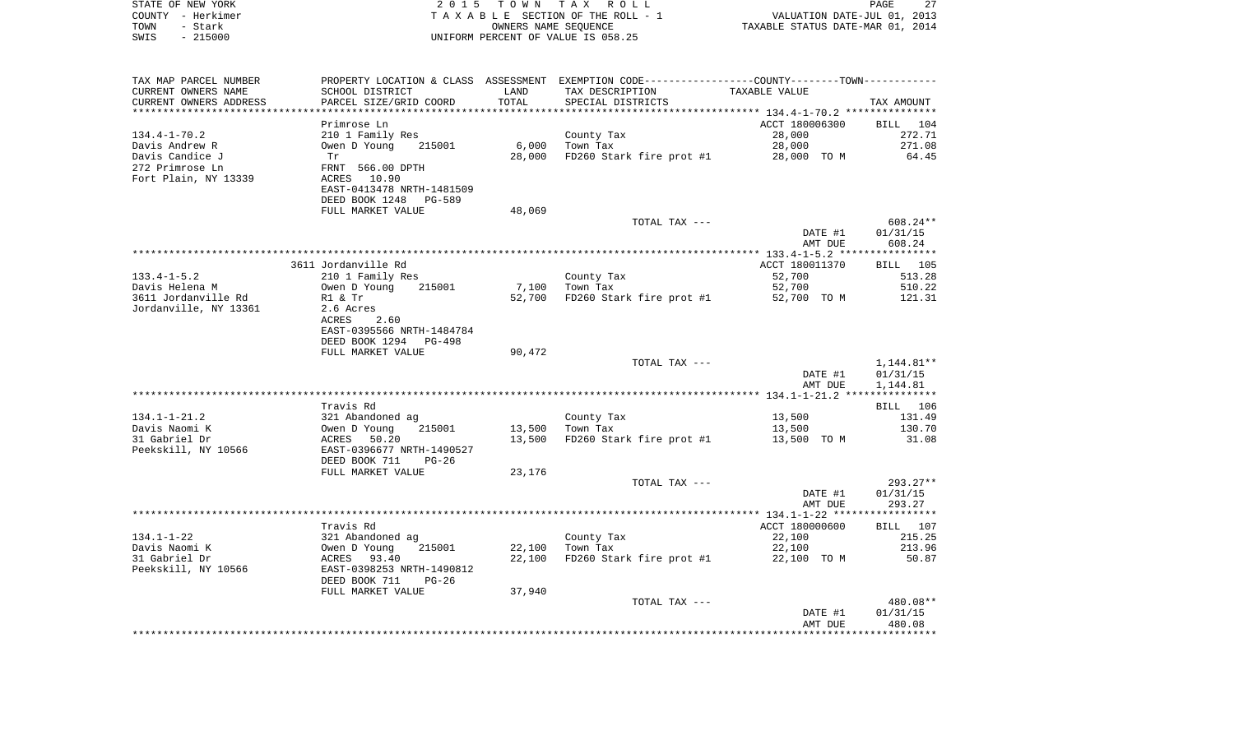| COUNTY - Herkimer<br>TOWN<br>- Stark<br>SWIS<br>$-215000$ |                                                                                                            |                  | T A X A B L E SECTION OF THE ROLL - 1<br>OWNERS NAME SEQUENCE<br>UNIFORM PERCENT OF VALUE IS 058.25 | VALUATION DATE-JUL 01, 2013<br>TAXABLE STATUS DATE-MAR 01, 2014 |                 |
|-----------------------------------------------------------|------------------------------------------------------------------------------------------------------------|------------------|-----------------------------------------------------------------------------------------------------|-----------------------------------------------------------------|-----------------|
| TAX MAP PARCEL NUMBER                                     | PROPERTY LOCATION & CLASS ASSESSMENT EXEMPTION CODE---------------COUNTY-------TOWN----------              |                  |                                                                                                     |                                                                 |                 |
| CURRENT OWNERS NAME                                       | SCHOOL DISTRICT                                                                                            | LAND             | TAX DESCRIPTION                                                                                     | TAXABLE VALUE                                                   |                 |
| CURRENT OWNERS ADDRESS                                    | PARCEL SIZE/GRID COORD                                                                                     | TOTAL            | SPECIAL DISTRICTS                                                                                   |                                                                 | TAX AMOUNT      |
|                                                           |                                                                                                            |                  |                                                                                                     |                                                                 |                 |
|                                                           | Primrose Ln                                                                                                |                  |                                                                                                     | ACCT 180006300                                                  | BILL 104        |
| 134.4-1-70.2                                              | 210 1 Family Res                                                                                           |                  | County Tax                                                                                          | 28,000                                                          | 272.71          |
| Davis Andrew R                                            | Owen D Young 215001                                                                                        |                  | $6,000$ Town Tax                                                                                    | 28,000                                                          | 271.08          |
| Davis Candice J                                           | Tr                                                                                                         |                  | 28,000 FD260 Stark fire prot #1 28,000 TO M 64.45                                                   |                                                                 |                 |
| 272 Primrose Ln                                           | FRNT 566.00 DPTH                                                                                           |                  |                                                                                                     |                                                                 |                 |
| Fort Plain, NY 13339                                      | ACRES 10.90                                                                                                |                  |                                                                                                     |                                                                 |                 |
|                                                           | EAST-0413478 NRTH-1481509                                                                                  |                  |                                                                                                     |                                                                 |                 |
|                                                           | DEED BOOK 1248 PG-589                                                                                      |                  |                                                                                                     |                                                                 |                 |
|                                                           | FULL MARKET VALUE                                                                                          | 48,069           | TOTAL TAX ---                                                                                       |                                                                 | 608.24**        |
|                                                           |                                                                                                            |                  |                                                                                                     | DATE #1                                                         | 01/31/15        |
|                                                           |                                                                                                            |                  |                                                                                                     | AMT DUE                                                         | 608.24          |
|                                                           |                                                                                                            |                  |                                                                                                     |                                                                 |                 |
|                                                           | 3611 Jordanville Rd                                                                                        |                  |                                                                                                     | ACCT 180011370                                                  | BILL 105        |
| $133.4 - 1 - 5.2$                                         | 210 1 Family Res                                                                                           |                  | County Tax                                                                                          | 52,700                                                          | 513.28          |
| Davis Helena M                                            | Owen D Young 215001                                                                                        |                  | 7,100 Town Tax                                                                                      | 52,700                                                          | 510.22          |
| 3611 Jordanville Rd                                       | R1 & Tr<br>2.6 Acres                                                                                       |                  | 52,700 FD260 Stark fire prot #1 52,700 TO M                                                         |                                                                 | 121.31          |
| Jordanville, NY 13361                                     |                                                                                                            |                  |                                                                                                     |                                                                 |                 |
|                                                           | ACRES<br>2.60                                                                                              |                  |                                                                                                     |                                                                 |                 |
|                                                           | EAST-0395566 NRTH-1484784<br>DEED BOOK 1294 PG-498                                                         |                  |                                                                                                     |                                                                 |                 |
|                                                           | FULL MARKET VALUE                                                                                          | 90,472           |                                                                                                     |                                                                 |                 |
|                                                           |                                                                                                            |                  | TOTAL TAX ---                                                                                       |                                                                 | 1,144.81**      |
|                                                           |                                                                                                            |                  |                                                                                                     | DATE #1                                                         | 01/31/15        |
|                                                           |                                                                                                            |                  |                                                                                                     | AMT DUE                                                         | 1,144.81        |
|                                                           |                                                                                                            |                  |                                                                                                     |                                                                 |                 |
|                                                           | Travis Rd                                                                                                  |                  |                                                                                                     |                                                                 | BILL 106        |
|                                                           |                                                                                                            |                  | County Tax                                                                                          | 13,500                                                          | 131.49          |
|                                                           |                                                                                                            |                  | 13,500 Town Tax                                                                                     | 13,500                                                          | 130.70          |
|                                                           |                                                                                                            | 13,500           | FD260 Stark fire prot #1 13,500 TO M                                                                |                                                                 | 31.08           |
|                                                           |                                                                                                            |                  |                                                                                                     |                                                                 |                 |
|                                                           | FULL MARKET VALUE                                                                                          | 23,176           |                                                                                                     |                                                                 |                 |
|                                                           |                                                                                                            |                  | TOTAL TAX ---                                                                                       |                                                                 | 293.27**        |
|                                                           |                                                                                                            |                  |                                                                                                     | DATE #1                                                         | 01/31/15        |
|                                                           |                                                                                                            |                  |                                                                                                     | AMT DUE                                                         | 293.27          |
|                                                           |                                                                                                            |                  |                                                                                                     |                                                                 |                 |
|                                                           | Travis Rd                                                                                                  |                  |                                                                                                     | ACCT 180000600                                                  | BILL 107        |
| 134.1-1-22                                                |                                                                                                            |                  | County Tax $\overline{a}$                                                                           | 22,100                                                          | 215.25          |
| Davis Naomi K<br>31 Gabriel Dr                            |                                                                                                            | 22,100<br>22,100 | FD260 Stark fire prot #1 22,100 TO M                                                                | 22,100                                                          | 213.96<br>50.87 |
| Peekskill, NY 10566                                       |                                                                                                            |                  |                                                                                                     |                                                                 |                 |
|                                                           | 321 Abandoned ag<br>0wen D Young 215001<br>ACRES 93.40<br>EAST-0398253 NRTH-1490812<br>DEED BOOK 711 PG-26 |                  |                                                                                                     |                                                                 |                 |
|                                                           | FULL MARKET VALUE                                                                                          | 37,940           |                                                                                                     |                                                                 |                 |
|                                                           |                                                                                                            |                  | TOTAL TAX ---                                                                                       |                                                                 | 480.08**        |
|                                                           |                                                                                                            |                  |                                                                                                     | DATE #1                                                         | 01/31/15        |
|                                                           |                                                                                                            |                  |                                                                                                     | AMT DUE                                                         | 480.08          |
|                                                           |                                                                                                            |                  |                                                                                                     |                                                                 | ************    |

PAGE 27

STATE OF NEW YORK **EXECUTE:** TO W N TAX ROLL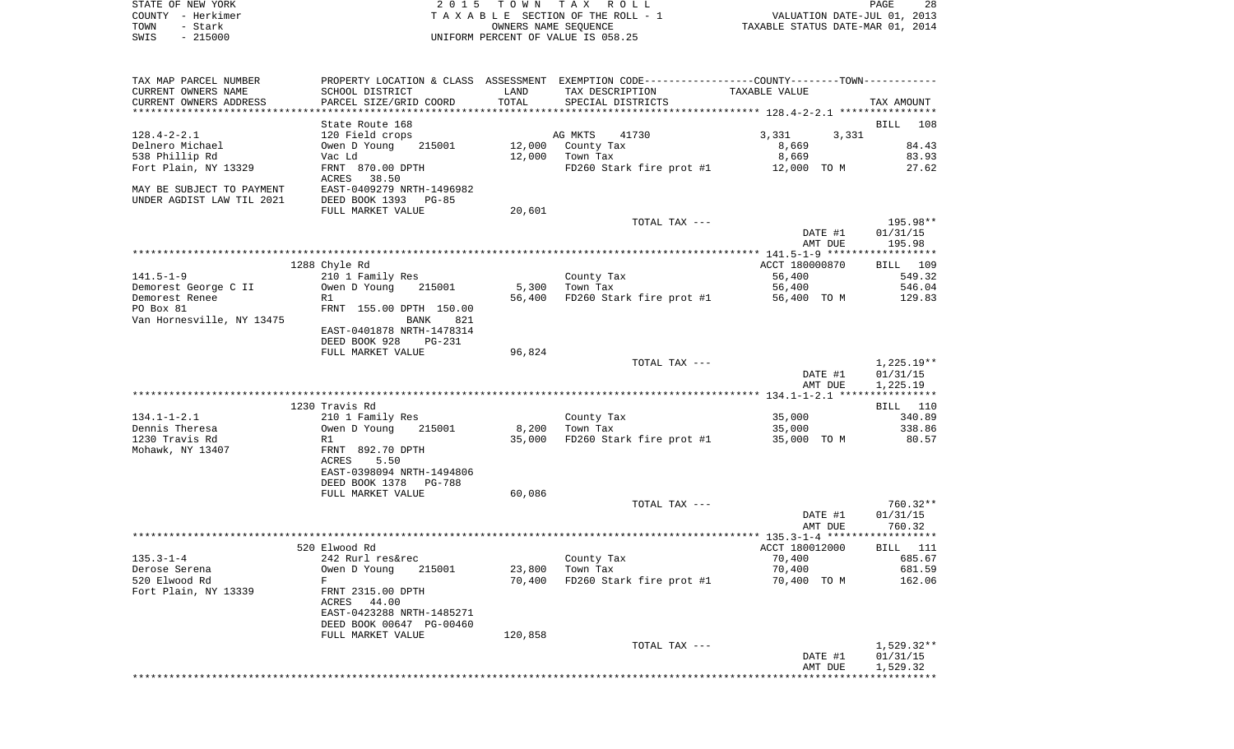| STATE OF NEW YORK<br>COUNTY - Herkimer                 |                                                       |                 | 2015 TOWN TAX ROLL<br>TAXABLE SECTION OF THE ROLL - 1                                         | VALUATION DATE-JUL 01, 2013      | PAGE<br>28           |
|--------------------------------------------------------|-------------------------------------------------------|-----------------|-----------------------------------------------------------------------------------------------|----------------------------------|----------------------|
| TOWN<br>- Stark<br>SWIS<br>$-215000$                   |                                                       |                 | OWNERS NAME SEOUENCE<br>UNIFORM PERCENT OF VALUE IS 058.25                                    | TAXABLE STATUS DATE-MAR 01, 2014 |                      |
| TAX MAP PARCEL NUMBER                                  |                                                       |                 | PROPERTY LOCATION & CLASS ASSESSMENT EXEMPTION CODE---------------COUNTY-------TOWN---------- |                                  |                      |
| CURRENT OWNERS NAME<br>CURRENT OWNERS ADDRESS          | SCHOOL DISTRICT<br>PARCEL SIZE/GRID COORD             | LAND<br>TOTAL   | TAX DESCRIPTION<br>SPECIAL DISTRICTS                                                          | TAXABLE VALUE                    | TAX AMOUNT           |
|                                                        |                                                       |                 |                                                                                               |                                  |                      |
|                                                        | State Route 168                                       |                 |                                                                                               |                                  | BILL<br>108          |
| 128.4-2-2.1<br>Delnero Michael                         | 120 Field crops<br>215001<br>Owen D Young             | 12,000          | AG MKTS<br>41730<br>County Tax                                                                | 3,331<br>3,331<br>8,669          | 84.43                |
| 538 Phillip Rd                                         | Vac Ld                                                |                 | $12,000$ Town Tax                                                                             | 8,669                            | 83.93                |
| Fort Plain, NY 13329                                   | FRNT 870.00 DPTH<br>ACRES 38.50                       |                 | FD260 Stark fire prot #1 12,000 TO M                                                          |                                  | 27.62                |
| MAY BE SUBJECT TO PAYMENT<br>UNDER AGDIST LAW TIL 2021 | EAST-0409279 NRTH-1496982<br>DEED BOOK 1393 PG-85     |                 |                                                                                               |                                  |                      |
|                                                        | FULL MARKET VALUE                                     | 20,601          | TOTAL TAX ---                                                                                 |                                  | 195.98**             |
|                                                        |                                                       |                 |                                                                                               | DATE #1<br>AMT DUE               | 01/31/15<br>195.98   |
|                                                        |                                                       |                 |                                                                                               |                                  |                      |
|                                                        | 1288 Chyle Rd                                         |                 |                                                                                               | ACCT 180000870                   | BILL 109             |
| 141.5–1–9                                              | 210 1 Family Res                                      |                 | County Tax                                                                                    | 56,400                           | 549.32               |
| Demorest George C II<br>Demorest Renee                 | Owen D Young<br>215001<br>R1                          | 5,300<br>56,400 | Town Tax<br>FD260 Stark fire prot #1 56,400 TO M                                              | 56,400                           | 546.04<br>129.83     |
| PO Box 81                                              | FRNT 155.00 DPTH 150.00                               |                 |                                                                                               |                                  |                      |
| Van Hornesville, NY 13475                              | BANK<br>821                                           |                 |                                                                                               |                                  |                      |
|                                                        | EAST-0401878 NRTH-1478314                             |                 |                                                                                               |                                  |                      |
|                                                        | DEED BOOK 928<br>PG-231                               |                 |                                                                                               |                                  |                      |
|                                                        | FULL MARKET VALUE                                     | 96,824          |                                                                                               |                                  |                      |
|                                                        |                                                       |                 | TOTAL TAX ---                                                                                 |                                  | 1,225.19**           |
|                                                        |                                                       |                 |                                                                                               | DATE #1<br>AMT DUE               | 01/31/15<br>1,225.19 |
|                                                        |                                                       |                 |                                                                                               |                                  |                      |
|                                                        | 1230 Travis Rd                                        |                 |                                                                                               |                                  | BILL 110             |
| 134.1-1-2.1                                            | 210 1 Family Res                                      |                 | County Tax                                                                                    | 35,000                           | 340.89               |
| Dennis Theresa                                         | Owen D Young<br>215001                                | 8,200           | Town Tax                                                                                      | 35,000                           | 338.86               |
| 1230 Travis Rd                                         | R1                                                    | 35,000          | FD260 Stark fire prot #1                                                                      | 35,000 TO M                      | 80.57                |
| Mohawk, NY 13407                                       | FRNT 892.70 DPTH<br>ACRES<br>5.50                     |                 |                                                                                               |                                  |                      |
|                                                        | EAST-0398094 NRTH-1494806                             |                 |                                                                                               |                                  |                      |
|                                                        | DEED BOOK 1378<br>PG-788                              |                 |                                                                                               |                                  |                      |
|                                                        | FULL MARKET VALUE                                     | 60,086          |                                                                                               |                                  |                      |
|                                                        |                                                       |                 | TOTAL TAX ---                                                                                 |                                  | $760.32**$           |
|                                                        |                                                       |                 |                                                                                               | DATE #1                          | 01/31/15             |
|                                                        |                                                       |                 |                                                                                               | AMT DUE                          | 760.32               |
|                                                        | 520 Elwood Rd                                         |                 |                                                                                               | ACCT 180012000                   | BILL 111             |
| $135.3 - 1 - 4$                                        | 242 Rurl res&rec                                      |                 | County Tax                                                                                    | 70,400                           | 685.67               |
| Derose Serena                                          | Owen D Young<br>215001                                | 23,800          | Town Tax                                                                                      | 70,400                           | 681.59               |
| 520 Elwood Rd                                          | F                                                     | 70,400          | FD260 Stark fire prot #1                                                                      | 70,400 TO M                      | 162.06               |
| Fort Plain, NY 13339                                   | FRNT 2315.00 DPTH                                     |                 |                                                                                               |                                  |                      |
|                                                        | ACRES 44.00                                           |                 |                                                                                               |                                  |                      |
|                                                        | EAST-0423288 NRTH-1485271<br>DEED BOOK 00647 PG-00460 |                 |                                                                                               |                                  |                      |
|                                                        | FULL MARKET VALUE                                     | 120,858         |                                                                                               |                                  |                      |
|                                                        |                                                       |                 | TOTAL TAX ---                                                                                 |                                  | $1,529.32**$         |
|                                                        |                                                       |                 |                                                                                               | DATE #1                          | 01/31/15             |

AMT DUE 1,529.32 \*\*\*\*\*\*\*\*\*\*\*\*\*\*\*\*\*\*\*\*\*\*\*\*\*\*\*\*\*\*\*\*\*\*\*\*\*\*\*\*\*\*\*\*\*\*\*\*\*\*\*\*\*\*\*\*\*\*\*\*\*\*\*\*\*\*\*\*\*\*\*\*\*\*\*\*\*\*\*\*\*\*\*\*\*\*\*\*\*\*\*\*\*\*\*\*\*\*\*\*\*\*\*\*\*\*\*\*\*\*\*\*\*\*\*\*\*\*\*\*\*\*\*\*\*\*\*\*\*\*\*\*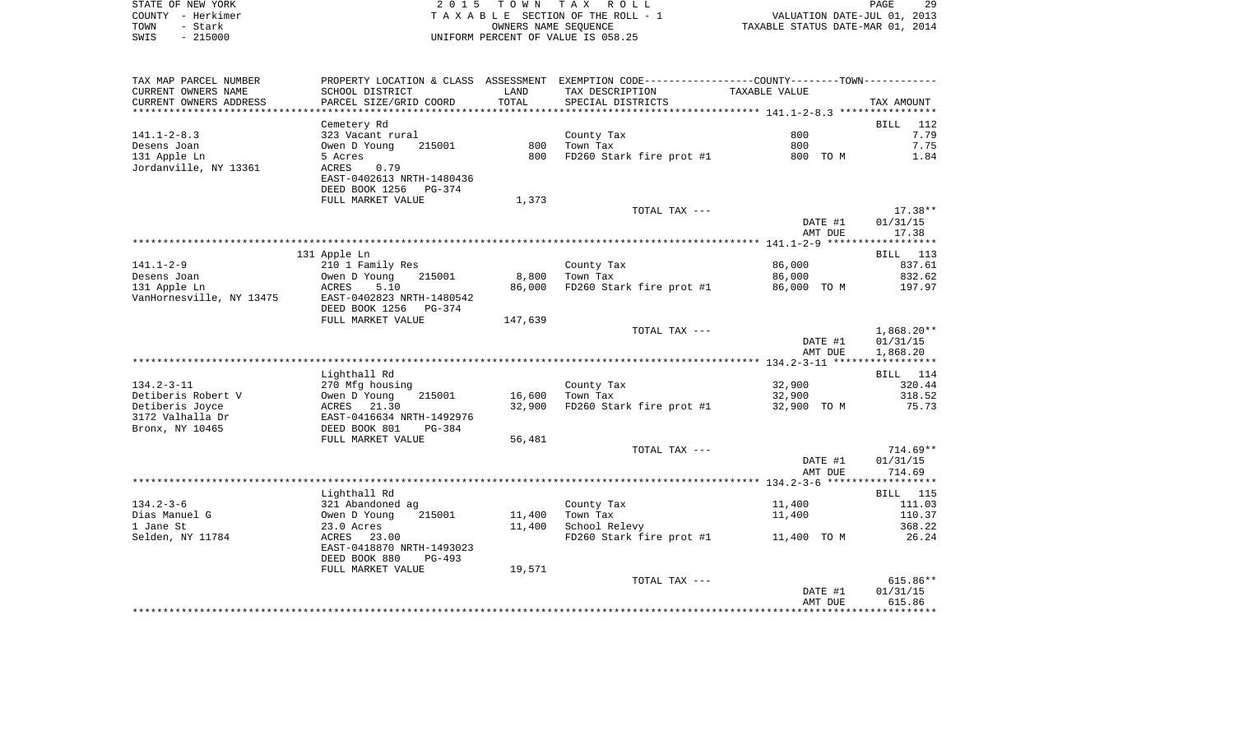|      | STATE OF NEW YORK | 2015 TOWN TAX ROLL                 | 29<br><b>PAGE</b>                |
|------|-------------------|------------------------------------|----------------------------------|
|      | COUNTY - Herkimer | TAXABLE SECTION OF THE ROLL - 1    | VALUATION DATE-JUL 01, 2013      |
| TOWN | - Stark           | OWNERS NAME SEOUENCE               | TAXABLE STATUS DATE-MAR 01, 2014 |
| SWIS | - 215000          | UNIFORM PERCENT OF VALUE IS 058.25 |                                  |

| TAX MAP PARCEL NUMBER            |                                            |                 | PROPERTY LOCATION & CLASS ASSESSMENT EXEMPTION CODE---------------COUNTY-------TOWN---------- |                    |                    |
|----------------------------------|--------------------------------------------|-----------------|-----------------------------------------------------------------------------------------------|--------------------|--------------------|
| CURRENT OWNERS NAME              | SCHOOL DISTRICT                            | LAND            | TAX DESCRIPTION                                                                               | TAXABLE VALUE      |                    |
| CURRENT OWNERS ADDRESS           | PARCEL SIZE/GRID COORD                     | TOTAL           | SPECIAL DISTRICTS                                                                             |                    | TAX AMOUNT         |
| ********************             |                                            | *************** |                                                                                               |                    |                    |
|                                  | Cemetery Rd                                |                 |                                                                                               |                    | <b>BILL</b><br>112 |
| $141.1 - 2 - 8.3$                | 323 Vacant rural                           |                 | County Tax                                                                                    | 800                | 7.79               |
| Desens Joan                      | Owen D Young<br>215001                     | 800             | Town Tax                                                                                      | 800                | 7.75               |
| 131 Apple Ln                     | 5 Acres                                    | 800             | FD260 Stark fire prot #1                                                                      | 800 TO M           | 1.84               |
| Jordanville, NY 13361            | ACRES<br>0.79<br>EAST-0402613 NRTH-1480436 |                 |                                                                                               |                    |                    |
|                                  | DEED BOOK 1256<br>PG-374                   |                 |                                                                                               |                    |                    |
|                                  | FULL MARKET VALUE                          | 1,373           |                                                                                               |                    |                    |
|                                  |                                            |                 | TOTAL TAX ---                                                                                 |                    | 17.38**            |
|                                  |                                            |                 |                                                                                               | DATE #1            | 01/31/15           |
|                                  |                                            |                 |                                                                                               | AMT DUE            | 17.38              |
|                                  |                                            |                 |                                                                                               |                    |                    |
|                                  | 131 Apple Ln                               |                 |                                                                                               |                    | BILL 113           |
| $141.1 - 2 - 9$                  | 210 1 Family Res                           |                 | County Tax                                                                                    | 86,000             | 837.61             |
| Desens Joan                      | Owen D Young<br>215001                     | 8,800           | Town Tax                                                                                      | 86,000             | 832.62             |
| 131 Apple Ln                     | ACRES<br>5.10                              | 86,000          | FD260 Stark fire prot #1                                                                      | 86,000 TO M        | 197.97             |
| VanHornesville, NY 13475         | EAST-0402823 NRTH-1480542                  |                 |                                                                                               |                    |                    |
|                                  | DEED BOOK 1256<br>PG-374                   |                 |                                                                                               |                    |                    |
|                                  | FULL MARKET VALUE                          | 147,639         |                                                                                               |                    |                    |
|                                  |                                            |                 | TOTAL TAX ---                                                                                 |                    | $1,868.20**$       |
|                                  |                                            |                 |                                                                                               | DATE #1<br>AMT DUE | 01/31/15           |
|                                  |                                            |                 |                                                                                               |                    | 1,868.20           |
|                                  | Lighthall Rd                               |                 |                                                                                               |                    | BILL 114           |
| $134.2 - 3 - 11$                 | 270 Mfg housing                            |                 | County Tax                                                                                    | 32,900             | 320.44             |
| Detiberis Robert V               | 215001<br>Owen D Young                     | 16,600          | Town Tax                                                                                      | 32,900             | 318.52             |
| Detiberis Joyce                  | 21.30<br>ACRES                             | 32,900          | FD260 Stark fire prot #1                                                                      | 32,900 TO M        | 75.73              |
| 3172 Valhalla Dr                 | EAST-0416634 NRTH-1492976                  |                 |                                                                                               |                    |                    |
| Bronx, NY 10465                  | DEED BOOK 801<br>$PG-384$                  |                 |                                                                                               |                    |                    |
|                                  | FULL MARKET VALUE                          | 56,481          |                                                                                               |                    |                    |
|                                  |                                            |                 | TOTAL TAX ---                                                                                 |                    | $714.69**$         |
|                                  |                                            |                 |                                                                                               | DATE #1            | 01/31/15           |
|                                  |                                            |                 |                                                                                               | AMT DUE            | 714.69             |
|                                  |                                            |                 |                                                                                               |                    |                    |
|                                  | Lighthall Rd                               |                 |                                                                                               |                    | BILL 115           |
| $134.2 - 3 - 6$<br>Dias Manuel G | 321 Abandoned ag<br>215001                 | 11,400          | County Tax<br>Town Tax                                                                        | 11,400             | 111.03<br>110.37   |
| 1 Jane St                        | Owen D Young<br>23.0 Acres                 | 11,400          | School Relevy                                                                                 | 11,400             | 368.22             |
| Selden, NY 11784                 | ACRES 23.00                                |                 | FD260 Stark fire prot #1                                                                      | 11,400 TO M        | 26.24              |
|                                  | EAST-0418870 NRTH-1493023                  |                 |                                                                                               |                    |                    |
|                                  | DEED BOOK 880<br>PG-493                    |                 |                                                                                               |                    |                    |
|                                  | FULL MARKET VALUE                          | 19,571          |                                                                                               |                    |                    |
|                                  |                                            |                 | TOTAL TAX ---                                                                                 |                    | $615.86**$         |
|                                  |                                            |                 |                                                                                               | DATE #1            | 01/31/15           |
|                                  |                                            |                 |                                                                                               | AMT DUE            | 615.86             |
|                                  |                                            |                 |                                                                                               |                    |                    |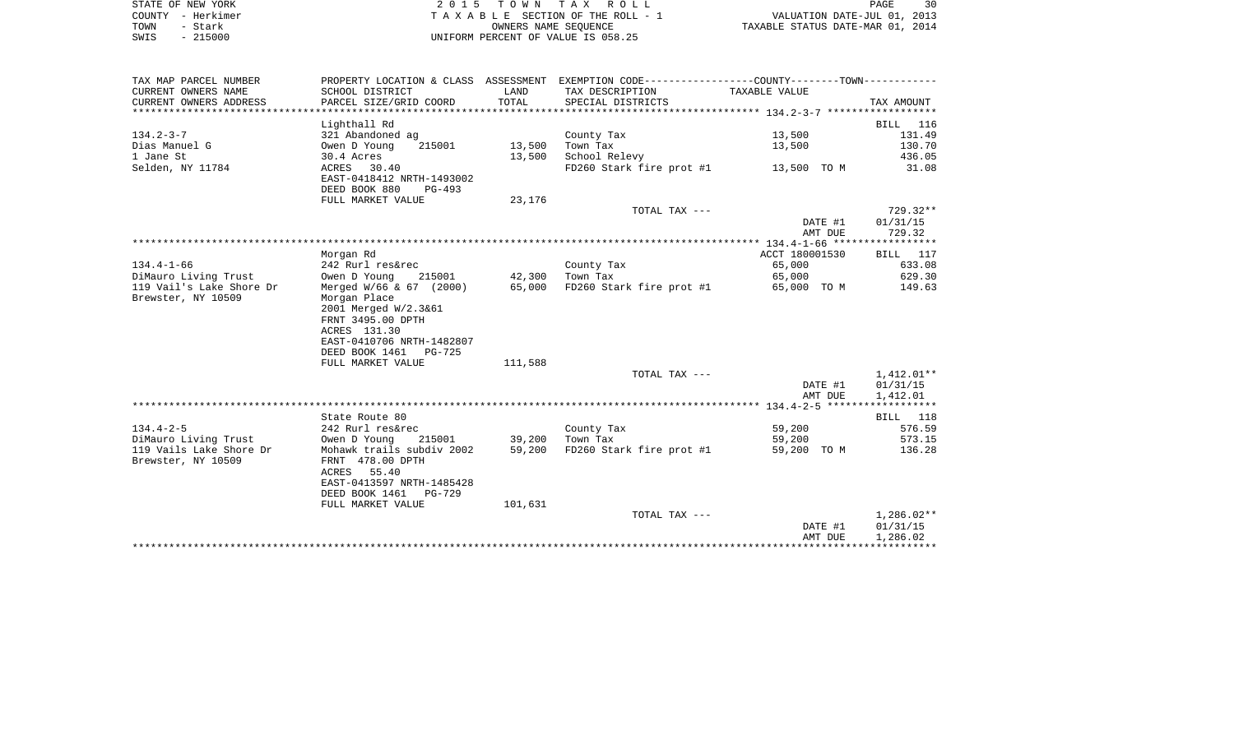|      | STATE OF NEW YORK | 2015 TOWN TAX ROLL                 | 30<br><b>PAGE</b>                |
|------|-------------------|------------------------------------|----------------------------------|
|      | COUNTY - Herkimer | TAXABLE SECTION OF THE ROLL - 1    | VALUATION DATE-JUL 01, 2013      |
| TOWN | - Stark           | OWNERS NAME SEOUENCE               | TAXABLE STATUS DATE-MAR 01, 2014 |
| SWIS | $-215000$         | UNIFORM PERCENT OF VALUE IS 058.25 |                                  |

| TAX MAP PARCEL NUMBER    |                                                                                                                                 |               | PROPERTY LOCATION & CLASS ASSESSMENT EXEMPTION CODE----------------COUNTY--------TOWN---------- |                    |                      |
|--------------------------|---------------------------------------------------------------------------------------------------------------------------------|---------------|-------------------------------------------------------------------------------------------------|--------------------|----------------------|
| CURRENT OWNERS NAME      | SCHOOL DISTRICT                                                                                                                 | LAND          | TAX DESCRIPTION                                                                                 | TAXABLE VALUE      |                      |
| CURRENT OWNERS ADDRESS   | PARCEL SIZE/GRID COORD                                                                                                          | TOTAL         | SPECIAL DISTRICTS                                                                               |                    | TAX AMOUNT           |
|                          |                                                                                                                                 |               |                                                                                                 |                    |                      |
|                          | Lighthall Rd                                                                                                                    |               |                                                                                                 |                    | BILL 116             |
| $134.2 - 3 - 7$          | 321 Abandoned ag                                                                                                                |               | County Tax                                                                                      | 13,500             | 131.49               |
| Dias Manuel G            | Owen D Young                                                                                                                    | 215001 13,500 | Town Tax                                                                                        | 13,500             | 130.70               |
| 1 Jane St                | 30.4 Acres                                                                                                                      | 13,500        | School Relevy                                                                                   |                    | 436.05               |
| Selden, NY 11784         | ACRES 30.40<br>EAST-0418412 NRTH-1493002<br>DEED BOOK 880<br>PG-493                                                             |               | FD260 Stark fire prot #1 13,500 TO M                                                            |                    | 31.08                |
|                          | FULL MARKET VALUE                                                                                                               | 23,176        |                                                                                                 |                    |                      |
|                          |                                                                                                                                 |               | TOTAL TAX ---                                                                                   |                    | $729.32**$           |
|                          |                                                                                                                                 |               |                                                                                                 | DATE #1            | 01/31/15             |
|                          |                                                                                                                                 |               |                                                                                                 | AMT DUE            | 729.32               |
|                          |                                                                                                                                 |               |                                                                                                 |                    |                      |
|                          | Morgan Rd                                                                                                                       |               |                                                                                                 | ACCT 180001530     | BILL 117             |
| $134.4 - 1 - 66$         | 242 Rurl res&rec                                                                                                                |               | County Tax                                                                                      | 65,000             | 633.08               |
| DiMauro Living Trust     | Owen D Young<br>215001                                                                                                          | 42,300        | Town Tax                                                                                        | 65,000             | 629.30               |
| 119 Vail's Lake Shore Dr | Merged $W/66$ & 67 (2000) 65,000                                                                                                |               | FD260 Stark fire prot #1 65,000 TO M                                                            |                    | 149.63               |
| Brewster, NY 10509       | Morgan Place<br>2001 Merged W/2.3&61<br>FRNT 3495.00 DPTH<br>ACRES 131.30<br>EAST-0410706 NRTH-1482807<br>DEED BOOK 1461 PG-725 |               |                                                                                                 |                    |                      |
|                          | FULL MARKET VALUE                                                                                                               | 111,588       |                                                                                                 |                    |                      |
|                          |                                                                                                                                 |               | TOTAL TAX ---                                                                                   |                    | 1,412.01**           |
|                          |                                                                                                                                 |               |                                                                                                 | DATE #1            | 01/31/15             |
|                          |                                                                                                                                 |               |                                                                                                 | AMT DUE            | 1,412.01             |
|                          | State Route 80                                                                                                                  |               |                                                                                                 |                    | BILL 118             |
| $134.4 - 2 - 5$          | 242 Rurl res&rec                                                                                                                |               | County Tax                                                                                      | 59,200             | 576.59               |
| DiMauro Living Trust     | Owen D Young 215001 39,200 Town Tax                                                                                             |               |                                                                                                 | 59,200             | 573.15               |
| 119 Vails Lake Shore Dr  | Mohawk trails subdiv 2002                                                                                                       | 59,200        | FD260 Stark fire prot #1                                                                        | 59,200 TO M        | 136.28               |
| Brewster, NY 10509       | FRNT 478.00 DPTH<br>ACRES 55.40                                                                                                 |               |                                                                                                 |                    |                      |
|                          | EAST-0413597 NRTH-1485428<br>DEED BOOK 1461 PG-729                                                                              |               |                                                                                                 |                    |                      |
|                          | FULL MARKET VALUE                                                                                                               | 101,631       |                                                                                                 |                    |                      |
|                          |                                                                                                                                 |               | TOTAL TAX ---                                                                                   |                    | 1,286.02**           |
|                          |                                                                                                                                 |               |                                                                                                 | DATE #1<br>AMT DUE | 01/31/15<br>1,286.02 |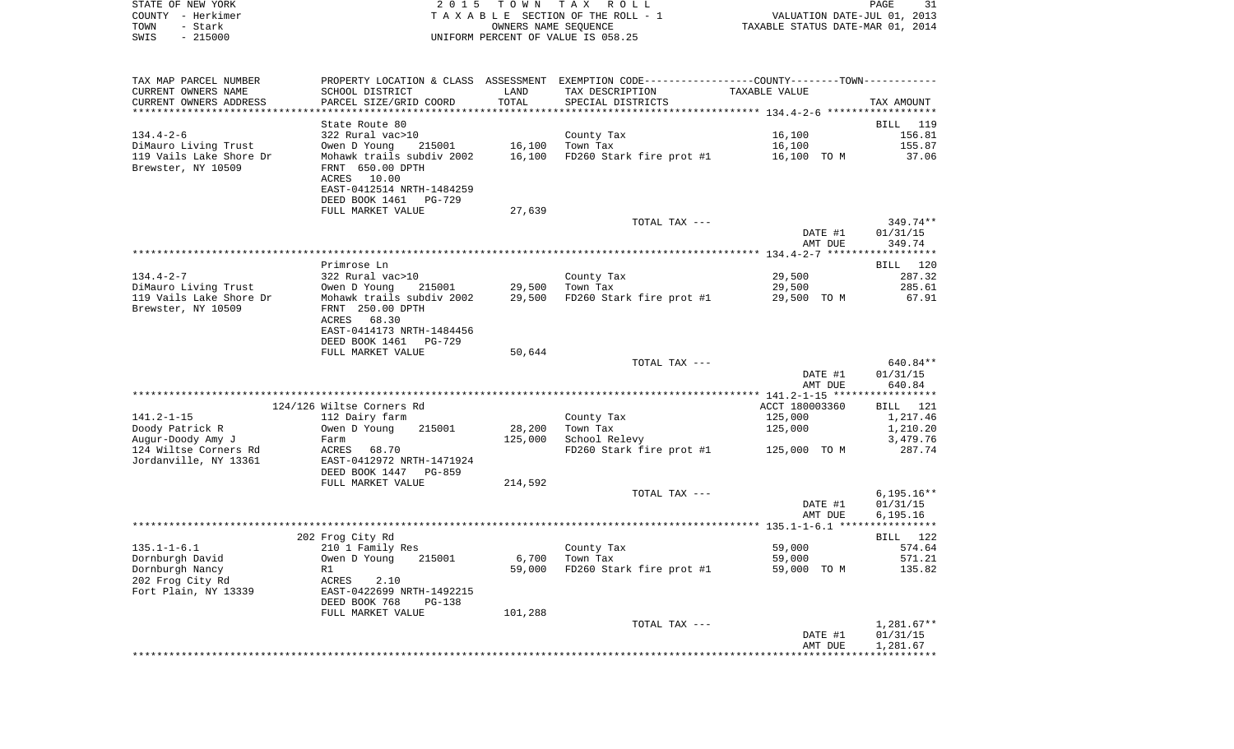| STATE OF NEW YORK | 2015 TOWN TAX ROLL                    | 31<br>PAGE                       |
|-------------------|---------------------------------------|----------------------------------|
| COUNTY - Herkimer | T A X A B L E SECTION OF THE ROLL - 1 | VALUATION DATE-JUL 01, 2013      |
| TOWN<br>- Stark   | OWNERS NAME SEOUENCE                  | TAXABLE STATUS DATE-MAR 01, 2014 |
| $-215000$<br>SWIS | UNIFORM PERCENT OF VALUE IS 058.25    |                                  |

 $\frac{31}{2013}$ <br> $\frac{2013}{2014}$ 

| TAX MAP PARCEL NUMBER   |                                             |         | PROPERTY LOCATION & CLASS ASSESSMENT EXEMPTION CODE---------------COUNTY-------TOWN---------- |                                              |                       |
|-------------------------|---------------------------------------------|---------|-----------------------------------------------------------------------------------------------|----------------------------------------------|-----------------------|
| CURRENT OWNERS NAME     | SCHOOL DISTRICT                             | LAND    | TAX DESCRIPTION                                                                               | TAXABLE VALUE                                |                       |
| CURRENT OWNERS ADDRESS  | PARCEL SIZE/GRID COORD                      | TOTAL   | SPECIAL DISTRICTS                                                                             |                                              | TAX AMOUNT            |
|                         |                                             |         |                                                                                               |                                              |                       |
|                         | State Route 80                              |         |                                                                                               |                                              | BILL 119              |
| $134.4 - 2 - 6$         | 322 Rural vac>10                            |         | County Tax                                                                                    | 16,100                                       | 156.81                |
| DiMauro Living Trust    | Owen D Young<br>215001                      | 16,100  | Town Tax                                                                                      | 16,100                                       | 155.87                |
| 119 Vails Lake Shore Dr | Mohawk trails subdiv 2002                   | 16,100  | FD260 Stark fire prot #1                                                                      | 16,100 TO M                                  | 37.06                 |
| Brewster, NY 10509      | FRNT 650.00 DPTH                            |         |                                                                                               |                                              |                       |
|                         | 10.00<br>ACRES<br>EAST-0412514 NRTH-1484259 |         |                                                                                               |                                              |                       |
|                         | DEED BOOK 1461<br>PG-729                    |         |                                                                                               |                                              |                       |
|                         | FULL MARKET VALUE                           | 27,639  |                                                                                               |                                              |                       |
|                         |                                             |         | TOTAL TAX ---                                                                                 |                                              | 349.74**              |
|                         |                                             |         |                                                                                               | DATE #1                                      | 01/31/15              |
|                         |                                             |         |                                                                                               | AMT DUE                                      | 349.74                |
|                         |                                             |         |                                                                                               |                                              | * * * * * * * * * * * |
|                         | Primrose Ln                                 |         |                                                                                               |                                              | BILL 120              |
| $134.4 - 2 - 7$         | 322 Rural vac>10                            |         | County Tax                                                                                    | 29,500                                       | 287.32                |
| DiMauro Living Trust    | Owen D Young<br>215001                      | 29,500  | Town Tax                                                                                      | 29,500                                       | 285.61                |
| 119 Vails Lake Shore Dr | Mohawk trails subdiv 2002                   | 29,500  | FD260 Stark fire prot #1                                                                      | 29,500 TO M                                  | 67.91                 |
| Brewster, NY 10509      | FRNT 250.00 DPTH                            |         |                                                                                               |                                              |                       |
|                         | 68.30<br>ACRES                              |         |                                                                                               |                                              |                       |
|                         | EAST-0414173 NRTH-1484456                   |         |                                                                                               |                                              |                       |
|                         | DEED BOOK 1461<br>PG-729                    |         |                                                                                               |                                              |                       |
|                         | FULL MARKET VALUE                           | 50,644  | TOTAL TAX ---                                                                                 |                                              | 640.84**              |
|                         |                                             |         |                                                                                               | DATE #1                                      | 01/31/15              |
|                         |                                             |         |                                                                                               | AMT DUE                                      | 640.84                |
|                         |                                             |         |                                                                                               | ************** 141.2-1-15 ****************** |                       |
|                         | 124/126 Wiltse Corners Rd                   |         |                                                                                               | ACCT 180003360                               | BILL<br>121           |
| $141.2 - 1 - 15$        | 112 Dairy farm                              |         | County Tax                                                                                    | 125,000                                      | 1,217.46              |
| Doody Patrick R         | Owen D Young<br>215001                      | 28,200  | Town Tax                                                                                      | 125,000                                      | 1,210.20              |
| Augur-Doody Amy J       | Farm                                        | 125,000 | School Relevy                                                                                 |                                              | 3,479.76              |
| 124 Wiltse Corners Rd   | ACRES<br>68.70                              |         | FD260 Stark fire prot #1                                                                      | 125,000 TO M                                 | 287.74                |
| Jordanville, NY 13361   | EAST-0412972 NRTH-1471924                   |         |                                                                                               |                                              |                       |
|                         | DEED BOOK 1447<br><b>PG-859</b>             |         |                                                                                               |                                              |                       |
|                         | FULL MARKET VALUE                           | 214,592 |                                                                                               |                                              |                       |
|                         |                                             |         | TOTAL TAX ---                                                                                 |                                              | $6,195.16**$          |
|                         |                                             |         |                                                                                               | DATE #1<br>AMT DUE                           | 01/31/15<br>6.195.16  |
|                         |                                             |         |                                                                                               |                                              |                       |
|                         | 202 Frog City Rd                            |         |                                                                                               |                                              | BILL 122              |
| $135.1 - 1 - 6.1$       | 210 1 Family Res                            |         | County Tax                                                                                    | 59,000                                       | 574.64                |
| Dornburgh David         | 215001<br>Owen D Young                      | 6,700   | Town Tax                                                                                      | 59,000                                       | 571.21                |
| Dornburgh Nancy         | R1                                          | 59,000  | FD260 Stark fire prot #1                                                                      | 59,000 TO M                                  | 135.82                |
| 202 Frog City Rd        | ACRES<br>2.10                               |         |                                                                                               |                                              |                       |
| Fort Plain, NY 13339    | EAST-0422699 NRTH-1492215                   |         |                                                                                               |                                              |                       |
|                         | DEED BOOK 768<br>$PG-138$                   |         |                                                                                               |                                              |                       |
|                         | FULL MARKET VALUE                           | 101,288 |                                                                                               |                                              |                       |
|                         |                                             |         | TOTAL TAX ---                                                                                 |                                              | $1,281.67**$          |
|                         |                                             |         |                                                                                               | DATE #1                                      | 01/31/15              |
|                         |                                             |         |                                                                                               | AMT DUE                                      | 1,281.67              |
|                         |                                             |         |                                                                                               |                                              |                       |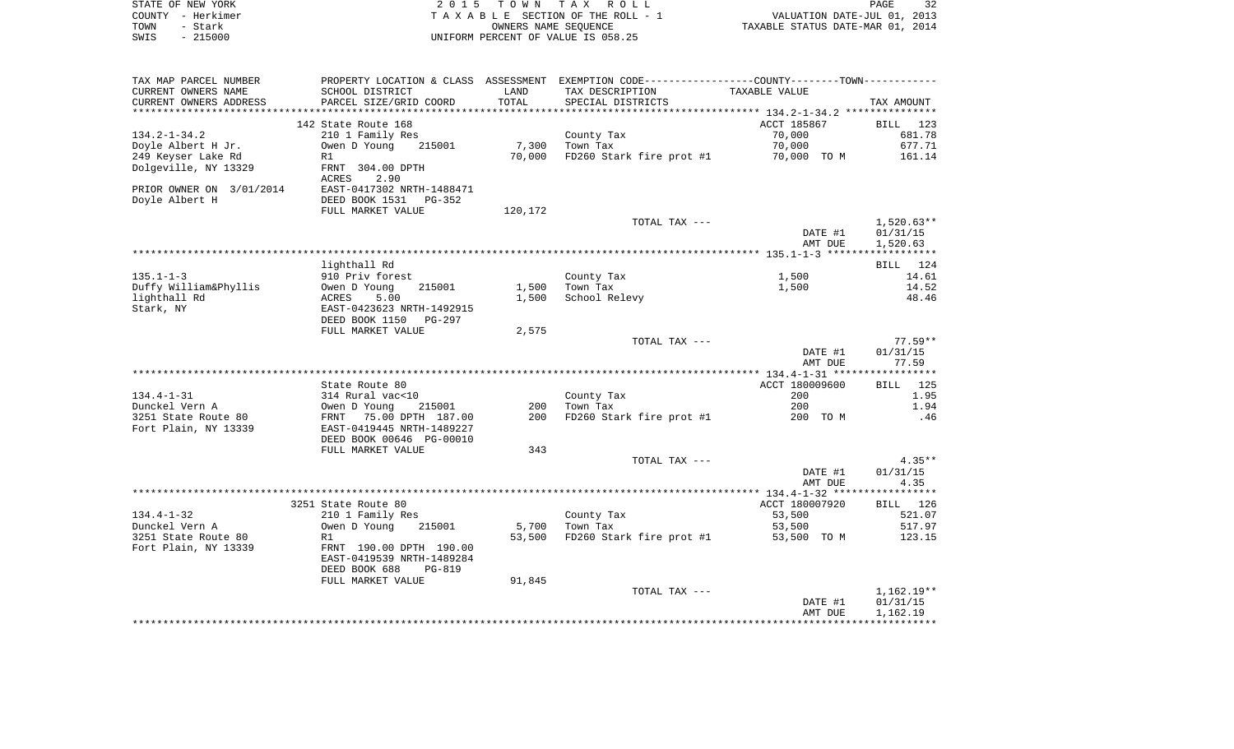| STATE OF NEW YORK                               |                                                      | 2015 TOWN | TAX ROLL                                                                                      |                                  | PAGE<br>32        |
|-------------------------------------------------|------------------------------------------------------|-----------|-----------------------------------------------------------------------------------------------|----------------------------------|-------------------|
| COUNTY - Herkimer                               |                                                      |           | TAXABLE SECTION OF THE ROLL - 1                                                               | VALUATION DATE-JUL 01, 2013      |                   |
| - Stark<br>TOWN                                 |                                                      |           | OWNERS NAME SEQUENCE                                                                          | TAXABLE STATUS DATE-MAR 01, 2014 |                   |
| SWIS<br>$-215000$                               |                                                      |           | UNIFORM PERCENT OF VALUE IS 058.25                                                            |                                  |                   |
| TAX MAP PARCEL NUMBER                           |                                                      |           | PROPERTY LOCATION & CLASS ASSESSMENT EXEMPTION CODE---------------COUNTY-------TOWN---------- |                                  |                   |
| CURRENT OWNERS NAME                             | SCHOOL DISTRICT                                      | LAND      | TAX DESCRIPTION                                                                               | TAXABLE VALUE                    |                   |
| CURRENT OWNERS ADDRESS<br>********************* | PARCEL SIZE/GRID COORD                               | TOTAL     | SPECIAL DISTRICTS                                                                             |                                  | TAX AMOUNT        |
|                                                 | 142 State Route 168                                  |           |                                                                                               | ACCT 185867                      | BILL 123          |
| $134.2 - 1 - 34.2$                              | 210 1 Family Res                                     |           | County Tax                                                                                    | 70,000                           | 681.78            |
| Doyle Albert H Jr.                              | Owen D Young<br>215001                               |           | 7,300 Town Tax                                                                                | 70,000                           | 677.71            |
| 249 Keyser Lake Rd                              | R1                                                   |           | 70,000 FD260 Stark fire prot #1 70,000 TO M                                                   |                                  | 161.14            |
| Dolgeville, NY 13329                            | FRNT 304.00 DPTH<br>ACRES<br>2.90                    |           |                                                                                               |                                  |                   |
| PRIOR OWNER ON 3/01/2014<br>Doyle Albert H      | EAST-0417302 NRTH-1488471<br>DEED BOOK 1531 PG-352   |           |                                                                                               |                                  |                   |
|                                                 | FULL MARKET VALUE                                    | 120,172   |                                                                                               |                                  |                   |
|                                                 |                                                      |           | TOTAL TAX ---                                                                                 |                                  | $1,520.63**$      |
|                                                 |                                                      |           |                                                                                               | DATE #1                          | 01/31/15          |
|                                                 |                                                      |           |                                                                                               | AMT DUE                          | 1,520.63          |
|                                                 |                                                      |           |                                                                                               |                                  |                   |
|                                                 | lighthall Rd                                         |           |                                                                                               |                                  | BILL 124          |
| $135.1 - 1 - 3$<br>Duffy William&Phyllis        | 910 Priv forest<br>215001<br>Owen D Young            |           | County Tax<br>1,500 Town Tax                                                                  | 1,500<br>1,500                   | 14.61<br>14.52    |
| lighthall Rd                                    | ACRES<br>5.00                                        |           | 1,500 School Relevy                                                                           |                                  | 48.46             |
| Stark, NY                                       | EAST-0423623 NRTH-1492915<br>DEED BOOK 1150 PG-297   |           |                                                                                               |                                  |                   |
|                                                 | FULL MARKET VALUE                                    | 2,575     |                                                                                               |                                  |                   |
|                                                 |                                                      |           | TOTAL TAX ---                                                                                 |                                  | $77.59**$         |
|                                                 |                                                      |           |                                                                                               | DATE #1<br>AMT DUE               | 01/31/15<br>77.59 |
|                                                 |                                                      |           |                                                                                               |                                  |                   |
|                                                 | State Route 80                                       |           |                                                                                               | ACCT 180009600                   | <b>BILL</b> 125   |
| $134.4 - 1 - 31$                                | 314 Rural vac<10                                     |           | County Tax                                                                                    | 200                              | 1.95              |
| Dunckel Vern A                                  | Owen D Young<br>215001                               |           | 200 Town Tax                                                                                  | 200                              | 1.94              |
| 3251 State Route 80                             | FRNT 75.00 DPTH 187.00                               |           | 200 FD260 Stark fire prot #1                                                                  | 200 TO M                         | .46               |
| Fort Plain, NY 13339                            | EAST-0419445 NRTH-1489227                            |           |                                                                                               |                                  |                   |
|                                                 | DEED BOOK 00646 PG-00010                             |           |                                                                                               |                                  |                   |
|                                                 | FULL MARKET VALUE                                    | 343       |                                                                                               |                                  |                   |
|                                                 |                                                      |           | TOTAL TAX ---                                                                                 |                                  | $4.35**$          |
|                                                 |                                                      |           |                                                                                               | DATE #1                          | 01/31/15          |
|                                                 |                                                      |           |                                                                                               | AMT DUE                          | 4.35              |
|                                                 | 3251 State Route 80                                  |           |                                                                                               | ACCT 180007920                   | BILL 126          |
| $134.4 - 1 - 32$                                | 210 1 Family Res                                     |           | County Tax                                                                                    | 53,500                           | 521.07            |
| Dunckel Vern A                                  | Owen D Young 215001                                  |           | 5,700 Town Tax                                                                                | 53,500                           | 517.97            |
| 3251 State Route 80                             | R1                                                   |           | 53,500 FD260 Stark fire prot #1 53,500 TO M                                                   |                                  | 123.15            |
| Fort Plain, NY 13339                            | FRNT 190.00 DPTH 190.00<br>EAST-0419539 NRTH-1489284 |           |                                                                                               |                                  |                   |
|                                                 | DEED BOOK 688<br>PG-819                              |           |                                                                                               |                                  |                   |
|                                                 | סוודות את סיסטסמאן ד                                 | 01 01 E   |                                                                                               |                                  |                   |

| FULL MARKET VALUE | 91,845 |               |         |              |
|-------------------|--------|---------------|---------|--------------|
|                   |        | TOTAL TAX --- |         | $1.162.19**$ |
|                   |        |               | DATE #1 | 01/31/15     |
|                   |        |               | AMT DUE | 1,162.19     |
|                   |        |               |         |              |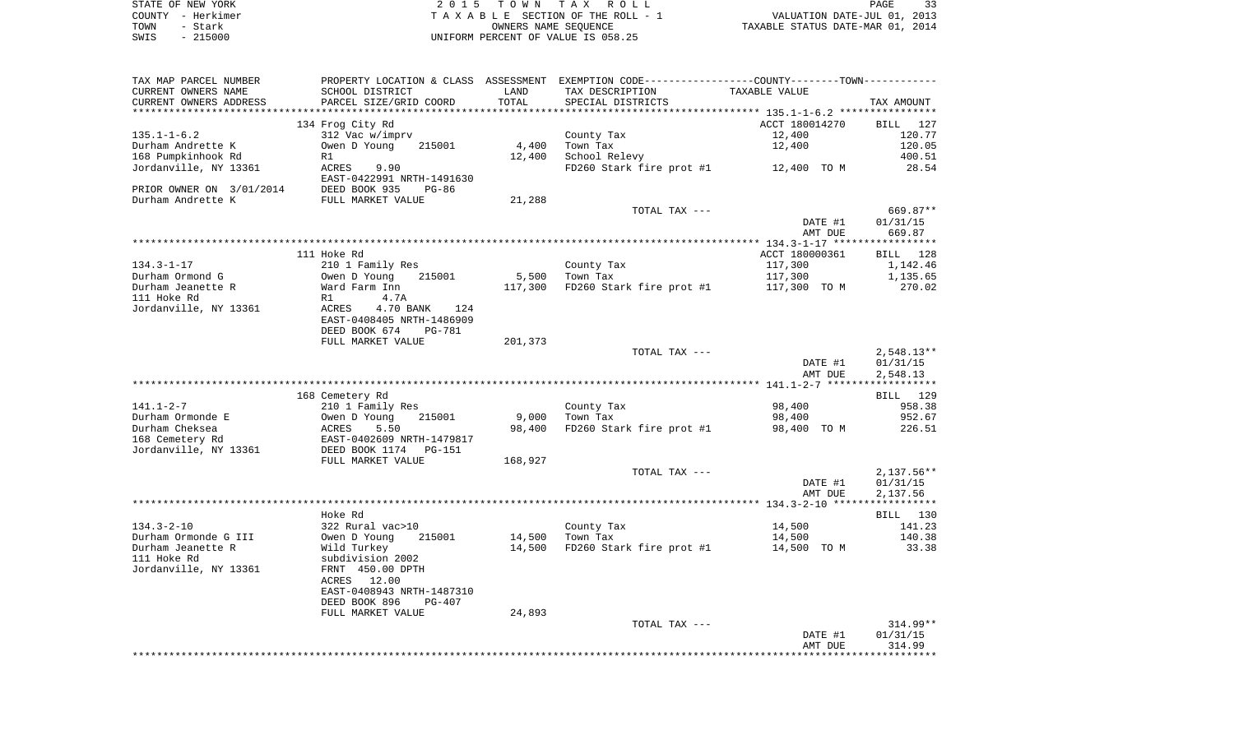|      | STATE OF NEW YORK | 2015 TOWN TAX ROLL                 | PAGE                             |
|------|-------------------|------------------------------------|----------------------------------|
|      | COUNTY - Herkimer | TAXABLE SECTION OF THE ROLL - 1    | VALUATION DATE-JUL 01, 2013      |
| TOWN | - Stark           | OWNERS NAME SEOUENCE               | TAXABLE STATUS DATE-MAR 01, 2014 |
| SWIS | $-215000$         | UNIFORM PERCENT OF VALUE IS 058.25 |                                  |

| TAX MAP PARCEL NUMBER                             | PROPERTY LOCATION & CLASS ASSESSMENT EXEMPTION CODE---------------COUNTY-------TOWN---------- |         |                                                         |                |                    |
|---------------------------------------------------|-----------------------------------------------------------------------------------------------|---------|---------------------------------------------------------|----------------|--------------------|
| CURRENT OWNERS NAME                               | SCHOOL DISTRICT                                                                               | LAND    | TAX DESCRIPTION                                         | TAXABLE VALUE  |                    |
| CURRENT OWNERS ADDRESS<br>*********************** | PARCEL SIZE/GRID COORD                                                                        | TOTAL   | SPECIAL DISTRICTS                                       |                | TAX AMOUNT         |
|                                                   |                                                                                               |         |                                                         |                |                    |
|                                                   | 134 Frog City Rd                                                                              |         |                                                         | ACCT 180014270 | BILL 127           |
| $135.1 - 1 - 6.2$                                 | 312 Vac w/imprv<br>215001                                                                     | 4,400   | County Tax                                              | 12,400         | 120.77             |
| Durham Andrette K                                 | Owen D Young                                                                                  |         | Town Tax                                                | 12,400         | 120.05             |
| 168 Pumpkinhook Rd<br>Jordanville, NY 13361       | R1<br>ACRES<br>9.90                                                                           | 12,400  | School Relevy<br>FD260 Stark fire prot $#1$ 12,400 TO M |                | 400.51<br>28.54    |
|                                                   | EAST-0422991 NRTH-1491630                                                                     |         |                                                         |                |                    |
| PRIOR OWNER ON 3/01/2014                          | DEED BOOK 935<br>PG-86                                                                        |         |                                                         |                |                    |
| Durham Andrette K                                 | FULL MARKET VALUE                                                                             | 21,288  |                                                         |                |                    |
|                                                   |                                                                                               |         | TOTAL TAX ---                                           |                | 669.87**           |
|                                                   |                                                                                               |         |                                                         | DATE #1        | 01/31/15           |
|                                                   |                                                                                               |         |                                                         | AMT DUE        | 669.87             |
|                                                   |                                                                                               |         |                                                         |                |                    |
|                                                   | 111 Hoke Rd                                                                                   |         |                                                         | ACCT 180000361 | BILL 128           |
| $134.3 - 1 - 17$                                  | 210 1 Family Res                                                                              |         | County Tax                                              | 117,300        | 1,142.46           |
| Durham Ormond G                                   | Owen D Young<br>215001                                                                        | 5,500   | Town Tax                                                | 117,300        | 1,135.65           |
| Durham Jeanette R                                 | Ward Farm Inn                                                                                 | 117,300 | FD260 Stark fire prot #1                                | 117,300 TO M   | 270.02             |
| 111 Hoke Rd                                       | R1<br>4.7A                                                                                    |         |                                                         |                |                    |
| Jordanville, NY 13361                             | 4.70 BANK<br>ACRES<br>124                                                                     |         |                                                         |                |                    |
|                                                   | EAST-0408405 NRTH-1486909                                                                     |         |                                                         |                |                    |
|                                                   | DEED BOOK 674<br><b>PG-781</b>                                                                |         |                                                         |                |                    |
|                                                   | FULL MARKET VALUE                                                                             | 201,373 |                                                         |                |                    |
|                                                   |                                                                                               |         | TOTAL TAX ---                                           |                | $2,548.13**$       |
|                                                   |                                                                                               |         |                                                         | DATE #1        | 01/31/15           |
|                                                   |                                                                                               |         |                                                         | AMT DUE        | 2,548.13           |
|                                                   |                                                                                               |         |                                                         |                |                    |
|                                                   | 168 Cemetery Rd                                                                               |         |                                                         |                | BILL 129           |
| $141.1 - 2 - 7$                                   | 210 1 Family Res                                                                              |         | County Tax                                              | 98,400         | 958.38             |
| Durham Ormonde E                                  | Owen D Young<br>215001                                                                        | 9,000   | Town Tax                                                | 98,400         | 952.67             |
| Durham Cheksea                                    | ACRES<br>5.50                                                                                 | 98,400  | FD260 Stark fire prot #1                                | 98,400 TO M    | 226.51             |
| 168 Cemetery Rd                                   | EAST-0402609 NRTH-1479817                                                                     |         |                                                         |                |                    |
| Jordanville, NY 13361                             | DEED BOOK 1174<br>PG-151                                                                      |         |                                                         |                |                    |
|                                                   | FULL MARKET VALUE                                                                             | 168,927 |                                                         |                |                    |
|                                                   |                                                                                               |         | TOTAL TAX ---                                           |                | $2,137.56**$       |
|                                                   |                                                                                               |         |                                                         | DATE #1        | 01/31/15           |
|                                                   |                                                                                               |         |                                                         | AMT DUE        | 2,137.56           |
|                                                   |                                                                                               |         |                                                         |                |                    |
| $134.3 - 2 - 10$                                  | Hoke Rd<br>322 Rural vac>10                                                                   |         | County Tax                                              | 14,500         | BILL 130<br>141.23 |
| Durham Ormonde G III                              | Owen D Young<br>215001                                                                        | 14,500  | Town Tax                                                | 14,500         | 140.38             |
| Durham Jeanette R                                 | Wild Turkey                                                                                   | 14,500  | FD260 Stark fire prot #1                                | 14,500 TO M    | 33.38              |
| 111 Hoke Rd                                       | subdivision 2002                                                                              |         |                                                         |                |                    |
| Jordanville, NY 13361                             | FRNT 450.00 DPTH                                                                              |         |                                                         |                |                    |
|                                                   | ACRES<br>12.00                                                                                |         |                                                         |                |                    |
|                                                   | EAST-0408943 NRTH-1487310                                                                     |         |                                                         |                |                    |
|                                                   | DEED BOOK 896<br>PG-407                                                                       |         |                                                         |                |                    |
|                                                   | FULL MARKET VALUE                                                                             | 24,893  |                                                         |                |                    |
|                                                   |                                                                                               |         | TOTAL TAX ---                                           |                | 314.99**           |
|                                                   |                                                                                               |         |                                                         | DATE #1        | 01/31/15           |
|                                                   |                                                                                               |         |                                                         | AMT DUE        | 314.99             |
|                                                   |                                                                                               |         |                                                         |                | *************      |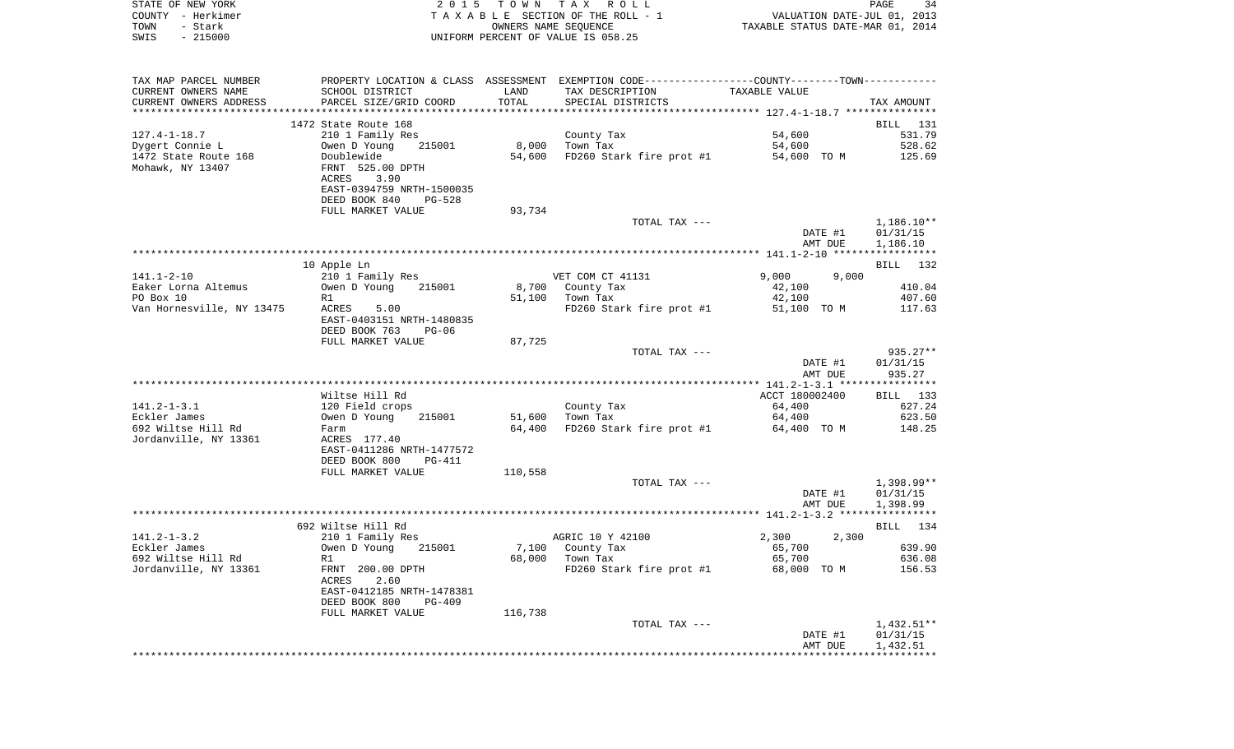| STATE OF NEW YORK     |                                      | 2015 TOWN TAX ROLL                 | PAGE                                                        | -34 |
|-----------------------|--------------------------------------|------------------------------------|-------------------------------------------------------------|-----|
| - Herkimer<br>COUNTY  |                                      | TAXABLE SECTION OF THE ROLL - 1    | VALUATION DATE-JUL 01, 2013                                 |     |
| - Stark<br>TOWN       |                                      | OWNERS NAME SEOUENCE               | TAXABLE STATUS DATE-MAR 01, 2014                            |     |
| $-215000$<br>SWIS     |                                      | UNIFORM PERCENT OF VALUE IS 058.25 |                                                             |     |
|                       |                                      |                                    |                                                             |     |
|                       |                                      |                                    |                                                             |     |
|                       |                                      |                                    |                                                             |     |
| TAX MAP PARCEL NUMBER | PROPERTY LOCATION & CLASS ASSESSMENT |                                    | EXEMPTION CODE-----------------COUNTY-------TOWN----------- |     |
| CURRENT OWNERS NAME   | SCHOOL DISTRICT                      | LAND<br>TAX DESCRIPTION            | TAXABLE VALUE                                               |     |

| CURRENT OWNERS ADDRESS    | PARCEL SIZE/GRID COORD         | TOTAL   | SPECIAL DISTRICTS        |                                      | TAX AMOUNT         |
|---------------------------|--------------------------------|---------|--------------------------|--------------------------------------|--------------------|
|                           |                                |         |                          | ************ 127.4-1-18.7 ********** |                    |
|                           | 1472 State Route 168           |         |                          |                                      | 131<br><b>BILL</b> |
| $127.4 - 1 - 18.7$        | 210 1 Family Res               |         | County Tax               | 54,600                               | 531.79             |
| Dygert Connie L           | 215001<br>Owen D Young         | 8,000   | Town Tax                 | 54,600                               | 528.62             |
| 1472 State Route 168      | Doublewide                     | 54,600  | FD260 Stark fire prot #1 | 54,600 TO M                          | 125.69             |
| Mohawk, NY 13407          | FRNT 525.00 DPTH               |         |                          |                                      |                    |
|                           | ACRES<br>3.90                  |         |                          |                                      |                    |
|                           | EAST-0394759 NRTH-1500035      |         |                          |                                      |                    |
|                           | DEED BOOK 840<br>$PG-528$      |         |                          |                                      |                    |
|                           | FULL MARKET VALUE              | 93,734  |                          |                                      |                    |
|                           |                                |         | TOTAL TAX ---            |                                      | $1,186.10**$       |
|                           |                                |         |                          | DATE #1                              | 01/31/15           |
|                           |                                |         |                          | AMT DUE                              | 1,186.10           |
|                           |                                |         |                          |                                      |                    |
|                           | 10 Apple Ln                    |         |                          |                                      | BILL 132           |
| $141.1 - 2 - 10$          | 210 1 Family Res               |         | VET COM CT 41131         | 9.000<br>9,000                       |                    |
| Eaker Lorna Altemus       | Owen D Young<br>215001         |         | 8,700 County Tax         | 42,100                               | 410.04             |
| PO Box 10                 | R1                             | 51,100  | Town Tax                 | 42,100                               | 407.60             |
| Van Hornesville, NY 13475 | ACRES<br>5.00                  |         | FD260 Stark fire prot #1 | 51,100 TO M                          | 117.63             |
|                           | EAST-0403151 NRTH-1480835      |         |                          |                                      |                    |
|                           | DEED BOOK 763<br>$PG-06$       |         |                          |                                      |                    |
|                           | FULL MARKET VALUE              | 87,725  |                          |                                      |                    |
|                           |                                |         | TOTAL TAX ---            |                                      | 935.27**           |
|                           |                                |         |                          | DATE #1                              | 01/31/15           |
|                           |                                |         |                          | AMT DUE                              | 935.27             |
|                           |                                |         |                          |                                      |                    |
|                           | Wiltse Hill Rd                 |         |                          | ACCT 180002400                       | BILL 133           |
| $141.2 - 1 - 3.1$         | 120 Field crops                |         | County Tax               | 64,400                               | 627.24             |
| Eckler James              | Owen D Young<br>215001         | 51,600  | Town Tax                 | 64,400                               | 623.50             |
| 692 Wiltse Hill Rd        | Farm                           | 64,400  | FD260 Stark fire prot #1 | 64,400 TO M                          | 148.25             |
| Jordanville, NY 13361     | ACRES 177.40                   |         |                          |                                      |                    |
|                           | EAST-0411286 NRTH-1477572      |         |                          |                                      |                    |
|                           | DEED BOOK 800<br><b>PG-411</b> |         |                          |                                      |                    |
|                           | FULL MARKET VALUE              | 110,558 |                          |                                      |                    |
|                           |                                |         | TOTAL TAX ---            |                                      | 1,398.99**         |
|                           |                                |         |                          | DATE #1                              | 01/31/15           |
|                           |                                |         |                          | AMT DUE                              | 1,398.99           |
|                           |                                |         |                          |                                      |                    |
|                           | 692 Wiltse Hill Rd             |         |                          |                                      | BILL 134           |
| $141.2 - 1 - 3.2$         | 210 1 Family Res               |         | AGRIC 10 Y 42100         | 2,300<br>2,300                       |                    |
| Eckler James              | Owen D Young<br>215001         | 7,100   | County Tax               | 65,700                               | 639.90             |
| 692 Wiltse Hill Rd        | R1                             | 68,000  | Town Tax                 | 65,700                               | 636.08             |
| Jordanville, NY 13361     | FRNT 200.00 DPTH               |         | FD260 Stark fire prot #1 | 68,000 TO M                          | 156.53             |
|                           | <b>ACRES</b><br>2.60           |         |                          |                                      |                    |
|                           | EAST-0412185 NRTH-1478381      |         |                          |                                      |                    |
|                           | DEED BOOK 800<br>$PG-409$      |         |                          |                                      |                    |
|                           | FULL MARKET VALUE              | 116,738 |                          |                                      |                    |
|                           |                                |         | TOTAL TAX ---            |                                      | $1,432.51**$       |
|                           |                                |         |                          | DATE #1                              | 01/31/15           |
|                           |                                |         |                          | AMT DUE                              | 1,432.51           |
|                           |                                |         |                          |                                      |                    |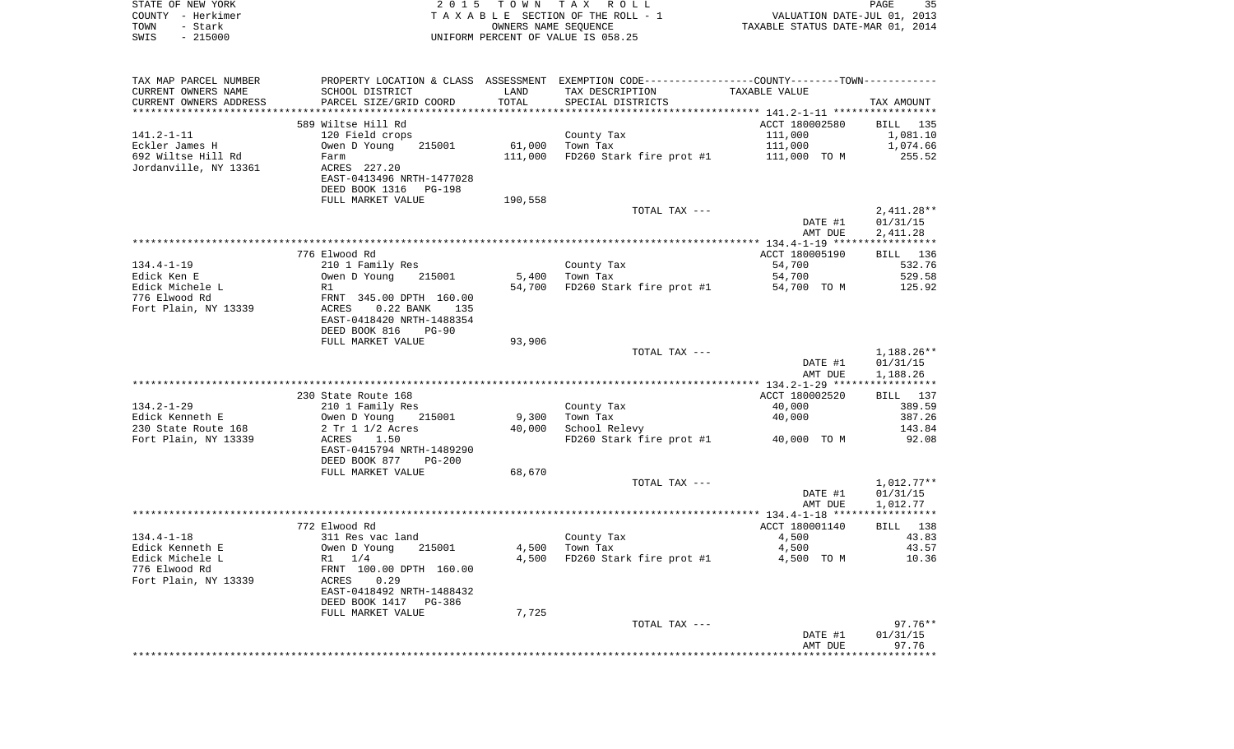| STATE OF NEW YORK | 2015 TOWN TAX ROLL                 | 35<br>PAGE                       |
|-------------------|------------------------------------|----------------------------------|
| COUNTY - Herkimer | TAXABLE SECTION OF THE ROLL - 1    | VALUATION DATE-JUL 01, 2013      |
| TOWN<br>- Stark   | OWNERS NAME SEOUENCE               | TAXABLE STATUS DATE-MAR 01, 2014 |
| $-215000$<br>SWIS | UNIFORM PERCENT OF VALUE IS 058.25 |                                  |

| TAX MAP PARCEL NUMBER  | PROPERTY LOCATION & CLASS ASSESSMENT EXEMPTION CODE---------------COUNTY-------TOWN---------- |         |                                       |                    |              |
|------------------------|-----------------------------------------------------------------------------------------------|---------|---------------------------------------|--------------------|--------------|
| CURRENT OWNERS NAME    | SCHOOL DISTRICT                                                                               | LAND    | TAX DESCRIPTION                       | TAXABLE VALUE      |              |
| CURRENT OWNERS ADDRESS | PARCEL SIZE/GRID COORD                                                                        | TOTAL   | SPECIAL DISTRICTS                     |                    | TAX AMOUNT   |
|                        |                                                                                               |         |                                       |                    |              |
|                        | 589 Wiltse Hill Rd                                                                            |         |                                       | ACCT 180002580     | BILL 135     |
| $141.2 - 1 - 11$       | 120 Field crops                                                                               |         | County Tax                            | 111,000            | 1,081.10     |
| Eckler James H         | Owen D Young<br>215001                                                                        | 61,000  | Town Tax                              | 111,000            | 1,074.66     |
| 692 Wiltse Hill Rd     | Farm                                                                                          | 111,000 | FD260 Stark fire prot #1 111,000 TO M |                    | 255.52       |
| Jordanville, NY 13361  | ACRES 227.20                                                                                  |         |                                       |                    |              |
|                        | EAST-0413496 NRTH-1477028                                                                     |         |                                       |                    |              |
|                        | DEED BOOK 1316<br>PG-198                                                                      |         |                                       |                    |              |
|                        | FULL MARKET VALUE                                                                             | 190,558 |                                       |                    |              |
|                        |                                                                                               |         | TOTAL TAX ---                         |                    | $2,411.28**$ |
|                        |                                                                                               |         |                                       | DATE #1            | 01/31/15     |
|                        |                                                                                               |         |                                       | AMT DUE            | 2,411.28     |
|                        |                                                                                               |         |                                       |                    |              |
|                        | 776 Elwood Rd                                                                                 |         |                                       | ACCT 180005190     | BILL 136     |
| $134.4 - 1 - 19$       | 210 1 Family Res                                                                              |         | County Tax                            | 54,700             | 532.76       |
| Edick Ken E            | Owen D Young<br>215001                                                                        | 5,400   | Town Tax                              | 54,700             | 529.58       |
| Edick Michele L        | R1                                                                                            | 54,700  | FD260 Stark fire prot #1              | 54,700 TO M        | 125.92       |
| 776 Elwood Rd          | FRNT 345.00 DPTH 160.00                                                                       |         |                                       |                    |              |
| Fort Plain, NY 13339   | $0.22$ BANK<br>ACRES<br>135                                                                   |         |                                       |                    |              |
|                        | EAST-0418420 NRTH-1488354                                                                     |         |                                       |                    |              |
|                        | DEED BOOK 816<br>$PG-90$                                                                      |         |                                       |                    |              |
|                        | FULL MARKET VALUE                                                                             | 93,906  |                                       |                    |              |
|                        |                                                                                               |         | TOTAL TAX ---                         |                    | 1,188.26**   |
|                        |                                                                                               |         |                                       |                    |              |
|                        |                                                                                               |         |                                       | DATE #1<br>AMT DUE | 01/31/15     |
|                        |                                                                                               |         |                                       |                    | 1,188.26     |
|                        |                                                                                               |         |                                       |                    |              |
|                        | 230 State Route 168                                                                           |         |                                       | ACCT 180002520     | BILL 137     |
| $134.2 - 1 - 29$       | 210 1 Family Res                                                                              |         | County Tax                            | 40,000             | 389.59       |
| Edick Kenneth E        | Owen D Young<br>215001                                                                        | 9,300   | Town Tax                              | 40,000             | 387.26       |
| 230 State Route 168    | 2 Tr 1 1/2 Acres                                                                              | 40,000  | School Relevy                         |                    | 143.84       |
| Fort Plain, NY 13339   | ACRES<br>1.50                                                                                 |         | FD260 Stark fire prot #1              | 40,000 TO M        | 92.08        |
|                        | EAST-0415794 NRTH-1489290                                                                     |         |                                       |                    |              |
|                        | DEED BOOK 877<br><b>PG-200</b>                                                                |         |                                       |                    |              |
|                        | FULL MARKET VALUE                                                                             | 68,670  |                                       |                    |              |
|                        |                                                                                               |         | TOTAL TAX ---                         |                    | $1,012.77**$ |
|                        |                                                                                               |         |                                       | DATE #1            | 01/31/15     |
|                        |                                                                                               |         |                                       | AMT DUE            | 1,012.77     |
|                        |                                                                                               |         |                                       |                    |              |
|                        | 772 Elwood Rd                                                                                 |         |                                       | ACCT 180001140     | BILL 138     |
| $134.4 - 1 - 18$       | 311 Res vac land                                                                              |         | County Tax                            | 4,500              | 43.83        |
| Edick Kenneth E        | Owen D Young<br>215001                                                                        | 4,500   | Town Tax                              | 4,500              | 43.57        |
| Edick Michele L        | R1 1/4                                                                                        | 4,500   | FD260 Stark fire prot #1              | 4,500 TO M         | 10.36        |
| 776 Elwood Rd          | FRNT 100.00 DPTH 160.00                                                                       |         |                                       |                    |              |
| Fort Plain, NY 13339   | ACRES<br>0.29                                                                                 |         |                                       |                    |              |
|                        | EAST-0418492 NRTH-1488432                                                                     |         |                                       |                    |              |
|                        | DEED BOOK 1417 PG-386                                                                         |         |                                       |                    |              |
|                        | FULL MARKET VALUE                                                                             | 7,725   |                                       |                    |              |
|                        |                                                                                               |         | TOTAL TAX ---                         |                    | $97.76**$    |
|                        |                                                                                               |         |                                       | DATE #1            | 01/31/15     |
|                        |                                                                                               |         |                                       | AMT DUE            | 97.76        |
|                        |                                                                                               |         |                                       |                    |              |
|                        |                                                                                               |         |                                       |                    |              |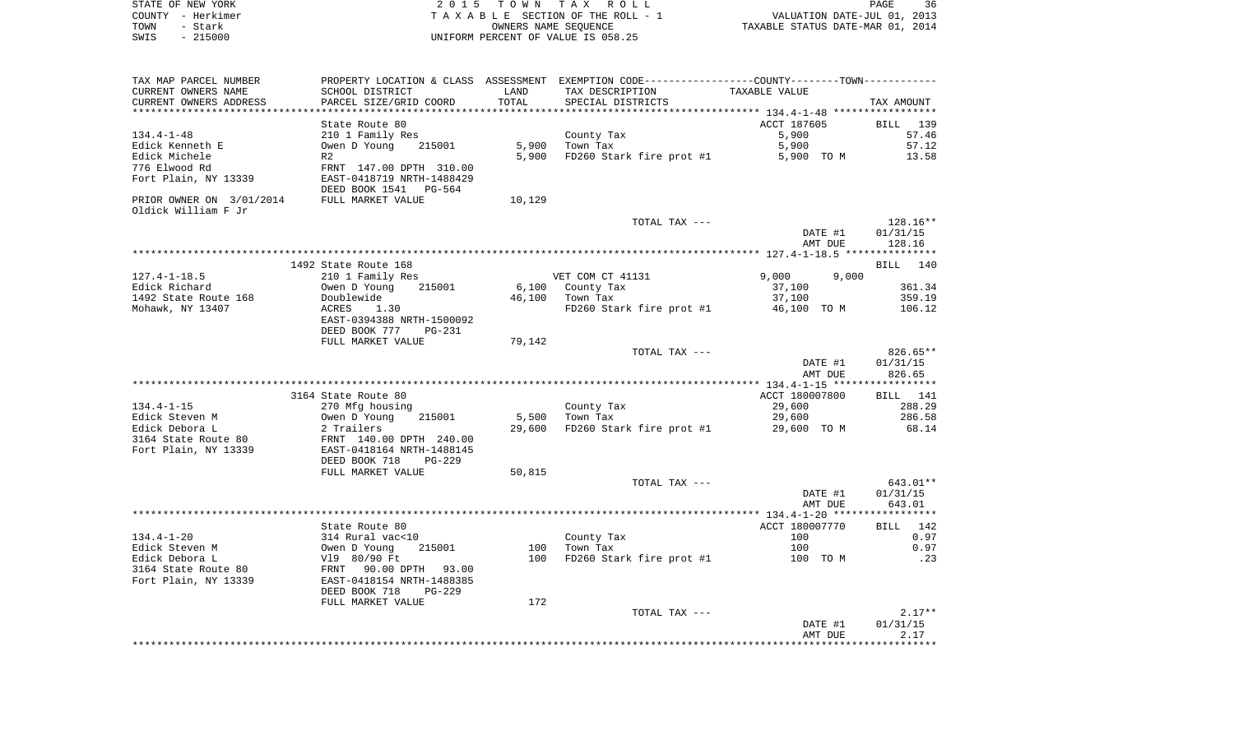|      | STATE OF NEW YORK | 2015 TOWN TAX ROLL                 | 36<br>PAGE                       |
|------|-------------------|------------------------------------|----------------------------------|
|      | COUNTY - Herkimer | TAXABLE SECTION OF THE ROLL - 1    | VALUATION DATE-JUL 01, 2013      |
| TOWN | - Stark           | OWNERS NAME SEOUENCE               | TAXABLE STATUS DATE-MAR 01, 2014 |
| SWIS | $-215000$         | UNIFORM PERCENT OF VALUE IS 058.25 |                                  |

| TAX MAP PARCEL NUMBER<br>CURRENT OWNERS NAME<br>CURRENT OWNERS ADDRESS | SCHOOL DISTRICT<br>PARCEL SIZE/GRID COORD                                        | LAND<br>TOTAL | PROPERTY LOCATION & CLASS ASSESSMENT EXEMPTION CODE---------------COUNTY-------TOWN---------<br>TAX DESCRIPTION<br>SPECIAL DISTRICTS | TAXABLE VALUE  | TAX AMOUNT  |
|------------------------------------------------------------------------|----------------------------------------------------------------------------------|---------------|--------------------------------------------------------------------------------------------------------------------------------------|----------------|-------------|
| **********************                                                 | **************************                                                       |               |                                                                                                                                      |                |             |
|                                                                        | State Route 80                                                                   |               |                                                                                                                                      | ACCT 187605    | BILL 139    |
| $134.4 - 1 - 48$                                                       | 210 1 Family Res                                                                 |               | County Tax                                                                                                                           | 5,900          | 57.46       |
| Edick Kenneth E                                                        | Owen D Young<br>215001                                                           | 5,900         | Town Tax                                                                                                                             | 5,900          | 57.12       |
| Edick Michele                                                          | R2                                                                               | 5,900         | FD260 Stark fire prot #1                                                                                                             | 5,900 TO M     | 13.58       |
| 776 Elwood Rd                                                          | FRNT 147.00 DPTH 310.00                                                          |               |                                                                                                                                      |                |             |
| Fort Plain, NY 13339                                                   | EAST-0418719 NRTH-1488429<br>DEED BOOK 1541 PG-564                               |               |                                                                                                                                      |                |             |
| PRIOR OWNER ON 3/01/2014                                               | FULL MARKET VALUE                                                                | 10,129        |                                                                                                                                      |                |             |
| Oldick William F Jr                                                    |                                                                                  |               |                                                                                                                                      |                |             |
|                                                                        |                                                                                  |               | TOTAL TAX ---                                                                                                                        |                | $128.16**$  |
|                                                                        |                                                                                  |               |                                                                                                                                      | DATE #1        | 01/31/15    |
|                                                                        |                                                                                  |               |                                                                                                                                      | AMT DUE        | 128.16      |
|                                                                        |                                                                                  |               |                                                                                                                                      |                |             |
|                                                                        | 1492 State Route 168                                                             |               |                                                                                                                                      |                | BILL 140    |
| $127.4 - 1 - 18.5$                                                     | 210 1 Family Res                                                                 |               | VET COM CT 41131                                                                                                                     | 9,000<br>9,000 |             |
| Edick Richard                                                          | Owen D Young<br>215001                                                           |               | 6,100 County Tax                                                                                                                     | 37,100         | 361.34      |
| 1492 State Route 168                                                   | Doublewide                                                                       |               | 46,100 Town Tax                                                                                                                      | 37,100         | 359.19      |
| Mohawk, NY 13407                                                       | ACRES<br>1.30                                                                    |               | FD260 Stark fire prot #1 46,100 TO M                                                                                                 |                | 106.12      |
|                                                                        | EAST-0394388 NRTH-1500092                                                        |               |                                                                                                                                      |                |             |
|                                                                        | DEED BOOK 777<br>PG-231                                                          | 79,142        |                                                                                                                                      |                |             |
|                                                                        | FULL MARKET VALUE                                                                |               | TOTAL TAX ---                                                                                                                        |                | 826.65**    |
|                                                                        |                                                                                  |               |                                                                                                                                      | DATE #1        | 01/31/15    |
|                                                                        |                                                                                  |               |                                                                                                                                      | AMT DUE        | 826.65      |
|                                                                        |                                                                                  |               |                                                                                                                                      |                |             |
|                                                                        | 3164 State Route 80                                                              |               |                                                                                                                                      | ACCT 180007800 | BILL 141    |
| $134.4 - 1 - 15$                                                       | 270 Mfg housing                                                                  |               | County Tax                                                                                                                           | 29,600         | 288.29      |
| Edick Steven M                                                         | Owen D Young<br>2 Trailers<br>215001                                             | 5,500         | Town Tax                                                                                                                             | 29,600         | 286.58      |
| Edick Debora L                                                         |                                                                                  | 29,600        | FD260 Stark fire prot #1                                                                                                             | 29,600 TO M    | 68.14       |
| 3164 State Route 80                                                    | FRNT 140.00 DPTH 240.00<br>EAST-0418164 NRTH-1488145                             |               |                                                                                                                                      |                |             |
| Fort Plain, NY 13339                                                   |                                                                                  |               |                                                                                                                                      |                |             |
|                                                                        | DEED BOOK 718<br>PG-229                                                          |               |                                                                                                                                      |                |             |
|                                                                        | FULL MARKET VALUE                                                                | 50,815        |                                                                                                                                      |                |             |
|                                                                        |                                                                                  |               | TOTAL TAX ---                                                                                                                        |                | 643.01**    |
|                                                                        |                                                                                  |               |                                                                                                                                      | DATE #1        | 01/31/15    |
|                                                                        |                                                                                  |               |                                                                                                                                      | AMT DUE        | 643.01      |
|                                                                        | State Route 80                                                                   |               |                                                                                                                                      | ACCT 180007770 | BILL 142    |
| $134.4 - 1 - 20$                                                       |                                                                                  |               | County Tax                                                                                                                           | 100            | 0.97        |
| Edick Steven M                                                         |                                                                                  |               | 100 Town Tax                                                                                                                         | 100            | 0.97        |
| Edick Debora L                                                         | 314 Rural vac<10<br>Owen D Young 215001<br>V19 80/90 Ft<br>FRNT 90.00 DPTH 93.00 | 100           | FD260 Stark fire prot #1                                                                                                             | 100 TO M       | $\ldots$ 23 |
| 3164 State Route 80                                                    |                                                                                  |               |                                                                                                                                      |                |             |
| Fort Plain, NY 13339                                                   | EAST-0418154 NRTH-1488385                                                        |               |                                                                                                                                      |                |             |
|                                                                        | DEED BOOK 718<br>PG-229                                                          |               |                                                                                                                                      |                |             |
|                                                                        | FULL MARKET VALUE                                                                | 172           |                                                                                                                                      |                |             |
|                                                                        |                                                                                  |               | TOTAL TAX ---                                                                                                                        |                | $2.17**$    |
|                                                                        |                                                                                  |               |                                                                                                                                      | DATE #1        | 01/31/15    |
|                                                                        |                                                                                  |               |                                                                                                                                      | AMT DUE        | 2.17        |
|                                                                        |                                                                                  |               |                                                                                                                                      |                |             |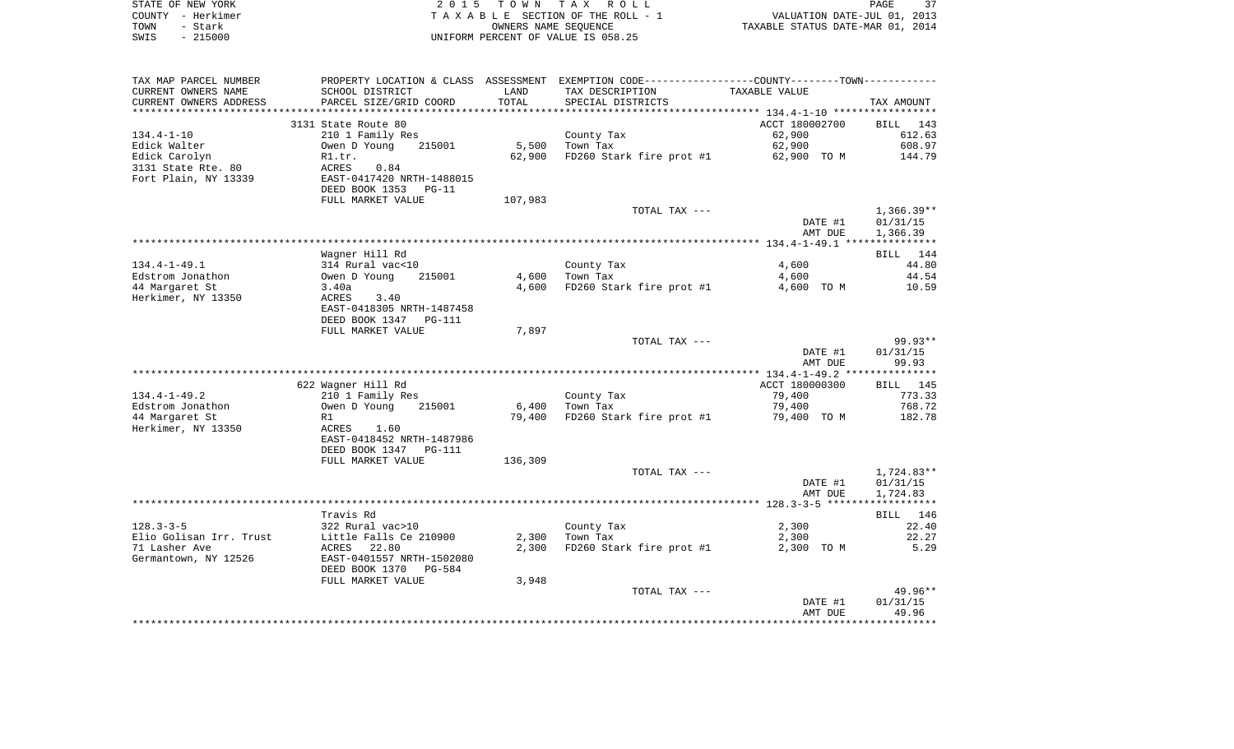|      | STATE OF NEW YORK | 2015 TOWN TAX ROLL                 | PAGE                             | 37 |
|------|-------------------|------------------------------------|----------------------------------|----|
|      | COUNTY - Herkimer | TAXABLE SECTION OF THE ROLL - 1    | VALUATION DATE-JUL 01, 2013      |    |
| TOWN | - Stark           | OWNERS NAME SEOUENCE               | TAXABLE STATUS DATE-MAR 01, 2014 |    |
| SWIS | $-215000$         | UNIFORM PERCENT OF VALUE IS 058.25 |                                  |    |

| TAX MAP PARCEL NUMBER   | PROPERTY LOCATION & CLASS ASSESSMENT EXEMPTION CODE----------------COUNTY--------TOWN--------- |         |                          |                |                 |
|-------------------------|------------------------------------------------------------------------------------------------|---------|--------------------------|----------------|-----------------|
| CURRENT OWNERS NAME     | SCHOOL DISTRICT                                                                                | LAND    | TAX DESCRIPTION          | TAXABLE VALUE  |                 |
| CURRENT OWNERS ADDRESS  | PARCEL SIZE/GRID COORD                                                                         | TOTAL   | SPECIAL DISTRICTS        |                | TAX AMOUNT      |
|                         |                                                                                                |         |                          |                |                 |
|                         | 3131 State Route 80                                                                            |         |                          | ACCT 180002700 | BILL 143        |
| $134.4 - 1 - 10$        | 210 1 Family Res                                                                               |         | County Tax               | 62,900         | 612.63          |
| Edick Walter            | Owen D Young<br>215001                                                                         | 5,500   | Town Tax                 | 62,900         | 608.97          |
| Edick Carolyn           | R1.tr.                                                                                         | 62,900  | FD260 Stark fire prot #1 | 62,900 TO M    | 144.79          |
| 3131 State Rte. 80      | ACRES<br>0.84                                                                                  |         |                          |                |                 |
| Fort Plain, NY 13339    | EAST-0417420 NRTH-1488015                                                                      |         |                          |                |                 |
|                         | DEED BOOK 1353 PG-11                                                                           |         |                          |                |                 |
|                         | FULL MARKET VALUE                                                                              | 107,983 |                          |                |                 |
|                         |                                                                                                |         | TOTAL TAX ---            |                | $1,366.39**$    |
|                         |                                                                                                |         |                          | DATE #1        | 01/31/15        |
|                         |                                                                                                |         |                          | AMT DUE        | 1,366.39        |
|                         |                                                                                                |         |                          |                |                 |
|                         | Wagner Hill Rd                                                                                 |         |                          |                | BILL 144        |
| $134.4 - 1 - 49.1$      | 314 Rural vac<10                                                                               |         | County Tax               | 4,600          | 44.80           |
| Edstrom Jonathon        | Owen D Young<br>215001                                                                         | 4,600   | Town Tax                 | 4,600          | 44.54           |
| 44 Margaret St          | 3.40a                                                                                          | 4,600   | FD260 Stark fire prot #1 | 4,600 TO M     | 10.59           |
| Herkimer, NY 13350      | 3.40<br>ACRES                                                                                  |         |                          |                |                 |
|                         | EAST-0418305 NRTH-1487458                                                                      |         |                          |                |                 |
|                         | DEED BOOK 1347<br><b>PG-111</b>                                                                |         |                          |                |                 |
|                         | FULL MARKET VALUE                                                                              | 7,897   |                          |                |                 |
|                         |                                                                                                |         | TOTAL TAX ---            |                | $99.93**$       |
|                         |                                                                                                |         |                          | DATE #1        | 01/31/15        |
|                         |                                                                                                |         |                          | AMT DUE        | 99.93           |
|                         |                                                                                                |         |                          |                |                 |
|                         | 622 Wagner Hill Rd                                                                             |         |                          | ACCT 180000300 | <b>BILL</b> 145 |
| $134.4 - 1 - 49.2$      | 210 1 Family Res                                                                               |         | County Tax               | 79,400         | 773.33          |
| Edstrom Jonathon        | Owen D Young<br>215001                                                                         | 6,400   | Town Tax                 | 79,400         | 768.72          |
| 44 Margaret St          | R1                                                                                             | 79,400  | FD260 Stark fire prot #1 | 79,400 TO M    | 182.78          |
| Herkimer, NY 13350      | ACRES<br>1.60                                                                                  |         |                          |                |                 |
|                         | EAST-0418452 NRTH-1487986                                                                      |         |                          |                |                 |
|                         | DEED BOOK 1347<br><b>PG-111</b>                                                                |         |                          |                |                 |
|                         | FULL MARKET VALUE                                                                              | 136,309 |                          |                |                 |
|                         |                                                                                                |         | TOTAL TAX ---            |                | $1,724.83**$    |
|                         |                                                                                                |         |                          | DATE #1        | 01/31/15        |
|                         |                                                                                                |         |                          | AMT DUE        | 1,724.83        |
|                         |                                                                                                |         |                          |                |                 |
|                         | Travis Rd                                                                                      |         |                          |                | BILL 146        |
| $128.3 - 3 - 5$         | 322 Rural vac>10                                                                               |         | County Tax               | 2,300          | 22.40           |
| Elio Golisan Irr. Trust | Little Falls Ce 210900                                                                         | 2,300   | Town Tax                 | 2,300          | 22.27           |
| 71 Lasher Ave           | 22.80<br>ACRES                                                                                 | 2,300   | FD260 Stark fire prot #1 | 2,300 TO M     | 5.29            |
| Germantown, NY 12526    | EAST-0401557 NRTH-1502080                                                                      |         |                          |                |                 |
|                         | DEED BOOK 1370<br>PG-584                                                                       |         |                          |                |                 |
|                         | FULL MARKET VALUE                                                                              | 3,948   |                          |                |                 |
|                         |                                                                                                |         | TOTAL TAX ---            |                | $49.96**$       |
|                         |                                                                                                |         |                          | DATE #1        | 01/31/15        |
|                         |                                                                                                |         |                          | AMT DUE        | 49.96           |
|                         |                                                                                                |         |                          |                |                 |
|                         |                                                                                                |         |                          |                |                 |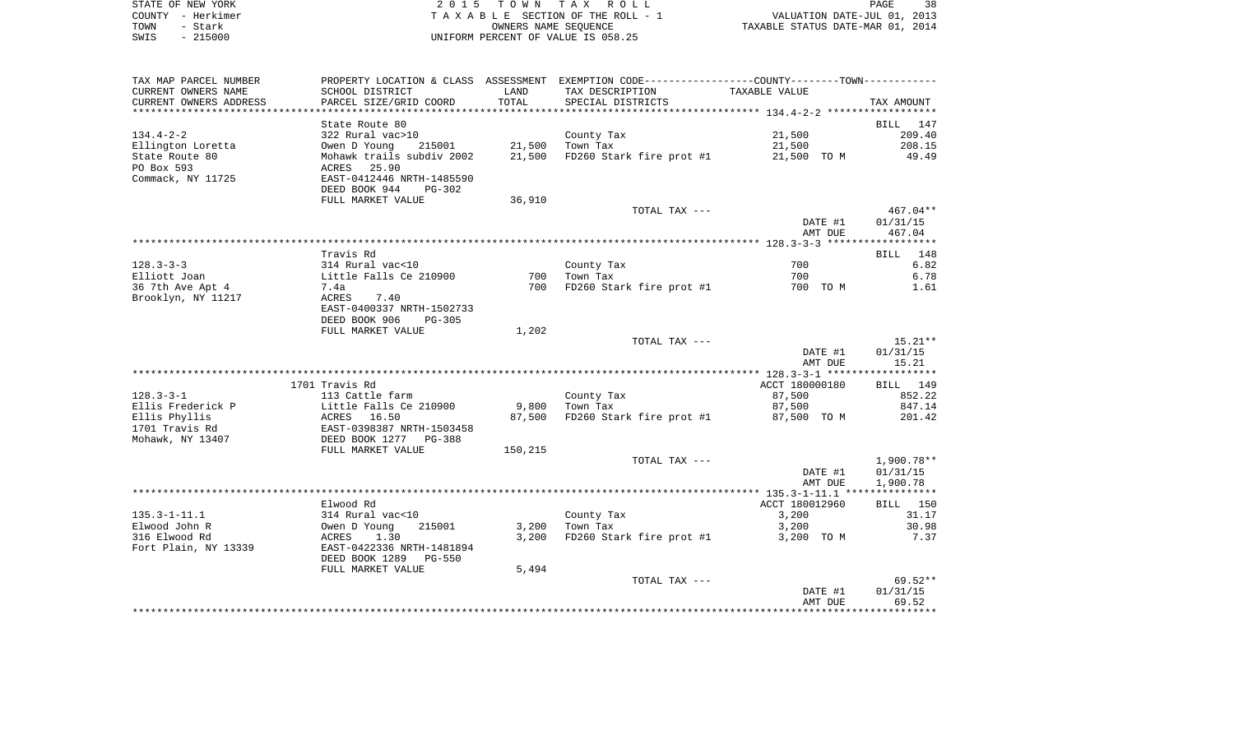|      | STATE OF NEW YORK | 2015 TOWN TAX ROLL                 | 38<br>PAGE                       |
|------|-------------------|------------------------------------|----------------------------------|
|      | COUNTY - Herkimer | TAXABLE SECTION OF THE ROLL - 1    | VALUATION DATE-JUL 01, 2013      |
| TOWN | - Stark           | OWNERS NAME SEOUENCE               | TAXABLE STATUS DATE-MAR 01, 2014 |
| SWIS | - 215000          | UNIFORM PERCENT OF VALUE IS 058.25 |                                  |

| TAX MAP PARCEL NUMBER           |                                            |         | PROPERTY LOCATION & CLASS ASSESSMENT EXEMPTION CODE---------------COUNTY-------TOWN---------- |                |              |
|---------------------------------|--------------------------------------------|---------|-----------------------------------------------------------------------------------------------|----------------|--------------|
| CURRENT OWNERS NAME             | SCHOOL DISTRICT                            | LAND    | TAX DESCRIPTION                                                                               | TAXABLE VALUE  |              |
| CURRENT OWNERS ADDRESS          | PARCEL SIZE/GRID COORD                     | TOTAL   | SPECIAL DISTRICTS                                                                             |                | TAX AMOUNT   |
| ***********************         |                                            |         |                                                                                               |                |              |
|                                 | State Route 80                             |         |                                                                                               |                | BILL 147     |
| $134.4 - 2 - 2$                 | 322 Rural vac>10                           |         | County Tax                                                                                    | 21,500         | 209.40       |
| Ellington Loretta               | 215001<br>Owen D Young                     | 21,500  | Town Tax                                                                                      | 21,500         | 208.15       |
| State Route 80                  | Mohawk trails subdiv 2002                  | 21,500  | FD260 Stark fire prot #1                                                                      | 21,500 TO M    | 49.49        |
| PO Box 593                      | 25.90<br>ACRES                             |         |                                                                                               |                |              |
| Commack, NY 11725               | EAST-0412446 NRTH-1485590                  |         |                                                                                               |                |              |
|                                 | DEED BOOK 944<br>$PG-302$                  |         |                                                                                               |                |              |
|                                 | FULL MARKET VALUE                          | 36,910  |                                                                                               |                |              |
|                                 |                                            |         | TOTAL TAX ---                                                                                 |                | 467.04**     |
|                                 |                                            |         |                                                                                               | DATE #1        | 01/31/15     |
|                                 |                                            |         |                                                                                               | AMT DUE        | 467.04       |
|                                 |                                            |         |                                                                                               |                |              |
|                                 | Travis Rd                                  |         |                                                                                               |                | BILL 148     |
| $128.3 - 3 - 3$<br>Elliott Joan | 314 Rural vac<10<br>Little Falls Ce 210900 | 700     | County Tax<br>Town Tax                                                                        | 700<br>700     | 6.82<br>6.78 |
| 36 7th Ave Apt 4                | 7.4a                                       | 700     | FD260 Stark fire prot #1                                                                      | 700 TO M       | 1.61         |
| Brooklyn, NY 11217              | ACRES<br>7.40                              |         |                                                                                               |                |              |
|                                 | EAST-0400337 NRTH-1502733                  |         |                                                                                               |                |              |
|                                 | DEED BOOK 906<br>$PG-305$                  |         |                                                                                               |                |              |
|                                 | FULL MARKET VALUE                          | 1,202   |                                                                                               |                |              |
|                                 |                                            |         | TOTAL TAX ---                                                                                 |                | 15.21**      |
|                                 |                                            |         |                                                                                               | DATE #1        | 01/31/15     |
|                                 |                                            |         |                                                                                               | AMT DUE        | 15.21        |
|                                 |                                            |         |                                                                                               |                |              |
|                                 | 1701 Travis Rd                             |         |                                                                                               | ACCT 180000180 | BILL 149     |
| $128.3 - 3 - 1$                 | 113 Cattle farm                            |         | County Tax                                                                                    | 87,500         | 852.22       |
| Ellis Frederick P               | Little Falls Ce 210900                     | 9,800   | Town Tax                                                                                      | 87,500         | 847.14       |
| Ellis Phyllis                   | ACRES 16.50                                | 87,500  | FD260 Stark fire prot #1                                                                      | 87,500 TO M    | 201.42       |
| 1701 Travis Rd                  | EAST-0398387 NRTH-1503458                  |         |                                                                                               |                |              |
| Mohawk, NY 13407                | DEED BOOK 1277 PG-388                      |         |                                                                                               |                |              |
|                                 | FULL MARKET VALUE                          | 150,215 |                                                                                               |                |              |
|                                 |                                            |         | TOTAL TAX ---                                                                                 |                | 1,900.78**   |
|                                 |                                            |         |                                                                                               | DATE #1        | 01/31/15     |
|                                 |                                            |         |                                                                                               | AMT DUE        | 1,900.78     |
|                                 |                                            |         |                                                                                               |                |              |
|                                 | Elwood Rd                                  |         |                                                                                               | ACCT 180012960 | BILL 150     |
| $135.3 - 1 - 11.1$              | 314 Rural vac<10                           |         | County Tax                                                                                    | 3,200          | 31.17        |
| Elwood John R                   | 215001<br>Owen D Young                     | 3,200   | Town Tax                                                                                      | 3,200          | 30.98        |
| 316 Elwood Rd                   | ACRES<br>1.30                              | 3,200   | FD260 Stark fire prot #1                                                                      | 3,200 TO M     | 7.37         |
| Fort Plain, NY 13339            | EAST-0422336 NRTH-1481894                  |         |                                                                                               |                |              |
|                                 | DEED BOOK 1289<br>PG-550                   |         |                                                                                               |                |              |
|                                 | FULL MARKET VALUE                          | 5,494   | TOTAL TAX ---                                                                                 |                | $69.52**$    |
|                                 |                                            |         |                                                                                               | DATE #1        | 01/31/15     |
|                                 |                                            |         |                                                                                               | AMT DUE        | 69.52        |
|                                 |                                            |         |                                                                                               |                |              |
|                                 |                                            |         |                                                                                               |                |              |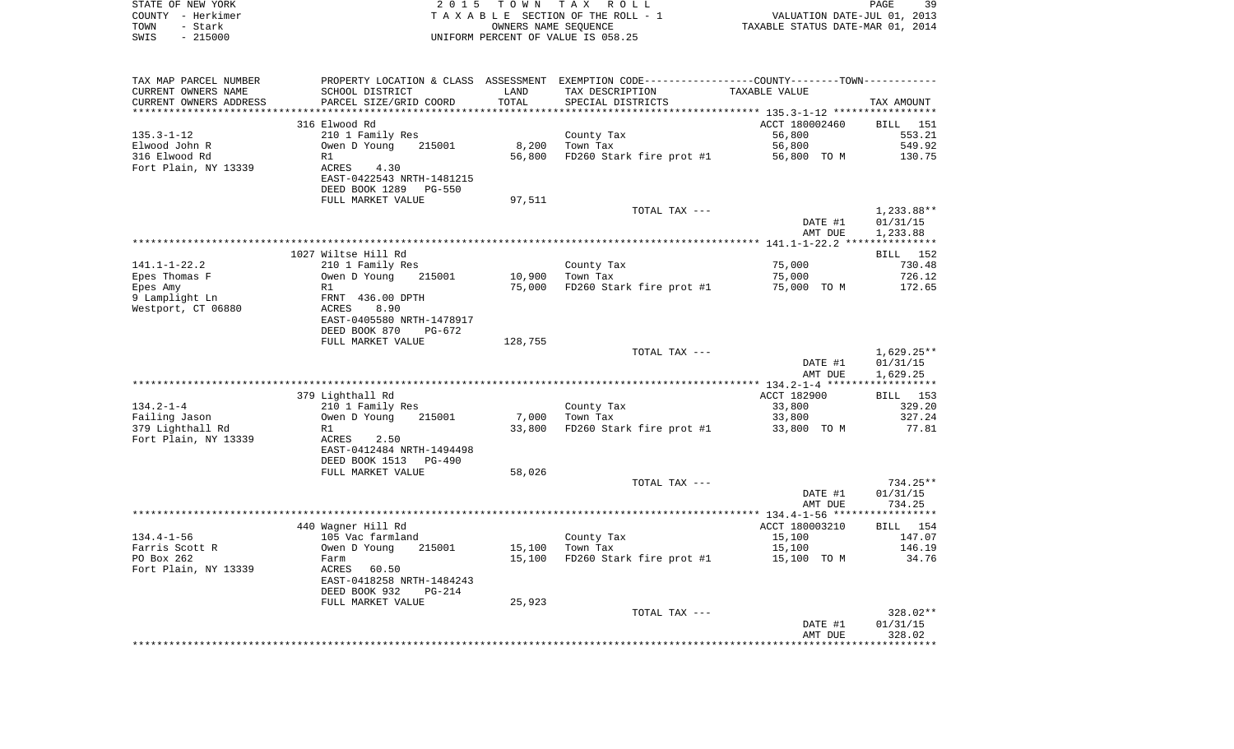| STATE OF NEW YORK<br>COUNTY - Herkimer |                                                                                                   |         | 2015 TOWN TAX ROLL<br>TAXABLE SECTION OF THE ROLL - 1 | ر 150<br>2013 ,011 VALUATION DATE-JUL<br>2014 TAXABLE STATUS DATE-MAR | PAGE<br>39           |
|----------------------------------------|---------------------------------------------------------------------------------------------------|---------|-------------------------------------------------------|-----------------------------------------------------------------------|----------------------|
| TOWN<br>- Stark                        |                                                                                                   |         | OWNERS NAME SEQUENCE                                  |                                                                       |                      |
| $-215000$<br>SWIS                      |                                                                                                   |         | UNIFORM PERCENT OF VALUE IS 058.25                    |                                                                       |                      |
|                                        |                                                                                                   |         |                                                       |                                                                       |                      |
| TAX MAP PARCEL NUMBER                  | PROPERTY LOCATION & CLASS ASSESSMENT EXEMPTION CODE-----------------COUNTY--------TOWN----------- |         |                                                       |                                                                       |                      |
| CURRENT OWNERS NAME                    | SCHOOL DISTRICT                                                                                   | LAND    | TAX DESCRIPTION                                       | TAXABLE VALUE                                                         |                      |
| CURRENT OWNERS ADDRESS                 | SCHOOL DISIRICI<br>PARCEL SIZE/GRID COORD                                                         | TOTAL   | SPECIAL DISTRICTS                                     |                                                                       | TAX AMOUNT           |
|                                        | 316 Elwood Rd                                                                                     |         |                                                       | ACCT 180002460                                                        | <b>BILL</b> 151      |
| 135.3-1-12                             | 210 1 Family Res                                                                                  |         | County Tax                                            | 56,800                                                                | 553.21               |
| Elwood John R                          | Owen D Young 215001                                                                               |         | 8,200 Town Tax                                        | 56,800                                                                | 549.92               |
| 316 Elwood Rd                          | R1                                                                                                |         | 56,800 FD260 Stark fire prot #1 56,800 TO M 130.75    |                                                                       |                      |
| Fort Plain, NY 13339                   | <b>ACRES</b><br>4.30<br>EAST-0422543 NRTH-1481215<br>DEED BOOK 1289 PG-550                        |         |                                                       |                                                                       |                      |
|                                        | FULL MARKET VALUE                                                                                 | 97,511  |                                                       |                                                                       |                      |
|                                        |                                                                                                   |         | TOTAL TAX ---                                         |                                                                       | 1,233.88**           |
|                                        |                                                                                                   |         |                                                       | DATE #1                                                               | 01/31/15             |
|                                        |                                                                                                   |         |                                                       | AMT DUE                                                               | 1,233.88             |
|                                        | 1027 Wiltse Hill Rd                                                                               |         |                                                       |                                                                       | BILL 152             |
| 141.1-1-22.2                           | 210 1 Family Res                                                                                  |         | County Tax                                            | 75,000                                                                | 730.48               |
| Epes Thomas F                          | Owen D Young<br>215001                                                                            | 10,900  | Town Tax                                              | 75,000                                                                | 726.12               |
| Epes Amy                               | R1                                                                                                |         | 75,000 FD260 Stark fire prot #1                       | 75,000 TO M                                                           | 172.65               |
| 9 Lamplight Ln                         | FRNT 436.00 DPTH<br>ACRES 8.90                                                                    |         |                                                       |                                                                       |                      |
| Westport, CT 06880                     |                                                                                                   |         |                                                       |                                                                       |                      |
|                                        | EAST-0405580 NRTH-1478917<br>DEED BOOK 870 PG-672                                                 |         |                                                       |                                                                       |                      |
|                                        | FULL MARKET VALUE                                                                                 | 128,755 |                                                       |                                                                       |                      |
|                                        |                                                                                                   |         | TOTAL TAX ---                                         |                                                                       | 1,629.25**           |
|                                        |                                                                                                   |         |                                                       | DATE #1                                                               | 01/31/15             |
|                                        |                                                                                                   |         |                                                       | AMT DUE                                                               | 1,629.25             |
|                                        |                                                                                                   |         |                                                       | ACCT 182900                                                           | BILL 153             |
| 134.2-1-4                              | 379 Lighthall Rd<br>210 1 Family Res                                                              |         | County Tax                                            | 33,800                                                                | 329.20               |
| Failing Jason                          | Owen D Young 215001                                                                               | 7,000   | Town Tax                                              | 33,800                                                                | 327.24               |
| 379 Lighthall Rd                       | R1                                                                                                | 33,800  | FD260 Stark fire prot #1 33,800 TO M                  |                                                                       | 77.81                |
| Fort Plain, NY 13339                   | ACRES 2.50                                                                                        |         |                                                       |                                                                       |                      |
|                                        | EAST-0412484 NRTH-1494498                                                                         |         |                                                       |                                                                       |                      |
|                                        | DEED BOOK 1513 PG-490                                                                             |         |                                                       |                                                                       |                      |
|                                        | FULL MARKET VALUE                                                                                 | 58,026  |                                                       |                                                                       |                      |
|                                        |                                                                                                   |         | TOTAL TAX ---                                         | DATE #1                                                               | 734.25**<br>01/31/15 |
|                                        |                                                                                                   |         |                                                       | AMT DUE                                                               | 734.25               |
|                                        |                                                                                                   |         |                                                       |                                                                       |                      |
|                                        | 440 Wagner Hill Rd                                                                                |         |                                                       | ACCT 180003210                                                        | BILL 154             |
| 134.4-1-56                             | 105 Vac farmland<br>Owen D Young 21                                                               |         | County Tax                                            | 15,100                                                                | 147.07               |
| Farris Scott R                         | 215001                                                                                            |         | 15,100 Town Tax                                       | 15,100                                                                | 146.19               |
| PO Box 262                             | Farm                                                                                              |         | 15,100 FD260 Stark fire prot #1 15,100 TO M           |                                                                       | 34.76                |
| Fort Plain, NY 13339                   | ACRES 60.50<br>EAST-0418258 NRTH-1484243                                                          |         |                                                       |                                                                       |                      |
|                                        | DEED BOOK 932<br>PG-214                                                                           |         |                                                       |                                                                       |                      |
|                                        | FULL MARKET VALUE                                                                                 | 25,923  |                                                       |                                                                       |                      |
|                                        |                                                                                                   |         | TOTAL TAX ---                                         |                                                                       | 328.02**             |

AMT DUE 328.02 \*\*\*\*\*\*\*\*\*\*\*\*\*\*\*\*\*\*\*\*\*\*\*\*\*\*\*\*\*\*\*\*\*\*\*\*\*\*\*\*\*\*\*\*\*\*\*\*\*\*\*\*\*\*\*\*\*\*\*\*\*\*\*\*\*\*\*\*\*\*\*\*\*\*\*\*\*\*\*\*\*\*\*\*\*\*\*\*\*\*\*\*\*\*\*\*\*\*\*\*\*\*\*\*\*\*\*\*\*\*\*\*\*\*\*\*\*\*\*\*\*\*\*\*\*\*\*\*\*\*\*\*

DATE #1 01/31/15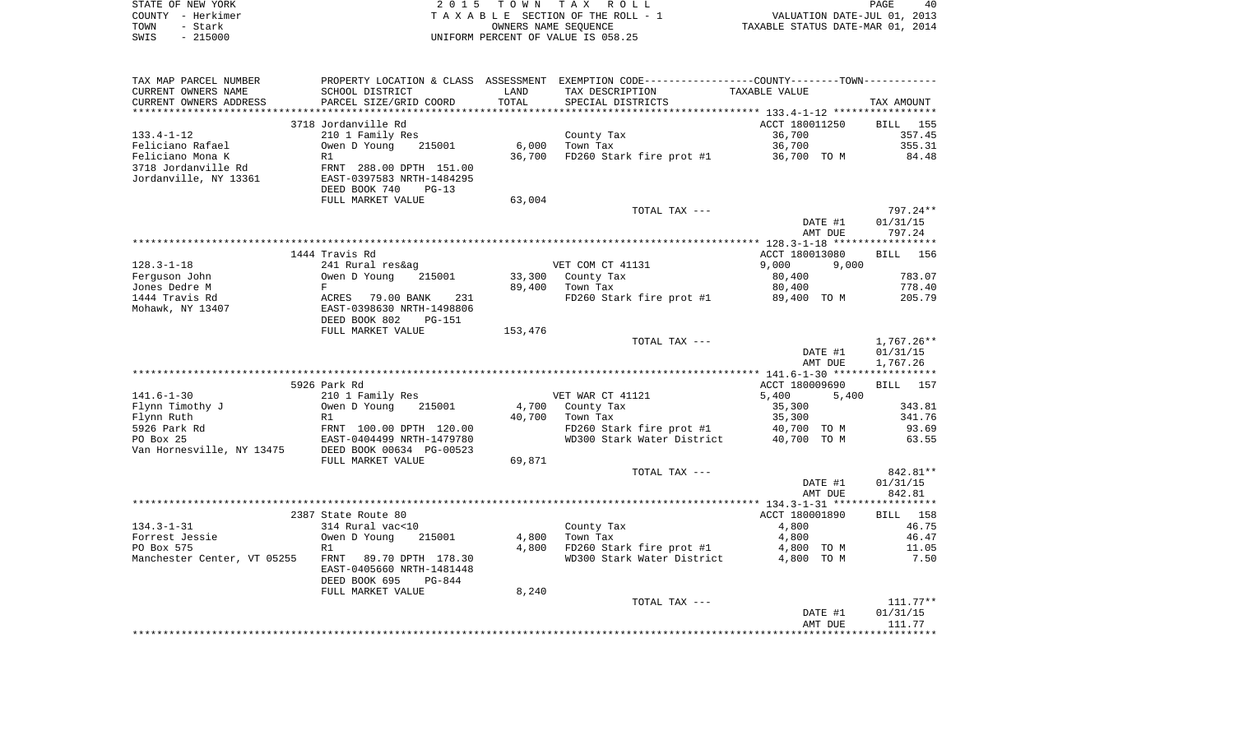|      | STATE OF NEW YORK | 2015 TOWN TAX ROLL                 | PAGE<br>40                       |
|------|-------------------|------------------------------------|----------------------------------|
|      | COUNTY - Herkimer | TAXABLE SECTION OF THE ROLL - 1    | VALUATION DATE-JUL 01, 2013      |
| TOWN | - Stark           | OWNERS NAME SEOUENCE               | TAXABLE STATUS DATE-MAR 01, 2014 |
| SWIS | - 215000          | UNIFORM PERCENT OF VALUE IS 058.25 |                                  |

| TAX MAP PARCEL NUMBER       | PROPERTY LOCATION & CLASS ASSESSMENT |         | EXEMPTION CODE-----------------COUNTY--------TOWN----------- |                |              |
|-----------------------------|--------------------------------------|---------|--------------------------------------------------------------|----------------|--------------|
| CURRENT OWNERS NAME         | SCHOOL DISTRICT                      | LAND    | TAX DESCRIPTION                                              | TAXABLE VALUE  |              |
| CURRENT OWNERS ADDRESS      | PARCEL SIZE/GRID COORD               | TOTAL   | SPECIAL DISTRICTS                                            |                | TAX AMOUNT   |
|                             |                                      |         |                                                              |                |              |
|                             | 3718 Jordanville Rd                  |         |                                                              | ACCT 180011250 | BILL<br>155  |
| $133.4 - 1 - 12$            | 210 1 Family Res                     |         | County Tax                                                   | 36,700         | 357.45       |
| Feliciano Rafael            | Owen D Young<br>215001               | 6,000   | Town Tax                                                     | 36,700         | 355.31       |
| Feliciano Mona K            | R1                                   |         |                                                              |                | 84.48        |
|                             |                                      | 36,700  | FD260 Stark fire prot #1                                     | 36,700 TO M    |              |
| 3718 Jordanville Rd         | FRNT 288.00 DPTH 151.00              |         |                                                              |                |              |
| Jordanville, NY 13361       | EAST-0397583 NRTH-1484295            |         |                                                              |                |              |
|                             | DEED BOOK 740<br>$PG-13$             |         |                                                              |                |              |
|                             | FULL MARKET VALUE                    | 63,004  |                                                              |                |              |
|                             |                                      |         | TOTAL TAX ---                                                |                | 797.24**     |
|                             |                                      |         |                                                              | DATE #1        | 01/31/15     |
|                             |                                      |         |                                                              | AMT DUE        | 797.24       |
|                             |                                      |         |                                                              |                |              |
|                             | 1444 Travis Rd                       |         |                                                              | ACCT 180013080 | BILL<br>156  |
| $128.3 - 1 - 18$            | 241 Rural res&ag                     |         | VET COM CT 41131                                             | 9,000<br>9,000 |              |
| Ferguson John               | Owen D Young<br>215001               | 33,300  | County Tax                                                   | 80,400         | 783.07       |
| Jones Dedre M               | F                                    | 89,400  | Town Tax                                                     | 80,400         | 778.40       |
| 1444 Travis Rd              | 231                                  |         |                                                              |                | 205.79       |
|                             | ACRES<br>79.00 BANK                  |         | FD260 Stark fire prot #1                                     | 89,400 TO M    |              |
| Mohawk, NY 13407            | EAST-0398630 NRTH-1498806            |         |                                                              |                |              |
|                             | DEED BOOK 802<br><b>PG-151</b>       |         |                                                              |                |              |
|                             | FULL MARKET VALUE                    | 153,476 |                                                              |                |              |
|                             |                                      |         | TOTAL TAX ---                                                |                | $1,767.26**$ |
|                             |                                      |         |                                                              | DATE #1        | 01/31/15     |
|                             |                                      |         |                                                              | AMT DUE        | 1,767.26     |
|                             |                                      |         |                                                              |                |              |
|                             | 5926 Park Rd                         |         |                                                              | ACCT 180009690 | BILL<br>157  |
| $141.6 - 1 - 30$            | 210 1 Family Res                     |         | VET WAR CT 41121                                             | 5,400<br>5,400 |              |
| Flynn Timothy J             | Owen D Young<br>215001               | 4,700   | County Tax                                                   | 35,300         | 343.81       |
| Flynn Ruth                  | R1                                   | 40,700  | Town Tax                                                     | 35,300         | 341.76       |
| 5926 Park Rd                | FRNT 100.00 DPTH 120.00              |         | FD260 Stark fire prot #1                                     | 40,700 TO M    | 93.69        |
| PO Box 25                   | EAST-0404499 NRTH-1479780            |         | WD300 Stark Water District                                   | 40,700 TO M    | 63.55        |
| Van Hornesville, NY 13475   | DEED BOOK 00634 PG-00523             |         |                                                              |                |              |
|                             |                                      |         |                                                              |                |              |
|                             | FULL MARKET VALUE                    | 69,871  |                                                              |                |              |
|                             |                                      |         | TOTAL TAX ---                                                |                | 842.81**     |
|                             |                                      |         |                                                              | DATE #1        | 01/31/15     |
|                             |                                      |         |                                                              | AMT DUE        | 842.81       |
|                             |                                      |         |                                                              |                |              |
|                             | 2387 State Route 80                  |         |                                                              | ACCT 180001890 | BILL<br>158  |
| $134.3 - 1 - 31$            | 314 Rural vac<10                     |         | County Tax                                                   | 4,800          | 46.75        |
| Forrest Jessie              | Owen D Young<br>215001               | 4,800   | Town Tax                                                     | 4,800          | 46.47        |
| PO Box 575                  | R1                                   | 4,800   | FD260 Stark fire prot #1                                     | 4,800 TO M     | 11.05        |
| Manchester Center, VT 05255 | 89.70 DPTH 178.30<br>FRNT            |         | WD300 Stark Water District                                   | 4,800 TO M     | 7.50         |
|                             | EAST-0405660 NRTH-1481448            |         |                                                              |                |              |
|                             | DEED BOOK 695<br>$PG-844$            |         |                                                              |                |              |
|                             | FULL MARKET VALUE                    | 8,240   |                                                              |                |              |
|                             |                                      |         |                                                              |                |              |
|                             |                                      |         |                                                              |                |              |
|                             |                                      |         | TOTAL TAX ---                                                |                | $111.77***$  |
|                             |                                      |         |                                                              | DATE #1        | 01/31/15     |
|                             |                                      |         |                                                              | AMT DUE        | 111.77       |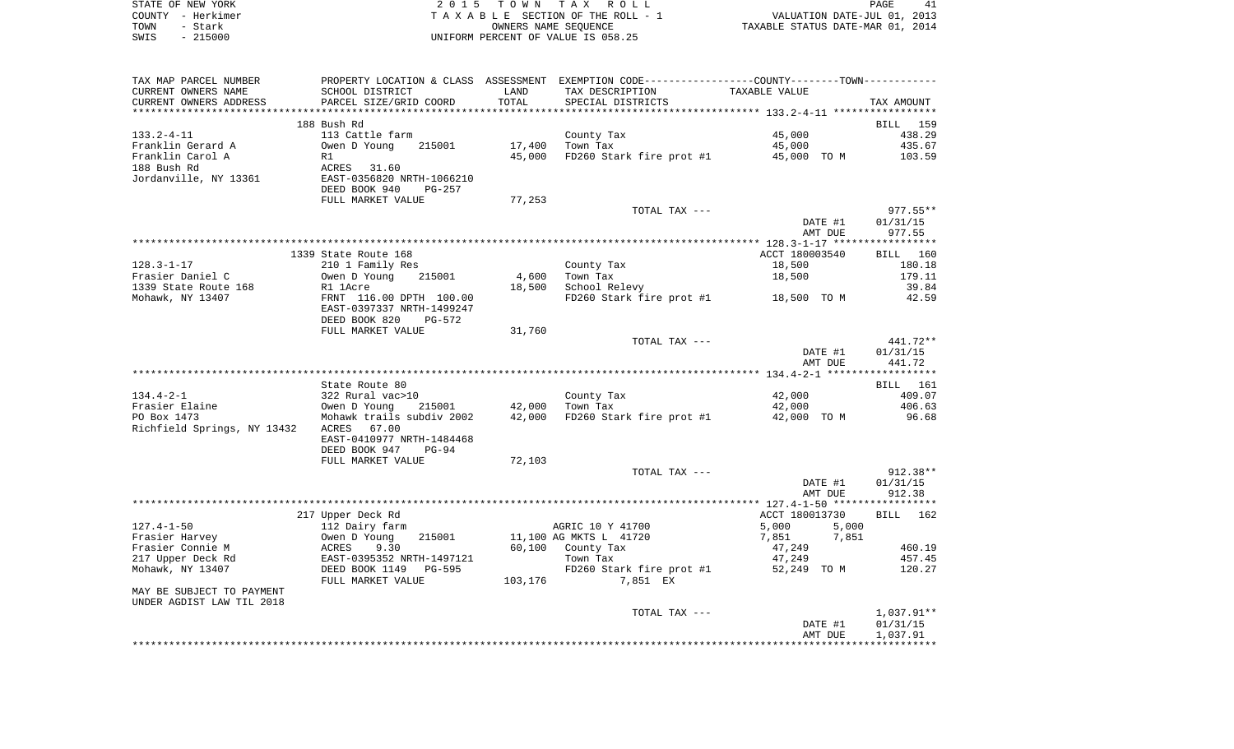| STATE OF NEW YORK | 2015 TOWN TAX ROLL                 | PAGE                             |
|-------------------|------------------------------------|----------------------------------|
| COUNTY - Herkimer | TAXABLE SECTION OF THE ROLL - 1    | VALUATION DATE-JUL 01, 2013      |
| TOWN<br>– Stark   | OWNERS NAME SEOUENCE               | TAXABLE STATUS DATE-MAR 01, 2014 |
| - 215000<br>SWIS  | UNIFORM PERCENT OF VALUE IS 058.25 |                                  |

| TAX MAP PARCEL NUMBER             |                                                  |         | PROPERTY LOCATION & CLASS ASSESSMENT EXEMPTION CODE----------------COUNTY-------TOWN-------- |                |            |
|-----------------------------------|--------------------------------------------------|---------|----------------------------------------------------------------------------------------------|----------------|------------|
| CURRENT OWNERS NAME               | SCHOOL DISTRICT                                  | LAND    | TAX DESCRIPTION                                                                              | TAXABLE VALUE  |            |
| CURRENT OWNERS ADDRESS            | PARCEL SIZE/GRID COORD                           | TOTAL   | SPECIAL DISTRICTS                                                                            |                | TAX AMOUNT |
|                                   |                                                  |         |                                                                                              |                |            |
|                                   | 188 Bush Rd                                      |         |                                                                                              |                | BILL 159   |
| $133.2 - 4 - 11$                  | 113 Cattle farm                                  |         | County Tax                                                                                   | 45,000         | 438.29     |
| Franklin Gerard A                 | 215001<br>Owen D Young                           | 17,400  | Town Tax                                                                                     | 45,000         | 435.67     |
| Franklin Carol A                  | R1                                               | 45,000  | FD260 Stark fire prot #1 45,000 TO M                                                         |                | 103.59     |
| 188 Bush Rd                       | ACRES 31.60                                      |         |                                                                                              |                |            |
| Jordanville, NY 13361             | EAST-0356820 NRTH-1066210                        |         |                                                                                              |                |            |
|                                   | DEED BOOK 940<br><b>PG-257</b>                   |         |                                                                                              |                |            |
|                                   | FULL MARKET VALUE                                | 77,253  |                                                                                              |                |            |
|                                   |                                                  |         | TOTAL TAX ---                                                                                |                | $977.55**$ |
|                                   |                                                  |         |                                                                                              | DATE #1        | 01/31/15   |
|                                   |                                                  |         |                                                                                              | AMT DUE        | 977.55     |
|                                   |                                                  |         |                                                                                              |                |            |
|                                   | 1339 State Route 168                             |         |                                                                                              | ACCT 180003540 | BILL 160   |
| $128.3 - 1 - 17$                  | 210 1 Family Res                                 |         | County Tax                                                                                   | 18,500         | 180.18     |
| Frasier Daniel C                  | Owen D Young<br>215001                           | 4,600   | Town Tax                                                                                     | 18,500         | 179.11     |
| 1339 State Route 168              | R1 1Acre                                         | 18,500  | School Relevy                                                                                |                | 39.84      |
| Mohawk, NY 13407                  | FRNT 116.00 DPTH 100.00                          |         | FD260 Stark fire prot #1 18,500 TO M                                                         |                | 42.59      |
|                                   | EAST-0397337 NRTH-1499247                        |         |                                                                                              |                |            |
|                                   | DEED BOOK 820<br>PG-572                          |         |                                                                                              |                |            |
|                                   | FULL MARKET VALUE                                | 31,760  |                                                                                              |                |            |
|                                   |                                                  |         | TOTAL TAX ---                                                                                |                | 441.72**   |
|                                   |                                                  |         |                                                                                              | DATE #1        | 01/31/15   |
|                                   |                                                  |         |                                                                                              | AMT DUE        | 441.72     |
|                                   |                                                  |         |                                                                                              |                |            |
|                                   | State Route 80                                   |         |                                                                                              |                | BILL 161   |
| $134.4 - 2 - 1$                   | 322 Rural vac>10                                 |         | County Tax                                                                                   | 42,000         | 409.07     |
| Frasier Elaine                    | Owen D Young 215001<br>Mohawk trails subdiv 2002 | 42,000  | Town Tax                                                                                     | 42,000         | 406.63     |
| PO Box 1473                       |                                                  | 42,000  | FD260 Stark fire prot #1 42,000 TO M                                                         |                | 96.68      |
| Richfield Springs, NY 13432 ACRES | 67.00                                            |         |                                                                                              |                |            |
|                                   | EAST-0410977 NRTH-1484468                        |         |                                                                                              |                |            |
|                                   | DEED BOOK 947<br>$PG-94$                         |         |                                                                                              |                |            |
|                                   | FULL MARKET VALUE                                | 72,103  |                                                                                              |                |            |
|                                   |                                                  |         | TOTAL TAX ---                                                                                |                | $912.38**$ |
|                                   |                                                  |         |                                                                                              | DATE #1        | 01/31/15   |
|                                   |                                                  |         |                                                                                              | AMT DUE        | 912.38     |
|                                   |                                                  |         |                                                                                              |                |            |
|                                   | 217 Upper Deck Rd                                |         |                                                                                              | ACCT 180013730 | BILL 162   |
| $127.4 - 1 - 50$                  | 112 Dairy farm                                   |         | AGRIC 10 Y 41700                                                                             | 5,000<br>5,000 |            |
| Frasier Harvey                    | Owen D Young<br>215001                           |         | 11,100 AG MKTS L 41720                                                                       | 7,851<br>7,851 |            |
| Frasier Connie M                  | 9.30<br>ACRES                                    | 60,100  | County Tax                                                                                   | 47,249         | 460.19     |
| 217 Upper Deck Rd                 | EAST-0395352 NRTH-1497121                        |         | Town Tax                                                                                     | 47,249         | 457.45     |
| Mohawk, NY 13407                  | DEED BOOK 1149<br>PG-595                         |         | FD260 Stark fire prot #1                                                                     | 52,249 TO M    | 120.27     |
|                                   | FULL MARKET VALUE                                | 103,176 | 7,851 EX                                                                                     |                |            |
| MAY BE SUBJECT TO PAYMENT         |                                                  |         |                                                                                              |                |            |
| UNDER AGDIST LAW TIL 2018         |                                                  |         |                                                                                              |                |            |
|                                   |                                                  |         | TOTAL TAX ---                                                                                |                | 1,037.91** |
|                                   |                                                  |         |                                                                                              | DATE #1        | 01/31/15   |
|                                   |                                                  |         |                                                                                              | AMT DUE        | 1,037.91   |
|                                   |                                                  |         |                                                                                              |                |            |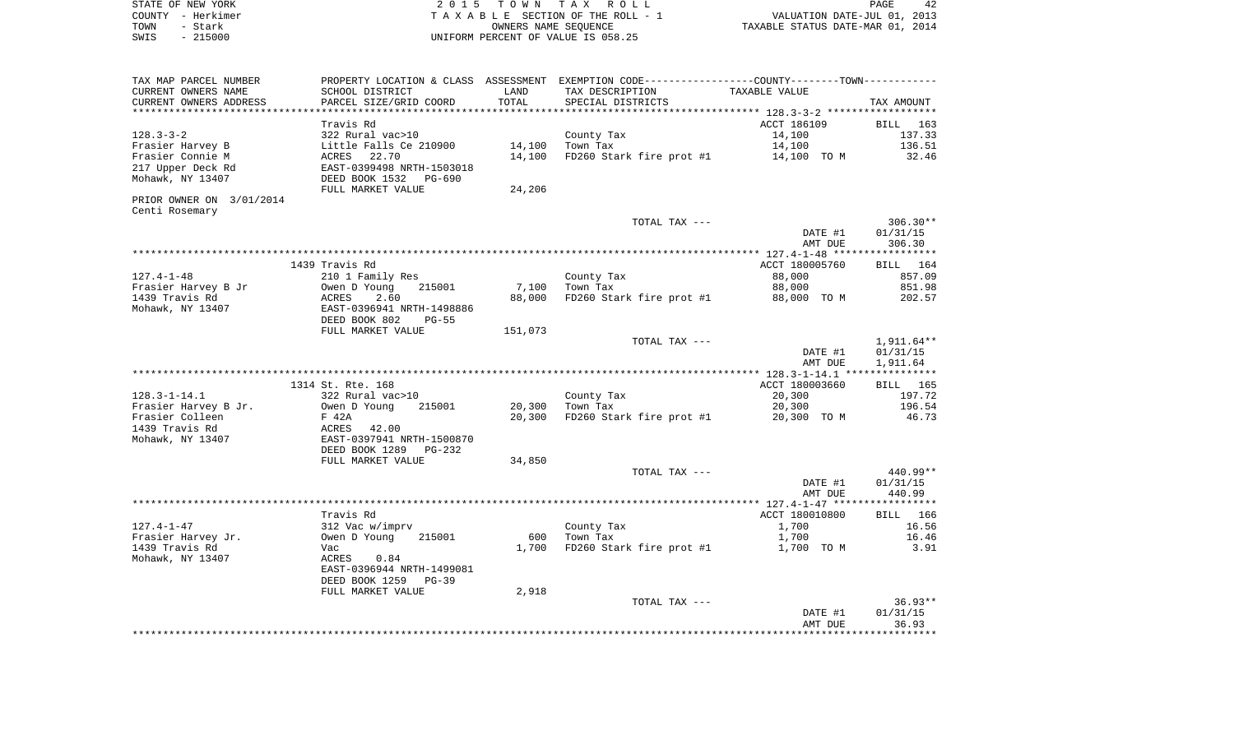| STATE OF NEW YORK | 2015 TOWN TAX ROLL                 | 42<br>PAGE                       |
|-------------------|------------------------------------|----------------------------------|
| COUNTY - Herkimer | TAXABLE SECTION OF THE ROLL - 1    | VALUATION DATE-JUL 01, 2013      |
| TOWN<br>- Stark   | OWNERS NAME SEOUENCE               | TAXABLE STATUS DATE-MAR 01, 2014 |
| $-215000$<br>SWIS | UNIFORM PERCENT OF VALUE IS 058.25 |                                  |

| PARCEL SIZE/GRID COORD                                  | TOTAL                                                                                                                                                                                                                | SPECIAL DISTRICTS                                                |                                                                                        | TAX AMOUNT                                                                                                                                                                                              |
|---------------------------------------------------------|----------------------------------------------------------------------------------------------------------------------------------------------------------------------------------------------------------------------|------------------------------------------------------------------|----------------------------------------------------------------------------------------|---------------------------------------------------------------------------------------------------------------------------------------------------------------------------------------------------------|
|                                                         | **********                                                                                                                                                                                                           |                                                                  |                                                                                        |                                                                                                                                                                                                         |
| Travis Rd<br>322 Rural vac>10<br>Little Falls Ce 210900 | 14,100                                                                                                                                                                                                               | County Tax<br>Town Tax                                           | ACCT 186109<br>14,100<br>14,100                                                        | <b>BILL</b> 163<br>137.33<br>136.51<br>32.46                                                                                                                                                            |
| EAST-0399498 NRTH-1503018<br>DEED BOOK 1532 PG-690      |                                                                                                                                                                                                                      |                                                                  |                                                                                        |                                                                                                                                                                                                         |
|                                                         |                                                                                                                                                                                                                      |                                                                  |                                                                                        |                                                                                                                                                                                                         |
|                                                         |                                                                                                                                                                                                                      | TOTAL TAX ---                                                    |                                                                                        | $306.30**$<br>01/31/15                                                                                                                                                                                  |
|                                                         |                                                                                                                                                                                                                      |                                                                  | AMT DUE                                                                                | 306.30                                                                                                                                                                                                  |
| 1439 Travis Rd                                          |                                                                                                                                                                                                                      |                                                                  | ACCT 180005760                                                                         | BILL 164                                                                                                                                                                                                |
| 210 1 Family Res                                        |                                                                                                                                                                                                                      | County Tax                                                       | 88,000                                                                                 | 857.09                                                                                                                                                                                                  |
| Owen D Young                                            |                                                                                                                                                                                                                      | Town Tax                                                         | 88,000                                                                                 | 851.98                                                                                                                                                                                                  |
| EAST-0396941 NRTH-1498886                               |                                                                                                                                                                                                                      |                                                                  |                                                                                        | 202.57                                                                                                                                                                                                  |
|                                                         |                                                                                                                                                                                                                      |                                                                  |                                                                                        |                                                                                                                                                                                                         |
|                                                         |                                                                                                                                                                                                                      |                                                                  |                                                                                        | 1,911.64**                                                                                                                                                                                              |
|                                                         |                                                                                                                                                                                                                      |                                                                  | DATE #1<br>AMT DUE                                                                     | 01/31/15<br>1,911.64                                                                                                                                                                                    |
|                                                         |                                                                                                                                                                                                                      |                                                                  |                                                                                        |                                                                                                                                                                                                         |
|                                                         |                                                                                                                                                                                                                      |                                                                  | ACCT 180003660                                                                         | <b>BILL</b> 165                                                                                                                                                                                         |
|                                                         |                                                                                                                                                                                                                      |                                                                  |                                                                                        | 197.72                                                                                                                                                                                                  |
| F 42A                                                   | 20,300                                                                                                                                                                                                               | FD260 Stark fire prot #1                                         | 20,300 TO M                                                                            | 196.54<br>46.73                                                                                                                                                                                         |
|                                                         |                                                                                                                                                                                                                      |                                                                  |                                                                                        |                                                                                                                                                                                                         |
| EAST-0397941 NRTH-1500870                               |                                                                                                                                                                                                                      |                                                                  |                                                                                        |                                                                                                                                                                                                         |
| DEED BOOK 1289<br>PG-232                                |                                                                                                                                                                                                                      |                                                                  |                                                                                        |                                                                                                                                                                                                         |
| FULL MARKET VALUE                                       | 34,850                                                                                                                                                                                                               | TOTAL TAX ---                                                    |                                                                                        | 440.99**                                                                                                                                                                                                |
|                                                         |                                                                                                                                                                                                                      |                                                                  | DATE #1<br>AMT DUE                                                                     | 01/31/15<br>440.99                                                                                                                                                                                      |
|                                                         |                                                                                                                                                                                                                      |                                                                  |                                                                                        |                                                                                                                                                                                                         |
| Travis Rd                                               |                                                                                                                                                                                                                      |                                                                  | ACCT 180010800                                                                         | BILL 166                                                                                                                                                                                                |
| 312 Vac w/imprv                                         |                                                                                                                                                                                                                      | County Tax                                                       | 1,700                                                                                  | 16.56                                                                                                                                                                                                   |
| 215001<br>Owen D Young                                  | 600                                                                                                                                                                                                                  | Town Tax                                                         | 1,700                                                                                  | 16.46                                                                                                                                                                                                   |
| Vac<br>0.84<br>ACRES<br>EAST-0396944 NRTH-1499081       | 1,700                                                                                                                                                                                                                | FD260 Stark fire prot #1                                         | 1,700 TO M                                                                             | 3.91                                                                                                                                                                                                    |
| DEED BOOK 1259<br>PG-39                                 |                                                                                                                                                                                                                      |                                                                  |                                                                                        |                                                                                                                                                                                                         |
| FULL MARKET VALUE                                       | 2,918                                                                                                                                                                                                                | TOTAL TAX ---                                                    |                                                                                        | $36.93**$                                                                                                                                                                                               |
|                                                         | SCHOOL DISTRICT<br>ACRES 22.70<br>FULL MARKET VALUE<br>215001<br>ACRES<br>2.60<br>DEED BOOK 802<br>$PG-55$<br>FULL MARKET VALUE<br>1314 St. Rte. 168<br>322 Rural vac>10<br>Owen D Young<br>215001<br>42.00<br>ACRES | LAND<br>14,100<br>24,206<br>7,100<br>88,000<br>151,073<br>20,300 | TAX DESCRIPTION<br>FD260 Stark fire prot #1<br>TOTAL TAX ---<br>County Tax<br>Town Tax | PROPERTY LOCATION & CLASS ASSESSMENT EXEMPTION CODE---------------COUNTY-------TOWN----------<br>TAXABLE VALUE<br>FD260 Stark fire prot #1<br>14,100 TO M<br>DATE #1<br>88,000 TO M<br>20,300<br>20,300 |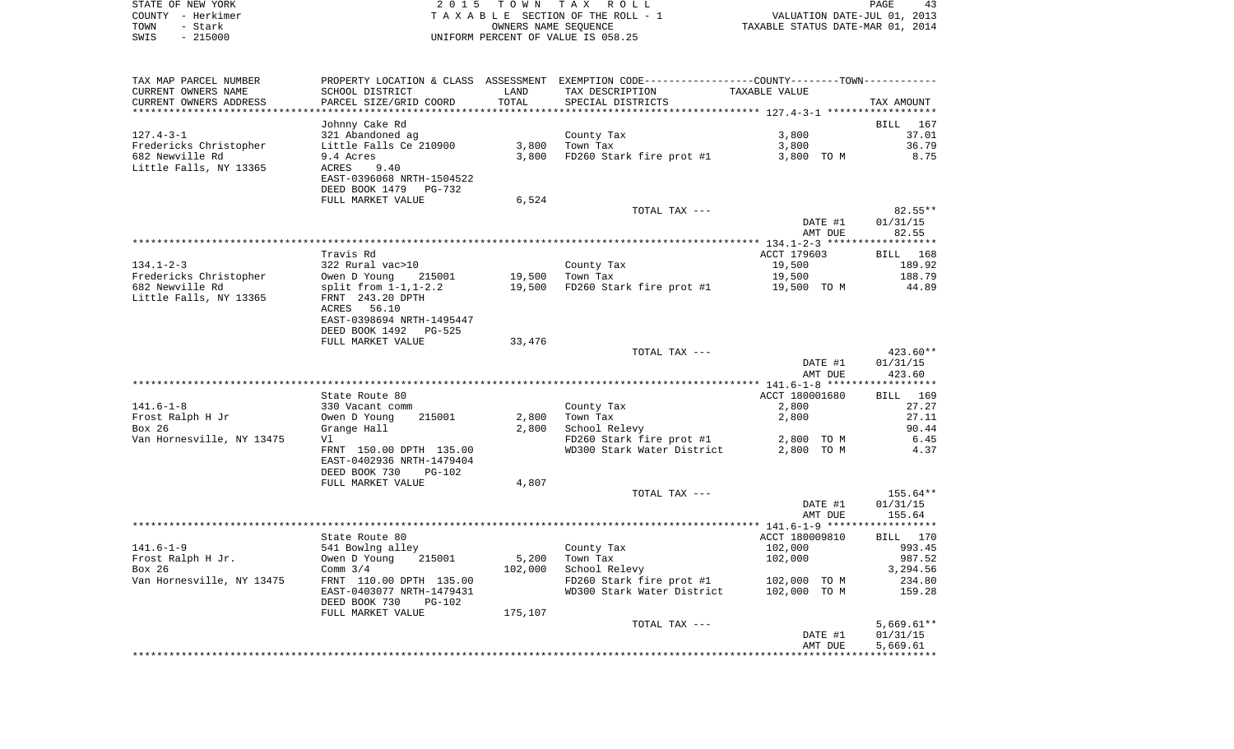| STATE OF NEW YORK | 2015 TOWN TAX ROLL                 | 43<br>PAGE                       |
|-------------------|------------------------------------|----------------------------------|
| COUNTY - Herkimer | TAXABLE SECTION OF THE ROLL - 1    | VALUATION DATE-JUL 01, 2013      |
| TOWN<br>- Stark   | OWNERS NAME SEOUENCE               | TAXABLE STATUS DATE-MAR 01, 2014 |
| - 215000<br>SWIS  | UNIFORM PERCENT OF VALUE IS 058.25 |                                  |

| TAX MAP PARCEL NUMBER<br>CURRENT OWNERS NAME<br>CURRENT OWNERS ADDRESS                 | SCHOOL DISTRICT<br>PARCEL SIZE/GRID COORD                                                                                                                             | LAND<br>TOTAL    | PROPERTY LOCATION & CLASS ASSESSMENT EXEMPTION CODE----------------COUNTY-------TOWN----------<br>TAX DESCRIPTION<br>SPECIAL DISTRICTS | TAXABLE VALUE                                  | TAX AMOUNT                                          |
|----------------------------------------------------------------------------------------|-----------------------------------------------------------------------------------------------------------------------------------------------------------------------|------------------|----------------------------------------------------------------------------------------------------------------------------------------|------------------------------------------------|-----------------------------------------------------|
| $127.4 - 3 - 1$<br>Fredericks Christopher<br>682 Newville Rd<br>Little Falls, NY 13365 | Johnny Cake Rd<br>321 Abandoned ag<br>Little Falls Ce 210900<br>9.4 Acres<br>9.40<br>ACRES<br>EAST-0396068 NRTH-1504522                                               | 3,800<br>3,800   | County Tax<br>Town Tax<br>FD260 Stark fire prot #1                                                                                     | 3,800<br>3,800<br>3,800 TO M                   | BILL<br>167<br>37.01<br>36.79<br>8.75               |
|                                                                                        | DEED BOOK 1479 PG-732<br>FULL MARKET VALUE                                                                                                                            | 6,524            | TOTAL TAX ---                                                                                                                          | DATE #1<br>AMT DUE                             | $82.55**$<br>01/31/15<br>82.55                      |
|                                                                                        |                                                                                                                                                                       |                  |                                                                                                                                        |                                                |                                                     |
| $134.1 - 2 - 3$                                                                        | Travis Rd<br>322 Rural vac>10                                                                                                                                         |                  | County Tax                                                                                                                             | ACCT 179603<br>19,500                          | BILL 168<br>189.92                                  |
| Fredericks Christopher<br>682 Newville Rd<br>Little Falls, NY 13365                    | Owen D Young 215001<br>split from $1-1, 1-2.2$<br>FRNT 243.20 DPTH<br>ACRES 56.10<br>EAST-0398694 NRTH-1495447<br>DEED BOOK 1492 PG-525                               | 19,500           | 19,500 Town Tax<br>FD260 Stark fire prot #1 19,500 TO M                                                                                | 19,500                                         | 188.79<br>44.89                                     |
|                                                                                        | FULL MARKET VALUE                                                                                                                                                     | 33,476           |                                                                                                                                        |                                                |                                                     |
|                                                                                        |                                                                                                                                                                       |                  | TOTAL TAX ---                                                                                                                          | DATE #1<br>AMT DUE                             | 423.60**<br>01/31/15<br>423.60                      |
|                                                                                        |                                                                                                                                                                       |                  |                                                                                                                                        |                                                |                                                     |
| $141.6 - 1 - 8$<br>Frost Ralph H Jr<br>Box 26<br>Van Hornesville, NY 13475             | State Route 80<br>330 Vacant comm<br>Owen D Young<br>215001<br>Grange Hall<br>Vl<br>FRNT 150.00 DPTH 135.00<br>EAST-0402936 NRTH-1479404<br>DEED BOOK 730<br>$PG-102$ | 2,800<br>2,800   | County Tax<br>Town Tax<br>School Relevy<br>$FD260$ Stark fire prot #1 2,800 TO M<br>WD300 Stark Water District                         | ACCT 180001680<br>2,800<br>2,800<br>2,800 TO M | BILL 169<br>27.27<br>27.11<br>90.44<br>6.45<br>4.37 |
|                                                                                        | FULL MARKET VALUE                                                                                                                                                     | 4,807            |                                                                                                                                        |                                                |                                                     |
|                                                                                        |                                                                                                                                                                       |                  | TOTAL TAX ---                                                                                                                          | DATE #1<br>AMT DUE                             | $155.64**$<br>01/31/15<br>155.64                    |
|                                                                                        |                                                                                                                                                                       |                  |                                                                                                                                        |                                                |                                                     |
| $141.6 - 1 - 9$<br>Frost Ralph H Jr.<br>Box 26                                         | State Route 80<br>541 Bowlng alley<br>Owen D Young<br>215001<br>Comm $3/4$                                                                                            | 5,200<br>102,000 | County Tax<br>Town Tax<br>School Relevy                                                                                                | ACCT 180009810<br>102,000<br>102,000           | BILL 170<br>993.45<br>987.52<br>3,294.56            |
| Van Hornesville, NY 13475                                                              | FRNT 110.00 DPTH 135.00<br>EAST-0403077 NRTH-1479431<br>DEED BOOK 730<br>PG-102                                                                                       |                  | FD260 Stark fire prot $#1$ 102,000 TO M<br>WD300 Stark Water District                                                                  | 102,000 TO M                                   | 234.80<br>159.28                                    |
|                                                                                        | FULL MARKET VALUE                                                                                                                                                     | 175,107          | TOTAL TAX ---                                                                                                                          | DATE #1<br>AMT DUE                             | $5,669.61**$<br>01/31/15<br>5,669.61                |
|                                                                                        |                                                                                                                                                                       |                  |                                                                                                                                        |                                                |                                                     |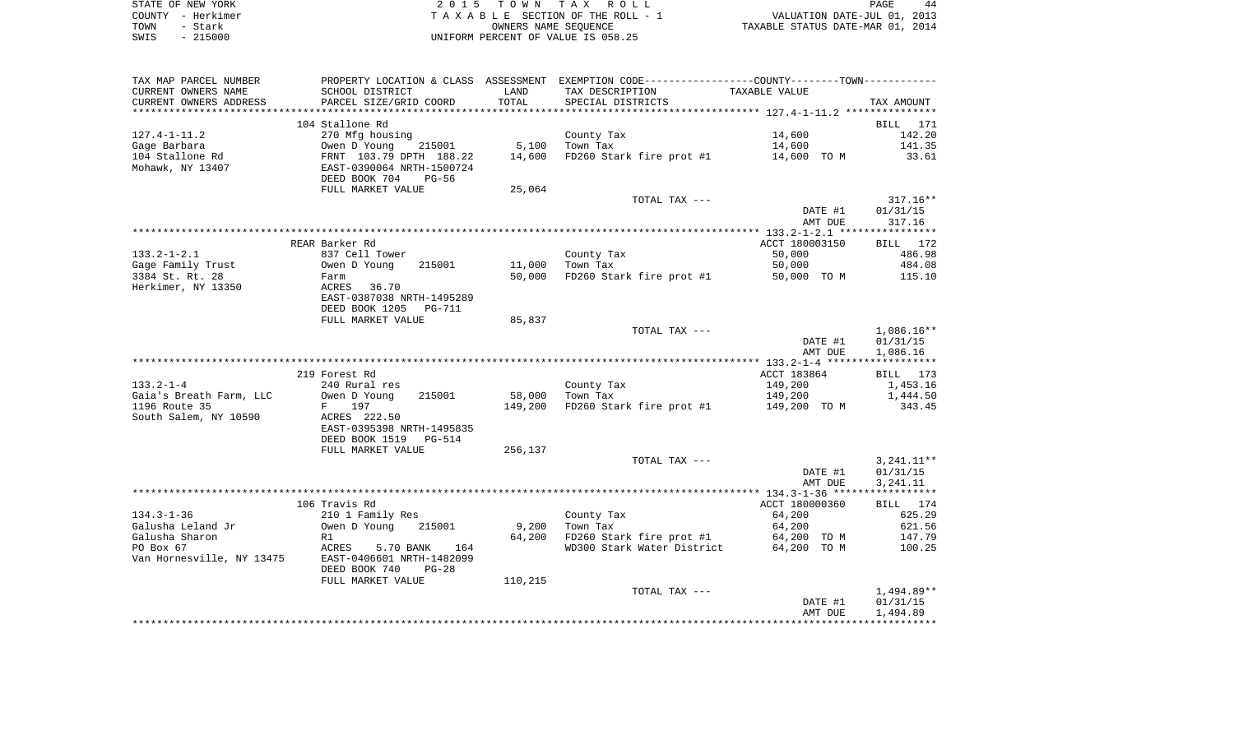| STATE OF NEW YORK | 2015 TOWN TAX ROLL                 | PAGE<br>44                       |
|-------------------|------------------------------------|----------------------------------|
| COUNTY - Herkimer | TAXABLE SECTION OF THE ROLL - 1    | VALUATION DATE-JUL 01, 2013      |
| TOWN<br>- Stark   | OWNERS NAME SEOUENCE               | TAXABLE STATUS DATE-MAR 01, 2014 |
| $-215000$<br>SWIS | UNIFORM PERCENT OF VALUE IS 058.25 |                                  |

| TAX MAP PARCEL NUMBER           |                                                                                                                                             |                 | PROPERTY LOCATION & CLASS ASSESSMENT EXEMPTION CODE---------------COUNTY-------TOWN---------- |                |                          |
|---------------------------------|---------------------------------------------------------------------------------------------------------------------------------------------|-----------------|-----------------------------------------------------------------------------------------------|----------------|--------------------------|
| CURRENT OWNERS NAME             | SCHOOL DISTRICT                                                                                                                             | LAND            | TAX DESCRIPTION                                                                               | TAXABLE VALUE  |                          |
| CURRENT OWNERS ADDRESS          | PARCEL SIZE/GRID COORD                                                                                                                      | TOTAL           | SPECIAL DISTRICTS                                                                             |                | TAX AMOUNT               |
| **********************          |                                                                                                                                             |                 |                                                                                               |                |                          |
|                                 | 104 Stallone Rd                                                                                                                             |                 |                                                                                               |                | BILL 171                 |
| $127.4 - 1 - 11.2$              | 270 Mfg housing                                                                                                                             |                 | County Tax                                                                                    | 14,600         | 142.20                   |
| Gage Barbara                    | 215001                                                                                                                                      | 5,100           | Town Tax                                                                                      | 14,600         | 141.35                   |
| daye Durbuci<br>104 Stallone Rd |                                                                                                                                             | 14,600          | FD260 Stark fire prot #1 14,600 TO M 33.61                                                    |                |                          |
| Mohawk, NY 13407                | 270 mig nousing<br>Owen D Young 215001<br>FRNT 103.79 DPTH 188.22<br>EAST-0390064 NRTH-1500724                                              |                 |                                                                                               |                |                          |
|                                 | DEED BOOK 704<br>PG-56                                                                                                                      |                 |                                                                                               |                |                          |
|                                 | FULL MARKET VALUE                                                                                                                           | 25,064          |                                                                                               |                |                          |
|                                 |                                                                                                                                             |                 | TOTAL TAX ---                                                                                 |                | 317.16**                 |
|                                 |                                                                                                                                             |                 |                                                                                               | DATE #1        | 01/31/15                 |
|                                 |                                                                                                                                             |                 |                                                                                               | AMT DUE        | 317.16                   |
|                                 |                                                                                                                                             |                 |                                                                                               |                |                          |
|                                 | REAR Barker Rd                                                                                                                              |                 |                                                                                               | ACCT 180003150 | BILL 172                 |
| $133.2 - 1 - 2.1$               | 837 Cell Tower                                                                                                                              |                 | County Tax                                                                                    | 50,000         | 486.98                   |
| Gage Family Trust               |                                                                                                                                             |                 | 11,000 Town Tax                                                                               | 50,000         | 484.08                   |
| 3384 St. Rt. 28                 | 037 CCL1 1082<br>Owen D Young 215001<br>Farm<br>ACRES 36.70                                                                                 | 50,000          | FD260 Stark fire prot #1 50,000 TO M                                                          |                | 115.10                   |
| Herkimer, NY 13350              |                                                                                                                                             |                 |                                                                                               |                |                          |
|                                 | EAST-0387038 NRTH-1495289                                                                                                                   |                 |                                                                                               |                |                          |
|                                 | DEED BOOK 1205<br>PG-711                                                                                                                    |                 |                                                                                               |                |                          |
|                                 | FULL MARKET VALUE                                                                                                                           | 85,837          |                                                                                               |                |                          |
|                                 |                                                                                                                                             |                 | TOTAL TAX ---                                                                                 | DATE #1        | $1,086.16**$<br>01/31/15 |
|                                 |                                                                                                                                             |                 |                                                                                               | AMT DUE        | 1,086.16                 |
|                                 |                                                                                                                                             |                 |                                                                                               |                |                          |
|                                 | 219 Forest Rd                                                                                                                               |                 |                                                                                               | ACCT 183864    | BILL 173                 |
| $133.2 - 1 - 4$                 | 240 Rural res                                                                                                                               |                 | County Tax                                                                                    | 149,200        | 1,453.16                 |
| Gaia's Breath Farm, LLC         | Owen D Young<br>215001                                                                                                                      | 58,000 Town Tax |                                                                                               | 149,200        | 1,444.50                 |
| 1196 Route 35                   | F 197                                                                                                                                       | 149,200         | FD260 Stark fire prot #1                                                                      | 149,200 TO M   | 343.45                   |
| South Salem, NY 10590           | ACRES 222.50                                                                                                                                |                 |                                                                                               |                |                          |
|                                 | EAST-0395398 NRTH-1495835                                                                                                                   |                 |                                                                                               |                |                          |
|                                 | DEED BOOK 1519 PG-514                                                                                                                       |                 |                                                                                               |                |                          |
|                                 | FULL MARKET VALUE                                                                                                                           | 256,137         |                                                                                               |                |                          |
|                                 |                                                                                                                                             |                 | TOTAL TAX ---                                                                                 |                | 3,241.11**               |
|                                 |                                                                                                                                             |                 |                                                                                               | DATE #1        | 01/31/15                 |
|                                 |                                                                                                                                             |                 |                                                                                               | AMT DUE        | 3,241.11                 |
|                                 |                                                                                                                                             |                 |                                                                                               |                |                          |
|                                 | 106 Travis Rd                                                                                                                               |                 |                                                                                               | ACCT 180000360 | BILL 174                 |
| $134.3 - 1 - 36$                | 210 1 Family Res<br>Owen D Young 215001                                                                                                     |                 | County Tax                                                                                    | 64,200         | 625.29                   |
| Galusha Leland Jr               |                                                                                                                                             |                 | 9,200 Town Tax                                                                                | 64,200         | 621.56                   |
|                                 |                                                                                                                                             |                 | 64,200 FD260 Stark fire prot #1 64,200 TO M<br>WD300 Stark Water District 64,200 TO M         |                | 147.79                   |
|                                 | Galusha Sharon<br>PO Box 67<br>Van Hornesville, NY 13475<br>Van Hornesville, NY 13475<br>Porne Hornesville, NY 13475<br>Porne Hornes (1980) |                 |                                                                                               |                | 100.25                   |
|                                 |                                                                                                                                             |                 |                                                                                               |                |                          |
|                                 | DEED BOOK 740<br>$PG-28$                                                                                                                    |                 |                                                                                               |                |                          |
|                                 | FULL MARKET VALUE                                                                                                                           | 110,215         |                                                                                               |                |                          |
|                                 |                                                                                                                                             |                 | TOTAL TAX ---                                                                                 |                | 1,494.89**               |
|                                 |                                                                                                                                             |                 |                                                                                               | DATE #1        | 01/31/15                 |
|                                 |                                                                                                                                             |                 |                                                                                               | AMT DUE        | 1,494.89                 |
|                                 |                                                                                                                                             |                 |                                                                                               |                |                          |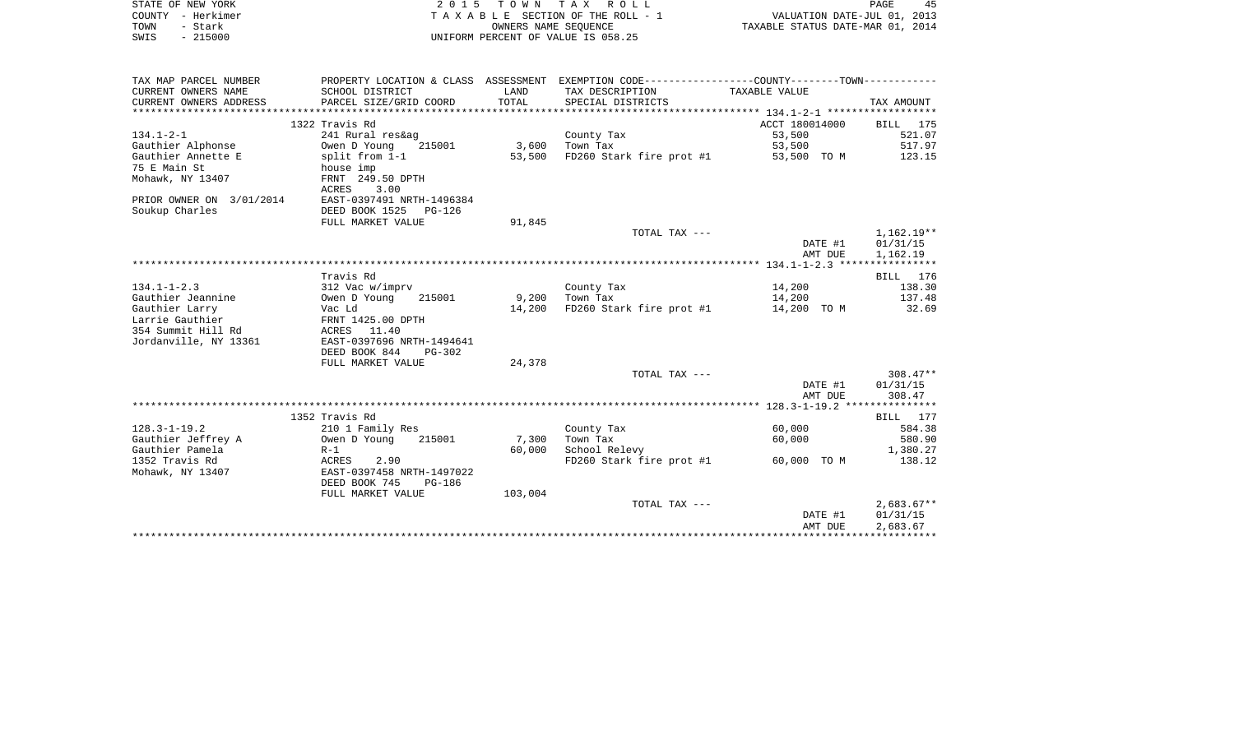| STATE OF NEW YORK        |                                 |              | 2015 TOWN TAX ROLL                                                                            |                                  | PAGE<br>45   |
|--------------------------|---------------------------------|--------------|-----------------------------------------------------------------------------------------------|----------------------------------|--------------|
| COUNTY - Herkimer        | TAXABLE SECTION OF THE ROLL - 1 |              | VALUATION DATE-JUL 01, 2013                                                                   |                                  |              |
| - Stark<br>TOWN          |                                 |              | OWNERS NAME SEQUENCE                                                                          | TAXABLE STATUS DATE-MAR 01, 2014 |              |
| $-215000$<br>SWIS        |                                 |              | UNIFORM PERCENT OF VALUE IS 058.25                                                            |                                  |              |
|                          |                                 |              |                                                                                               |                                  |              |
|                          |                                 |              |                                                                                               |                                  |              |
| TAX MAP PARCEL NUMBER    |                                 |              | PROPERTY LOCATION & CLASS ASSESSMENT EXEMPTION CODE---------------COUNTY-------TOWN---------- |                                  |              |
| CURRENT OWNERS NAME      | SCHOOL DISTRICT                 | LAND         | TAX DESCRIPTION                                                                               | TAXABLE VALUE                    |              |
| CURRENT OWNERS ADDRESS   | PARCEL SIZE/GRID COORD          | <b>TOTAL</b> | SPECIAL DISTRICTS                                                                             |                                  | TAX AMOUNT   |
|                          |                                 |              |                                                                                               |                                  |              |
|                          | 1322 Travis Rd                  |              |                                                                                               | ACCT 180014000                   | BILL 175     |
| $134.1 - 2 - 1$          | 241 Rural res&ag                |              | County Tax                                                                                    | 53,500                           | 521.07       |
| Gauthier Alphonse        | Owen D Young<br>215001          | 3,600        | Town Tax                                                                                      | 53,500                           | 517.97       |
| Gauthier Annette E       | split from 1-1                  | 53,500       | FD260 Stark fire prot #1                                                                      | 53,500 TO M                      | 123.15       |
| 75 E Main St             | house imp                       |              |                                                                                               |                                  |              |
| Mohawk, NY 13407         | FRNT 249.50 DPTH                |              |                                                                                               |                                  |              |
|                          | 3.00<br>ACRES                   |              |                                                                                               |                                  |              |
| PRIOR OWNER ON 3/01/2014 | EAST-0397491 NRTH-1496384       |              |                                                                                               |                                  |              |
| Soukup Charles           | DEED BOOK 1525<br>$PG-126$      |              |                                                                                               |                                  |              |
|                          | FULL MARKET VALUE               | 91,845       |                                                                                               |                                  |              |
|                          |                                 |              | TOTAL TAX ---                                                                                 |                                  | $1,162.19**$ |
|                          |                                 |              |                                                                                               | DATE #1                          | 01/31/15     |
|                          |                                 |              |                                                                                               | AMT DUE                          | 1,162.19     |
|                          |                                 |              |                                                                                               |                                  |              |
|                          | Travis Rd                       |              |                                                                                               |                                  | BILL<br>176  |
| $134.1 - 1 - 2.3$        | 312 Vac w/imprv                 |              | County Tax                                                                                    | 14,200                           | 138.30       |
| Gauthier Jeannine        | Owen D Young<br>215001          | 9,200        | Town Tax                                                                                      | 14,200                           | 137.48       |
| Gauthier Larry           | Vac Ld                          | 14,200       | FD260 Stark fire prot #1                                                                      | 14,200 TO M                      | 32.69        |
| Larrie Gauthier          | FRNT 1425.00 DPTH               |              |                                                                                               |                                  |              |
| 354 Summit Hill Rd       | ACRES 11.40                     |              |                                                                                               |                                  |              |
| Jordanville, NY 13361    | EAST-0397696 NRTH-1494641       |              |                                                                                               |                                  |              |
|                          | DEED BOOK 844<br>PG-302         |              |                                                                                               |                                  |              |
|                          | FULL MARKET VALUE               | 24,378       |                                                                                               |                                  |              |
|                          |                                 |              | TOTAL TAX ---                                                                                 |                                  | $308.47**$   |
|                          |                                 |              |                                                                                               | DATE #1                          | 01/31/15     |
|                          |                                 |              |                                                                                               | AMT DUE                          | 308.47       |
|                          |                                 |              |                                                                                               |                                  |              |
|                          | 1352 Travis Rd                  |              |                                                                                               |                                  | BILL 177     |
| $128.3 - 1 - 19.2$       | 210 1 Family Res                |              | County Tax                                                                                    | 60,000                           | 584.38       |
| Gauthier Jeffrey A       | Owen D Young<br>215001          | 7,300        | Town Tax                                                                                      | 60,000                           | 580.90       |
| Gauthier Pamela          | $R-1$                           | 60,000       | School Relevy                                                                                 |                                  | 1,380.27     |
| 1352 Travis Rd           | 2.90<br>ACRES                   |              | FD260 Stark fire prot #1                                                                      | 60,000 TO M                      | 138.12       |
| Mohawk, NY 13407         | EAST-0397458 NRTH-1497022       |              |                                                                                               |                                  |              |
|                          | DEED BOOK 745<br>PG-186         |              |                                                                                               |                                  |              |
|                          | FULL MARKET VALUE               | 103,004      |                                                                                               |                                  |              |
|                          |                                 |              | TOTAL TAX ---                                                                                 |                                  | $2,683.67**$ |
|                          |                                 |              |                                                                                               | DATE #1                          | 01/31/15     |
|                          |                                 |              |                                                                                               | AMT DUE                          | 2,683.67     |
|                          |                                 |              |                                                                                               |                                  | ************ |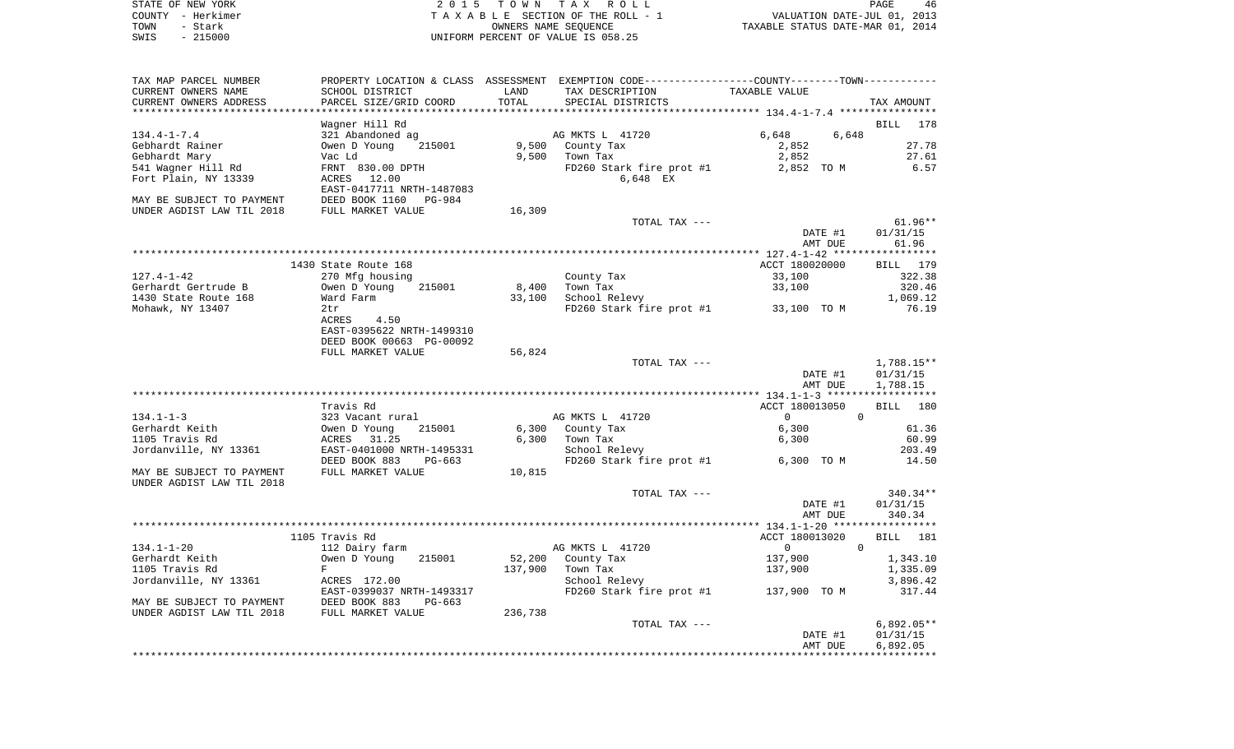|      | STATE OF NEW YORK | 2015 TOWN TAX ROLL                 | PAGE                             | 46 |
|------|-------------------|------------------------------------|----------------------------------|----|
|      | COUNTY - Herkimer | TAXABLE SECTION OF THE ROLL - 1    | VALUATION DATE-JUL 01, 2013      |    |
| TOWN | – Stark           | OWNERS NAME SEOUENCE               | TAXABLE STATUS DATE-MAR 01, 2014 |    |
| SWIS | $-215000$         | UNIFORM PERCENT OF VALUE IS 058.25 |                                  |    |

| TAX MAP PARCEL NUMBER              |                                                        |         | PROPERTY LOCATION & CLASS ASSESSMENT EXEMPTION CODE----------------COUNTY-------TOWN---------- |                                        |                    |
|------------------------------------|--------------------------------------------------------|---------|------------------------------------------------------------------------------------------------|----------------------------------------|--------------------|
| CURRENT OWNERS NAME                | SCHOOL DISTRICT                                        | LAND    | TAX DESCRIPTION                                                                                | TAXABLE VALUE                          |                    |
| CURRENT OWNERS ADDRESS             | PARCEL SIZE/GRID COORD                                 | TOTAL   | SPECIAL DISTRICTS                                                                              |                                        | TAX AMOUNT         |
|                                    |                                                        |         |                                                                                                |                                        |                    |
|                                    | Wagner Hill Rd                                         |         |                                                                                                |                                        | BILL<br>178        |
| $134.4 - 1 - 7.4$                  | 321 Abandoned ag                                       |         | AG MKTS L 41720                                                                                | 6,648<br>6,648                         |                    |
| Gebhardt Rainer                    | Owen D Young<br>215001                                 | 9,500   | County Tax                                                                                     | 2,852                                  | 27.78              |
| Gebhardt Mary                      | Vac Ld                                                 | 9,500   | Town Tax                                                                                       | 2,852                                  | 27.61              |
| 541 Wagner Hill Rd                 | FRNT 830.00 DPTH                                       |         | FD260 Stark fire prot #1                                                                       | 2,852 TO M                             | 6.57               |
| Fort Plain, NY 13339               | ACRES<br>12.00                                         |         | 6,648 EX                                                                                       |                                        |                    |
|                                    | EAST-0417711 NRTH-1487083                              |         |                                                                                                |                                        |                    |
| MAY BE SUBJECT TO PAYMENT          | DEED BOOK 1160<br>PG-984                               |         |                                                                                                |                                        |                    |
| UNDER AGDIST LAW TIL 2018          | FULL MARKET VALUE                                      | 16,309  |                                                                                                |                                        |                    |
|                                    |                                                        |         | TOTAL TAX ---                                                                                  |                                        | $61.96**$          |
|                                    |                                                        |         |                                                                                                | DATE #1                                | 01/31/15           |
|                                    |                                                        |         |                                                                                                | AMT DUE                                | 61.96              |
|                                    |                                                        |         |                                                                                                |                                        |                    |
|                                    | 1430 State Route 168                                   |         |                                                                                                | ACCT 180020000                         | BILL 179           |
| $127.4 - 1 - 42$                   | 270 Mfg housing                                        |         | County Tax                                                                                     | 33,100                                 | 322.38             |
| Gerhardt Gertrude B                | Owen D Young<br>215001                                 | 8,400   | Town Tax                                                                                       | 33,100                                 | 320.46             |
| 1430 State Route 168               | Ward Farm                                              | 33,100  | School Relevy                                                                                  |                                        | 1,069.12           |
| Mohawk, NY 13407                   | 2tr                                                    |         | FD260 Stark fire prot #1                                                                       | 33,100 TO M                            | 76.19              |
|                                    | ACRES<br>4.50                                          |         |                                                                                                |                                        |                    |
|                                    | EAST-0395622 NRTH-1499310                              |         |                                                                                                |                                        |                    |
|                                    | DEED BOOK 00663 PG-00092                               |         |                                                                                                |                                        |                    |
|                                    | FULL MARKET VALUE                                      | 56,824  |                                                                                                |                                        |                    |
|                                    |                                                        |         | TOTAL TAX ---                                                                                  |                                        | $1,788.15**$       |
|                                    |                                                        |         |                                                                                                | DATE #1                                | 01/31/15           |
|                                    |                                                        |         |                                                                                                | AMT DUE                                | 1,788.15           |
|                                    |                                                        |         |                                                                                                |                                        |                    |
|                                    | Travis Rd                                              |         |                                                                                                | ACCT 180013050<br>$\Omega$<br>$\Omega$ | 180<br>BILL        |
| $134.1 - 1 - 3$                    | 323 Vacant rural                                       |         | AG MKTS L 41720                                                                                |                                        |                    |
| Gerhardt Keith                     | Owen D Young<br>215001                                 | 6,300   | County Tax                                                                                     | 6,300                                  | 61.36              |
| 1105 Travis Rd                     | 31.25<br>ACRES                                         | 6,300   | Town Tax                                                                                       | 6,300                                  | 60.99              |
| Jordanville, NY 13361              | EAST-0401000 NRTH-1495331                              |         | School Relevy                                                                                  | 6,300 TO M                             | 203.49<br>14.50    |
|                                    | DEED BOOK 883<br>$PG-663$                              |         | FD260 Stark fire prot #1                                                                       |                                        |                    |
| MAY BE SUBJECT TO PAYMENT          | FULL MARKET VALUE                                      | 10,815  |                                                                                                |                                        |                    |
| UNDER AGDIST LAW TIL 2018          |                                                        |         |                                                                                                |                                        | $340.34**$         |
|                                    |                                                        |         | TOTAL TAX ---                                                                                  | DATE #1                                | 01/31/15           |
|                                    |                                                        |         |                                                                                                | AMT DUE                                |                    |
|                                    |                                                        |         |                                                                                                |                                        | 340.34             |
|                                    | 1105 Travis Rd                                         |         |                                                                                                | ACCT 180013020                         | <b>BILL</b><br>181 |
|                                    |                                                        |         |                                                                                                | $\mathbf 0$<br>$\Omega$                |                    |
| $134.1 - 1 - 20$<br>Gerhardt Keith | 112 Dairy farm<br>Owen D Young<br>215001               | 52,200  | AG MKTS L 41720<br>County Tax                                                                  | 137,900                                | 1,343.10           |
| 1105 Travis Rd                     | F                                                      | 137,900 | Town Tax                                                                                       |                                        | 1,335.09           |
| Jordanville, NY 13361              |                                                        |         | School Relevy                                                                                  | 137,900                                | 3,896.42           |
|                                    | ACRES 172.00                                           |         |                                                                                                |                                        | 317.44             |
| MAY BE SUBJECT TO PAYMENT          | EAST-0399037 NRTH-1493317<br>DEED BOOK 883<br>$PG-663$ |         | FD260 Stark fire prot #1                                                                       | 137,900 TO M                           |                    |
|                                    |                                                        |         |                                                                                                |                                        |                    |
| UNDER AGDIST LAW TIL 2018          | FULL MARKET VALUE                                      | 236,738 | TOTAL TAX ---                                                                                  |                                        | $6,892.05**$       |
|                                    |                                                        |         |                                                                                                | DATE #1                                | 01/31/15           |
|                                    |                                                        |         |                                                                                                | AMT DUE                                | 6,892.05           |
|                                    |                                                        |         |                                                                                                |                                        |                    |
|                                    |                                                        |         |                                                                                                |                                        |                    |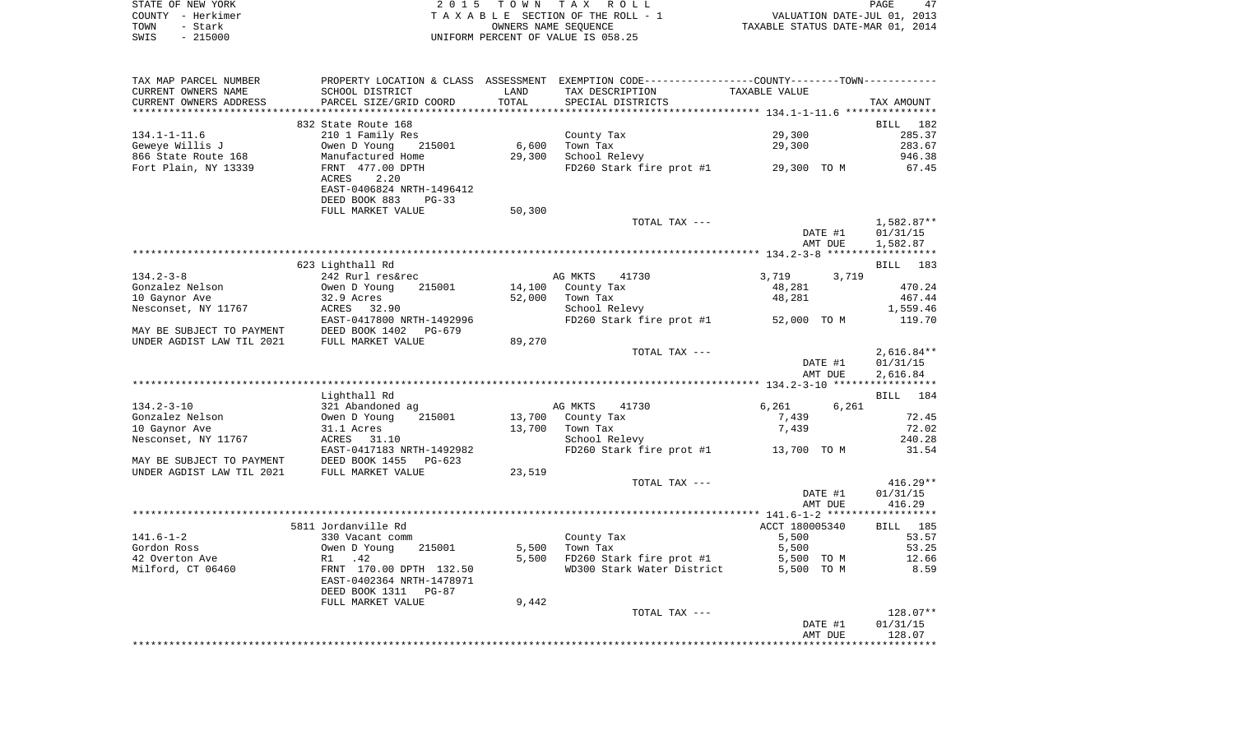|      | STATE OF NEW YORK | 2015 TOWN TAX ROLL                 | PAGE                             |
|------|-------------------|------------------------------------|----------------------------------|
|      | COUNTY - Herkimer | TAXABLE SECTION OF THE ROLL - 1    | VALUATION DATE-JUL 01, 2013      |
| TOWN | - Stark           | OWNERS NAME SEOUENCE               | TAXABLE STATUS DATE-MAR 01, 2014 |
| SWIS | $-215000$         | UNIFORM PERCENT OF VALUE IS 058.25 |                                  |

| TAX MAP PARCEL NUMBER              |                                                                                                |        | PROPERTY LOCATION & CLASS ASSESSMENT EXEMPTION CODE---------------COUNTY--------TOWN---------- |                          |                      |
|------------------------------------|------------------------------------------------------------------------------------------------|--------|------------------------------------------------------------------------------------------------|--------------------------|----------------------|
| CURRENT OWNERS NAME                | SCHOOL DISTRICT                                                                                | LAND   | TAX DESCRIPTION                                                                                | TAXABLE VALUE            |                      |
| CURRENT OWNERS ADDRESS             | PARCEL SIZE/GRID COORD                                                                         | TOTAL  | SPECIAL DISTRICTS                                                                              |                          | TAX AMOUNT           |
|                                    |                                                                                                |        |                                                                                                |                          |                      |
|                                    | 832 State Route 168                                                                            |        |                                                                                                |                          | BILL 182             |
| $134.1 - 1 - 11.6$                 | 210 1 Family Res                                                                               |        | County Tax                                                                                     | 29,300                   | 285.37               |
| Geweye Willis J                    | 215001<br>Owen D Young                                                                         | 6,600  | Town Tax<br>School Relevy                                                                      | 29,300                   | 283.67               |
| 866 State Route 168                | Manufactured Home                                                                              | 29,300 |                                                                                                |                          | 946.38               |
| Fort Plain, NY 13339               | FRNT 477.00 DPTH                                                                               |        | FD260 Stark fire prot #1 29,300 TO M                                                           |                          | 67.45                |
|                                    | 2.20<br>ACRES                                                                                  |        |                                                                                                |                          |                      |
|                                    | EAST-0406824 NRTH-1496412                                                                      |        |                                                                                                |                          |                      |
|                                    | DEED BOOK 883<br>$PG-33$                                                                       |        |                                                                                                |                          |                      |
|                                    | FULL MARKET VALUE                                                                              | 50,300 |                                                                                                |                          |                      |
|                                    |                                                                                                |        | TOTAL TAX ---                                                                                  |                          | 1,582.87**           |
|                                    |                                                                                                |        |                                                                                                | DATE #1                  | 01/31/15             |
|                                    |                                                                                                |        |                                                                                                | AMT DUE                  | 1,582.87             |
|                                    |                                                                                                |        |                                                                                                |                          |                      |
|                                    | 623 Lighthall Rd                                                                               |        | AG MKTS<br>41730                                                                               |                          | BILL 183             |
| $134.2 - 3 - 8$<br>Gonzalez Nelson | 242 Rurl res&rec<br>Owen D Young<br>215001                                                     |        | 14,100 County Tax                                                                              | 3,719<br>3,719<br>48,281 | 470.24               |
| 10 Gaynor Ave                      |                                                                                                | 52,000 | Town Tax                                                                                       | 48,281                   | 467.44               |
| Nesconset, NY 11767                |                                                                                                |        | School Relevy                                                                                  |                          | 1,559.46             |
|                                    | 32.9 Acres<br>ACRES 32.90<br>EAST-0417800 NRTH-1492996                                         |        | FD260 Stark fire prot #1 $52,000$ TO M                                                         |                          | 119.70               |
|                                    |                                                                                                |        |                                                                                                |                          |                      |
|                                    | MAY BE SUBJECT TO PAYMENT DEED BOOK 1402 PG-679<br>UNDER AGDIST LAW TIL 2021 FULL MARKET VALUE | 89,270 |                                                                                                |                          |                      |
|                                    |                                                                                                |        | TOTAL TAX ---                                                                                  |                          | $2,616.84**$         |
|                                    |                                                                                                |        |                                                                                                | DATE #1                  | 01/31/15             |
|                                    |                                                                                                |        |                                                                                                | AMT DUE                  | 2,616.84             |
|                                    |                                                                                                |        |                                                                                                |                          |                      |
|                                    | Lighthall Rd                                                                                   |        |                                                                                                |                          | BILL 184             |
| 134.2-3-10                         | 321 Abandoned ag                                                                               |        | AG MKTS 41730                                                                                  | 6,261<br>6,261           |                      |
| Gonzalez Nelson                    | Owen D Young<br>215001                                                                         | 13,700 | County Tax                                                                                     | 7,439                    | 72.45                |
| 10 Gaynor Ave                      | 31.1 Acres                                                                                     | 13,700 | Town Tax                                                                                       | 7,439                    | 72.02                |
| Nesconset, NY 11767                | ACRES 31.10                                                                                    |        | School Relevy                                                                                  |                          | 240.28               |
|                                    | EAST-0417183 NRTH-1492982<br>MAY BE SUBJECT TO PAYMENT DEED BOOK 1455 PG-623                   |        | FD260 Stark fire prot #1 13,700 TO M                                                           |                          | 31.54                |
|                                    |                                                                                                |        |                                                                                                |                          |                      |
| UNDER AGDIST LAW TIL 2021          | FULL MARKET VALUE                                                                              | 23,519 |                                                                                                |                          |                      |
|                                    |                                                                                                |        | TOTAL TAX ---                                                                                  |                          | $416.29**$           |
|                                    |                                                                                                |        |                                                                                                | DATE #1                  | 01/31/15             |
|                                    |                                                                                                |        |                                                                                                | AMT DUE                  | 416.29               |
|                                    |                                                                                                |        |                                                                                                |                          |                      |
|                                    | 5811 Jordanville Rd                                                                            |        |                                                                                                | ACCT 180005340           | BILL 185             |
| $141.6 - 1 - 2$                    | 330 Vacant comm                                                                                |        | County Tax                                                                                     | 5,500                    | 53.57                |
| Gordon Ross                        | Owen D Young<br>R1 .42<br>215001                                                               | 5,500  | Town Tax                                                                                       | 5,500                    | 53.25                |
| 42 Overton Ave                     |                                                                                                | 5,500  | FD260 Stark fire prot #1 5,500 TO M                                                            |                          | 12.66                |
| Milford, CT 06460                  | FRNT 170.00 DPTH 132.50                                                                        |        | WD300 Stark Water District                                                                     | 5,500 TO M               | 8.59                 |
|                                    | EAST-0402364 NRTH-1478971                                                                      |        |                                                                                                |                          |                      |
|                                    | DEED BOOK 1311 PG-87                                                                           |        |                                                                                                |                          |                      |
|                                    | FULL MARKET VALUE                                                                              | 9,442  |                                                                                                |                          |                      |
|                                    |                                                                                                |        | TOTAL TAX ---                                                                                  | DATE #1                  | 128.07**<br>01/31/15 |
|                                    |                                                                                                |        |                                                                                                | AMT DUE                  | 128.07               |
|                                    |                                                                                                |        |                                                                                                |                          |                      |
|                                    |                                                                                                |        |                                                                                                |                          |                      |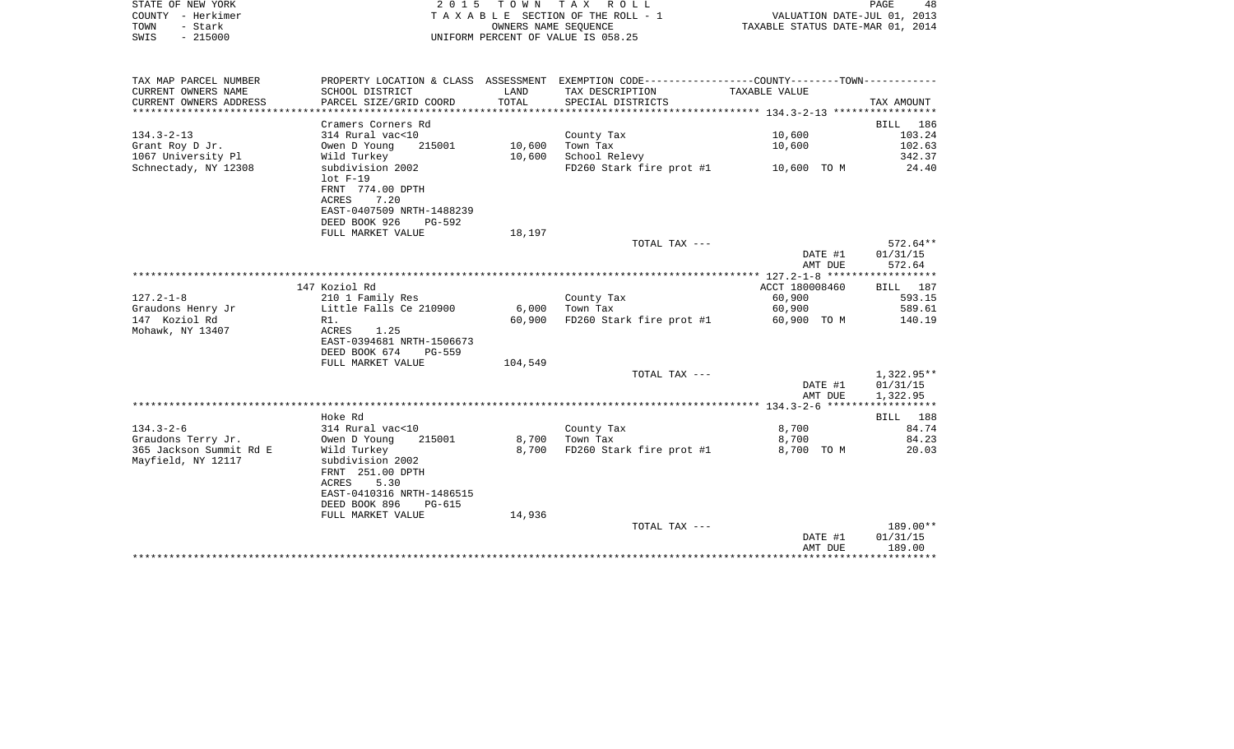|      | STATE OF NEW YORK | 2015 TOWN TAX ROLL                 | 48<br>PAGE                       |
|------|-------------------|------------------------------------|----------------------------------|
|      | COUNTY - Herkimer | TAXABLE SECTION OF THE ROLL - 1    | VALUATION DATE-JUL 01, 2013      |
| TOWN | – Stark           | OWNERS NAME SEOUENCE               | TAXABLE STATUS DATE-MAR 01, 2014 |
| SWIS | $-215000$         | UNIFORM PERCENT OF VALUE IS 058.25 |                                  |

| TAX MAP PARCEL NUMBER   |                                |         | PROPERTY LOCATION & CLASS ASSESSMENT EXEMPTION CODE---------------COUNTY-------TOWN---------- |                |            |
|-------------------------|--------------------------------|---------|-----------------------------------------------------------------------------------------------|----------------|------------|
| CURRENT OWNERS NAME     | SCHOOL DISTRICT                | LAND    | TAX DESCRIPTION                                                                               | TAXABLE VALUE  |            |
| CURRENT OWNERS ADDRESS  | PARCEL SIZE/GRID COORD         | TOTAL   | SPECIAL DISTRICTS                                                                             |                | TAX AMOUNT |
|                         |                                |         |                                                                                               |                |            |
|                         | Cramers Corners Rd             |         |                                                                                               |                | BILL 186   |
| $134.3 - 2 - 13$        | 314 Rural vac<10               |         | County Tax                                                                                    | 10,600         | 103.24     |
| Grant Roy D Jr.         | 215001<br>Owen D Young         | 10,600  | Town Tax                                                                                      | 10,600         | 102.63     |
| 1067 University Pl      | Wild Turkey                    | 10,600  | School Relevy                                                                                 |                | 342.37     |
|                         | subdivision 2002               |         |                                                                                               |                | 24.40      |
| Schnectady, NY 12308    |                                |         | FD260 Stark fire prot #1 10,600 TO M                                                          |                |            |
|                         | $lot F-19$                     |         |                                                                                               |                |            |
|                         | FRNT 774.00 DPTH               |         |                                                                                               |                |            |
|                         | ACRES<br>7.20                  |         |                                                                                               |                |            |
|                         | EAST-0407509 NRTH-1488239      |         |                                                                                               |                |            |
|                         | DEED BOOK 926<br>PG-592        |         |                                                                                               |                |            |
|                         | FULL MARKET VALUE              | 18,197  |                                                                                               |                |            |
|                         |                                |         | TOTAL TAX ---                                                                                 |                | $572.64**$ |
|                         |                                |         |                                                                                               | DATE #1        | 01/31/15   |
|                         |                                |         |                                                                                               | AMT DUE        | 572.64     |
|                         |                                |         |                                                                                               |                |            |
|                         | 147 Koziol Rd                  |         |                                                                                               | ACCT 180008460 | BILL 187   |
| $127.2 - 1 - 8$         | 210 1 Family Res               |         | County Tax                                                                                    | 60,900         | 593.15     |
| Graudons Henry Jr       | Little Falls Ce 210900         | 6,000   | Town Tax                                                                                      | 60,900         | 589.61     |
| 147 Koziol Rd           | R1.                            | 60,900  | FD260 Stark fire prot #1                                                                      | 60,900 TO M    | 140.19     |
| Mohawk, NY 13407        | 1.25<br>ACRES                  |         |                                                                                               |                |            |
|                         | EAST-0394681 NRTH-1506673      |         |                                                                                               |                |            |
|                         | DEED BOOK 674<br><b>PG-559</b> |         |                                                                                               |                |            |
|                         | FULL MARKET VALUE              | 104,549 |                                                                                               |                |            |
|                         |                                |         | TOTAL TAX ---                                                                                 |                | 1,322.95** |
|                         |                                |         |                                                                                               | DATE #1        | 01/31/15   |
|                         |                                |         |                                                                                               | AMT DUE        | 1,322.95   |
|                         |                                |         |                                                                                               |                |            |
|                         | Hoke Rd                        |         |                                                                                               |                | BILL 188   |
| $134.3 - 2 - 6$         | 314 Rural vac<10               |         | County Tax                                                                                    | 8,700          | 84.74      |
| Graudons Terry Jr.      | Owen D Young<br>215001         |         | 8,700 Town Tax                                                                                | 8,700          | 84.23      |
| 365 Jackson Summit Rd E | Wild Turkey                    | 8,700   | FD260 Stark fire prot #1                                                                      | 8,700 TO M     | 20.03      |
| Mayfield, NY 12117      | subdivision 2002               |         |                                                                                               |                |            |
|                         | FRNT 251.00 DPTH               |         |                                                                                               |                |            |
|                         | 5.30<br>ACRES                  |         |                                                                                               |                |            |
|                         | EAST-0410316 NRTH-1486515      |         |                                                                                               |                |            |
|                         | DEED BOOK 896<br>PG-615        |         |                                                                                               |                |            |
|                         | FULL MARKET VALUE              | 14,936  |                                                                                               |                |            |
|                         |                                |         | TOTAL TAX ---                                                                                 |                | 189.00**   |
|                         |                                |         |                                                                                               | DATE #1        | 01/31/15   |
|                         |                                |         |                                                                                               | AMT DUE        | 189.00     |
|                         |                                |         |                                                                                               |                |            |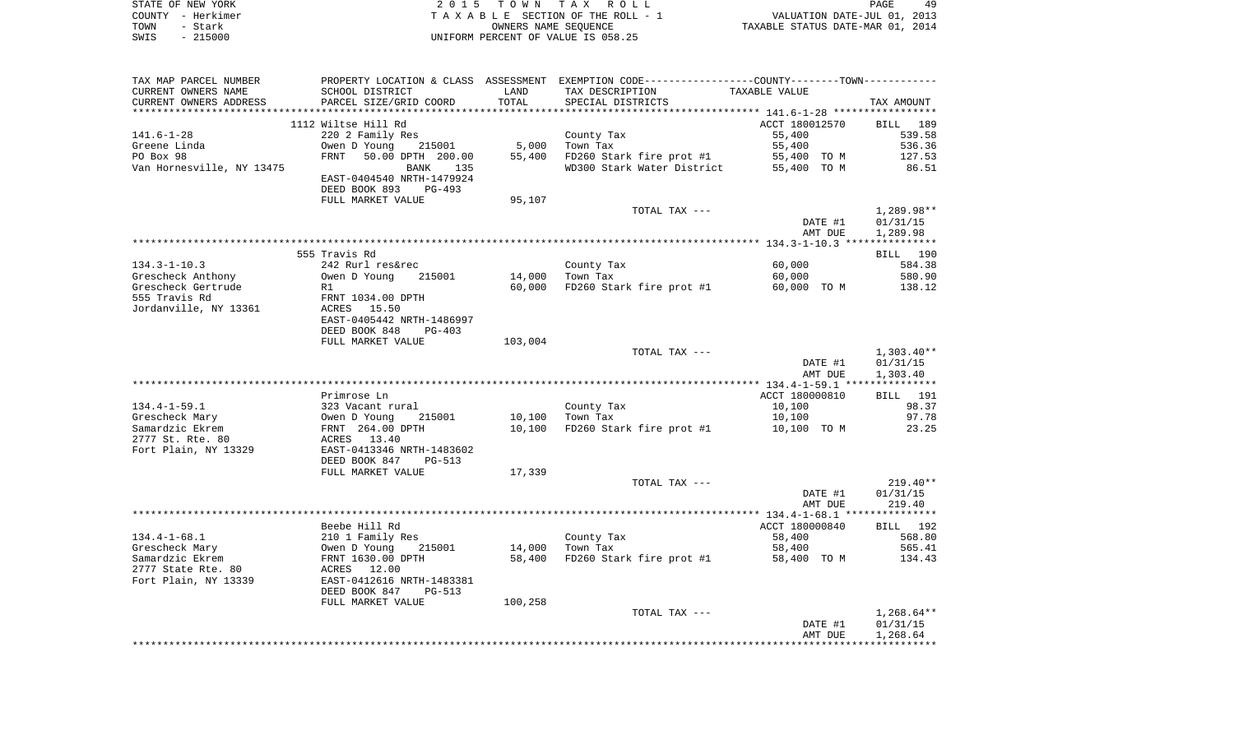| STATE OF NEW YORK |           | 2015 TOWN TAX ROLL                    |                      |                                  | PAGE                        | 49 |
|-------------------|-----------|---------------------------------------|----------------------|----------------------------------|-----------------------------|----|
| COUNTY - Herkimer |           | T A X A B L E SECTION OF THE ROLL - 1 |                      |                                  | VALUATION DATE-JUL 01, 2013 |    |
| TOWN              | – Stark   |                                       | OWNERS NAME SEOUENCE | TAXABLE STATUS DATE-MAR 01, 2014 |                             |    |
| SWIS              | $-215000$ | UNIFORM PERCENT OF VALUE IS 058.25    |                      |                                  |                             |    |

| TAX MAP PARCEL NUMBER                 |                                     |                             | PROPERTY LOCATION & CLASS ASSESSMENT EXEMPTION CODE---------------COUNTY--------TOWN---------- |                |              |
|---------------------------------------|-------------------------------------|-----------------------------|------------------------------------------------------------------------------------------------|----------------|--------------|
| CURRENT OWNERS NAME                   | SCHOOL DISTRICT                     | LAND                        | TAX DESCRIPTION                                                                                | TAXABLE VALUE  |              |
| CURRENT OWNERS ADDRESS                | PARCEL SIZE/GRID COORD              | TOTAL                       | SPECIAL DISTRICTS                                                                              |                | TAX AMOUNT   |
| *********************                 | ***************************         | * * * * * * * * * * * * * * |                                                                                                |                |              |
|                                       | 1112 Wiltse Hill Rd                 |                             |                                                                                                | ACCT 180012570 | BILL 189     |
| $141.6 - 1 - 28$                      | 220 2 Family Res                    |                             | County Tax                                                                                     | 55,400         | 539.58       |
| Greene Linda                          | Owen D Young<br>215001              | 5,000                       | Town Tax                                                                                       | 55,400         | 536.36       |
| PO Box 98                             | FRNT<br>50.00 DPTH 200.00           | 55,400                      | FD260 Stark fire prot #1                                                                       | 55,400 TO M    | 127.53       |
| Van Hornesville, NY 13475             | BANK 135                            |                             | WD300 Stark Water District                                                                     | 55,400 TO M    | 86.51        |
|                                       | EAST-0404540 NRTH-1479924           |                             |                                                                                                |                |              |
|                                       | DEED BOOK 893<br>PG-493             |                             |                                                                                                |                |              |
|                                       | FULL MARKET VALUE                   | 95,107                      |                                                                                                |                |              |
|                                       |                                     |                             | TOTAL TAX ---                                                                                  |                | $1,289.98**$ |
|                                       |                                     |                             |                                                                                                | DATE #1        | 01/31/15     |
|                                       |                                     |                             |                                                                                                | AMT DUE        | 1,289.98     |
|                                       | 555 Travis Rd                       |                             |                                                                                                |                | BILL 190     |
| $134.3 - 1 - 10.3$                    | 242 Rurl res&rec                    |                             |                                                                                                | 60,000         | 584.38       |
| Grescheck Anthony                     | Owen D Young<br>215001              | 14,000                      | County Tax<br>Town Tax                                                                         | 60,000         | 580.90       |
| Grescheck Gertrude                    | R1                                  | 60,000                      | FD260 Stark fire prot #1                                                                       | 60,000 TO M    | 138.12       |
| 555 Travis Rd                         | FRNT 1034.00 DPTH                   |                             |                                                                                                |                |              |
| Jordanville, NY 13361                 | ACRES 15.50                         |                             |                                                                                                |                |              |
|                                       | EAST-0405442 NRTH-1486997           |                             |                                                                                                |                |              |
|                                       | DEED BOOK 848<br>$PG-403$           |                             |                                                                                                |                |              |
|                                       | FULL MARKET VALUE                   | 103,004                     |                                                                                                |                |              |
|                                       |                                     |                             | TOTAL TAX ---                                                                                  |                | $1,303.40**$ |
|                                       |                                     |                             |                                                                                                | DATE #1        | 01/31/15     |
|                                       |                                     |                             |                                                                                                | AMT DUE        | 1,303.40     |
|                                       |                                     |                             |                                                                                                |                |              |
|                                       | Primrose Ln                         |                             |                                                                                                | ACCT 180000810 | BILL 191     |
| $134.4 - 1 - 59.1$                    | 323 Vacant rural                    |                             | County Tax                                                                                     | 10,100         | 98.37        |
| Grescheck Mary                        | 215001                              | 10,100                      | Town Tax                                                                                       | 10,100         | 97.78        |
| Samardzic Ekrem                       | Owen D Young 21<br>FRNT 264.00 DPTH | 10,100                      | FD260 Stark fire prot #1                                                                       | 10,100 TO M    | 23.25        |
| 2777 St. Rte. 80                      | ACRES 13.40                         |                             |                                                                                                |                |              |
| Fort Plain, NY 13329                  | EAST-0413346 NRTH-1483602           |                             |                                                                                                |                |              |
|                                       | DEED BOOK 847<br>PG-513             |                             |                                                                                                |                |              |
|                                       | FULL MARKET VALUE                   | 17,339                      |                                                                                                |                |              |
|                                       |                                     |                             | TOTAL TAX ---                                                                                  |                | $219.40**$   |
|                                       |                                     |                             |                                                                                                | DATE #1        | 01/31/15     |
|                                       |                                     |                             |                                                                                                | AMT DUE        | 219.40       |
|                                       |                                     |                             |                                                                                                |                |              |
|                                       | Beebe Hill Rd                       |                             |                                                                                                | ACCT 180000840 | BILL 192     |
| $134.4 - 1 - 68.1$                    | 210 1 Family Res<br>Owen D Young 2  |                             | County Tax                                                                                     | 58,400         | 568.80       |
| Grescheck Mary                        | 215001                              | 14,000                      | Town Tax                                                                                       | 58,400         | 565.41       |
| Samardzic Ekrem<br>2777 State Rte. 80 | FRNT 1630.00 DPTH<br>ACRES 12.00    | 58,400                      | FD260 Stark fire prot #1                                                                       | 58,400 TO M    | 134.43       |
| Fort Plain, NY 13339                  | EAST-0412616 NRTH-1483381           |                             |                                                                                                |                |              |
|                                       | DEED BOOK 847<br><b>PG-513</b>      |                             |                                                                                                |                |              |
|                                       | FULL MARKET VALUE                   | 100,258                     |                                                                                                |                |              |
|                                       |                                     |                             | TOTAL TAX ---                                                                                  |                | $1,268.64**$ |
|                                       |                                     |                             |                                                                                                | DATE #1        | 01/31/15     |
|                                       |                                     |                             |                                                                                                | AMT DUE        | 1,268.64     |
|                                       |                                     |                             |                                                                                                |                |              |
|                                       |                                     |                             |                                                                                                |                |              |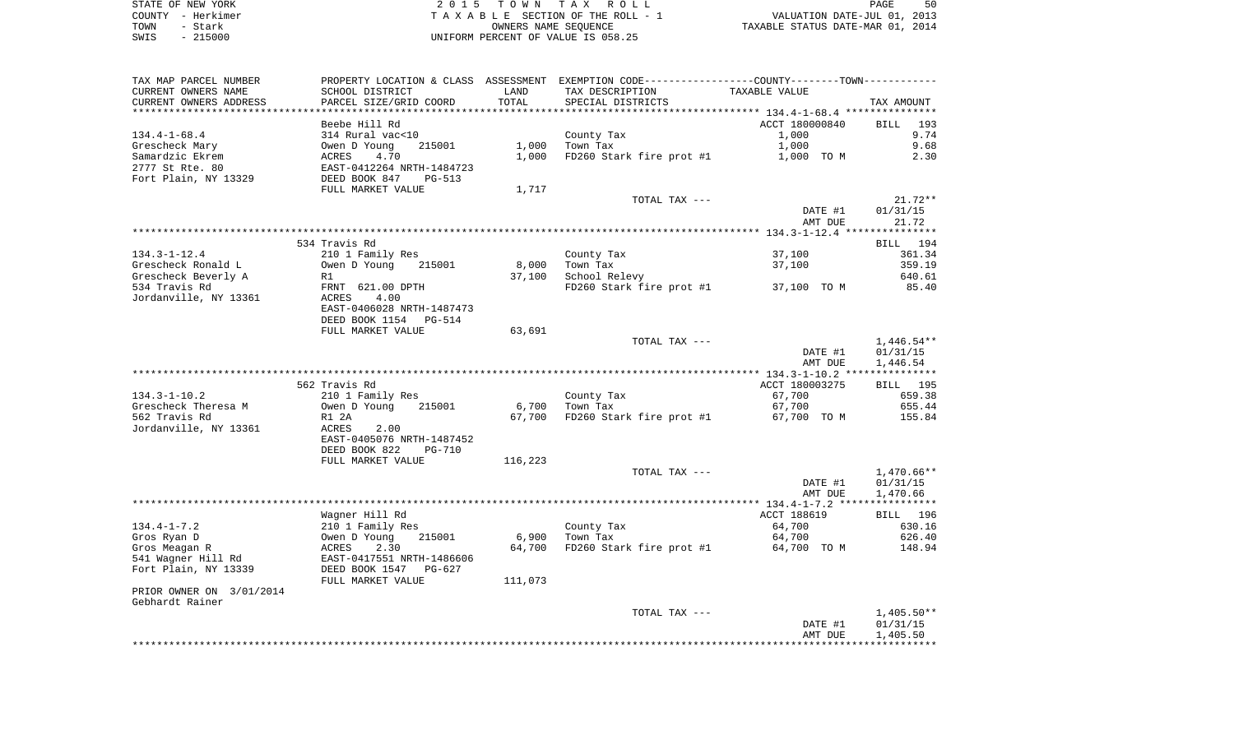STATE OF NEW YORK **EXECUTE:** TO W N TAX ROLL COUNTY - Herkimer T A X A B L E SECTION OF THE ROLL - 1 VALUATION DATE-JUL 01, 2013 TOWN - Stark OWNERS NAME SEQUENCE TAXABLE STATUS DATE-MAR 01, 2014 SWIS - 215000 UNIFORM PERCENT OF VALUE IS 058.25

| TAX MAP PARCEL NUMBER    |                                                             |         | PROPERTY LOCATION & CLASS ASSESSMENT EXEMPTION CODE----------------COUNTY-------TOWN---------- |                    |                    |
|--------------------------|-------------------------------------------------------------|---------|------------------------------------------------------------------------------------------------|--------------------|--------------------|
| CURRENT OWNERS NAME      | SCHOOL DISTRICT                                             | LAND    | TAX DESCRIPTION                                                                                | TAXABLE VALUE      |                    |
| CURRENT OWNERS ADDRESS   | PARCEL SIZE/GRID COORD                                      | TOTAL   | SPECIAL DISTRICTS                                                                              |                    | TAX AMOUNT         |
| **********************   |                                                             |         |                                                                                                |                    |                    |
|                          | Beebe Hill Rd                                               |         |                                                                                                | ACCT 180000840     | <b>BILL</b><br>193 |
| $134.4 - 1 - 68.4$       | 314 Rural vac<10                                            |         | County Tax                                                                                     | 1,000              | 9.74               |
| Grescheck Mary           | Owen D Young<br>215001                                      | 1,000   | Town Tax                                                                                       | 1,000              | 9.68               |
| Samardzic Ekrem          | 4.70<br>ACRES                                               | 1,000   | FD260 Stark fire prot #1                                                                       | 1,000 TO M         | 2.30               |
| 2777 St Rte. 80          | EAST-0412264 NRTH-1484723                                   |         |                                                                                                |                    |                    |
| Fort Plain, NY 13329     | DEED BOOK 847<br><b>PG-513</b>                              |         |                                                                                                |                    |                    |
|                          | FULL MARKET VALUE                                           | 1,717   |                                                                                                |                    |                    |
|                          |                                                             |         | TOTAL TAX ---                                                                                  |                    | $21.72**$          |
|                          |                                                             |         |                                                                                                | DATE #1<br>AMT DUE | 01/31/15<br>21.72  |
|                          |                                                             |         |                                                                                                |                    |                    |
|                          | 534 Travis Rd                                               |         |                                                                                                |                    | BILL 194           |
| $134.3 - 1 - 12.4$       | 210 1 Family Res                                            |         | County Tax                                                                                     | 37,100             | 361.34             |
| Grescheck Ronald L       | Owen D Young<br>215001                                      | 8,000   | Town Tax                                                                                       | 37,100             | 359.19             |
| Grescheck Beverly A      | R1                                                          | 37,100  | School Relevy                                                                                  |                    | 640.61             |
| 534 Travis Rd            | FRNT 621.00 DPTH                                            |         | FD260 Stark fire prot #1                                                                       | 37,100 TO M        | 85.40              |
| Jordanville, NY 13361    | 4.00<br>ACRES                                               |         |                                                                                                |                    |                    |
|                          | EAST-0406028 NRTH-1487473                                   |         |                                                                                                |                    |                    |
|                          | DEED BOOK 1154<br>PG-514                                    |         |                                                                                                |                    |                    |
|                          | FULL MARKET VALUE                                           | 63,691  |                                                                                                |                    |                    |
|                          |                                                             |         | TOTAL TAX ---                                                                                  |                    | $1,446.54**$       |
|                          |                                                             |         |                                                                                                | DATE #1            | 01/31/15           |
|                          |                                                             |         |                                                                                                | AMT DUE            | 1,446.54           |
|                          |                                                             |         |                                                                                                |                    |                    |
|                          | 562 Travis Rd                                               |         |                                                                                                | ACCT 180003275     | BILL 195           |
| $134.3 - 1 - 10.2$       | 210 1 Family Res                                            |         | County Tax                                                                                     | 67,700             | 659.38             |
| Grescheck Theresa M      | Owen D Young<br>215001                                      | 6,700   | Town Tax                                                                                       | 67,700             | 655.44             |
| 562 Travis Rd            | R1 2A                                                       | 67,700  | FD260 Stark fire prot #1                                                                       | 67,700 TO M        | 155.84             |
| Jordanville, NY 13361    | ACRES<br>2.00                                               |         |                                                                                                |                    |                    |
|                          | EAST-0405076 NRTH-1487452<br>DEED BOOK 822<br><b>PG-710</b> |         |                                                                                                |                    |                    |
|                          | FULL MARKET VALUE                                           | 116,223 |                                                                                                |                    |                    |
|                          |                                                             |         | TOTAL TAX ---                                                                                  |                    | 1,470.66**         |
|                          |                                                             |         |                                                                                                | DATE #1            | 01/31/15           |
|                          |                                                             |         |                                                                                                | AMT DUE            | 1,470.66           |
|                          |                                                             |         |                                                                                                |                    |                    |
|                          | Wagner Hill Rd                                              |         |                                                                                                | ACCT 188619        | BILL 196           |
| $134.4 - 1 - 7.2$        | 210 1 Family Res                                            |         | County Tax                                                                                     | 64,700             | 630.16             |
| Gros Ryan D              | Owen D Young<br>215001                                      | 6,900   | Town Tax                                                                                       | 64,700             | 626.40             |
| Gros Meagan R            | ACRES<br>2.30                                               | 64,700  | FD260 Stark fire prot #1                                                                       | 64,700 TO M        | 148.94             |
| 541 Wagner Hill Rd       | EAST-0417551 NRTH-1486606                                   |         |                                                                                                |                    |                    |
| Fort Plain, NY 13339     | DEED BOOK 1547<br>$PG-627$                                  |         |                                                                                                |                    |                    |
|                          | FULL MARKET VALUE                                           | 111,073 |                                                                                                |                    |                    |
| PRIOR OWNER ON 3/01/2014 |                                                             |         |                                                                                                |                    |                    |
| Gebhardt Rainer          |                                                             |         |                                                                                                |                    |                    |
|                          |                                                             |         | TOTAL TAX ---                                                                                  |                    | $1,405.50**$       |
|                          |                                                             |         |                                                                                                | DATE #1            | 01/31/15           |
|                          |                                                             |         |                                                                                                | AMT DUE            | 1,405.50           |
|                          |                                                             |         |                                                                                                |                    |                    |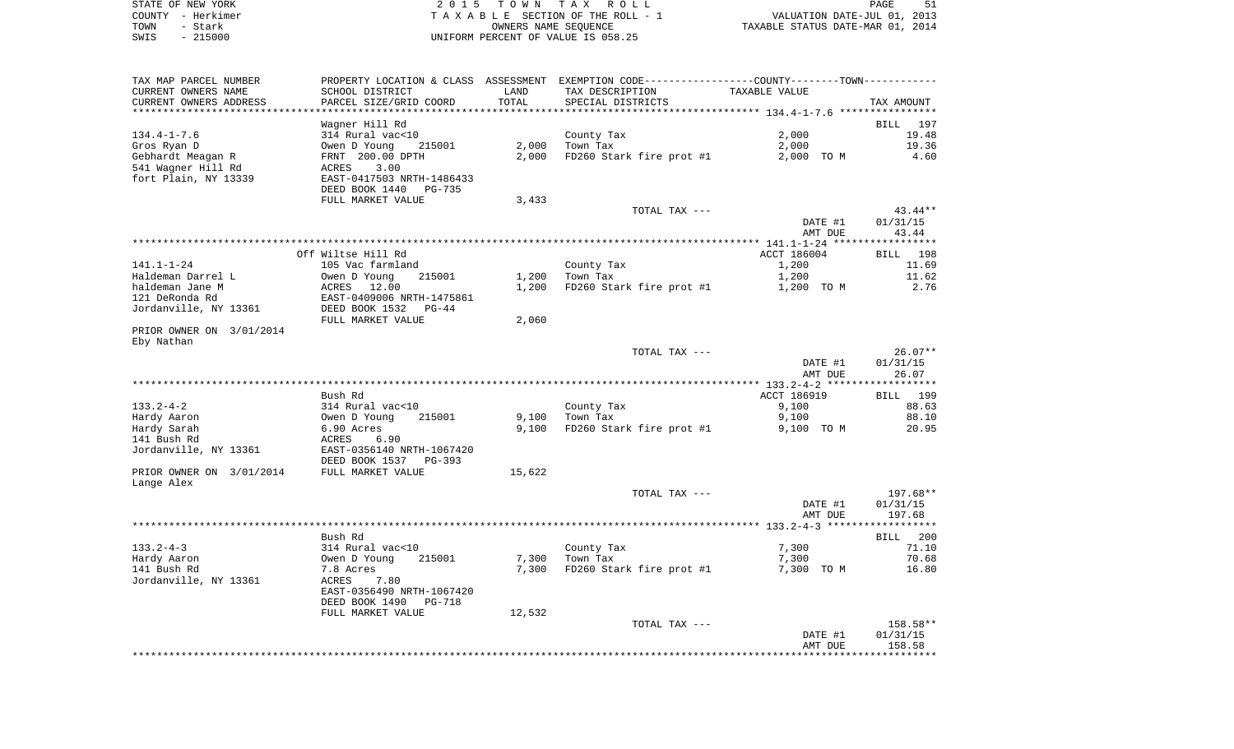|      | STATE OF NEW YORK | 2015 TOWN TAX ROLL                 | PAGE                             |  |
|------|-------------------|------------------------------------|----------------------------------|--|
|      | COUNTY - Herkimer | TAXABLE SECTION OF THE ROLL - 1    | VALUATION DATE-JUL 01, 2013      |  |
| TOWN | - Stark           | OWNERS NAME SEOUENCE               | TAXABLE STATUS DATE-MAR 01, 2014 |  |
| SWIS | $-215000$         | UNIFORM PERCENT OF VALUE IS 058.25 |                                  |  |

| TAX MAP PARCEL NUMBER      |                                 |        | PROPERTY LOCATION & CLASS ASSESSMENT EXEMPTION CODE----------------COUNTY-------TOWN----------- |                |                       |
|----------------------------|---------------------------------|--------|-------------------------------------------------------------------------------------------------|----------------|-----------------------|
| CURRENT OWNERS NAME        | SCHOOL DISTRICT                 | LAND   | TAX DESCRIPTION                                                                                 | TAXABLE VALUE  |                       |
| CURRENT OWNERS ADDRESS     | PARCEL SIZE/GRID COORD          | TOTAL  | SPECIAL DISTRICTS                                                                               |                | TAX AMOUNT            |
|                            | Wagner Hill Rd                  |        |                                                                                                 |                | BILL 197              |
| $134.4 - 1 - 7.6$          | 314 Rural vac<10                |        | County Tax                                                                                      | 2,000          | 19.48                 |
| Gros Ryan D                | Owen D Young<br>215001          | 2,000  | Town Tax                                                                                        | 2,000          | 19.36                 |
| Gebhardt Meagan R          | FRNT 200.00 DPTH                | 2,000  | FD260 Stark fire prot #1                                                                        | 2,000 TO M     | 4.60                  |
| 541 Wagner Hill Rd         | ACRES<br>3.00                   |        |                                                                                                 |                |                       |
| fort Plain, NY 13339       | EAST-0417503 NRTH-1486433       |        |                                                                                                 |                |                       |
|                            | DEED BOOK 1440<br><b>PG-735</b> |        |                                                                                                 |                |                       |
|                            | FULL MARKET VALUE               | 3,433  |                                                                                                 |                |                       |
|                            |                                 |        | TOTAL TAX ---                                                                                   |                | $43.44**$             |
|                            |                                 |        |                                                                                                 | DATE #1        | 01/31/15              |
|                            |                                 |        |                                                                                                 | AMT DUE        | 43.44                 |
|                            |                                 |        |                                                                                                 |                |                       |
|                            | Off Wiltse Hill Rd              |        |                                                                                                 | ACCT 186004    | BILL<br>198           |
| 141.1-1-24                 | 105 Vac farmland                |        | County Tax                                                                                      | 1,200          | 11.69                 |
| Haldeman Darrel L          | Owen D Young<br>215001          | 1,200  | Town Tax                                                                                        | 1,200          | 11.62                 |
| haldeman Jane M            | ACRES 12.00                     | 1,200  | FD260 Stark fire prot #1                                                                        | 1,200 TO M     | 2.76                  |
| 121 DeRonda Rd             | EAST-0409006 NRTH-1475861       |        |                                                                                                 |                |                       |
| Jordanville, NY 13361      | DEED BOOK 1532<br>$PG-44$       |        |                                                                                                 |                |                       |
|                            | FULL MARKET VALUE               | 2,060  |                                                                                                 |                |                       |
| PRIOR OWNER ON 3/01/2014   |                                 |        |                                                                                                 |                |                       |
| Eby Nathan                 |                                 |        | TOTAL TAX ---                                                                                   |                | $26.07**$             |
|                            |                                 |        |                                                                                                 | DATE #1        | 01/31/15              |
|                            |                                 |        |                                                                                                 | AMT DUE        | 26.07                 |
|                            |                                 |        |                                                                                                 |                | * * * * * * * * * * * |
|                            | Bush Rd                         |        |                                                                                                 | ACCT 186919    | BILL 199              |
| $133.2 - 4 - 2$            | 314 Rural vac<10                |        | County Tax                                                                                      | 9,100          | 88.63                 |
| Hardy Aaron                | Owen D Young<br>215001          | 9,100  | Town Tax                                                                                        | 9,100          | 88.10                 |
| Hardy Sarah                | 6.90 Acres                      | 9,100  | FD260 Stark fire prot #1                                                                        | 9,100 TO M     | 20.95                 |
| 141 Bush Rd                | ACRES<br>6.90                   |        |                                                                                                 |                |                       |
| Jordanville, NY 13361      | EAST-0356140 NRTH-1067420       |        |                                                                                                 |                |                       |
|                            | DEED BOOK 1537<br>PG-393        |        |                                                                                                 |                |                       |
| PRIOR OWNER ON 3/01/2014   | FULL MARKET VALUE               | 15,622 |                                                                                                 |                |                       |
| Lange Alex                 |                                 |        |                                                                                                 |                |                       |
|                            |                                 |        | TOTAL TAX ---                                                                                   |                | 197.68**              |
|                            |                                 |        |                                                                                                 | DATE #1        | 01/31/15              |
|                            |                                 |        |                                                                                                 | AMT DUE        | 197.68                |
|                            |                                 |        |                                                                                                 |                |                       |
|                            | Bush Rd                         |        |                                                                                                 |                | BILL 200              |
| $133.2 - 4 - 3$            | 314 Rural vac<10<br>215001      | 7,300  | County Tax<br>Town Tax                                                                          | 7,300<br>7,300 | 71.10<br>70.68        |
| Hardy Aaron<br>141 Bush Rd | Owen D Young<br>7.8 Acres       | 7,300  | FD260 Stark fire prot #1                                                                        | 7,300 TO M     | 16.80                 |
| Jordanville, NY 13361      | ACRES<br>7.80                   |        |                                                                                                 |                |                       |
|                            | EAST-0356490 NRTH-1067420       |        |                                                                                                 |                |                       |
|                            | DEED BOOK 1490<br>PG-718        |        |                                                                                                 |                |                       |
|                            | FULL MARKET VALUE               | 12,532 |                                                                                                 |                |                       |
|                            |                                 |        | TOTAL TAX ---                                                                                   |                | 158.58**              |
|                            |                                 |        |                                                                                                 | DATE #1        | 01/31/15              |
|                            |                                 |        |                                                                                                 | AMT DUE        | 158.58                |
|                            |                                 |        |                                                                                                 |                |                       |
|                            |                                 |        |                                                                                                 |                |                       |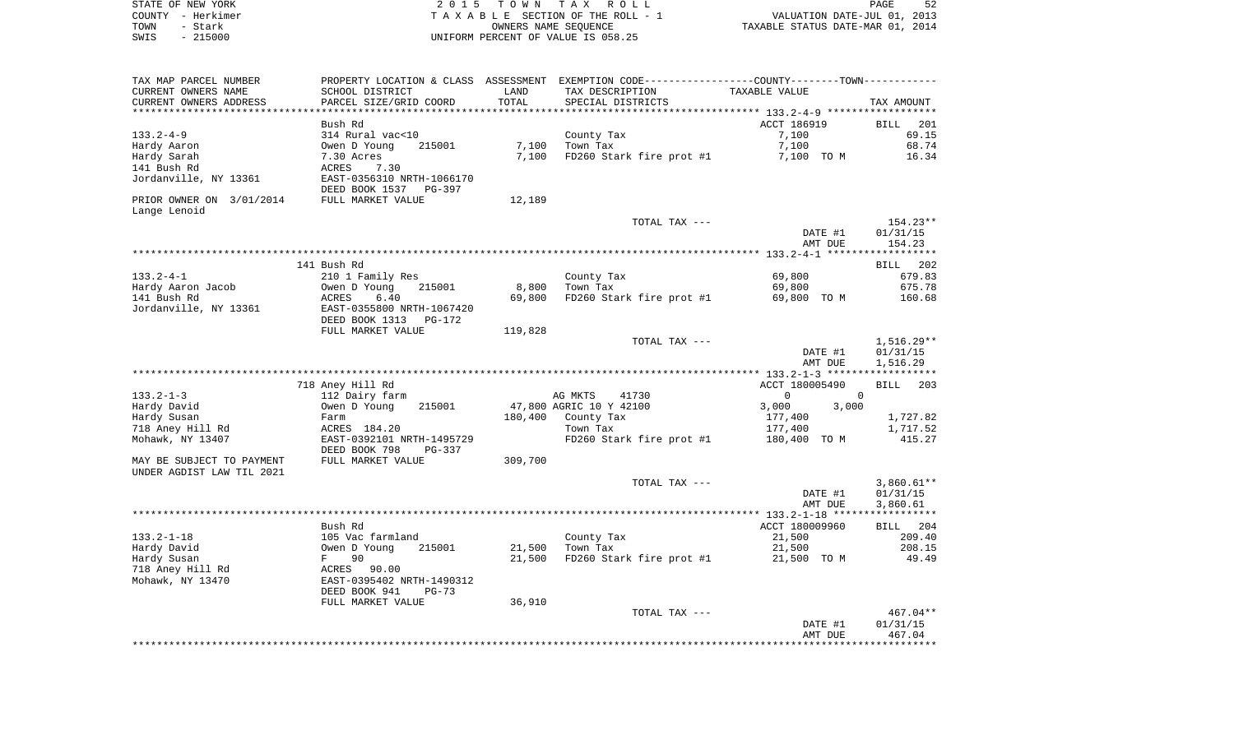| STATE OF NEW YORK | 2015 TOWN TAX ROLL                 | PAGE                             |
|-------------------|------------------------------------|----------------------------------|
| COUNTY - Herkimer | TAXABLE SECTION OF THE ROLL - 1    | VALUATION DATE-JUL 01, 2013      |
| TOWN<br>- Stark   | OWNERS NAME SEOUENCE               | TAXABLE STATUS DATE-MAR 01, 2014 |
| $-215000$<br>SWIS | UNIFORM PERCENT OF VALUE IS 058.25 |                                  |

| TAX MAP PARCEL NUMBER<br>CURRENT OWNERS NAME     | SCHOOL DISTRICT                                       | LAND    | PROPERTY LOCATION & CLASS ASSESSMENT EXEMPTION CODE---------------COUNTY--------TOWN----------<br>TAX DESCRIPTION | TAXABLE VALUE                  |                            |
|--------------------------------------------------|-------------------------------------------------------|---------|-------------------------------------------------------------------------------------------------------------------|--------------------------------|----------------------------|
| CURRENT OWNERS ADDRESS<br>********************** | PARCEL SIZE/GRID COORD                                | TOTAL   | SPECIAL DISTRICTS                                                                                                 |                                | TAX AMOUNT                 |
|                                                  | Bush Rd                                               |         |                                                                                                                   | ACCT 186919                    | <b>BILL</b><br>201         |
| 133.2-4-9                                        | 314 Rural vac<10                                      |         | County Tax                                                                                                        | 7,100                          | 69.15                      |
| Hardy Aaron                                      | 215001<br>Owen D Young                                | 7,100   | Town Tax                                                                                                          | 7,100                          | 68.74                      |
| Hardy Sarah                                      | 7.30 Acres                                            | 7,100   | FD260 Stark fire prot #1                                                                                          | 7,100 TO M                     | 16.34                      |
| 141 Bush Rd                                      | ACRES<br>7.30                                         |         |                                                                                                                   |                                |                            |
| Jordanville, NY 13361                            | EAST-0356310 NRTH-1066170<br>DEED BOOK 1537<br>PG-397 |         |                                                                                                                   |                                |                            |
| PRIOR OWNER ON 3/01/2014                         | FULL MARKET VALUE                                     | 12,189  |                                                                                                                   |                                |                            |
| Lange Lenoid                                     |                                                       |         |                                                                                                                   |                                |                            |
|                                                  |                                                       |         | TOTAL TAX ---                                                                                                     |                                | $154.23**$                 |
|                                                  |                                                       |         |                                                                                                                   | DATE #1                        | 01/31/15                   |
|                                                  |                                                       |         |                                                                                                                   | AMT DUE                        | 154.23                     |
|                                                  |                                                       |         |                                                                                                                   |                                |                            |
|                                                  | 141 Bush Rd                                           |         |                                                                                                                   |                                | <b>BILL</b><br>202         |
| $133.2 - 4 - 1$                                  | 210 1 Family Res                                      |         | County Tax                                                                                                        | 69,800                         | 679.83                     |
| Hardy Aaron Jacob                                | 215001<br>Owen D Young                                | 8,800   | Town Tax                                                                                                          | 69,800                         | 675.78                     |
| 141 Bush Rd                                      | ACRES<br>6.40                                         | 69,800  | FD260 Stark fire prot #1                                                                                          | 69,800 TO M                    | 160.68                     |
| Jordanville, NY 13361                            | EAST-0355800 NRTH-1067420                             |         |                                                                                                                   |                                |                            |
|                                                  | DEED BOOK 1313<br>PG-172                              |         |                                                                                                                   |                                |                            |
|                                                  | FULL MARKET VALUE                                     | 119,828 |                                                                                                                   |                                |                            |
|                                                  |                                                       |         | TOTAL TAX ---                                                                                                     |                                | $1,516.29**$               |
|                                                  |                                                       |         |                                                                                                                   | DATE #1                        | 01/31/15                   |
|                                                  |                                                       |         |                                                                                                                   | AMT DUE                        | 1,516.29                   |
|                                                  |                                                       |         |                                                                                                                   |                                |                            |
| $133.2 - 1 - 3$                                  | 718 Aney Hill Rd                                      |         |                                                                                                                   | ACCT 180005490<br>$\mathbf{0}$ | BILL 203<br>$\overline{0}$ |
| Hardy David                                      | 112 Dairy farm<br>Owen D Young<br>215001              |         | AG MKTS<br>41730<br>47,800 AGRIC 10 Y 42100                                                                       | 3,000<br>3,000                 |                            |
| Hardy Susan                                      | Farm                                                  | 180,400 | County Tax                                                                                                        | 177,400                        | 1,727.82                   |
| 718 Aney Hill Rd                                 | ACRES 184.20                                          |         | Town Tax                                                                                                          | 177,400                        | 1,717.52                   |
| Mohawk, NY 13407                                 | EAST-0392101 NRTH-1495729                             |         | FD260 Stark fire prot #1                                                                                          | 180,400 TO M                   | 415.27                     |
|                                                  | DEED BOOK 798<br>PG-337                               |         |                                                                                                                   |                                |                            |
| MAY BE SUBJECT TO PAYMENT                        | FULL MARKET VALUE                                     | 309,700 |                                                                                                                   |                                |                            |
| UNDER AGDIST LAW TIL 2021                        |                                                       |         |                                                                                                                   |                                |                            |
|                                                  |                                                       |         | TOTAL TAX ---                                                                                                     |                                | $3,860.61**$               |
|                                                  |                                                       |         |                                                                                                                   | DATE #1                        | 01/31/15                   |
|                                                  |                                                       |         |                                                                                                                   | AMT DUE                        | 3,860.61                   |
|                                                  |                                                       |         |                                                                                                                   |                                |                            |
|                                                  | Bush Rd                                               |         |                                                                                                                   | ACCT 180009960                 | BILL 204                   |
| $133.2 - 1 - 18$                                 | 105 Vac farmland                                      |         | County Tax                                                                                                        | 21,500                         | 209.40                     |
| Hardy David                                      | Owen D Young<br>215001                                | 21,500  | Town Tax                                                                                                          | 21,500                         | 208.15                     |
| Hardy Susan                                      | 90<br>F                                               | 21,500  | FD260 Stark fire prot #1                                                                                          | 21,500 TO M                    | 49.49                      |
| 718 Aney Hill Rd                                 | ACRES 90.00                                           |         |                                                                                                                   |                                |                            |
| Mohawk, NY 13470                                 | EAST-0395402 NRTH-1490312                             |         |                                                                                                                   |                                |                            |
|                                                  | DEED BOOK 941<br>$PG-73$                              |         |                                                                                                                   |                                |                            |
|                                                  | FULL MARKET VALUE                                     | 36,910  |                                                                                                                   |                                |                            |
|                                                  |                                                       |         | TOTAL TAX ---                                                                                                     |                                | $467.04**$                 |
|                                                  |                                                       |         |                                                                                                                   | DATE #1<br>AMT DUE             | 01/31/15<br>467.04         |
|                                                  |                                                       |         |                                                                                                                   |                                |                            |
|                                                  |                                                       |         |                                                                                                                   |                                |                            |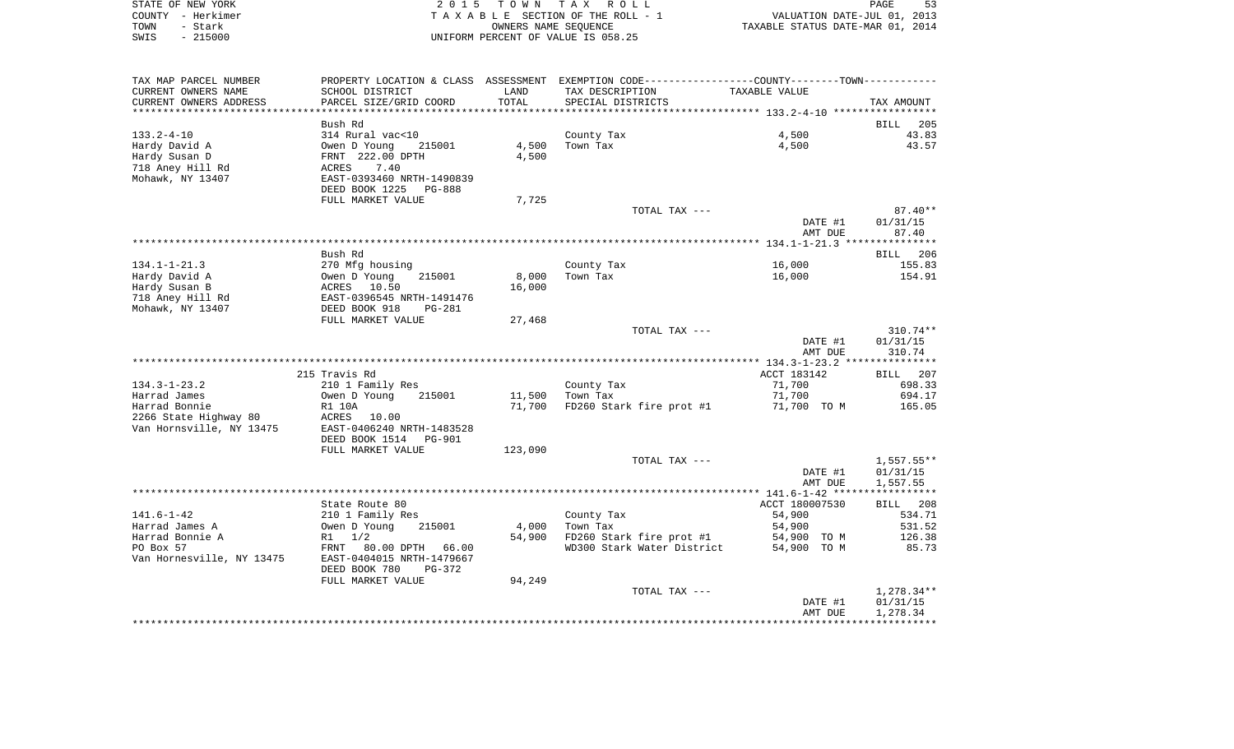|      | STATE OF NEW YORK | 2015 TOWN TAX ROLL                 | PAGE                             | 53 |
|------|-------------------|------------------------------------|----------------------------------|----|
|      | COUNTY – Herkimer | TAXABLE SECTION OF THE ROLL - 1    | VALUATION DATE-JUL 01, 2013      |    |
| TOWN | – Stark           | OWNERS NAME SEOUENCE               | TAXABLE STATUS DATE-MAR 01, 2014 |    |
| SWIS | - 215000          | UNIFORM PERCENT OF VALUE IS 058.25 |                                  |    |

| TAX MAP PARCEL NUMBER     | PROPERTY LOCATION & CLASS ASSESSMENT |         | EXEMPTION CODE-----------------COUNTY-------TOWN----------- |                                                 |              |
|---------------------------|--------------------------------------|---------|-------------------------------------------------------------|-------------------------------------------------|--------------|
| CURRENT OWNERS NAME       | SCHOOL DISTRICT                      | LAND    | TAX DESCRIPTION                                             | TAXABLE VALUE                                   |              |
| CURRENT OWNERS ADDRESS    | PARCEL SIZE/GRID COORD               | TOTAL   | SPECIAL DISTRICTS                                           |                                                 | TAX AMOUNT   |
|                           |                                      |         | ***************************                                 | ***************** 133.2-4-10 ****************** |              |
|                           | Bush Rd                              |         |                                                             |                                                 | BILL<br>205  |
| $133.2 - 4 - 10$          | 314 Rural vac<10                     |         | County Tax                                                  | 4,500                                           | 43.83        |
| Hardy David A             | Owen D Young<br>215001               | 4,500   | Town Tax                                                    | 4,500                                           | 43.57        |
| Hardy Susan D             | FRNT 222.00 DPTH                     | 4,500   |                                                             |                                                 |              |
| 718 Aney Hill Rd          | ACRES<br>7.40                        |         |                                                             |                                                 |              |
| Mohawk, NY 13407          | EAST-0393460 NRTH-1490839            |         |                                                             |                                                 |              |
|                           | DEED BOOK 1225<br><b>PG-888</b>      |         |                                                             |                                                 |              |
|                           | FULL MARKET VALUE                    | 7,725   |                                                             |                                                 |              |
|                           |                                      |         | TOTAL TAX ---                                               |                                                 | $87.40**$    |
|                           |                                      |         |                                                             | DATE #1                                         | 01/31/15     |
|                           |                                      |         |                                                             | AMT DUE                                         | 87.40        |
|                           |                                      |         |                                                             |                                                 |              |
|                           | Bush Rd                              |         |                                                             |                                                 | BILL 206     |
| $134.1 - 1 - 21.3$        | 270 Mfg housing                      |         | County Tax                                                  | 16,000                                          | 155.83       |
| Hardy David A             | Owen D Young<br>215001               | 8,000   | Town Tax                                                    | 16,000                                          | 154.91       |
| Hardy Susan B             | ACRES 10.50                          | 16,000  |                                                             |                                                 |              |
| 718 Aney Hill Rd          | EAST-0396545 NRTH-1491476            |         |                                                             |                                                 |              |
| Mohawk, NY 13407          | DEED BOOK 918<br><b>PG-281</b>       |         |                                                             |                                                 |              |
|                           | FULL MARKET VALUE                    | 27,468  |                                                             |                                                 |              |
|                           |                                      |         | TOTAL TAX ---                                               |                                                 | $310.74**$   |
|                           |                                      |         |                                                             | DATE #1                                         | 01/31/15     |
|                           |                                      |         |                                                             | AMT DUE                                         | 310.74       |
|                           |                                      |         |                                                             |                                                 |              |
|                           | 215 Travis Rd                        |         |                                                             | ACCT 183142                                     | BILL 207     |
| $134.3 - 1 - 23.2$        | 210 1 Family Res                     |         | County Tax                                                  | 71,700                                          | 698.33       |
| Harrad James              | Owen D Young<br>215001               | 11,500  | Town Tax                                                    | 71,700                                          | 694.17       |
| Harrad Bonnie             | <b>R1 10A</b>                        | 71,700  | FD260 Stark fire prot #1                                    | 71,700 TO M                                     | 165.05       |
| 2266 State Highway 80     | ACRES<br>10.00                       |         |                                                             |                                                 |              |
| Van Hornsville, NY 13475  | EAST-0406240 NRTH-1483528            |         |                                                             |                                                 |              |
|                           | DEED BOOK 1514<br><b>PG-901</b>      |         |                                                             |                                                 |              |
|                           | FULL MARKET VALUE                    | 123,090 |                                                             |                                                 |              |
|                           |                                      |         | TOTAL TAX ---                                               |                                                 | $1,557.55**$ |
|                           |                                      |         |                                                             | DATE #1                                         | 01/31/15     |
|                           |                                      |         |                                                             | AMT DUE                                         | 1,557.55     |
|                           |                                      |         |                                                             |                                                 | ***********  |
|                           | State Route 80                       |         |                                                             | ACCT 180007530                                  | BILL<br>208  |
| $141.6 - 1 - 42$          | 210 1 Family Res                     |         | County Tax                                                  | 54,900                                          | 534.71       |
| Harrad James A            | Owen D Young<br>215001               | 4,000   | Town Tax                                                    | 54,900                                          | 531.52       |
| Harrad Bonnie A           | $R1 \t1/2$                           | 54,900  | FD260 Stark fire prot #1                                    | 54,900 TO M                                     | 126.38       |
| PO Box 57                 | <b>FRNT</b><br>80.00 DPTH 66.00      |         | WD300 Stark Water District                                  | 54,900 TO M                                     | 85.73        |
| Van Hornesville, NY 13475 | EAST-0404015 NRTH-1479667            |         |                                                             |                                                 |              |
|                           | DEED BOOK 780<br>PG-372              |         |                                                             |                                                 |              |
|                           | FULL MARKET VALUE                    | 94,249  |                                                             |                                                 |              |
|                           |                                      |         | TOTAL TAX ---                                               |                                                 | $1,278.34**$ |
|                           |                                      |         |                                                             | DATE #1                                         | 01/31/15     |
|                           |                                      |         |                                                             |                                                 |              |
|                           |                                      |         |                                                             |                                                 |              |
|                           |                                      |         |                                                             | AMT DUE                                         | 1,278.34     |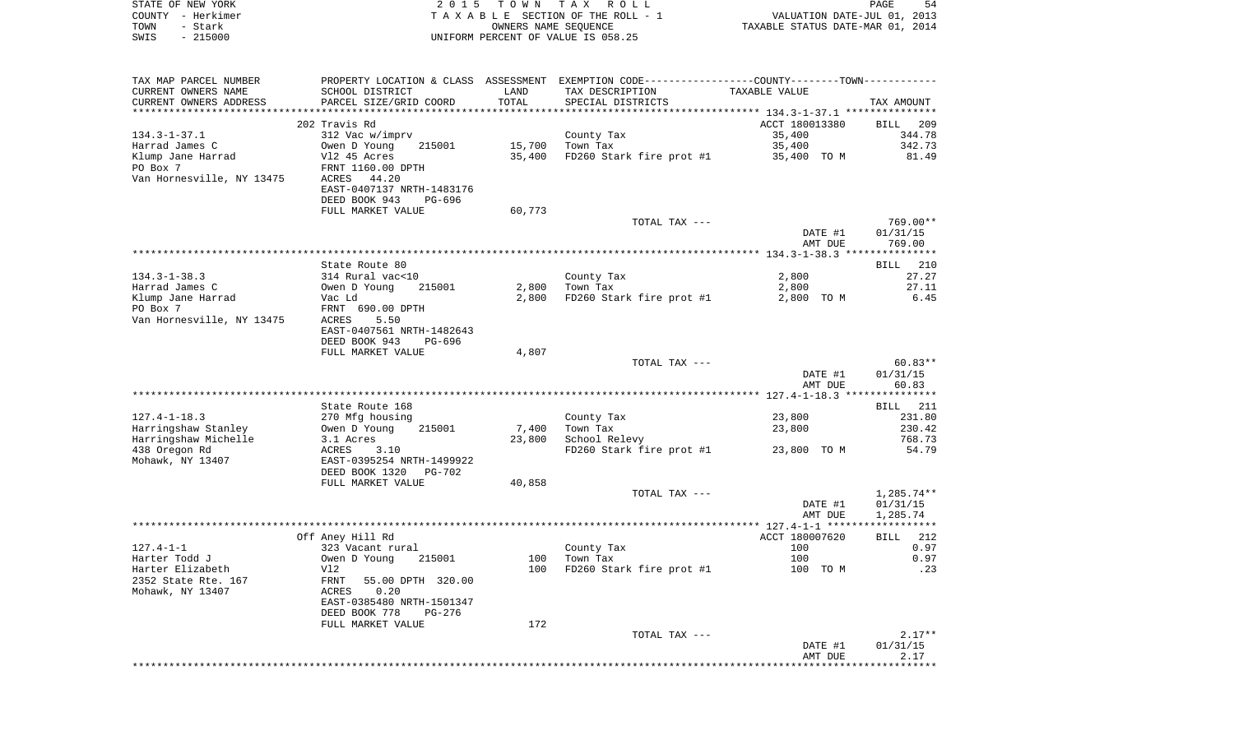| STATE OF NEW YORK<br>COUNTY - Herkimer<br>TOWN<br>- Stark | 2 0 1 5                                              | T O W N               | T A X<br>R O L L<br>TAXABLE SECTION OF THE ROLL - 1<br>OWNERS NAME SEQUENCE                   | VALUATION DATE-JUL 01, 2013<br>TAXABLE STATUS DATE-MAR 01, 2014 | PAGE<br>54        |
|-----------------------------------------------------------|------------------------------------------------------|-----------------------|-----------------------------------------------------------------------------------------------|-----------------------------------------------------------------|-------------------|
| $-215000$<br>SWIS                                         |                                                      |                       | UNIFORM PERCENT OF VALUE IS 058.25                                                            |                                                                 |                   |
| TAX MAP PARCEL NUMBER                                     |                                                      |                       | PROPERTY LOCATION & CLASS ASSESSMENT EXEMPTION CODE---------------COUNTY-------TOWN---------- |                                                                 |                   |
| CURRENT OWNERS NAME                                       | SCHOOL DISTRICT                                      | LAND                  | TAX DESCRIPTION                                                                               | TAXABLE VALUE                                                   |                   |
| CURRENT OWNERS ADDRESS                                    | PARCEL SIZE/GRID COORD                               | TOTAL                 | SPECIAL DISTRICTS                                                                             |                                                                 | TAX AMOUNT        |
| *********************                                     | 202 Travis Rd                                        | * * * * * * * * * * * | ************************************ 134.3-1-37.1 ***************                             | ACCT 180013380                                                  | BILL<br>209       |
| $134.3 - 1 - 37.1$                                        | 312 Vac w/imprv                                      |                       | County Tax                                                                                    | 35,400                                                          | 344.78            |
| Harrad James C                                            | Owen D Young<br>215001                               | 15,700                | Town Tax                                                                                      | 35,400                                                          | 342.73            |
| Klump Jane Harrad                                         | V12 45 Acres                                         | 35,400                | FD260 Stark fire prot #1                                                                      | 35,400 TO M                                                     | 81.49             |
| PO Box 7                                                  | FRNT 1160.00 DPTH                                    |                       |                                                                                               |                                                                 |                   |
| Van Hornesville, NY 13475                                 | ACRES<br>44.20                                       |                       |                                                                                               |                                                                 |                   |
|                                                           | EAST-0407137 NRTH-1483176<br>DEED BOOK 943<br>PG-696 |                       |                                                                                               |                                                                 |                   |
|                                                           | FULL MARKET VALUE                                    | 60,773                |                                                                                               |                                                                 |                   |
|                                                           |                                                      |                       | TOTAL TAX ---                                                                                 |                                                                 | 769.00**          |
|                                                           |                                                      |                       |                                                                                               | DATE #1                                                         | 01/31/15          |
|                                                           |                                                      |                       |                                                                                               | AMT DUE                                                         | 769.00            |
|                                                           | State Route 80                                       |                       |                                                                                               |                                                                 | 210<br>BILL       |
| $134.3 - 1 - 38.3$                                        | 314 Rural vac<10                                     |                       | County Tax                                                                                    | 2,800                                                           | 27.27             |
| Harrad James C                                            | Owen D Young<br>215001                               | 2,800                 | Town Tax                                                                                      | 2,800                                                           | 27.11             |
| Klump Jane Harrad                                         | Vac Ld                                               | 2,800                 | FD260 Stark fire prot #1                                                                      | 2,800 TO M                                                      | 6.45              |
| PO Box 7                                                  | FRNT 690.00 DPTH                                     |                       |                                                                                               |                                                                 |                   |
| Van Hornesville, NY 13475                                 | ACRES<br>5.50<br>EAST-0407561 NRTH-1482643           |                       |                                                                                               |                                                                 |                   |
|                                                           | DEED BOOK 943<br>PG-696                              |                       |                                                                                               |                                                                 |                   |
|                                                           | FULL MARKET VALUE                                    | 4,807                 |                                                                                               |                                                                 |                   |
|                                                           |                                                      |                       | TOTAL TAX ---                                                                                 |                                                                 | $60.83**$         |
|                                                           |                                                      |                       |                                                                                               | DATE #1                                                         | 01/31/15          |
|                                                           |                                                      |                       |                                                                                               | AMT DUE                                                         | 60.83             |
|                                                           | State Route 168                                      |                       |                                                                                               |                                                                 | 211<br>BILL       |
| $127.4 - 1 - 18.3$                                        | 270 Mfg housing                                      |                       | County Tax                                                                                    | 23,800                                                          | 231.80            |
| Harringshaw Stanley                                       | 215001<br>Owen D Young                               | 7,400                 | Town Tax                                                                                      | 23,800                                                          | 230.42            |
| Harringshaw Michelle                                      | 3.1 Acres                                            | 23,800                | School Relevy                                                                                 |                                                                 | 768.73            |
| 438 Oregon Rd<br>Mohawk, NY 13407                         | ACRES<br>3.10<br>EAST-0395254 NRTH-1499922           |                       | FD260 Stark fire prot #1                                                                      | 23,800 TO M                                                     | 54.79             |
|                                                           | DEED BOOK 1320<br>PG-702                             |                       |                                                                                               |                                                                 |                   |
|                                                           | FULL MARKET VALUE                                    | 40,858                |                                                                                               |                                                                 |                   |
|                                                           |                                                      |                       | TOTAL TAX ---                                                                                 |                                                                 | $1,285.74**$      |
|                                                           |                                                      |                       |                                                                                               | DATE #1                                                         | 01/31/15          |
|                                                           |                                                      |                       |                                                                                               | AMT DUE                                                         | 1,285.74<br>***** |
|                                                           | Off Aney Hill Rd                                     |                       |                                                                                               | ACCT 180007620                                                  | 212<br>BILL       |
| 127.4-1-1                                                 | 323 Vacant rural                                     |                       | County Tax                                                                                    | 100                                                             | 0.97              |
| Harter Todd J                                             | Owen D Young<br>215001                               | 100                   | Town Tax                                                                                      | 100                                                             | 0.97              |
| Harter Elizabeth                                          | Vl2                                                  | 100                   | FD260 Stark fire prot #1                                                                      | 100 TO M                                                        | .23               |
| 2352 State Rte. 167<br>Mohawk, NY 13407                   | FRNT<br>55.00 DPTH 320.00<br>0.20<br>ACRES           |                       |                                                                                               |                                                                 |                   |
|                                                           | EAST-0385480 NRTH-1501347                            |                       |                                                                                               |                                                                 |                   |
|                                                           | DEED BOOK 778<br>PG-276                              |                       |                                                                                               |                                                                 |                   |
|                                                           | FULL MARKET VALUE                                    | 172                   |                                                                                               |                                                                 |                   |
|                                                           |                                                      |                       | TOTAL TAX ---                                                                                 |                                                                 | $2.17**$          |
|                                                           |                                                      |                       |                                                                                               | DATE #1<br>AMT DUE                                              | 01/31/15<br>2.17  |
|                                                           |                                                      |                       |                                                                                               |                                                                 |                   |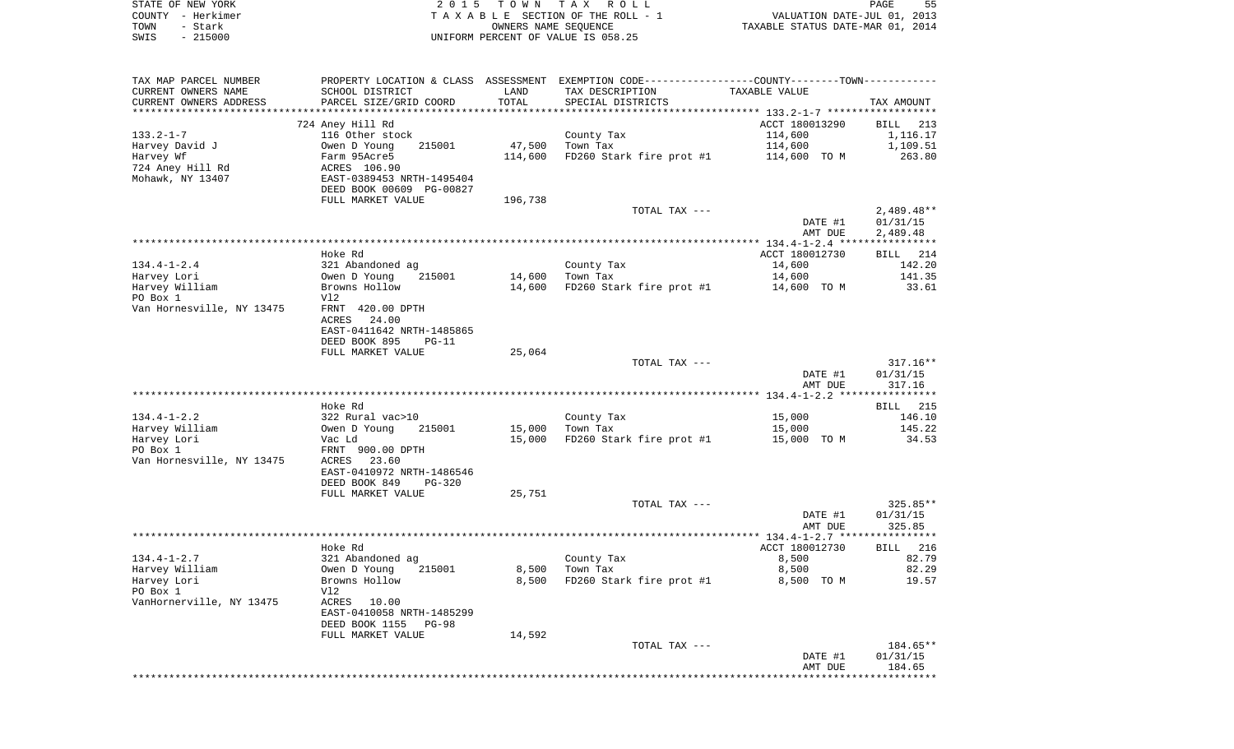|      | STATE OF NEW YORK | 2015 TOWN TAX ROLL                 | PAGE                             |
|------|-------------------|------------------------------------|----------------------------------|
|      | COUNTY - Herkimer | TAXABLE SECTION OF THE ROLL - 1    | VALUATION DATE-JUL 01, 2013      |
| TOWN | - Stark           | OWNERS NAME SEOUENCE               | TAXABLE STATUS DATE-MAR 01, 2014 |
| SWIS | $-215000$         | UNIFORM PERCENT OF VALUE IS 058.25 |                                  |

| TAX MAP PARCEL NUMBER                | PROPERTY LOCATION & CLASS ASSESSMENT        |                           | EXEMPTION CODE-----------------COUNTY--------TOWN----------- |                                              |                    |
|--------------------------------------|---------------------------------------------|---------------------------|--------------------------------------------------------------|----------------------------------------------|--------------------|
| CURRENT OWNERS NAME                  | SCHOOL DISTRICT                             | LAND                      | TAX DESCRIPTION                                              | TAXABLE VALUE                                |                    |
| CURRENT OWNERS ADDRESS               | PARCEL SIZE/GRID COORD                      | TOTAL                     | SPECIAL DISTRICTS                                            |                                              | TAX AMOUNT         |
|                                      |                                             | * * * * * * * * * * * * * |                                                              | ************** 133.2-1-7 ******************* |                    |
|                                      | 724 Aney Hill Rd                            |                           |                                                              | ACCT 180013290                               | BILL<br>213        |
| $133.2 - 1 - 7$                      | 116 Other stock<br>215001                   | 47,500                    | County Tax                                                   | 114,600                                      | 1,116.17           |
| Harvey David J                       | Owen D Young                                |                           | Town Tax                                                     | 114,600                                      | 1,109.51           |
| Harvey Wf                            | Farm 95Acre5                                | 114,600                   | FD260 Stark fire prot #1                                     | 114,600 TO M                                 | 263.80             |
| 724 Aney Hill Rd<br>Mohawk, NY 13407 | ACRES 106.90<br>EAST-0389453 NRTH-1495404   |                           |                                                              |                                              |                    |
|                                      | DEED BOOK 00609 PG-00827                    |                           |                                                              |                                              |                    |
|                                      | FULL MARKET VALUE                           | 196,738                   |                                                              |                                              |                    |
|                                      |                                             |                           | TOTAL TAX ---                                                |                                              | $2,489.48**$       |
|                                      |                                             |                           |                                                              | DATE #1                                      | 01/31/15           |
|                                      |                                             |                           |                                                              | AMT DUE                                      | 2,489.48           |
|                                      |                                             |                           |                                                              |                                              |                    |
|                                      | Hoke Rd                                     |                           |                                                              | ACCT 180012730                               | BILL 214           |
| $134.4 - 1 - 2.4$                    | 321 Abandoned ag                            |                           | County Tax                                                   | 14,600                                       | 142.20             |
| Harvey Lori                          | 215001<br>Owen D Young                      | 14,600                    | Town Tax                                                     | 14,600                                       | 141.35             |
| Harvey William                       | Browns Hollow                               | 14,600                    | FD260 Stark fire prot #1                                     | 14,600 TO M                                  | 33.61              |
| PO Box 1                             | Vl2                                         |                           |                                                              |                                              |                    |
| Van Hornesville, NY 13475            | FRNT 420.00 DPTH                            |                           |                                                              |                                              |                    |
|                                      | ACRES<br>24.00                              |                           |                                                              |                                              |                    |
|                                      | EAST-0411642 NRTH-1485865                   |                           |                                                              |                                              |                    |
|                                      | DEED BOOK 895<br>$PG-11$                    |                           |                                                              |                                              |                    |
|                                      | FULL MARKET VALUE                           | 25,064                    |                                                              |                                              |                    |
|                                      |                                             |                           | TOTAL TAX ---                                                |                                              | $317.16**$         |
|                                      |                                             |                           |                                                              | DATE #1                                      | 01/31/15           |
|                                      |                                             |                           |                                                              | AMT DUE                                      | 317.16             |
|                                      | Hoke Rd                                     |                           |                                                              |                                              | BILL 215           |
| $134.4 - 1 - 2.2$                    | 322 Rural vac>10                            |                           | County Tax                                                   | 15,000                                       | 146.10             |
| Harvey William                       | Owen D Young<br>215001                      | 15,000                    | Town Tax                                                     | 15,000                                       | 145.22             |
| Harvey Lori                          | Vac Ld                                      | 15,000                    | FD260 Stark fire prot #1                                     | 15,000 TO M                                  | 34.53              |
| PO Box 1                             | FRNT 900.00 DPTH                            |                           |                                                              |                                              |                    |
| Van Hornesville, NY 13475            | ACRES<br>23.60                              |                           |                                                              |                                              |                    |
|                                      | EAST-0410972 NRTH-1486546                   |                           |                                                              |                                              |                    |
|                                      | DEED BOOK 849<br>$PG-320$                   |                           |                                                              |                                              |                    |
|                                      | FULL MARKET VALUE                           | 25,751                    |                                                              |                                              |                    |
|                                      |                                             |                           | TOTAL TAX ---                                                |                                              | 325.85**           |
|                                      |                                             |                           |                                                              | DATE #1                                      | 01/31/15           |
|                                      |                                             |                           |                                                              | AMT DUE                                      | 325.85             |
|                                      |                                             |                           |                                                              |                                              |                    |
|                                      | Hoke Rd                                     |                           |                                                              | ACCT 180012730                               | <b>BILL</b><br>216 |
| $134.4 - 1 - 2.7$                    | 321 Abandoned ag                            |                           | County Tax                                                   | 8,500                                        | 82.79              |
| Harvey William                       | 215001<br>Owen D Young                      | 8,500                     | Town Tax                                                     | 8,500                                        | 82.29              |
| Harvey Lori                          | Browns Hollow                               | 8,500                     | FD260 Stark fire prot #1                                     | 8,500 TO M                                   | 19.57              |
| PO Box 1                             | Vl2                                         |                           |                                                              |                                              |                    |
| VanHornerville, NY 13475             | ACRES<br>10.00<br>EAST-0410058 NRTH-1485299 |                           |                                                              |                                              |                    |
|                                      | DEED BOOK 1155<br>PG-98                     |                           |                                                              |                                              |                    |
|                                      | FULL MARKET VALUE                           | 14,592                    |                                                              |                                              |                    |
|                                      |                                             |                           | TOTAL TAX ---                                                |                                              | 184.65**           |
|                                      |                                             |                           |                                                              | DATE #1                                      | 01/31/15           |
|                                      |                                             |                           |                                                              | AMT DUE                                      | 184.65             |
|                                      |                                             |                           |                                                              |                                              |                    |
|                                      |                                             |                           |                                                              |                                              |                    |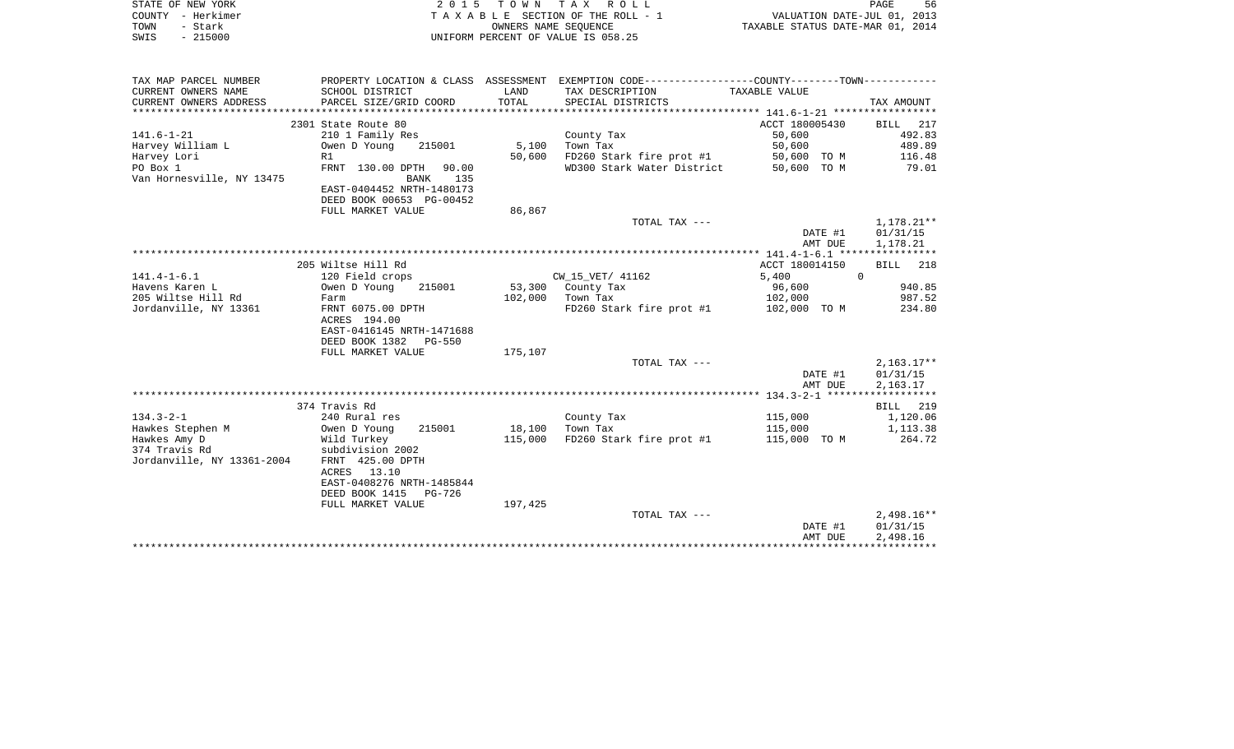| STATE OF NEW YORK     | 2015 TOWN TAX ROLL                                                                                   | PAGE                        | 56 |
|-----------------------|------------------------------------------------------------------------------------------------------|-----------------------------|----|
| - Herkimer<br>COUNTY  | TAXABLE SECTION OF THE ROLL - 1                                                                      | VALUATION DATE-JUL 01, 2013 |    |
| - Stark<br>TOWN       | TAXABLE STATUS DATE-MAR 01, 2014<br>OWNERS NAME SEOUENCE                                             |                             |    |
| $-215000$<br>SWIS     | UNIFORM PERCENT OF VALUE IS 058.25                                                                   |                             |    |
|                       |                                                                                                      |                             |    |
|                       |                                                                                                      |                             |    |
| TAX MAP PARCEL NUMBER | EXEMPTION CODE-----------------COUNTY--------TOWN-----------<br>PROPERTY LOCATION & CLASS ASSESSMENT |                             |    |
| CURRENT OWNERS NAME   | TAX DESCRIPTION<br>SCHOOL DISTRICT<br>TAXABLE VALUE<br>LAND                                          |                             |    |

| $\sim$                     |                                 |         |                            |                |                    |
|----------------------------|---------------------------------|---------|----------------------------|----------------|--------------------|
| CURRENT OWNERS ADDRESS     | PARCEL SIZE/GRID COORD          | TOTAL   | SPECIAL DISTRICTS          |                | TAX AMOUNT         |
|                            |                                 |         |                            |                |                    |
|                            | 2301 State Route 80             |         |                            | ACCT 180005430 | BILL 217           |
| $141.6 - 1 - 21$           | 210 1 Family Res                |         | County Tax                 | 50,600         | 492.83             |
| Harvey William L           | 215001<br>Owen D Young          | 5,100   | Town Tax                   | 50,600         | 489.89             |
| Harvey Lori                | R1                              | 50,600  | FD260 Stark fire prot #1   | 50,600 TO M    | 116.48             |
| PO Box 1                   |                                 |         | WD300 Stark Water District | 50,600 TO M    | 79.01              |
|                            | FRNT 130.00 DPTH<br>90.00       |         |                            |                |                    |
| Van Hornesville, NY 13475  | 135<br>BANK                     |         |                            |                |                    |
|                            | EAST-0404452 NRTH-1480173       |         |                            |                |                    |
|                            | DEED BOOK 00653 PG-00452        |         |                            |                |                    |
|                            | FULL MARKET VALUE               | 86,867  |                            |                |                    |
|                            |                                 |         | TOTAL TAX ---              |                | $1,178.21***$      |
|                            |                                 |         |                            | DATE #1        | 01/31/15           |
|                            |                                 |         |                            | AMT DUE        | 1,178.21           |
|                            |                                 |         |                            |                |                    |
|                            | 205 Wiltse Hill Rd              |         |                            | ACCT 180014150 | BILL 218           |
| $141.4 - 1 - 6.1$          | 120 Field crops                 |         | CW 15 VET/ 41162           | 5,400          | $\Omega$           |
| Havens Karen L             | Owen D Young<br>215001          |         | 53,300 County Tax          | 96,600         | 940.85             |
| 205 Wiltse Hill Rd         | Farm                            | 102,000 | Town Tax                   | 102,000        | 987.52             |
| Jordanville, NY 13361      | FRNT 6075.00 DPTH               |         | FD260 Stark fire prot #1   | 102,000 TO M   | 234.80             |
|                            |                                 |         |                            |                |                    |
|                            | ACRES 194.00                    |         |                            |                |                    |
|                            | EAST-0416145 NRTH-1471688       |         |                            |                |                    |
|                            | DEED BOOK 1382<br><b>PG-550</b> |         |                            |                |                    |
|                            | FULL MARKET VALUE               | 175,107 |                            |                |                    |
|                            |                                 |         | TOTAL TAX ---              |                | $2,163.17**$       |
|                            |                                 |         |                            | DATE #1        | 01/31/15           |
|                            |                                 |         |                            | AMT DUE        | 2,163.17           |
|                            |                                 |         |                            |                |                    |
|                            | 374 Travis Rd                   |         |                            |                | 219<br><b>BILL</b> |
| $134.3 - 2 - 1$            | 240 Rural res                   |         | County Tax                 | 115,000        | 1,120.06           |
| Hawkes Stephen M           | Owen D Young<br>215001          | 18,100  | Town Tax                   | 115,000        | 1,113.38           |
| Hawkes Amy D               | Wild Turkey                     | 115,000 | FD260 Stark fire prot #1   | 115,000 TO M   | 264.72             |
| 374 Travis Rd              | subdivision 2002                |         |                            |                |                    |
| Jordanville, NY 13361-2004 | FRNT 425.00 DPTH                |         |                            |                |                    |
|                            | ACRES 13.10                     |         |                            |                |                    |
|                            | EAST-0408276 NRTH-1485844       |         |                            |                |                    |
|                            |                                 |         |                            |                |                    |
|                            | DEED BOOK 1415 PG-726           |         |                            |                |                    |
|                            | FULL MARKET VALUE               | 197,425 |                            |                |                    |
|                            |                                 |         | TOTAL TAX ---              |                | $2,498.16**$       |
|                            |                                 |         |                            | DATE #1        | 01/31/15           |
|                            |                                 |         |                            | AMT DUE        | 2,498.16           |
|                            |                                 |         |                            |                |                    |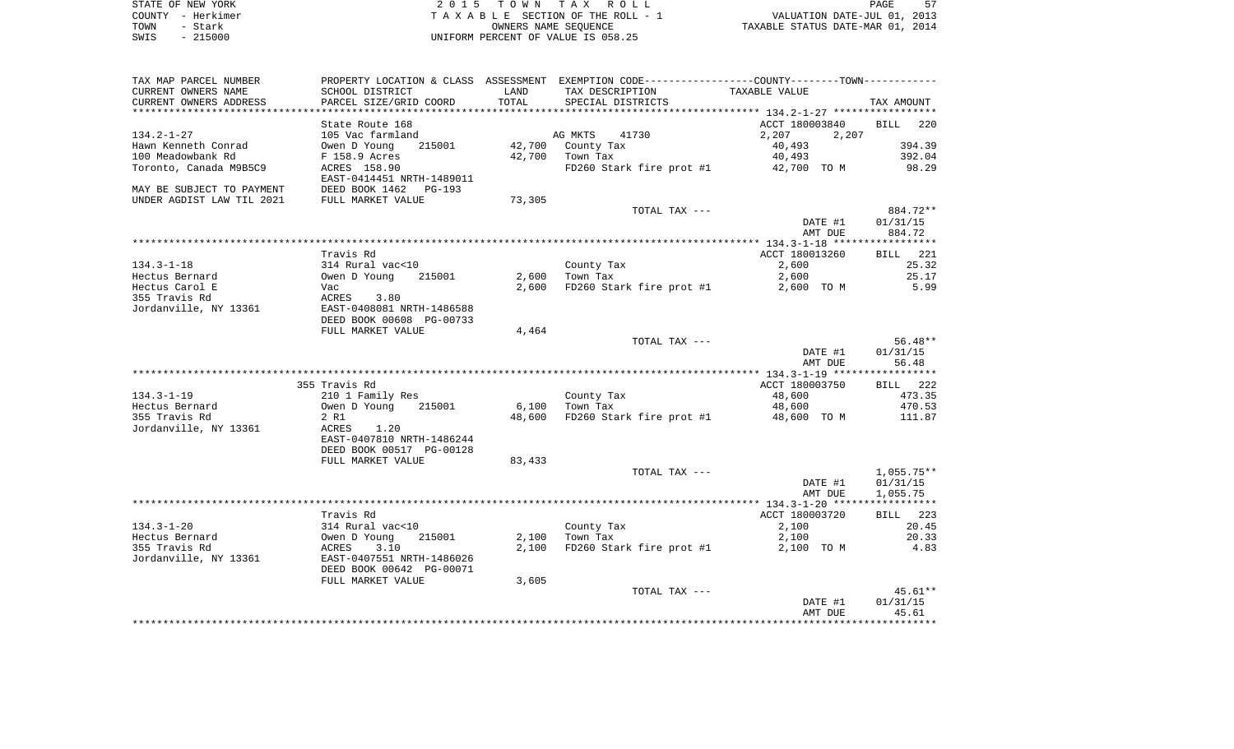| STATE OF NEW YORK | 2015 TOWN TAX ROLL                 | 57<br>PAGE                       |
|-------------------|------------------------------------|----------------------------------|
| COUNTY - Herkimer | TAXABLE SECTION OF THE ROLL - 1    | VALUATION DATE-JUL 01, 2013      |
| TOWN<br>- Stark   | OWNERS NAME SEOUENCE               | TAXABLE STATUS DATE-MAR 01, 2014 |
| $-215000$<br>SWIS | UNIFORM PERCENT OF VALUE IS 058.25 |                                  |

57<br>2013

| TAX MAP PARCEL NUMBER<br>CURRENT OWNERS NAME<br>CURRENT OWNERS ADDRESS | PROPERTY LOCATION & CLASS ASSESSMENT EXEMPTION CODE----------------COUNTY-------TOWN----------<br>SCHOOL DISTRICT<br>PARCEL SIZE/GRID COORD | LAND<br>TOTAL   | TAX DESCRIPTION<br>SPECIAL DISTRICTS  | TAXABLE VALUE                              | TAX AMOUNT                     |
|------------------------------------------------------------------------|---------------------------------------------------------------------------------------------------------------------------------------------|-----------------|---------------------------------------|--------------------------------------------|--------------------------------|
| ************************                                               |                                                                                                                                             |                 |                                       |                                            |                                |
| $134.2 - 1 - 27$<br>Hawn Kenneth Conrad                                | State Route 168<br>105 Vac farmland<br>Owen D Young<br>215001                                                                               |                 | AG MKTS<br>41730<br>42,700 County Tax | ACCT 180003840<br>2,207<br>2,207<br>40,493 | <b>BILL</b><br>220<br>394.39   |
| 100 Meadowbank Rd                                                      | F 158.9 Acres<br>ACRES 158.90                                                                                                               |                 | 42,700 Town Tax                       | 40,493                                     | 392.04<br>98.29                |
| Toronto, Canada M9B5C9<br>MAY BE SUBJECT TO PAYMENT                    | EAST-0414451 NRTH-1489011<br>DEED BOOK 1462 PG-193                                                                                          |                 | FD260 Stark fire prot #1              | 42,700 TO M                                |                                |
| UNDER AGDIST LAW TIL 2021                                              | FULL MARKET VALUE                                                                                                                           | 73,305          |                                       |                                            |                                |
|                                                                        |                                                                                                                                             |                 | TOTAL TAX ---                         | DATE #1<br>AMT DUE                         | 884.72**<br>01/31/15<br>884.72 |
|                                                                        |                                                                                                                                             |                 |                                       |                                            |                                |
| $134.3 - 1 - 18$                                                       | Travis Rd<br>314 Rural vac<10                                                                                                               |                 | County Tax                            | ACCT 180013260<br>2,600                    | BILL 221<br>25.32              |
| Hectus Bernard                                                         | Owen D Young<br>215001                                                                                                                      | 2,600           | Town Tax                              | 2,600                                      | 25.17                          |
| Hectus Carol E                                                         | Vac                                                                                                                                         | 2,600           | FD260 Stark fire prot #1              | 2,600 TO M                                 | 5.99                           |
| 355 Travis Rd                                                          | ACRES 3.80                                                                                                                                  |                 |                                       |                                            |                                |
| Jordanville, NY 13361                                                  | EAST-0408081 NRTH-1486588                                                                                                                   |                 |                                       |                                            |                                |
|                                                                        | DEED BOOK 00608 PG-00733                                                                                                                    |                 |                                       |                                            |                                |
|                                                                        | FULL MARKET VALUE                                                                                                                           | 4,464           |                                       |                                            |                                |
|                                                                        |                                                                                                                                             |                 | TOTAL TAX ---                         |                                            | 56.48**                        |
|                                                                        |                                                                                                                                             |                 |                                       | DATE #1                                    | 01/31/15                       |
|                                                                        |                                                                                                                                             |                 |                                       | AMT DUE                                    | 56.48                          |
|                                                                        |                                                                                                                                             |                 |                                       |                                            |                                |
|                                                                        | 355 Travis Rd                                                                                                                               |                 |                                       | ACCT 180003750                             | BILL 222                       |
| $134.3 - 1 - 19$                                                       | 210 1 Family Res                                                                                                                            |                 | County Tax                            | 48,600                                     | 473.35                         |
| Hectus Bernard<br>355 Travis Rd                                        | Owen D Young<br>215001<br>2 R1                                                                                                              | 6,100<br>48,600 | Town Tax<br>FD260 Stark fire prot #1  | 48,600<br>48,600 TO M                      | 470.53<br>111.87               |
| Jordanville, NY 13361                                                  | ACRES<br>1.20<br>EAST-0407810 NRTH-1486244<br>DEED BOOK 00517 PG-00128                                                                      |                 |                                       |                                            |                                |
|                                                                        | FULL MARKET VALUE                                                                                                                           | 83,433          |                                       |                                            |                                |
|                                                                        |                                                                                                                                             |                 | TOTAL TAX ---                         |                                            | 1,055.75**                     |
|                                                                        |                                                                                                                                             |                 |                                       | DATE #1                                    | 01/31/15                       |
|                                                                        |                                                                                                                                             |                 |                                       | AMT DUE                                    | 1,055.75                       |
|                                                                        |                                                                                                                                             |                 |                                       |                                            |                                |
|                                                                        | Travis Rd                                                                                                                                   |                 |                                       | ACCT 180003720                             | BILL 223                       |
| $134.3 - 1 - 20$                                                       | 314 Rural vac<10                                                                                                                            |                 | County Tax                            | 2,100                                      | 20.45                          |
| Hectus Bernard                                                         | 215001<br>Owen D Young                                                                                                                      | 2,100           | Town Tax                              | 2,100                                      | 20.33                          |
| 355 Travis Rd                                                          | 3.10<br>ACRES                                                                                                                               | 2,100           | FD260 Stark fire prot #1              | 2,100 TO M                                 | 4.83                           |
| Jordanville, NY 13361                                                  | EAST-0407551 NRTH-1486026                                                                                                                   |                 |                                       |                                            |                                |
|                                                                        | DEED BOOK 00642 PG-00071                                                                                                                    |                 |                                       |                                            |                                |
|                                                                        | FULL MARKET VALUE                                                                                                                           | 3,605           | TOTAL TAX ---                         |                                            | $45.61**$                      |
|                                                                        |                                                                                                                                             |                 |                                       | DATE #1                                    | 01/31/15                       |
|                                                                        |                                                                                                                                             |                 |                                       | AMT DUE                                    | 45.61                          |
|                                                                        |                                                                                                                                             |                 |                                       |                                            |                                |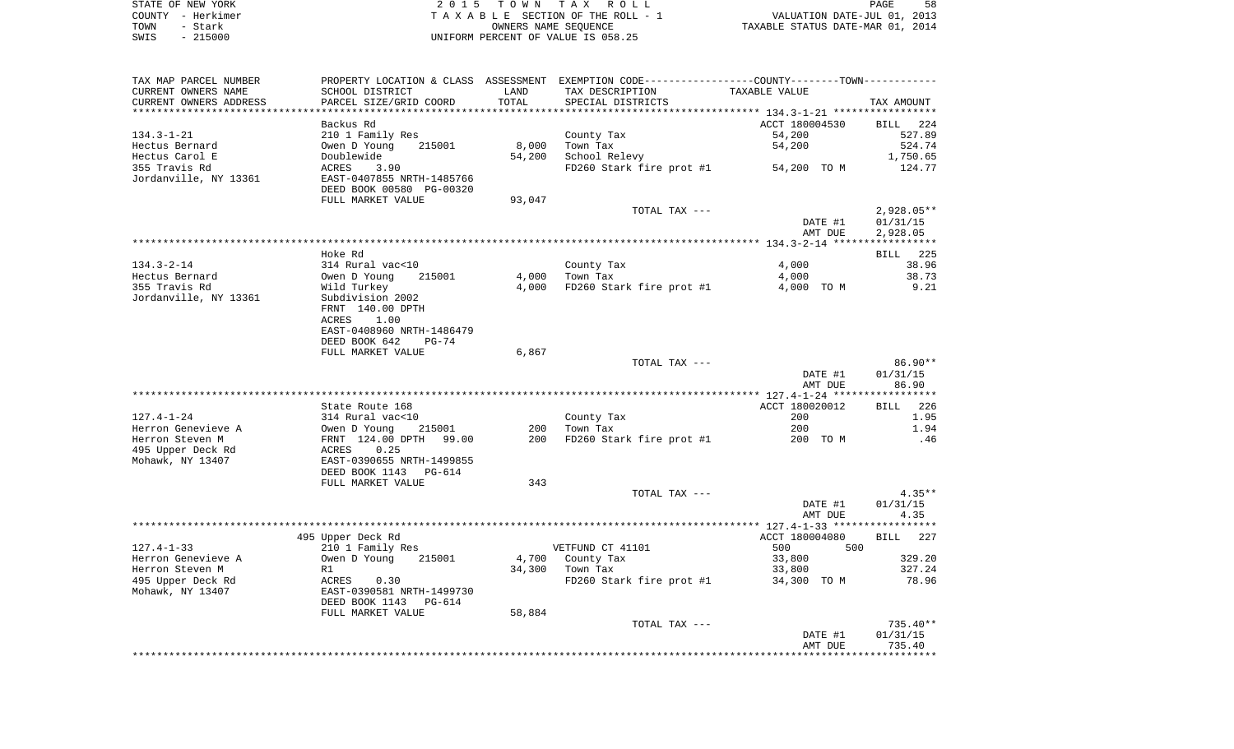| STATE OF NEW YORK | 2015 TOWN TAX ROLL                 | 58<br>PAGE                       |
|-------------------|------------------------------------|----------------------------------|
| COUNTY - Herkimer | TAXABLE SECTION OF THE ROLL - 1    | VALUATION DATE-JUL 01, 2013      |
| TOWN<br>- Stark   | OWNERS NAME SEOUENCE               | TAXABLE STATUS DATE-MAR 01, 2014 |
| - 215000<br>SWIS  | UNIFORM PERCENT OF VALUE IS 058.25 |                                  |

| TAX MAP PARCEL NUMBER<br>CURRENT OWNERS NAME | SCHOOL DISTRICT                         | LAND   | PROPERTY LOCATION & CLASS ASSESSMENT EXEMPTION CODE----------------COUNTY--------TOWN-----------<br>TAX DESCRIPTION | TAXABLE VALUE  |                 |
|----------------------------------------------|-----------------------------------------|--------|---------------------------------------------------------------------------------------------------------------------|----------------|-----------------|
| CURRENT OWNERS ADDRESS                       | PARCEL SIZE/GRID COORD                  | TOTAL  | SPECIAL DISTRICTS                                                                                                   |                | TAX AMOUNT      |
|                                              |                                         |        |                                                                                                                     |                |                 |
|                                              | Backus Rd                               |        |                                                                                                                     | ACCT 180004530 | BILL 224        |
| 134.3-1-21                                   | 210 1 Family Res                        |        | County Tax                                                                                                          | 54,200         | 527.89          |
| Hectus Bernard                               | 215001<br>Owen D Young                  | 8,000  | Town Tax                                                                                                            | 54,200         | 524.74          |
| Hectus Carol E                               | Doublewide                              | 54,200 | School Relevy                                                                                                       |                | 1,750.65        |
| 355 Travis Rd                                | ACRES<br>3.90                           |        | $FD260$ Stark fire prot #1 $54,200$ TO M                                                                            |                | 124.77          |
| Jordanville, NY 13361                        | EAST-0407855 NRTH-1485766               |        |                                                                                                                     |                |                 |
|                                              | DEED BOOK 00580 PG-00320                |        |                                                                                                                     |                |                 |
|                                              | FULL MARKET VALUE                       | 93,047 |                                                                                                                     |                |                 |
|                                              |                                         |        | TOTAL TAX ---                                                                                                       |                | $2,928.05**$    |
|                                              |                                         |        |                                                                                                                     | DATE #1        | 01/31/15        |
|                                              |                                         |        |                                                                                                                     | AMT DUE        | 2,928.05        |
|                                              | Hoke Rd                                 |        |                                                                                                                     |                | BILL 225        |
| 134.3-2-14                                   | 314 Rural vac<10                        |        | County Tax                                                                                                          | 4,000          | 38.96           |
| Hectus Bernard                               | Owen D Young<br>215001                  | 4,000  | Town Tax                                                                                                            | 4,000          | 38.73           |
| 355 Travis Rd                                | Wild Turkey                             | 4,000  | FD260 Stark fire prot #1                                                                                            | 4,000 TO M     | 9.21            |
| Jordanville, NY 13361                        | Subdivision 2002                        |        |                                                                                                                     |                |                 |
|                                              | FRNT 140.00 DPTH                        |        |                                                                                                                     |                |                 |
|                                              | ACRES 1.00                              |        |                                                                                                                     |                |                 |
|                                              | EAST-0408960 NRTH-1486479               |        |                                                                                                                     |                |                 |
|                                              | DEED BOOK 642<br>PG-74                  |        |                                                                                                                     |                |                 |
|                                              | FULL MARKET VALUE                       | 6,867  |                                                                                                                     |                |                 |
|                                              |                                         |        | TOTAL TAX ---                                                                                                       |                | 86.90**         |
|                                              |                                         |        |                                                                                                                     | DATE #1        | 01/31/15        |
|                                              |                                         |        |                                                                                                                     | AMT DUE        | 86.90           |
|                                              | State Route 168                         |        |                                                                                                                     | ACCT 180020012 | BILL 226        |
| 127.4-1-24                                   | 314 Rural vac<10                        |        | County Tax                                                                                                          | 200            | 1.95            |
| Herron Genevieve A                           | Owen D Young 215001                     |        | 200 Town Tax                                                                                                        | 200            | 1.94            |
| Herron Steven M                              |                                         | 200    | FD260 Stark fire prot #1 200 TO M                                                                                   |                | .46             |
| 495 Upper Deck Rd                            | FRNT 124.00 DPTH 99.00<br>ACRES 0.25    |        |                                                                                                                     |                |                 |
| Mohawk, NY 13407                             | EAST-0390655 NRTH-1499855               |        |                                                                                                                     |                |                 |
|                                              | DEED BOOK 1143 PG-614                   |        |                                                                                                                     |                |                 |
|                                              | FULL MARKET VALUE                       | 343    |                                                                                                                     |                |                 |
|                                              |                                         |        | TOTAL TAX ---                                                                                                       |                | $4.35**$        |
|                                              |                                         |        |                                                                                                                     | DATE #1        | 01/31/15        |
|                                              |                                         |        |                                                                                                                     | AMT DUE        | 4.35            |
|                                              |                                         |        |                                                                                                                     |                |                 |
|                                              | 495 Upper Deck Rd                       |        |                                                                                                                     | ACCT 180004080 | BILL 227        |
| 127.4-1-33                                   | 210 1 Family Res                        |        | VETFUND CT 41101                                                                                                    | 500 000<br>500 |                 |
| Herron Genevieve A                           | Owen D Young<br>215001                  |        | 4,700 County Tax                                                                                                    | 33,800         | 329.20          |
| Herron Steven M                              | R1                                      |        | 34,300 Town Tax                                                                                                     | 33,800         | 327.24<br>78.96 |
| 495 Upper Deck Rd<br>Mohawk, NY 13407        | ACRES 0.30<br>EAST-0390581 NRTH-1499730 |        | $FD260$ Stark fire prot #1 34,300 TO M                                                                              |                |                 |
|                                              | DEED BOOK 1143 PG-614                   |        |                                                                                                                     |                |                 |
|                                              | FULL MARKET VALUE                       | 58,884 |                                                                                                                     |                |                 |
|                                              |                                         |        | TOTAL TAX ---                                                                                                       |                | 735.40**        |
|                                              |                                         |        |                                                                                                                     | DATE #1        | 01/31/15        |
|                                              |                                         |        |                                                                                                                     | AMT DUE        | 735.40          |
|                                              |                                         |        |                                                                                                                     |                |                 |
|                                              |                                         |        |                                                                                                                     |                |                 |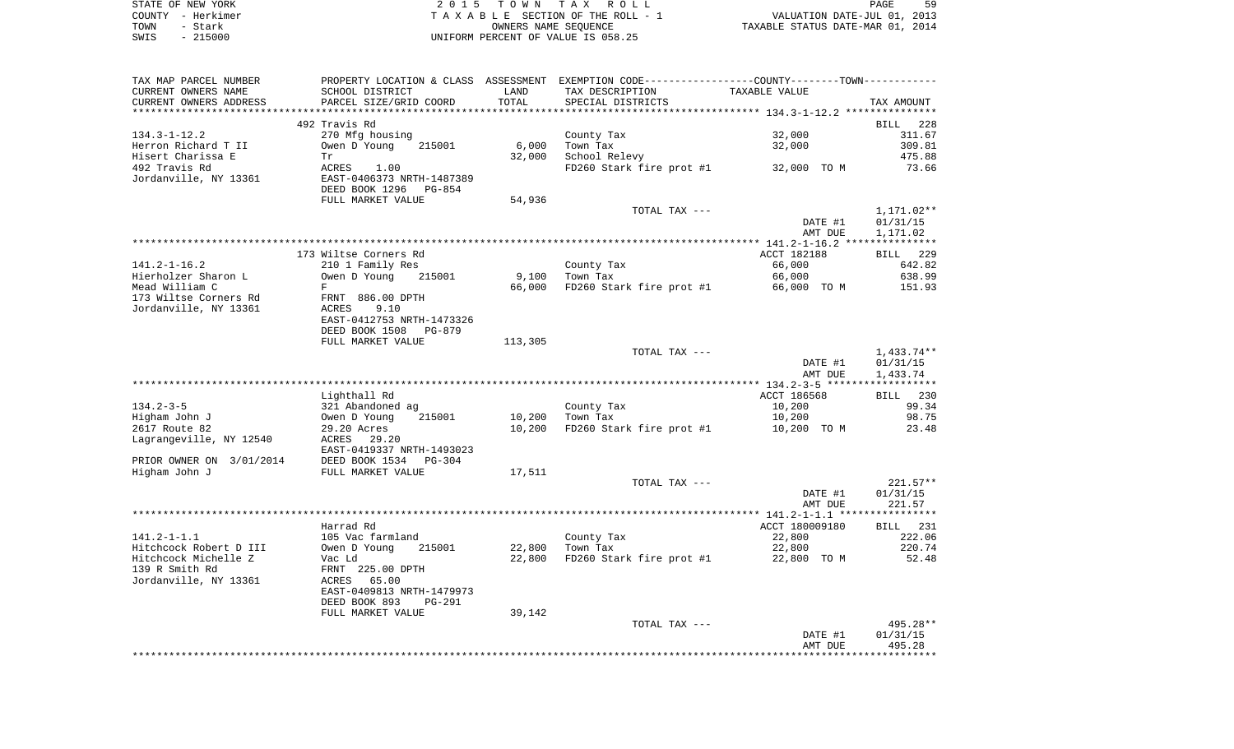|      | STATE OF NEW YORK | 2015 TOWN TAX ROLL                 | PAGE                             | 59 |
|------|-------------------|------------------------------------|----------------------------------|----|
|      | COUNTY - Herkimer | TAXABLE SECTION OF THE ROLL - 1    | VALUATION DATE-JUL 01, 2013      |    |
| TOWN | - Stark           | OWNERS NAME SEOUENCE               | TAXABLE STATUS DATE-MAR 01, 2014 |    |
| SWIS | $-215000$         | UNIFORM PERCENT OF VALUE IS 058.25 |                                  |    |

| SCHOOL DISTRICT<br>LAND<br>TAX DESCRIPTION<br>TAXABLE VALUE<br>TOTAL<br>PARCEL SIZE/GRID COORD<br>SPECIAL DISTRICTS<br>TAX AMOUNT<br>492 Travis Rd<br>228<br>BILL<br>270 Mfg housing<br>32,000<br>311.67<br>County Tax<br>6,000<br>32,000<br>309.81<br>Owen D Young<br>215001<br>Town Tax<br>Hisert Charissa E<br>32,000<br>School Relevy<br>475.88<br>Tr<br>492 Travis Rd<br>ACRES<br>FD260 Stark fire prot #1<br>73.66<br>1.00<br>32,000 TO M<br>Jordanville, NY 13361<br>EAST-0406373 NRTH-1487389<br>DEED BOOK 1296<br>PG-854<br>FULL MARKET VALUE<br>54,936<br>TOTAL TAX ---<br>1,171.02**<br>DATE #1<br>01/31/15<br>AMT DUE<br>1,171.02<br>173 Wiltse Corners Rd<br>ACCT 182188<br><b>BILL</b> 229<br>$141.2 - 1 - 16.2$<br>210 1 Family Res<br>County Tax<br>66,000<br>642.82<br>Hierholzer Sharon L<br>Owen D Young<br>9,100<br>66,000<br>638.99<br>215001<br>Town Tax<br>Mead William C<br>66,000<br>FD260 Stark fire prot #1<br>F<br>66,000 TO M<br>151.93<br>173 Wiltse Corners Rd<br>FRNT 886.00 DPTH<br>Jordanville, NY 13361<br>ACRES<br>9.10<br>EAST-0412753 NRTH-1473326<br>DEED BOOK 1508<br>PG-879<br>FULL MARKET VALUE<br>113,305<br>$1,433.74**$<br>TOTAL TAX ---<br>DATE #1<br>01/31/15<br>AMT DUE<br>1,433.74<br>Lighthall Rd<br>ACCT 186568<br>BILL 230<br>$134.2 - 3 - 5$<br>99.34<br>321 Abandoned ag<br>County Tax<br>10,200<br>Higham John J<br>10,200<br>Town Tax<br>10,200<br>98.75<br>Owen D Young<br>215001<br>2617 Route 82<br>10,200<br>FD260 Stark fire prot #1<br>23.48<br>29.20 Acres<br>10,200 TO M<br>Lagrangeville, NY 12540<br>ACRES 29.20<br>EAST-0419337 NRTH-1493023<br>PRIOR OWNER ON 3/01/2014<br>DEED BOOK 1534<br>PG-304<br>Higham John J<br>FULL MARKET VALUE<br>17,511<br>$221.57**$<br>TOTAL TAX ---<br>DATE #1<br>01/31/15<br>221.57<br>AMT DUE<br>ACCT 180009180<br>Harrad Rd<br>BILL 231<br>$141.2 - 1 - 1.1$<br>105 Vac farmland<br>22,800<br>222.06<br>County Tax<br>22,800<br>220.74<br>Owen D Young<br>215001<br>Town Tax<br>22,800<br>Hitchcock Michelle Z<br>22,800<br>FD260 Stark fire prot #1<br>22,800 TO M<br>52.48<br>Vac Ld<br>FRNT 225.00 DPTH<br>ACRES<br>65.00<br>EAST-0409813 NRTH-1479973<br>DEED BOOK 893<br><b>PG-291</b><br>FULL MARKET VALUE<br>39,142<br>495.28**<br>TOTAL TAX ---<br>01/31/15<br>DATE #1<br>495.28<br>AMT DUE | TAX MAP PARCEL NUMBER  | PROPERTY LOCATION & CLASS ASSESSMENT EXEMPTION CODE----------------COUNTY--------TOWN---------- |  |  |
|-----------------------------------------------------------------------------------------------------------------------------------------------------------------------------------------------------------------------------------------------------------------------------------------------------------------------------------------------------------------------------------------------------------------------------------------------------------------------------------------------------------------------------------------------------------------------------------------------------------------------------------------------------------------------------------------------------------------------------------------------------------------------------------------------------------------------------------------------------------------------------------------------------------------------------------------------------------------------------------------------------------------------------------------------------------------------------------------------------------------------------------------------------------------------------------------------------------------------------------------------------------------------------------------------------------------------------------------------------------------------------------------------------------------------------------------------------------------------------------------------------------------------------------------------------------------------------------------------------------------------------------------------------------------------------------------------------------------------------------------------------------------------------------------------------------------------------------------------------------------------------------------------------------------------------------------------------------------------------------------------------------------------------------------------------------------------------------------------------------------------------------------------------------------------------------------------------------------------------------------------------------------------------------------------------------|------------------------|-------------------------------------------------------------------------------------------------|--|--|
|                                                                                                                                                                                                                                                                                                                                                                                                                                                                                                                                                                                                                                                                                                                                                                                                                                                                                                                                                                                                                                                                                                                                                                                                                                                                                                                                                                                                                                                                                                                                                                                                                                                                                                                                                                                                                                                                                                                                                                                                                                                                                                                                                                                                                                                                                                           | CURRENT OWNERS NAME    |                                                                                                 |  |  |
|                                                                                                                                                                                                                                                                                                                                                                                                                                                                                                                                                                                                                                                                                                                                                                                                                                                                                                                                                                                                                                                                                                                                                                                                                                                                                                                                                                                                                                                                                                                                                                                                                                                                                                                                                                                                                                                                                                                                                                                                                                                                                                                                                                                                                                                                                                           | CURRENT OWNERS ADDRESS |                                                                                                 |  |  |
|                                                                                                                                                                                                                                                                                                                                                                                                                                                                                                                                                                                                                                                                                                                                                                                                                                                                                                                                                                                                                                                                                                                                                                                                                                                                                                                                                                                                                                                                                                                                                                                                                                                                                                                                                                                                                                                                                                                                                                                                                                                                                                                                                                                                                                                                                                           |                        |                                                                                                 |  |  |
|                                                                                                                                                                                                                                                                                                                                                                                                                                                                                                                                                                                                                                                                                                                                                                                                                                                                                                                                                                                                                                                                                                                                                                                                                                                                                                                                                                                                                                                                                                                                                                                                                                                                                                                                                                                                                                                                                                                                                                                                                                                                                                                                                                                                                                                                                                           |                        |                                                                                                 |  |  |
|                                                                                                                                                                                                                                                                                                                                                                                                                                                                                                                                                                                                                                                                                                                                                                                                                                                                                                                                                                                                                                                                                                                                                                                                                                                                                                                                                                                                                                                                                                                                                                                                                                                                                                                                                                                                                                                                                                                                                                                                                                                                                                                                                                                                                                                                                                           | $134.3 - 1 - 12.2$     |                                                                                                 |  |  |
|                                                                                                                                                                                                                                                                                                                                                                                                                                                                                                                                                                                                                                                                                                                                                                                                                                                                                                                                                                                                                                                                                                                                                                                                                                                                                                                                                                                                                                                                                                                                                                                                                                                                                                                                                                                                                                                                                                                                                                                                                                                                                                                                                                                                                                                                                                           | Herron Richard T II    |                                                                                                 |  |  |
|                                                                                                                                                                                                                                                                                                                                                                                                                                                                                                                                                                                                                                                                                                                                                                                                                                                                                                                                                                                                                                                                                                                                                                                                                                                                                                                                                                                                                                                                                                                                                                                                                                                                                                                                                                                                                                                                                                                                                                                                                                                                                                                                                                                                                                                                                                           |                        |                                                                                                 |  |  |
|                                                                                                                                                                                                                                                                                                                                                                                                                                                                                                                                                                                                                                                                                                                                                                                                                                                                                                                                                                                                                                                                                                                                                                                                                                                                                                                                                                                                                                                                                                                                                                                                                                                                                                                                                                                                                                                                                                                                                                                                                                                                                                                                                                                                                                                                                                           |                        |                                                                                                 |  |  |
|                                                                                                                                                                                                                                                                                                                                                                                                                                                                                                                                                                                                                                                                                                                                                                                                                                                                                                                                                                                                                                                                                                                                                                                                                                                                                                                                                                                                                                                                                                                                                                                                                                                                                                                                                                                                                                                                                                                                                                                                                                                                                                                                                                                                                                                                                                           |                        |                                                                                                 |  |  |
|                                                                                                                                                                                                                                                                                                                                                                                                                                                                                                                                                                                                                                                                                                                                                                                                                                                                                                                                                                                                                                                                                                                                                                                                                                                                                                                                                                                                                                                                                                                                                                                                                                                                                                                                                                                                                                                                                                                                                                                                                                                                                                                                                                                                                                                                                                           |                        |                                                                                                 |  |  |
|                                                                                                                                                                                                                                                                                                                                                                                                                                                                                                                                                                                                                                                                                                                                                                                                                                                                                                                                                                                                                                                                                                                                                                                                                                                                                                                                                                                                                                                                                                                                                                                                                                                                                                                                                                                                                                                                                                                                                                                                                                                                                                                                                                                                                                                                                                           |                        |                                                                                                 |  |  |
|                                                                                                                                                                                                                                                                                                                                                                                                                                                                                                                                                                                                                                                                                                                                                                                                                                                                                                                                                                                                                                                                                                                                                                                                                                                                                                                                                                                                                                                                                                                                                                                                                                                                                                                                                                                                                                                                                                                                                                                                                                                                                                                                                                                                                                                                                                           |                        |                                                                                                 |  |  |
|                                                                                                                                                                                                                                                                                                                                                                                                                                                                                                                                                                                                                                                                                                                                                                                                                                                                                                                                                                                                                                                                                                                                                                                                                                                                                                                                                                                                                                                                                                                                                                                                                                                                                                                                                                                                                                                                                                                                                                                                                                                                                                                                                                                                                                                                                                           |                        |                                                                                                 |  |  |
|                                                                                                                                                                                                                                                                                                                                                                                                                                                                                                                                                                                                                                                                                                                                                                                                                                                                                                                                                                                                                                                                                                                                                                                                                                                                                                                                                                                                                                                                                                                                                                                                                                                                                                                                                                                                                                                                                                                                                                                                                                                                                                                                                                                                                                                                                                           |                        |                                                                                                 |  |  |
|                                                                                                                                                                                                                                                                                                                                                                                                                                                                                                                                                                                                                                                                                                                                                                                                                                                                                                                                                                                                                                                                                                                                                                                                                                                                                                                                                                                                                                                                                                                                                                                                                                                                                                                                                                                                                                                                                                                                                                                                                                                                                                                                                                                                                                                                                                           |                        |                                                                                                 |  |  |
|                                                                                                                                                                                                                                                                                                                                                                                                                                                                                                                                                                                                                                                                                                                                                                                                                                                                                                                                                                                                                                                                                                                                                                                                                                                                                                                                                                                                                                                                                                                                                                                                                                                                                                                                                                                                                                                                                                                                                                                                                                                                                                                                                                                                                                                                                                           |                        |                                                                                                 |  |  |
|                                                                                                                                                                                                                                                                                                                                                                                                                                                                                                                                                                                                                                                                                                                                                                                                                                                                                                                                                                                                                                                                                                                                                                                                                                                                                                                                                                                                                                                                                                                                                                                                                                                                                                                                                                                                                                                                                                                                                                                                                                                                                                                                                                                                                                                                                                           |                        |                                                                                                 |  |  |
|                                                                                                                                                                                                                                                                                                                                                                                                                                                                                                                                                                                                                                                                                                                                                                                                                                                                                                                                                                                                                                                                                                                                                                                                                                                                                                                                                                                                                                                                                                                                                                                                                                                                                                                                                                                                                                                                                                                                                                                                                                                                                                                                                                                                                                                                                                           |                        |                                                                                                 |  |  |
|                                                                                                                                                                                                                                                                                                                                                                                                                                                                                                                                                                                                                                                                                                                                                                                                                                                                                                                                                                                                                                                                                                                                                                                                                                                                                                                                                                                                                                                                                                                                                                                                                                                                                                                                                                                                                                                                                                                                                                                                                                                                                                                                                                                                                                                                                                           |                        |                                                                                                 |  |  |
|                                                                                                                                                                                                                                                                                                                                                                                                                                                                                                                                                                                                                                                                                                                                                                                                                                                                                                                                                                                                                                                                                                                                                                                                                                                                                                                                                                                                                                                                                                                                                                                                                                                                                                                                                                                                                                                                                                                                                                                                                                                                                                                                                                                                                                                                                                           |                        |                                                                                                 |  |  |
|                                                                                                                                                                                                                                                                                                                                                                                                                                                                                                                                                                                                                                                                                                                                                                                                                                                                                                                                                                                                                                                                                                                                                                                                                                                                                                                                                                                                                                                                                                                                                                                                                                                                                                                                                                                                                                                                                                                                                                                                                                                                                                                                                                                                                                                                                                           |                        |                                                                                                 |  |  |
|                                                                                                                                                                                                                                                                                                                                                                                                                                                                                                                                                                                                                                                                                                                                                                                                                                                                                                                                                                                                                                                                                                                                                                                                                                                                                                                                                                                                                                                                                                                                                                                                                                                                                                                                                                                                                                                                                                                                                                                                                                                                                                                                                                                                                                                                                                           |                        |                                                                                                 |  |  |
|                                                                                                                                                                                                                                                                                                                                                                                                                                                                                                                                                                                                                                                                                                                                                                                                                                                                                                                                                                                                                                                                                                                                                                                                                                                                                                                                                                                                                                                                                                                                                                                                                                                                                                                                                                                                                                                                                                                                                                                                                                                                                                                                                                                                                                                                                                           |                        |                                                                                                 |  |  |
|                                                                                                                                                                                                                                                                                                                                                                                                                                                                                                                                                                                                                                                                                                                                                                                                                                                                                                                                                                                                                                                                                                                                                                                                                                                                                                                                                                                                                                                                                                                                                                                                                                                                                                                                                                                                                                                                                                                                                                                                                                                                                                                                                                                                                                                                                                           |                        |                                                                                                 |  |  |
|                                                                                                                                                                                                                                                                                                                                                                                                                                                                                                                                                                                                                                                                                                                                                                                                                                                                                                                                                                                                                                                                                                                                                                                                                                                                                                                                                                                                                                                                                                                                                                                                                                                                                                                                                                                                                                                                                                                                                                                                                                                                                                                                                                                                                                                                                                           |                        |                                                                                                 |  |  |
|                                                                                                                                                                                                                                                                                                                                                                                                                                                                                                                                                                                                                                                                                                                                                                                                                                                                                                                                                                                                                                                                                                                                                                                                                                                                                                                                                                                                                                                                                                                                                                                                                                                                                                                                                                                                                                                                                                                                                                                                                                                                                                                                                                                                                                                                                                           |                        |                                                                                                 |  |  |
|                                                                                                                                                                                                                                                                                                                                                                                                                                                                                                                                                                                                                                                                                                                                                                                                                                                                                                                                                                                                                                                                                                                                                                                                                                                                                                                                                                                                                                                                                                                                                                                                                                                                                                                                                                                                                                                                                                                                                                                                                                                                                                                                                                                                                                                                                                           |                        |                                                                                                 |  |  |
|                                                                                                                                                                                                                                                                                                                                                                                                                                                                                                                                                                                                                                                                                                                                                                                                                                                                                                                                                                                                                                                                                                                                                                                                                                                                                                                                                                                                                                                                                                                                                                                                                                                                                                                                                                                                                                                                                                                                                                                                                                                                                                                                                                                                                                                                                                           |                        |                                                                                                 |  |  |
|                                                                                                                                                                                                                                                                                                                                                                                                                                                                                                                                                                                                                                                                                                                                                                                                                                                                                                                                                                                                                                                                                                                                                                                                                                                                                                                                                                                                                                                                                                                                                                                                                                                                                                                                                                                                                                                                                                                                                                                                                                                                                                                                                                                                                                                                                                           |                        |                                                                                                 |  |  |
|                                                                                                                                                                                                                                                                                                                                                                                                                                                                                                                                                                                                                                                                                                                                                                                                                                                                                                                                                                                                                                                                                                                                                                                                                                                                                                                                                                                                                                                                                                                                                                                                                                                                                                                                                                                                                                                                                                                                                                                                                                                                                                                                                                                                                                                                                                           |                        |                                                                                                 |  |  |
|                                                                                                                                                                                                                                                                                                                                                                                                                                                                                                                                                                                                                                                                                                                                                                                                                                                                                                                                                                                                                                                                                                                                                                                                                                                                                                                                                                                                                                                                                                                                                                                                                                                                                                                                                                                                                                                                                                                                                                                                                                                                                                                                                                                                                                                                                                           |                        |                                                                                                 |  |  |
|                                                                                                                                                                                                                                                                                                                                                                                                                                                                                                                                                                                                                                                                                                                                                                                                                                                                                                                                                                                                                                                                                                                                                                                                                                                                                                                                                                                                                                                                                                                                                                                                                                                                                                                                                                                                                                                                                                                                                                                                                                                                                                                                                                                                                                                                                                           |                        |                                                                                                 |  |  |
|                                                                                                                                                                                                                                                                                                                                                                                                                                                                                                                                                                                                                                                                                                                                                                                                                                                                                                                                                                                                                                                                                                                                                                                                                                                                                                                                                                                                                                                                                                                                                                                                                                                                                                                                                                                                                                                                                                                                                                                                                                                                                                                                                                                                                                                                                                           |                        |                                                                                                 |  |  |
|                                                                                                                                                                                                                                                                                                                                                                                                                                                                                                                                                                                                                                                                                                                                                                                                                                                                                                                                                                                                                                                                                                                                                                                                                                                                                                                                                                                                                                                                                                                                                                                                                                                                                                                                                                                                                                                                                                                                                                                                                                                                                                                                                                                                                                                                                                           |                        |                                                                                                 |  |  |
|                                                                                                                                                                                                                                                                                                                                                                                                                                                                                                                                                                                                                                                                                                                                                                                                                                                                                                                                                                                                                                                                                                                                                                                                                                                                                                                                                                                                                                                                                                                                                                                                                                                                                                                                                                                                                                                                                                                                                                                                                                                                                                                                                                                                                                                                                                           |                        |                                                                                                 |  |  |
|                                                                                                                                                                                                                                                                                                                                                                                                                                                                                                                                                                                                                                                                                                                                                                                                                                                                                                                                                                                                                                                                                                                                                                                                                                                                                                                                                                                                                                                                                                                                                                                                                                                                                                                                                                                                                                                                                                                                                                                                                                                                                                                                                                                                                                                                                                           |                        |                                                                                                 |  |  |
|                                                                                                                                                                                                                                                                                                                                                                                                                                                                                                                                                                                                                                                                                                                                                                                                                                                                                                                                                                                                                                                                                                                                                                                                                                                                                                                                                                                                                                                                                                                                                                                                                                                                                                                                                                                                                                                                                                                                                                                                                                                                                                                                                                                                                                                                                                           |                        |                                                                                                 |  |  |
|                                                                                                                                                                                                                                                                                                                                                                                                                                                                                                                                                                                                                                                                                                                                                                                                                                                                                                                                                                                                                                                                                                                                                                                                                                                                                                                                                                                                                                                                                                                                                                                                                                                                                                                                                                                                                                                                                                                                                                                                                                                                                                                                                                                                                                                                                                           |                        |                                                                                                 |  |  |
|                                                                                                                                                                                                                                                                                                                                                                                                                                                                                                                                                                                                                                                                                                                                                                                                                                                                                                                                                                                                                                                                                                                                                                                                                                                                                                                                                                                                                                                                                                                                                                                                                                                                                                                                                                                                                                                                                                                                                                                                                                                                                                                                                                                                                                                                                                           |                        |                                                                                                 |  |  |
|                                                                                                                                                                                                                                                                                                                                                                                                                                                                                                                                                                                                                                                                                                                                                                                                                                                                                                                                                                                                                                                                                                                                                                                                                                                                                                                                                                                                                                                                                                                                                                                                                                                                                                                                                                                                                                                                                                                                                                                                                                                                                                                                                                                                                                                                                                           |                        |                                                                                                 |  |  |
|                                                                                                                                                                                                                                                                                                                                                                                                                                                                                                                                                                                                                                                                                                                                                                                                                                                                                                                                                                                                                                                                                                                                                                                                                                                                                                                                                                                                                                                                                                                                                                                                                                                                                                                                                                                                                                                                                                                                                                                                                                                                                                                                                                                                                                                                                                           |                        |                                                                                                 |  |  |
|                                                                                                                                                                                                                                                                                                                                                                                                                                                                                                                                                                                                                                                                                                                                                                                                                                                                                                                                                                                                                                                                                                                                                                                                                                                                                                                                                                                                                                                                                                                                                                                                                                                                                                                                                                                                                                                                                                                                                                                                                                                                                                                                                                                                                                                                                                           |                        |                                                                                                 |  |  |
|                                                                                                                                                                                                                                                                                                                                                                                                                                                                                                                                                                                                                                                                                                                                                                                                                                                                                                                                                                                                                                                                                                                                                                                                                                                                                                                                                                                                                                                                                                                                                                                                                                                                                                                                                                                                                                                                                                                                                                                                                                                                                                                                                                                                                                                                                                           |                        |                                                                                                 |  |  |
|                                                                                                                                                                                                                                                                                                                                                                                                                                                                                                                                                                                                                                                                                                                                                                                                                                                                                                                                                                                                                                                                                                                                                                                                                                                                                                                                                                                                                                                                                                                                                                                                                                                                                                                                                                                                                                                                                                                                                                                                                                                                                                                                                                                                                                                                                                           | Hitchcock Robert D III |                                                                                                 |  |  |
|                                                                                                                                                                                                                                                                                                                                                                                                                                                                                                                                                                                                                                                                                                                                                                                                                                                                                                                                                                                                                                                                                                                                                                                                                                                                                                                                                                                                                                                                                                                                                                                                                                                                                                                                                                                                                                                                                                                                                                                                                                                                                                                                                                                                                                                                                                           |                        |                                                                                                 |  |  |
|                                                                                                                                                                                                                                                                                                                                                                                                                                                                                                                                                                                                                                                                                                                                                                                                                                                                                                                                                                                                                                                                                                                                                                                                                                                                                                                                                                                                                                                                                                                                                                                                                                                                                                                                                                                                                                                                                                                                                                                                                                                                                                                                                                                                                                                                                                           | 139 R Smith Rd         |                                                                                                 |  |  |
|                                                                                                                                                                                                                                                                                                                                                                                                                                                                                                                                                                                                                                                                                                                                                                                                                                                                                                                                                                                                                                                                                                                                                                                                                                                                                                                                                                                                                                                                                                                                                                                                                                                                                                                                                                                                                                                                                                                                                                                                                                                                                                                                                                                                                                                                                                           | Jordanville, NY 13361  |                                                                                                 |  |  |
|                                                                                                                                                                                                                                                                                                                                                                                                                                                                                                                                                                                                                                                                                                                                                                                                                                                                                                                                                                                                                                                                                                                                                                                                                                                                                                                                                                                                                                                                                                                                                                                                                                                                                                                                                                                                                                                                                                                                                                                                                                                                                                                                                                                                                                                                                                           |                        |                                                                                                 |  |  |
|                                                                                                                                                                                                                                                                                                                                                                                                                                                                                                                                                                                                                                                                                                                                                                                                                                                                                                                                                                                                                                                                                                                                                                                                                                                                                                                                                                                                                                                                                                                                                                                                                                                                                                                                                                                                                                                                                                                                                                                                                                                                                                                                                                                                                                                                                                           |                        |                                                                                                 |  |  |
|                                                                                                                                                                                                                                                                                                                                                                                                                                                                                                                                                                                                                                                                                                                                                                                                                                                                                                                                                                                                                                                                                                                                                                                                                                                                                                                                                                                                                                                                                                                                                                                                                                                                                                                                                                                                                                                                                                                                                                                                                                                                                                                                                                                                                                                                                                           |                        |                                                                                                 |  |  |
|                                                                                                                                                                                                                                                                                                                                                                                                                                                                                                                                                                                                                                                                                                                                                                                                                                                                                                                                                                                                                                                                                                                                                                                                                                                                                                                                                                                                                                                                                                                                                                                                                                                                                                                                                                                                                                                                                                                                                                                                                                                                                                                                                                                                                                                                                                           |                        |                                                                                                 |  |  |
|                                                                                                                                                                                                                                                                                                                                                                                                                                                                                                                                                                                                                                                                                                                                                                                                                                                                                                                                                                                                                                                                                                                                                                                                                                                                                                                                                                                                                                                                                                                                                                                                                                                                                                                                                                                                                                                                                                                                                                                                                                                                                                                                                                                                                                                                                                           |                        |                                                                                                 |  |  |
|                                                                                                                                                                                                                                                                                                                                                                                                                                                                                                                                                                                                                                                                                                                                                                                                                                                                                                                                                                                                                                                                                                                                                                                                                                                                                                                                                                                                                                                                                                                                                                                                                                                                                                                                                                                                                                                                                                                                                                                                                                                                                                                                                                                                                                                                                                           |                        |                                                                                                 |  |  |
|                                                                                                                                                                                                                                                                                                                                                                                                                                                                                                                                                                                                                                                                                                                                                                                                                                                                                                                                                                                                                                                                                                                                                                                                                                                                                                                                                                                                                                                                                                                                                                                                                                                                                                                                                                                                                                                                                                                                                                                                                                                                                                                                                                                                                                                                                                           |                        |                                                                                                 |  |  |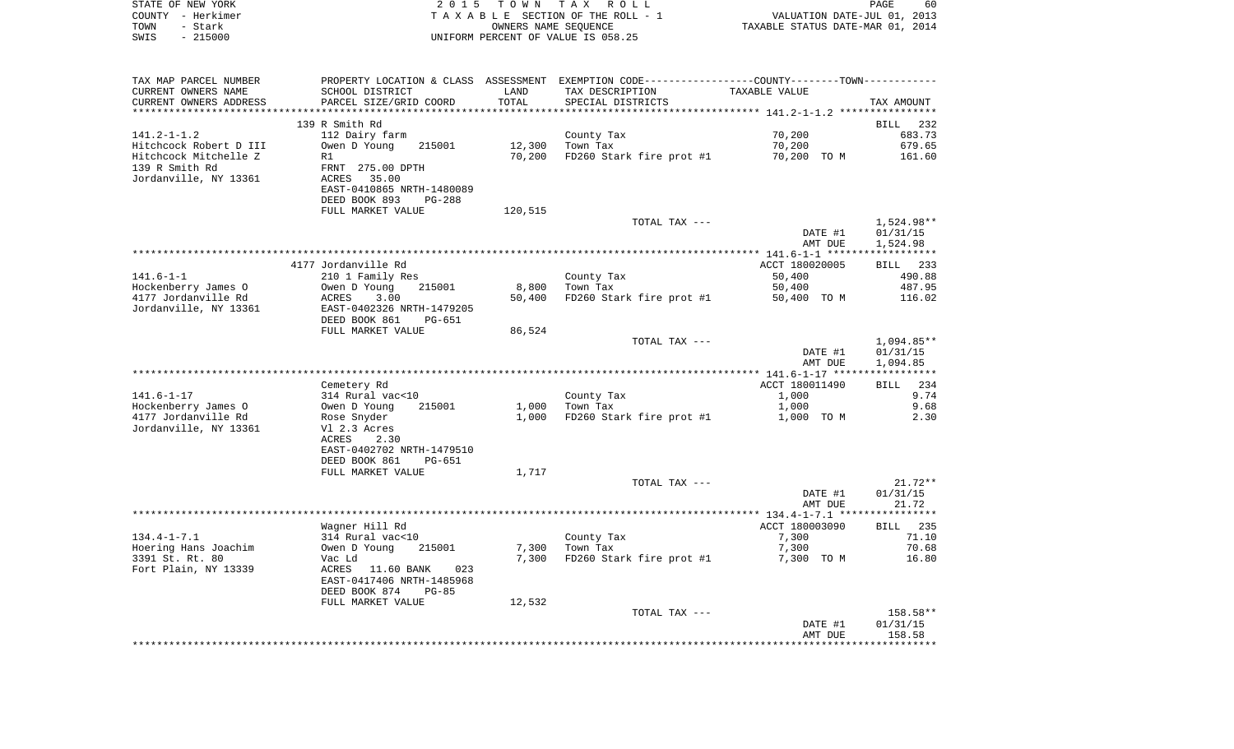| STATE OF NEW YORK<br>COUNTY - Herkimer<br>- Stark<br>TOWN<br>$-215000$<br>SWIS | 2 0 1 5                                                                           | T O W N | T A X<br>R O L L<br>TAXABLE SECTION OF THE ROLL - 1<br>OWNERS NAME SEQUENCE<br>UNIFORM PERCENT OF VALUE IS 058.25 | VALUATION DATE-JUL 01, 2013<br>TAXABLE STATUS DATE-MAR 01, 2014 | PAGE<br>60           |
|--------------------------------------------------------------------------------|-----------------------------------------------------------------------------------|---------|-------------------------------------------------------------------------------------------------------------------|-----------------------------------------------------------------|----------------------|
| TAX MAP PARCEL NUMBER                                                          |                                                                                   |         | PROPERTY LOCATION & CLASS ASSESSMENT EXEMPTION CODE---------------COUNTY-------TOWN----------                     |                                                                 |                      |
| CURRENT OWNERS NAME                                                            | SCHOOL DISTRICT                                                                   | LAND    | TAX DESCRIPTION                                                                                                   | <b>TAXABLE VALUE</b>                                            |                      |
| CURRENT OWNERS ADDRESS<br>***********************                              | PARCEL SIZE/GRID COORD                                                            | TOTAL   | SPECIAL DISTRICTS                                                                                                 |                                                                 | TAX AMOUNT           |
|                                                                                | 139 R Smith Rd                                                                    |         |                                                                                                                   |                                                                 | BILL<br>232          |
| $141.2 - 1 - 1.2$                                                              | 112 Dairy farm                                                                    |         | County Tax                                                                                                        | 70,200                                                          | 683.73               |
| Hitchcock Robert D III                                                         | Owen D Young<br>215001                                                            | 12,300  | Town Tax                                                                                                          | 70,200                                                          | 679.65               |
| Hitchcock Mitchelle Z                                                          | R1                                                                                | 70,200  | FD260 Stark fire prot #1                                                                                          | 70,200 TO M                                                     | 161.60               |
| 139 R Smith Rd<br>Jordanville, NY 13361                                        | FRNT 275.00 DPTH<br>ACRES<br>35.00                                                |         |                                                                                                                   |                                                                 |                      |
|                                                                                | EAST-0410865 NRTH-1480089                                                         |         |                                                                                                                   |                                                                 |                      |
|                                                                                | DEED BOOK 893<br>PG-288<br>FULL MARKET VALUE                                      | 120,515 |                                                                                                                   |                                                                 |                      |
|                                                                                |                                                                                   |         | TOTAL TAX ---                                                                                                     |                                                                 | 1,524.98**           |
|                                                                                |                                                                                   |         |                                                                                                                   | DATE #1                                                         | 01/31/15             |
|                                                                                |                                                                                   |         |                                                                                                                   | AMT DUE                                                         | 1,524.98             |
|                                                                                |                                                                                   |         |                                                                                                                   |                                                                 |                      |
|                                                                                | 4177 Jordanville Rd                                                               |         |                                                                                                                   | ACCT 180020005                                                  | BILL 233             |
| $141.6 - 1 - 1$<br>Hockenberry James O                                         | 210 1 Family Res<br>Owen D Young<br>215001                                        | 8,800   | County Tax<br>Town Tax                                                                                            | 50,400<br>50,400                                                | 490.88<br>487.95     |
| 4177 Jordanville Rd                                                            | 3.00<br>ACRES                                                                     | 50,400  | FD260 Stark fire prot #1                                                                                          | 50,400 TO M                                                     | 116.02               |
| Jordanville, NY 13361                                                          | EAST-0402326 NRTH-1479205<br>DEED BOOK 861<br>PG-651                              |         |                                                                                                                   |                                                                 |                      |
|                                                                                | FULL MARKET VALUE                                                                 | 86,524  |                                                                                                                   |                                                                 |                      |
|                                                                                |                                                                                   |         | TOTAL TAX ---                                                                                                     |                                                                 | 1,094.85**           |
|                                                                                |                                                                                   |         |                                                                                                                   | DATE #1<br>AMT DUE                                              | 01/31/15<br>1,094.85 |
|                                                                                |                                                                                   |         |                                                                                                                   |                                                                 |                      |
|                                                                                | Cemetery Rd                                                                       |         |                                                                                                                   | ACCT 180011490                                                  | <b>BILL</b><br>234   |
| $141.6 - 1 - 17$                                                               | 314 Rural vac<10                                                                  |         | County Tax                                                                                                        | 1,000                                                           | 9.74                 |
| Hockenberry James O                                                            | Owen D Young<br>215001                                                            | 1,000   | Town Tax                                                                                                          | 1,000                                                           | 9.68                 |
| 4177 Jordanville Rd<br>Jordanville, NY 13361                                   | Rose Snyder<br>Vl 2.3 Acres                                                       | 1,000   | FD260 Stark fire prot #1                                                                                          | 1,000 TO M                                                      | 2.30                 |
|                                                                                | ACRES<br>2.30                                                                     |         |                                                                                                                   |                                                                 |                      |
|                                                                                | EAST-0402702 NRTH-1479510<br>DEED BOOK 861<br>PG-651                              |         |                                                                                                                   |                                                                 |                      |
|                                                                                | FULL MARKET VALUE                                                                 | 1,717   |                                                                                                                   |                                                                 |                      |
|                                                                                |                                                                                   |         | TOTAL TAX ---                                                                                                     |                                                                 | $21.72**$            |
|                                                                                |                                                                                   |         |                                                                                                                   | DATE #1<br>AMT DUE                                              | 01/31/15<br>21.72    |
|                                                                                |                                                                                   |         |                                                                                                                   |                                                                 |                      |
|                                                                                | Wagner Hill Rd                                                                    |         |                                                                                                                   | ACCT 180003090                                                  | 235<br>BILL          |
| $134.4 - 1 - 7.1$<br>Hoering Hans Joachim                                      | 314 Rural vac<10<br>Owen D Young 215001                                           | 7,300   | County Tax<br>Town Tax                                                                                            | 7,300<br>7,300                                                  | 71.10<br>70.68       |
| 3391 St. Rt. 80                                                                | Vac Ld                                                                            | 7,300   | FD260 Stark fire prot #1                                                                                          | 7,300 TO M                                                      | 16.80                |
| Fort Plain, NY 13339                                                           | ACRES<br>11.60 BANK<br>023<br>EAST-0417406 NRTH-1485968<br>DEED BOOK 874<br>PG-85 |         |                                                                                                                   |                                                                 |                      |
|                                                                                | FULL MARKET VALUE                                                                 | 12,532  |                                                                                                                   |                                                                 |                      |
|                                                                                |                                                                                   |         | TOTAL TAX ---                                                                                                     | DATE #1                                                         | 158.58**<br>01/31/15 |
|                                                                                |                                                                                   |         |                                                                                                                   | AMT DUE                                                         | 158.58               |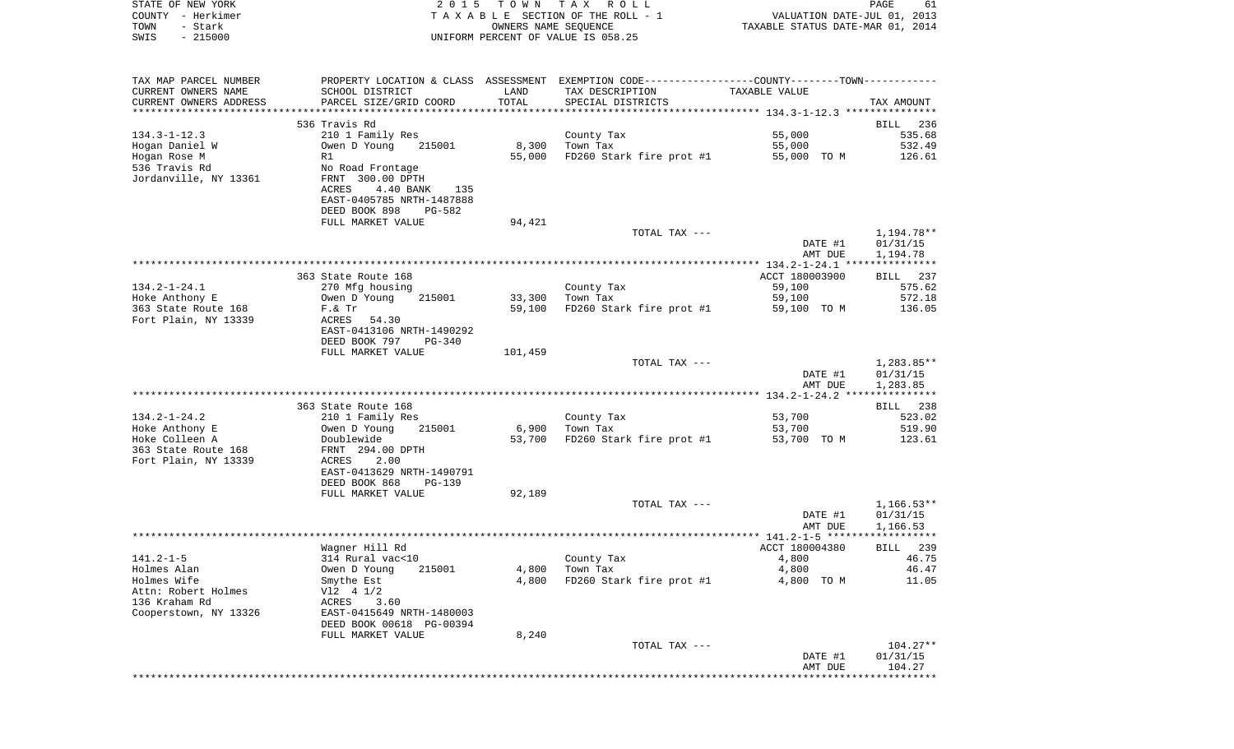| COUNTY - Herkimer<br>- Stark<br>TOWN<br>$-215000$<br>SWIS |                                              |         | TAXABLE SECTION OF THE ROLL - 1<br>OWNERS NAME SEQUENCE<br>UNIFORM PERCENT OF VALUE IS 058.25 | VALUATION DATE-JUL 01, 2013<br>TAXABLE STATUS DATE-MAR 01, 2014 |                    |
|-----------------------------------------------------------|----------------------------------------------|---------|-----------------------------------------------------------------------------------------------|-----------------------------------------------------------------|--------------------|
|                                                           |                                              |         |                                                                                               |                                                                 |                    |
| TAX MAP PARCEL NUMBER                                     |                                              |         | PROPERTY LOCATION & CLASS ASSESSMENT EXEMPTION CODE---------------COUNTY-------TOWN---------- |                                                                 |                    |
| CURRENT OWNERS NAME                                       | SCHOOL DISTRICT                              | LAND    | TAX DESCRIPTION                                                                               | TAXABLE VALUE                                                   |                    |
| CURRENT OWNERS ADDRESS                                    | PARCEL SIZE/GRID COORD                       | TOTAL   | SPECIAL DISTRICTS                                                                             |                                                                 | TAX AMOUNT         |
| *************************                                 |                                              |         |                                                                                               |                                                                 |                    |
|                                                           | 536 Travis Rd                                |         |                                                                                               |                                                                 | BILL               |
| $134.3 - 1 - 12.3$                                        | 210 1 Family Res                             |         | County Tax                                                                                    | 55,000                                                          | 535.68             |
| Hogan Daniel W                                            | Owen D Young 215001                          |         | 8,300 Town Tax                                                                                | 55,000                                                          | 532.49             |
| Hogan Rose M                                              | R1                                           | 55,000  | FD260 Stark fire prot #1                                                                      | 55,000 TO M                                                     | 126.61             |
| 536 Travis Rd<br>Jordanville, NY 13361                    | No Road Frontage<br>FRNT 300.00 DPTH         |         |                                                                                               |                                                                 |                    |
|                                                           | ACRES<br>4.40 BANK<br>135                    |         |                                                                                               |                                                                 |                    |
|                                                           | EAST-0405785 NRTH-1487888                    |         |                                                                                               |                                                                 |                    |
|                                                           | DEED BOOK 898<br>PG-582                      |         |                                                                                               |                                                                 |                    |
|                                                           | FULL MARKET VALUE                            | 94,421  |                                                                                               |                                                                 |                    |
|                                                           |                                              |         | TOTAL TAX ---                                                                                 |                                                                 | 1,194.78**         |
|                                                           |                                              |         |                                                                                               | DATE #1                                                         | 01/31/15           |
|                                                           |                                              |         |                                                                                               | AMT DUE                                                         | 1,194.78           |
|                                                           |                                              |         |                                                                                               |                                                                 |                    |
|                                                           | 363 State Route 168                          |         |                                                                                               | ACCT 180003900                                                  | BILL 237           |
| $134.2 - 1 - 24.1$                                        | 270 Mfg housing                              |         | County Tax                                                                                    | 59,100                                                          | 575.62             |
| Hoke Anthony E                                            | Owen D Young<br>215001                       |         | 33,300 Town Tax                                                                               | 59,100                                                          | 572.18             |
| 363 State Route 168                                       | F. & Tr                                      | 59,100  | FD260 Stark fire prot #1                                                                      | 59,100 TO M                                                     | 136.05             |
| Fort Plain, NY 13339                                      | ACRES 54.30                                  |         |                                                                                               |                                                                 |                    |
|                                                           | EAST-0413106 NRTH-1490292                    |         |                                                                                               |                                                                 |                    |
|                                                           | DEED BOOK 797<br>PG-340<br>FULL MARKET VALUE | 101,459 |                                                                                               |                                                                 |                    |
|                                                           |                                              |         | TOTAL TAX ---                                                                                 |                                                                 | 1,283.85**         |
|                                                           |                                              |         |                                                                                               | DATE #1                                                         | 01/31/15           |
|                                                           |                                              |         |                                                                                               | AMT DUE                                                         | 1,283.85           |
|                                                           |                                              |         |                                                                                               |                                                                 |                    |
|                                                           | 363 State Route 168                          |         |                                                                                               |                                                                 | BILL 238           |
| $134.2 - 1 - 24.2$                                        | 210 1 Family Res                             |         | County Tax                                                                                    | 53,700                                                          | 523.02             |
| Hoke Anthony E                                            | 215001<br>Owen D Young                       | 6,900   | Town Tax                                                                                      | 53,700                                                          | 519.90             |
| Hoke Colleen A                                            | Doublewide                                   |         | 53,700 FD260 Stark fire prot #1                                                               | 53,700 TO M                                                     | 123.61             |
| 363 State Route 168                                       | FRNT 294.00 DPTH                             |         |                                                                                               |                                                                 |                    |
| Fort Plain, NY 13339                                      | 2.00<br>ACRES                                |         |                                                                                               |                                                                 |                    |
|                                                           | EAST-0413629 NRTH-1490791                    |         |                                                                                               |                                                                 |                    |
|                                                           | DEED BOOK 868<br>$PG-139$                    |         |                                                                                               |                                                                 |                    |
|                                                           | FULL MARKET VALUE                            | 92,189  | TOTAL TAX ---                                                                                 |                                                                 | $1,166.53**$       |
|                                                           |                                              |         |                                                                                               | DATE #1                                                         | 01/31/15           |
|                                                           |                                              |         |                                                                                               | AMT DUE                                                         | 1,166.53           |
|                                                           |                                              |         |                                                                                               |                                                                 |                    |
|                                                           | Wagner Hill Rd                               |         |                                                                                               | ACCT 180004380                                                  | BILL 239           |
| $141.2 - 1 - 5$                                           | 314 Rural vac<10                             |         | County Tax                                                                                    | 4,800                                                           | 46.75              |
| Holmes Alan                                               | Owen D Young<br>215001                       | 4,800   | Town Tax                                                                                      | 4,800                                                           | 46.47              |
| Holmes Wife                                               | Smythe Est                                   | 4,800   | FD260 Stark fire prot #1                                                                      | 4,800 TO M                                                      | 11.05              |
| Attn: Robert Holmes                                       | V12 4 1/2                                    |         |                                                                                               |                                                                 |                    |
| 136 Kraham Rd                                             | ACRES<br>3.60                                |         |                                                                                               |                                                                 |                    |
| Cooperstown, NY 13326                                     | EAST-0415649 NRTH-1480003                    |         |                                                                                               |                                                                 |                    |
|                                                           | DEED BOOK 00618 PG-00394                     |         |                                                                                               |                                                                 |                    |
|                                                           | FULL MARKET VALUE                            | 8,240   |                                                                                               |                                                                 |                    |
|                                                           |                                              |         | TOTAL TAX ---                                                                                 |                                                                 | $104.27**$         |
|                                                           |                                              |         |                                                                                               | DATE #1                                                         | 01/31/15<br>104.27 |
|                                                           |                                              |         |                                                                                               | AMT DUE                                                         |                    |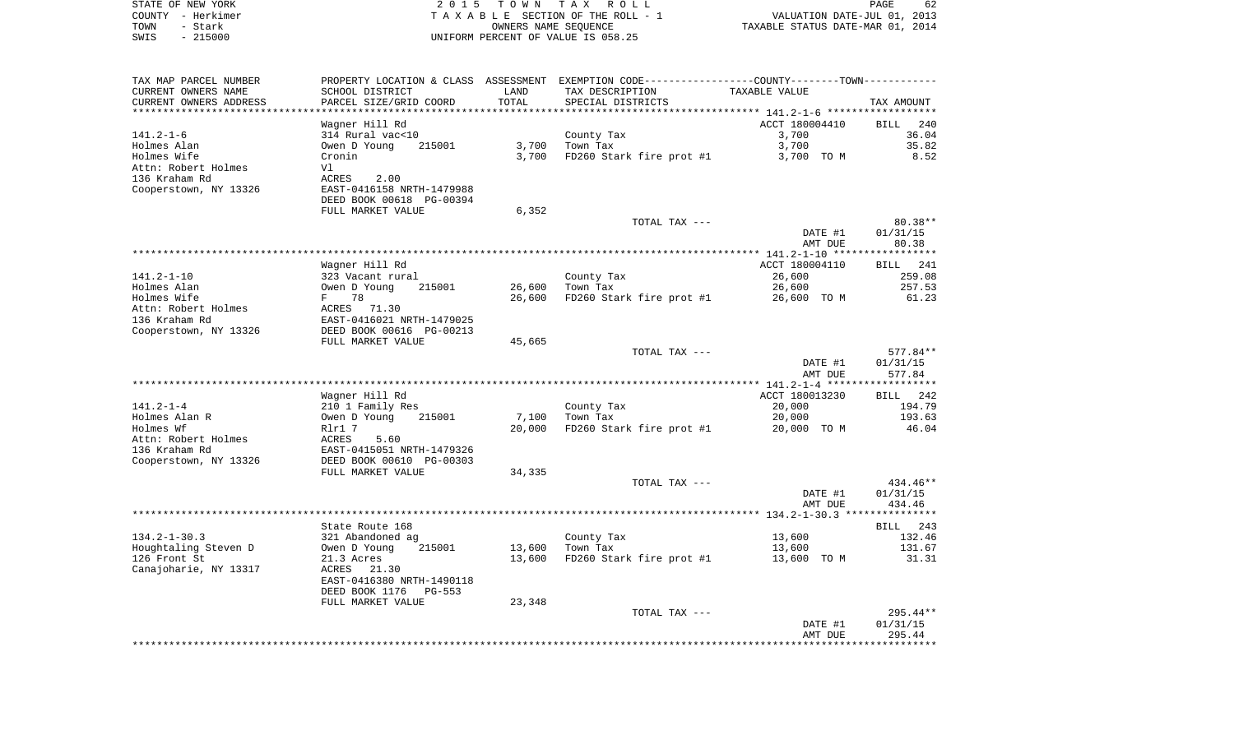| STATE OF NEW YORK<br>COUNTY - Herkimer<br>TOWN<br>- Stark | 2 0 1 5                                       |        | TOWN TAX ROLL<br>TAXABLE SECTION OF THE ROLL - 1<br>OWNERS NAME SEQUENCE                      | VALUATION DATE-JUL 01, 2013<br>TAXABLE STATUS DATE-MAR 01, 2014 | PAGE<br>62           |
|-----------------------------------------------------------|-----------------------------------------------|--------|-----------------------------------------------------------------------------------------------|-----------------------------------------------------------------|----------------------|
| SWIS<br>$-215000$                                         |                                               |        | UNIFORM PERCENT OF VALUE IS 058.25                                                            |                                                                 |                      |
| TAX MAP PARCEL NUMBER                                     |                                               |        | PROPERTY LOCATION & CLASS ASSESSMENT EXEMPTION CODE---------------COUNTY-------TOWN---------- |                                                                 |                      |
| CURRENT OWNERS NAME                                       | SCHOOL DISTRICT                               | LAND   | TAX DESCRIPTION                                                                               | TAXABLE VALUE                                                   |                      |
| CURRENT OWNERS ADDRESS                                    | PARCEL SIZE/GRID COORD                        | TOTAL  | SPECIAL DISTRICTS                                                                             |                                                                 | TAX AMOUNT           |
| ************************                                  | ************************                      |        |                                                                                               |                                                                 |                      |
| 141.2-1-6                                                 | Wagner Hill Rd<br>314 Rural vac<10            |        | County Tax                                                                                    | ACCT 180004410<br>3,700                                         | BILL<br>240<br>36.04 |
| Holmes Alan                                               | Owen D Young<br>215001                        | 3,700  | Town Tax                                                                                      | 3,700                                                           | 35.82                |
| Holmes Wife                                               | Cronin                                        | 3,700  | FD260 Stark fire prot #1                                                                      | 3,700 TO M                                                      | 8.52                 |
| Attn: Robert Holmes                                       | Vl                                            |        |                                                                                               |                                                                 |                      |
| 136 Kraham Rd                                             | ACRES<br>2.00                                 |        |                                                                                               |                                                                 |                      |
| Cooperstown, NY 13326                                     | EAST-0416158 NRTH-1479988                     |        |                                                                                               |                                                                 |                      |
|                                                           | DEED BOOK 00618 PG-00394                      |        |                                                                                               |                                                                 |                      |
|                                                           | FULL MARKET VALUE                             | 6,352  |                                                                                               |                                                                 |                      |
|                                                           |                                               |        | TOTAL TAX ---                                                                                 |                                                                 | $80.38**$            |
|                                                           |                                               |        |                                                                                               | DATE #1<br>AMT DUE                                              | 01/31/15<br>80.38    |
|                                                           |                                               |        |                                                                                               |                                                                 |                      |
|                                                           | Wagner Hill Rd                                |        |                                                                                               | ACCT 180004110                                                  | BILL 241             |
| 141.2-1-10                                                | 323 Vacant rural                              |        | County Tax                                                                                    | 26,600                                                          | 259.08               |
| Holmes Alan                                               | 215001<br>Owen D Young                        | 26,600 | Town Tax                                                                                      | 26,600                                                          | 257.53               |
| Holmes Wife                                               | 78<br>$F -$                                   | 26,600 | FD260 Stark fire prot #1                                                                      | 26,600 TO M                                                     | 61.23                |
| Attn: Robert Holmes                                       | ACRES 71.30                                   |        |                                                                                               |                                                                 |                      |
| 136 Kraham Rd                                             | EAST-0416021 NRTH-1479025                     |        |                                                                                               |                                                                 |                      |
| Cooperstown, NY 13326                                     | DEED BOOK 00616 PG-00213<br>FULL MARKET VALUE | 45,665 |                                                                                               |                                                                 |                      |
|                                                           |                                               |        | TOTAL TAX ---                                                                                 |                                                                 | 577.84**             |
|                                                           |                                               |        |                                                                                               | DATE #1                                                         | 01/31/15             |
|                                                           |                                               |        |                                                                                               | AMT DUE                                                         | 577.84               |
|                                                           |                                               |        |                                                                                               |                                                                 |                      |
|                                                           | Wagner Hill Rd                                |        |                                                                                               | ACCT 180013230                                                  | BILL 242             |
| $141.2 - 1 - 4$                                           | 210 1 Family Res                              |        | County Tax                                                                                    | 20,000                                                          | 194.79               |
| Holmes Alan R<br>Holmes Wf                                | 215001<br>Owen D Young                        | 7,100  | Town Tax                                                                                      | 20,000                                                          | 193.63<br>46.04      |
| Attn: Robert Holmes                                       | Rlr1 7<br>ACRES<br>5.60                       | 20,000 | FD260 Stark fire prot #1                                                                      | 20,000 TO M                                                     |                      |
| 136 Kraham Rd                                             | EAST-0415051 NRTH-1479326                     |        |                                                                                               |                                                                 |                      |
| Cooperstown, NY 13326                                     | DEED BOOK 00610 PG-00303                      |        |                                                                                               |                                                                 |                      |
|                                                           | FULL MARKET VALUE                             | 34,335 |                                                                                               |                                                                 |                      |
|                                                           |                                               |        | TOTAL TAX ---                                                                                 |                                                                 | 434.46**             |
|                                                           |                                               |        |                                                                                               | DATE #1                                                         | 01/31/15             |
|                                                           |                                               |        |                                                                                               | AMT DUE                                                         | 434.46               |
|                                                           |                                               |        |                                                                                               |                                                                 |                      |
| 134.2-1-30.3                                              | State Route 168<br>321 Abandoned ag           |        | County Tax                                                                                    | 13,600                                                          | BILL 243<br>132.46   |
| Houghtaling Steven D                                      | Owen D Young 215001                           |        | 13,600 Town Tax                                                                               | 13,600                                                          | 131.67               |
| 126 Front St                                              | 21.3 Acres                                    | 13,600 | FD260 Stark fire prot #1                                                                      | 13,600 TO M                                                     | 31.31                |
| Canajoharie, NY 13317                                     | ACRES<br>21.30                                |        |                                                                                               |                                                                 |                      |
|                                                           | EAST-0416380 NRTH-1490118                     |        |                                                                                               |                                                                 |                      |
|                                                           | DEED BOOK 1176<br>PG-553                      |        |                                                                                               |                                                                 |                      |
|                                                           | FULL MARKET VALUE                             | 23,348 |                                                                                               |                                                                 |                      |
|                                                           |                                               |        | TOTAL TAX ---                                                                                 |                                                                 | $295.44**$           |
|                                                           |                                               |        |                                                                                               | DATE #1<br>AMT DUE                                              | 01/31/15<br>295.44   |
|                                                           |                                               |        |                                                                                               |                                                                 |                      |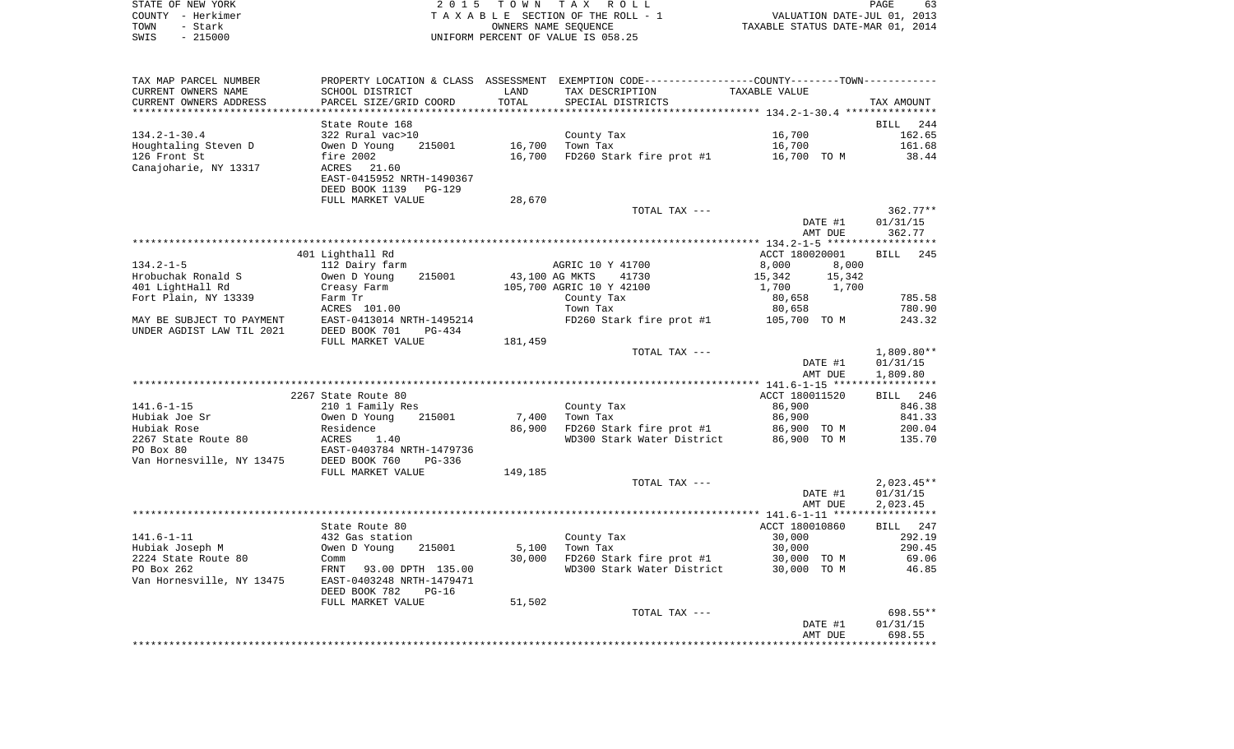| STATE OF NEW YORK | 2015 TOWN TAX ROLL                 | 63<br><b>PAGE</b>                |
|-------------------|------------------------------------|----------------------------------|
| COUNTY - Herkimer | TAXABLE SECTION OF THE ROLL - 1    | VALUATION DATE-JUL 01, 2013      |
| TOWN<br>- Stark   | OWNERS NAME SEOUENCE               | TAXABLE STATUS DATE-MAR 01, 2014 |
| - 215000<br>SWIS  | UNIFORM PERCENT OF VALUE IS 058.25 |                                  |

| TAX MAP PARCEL NUMBER     |                            |         | PROPERTY LOCATION & CLASS ASSESSMENT EXEMPTION CODE---------------COUNTY-------TOWN---------- |                  |                    |
|---------------------------|----------------------------|---------|-----------------------------------------------------------------------------------------------|------------------|--------------------|
| CURRENT OWNERS NAME       | SCHOOL DISTRICT            | LAND    | TAX DESCRIPTION                                                                               | TAXABLE VALUE    |                    |
| CURRENT OWNERS ADDRESS    | PARCEL SIZE/GRID COORD     | TOTAL   | SPECIAL DISTRICTS                                                                             |                  | TAX AMOUNT         |
| **********************    | ***********************    |         |                                                                                               |                  |                    |
|                           | State Route 168            |         |                                                                                               |                  | BILL<br>244        |
| $134.2 - 1 - 30.4$        | 322 Rural vac>10           |         | County Tax                                                                                    | 16,700           | 162.65             |
| Houghtaling Steven D      | Owen D Young<br>215001     | 16,700  | Town Tax                                                                                      | 16,700           | 161.68             |
| 126 Front St              | fire 2002                  | 16,700  | FD260 Stark fire prot #1                                                                      | 16,700 TO M      | 38.44              |
| Canajoharie, NY 13317     | ACRES<br>21.60             |         |                                                                                               |                  |                    |
|                           | EAST-0415952 NRTH-1490367  |         |                                                                                               |                  |                    |
|                           | DEED BOOK 1139<br>$PG-129$ |         |                                                                                               |                  |                    |
|                           | FULL MARKET VALUE          | 28,670  |                                                                                               |                  |                    |
|                           |                            |         | TOTAL TAX ---                                                                                 |                  | $362.77**$         |
|                           |                            |         |                                                                                               | DATE #1          | 01/31/15           |
|                           |                            |         |                                                                                               | AMT DUE          | 362.77             |
|                           |                            |         |                                                                                               |                  |                    |
|                           | 401 Lighthall Rd           |         |                                                                                               | ACCT 180020001   | <b>BILL</b><br>245 |
| $134.2 - 1 - 5$           | 112 Dairy farm             |         | AGRIC 10 Y 41700                                                                              | 8,000<br>8,000   |                    |
| Hrobuchak Ronald S        | 215001<br>Owen D Young     |         | 43,100 AG MKTS<br>41730                                                                       | 15,342<br>15,342 |                    |
| 401 LightHall Rd          | Creasy Farm                |         | 105,700 AGRIC 10 Y 42100                                                                      | 1,700<br>1,700   |                    |
| Fort Plain, NY 13339      | Farm Tr                    |         | County Tax                                                                                    | 80,658           | 785.58             |
|                           | ACRES 101.00               |         | Town Tax                                                                                      | 80,658           | 780.90             |
| MAY BE SUBJECT TO PAYMENT | EAST-0413014 NRTH-1495214  |         | FD260 Stark fire prot #1                                                                      | 105,700 TO M     | 243.32             |
| UNDER AGDIST LAW TIL 2021 | DEED BOOK 701<br>$PG-434$  |         |                                                                                               |                  |                    |
|                           | FULL MARKET VALUE          | 181,459 |                                                                                               |                  |                    |
|                           |                            |         | TOTAL TAX ---                                                                                 |                  | $1,809.80**$       |
|                           |                            |         |                                                                                               | DATE #1          | 01/31/15           |
|                           |                            |         |                                                                                               | AMT DUE          | 1,809.80           |
|                           | 2267 State Route 80        |         |                                                                                               | ACCT 180011520   | BILL 246           |
| $141.6 - 1 - 15$          | 210 1 Family Res           |         | County Tax                                                                                    | 86,900           | 846.38             |
| Hubiak Joe Sr             | Owen D Young<br>215001     | 7,400   | Town Tax                                                                                      | 86,900           | 841.33             |
| Hubiak Rose               | Residence                  | 86,900  | FD260 Stark fire prot #1                                                                      | 86,900 TO M      | 200.04             |
| 2267 State Route 80       | ACRES<br>1.40              |         | WD300 Stark Water District                                                                    | 86,900 TO M      | 135.70             |
| PO Box 80                 | EAST-0403784 NRTH-1479736  |         |                                                                                               |                  |                    |
| Van Hornesville, NY 13475 | DEED BOOK 760<br>$PG-336$  |         |                                                                                               |                  |                    |
|                           | FULL MARKET VALUE          | 149,185 |                                                                                               |                  |                    |
|                           |                            |         | TOTAL TAX ---                                                                                 |                  | $2,023.45**$       |
|                           |                            |         |                                                                                               | DATE #1          | 01/31/15           |
|                           |                            |         |                                                                                               | AMT DUE          | 2,023.45           |
|                           |                            |         |                                                                                               |                  |                    |
|                           | State Route 80             |         |                                                                                               | ACCT 180010860   | BILL 247           |
| $141.6 - 1 - 11$          | 432 Gas station            |         | County Tax                                                                                    | 30,000           | 292.19             |
| Hubiak Joseph M           | Owen D Young<br>215001     | 5,100   | Town Tax                                                                                      | 30,000           | 290.45             |
| 2224 State Route 80       | Comm                       | 30,000  | FD260 Stark fire prot #1                                                                      | 30,000 TO M      | 69.06              |
| PO Box 262                | FRNT<br>93.00 DPTH 135.00  |         | WD300 Stark Water District                                                                    | 30,000 TO M      | 46.85              |
| Van Hornesville, NY 13475 | EAST-0403248 NRTH-1479471  |         |                                                                                               |                  |                    |
|                           | DEED BOOK 782<br>$PG-16$   |         |                                                                                               |                  |                    |
|                           | FULL MARKET VALUE          | 51,502  |                                                                                               |                  |                    |
|                           |                            |         | TOTAL TAX ---                                                                                 |                  | 698.55**           |
|                           |                            |         |                                                                                               | DATE #1          | 01/31/15           |
|                           |                            |         |                                                                                               | AMT DUE          | 698.55             |
|                           |                            |         |                                                                                               |                  |                    |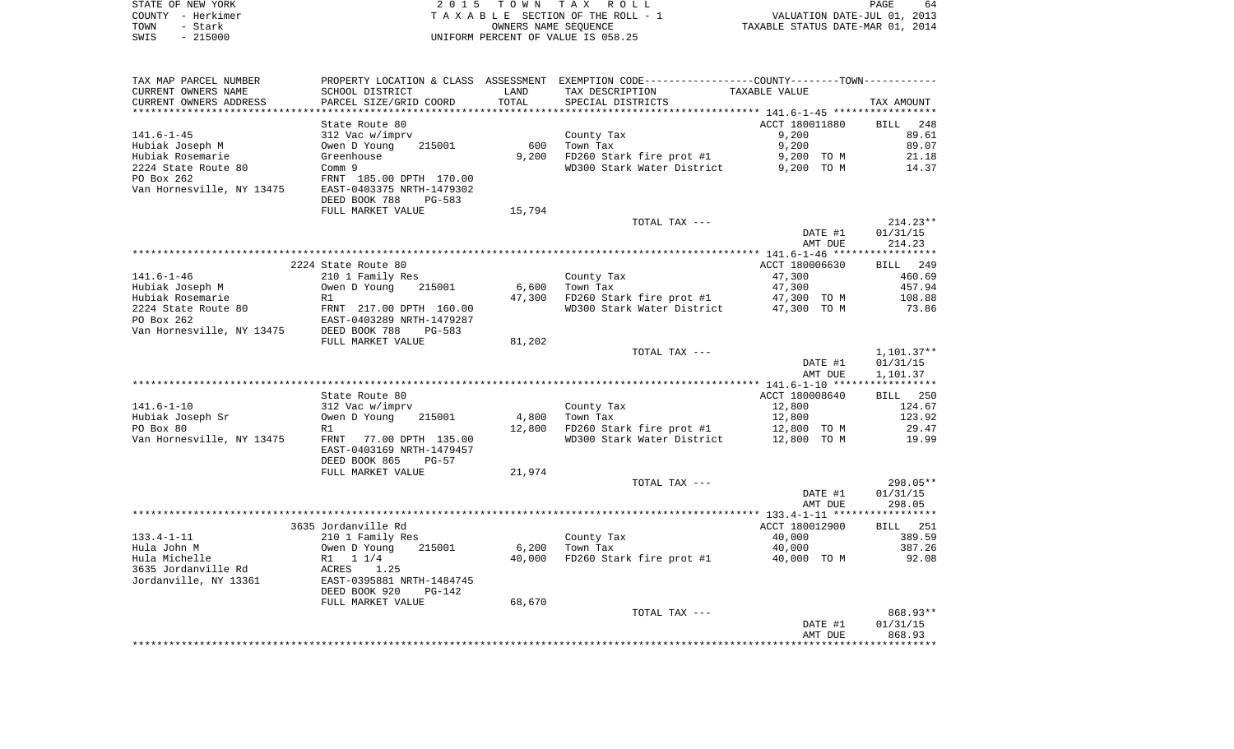| STATE OF NEW YORK |         |                   |  |
|-------------------|---------|-------------------|--|
|                   |         | COUNTY - Herkimer |  |
| TOWN.             | - Stark |                   |  |
| NT S              |         | $-215000$         |  |

STATE OF NEW YORK 2 0 1 5 T O W N T A X R O L L PAGE 64TA X A B L E SECTION OF THE ROLL - 1 TOWN - Stark OWNERS NAME SEQUENCE TAXABLE STATUS DATE-MAR 01, 2014 SWIS - 215000 UNIFORM PERCENT OF VALUE IS 058.25

| TAX MAP PARCEL NUMBER     |                           |        | PROPERTY LOCATION & CLASS ASSESSMENT EXEMPTION CODE---------------COUNTY-------TOWN---------- |                |                 |
|---------------------------|---------------------------|--------|-----------------------------------------------------------------------------------------------|----------------|-----------------|
| CURRENT OWNERS NAME       | SCHOOL DISTRICT           | LAND   | TAX DESCRIPTION                                                                               | TAXABLE VALUE  |                 |
| CURRENT OWNERS ADDRESS    | PARCEL SIZE/GRID COORD    | TOTAL  | SPECIAL DISTRICTS                                                                             |                | TAX AMOUNT      |
|                           |                           |        |                                                                                               |                |                 |
|                           | State Route 80            |        |                                                                                               | ACCT 180011880 | 248<br>BILL     |
| $141.6 - 1 - 45$          | 312 Vac w/imprv           |        | County Tax                                                                                    | 9,200          | 89.61           |
| Hubiak Joseph M           | Owen D Young<br>215001    | 600    | Town Tax                                                                                      | 9,200          | 89.07           |
| Hubiak Rosemarie          | Greenhouse                | 9,200  | FD260 Stark fire prot #1                                                                      | 9,200 TO M     | 21.18           |
| 2224 State Route 80       | Comm 9                    |        | WD300 Stark Water District                                                                    | 9,200 TO M     | 14.37           |
| PO Box 262                | FRNT 185.00 DPTH 170.00   |        |                                                                                               |                |                 |
| Van Hornesville, NY 13475 | EAST-0403375 NRTH-1479302 |        |                                                                                               |                |                 |
|                           | DEED BOOK 788<br>PG-583   |        |                                                                                               |                |                 |
|                           | FULL MARKET VALUE         | 15,794 |                                                                                               |                |                 |
|                           |                           |        | TOTAL TAX ---                                                                                 |                | $214.23**$      |
|                           |                           |        |                                                                                               | DATE #1        | 01/31/15        |
|                           |                           |        |                                                                                               | AMT DUE        | 214.23          |
|                           |                           |        |                                                                                               |                |                 |
|                           | 2224 State Route 80       |        |                                                                                               | ACCT 180006630 | BILL 249        |
|                           |                           |        |                                                                                               |                |                 |
| $141.6 - 1 - 46$          | 210 1 Family Res          |        | County Tax                                                                                    | 47,300         | 460.69          |
| Hubiak Joseph M           | Owen D Young<br>215001    | 6,600  | Town Tax                                                                                      | 47,300         | 457.94          |
| Hubiak Rosemarie          | R1                        | 47,300 | FD260 Stark fire prot #1                                                                      | 47,300 TO M    | 108.88          |
| 2224 State Route 80       | FRNT 217.00 DPTH 160.00   |        | WD300 Stark Water District 47,300 TO M                                                        |                | 73.86           |
| PO Box 262                | EAST-0403289 NRTH-1479287 |        |                                                                                               |                |                 |
| Van Hornesville, NY 13475 | DEED BOOK 788<br>$PG-583$ |        |                                                                                               |                |                 |
|                           | FULL MARKET VALUE         | 81,202 |                                                                                               |                |                 |
|                           |                           |        | TOTAL TAX ---                                                                                 |                | $1,101.37**$    |
|                           |                           |        |                                                                                               | DATE #1        | 01/31/15        |
|                           |                           |        |                                                                                               | AMT DUE        | 1,101.37        |
|                           |                           |        |                                                                                               |                |                 |
|                           | State Route 80            |        |                                                                                               | ACCT 180008640 | BILL 250        |
| $141.6 - 1 - 10$          | 312 Vac w/imprv           |        | County Tax                                                                                    | 12,800         | 124.67          |
| Hubiak Joseph Sr          | 215001<br>Owen D Young    | 4,800  | Town Tax                                                                                      | 12,800         | 123.92          |
| PO Box 80                 | R1                        | 12,800 | FD260 Stark fire prot #1                                                                      | 12,800 TO M    | 29.47           |
| Van Hornesville, NY 13475 | FRNT 77.00 DPTH 135.00    |        | WD300 Stark Water District                                                                    | 12,800 TO M    | 19.99           |
|                           | EAST-0403169 NRTH-1479457 |        |                                                                                               |                |                 |
|                           | DEED BOOK 865<br>$PG-57$  |        |                                                                                               |                |                 |
|                           | FULL MARKET VALUE         | 21,974 |                                                                                               |                |                 |
|                           |                           |        | TOTAL TAX ---                                                                                 |                | $298.05**$      |
|                           |                           |        |                                                                                               | DATE #1        | 01/31/15        |
|                           |                           |        |                                                                                               | AMT DUE        | 298.05          |
|                           |                           |        |                                                                                               |                |                 |
|                           | 3635 Jordanville Rd       |        |                                                                                               | ACCT 180012900 | <b>BILL</b> 251 |
| $133.4 - 1 - 11$          | 210 1 Family Res          |        | County Tax                                                                                    | 40,000         | 389.59          |
| Hula John M               | Owen D Young<br>215001    | 6,200  | Town Tax                                                                                      | 40,000         | 387.26          |
| Hula Michelle             | R1 1 1/4                  | 40,000 | FD260 Stark fire prot #1                                                                      | 40,000 TO M    | 92.08           |
| 3635 Jordanville Rd       | ACRES<br>1.25             |        |                                                                                               |                |                 |
| Jordanville, NY 13361     | EAST-0395881 NRTH-1484745 |        |                                                                                               |                |                 |
|                           | DEED BOOK 920<br>$PG-142$ |        |                                                                                               |                |                 |
|                           | FULL MARKET VALUE         | 68,670 |                                                                                               |                |                 |
|                           |                           |        | TOTAL TAX ---                                                                                 |                | 868.93**        |
|                           |                           |        |                                                                                               | DATE #1        | 01/31/15        |
|                           |                           |        |                                                                                               | AMT DUE        | 868.93          |
|                           |                           |        |                                                                                               |                |                 |
|                           |                           |        |                                                                                               |                |                 |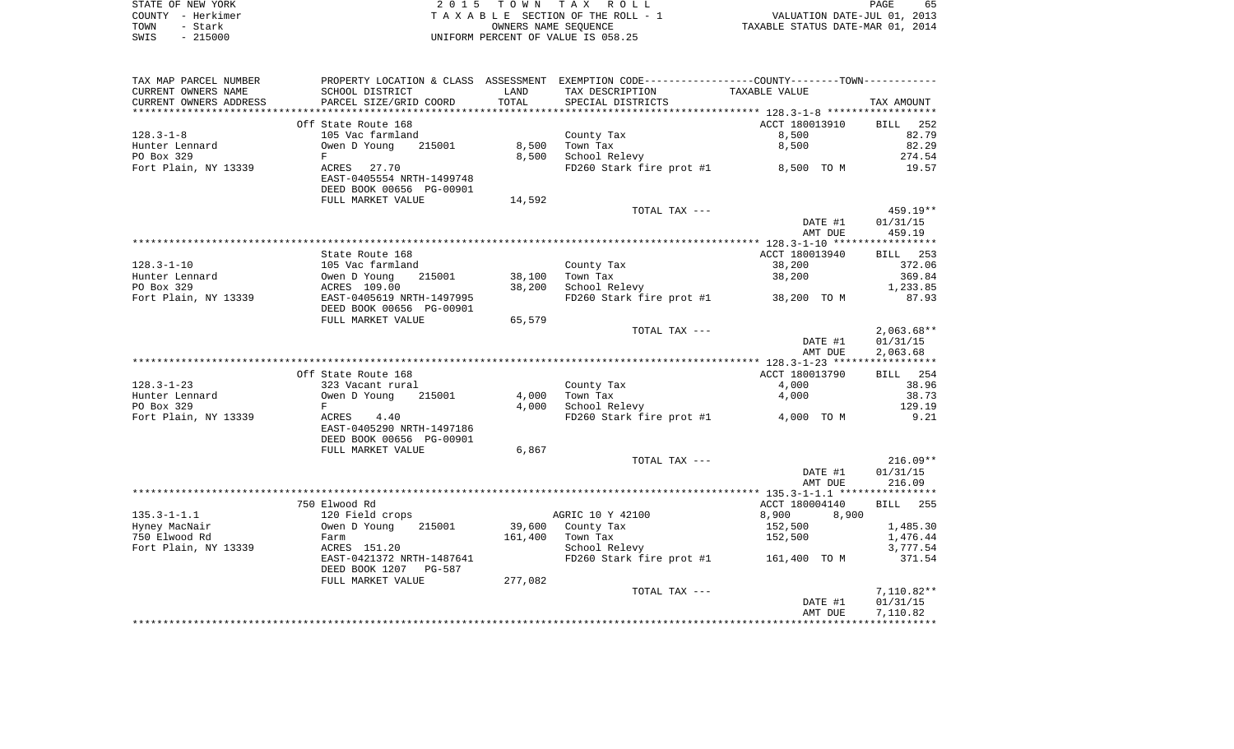|      | STATE OF NEW YORK | 2015 TOWN TAX ROLL                 | 65<br>PAGE                       |
|------|-------------------|------------------------------------|----------------------------------|
|      | COUNTY - Herkimer | TAXABLE SECTION OF THE ROLL - 1    | VALUATION DATE-JUL 01, 2013      |
| TOWN | - Stark           | OWNERS NAME SEOUENCE               | TAXABLE STATUS DATE-MAR 01, 2014 |
| SWIS | $-215000$         | UNIFORM PERCENT OF VALUE IS 058.25 |                                  |

| TAX MAP PARCEL NUMBER              | PROPERTY LOCATION & CLASS ASSESSMENT EXEMPTION CODE---------------COUNTY--------TOWN---------- |         |                          |                    |         |                      |
|------------------------------------|------------------------------------------------------------------------------------------------|---------|--------------------------|--------------------|---------|----------------------|
| CURRENT OWNERS NAME                | SCHOOL DISTRICT                                                                                | LAND    | TAX DESCRIPTION          | TAXABLE VALUE      |         |                      |
| CURRENT OWNERS ADDRESS             | PARCEL SIZE/GRID COORD                                                                         | TOTAL   | SPECIAL DISTRICTS        |                    |         | TAX AMOUNT           |
|                                    |                                                                                                |         |                          |                    |         |                      |
|                                    | Off State Route 168                                                                            |         |                          | ACCT 180013910     |         | 252<br><b>BILL</b>   |
| $128.3 - 1 - 8$                    | 105 Vac farmland                                                                               |         | County Tax               | 8,500              |         | 82.79                |
| Hunter Lennard                     | Owen D Young<br>215001                                                                         | 8,500   | Town Tax                 | 8,500              |         | 82.29                |
| PO Box 329                         | F                                                                                              | 8,500   | School Relevy            |                    |         | 274.54               |
| Fort Plain, NY 13339               | ACRES<br>27.70                                                                                 |         | FD260 Stark fire prot #1 | 8,500 TO M         |         | 19.57                |
|                                    | EAST-0405554 NRTH-1499748                                                                      |         |                          |                    |         |                      |
|                                    | DEED BOOK 00656 PG-00901                                                                       |         |                          |                    |         |                      |
|                                    | FULL MARKET VALUE                                                                              | 14,592  |                          |                    |         |                      |
|                                    |                                                                                                |         | TOTAL TAX ---            |                    |         | $459.19**$           |
|                                    |                                                                                                |         |                          |                    | DATE #1 | 01/31/15             |
|                                    |                                                                                                |         |                          |                    | AMT DUE | 459.19               |
|                                    |                                                                                                |         |                          |                    |         |                      |
|                                    | State Route 168                                                                                |         |                          | ACCT 180013940     |         | <b>BILL</b> 253      |
| $128.3 - 1 - 10$<br>Hunter Lennard | 105 Vac farmland<br>Owen D Young<br>215001                                                     | 38,100  | County Tax<br>Town Tax   | 38,200             |         | 372.06<br>369.84     |
| PO Box 329                         | ACRES 109.00                                                                                   | 38,200  | School Relevy            | 38,200             |         | 1,233.85             |
| Fort Plain, NY 13339               | EAST-0405619 NRTH-1497995                                                                      |         | FD260 Stark fire prot #1 | 38,200 TO M        |         | 87.93                |
|                                    | DEED BOOK 00656 PG-00901                                                                       |         |                          |                    |         |                      |
|                                    | FULL MARKET VALUE                                                                              | 65,579  |                          |                    |         |                      |
|                                    |                                                                                                |         | TOTAL TAX ---            |                    |         | $2,063.68**$         |
|                                    |                                                                                                |         |                          |                    | DATE #1 | 01/31/15             |
|                                    |                                                                                                |         |                          |                    | AMT DUE | 2,063.68             |
|                                    |                                                                                                |         |                          |                    |         |                      |
|                                    | Off State Route 168                                                                            |         |                          | ACCT 180013790     |         | BILL 254             |
| $128.3 - 1 - 23$                   | 323 Vacant rural                                                                               |         | County Tax               | 4,000              |         | 38.96                |
| Hunter Lennard                     | Owen D Young<br>215001                                                                         | 4,000   | Town Tax                 | 4,000              |         | 38.73                |
| PO Box 329                         | F                                                                                              | 4,000   | School Relevy            |                    |         | 129.19               |
| Fort Plain, NY 13339               | ACRES<br>4.40                                                                                  |         | FD260 Stark fire prot #1 | 4,000 TO M         |         | 9.21                 |
|                                    | EAST-0405290 NRTH-1497186                                                                      |         |                          |                    |         |                      |
|                                    | DEED BOOK 00656 PG-00901                                                                       |         |                          |                    |         |                      |
|                                    | FULL MARKET VALUE                                                                              | 6,867   |                          |                    |         |                      |
|                                    |                                                                                                |         | TOTAL TAX ---            |                    |         | $216.09**$           |
|                                    |                                                                                                |         |                          |                    | DATE #1 | 01/31/15             |
|                                    |                                                                                                |         |                          |                    | AMT DUE | 216.09               |
|                                    |                                                                                                |         |                          |                    |         |                      |
|                                    | 750 Elwood Rd                                                                                  |         |                          | ACCT 180004140     |         | 255<br>BILL          |
| $135.3 - 1 - 1.1$                  | 120 Field crops<br>215001                                                                      | 39,600  | AGRIC 10 Y 42100         | 8,900              | 8,900   |                      |
| Hyney MacNair<br>750 Elwood Rd     | Owen D Young<br>Farm                                                                           | 161,400 | County Tax<br>Town Tax   | 152,500<br>152,500 |         | 1,485.30<br>1,476.44 |
| Fort Plain, NY 13339               | ACRES 151.20                                                                                   |         | School Relevy            |                    |         | 3,777.54             |
|                                    | EAST-0421372 NRTH-1487641                                                                      |         | FD260 Stark fire prot #1 | 161,400 TO M       |         | 371.54               |
|                                    | DEED BOOK 1207<br>PG-587                                                                       |         |                          |                    |         |                      |
|                                    | FULL MARKET VALUE                                                                              | 277,082 |                          |                    |         |                      |
|                                    |                                                                                                |         | TOTAL TAX ---            |                    |         | 7,110.82**           |
|                                    |                                                                                                |         |                          |                    | DATE #1 | 01/31/15             |
|                                    |                                                                                                |         |                          |                    | AMT DUE | 7,110.82             |
|                                    |                                                                                                |         |                          |                    |         |                      |
|                                    |                                                                                                |         |                          |                    |         |                      |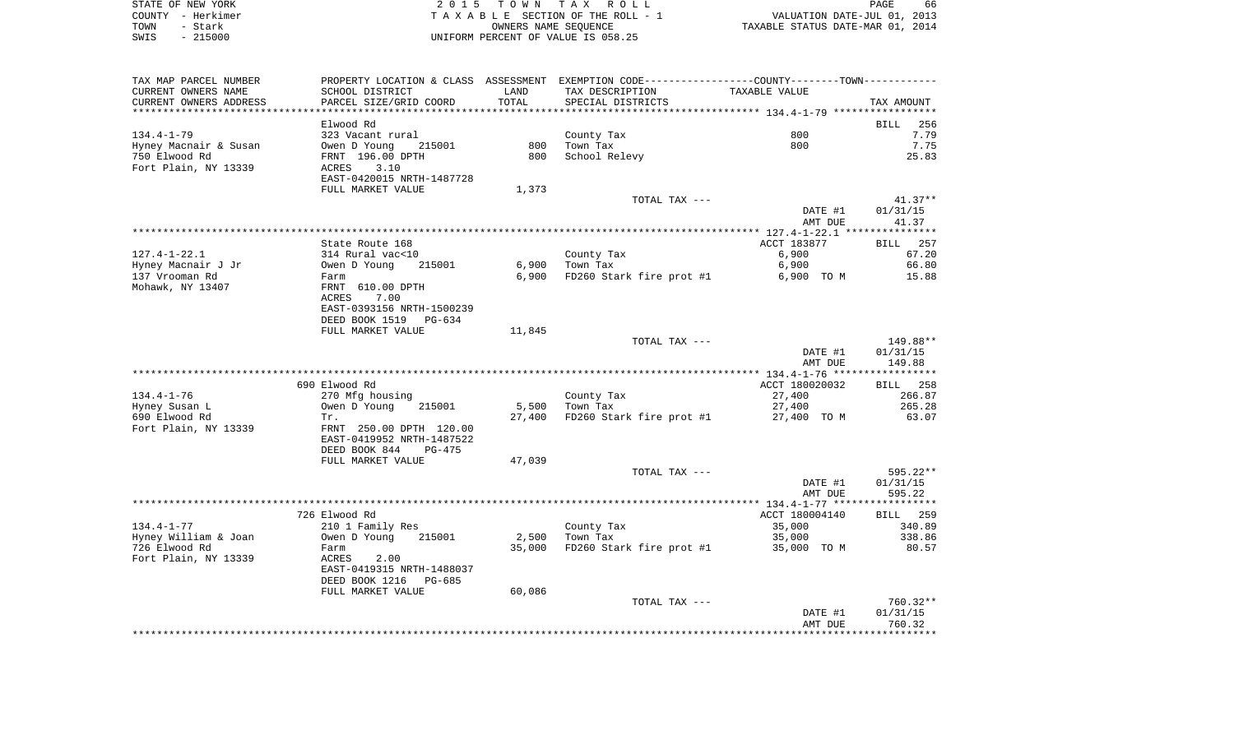| STATE OF NEW YORK | 2015 TOWN TAX ROLL                 | 66<br>PAGE                       |
|-------------------|------------------------------------|----------------------------------|
| COUNTY - Herkimer | TAXABLE SECTION OF THE ROLL - 1    | VALUATION DATE-JUL 01, 2013      |
| TOWN<br>- Stark   | OWNERS NAME SEOUENCE               | TAXABLE STATUS DATE-MAR 01, 2014 |
| $-215000$<br>SWIS | UNIFORM PERCENT OF VALUE IS 058.25 |                                  |

66<br>2013<br>2014

| TAX MAP PARCEL NUMBER                                     | PROPERTY LOCATION & CLASS ASSESSMENT EXEMPTION CODE---------------COUNTY-------TOWN---------- |        |                          |                    |                    |
|-----------------------------------------------------------|-----------------------------------------------------------------------------------------------|--------|--------------------------|--------------------|--------------------|
| CURRENT OWNERS NAME                                       | SCHOOL DISTRICT                                                                               | LAND   | TAX DESCRIPTION          | TAXABLE VALUE      |                    |
| CURRENT OWNERS ADDRESS                                    | PARCEL SIZE/GRID COORD                                                                        | TOTAL  | SPECIAL DISTRICTS        |                    | TAX AMOUNT         |
|                                                           |                                                                                               |        |                          |                    |                    |
|                                                           | Elwood Rd                                                                                     |        |                          |                    | BILL<br>256        |
| $134.4 - 1 - 79$                                          | 323 Vacant rural                                                                              |        | County Tax               | 800                | 7.79               |
| Hyney Macnair & Susan                                     | Owen D Young<br>215001                                                                        | 800    | Town Tax                 | 800                | 7.75               |
| 750 Elwood Rd                                             |                                                                                               | 800    | School Relevy            |                    | 25.83              |
|                                                           | FRNT 196.00 DPTH                                                                              |        |                          |                    |                    |
| Fort Plain, NY 13339                                      | 3.10<br>ACRES                                                                                 |        |                          |                    |                    |
|                                                           | EAST-0420015 NRTH-1487728                                                                     |        |                          |                    |                    |
|                                                           | FULL MARKET VALUE                                                                             | 1,373  |                          |                    |                    |
|                                                           |                                                                                               |        | TOTAL TAX ---            |                    | $41.37**$          |
|                                                           |                                                                                               |        |                          | DATE #1            | 01/31/15           |
|                                                           |                                                                                               |        |                          | AMT DUE            | 41.37              |
|                                                           |                                                                                               |        |                          |                    |                    |
|                                                           | State Route 168                                                                               |        |                          | ACCT 183877        | BILL 257           |
| $127.4 - 1 - 22.1$                                        | 314 Rural vac<10                                                                              |        | County Tax               | 6,900              | 67.20              |
| Hyney Macnair J Jr                                        | Owen D Young<br>215001                                                                        | 6,900  | Town Tax                 | 6,900              | 66.80              |
| 137 Vrooman Rd                                            | Farm                                                                                          | 6,900  | FD260 Stark fire prot #1 | 6,900 TO M         | 15.88              |
| Mohawk, NY 13407                                          | FRNT 610.00 DPTH                                                                              |        |                          |                    |                    |
|                                                           | ACRES<br>7.00                                                                                 |        |                          |                    |                    |
|                                                           |                                                                                               |        |                          |                    |                    |
|                                                           | EAST-0393156 NRTH-1500239                                                                     |        |                          |                    |                    |
|                                                           | DEED BOOK 1519<br>PG-634                                                                      |        |                          |                    |                    |
|                                                           | FULL MARKET VALUE                                                                             | 11,845 |                          |                    |                    |
|                                                           |                                                                                               |        | TOTAL TAX ---            |                    | 149.88**           |
|                                                           |                                                                                               |        |                          |                    |                    |
|                                                           |                                                                                               |        |                          | DATE #1            | 01/31/15           |
|                                                           |                                                                                               |        |                          | AMT DUE            | 149.88             |
|                                                           |                                                                                               |        |                          |                    |                    |
|                                                           | 690 Elwood Rd                                                                                 |        |                          | ACCT 180020032     | <b>BILL</b> 258    |
| $134.4 - 1 - 76$                                          | 270 Mfg housing                                                                               |        | County Tax               | 27,400             | 266.87             |
|                                                           |                                                                                               |        |                          |                    |                    |
| Hyney Susan L                                             | Owen D Young<br>215001                                                                        | 5,500  | Town Tax                 | 27,400             | 265.28             |
| 690 Elwood Rd                                             | Tr.                                                                                           | 27,400 | FD260 Stark fire prot #1 | 27,400 TO M        | 63.07              |
| Fort Plain, NY 13339                                      | FRNT 250.00 DPTH 120.00                                                                       |        |                          |                    |                    |
|                                                           | EAST-0419952 NRTH-1487522                                                                     |        |                          |                    |                    |
|                                                           | DEED BOOK 844<br>PG-475                                                                       |        |                          |                    |                    |
|                                                           | FULL MARKET VALUE                                                                             | 47,039 |                          |                    |                    |
|                                                           |                                                                                               |        | TOTAL TAX ---            |                    | 595.22**           |
|                                                           |                                                                                               |        |                          | DATE #1            | 01/31/15           |
|                                                           |                                                                                               |        |                          | AMT DUE            | 595.22             |
|                                                           |                                                                                               |        |                          |                    |                    |
|                                                           | 726 Elwood Rd                                                                                 |        |                          | ACCT 180004140     | <b>BILL</b> 259    |
|                                                           | 210 1 Family Res                                                                              |        | County Tax               | 35,000             | 340.89             |
|                                                           | Owen D Young<br>215001                                                                        | 2,500  | Town Tax                 | 35,000             | 338.86             |
| $134.4 - 1 - 77$<br>Hyney William & Joan<br>726 Elwood Rd | Farm                                                                                          | 35,000 |                          | 35,000 TO M        | 80.57              |
|                                                           | ACRES                                                                                         |        | FD260 Stark fire prot #1 |                    |                    |
| Fort Plain, NY 13339                                      | 2.00                                                                                          |        |                          |                    |                    |
|                                                           | EAST-0419315 NRTH-1488037                                                                     |        |                          |                    |                    |
|                                                           | DEED BOOK 1216<br>PG-685                                                                      |        |                          |                    |                    |
|                                                           | FULL MARKET VALUE                                                                             | 60,086 |                          |                    |                    |
|                                                           |                                                                                               |        | TOTAL TAX ---            |                    | $760.32**$         |
|                                                           |                                                                                               |        |                          | DATE #1<br>AMT DUE | 01/31/15<br>760.32 |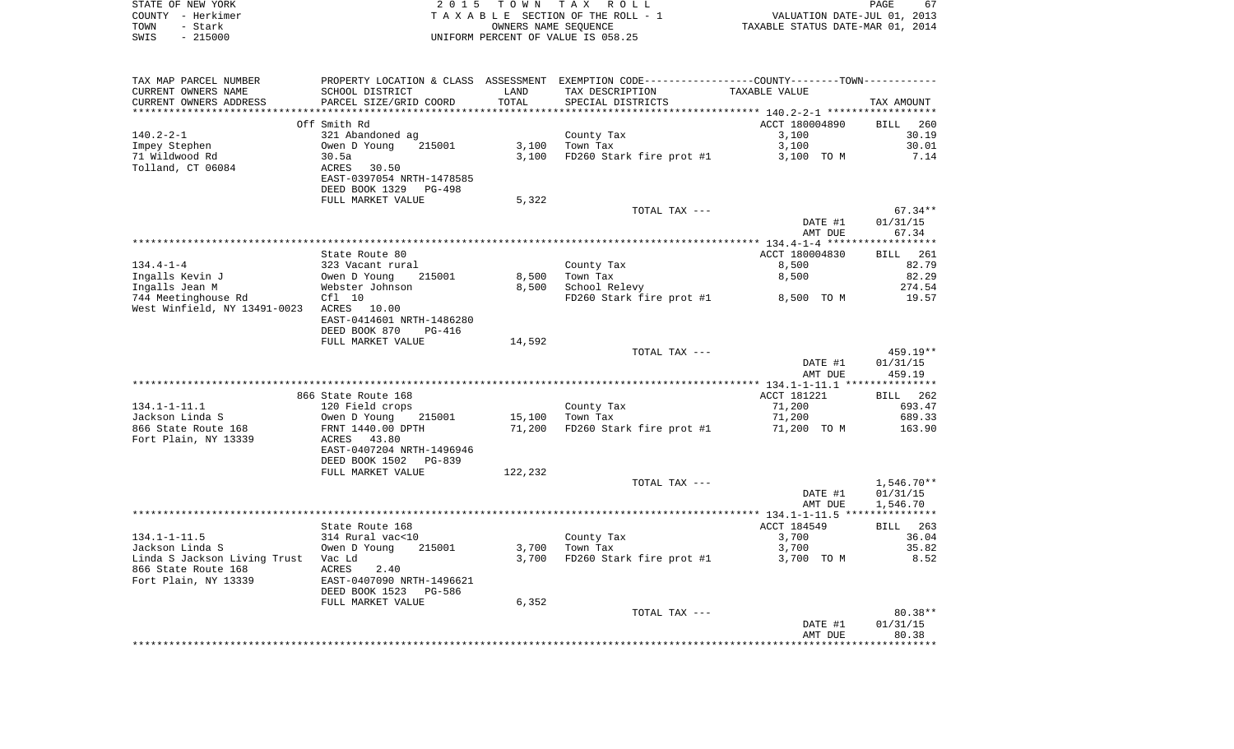| STATE OF NEW YORK | 2015 TOWN TAX ROLL                 | 67<br>PAGE                       |
|-------------------|------------------------------------|----------------------------------|
| COUNTY - Herkimer | TAXABLE SECTION OF THE ROLL - 1    | VALUATION DATE-JUL 01, 2013      |
| TOWN<br>- Stark   | OWNERS NAME SEOUENCE               | TAXABLE STATUS DATE-MAR 01, 2014 |
| $-215000$<br>SWIS | UNIFORM PERCENT OF VALUE IS 058.25 |                                  |

| TAX MAP PARCEL NUMBER                    |                           |         | PROPERTY LOCATION & CLASS ASSESSMENT EXEMPTION CODE----------------COUNTY--------TOWN----------- |                |                    |
|------------------------------------------|---------------------------|---------|--------------------------------------------------------------------------------------------------|----------------|--------------------|
| CURRENT OWNERS NAME                      | SCHOOL DISTRICT           | LAND    | TAX DESCRIPTION                                                                                  | TAXABLE VALUE  |                    |
| CURRENT OWNERS ADDRESS                   | PARCEL SIZE/GRID COORD    | TOTAL   | SPECIAL DISTRICTS                                                                                |                | TAX AMOUNT         |
|                                          |                           |         |                                                                                                  |                |                    |
|                                          | Off Smith Rd              |         |                                                                                                  | ACCT 180004890 | BILL 260           |
| $140.2 - 2 - 1$                          | 321 Abandoned ag          |         | County Tax                                                                                       | 3,100          | 30.19              |
| Impey Stephen                            | Owen D Young<br>215001    | 3,100   | Town Tax                                                                                         | 3,100          | 30.01              |
| 71 Wildwood Rd                           | 30.5a                     | 3,100   | FD260 Stark fire prot #1                                                                         | 3,100 TO M     | 7.14               |
| Tolland, CT 06084                        | ACRES<br>30.50            |         |                                                                                                  |                |                    |
|                                          | EAST-0397054 NRTH-1478585 |         |                                                                                                  |                |                    |
|                                          | DEED BOOK 1329<br>PG-498  |         |                                                                                                  |                |                    |
|                                          | FULL MARKET VALUE         | 5,322   |                                                                                                  |                |                    |
|                                          |                           |         | TOTAL TAX ---                                                                                    |                | $67.34**$          |
|                                          |                           |         |                                                                                                  | DATE #1        | 01/31/15           |
|                                          |                           |         |                                                                                                  | AMT DUE        | 67.34              |
|                                          |                           |         |                                                                                                  |                |                    |
|                                          | State Route 80            |         |                                                                                                  | ACCT 180004830 | <b>BILL</b> 261    |
| $134.4 - 1 - 4$                          | 323 Vacant rural          |         | County Tax                                                                                       | 8,500          | 82.79              |
| Ingalls Kevin J                          | Owen D Young<br>215001    | 8,500   | Town Tax                                                                                         | 8,500          | 82.29              |
| Ingalls Jean M                           | Webster Johnson           | 8,500   | School Relevy                                                                                    |                | 274.54             |
| 744 Meetinghouse Rd                      | $Cf1$ 10                  |         | FD260 Stark fire prot #1                                                                         | 8,500 TO M     | 19.57              |
| West Winfield, NY 13491-0023 ACRES 10.00 |                           |         |                                                                                                  |                |                    |
|                                          | EAST-0414601 NRTH-1486280 |         |                                                                                                  |                |                    |
|                                          | DEED BOOK 870<br>PG-416   |         |                                                                                                  |                |                    |
|                                          | FULL MARKET VALUE         | 14,592  |                                                                                                  |                |                    |
|                                          |                           |         | TOTAL TAX ---                                                                                    |                | 459.19**           |
|                                          |                           |         |                                                                                                  | DATE #1        | 01/31/15           |
|                                          |                           |         |                                                                                                  | AMT DUE        | 459.19             |
|                                          | 866 State Route 168       |         |                                                                                                  | ACCT 181221    |                    |
| $134.1 - 1 - 11.1$                       | 120 Field crops           |         |                                                                                                  | 71,200         | BILL 262<br>693.47 |
| Jackson Linda S                          | 215001<br>Owen D Young    | 15,100  | County Tax<br>Town Tax                                                                           | 71,200         | 689.33             |
| 866 State Route 168                      | FRNT 1440.00 DPTH         | 71,200  | FD260 Stark fire prot #1                                                                         | 71,200 TO M    | 163.90             |
| Fort Plain, NY 13339                     | ACRES 43.80               |         |                                                                                                  |                |                    |
|                                          | EAST-0407204 NRTH-1496946 |         |                                                                                                  |                |                    |
|                                          | DEED BOOK 1502<br>PG-839  |         |                                                                                                  |                |                    |
|                                          | FULL MARKET VALUE         | 122,232 |                                                                                                  |                |                    |
|                                          |                           |         | TOTAL TAX ---                                                                                    |                | $1,546.70**$       |
|                                          |                           |         |                                                                                                  | DATE #1        | 01/31/15           |
|                                          |                           |         |                                                                                                  | AMT DUE        | 1,546.70           |
|                                          |                           |         |                                                                                                  |                |                    |
|                                          | State Route 168           |         |                                                                                                  | ACCT 184549    | BILL 263           |
| $134.1 - 1 - 11.5$                       | 314 Rural vac<10          |         | County Tax                                                                                       | 3,700          | 36.04              |
| Jackson Linda S                          | Owen D Young<br>215001    | 3,700   | Town Tax                                                                                         | 3,700          | 35.82              |
| Linda S Jackson Living Trust Vac Ld      |                           | 3,700   | FD260 Stark fire prot #1                                                                         | 3,700 TO M     | 8.52               |
| 866 State Route 168                      | ACRES<br>2.40             |         |                                                                                                  |                |                    |
| Fort Plain, NY 13339                     | EAST-0407090 NRTH-1496621 |         |                                                                                                  |                |                    |
|                                          | DEED BOOK 1523<br>PG-586  |         |                                                                                                  |                |                    |
|                                          | FULL MARKET VALUE         | 6,352   |                                                                                                  |                |                    |
|                                          |                           |         | TOTAL TAX ---                                                                                    |                | $80.38**$          |
|                                          |                           |         |                                                                                                  | DATE #1        | 01/31/15           |
|                                          |                           |         |                                                                                                  | AMT DUE        | 80.38              |
|                                          |                           |         |                                                                                                  |                |                    |
|                                          |                           |         |                                                                                                  |                |                    |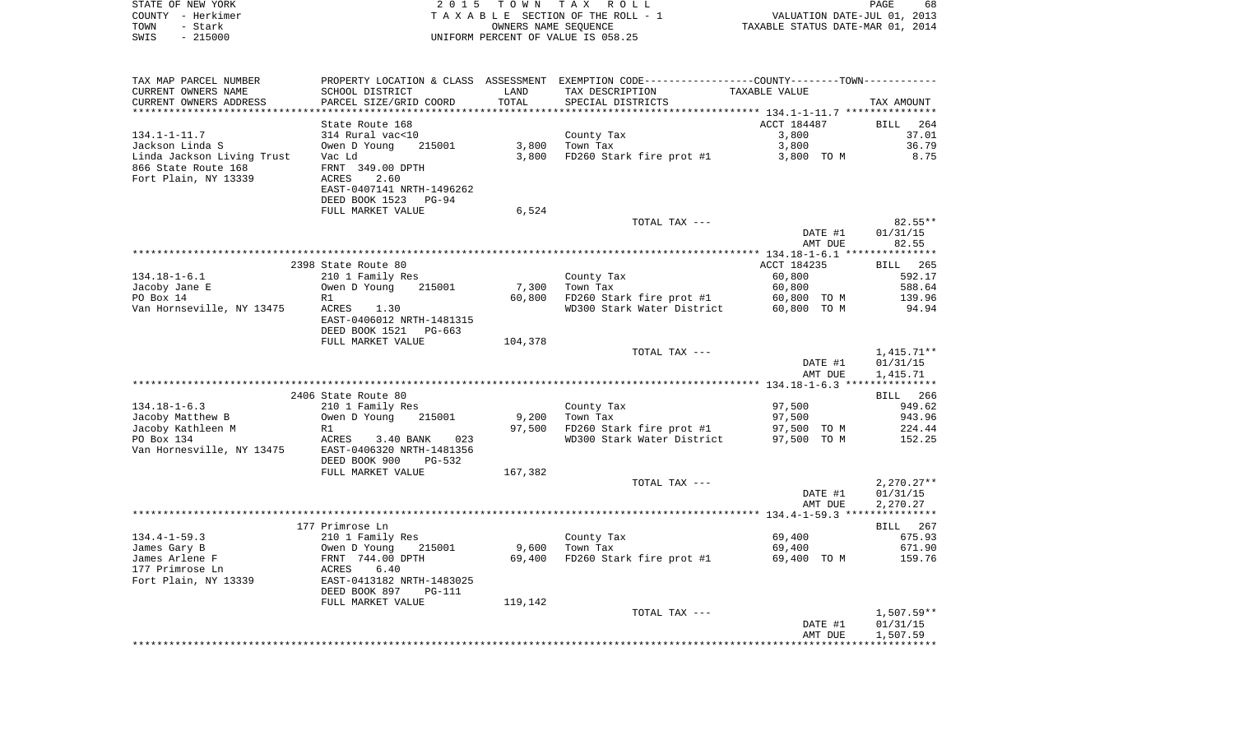| COUNTY - Herkimer                                                                     |                                                                                                                                                                                                                                                |         | TAXABLE SECTION OF THE ROLL - 1             |               |                 |
|---------------------------------------------------------------------------------------|------------------------------------------------------------------------------------------------------------------------------------------------------------------------------------------------------------------------------------------------|---------|---------------------------------------------|---------------|-----------------|
| - Stark<br>TOWN                                                                       |                                                                                                                                                                                                                                                |         |                                             |               |                 |
| $-215000$<br>SWIS                                                                     |                                                                                                                                                                                                                                                |         | UNIFORM PERCENT OF VALUE IS 058.25          |               |                 |
|                                                                                       |                                                                                                                                                                                                                                                |         |                                             |               |                 |
| TAX MAP PARCEL NUMBER                                                                 | PROPERTY LOCATION & CLASS ASSESSMENT EXEMPTION CODE----------------COUNTY-------TOWN----------                                                                                                                                                 |         |                                             |               |                 |
| CURRENT OWNERS NAME                                                                   | SCHOOL DISTRICT                                                                                                                                                                                                                                | LAND    | TAX DESCRIPTION                             | TAXABLE VALUE |                 |
| CURRENT OWNERS ADDRESS                                                                | PARCEL SIZE/GRID COORD                                                                                                                                                                                                                         | TOTAL   | SPECIAL DISTRICTS                           |               | TAX AMOUNT      |
|                                                                                       |                                                                                                                                                                                                                                                |         |                                             |               |                 |
|                                                                                       | State Route 168                                                                                                                                                                                                                                |         |                                             | ACCT 184487   | BILL 264        |
| 134.1-1-11.7                                                                          |                                                                                                                                                                                                                                                |         | County Tax<br>Town Tax                      | 3,800         | 37.01           |
| ----- + ++./<br>Jackson Linda S                                                       | 314 Rural vac<10<br>Owen D Young 215001                                                                                                                                                                                                        |         | County Tax<br>3,800 Town Tax                | 3,800         | 36.79           |
|                                                                                       |                                                                                                                                                                                                                                                |         | 3,800 FD260 Stark fire prot #1 3,800 TO M   |               | 8.75            |
|                                                                                       |                                                                                                                                                                                                                                                |         |                                             |               |                 |
| Linda Jackson Living Trust<br>1966 State Route 168<br>Fort Plain, NY 13339 MCRES 2.60 |                                                                                                                                                                                                                                                |         |                                             |               |                 |
|                                                                                       | EAST-0407141 NRTH-1496262                                                                                                                                                                                                                      |         |                                             |               |                 |
|                                                                                       | DEED BOOK 1523 PG-94                                                                                                                                                                                                                           |         |                                             |               |                 |
|                                                                                       | FULL MARKET VALUE                                                                                                                                                                                                                              | 6,524   |                                             |               |                 |
|                                                                                       |                                                                                                                                                                                                                                                |         | TOTAL TAX ---                               |               | $82.55**$       |
|                                                                                       |                                                                                                                                                                                                                                                |         |                                             | DATE #1       | 01/31/15        |
|                                                                                       |                                                                                                                                                                                                                                                |         |                                             | AMT DUE       | 82.55           |
|                                                                                       |                                                                                                                                                                                                                                                |         |                                             |               |                 |
|                                                                                       | 2398 State Route 80                                                                                                                                                                                                                            |         |                                             | ACCT 184235   | <b>BILL</b> 265 |
| $134.18 - 1 - 6.1$                                                                    |                                                                                                                                                                                                                                                |         |                                             | 60,800        | 592.17          |
| Jacoby Jane E                                                                         |                                                                                                                                                                                                                                                | 7,300   | County Tax<br>Town Tax<br>Town Tax          | 60,800        | 588.64          |
|                                                                                       | 210 1 Family Res<br>Owen D Young 215001<br>P1                                                                                                                                                                                                  |         | 60,800 FD260 Stark fire prot #1 60,800 TO M |               | 139.96          |
| EV DOX 14<br>Van Hornseville, NY 13475<br>November 2011 - ACRES 1.30                  |                                                                                                                                                                                                                                                |         | WD300 Stark Water District 60,800 TO M      |               | 94.94           |
|                                                                                       | EAST-0406012 NRTH-1481315                                                                                                                                                                                                                      |         |                                             |               |                 |
|                                                                                       | DEED BOOK 1521 PG-663                                                                                                                                                                                                                          |         |                                             |               |                 |
|                                                                                       | FULL MARKET VALUE                                                                                                                                                                                                                              | 104,378 |                                             |               |                 |
|                                                                                       |                                                                                                                                                                                                                                                |         | TOTAL TAX ---                               |               | 1,415.71**      |
|                                                                                       |                                                                                                                                                                                                                                                |         |                                             | DATE #1       | 01/31/15        |
|                                                                                       |                                                                                                                                                                                                                                                |         |                                             | AMT DUE       | 1,415.71        |
|                                                                                       |                                                                                                                                                                                                                                                |         |                                             |               |                 |
|                                                                                       | 2406 State Route 80                                                                                                                                                                                                                            |         |                                             |               | BILL 266        |
| $134.18 - 1 - 6.3$                                                                    | 210 1 Family Res                                                                                                                                                                                                                               |         | County Tax<br>Town Tax                      | 97,500        | 949.62          |
| Jacoby Matthew B                                                                      | $5 - 5 - 2$ $3 - 2$ $15001$                                                                                                                                                                                                                    |         | $9,200$ Town Tax                            | 97,500        | 943.96          |
|                                                                                       |                                                                                                                                                                                                                                                |         | 97,500 FD260 Stark fire prot #1             | 97,500 TO M   | 224.44          |
|                                                                                       | 97,500<br>Jacoby Kathleen M R1<br>PO Box 134 ACRES 3.40 BANK 023<br>Van Hornesville, NY 13475 EAST-0406320 NRTH-1481356<br>DEED BOOK 900 PG-532                                                                                                |         | WD300 Stark Water District 97,500 TO M      |               | 152.25          |
|                                                                                       |                                                                                                                                                                                                                                                |         |                                             |               |                 |
|                                                                                       |                                                                                                                                                                                                                                                |         |                                             |               |                 |
|                                                                                       | FULL MARKET VALUE                                                                                                                                                                                                                              | 167,382 |                                             |               |                 |
|                                                                                       |                                                                                                                                                                                                                                                |         | TOTAL TAX ---                               |               | $2,270.27**$    |
|                                                                                       |                                                                                                                                                                                                                                                |         |                                             | DATE #1       | 01/31/15        |
|                                                                                       |                                                                                                                                                                                                                                                |         |                                             | AMT DUE       | 2,270.27        |
|                                                                                       |                                                                                                                                                                                                                                                |         |                                             |               |                 |
|                                                                                       | 177 Primrose Ln                                                                                                                                                                                                                                |         |                                             |               | BILL 267        |
|                                                                                       |                                                                                                                                                                                                                                                |         |                                             |               | 675.93          |
|                                                                                       |                                                                                                                                                                                                                                                |         |                                             |               | 671.90          |
|                                                                                       |                                                                                                                                                                                                                                                |         |                                             |               | 159.76          |
|                                                                                       |                                                                                                                                                                                                                                                |         |                                             |               |                 |
|                                                                                       |                                                                                                                                                                                                                                                |         |                                             |               |                 |
|                                                                                       | 134.4-1-59.3<br>James Gary B 210 1 Family Res<br>James Arlene F (Nump 215001) 9,600 Town Tax 69,400<br>Town Tax 69,400<br>Town Tax 69,400<br>Town Tax 69,400<br>Town Tax 69,400<br>Fort Plain, NY 13339 EAST-0413182 NRTH-1483025<br>DEED BOOK |         |                                             |               |                 |
|                                                                                       | FULL MARKET VALUE                                                                                                                                                                                                                              | 119,142 |                                             |               |                 |
|                                                                                       |                                                                                                                                                                                                                                                |         | TOTAL TAX ---                               |               | 1,507.59**      |
|                                                                                       |                                                                                                                                                                                                                                                |         |                                             | DATE #1       | 01/31/15        |
|                                                                                       |                                                                                                                                                                                                                                                |         |                                             | AMT DUE       | 1,507.59        |
|                                                                                       |                                                                                                                                                                                                                                                |         |                                             |               |                 |

PAGE 68

STATE OF NEW YORK **EXECUTE:** TO W N TAX ROLL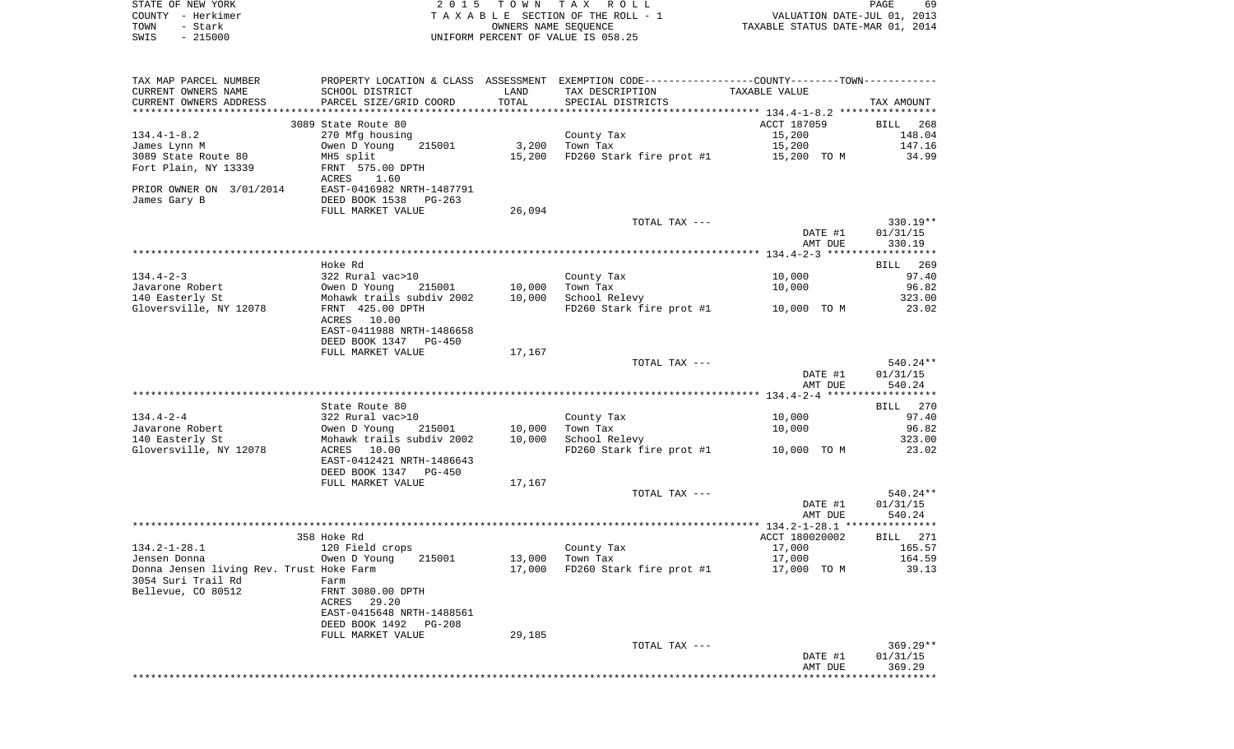| STATE OF NEW YORK      |                                                                      | 2015 TOWN  | TAX ROLL                                           |                                  | PAGE                   | 69    |
|------------------------|----------------------------------------------------------------------|------------|----------------------------------------------------|----------------------------------|------------------------|-------|
| - Herkimer<br>COUNTY   |                                                                      |            | TAXABLE SECTION OF THE ROLL - 1                    |                                  | VALUATION DATE-JUL 01, | 2013  |
| TOWN<br>- Stark        |                                                                      |            | OWNERS NAME SEOUENCE                               | TAXABLE STATUS DATE-MAR 01, 2014 |                        |       |
| $-215000$<br>SWIS      |                                                                      |            | UNIFORM PERCENT OF VALUE IS 058.25                 |                                  |                        |       |
|                        |                                                                      |            |                                                    |                                  |                        |       |
|                        |                                                                      |            |                                                    |                                  |                        |       |
| TAX MAP PARCEL NUMBER  | PROPERTY LOCATION & CLASS                                            | ASSESSMENT | EXEMPTION CODE-----------------COUNTY-------TOWN-- |                                  |                        |       |
| CURRENT OWNERS NAME    | SCHOOL DISTRICT                                                      | LAND       | TAX DESCRIPTION                                    | TAXABLE VALUE                    |                        |       |
| CURRENT OWNERS ADDRESS | PARCEL SIZE/GRID COORD                                               | TOTAL      | SPECIAL DISTRICTS                                  |                                  | TAX AMOUNT             |       |
|                        |                                                                      |            |                                                    |                                  |                        |       |
|                        | 3089 State Route 80                                                  |            |                                                    | ACCT 187059                      | BILL                   | 268   |
| $134.4 - 1 - 8.2$      | 270 Mfg housing                                                      |            | County Tax                                         | 15,200                           | 148.04                 |       |
| James Lynn M           | 215001<br>Owen D Young                                               | 3,200      | Town Tax                                           | 15,200                           | 147.16                 |       |
| 3089 State Route 80    | MH5 split                                                            | 15,200     | FD260 Stark fire prot #1                           | 15,200 TO M                      |                        | 34.99 |
|                        | $F_{\text{max}}$ $F_{\text{max}}$ $\theta$ $\theta$ $F_{\text{max}}$ |            |                                                    |                                  |                        |       |

|                                          | SUSS SLALE RUULE OU       |        |                                      | ACCI TO 1002   | <b>DITTE</b> 700 |
|------------------------------------------|---------------------------|--------|--------------------------------------|----------------|------------------|
| $134.4 - 1 - 8.2$                        | 270 Mfg housing           |        | County Tax                           | 15,200         | 148.04           |
| James Lynn M                             | Owen D Young<br>215001    | 3,200  | Town Tax                             | 15,200         | 147.16           |
| 3089 State Route 80                      | MH5 split                 | 15,200 | FD260 Stark fire prot #1             | 15,200 TO M    | 34.99            |
| Fort Plain, NY 13339                     | FRNT 575.00 DPTH          |        |                                      |                |                  |
|                                          | ACRES<br>1.60             |        |                                      |                |                  |
|                                          |                           |        |                                      |                |                  |
| PRIOR OWNER ON 3/01/2014                 | EAST-0416982 NRTH-1487791 |        |                                      |                |                  |
| James Gary B                             | DEED BOOK 1538 PG-263     |        |                                      |                |                  |
|                                          | FULL MARKET VALUE         | 26,094 |                                      |                |                  |
|                                          |                           |        | TOTAL TAX ---                        |                | 330.19**         |
|                                          |                           |        |                                      | DATE #1        | 01/31/15         |
|                                          |                           |        |                                      | AMT DUE        | 330.19           |
|                                          |                           |        |                                      |                |                  |
|                                          |                           |        |                                      |                |                  |
|                                          | Hoke Rd                   |        |                                      |                | BILL<br>269      |
| $134.4 - 2 - 3$                          | 322 Rural vac>10          |        | County Tax                           | 10,000         | 97.40            |
| Javarone Robert                          | Owen D Young<br>215001    | 10,000 | Town Tax                             | 10,000         | 96.82            |
| 140 Easterly St                          | Mohawk trails subdiv 2002 | 10,000 | School Relevy                        |                | 323.00           |
| Gloversville, NY 12078                   |                           |        | FD260 Stark fire prot #1 10,000 TO M |                |                  |
|                                          | FRNT 425.00 DPTH          |        |                                      |                | 23.02            |
|                                          | ACRES 10.00               |        |                                      |                |                  |
|                                          | EAST-0411988 NRTH-1486658 |        |                                      |                |                  |
|                                          | DEED BOOK 1347 PG-450     |        |                                      |                |                  |
|                                          | FULL MARKET VALUE         | 17,167 |                                      |                |                  |
|                                          |                           |        | TOTAL TAX ---                        |                | 540.24**         |
|                                          |                           |        |                                      | DATE #1        | 01/31/15         |
|                                          |                           |        |                                      |                |                  |
|                                          |                           |        |                                      | AMT DUE        | 540.24           |
|                                          |                           |        |                                      |                |                  |
|                                          | State Route 80            |        |                                      |                | BILL 270         |
| $134.4 - 2 - 4$                          | 322 Rural vac>10          |        | County Tax                           | 10,000         | 97.40            |
| Javarone Robert                          | 215001<br>Owen D Young    | 10,000 | Town Tax                             | 10,000         | 96.82            |
| 140 Easterly St                          | Mohawk trails subdiv 2002 | 10,000 | School Relevy                        |                | 323.00           |
| Gloversville, NY 12078                   | ACRES 10.00               |        | FD260 Stark fire prot #1             |                | 23.02            |
|                                          |                           |        |                                      | 10,000 TO M    |                  |
|                                          | EAST-0412421 NRTH-1486643 |        |                                      |                |                  |
|                                          | DEED BOOK 1347 PG-450     |        |                                      |                |                  |
|                                          | FULL MARKET VALUE         | 17,167 |                                      |                |                  |
|                                          |                           |        | TOTAL TAX ---                        |                | 540.24**         |
|                                          |                           |        |                                      | DATE #1        | 01/31/15         |
|                                          |                           |        |                                      | AMT DUE        | 540.24           |
|                                          |                           |        |                                      |                |                  |
|                                          |                           |        |                                      |                |                  |
|                                          | 358 Hoke Rd               |        |                                      | ACCT 180020002 | BILL 271         |
| $134.2 - 1 - 28.1$                       | 120 Field crops           |        | County Tax                           | 17,000         | 165.57           |
| Jensen Donna                             | Owen D Young<br>215001    | 13,000 | Town Tax                             | 17,000         | 164.59           |
| Donna Jensen living Rev. Trust Hoke Farm |                           | 17,000 | FD260 Stark fire prot #1             | 17,000 TO M    | 39.13            |
| 3054 Suri Trail Rd                       | Farm                      |        |                                      |                |                  |
| Bellevue, CO 80512                       | FRNT 3080.00 DPTH         |        |                                      |                |                  |
|                                          | 29.20                     |        |                                      |                |                  |
|                                          | ACRES                     |        |                                      |                |                  |
|                                          | EAST-0415648 NRTH-1488561 |        |                                      |                |                  |
|                                          | DEED BOOK 1492 PG-208     |        |                                      |                |                  |
|                                          | FULL MARKET VALUE         | 29,185 |                                      |                |                  |
|                                          |                           |        | TOTAL TAX ---                        |                | $369.29**$       |
|                                          |                           |        |                                      | DATE #1        | 01/31/15         |
|                                          |                           |        |                                      | AMT DUE        | 369.29           |
|                                          |                           |        |                                      |                |                  |
|                                          |                           |        |                                      |                |                  |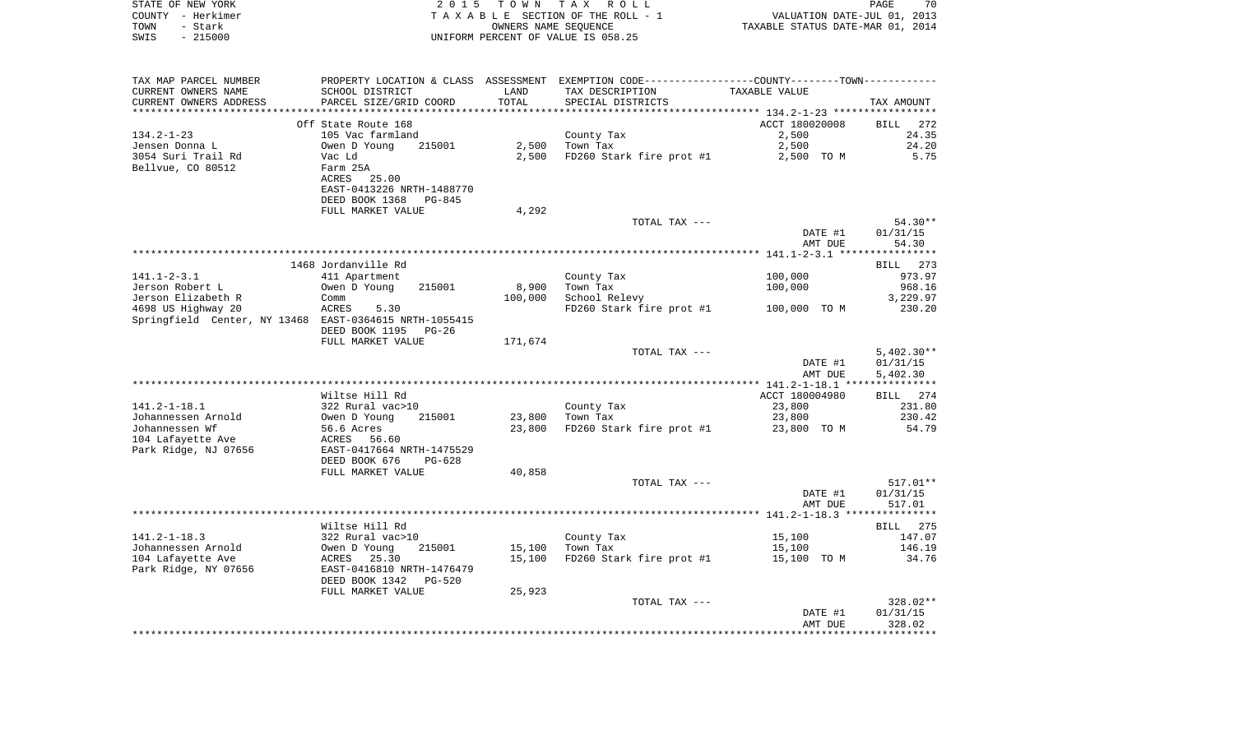|      | STATE OF NEW YORK | 2015 TOWN TAX ROLL                    |                                  | PAGE | 70 |
|------|-------------------|---------------------------------------|----------------------------------|------|----|
|      | COUNTY - Herkimer | T A X A B L E SECTION OF THE ROLL - 1 | VALUATION DATE-JUL 01, 2013      |      |    |
| TOWN | – Stark           | OWNERS NAME SEOUENCE                  | TAXABLE STATUS DATE-MAR 01, 2014 |      |    |
| SWIS | - 215000          | UNIFORM PERCENT OF VALUE IS 058.25    |                                  |      |    |
|      |                   |                                       |                                  |      |    |

| CURRENT OWNERS NAME<br>SCHOOL DISTRICT<br>LAND<br>TAX DESCRIPTION<br>TAXABLE VALUE<br>TOTAL<br>CURRENT OWNERS ADDRESS<br>PARCEL SIZE/GRID COORD<br>SPECIAL DISTRICTS<br>TAX AMOUNT<br>ACCT 180020008<br>Off State Route 168<br>BILL<br>272<br>$134.2 - 1 - 23$<br>105 Vac farmland<br>2,500<br>24.35<br>County Tax<br>24.20<br>Jensen Donna L<br>215001<br>2,500<br>Town Tax<br>2,500<br>Owen D Young<br>5.75<br>3054 Suri Trail Rd<br>2,500<br>FD260 Stark fire prot #1<br>2,500 TO M<br>Vac Ld<br>Bellvue, CO 80512<br>Farm 25A<br>ACRES<br>25.00<br>EAST-0413226 NRTH-1488770<br>DEED BOOK 1368<br>PG-845<br>4,292<br>FULL MARKET VALUE<br>$54.30**$<br>TOTAL TAX ---<br>01/31/15<br>DATE #1<br>54.30<br>AMT DUE<br>1468 Jordanville Rd<br>273<br>BILL<br>$141.1 - 2 - 3.1$<br>100,000<br>411 Apartment<br>County Tax<br>973.97<br>Jerson Robert L<br>Owen D Young<br>215001<br>8,900<br>Town Tax<br>100,000<br>968.16<br>Jerson Elizabeth R<br>100,000<br>School Relevy<br>3,229.97<br>Comm<br>4698 US Highway 20<br>5.30<br>FD260 Stark fire prot #1<br>100,000 TO M<br>230.20<br>ACRES<br>Springfield Center, NY 13468 EAST-0364615 NRTH-1055415<br>DEED BOOK 1195<br>$PG-26$<br>FULL MARKET VALUE<br>171,674<br>$5,402.30**$<br>TOTAL TAX ---<br>DATE #1<br>01/31/15<br>5,402.30<br>AMT DUE<br>Wiltse Hill Rd<br>ACCT 180004980<br>BILL 274<br>$141.2 - 1 - 18.1$<br>322 Rural vac>10<br>23,800<br>231.80<br>County Tax<br>Johannessen Arnold<br>Owen D Young<br>215001<br>23,800<br>Town Tax<br>23,800<br>230.42<br>Johannessen Wf<br>56.6 Acres<br>FD260 Stark fire prot #1<br>54.79<br>23,800<br>23,800 TO M<br>104 Lafayette Ave<br>ACRES 56.60<br>EAST-0417664 NRTH-1475529<br>Park Ridge, NJ 07656<br>DEED BOOK 676<br>PG-628<br>FULL MARKET VALUE<br>40,858<br>517.01**<br>TOTAL TAX ---<br>DATE #1<br>01/31/15<br>517.01<br>AMT DUE<br>Wiltse Hill Rd<br>BILL 275<br>$141.2 - 1 - 18.3$<br>322 Rural vac>10<br>147.07<br>County Tax<br>15,100<br>Johannessen Arnold<br>215001<br>Owen D Young<br>15,100<br>Town Tax<br>15,100<br>146.19<br>104 Lafayette Ave<br>25.30<br>15,100<br>FD260 Stark fire prot #1<br>ACRES<br>15,100 TO M<br>34.76<br>Park Ridge, NY 07656<br>EAST-0416810 NRTH-1476479<br>DEED BOOK 1342<br>$PG-520$<br>25,923<br>FULL MARKET VALUE<br>328.02**<br>TOTAL TAX ---<br>01/31/15<br>DATE #1<br>328.02<br>AMT DUE | TAX MAP PARCEL NUMBER | PROPERTY LOCATION & CLASS ASSESSMENT |  |  |
|--------------------------------------------------------------------------------------------------------------------------------------------------------------------------------------------------------------------------------------------------------------------------------------------------------------------------------------------------------------------------------------------------------------------------------------------------------------------------------------------------------------------------------------------------------------------------------------------------------------------------------------------------------------------------------------------------------------------------------------------------------------------------------------------------------------------------------------------------------------------------------------------------------------------------------------------------------------------------------------------------------------------------------------------------------------------------------------------------------------------------------------------------------------------------------------------------------------------------------------------------------------------------------------------------------------------------------------------------------------------------------------------------------------------------------------------------------------------------------------------------------------------------------------------------------------------------------------------------------------------------------------------------------------------------------------------------------------------------------------------------------------------------------------------------------------------------------------------------------------------------------------------------------------------------------------------------------------------------------------------------------------------------------------------------------------------------------------------------------------------------------------------------------------------------------------------------------------------------------------------------------------------------------------------------------------------------------------------------------|-----------------------|--------------------------------------|--|--|
|                                                                                                                                                                                                                                                                                                                                                                                                                                                                                                                                                                                                                                                                                                                                                                                                                                                                                                                                                                                                                                                                                                                                                                                                                                                                                                                                                                                                                                                                                                                                                                                                                                                                                                                                                                                                                                                                                                                                                                                                                                                                                                                                                                                                                                                                                                                                                        |                       |                                      |  |  |
|                                                                                                                                                                                                                                                                                                                                                                                                                                                                                                                                                                                                                                                                                                                                                                                                                                                                                                                                                                                                                                                                                                                                                                                                                                                                                                                                                                                                                                                                                                                                                                                                                                                                                                                                                                                                                                                                                                                                                                                                                                                                                                                                                                                                                                                                                                                                                        |                       |                                      |  |  |
|                                                                                                                                                                                                                                                                                                                                                                                                                                                                                                                                                                                                                                                                                                                                                                                                                                                                                                                                                                                                                                                                                                                                                                                                                                                                                                                                                                                                                                                                                                                                                                                                                                                                                                                                                                                                                                                                                                                                                                                                                                                                                                                                                                                                                                                                                                                                                        |                       |                                      |  |  |
|                                                                                                                                                                                                                                                                                                                                                                                                                                                                                                                                                                                                                                                                                                                                                                                                                                                                                                                                                                                                                                                                                                                                                                                                                                                                                                                                                                                                                                                                                                                                                                                                                                                                                                                                                                                                                                                                                                                                                                                                                                                                                                                                                                                                                                                                                                                                                        |                       |                                      |  |  |
|                                                                                                                                                                                                                                                                                                                                                                                                                                                                                                                                                                                                                                                                                                                                                                                                                                                                                                                                                                                                                                                                                                                                                                                                                                                                                                                                                                                                                                                                                                                                                                                                                                                                                                                                                                                                                                                                                                                                                                                                                                                                                                                                                                                                                                                                                                                                                        |                       |                                      |  |  |
|                                                                                                                                                                                                                                                                                                                                                                                                                                                                                                                                                                                                                                                                                                                                                                                                                                                                                                                                                                                                                                                                                                                                                                                                                                                                                                                                                                                                                                                                                                                                                                                                                                                                                                                                                                                                                                                                                                                                                                                                                                                                                                                                                                                                                                                                                                                                                        |                       |                                      |  |  |
|                                                                                                                                                                                                                                                                                                                                                                                                                                                                                                                                                                                                                                                                                                                                                                                                                                                                                                                                                                                                                                                                                                                                                                                                                                                                                                                                                                                                                                                                                                                                                                                                                                                                                                                                                                                                                                                                                                                                                                                                                                                                                                                                                                                                                                                                                                                                                        |                       |                                      |  |  |
|                                                                                                                                                                                                                                                                                                                                                                                                                                                                                                                                                                                                                                                                                                                                                                                                                                                                                                                                                                                                                                                                                                                                                                                                                                                                                                                                                                                                                                                                                                                                                                                                                                                                                                                                                                                                                                                                                                                                                                                                                                                                                                                                                                                                                                                                                                                                                        |                       |                                      |  |  |
|                                                                                                                                                                                                                                                                                                                                                                                                                                                                                                                                                                                                                                                                                                                                                                                                                                                                                                                                                                                                                                                                                                                                                                                                                                                                                                                                                                                                                                                                                                                                                                                                                                                                                                                                                                                                                                                                                                                                                                                                                                                                                                                                                                                                                                                                                                                                                        |                       |                                      |  |  |
|                                                                                                                                                                                                                                                                                                                                                                                                                                                                                                                                                                                                                                                                                                                                                                                                                                                                                                                                                                                                                                                                                                                                                                                                                                                                                                                                                                                                                                                                                                                                                                                                                                                                                                                                                                                                                                                                                                                                                                                                                                                                                                                                                                                                                                                                                                                                                        |                       |                                      |  |  |
|                                                                                                                                                                                                                                                                                                                                                                                                                                                                                                                                                                                                                                                                                                                                                                                                                                                                                                                                                                                                                                                                                                                                                                                                                                                                                                                                                                                                                                                                                                                                                                                                                                                                                                                                                                                                                                                                                                                                                                                                                                                                                                                                                                                                                                                                                                                                                        |                       |                                      |  |  |
|                                                                                                                                                                                                                                                                                                                                                                                                                                                                                                                                                                                                                                                                                                                                                                                                                                                                                                                                                                                                                                                                                                                                                                                                                                                                                                                                                                                                                                                                                                                                                                                                                                                                                                                                                                                                                                                                                                                                                                                                                                                                                                                                                                                                                                                                                                                                                        |                       |                                      |  |  |
|                                                                                                                                                                                                                                                                                                                                                                                                                                                                                                                                                                                                                                                                                                                                                                                                                                                                                                                                                                                                                                                                                                                                                                                                                                                                                                                                                                                                                                                                                                                                                                                                                                                                                                                                                                                                                                                                                                                                                                                                                                                                                                                                                                                                                                                                                                                                                        |                       |                                      |  |  |
|                                                                                                                                                                                                                                                                                                                                                                                                                                                                                                                                                                                                                                                                                                                                                                                                                                                                                                                                                                                                                                                                                                                                                                                                                                                                                                                                                                                                                                                                                                                                                                                                                                                                                                                                                                                                                                                                                                                                                                                                                                                                                                                                                                                                                                                                                                                                                        |                       |                                      |  |  |
|                                                                                                                                                                                                                                                                                                                                                                                                                                                                                                                                                                                                                                                                                                                                                                                                                                                                                                                                                                                                                                                                                                                                                                                                                                                                                                                                                                                                                                                                                                                                                                                                                                                                                                                                                                                                                                                                                                                                                                                                                                                                                                                                                                                                                                                                                                                                                        |                       |                                      |  |  |
|                                                                                                                                                                                                                                                                                                                                                                                                                                                                                                                                                                                                                                                                                                                                                                                                                                                                                                                                                                                                                                                                                                                                                                                                                                                                                                                                                                                                                                                                                                                                                                                                                                                                                                                                                                                                                                                                                                                                                                                                                                                                                                                                                                                                                                                                                                                                                        |                       |                                      |  |  |
|                                                                                                                                                                                                                                                                                                                                                                                                                                                                                                                                                                                                                                                                                                                                                                                                                                                                                                                                                                                                                                                                                                                                                                                                                                                                                                                                                                                                                                                                                                                                                                                                                                                                                                                                                                                                                                                                                                                                                                                                                                                                                                                                                                                                                                                                                                                                                        |                       |                                      |  |  |
|                                                                                                                                                                                                                                                                                                                                                                                                                                                                                                                                                                                                                                                                                                                                                                                                                                                                                                                                                                                                                                                                                                                                                                                                                                                                                                                                                                                                                                                                                                                                                                                                                                                                                                                                                                                                                                                                                                                                                                                                                                                                                                                                                                                                                                                                                                                                                        |                       |                                      |  |  |
|                                                                                                                                                                                                                                                                                                                                                                                                                                                                                                                                                                                                                                                                                                                                                                                                                                                                                                                                                                                                                                                                                                                                                                                                                                                                                                                                                                                                                                                                                                                                                                                                                                                                                                                                                                                                                                                                                                                                                                                                                                                                                                                                                                                                                                                                                                                                                        |                       |                                      |  |  |
|                                                                                                                                                                                                                                                                                                                                                                                                                                                                                                                                                                                                                                                                                                                                                                                                                                                                                                                                                                                                                                                                                                                                                                                                                                                                                                                                                                                                                                                                                                                                                                                                                                                                                                                                                                                                                                                                                                                                                                                                                                                                                                                                                                                                                                                                                                                                                        |                       |                                      |  |  |
|                                                                                                                                                                                                                                                                                                                                                                                                                                                                                                                                                                                                                                                                                                                                                                                                                                                                                                                                                                                                                                                                                                                                                                                                                                                                                                                                                                                                                                                                                                                                                                                                                                                                                                                                                                                                                                                                                                                                                                                                                                                                                                                                                                                                                                                                                                                                                        |                       |                                      |  |  |
|                                                                                                                                                                                                                                                                                                                                                                                                                                                                                                                                                                                                                                                                                                                                                                                                                                                                                                                                                                                                                                                                                                                                                                                                                                                                                                                                                                                                                                                                                                                                                                                                                                                                                                                                                                                                                                                                                                                                                                                                                                                                                                                                                                                                                                                                                                                                                        |                       |                                      |  |  |
|                                                                                                                                                                                                                                                                                                                                                                                                                                                                                                                                                                                                                                                                                                                                                                                                                                                                                                                                                                                                                                                                                                                                                                                                                                                                                                                                                                                                                                                                                                                                                                                                                                                                                                                                                                                                                                                                                                                                                                                                                                                                                                                                                                                                                                                                                                                                                        |                       |                                      |  |  |
|                                                                                                                                                                                                                                                                                                                                                                                                                                                                                                                                                                                                                                                                                                                                                                                                                                                                                                                                                                                                                                                                                                                                                                                                                                                                                                                                                                                                                                                                                                                                                                                                                                                                                                                                                                                                                                                                                                                                                                                                                                                                                                                                                                                                                                                                                                                                                        |                       |                                      |  |  |
|                                                                                                                                                                                                                                                                                                                                                                                                                                                                                                                                                                                                                                                                                                                                                                                                                                                                                                                                                                                                                                                                                                                                                                                                                                                                                                                                                                                                                                                                                                                                                                                                                                                                                                                                                                                                                                                                                                                                                                                                                                                                                                                                                                                                                                                                                                                                                        |                       |                                      |  |  |
|                                                                                                                                                                                                                                                                                                                                                                                                                                                                                                                                                                                                                                                                                                                                                                                                                                                                                                                                                                                                                                                                                                                                                                                                                                                                                                                                                                                                                                                                                                                                                                                                                                                                                                                                                                                                                                                                                                                                                                                                                                                                                                                                                                                                                                                                                                                                                        |                       |                                      |  |  |
|                                                                                                                                                                                                                                                                                                                                                                                                                                                                                                                                                                                                                                                                                                                                                                                                                                                                                                                                                                                                                                                                                                                                                                                                                                                                                                                                                                                                                                                                                                                                                                                                                                                                                                                                                                                                                                                                                                                                                                                                                                                                                                                                                                                                                                                                                                                                                        |                       |                                      |  |  |
|                                                                                                                                                                                                                                                                                                                                                                                                                                                                                                                                                                                                                                                                                                                                                                                                                                                                                                                                                                                                                                                                                                                                                                                                                                                                                                                                                                                                                                                                                                                                                                                                                                                                                                                                                                                                                                                                                                                                                                                                                                                                                                                                                                                                                                                                                                                                                        |                       |                                      |  |  |
|                                                                                                                                                                                                                                                                                                                                                                                                                                                                                                                                                                                                                                                                                                                                                                                                                                                                                                                                                                                                                                                                                                                                                                                                                                                                                                                                                                                                                                                                                                                                                                                                                                                                                                                                                                                                                                                                                                                                                                                                                                                                                                                                                                                                                                                                                                                                                        |                       |                                      |  |  |
|                                                                                                                                                                                                                                                                                                                                                                                                                                                                                                                                                                                                                                                                                                                                                                                                                                                                                                                                                                                                                                                                                                                                                                                                                                                                                                                                                                                                                                                                                                                                                                                                                                                                                                                                                                                                                                                                                                                                                                                                                                                                                                                                                                                                                                                                                                                                                        |                       |                                      |  |  |
|                                                                                                                                                                                                                                                                                                                                                                                                                                                                                                                                                                                                                                                                                                                                                                                                                                                                                                                                                                                                                                                                                                                                                                                                                                                                                                                                                                                                                                                                                                                                                                                                                                                                                                                                                                                                                                                                                                                                                                                                                                                                                                                                                                                                                                                                                                                                                        |                       |                                      |  |  |
|                                                                                                                                                                                                                                                                                                                                                                                                                                                                                                                                                                                                                                                                                                                                                                                                                                                                                                                                                                                                                                                                                                                                                                                                                                                                                                                                                                                                                                                                                                                                                                                                                                                                                                                                                                                                                                                                                                                                                                                                                                                                                                                                                                                                                                                                                                                                                        |                       |                                      |  |  |
|                                                                                                                                                                                                                                                                                                                                                                                                                                                                                                                                                                                                                                                                                                                                                                                                                                                                                                                                                                                                                                                                                                                                                                                                                                                                                                                                                                                                                                                                                                                                                                                                                                                                                                                                                                                                                                                                                                                                                                                                                                                                                                                                                                                                                                                                                                                                                        |                       |                                      |  |  |
|                                                                                                                                                                                                                                                                                                                                                                                                                                                                                                                                                                                                                                                                                                                                                                                                                                                                                                                                                                                                                                                                                                                                                                                                                                                                                                                                                                                                                                                                                                                                                                                                                                                                                                                                                                                                                                                                                                                                                                                                                                                                                                                                                                                                                                                                                                                                                        |                       |                                      |  |  |
|                                                                                                                                                                                                                                                                                                                                                                                                                                                                                                                                                                                                                                                                                                                                                                                                                                                                                                                                                                                                                                                                                                                                                                                                                                                                                                                                                                                                                                                                                                                                                                                                                                                                                                                                                                                                                                                                                                                                                                                                                                                                                                                                                                                                                                                                                                                                                        |                       |                                      |  |  |
|                                                                                                                                                                                                                                                                                                                                                                                                                                                                                                                                                                                                                                                                                                                                                                                                                                                                                                                                                                                                                                                                                                                                                                                                                                                                                                                                                                                                                                                                                                                                                                                                                                                                                                                                                                                                                                                                                                                                                                                                                                                                                                                                                                                                                                                                                                                                                        |                       |                                      |  |  |
|                                                                                                                                                                                                                                                                                                                                                                                                                                                                                                                                                                                                                                                                                                                                                                                                                                                                                                                                                                                                                                                                                                                                                                                                                                                                                                                                                                                                                                                                                                                                                                                                                                                                                                                                                                                                                                                                                                                                                                                                                                                                                                                                                                                                                                                                                                                                                        |                       |                                      |  |  |
|                                                                                                                                                                                                                                                                                                                                                                                                                                                                                                                                                                                                                                                                                                                                                                                                                                                                                                                                                                                                                                                                                                                                                                                                                                                                                                                                                                                                                                                                                                                                                                                                                                                                                                                                                                                                                                                                                                                                                                                                                                                                                                                                                                                                                                                                                                                                                        |                       |                                      |  |  |
|                                                                                                                                                                                                                                                                                                                                                                                                                                                                                                                                                                                                                                                                                                                                                                                                                                                                                                                                                                                                                                                                                                                                                                                                                                                                                                                                                                                                                                                                                                                                                                                                                                                                                                                                                                                                                                                                                                                                                                                                                                                                                                                                                                                                                                                                                                                                                        |                       |                                      |  |  |
|                                                                                                                                                                                                                                                                                                                                                                                                                                                                                                                                                                                                                                                                                                                                                                                                                                                                                                                                                                                                                                                                                                                                                                                                                                                                                                                                                                                                                                                                                                                                                                                                                                                                                                                                                                                                                                                                                                                                                                                                                                                                                                                                                                                                                                                                                                                                                        |                       |                                      |  |  |
|                                                                                                                                                                                                                                                                                                                                                                                                                                                                                                                                                                                                                                                                                                                                                                                                                                                                                                                                                                                                                                                                                                                                                                                                                                                                                                                                                                                                                                                                                                                                                                                                                                                                                                                                                                                                                                                                                                                                                                                                                                                                                                                                                                                                                                                                                                                                                        |                       |                                      |  |  |
|                                                                                                                                                                                                                                                                                                                                                                                                                                                                                                                                                                                                                                                                                                                                                                                                                                                                                                                                                                                                                                                                                                                                                                                                                                                                                                                                                                                                                                                                                                                                                                                                                                                                                                                                                                                                                                                                                                                                                                                                                                                                                                                                                                                                                                                                                                                                                        |                       |                                      |  |  |
|                                                                                                                                                                                                                                                                                                                                                                                                                                                                                                                                                                                                                                                                                                                                                                                                                                                                                                                                                                                                                                                                                                                                                                                                                                                                                                                                                                                                                                                                                                                                                                                                                                                                                                                                                                                                                                                                                                                                                                                                                                                                                                                                                                                                                                                                                                                                                        |                       |                                      |  |  |
|                                                                                                                                                                                                                                                                                                                                                                                                                                                                                                                                                                                                                                                                                                                                                                                                                                                                                                                                                                                                                                                                                                                                                                                                                                                                                                                                                                                                                                                                                                                                                                                                                                                                                                                                                                                                                                                                                                                                                                                                                                                                                                                                                                                                                                                                                                                                                        |                       |                                      |  |  |
|                                                                                                                                                                                                                                                                                                                                                                                                                                                                                                                                                                                                                                                                                                                                                                                                                                                                                                                                                                                                                                                                                                                                                                                                                                                                                                                                                                                                                                                                                                                                                                                                                                                                                                                                                                                                                                                                                                                                                                                                                                                                                                                                                                                                                                                                                                                                                        |                       |                                      |  |  |
|                                                                                                                                                                                                                                                                                                                                                                                                                                                                                                                                                                                                                                                                                                                                                                                                                                                                                                                                                                                                                                                                                                                                                                                                                                                                                                                                                                                                                                                                                                                                                                                                                                                                                                                                                                                                                                                                                                                                                                                                                                                                                                                                                                                                                                                                                                                                                        |                       |                                      |  |  |
|                                                                                                                                                                                                                                                                                                                                                                                                                                                                                                                                                                                                                                                                                                                                                                                                                                                                                                                                                                                                                                                                                                                                                                                                                                                                                                                                                                                                                                                                                                                                                                                                                                                                                                                                                                                                                                                                                                                                                                                                                                                                                                                                                                                                                                                                                                                                                        |                       |                                      |  |  |
|                                                                                                                                                                                                                                                                                                                                                                                                                                                                                                                                                                                                                                                                                                                                                                                                                                                                                                                                                                                                                                                                                                                                                                                                                                                                                                                                                                                                                                                                                                                                                                                                                                                                                                                                                                                                                                                                                                                                                                                                                                                                                                                                                                                                                                                                                                                                                        |                       |                                      |  |  |
|                                                                                                                                                                                                                                                                                                                                                                                                                                                                                                                                                                                                                                                                                                                                                                                                                                                                                                                                                                                                                                                                                                                                                                                                                                                                                                                                                                                                                                                                                                                                                                                                                                                                                                                                                                                                                                                                                                                                                                                                                                                                                                                                                                                                                                                                                                                                                        |                       |                                      |  |  |
|                                                                                                                                                                                                                                                                                                                                                                                                                                                                                                                                                                                                                                                                                                                                                                                                                                                                                                                                                                                                                                                                                                                                                                                                                                                                                                                                                                                                                                                                                                                                                                                                                                                                                                                                                                                                                                                                                                                                                                                                                                                                                                                                                                                                                                                                                                                                                        |                       |                                      |  |  |
|                                                                                                                                                                                                                                                                                                                                                                                                                                                                                                                                                                                                                                                                                                                                                                                                                                                                                                                                                                                                                                                                                                                                                                                                                                                                                                                                                                                                                                                                                                                                                                                                                                                                                                                                                                                                                                                                                                                                                                                                                                                                                                                                                                                                                                                                                                                                                        |                       |                                      |  |  |
|                                                                                                                                                                                                                                                                                                                                                                                                                                                                                                                                                                                                                                                                                                                                                                                                                                                                                                                                                                                                                                                                                                                                                                                                                                                                                                                                                                                                                                                                                                                                                                                                                                                                                                                                                                                                                                                                                                                                                                                                                                                                                                                                                                                                                                                                                                                                                        |                       |                                      |  |  |
|                                                                                                                                                                                                                                                                                                                                                                                                                                                                                                                                                                                                                                                                                                                                                                                                                                                                                                                                                                                                                                                                                                                                                                                                                                                                                                                                                                                                                                                                                                                                                                                                                                                                                                                                                                                                                                                                                                                                                                                                                                                                                                                                                                                                                                                                                                                                                        |                       |                                      |  |  |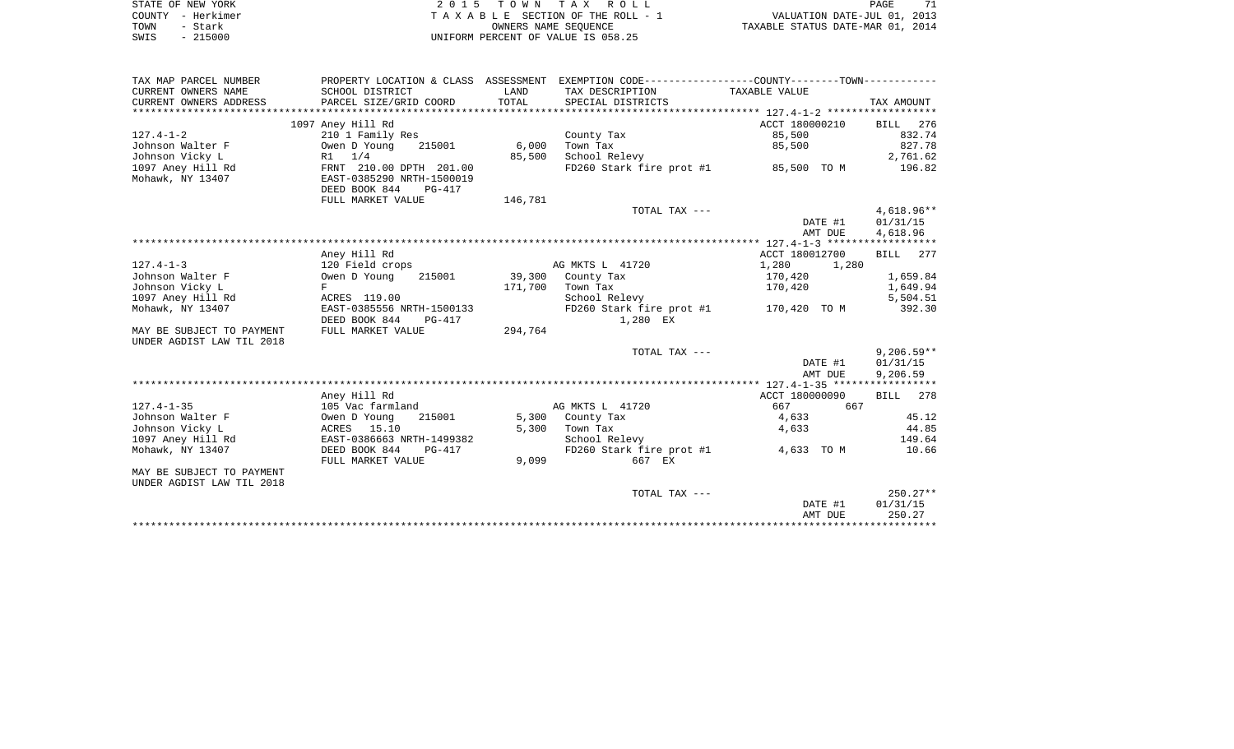| STATE OF NEW YORK |           | 2015 TOWN TAX ROLL                 | 71<br><b>PAGE</b>                |
|-------------------|-----------|------------------------------------|----------------------------------|
| COUNTY - Herkimer |           | TAXABLE SECTION OF THE ROLL - 1    | VALUATION DATE-JUL 01, 2013      |
| TOWN              | - Stark   | OWNERS NAME SEOUENCE               | TAXABLE STATUS DATE-MAR 01, 2014 |
| SWIS              | $-215000$ | UNIFORM PERCENT OF VALUE IS 058.25 |                                  |

|                                     |                                                                                               |         |                                      | DATE #1                      | 01/31/15           |
|-------------------------------------|-----------------------------------------------------------------------------------------------|---------|--------------------------------------|------------------------------|--------------------|
| UNDER AGDIST LAW TIL 2018           |                                                                                               |         | TOTAL TAX ---                        |                              | $250.27**$         |
| MAY BE SUBJECT TO PAYMENT           |                                                                                               |         |                                      |                              |                    |
|                                     | FULL MARKET VALUE                                                                             | 9,099   | 667 EX                               |                              |                    |
| Mohawk, NY 13407                    | DEED BOOK 844<br>PG-417                                                                       |         | FD260 Stark fire prot #1             | 4,633 TO M                   | 10.66              |
| 1097 Aney Hill Rd                   | EAST-0386663 NRTH-1499382                                                                     |         | School Relevy                        |                              | 149.64             |
| Johnson Vicky L                     | ACRES 15.10                                                                                   | 5,300   | Town Tax                             | 4,633                        | 44.85              |
| Johnson Walter F                    | Owen D Young<br>215001                                                                        |         | 5,300 County Tax                     | 4,633                        | 45.12              |
| $127.4 - 1 - 35$                    | Aney Hill Rd<br>105 Vac farmland                                                              |         | AG MKTS L 41720                      | ACCT 180000090<br>667<br>667 | BILL<br>278        |
|                                     |                                                                                               |         |                                      |                              |                    |
|                                     |                                                                                               |         |                                      | AMT DUE                      | 9,206.59           |
|                                     |                                                                                               |         |                                      | DATE #1                      | 01/31/15           |
|                                     |                                                                                               |         | TOTAL TAX ---                        |                              | $9,206.59**$       |
| UNDER AGDIST LAW TIL 2018           |                                                                                               |         |                                      |                              |                    |
| MAY BE SUBJECT TO PAYMENT           | FULL MARKET VALUE                                                                             | 294,764 |                                      |                              |                    |
|                                     | DEED BOOK 844<br>PG-417                                                                       |         | 1,280 EX                             |                              |                    |
| Mohawk, NY 13407                    | EAST-0385556 NRTH-1500133                                                                     |         | FD260 Stark fire prot #1             | 170,420 TO M                 | 392.30             |
| 1097 Aney Hill Rd                   | ACRES 119.00                                                                                  |         | School Relevy                        |                              | 5,504.51           |
| Johnson Vicky L                     | F                                                                                             | 171,700 | Town Tax                             | 170,420                      | 1,649.94           |
| $127.4 - 1 - 3$<br>Johnson Walter F | 120 Field crops<br>Owen D Young<br>215001                                                     |         | AG MKTS L 41720<br>39,300 County Tax | 1,280<br>1,280<br>170,420    | 1,659.84           |
|                                     | Aney Hill Rd                                                                                  |         |                                      | ACCT 180012700               | 277<br>BILL        |
|                                     |                                                                                               |         |                                      |                              |                    |
|                                     |                                                                                               |         |                                      | AMT DUE                      | 4,618.96           |
|                                     |                                                                                               |         |                                      | DATE #1                      | 01/31/15           |
|                                     |                                                                                               |         | TOTAL TAX ---                        |                              | $4,618.96**$       |
|                                     | FULL MARKET VALUE                                                                             | 146,781 |                                      |                              |                    |
|                                     | DEED BOOK 844<br>$PG-417$                                                                     |         |                                      |                              |                    |
| Mohawk, NY 13407                    | EAST-0385290 NRTH-1500019                                                                     |         |                                      |                              |                    |
| 1097 Aney Hill Rd                   | FRNT 210.00 DPTH 201.00                                                                       |         | FD260 Stark fire prot #1 85,500 TO M |                              | 196.82             |
| Johnson Vicky L                     | $R1 \t1/4$                                                                                    | 85,500  | School Relevy                        |                              | 2,761.62           |
| Johnson Walter F                    | Owen D Young<br>215001                                                                        | 6,000   | Town Tax                             | 85,500                       | 827.78             |
| $127.4 - 1 - 2$                     | 1097 Aney Hill Rd<br>210 1 Family Res                                                         |         | County Tax                           | 85,500                       | BILL 276<br>832.74 |
|                                     |                                                                                               |         |                                      | ACCT 180000210               |                    |
| CURRENT OWNERS ADDRESS              | PARCEL SIZE/GRID COORD                                                                        | TOTAL   | SPECIAL DISTRICTS                    |                              | TAX AMOUNT         |
| CURRENT OWNERS NAME                 | SCHOOL DISTRICT                                                                               | LAND    | TAX DESCRIPTION                      | TAXABLE VALUE                |                    |
| TAX MAP PARCEL NUMBER               | PROPERTY LOCATION & CLASS ASSESSMENT EXEMPTION CODE---------------COUNTY-------TOWN---------- |         |                                      |                              |                    |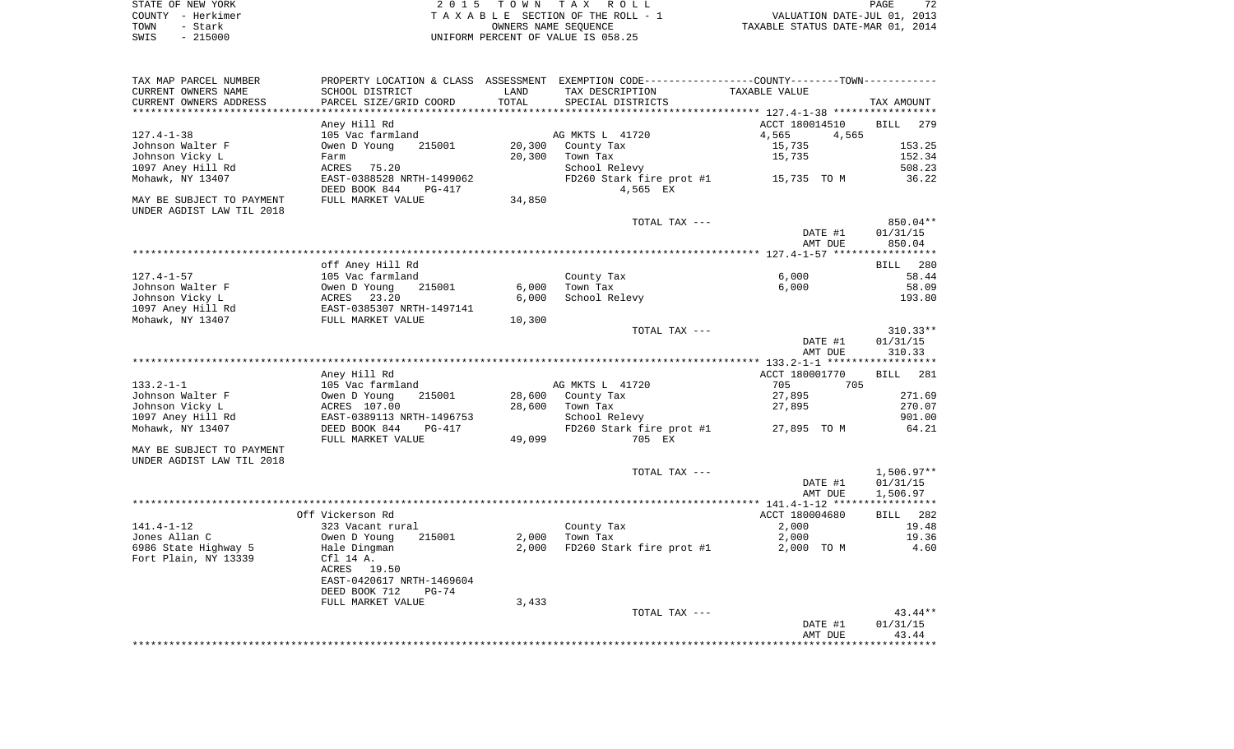|      | STATE OF NEW YORK | 2015 TOWN TAX ROLL                 | 72<br>PAGE                       |
|------|-------------------|------------------------------------|----------------------------------|
|      | COUNTY - Herkimer | TAXABLE SECTION OF THE ROLL - 1    | VALUATION DATE-JUL 01, 2013      |
| TOWN | - Stark           | OWNERS NAME SEOUENCE               | TAXABLE STATUS DATE-MAR 01, 2014 |
| SWIS | - 215000          | UNIFORM PERCENT OF VALUE IS 058.25 |                                  |

| TAX MAP PARCEL NUMBER     |                           |        | PROPERTY LOCATION & CLASS ASSESSMENT EXEMPTION CODE----------------COUNTY--------TOWN---------- |                                         |             |
|---------------------------|---------------------------|--------|-------------------------------------------------------------------------------------------------|-----------------------------------------|-------------|
| CURRENT OWNERS NAME       | SCHOOL DISTRICT           | LAND   | TAX DESCRIPTION                                                                                 | TAXABLE VALUE                           |             |
| CURRENT OWNERS ADDRESS    | PARCEL SIZE/GRID COORD    | TOTAL  | SPECIAL DISTRICTS                                                                               |                                         | TAX AMOUNT  |
|                           |                           |        |                                                                                                 | *************** 127.4-1-38 ************ |             |
|                           | Aney Hill Rd              |        |                                                                                                 | ACCT 180014510                          | BILL<br>279 |
| $127.4 - 1 - 38$          | 105 Vac farmland          |        | AG MKTS L 41720                                                                                 | 4,565<br>4,565                          |             |
| Johnson Walter F          | Owen D Young<br>215001    | 20,300 | County Tax                                                                                      | 15,735                                  | 153.25      |
| Johnson Vicky L           | Farm                      | 20,300 | Town Tax                                                                                        | 15,735                                  | 152.34      |
| 1097 Aney Hill Rd         | ACRES<br>75.20            |        | School Relevy                                                                                   |                                         | 508.23      |
| Mohawk, NY 13407          | EAST-0388528 NRTH-1499062 |        | FD260 Stark fire prot #1                                                                        | 15,735 TO M                             | 36.22       |
|                           | DEED BOOK 844<br>$PG-417$ |        | 4,565 EX                                                                                        |                                         |             |
| MAY BE SUBJECT TO PAYMENT | FULL MARKET VALUE         | 34,850 |                                                                                                 |                                         |             |
| UNDER AGDIST LAW TIL 2018 |                           |        |                                                                                                 |                                         |             |
|                           |                           |        | TOTAL TAX ---                                                                                   |                                         | 850.04**    |
|                           |                           |        |                                                                                                 | DATE #1                                 | 01/31/15    |
|                           |                           |        |                                                                                                 | AMT DUE                                 | 850.04      |
|                           |                           |        |                                                                                                 |                                         |             |
|                           | off Aney Hill Rd          |        |                                                                                                 |                                         | BILL 280    |
| $127.4 - 1 - 57$          | 105 Vac farmland          |        | County Tax                                                                                      | 6,000                                   | 58.44       |
| Johnson Walter F          | Owen D Young<br>215001    | 6,000  | Town Tax                                                                                        | 6,000                                   | 58.09       |
| Johnson Vicky L           | ACRES 23.20               | 6,000  | School Relevy                                                                                   |                                         | 193.80      |
| 1097 Aney Hill Rd         | EAST-0385307 NRTH-1497141 |        |                                                                                                 |                                         |             |
| Mohawk, NY 13407          | FULL MARKET VALUE         | 10,300 |                                                                                                 |                                         |             |
|                           |                           |        | TOTAL TAX ---                                                                                   |                                         | $310.33**$  |
|                           |                           |        |                                                                                                 | DATE #1                                 | 01/31/15    |
|                           |                           |        |                                                                                                 | AMT DUE                                 | 310.33      |
|                           |                           |        |                                                                                                 |                                         |             |
|                           | Aney Hill Rd              |        |                                                                                                 | ACCT 180001770                          | BILL<br>281 |
| $133.2 - 1 - 1$           | 105 Vac farmland          |        | AG MKTS L 41720                                                                                 | 705<br>705                              |             |
| Johnson Walter F          | 215001<br>Owen D Young    | 28,600 | County Tax                                                                                      | 27,895                                  | 271.69      |
| Johnson Vicky L           | ACRES 107.00              | 28,600 | Town Tax                                                                                        | 27,895                                  | 270.07      |
| 1097 Aney Hill Rd         | EAST-0389113 NRTH-1496753 |        | School Relevy                                                                                   |                                         | 901.00      |
| Mohawk, NY 13407          | DEED BOOK 844<br>PG-417   |        | FD260 Stark fire prot #1                                                                        | 27,895 TO M                             | 64.21       |
|                           |                           |        |                                                                                                 |                                         |             |
|                           | FULL MARKET VALUE         | 49,099 | 705 EX                                                                                          |                                         |             |
| MAY BE SUBJECT TO PAYMENT |                           |        |                                                                                                 |                                         |             |
| UNDER AGDIST LAW TIL 2018 |                           |        |                                                                                                 |                                         |             |
|                           |                           |        | TOTAL TAX ---                                                                                   |                                         | 1,506.97**  |
|                           |                           |        |                                                                                                 | DATE #1                                 | 01/31/15    |
|                           |                           |        |                                                                                                 | AMT DUE                                 | 1,506.97    |
|                           |                           |        |                                                                                                 |                                         |             |
|                           | Off Vickerson Rd          |        |                                                                                                 | ACCT 180004680                          | BILL 282    |
| $141.4 - 1 - 12$          | 323 Vacant rural          |        | County Tax                                                                                      | 2,000                                   | 19.48       |
| Jones Allan C             | Owen D Young<br>215001    | 2,000  | Town Tax                                                                                        | 2,000                                   | 19.36       |
| 6986 State Highway 5      | Hale Dingman              | 2,000  | FD260 Stark fire prot #1                                                                        | 2,000 TO M                              | 4.60        |
| Fort Plain, NY 13339      | Cfl 14 A.                 |        |                                                                                                 |                                         |             |
|                           | 19.50<br>ACRES            |        |                                                                                                 |                                         |             |
|                           | EAST-0420617 NRTH-1469604 |        |                                                                                                 |                                         |             |
|                           | DEED BOOK 712<br>$PG-74$  |        |                                                                                                 |                                         |             |
|                           | FULL MARKET VALUE         | 3,433  |                                                                                                 |                                         |             |
|                           |                           |        | TOTAL TAX ---                                                                                   |                                         | $43.44**$   |
|                           |                           |        |                                                                                                 | DATE #1                                 | 01/31/15    |
|                           |                           |        |                                                                                                 | AMT DUE                                 | 43.44       |
|                           |                           |        |                                                                                                 |                                         |             |
|                           |                           |        |                                                                                                 |                                         |             |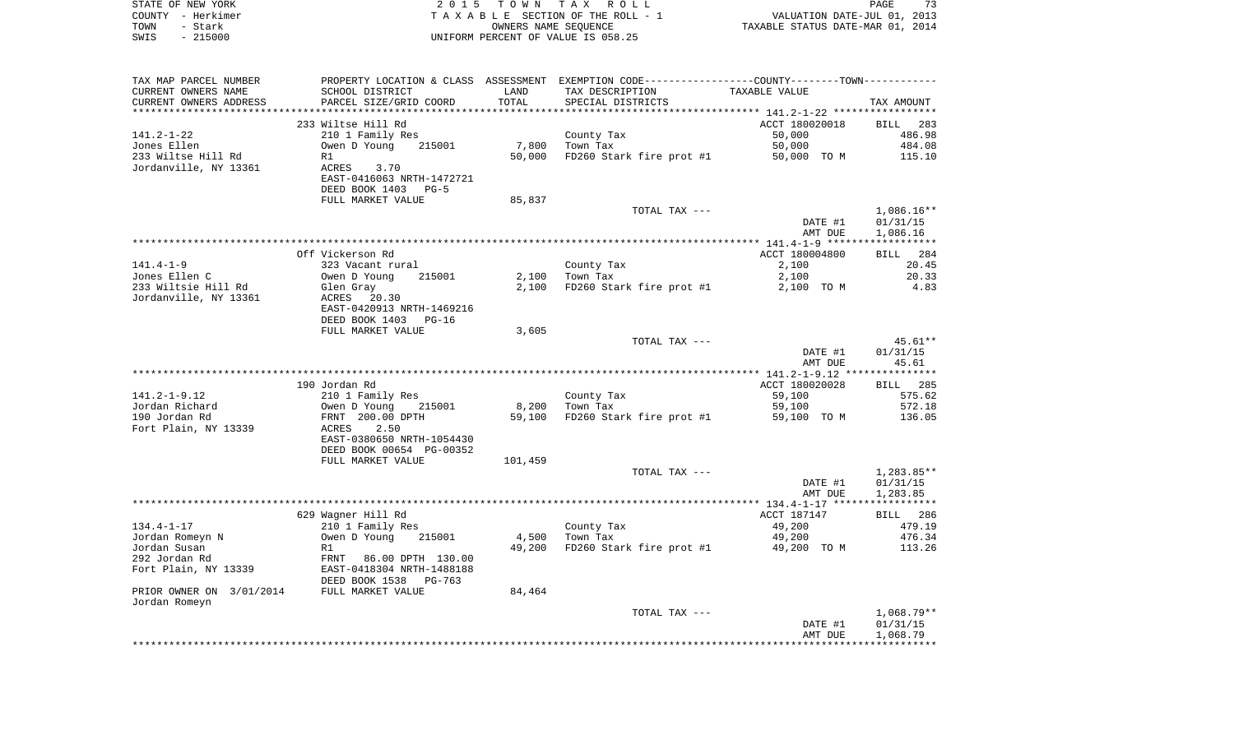|      | STATE OF NEW YORK      | 2015 TOWN TAX ROLL                                                                             |                                 |                                  | PAGE                        | 73 |
|------|------------------------|------------------------------------------------------------------------------------------------|---------------------------------|----------------------------------|-----------------------------|----|
|      | COUNTY - Herkimer      |                                                                                                | TAXABLE SECTION OF THE ROLL - 1 |                                  | VALUATION DATE-JUL 01, 2013 |    |
| TOWN | - Stark                |                                                                                                | OWNERS NAME SEOUENCE            | TAXABLE STATUS DATE-MAR 01, 2014 |                             |    |
| SWIS | $-215000$              | UNIFORM PERCENT OF VALUE IS 058.25                                                             |                                 |                                  |                             |    |
|      |                        |                                                                                                |                                 |                                  |                             |    |
|      |                        |                                                                                                |                                 |                                  |                             |    |
|      |                        |                                                                                                |                                 |                                  |                             |    |
|      | TAX MAP PARCEL NIIMBER | PROPERTY LOCATION & CLASS ASSESSMENT EXEMPTION CODE----------------COUNTY-------TOWN---------- |                                 |                                  |                             |    |

| TAX MAP PARCEL NUMBER                      | PROPERTY LOCATION & CLASS ASSESSMENT EXEMPTION CODE----------------COUNTY-------TOWN---------- |         |                                      |                |              |
|--------------------------------------------|------------------------------------------------------------------------------------------------|---------|--------------------------------------|----------------|--------------|
| CURRENT OWNERS NAME                        | SCHOOL DISTRICT                                                                                | LAND    | TAX DESCRIPTION                      | TAXABLE VALUE  |              |
| CURRENT OWNERS ADDRESS                     | PARCEL SIZE/GRID COORD                                                                         | TOTAL   | SPECIAL DISTRICTS                    |                | TAX AMOUNT   |
|                                            |                                                                                                |         |                                      |                |              |
|                                            | 233 Wiltse Hill Rd                                                                             |         |                                      | ACCT 180020018 | BILL 283     |
| $141.2 - 1 - 22$                           | 210 1 Family Res                                                                               |         | County Tax                           | 50,000         | 486.98       |
| Jones Ellen                                | Owen D Young<br>215001                                                                         | 7,800   | Town Tax                             | 50,000         | 484.08       |
| 233 Wiltse Hill Rd                         | R1                                                                                             | 50,000  | FD260 Stark fire prot #1             | 50,000 TO M    | 115.10       |
| Jordanville, NY 13361                      | ACRES<br>3.70                                                                                  |         |                                      |                |              |
|                                            | EAST-0416063 NRTH-1472721                                                                      |         |                                      |                |              |
|                                            | DEED BOOK 1403<br>$PG-5$                                                                       |         |                                      |                |              |
|                                            | FULL MARKET VALUE                                                                              | 85,837  |                                      |                |              |
|                                            |                                                                                                |         | TOTAL TAX ---                        |                | $1,086.16**$ |
|                                            |                                                                                                |         |                                      | DATE #1        | 01/31/15     |
|                                            |                                                                                                |         |                                      | AMT DUE        | 1,086.16     |
|                                            | Off Vickerson Rd                                                                               |         |                                      | ACCT 180004800 | BILL 284     |
| $141.4 - 1 - 9$                            | 323 Vacant rural                                                                               |         | County Tax                           | 2,100          | 20.45        |
| Jones Ellen C                              | Owen D Young<br>215001                                                                         | 2,100   | Town Tax                             | 2,100          | 20.33        |
| 233 Wiltsie Hill Rd                        | Glen Gray                                                                                      | 2,100   | FD260 Stark fire prot #1             | 2,100 TO M     | 4.83         |
| Jordanville, NY 13361                      | ACRES 20.30                                                                                    |         |                                      |                |              |
|                                            | EAST-0420913 NRTH-1469216                                                                      |         |                                      |                |              |
|                                            | DEED BOOK 1403<br>$PG-16$                                                                      |         |                                      |                |              |
|                                            | FULL MARKET VALUE                                                                              | 3,605   |                                      |                |              |
|                                            |                                                                                                |         | TOTAL TAX ---                        |                | 45.61**      |
|                                            |                                                                                                |         |                                      | DATE #1        | 01/31/15     |
|                                            |                                                                                                |         |                                      | AMT DUE        | 45.61        |
|                                            |                                                                                                |         |                                      |                |              |
|                                            | 190 Jordan Rd                                                                                  |         |                                      | ACCT 180020028 | BILL 285     |
| $141.2 - 1 - 9.12$                         | 210 1 Family Res                                                                               |         | County Tax                           | 59,100         | 575.62       |
| Jordan Richard                             | Owen D Young 215001                                                                            | 8,200   | Town Tax                             | 59,100         | 572.18       |
| 190 Jordan Rd                              | FRNT 200.00 DPTH                                                                               | 59,100  | FD260 Stark fire prot #1 59,100 TO M |                | 136.05       |
| Fort Plain, NY 13339                       | ACRES<br>2.50                                                                                  |         |                                      |                |              |
|                                            | EAST-0380650 NRTH-1054430                                                                      |         |                                      |                |              |
|                                            | DEED BOOK 00654 PG-00352                                                                       |         |                                      |                |              |
|                                            | FULL MARKET VALUE                                                                              | 101,459 |                                      |                |              |
|                                            |                                                                                                |         | TOTAL TAX ---                        |                | $1,283.85**$ |
|                                            |                                                                                                |         |                                      | DATE #1        | 01/31/15     |
|                                            |                                                                                                |         |                                      | AMT DUE        | 1,283.85     |
|                                            |                                                                                                |         |                                      |                |              |
|                                            | 629 Wagner Hill Rd                                                                             |         |                                      | ACCT 187147    | BILL 286     |
| $134.4 - 1 - 17$                           | 210 1 Family Res                                                                               |         | County Tax                           | 49,200         | 479.19       |
| Jordan Romeyn N                            | Owen D Young<br>215001                                                                         | 4,500   | Town Tax                             | 49,200         | 476.34       |
| Jordan Susan                               | R1                                                                                             | 49,200  | FD260 Stark fire prot #1             | 49,200 TO M    | 113.26       |
| 292 Jordan Rd                              | FRNT 86.00 DPTH 130.00                                                                         |         |                                      |                |              |
| Fort Plain, NY 13339                       | EAST-0418304 NRTH-1488188                                                                      |         |                                      |                |              |
|                                            | DEED BOOK 1538<br>PG-763                                                                       |         |                                      |                |              |
| PRIOR OWNER ON 3/01/2014 FULL MARKET VALUE |                                                                                                | 84,464  |                                      |                |              |
| Jordan Romeyn                              |                                                                                                |         |                                      |                |              |
|                                            |                                                                                                |         | TOTAL TAX ---                        |                | $1,068.79**$ |
|                                            |                                                                                                |         |                                      | DATE #1        | 01/31/15     |
|                                            |                                                                                                |         |                                      | AMT DUE        | 1,068.79     |
|                                            |                                                                                                |         |                                      |                |              |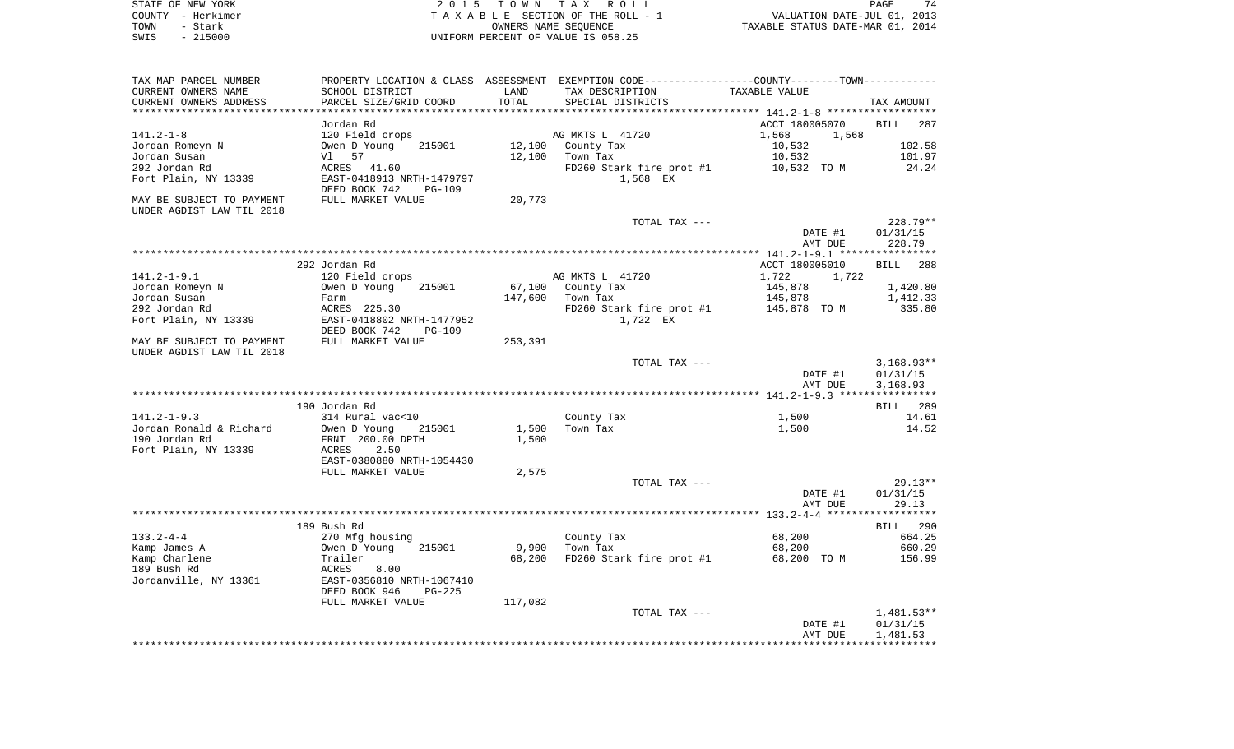STATE OF NEW YORK **EXECUTE:** TO W N TAX ROLL PAGE 74 COUNTY - Herkimer T A X A B L E SECTION OF THE ROLL - 1 VALUATION DATE-JUL 01, 2013 TOWN - STARK OUR COLL - 1<br>
TAXABLE STATUS DATE-JUL 01, 2013<br>
OWNERS NAME SEQUENCE TAXABLE STATUS DATE-MAR 01, 2014 SWIS - 215000 UNIFORM PERCENT OF VALUE IS 058.25

| TAX MAP PARCEL NUMBER     |                                                        |         | PROPERTY LOCATION & CLASS ASSESSMENT EXEMPTION CODE---------------COUNTY-------TOWN---------- |                    |                    |
|---------------------------|--------------------------------------------------------|---------|-----------------------------------------------------------------------------------------------|--------------------|--------------------|
| CURRENT OWNERS NAME       | SCHOOL DISTRICT                                        | LAND    | TAX DESCRIPTION                                                                               | TAXABLE VALUE      |                    |
| CURRENT OWNERS ADDRESS    | PARCEL SIZE/GRID COORD                                 | TOTAL   | SPECIAL DISTRICTS                                                                             |                    | TAX AMOUNT         |
| **********************    |                                                        |         |                                                                                               |                    |                    |
|                           | Jordan Rd                                              |         |                                                                                               | ACCT 180005070     | <b>BILL</b><br>287 |
| $141.2 - 1 - 8$           | 120 Field crops                                        |         | AG MKTS L 41720                                                                               | 1,568<br>1,568     |                    |
| Jordan Romeyn N           | Owen D Young<br>215001                                 | 12,100  | County Tax                                                                                    | 10,532             | 102.58             |
| Jordan Susan              | 57<br>Vl l                                             | 12,100  | Town Tax                                                                                      | 10,532             | 101.97             |
| 292 Jordan Rd             | ACRES 41.60                                            |         | FD260 Stark fire prot #1                                                                      | 10,532 TO M        | 24.24              |
| Fort Plain, NY 13339      | EAST-0418913 NRTH-1479797<br>DEED BOOK 742<br>$PG-109$ |         | 1,568 EX                                                                                      |                    |                    |
| MAY BE SUBJECT TO PAYMENT | FULL MARKET VALUE                                      | 20,773  |                                                                                               |                    |                    |
| UNDER AGDIST LAW TIL 2018 |                                                        |         |                                                                                               |                    |                    |
|                           |                                                        |         | TOTAL TAX ---                                                                                 |                    | 228.79**           |
|                           |                                                        |         |                                                                                               | DATE #1            | 01/31/15           |
|                           |                                                        |         |                                                                                               | AMT DUE            | 228.79             |
|                           |                                                        |         |                                                                                               |                    |                    |
|                           | 292 Jordan Rd                                          |         |                                                                                               | ACCT 180005010     | BILL 288           |
| $141.2 - 1 - 9.1$         | 120 Field crops                                        |         | AG MKTS L 41720                                                                               | 1,722<br>1,722     |                    |
| Jordan Romeyn N           | 215001<br>Owen D Young                                 | 67,100  | County Tax                                                                                    | 145,878            | 1,420.80           |
| Jordan Susan              | Farm                                                   | 147,600 | Town Tax                                                                                      | 145,878            | 1,412.33           |
| 292 Jordan Rd             | ACRES 225.30                                           |         | FD260 Stark fire prot #1                                                                      | 145,878 TO M       | 335.80             |
| Fort Plain, NY 13339      | EAST-0418802 NRTH-1477952                              |         | 1,722 EX                                                                                      |                    |                    |
|                           | DEED BOOK 742<br><b>PG-109</b>                         |         |                                                                                               |                    |                    |
| MAY BE SUBJECT TO PAYMENT | FULL MARKET VALUE                                      | 253,391 |                                                                                               |                    |                    |
| UNDER AGDIST LAW TIL 2018 |                                                        |         | TOTAL TAX ---                                                                                 |                    | $3,168.93**$       |
|                           |                                                        |         |                                                                                               | DATE #1            | 01/31/15           |
|                           |                                                        |         |                                                                                               | AMT DUE            | 3,168.93           |
|                           |                                                        |         |                                                                                               |                    |                    |
|                           | 190 Jordan Rd                                          |         |                                                                                               |                    | BILL 289           |
| $141.2 - 1 - 9.3$         | 314 Rural vac<10                                       |         | County Tax                                                                                    | 1,500              | 14.61              |
| Jordan Ronald & Richard   | Owen D Young<br>215001                                 | 1,500   | Town Tax                                                                                      | 1,500              | 14.52              |
| 190 Jordan Rd             | FRNT 200.00 DPTH                                       | 1,500   |                                                                                               |                    |                    |
| Fort Plain, NY 13339      | ACRES<br>2.50                                          |         |                                                                                               |                    |                    |
|                           | EAST-0380880 NRTH-1054430                              |         |                                                                                               |                    |                    |
|                           | FULL MARKET VALUE                                      | 2,575   |                                                                                               |                    |                    |
|                           |                                                        |         | TOTAL TAX ---                                                                                 |                    | $29.13**$          |
|                           |                                                        |         |                                                                                               | DATE #1            | 01/31/15           |
|                           |                                                        |         |                                                                                               | AMT DUE            | 29.13              |
|                           |                                                        |         |                                                                                               |                    |                    |
|                           | 189 Bush Rd                                            |         |                                                                                               |                    | BILL 290           |
| $133.2 - 4 - 4$           | 270 Mfg housing                                        |         | County Tax                                                                                    | 68,200             | 664.25             |
| Kamp James A              | Owen D Young<br>215001                                 | 9,900   | Town Tax                                                                                      | 68,200             | 660.29             |
| Kamp Charlene             | Trailer                                                | 68,200  | FD260 Stark fire prot #1                                                                      | 68,200 TO M        | 156.99             |
| 189 Bush Rd               | ACRES<br>8.00                                          |         |                                                                                               |                    |                    |
| Jordanville, NY 13361     | EAST-0356810 NRTH-1067410                              |         |                                                                                               |                    |                    |
|                           | DEED BOOK 946<br><b>PG-225</b>                         |         |                                                                                               |                    |                    |
|                           | FULL MARKET VALUE                                      | 117,082 |                                                                                               |                    |                    |
|                           |                                                        |         | TOTAL TAX ---                                                                                 |                    | $1,481.53**$       |
|                           |                                                        |         |                                                                                               | DATE #1<br>AMT DUE | 01/31/15           |
|                           |                                                        |         |                                                                                               |                    | 1,481.53           |
|                           |                                                        |         |                                                                                               |                    |                    |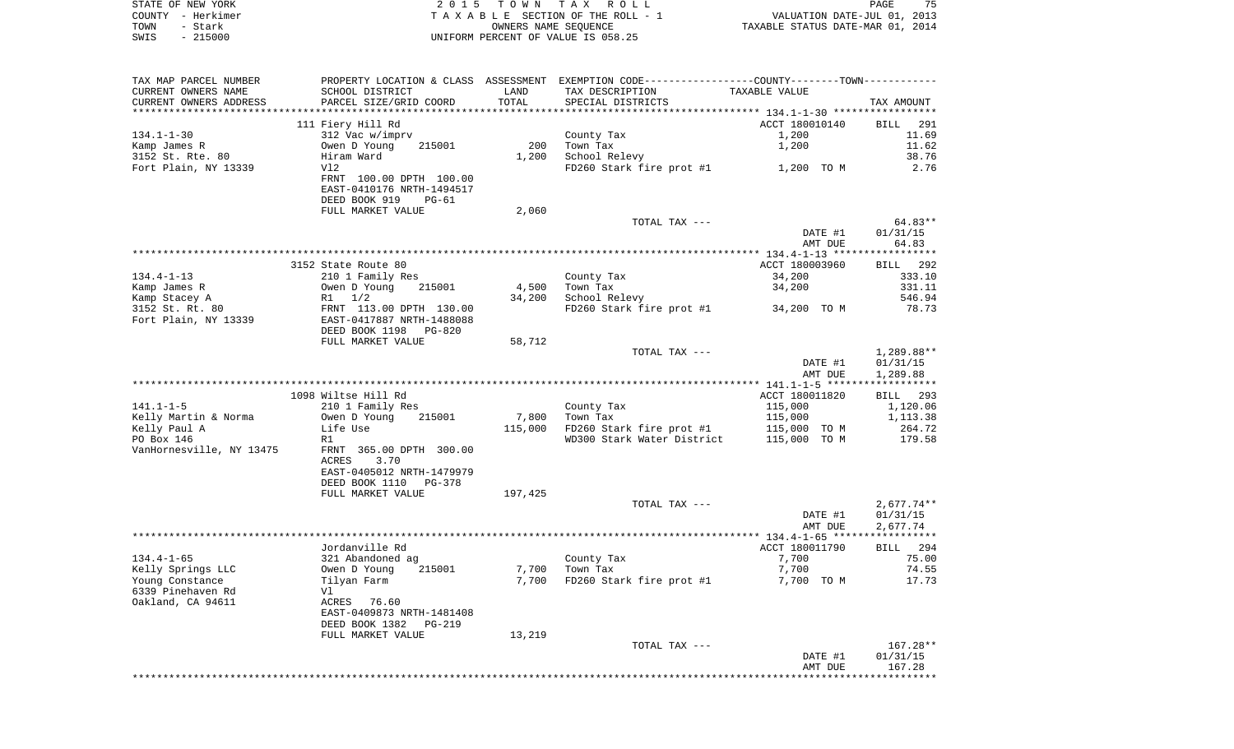|      | STATE OF NEW YORK | 2015 TOWN TAX ROLL                    | 75<br>PAGE                       |
|------|-------------------|---------------------------------------|----------------------------------|
|      | COUNTY - Herkimer | T A X A B L E SECTION OF THE ROLL - 1 | VALUATION DATE-JUL 01, 2013      |
| TOWN | - Stark           | OWNERS NAME SEOUENCE                  | TAXABLE STATUS DATE-MAR 01, 2014 |
| SWIS | $-215000$         | UNIFORM PERCENT OF VALUE IS 058.25    |                                  |

| TAX MAP PARCEL NUMBER    |                                 |         | PROPERTY LOCATION & CLASS ASSESSMENT EXEMPTION CODE---------------COUNTY-------TOWN---------- |                    |                         |
|--------------------------|---------------------------------|---------|-----------------------------------------------------------------------------------------------|--------------------|-------------------------|
| CURRENT OWNERS NAME      | SCHOOL DISTRICT                 | LAND    | TAX DESCRIPTION                                                                               | TAXABLE VALUE      |                         |
| CURRENT OWNERS ADDRESS   | PARCEL SIZE/GRID COORD          | TOTAL   | SPECIAL DISTRICTS                                                                             |                    | TAX AMOUNT              |
| **********************   |                                 |         |                                                                                               |                    |                         |
|                          | 111 Fiery Hill Rd               |         |                                                                                               | ACCT 180010140     | <b>BILL</b><br>291      |
| $134.1 - 1 - 30$         | 312 Vac w/imprv                 |         | County Tax                                                                                    | 1,200              | 11.69                   |
| Kamp James R             | 215001<br>Owen D Young          | 200     | Town Tax                                                                                      | 1,200              | 11.62                   |
| 3152 St. Rte. 80         | Hiram Ward                      | 1,200   | School Relevy                                                                                 |                    | 38.76                   |
| Fort Plain, NY 13339     | V12                             |         | FD260 Stark fire prot #1                                                                      | 1,200 TO M         | 2.76                    |
|                          | FRNT 100.00 DPTH 100.00         |         |                                                                                               |                    |                         |
|                          | EAST-0410176 NRTH-1494517       |         |                                                                                               |                    |                         |
|                          | DEED BOOK 919<br>$PG-61$        |         |                                                                                               |                    |                         |
|                          | FULL MARKET VALUE               | 2,060   | TOTAL TAX ---                                                                                 |                    | 64.83**                 |
|                          |                                 |         |                                                                                               | DATE #1            | 01/31/15                |
|                          |                                 |         |                                                                                               | AMT DUE            | 64.83                   |
|                          |                                 |         |                                                                                               |                    | ***********             |
|                          | 3152 State Route 80             |         |                                                                                               | ACCT 180003960     | 292<br>BILL             |
| $134.4 - 1 - 13$         | 210 1 Family Res                |         | County Tax                                                                                    | 34,200             | 333.10                  |
| Kamp James R             | Owen D Young<br>215001          | 4,500   | Town Tax                                                                                      | 34,200             | 331.11                  |
| Kamp Stacey A            | 1/2<br>R1                       | 34,200  | School Relevy                                                                                 |                    | 546.94                  |
| 3152 St. Rt. 80          | FRNT 113.00 DPTH 130.00         |         | FD260 Stark fire prot #1                                                                      | 34,200 TO M        | 78.73                   |
| Fort Plain, NY 13339     | EAST-0417887 NRTH-1488088       |         |                                                                                               |                    |                         |
|                          | DEED BOOK 1198<br><b>PG-820</b> |         |                                                                                               |                    |                         |
|                          | FULL MARKET VALUE               | 58,712  |                                                                                               |                    |                         |
|                          |                                 |         | TOTAL TAX ---                                                                                 |                    | 1,289.88**              |
|                          |                                 |         |                                                                                               | DATE #1<br>AMT DUE | 01/31/15<br>1,289.88    |
|                          |                                 |         |                                                                                               |                    | * * * * * * * * * * * * |
|                          | 1098 Wiltse Hill Rd             |         |                                                                                               | ACCT 180011820     | 293<br>BILL             |
| $141.1 - 1 - 5$          | 210 1 Family Res                |         | County Tax                                                                                    | 115,000            | 1,120.06                |
| Kelly Martin & Norma     | Owen D Young<br>215001          | 7,800   | Town Tax                                                                                      | 115,000            | 1,113.38                |
| Kelly Paul A             | Life Use                        | 115,000 | FD260 Stark fire prot #1                                                                      | 115,000 TO M       | 264.72                  |
| PO Box 146               | R1                              |         | WD300 Stark Water District                                                                    | 115,000 TO M       | 179.58                  |
| VanHornesville, NY 13475 | FRNT 365.00 DPTH 300.00         |         |                                                                                               |                    |                         |
|                          | ACRES<br>3.70                   |         |                                                                                               |                    |                         |
|                          | EAST-0405012 NRTH-1479979       |         |                                                                                               |                    |                         |
|                          | DEED BOOK 1110<br>$PG-378$      |         |                                                                                               |                    |                         |
|                          | FULL MARKET VALUE               | 197,425 |                                                                                               |                    |                         |
|                          |                                 |         | TOTAL TAX ---                                                                                 |                    | $2,677.74**$            |
|                          |                                 |         |                                                                                               | DATE #1<br>AMT DUE | 01/31/15<br>2,677.74    |
|                          |                                 |         |                                                                                               |                    | ***********             |
|                          | Jordanville Rd                  |         |                                                                                               | ACCT 180011790     | 294<br>BILL             |
| $134.4 - 1 - 65$         | 321 Abandoned ag                |         | County Tax                                                                                    | 7,700              | 75.00                   |
| Kelly Springs LLC        | Owen D Young<br>215001          | 7,700   | Town Tax                                                                                      | 7,700              | 74.55                   |
| Young Constance          | Tilyan Farm                     | 7,700   | FD260 Stark fire prot #1                                                                      | 7,700 TO M         | 17.73                   |
| 6339 Pinehaven Rd        | Vl                              |         |                                                                                               |                    |                         |
| Oakland, CA 94611        | ACRES<br>76.60                  |         |                                                                                               |                    |                         |
|                          | EAST-0409873 NRTH-1481408       |         |                                                                                               |                    |                         |
|                          | DEED BOOK 1382<br><b>PG-219</b> |         |                                                                                               |                    |                         |
|                          | FULL MARKET VALUE               | 13,219  |                                                                                               |                    |                         |
|                          |                                 |         | TOTAL TAX ---                                                                                 |                    | 167.28**                |
|                          |                                 |         |                                                                                               | DATE #1            | 01/31/15                |
|                          |                                 |         |                                                                                               | AMT DUE            | 167.28<br>**********    |
|                          |                                 |         |                                                                                               |                    |                         |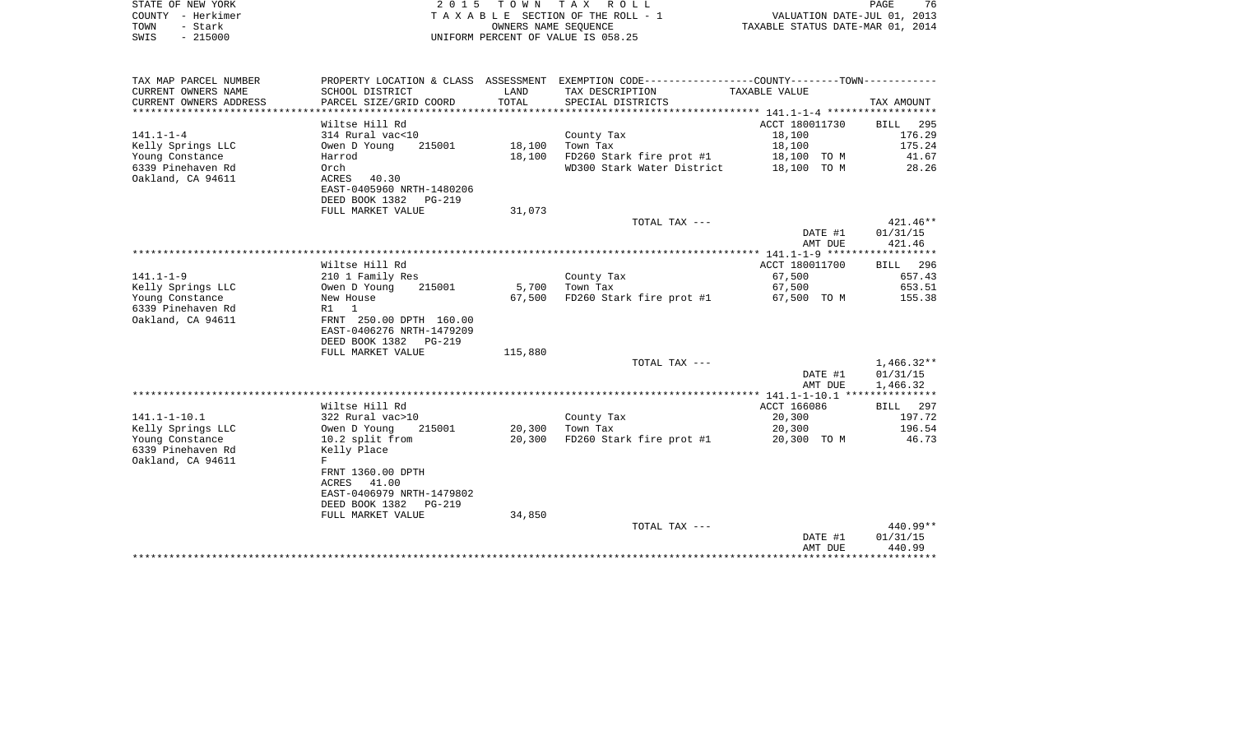| STATE OF NEW YORK                                         | 2 0 1 5                                   |                      | TOWN TAX ROLL                                                                                 |                                                                 | PAGE<br>76   |
|-----------------------------------------------------------|-------------------------------------------|----------------------|-----------------------------------------------------------------------------------------------|-----------------------------------------------------------------|--------------|
| COUNTY - Herkimer<br>TOWN<br>- Stark<br>SWIS<br>$-215000$ |                                           | OWNERS NAME SEOUENCE | TAXABLE SECTION OF THE ROLL - 1<br>UNIFORM PERCENT OF VALUE IS 058.25                         | VALUATION DATE-JUL 01, 2013<br>TAXABLE STATUS DATE-MAR 01, 2014 |              |
|                                                           |                                           |                      |                                                                                               |                                                                 |              |
| TAX MAP PARCEL NUMBER                                     |                                           |                      | PROPERTY LOCATION & CLASS ASSESSMENT EXEMPTION CODE---------------COUNTY-------TOWN---------- |                                                                 |              |
| CURRENT OWNERS NAME<br>CURRENT OWNERS ADDRESS             | SCHOOL DISTRICT<br>PARCEL SIZE/GRID COORD | LAND<br>TOTAL        | TAX DESCRIPTION<br>SPECIAL DISTRICTS                                                          | TAXABLE VALUE                                                   | TAX AMOUNT   |
|                                                           | Wiltse Hill Rd                            |                      |                                                                                               | ACCT 180011730                                                  | BILL 295     |
| 141.1-1-4                                                 | 314 Rural vac<10                          |                      | County Tax                                                                                    | 18,100                                                          | 176.29       |
| Kelly Springs LLC                                         | 215001<br>Owen D Young                    | 18,100               | Town Tax                                                                                      | 18,100                                                          | 175.24       |
| Young Constance                                           | Harrod                                    | 18,100               | FD260 Stark fire prot #1                                                                      | 18,100 TO M                                                     | 41.67        |
| 6339 Pinehaven Rd                                         | Orch                                      |                      | WD300 Stark Water District 18,100 TO M                                                        |                                                                 | 28.26        |
| Oakland, CA 94611                                         | ACRES 40.30<br>EAST-0405960 NRTH-1480206  |                      |                                                                                               |                                                                 |              |
|                                                           | DEED BOOK 1382 PG-219                     |                      |                                                                                               |                                                                 |              |
|                                                           | FULL MARKET VALUE                         | 31,073               |                                                                                               |                                                                 |              |
|                                                           |                                           |                      | TOTAL TAX ---                                                                                 |                                                                 | 421.46**     |
|                                                           |                                           |                      |                                                                                               | DATE #1                                                         | 01/31/15     |
|                                                           |                                           |                      |                                                                                               | AMT DUE                                                         | 421.46       |
|                                                           | Wiltse Hill Rd                            |                      |                                                                                               | ACCT 180011700                                                  | BILL 296     |
| 141.1–1–9                                                 | 210 1 Family Res                          |                      | County Tax                                                                                    | 67,500                                                          | 657.43       |
| Kelly Springs LLC                                         | 215001<br>Owen D Young                    | 5,700                | Town Tax                                                                                      | 67,500                                                          | 653.51       |
| Young Constance                                           | New House                                 | 67,500               | FD260 Stark fire prot #1                                                                      | 67,500 TO M                                                     | 155.38       |
| 6339 Pinehaven Rd                                         | R1 1                                      |                      |                                                                                               |                                                                 |              |
| Oakland, CA 94611                                         | FRNT 250.00 DPTH 160.00                   |                      |                                                                                               |                                                                 |              |
|                                                           | EAST-0406276 NRTH-1479209                 |                      |                                                                                               |                                                                 |              |
|                                                           | DEED BOOK 1382 PG-219                     |                      |                                                                                               |                                                                 |              |
|                                                           | FULL MARKET VALUE                         | 115,880              | TOTAL TAX ---                                                                                 |                                                                 | $1,466.32**$ |
|                                                           |                                           |                      |                                                                                               | DATE #1                                                         | 01/31/15     |
|                                                           |                                           |                      |                                                                                               | AMT DUE                                                         | 1,466.32     |
|                                                           |                                           |                      |                                                                                               |                                                                 |              |
|                                                           | Wiltse Hill Rd                            |                      |                                                                                               | ACCT 166086                                                     | BILL 297     |
| 141.1–1–10.1                                              | 322 Rural vac>10                          |                      | County Tax                                                                                    | 20,300                                                          | 197.72       |
| Kelly Springs LLC                                         | Owen D Young<br>215001                    | 20,300               | Town Tax                                                                                      | 20,300                                                          | 196.54       |
| Young Constance<br>6339 Pinehaven Rd                      | 10.2 split from<br>Kelly Place            | 20,300               | FD260 Stark fire prot #1 20,300 TO M                                                          |                                                                 | 46.73        |
| Oakland, CA 94611                                         | $_{\rm F}$                                |                      |                                                                                               |                                                                 |              |
|                                                           | FRNT 1360.00 DPTH                         |                      |                                                                                               |                                                                 |              |
|                                                           | 41.00<br>ACRES                            |                      |                                                                                               |                                                                 |              |
|                                                           | EAST-0406979 NRTH-1479802                 |                      |                                                                                               |                                                                 |              |
|                                                           | DEED BOOK 1382<br>PG-219                  |                      |                                                                                               |                                                                 |              |
|                                                           | FULL MARKET VALUE                         | 34,850               |                                                                                               |                                                                 |              |
|                                                           |                                           |                      | TOTAL TAX ---                                                                                 |                                                                 | 440.99**     |

 DATE #1 01/31/15 AMT DUE 440.99 \*\*\*\*\*\*\*\*\*\*\*\*\*\*\*\*\*\*\*\*\*\*\*\*\*\*\*\*\*\*\*\*\*\*\*\*\*\*\*\*\*\*\*\*\*\*\*\*\*\*\*\*\*\*\*\*\*\*\*\*\*\*\*\*\*\*\*\*\*\*\*\*\*\*\*\*\*\*\*\*\*\*\*\*\*\*\*\*\*\*\*\*\*\*\*\*\*\*\*\*\*\*\*\*\*\*\*\*\*\*\*\*\*\*\*\*\*\*\*\*\*\*\*\*\*\*\*\*\*\*\*\*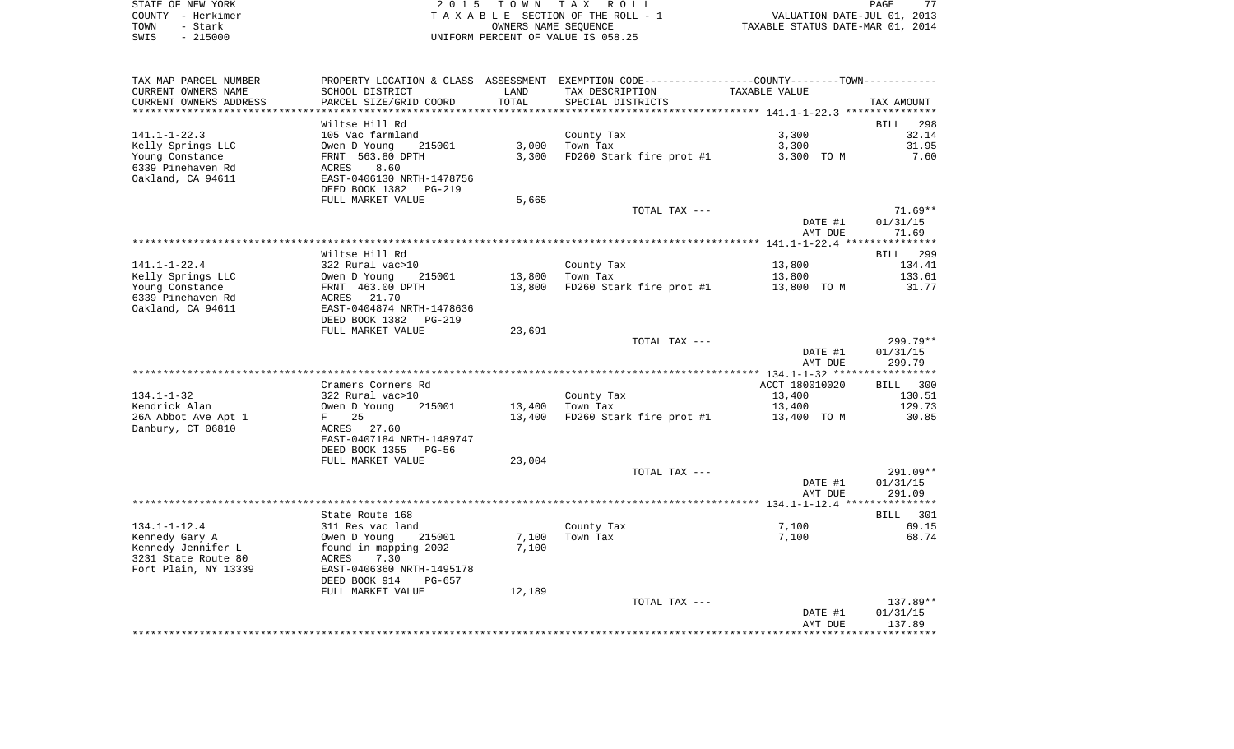|      | STATE OF NEW YORK | 2015 TOWN TAX ROLL                 | 77<br>PAGE                       |
|------|-------------------|------------------------------------|----------------------------------|
|      | COUNTY - Herkimer | TAXABLE SECTION OF THE ROLL - 1    | VALUATION DATE-JUL 01, 2013      |
| TOWN | - Stark           | OWNERS NAME SEOUENCE               | TAXABLE STATUS DATE-MAR 01, 2014 |
| SWIS | - 215000          | UNIFORM PERCENT OF VALUE IS 058.25 |                                  |

| TAX MAP PARCEL NUMBER  |                           |        | PROPERTY LOCATION & CLASS ASSESSMENT EXEMPTION CODE----------------COUNTY--------TOWN---------- |                |            |
|------------------------|---------------------------|--------|-------------------------------------------------------------------------------------------------|----------------|------------|
| CURRENT OWNERS NAME    | SCHOOL DISTRICT           | LAND   | TAX DESCRIPTION                                                                                 | TAXABLE VALUE  |            |
| CURRENT OWNERS ADDRESS | PARCEL SIZE/GRID COORD    | TOTAL  | SPECIAL DISTRICTS                                                                               |                | TAX AMOUNT |
|                        |                           |        |                                                                                                 |                |            |
|                        | Wiltse Hill Rd            |        |                                                                                                 |                | BILL 298   |
| $141.1 - 1 - 22.3$     | 105 Vac farmland          |        | County Tax                                                                                      | 3,300          | 32.14      |
| Kelly Springs LLC      | Owen D Young<br>215001    | 3,000  | Town Tax                                                                                        | 3,300          | 31.95      |
| Young Constance        | FRNT 563.80 DPTH          | 3,300  |                                                                                                 | 3,300 TO M     | 7.60       |
|                        |                           |        | FD260 Stark fire prot #1                                                                        |                |            |
| 6339 Pinehaven Rd      | 8.60<br>ACRES             |        |                                                                                                 |                |            |
| Oakland, CA 94611      | EAST-0406130 NRTH-1478756 |        |                                                                                                 |                |            |
|                        | DEED BOOK 1382<br>PG-219  |        |                                                                                                 |                |            |
|                        | FULL MARKET VALUE         | 5,665  |                                                                                                 |                |            |
|                        |                           |        | TOTAL TAX ---                                                                                   |                | $71.69**$  |
|                        |                           |        |                                                                                                 | DATE #1        | 01/31/15   |
|                        |                           |        |                                                                                                 | AMT DUE        | 71.69      |
|                        |                           |        |                                                                                                 |                |            |
|                        | Wiltse Hill Rd            |        |                                                                                                 |                | BILL 299   |
| $141.1 - 1 - 22.4$     | 322 Rural vac>10          |        | County Tax                                                                                      | 13,800         | 134.41     |
| Kelly Springs LLC      | Owen D Young<br>215001    | 13,800 | Town Tax                                                                                        | 13,800         | 133.61     |
| Young Constance        | FRNT 463.00 DPTH          | 13,800 | FD260 Stark fire prot #1                                                                        | 13,800 TO M    | 31.77      |
| 6339 Pinehaven Rd      | ACRES 21.70               |        |                                                                                                 |                |            |
|                        | EAST-0404874 NRTH-1478636 |        |                                                                                                 |                |            |
| Oakland, CA 94611      |                           |        |                                                                                                 |                |            |
|                        | DEED BOOK 1382<br>PG-219  |        |                                                                                                 |                |            |
|                        | FULL MARKET VALUE         | 23,691 |                                                                                                 |                |            |
|                        |                           |        | TOTAL TAX ---                                                                                   |                | $299.79**$ |
|                        |                           |        |                                                                                                 | DATE #1        | 01/31/15   |
|                        |                           |        |                                                                                                 | AMT DUE        | 299.79     |
|                        |                           |        |                                                                                                 |                |            |
|                        | Cramers Corners Rd        |        |                                                                                                 | ACCT 180010020 | BILL 300   |
| $134.1 - 1 - 32$       | 322 Rural vac>10          |        | County Tax                                                                                      | 13,400         | 130.51     |
| Kendrick Alan          | Owen D Young<br>215001    | 13,400 | Town Tax                                                                                        | 13,400         | 129.73     |
| 26A Abbot Ave Apt 1    | $F$ and $F$<br>25         | 13,400 | FD260 Stark fire prot #1                                                                        | 13,400 TO M    | 30.85      |
| Danbury, CT 06810      | ACRES 27.60               |        |                                                                                                 |                |            |
|                        | EAST-0407184 NRTH-1489747 |        |                                                                                                 |                |            |
|                        | DEED BOOK 1355<br>PG-56   |        |                                                                                                 |                |            |
|                        | FULL MARKET VALUE         |        |                                                                                                 |                |            |
|                        |                           | 23,004 |                                                                                                 |                |            |
|                        |                           |        | TOTAL TAX ---                                                                                   |                | 291.09**   |
|                        |                           |        |                                                                                                 | DATE #1        | 01/31/15   |
|                        |                           |        |                                                                                                 | AMT DUE        | 291.09     |
|                        |                           |        |                                                                                                 |                |            |
|                        | State Route 168           |        |                                                                                                 |                | BILL 301   |
| $134.1 - 1 - 12.4$     | 311 Res vac land          |        | County Tax                                                                                      | 7,100          | 69.15      |
| Kennedy Gary A         | Owen D Young<br>215001    | 7,100  | Town Tax                                                                                        | 7,100          | 68.74      |
| Kennedy Jennifer L     | found in mapping 2002     | 7,100  |                                                                                                 |                |            |
| 3231 State Route 80    | ACRES<br>7.30             |        |                                                                                                 |                |            |
| Fort Plain, NY 13339   | EAST-0406360 NRTH-1495178 |        |                                                                                                 |                |            |
|                        | DEED BOOK 914<br>PG-657   |        |                                                                                                 |                |            |
|                        | FULL MARKET VALUE         | 12,189 |                                                                                                 |                |            |
|                        |                           |        | TOTAL TAX ---                                                                                   |                | 137.89**   |
|                        |                           |        |                                                                                                 |                |            |
|                        |                           |        |                                                                                                 | DATE #1        | 01/31/15   |
|                        |                           |        |                                                                                                 | AMT DUE        | 137.89     |
|                        |                           |        |                                                                                                 |                |            |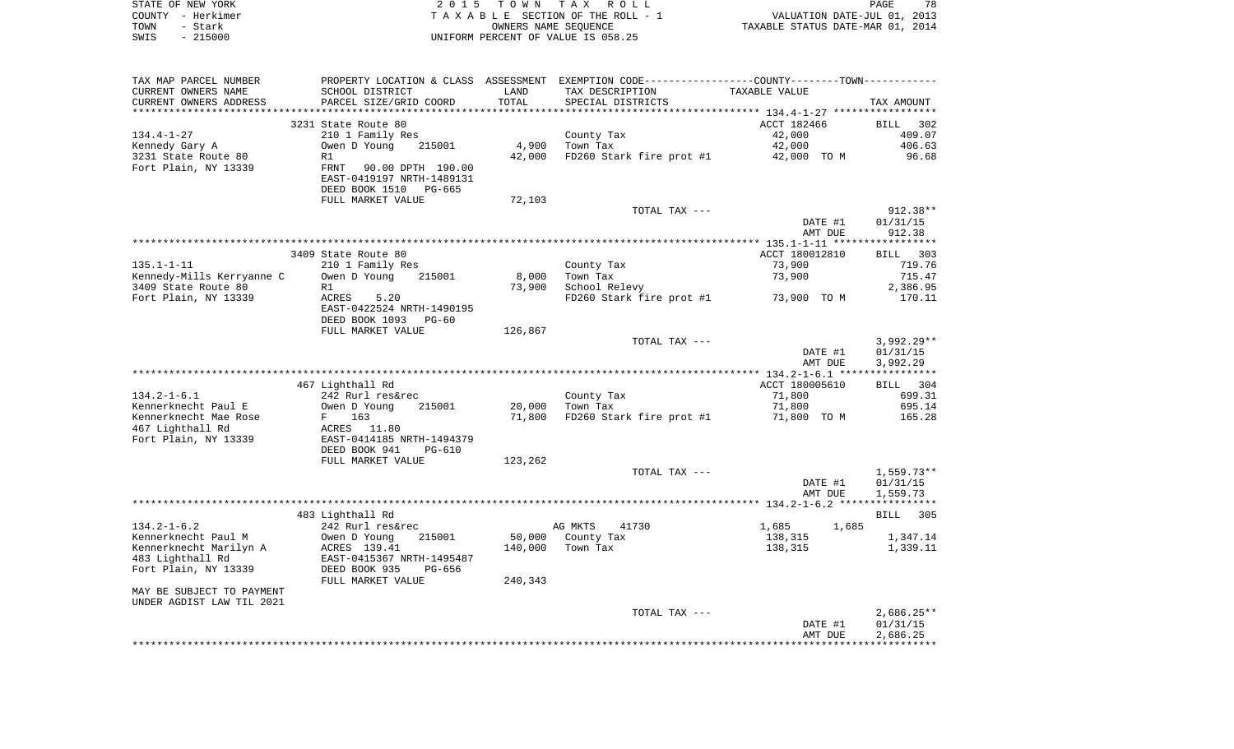| STATE OF NEW YORK | 2015 TOWN TAX ROLL                 | 78<br>PAGE                       |
|-------------------|------------------------------------|----------------------------------|
| COUNTY - Herkimer | TAXABLE SECTION OF THE ROLL - 1    | VALUATION DATE-JUL 01, 2013      |
| TOWN<br>- Stark   | OWNERS NAME SEOUENCE               | TAXABLE STATUS DATE-MAR 01, 2014 |
| $-215000$<br>SWIS | UNIFORM PERCENT OF VALUE IS 058.25 |                                  |

| TAX MAP PARCEL NUMBER     |                           |         |                          | PROPERTY LOCATION & CLASS ASSESSMENT EXEMPTION CODE----------------COUNTY--------TOWN---------- |              |
|---------------------------|---------------------------|---------|--------------------------|-------------------------------------------------------------------------------------------------|--------------|
| CURRENT OWNERS NAME       | SCHOOL DISTRICT           | LAND    | TAX DESCRIPTION          | TAXABLE VALUE                                                                                   |              |
| CURRENT OWNERS ADDRESS    | PARCEL SIZE/GRID COORD    | TOTAL   | SPECIAL DISTRICTS        |                                                                                                 | TAX AMOUNT   |
|                           |                           |         |                          |                                                                                                 |              |
|                           | 3231 State Route 80       |         |                          | ACCT 182466                                                                                     | BILL 302     |
| $134.4 - 1 - 27$          | 210 1 Family Res          |         | County Tax               | 42,000                                                                                          | 409.07       |
| Kennedy Gary A            | Owen D Young<br>215001    | 4,900   | Town Tax                 | 42,000                                                                                          | 406.63       |
| 3231 State Route 80       | R1                        | 42,000  | FD260 Stark fire prot #1 | 42,000 TO M                                                                                     | 96.68        |
| Fort Plain, NY 13339      | FRNT<br>90.00 DPTH 190.00 |         |                          |                                                                                                 |              |
|                           | EAST-0419197 NRTH-1489131 |         |                          |                                                                                                 |              |
|                           | DEED BOOK 1510<br>PG-665  |         |                          |                                                                                                 |              |
|                           | FULL MARKET VALUE         | 72,103  |                          |                                                                                                 |              |
|                           |                           |         | TOTAL TAX ---            |                                                                                                 | $912.38**$   |
|                           |                           |         |                          | DATE #1                                                                                         | 01/31/15     |
|                           |                           |         |                          | AMT DUE                                                                                         | 912.38       |
|                           |                           |         |                          |                                                                                                 |              |
|                           | 3409 State Route 80       |         |                          | ACCT 180012810                                                                                  | BILL 303     |
| $135.1 - 1 - 11$          | 210 1 Family Res          |         | County Tax               | 73,900                                                                                          | 719.76       |
| Kennedy-Mills Kerryanne C | Owen D Young<br>215001    | 8,000   | Town Tax                 | 73,900                                                                                          | 715.47       |
| 3409 State Route 80       | R1                        | 73,900  | School Relevy            |                                                                                                 | 2,386.95     |
| Fort Plain, NY 13339      | ACRES<br>5.20             |         | FD260 Stark fire prot #1 | 73,900 TO M                                                                                     | 170.11       |
|                           | EAST-0422524 NRTH-1490195 |         |                          |                                                                                                 |              |
|                           | DEED BOOK 1093<br>PG-60   |         |                          |                                                                                                 |              |
|                           | FULL MARKET VALUE         | 126,867 |                          |                                                                                                 |              |
|                           |                           |         | TOTAL TAX ---            |                                                                                                 | $3,992.29**$ |
|                           |                           |         |                          | DATE #1                                                                                         | 01/31/15     |
|                           |                           |         |                          | AMT DUE                                                                                         | 3,992.29     |
|                           |                           |         |                          |                                                                                                 |              |
|                           | 467 Lighthall Rd          |         |                          | ACCT 180005610                                                                                  | BILL 304     |
| $134.2 - 1 - 6.1$         | 242 Rurl res&rec          |         | County Tax               | 71,800                                                                                          | 699.31       |
| Kennerknecht Paul E       | 215001<br>Owen D Young    | 20,000  | Town Tax                 | 71,800                                                                                          | 695.14       |
| Kennerknecht Mae Rose     | 163<br>$F$ and            | 71,800  | FD260 Stark fire prot #1 | 71,800 TO M                                                                                     | 165.28       |
| 467 Lighthall Rd          | ACRES 11.80               |         |                          |                                                                                                 |              |
| Fort Plain, NY 13339      | EAST-0414185 NRTH-1494379 |         |                          |                                                                                                 |              |
|                           | DEED BOOK 941<br>PG-610   |         |                          |                                                                                                 |              |
|                           | FULL MARKET VALUE         | 123,262 |                          |                                                                                                 |              |
|                           |                           |         | TOTAL TAX ---            |                                                                                                 | $1,559.73**$ |
|                           |                           |         |                          | DATE #1                                                                                         | 01/31/15     |
|                           |                           |         |                          | AMT DUE                                                                                         | 1,559.73     |
|                           |                           |         |                          |                                                                                                 |              |
|                           | 483 Lighthall Rd          |         |                          |                                                                                                 | BILL<br>305  |
| $134.2 - 1 - 6.2$         | 242 Rurl res&rec          |         | AG MKTS<br>41730         | 1,685<br>1,685                                                                                  |              |
| Kennerknecht Paul M       | Owen D Young<br>215001    | 50,000  | County Tax               | 138,315                                                                                         | 1,347.14     |
| Kennerknecht Marilyn A    | ACRES 139.41              | 140,000 | Town Tax                 | 138,315                                                                                         | 1,339.11     |
| 483 Lighthall Rd          | EAST-0415367 NRTH-1495487 |         |                          |                                                                                                 |              |
| Fort Plain, NY 13339      | DEED BOOK 935<br>PG-656   |         |                          |                                                                                                 |              |
|                           | FULL MARKET VALUE         | 240,343 |                          |                                                                                                 |              |
| MAY BE SUBJECT TO PAYMENT |                           |         |                          |                                                                                                 |              |
| UNDER AGDIST LAW TIL 2021 |                           |         |                          |                                                                                                 |              |
|                           |                           |         | TOTAL TAX ---            |                                                                                                 | $2,686.25**$ |
|                           |                           |         |                          | DATE #1                                                                                         | 01/31/15     |
|                           |                           |         |                          | AMT DUE                                                                                         | 2,686.25     |
|                           |                           |         |                          |                                                                                                 |              |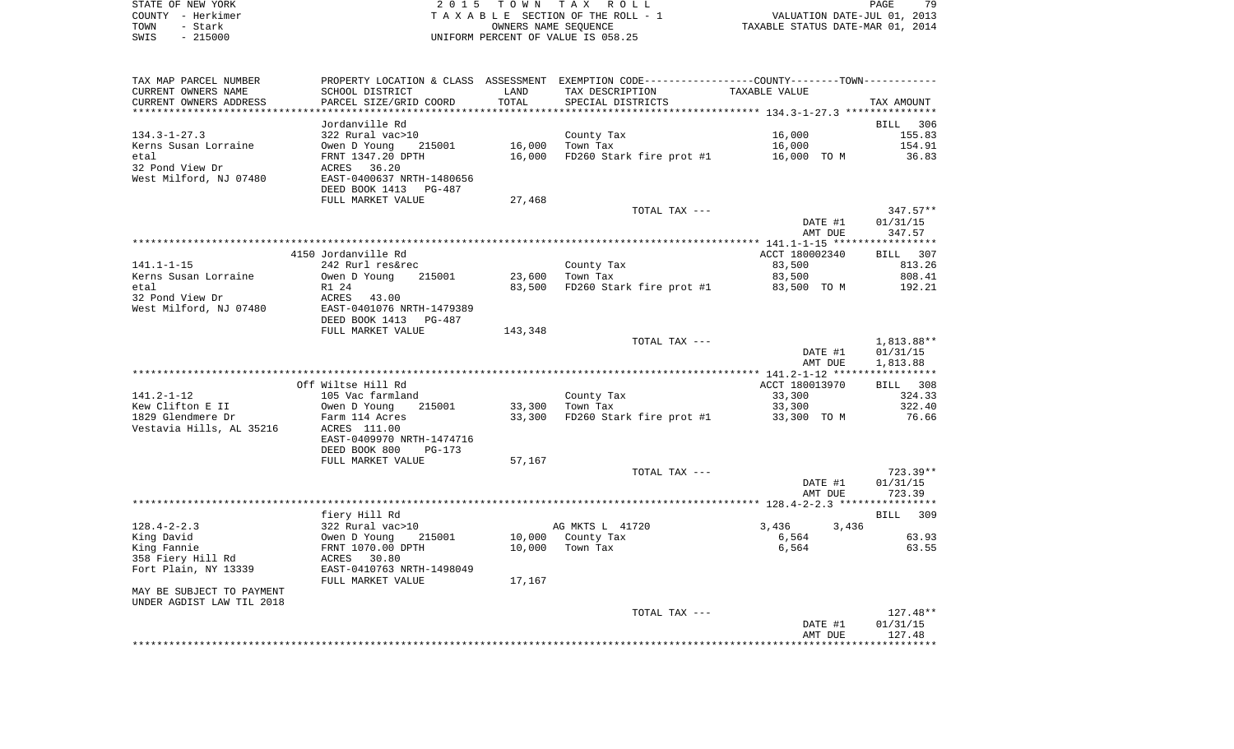|      | STATE OF NEW YORK | 2015 TOWN TAX ROLL                 | 79<br>PAGE                       |
|------|-------------------|------------------------------------|----------------------------------|
|      | COUNTY - Herkimer | TAXABLE SECTION OF THE ROLL - 1    | VALUATION DATE-JUL 01, 2013      |
| TOWN | - Stark           | OWNERS NAME SEOUENCE               | TAXABLE STATUS DATE-MAR 01, 2014 |
| SWIS | - 215000          | UNIFORM PERCENT OF VALUE IS 058.25 |                                  |

| TAX MAP PARCEL NUMBER<br>CURRENT OWNERS NAME | SCHOOL DISTRICT                 | LAND    | PROPERTY LOCATION & CLASS ASSESSMENT EXEMPTION CODE----------------COUNTY--------TOWN----------<br>TAX DESCRIPTION | TAXABLE VALUE  |            |
|----------------------------------------------|---------------------------------|---------|--------------------------------------------------------------------------------------------------------------------|----------------|------------|
| CURRENT OWNERS ADDRESS                       | PARCEL SIZE/GRID COORD          | TOTAL   | SPECIAL DISTRICTS                                                                                                  |                | TAX AMOUNT |
| ***********************                      | ******************************* |         |                                                                                                                    |                |            |
|                                              | Jordanville Rd                  |         |                                                                                                                    |                | BILL 306   |
| $134.3 - 1 - 27.3$                           | 322 Rural vac>10                |         | County Tax                                                                                                         | 16,000         | 155.83     |
| Kerns Susan Lorraine                         | Owen D Young<br>215001          | 16,000  | Town Tax                                                                                                           | 16,000         | 154.91     |
| etal                                         | FRNT 1347.20 DPTH               | 16,000  | FD260 Stark fire prot #1                                                                                           | 16,000 TO M    | 36.83      |
| 32 Pond View Dr                              | ACRES 36.20                     |         |                                                                                                                    |                |            |
| West Milford, NJ 07480                       | EAST-0400637 NRTH-1480656       |         |                                                                                                                    |                |            |
|                                              | DEED BOOK 1413<br>PG-487        |         |                                                                                                                    |                |            |
|                                              | FULL MARKET VALUE               | 27,468  |                                                                                                                    |                |            |
|                                              |                                 |         | TOTAL TAX ---                                                                                                      |                | $347.57**$ |
|                                              |                                 |         |                                                                                                                    | DATE #1        | 01/31/15   |
|                                              |                                 |         |                                                                                                                    | AMT DUE        | 347.57     |
|                                              |                                 |         |                                                                                                                    |                |            |
|                                              | 4150 Jordanville Rd             |         |                                                                                                                    | ACCT 180002340 | BILL 307   |
| 141.1-1-15                                   | 242 Rurl res&rec                |         | County Tax                                                                                                         | 83,500         | 813.26     |
| Kerns Susan Lorraine                         | Owen D Young<br>215001          | 23,600  | Town Tax                                                                                                           | 83,500         | 808.41     |
| etal                                         | R1 24                           | 83,500  | FD260 Stark fire prot #1                                                                                           | 83,500 TO M    | 192.21     |
| 32 Pond View Dr                              | ACRES<br>43.00                  |         |                                                                                                                    |                |            |
| West Milford, NJ 07480                       | EAST-0401076 NRTH-1479389       |         |                                                                                                                    |                |            |
|                                              | DEED BOOK 1413 PG-487           |         |                                                                                                                    |                |            |
|                                              | FULL MARKET VALUE               | 143,348 |                                                                                                                    |                |            |
|                                              |                                 |         | TOTAL TAX ---                                                                                                      |                | 1,813.88** |
|                                              |                                 |         |                                                                                                                    | DATE #1        | 01/31/15   |
|                                              |                                 |         |                                                                                                                    | AMT DUE        | 1,813.88   |
|                                              |                                 |         |                                                                                                                    |                |            |
|                                              | Off Wiltse Hill Rd              |         |                                                                                                                    | ACCT 180013970 | BILL 308   |
| $141.2 - 1 - 12$                             | 105 Vac farmland                |         | County Tax                                                                                                         | 33,300         | 324.33     |
| Kew Clifton E II                             | Owen D Young<br>215001          | 33,300  | Town Tax                                                                                                           | 33,300         | 322.40     |
| 1829 Glendmere Dr                            | Farm 114 Acres                  | 33,300  | FD260 Stark fire prot #1                                                                                           | 33,300 TO M    | 76.66      |
| Vestavia Hills, AL 35216                     | ACRES 111.00                    |         |                                                                                                                    |                |            |
|                                              | EAST-0409970 NRTH-1474716       |         |                                                                                                                    |                |            |
|                                              | DEED BOOK 800<br>$PG-173$       |         |                                                                                                                    |                |            |
|                                              | FULL MARKET VALUE               | 57,167  |                                                                                                                    |                |            |
|                                              |                                 |         | TOTAL TAX ---                                                                                                      |                | $723.39**$ |
|                                              |                                 |         |                                                                                                                    | DATE #1        | 01/31/15   |
|                                              |                                 |         |                                                                                                                    | AMT DUE        | 723.39     |
|                                              |                                 |         |                                                                                                                    |                |            |
|                                              | fiery Hill Rd                   |         |                                                                                                                    |                | BILL 309   |
| $128.4 - 2 - 2.3$                            | 322 Rural vac>10                |         | AG MKTS L 41720                                                                                                    | 3,436<br>3,436 |            |
| King David                                   | 215001<br>Owen D Young          |         | 10,000 County Tax                                                                                                  | 6,564          | 63.93      |
| King Fannie                                  | FRNT 1070.00 DPTH               | 10,000  | Town Tax                                                                                                           | 6,564          | 63.55      |
| 358 Fiery Hill Rd                            | ACRES 30.80                     |         |                                                                                                                    |                |            |
| Fort Plain, NY 13339                         | EAST-0410763 NRTH-1498049       |         |                                                                                                                    |                |            |
|                                              | FULL MARKET VALUE               | 17,167  |                                                                                                                    |                |            |
| MAY BE SUBJECT TO PAYMENT                    |                                 |         |                                                                                                                    |                |            |
| UNDER AGDIST LAW TIL 2018                    |                                 |         |                                                                                                                    |                |            |
|                                              |                                 |         | TOTAL TAX ---                                                                                                      |                | 127.48**   |
|                                              |                                 |         |                                                                                                                    | DATE #1        | 01/31/15   |
|                                              |                                 |         |                                                                                                                    | AMT DUE        | 127.48     |
|                                              |                                 |         |                                                                                                                    |                |            |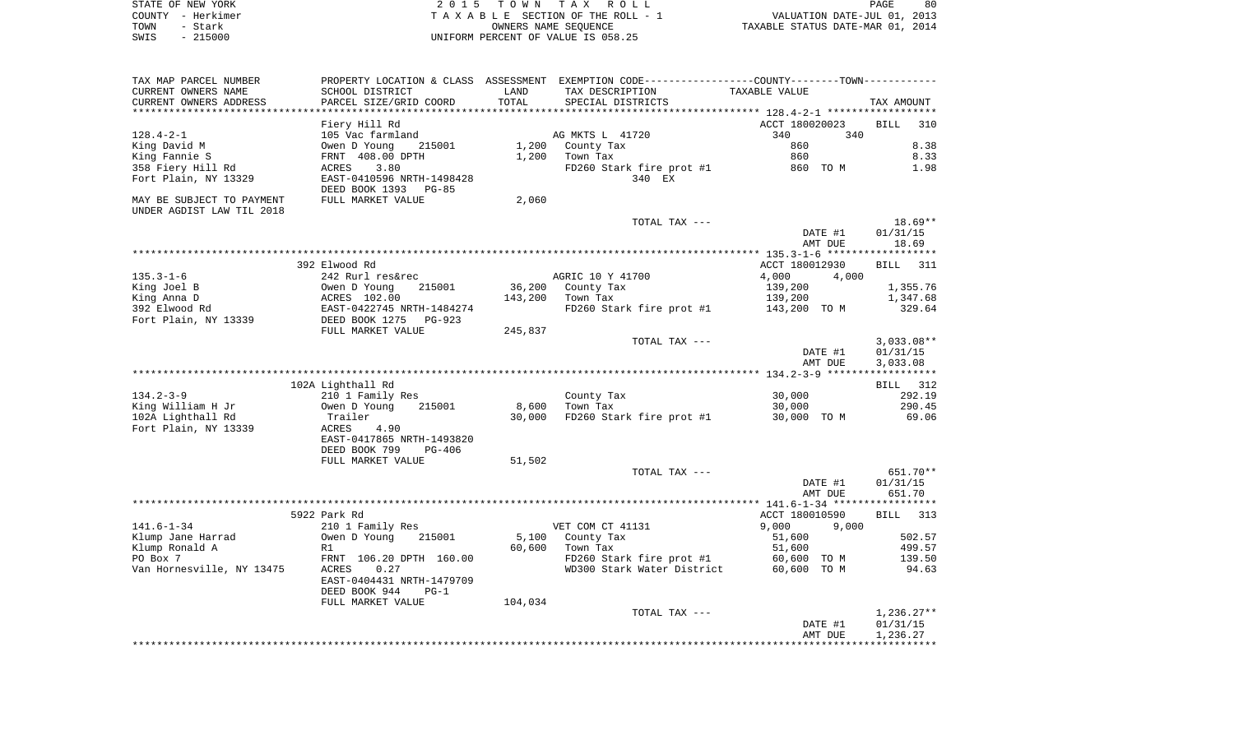|      | STATE OF NEW YORK | 2015 TOWN TAX ROLL                 | PAGE                             | 80 |
|------|-------------------|------------------------------------|----------------------------------|----|
|      | COUNTY - Herkimer | TAXABLE SECTION OF THE ROLL - 1    | VALUATION DATE-JUL 01, 2013      |    |
| TOWN | - Stark           | OWNERS NAME SEOUENCE               | TAXABLE STATUS DATE-MAR 01, 2014 |    |
| SWIS | $-215000$         | UNIFORM PERCENT OF VALUE IS 058.25 |                                  |    |

| TAX MAP PARCEL NUMBER                                  |                                                                                                                                   |         | PROPERTY LOCATION & CLASS ASSESSMENT EXEMPTION CODE---------------COUNTY-------TOWN--------- |                |                          |
|--------------------------------------------------------|-----------------------------------------------------------------------------------------------------------------------------------|---------|----------------------------------------------------------------------------------------------|----------------|--------------------------|
| CURRENT OWNERS NAME                                    | SCHOOL DISTRICT                                                                                                                   | LAND    | TAX DESCRIPTION                                                                              | TAXABLE VALUE  |                          |
| CURRENT OWNERS ADDRESS<br>*********************        | PARCEL SIZE/GRID COORD<br>*************************                                                                               | TOTAL   | SPECIAL DISTRICTS                                                                            |                | TAX AMOUNT               |
|                                                        |                                                                                                                                   |         |                                                                                              |                |                          |
|                                                        | Fiery Hill Rd                                                                                                                     |         |                                                                                              | ACCT 180020023 | <b>BILL</b><br>310       |
| $128.4 - 2 - 1$                                        | 105 Vac farmland                                                                                                                  |         | AG MKTS L 41720                                                                              | 340<br>340     |                          |
| King David M                                           | Owen D Young<br>215001                                                                                                            |         | 1,200 County Tax                                                                             | 860            | 8.38                     |
| King Fannie S                                          | FRNT 408.00 DPTH                                                                                                                  | 1,200   | Town Tax                                                                                     | 860            | 8.33                     |
| 358 Fiery Hill Rd                                      | 3.80<br>ACRES                                                                                                                     |         | FD260 Stark fire prot #1                                                                     | 860 TO M       | 1.98                     |
| Fort Plain, NY 13329                                   | EAST-0410596 NRTH-1498428<br>DEED BOOK 1393 PG-85                                                                                 |         | 340 EX                                                                                       |                |                          |
| MAY BE SUBJECT TO PAYMENT<br>UNDER AGDIST LAW TIL 2018 | FULL MARKET VALUE                                                                                                                 | 2,060   |                                                                                              |                |                          |
|                                                        |                                                                                                                                   |         | TOTAL TAX ---                                                                                |                | 18.69**                  |
|                                                        |                                                                                                                                   |         |                                                                                              | DATE #1        | 01/31/15                 |
|                                                        |                                                                                                                                   |         |                                                                                              | AMT DUE        | 18.69                    |
|                                                        |                                                                                                                                   |         |                                                                                              |                |                          |
|                                                        | 392 Elwood Rd                                                                                                                     |         |                                                                                              | ACCT 180012930 | BILL 311                 |
| $135.3 - 1 - 6$                                        | 242 Rurl res&rec                                                                                                                  |         | AGRIC 10 Y 41700                                                                             | 4,000<br>4,000 |                          |
| King Joel B                                            | Owen D Young<br>ACRES 102.00<br>EAST-0422745 NRTH-1484274<br>DEED BOOK 1275<br>PUIL MONG 1275<br>PUIL MONG 1275<br>PUIL MONG 1275 |         | 36,200 County Tax                                                                            | 139,200        | 1,355.76                 |
| King Anna D                                            |                                                                                                                                   | 143,200 | Town Tax                                                                                     | 139,200        | 1,347.68                 |
| 392 Elwood Rd                                          |                                                                                                                                   |         | FD260 Stark fire prot #1 143,200 TO M                                                        |                | 329.64                   |
| Fort Plain, NY 13339                                   |                                                                                                                                   |         |                                                                                              |                |                          |
|                                                        | FULL MARKET VALUE                                                                                                                 | 245,837 |                                                                                              |                |                          |
|                                                        |                                                                                                                                   |         | TOTAL TAX ---                                                                                | DATE #1        | $3,033.08**$<br>01/31/15 |
|                                                        |                                                                                                                                   |         |                                                                                              | AMT DUE        | 3,033.08                 |
|                                                        | 102A Lighthall Rd                                                                                                                 |         |                                                                                              |                | BILL 312                 |
| $134.2 - 3 - 9$                                        | 210 1 Family Res                                                                                                                  |         | County Tax                                                                                   | 30,000         | 292.19                   |
| King William H Jr                                      | Owen D Young<br>215001                                                                                                            | 8,600   | Town Tax                                                                                     | 30,000         | 290.45                   |
| 102A Lighthall Rd                                      | Trailer                                                                                                                           | 30,000  | FD260 Stark fire prot #1 30,000 TO M                                                         |                | 69.06                    |
| Fort Plain, NY 13339                                   | ACRES<br>4.90                                                                                                                     |         |                                                                                              |                |                          |
|                                                        | EAST-0417865 NRTH-1493820                                                                                                         |         |                                                                                              |                |                          |
|                                                        | DEED BOOK 799<br>PG-406                                                                                                           |         |                                                                                              |                |                          |
|                                                        | FULL MARKET VALUE                                                                                                                 | 51,502  |                                                                                              |                |                          |
|                                                        |                                                                                                                                   |         | TOTAL TAX ---                                                                                |                | 651.70**                 |
|                                                        |                                                                                                                                   |         |                                                                                              | DATE #1        | 01/31/15                 |
|                                                        |                                                                                                                                   |         |                                                                                              | AMT DUE        | 651.70                   |
|                                                        |                                                                                                                                   |         |                                                                                              |                |                          |
|                                                        | 5922 Park Rd                                                                                                                      |         |                                                                                              | ACCT 180010590 | BILL 313                 |
| $141.6 - 1 - 34$                                       | 210 1 Family Res                                                                                                                  |         | VET COM CT 41131                                                                             | 9,000 9,000    |                          |
| Klump Jane Harrad                                      | Owen D Young<br>215001                                                                                                            | 5,100   | County Tax                                                                                   | 51,600         | 502.57                   |
| Klump Ronald A                                         | R1                                                                                                                                | 60,600  | Town Tax                                                                                     | 51,600         | 499.57                   |
| PO Box 7                                               | FRNT 106.20 DPTH 160.00                                                                                                           |         |                                                                                              |                | 139.50                   |
| Van Hornesville, NY 13475                              | ACRES<br>0.27                                                                                                                     |         | FD260 Stark fire prot #1 60,600 TO M<br>WD300 Stark Water District 60,600 TO M               |                | 94.63                    |
|                                                        | EAST-0404431 NRTH-1479709                                                                                                         |         |                                                                                              |                |                          |
|                                                        | DEED BOOK 944<br>$PG-1$                                                                                                           |         |                                                                                              |                |                          |
|                                                        | FULL MARKET VALUE                                                                                                                 | 104,034 |                                                                                              |                |                          |
|                                                        |                                                                                                                                   |         | TOTAL TAX ---                                                                                |                | $1,236.27**$             |
|                                                        |                                                                                                                                   |         |                                                                                              | DATE #1        | 01/31/15                 |
|                                                        |                                                                                                                                   |         |                                                                                              | AMT DUE        | 1,236.27                 |
|                                                        |                                                                                                                                   |         |                                                                                              |                |                          |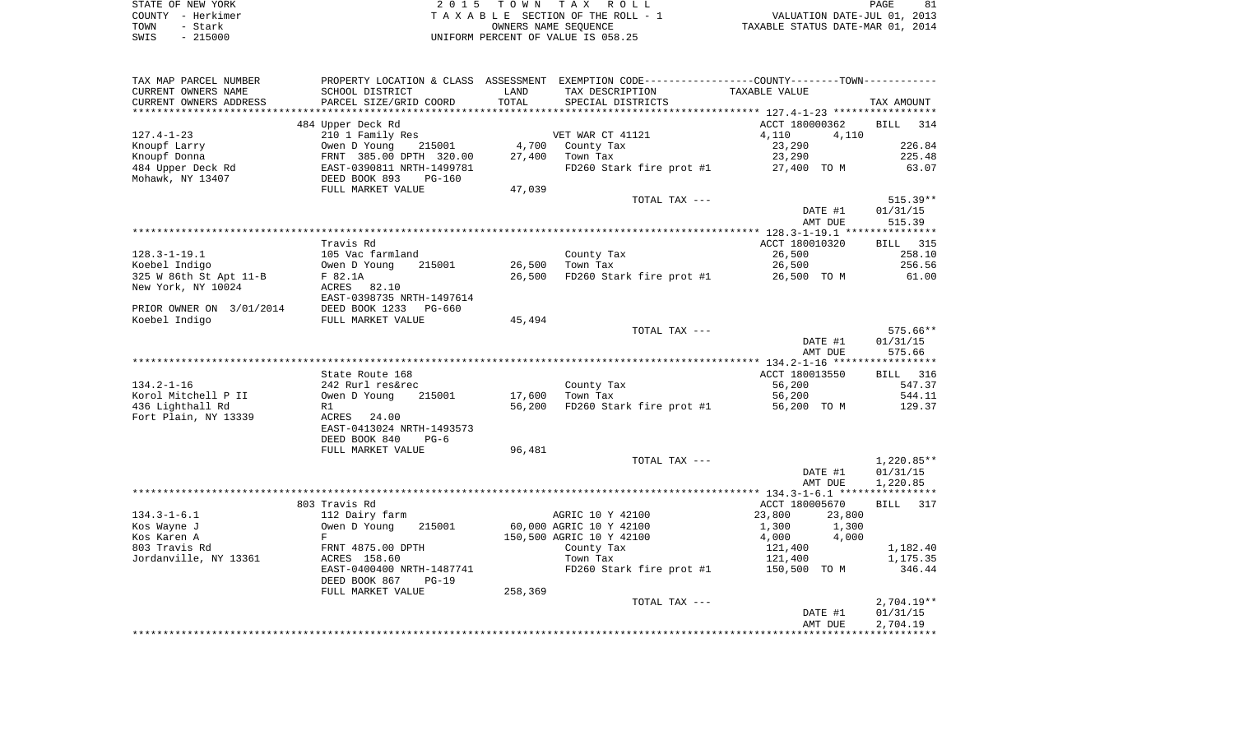| STATE OF NEW YORK | 2015 TOWN TAX ROLL                 | PAGE                             |
|-------------------|------------------------------------|----------------------------------|
| COUNTY - Herkimer | TAXABLE SECTION OF THE ROLL - 1    | VALUATION DATE-JUL 01, 2013      |
| TOWN<br>- Stark   | OWNERS NAME SEOUENCE               | TAXABLE STATUS DATE-MAR 01, 2014 |
| $-215000$<br>SWIS | UNIFORM PERCENT OF VALUE IS 058.25 |                                  |

| TAX MAP PARCEL NUMBER                   |                                                                                                     |         | PROPERTY LOCATION & CLASS ASSESSMENT EXEMPTION CODE---------------COUNTY-------TOWN---------- |                  |                  |
|-----------------------------------------|-----------------------------------------------------------------------------------------------------|---------|-----------------------------------------------------------------------------------------------|------------------|------------------|
| CURRENT OWNERS NAME                     | SCHOOL DISTRICT                                                                                     | LAND    | TAX DESCRIPTION                                                                               | TAXABLE VALUE    |                  |
| CURRENT OWNERS ADDRESS                  | PARCEL SIZE/GRID COORD                                                                              | TOTAL   | SPECIAL DISTRICTS                                                                             |                  | TAX AMOUNT       |
| *********************                   |                                                                                                     |         |                                                                                               |                  |                  |
|                                         | 484 Upper Deck Rd                                                                                   |         |                                                                                               | ACCT 180000362   | BILL<br>314      |
| $127.4 - 1 - 23$                        | 210 1 Family Res                                                                                    |         | VET WAR CT 41121                                                                              | 4,110<br>4,110   |                  |
| Knoupf Larry                            |                                                                                                     |         | 4,700 County Tax                                                                              | 23,290           | 226.84           |
| Knoupf Donna                            | 0wen D Young 215001<br>FRNT 385.00 DPTH 320.00<br>EAST-0390811 NRTH-1499781<br>DEED BOOK 893 PG-160 | 27,400  | Town Tax                                                                                      | 23,290           | 225.48           |
| 484 Upper Deck Rd                       |                                                                                                     |         | FD260 Stark fire prot #1 27,400 TO M                                                          |                  | 63.07            |
| Mohawk, NY 13407                        | FULL MARKET VALUE                                                                                   | 47,039  |                                                                                               |                  |                  |
|                                         |                                                                                                     |         | TOTAL TAX ---                                                                                 |                  | $515.39**$       |
|                                         |                                                                                                     |         |                                                                                               | DATE #1          | 01/31/15         |
|                                         |                                                                                                     |         |                                                                                               | AMT DUE          | 515.39           |
|                                         |                                                                                                     |         |                                                                                               |                  |                  |
|                                         | Travis Rd                                                                                           |         |                                                                                               | ACCT 180010320   | <b>BILL</b> 315  |
| $128.3 - 1 - 19.1$                      | 105 Vac farmland                                                                                    |         | County Tax                                                                                    | 26,500           | 258.10           |
| Koebel Indigo                           | 215001<br>Owen D Young                                                                              | 26,500  | Town Tax                                                                                      | 26,500           | 256.56           |
| 325 W 86th St Apt 11-B                  | F 82.1A                                                                                             | 26,500  | FD260 Stark fire prot #1                                                                      | 26,500 TO M      | 61.00            |
| New York, NY 10024                      | ACRES 82.10                                                                                         |         |                                                                                               |                  |                  |
|                                         | EAST-0398735 NRTH-1497614                                                                           |         |                                                                                               |                  |                  |
| PRIOR OWNER ON 3/01/2014                | DEED BOOK 1233 PG-660                                                                               |         |                                                                                               |                  |                  |
| Koebel Indigo                           | FULL MARKET VALUE                                                                                   | 45,494  |                                                                                               |                  |                  |
|                                         |                                                                                                     |         | TOTAL TAX ---                                                                                 |                  | 575.66**         |
|                                         |                                                                                                     |         |                                                                                               | DATE #1          | 01/31/15         |
|                                         |                                                                                                     |         |                                                                                               | AMT DUE          | 575.66           |
|                                         |                                                                                                     |         |                                                                                               |                  |                  |
|                                         | State Route 168                                                                                     |         |                                                                                               | ACCT 180013550   | BILL 316         |
| $134.2 - 1 - 16$                        | 242 Rurl res&rec                                                                                    |         | County Tax                                                                                    | 56,200           | 547.37           |
| Korol Mitchell P II<br>436 Lighthall Rd | Owen D Young<br>215001                                                                              | 17,600  | Town Tax<br>FD260 Stark fire prot $#1$ 56,200 TO M                                            | 56,200           | 544.11<br>129.37 |
| Fort Plain, NY 13339                    | R1<br>ACRES 24.00                                                                                   | 56,200  |                                                                                               |                  |                  |
|                                         | EAST-0413024 NRTH-1493573                                                                           |         |                                                                                               |                  |                  |
|                                         | DEED BOOK 840<br>$PG-6$                                                                             |         |                                                                                               |                  |                  |
|                                         | FULL MARKET VALUE                                                                                   | 96,481  |                                                                                               |                  |                  |
|                                         |                                                                                                     |         | TOTAL TAX ---                                                                                 |                  | 1,220.85**       |
|                                         |                                                                                                     |         |                                                                                               | DATE #1          | 01/31/15         |
|                                         |                                                                                                     |         |                                                                                               | AMT DUE          | 1,220.85         |
|                                         |                                                                                                     |         |                                                                                               |                  |                  |
|                                         | 803 Travis Rd                                                                                       |         |                                                                                               | ACCT 180005670   | BILL 317         |
| $134.3 - 1 - 6.1$                       | 112 Dairy farm                                                                                      |         | AGRIC 10 Y 42100                                                                              | 23,800<br>23,800 |                  |
| Kos Wayne J                             | Owen D Young<br>215001                                                                              |         | 60,000 AGRIC 10 Y 42100                                                                       | 1,300<br>1,300   |                  |
| Kos Karen A                             | F                                                                                                   |         | 150,500 AGRIC 10 Y 42100                                                                      | 4,000<br>4,000   |                  |
| 803 Travis Rd                           | FRNT 4875.00 DPTH                                                                                   |         | County Tax                                                                                    | 121,400          | 1,182.40         |
| Jordanville, NY 13361                   | ACRES 158.60                                                                                        |         | Town Tax                                                                                      | 121,400          | 1,175.35         |
|                                         | EAST-0400400 NRTH-1487741                                                                           |         | FD260 Stark fire prot #1                                                                      | 150,500 TO M     | 346.44           |
|                                         | DEED BOOK 867<br>$PG-19$                                                                            |         |                                                                                               |                  |                  |
|                                         | FULL MARKET VALUE                                                                                   | 258,369 |                                                                                               |                  |                  |
|                                         |                                                                                                     |         | TOTAL TAX ---                                                                                 |                  | $2,704.19**$     |
|                                         |                                                                                                     |         |                                                                                               | DATE #1          | 01/31/15         |
|                                         |                                                                                                     |         |                                                                                               | AMT DUE          | 2,704.19         |
|                                         |                                                                                                     |         |                                                                                               |                  |                  |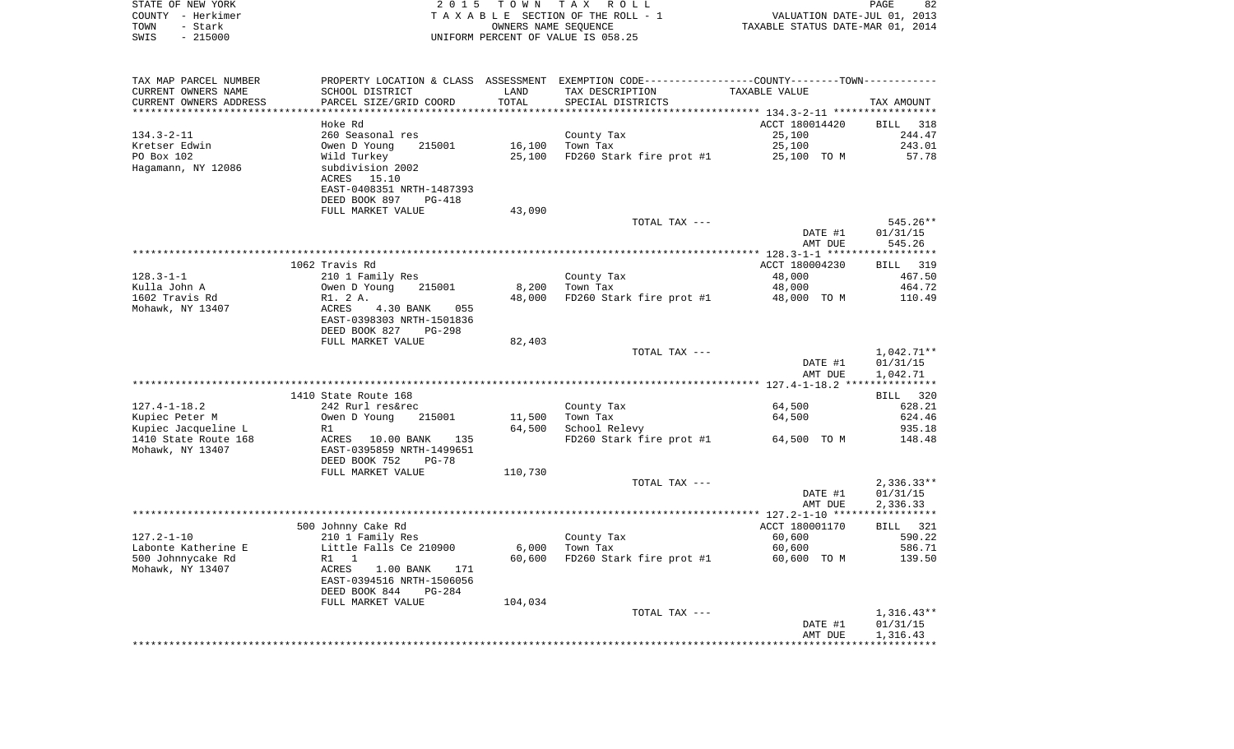|      | STATE OF NEW YORK | 2015 TOWN TAX ROLL                 | PAGE                             | 82 |
|------|-------------------|------------------------------------|----------------------------------|----|
|      | COUNTY - Herkimer | TAXABLE SECTION OF THE ROLL - 1    | VALUATION DATE-JUL 01, 2013      |    |
| TOWN | – Stark           | OWNERS NAME SEOUENCE               | TAXABLE STATUS DATE-MAR 01, 2014 |    |
| SWIS | - 215000          | UNIFORM PERCENT OF VALUE IS 058.25 |                                  |    |
|      |                   |                                    |                                  |    |
|      |                   |                                    |                                  |    |

| TAX MAP PARCEL NUMBER  | PROPERTY LOCATION & CLASS ASSESSMENT EXEMPTION CODE---------------COUNTY-------TOWN---------- |         |                          |                |                          |
|------------------------|-----------------------------------------------------------------------------------------------|---------|--------------------------|----------------|--------------------------|
| CURRENT OWNERS NAME    | SCHOOL DISTRICT                                                                               | LAND    | TAX DESCRIPTION          | TAXABLE VALUE  |                          |
| CURRENT OWNERS ADDRESS | PARCEL SIZE/GRID COORD                                                                        | TOTAL   | SPECIAL DISTRICTS        |                | TAX AMOUNT               |
|                        |                                                                                               |         |                          |                |                          |
|                        | Hoke Rd                                                                                       |         |                          | ACCT 180014420 | BILL<br>318              |
| $134.3 - 2 - 11$       | 260 Seasonal res                                                                              |         | County Tax               | 25,100         | 244.47                   |
| Kretser Edwin          | Owen D Young<br>215001                                                                        | 16,100  | Town Tax                 | 25,100         | 243.01                   |
| PO Box 102             | Wild Turkey                                                                                   | 25,100  | FD260 Stark fire prot #1 | 25,100 TO M    | 57.78                    |
| Hagamann, NY 12086     | subdivision 2002                                                                              |         |                          |                |                          |
|                        | ACRES<br>15.10<br>EAST-0408351 NRTH-1487393                                                   |         |                          |                |                          |
|                        | DEED BOOK 897<br>PG-418                                                                       |         |                          |                |                          |
|                        | FULL MARKET VALUE                                                                             | 43,090  |                          |                |                          |
|                        |                                                                                               |         | TOTAL TAX ---            |                | $545.26**$               |
|                        |                                                                                               |         |                          | DATE #1        | 01/31/15                 |
|                        |                                                                                               |         |                          | AMT DUE        | 545.26                   |
|                        |                                                                                               |         |                          |                | ***********              |
|                        | 1062 Travis Rd                                                                                |         |                          | ACCT 180004230 | 319<br>BILL              |
| $128.3 - 1 - 1$        | 210 1 Family Res                                                                              |         | County Tax               | 48,000         | 467.50                   |
| Kulla John A           | Owen D Young<br>215001                                                                        | 8,200   | Town Tax                 | 48,000         | 464.72                   |
| 1602 Travis Rd         | R1. 2 A.                                                                                      | 48,000  | FD260 Stark fire prot #1 | 48,000 TO M    | 110.49                   |
| Mohawk, NY 13407       | <b>ACRES</b><br>4.30 BANK<br>055                                                              |         |                          |                |                          |
|                        | EAST-0398303 NRTH-1501836                                                                     |         |                          |                |                          |
|                        | DEED BOOK 827<br>$PG-298$                                                                     |         |                          |                |                          |
|                        | FULL MARKET VALUE                                                                             | 82,403  | TOTAL TAX ---            |                | $1,042.71**$             |
|                        |                                                                                               |         |                          | DATE #1        | 01/31/15                 |
|                        |                                                                                               |         |                          | AMT DUE        | 1,042.71                 |
|                        |                                                                                               |         |                          |                |                          |
|                        | 1410 State Route 168                                                                          |         |                          |                | BILL 320                 |
| $127.4 - 1 - 18.2$     | 242 Rurl res&rec                                                                              |         | County Tax               | 64,500         | 628.21                   |
| Kupiec Peter M         | 215001<br>Owen D Young                                                                        | 11,500  | Town Tax                 | 64,500         | 624.46                   |
| Kupiec Jacqueline L    | R1                                                                                            | 64,500  | School Relevy            |                | 935.18                   |
| 1410 State Route 168   | ACRES 10.00 BANK<br>135                                                                       |         | FD260 Stark fire prot #1 | 64,500 TO M    | 148.48                   |
| Mohawk, NY 13407       | EAST-0395859 NRTH-1499651                                                                     |         |                          |                |                          |
|                        | DEED BOOK 752<br>$PG-78$                                                                      |         |                          |                |                          |
|                        | FULL MARKET VALUE                                                                             | 110,730 |                          |                |                          |
|                        |                                                                                               |         | TOTAL TAX ---            | DATE #1        | $2,336.33**$<br>01/31/15 |
|                        |                                                                                               |         |                          | AMT DUE        | 2,336.33                 |
|                        |                                                                                               |         |                          |                |                          |
|                        | 500 Johnny Cake Rd                                                                            |         |                          | ACCT 180001170 | BILL 321                 |
| $127.2 - 1 - 10$       | 210 1 Family Res                                                                              |         | County Tax               | 60,600         | 590.22                   |
| Labonte Katherine E    | Little Falls Ce 210900                                                                        | 6,000   | Town Tax                 | 60,600         | 586.71                   |
| 500 Johnnycake Rd      | $R1$ 1                                                                                        | 60,600  | FD260 Stark fire prot #1 | 60,600 TO M    | 139.50                   |
| Mohawk, NY 13407       | <b>ACRES</b><br>1.00 BANK<br>171                                                              |         |                          |                |                          |
|                        | EAST-0394516 NRTH-1506056                                                                     |         |                          |                |                          |
|                        | DEED BOOK 844<br>$PG-284$                                                                     |         |                          |                |                          |
|                        | FULL MARKET VALUE                                                                             | 104,034 |                          |                |                          |
|                        |                                                                                               |         | TOTAL TAX ---            |                | $1,316.43**$             |
|                        |                                                                                               |         |                          | DATE #1        | 01/31/15                 |
|                        |                                                                                               |         |                          | AMT DUE        | 1,316.43                 |
|                        |                                                                                               |         |                          |                |                          |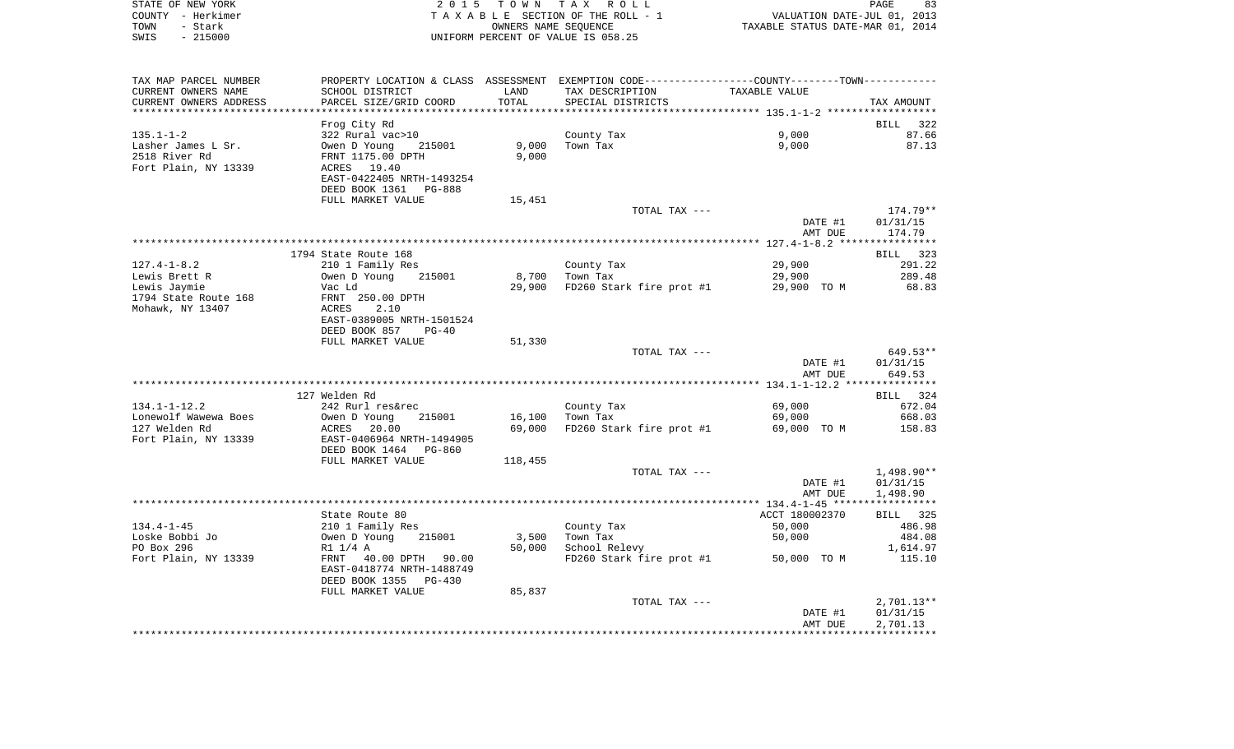|      | STATE OF NEW YORK | 2015 TOWN TAX ROLL                 | PAGE                             | 83 |
|------|-------------------|------------------------------------|----------------------------------|----|
|      | COUNTY - Herkimer | TAXABLE SECTION OF THE ROLL - 1    | VALUATION DATE-JUL 01, 2013      |    |
| TOWN | - Stark           | OWNERS NAME SEOUENCE               | TAXABLE STATUS DATE-MAR 01, 2014 |    |
| SWIS | $-215000$         | UNIFORM PERCENT OF VALUE IS 058.25 |                                  |    |

| TAX MAP PARCEL NUMBER  | PROPERTY LOCATION & CLASS ASSESSMENT EXEMPTION CODE---------------COUNTY-------TOWN---------- |         |                                      |                |            |
|------------------------|-----------------------------------------------------------------------------------------------|---------|--------------------------------------|----------------|------------|
| CURRENT OWNERS NAME    | SCHOOL DISTRICT                                                                               | LAND    | TAX DESCRIPTION                      | TAXABLE VALUE  |            |
| CURRENT OWNERS ADDRESS | PARCEL SIZE/GRID COORD                                                                        | TOTAL   | SPECIAL DISTRICTS                    |                | TAX AMOUNT |
|                        |                                                                                               |         |                                      |                |            |
|                        | Frog City Rd                                                                                  |         |                                      |                | BILL 322   |
| $135.1 - 1 - 2$        | 322 Rural vac>10                                                                              |         | County Tax                           | 9,000          | 87.66      |
| Lasher James L Sr.     | Owen D Young<br>215001                                                                        | 9,000   | Town Tax                             | 9,000          | 87.13      |
| 2518 River Rd          | FRNT 1175.00 DPTH                                                                             | 9,000   |                                      |                |            |
|                        |                                                                                               |         |                                      |                |            |
| Fort Plain, NY 13339   | ACRES 19.40                                                                                   |         |                                      |                |            |
|                        | EAST-0422405 NRTH-1493254                                                                     |         |                                      |                |            |
|                        | DEED BOOK 1361 PG-888                                                                         |         |                                      |                |            |
|                        | FULL MARKET VALUE                                                                             | 15,451  |                                      |                |            |
|                        |                                                                                               |         | TOTAL TAX ---                        |                | 174.79**   |
|                        |                                                                                               |         |                                      | DATE #1        | 01/31/15   |
|                        |                                                                                               |         |                                      | AMT DUE        | 174.79     |
|                        |                                                                                               |         |                                      |                |            |
|                        | 1794 State Route 168                                                                          |         |                                      |                | BILL 323   |
| $127.4 - 1 - 8.2$      | 210 1 Family Res                                                                              |         | County Tax                           | 29,900         | 291.22     |
| Lewis Brett R          | 215001<br>Owen D Young                                                                        |         | 8,700 Town Tax                       | 29,900         | 289.48     |
| Lewis Jaymie           | Vac Ld                                                                                        |         | 29,900 FD260 Stark fire prot #1      | 29,900 TO M    | 68.83      |
| 1794 State Route 168   | FRNT 250.00 DPTH                                                                              |         |                                      |                |            |
| Mohawk, NY 13407       | 2.10<br>ACRES                                                                                 |         |                                      |                |            |
|                        | EAST-0389005 NRTH-1501524                                                                     |         |                                      |                |            |
|                        | $PG-40$                                                                                       |         |                                      |                |            |
|                        | DEED BOOK 857                                                                                 |         |                                      |                |            |
|                        | FULL MARKET VALUE                                                                             | 51,330  |                                      |                |            |
|                        |                                                                                               |         | TOTAL TAX ---                        |                | 649.53**   |
|                        |                                                                                               |         |                                      | DATE #1        | 01/31/15   |
|                        |                                                                                               |         |                                      | AMT DUE        | 649.53     |
|                        |                                                                                               |         |                                      |                |            |
|                        | 127 Welden Rd                                                                                 |         |                                      |                | BILL 324   |
| $134.1 - 1 - 12.2$     | 242 Rurl res&rec                                                                              |         | County Tax                           | 69,000         | 672.04     |
| Lonewolf Wawewa Boes   | Owen D Young<br>215001                                                                        | 16,100  | Town Tax                             | 69,000         | 668.03     |
| 127 Welden Rd          | ACRES<br>20.00                                                                                | 69,000  | FD260 Stark fire prot #1 69,000 TO M |                | 158.83     |
| Fort Plain, NY 13339   | EAST-0406964 NRTH-1494905                                                                     |         |                                      |                |            |
|                        | DEED BOOK 1464<br>PG-860                                                                      |         |                                      |                |            |
|                        | FULL MARKET VALUE                                                                             | 118,455 |                                      |                |            |
|                        |                                                                                               |         | TOTAL TAX ---                        |                | 1,498.90** |
|                        |                                                                                               |         |                                      | DATE #1        | 01/31/15   |
|                        |                                                                                               |         |                                      | AMT DUE        | 1,498.90   |
|                        |                                                                                               |         |                                      |                |            |
|                        | State Route 80                                                                                |         |                                      | ACCT 180002370 | BILL 325   |
| $134.4 - 1 - 45$       |                                                                                               |         |                                      |                |            |
|                        | 210 1 Family Res                                                                              |         | County Tax                           | 50,000         | 486.98     |
| Loske Bobbi Jo         | Owen D Young<br>215001                                                                        | 3,500   | Town Tax                             | 50,000         | 484.08     |
| PO Box 296             | R1 1/4 A                                                                                      | 50,000  | School Relevy                        |                | 1,614.97   |
| Fort Plain, NY 13339   | FRNT 40.00 DPTH 90.00                                                                         |         | FD260 Stark fire prot #1 50,000 TO M |                | 115.10     |
|                        | EAST-0418774 NRTH-1488749                                                                     |         |                                      |                |            |
|                        | DEED BOOK 1355 PG-430                                                                         |         |                                      |                |            |
|                        | FULL MARKET VALUE                                                                             | 85,837  |                                      |                |            |
|                        |                                                                                               |         | TOTAL TAX ---                        |                | 2,701.13** |
|                        |                                                                                               |         |                                      | DATE #1        | 01/31/15   |
|                        |                                                                                               |         |                                      | AMT DUE        | 2,701.13   |
|                        |                                                                                               |         |                                      |                |            |
|                        |                                                                                               |         |                                      |                |            |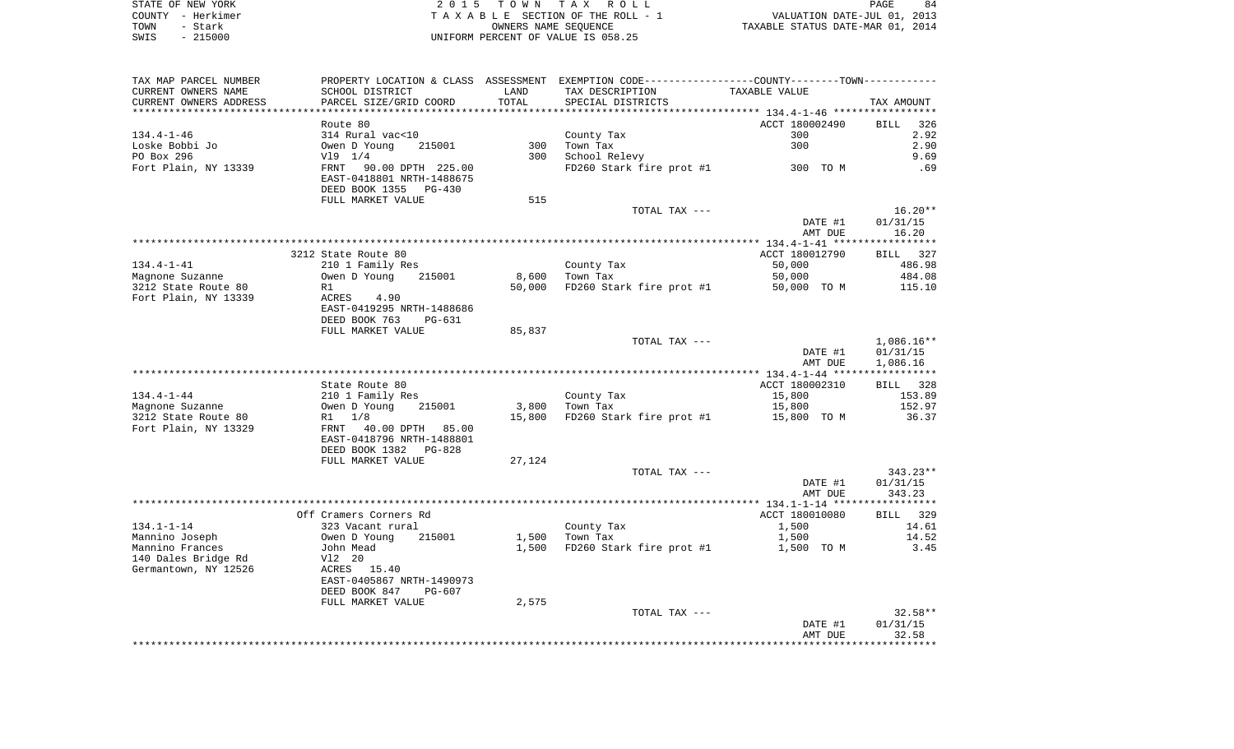| STATE OF NEW YORK | 2015 TOWN TAX ROLL                 | 84<br>PAGE                       |
|-------------------|------------------------------------|----------------------------------|
| COUNTY - Herkimer | TAXABLE SECTION OF THE ROLL - 1    | VALUATION DATE-JUL 01, 2013      |
| TOWN<br>- Stark   | OWNERS NAME SEOUENCE               | TAXABLE STATUS DATE-MAR 01, 2014 |
| $-215000$<br>SWIS | UNIFORM PERCENT OF VALUE IS 058.25 |                                  |

 $\begin{array}{c} 84 \\ 2013 \end{array}$ 

| TAX MAP PARCEL NUMBER  |                           |        | PROPERTY LOCATION & CLASS ASSESSMENT EXEMPTION CODE---------------COUNTY-------TOWN---------- |                |                    |
|------------------------|---------------------------|--------|-----------------------------------------------------------------------------------------------|----------------|--------------------|
| CURRENT OWNERS NAME    | SCHOOL DISTRICT           | LAND   | TAX DESCRIPTION                                                                               | TAXABLE VALUE  |                    |
| CURRENT OWNERS ADDRESS | PARCEL SIZE/GRID COORD    | TOTAL  | SPECIAL DISTRICTS                                                                             |                | TAX AMOUNT         |
| ********************** |                           |        |                                                                                               |                |                    |
|                        | Route 80                  |        |                                                                                               | ACCT 180002490 | <b>BILL</b><br>326 |
| $134.4 - 1 - 46$       | 314 Rural vac<10          |        | County Tax                                                                                    | 300            | 2.92               |
| Loske Bobbi Jo         | Owen D Young<br>215001    | 300    | Town Tax                                                                                      | 300            | 2.90               |
| PO Box 296             | V19 1/4                   | 300    | School Relevy                                                                                 |                | 9.69               |
| Fort Plain, NY 13339   | FRNT<br>90.00 DPTH 225.00 |        | FD260 Stark fire prot #1                                                                      | 300 TO M       | .69                |
|                        | EAST-0418801 NRTH-1488675 |        |                                                                                               |                |                    |
|                        | DEED BOOK 1355 PG-430     |        |                                                                                               |                |                    |
|                        | FULL MARKET VALUE         | 515    |                                                                                               |                |                    |
|                        |                           |        | TOTAL TAX ---                                                                                 |                | $16.20**$          |
|                        |                           |        |                                                                                               | DATE #1        | 01/31/15           |
|                        |                           |        |                                                                                               | AMT DUE        | 16.20              |
|                        |                           |        |                                                                                               |                |                    |
|                        | 3212 State Route 80       |        |                                                                                               | ACCT 180012790 | BILL 327           |
| 134.4-1-41             | 210 1 Family Res          |        | County Tax                                                                                    | 50,000         | 486.98             |
| Magnone Suzanne        | 215001<br>Owen D Young    | 8,600  | Town Tax                                                                                      | 50,000         | 484.08             |
| 3212 State Route 80    | R1                        | 50,000 | FD260 Stark fire prot #1                                                                      | 50,000 TO M    | 115.10             |
| Fort Plain, NY 13339   | ACRES 4.90                |        |                                                                                               |                |                    |
|                        | EAST-0419295 NRTH-1488686 |        |                                                                                               |                |                    |
|                        | DEED BOOK 763<br>PG-631   |        |                                                                                               |                |                    |
|                        | FULL MARKET VALUE         | 85,837 |                                                                                               |                |                    |
|                        |                           |        | TOTAL TAX ---                                                                                 |                | $1,086.16**$       |
|                        |                           |        |                                                                                               | DATE #1        | 01/31/15           |
|                        |                           |        |                                                                                               | AMT DUE        | 1,086.16           |
|                        |                           |        |                                                                                               |                |                    |
|                        | State Route 80            |        |                                                                                               | ACCT 180002310 | BILL 328           |
| $134.4 - 1 - 44$       | 210 1 Family Res          |        | County Tax                                                                                    | 15,800         | 153.89             |
| Magnone Suzanne        | Owen D Young<br>215001    | 3,800  | Town Tax                                                                                      | 15,800         | 152.97             |
| 3212 State Route 80    | R1 1/8                    | 15,800 | FD260 Stark fire prot #1                                                                      | 15,800 TO M    | 36.37              |
| Fort Plain, NY 13329   | FRNT 40.00 DPTH 85.00     |        |                                                                                               |                |                    |
|                        | EAST-0418796 NRTH-1488801 |        |                                                                                               |                |                    |
|                        | DEED BOOK 1382 PG-828     |        |                                                                                               |                |                    |
|                        | FULL MARKET VALUE         | 27,124 |                                                                                               |                |                    |
|                        |                           |        | TOTAL TAX ---                                                                                 |                | $343.23**$         |
|                        |                           |        |                                                                                               | DATE #1        | 01/31/15           |
|                        |                           |        |                                                                                               | AMT DUE        | 343.23             |
|                        |                           |        |                                                                                               |                |                    |
|                        | Off Cramers Corners Rd    |        |                                                                                               | ACCT 180010080 | BILL 329           |
| $134.1 - 1 - 14$       | 323 Vacant rural          |        | County Tax                                                                                    | 1,500          | 14.61              |
| Mannino Joseph         | 215001<br>Owen D Young    | 1,500  | Town Tax                                                                                      | 1,500          | 14.52              |
| Mannino Frances        | John Mead                 | 1,500  | FD260 Stark fire prot #1                                                                      | 1,500 TO M     | 3.45               |
| 140 Dales Bridge Rd    | V12 20                    |        |                                                                                               |                |                    |
| Germantown, NY 12526   | ACRES 15.40               |        |                                                                                               |                |                    |
|                        |                           |        |                                                                                               |                |                    |
|                        | EAST-0405867 NRTH-1490973 |        |                                                                                               |                |                    |
|                        | DEED BOOK 847<br>PG-607   |        |                                                                                               |                |                    |
|                        | FULL MARKET VALUE         | 2,575  |                                                                                               |                |                    |
|                        |                           |        | TOTAL TAX ---                                                                                 |                | $32.58**$          |
|                        |                           |        |                                                                                               | DATE #1        | 01/31/15           |
|                        |                           |        |                                                                                               | AMT DUE        | 32.58              |
|                        |                           |        |                                                                                               |                |                    |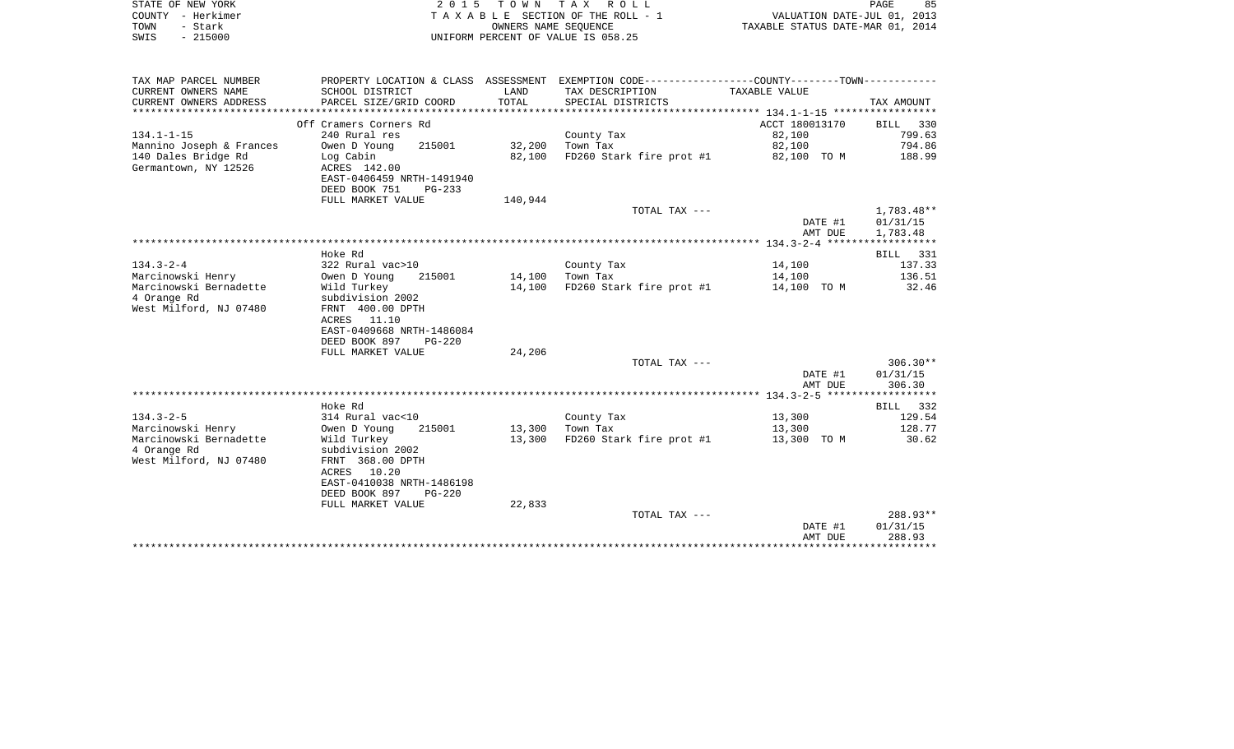| STATE OF NEW YORK | 2015 TOWN TAX ROLL                 | 85<br>PAGE                       |
|-------------------|------------------------------------|----------------------------------|
| COUNTY - Herkimer | TAXABLE SECTION OF THE ROLL - 1    | VALUATION DATE-JUL 01, 2013      |
| TOWN<br>– Stark   | OWNERS NAME SEOUENCE               | TAXABLE STATUS DATE-MAR 01, 2014 |
| - 215000<br>SWIS  | UNIFORM PERCENT OF VALUE IS 058.25 |                                  |

| TAX MAP PARCEL NUMBER    |                           |                 | PROPERTY LOCATION & CLASS ASSESSMENT EXEMPTION CODE--------------COUNTY-------TOWN---------- |                |            |
|--------------------------|---------------------------|-----------------|----------------------------------------------------------------------------------------------|----------------|------------|
| CURRENT OWNERS NAME      | SCHOOL DISTRICT           | LAND            | TAX DESCRIPTION                                                                              | TAXABLE VALUE  |            |
| CURRENT OWNERS ADDRESS   | PARCEL SIZE/GRID COORD    | TOTAL           | SPECIAL DISTRICTS                                                                            |                | TAX AMOUNT |
|                          |                           |                 |                                                                                              |                |            |
|                          | Off Cramers Corners Rd    |                 |                                                                                              | ACCT 180013170 | BILL 330   |
| $134.1 - 1 - 15$         | 240 Rural res             |                 | County Tax                                                                                   | 82,100         | 799.63     |
| Mannino Joseph & Frances | 215001<br>Owen D Young    | 32,200          | Town Tax                                                                                     | 82,100         | 794.86     |
| 140 Dales Bridge Rd      | Log Cabin                 | 82,100          | FD260 Stark fire prot #1 82,100 TO M                                                         |                | 188.99     |
| Germantown, NY 12526     | ACRES 142.00              |                 |                                                                                              |                |            |
|                          | EAST-0406459 NRTH-1491940 |                 |                                                                                              |                |            |
|                          | DEED BOOK 751<br>$PG-233$ |                 |                                                                                              |                |            |
|                          | FULL MARKET VALUE         |                 |                                                                                              |                |            |
|                          |                           | 140,944         |                                                                                              |                |            |
|                          |                           |                 | TOTAL TAX ---                                                                                |                | 1,783.48** |
|                          |                           |                 |                                                                                              | DATE #1        | 01/31/15   |
|                          |                           |                 |                                                                                              | AMT DUE        | 1,783.48   |
|                          |                           |                 |                                                                                              |                |            |
|                          | Hoke Rd                   |                 |                                                                                              |                | BILL 331   |
| $134.3 - 2 - 4$          | 322 Rural vac>10          |                 | County Tax                                                                                   | 14,100         | 137.33     |
| Marcinowski Henry        | Owen D Young<br>215001    | 14,100 Town Tax |                                                                                              | 14,100         | 136.51     |
| Marcinowski Bernadette   | Wild Turkey               | 14,100          | FD260 Stark fire prot #1 14,100 TO M 32.46                                                   |                |            |
| 4 Orange Rd              | subdivision 2002          |                 |                                                                                              |                |            |
| West Milford, NJ 07480   | FRNT 400.00 DPTH          |                 |                                                                                              |                |            |
|                          | ACRES 11.10               |                 |                                                                                              |                |            |
|                          | EAST-0409668 NRTH-1486084 |                 |                                                                                              |                |            |
|                          | DEED BOOK 897<br>$PG-220$ |                 |                                                                                              |                |            |
|                          | FULL MARKET VALUE         | 24,206          |                                                                                              |                |            |
|                          |                           |                 | TOTAL TAX ---                                                                                |                | $306.30**$ |
|                          |                           |                 |                                                                                              | DATE #1        | 01/31/15   |
|                          |                           |                 |                                                                                              | AMT DUE        | 306.30     |
|                          |                           |                 |                                                                                              |                |            |
|                          | Hoke Rd                   |                 |                                                                                              |                | BILL 332   |
| $134.3 - 2 - 5$          | 314 Rural vac<10          |                 | County Tax                                                                                   | 13,300         | 129.54     |
| Marcinowski Henry        | Owen D Young<br>215001    | 13,300 Town Tax |                                                                                              | 13,300         | 128.77     |
| Marcinowski Bernadette   | Wild Turkey               | 13,300          | FD260 Stark fire prot $#1$ 13,300 TO M                                                       |                | 30.62      |
| 4 Orange Rd              | subdivision 2002          |                 |                                                                                              |                |            |
| West Milford, NJ 07480   | FRNT 368.00 DPTH          |                 |                                                                                              |                |            |
|                          | ACRES 10.20               |                 |                                                                                              |                |            |
|                          | EAST-0410038 NRTH-1486198 |                 |                                                                                              |                |            |
|                          | DEED BOOK 897<br>$PG-220$ |                 |                                                                                              |                |            |
|                          | FULL MARKET VALUE         | 22,833          |                                                                                              |                |            |
|                          |                           |                 | TOTAL TAX ---                                                                                |                | 288.93**   |
|                          |                           |                 |                                                                                              | DATE #1        | 01/31/15   |
|                          |                           |                 |                                                                                              | AMT DUE        | 288.93     |
|                          |                           |                 |                                                                                              |                |            |
|                          |                           |                 |                                                                                              |                |            |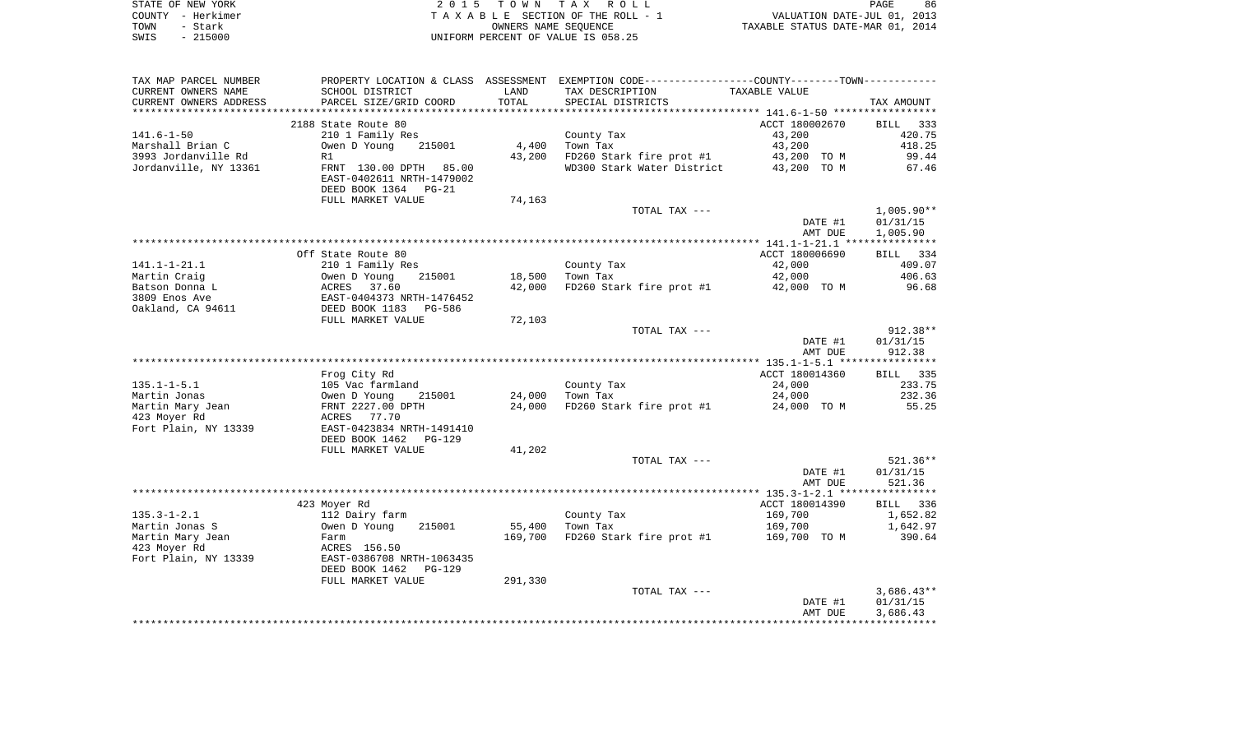|      | STATE OF NEW YORK | 2015 TOWN TAX ROLL                 | PAGE                             | 86 |
|------|-------------------|------------------------------------|----------------------------------|----|
|      | COUNTY - Herkimer | TAXABLE SECTION OF THE ROLL - 1    | VALUATION DATE-JUL 01, 2013      |    |
| TOWN | - Stark           | OWNERS NAME SEOUENCE               | TAXABLE STATUS DATE-MAR 01, 2014 |    |
| SWIS | $-215000$         | UNIFORM PERCENT OF VALUE IS 058.25 |                                  |    |

| TAX MAP PARCEL NUMBER             |                                                     |         | PROPERTY LOCATION & CLASS ASSESSMENT EXEMPTION CODE---------------COUNTY-------TOWN---------- |                  |                      |
|-----------------------------------|-----------------------------------------------------|---------|-----------------------------------------------------------------------------------------------|------------------|----------------------|
| CURRENT OWNERS NAME               | SCHOOL DISTRICT                                     | LAND    | TAX DESCRIPTION                                                                               | TAXABLE VALUE    |                      |
| CURRENT OWNERS ADDRESS            | PARCEL SIZE/GRID COORD                              | TOTAL   | SPECIAL DISTRICTS                                                                             |                  | TAX AMOUNT           |
| ********************              |                                                     |         |                                                                                               |                  |                      |
|                                   | 2188 State Route 80                                 |         |                                                                                               | ACCT 180002670   | BILL 333             |
| $141.6 - 1 - 50$                  | 210 1 Family Res                                    |         | County Tax                                                                                    | 43,200           | 420.75               |
| Marshall Brian C                  | Owen D Young<br>215001                              | 4,400   | Town Tax                                                                                      | 43,200           | 418.25               |
| 3993 Jordanville Rd               | R1                                                  | 43,200  | FD260 Stark fire prot #1                                                                      | 43,200 TO M      | 99.44                |
| Jordanville, NY 13361             | FRNT 130.00 DPTH 85.00<br>EAST-0402611 NRTH-1479002 |         | WD300 Stark Water District                                                                    | 43,200 TO M      | 67.46                |
|                                   | DEED BOOK 1364<br>$PG-21$                           |         |                                                                                               |                  |                      |
|                                   | FULL MARKET VALUE                                   | 74,163  |                                                                                               |                  |                      |
|                                   |                                                     |         | TOTAL TAX ---                                                                                 |                  | $1,005.90**$         |
|                                   |                                                     |         |                                                                                               | DATE #1          | 01/31/15             |
|                                   |                                                     |         |                                                                                               | AMT DUE          | 1,005.90             |
|                                   |                                                     |         |                                                                                               |                  |                      |
|                                   | Off State Route 80                                  |         |                                                                                               | ACCT 180006690   | BILL 334             |
| $141.1 - 1 - 21.1$                | 210 1 Family Res                                    |         | County Tax                                                                                    | 42,000           | 409.07               |
| Martin Craig                      | 215001<br>Owen D Young                              | 18,500  | Town Tax                                                                                      | 42,000           | 406.63               |
| Batson Donna L                    | 37.60<br>ACRES                                      | 42,000  | FD260 Stark fire prot #1                                                                      | 42,000 TO M      | 96.68                |
| 3809 Enos Ave                     | EAST-0404373 NRTH-1476452                           |         |                                                                                               |                  |                      |
| Oakland, CA 94611                 | DEED BOOK 1183<br>PG-586                            |         |                                                                                               |                  |                      |
|                                   | FULL MARKET VALUE                                   | 72,103  |                                                                                               |                  |                      |
|                                   |                                                     |         | TOTAL TAX ---                                                                                 |                  | $912.38**$           |
|                                   |                                                     |         |                                                                                               | DATE #1          | 01/31/15             |
|                                   |                                                     |         |                                                                                               | AMT DUE          | 912.38               |
|                                   |                                                     |         |                                                                                               |                  |                      |
|                                   | Frog City Rd                                        |         |                                                                                               | ACCT 180014360   | <b>BILL</b> 335      |
| $135.1 - 1 - 5.1$<br>Martin Jonas | 105 Vac farmland<br>215001                          | 24,000  | County Tax<br>Town Tax                                                                        | 24,000<br>24,000 | 233.75<br>232.36     |
| Martin Mary Jean                  | Owen D Young<br>FRNT 2227.00 DPTH                   | 24,000  | FD260 Stark fire prot #1                                                                      | 24,000 TO M      | 55.25                |
| 423 Moyer Rd                      | ACRES 77.70                                         |         |                                                                                               |                  |                      |
| Fort Plain, NY 13339              | EAST-0423834 NRTH-1491410                           |         |                                                                                               |                  |                      |
|                                   | DEED BOOK 1462<br>$PG-129$                          |         |                                                                                               |                  |                      |
|                                   | FULL MARKET VALUE                                   | 41,202  |                                                                                               |                  |                      |
|                                   |                                                     |         | TOTAL TAX ---                                                                                 |                  | $521.36**$           |
|                                   |                                                     |         |                                                                                               | DATE #1          | 01/31/15             |
|                                   |                                                     |         |                                                                                               | AMT DUE          | 521.36               |
|                                   |                                                     |         |                                                                                               |                  |                      |
|                                   | 423 Moyer Rd                                        |         |                                                                                               | ACCT 180014390   | BILL 336             |
| $135.3 - 1 - 2.1$                 | 112 Dairy farm                                      |         | County Tax                                                                                    | 169,700          | 1,652.82             |
| Martin Jonas S                    | 215001<br>Owen D Young                              | 55,400  | Town Tax                                                                                      | 169,700          | 1,642.97             |
| Martin Mary Jean                  | Farm                                                | 169,700 | FD260 Stark fire prot #1                                                                      | 169,700 TO M     | 390.64               |
| 423 Moyer Rd                      | ACRES 156.50                                        |         |                                                                                               |                  |                      |
| Fort Plain, NY 13339              | EAST-0386708 NRTH-1063435                           |         |                                                                                               |                  |                      |
|                                   | DEED BOOK 1462<br>$PG-129$                          |         |                                                                                               |                  |                      |
|                                   | FULL MARKET VALUE                                   | 291,330 |                                                                                               |                  |                      |
|                                   |                                                     |         | TOTAL TAX ---                                                                                 |                  | $3,686.43**$         |
|                                   |                                                     |         |                                                                                               | DATE #1          | 01/31/15<br>3,686.43 |
|                                   |                                                     |         |                                                                                               | AMT DUE          |                      |
|                                   |                                                     |         |                                                                                               |                  |                      |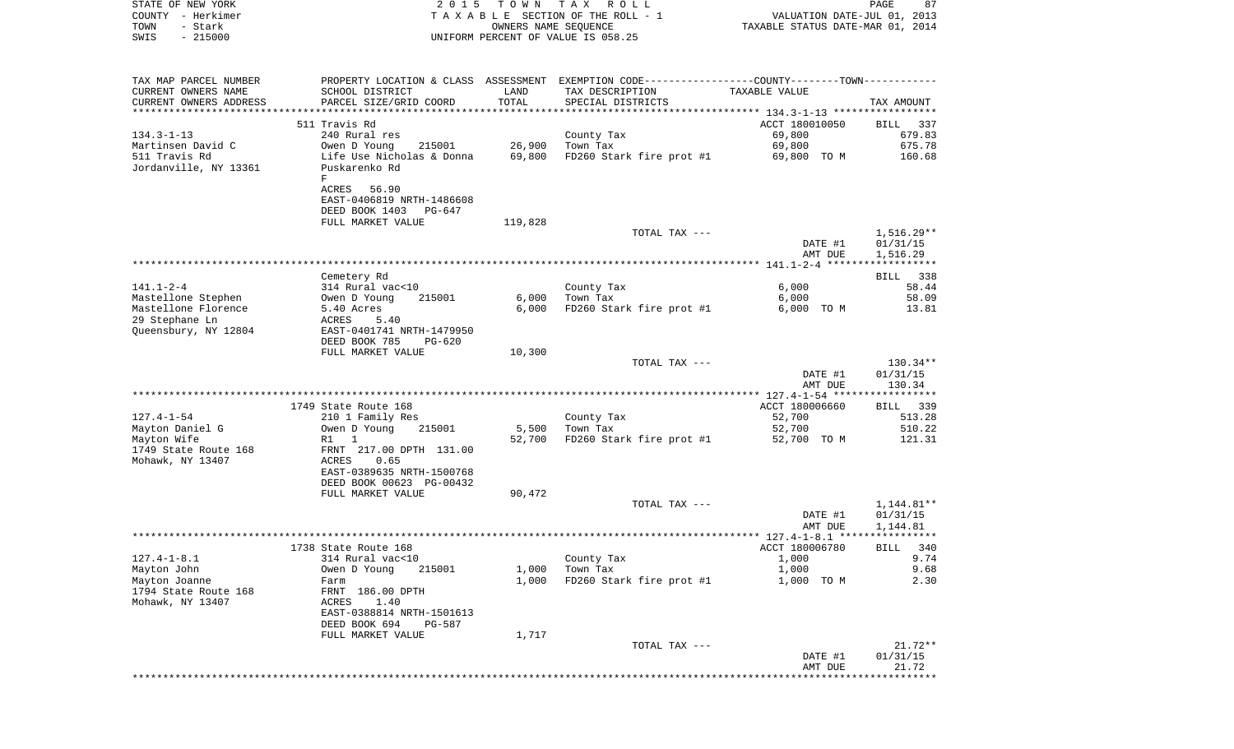| STATE OF NEW YORK<br>COUNTY - Herkimer<br>- Stark<br>TOWN<br>$-215000$<br>SWIS                    | 2 0 1 5                                                                                      | T O W N          | TAX ROLL<br>TAXABLE SECTION OF THE ROLL - 1<br>OWNERS NAME SEQUENCE<br>UNIFORM PERCENT OF VALUE IS 058.25                             | VALUATION DATE-JUL 01, 2013<br>TAXABLE STATUS DATE-MAR 01, 2014 | PAGE<br>87                     |
|---------------------------------------------------------------------------------------------------|----------------------------------------------------------------------------------------------|------------------|---------------------------------------------------------------------------------------------------------------------------------------|-----------------------------------------------------------------|--------------------------------|
| TAX MAP PARCEL NUMBER<br>CURRENT OWNERS NAME<br>CURRENT OWNERS ADDRESS<br>*********************** | SCHOOL DISTRICT<br>PARCEL SIZE/GRID COORD                                                    | LAND<br>TOTAL    | PROPERTY LOCATION & CLASS ASSESSMENT EXEMPTION CODE---------------COUNTY-------TOWN----------<br>TAX DESCRIPTION<br>SPECIAL DISTRICTS | TAXABLE VALUE                                                   | TAX AMOUNT                     |
|                                                                                                   | 511 Travis Rd                                                                                |                  |                                                                                                                                       | ACCT 180010050                                                  | BILL<br>337                    |
| $134.3 - 1 - 13$<br>Martinsen David C<br>511 Travis Rd<br>Jordanville, NY 13361                   | 240 Rural res<br>Owen D Young<br>215001<br>Life Use Nicholas & Donna<br>Puskarenko Rd<br>F   | 26,900<br>69,800 | County Tax<br>Town Tax<br>FD260 Stark fire prot #1                                                                                    | 69,800<br>69,800<br>69,800 TO M                                 | 679.83<br>675.78<br>160.68     |
|                                                                                                   | ACRES<br>56.90<br>EAST-0406819 NRTH-1486608<br>DEED BOOK 1403<br>PG-647<br>FULL MARKET VALUE | 119,828          |                                                                                                                                       |                                                                 |                                |
|                                                                                                   |                                                                                              |                  | TOTAL TAX ---                                                                                                                         | DATE #1                                                         | $1,516.29**$<br>01/31/15       |
|                                                                                                   |                                                                                              |                  |                                                                                                                                       | AMT DUE                                                         | 1,516.29                       |
|                                                                                                   | Cemetery Rd                                                                                  |                  |                                                                                                                                       |                                                                 | 338<br>BILL                    |
| $141.1 - 2 - 4$                                                                                   | 314 Rural vac<10                                                                             |                  | County Tax                                                                                                                            | 6,000                                                           | 58.44                          |
| Mastellone Stephen<br>Mastellone Florence                                                         | Owen D Young<br>215001<br>5.40 Acres                                                         | 6,000<br>6,000   | Town Tax<br>FD260 Stark fire prot #1                                                                                                  | 6,000<br>6,000 TO M                                             | 58.09<br>13.81                 |
| 29 Stephane Ln                                                                                    | ACRES<br>5.40                                                                                |                  |                                                                                                                                       |                                                                 |                                |
| Queensbury, NY 12804                                                                              | EAST-0401741 NRTH-1479950<br>DEED BOOK 785<br>$PG-620$                                       |                  |                                                                                                                                       |                                                                 |                                |
|                                                                                                   | FULL MARKET VALUE                                                                            | 10,300           |                                                                                                                                       |                                                                 |                                |
|                                                                                                   |                                                                                              |                  | TOTAL TAX ---                                                                                                                         | DATE #1<br>AMT DUE                                              | 130.34**<br>01/31/15<br>130.34 |
|                                                                                                   |                                                                                              |                  |                                                                                                                                       |                                                                 |                                |
| $127.4 - 1 - 54$                                                                                  | 1749 State Route 168<br>210 1 Family Res                                                     |                  | County Tax                                                                                                                            | ACCT 180006660<br>52,700                                        | BILL 339<br>513.28             |
| Mayton Daniel G                                                                                   | Owen D Young<br>215001                                                                       | 5,500            | Town Tax                                                                                                                              | 52,700                                                          | 510.22                         |
| Mayton Wife<br>1749 State Route 168<br>Mohawk, NY 13407                                           | 1<br>R1<br>FRNT 217.00 DPTH 131.00<br>ACRES<br>0.65<br>EAST-0389635 NRTH-1500768             | 52,700           | FD260 Stark fire prot #1                                                                                                              | 52,700 TO M                                                     | 121.31                         |
|                                                                                                   | DEED BOOK 00623 PG-00432<br>FULL MARKET VALUE                                                | 90,472           |                                                                                                                                       |                                                                 |                                |
|                                                                                                   |                                                                                              |                  | TOTAL TAX ---                                                                                                                         |                                                                 | 1,144.81**                     |
|                                                                                                   |                                                                                              |                  |                                                                                                                                       | DATE #1<br>AMT DUE                                              | 01/31/15<br>1,144.81           |
|                                                                                                   |                                                                                              |                  |                                                                                                                                       |                                                                 |                                |
|                                                                                                   | 1738 State Route 168                                                                         |                  |                                                                                                                                       | ACCT 180006780                                                  | BILL 340                       |
| $127.4 - 1 - 8.1$<br>Mayton John                                                                  | 314 Rural vac<10<br>Owen D Young<br>215001                                                   | 1,000            | County Tax<br>Town Tax                                                                                                                | 1,000<br>1,000                                                  | 9.74<br>9.68                   |
| Mayton Joanne                                                                                     | Farm                                                                                         | 1,000            | FD260 Stark fire prot #1                                                                                                              | 1,000 TO M                                                      | 2.30                           |
| 1794 State Route 168<br>Mohawk, NY 13407                                                          | FRNT 186.00 DPTH<br>ACRES<br>1.40<br>EAST-0388814 NRTH-1501613<br>DEED BOOK 694<br>PG-587    |                  |                                                                                                                                       |                                                                 |                                |
|                                                                                                   | FULL MARKET VALUE                                                                            | 1,717            |                                                                                                                                       |                                                                 |                                |
|                                                                                                   |                                                                                              |                  | TOTAL TAX ---                                                                                                                         | DATE #1<br>AMT DUE                                              | $21.72**$<br>01/31/15<br>21.72 |
|                                                                                                   |                                                                                              |                  |                                                                                                                                       | ********************************                                |                                |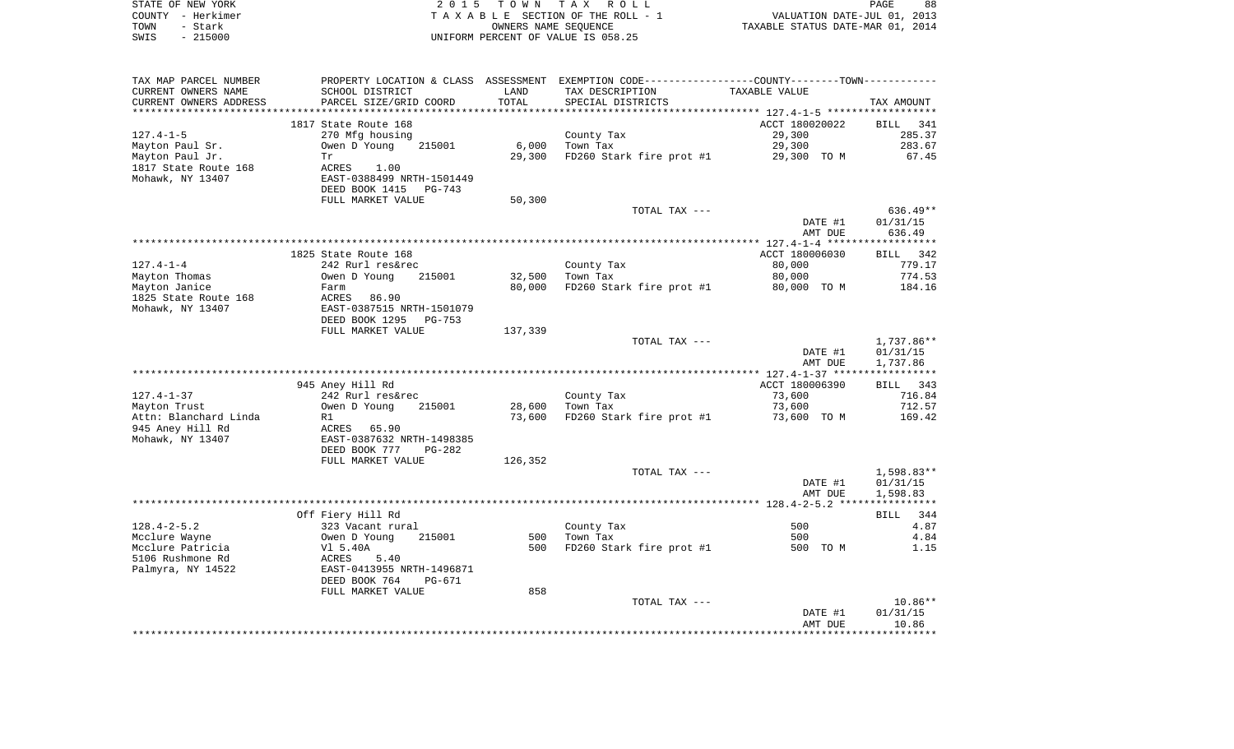| STATE OF NEW YORK | 2015 TOWN TAX ROLL                 | 88<br>PAGE                       |
|-------------------|------------------------------------|----------------------------------|
| COUNTY – Herkimer | TAXABLE SECTION OF THE ROLL - 1    | VALUATION DATE-JUL 01, 2013      |
| TOWN<br>- Stark   | OWNERS NAME SEOUENCE               | TAXABLE STATUS DATE-MAR 01, 2014 |
| $-215000$<br>SWIS | UNIFORM PERCENT OF VALUE IS 058.25 |                                  |

| TAX MAP PARCEL NUMBER  | PROPERTY LOCATION & CLASS ASSESSMENT EXEMPTION CODE---------------COUNTY-------TOWN---------- |         |                          |                |            |
|------------------------|-----------------------------------------------------------------------------------------------|---------|--------------------------|----------------|------------|
| CURRENT OWNERS NAME    | SCHOOL DISTRICT                                                                               | LAND    | TAX DESCRIPTION          | TAXABLE VALUE  |            |
| CURRENT OWNERS ADDRESS | PARCEL SIZE/GRID COORD                                                                        | TOTAL   | SPECIAL DISTRICTS        |                | TAX AMOUNT |
|                        |                                                                                               |         |                          |                |            |
|                        | 1817 State Route 168                                                                          |         |                          | ACCT 180020022 | BILL 341   |
| $127.4 - 1 - 5$        | 270 Mfg housing                                                                               |         | County Tax               | 29,300         | 285.37     |
| Mayton Paul Sr.        | Owen D Young<br>215001                                                                        | 6,000   | Town Tax                 | 29,300         | 283.67     |
| Mayton Paul Jr.        | Tr                                                                                            | 29,300  | FD260 Stark fire prot #1 | 29,300 TO M    | 67.45      |
| 1817 State Route 168   | ACRES<br>1.00                                                                                 |         |                          |                |            |
| Mohawk, NY 13407       | EAST-0388499 NRTH-1501449                                                                     |         |                          |                |            |
|                        | DEED BOOK 1415<br>PG-743                                                                      |         |                          |                |            |
|                        | FULL MARKET VALUE                                                                             | 50,300  |                          |                |            |
|                        |                                                                                               |         | TOTAL TAX ---            |                | $636.49**$ |
|                        |                                                                                               |         |                          | DATE #1        | 01/31/15   |
|                        |                                                                                               |         |                          | AMT DUE        | 636.49     |
|                        |                                                                                               |         |                          |                |            |
|                        | 1825 State Route 168                                                                          |         |                          | ACCT 180006030 | BILL 342   |
| 127.4-1-4              | 242 Rurl res&rec                                                                              |         | County Tax<br>Town Tax   | 80,000         | 779.17     |
| Mayton Thomas          | Owen D Young<br>215001                                                                        | 32,500  | Town Tax                 | 80,000         | 774.53     |
| Mayton Janice          | Farm                                                                                          | 80,000  | FD260 Stark fire prot #1 | 80,000 TO M    | 184.16     |
| 1825 State Route 168   | 86.90<br>ACRES                                                                                |         |                          |                |            |
| Mohawk, NY 13407       | EAST-0387515 NRTH-1501079                                                                     |         |                          |                |            |
|                        | DEED BOOK 1295<br>PG-753                                                                      |         |                          |                |            |
|                        | FULL MARKET VALUE                                                                             | 137,339 |                          |                |            |
|                        |                                                                                               |         | TOTAL TAX ---            |                | 1,737.86** |
|                        |                                                                                               |         |                          | DATE #1        | 01/31/15   |
|                        |                                                                                               |         |                          | AMT DUE        | 1,737.86   |
|                        |                                                                                               |         |                          |                |            |
|                        | 945 Aney Hill Rd                                                                              |         |                          | ACCT 180006390 | BILL 343   |
| 127.4-1-37             | 242 Rurl res&rec                                                                              |         | County Tax               | 73,600         | 716.84     |
| Mayton Trust           | Owen D Young<br>215001                                                                        | 28,600  | Town Tax                 | 73,600         | 712.57     |
| Attn: Blanchard Linda  | R1                                                                                            | 73,600  | FD260 Stark fire prot #1 | 73,600 TO M    | 169.42     |
| 945 Aney Hill Rd       | ACRES 65.90                                                                                   |         |                          |                |            |
| Mohawk, NY 13407       | EAST-0387632 NRTH-1498385                                                                     |         |                          |                |            |
|                        | DEED BOOK 777<br>PG-282                                                                       |         |                          |                |            |
|                        | FULL MARKET VALUE                                                                             | 126,352 |                          |                |            |
|                        |                                                                                               |         | TOTAL TAX ---            |                | 1,598.83** |
|                        |                                                                                               |         |                          | DATE #1        | 01/31/15   |
|                        |                                                                                               |         |                          | AMT DUE        | 1,598.83   |
|                        |                                                                                               |         |                          |                |            |
|                        | Off Fiery Hill Rd                                                                             |         |                          |                | BILL 344   |
| $128.4 - 2 - 5.2$      | 323 Vacant rural                                                                              |         | County Tax               | 500            | 4.87       |
| Mcclure Wayne          | Owen D Young<br>215001                                                                        | 500     | Town Tax                 | 500            | 4.84       |
| Mcclure Patricia       | Vl 5.40A                                                                                      | 500     | FD260 Stark fire prot #1 | 500 TO M       | 1.15       |
| 5106 Rushmone Rd       | ACRES<br>5.40                                                                                 |         |                          |                |            |
| Palmyra, NY 14522      | EAST-0413955 NRTH-1496871                                                                     |         |                          |                |            |
|                        | DEED BOOK 764<br>PG-671                                                                       |         |                          |                |            |
|                        | FULL MARKET VALUE                                                                             | 858     |                          |                |            |
|                        |                                                                                               |         | TOTAL TAX ---            |                | $10.86**$  |
|                        |                                                                                               |         |                          | DATE #1        | 01/31/15   |
|                        |                                                                                               |         |                          | AMT DUE        | 10.86      |
|                        |                                                                                               |         |                          |                |            |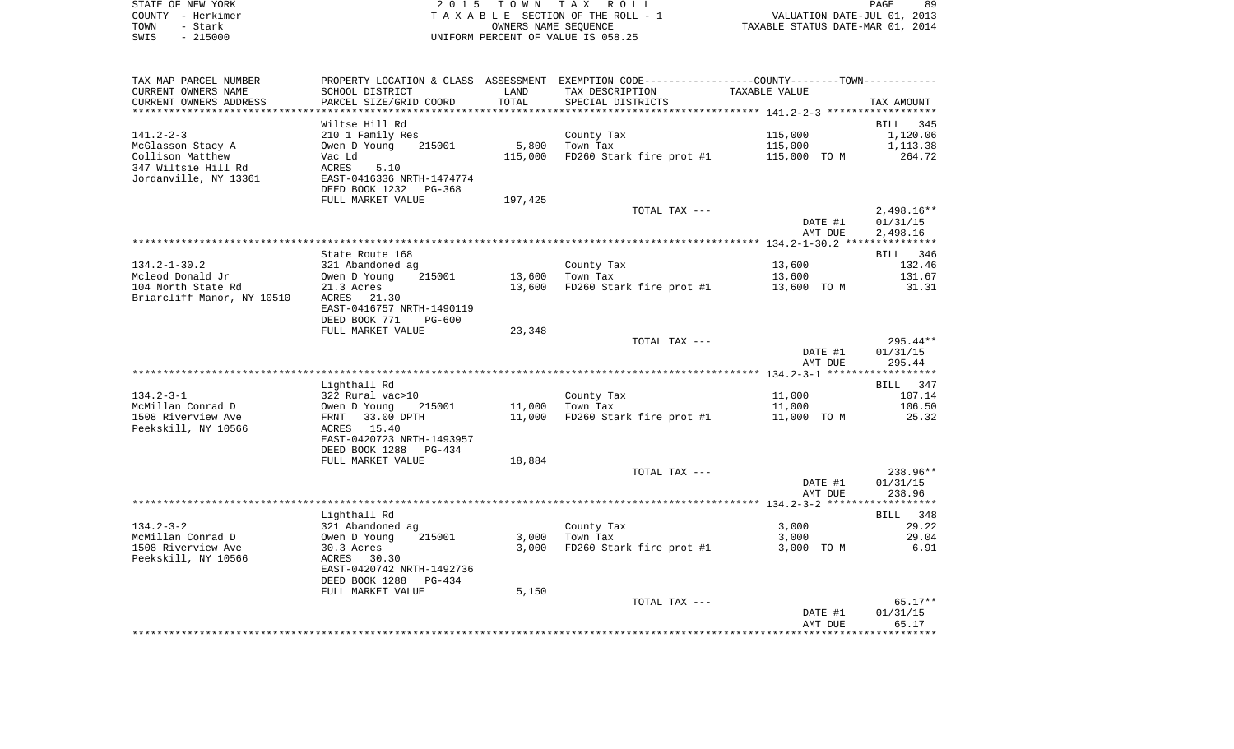| STATE OF NEW YORK | 2015 TOWN TAX ROLL                 | 89<br>PAGE                       |
|-------------------|------------------------------------|----------------------------------|
| COUNTY - Herkimer | TAXABLE SECTION OF THE ROLL - 1    | VALUATION DATE-JUL 01, 2013      |
| TOWN<br>- Stark   | OWNERS NAME SEOUENCE               | TAXABLE STATUS DATE-MAR 01, 2014 |
| $-215000$<br>SWIS | UNIFORM PERCENT OF VALUE IS 058.25 |                                  |

| SCHOOL DISTRICT<br>TAX DESCRIPTION<br>TAXABLE VALUE<br>LAND<br>PARCEL SIZE/GRID COORD<br>TOTAL<br>SPECIAL DISTRICTS<br>TAX AMOUNT<br>Wiltse Hill Rd<br>BILL<br>345<br>210 1 Family Res<br>115,000<br>1,120.06<br>County Tax<br>5,800<br>Town Tax<br>Owen D Young<br>215001<br>115,000<br>1,113.38<br>115,000<br>FD260 Stark fire prot #1<br>115,000 TO M<br>264.72<br>Vac Ld<br>ACRES<br>5.10<br>EAST-0416336 NRTH-1474774<br>DEED BOOK 1232<br>PG-368<br>FULL MARKET VALUE<br>197,425<br>TOTAL TAX ---<br>$2,498.16**$<br>DATE #1<br>01/31/15<br>AMT DUE<br>2,498.16<br>State Route 168<br>BILL 346<br>$134.2 - 1 - 30.2$<br>132.46<br>321 Abandoned ag<br>County Tax<br>13,600<br>Mcleod Donald Jr<br>Owen D Young<br>215001<br>13,600<br>Town Tax<br>13,600<br>131.67<br>104 North State Rd<br>FD260 Stark fire prot #1<br>21.3 Acres<br>13,600<br>13,600 TO M<br>31.31<br>Briarcliff Manor, NY 10510<br>21.30<br>ACRES<br>EAST-0416757 NRTH-1490119<br>DEED BOOK 771<br><b>PG-600</b><br>23,348<br>FULL MARKET VALUE<br>$295.44**$<br>TOTAL TAX ---<br>DATE #1<br>01/31/15<br>AMT DUE<br>295.44<br>Lighthall Rd<br>347<br>BILL<br>$134.2 - 3 - 1$<br>322 Rural vac>10<br>107.14<br>County Tax<br>11,000<br>McMillan Conrad D<br>11,000<br>Town Tax<br>11,000<br>106.50<br>Owen D Young<br>215001<br>FD260 Stark fire prot #1<br>1508 Riverview Ave<br>FRNT 33.00 DPTH<br>11,000<br>11,000 TO M<br>25.32<br>Peekskill, NY 10566<br>15.40<br>ACRES<br>EAST-0420723 NRTH-1493957<br>DEED BOOK 1288<br>PG-434<br>FULL MARKET VALUE<br>18,884<br>238.96**<br>TOTAL TAX ---<br>DATE #1<br>01/31/15<br>AMT DUE<br>238.96<br>Lighthall Rd<br>BILL 348<br>$134.2 - 3 - 2$<br>321 Abandoned ag<br>County Tax<br>3,000<br>29.22<br>3,000<br>Town Tax<br>3,000<br>29.04<br>Owen D Young<br>215001<br>FD260 Stark fire prot #1<br>6.91<br>30.3 Acres<br>3,000<br>3,000 TO M<br>ACRES 30.30<br>EAST-0420742 NRTH-1492736<br>DEED BOOK 1288<br>PG-434<br>5,150<br>FULL MARKET VALUE<br>$65.17**$<br>TOTAL TAX ---<br>DATE #1<br>01/31/15<br>AMT DUE<br>65.17 | TAX MAP PARCEL NUMBER  | PROPERTY LOCATION & CLASS ASSESSMENT EXEMPTION CODE---------------COUNTY-------TOWN---------- |  |  |
|---------------------------------------------------------------------------------------------------------------------------------------------------------------------------------------------------------------------------------------------------------------------------------------------------------------------------------------------------------------------------------------------------------------------------------------------------------------------------------------------------------------------------------------------------------------------------------------------------------------------------------------------------------------------------------------------------------------------------------------------------------------------------------------------------------------------------------------------------------------------------------------------------------------------------------------------------------------------------------------------------------------------------------------------------------------------------------------------------------------------------------------------------------------------------------------------------------------------------------------------------------------------------------------------------------------------------------------------------------------------------------------------------------------------------------------------------------------------------------------------------------------------------------------------------------------------------------------------------------------------------------------------------------------------------------------------------------------------------------------------------------------------------------------------------------------------------------------------------------------------------------------------------------------------------------------------------------------------------------------------------------------------------------------------------|------------------------|-----------------------------------------------------------------------------------------------|--|--|
|                                                                                                                                                                                                                                                                                                                                                                                                                                                                                                                                                                                                                                                                                                                                                                                                                                                                                                                                                                                                                                                                                                                                                                                                                                                                                                                                                                                                                                                                                                                                                                                                                                                                                                                                                                                                                                                                                                                                                                                                                                                   | CURRENT OWNERS NAME    |                                                                                               |  |  |
|                                                                                                                                                                                                                                                                                                                                                                                                                                                                                                                                                                                                                                                                                                                                                                                                                                                                                                                                                                                                                                                                                                                                                                                                                                                                                                                                                                                                                                                                                                                                                                                                                                                                                                                                                                                                                                                                                                                                                                                                                                                   | CURRENT OWNERS ADDRESS |                                                                                               |  |  |
|                                                                                                                                                                                                                                                                                                                                                                                                                                                                                                                                                                                                                                                                                                                                                                                                                                                                                                                                                                                                                                                                                                                                                                                                                                                                                                                                                                                                                                                                                                                                                                                                                                                                                                                                                                                                                                                                                                                                                                                                                                                   |                        |                                                                                               |  |  |
|                                                                                                                                                                                                                                                                                                                                                                                                                                                                                                                                                                                                                                                                                                                                                                                                                                                                                                                                                                                                                                                                                                                                                                                                                                                                                                                                                                                                                                                                                                                                                                                                                                                                                                                                                                                                                                                                                                                                                                                                                                                   |                        |                                                                                               |  |  |
|                                                                                                                                                                                                                                                                                                                                                                                                                                                                                                                                                                                                                                                                                                                                                                                                                                                                                                                                                                                                                                                                                                                                                                                                                                                                                                                                                                                                                                                                                                                                                                                                                                                                                                                                                                                                                                                                                                                                                                                                                                                   | $141.2 - 2 - 3$        |                                                                                               |  |  |
|                                                                                                                                                                                                                                                                                                                                                                                                                                                                                                                                                                                                                                                                                                                                                                                                                                                                                                                                                                                                                                                                                                                                                                                                                                                                                                                                                                                                                                                                                                                                                                                                                                                                                                                                                                                                                                                                                                                                                                                                                                                   | McGlasson Stacy A      |                                                                                               |  |  |
|                                                                                                                                                                                                                                                                                                                                                                                                                                                                                                                                                                                                                                                                                                                                                                                                                                                                                                                                                                                                                                                                                                                                                                                                                                                                                                                                                                                                                                                                                                                                                                                                                                                                                                                                                                                                                                                                                                                                                                                                                                                   | Collison Matthew       |                                                                                               |  |  |
|                                                                                                                                                                                                                                                                                                                                                                                                                                                                                                                                                                                                                                                                                                                                                                                                                                                                                                                                                                                                                                                                                                                                                                                                                                                                                                                                                                                                                                                                                                                                                                                                                                                                                                                                                                                                                                                                                                                                                                                                                                                   | 347 Wiltsie Hill Rd    |                                                                                               |  |  |
|                                                                                                                                                                                                                                                                                                                                                                                                                                                                                                                                                                                                                                                                                                                                                                                                                                                                                                                                                                                                                                                                                                                                                                                                                                                                                                                                                                                                                                                                                                                                                                                                                                                                                                                                                                                                                                                                                                                                                                                                                                                   | Jordanville, NY 13361  |                                                                                               |  |  |
|                                                                                                                                                                                                                                                                                                                                                                                                                                                                                                                                                                                                                                                                                                                                                                                                                                                                                                                                                                                                                                                                                                                                                                                                                                                                                                                                                                                                                                                                                                                                                                                                                                                                                                                                                                                                                                                                                                                                                                                                                                                   |                        |                                                                                               |  |  |
|                                                                                                                                                                                                                                                                                                                                                                                                                                                                                                                                                                                                                                                                                                                                                                                                                                                                                                                                                                                                                                                                                                                                                                                                                                                                                                                                                                                                                                                                                                                                                                                                                                                                                                                                                                                                                                                                                                                                                                                                                                                   |                        |                                                                                               |  |  |
|                                                                                                                                                                                                                                                                                                                                                                                                                                                                                                                                                                                                                                                                                                                                                                                                                                                                                                                                                                                                                                                                                                                                                                                                                                                                                                                                                                                                                                                                                                                                                                                                                                                                                                                                                                                                                                                                                                                                                                                                                                                   |                        |                                                                                               |  |  |
|                                                                                                                                                                                                                                                                                                                                                                                                                                                                                                                                                                                                                                                                                                                                                                                                                                                                                                                                                                                                                                                                                                                                                                                                                                                                                                                                                                                                                                                                                                                                                                                                                                                                                                                                                                                                                                                                                                                                                                                                                                                   |                        |                                                                                               |  |  |
|                                                                                                                                                                                                                                                                                                                                                                                                                                                                                                                                                                                                                                                                                                                                                                                                                                                                                                                                                                                                                                                                                                                                                                                                                                                                                                                                                                                                                                                                                                                                                                                                                                                                                                                                                                                                                                                                                                                                                                                                                                                   |                        |                                                                                               |  |  |
|                                                                                                                                                                                                                                                                                                                                                                                                                                                                                                                                                                                                                                                                                                                                                                                                                                                                                                                                                                                                                                                                                                                                                                                                                                                                                                                                                                                                                                                                                                                                                                                                                                                                                                                                                                                                                                                                                                                                                                                                                                                   |                        |                                                                                               |  |  |
|                                                                                                                                                                                                                                                                                                                                                                                                                                                                                                                                                                                                                                                                                                                                                                                                                                                                                                                                                                                                                                                                                                                                                                                                                                                                                                                                                                                                                                                                                                                                                                                                                                                                                                                                                                                                                                                                                                                                                                                                                                                   |                        |                                                                                               |  |  |
|                                                                                                                                                                                                                                                                                                                                                                                                                                                                                                                                                                                                                                                                                                                                                                                                                                                                                                                                                                                                                                                                                                                                                                                                                                                                                                                                                                                                                                                                                                                                                                                                                                                                                                                                                                                                                                                                                                                                                                                                                                                   |                        |                                                                                               |  |  |
|                                                                                                                                                                                                                                                                                                                                                                                                                                                                                                                                                                                                                                                                                                                                                                                                                                                                                                                                                                                                                                                                                                                                                                                                                                                                                                                                                                                                                                                                                                                                                                                                                                                                                                                                                                                                                                                                                                                                                                                                                                                   |                        |                                                                                               |  |  |
|                                                                                                                                                                                                                                                                                                                                                                                                                                                                                                                                                                                                                                                                                                                                                                                                                                                                                                                                                                                                                                                                                                                                                                                                                                                                                                                                                                                                                                                                                                                                                                                                                                                                                                                                                                                                                                                                                                                                                                                                                                                   |                        |                                                                                               |  |  |
|                                                                                                                                                                                                                                                                                                                                                                                                                                                                                                                                                                                                                                                                                                                                                                                                                                                                                                                                                                                                                                                                                                                                                                                                                                                                                                                                                                                                                                                                                                                                                                                                                                                                                                                                                                                                                                                                                                                                                                                                                                                   |                        |                                                                                               |  |  |
|                                                                                                                                                                                                                                                                                                                                                                                                                                                                                                                                                                                                                                                                                                                                                                                                                                                                                                                                                                                                                                                                                                                                                                                                                                                                                                                                                                                                                                                                                                                                                                                                                                                                                                                                                                                                                                                                                                                                                                                                                                                   |                        |                                                                                               |  |  |
|                                                                                                                                                                                                                                                                                                                                                                                                                                                                                                                                                                                                                                                                                                                                                                                                                                                                                                                                                                                                                                                                                                                                                                                                                                                                                                                                                                                                                                                                                                                                                                                                                                                                                                                                                                                                                                                                                                                                                                                                                                                   |                        |                                                                                               |  |  |
|                                                                                                                                                                                                                                                                                                                                                                                                                                                                                                                                                                                                                                                                                                                                                                                                                                                                                                                                                                                                                                                                                                                                                                                                                                                                                                                                                                                                                                                                                                                                                                                                                                                                                                                                                                                                                                                                                                                                                                                                                                                   |                        |                                                                                               |  |  |
|                                                                                                                                                                                                                                                                                                                                                                                                                                                                                                                                                                                                                                                                                                                                                                                                                                                                                                                                                                                                                                                                                                                                                                                                                                                                                                                                                                                                                                                                                                                                                                                                                                                                                                                                                                                                                                                                                                                                                                                                                                                   |                        |                                                                                               |  |  |
|                                                                                                                                                                                                                                                                                                                                                                                                                                                                                                                                                                                                                                                                                                                                                                                                                                                                                                                                                                                                                                                                                                                                                                                                                                                                                                                                                                                                                                                                                                                                                                                                                                                                                                                                                                                                                                                                                                                                                                                                                                                   |                        |                                                                                               |  |  |
|                                                                                                                                                                                                                                                                                                                                                                                                                                                                                                                                                                                                                                                                                                                                                                                                                                                                                                                                                                                                                                                                                                                                                                                                                                                                                                                                                                                                                                                                                                                                                                                                                                                                                                                                                                                                                                                                                                                                                                                                                                                   |                        |                                                                                               |  |  |
|                                                                                                                                                                                                                                                                                                                                                                                                                                                                                                                                                                                                                                                                                                                                                                                                                                                                                                                                                                                                                                                                                                                                                                                                                                                                                                                                                                                                                                                                                                                                                                                                                                                                                                                                                                                                                                                                                                                                                                                                                                                   |                        |                                                                                               |  |  |
|                                                                                                                                                                                                                                                                                                                                                                                                                                                                                                                                                                                                                                                                                                                                                                                                                                                                                                                                                                                                                                                                                                                                                                                                                                                                                                                                                                                                                                                                                                                                                                                                                                                                                                                                                                                                                                                                                                                                                                                                                                                   |                        |                                                                                               |  |  |
|                                                                                                                                                                                                                                                                                                                                                                                                                                                                                                                                                                                                                                                                                                                                                                                                                                                                                                                                                                                                                                                                                                                                                                                                                                                                                                                                                                                                                                                                                                                                                                                                                                                                                                                                                                                                                                                                                                                                                                                                                                                   |                        |                                                                                               |  |  |
|                                                                                                                                                                                                                                                                                                                                                                                                                                                                                                                                                                                                                                                                                                                                                                                                                                                                                                                                                                                                                                                                                                                                                                                                                                                                                                                                                                                                                                                                                                                                                                                                                                                                                                                                                                                                                                                                                                                                                                                                                                                   |                        |                                                                                               |  |  |
|                                                                                                                                                                                                                                                                                                                                                                                                                                                                                                                                                                                                                                                                                                                                                                                                                                                                                                                                                                                                                                                                                                                                                                                                                                                                                                                                                                                                                                                                                                                                                                                                                                                                                                                                                                                                                                                                                                                                                                                                                                                   |                        |                                                                                               |  |  |
|                                                                                                                                                                                                                                                                                                                                                                                                                                                                                                                                                                                                                                                                                                                                                                                                                                                                                                                                                                                                                                                                                                                                                                                                                                                                                                                                                                                                                                                                                                                                                                                                                                                                                                                                                                                                                                                                                                                                                                                                                                                   |                        |                                                                                               |  |  |
|                                                                                                                                                                                                                                                                                                                                                                                                                                                                                                                                                                                                                                                                                                                                                                                                                                                                                                                                                                                                                                                                                                                                                                                                                                                                                                                                                                                                                                                                                                                                                                                                                                                                                                                                                                                                                                                                                                                                                                                                                                                   |                        |                                                                                               |  |  |
|                                                                                                                                                                                                                                                                                                                                                                                                                                                                                                                                                                                                                                                                                                                                                                                                                                                                                                                                                                                                                                                                                                                                                                                                                                                                                                                                                                                                                                                                                                                                                                                                                                                                                                                                                                                                                                                                                                                                                                                                                                                   |                        |                                                                                               |  |  |
|                                                                                                                                                                                                                                                                                                                                                                                                                                                                                                                                                                                                                                                                                                                                                                                                                                                                                                                                                                                                                                                                                                                                                                                                                                                                                                                                                                                                                                                                                                                                                                                                                                                                                                                                                                                                                                                                                                                                                                                                                                                   |                        |                                                                                               |  |  |
|                                                                                                                                                                                                                                                                                                                                                                                                                                                                                                                                                                                                                                                                                                                                                                                                                                                                                                                                                                                                                                                                                                                                                                                                                                                                                                                                                                                                                                                                                                                                                                                                                                                                                                                                                                                                                                                                                                                                                                                                                                                   |                        |                                                                                               |  |  |
|                                                                                                                                                                                                                                                                                                                                                                                                                                                                                                                                                                                                                                                                                                                                                                                                                                                                                                                                                                                                                                                                                                                                                                                                                                                                                                                                                                                                                                                                                                                                                                                                                                                                                                                                                                                                                                                                                                                                                                                                                                                   |                        |                                                                                               |  |  |
|                                                                                                                                                                                                                                                                                                                                                                                                                                                                                                                                                                                                                                                                                                                                                                                                                                                                                                                                                                                                                                                                                                                                                                                                                                                                                                                                                                                                                                                                                                                                                                                                                                                                                                                                                                                                                                                                                                                                                                                                                                                   |                        |                                                                                               |  |  |
|                                                                                                                                                                                                                                                                                                                                                                                                                                                                                                                                                                                                                                                                                                                                                                                                                                                                                                                                                                                                                                                                                                                                                                                                                                                                                                                                                                                                                                                                                                                                                                                                                                                                                                                                                                                                                                                                                                                                                                                                                                                   |                        |                                                                                               |  |  |
|                                                                                                                                                                                                                                                                                                                                                                                                                                                                                                                                                                                                                                                                                                                                                                                                                                                                                                                                                                                                                                                                                                                                                                                                                                                                                                                                                                                                                                                                                                                                                                                                                                                                                                                                                                                                                                                                                                                                                                                                                                                   |                        |                                                                                               |  |  |
|                                                                                                                                                                                                                                                                                                                                                                                                                                                                                                                                                                                                                                                                                                                                                                                                                                                                                                                                                                                                                                                                                                                                                                                                                                                                                                                                                                                                                                                                                                                                                                                                                                                                                                                                                                                                                                                                                                                                                                                                                                                   |                        |                                                                                               |  |  |
|                                                                                                                                                                                                                                                                                                                                                                                                                                                                                                                                                                                                                                                                                                                                                                                                                                                                                                                                                                                                                                                                                                                                                                                                                                                                                                                                                                                                                                                                                                                                                                                                                                                                                                                                                                                                                                                                                                                                                                                                                                                   |                        |                                                                                               |  |  |
|                                                                                                                                                                                                                                                                                                                                                                                                                                                                                                                                                                                                                                                                                                                                                                                                                                                                                                                                                                                                                                                                                                                                                                                                                                                                                                                                                                                                                                                                                                                                                                                                                                                                                                                                                                                                                                                                                                                                                                                                                                                   | McMillan Conrad D      |                                                                                               |  |  |
|                                                                                                                                                                                                                                                                                                                                                                                                                                                                                                                                                                                                                                                                                                                                                                                                                                                                                                                                                                                                                                                                                                                                                                                                                                                                                                                                                                                                                                                                                                                                                                                                                                                                                                                                                                                                                                                                                                                                                                                                                                                   | 1508 Riverview Ave     |                                                                                               |  |  |
|                                                                                                                                                                                                                                                                                                                                                                                                                                                                                                                                                                                                                                                                                                                                                                                                                                                                                                                                                                                                                                                                                                                                                                                                                                                                                                                                                                                                                                                                                                                                                                                                                                                                                                                                                                                                                                                                                                                                                                                                                                                   | Peekskill, NY 10566    |                                                                                               |  |  |
|                                                                                                                                                                                                                                                                                                                                                                                                                                                                                                                                                                                                                                                                                                                                                                                                                                                                                                                                                                                                                                                                                                                                                                                                                                                                                                                                                                                                                                                                                                                                                                                                                                                                                                                                                                                                                                                                                                                                                                                                                                                   |                        |                                                                                               |  |  |
|                                                                                                                                                                                                                                                                                                                                                                                                                                                                                                                                                                                                                                                                                                                                                                                                                                                                                                                                                                                                                                                                                                                                                                                                                                                                                                                                                                                                                                                                                                                                                                                                                                                                                                                                                                                                                                                                                                                                                                                                                                                   |                        |                                                                                               |  |  |
|                                                                                                                                                                                                                                                                                                                                                                                                                                                                                                                                                                                                                                                                                                                                                                                                                                                                                                                                                                                                                                                                                                                                                                                                                                                                                                                                                                                                                                                                                                                                                                                                                                                                                                                                                                                                                                                                                                                                                                                                                                                   |                        |                                                                                               |  |  |
|                                                                                                                                                                                                                                                                                                                                                                                                                                                                                                                                                                                                                                                                                                                                                                                                                                                                                                                                                                                                                                                                                                                                                                                                                                                                                                                                                                                                                                                                                                                                                                                                                                                                                                                                                                                                                                                                                                                                                                                                                                                   |                        |                                                                                               |  |  |
|                                                                                                                                                                                                                                                                                                                                                                                                                                                                                                                                                                                                                                                                                                                                                                                                                                                                                                                                                                                                                                                                                                                                                                                                                                                                                                                                                                                                                                                                                                                                                                                                                                                                                                                                                                                                                                                                                                                                                                                                                                                   |                        |                                                                                               |  |  |
|                                                                                                                                                                                                                                                                                                                                                                                                                                                                                                                                                                                                                                                                                                                                                                                                                                                                                                                                                                                                                                                                                                                                                                                                                                                                                                                                                                                                                                                                                                                                                                                                                                                                                                                                                                                                                                                                                                                                                                                                                                                   |                        |                                                                                               |  |  |
|                                                                                                                                                                                                                                                                                                                                                                                                                                                                                                                                                                                                                                                                                                                                                                                                                                                                                                                                                                                                                                                                                                                                                                                                                                                                                                                                                                                                                                                                                                                                                                                                                                                                                                                                                                                                                                                                                                                                                                                                                                                   |                        |                                                                                               |  |  |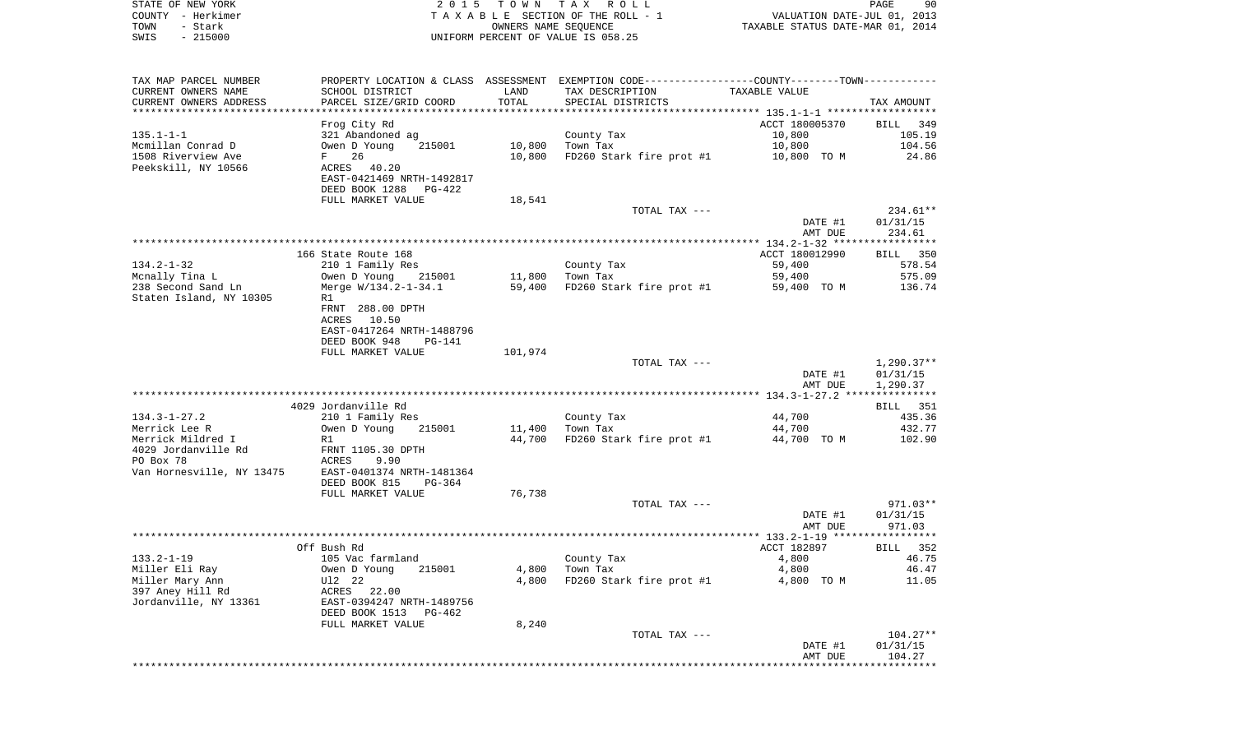| STATE OF NEW YORK | 2015 TOWN TAX ROLL                 | PAGE                             | 90 |
|-------------------|------------------------------------|----------------------------------|----|
| COUNTY - Herkimer | TAXABLE SECTION OF THE ROLL - 1    | VALUATION DATE-JUL 01, 2013      |    |
| TOWN<br>– Stark   | OWNERS NAME SEOUENCE               | TAXABLE STATUS DATE-MAR 01, 2014 |    |
| - 215000<br>SWIS  | UNIFORM PERCENT OF VALUE IS 058.25 |                                  |    |

| CURRENT OWNERS NAME<br>SCHOOL DISTRICT<br>LAND<br>TAX DESCRIPTION<br>TAXABLE VALUE<br>CURRENT OWNERS ADDRESS<br>PARCEL SIZE/GRID COORD<br>TOTAL<br>SPECIAL DISTRICTS<br>TAX AMOUNT<br>**********************<br>ACCT 180005370<br>Frog City Rd<br>BILL 349<br>321 Abandoned ag<br>County Tax<br>10,800<br>105.19<br>Mcmillan Conrad D<br>Owen D Young<br>215001<br>10,800<br>Town Tax<br>10,800<br>104.56<br>26<br>1508 Riverview Ave<br>10,800<br>FD260 Stark fire prot #1<br>24.86<br>$F$ and $F$<br>10,800 TO M<br>Peekskill, NY 10566<br>ACRES 40.20<br>EAST-0421469 NRTH-1492817<br>DEED BOOK 1288<br>PG-422<br>FULL MARKET VALUE<br>18,541<br>234.61**<br>TOTAL TAX ---<br>DATE #1<br>01/31/15<br>234.61<br>AMT DUE<br>166 State Route 168<br>ACCT 180012990<br>BILL 350<br>$134.2 - 1 - 32$<br>578.54<br>210 1 Family Res<br>County Tax<br>59,400<br>Mcnally Tina L<br>Owen D Young<br>215001<br>11,800<br>Town Tax<br>59,400<br>575.09<br>238 Second Sand Ln<br>Merge W/134.2-1-34.1<br>59,400<br>FD260 Stark fire prot #1<br>136.74<br>59,400 TO M<br>Staten Island, NY 10305<br>R1<br>FRNT 288.00 DPTH<br>10.50<br>ACRES<br>EAST-0417264 NRTH-1488796<br>DEED BOOK 948<br>$PG-141$<br>101,974<br>FULL MARKET VALUE<br>TOTAL TAX ---<br>$1,290.37**$<br>DATE #1<br>01/31/15<br>AMT DUE<br>1,290.37<br>4029 Jordanville Rd<br>BILL 351<br>$134.3 - 1 - 27.2$<br>435.36<br>210 1 Family Res<br>County Tax<br>44,700<br>Merrick Lee R<br>11,400<br>44,700<br>432.77<br>Owen D Young<br>215001<br>Town Tax<br>Merrick Mildred I<br>44,700<br>FD260 Stark fire prot #1<br>44,700 TO M<br>102.90<br>R1<br>4029 Jordanville Rd<br>FRNT 1105.30 DPTH<br>PO Box 78<br>ACRES<br>9.90<br>Van Hornesville, NY 13475<br>EAST-0401374 NRTH-1481364<br>DEED BOOK 815<br>$PG-364$<br>76,738<br>FULL MARKET VALUE<br>TOTAL TAX ---<br>971.03**<br>DATE #1<br>01/31/15<br>971.03<br>AMT DUE<br>***********<br>****<br>Off Bush Rd<br>ACCT 182897<br>BILL 352<br>$133.2 - 1 - 19$<br>105 Vac farmland<br>County Tax<br>4,800<br>46.75<br>Miller Eli Ray<br>Owen D Young<br>215001<br>4,800<br>Town Tax<br>4,800<br>46.47<br>Miller Mary Ann<br>4,800<br>FD260 Stark fire prot #1<br>11.05<br>U12 22<br>4,800 TO M<br>397 Aney Hill Rd<br>ACRES 22.00<br>Jordanville, NY 13361<br>EAST-0394247 NRTH-1489756<br>DEED BOOK 1513<br>PG-462<br>8,240<br>FULL MARKET VALUE<br>TOTAL TAX ---<br>$104.27**$<br>01/31/15<br>DATE #1<br>AMT DUE<br>104.27 | TAX MAP PARCEL NUMBER |  | PROPERTY LOCATION & CLASS ASSESSMENT EXEMPTION CODE----------------COUNTY-------TOWN---------- |  |
|---------------------------------------------------------------------------------------------------------------------------------------------------------------------------------------------------------------------------------------------------------------------------------------------------------------------------------------------------------------------------------------------------------------------------------------------------------------------------------------------------------------------------------------------------------------------------------------------------------------------------------------------------------------------------------------------------------------------------------------------------------------------------------------------------------------------------------------------------------------------------------------------------------------------------------------------------------------------------------------------------------------------------------------------------------------------------------------------------------------------------------------------------------------------------------------------------------------------------------------------------------------------------------------------------------------------------------------------------------------------------------------------------------------------------------------------------------------------------------------------------------------------------------------------------------------------------------------------------------------------------------------------------------------------------------------------------------------------------------------------------------------------------------------------------------------------------------------------------------------------------------------------------------------------------------------------------------------------------------------------------------------------------------------------------------------------------------------------------------------------------------------------------------------------------------------------------------------------------------------------------------------------------------------------------------------------------------------------------------------------------------------------------------------------------------------|-----------------------|--|------------------------------------------------------------------------------------------------|--|
|                                                                                                                                                                                                                                                                                                                                                                                                                                                                                                                                                                                                                                                                                                                                                                                                                                                                                                                                                                                                                                                                                                                                                                                                                                                                                                                                                                                                                                                                                                                                                                                                                                                                                                                                                                                                                                                                                                                                                                                                                                                                                                                                                                                                                                                                                                                                                                                                                                       |                       |  |                                                                                                |  |
|                                                                                                                                                                                                                                                                                                                                                                                                                                                                                                                                                                                                                                                                                                                                                                                                                                                                                                                                                                                                                                                                                                                                                                                                                                                                                                                                                                                                                                                                                                                                                                                                                                                                                                                                                                                                                                                                                                                                                                                                                                                                                                                                                                                                                                                                                                                                                                                                                                       |                       |  |                                                                                                |  |
|                                                                                                                                                                                                                                                                                                                                                                                                                                                                                                                                                                                                                                                                                                                                                                                                                                                                                                                                                                                                                                                                                                                                                                                                                                                                                                                                                                                                                                                                                                                                                                                                                                                                                                                                                                                                                                                                                                                                                                                                                                                                                                                                                                                                                                                                                                                                                                                                                                       |                       |  |                                                                                                |  |
|                                                                                                                                                                                                                                                                                                                                                                                                                                                                                                                                                                                                                                                                                                                                                                                                                                                                                                                                                                                                                                                                                                                                                                                                                                                                                                                                                                                                                                                                                                                                                                                                                                                                                                                                                                                                                                                                                                                                                                                                                                                                                                                                                                                                                                                                                                                                                                                                                                       |                       |  |                                                                                                |  |
|                                                                                                                                                                                                                                                                                                                                                                                                                                                                                                                                                                                                                                                                                                                                                                                                                                                                                                                                                                                                                                                                                                                                                                                                                                                                                                                                                                                                                                                                                                                                                                                                                                                                                                                                                                                                                                                                                                                                                                                                                                                                                                                                                                                                                                                                                                                                                                                                                                       | $135.1 - 1 - 1$       |  |                                                                                                |  |
|                                                                                                                                                                                                                                                                                                                                                                                                                                                                                                                                                                                                                                                                                                                                                                                                                                                                                                                                                                                                                                                                                                                                                                                                                                                                                                                                                                                                                                                                                                                                                                                                                                                                                                                                                                                                                                                                                                                                                                                                                                                                                                                                                                                                                                                                                                                                                                                                                                       |                       |  |                                                                                                |  |
|                                                                                                                                                                                                                                                                                                                                                                                                                                                                                                                                                                                                                                                                                                                                                                                                                                                                                                                                                                                                                                                                                                                                                                                                                                                                                                                                                                                                                                                                                                                                                                                                                                                                                                                                                                                                                                                                                                                                                                                                                                                                                                                                                                                                                                                                                                                                                                                                                                       |                       |  |                                                                                                |  |
|                                                                                                                                                                                                                                                                                                                                                                                                                                                                                                                                                                                                                                                                                                                                                                                                                                                                                                                                                                                                                                                                                                                                                                                                                                                                                                                                                                                                                                                                                                                                                                                                                                                                                                                                                                                                                                                                                                                                                                                                                                                                                                                                                                                                                                                                                                                                                                                                                                       |                       |  |                                                                                                |  |
|                                                                                                                                                                                                                                                                                                                                                                                                                                                                                                                                                                                                                                                                                                                                                                                                                                                                                                                                                                                                                                                                                                                                                                                                                                                                                                                                                                                                                                                                                                                                                                                                                                                                                                                                                                                                                                                                                                                                                                                                                                                                                                                                                                                                                                                                                                                                                                                                                                       |                       |  |                                                                                                |  |
|                                                                                                                                                                                                                                                                                                                                                                                                                                                                                                                                                                                                                                                                                                                                                                                                                                                                                                                                                                                                                                                                                                                                                                                                                                                                                                                                                                                                                                                                                                                                                                                                                                                                                                                                                                                                                                                                                                                                                                                                                                                                                                                                                                                                                                                                                                                                                                                                                                       |                       |  |                                                                                                |  |
|                                                                                                                                                                                                                                                                                                                                                                                                                                                                                                                                                                                                                                                                                                                                                                                                                                                                                                                                                                                                                                                                                                                                                                                                                                                                                                                                                                                                                                                                                                                                                                                                                                                                                                                                                                                                                                                                                                                                                                                                                                                                                                                                                                                                                                                                                                                                                                                                                                       |                       |  |                                                                                                |  |
|                                                                                                                                                                                                                                                                                                                                                                                                                                                                                                                                                                                                                                                                                                                                                                                                                                                                                                                                                                                                                                                                                                                                                                                                                                                                                                                                                                                                                                                                                                                                                                                                                                                                                                                                                                                                                                                                                                                                                                                                                                                                                                                                                                                                                                                                                                                                                                                                                                       |                       |  |                                                                                                |  |
|                                                                                                                                                                                                                                                                                                                                                                                                                                                                                                                                                                                                                                                                                                                                                                                                                                                                                                                                                                                                                                                                                                                                                                                                                                                                                                                                                                                                                                                                                                                                                                                                                                                                                                                                                                                                                                                                                                                                                                                                                                                                                                                                                                                                                                                                                                                                                                                                                                       |                       |  |                                                                                                |  |
|                                                                                                                                                                                                                                                                                                                                                                                                                                                                                                                                                                                                                                                                                                                                                                                                                                                                                                                                                                                                                                                                                                                                                                                                                                                                                                                                                                                                                                                                                                                                                                                                                                                                                                                                                                                                                                                                                                                                                                                                                                                                                                                                                                                                                                                                                                                                                                                                                                       |                       |  |                                                                                                |  |
|                                                                                                                                                                                                                                                                                                                                                                                                                                                                                                                                                                                                                                                                                                                                                                                                                                                                                                                                                                                                                                                                                                                                                                                                                                                                                                                                                                                                                                                                                                                                                                                                                                                                                                                                                                                                                                                                                                                                                                                                                                                                                                                                                                                                                                                                                                                                                                                                                                       |                       |  |                                                                                                |  |
|                                                                                                                                                                                                                                                                                                                                                                                                                                                                                                                                                                                                                                                                                                                                                                                                                                                                                                                                                                                                                                                                                                                                                                                                                                                                                                                                                                                                                                                                                                                                                                                                                                                                                                                                                                                                                                                                                                                                                                                                                                                                                                                                                                                                                                                                                                                                                                                                                                       |                       |  |                                                                                                |  |
|                                                                                                                                                                                                                                                                                                                                                                                                                                                                                                                                                                                                                                                                                                                                                                                                                                                                                                                                                                                                                                                                                                                                                                                                                                                                                                                                                                                                                                                                                                                                                                                                                                                                                                                                                                                                                                                                                                                                                                                                                                                                                                                                                                                                                                                                                                                                                                                                                                       |                       |  |                                                                                                |  |
|                                                                                                                                                                                                                                                                                                                                                                                                                                                                                                                                                                                                                                                                                                                                                                                                                                                                                                                                                                                                                                                                                                                                                                                                                                                                                                                                                                                                                                                                                                                                                                                                                                                                                                                                                                                                                                                                                                                                                                                                                                                                                                                                                                                                                                                                                                                                                                                                                                       |                       |  |                                                                                                |  |
|                                                                                                                                                                                                                                                                                                                                                                                                                                                                                                                                                                                                                                                                                                                                                                                                                                                                                                                                                                                                                                                                                                                                                                                                                                                                                                                                                                                                                                                                                                                                                                                                                                                                                                                                                                                                                                                                                                                                                                                                                                                                                                                                                                                                                                                                                                                                                                                                                                       |                       |  |                                                                                                |  |
|                                                                                                                                                                                                                                                                                                                                                                                                                                                                                                                                                                                                                                                                                                                                                                                                                                                                                                                                                                                                                                                                                                                                                                                                                                                                                                                                                                                                                                                                                                                                                                                                                                                                                                                                                                                                                                                                                                                                                                                                                                                                                                                                                                                                                                                                                                                                                                                                                                       |                       |  |                                                                                                |  |
|                                                                                                                                                                                                                                                                                                                                                                                                                                                                                                                                                                                                                                                                                                                                                                                                                                                                                                                                                                                                                                                                                                                                                                                                                                                                                                                                                                                                                                                                                                                                                                                                                                                                                                                                                                                                                                                                                                                                                                                                                                                                                                                                                                                                                                                                                                                                                                                                                                       |                       |  |                                                                                                |  |
|                                                                                                                                                                                                                                                                                                                                                                                                                                                                                                                                                                                                                                                                                                                                                                                                                                                                                                                                                                                                                                                                                                                                                                                                                                                                                                                                                                                                                                                                                                                                                                                                                                                                                                                                                                                                                                                                                                                                                                                                                                                                                                                                                                                                                                                                                                                                                                                                                                       |                       |  |                                                                                                |  |
|                                                                                                                                                                                                                                                                                                                                                                                                                                                                                                                                                                                                                                                                                                                                                                                                                                                                                                                                                                                                                                                                                                                                                                                                                                                                                                                                                                                                                                                                                                                                                                                                                                                                                                                                                                                                                                                                                                                                                                                                                                                                                                                                                                                                                                                                                                                                                                                                                                       |                       |  |                                                                                                |  |
|                                                                                                                                                                                                                                                                                                                                                                                                                                                                                                                                                                                                                                                                                                                                                                                                                                                                                                                                                                                                                                                                                                                                                                                                                                                                                                                                                                                                                                                                                                                                                                                                                                                                                                                                                                                                                                                                                                                                                                                                                                                                                                                                                                                                                                                                                                                                                                                                                                       |                       |  |                                                                                                |  |
|                                                                                                                                                                                                                                                                                                                                                                                                                                                                                                                                                                                                                                                                                                                                                                                                                                                                                                                                                                                                                                                                                                                                                                                                                                                                                                                                                                                                                                                                                                                                                                                                                                                                                                                                                                                                                                                                                                                                                                                                                                                                                                                                                                                                                                                                                                                                                                                                                                       |                       |  |                                                                                                |  |
|                                                                                                                                                                                                                                                                                                                                                                                                                                                                                                                                                                                                                                                                                                                                                                                                                                                                                                                                                                                                                                                                                                                                                                                                                                                                                                                                                                                                                                                                                                                                                                                                                                                                                                                                                                                                                                                                                                                                                                                                                                                                                                                                                                                                                                                                                                                                                                                                                                       |                       |  |                                                                                                |  |
|                                                                                                                                                                                                                                                                                                                                                                                                                                                                                                                                                                                                                                                                                                                                                                                                                                                                                                                                                                                                                                                                                                                                                                                                                                                                                                                                                                                                                                                                                                                                                                                                                                                                                                                                                                                                                                                                                                                                                                                                                                                                                                                                                                                                                                                                                                                                                                                                                                       |                       |  |                                                                                                |  |
|                                                                                                                                                                                                                                                                                                                                                                                                                                                                                                                                                                                                                                                                                                                                                                                                                                                                                                                                                                                                                                                                                                                                                                                                                                                                                                                                                                                                                                                                                                                                                                                                                                                                                                                                                                                                                                                                                                                                                                                                                                                                                                                                                                                                                                                                                                                                                                                                                                       |                       |  |                                                                                                |  |
|                                                                                                                                                                                                                                                                                                                                                                                                                                                                                                                                                                                                                                                                                                                                                                                                                                                                                                                                                                                                                                                                                                                                                                                                                                                                                                                                                                                                                                                                                                                                                                                                                                                                                                                                                                                                                                                                                                                                                                                                                                                                                                                                                                                                                                                                                                                                                                                                                                       |                       |  |                                                                                                |  |
|                                                                                                                                                                                                                                                                                                                                                                                                                                                                                                                                                                                                                                                                                                                                                                                                                                                                                                                                                                                                                                                                                                                                                                                                                                                                                                                                                                                                                                                                                                                                                                                                                                                                                                                                                                                                                                                                                                                                                                                                                                                                                                                                                                                                                                                                                                                                                                                                                                       |                       |  |                                                                                                |  |
|                                                                                                                                                                                                                                                                                                                                                                                                                                                                                                                                                                                                                                                                                                                                                                                                                                                                                                                                                                                                                                                                                                                                                                                                                                                                                                                                                                                                                                                                                                                                                                                                                                                                                                                                                                                                                                                                                                                                                                                                                                                                                                                                                                                                                                                                                                                                                                                                                                       |                       |  |                                                                                                |  |
|                                                                                                                                                                                                                                                                                                                                                                                                                                                                                                                                                                                                                                                                                                                                                                                                                                                                                                                                                                                                                                                                                                                                                                                                                                                                                                                                                                                                                                                                                                                                                                                                                                                                                                                                                                                                                                                                                                                                                                                                                                                                                                                                                                                                                                                                                                                                                                                                                                       |                       |  |                                                                                                |  |
|                                                                                                                                                                                                                                                                                                                                                                                                                                                                                                                                                                                                                                                                                                                                                                                                                                                                                                                                                                                                                                                                                                                                                                                                                                                                                                                                                                                                                                                                                                                                                                                                                                                                                                                                                                                                                                                                                                                                                                                                                                                                                                                                                                                                                                                                                                                                                                                                                                       |                       |  |                                                                                                |  |
|                                                                                                                                                                                                                                                                                                                                                                                                                                                                                                                                                                                                                                                                                                                                                                                                                                                                                                                                                                                                                                                                                                                                                                                                                                                                                                                                                                                                                                                                                                                                                                                                                                                                                                                                                                                                                                                                                                                                                                                                                                                                                                                                                                                                                                                                                                                                                                                                                                       |                       |  |                                                                                                |  |
|                                                                                                                                                                                                                                                                                                                                                                                                                                                                                                                                                                                                                                                                                                                                                                                                                                                                                                                                                                                                                                                                                                                                                                                                                                                                                                                                                                                                                                                                                                                                                                                                                                                                                                                                                                                                                                                                                                                                                                                                                                                                                                                                                                                                                                                                                                                                                                                                                                       |                       |  |                                                                                                |  |
|                                                                                                                                                                                                                                                                                                                                                                                                                                                                                                                                                                                                                                                                                                                                                                                                                                                                                                                                                                                                                                                                                                                                                                                                                                                                                                                                                                                                                                                                                                                                                                                                                                                                                                                                                                                                                                                                                                                                                                                                                                                                                                                                                                                                                                                                                                                                                                                                                                       |                       |  |                                                                                                |  |
|                                                                                                                                                                                                                                                                                                                                                                                                                                                                                                                                                                                                                                                                                                                                                                                                                                                                                                                                                                                                                                                                                                                                                                                                                                                                                                                                                                                                                                                                                                                                                                                                                                                                                                                                                                                                                                                                                                                                                                                                                                                                                                                                                                                                                                                                                                                                                                                                                                       |                       |  |                                                                                                |  |
|                                                                                                                                                                                                                                                                                                                                                                                                                                                                                                                                                                                                                                                                                                                                                                                                                                                                                                                                                                                                                                                                                                                                                                                                                                                                                                                                                                                                                                                                                                                                                                                                                                                                                                                                                                                                                                                                                                                                                                                                                                                                                                                                                                                                                                                                                                                                                                                                                                       |                       |  |                                                                                                |  |
|                                                                                                                                                                                                                                                                                                                                                                                                                                                                                                                                                                                                                                                                                                                                                                                                                                                                                                                                                                                                                                                                                                                                                                                                                                                                                                                                                                                                                                                                                                                                                                                                                                                                                                                                                                                                                                                                                                                                                                                                                                                                                                                                                                                                                                                                                                                                                                                                                                       |                       |  |                                                                                                |  |
|                                                                                                                                                                                                                                                                                                                                                                                                                                                                                                                                                                                                                                                                                                                                                                                                                                                                                                                                                                                                                                                                                                                                                                                                                                                                                                                                                                                                                                                                                                                                                                                                                                                                                                                                                                                                                                                                                                                                                                                                                                                                                                                                                                                                                                                                                                                                                                                                                                       |                       |  |                                                                                                |  |
|                                                                                                                                                                                                                                                                                                                                                                                                                                                                                                                                                                                                                                                                                                                                                                                                                                                                                                                                                                                                                                                                                                                                                                                                                                                                                                                                                                                                                                                                                                                                                                                                                                                                                                                                                                                                                                                                                                                                                                                                                                                                                                                                                                                                                                                                                                                                                                                                                                       |                       |  |                                                                                                |  |
|                                                                                                                                                                                                                                                                                                                                                                                                                                                                                                                                                                                                                                                                                                                                                                                                                                                                                                                                                                                                                                                                                                                                                                                                                                                                                                                                                                                                                                                                                                                                                                                                                                                                                                                                                                                                                                                                                                                                                                                                                                                                                                                                                                                                                                                                                                                                                                                                                                       |                       |  |                                                                                                |  |
|                                                                                                                                                                                                                                                                                                                                                                                                                                                                                                                                                                                                                                                                                                                                                                                                                                                                                                                                                                                                                                                                                                                                                                                                                                                                                                                                                                                                                                                                                                                                                                                                                                                                                                                                                                                                                                                                                                                                                                                                                                                                                                                                                                                                                                                                                                                                                                                                                                       |                       |  |                                                                                                |  |
|                                                                                                                                                                                                                                                                                                                                                                                                                                                                                                                                                                                                                                                                                                                                                                                                                                                                                                                                                                                                                                                                                                                                                                                                                                                                                                                                                                                                                                                                                                                                                                                                                                                                                                                                                                                                                                                                                                                                                                                                                                                                                                                                                                                                                                                                                                                                                                                                                                       |                       |  |                                                                                                |  |
|                                                                                                                                                                                                                                                                                                                                                                                                                                                                                                                                                                                                                                                                                                                                                                                                                                                                                                                                                                                                                                                                                                                                                                                                                                                                                                                                                                                                                                                                                                                                                                                                                                                                                                                                                                                                                                                                                                                                                                                                                                                                                                                                                                                                                                                                                                                                                                                                                                       |                       |  |                                                                                                |  |
|                                                                                                                                                                                                                                                                                                                                                                                                                                                                                                                                                                                                                                                                                                                                                                                                                                                                                                                                                                                                                                                                                                                                                                                                                                                                                                                                                                                                                                                                                                                                                                                                                                                                                                                                                                                                                                                                                                                                                                                                                                                                                                                                                                                                                                                                                                                                                                                                                                       |                       |  |                                                                                                |  |
|                                                                                                                                                                                                                                                                                                                                                                                                                                                                                                                                                                                                                                                                                                                                                                                                                                                                                                                                                                                                                                                                                                                                                                                                                                                                                                                                                                                                                                                                                                                                                                                                                                                                                                                                                                                                                                                                                                                                                                                                                                                                                                                                                                                                                                                                                                                                                                                                                                       |                       |  |                                                                                                |  |
|                                                                                                                                                                                                                                                                                                                                                                                                                                                                                                                                                                                                                                                                                                                                                                                                                                                                                                                                                                                                                                                                                                                                                                                                                                                                                                                                                                                                                                                                                                                                                                                                                                                                                                                                                                                                                                                                                                                                                                                                                                                                                                                                                                                                                                                                                                                                                                                                                                       |                       |  |                                                                                                |  |
|                                                                                                                                                                                                                                                                                                                                                                                                                                                                                                                                                                                                                                                                                                                                                                                                                                                                                                                                                                                                                                                                                                                                                                                                                                                                                                                                                                                                                                                                                                                                                                                                                                                                                                                                                                                                                                                                                                                                                                                                                                                                                                                                                                                                                                                                                                                                                                                                                                       |                       |  |                                                                                                |  |
|                                                                                                                                                                                                                                                                                                                                                                                                                                                                                                                                                                                                                                                                                                                                                                                                                                                                                                                                                                                                                                                                                                                                                                                                                                                                                                                                                                                                                                                                                                                                                                                                                                                                                                                                                                                                                                                                                                                                                                                                                                                                                                                                                                                                                                                                                                                                                                                                                                       |                       |  |                                                                                                |  |
|                                                                                                                                                                                                                                                                                                                                                                                                                                                                                                                                                                                                                                                                                                                                                                                                                                                                                                                                                                                                                                                                                                                                                                                                                                                                                                                                                                                                                                                                                                                                                                                                                                                                                                                                                                                                                                                                                                                                                                                                                                                                                                                                                                                                                                                                                                                                                                                                                                       |                       |  |                                                                                                |  |
|                                                                                                                                                                                                                                                                                                                                                                                                                                                                                                                                                                                                                                                                                                                                                                                                                                                                                                                                                                                                                                                                                                                                                                                                                                                                                                                                                                                                                                                                                                                                                                                                                                                                                                                                                                                                                                                                                                                                                                                                                                                                                                                                                                                                                                                                                                                                                                                                                                       |                       |  |                                                                                                |  |
|                                                                                                                                                                                                                                                                                                                                                                                                                                                                                                                                                                                                                                                                                                                                                                                                                                                                                                                                                                                                                                                                                                                                                                                                                                                                                                                                                                                                                                                                                                                                                                                                                                                                                                                                                                                                                                                                                                                                                                                                                                                                                                                                                                                                                                                                                                                                                                                                                                       |                       |  |                                                                                                |  |
|                                                                                                                                                                                                                                                                                                                                                                                                                                                                                                                                                                                                                                                                                                                                                                                                                                                                                                                                                                                                                                                                                                                                                                                                                                                                                                                                                                                                                                                                                                                                                                                                                                                                                                                                                                                                                                                                                                                                                                                                                                                                                                                                                                                                                                                                                                                                                                                                                                       |                       |  |                                                                                                |  |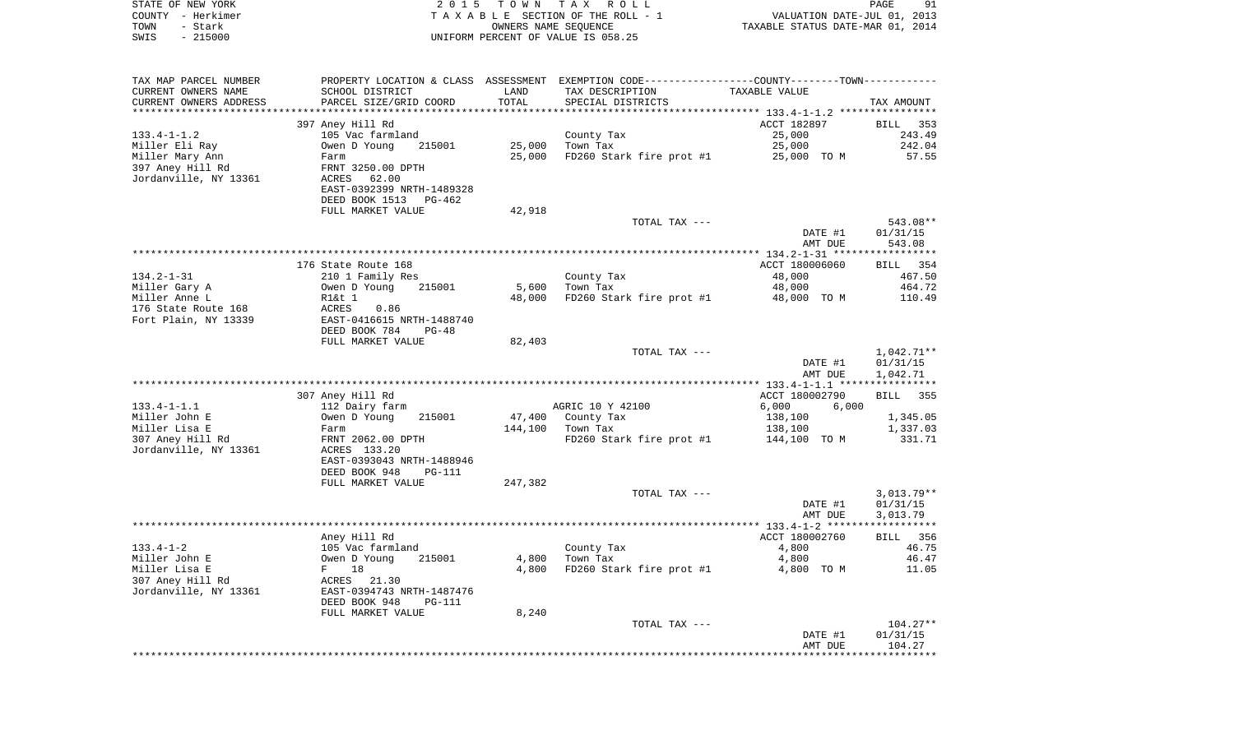| STATE OF NEW YORK<br>COUNTY - Herkimer<br>TOWN<br>- Stark | 2 0 1 5                                       | T O W N<br>OWNERS NAME SEQUENCE | TAX ROLL<br>TAXABLE SECTION OF THE ROLL - 1                 | VALUATION DATE-JUL 01, 2013<br>TAXABLE STATUS DATE-MAR 01, 2014 | PAGE<br>91                     |
|-----------------------------------------------------------|-----------------------------------------------|---------------------------------|-------------------------------------------------------------|-----------------------------------------------------------------|--------------------------------|
| $-215000$<br>SWIS                                         |                                               |                                 | UNIFORM PERCENT OF VALUE IS 058.25                          |                                                                 |                                |
| TAX MAP PARCEL NUMBER                                     | PROPERTY LOCATION & CLASS ASSESSMENT          |                                 | EXEMPTION CODE-----------------COUNTY-------TOWN----------- |                                                                 |                                |
| CURRENT OWNERS NAME                                       | SCHOOL DISTRICT                               | LAND                            | TAX DESCRIPTION                                             | TAXABLE VALUE                                                   |                                |
| CURRENT OWNERS ADDRESS                                    | PARCEL SIZE/GRID COORD                        | TOTAL                           | SPECIAL DISTRICTS                                           |                                                                 | TAX AMOUNT                     |
| ***********************                                   | **************************************        |                                 |                                                             |                                                                 |                                |
| $133.4 - 1 - 1.2$                                         | 397 Aney Hill Rd<br>105 Vac farmland          |                                 |                                                             | ACCT 182897<br>25,000                                           | BILL<br>353<br>243.49          |
| Miller Eli Ray                                            | Owen D Young<br>215001                        | 25,000                          | County Tax<br>Town Tax                                      | 25,000                                                          | 242.04                         |
| Miller Mary Ann                                           | Farm                                          | 25,000                          | FD260 Stark fire prot #1                                    | 25,000 TO M                                                     | 57.55                          |
| 397 Aney Hill Rd                                          | FRNT 3250.00 DPTH                             |                                 |                                                             |                                                                 |                                |
| Jordanville, NY 13361                                     | ACRES<br>62.00                                |                                 |                                                             |                                                                 |                                |
|                                                           | EAST-0392399 NRTH-1489328                     |                                 |                                                             |                                                                 |                                |
|                                                           | DEED BOOK 1513<br>PG-462                      |                                 |                                                             |                                                                 |                                |
|                                                           | FULL MARKET VALUE                             | 42,918                          |                                                             |                                                                 |                                |
|                                                           |                                               |                                 | TOTAL TAX ---                                               |                                                                 | 543.08**                       |
|                                                           |                                               |                                 |                                                             | DATE #1                                                         | 01/31/15                       |
|                                                           |                                               |                                 |                                                             | AMT DUE                                                         | 543.08                         |
|                                                           | 176 State Route 168                           |                                 |                                                             | ACCT 180006060                                                  | BILL 354                       |
| $134.2 - 1 - 31$                                          | 210 1 Family Res                              |                                 | County Tax                                                  | 48,000                                                          | 467.50                         |
| Miller Gary A                                             | 215001<br>Owen D Young                        | 5,600                           | Town Tax                                                    | 48,000                                                          | 464.72                         |
| Miller Anne L                                             | R1&t 1                                        | 48,000                          | FD260 Stark fire prot #1                                    | 48,000 TO M                                                     | 110.49                         |
| 176 State Route 168                                       | ACRES<br>0.86                                 |                                 |                                                             |                                                                 |                                |
| Fort Plain, NY 13339                                      | EAST-0416615 NRTH-1488740                     |                                 |                                                             |                                                                 |                                |
|                                                           | DEED BOOK 784<br>$PG-48$<br>FULL MARKET VALUE | 82,403                          |                                                             |                                                                 |                                |
|                                                           |                                               |                                 | TOTAL TAX ---                                               |                                                                 | $1,042.71**$                   |
|                                                           |                                               |                                 |                                                             | DATE #1                                                         | 01/31/15                       |
|                                                           |                                               |                                 |                                                             | AMT DUE                                                         | 1,042.71                       |
|                                                           |                                               |                                 |                                                             | ************* 133.4-1-1.1 *****************                     |                                |
|                                                           | 307 Aney Hill Rd                              |                                 |                                                             | ACCT 180002790                                                  | <b>BILL</b><br>355             |
| $133.4 - 1 - 1.1$                                         | 112 Dairy farm                                |                                 | AGRIC 10 Y 42100                                            | 6,000<br>6,000                                                  |                                |
| Miller John E<br>Miller Lisa E                            | Owen D Young<br>215001<br>Farm                | 47,400<br>144,100               | County Tax<br>Town Tax                                      | 138,100<br>138,100                                              | 1,345.05<br>1,337.03           |
| 307 Aney Hill Rd                                          | FRNT 2062.00 DPTH                             |                                 | FD260 Stark fire prot #1                                    | 144,100 TO M                                                    | 331.71                         |
| Jordanville, NY 13361                                     | ACRES 133.20                                  |                                 |                                                             |                                                                 |                                |
|                                                           | EAST-0393043 NRTH-1488946                     |                                 |                                                             |                                                                 |                                |
|                                                           | DEED BOOK 948<br>PG-111                       |                                 |                                                             |                                                                 |                                |
|                                                           | FULL MARKET VALUE                             | 247,382                         |                                                             |                                                                 |                                |
|                                                           |                                               |                                 | TOTAL TAX ---                                               |                                                                 | $3,013.79**$                   |
|                                                           |                                               |                                 |                                                             | DATE #1                                                         | 01/31/15                       |
|                                                           |                                               |                                 |                                                             | AMT DUE                                                         | 3,013.79<br>****************** |
|                                                           | Aney Hill Rd                                  |                                 |                                                             | ACCT 180002760                                                  | 356<br>BILL                    |
| $133.4 - 1 - 2$                                           | 105 Vac farmland                              |                                 | County Tax                                                  | 4,800                                                           | 46.75                          |
| Miller John E                                             | Owen D Young<br>215001                        | 4,800                           | Town Tax                                                    | 4,800                                                           | 46.47                          |
| Miller Lisa E                                             | F<br>18                                       | 4,800                           | FD260 Stark fire prot #1                                    | 4,800 TO M                                                      | 11.05                          |
| 307 Aney Hill Rd                                          | ACRES<br>21.30                                |                                 |                                                             |                                                                 |                                |
| Jordanville, NY 13361                                     | EAST-0394743 NRTH-1487476                     |                                 |                                                             |                                                                 |                                |
|                                                           | DEED BOOK 948<br><b>PG-111</b>                |                                 |                                                             |                                                                 |                                |
|                                                           | FULL MARKET VALUE                             | 8,240                           |                                                             |                                                                 |                                |
|                                                           |                                               |                                 | TOTAL TAX ---                                               |                                                                 | $104.27**$                     |
|                                                           |                                               |                                 |                                                             | DATE #1<br>AMT DUE                                              | 01/31/15<br>104.27             |
|                                                           |                                               |                                 |                                                             |                                                                 |                                |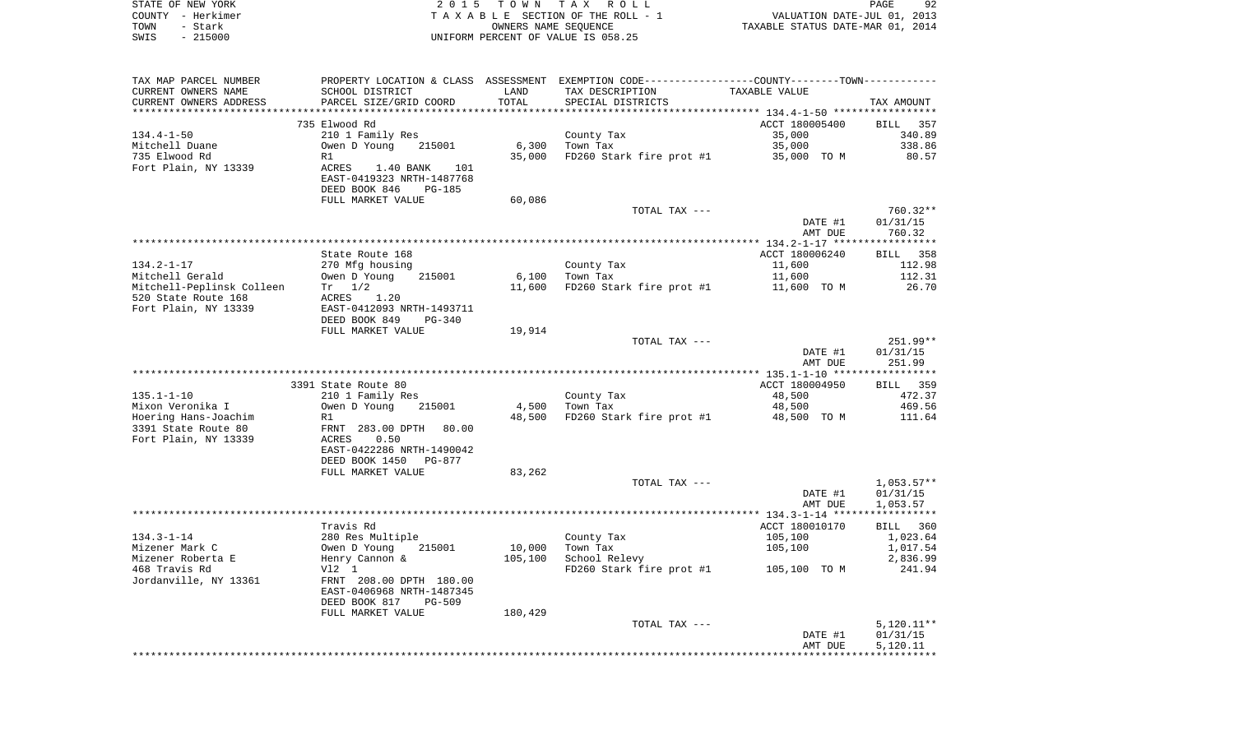| STATE OF NEW YORK |                   | 2015 TOWN TAX ROLL                 | PAGE                             | 92 |
|-------------------|-------------------|------------------------------------|----------------------------------|----|
|                   | COUNTY – Herkimer | TAXABLE SECTION OF THE ROLL - 1    | VALUATION DATE-JUL 01, 2013      |    |
| TOWN              | - Stark           | OWNERS NAME SEOUENCE               | TAXABLE STATUS DATE-MAR 01, 2014 |    |
| SWIS              | $-215000$         | UNIFORM PERCENT OF VALUE IS 058.25 |                                  |    |

| TAX MAP PARCEL NUMBER            | PROPERTY LOCATION & CLASS ASSESSMENT EXEMPTION CODE---------------COUNTY--------TOWN---------- |         |                                                  |                    |                      |
|----------------------------------|------------------------------------------------------------------------------------------------|---------|--------------------------------------------------|--------------------|----------------------|
| CURRENT OWNERS NAME              | SCHOOL DISTRICT                                                                                | LAND    | TAX DESCRIPTION                                  | TAXABLE VALUE      |                      |
| CURRENT OWNERS ADDRESS           | PARCEL SIZE/GRID COORD                                                                         | TOTAL   | SPECIAL DISTRICTS                                |                    | TAX AMOUNT           |
|                                  |                                                                                                |         |                                                  |                    |                      |
|                                  | 735 Elwood Rd                                                                                  |         |                                                  | ACCT 180005400     | BILL 357             |
| 134.4-1-50                       | 210 1 Family Res                                                                               |         | County Tax                                       | 35,000             | 340.89               |
| Mitchell Duane                   | Owen D Young 215001                                                                            | 6,300   | Town Tax<br>FD260 Stark fire prot #1 35,000 TO M | 35,000             | 338.86               |
| 735 Elwood Rd                    | R1                                                                                             | 35,000  |                                                  |                    | 80.57                |
| Fort Plain, NY 13339             | ACRES 1.40 BANK 101<br>EAST-0419323 NRTH-1487768                                               |         |                                                  |                    |                      |
|                                  | DEED BOOK 846<br>PG-185                                                                        |         |                                                  |                    |                      |
|                                  | FULL MARKET VALUE                                                                              | 60,086  |                                                  |                    |                      |
|                                  |                                                                                                |         | TOTAL TAX ---                                    |                    | 760.32**             |
|                                  |                                                                                                |         |                                                  | DATE #1            | 01/31/15             |
|                                  |                                                                                                |         |                                                  | AMT DUE            | 760.32               |
|                                  |                                                                                                |         |                                                  |                    |                      |
|                                  | State Route 168                                                                                |         |                                                  | ACCT 180006240     | BILL 358             |
| 134.2-1-17                       | 270 Mfg housing<br>Owen D Young                                                                |         | County Tax                                       | 11,600             | 112.98               |
| Mitchell Gerald                  | 215001                                                                                         |         | $6,100$ Town Tax                                 | 11,600             | 112.31               |
| Mitchell-Peplinsk Colleen Tr 1/2 |                                                                                                |         | 11,600 FD260 Stark fire prot #1 11,600 TO M      |                    | 26.70                |
| 520 State Route 168              | ACRES 1.20                                                                                     |         |                                                  |                    |                      |
| Fort Plain, NY 13339             | EAST-0412093 NRTH-1493711                                                                      |         |                                                  |                    |                      |
|                                  | DEED BOOK 849<br>PG-340                                                                        |         |                                                  |                    |                      |
|                                  | FULL MARKET VALUE                                                                              | 19,914  |                                                  |                    | $251.99**$           |
|                                  |                                                                                                |         | TOTAL TAX ---                                    | DATE #1            | 01/31/15             |
|                                  |                                                                                                |         |                                                  | AMT DUE            | 251.99               |
|                                  |                                                                                                |         |                                                  |                    |                      |
|                                  | 3391 State Route 80                                                                            |         |                                                  | ACCT 180004950     | BILL 359             |
| $135.1 - 1 - 10$                 | 210 1 Family Res                                                                               |         | County Tax                                       | 48,500             | 472.37               |
| Mixon Veronika I                 | Owen D Young<br>215001                                                                         | 4,500   | Town Tax                                         | 48,500             | 469.56               |
| Hoering Hans-Joachim             | R1                                                                                             |         | 48,500 FD260 Stark fire prot #1 48,500 TO M      |                    | 111.64               |
| 3391 State Route 80              | FRNT 283.00 DPTH 80.00                                                                         |         |                                                  |                    |                      |
| Fort Plain, NY 13339             | ACRES 0.50                                                                                     |         |                                                  |                    |                      |
|                                  | EAST-0422286 NRTH-1490042                                                                      |         |                                                  |                    |                      |
|                                  | DEED BOOK 1450 PG-877                                                                          |         |                                                  |                    |                      |
|                                  | FULL MARKET VALUE                                                                              | 83,262  |                                                  |                    |                      |
|                                  |                                                                                                |         | TOTAL TAX ---                                    |                    | 1,053.57**           |
|                                  |                                                                                                |         |                                                  | DATE #1<br>AMT DUE | 01/31/15<br>1,053.57 |
|                                  |                                                                                                |         |                                                  |                    |                      |
|                                  | Travis Rd                                                                                      |         |                                                  | ACCT 180010170     | BILL 360             |
| $134.3 - 1 - 14$                 |                                                                                                |         | County Tax                                       | 105,100            | 1,023.64             |
| Mizener Mark C                   |                                                                                                | 10,000  | Town Tax                                         | 105,100            | 1,017.54             |
| Mizener Roberta E                | 280 Res Multiple<br>Owen D Young 215001<br>Henry Cannon &                                      | 105,100 | School Relevy                                    |                    | 2,836.99             |
| 468 Travis Rd                    | V12 1                                                                                          |         | FD260 Stark fire prot #1 105,100 TO M            |                    | 241.94               |
| Jordanville, NY 13361            | FRNT 208.00 DPTH 180.00                                                                        |         |                                                  |                    |                      |
|                                  | EAST-0406968 NRTH-1487345                                                                      |         |                                                  |                    |                      |
|                                  | DEED BOOK 817<br>PG-509                                                                        |         |                                                  |                    |                      |
|                                  | FULL MARKET VALUE                                                                              | 180,429 |                                                  |                    |                      |
|                                  |                                                                                                |         | TOTAL TAX ---                                    |                    | $5,120.11**$         |
|                                  |                                                                                                |         |                                                  | DATE #1            | 01/31/15             |
|                                  |                                                                                                |         |                                                  | AMT DUE            | 5,120.11             |
|                                  |                                                                                                |         |                                                  |                    |                      |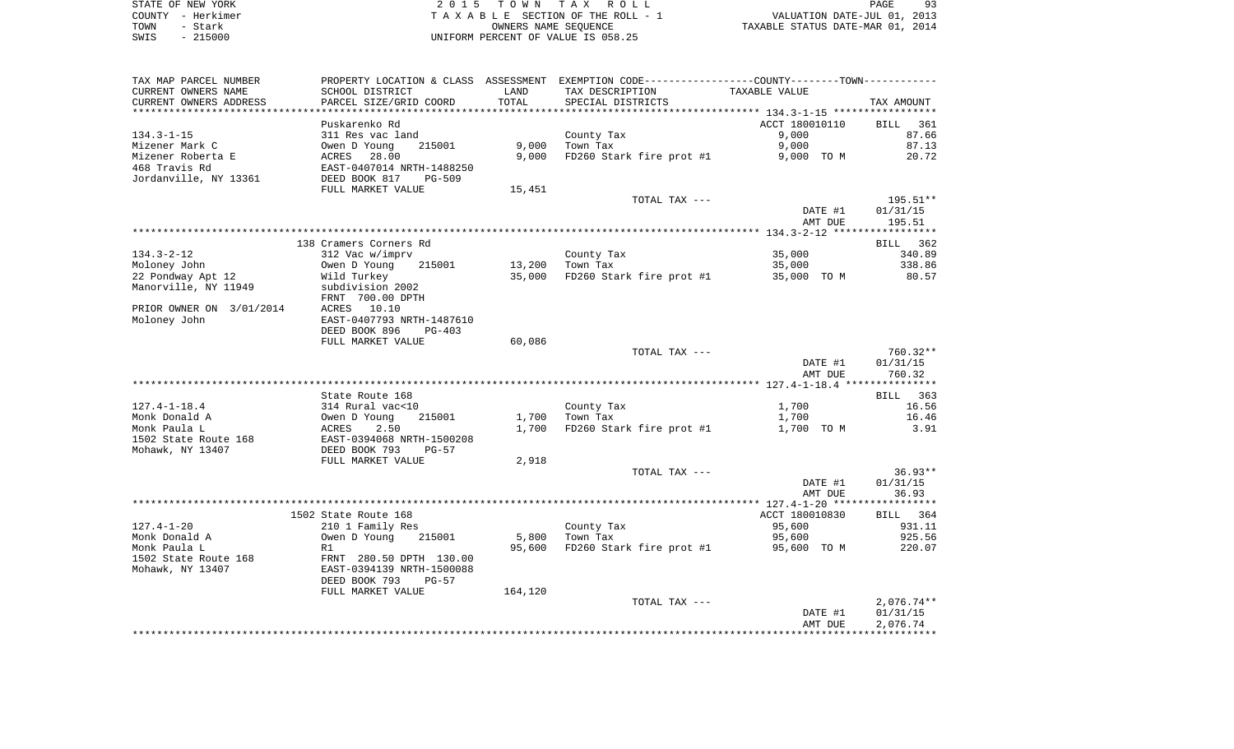STATE OF NEW YORK **EXECUTE:** TO W N TAX ROLL COUNTY - Herkimer T A X A B L E SECTION OF THE ROLL - 1 VALUATION DATE-JUL 01, 2013 TOWN - Stark OWNERS NAME SEQUENCE TAXABLE STATUS DATE-MAR 01, 2014 SWIS - 215000 UNIFORM PERCENT OF VALUE IS 058.25

| TAX MAP PARCEL NUMBER    |                               |         | PROPERTY LOCATION & CLASS ASSESSMENT EXEMPTION CODE----------------COUNTY--------TOWN----------- |                |                    |
|--------------------------|-------------------------------|---------|--------------------------------------------------------------------------------------------------|----------------|--------------------|
| CURRENT OWNERS NAME      | SCHOOL DISTRICT               | LAND    | TAX DESCRIPTION                                                                                  | TAXABLE VALUE  |                    |
| CURRENT OWNERS ADDRESS   | PARCEL SIZE/GRID COORD        | TOTAL   | SPECIAL DISTRICTS                                                                                |                | TAX AMOUNT         |
| ***********************  | ***************************** |         |                                                                                                  |                |                    |
|                          | Puskarenko Rd                 |         |                                                                                                  | ACCT 180010110 | <b>BILL</b><br>361 |
| $134.3 - 1 - 15$         | 311 Res vac land              |         | County Tax                                                                                       | 9,000          | 87.66              |
| Mizener Mark C           | Owen D Young<br>215001        | 9,000   | Town Tax                                                                                         | 9,000          | 87.13              |
| Mizener Roberta E        | ACRES 28.00                   | 9,000   | FD260 Stark fire prot #1                                                                         | 9,000 TO M     | 20.72              |
| 468 Travis Rd            | EAST-0407014 NRTH-1488250     |         |                                                                                                  |                |                    |
| Jordanville, NY 13361    | DEED BOOK 817<br>PG-509       |         |                                                                                                  |                |                    |
|                          | FULL MARKET VALUE             | 15,451  |                                                                                                  |                |                    |
|                          |                               |         | TOTAL TAX ---                                                                                    |                | 195.51**           |
|                          |                               |         |                                                                                                  | DATE #1        | 01/31/15           |
|                          |                               |         |                                                                                                  | AMT DUE        | 195.51             |
|                          |                               |         |                                                                                                  |                |                    |
|                          | 138 Cramers Corners Rd        |         |                                                                                                  |                | BILL 362           |
| $134.3 - 2 - 12$         | 312 Vac w/imprv               |         | County Tax                                                                                       | 35,000         | 340.89             |
| Moloney John             | Owen D Young<br>215001        | 13,200  | Town Tax                                                                                         | 35,000         | 338.86             |
| 22 Pondway Apt 12        | Wild Turkey                   | 35,000  | FD260 Stark fire prot #1                                                                         | 35,000 TO M    | 80.57              |
| Manorville, NY 11949     | subdivision 2002              |         |                                                                                                  |                |                    |
|                          | FRNT 700.00 DPTH              |         |                                                                                                  |                |                    |
| PRIOR OWNER ON 3/01/2014 | 10.10<br>ACRES                |         |                                                                                                  |                |                    |
| Moloney John             | EAST-0407793 NRTH-1487610     |         |                                                                                                  |                |                    |
|                          | DEED BOOK 896<br>$PG-403$     |         |                                                                                                  |                |                    |
|                          | FULL MARKET VALUE             | 60,086  |                                                                                                  |                |                    |
|                          |                               |         | TOTAL TAX ---                                                                                    |                | $760.32**$         |
|                          |                               |         |                                                                                                  | DATE #1        | 01/31/15           |
|                          |                               |         |                                                                                                  | AMT DUE        | 760.32             |
|                          |                               |         |                                                                                                  |                |                    |
|                          | State Route 168               |         |                                                                                                  |                | BILL 363           |
| $127.4 - 1 - 18.4$       | 314 Rural vac<10              |         | County Tax                                                                                       | 1,700          | 16.56              |
| Monk Donald A            | Owen D Young<br>215001        | 1,700   | Town Tax                                                                                         | 1,700          | 16.46              |
| Monk Paula L             | ACRES<br>2.50                 | 1,700   | FD260 Stark fire prot #1                                                                         | 1,700 TO M     | 3.91               |
| 1502 State Route 168     | EAST-0394068 NRTH-1500208     |         |                                                                                                  |                |                    |
| Mohawk, NY 13407         | DEED BOOK 793<br>$PG-57$      |         |                                                                                                  |                |                    |
|                          | FULL MARKET VALUE             | 2,918   |                                                                                                  |                |                    |
|                          |                               |         | TOTAL TAX ---                                                                                    |                | $36.93**$          |
|                          |                               |         |                                                                                                  | DATE #1        | 01/31/15           |
|                          |                               |         |                                                                                                  | AMT DUE        | 36.93              |
|                          |                               |         |                                                                                                  |                |                    |
|                          | 1502 State Route 168          |         |                                                                                                  | ACCT 180010830 | BILL 364           |
| $127.4 - 1 - 20$         | 210 1 Family Res              |         | County Tax                                                                                       | 95,600         | 931.11             |
| Monk Donald A            | Owen D Young<br>215001        | 5,800   | Town Tax                                                                                         | 95,600         | 925.56             |
| Monk Paula L             |                               |         |                                                                                                  |                |                    |
| 1502 State Route 168     | R1<br>FRNT 280.50 DPTH 130.00 | 95,600  | FD260 Stark fire prot #1                                                                         | 95,600 TO M    | 220.07             |
|                          | EAST-0394139 NRTH-1500088     |         |                                                                                                  |                |                    |
| Mohawk, NY 13407         |                               |         |                                                                                                  |                |                    |
|                          | DEED BOOK 793<br>$PG-57$      |         |                                                                                                  |                |                    |
|                          | FULL MARKET VALUE             | 164,120 |                                                                                                  |                |                    |
|                          |                               |         | TOTAL TAX ---                                                                                    |                | $2,076.74**$       |
|                          |                               |         |                                                                                                  | DATE #1        | 01/31/15           |
|                          |                               |         |                                                                                                  | AMT DUE        | 2,076.74           |
|                          |                               |         |                                                                                                  |                |                    |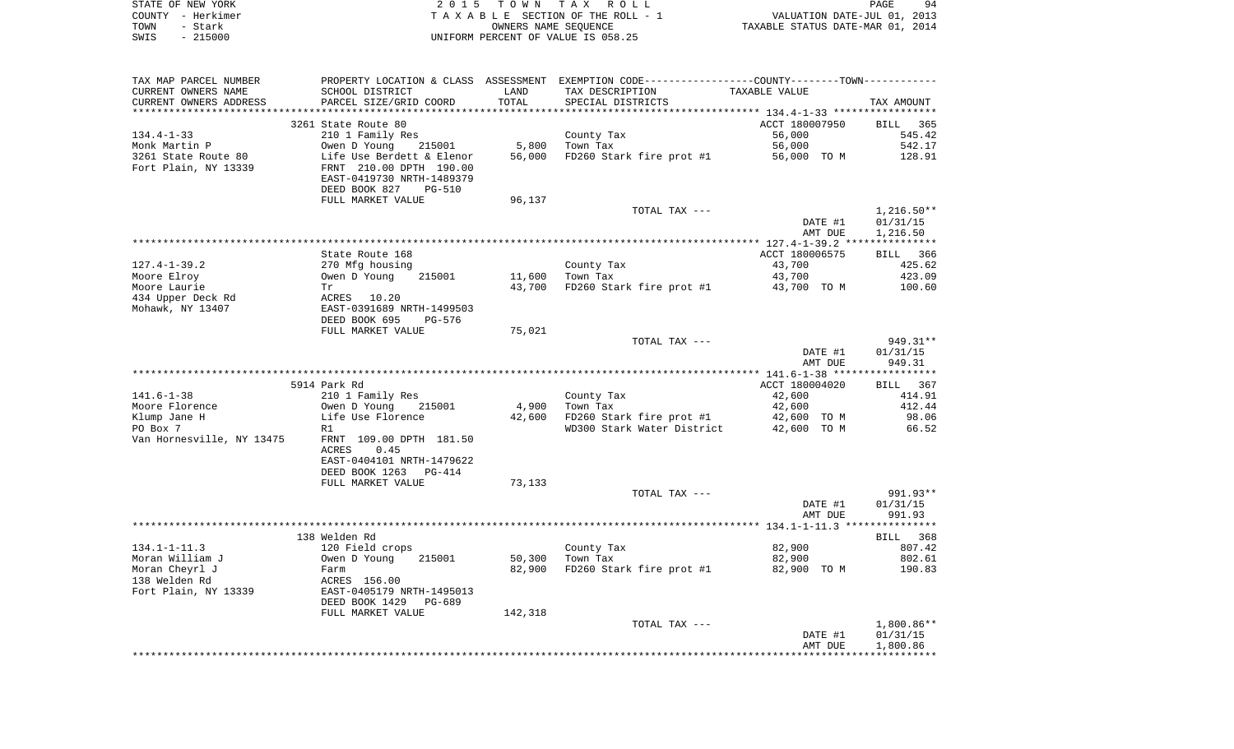|      | STATE OF NEW YORK | 2015 TOWN TAX ROLL                 | 94<br><b>PAGE</b>                |
|------|-------------------|------------------------------------|----------------------------------|
|      | COUNTY - Herkimer | TAXABLE SECTION OF THE ROLL - 1    | VALUATION DATE-JUL 01, 2013      |
| TOWN | - Stark           | OWNERS NAME SEOUENCE               | TAXABLE STATUS DATE-MAR 01, 2014 |
| SWIS | $-215000$         | UNIFORM PERCENT OF VALUE IS 058.25 |                                  |

| TAX MAP PARCEL NUMBER<br>CURRENT OWNERS NAME<br>CURRENT OWNERS ADDRESS | SCHOOL DISTRICT<br>PARCEL SIZE/GRID COORD | LAND<br>TOTAL | PROPERTY LOCATION & CLASS ASSESSMENT EXEMPTION CODE----------------COUNTY--------TOWN-----------<br>TAX DESCRIPTION<br>SPECIAL DISTRICTS | TAXABLE VALUE  | TAX AMOUNT   |
|------------------------------------------------------------------------|-------------------------------------------|---------------|------------------------------------------------------------------------------------------------------------------------------------------|----------------|--------------|
|                                                                        |                                           |               |                                                                                                                                          |                |              |
|                                                                        | 3261 State Route 80                       |               |                                                                                                                                          | ACCT 180007950 | BILL 365     |
| 134.4-1-33                                                             | 210 1 Family Res                          |               | County Tax                                                                                                                               | 56,000         | 545.42       |
| Monk Martin P                                                          | 215001<br>Owen D Young                    | 5,800         | Town Tax                                                                                                                                 | 56,000         | 542.17       |
| 3261 State Route 80                                                    | Life Use Berdett & Elenor                 | 56,000        | FD260 Stark fire prot #1                                                                                                                 | 56,000 TO M    | 128.91       |
| Fort Plain, NY 13339                                                   | FRNT 210.00 DPTH 190.00                   |               |                                                                                                                                          |                |              |
|                                                                        | EAST-0419730 NRTH-1489379                 |               |                                                                                                                                          |                |              |
|                                                                        | DEED BOOK 827<br><b>PG-510</b>            |               |                                                                                                                                          |                |              |
|                                                                        | FULL MARKET VALUE                         | 96,137        |                                                                                                                                          |                |              |
|                                                                        |                                           |               | TOTAL TAX ---                                                                                                                            |                | $1,216.50**$ |
|                                                                        |                                           |               |                                                                                                                                          | DATE #1        | 01/31/15     |
|                                                                        |                                           |               |                                                                                                                                          | AMT DUE        | 1,216.50     |
|                                                                        |                                           |               |                                                                                                                                          |                |              |
|                                                                        | State Route 168                           |               |                                                                                                                                          | ACCT 180006575 | BILL 366     |
| $127.4 - 1 - 39.2$                                                     | 270 Mfg housing                           |               | County Tax                                                                                                                               | 43,700         | 425.62       |
| Moore Elroy                                                            | Owen D Young<br>215001                    | 11,600        | Town Tax                                                                                                                                 | 43,700         | 423.09       |
| Moore Laurie                                                           | Tr                                        | 43,700        | FD260 Stark fire prot #1                                                                                                                 | 43,700 TO M    | 100.60       |
| 434 Upper Deck Rd                                                      | ACRES 10.20                               |               |                                                                                                                                          |                |              |
| Mohawk, NY 13407                                                       | EAST-0391689 NRTH-1499503                 |               |                                                                                                                                          |                |              |
|                                                                        | DEED BOOK 695<br>PG-576                   |               |                                                                                                                                          |                |              |
|                                                                        | FULL MARKET VALUE                         | 75,021        |                                                                                                                                          |                |              |
|                                                                        |                                           |               | TOTAL TAX ---                                                                                                                            |                | 949.31**     |
|                                                                        |                                           |               |                                                                                                                                          | DATE #1        | 01/31/15     |
|                                                                        |                                           |               |                                                                                                                                          | AMT DUE        | 949.31       |
|                                                                        |                                           |               |                                                                                                                                          |                |              |
|                                                                        | 5914 Park Rd                              |               |                                                                                                                                          | ACCT 180004020 | BILL 367     |
| $141.6 - 1 - 38$                                                       | 210 1 Family Res                          |               | County Tax                                                                                                                               | 42,600         | 414.91       |
| Moore Florence                                                         | Owen D Young<br>215001                    | 4,900         | Town Tax                                                                                                                                 | 42,600         | 412.44       |
| Klump Jane H                                                           | Life Use Florence                         | 42,600        | FD260 Stark fire prot #1                                                                                                                 | 42,600 TO M    | 98.06        |
| PO Box 7                                                               | R1                                        |               | WD300 Stark Water District                                                                                                               | 42,600 TO M    | 66.52        |
| Van Hornesville, NY 13475                                              | FRNT 109.00 DPTH 181.50                   |               |                                                                                                                                          |                |              |
|                                                                        | 0.45<br>ACRES                             |               |                                                                                                                                          |                |              |
|                                                                        | EAST-0404101 NRTH-1479622                 |               |                                                                                                                                          |                |              |
|                                                                        | DEED BOOK 1263<br>PG-414                  |               |                                                                                                                                          |                |              |
|                                                                        | FULL MARKET VALUE                         | 73,133        |                                                                                                                                          |                |              |
|                                                                        |                                           |               | TOTAL TAX ---                                                                                                                            |                | 991.93**     |
|                                                                        |                                           |               |                                                                                                                                          | DATE #1        | 01/31/15     |
|                                                                        |                                           |               |                                                                                                                                          | AMT DUE        | 991.93       |
|                                                                        |                                           |               |                                                                                                                                          |                |              |
|                                                                        | 138 Welden Rd                             |               |                                                                                                                                          |                | BILL 368     |
| $134.1 - 1 - 11.3$                                                     | 120 Field crops                           |               | County Tax                                                                                                                               | 82,900         | 807.42       |
| Moran William J                                                        | 215001<br>Owen D Young                    | 50,300        | Town Tax                                                                                                                                 | 82,900         | 802.61       |
| Moran Cheyrl J                                                         | Farm                                      | 82,900        | FD260 Stark fire prot #1                                                                                                                 | 82,900 TO M    | 190.83       |
| 138 Welden Rd                                                          | ACRES 156.00                              |               |                                                                                                                                          |                |              |
| Fort Plain, NY 13339                                                   | EAST-0405179 NRTH-1495013                 |               |                                                                                                                                          |                |              |
|                                                                        | DEED BOOK 1429<br>PG-689                  |               |                                                                                                                                          |                |              |
|                                                                        | FULL MARKET VALUE                         | 142,318       |                                                                                                                                          |                |              |
|                                                                        |                                           |               | TOTAL TAX ---                                                                                                                            |                | $1,800.86**$ |
|                                                                        |                                           |               |                                                                                                                                          | DATE #1        | 01/31/15     |
|                                                                        |                                           |               |                                                                                                                                          | AMT DUE        | 1,800.86     |
|                                                                        |                                           |               |                                                                                                                                          |                |              |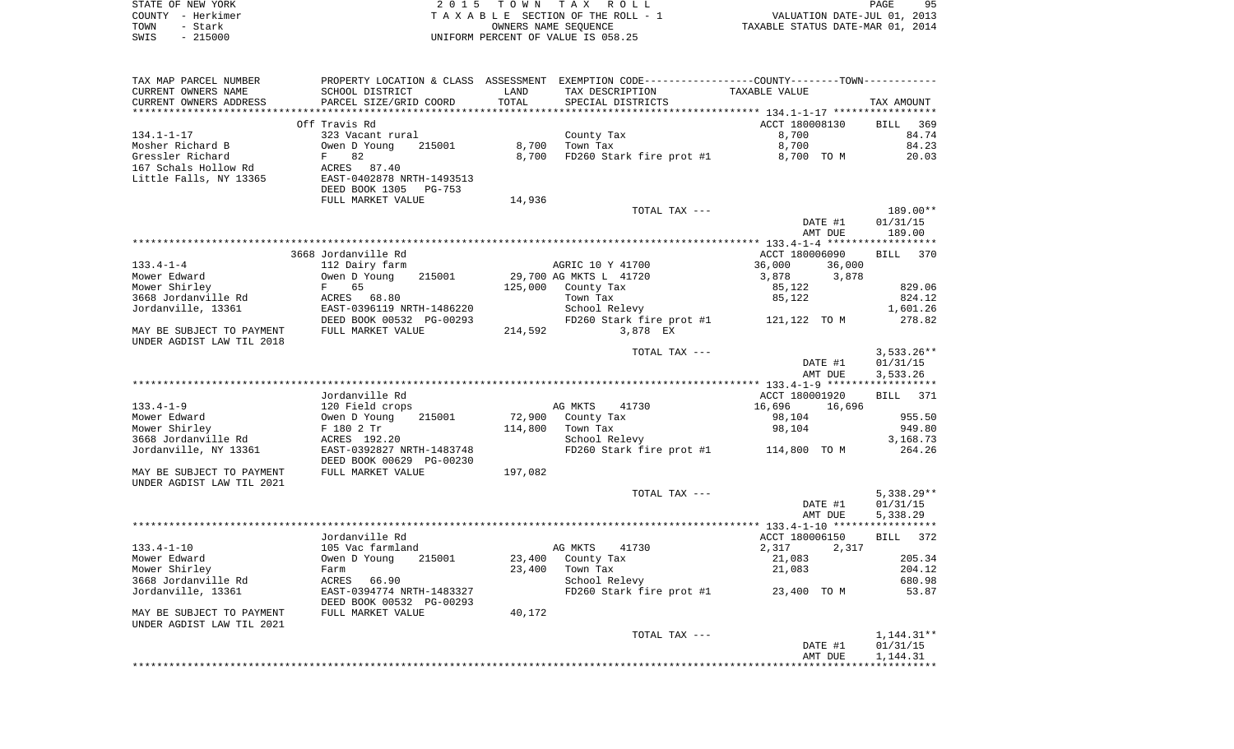|      | STATE OF NEW YORK | 2015 TOWN TAX ROLL                 | PAGE                             | 95 |
|------|-------------------|------------------------------------|----------------------------------|----|
|      | COUNTY - Herkimer | TAXABLE SECTION OF THE ROLL - 1    | VALUATION DATE-JUL 01, 2013      |    |
| TOWN | – Stark           | OWNERS NAME SEOUENCE               | TAXABLE STATUS DATE-MAR 01, 2014 |    |
| SWIS | - 215000          | UNIFORM PERCENT OF VALUE IS 058.25 |                                  |    |

| TAX MAP PARCEL NUMBER     | PROPERTY LOCATION & CLASS ASSESSMENT EXEMPTION CODE----------------COUNTY--------TOWN---------- |         |                                         |                  |              |
|---------------------------|-------------------------------------------------------------------------------------------------|---------|-----------------------------------------|------------------|--------------|
| CURRENT OWNERS NAME       | SCHOOL DISTRICT                                                                                 | LAND    | TAX DESCRIPTION                         | TAXABLE VALUE    |              |
| CURRENT OWNERS ADDRESS    | PARCEL SIZE/GRID COORD                                                                          | TOTAL   | SPECIAL DISTRICTS                       |                  | TAX AMOUNT   |
|                           |                                                                                                 |         |                                         |                  |              |
|                           | Off Travis Rd                                                                                   |         |                                         | ACCT 180008130   | BILL 369     |
| $134.1 - 1 - 17$          | 323 Vacant rural                                                                                |         | County Tax                              | 8,700            | 84.74        |
| Mosher Richard B          | 215001<br>Owen D Young                                                                          | 8,700   | Town Tax                                | 8,700            | 84.23        |
| Gressler Richard          | $F$ and $F$<br>82                                                                               | 8,700   | FD260 Stark fire prot #1                | 8,700 TO M       | 20.03        |
| 167 Schals Hollow Rd      | ACRES 87.40                                                                                     |         |                                         |                  |              |
| Little Falls, NY 13365    | EAST-0402878 NRTH-1493513                                                                       |         |                                         |                  |              |
|                           | DEED BOOK 1305 PG-753                                                                           |         |                                         |                  |              |
|                           | FULL MARKET VALUE                                                                               | 14,936  |                                         |                  |              |
|                           |                                                                                                 |         | TOTAL TAX ---                           |                  | 189.00**     |
|                           |                                                                                                 |         |                                         | DATE #1          | 01/31/15     |
|                           |                                                                                                 |         |                                         | AMT DUE          | 189.00       |
|                           |                                                                                                 |         |                                         |                  |              |
|                           | 3668 Jordanville Rd                                                                             |         |                                         | ACCT 180006090   | BILL 370     |
| $133.4 - 1 - 4$           | 112 Dairy farm                                                                                  |         | AGRIC 10 Y 41700                        | 36,000<br>36,000 |              |
| Mower Edward              | 215001<br>Owen D Young                                                                          |         | 29,700 AG MKTS L 41720                  | 3,878<br>3,878   |              |
| Mower Shirley             | 65<br>$F$ and $F$                                                                               |         | 125,000 County Tax                      | 85,122           | 829.06       |
| 3668 Jordanville Rd       | ACRES 68.80                                                                                     |         | Town Tax                                | 85,122           | 824.12       |
| Jordanville, 13361        | EAST-0396119 NRTH-1486220                                                                       |         | School Relevy                           |                  | 1,601.26     |
|                           | DEED BOOK 00532 PG-00293                                                                        |         | FD260 Stark fire prot $#1$ 121,122 TO M |                  | 278.82       |
| MAY BE SUBJECT TO PAYMENT | FULL MARKET VALUE                                                                               | 214,592 | 3,878 EX                                |                  |              |
| UNDER AGDIST LAW TIL 2018 |                                                                                                 |         |                                         |                  |              |
|                           |                                                                                                 |         | TOTAL TAX ---                           |                  | $3,533.26**$ |
|                           |                                                                                                 |         |                                         | DATE #1          | 01/31/15     |
|                           |                                                                                                 |         |                                         | AMT DUE          | 3,533.26     |
|                           |                                                                                                 |         |                                         |                  |              |
|                           | Jordanville Rd                                                                                  |         |                                         | ACCT 180001920   | BILL 371     |
| $133.4 - 1 - 9$           | 120 Field crops                                                                                 |         | AG MKTS<br>41730                        | 16,696<br>16,696 |              |
| Mower Edward              | Owen D Young<br>215001                                                                          | 72,900  | County Tax                              | 98,104           | 955.50       |
| Mower Shirley             | F 180 2 Tr                                                                                      | 114,800 | Town Tax                                | 98,104           | 949.80       |
| 3668 Jordanville Rd       | ACRES 192.20                                                                                    |         | School Relevy                           |                  | 3,168.73     |
| Jordanville, NY 13361     | EAST-0392827 NRTH-1483748                                                                       |         | FD260 Stark fire prot #1 114,800 TO M   |                  | 264.26       |
|                           | DEED BOOK 00629 PG-00230                                                                        |         |                                         |                  |              |
| MAY BE SUBJECT TO PAYMENT | FULL MARKET VALUE                                                                               | 197,082 |                                         |                  |              |
| UNDER AGDIST LAW TIL 2021 |                                                                                                 |         |                                         |                  |              |
|                           |                                                                                                 |         | TOTAL TAX ---                           |                  | $5,338.29**$ |
|                           |                                                                                                 |         |                                         | DATE #1          | 01/31/15     |
|                           |                                                                                                 |         |                                         | AMT DUE          | 5,338.29     |
|                           |                                                                                                 |         |                                         |                  |              |
|                           | Jordanville Rd                                                                                  |         |                                         | ACCT 180006150   | BILL 372     |
| $133.4 - 1 - 10$          | 105 Vac farmland                                                                                |         | AG MKTS<br>41730                        | 2,317<br>2,317   |              |
| Mower Edward              | Owen D Young<br>215001                                                                          | 23,400  | County Tax                              | 21,083           | 205.34       |
| Mower Shirley             | Farm                                                                                            | 23,400  | Town Tax                                | 21,083           | 204.12       |
| 3668 Jordanville Rd       | ACRES 66.90                                                                                     |         | School Relevy                           |                  | 680.98       |
| Jordanville, 13361        | EAST-0394774 NRTH-1483327                                                                       |         | FD260 Stark fire prot #1 23,400 TO M    |                  | 53.87        |
|                           | DEED BOOK 00532 PG-00293                                                                        |         |                                         |                  |              |
| MAY BE SUBJECT TO PAYMENT | FULL MARKET VALUE                                                                               | 40,172  |                                         |                  |              |
| UNDER AGDIST LAW TIL 2021 |                                                                                                 |         |                                         |                  |              |
|                           |                                                                                                 |         | TOTAL TAX ---                           |                  | $1,144.31**$ |
|                           |                                                                                                 |         |                                         | DATE #1          | 01/31/15     |
|                           |                                                                                                 |         |                                         | AMT DUE          | 1,144.31     |
|                           |                                                                                                 |         |                                         |                  |              |
|                           |                                                                                                 |         |                                         |                  |              |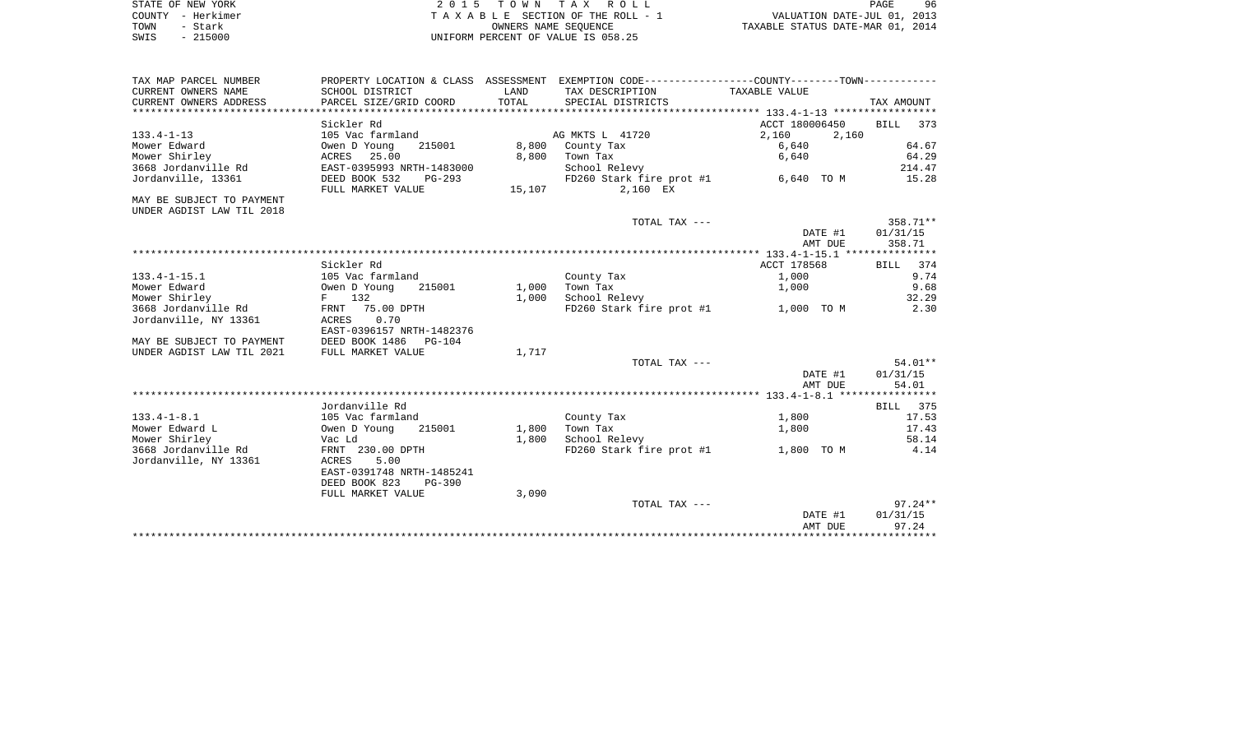|      | STATE OF NEW YORK | 2015 TOWN TAX ROLL                 | PAGE                             | 96 |
|------|-------------------|------------------------------------|----------------------------------|----|
|      | COUNTY - Herkimer | TAXABLE SECTION OF THE ROLL - 1    | VALUATION DATE-JUL 01, 2013      |    |
| TOWN | - Stark           | OWNERS NAME SEOUENCE               | TAXABLE STATUS DATE-MAR 01, 2014 |    |
| SWIS | $-215000$         | UNIFORM PERCENT OF VALUE IS 058.25 |                                  |    |

| TAX MAP PARCEL NUMBER                           | PROPERTY LOCATION & CLASS ASSESSMENT EXEMPTION CODE-----------------COUNTY--------TOWN---------- |                |                                                        |                         |            |
|-------------------------------------------------|--------------------------------------------------------------------------------------------------|----------------|--------------------------------------------------------|-------------------------|------------|
| CURRENT OWNERS NAME                             | SCHOOL DISTRICT                                                                                  | LAND           | TAX DESCRIPTION                                        | TAXABLE VALUE           |            |
| CURRENT OWNERS ADDRESS PARCEL SIZE/GRID COORD   |                                                                                                  | TOTAL          | SPECIAL DISTRICTS                                      |                         | TAX AMOUNT |
|                                                 |                                                                                                  |                |                                                        |                         |            |
|                                                 | Sickler Rd                                                                                       |                |                                                        | ACCT 180006450 BILL 373 |            |
| $133.4 - 1 - 13$                                | 105 Vac farmland                                                                                 |                | AG MKTS L 41720                                        | 2,160<br>2,160          |            |
| Mower Edward                                    | Owen D Young                                                                                     |                | 215001 8,800 County Tax                                | 6,640                   | 64.67      |
| Mower Shirley                                   |                                                                                                  |                | 8,800 Town Tax                                         | 6,640                   | 64.29      |
| 3668 Jordanville Rd<br>Jordanville, 13361       | ACRES 25.00<br>EAST-0395993 NRTH-1483000<br>DEED BOOK 532 PG-293                                 |                | School Relevy                                          |                         | 214.47     |
|                                                 | FULL MARKET VALUE                                                                                |                | FD260 Stark fire prot #1 6,640 TO M<br>15,107 2,160 EX |                         | 15.28      |
| MAY BE SUBJECT TO PAYMENT                       |                                                                                                  |                |                                                        |                         |            |
| UNDER AGDIST LAW TIL 2018                       |                                                                                                  |                |                                                        |                         |            |
|                                                 |                                                                                                  |                | TOTAL TAX ---                                          |                         | 358.71**   |
|                                                 |                                                                                                  |                |                                                        | DATE #1                 | 01/31/15   |
|                                                 |                                                                                                  |                |                                                        | AMT DUE                 | 358.71     |
|                                                 |                                                                                                  |                |                                                        |                         |            |
|                                                 | Sickler Rd                                                                                       |                |                                                        | ACCT 178568 BILL 374    |            |
| $133.4 - 1 - 15.1$                              | 105 Vac farmland                                                                                 |                | County Tax                                             | 1,000                   | 9.74       |
| Mower Edward                                    | Owen D Young 215001<br>F 132                                                                     | 1,000 Town Tax |                                                        | 1,000                   | 9.68       |
| Mower Shirley                                   |                                                                                                  | 1,000          | School Relevy                                          |                         | 32.29      |
|                                                 |                                                                                                  |                | FD260 Stark fire prot #1 1,000 TO M                    |                         | 2.30       |
| Jordanville, NY 13361                           | ACRES 0.70                                                                                       |                |                                                        |                         |            |
|                                                 | EAST-0396157 NRTH-1482376                                                                        |                |                                                        |                         |            |
| MAY BE SUBJECT TO PAYMENT DEED BOOK 1486 PG-104 |                                                                                                  |                |                                                        |                         |            |
| UNDER AGDIST LAW TIL 2021                       | FULL MARKET VALUE                                                                                | 1,717          |                                                        |                         |            |
|                                                 |                                                                                                  |                | TOTAL TAX ---                                          |                         | 54.01**    |
|                                                 |                                                                                                  |                |                                                        | DATE #1                 | 01/31/15   |
|                                                 |                                                                                                  |                |                                                        | AMT DUE                 | 54.01      |
|                                                 |                                                                                                  |                |                                                        |                         |            |
|                                                 | Jordanville Rd                                                                                   |                |                                                        |                         | BILL 375   |
| $133.4 - 1 - 8.1$                               | 105 Vac farmland                                                                                 |                | County Tax                                             | 1,800                   | 17.53      |
| Mower Edward L                                  | Owen D Young 215001                                                                              | 1,800          | Town Tax                                               | 1,800                   | 17.43      |
| Mower Shirley                                   | Vac Ld                                                                                           | 1,800          | School Relevy                                          |                         | 58.14      |
| 3668 Jordanville Rd FRNT 230.00 DPTH            |                                                                                                  |                | FD260 Stark fire prot #1 $1,800$ TO M $4.14$           |                         |            |
| Jordanville, NY 13361                           | ACRES 5.00                                                                                       |                |                                                        |                         |            |
|                                                 | EAST-0391748 NRTH-1485241                                                                        |                |                                                        |                         |            |
|                                                 | DEED BOOK 823 PG-390                                                                             |                |                                                        |                         |            |
|                                                 | FULL MARKET VALUE                                                                                | 3,090          |                                                        |                         |            |
|                                                 |                                                                                                  |                | TOTAL TAX ---                                          |                         | $97.24**$  |
|                                                 |                                                                                                  |                |                                                        | DATE #1                 | 01/31/15   |
|                                                 |                                                                                                  |                |                                                        |                         |            |

AMT DUE 97.24 \*\*\*\*\*\*\*\*\*\*\*\*\*\*\*\*\*\*\*\*\*\*\*\*\*\*\*\*\*\*\*\*\*\*\*\*\*\*\*\*\*\*\*\*\*\*\*\*\*\*\*\*\*\*\*\*\*\*\*\*\*\*\*\*\*\*\*\*\*\*\*\*\*\*\*\*\*\*\*\*\*\*\*\*\*\*\*\*\*\*\*\*\*\*\*\*\*\*\*\*\*\*\*\*\*\*\*\*\*\*\*\*\*\*\*\*\*\*\*\*\*\*\*\*\*\*\*\*\*\*\*\*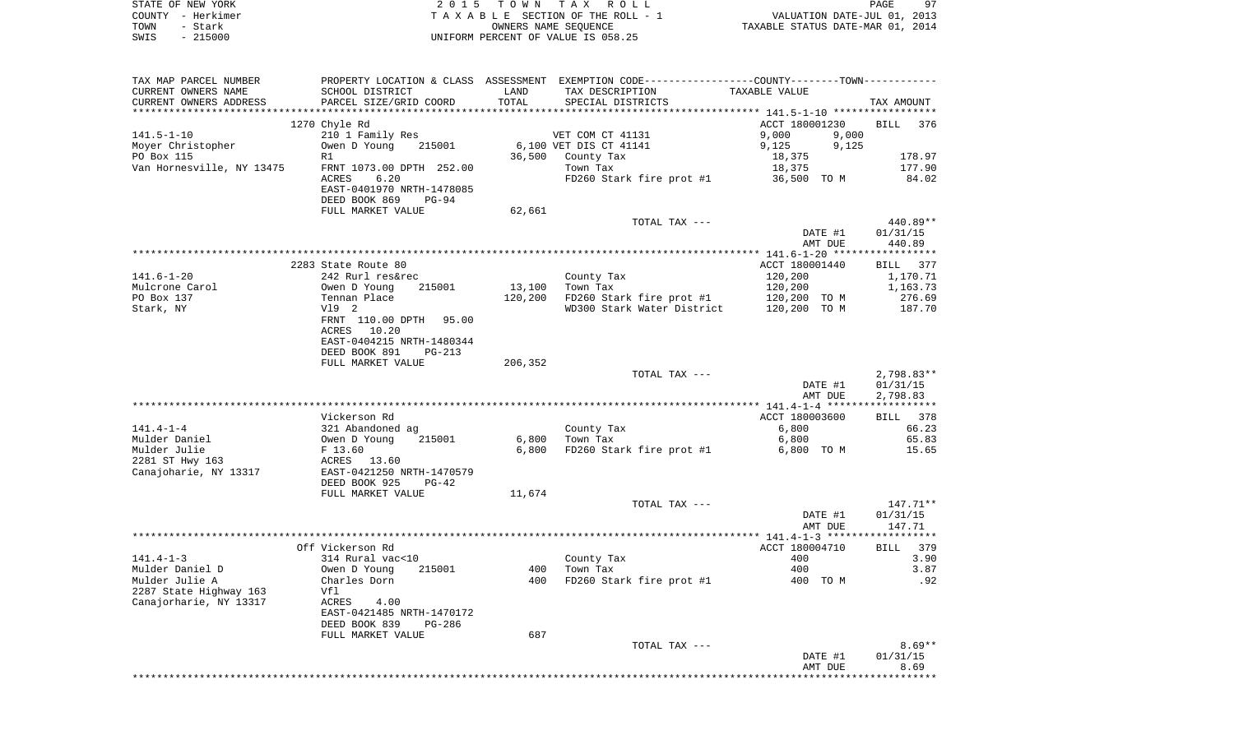| STATE OF NEW YORK<br>COUNTY - Herkimer<br>TOWN<br>- Stark<br>$-215000$<br>SWIS | 2 0 1 5                                             | TOWN TAX | R O L L<br>TAXABLE SECTION OF THE ROLL - 1<br>OWNERS NAME SEQUENCE<br>UNIFORM PERCENT OF VALUE IS 058.25         | VALUATION DATE-JUL 01, 2013<br>TAXABLE STATUS DATE-MAR 01, 2014 | PAGE<br>97         |
|--------------------------------------------------------------------------------|-----------------------------------------------------|----------|------------------------------------------------------------------------------------------------------------------|-----------------------------------------------------------------|--------------------|
|                                                                                |                                                     |          |                                                                                                                  |                                                                 |                    |
| TAX MAP PARCEL NUMBER<br>CURRENT OWNERS NAME                                   | SCHOOL DISTRICT                                     | LAND     | PROPERTY LOCATION & CLASS ASSESSMENT EXEMPTION CODE---------------COUNTY-------TOWN----------<br>TAX DESCRIPTION | TAXABLE VALUE                                                   |                    |
| CURRENT OWNERS ADDRESS                                                         | PARCEL SIZE/GRID COORD                              | TOTAL    | SPECIAL DISTRICTS                                                                                                |                                                                 | TAX AMOUNT         |
|                                                                                | 1270 Chyle Rd                                       |          |                                                                                                                  | ACCT 180001230                                                  | <b>BILL</b><br>376 |
| $141.5 - 1 - 10$                                                               | 210 1 Family Res                                    |          | VET COM CT 41131                                                                                                 | 9,000<br>9,000                                                  |                    |
| Moyer Christopher                                                              | Owen D Young<br>215001                              |          | 6,100 VET DIS CT 41141                                                                                           | 9,125<br>9,125                                                  |                    |
| PO Box 115                                                                     | R1                                                  | 36,500   | County Tax                                                                                                       | 18,375                                                          | 178.97             |
| Van Hornesville, NY 13475                                                      | FRNT 1073.00 DPTH 252.00<br>ACRES<br>6.20           |          | Town Tax<br>FD260 Stark fire prot $#1$ 36,500 TO M                                                               | 18,375                                                          | 177.90<br>84.02    |
|                                                                                | EAST-0401970 NRTH-1478085<br>DEED BOOK 869<br>PG-94 |          |                                                                                                                  |                                                                 |                    |
|                                                                                | FULL MARKET VALUE                                   | 62,661   |                                                                                                                  |                                                                 |                    |
|                                                                                |                                                     |          | TOTAL TAX ---                                                                                                    |                                                                 | 440.89**           |
|                                                                                |                                                     |          |                                                                                                                  | DATE #1                                                         | 01/31/15           |
|                                                                                |                                                     |          |                                                                                                                  | AMT DUE                                                         | 440.89             |
|                                                                                | 2283 State Route 80                                 |          |                                                                                                                  | ACCT 180001440                                                  | BILL 377           |
| $141.6 - 1 - 20$                                                               | 242 Rurl res&rec                                    |          | County Tax                                                                                                       | 120,200                                                         | 1,170.71           |
| Mulcrone Carol                                                                 | 215001<br>Owen D Young                              | 13,100   | Town Tax                                                                                                         | 120,200                                                         | 1,163.73           |
| PO Box 137<br>Stark, NY                                                        | Tennan Place<br>V19 2                               | 120,200  | FD260 Stark fire prot #1<br>WD300 Stark Water District                                                           | 120,200 TO M                                                    | 276.69             |
|                                                                                | FRNT 110.00 DPTH<br>95.00                           |          |                                                                                                                  | 120,200 TO M                                                    | 187.70             |
|                                                                                | ACRES 10.20                                         |          |                                                                                                                  |                                                                 |                    |
|                                                                                | EAST-0404215 NRTH-1480344                           |          |                                                                                                                  |                                                                 |                    |
|                                                                                | DEED BOOK 891<br>$PG-213$                           |          |                                                                                                                  |                                                                 |                    |
|                                                                                | FULL MARKET VALUE                                   | 206,352  | TOTAL TAX ---                                                                                                    |                                                                 | $2,798.83**$       |
|                                                                                |                                                     |          |                                                                                                                  | DATE #1                                                         | 01/31/15           |
|                                                                                |                                                     |          |                                                                                                                  | AMT DUE                                                         | 2,798.83           |
|                                                                                |                                                     |          |                                                                                                                  |                                                                 |                    |
| $141.4 - 1 - 4$                                                                | Vickerson Rd<br>321 Abandoned ag                    |          | County Tax                                                                                                       | ACCT 180003600<br>6,800                                         | BILL 378<br>66.23  |
| Mulder Daniel                                                                  | Owen D Young<br>215001                              | 6,800    | Town Tax                                                                                                         | 6,800                                                           | 65.83              |
| Mulder Julie                                                                   | F 13.60                                             | 6,800    | FD260 Stark fire prot #1                                                                                         | 6,800 TO M                                                      | 15.65              |
| 2281 ST Hwy 163                                                                | ACRES 13.60                                         |          |                                                                                                                  |                                                                 |                    |
| Canajoharie, NY 13317                                                          | EAST-0421250 NRTH-1470579                           |          |                                                                                                                  |                                                                 |                    |
|                                                                                | DEED BOOK 925<br>PG-42<br>FULL MARKET VALUE         | 11,674   |                                                                                                                  |                                                                 |                    |
|                                                                                |                                                     |          | TOTAL TAX ---                                                                                                    |                                                                 | 147.71**           |
|                                                                                |                                                     |          |                                                                                                                  | DATE #1                                                         | 01/31/15           |
|                                                                                |                                                     |          |                                                                                                                  | AMT DUE                                                         | 147.71             |
|                                                                                | Off Vickerson Rd                                    |          |                                                                                                                  | ACCT 180004710 BILL 379                                         |                    |
| $141.4 - 1 - 3$                                                                | 314 Rural vac<10                                    |          | County Tax                                                                                                       | 400                                                             | 3.90               |
| Mulder Daniel D                                                                | Owen D Young<br>215001                              | 400      | Town Tax                                                                                                         | 400                                                             | 3.87               |
| Mulder Julie A                                                                 | Charles Dorn                                        | 400      | FD260 Stark fire prot #1                                                                                         | 400 TO M                                                        | .92                |
| 2287 State Highway 163<br>Canajorharie, NY 13317                               | Vfl<br>ACRES<br>4.00                                |          |                                                                                                                  |                                                                 |                    |
|                                                                                | EAST-0421485 NRTH-1470172                           |          |                                                                                                                  |                                                                 |                    |
|                                                                                | DEED BOOK 839<br>PG-286                             |          |                                                                                                                  |                                                                 |                    |
|                                                                                | FULL MARKET VALUE                                   | 687      |                                                                                                                  |                                                                 |                    |
|                                                                                |                                                     |          | TOTAL TAX ---                                                                                                    |                                                                 | $8.69**$           |
|                                                                                |                                                     |          |                                                                                                                  | DATE #1<br>AMT DUE                                              | 01/31/15<br>8.69   |
|                                                                                |                                                     |          |                                                                                                                  | ********************************                                |                    |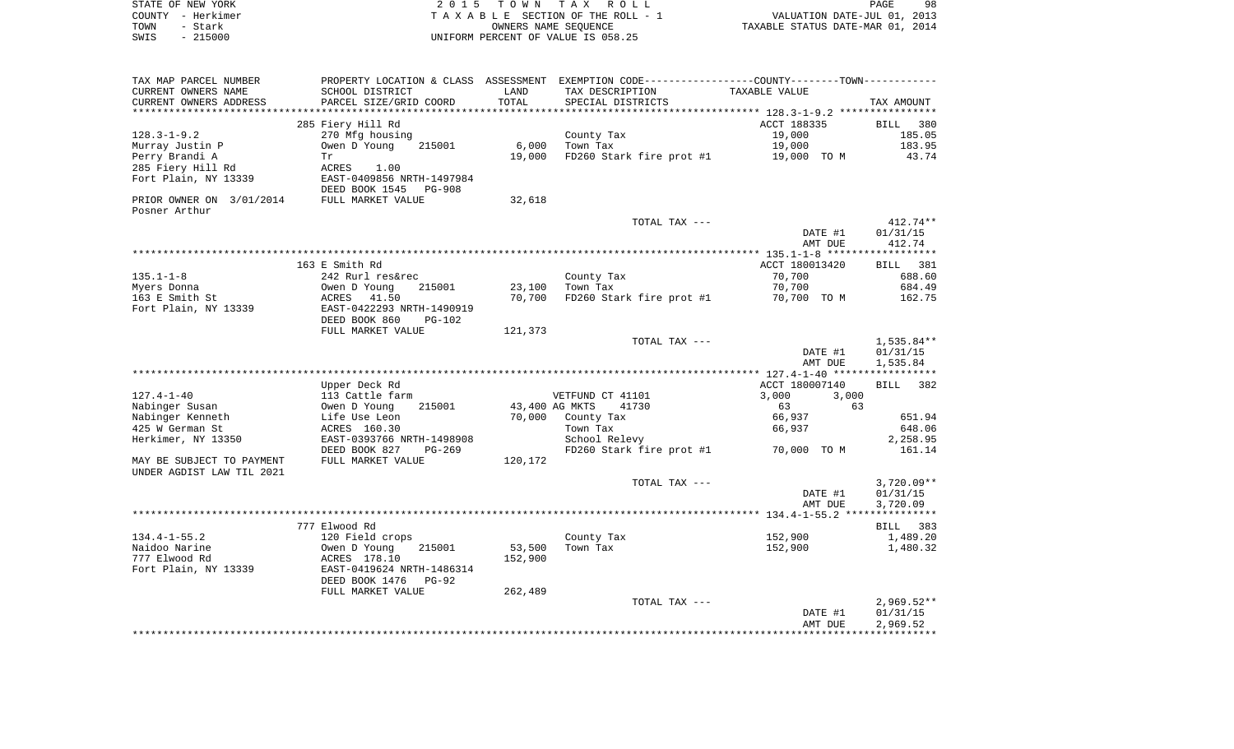|      | STATE OF NEW YORK | 2015 TOWN TAX ROLL                 | 98<br>PAGE                       |
|------|-------------------|------------------------------------|----------------------------------|
|      | COUNTY - Herkimer | TAXABLE SECTION OF THE ROLL - 1    | VALUATION DATE-JUL 01, 2013      |
| TOWN | - Stark           | OWNERS NAME SEOUENCE               | TAXABLE STATUS DATE-MAR 01, 2014 |
| SWIS | $-215000$         | UNIFORM PERCENT OF VALUE IS 058.25 |                                  |

|                                                   |                                 |         |                          | AMT DUE                                                               | 2,969.52              |
|---------------------------------------------------|---------------------------------|---------|--------------------------|-----------------------------------------------------------------------|-----------------------|
|                                                   |                                 |         |                          |                                                                       |                       |
|                                                   |                                 |         |                          | DATE #1                                                               | 01/31/15              |
|                                                   |                                 |         | TOTAL TAX ---            |                                                                       | $2,969.52**$          |
|                                                   | FULL MARKET VALUE               | 262,489 |                          |                                                                       |                       |
|                                                   | DEED BOOK 1476<br>$PG-92$       |         |                          |                                                                       |                       |
| Fort Plain, NY 13339                              | EAST-0419624 NRTH-1486314       |         |                          |                                                                       |                       |
| 777 Elwood Rd                                     | ACRES 178.10                    | 152,900 |                          |                                                                       |                       |
| Naidoo Narine                                     | Owen D Young<br>215001          | 53,500  | Town Tax                 | 152,900                                                               | 1,480.32              |
| $134.4 - 1 - 55.2$                                | 120 Field crops                 |         | County Tax               | 152,900                                                               | 1,489.20              |
|                                                   | 777 Elwood Rd                   |         |                          |                                                                       | 383<br><b>BILL</b>    |
|                                                   |                                 |         |                          |                                                                       | * * * * * * * * * * * |
|                                                   |                                 |         |                          | AMT DUE                                                               | 3,720.09              |
|                                                   |                                 |         |                          |                                                                       |                       |
|                                                   |                                 |         |                          | DATE #1                                                               | 01/31/15              |
|                                                   |                                 |         | TOTAL TAX ---            |                                                                       | $3,720.09**$          |
| UNDER AGDIST LAW TIL 2021                         |                                 |         |                          |                                                                       |                       |
| MAY BE SUBJECT TO PAYMENT                         | FULL MARKET VALUE               | 120,172 |                          |                                                                       |                       |
|                                                   | DEED BOOK 827<br>$PG-269$       |         | FD260 Stark fire prot #1 | 70,000 TO M                                                           | 161.14                |
| Herkimer, NY 13350                                | EAST-0393766 NRTH-1498908       |         | School Relevy            |                                                                       | 2,258.95              |
| 425 W German St                                   | ACRES 160.30                    |         | Town Tax                 | 66,937                                                                | 648.06                |
| Nabinger Kenneth                                  | Life Use Leon                   | 70,000  | County Tax               | 66,937                                                                | 651.94                |
| Nabinger Susan                                    | Owen D Young<br>215001          |         | 43,400 AG MKTS<br>41730  | 63<br>63                                                              |                       |
| $127.4 - 1 - 40$                                  | 113 Cattle farm                 |         | VETFUND CT 41101         | 3,000<br>3,000                                                        |                       |
|                                                   |                                 |         |                          |                                                                       |                       |
|                                                   | Upper Deck Rd                   |         |                          | ACCT 180007140                                                        | BILL<br>382           |
|                                                   |                                 |         |                          |                                                                       |                       |
|                                                   |                                 |         |                          | AMT DUE                                                               | 1,535.84              |
|                                                   |                                 |         |                          | DATE #1                                                               | 01/31/15              |
|                                                   |                                 |         | TOTAL TAX ---            |                                                                       | 1,535.84**            |
|                                                   | FULL MARKET VALUE               | 121,373 |                          |                                                                       |                       |
|                                                   | DEED BOOK 860<br><b>PG-102</b>  |         |                          |                                                                       |                       |
| Fort Plain, NY 13339                              | EAST-0422293 NRTH-1490919       |         |                          |                                                                       |                       |
| 163 E Smith St                                    | 41.50<br>ACRES                  | 70,700  | FD260 Stark fire prot #1 | 70,700 TO M                                                           | 162.75                |
| Myers Donna                                       | Owen D Young<br>215001          | 23,100  | Town Tax                 | 70,700                                                                | 684.49                |
| $135.1 - 1 - 8$                                   | 242 Rurl res&rec                |         | County Tax               | 70,700                                                                | 688.60                |
|                                                   |                                 |         |                          |                                                                       | BILL                  |
|                                                   | 163 E Smith Rd                  |         |                          | ACCT 180013420                                                        | 381                   |
|                                                   |                                 |         |                          |                                                                       |                       |
|                                                   |                                 |         |                          | AMT DUE                                                               | 412.74                |
|                                                   |                                 |         |                          | DATE #1                                                               | 01/31/15              |
|                                                   |                                 |         | TOTAL TAX ---            |                                                                       | $412.74**$            |
| Posner Arthur                                     |                                 |         |                          |                                                                       |                       |
| PRIOR OWNER ON 3/01/2014                          | FULL MARKET VALUE               | 32,618  |                          |                                                                       |                       |
|                                                   | DEED BOOK 1545<br><b>PG-908</b> |         |                          |                                                                       |                       |
| Fort Plain, NY 13339                              | EAST-0409856 NRTH-1497984       |         |                          |                                                                       |                       |
| 285 Fiery Hill Rd                                 | ACRES<br>1.00                   |         |                          |                                                                       |                       |
| Perry Brandi A                                    | Tr                              | 19,000  | FD260 Stark fire prot #1 | 19,000 TO M                                                           | 43.74                 |
| Murray Justin P                                   | Owen D Young<br>215001          | 6,000   | Town Tax                 | 19,000                                                                | 183.95                |
| $128.3 - 1 - 9.2$                                 | 270 Mfg housing                 |         | County Tax               | 19,000                                                                | 185.05                |
|                                                   | 285 Fiery Hill Rd               |         |                          | ACCT 188335                                                           | <b>BILL</b><br>380    |
|                                                   |                                 |         |                          |                                                                       |                       |
| CURRENT OWNERS ADDRESS<br>*********************** | PARCEL SIZE/GRID COORD          | TOTAL   | SPECIAL DISTRICTS        |                                                                       | TAX AMOUNT            |
|                                                   |                                 |         |                          |                                                                       |                       |
| CURRENT OWNERS NAME                               | SCHOOL DISTRICT                 | LAND    | TAX DESCRIPTION          | TAXABLE VALUE                                                         |                       |
| TAX MAP PARCEL NUMBER                             | PROPERTY LOCATION & CLASS       |         |                          | ASSESSMENT EXEMPTION CODE-----------------COUNTY-------TOWN---------- |                       |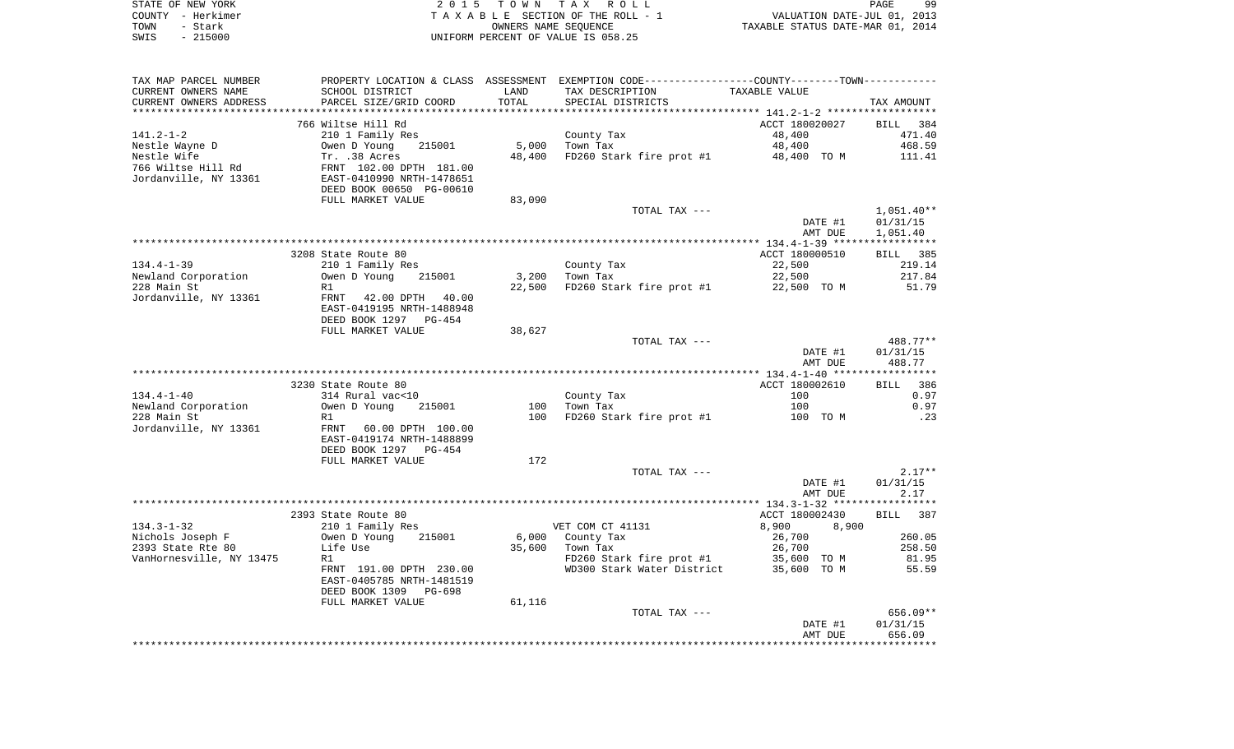| STATE OF NEW YORK | 2015 TOWN TAX ROLL                 | 99<br>PAGE                       |
|-------------------|------------------------------------|----------------------------------|
| COUNTY - Herkimer | TAXABLE SECTION OF THE ROLL - 1    | VALUATION DATE-JUL 01, 2013      |
| TOWN<br>– Stark   | OWNERS NAME SEOUENCE               | TAXABLE STATUS DATE-MAR 01, 2014 |
| $-215000$<br>SWIS | UNIFORM PERCENT OF VALUE IS 058.25 |                                  |

| TAX MAP PARCEL NUMBER                       |                                                                                              |        | PROPERTY LOCATION & CLASS ASSESSMENT EXEMPTION CODE---------------COUNTY-------TOWN---------- |                |                    |
|---------------------------------------------|----------------------------------------------------------------------------------------------|--------|-----------------------------------------------------------------------------------------------|----------------|--------------------|
| CURRENT OWNERS NAME                         | SCHOOL DISTRICT                                                                              | LAND   | TAX DESCRIPTION                                                                               | TAXABLE VALUE  |                    |
| CURRENT OWNERS ADDRESS                      | PARCEL SIZE/GRID COORD                                                                       | TOTAL  | SPECIAL DISTRICTS                                                                             |                | TAX AMOUNT         |
|                                             |                                                                                              |        |                                                                                               |                |                    |
|                                             | 766 Wiltse Hill Rd                                                                           |        |                                                                                               | ACCT 180020027 | BILL 384           |
| 141.2-1-2                                   | 210 1 Family Res                                                                             |        | County Tax                                                                                    | 48,400         | 471.40             |
| Nestle Wayne D                              |                                                                                              |        | 5,000 Town Tax                                                                                | 48,400         | 468.59             |
| Nestle Wife                                 | Owen D Young 215001<br>Tr. .38 Acres<br>FRNT 102.00 DPTH 181.00<br>EAST-0410990 NRTH-1478651 | 48,400 | FD260 Stark fire prot #1                                                                      | 48,400 TO M    | 111.41             |
| 766 Wiltse Hill Rd<br>Jordanville, NY 13361 |                                                                                              |        |                                                                                               |                |                    |
|                                             | DEED BOOK 00650 PG-00610                                                                     |        |                                                                                               |                |                    |
|                                             | FULL MARKET VALUE                                                                            |        |                                                                                               |                |                    |
|                                             |                                                                                              | 83,090 |                                                                                               |                |                    |
|                                             |                                                                                              |        | TOTAL TAX ---                                                                                 |                | $1,051.40**$       |
|                                             |                                                                                              |        |                                                                                               | DATE #1        | 01/31/15           |
|                                             |                                                                                              |        |                                                                                               | AMT DUE        | 1,051.40           |
|                                             |                                                                                              |        |                                                                                               |                |                    |
|                                             | 3208 State Route 80                                                                          |        |                                                                                               | ACCT 180000510 | BILL 385           |
| $134.4 - 1 - 39$                            | 210 1 Family Res                                                                             |        | County Tax                                                                                    | 22,500         | 219.14             |
| Newland Corporation                         | Owen D Young 215001                                                                          |        | 3,200 Town Tax<br>$22,500$ FD260 Stark fire prot #1 $22,500$ TO M                             | 22,500         | 217.84             |
| 228 Main St                                 | R1                                                                                           |        |                                                                                               |                | 51.79              |
| Jordanville, NY 13361                       | FRNT 42.00 DPTH 40.00                                                                        |        |                                                                                               |                |                    |
|                                             | EAST-0419195 NRTH-1488948                                                                    |        |                                                                                               |                |                    |
|                                             | DEED BOOK 1297 PG-454                                                                        |        |                                                                                               |                |                    |
|                                             | FULL MARKET VALUE                                                                            | 38,627 |                                                                                               |                |                    |
|                                             |                                                                                              |        | TOTAL TAX ---                                                                                 | DATE #1        | 488.77**           |
|                                             |                                                                                              |        |                                                                                               | AMT DUE        | 01/31/15<br>488.77 |
|                                             |                                                                                              |        |                                                                                               |                |                    |
|                                             | 3230 State Route 80                                                                          |        |                                                                                               | ACCT 180002610 | BILL 386           |
| 134.4-1-40                                  | 314 Rural vac<10                                                                             |        |                                                                                               | 100            | 0.97               |
| Newland Corporation                         | Owen D Young 215001                                                                          |        | County Tax<br>100 Town Tax                                                                    | 100            | 0.97               |
| 228 Main St                                 | R1                                                                                           | 100    | FD260 Stark fire prot #1 100 TO M                                                             |                | .23                |
| Jordanville, NY 13361                       | FRNT 60.00 DPTH 100.00                                                                       |        |                                                                                               |                |                    |
|                                             | EAST-0419174 NRTH-1488899                                                                    |        |                                                                                               |                |                    |
|                                             | DEED BOOK 1297 PG-454                                                                        |        |                                                                                               |                |                    |
|                                             | FULL MARKET VALUE                                                                            | 172    |                                                                                               |                |                    |
|                                             |                                                                                              |        | TOTAL TAX ---                                                                                 |                | $2.17**$           |
|                                             |                                                                                              |        |                                                                                               | DATE #1        | 01/31/15           |
|                                             |                                                                                              |        |                                                                                               | AMT DUE        | 2.17               |
|                                             |                                                                                              |        |                                                                                               |                |                    |
|                                             | 2393 State Route 80                                                                          |        |                                                                                               | ACCT 180002430 | BILL 387           |
| 134.3-1-32                                  | 210 1 Family Res                                                                             |        | VET COM CT 41131                                                                              | 8,900 8,900    |                    |
| Nichols Joseph F                            | Owen D Young<br>215001                                                                       |        | 6,000 County Tax                                                                              | 26,700         | 260.05             |
| 2393 State Rte 80                           | Life Use                                                                                     |        | 35,600 Town Tax                                                                               | 26,700         | 258.50             |
| VanHornesville, NY 13475                    | R1                                                                                           |        | FD260 Stark fire prot #1 35,600 TO M                                                          |                | 81.95              |
|                                             | FRNT 191.00 DPTH 230.00                                                                      |        | WD300 Stark Water District                                                                    | 35,600 TO M    | 55.59              |
|                                             | EAST-0405785 NRTH-1481519                                                                    |        |                                                                                               |                |                    |
|                                             | DEED BOOK 1309 PG-698                                                                        |        |                                                                                               |                |                    |
|                                             | FULL MARKET VALUE                                                                            | 61,116 |                                                                                               |                |                    |
|                                             |                                                                                              |        | TOTAL TAX ---                                                                                 |                | 656.09**           |
|                                             |                                                                                              |        |                                                                                               | DATE #1        | 01/31/15           |
|                                             |                                                                                              |        |                                                                                               | AMT DUE        | 656.09             |
|                                             |                                                                                              |        |                                                                                               |                |                    |
|                                             |                                                                                              |        |                                                                                               |                |                    |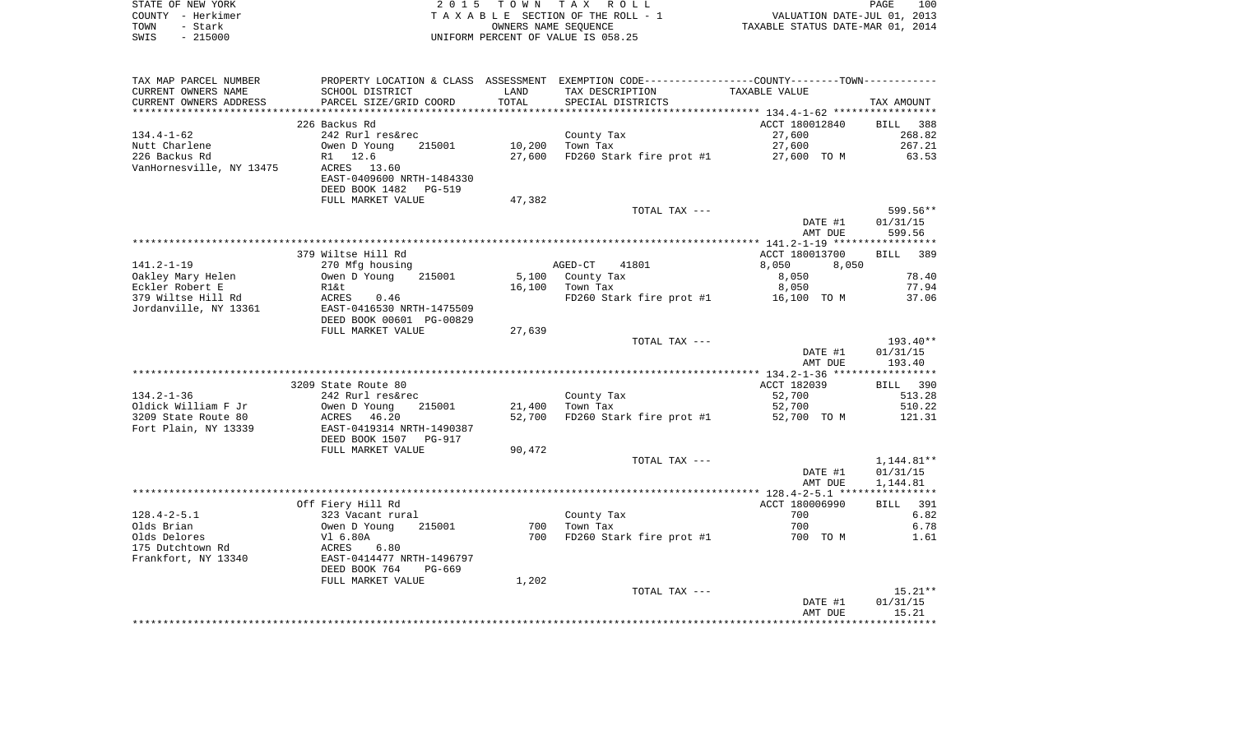|      | STATE OF NEW YORK | 2015 TOWN TAX ROLL                 | 100<br>PAGE                      |
|------|-------------------|------------------------------------|----------------------------------|
|      | COUNTY - Herkimer | TAXABLE SECTION OF THE ROLL - 1    | VALUATION DATE-JUL 01, 2013      |
| TOWN | - Stark           | OWNERS NAME SEOUENCE               | TAXABLE STATUS DATE-MAR 01, 2014 |
| SWIS | $-215000$         | UNIFORM PERCENT OF VALUE IS 058.25 |                                  |

| TAX MAP PARCEL NUMBER                         |                                                              |               | PROPERTY LOCATION & CLASS ASSESSMENT EXEMPTION CODE----------------COUNTY-------TOWN----------- |                |                    |
|-----------------------------------------------|--------------------------------------------------------------|---------------|-------------------------------------------------------------------------------------------------|----------------|--------------------|
| CURRENT OWNERS NAME<br>CURRENT OWNERS ADDRESS | SCHOOL DISTRICT<br>PARCEL SIZE/GRID COORD                    | LAND<br>TOTAL | TAX DESCRIPTION<br>SPECIAL DISTRICTS                                                            | TAXABLE VALUE  | TAX AMOUNT         |
| **********************                        | ***************************                                  |               |                                                                                                 |                |                    |
|                                               | 226 Backus Rd                                                |               |                                                                                                 | ACCT 180012840 | <b>BILL</b><br>388 |
| $134.4 - 1 - 62$                              | 242 Rurl res&rec                                             |               | County Tax                                                                                      | 27,600         | 268.82             |
| Nutt Charlene                                 | Owen D Young<br>215001                                       | 10,200        | Town Tax                                                                                        | 27,600         | 267.21             |
| 226 Backus Rd                                 | R1 12.6                                                      | 27,600        | FD260 Stark fire prot #1                                                                        | 27,600 TO M    | 63.53              |
| VanHornesville, NY 13475                      | ACRES 13.60                                                  |               |                                                                                                 |                |                    |
|                                               | EAST-0409600 NRTH-1484330                                    |               |                                                                                                 |                |                    |
|                                               | DEED BOOK 1482<br>PG-519                                     |               |                                                                                                 |                |                    |
|                                               | FULL MARKET VALUE                                            | 47,382        |                                                                                                 |                |                    |
|                                               |                                                              |               | TOTAL TAX ---                                                                                   |                | $599.56**$         |
|                                               |                                                              |               |                                                                                                 | DATE #1        | 01/31/15           |
|                                               |                                                              |               |                                                                                                 | AMT DUE        | 599.56             |
|                                               |                                                              |               |                                                                                                 |                |                    |
|                                               | 379 Wiltse Hill Rd                                           |               |                                                                                                 | ACCT 180013700 | BILL 389           |
| $141.2 - 1 - 19$                              | 270 Mfg housing                                              |               | AGED-CT<br>41801                                                                                | 8,050<br>8,050 |                    |
| Oakley Mary Helen                             | Owen D Young<br>215001                                       | 5,100         | County Tax                                                                                      | 8,050          | 78.40              |
| Eckler Robert E                               | R1&t                                                         | 16,100        | Town Tax                                                                                        | 8,050          | 77.94              |
| 379 Wiltse Hill Rd                            | ACRES<br>0.46                                                |               | FD260 Stark fire prot #1                                                                        | 16,100 TO M    | 37.06              |
| Jordanville, NY 13361                         | EAST-0416530 NRTH-1475509                                    |               |                                                                                                 |                |                    |
|                                               | DEED BOOK 00601 PG-00829                                     |               |                                                                                                 |                |                    |
|                                               | FULL MARKET VALUE                                            | 27,639        |                                                                                                 |                |                    |
|                                               |                                                              |               | TOTAL TAX ---                                                                                   |                | $193.40**$         |
|                                               |                                                              |               |                                                                                                 | DATE #1        | 01/31/15           |
|                                               |                                                              |               |                                                                                                 | AMT DUE        | 193.40             |
|                                               |                                                              |               |                                                                                                 |                |                    |
|                                               | 3209 State Route 80                                          |               |                                                                                                 | ACCT 182039    | 390<br>BILL        |
| $134.2 - 1 - 36$                              | 242 Rurl res&rec                                             |               | County Tax                                                                                      | 52,700         | 513.28             |
| Oldick William F Jr                           | Owen D Young<br>215001                                       | 21,400        | Town Tax                                                                                        | 52,700         | 510.22             |
| 3209 State Route 80                           | ACRES<br>46.20                                               | 52,700        | FD260 Stark fire prot #1                                                                        | 52,700 TO M    | 121.31             |
| Fort Plain, NY 13339                          | EAST-0419314 NRTH-1490387<br>DEED BOOK 1507<br><b>PG-917</b> |               |                                                                                                 |                |                    |
|                                               | FULL MARKET VALUE                                            | 90,472        |                                                                                                 |                |                    |
|                                               |                                                              |               | TOTAL TAX ---                                                                                   |                | 1,144.81**         |
|                                               |                                                              |               |                                                                                                 | DATE #1        | 01/31/15           |
|                                               |                                                              |               |                                                                                                 | AMT DUE        | 1,144.81           |
|                                               |                                                              |               |                                                                                                 |                |                    |
|                                               | Off Fiery Hill Rd                                            |               |                                                                                                 | ACCT 180006990 | <b>BILL</b> 391    |
| $128.4 - 2 - 5.1$                             | 323 Vacant rural                                             |               | County Tax                                                                                      | 700            | 6.82               |
| Olds Brian                                    | 215001<br>Owen D Young                                       | 700           | Town Tax                                                                                        | 700            | 6.78               |
| Olds Delores                                  | Vl 6.80A                                                     | 700           | FD260 Stark fire prot #1                                                                        | 700 TO M       | 1.61               |
| 175 Dutchtown Rd                              | 6.80<br>ACRES                                                |               |                                                                                                 |                |                    |
| Frankfort, NY 13340                           | EAST-0414477 NRTH-1496797                                    |               |                                                                                                 |                |                    |
|                                               | DEED BOOK 764<br>PG-669                                      |               |                                                                                                 |                |                    |
|                                               | FULL MARKET VALUE                                            | 1,202         |                                                                                                 |                |                    |
|                                               |                                                              |               | TOTAL TAX ---                                                                                   |                | $15.21**$          |
|                                               |                                                              |               |                                                                                                 | DATE #1        | 01/31/15           |
|                                               |                                                              |               |                                                                                                 | AMT DUE        | 15.21              |
|                                               |                                                              |               |                                                                                                 |                |                    |
|                                               |                                                              |               |                                                                                                 |                |                    |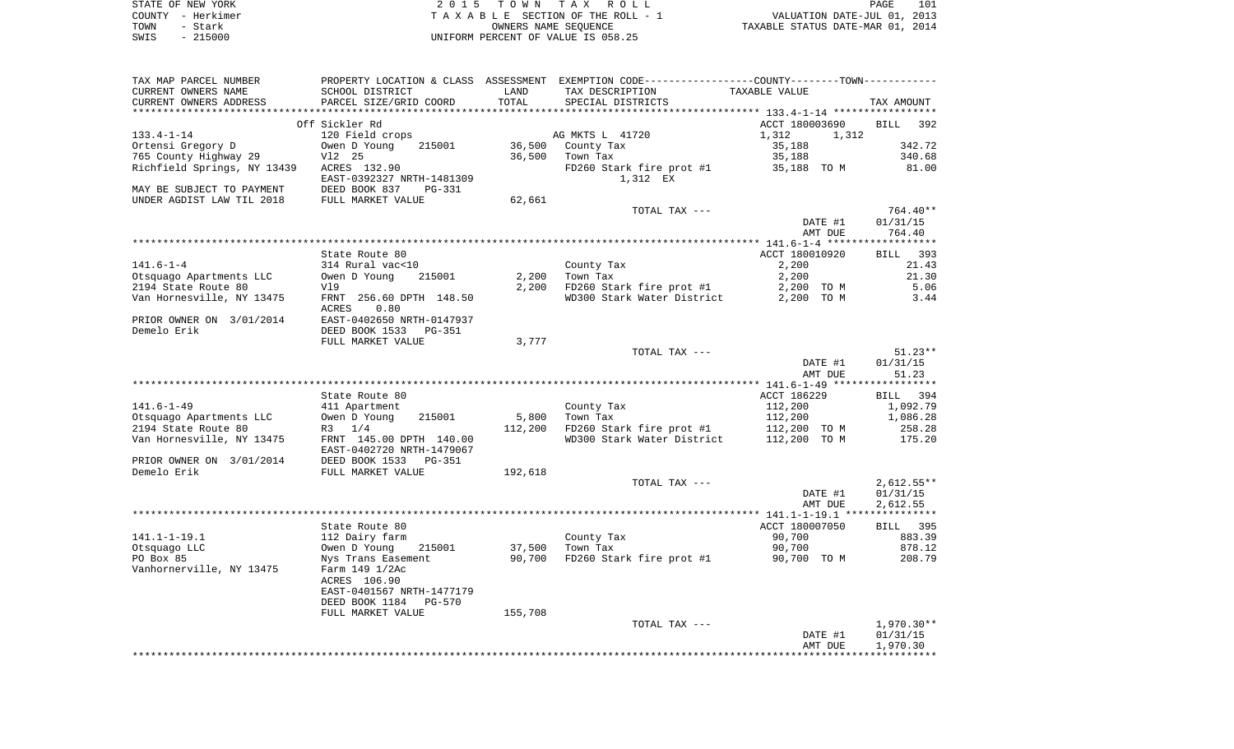| STATE OF NEW YORK | 2015 TOWN TAX ROLL                 | 101<br>PAGE                      |
|-------------------|------------------------------------|----------------------------------|
| COUNTY - Herkimer | TAXABLE SECTION OF THE ROLL - 1    | VALUATION DATE-JUL 01, 2013      |
| TOWN<br>– Stark   | OWNERS NAME SEOUENCE               | TAXABLE STATUS DATE-MAR 01, 2014 |
| $-215000$<br>SWIS | UNIFORM PERCENT OF VALUE IS 058.25 |                                  |

| TAX MAP PARCEL NUMBER       |                           |         | PROPERTY LOCATION & CLASS ASSESSMENT EXEMPTION CODE----------------COUNTY-------TOWN----------- |                                                    |                       |
|-----------------------------|---------------------------|---------|-------------------------------------------------------------------------------------------------|----------------------------------------------------|-----------------------|
| CURRENT OWNERS NAME         | SCHOOL DISTRICT           | LAND    | TAX DESCRIPTION                                                                                 | TAXABLE VALUE                                      |                       |
| CURRENT OWNERS ADDRESS      | PARCEL SIZE/GRID COORD    | TOTAL   | SPECIAL DISTRICTS                                                                               |                                                    | TAX AMOUNT            |
|                             |                           |         |                                                                                                 | ******************** 133.4-1-14 ****************** |                       |
|                             | Off Sickler Rd            |         |                                                                                                 | ACCT 180003690                                     | 392<br>BILL           |
| $133.4 - 1 - 14$            | 120 Field crops           |         | AG MKTS L 41720                                                                                 | 1,312                                              | 1,312                 |
| Ortensi Gregory D           | 215001<br>Owen D Young    | 36,500  | County Tax                                                                                      | 35,188                                             | 342.72                |
| 765 County Highway 29       | V12 25                    | 36,500  | Town Tax                                                                                        | 35,188                                             | 340.68                |
| Richfield Springs, NY 13439 | ACRES 132.90              |         | FD260 Stark fire prot #1                                                                        | 35,188 TO M                                        | 81.00                 |
|                             | EAST-0392327 NRTH-1481309 |         | 1,312 EX                                                                                        |                                                    |                       |
| MAY BE SUBJECT TO PAYMENT   | DEED BOOK 837<br>$PG-331$ |         |                                                                                                 |                                                    |                       |
| UNDER AGDIST LAW TIL 2018   | FULL MARKET VALUE         | 62,661  |                                                                                                 |                                                    |                       |
|                             |                           |         | TOTAL TAX ---                                                                                   |                                                    | 764.40**              |
|                             |                           |         |                                                                                                 | DATE #1                                            | 01/31/15              |
|                             |                           |         |                                                                                                 | AMT DUE                                            | 764.40                |
|                             |                           |         |                                                                                                 |                                                    | * * * * * * * * * * * |
|                             | State Route 80            |         |                                                                                                 | ACCT 180010920                                     | 393<br>BILL           |
|                             |                           |         |                                                                                                 |                                                    |                       |
| $141.6 - 1 - 4$             | 314 Rural vac<10          |         | County Tax                                                                                      | 2,200                                              | 21.43                 |
| Otsquago Apartments LLC     | Owen D Young<br>215001    | 2,200   | Town Tax                                                                                        | 2,200                                              | 21.30                 |
| 2194 State Route 80         | Vl9                       | 2,200   | FD260 Stark fire prot #1                                                                        | 2,200 TO M                                         | 5.06                  |
| Van Hornesville, NY 13475   | FRNT 256.60 DPTH 148.50   |         | WD300 Stark Water District                                                                      | 2,200 TO M                                         | 3.44                  |
|                             | 0.80<br>ACRES             |         |                                                                                                 |                                                    |                       |
| PRIOR OWNER ON 3/01/2014    | EAST-0402650 NRTH-0147937 |         |                                                                                                 |                                                    |                       |
| Demelo Erik                 | DEED BOOK 1533<br>PG-351  |         |                                                                                                 |                                                    |                       |
|                             | FULL MARKET VALUE         | 3,777   |                                                                                                 |                                                    |                       |
|                             |                           |         | TOTAL TAX ---                                                                                   |                                                    | $51.23**$             |
|                             |                           |         |                                                                                                 | DATE #1                                            | 01/31/15              |
|                             |                           |         |                                                                                                 | AMT DUE                                            | 51.23                 |
|                             |                           |         |                                                                                                 |                                                    |                       |
|                             | State Route 80            |         |                                                                                                 | ACCT 186229                                        | BILL 394              |
| $141.6 - 1 - 49$            | 411 Apartment             |         | County Tax                                                                                      | 112,200                                            | 1,092.79              |
| Otsquago Apartments LLC     | Owen D Young<br>215001    | 5,800   | Town Tax                                                                                        | 112,200                                            | 1,086.28              |
| 2194 State Route 80         | $R3 \t1/4$                | 112,200 | FD260 Stark fire prot #1                                                                        | 112,200 TO M                                       | 258.28                |
| Van Hornesville, NY 13475   | FRNT 145.00 DPTH 140.00   |         | WD300 Stark Water District                                                                      | 112,200 TO M                                       | 175.20                |
|                             | EAST-0402720 NRTH-1479067 |         |                                                                                                 |                                                    |                       |
| PRIOR OWNER ON 3/01/2014    | DEED BOOK 1533 PG-351     |         |                                                                                                 |                                                    |                       |
| Demelo Erik                 | FULL MARKET VALUE         | 192,618 |                                                                                                 |                                                    |                       |
|                             |                           |         | TOTAL TAX ---                                                                                   |                                                    | $2,612.55**$          |
|                             |                           |         |                                                                                                 | DATE #1                                            | 01/31/15              |
|                             |                           |         |                                                                                                 | AMT DUE                                            | 2,612.55              |
|                             |                           |         |                                                                                                 |                                                    |                       |
|                             | State Route 80            |         |                                                                                                 | ACCT 180007050                                     | <b>BILL</b> 395       |
| $141.1 - 1 - 19.1$          | 112 Dairy farm            |         | County Tax                                                                                      | 90,700                                             | 883.39                |
| Otsquago LLC                | Owen D Young<br>215001    | 37,500  | Town Tax                                                                                        | 90,700                                             | 878.12                |
| PO Box 85                   | Nys Trans Easement        | 90,700  | FD260 Stark fire prot #1                                                                        | 90,700 TO M                                        | 208.79                |
| Vanhornerville, NY 13475    |                           |         |                                                                                                 |                                                    |                       |
|                             | Farm 149 1/2Ac            |         |                                                                                                 |                                                    |                       |
|                             | ACRES 106.90              |         |                                                                                                 |                                                    |                       |
|                             | EAST-0401567 NRTH-1477179 |         |                                                                                                 |                                                    |                       |
|                             | DEED BOOK 1184<br>PG-570  |         |                                                                                                 |                                                    |                       |
|                             | FULL MARKET VALUE         | 155,708 |                                                                                                 |                                                    |                       |
|                             |                           |         | TOTAL TAX ---                                                                                   |                                                    | 1,970.30**            |
|                             |                           |         |                                                                                                 | DATE #1                                            | 01/31/15              |
|                             |                           |         |                                                                                                 | AMT DUE                                            | 1,970.30              |
|                             |                           |         |                                                                                                 |                                                    |                       |
|                             |                           |         |                                                                                                 |                                                    |                       |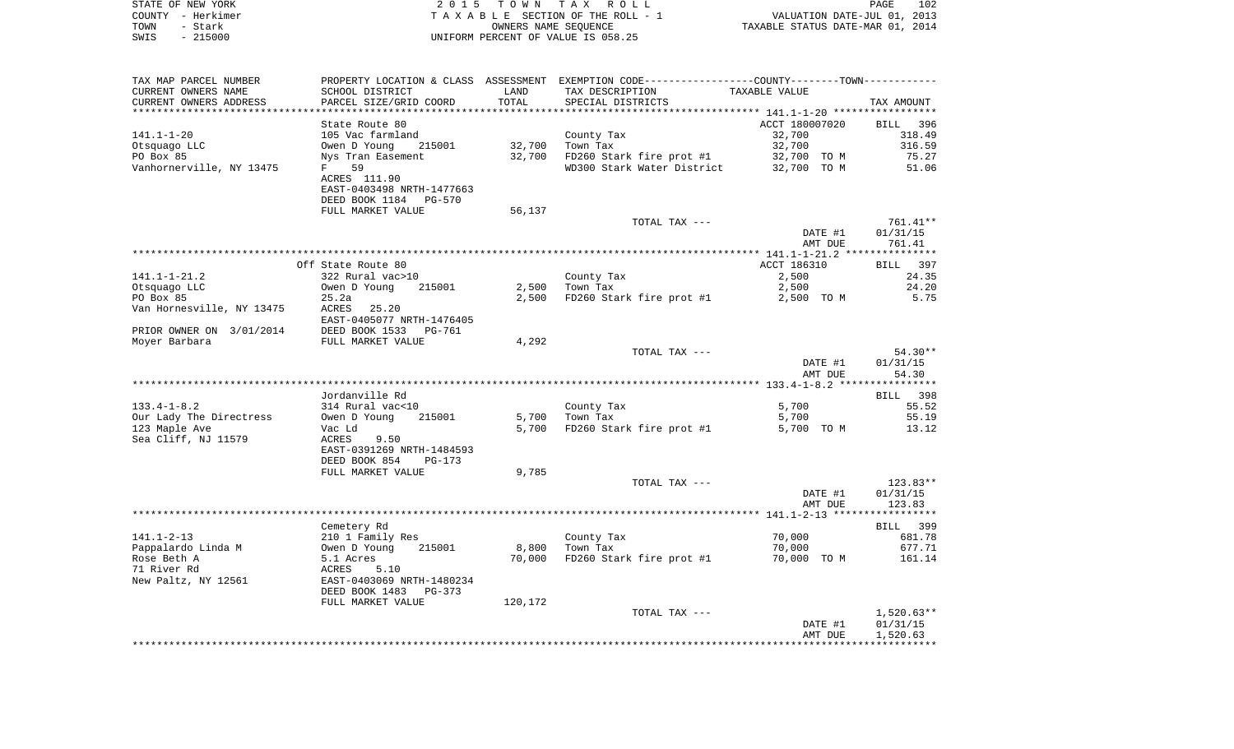| STATE OF NEW YORK<br>COUNTY - Herkimer | 2 0 1 5                                    |         | TOWN TAX ROLL<br>TAXABLE SECTION OF THE ROLL - 1                                            | VALUATION DATE-JUL 01, 2013      | 102<br>PAGE           |
|----------------------------------------|--------------------------------------------|---------|---------------------------------------------------------------------------------------------|----------------------------------|-----------------------|
| TOWN<br>- Stark<br>SWIS<br>$-215000$   |                                            |         | OWNERS NAME SEQUENCE<br>UNIFORM PERCENT OF VALUE IS 058.25                                  | TAXABLE STATUS DATE-MAR 01, 2014 |                       |
|                                        |                                            |         |                                                                                             |                                  |                       |
| TAX MAP PARCEL NUMBER                  |                                            |         | PROPERTY LOCATION & CLASS ASSESSMENT EXEMPTION CODE--------------COUNTY-------TOWN--------- |                                  |                       |
| CURRENT OWNERS NAME                    | SCHOOL DISTRICT                            | LAND    | TAX DESCRIPTION                                                                             | TAXABLE VALUE                    |                       |
| CURRENT OWNERS ADDRESS                 | PARCEL SIZE/GRID COORD                     | TOTAL   | SPECIAL DISTRICTS                                                                           |                                  | TAX AMOUNT            |
|                                        | State Route 80                             |         |                                                                                             | ACCT 180007020                   | BILL<br>- 396         |
| $141.1 - 1 - 20$                       | 105 Vac farmland                           |         | County Tax                                                                                  | 32,700                           | 318.49                |
| Otsquago LLC                           | Owen D Young<br>215001                     | 32,700  | Town Tax                                                                                    | 32,700                           | 316.59                |
| PO Box 85                              | Nys Tran Easement                          | 32,700  | FD260 Stark fire prot #1                                                                    | 32,700 TO M                      | 75.27                 |
| Vanhornerville, NY 13475               | 59<br>F                                    |         | WD300 Stark Water District                                                                  | 32,700 TO M                      | 51.06                 |
|                                        | ACRES 111.90                               |         |                                                                                             |                                  |                       |
|                                        | EAST-0403498 NRTH-1477663                  |         |                                                                                             |                                  |                       |
|                                        | DEED BOOK 1184<br>PG-570                   |         |                                                                                             |                                  |                       |
|                                        | FULL MARKET VALUE                          | 56,137  |                                                                                             |                                  |                       |
|                                        |                                            |         | TOTAL TAX ---                                                                               |                                  | 761.41**              |
|                                        |                                            |         |                                                                                             | DATE #1                          | 01/31/15              |
|                                        |                                            |         |                                                                                             | AMT DUE                          | 761.41                |
|                                        | Off State Route 80                         |         |                                                                                             | ACCT 186310                      | BILL 397              |
| 141.1-1-21.2                           | 322 Rural vac>10                           |         | County Tax                                                                                  | 2,500                            | 24.35                 |
| Otsquaqo LLC                           | Owen D Young<br>215001                     | 2,500   | Town Tax                                                                                    | 2,500                            | 24.20                 |
| PO Box 85                              | 25.2a                                      | 2,500   | FD260 Stark fire prot #1                                                                    | 2,500 TO M                       | 5.75                  |
| Van Hornesville, NY 13475              | ACRES<br>25.20                             |         |                                                                                             |                                  |                       |
|                                        | EAST-0405077 NRTH-1476405                  |         |                                                                                             |                                  |                       |
| PRIOR OWNER ON 3/01/2014               | DEED BOOK 1533<br>PG-761                   |         |                                                                                             |                                  |                       |
| Moyer Barbara                          | FULL MARKET VALUE                          | 4,292   |                                                                                             |                                  |                       |
|                                        |                                            |         | TOTAL TAX ---                                                                               |                                  | $54.30**$             |
|                                        |                                            |         |                                                                                             | DATE #1                          | 01/31/15              |
|                                        |                                            |         |                                                                                             | AMT DUE                          | 54.30                 |
|                                        | Jordanville Rd                             |         |                                                                                             |                                  | BILL 398              |
| $133.4 - 1 - 8.2$                      | 314 Rural vac<10                           |         | County Tax                                                                                  | 5,700                            | 55.52                 |
| Our Lady The Directress                | 215001<br>Owen D Young                     | 5,700   | Town Tax                                                                                    | 5,700                            | 55.19                 |
| 123 Maple Ave                          | Vac Ld                                     | 5,700   | FD260 Stark fire prot #1                                                                    | 5,700 TO M                       | 13.12                 |
| Sea Cliff, NJ 11579                    | ACRES<br>9.50                              |         |                                                                                             |                                  |                       |
|                                        | EAST-0391269 NRTH-1484593                  |         |                                                                                             |                                  |                       |
|                                        | DEED BOOK 854<br>PG-173                    |         |                                                                                             |                                  |                       |
|                                        | FULL MARKET VALUE                          | 9,785   |                                                                                             |                                  |                       |
|                                        |                                            |         | TOTAL TAX ---                                                                               |                                  | $123.83**$            |
|                                        |                                            |         |                                                                                             | DATE #1                          | 01/31/15              |
|                                        |                                            |         |                                                                                             | AMT DUE                          | 123.83                |
|                                        |                                            |         |                                                                                             |                                  |                       |
| 141.1-2-13                             | Cemetery Rd                                |         |                                                                                             | 70,000                           | 399<br>BILL<br>681.78 |
| Pappalardo Linda M                     | 210 1 Family Res<br>215001<br>Owen D Young | 8,800   | County Tax<br>Town Tax                                                                      | 70,000                           | 677.71                |
| Rose Beth A                            | 5.1 Acres                                  | 70,000  | FD260 Stark fire prot #1                                                                    | 70,000 TO M                      | 161.14                |
| 71 River Rd                            | ACRES<br>5.10                              |         |                                                                                             |                                  |                       |
| New Paltz, NY 12561                    | EAST-0403069 NRTH-1480234                  |         |                                                                                             |                                  |                       |
|                                        | DEED BOOK 1483<br>PG-373                   |         |                                                                                             |                                  |                       |
|                                        | FULL MARKET VALUE                          | 120,172 |                                                                                             |                                  |                       |
|                                        |                                            |         | TOTAL TAX ---                                                                               |                                  | $1,520.63**$          |
|                                        |                                            |         |                                                                                             | DATE #1                          | 01/31/15              |
|                                        |                                            |         |                                                                                             | AMT DUE                          | 1,520.63              |
|                                        |                                            |         |                                                                                             |                                  |                       |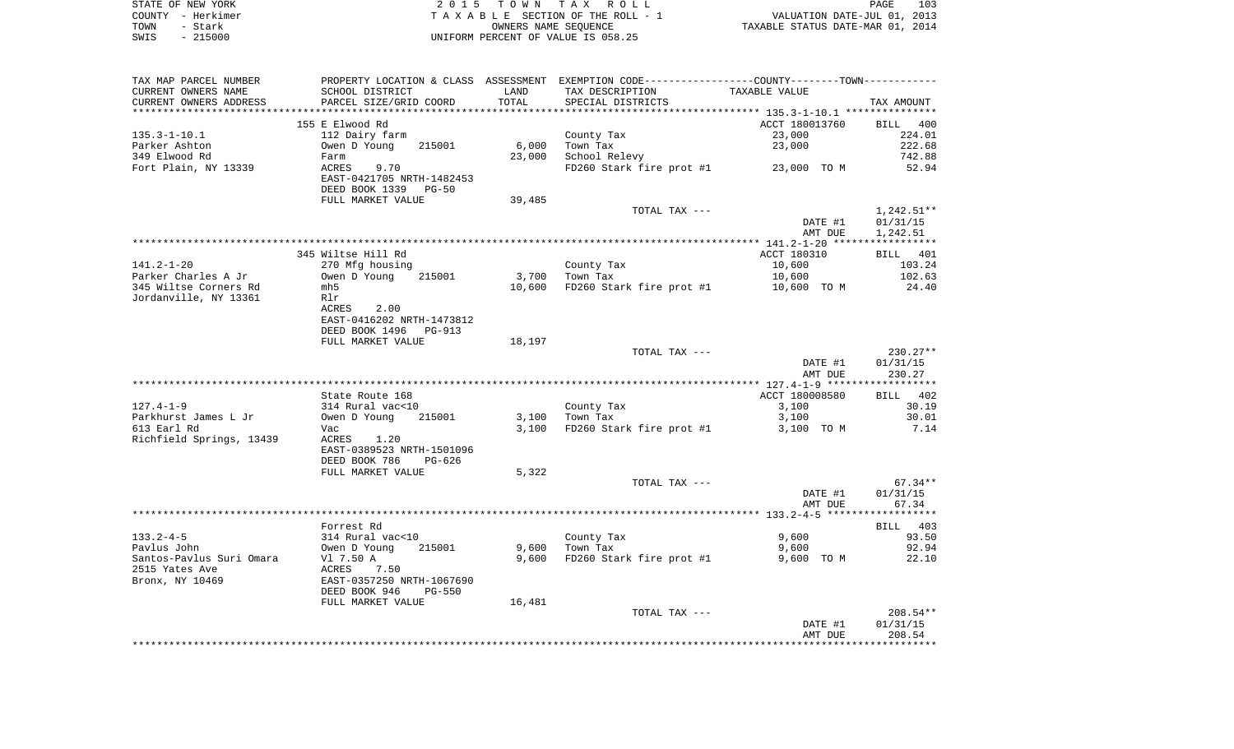|      | STATE OF NEW YORK | 2015 TOWN TAX ROLL                 | PAGE                             | 103 |
|------|-------------------|------------------------------------|----------------------------------|-----|
|      | COUNTY - Herkimer | TAXABLE SECTION OF THE ROLL - 1    | VALUATION DATE-JUL 01, 2013      |     |
| TOWN | - Stark           | OWNERS NAME SEOUENCE               | TAXABLE STATUS DATE-MAR 01, 2014 |     |
| SWIS | $-215000$         | UNIFORM PERCENT OF VALUE IS 058.25 |                                  |     |

| TAX MAP PARCEL NUMBER    | PROPERTY LOCATION & CLASS ASSESSMENT EXEMPTION CODE---------------COUNTY-------TOWN---------- |        |                                        |                |              |
|--------------------------|-----------------------------------------------------------------------------------------------|--------|----------------------------------------|----------------|--------------|
| CURRENT OWNERS NAME      | SCHOOL DISTRICT                                                                               | LAND   | TAX DESCRIPTION                        | TAXABLE VALUE  |              |
| CURRENT OWNERS ADDRESS   | PARCEL SIZE/GRID COORD                                                                        | TOTAL  | SPECIAL DISTRICTS                      |                | TAX AMOUNT   |
|                          |                                                                                               |        |                                        |                |              |
|                          | 155 E Elwood Rd                                                                               |        |                                        | ACCT 180013760 | BILL 400     |
| $135.3 - 1 - 10.1$       | 112 Dairy farm                                                                                |        | County Tax                             | 23,000         | 224.01       |
| Parker Ashton            | Owen D Young<br>215001                                                                        | 6,000  | Town Tax                               | 23,000         | 222.68       |
| 349 Elwood Rd            | Farm                                                                                          | 23,000 | School Relevy                          |                | 742.88       |
| Fort Plain, NY 13339     | ACRES<br>9.70                                                                                 |        | FD260 Stark fire prot $#1$ 23,000 TO M |                | 52.94        |
|                          | EAST-0421705 NRTH-1482453                                                                     |        |                                        |                |              |
|                          | DEED BOOK 1339 PG-50                                                                          |        |                                        |                |              |
|                          | FULL MARKET VALUE                                                                             | 39,485 |                                        |                |              |
|                          |                                                                                               |        | TOTAL TAX ---                          |                | $1,242.51**$ |
|                          |                                                                                               |        |                                        | DATE #1        | 01/31/15     |
|                          |                                                                                               |        |                                        | AMT DUE        | 1,242.51     |
|                          |                                                                                               |        |                                        |                |              |
|                          | 345 Wiltse Hill Rd                                                                            |        |                                        | ACCT 180310    | BILL 401     |
| 141.2-1-20               | 270 Mfg housing                                                                               |        | County Tax                             | 10,600         | 103.24       |
| Parker Charles A Jr      | Owen D Young<br>215001                                                                        | 3,700  | Town Tax                               | 10,600         | 102.63       |
| 345 Wiltse Corners Rd    | mh 5                                                                                          | 10,600 | FD260 Stark fire prot #1               | 10,600 TO M    | 24.40        |
| Jordanville, NY 13361    | Rlr                                                                                           |        |                                        |                |              |
|                          | ACRES<br>2.00<br>EAST-0416202 NRTH-1473812                                                    |        |                                        |                |              |
|                          | DEED BOOK 1496<br>PG-913                                                                      |        |                                        |                |              |
|                          | FULL MARKET VALUE                                                                             | 18,197 |                                        |                |              |
|                          |                                                                                               |        | TOTAL TAX ---                          |                | $230.27**$   |
|                          |                                                                                               |        |                                        | DATE #1        | 01/31/15     |
|                          |                                                                                               |        |                                        | AMT DUE        | 230.27       |
|                          |                                                                                               |        |                                        |                |              |
|                          | State Route 168                                                                               |        |                                        | ACCT 180008580 | BILL 402     |
| $127.4 - 1 - 9$          | 314 Rural vac<10                                                                              |        | County Tax                             | 3,100          | 30.19        |
| Parkhurst James L Jr     | Owen D Young<br>215001                                                                        | 3,100  | Town Tax                               | 3,100          | 30.01        |
| 613 Earl Rd              | Vac                                                                                           | 3,100  | FD260 Stark fire prot #1               | 3,100 TO M     | 7.14         |
| Richfield Springs, 13439 | ACRES<br>1.20                                                                                 |        |                                        |                |              |
|                          | EAST-0389523 NRTH-1501096                                                                     |        |                                        |                |              |
|                          | DEED BOOK 786<br>PG-626                                                                       |        |                                        |                |              |
|                          | FULL MARKET VALUE                                                                             | 5,322  |                                        |                |              |
|                          |                                                                                               |        | TOTAL TAX ---                          |                | 67.34**      |
|                          |                                                                                               |        |                                        | DATE #1        | 01/31/15     |
|                          |                                                                                               |        |                                        | AMT DUE        | 67.34        |
|                          |                                                                                               |        |                                        |                |              |
|                          | Forrest Rd                                                                                    |        |                                        |                | BILL 403     |
| $133.2 - 4 - 5$          | 314 Rural vac<10                                                                              |        | County Tax                             | 9,600          | 93.50        |
| Pavlus John              | 215001<br>Owen D Young                                                                        | 9,600  | Town Tax                               | 9,600          | 92.94        |
| Santos-Pavlus Suri Omara | Vl 7.50 A                                                                                     | 9,600  | FD260 Stark fire prot #1               | 9,600 TO M     | 22.10        |
| 2515 Yates Ave           | ACRES<br>7.50                                                                                 |        |                                        |                |              |
| Bronx, NY 10469          | EAST-0357250 NRTH-1067690                                                                     |        |                                        |                |              |
|                          | DEED BOOK 946<br>$PG-550$                                                                     |        |                                        |                |              |
|                          | FULL MARKET VALUE                                                                             | 16,481 |                                        |                |              |
|                          |                                                                                               |        | TOTAL TAX ---                          |                | $208.54**$   |
|                          |                                                                                               |        |                                        | DATE #1        | 01/31/15     |
|                          |                                                                                               |        |                                        | AMT DUE        | 208.54       |
|                          |                                                                                               |        |                                        |                |              |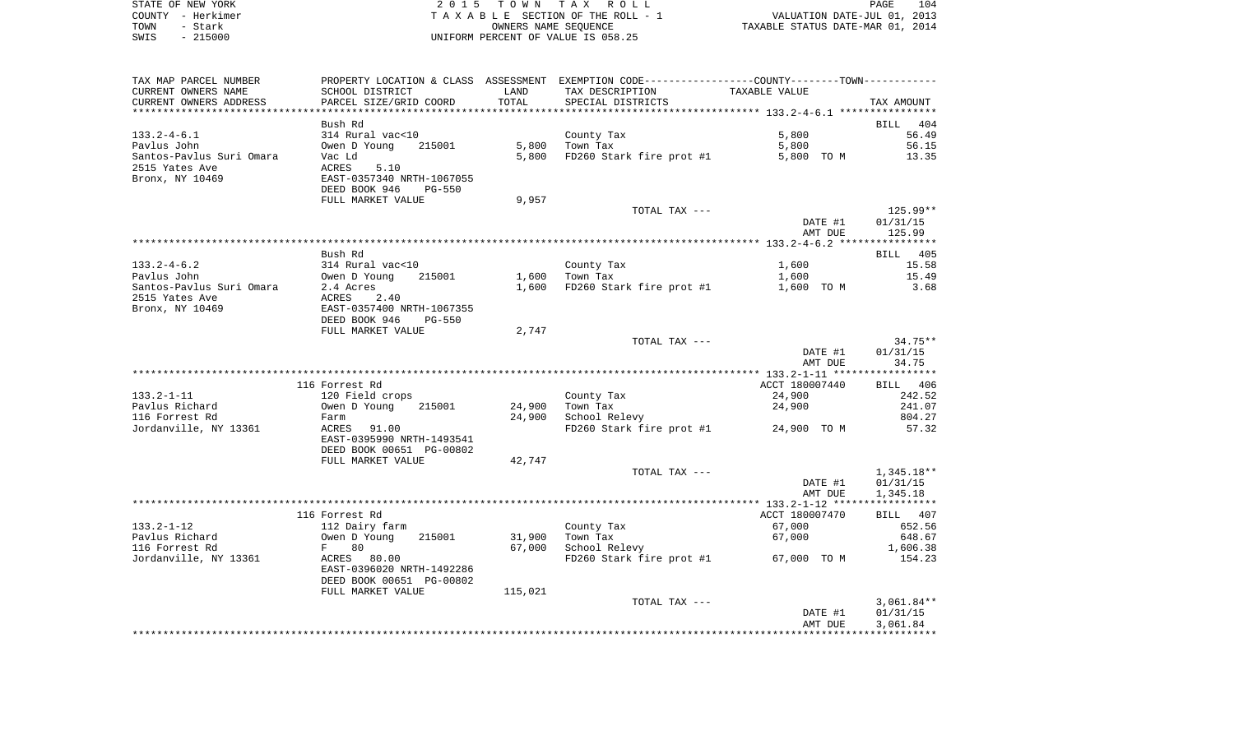|      | STATE OF NEW YORK | 2015 TOWN TAX ROLL                 | 104<br>PAGE                      |
|------|-------------------|------------------------------------|----------------------------------|
|      | COUNTY - Herkimer | TAXABLE SECTION OF THE ROLL - 1    | VALUATION DATE-JUL 01, 2013      |
| TOWN | - Stark           | OWNERS NAME SEOUENCE               | TAXABLE STATUS DATE-MAR 01, 2014 |
| SWIS | - 215000          | UNIFORM PERCENT OF VALUE IS 058.25 |                                  |

| TAX MAP PARCEL NUMBER    |                                |         | PROPERTY LOCATION & CLASS ASSESSMENT EXEMPTION CODE---------------COUNTY-------TOWN---------- |                                                    |              |
|--------------------------|--------------------------------|---------|-----------------------------------------------------------------------------------------------|----------------------------------------------------|--------------|
| CURRENT OWNERS NAME      | SCHOOL DISTRICT                | LAND    | TAX DESCRIPTION                                                                               | TAXABLE VALUE                                      |              |
| CURRENT OWNERS ADDRESS   | PARCEL SIZE/GRID COORD         | TOTAL   | SPECIAL DISTRICTS                                                                             |                                                    | TAX AMOUNT   |
|                          |                                |         | *******************************                                                               | ******************** 133.2-4-6.1 ***************** |              |
|                          | Bush Rd                        |         |                                                                                               |                                                    |              |
|                          |                                |         |                                                                                               |                                                    | BILL 404     |
| $133.2 - 4 - 6.1$        | 314 Rural vac<10               |         | County Tax                                                                                    | 5,800                                              | 56.49        |
| Pavlus John              | Owen D Young<br>215001         | 5,800   | Town Tax                                                                                      | 5,800                                              | 56.15        |
| Santos-Pavlus Suri Omara | Vac Ld                         | 5,800   | FD260 Stark fire prot #1                                                                      | 5,800 TO M                                         | 13.35        |
| 2515 Yates Ave           | ACRES<br>5.10                  |         |                                                                                               |                                                    |              |
| Bronx, NY 10469          | EAST-0357340 NRTH-1067055      |         |                                                                                               |                                                    |              |
|                          | DEED BOOK 946<br><b>PG-550</b> |         |                                                                                               |                                                    |              |
|                          | FULL MARKET VALUE              | 9,957   |                                                                                               |                                                    |              |
|                          |                                |         |                                                                                               |                                                    |              |
|                          |                                |         | TOTAL TAX ---                                                                                 |                                                    | 125.99**     |
|                          |                                |         |                                                                                               | DATE #1                                            | 01/31/15     |
|                          |                                |         |                                                                                               | AMT DUE                                            | 125.99       |
|                          |                                |         |                                                                                               |                                                    |              |
|                          | Bush Rd                        |         |                                                                                               |                                                    | BILL 405     |
| $133.2 - 4 - 6.2$        | 314 Rural vac<10               |         | County Tax                                                                                    | 1,600                                              | 15.58        |
| Pavlus John              | 215001<br>Owen D Young         | 1,600   | Town Tax                                                                                      | 1,600                                              | 15.49        |
|                          | 2.4 Acres                      |         |                                                                                               |                                                    |              |
| Santos-Pavlus Suri Omara |                                |         | 1,600 FD260 Stark fire prot #1                                                                | 1,600 TO M                                         | 3.68         |
| 2515 Yates Ave           | 2.40<br>ACRES                  |         |                                                                                               |                                                    |              |
| Bronx, NY 10469          | EAST-0357400 NRTH-1067355      |         |                                                                                               |                                                    |              |
|                          | DEED BOOK 946<br><b>PG-550</b> |         |                                                                                               |                                                    |              |
|                          | FULL MARKET VALUE              | 2,747   |                                                                                               |                                                    |              |
|                          |                                |         | TOTAL TAX ---                                                                                 |                                                    | 34.75**      |
|                          |                                |         |                                                                                               | DATE #1                                            | 01/31/15     |
|                          |                                |         |                                                                                               | AMT DUE                                            | 34.75        |
|                          |                                |         |                                                                                               |                                                    |              |
|                          |                                |         |                                                                                               |                                                    |              |
|                          | 116 Forrest Rd                 |         |                                                                                               | ACCT 180007440                                     | BILL 406     |
| $133.2 - 1 - 11$         | 120 Field crops                |         | County Tax                                                                                    | 24,900                                             | 242.52       |
| Pavlus Richard           | 215001<br>Owen D Young         | 24,900  | Town Tax                                                                                      | 24,900                                             | 241.07       |
| 116 Forrest Rd           | Farm                           | 24,900  | School Relevy                                                                                 |                                                    | 804.27       |
| Jordanville, NY 13361    | 91.00<br>ACRES                 |         | FD260 Stark fire prot #1 24,900 TO M                                                          |                                                    | 57.32        |
|                          | EAST-0395990 NRTH-1493541      |         |                                                                                               |                                                    |              |
|                          | DEED BOOK 00651 PG-00802       |         |                                                                                               |                                                    |              |
|                          |                                |         |                                                                                               |                                                    |              |
|                          | FULL MARKET VALUE              | 42,747  |                                                                                               |                                                    |              |
|                          |                                |         | TOTAL TAX ---                                                                                 |                                                    | $1,345.18**$ |
|                          |                                |         |                                                                                               | DATE #1                                            | 01/31/15     |
|                          |                                |         |                                                                                               | AMT DUE                                            | 1,345.18     |
|                          |                                |         |                                                                                               |                                                    |              |
|                          | 116 Forrest Rd                 |         |                                                                                               | ACCT 180007470                                     | BILL 407     |
| $133.2 - 1 - 12$         | 112 Dairy farm                 |         | County Tax                                                                                    | 67,000                                             | 652.56       |
| Pavlus Richard           | Owen D Young<br>215001         |         | Town Tax                                                                                      |                                                    | 648.67       |
|                          |                                | 31,900  |                                                                                               | 67,000                                             |              |
| 116 Forrest Rd           | 80<br>$F$ and $F$              | 67,000  | School Relevy                                                                                 |                                                    | 1,606.38     |
| Jordanville, NY 13361    | ACRES 80.00                    |         | FD260 Stark fire prot #1 67,000 TO M                                                          |                                                    | 154.23       |
|                          | EAST-0396020 NRTH-1492286      |         |                                                                                               |                                                    |              |
|                          | DEED BOOK 00651 PG-00802       |         |                                                                                               |                                                    |              |
|                          | FULL MARKET VALUE              | 115,021 |                                                                                               |                                                    |              |
|                          |                                |         | TOTAL TAX ---                                                                                 |                                                    | $3,061.84**$ |
|                          |                                |         |                                                                                               | DATE #1                                            | 01/31/15     |
|                          |                                |         |                                                                                               |                                                    |              |
|                          |                                |         |                                                                                               | AMT DUE                                            | 3,061.84     |
|                          |                                |         |                                                                                               |                                                    |              |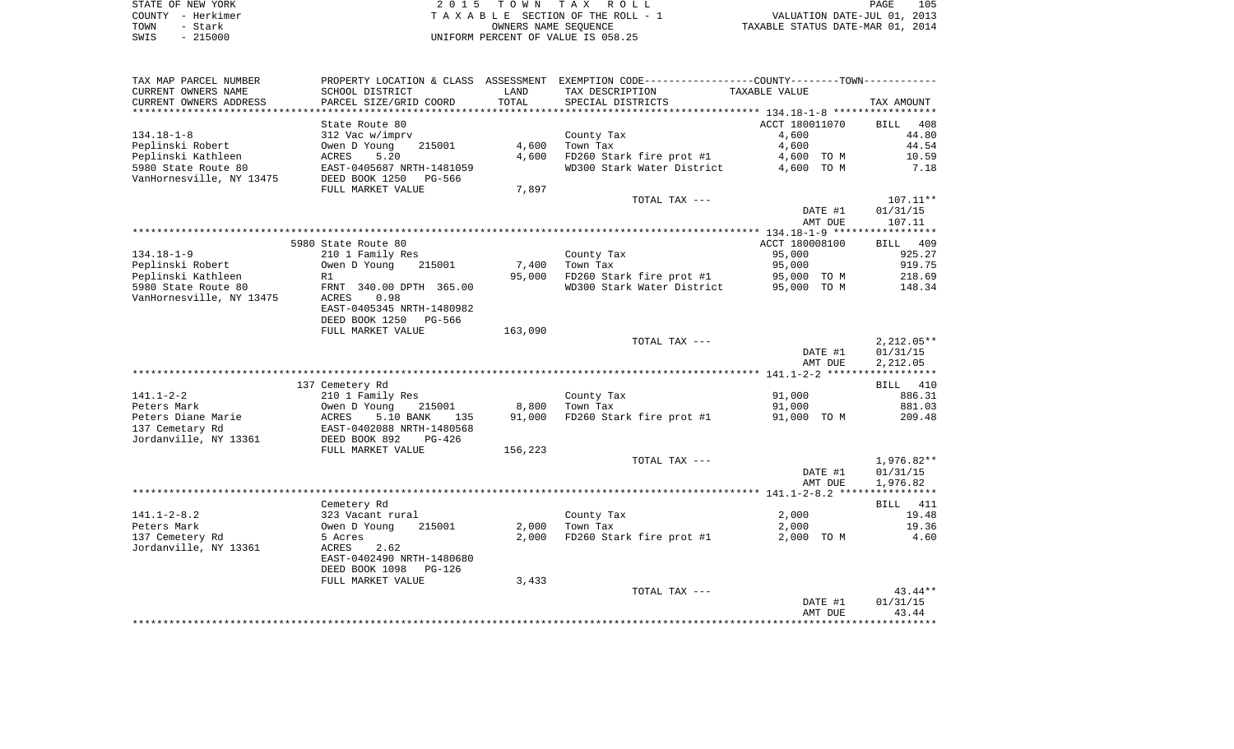|      | STATE OF NEW YORK | 2015 TOWN TAX ROLL                 | PAGE                             | 105 |
|------|-------------------|------------------------------------|----------------------------------|-----|
|      | COUNTY - Herkimer | TAXABLE SECTION OF THE ROLL - 1    | VALUATION DATE-JUL 01, 2013      |     |
| TOWN | - Stark           | OWNERS NAME SEOUENCE               | TAXABLE STATUS DATE-MAR 01, 2014 |     |
| SWIS | $-215000$         | UNIFORM PERCENT OF VALUE IS 058.25 |                                  |     |

| TAX MAP PARCEL NUMBER                 |                                                                                             |         | PROPERTY LOCATION & CLASS ASSESSMENT EXEMPTION CODE---------------COUNTY--------TOWN---------- |                         |                    |
|---------------------------------------|---------------------------------------------------------------------------------------------|---------|------------------------------------------------------------------------------------------------|-------------------------|--------------------|
| CURRENT OWNERS NAME                   | SCHOOL DISTRICT                                                                             | LAND    | TAX DESCRIPTION TAXABLE VALUE                                                                  |                         |                    |
| CURRENT OWNERS ADDRESS                | PARCEL SIZE/GRID COORD                                                                      | TOTAL   | SPECIAL DISTRICTS                                                                              |                         | TAX AMOUNT         |
|                                       |                                                                                             |         |                                                                                                |                         |                    |
|                                       | State Route 80                                                                              |         |                                                                                                | ACCT 180011070          | <b>BILL</b> 408    |
| $134.18 - 1 - 8$                      | 312 Vac w/imprv                                                                             |         | County Tax                                                                                     | 4,600                   | 44.80              |
| Peplinski Robert                      | Owen D Young $215001$                                                                       |         | $4,600$ Town Tax                                                                               | 4,600                   | 44.54              |
|                                       |                                                                                             | 4,600   | FD260 Stark fire prot #1 $4,600$ TO M<br>WD300 Stark Water District $4,600$ TO M               |                         | 10.59              |
|                                       |                                                                                             |         |                                                                                                |                         | 7.18               |
|                                       |                                                                                             | 7,897   |                                                                                                |                         |                    |
|                                       | FULL MARKET VALUE                                                                           |         |                                                                                                |                         |                    |
|                                       |                                                                                             |         | TOTAL TAX ---                                                                                  |                         | $107.11**$         |
|                                       |                                                                                             |         |                                                                                                | DATE #1<br>AMT DUE      | 01/31/15<br>107.11 |
|                                       |                                                                                             |         |                                                                                                |                         |                    |
|                                       | 5980 State Route 80                                                                         |         |                                                                                                | ACCT 180008100          | <b>BILL</b> 409    |
| $134.18 - 1 - 9$                      | 210 1 Family Res                                                                            |         | County Tax                                                                                     | 95,000                  | 925.27             |
| Peplinski Robert                      | Owen D Young 215001                                                                         |         | $7,400$ Town Tax                                                                               | 95,000                  | 919.75             |
|                                       |                                                                                             | 95,000  |                                                                                                |                         | 218.69             |
|                                       |                                                                                             |         | FD260 Stark fire prot #1 95,000 TO M<br>WD300 Stark Water District 95,000 TO M                 |                         | 148.34             |
| VanHornesville, NY 13475              | ACRES 0.98                                                                                  |         |                                                                                                |                         |                    |
|                                       | EAST-0405345 NRTH-1480982                                                                   |         |                                                                                                |                         |                    |
|                                       | DEED BOOK 1250 PG-566                                                                       |         |                                                                                                |                         |                    |
|                                       | FULL MARKET VALUE                                                                           | 163,090 |                                                                                                |                         |                    |
|                                       |                                                                                             |         | TOTAL TAX ---                                                                                  |                         | $2,212.05**$       |
|                                       |                                                                                             |         |                                                                                                | DATE #1                 | 01/31/15           |
|                                       |                                                                                             |         |                                                                                                | AMT DUE                 | 2,212.05           |
|                                       |                                                                                             |         |                                                                                                |                         |                    |
|                                       | 137 Cemetery Rd                                                                             |         |                                                                                                |                         | BILL 410           |
| $141.1 - 2 - 2$                       | 210 1 Family Res<br>Owen D Young 215001<br>ACRES 5.10 BANK 135<br>EAST-0402088 NRTH-1480568 |         | County Tax                                                                                     | 91,000                  | 886.31             |
|                                       |                                                                                             |         | 8,800 Town Tax                                                                                 | 91,000                  | 881.03             |
| Peters Diane Marie<br>137 Cemetary Rd |                                                                                             | 91,000  | FD260 Stark fire prot #1 91,000 TO M 209.48                                                    |                         |                    |
| 137 Cemetary Rd                       |                                                                                             |         |                                                                                                |                         |                    |
| Jordanville, NY 13361 DEED BOOK 892   | PG-426                                                                                      |         |                                                                                                |                         |                    |
|                                       | FULL MARKET VALUE                                                                           | 156,223 |                                                                                                |                         |                    |
|                                       |                                                                                             |         | TOTAL TAX ---                                                                                  |                         | 1,976.82**         |
|                                       |                                                                                             |         |                                                                                                | DATE #1                 | 01/31/15           |
|                                       |                                                                                             |         |                                                                                                | AMT DUE                 | 1,976.82           |
|                                       | Cemetery Rd                                                                                 |         |                                                                                                |                         | BILL 411           |
| $141.1 - 2 - 8.2$                     |                                                                                             |         | County Tax                                                                                     |                         | 19.48              |
| Peters Mark                           | 323 Vacant rural<br>Owen D Young     215001                                                 |         | $2,000$ Town Tax                                                                               | 2,000<br>2 000<br>2,000 | 19.36              |
| 137 Cemetery Rd                       | 5 Acres                                                                                     | 2,000   | FD260 Stark fire prot #1                                                                       |                         | 2,000 TO M 4.60    |
| Jordanville, NY 13361                 | 2.62<br>ACRES                                                                               |         |                                                                                                |                         |                    |
|                                       | EAST-0402490 NRTH-1480680                                                                   |         |                                                                                                |                         |                    |
|                                       | DEED BOOK 1098 PG-126                                                                       |         |                                                                                                |                         |                    |
|                                       | FULL MARKET VALUE                                                                           | 3,433   |                                                                                                |                         |                    |
|                                       |                                                                                             |         | TOTAL TAX ---                                                                                  |                         | 43.44**            |
|                                       |                                                                                             |         |                                                                                                | DATE #1                 | 01/31/15           |
|                                       |                                                                                             |         |                                                                                                | AMT DUE                 | 43.44              |
|                                       |                                                                                             |         |                                                                                                |                         |                    |
|                                       |                                                                                             |         |                                                                                                |                         |                    |

PAGE 105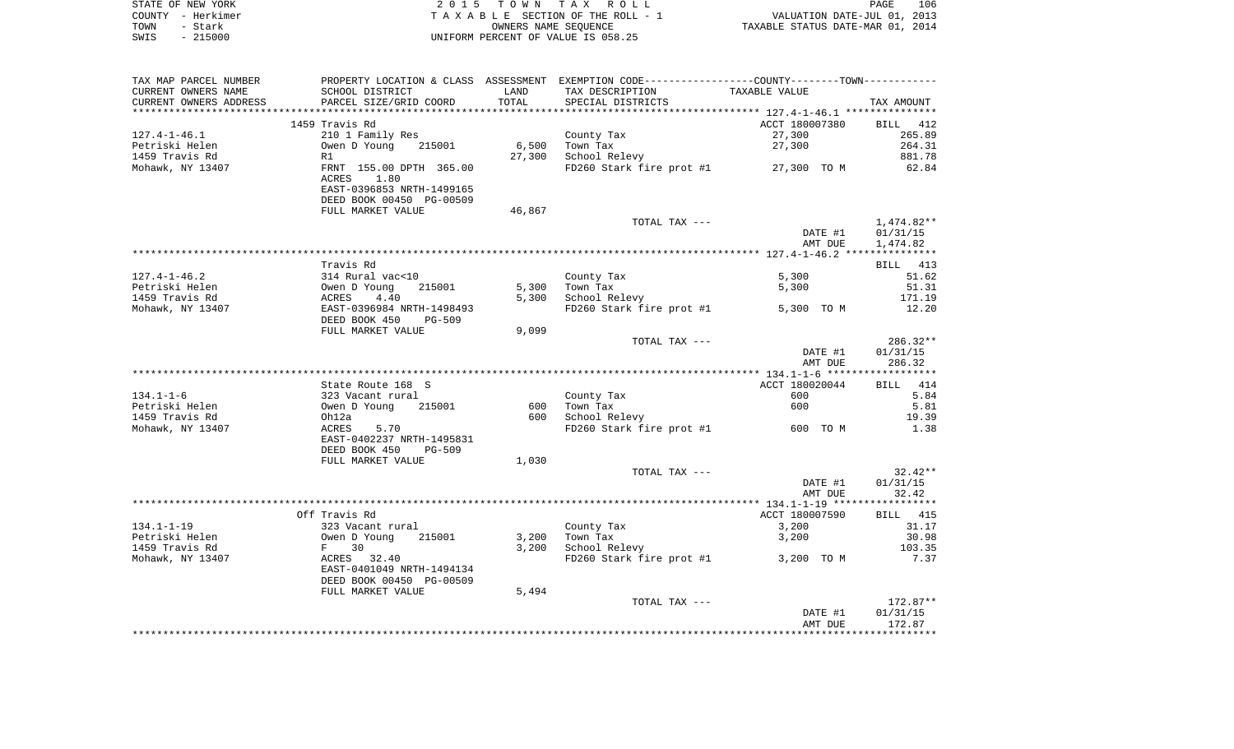|      | STATE OF NEW YORK | 2015 TOWN TAX ROLL                 | 106<br>PAGE                      |
|------|-------------------|------------------------------------|----------------------------------|
|      | COUNTY - Herkimer | TAXABLE SECTION OF THE ROLL - 1    | VALUATION DATE-JUL 01, 2013      |
| TOWN | - Stark           | OWNERS NAME SEOUENCE               | TAXABLE STATUS DATE-MAR 01, 2014 |
| SWIS | - 215000          | UNIFORM PERCENT OF VALUE IS 058.25 |                                  |

| TAX MAP PARCEL NUMBER  |                                                                                                            |                  | PROPERTY LOCATION & CLASS ASSESSMENT EXEMPTION CODE----------------COUNTY--------TOWN---------- |                |                 |
|------------------------|------------------------------------------------------------------------------------------------------------|------------------|-------------------------------------------------------------------------------------------------|----------------|-----------------|
| CURRENT OWNERS NAME    | SCHOOL DISTRICT                                                                                            | LAND             | TAX DESCRIPTION                                                                                 | TAXABLE VALUE  |                 |
| CURRENT OWNERS ADDRESS | PARCEL SIZE/GRID COORD                                                                                     | TOTAL            | SPECIAL DISTRICTS                                                                               |                | TAX AMOUNT      |
|                        |                                                                                                            |                  |                                                                                                 |                |                 |
|                        | 1459 Travis Rd                                                                                             |                  |                                                                                                 | ACCT 180007380 | BILL 412        |
| 127.4-1-46.1           | 210 1 Family Res                                                                                           |                  | County Tax                                                                                      | 27,300         | 265.89          |
| Petriski Helen         | Owen D Young 215001                                                                                        | $6,500$ Town Tax |                                                                                                 | 27,300         | 264.31          |
| 1459 Travis Rd         | R1                                                                                                         | 27,300           | School Relevy                                                                                   |                | 881.78          |
| Mohawk, NY 13407       | FRNT 155.00 DPTH 365.00                                                                                    |                  | FD260 Stark fire prot #1 27,300 TO M                                                            |                | 62.84           |
|                        | ACRES 1.80                                                                                                 |                  |                                                                                                 |                |                 |
|                        | EAST-0396853 NRTH-1499165                                                                                  |                  |                                                                                                 |                |                 |
|                        | DEED BOOK 00450 PG-00509                                                                                   |                  |                                                                                                 |                |                 |
|                        | FULL MARKET VALUE                                                                                          | 46,867           |                                                                                                 |                |                 |
|                        |                                                                                                            |                  | TOTAL TAX ---                                                                                   |                | 1,474.82**      |
|                        |                                                                                                            |                  |                                                                                                 | DATE #1        | 01/31/15        |
|                        |                                                                                                            |                  |                                                                                                 | AMT DUE        | 1,474.82        |
|                        |                                                                                                            |                  |                                                                                                 |                |                 |
|                        | Travis Rd                                                                                                  |                  |                                                                                                 |                | BILL 413        |
| 127.4-1-46.2           | 314 Rural vac<10<br>0wen D Young 215001<br>ACRES 4.40<br>EAST-0396984 NRTH-1498493<br>DEED BOOK 450 PG-509 |                  | County Tax                                                                                      | 5,300          | 51.62           |
| Petriski Helen         |                                                                                                            |                  | 5,300 Town Tax                                                                                  | 5,300          | 51.31           |
| 1459 Travis Rd         |                                                                                                            |                  | 5,300 School Relevy                                                                             |                | 171.19          |
| Mohawk, NY 13407       |                                                                                                            |                  | FD260 Stark fire prot #1 5,300 TO M                                                             |                | 12.20           |
|                        | DEED BOOK 450 PG-509                                                                                       |                  |                                                                                                 |                |                 |
|                        | FULL MARKET VALUE                                                                                          | 9,099            |                                                                                                 |                |                 |
|                        |                                                                                                            |                  | TOTAL TAX ---                                                                                   |                | $286.32**$      |
|                        |                                                                                                            |                  |                                                                                                 | DATE #1        | 01/31/15        |
|                        |                                                                                                            |                  |                                                                                                 | AMT DUE        | 286.32          |
|                        |                                                                                                            |                  |                                                                                                 |                |                 |
|                        | State Route 168 S                                                                                          |                  |                                                                                                 | ACCT 180020044 | BILL 414        |
| $134.1 - 1 - 6$        |                                                                                                            |                  | County Tax                                                                                      | 600            | 5.84            |
| Petriski Helen         | 323 Vacant rural<br>Owen D Young 215001<br>Oh12a<br>ACRES 5.70                                             |                  | 600 Town Tax                                                                                    | 600            | 5.81            |
| 1459 Travis Rd         |                                                                                                            |                  | 600 School Relevy                                                                               |                | 19.39           |
| Mohawk, NY 13407       |                                                                                                            |                  | FD260 Stark fire prot #1 600 TO M                                                               |                | 1.38            |
|                        | EAST-0402237 NRTH-1495831                                                                                  |                  |                                                                                                 |                |                 |
|                        | DEED BOOK 450 PG-509                                                                                       |                  |                                                                                                 |                |                 |
|                        | FULL MARKET VALUE                                                                                          | 1,030            |                                                                                                 |                |                 |
|                        |                                                                                                            |                  | TOTAL TAX ---                                                                                   |                | $32.42**$       |
|                        |                                                                                                            |                  |                                                                                                 | DATE #1        | 01/31/15        |
|                        |                                                                                                            |                  |                                                                                                 | AMT DUE        | 32.42           |
|                        |                                                                                                            |                  |                                                                                                 |                |                 |
|                        | Off Travis Rd                                                                                              |                  |                                                                                                 | ACCT 180007590 | <b>BILL</b> 415 |
| 134.1-1-19             |                                                                                                            |                  | County Tax                                                                                      | 3,200          | 31.17           |
| Petriski Helen         |                                                                                                            |                  | 3,200 Town Tax                                                                                  | 3,200          | 30.98           |
| 1459 Travis Rd         | 323 Vacant rural<br>Owen D Young 215001<br>F 30<br>ACRES 32.40                                             | 3,200            | School Relevy                                                                                   |                | 103.35          |
| Mohawk, NY 13407       |                                                                                                            |                  | $FD260$ Stark fire prot #1 3,200 TO M                                                           |                | 7.37            |
|                        | EAST-0401049 NRTH-1494134                                                                                  |                  |                                                                                                 |                |                 |
|                        | DEED BOOK 00450 PG-00509                                                                                   |                  |                                                                                                 |                |                 |
|                        | FULL MARKET VALUE                                                                                          | 5,494            |                                                                                                 |                |                 |
|                        |                                                                                                            |                  | TOTAL TAX ---                                                                                   |                | 172.87**        |
|                        |                                                                                                            |                  |                                                                                                 | DATE #1        | 01/31/15        |
|                        |                                                                                                            |                  |                                                                                                 | AMT DUE        | 172.87          |
|                        |                                                                                                            |                  |                                                                                                 |                |                 |
|                        |                                                                                                            |                  |                                                                                                 |                |                 |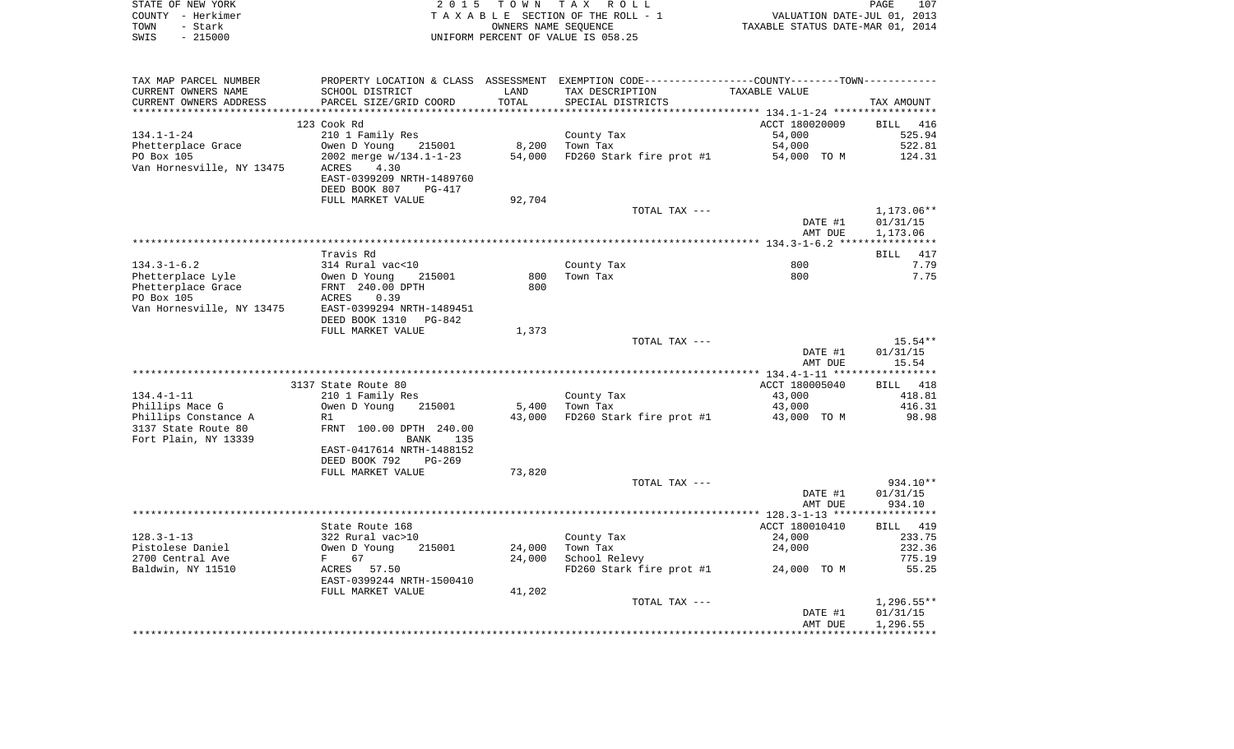|      | STATE OF NEW YORK | 2015 TOWN TAX ROLL                 | 107<br>PAGE                      |
|------|-------------------|------------------------------------|----------------------------------|
|      | COUNTY - Herkimer | TAXABLE SECTION OF THE ROLL - 1    | VALUATION DATE-JUL 01, 2013      |
| TOWN | - Stark           | OWNERS NAME SEOUENCE               | TAXABLE STATUS DATE-MAR 01, 2014 |
| SWIS | $-215000$         | UNIFORM PERCENT OF VALUE IS 058.25 |                                  |

| TAX MAP PARCEL NUMBER     | PROPERTY LOCATION & CLASS ASSESSMENT EXEMPTION CODE----------------COUNTY-------TOWN-------- |        |                          |                |              |
|---------------------------|----------------------------------------------------------------------------------------------|--------|--------------------------|----------------|--------------|
| CURRENT OWNERS NAME       | SCHOOL DISTRICT                                                                              | LAND   | TAX DESCRIPTION          | TAXABLE VALUE  |              |
| CURRENT OWNERS ADDRESS    | PARCEL SIZE/GRID COORD                                                                       | TOTAL  | SPECIAL DISTRICTS        |                | TAX AMOUNT   |
|                           |                                                                                              |        |                          |                |              |
|                           | 123 Cook Rd                                                                                  |        |                          | ACCT 180020009 | BILL 416     |
| $134.1 - 1 - 24$          | 210 1 Family Res                                                                             |        | County Tax               | 54,000         | 525.94       |
| Phetterplace Grace        | Owen D Young<br>215001                                                                       | 8,200  | Town Tax                 | 54,000         | 522.81       |
| PO Box 105                | 2002 merge w/134.1-1-23                                                                      | 54,000 | FD260 Stark fire prot #1 | 54,000 TO M    | 124.31       |
| Van Hornesville, NY 13475 | ACRES<br>4.30                                                                                |        |                          |                |              |
|                           | EAST-0399209 NRTH-1489760                                                                    |        |                          |                |              |
|                           | DEED BOOK 807<br>PG-417                                                                      |        |                          |                |              |
|                           |                                                                                              |        |                          |                |              |
|                           | FULL MARKET VALUE                                                                            | 92,704 |                          |                |              |
|                           |                                                                                              |        | TOTAL TAX ---            |                | 1,173.06**   |
|                           |                                                                                              |        |                          | DATE #1        | 01/31/15     |
|                           |                                                                                              |        |                          | AMT DUE        | 1,173.06     |
|                           |                                                                                              |        |                          |                |              |
|                           | Travis Rd                                                                                    |        |                          |                | BILL 417     |
| $134.3 - 1 - 6.2$         | 314 Rural vac<10                                                                             |        | County Tax               | 800            | 7.79         |
| Phetterplace Lyle         | Owen D Young<br>215001                                                                       | 800    | Town Tax                 | 800            | 7.75         |
| Phetterplace Grace        | FRNT 240.00 DPTH                                                                             | 800    |                          |                |              |
| PO Box 105                | 0.39<br>ACRES                                                                                |        |                          |                |              |
| Van Hornesville, NY 13475 | EAST-0399294 NRTH-1489451                                                                    |        |                          |                |              |
|                           | DEED BOOK 1310<br>PG-842                                                                     |        |                          |                |              |
|                           | FULL MARKET VALUE                                                                            | 1,373  |                          |                |              |
|                           |                                                                                              |        | TOTAL TAX ---            |                | $15.54**$    |
|                           |                                                                                              |        |                          | DATE #1        | 01/31/15     |
|                           |                                                                                              |        |                          | AMT DUE        | 15.54        |
|                           |                                                                                              |        |                          |                |              |
|                           | 3137 State Route 80                                                                          |        |                          | ACCT 180005040 | BILL 418     |
| $134.4 - 1 - 11$          | 210 1 Family Res                                                                             |        | County Tax               | 43,000         | 418.81       |
| Phillips Mace G           | Owen D Young<br>215001                                                                       | 5,400  | Town Tax                 | 43,000         | 416.31       |
| Phillips Constance A      | R1                                                                                           | 43,000 | FD260 Stark fire prot #1 | 43,000 TO M    | 98.98        |
| 3137 State Route 80       | FRNT 100.00 DPTH 240.00                                                                      |        |                          |                |              |
| Fort Plain, NY 13339      | BANK<br>135                                                                                  |        |                          |                |              |
|                           | EAST-0417614 NRTH-1488152                                                                    |        |                          |                |              |
|                           | DEED BOOK 792<br>$PG-269$                                                                    |        |                          |                |              |
|                           | FULL MARKET VALUE                                                                            | 73,820 |                          |                |              |
|                           |                                                                                              |        |                          |                | 934.10**     |
|                           |                                                                                              |        | TOTAL TAX ---            |                |              |
|                           |                                                                                              |        |                          | DATE #1        | 01/31/15     |
|                           |                                                                                              |        |                          | AMT DUE        | 934.10       |
|                           |                                                                                              |        |                          |                |              |
|                           | State Route 168                                                                              |        |                          | ACCT 180010410 | BILL 419     |
| $128.3 - 1 - 13$          | 322 Rural vac>10                                                                             |        | County Tax               | 24,000         | 233.75       |
| Pistolese Daniel          | Owen D Young<br>215001                                                                       | 24,000 | Town Tax                 | 24,000         | 232.36       |
| 2700 Central Ave          | 67<br>$F$ and $F$                                                                            | 24,000 | School Relevy            |                | 775.19       |
| Baldwin, NY 11510         | ACRES 57.50                                                                                  |        | FD260 Stark fire prot #1 | 24,000 TO M    | 55.25        |
|                           | EAST-0399244 NRTH-1500410                                                                    |        |                          |                |              |
|                           | FULL MARKET VALUE                                                                            | 41,202 |                          |                |              |
|                           |                                                                                              |        | TOTAL TAX ---            |                | $1,296.55**$ |
|                           |                                                                                              |        |                          | DATE #1        | 01/31/15     |
|                           |                                                                                              |        |                          | AMT DUE        | 1,296.55     |
|                           |                                                                                              |        |                          |                |              |
|                           |                                                                                              |        |                          |                |              |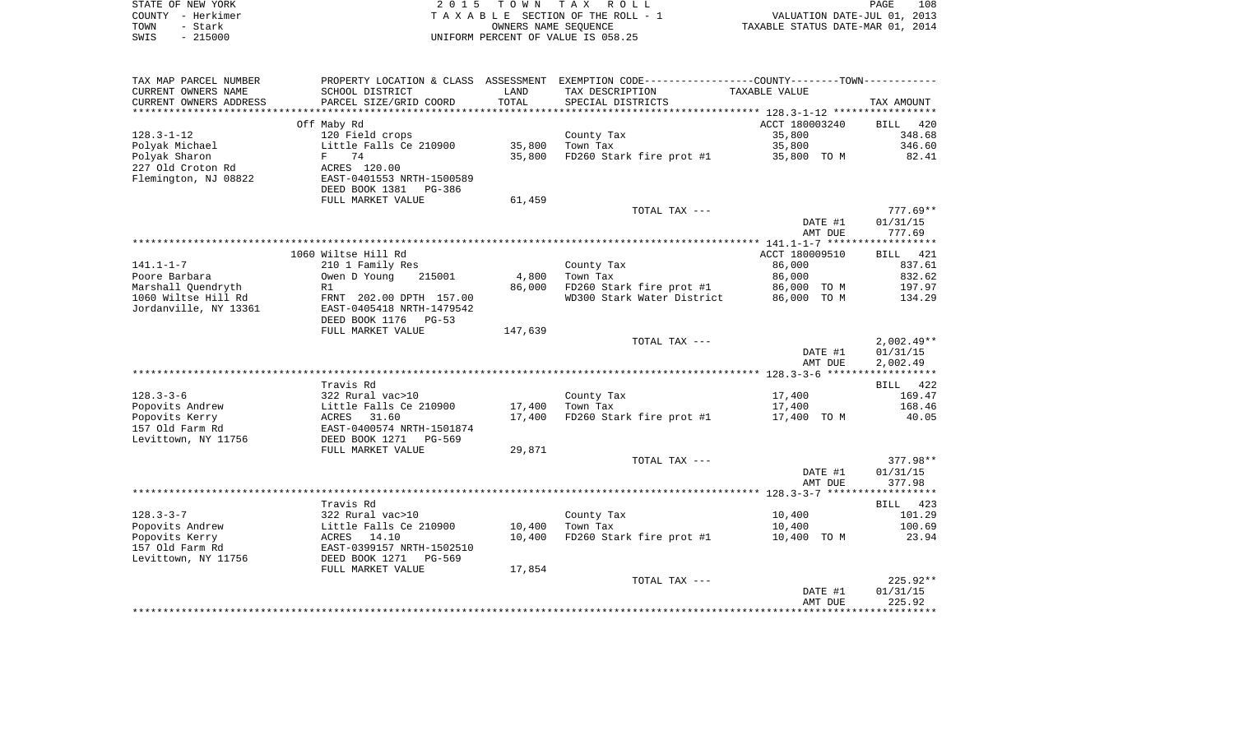| STATE OF NEW YORK | 2015 TOWN TAX ROLL                 | 108<br>PAGE                      |
|-------------------|------------------------------------|----------------------------------|
| COUNTY - Herkimer | TAXABLE SECTION OF THE ROLL - 1    | VALUATION DATE-JUL 01, 2013      |
| TOWN<br>- Stark   | OWNERS NAME SEOUENCE               | TAXABLE STATUS DATE-MAR 01, 2014 |
| SWIS - 215000     | UNIFORM PERCENT OF VALUE IS 058.25 |                                  |

| TAX MAP PARCEL NUMBER  |                                                      |         | PROPERTY LOCATION & CLASS ASSESSMENT EXEMPTION CODE----------------COUNTY-------TOWN---------- |                |                    |
|------------------------|------------------------------------------------------|---------|------------------------------------------------------------------------------------------------|----------------|--------------------|
| CURRENT OWNERS NAME    | SCHOOL DISTRICT                                      | LAND    | TAX DESCRIPTION                                                                                | TAXABLE VALUE  |                    |
| CURRENT OWNERS ADDRESS | PARCEL SIZE/GRID COORD                               | TOTAL   | SPECIAL DISTRICTS                                                                              |                | TAX AMOUNT         |
|                        |                                                      |         |                                                                                                |                |                    |
|                        | Off Maby Rd                                          |         |                                                                                                | ACCT 180003240 | <b>BILL</b><br>420 |
| $128.3 - 1 - 12$       | 120 Field crops                                      |         | County Tax                                                                                     | 35,800         | 348.68             |
| Polyak Michael         | Little Falls Ce 210900                               | 35,800  | Town Tax                                                                                       | 35,800         | 346.60             |
| Polyak Sharon          | F<br>74                                              | 35,800  | FD260 Stark fire prot #1                                                                       | 35,800 TO M    | 82.41              |
| 227 Old Croton Rd      | ACRES 120.00                                         |         |                                                                                                |                |                    |
| Flemington, NJ 08822   | EAST-0401553 NRTH-1500589                            |         |                                                                                                |                |                    |
|                        | DEED BOOK 1381<br>PG-386                             |         |                                                                                                |                |                    |
|                        | FULL MARKET VALUE                                    | 61,459  |                                                                                                |                |                    |
|                        |                                                      |         | TOTAL TAX ---                                                                                  |                | $777.69**$         |
|                        |                                                      |         |                                                                                                | DATE #1        | 01/31/15           |
|                        |                                                      |         |                                                                                                | AMT DUE        | 777.69             |
|                        |                                                      |         |                                                                                                |                |                    |
|                        | 1060 Wiltse Hill Rd                                  |         |                                                                                                | ACCT 180009510 | BILL 421           |
| $141.1 - 1 - 7$        | 210 1 Family Res                                     |         | County Tax                                                                                     | 86,000         | 837.61             |
| Poore Barbara          | Owen D Young<br>215001                               | 4,800   | Town Tax                                                                                       | 86,000         | 832.62             |
| Marshall Quendryth     | R1                                                   | 86,000  | FD260 Stark fire prot #1                                                                       | 86,000 TO M    | 197.97             |
| 1060 Wiltse Hill Rd    | FRNT 202.00 DPTH 157.00                              |         | WD300 Stark Water District                                                                     | 86,000 TO M    | 134.29             |
| Jordanville, NY 13361  | EAST-0405418 NRTH-1479542<br>DEED BOOK 1176<br>PG-53 |         |                                                                                                |                |                    |
|                        | FULL MARKET VALUE                                    | 147,639 |                                                                                                |                |                    |
|                        |                                                      |         | TOTAL TAX ---                                                                                  |                | $2,002.49**$       |
|                        |                                                      |         |                                                                                                | DATE #1        | 01/31/15           |
|                        |                                                      |         |                                                                                                | AMT DUE        | 2,002.49           |
|                        |                                                      |         |                                                                                                |                |                    |
|                        | Travis Rd                                            |         |                                                                                                |                | BILL 422           |
| $128.3 - 3 - 6$        | 322 Rural vac>10                                     |         | County Tax                                                                                     | 17,400         | 169.47             |
| Popovits Andrew        | Little Falls Ce 210900                               | 17,400  | Town Tax                                                                                       | 17,400         | 168.46             |
| Popovits Kerry         | ACRES<br>31.60                                       | 17,400  | FD260 Stark fire prot #1                                                                       | 17,400 TO M    | 40.05              |
| 157 Old Farm Rd        | EAST-0400574 NRTH-1501874                            |         |                                                                                                |                |                    |
| Levittown, NY 11756    | DEED BOOK 1271<br>PG-569                             |         |                                                                                                |                |                    |
|                        | FULL MARKET VALUE                                    | 29,871  |                                                                                                |                |                    |
|                        |                                                      |         | TOTAL TAX ---                                                                                  |                | 377.98**           |
|                        |                                                      |         |                                                                                                | DATE #1        | 01/31/15           |
|                        |                                                      |         |                                                                                                | AMT DUE        | 377.98             |
|                        |                                                      |         |                                                                                                |                |                    |
|                        | Travis Rd                                            |         |                                                                                                |                | BILL 423           |
| $128.3 - 3 - 7$        | 322 Rural vac>10                                     |         | County Tax                                                                                     | 10,400         | 101.29             |
| Popovits Andrew        | Little Falls Ce 210900                               | 10,400  | Town Tax                                                                                       | 10,400         | 100.69             |
| Popovits Kerry         | ACRES 14.10                                          | 10,400  | FD260 Stark fire prot #1                                                                       | 10,400 TO M    | 23.94              |
| 157 Old Farm Rd        | EAST-0399157 NRTH-1502510                            |         |                                                                                                |                |                    |
| Levittown, NY 11756    | DEED BOOK 1271<br>PG-569                             |         |                                                                                                |                |                    |
|                        | FULL MARKET VALUE                                    | 17,854  |                                                                                                |                |                    |
|                        |                                                      |         | TOTAL TAX ---                                                                                  |                | $225.92**$         |
|                        |                                                      |         |                                                                                                | DATE #1        | 01/31/15           |
|                        |                                                      |         |                                                                                                | AMT DUE        | 225.92             |
|                        |                                                      |         |                                                                                                |                |                    |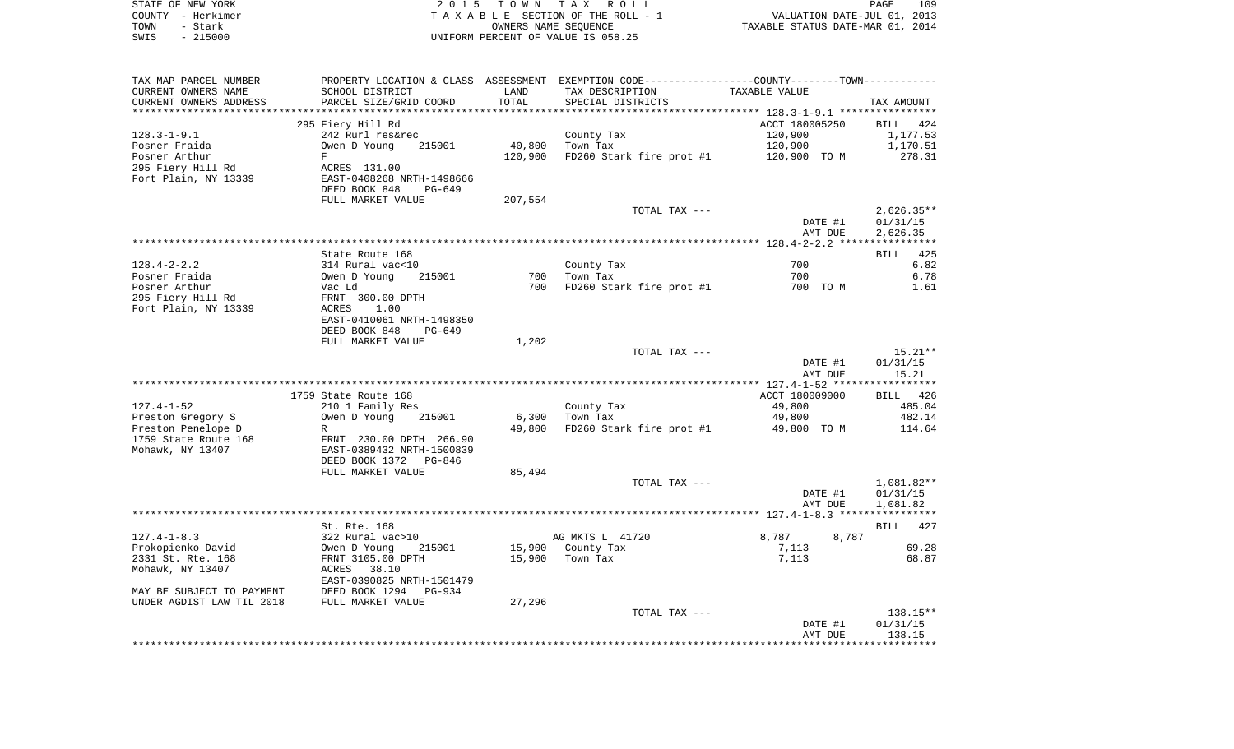| STATE OF NEW YORK      |                           |         | 2015 TOWN TAX ROLL                                                                            |                                  | PAGE<br>109              |
|------------------------|---------------------------|---------|-----------------------------------------------------------------------------------------------|----------------------------------|--------------------------|
| COUNTY - Herkimer      |                           |         | TAXABLE SECTION OF THE ROLL - 1                                                               | VALUATION DATE-JUL 01, 2013      |                          |
| - Stark<br>TOWN        |                           |         | OWNERS NAME SEQUENCE                                                                          | TAXABLE STATUS DATE-MAR 01, 2014 |                          |
| $-215000$<br>SWIS      |                           |         | UNIFORM PERCENT OF VALUE IS 058.25                                                            |                                  |                          |
|                        |                           |         |                                                                                               |                                  |                          |
| TAX MAP PARCEL NUMBER  |                           |         | PROPERTY LOCATION & CLASS ASSESSMENT EXEMPTION CODE---------------COUNTY-------TOWN---------- |                                  |                          |
| CURRENT OWNERS NAME    | SCHOOL DISTRICT           | LAND    | TAX DESCRIPTION                                                                               | TAXABLE VALUE                    |                          |
| CURRENT OWNERS ADDRESS | PARCEL SIZE/GRID COORD    | TOTAL   | SPECIAL DISTRICTS                                                                             |                                  | TAX AMOUNT               |
|                        | 295 Fiery Hill Rd         |         |                                                                                               | ACCT 180005250                   | BILL 424                 |
| $128.3 - 1 - 9.1$      | 242 Rurl res&rec          |         | County Tax                                                                                    | 120,900                          | 1,177.53                 |
| Posner Fraida          | 215001<br>Owen D Young    | 40,800  | Town Tax                                                                                      | 120,900                          | 1,170.51                 |
| Posner Arthur          | F                         | 120,900 | FD260 Stark fire prot #1                                                                      | 120,900 TO M                     | 278.31                   |
| 295 Fiery Hill Rd      | ACRES 131.00              |         |                                                                                               |                                  |                          |
| Fort Plain, NY 13339   | EAST-0408268 NRTH-1498666 |         |                                                                                               |                                  |                          |
|                        | DEED BOOK 848<br>PG-649   |         |                                                                                               |                                  |                          |
|                        | FULL MARKET VALUE         | 207,554 |                                                                                               |                                  |                          |
|                        |                           |         | TOTAL TAX ---                                                                                 | DATE #1                          | $2,626.35**$<br>01/31/15 |
|                        |                           |         |                                                                                               | AMT DUE                          | 2,626.35                 |
|                        |                           |         |                                                                                               |                                  |                          |
|                        | State Route 168           |         |                                                                                               |                                  | 425<br><b>BILL</b>       |
| $128.4 - 2 - 2.2$      | 314 Rural vac<10          |         | County Tax                                                                                    | 700                              | 6.82                     |
| Posner Fraida          | Owen D Young<br>215001    | 700     | Town Tax                                                                                      | 700                              | 6.78                     |
| Posner Arthur          | Vac Ld                    | 700     | FD260 Stark fire prot #1                                                                      | 700 TO M                         | 1.61                     |
| 295 Fiery Hill Rd      | FRNT 300.00 DPTH          |         |                                                                                               |                                  |                          |
| Fort Plain, NY 13339   | ACRES<br>1.00             |         |                                                                                               |                                  |                          |
|                        | EAST-0410061 NRTH-1498350 |         |                                                                                               |                                  |                          |
|                        | DEED BOOK 848<br>PG-649   |         |                                                                                               |                                  |                          |
|                        | FULL MARKET VALUE         | 1,202   |                                                                                               |                                  |                          |
|                        |                           |         | TOTAL TAX ---                                                                                 |                                  | $15.21**$                |
|                        |                           |         |                                                                                               | DATE #1                          | 01/31/15                 |
|                        |                           |         |                                                                                               | AMT DUE                          | 15.21                    |
|                        | 1759 State Route 168      |         |                                                                                               | ACCT 180009000                   | BILL 426                 |
| $127.4 - 1 - 52$       | 210 1 Family Res          |         | County Tax                                                                                    | 49,800                           | 485.04                   |
| Preston Gregory S      | 215001<br>Owen D Young    | 6,300   | Town Tax                                                                                      | 49,800                           | 482.14                   |
| Preston Penelope D     | R                         | 49,800  | FD260 Stark fire prot #1                                                                      | 49,800 TO M                      | 114.64                   |
| 1759 State Route 168   | FRNT 230.00 DPTH 266.90   |         |                                                                                               |                                  |                          |
| Mohawk, NY 13407       | EAST-0389432 NRTH-1500839 |         |                                                                                               |                                  |                          |
|                        | DEED BOOK 1372<br>PG-846  |         |                                                                                               |                                  |                          |
|                        | FULL MARKET VALUE         | 85,494  |                                                                                               |                                  |                          |
|                        |                           |         | TOTAL TAX ---                                                                                 |                                  | 1,081.82**               |
|                        |                           |         |                                                                                               | DATE #1                          | 01/31/15                 |
|                        |                           |         |                                                                                               | AMT DUE                          | 1,081.82                 |
|                        |                           |         |                                                                                               |                                  |                          |
|                        | St. Rte. 168              |         |                                                                                               |                                  | <b>BILL</b><br>427       |
| $127.4 - 1 - 8.3$      | 322 Rural vac>10          |         | AG MKTS L 41720                                                                               | 8,787<br>8,787                   |                          |

| 127.4-1-8.3               | 322 Rural vac>10          |        | AG MKTS L 41/20 | 8,787<br>8,787 |          |
|---------------------------|---------------------------|--------|-----------------|----------------|----------|
| Prokopienko David         | 215001<br>Owen D Young    | 15,900 | County Tax      | 7.113          | 69.28    |
| 2331 St. Rte. 168         | FRNT 3105.00 DPTH         | 15,900 | Town Tax        | 7,113          | 68.87    |
| Mohawk, NY 13407          | 38.10<br>ACRES            |        |                 |                |          |
|                           | EAST-0390825 NRTH-1501479 |        |                 |                |          |
| MAY BE SUBJECT TO PAYMENT | DEED BOOK 1294 PG-934     |        |                 |                |          |
| UNDER AGDIST LAW TIL 2018 | FULL MARKET VALUE         | 27,296 |                 |                |          |
|                           |                           |        | TOTAL TAX ---   |                | 138.15** |
|                           |                           |        |                 | DATE #1        | 01/31/15 |
|                           |                           |        |                 | AMT DUE        | 138.15   |
|                           |                           |        |                 |                |          |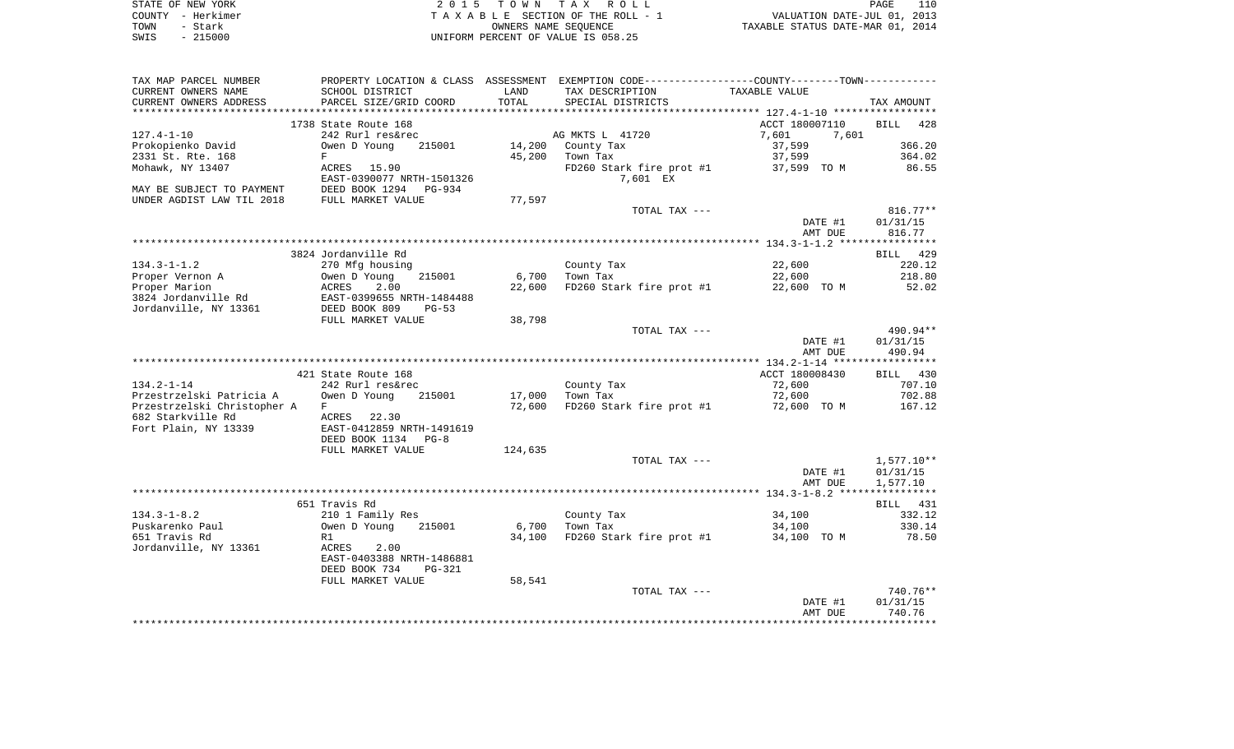| STATE OF NEW YORK | 2015 TOWN TAX ROLL                 |                                  | PAGE | 110 |
|-------------------|------------------------------------|----------------------------------|------|-----|
| COUNTY - Herkimer | TAXABLE SECTION OF THE ROLL - 1    | VALUATION DATE-JUL 01, 2013      |      |     |
| TOWN<br>- Stark   | OWNERS NAME SEOUENCE               | TAXABLE STATUS DATE-MAR 01, 2014 |      |     |
| - 215000<br>SWIS  | UNIFORM PERCENT OF VALUE IS 058.25 |                                  |      |     |

| TAX MAP PARCEL NUMBER       |                                |         | PROPERTY LOCATION & CLASS ASSESSMENT EXEMPTION CODE---------------COUNTY-------TOWN---------- |                    |                    |
|-----------------------------|--------------------------------|---------|-----------------------------------------------------------------------------------------------|--------------------|--------------------|
| CURRENT OWNERS NAME         | SCHOOL DISTRICT                | LAND    | TAX DESCRIPTION                                                                               | TAXABLE VALUE      |                    |
| CURRENT OWNERS ADDRESS      | PARCEL SIZE/GRID COORD         | TOTAL   | SPECIAL DISTRICTS                                                                             |                    | TAX AMOUNT         |
|                             |                                |         |                                                                                               |                    |                    |
|                             | 1738 State Route 168           |         |                                                                                               | ACCT 180007110     | <b>BILL</b><br>428 |
| $127.4 - 1 - 10$            | 242 Rurl res&rec               |         | AG MKTS L 41720                                                                               | 7,601<br>7.601     |                    |
| Prokopienko David           | Owen D Young<br>215001         | 14,200  | County Tax                                                                                    | 37,599             | 366.20             |
|                             |                                |         |                                                                                               |                    |                    |
| 2331 St. Rte. 168           | F                              | 45,200  | Town Tax                                                                                      | 37,599             | 364.02             |
| Mohawk, NY 13407            | ACRES 15.90                    |         | FD260 Stark fire prot #1                                                                      | 37,599 TO M        | 86.55              |
|                             | EAST-0390077 NRTH-1501326      |         | 7,601 EX                                                                                      |                    |                    |
| MAY BE SUBJECT TO PAYMENT   | DEED BOOK 1294<br>PG-934       |         |                                                                                               |                    |                    |
| UNDER AGDIST LAW TIL 2018   | FULL MARKET VALUE              | 77,597  |                                                                                               |                    |                    |
|                             |                                |         | TOTAL TAX ---                                                                                 |                    | $816.77**$         |
|                             |                                |         |                                                                                               | DATE #1            | 01/31/15           |
|                             |                                |         |                                                                                               | AMT DUE            | 816.77             |
|                             |                                |         |                                                                                               |                    |                    |
|                             | 3824 Jordanville Rd            |         |                                                                                               |                    | BILL 429           |
| $134.3 - 1 - 1.2$           | 270 Mfg housing                |         | County Tax                                                                                    | 22,600             | 220.12             |
|                             |                                |         |                                                                                               |                    |                    |
| Proper Vernon A             | Owen D Young<br>215001         | 6,700   | Town Tax                                                                                      | 22,600             | 218.80             |
| Proper Marion               | ACRES<br>2.00                  | 22,600  | FD260 Stark fire prot #1                                                                      | 22,600 TO M        | 52.02              |
| 3824 Jordanville Rd         | EAST-0399655 NRTH-1484488      |         |                                                                                               |                    |                    |
| Jordanville, NY 13361       | DEED BOOK 809<br>$PG-53$       |         |                                                                                               |                    |                    |
|                             | FULL MARKET VALUE              | 38,798  |                                                                                               |                    |                    |
|                             |                                |         | TOTAL TAX ---                                                                                 |                    | 490.94**           |
|                             |                                |         |                                                                                               | DATE #1            | 01/31/15           |
|                             |                                |         |                                                                                               | AMT DUE            | 490.94             |
|                             |                                |         |                                                                                               |                    |                    |
|                             | 421 State Route 168            |         |                                                                                               | ACCT 180008430     | BILL 430           |
| $134.2 - 1 - 14$            | 242 Rurl res&rec               |         | County Tax                                                                                    | 72,600             | 707.10             |
| Przestrzelski Patricia A    | Owen D Young<br>215001         |         | Town Tax                                                                                      | 72,600             | 702.88             |
|                             |                                | 17,000  |                                                                                               |                    |                    |
| Przestrzelski Christopher A | F                              | 72,600  | FD260 Stark fire prot #1                                                                      | 72,600 TO M        | 167.12             |
| 682 Starkville Rd           | 22.30<br>ACRES                 |         |                                                                                               |                    |                    |
| Fort Plain, NY 13339        | EAST-0412859 NRTH-1491619      |         |                                                                                               |                    |                    |
|                             | DEED BOOK 1134 PG-8            |         |                                                                                               |                    |                    |
|                             | FULL MARKET VALUE              | 124,635 |                                                                                               |                    |                    |
|                             |                                |         | TOTAL TAX ---                                                                                 |                    | $1,577.10**$       |
|                             |                                |         |                                                                                               | DATE #1            | 01/31/15           |
|                             |                                |         |                                                                                               | AMT DUE            | 1,577.10           |
|                             |                                |         |                                                                                               |                    |                    |
|                             | 651 Travis Rd                  |         |                                                                                               |                    | BILL 431           |
| $134.3 - 1 - 8.2$           | 210 1 Family Res               |         | County Tax                                                                                    | 34,100             | 332.12             |
|                             |                                |         |                                                                                               |                    |                    |
| Puskarenko Paul             | Owen D Young<br>215001         | 6,700   | Town Tax                                                                                      | 34,100             | 330.14             |
|                             | R1                             | 34,100  | FD260 Stark fire prot #1                                                                      | 34,100 TO M        | 78.50              |
| 651 Travis Rd               |                                |         |                                                                                               |                    |                    |
| Jordanville, NY 13361       | ACRES<br>2.00                  |         |                                                                                               |                    |                    |
|                             | EAST-0403388 NRTH-1486881      |         |                                                                                               |                    |                    |
|                             | DEED BOOK 734<br><b>PG-321</b> |         |                                                                                               |                    |                    |
|                             | FULL MARKET VALUE              | 58,541  |                                                                                               |                    |                    |
|                             |                                |         | TOTAL TAX ---                                                                                 |                    | 740.76**           |
|                             |                                |         |                                                                                               |                    |                    |
|                             |                                |         |                                                                                               | DATE #1<br>AMT DUE | 01/31/15<br>740.76 |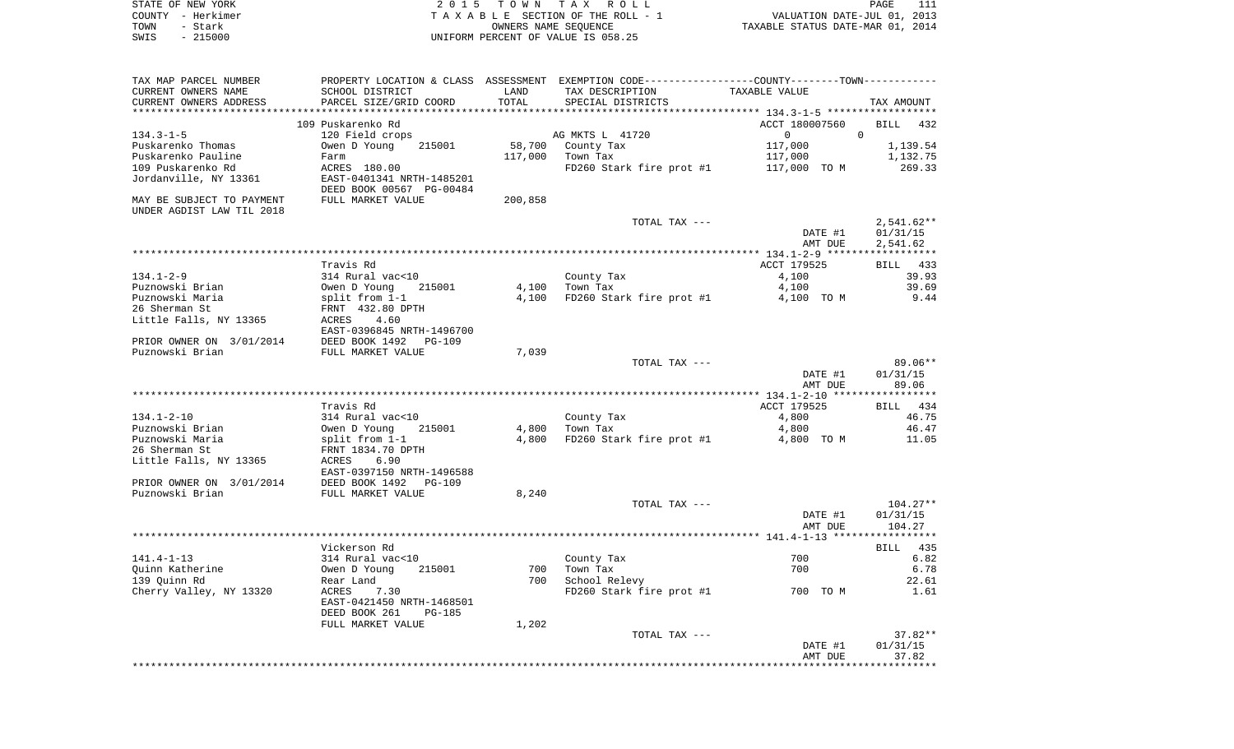| STATE OF NEW YORK | 2015 TOWN TAX ROLL<br>PAGE                                     |  |
|-------------------|----------------------------------------------------------------|--|
| COUNTY - Herkimer | VALUATION DATE-JUL 01, 2013<br>TAXABLE SECTION OF THE ROLL - 1 |  |
| TOWN<br>– Stark   | TAXABLE STATUS DATE-MAR 01, 2014<br>OWNERS NAME SEOUENCE       |  |
| - 215000<br>SWIS  | UNIFORM PERCENT OF VALUE IS 058.25                             |  |

| TAX MAP PARCEL NUMBER     |                                                         |         | PROPERTY LOCATION & CLASS ASSESSMENT EXEMPTION CODE---------------COUNTY-------TOWN---------- |                                           |                       |
|---------------------------|---------------------------------------------------------|---------|-----------------------------------------------------------------------------------------------|-------------------------------------------|-----------------------|
| CURRENT OWNERS NAME       | SCHOOL DISTRICT                                         | LAND    | TAX DESCRIPTION                                                                               | TAXABLE VALUE                             |                       |
| CURRENT OWNERS ADDRESS    | PARCEL SIZE/GRID COORD                                  | TOTAL   | SPECIAL DISTRICTS                                                                             |                                           | TAX AMOUNT            |
|                           | ******************<br>********************************* |         |                                                                                               | ***************** 134.3-1-5 ************* |                       |
|                           | 109 Puskarenko Rd                                       |         |                                                                                               | ACCT 180007560                            | BILL<br>432           |
| $134.3 - 1 - 5$           | 120 Field crops                                         |         | AG MKTS L 41720                                                                               | $0 \qquad \qquad$                         | $\mathbf 0$           |
| Puskarenko Thomas         | Owen D Young<br>215001                                  | 58,700  | County Tax                                                                                    | 117,000                                   | 1,139.54              |
| Puskarenko Pauline        | Farm                                                    | 117,000 | Town Tax                                                                                      | 117,000                                   | 1,132.75              |
| 109 Puskarenko Rd         | ACRES 180.00                                            |         | FD260 Stark fire prot #1                                                                      | 117,000 TO M                              | 269.33                |
| Jordanville, NY 13361     | EAST-0401341 NRTH-1485201                               |         |                                                                                               |                                           |                       |
|                           | DEED BOOK 00567 PG-00484                                |         |                                                                                               |                                           |                       |
| MAY BE SUBJECT TO PAYMENT | FULL MARKET VALUE                                       | 200,858 |                                                                                               |                                           |                       |
| UNDER AGDIST LAW TIL 2018 |                                                         |         |                                                                                               |                                           |                       |
|                           |                                                         |         | TOTAL TAX ---                                                                                 |                                           | $2,541.62**$          |
|                           |                                                         |         |                                                                                               | DATE #1                                   | 01/31/15              |
|                           |                                                         |         |                                                                                               | AMT DUE                                   | 2,541.62              |
|                           |                                                         |         |                                                                                               | ************ 134.1-2-9 *****              | * * * * * * * * * * * |
|                           | Travis Rd                                               |         |                                                                                               | ACCT 179525                               | BILL 433              |
| $134.1 - 2 - 9$           | 314 Rural vac<10                                        |         | County Tax                                                                                    | 4,100                                     | 39.93                 |
| Puznowski Brian           | Owen D Young<br>215001                                  | 4,100   | Town Tax                                                                                      | 4,100                                     | 39.69                 |
| Puznowski Maria           | split from 1-1                                          | 4,100   | FD260 Stark fire prot #1                                                                      | 4,100 TO M                                | 9.44                  |
| 26 Sherman St             | FRNT 432.80 DPTH                                        |         |                                                                                               |                                           |                       |
| Little Falls, NY 13365    | ACRES<br>4.60                                           |         |                                                                                               |                                           |                       |
|                           | EAST-0396845 NRTH-1496700                               |         |                                                                                               |                                           |                       |
| PRIOR OWNER ON 3/01/2014  | DEED BOOK 1492<br><b>PG-109</b>                         |         |                                                                                               |                                           |                       |
| Puznowski Brian           | FULL MARKET VALUE                                       | 7,039   |                                                                                               |                                           |                       |
|                           |                                                         |         | TOTAL TAX ---                                                                                 |                                           | $89.06**$             |
|                           |                                                         |         |                                                                                               | DATE #1                                   | 01/31/15              |
|                           |                                                         |         |                                                                                               | AMT DUE                                   | 89.06                 |
|                           |                                                         |         |                                                                                               |                                           |                       |
|                           | Travis Rd                                               |         |                                                                                               | ACCT 179525                               | BILL 434              |
| $134.1 - 2 - 10$          | 314 Rural vac<10                                        |         | County Tax                                                                                    | 4,800                                     | 46.75                 |
| Puznowski Brian           | Owen D Young<br>215001                                  | 4,800   | Town Tax                                                                                      | 4,800                                     | 46.47                 |
| Puznowski Maria           | split from 1-1                                          | 4,800   | FD260 Stark fire prot #1                                                                      | 4,800 TO M                                | 11.05                 |
| 26 Sherman St             | FRNT 1834.70 DPTH                                       |         |                                                                                               |                                           |                       |
| Little Falls, NY 13365    | ACRES<br>6.90                                           |         |                                                                                               |                                           |                       |
|                           | EAST-0397150 NRTH-1496588                               |         |                                                                                               |                                           |                       |
| PRIOR OWNER ON 3/01/2014  | DEED BOOK 1492<br>$PG-109$                              |         |                                                                                               |                                           |                       |
| Puznowski Brian           | FULL MARKET VALUE                                       | 8,240   |                                                                                               |                                           |                       |
|                           |                                                         |         | TOTAL TAX ---                                                                                 |                                           | $104.27**$            |
|                           |                                                         |         |                                                                                               | DATE #1                                   | 01/31/15              |
|                           |                                                         |         |                                                                                               | AMT DUE                                   | 104.27                |
|                           |                                                         |         |                                                                                               |                                           |                       |
|                           | Vickerson Rd                                            |         |                                                                                               |                                           | 435<br>BILL           |
| $141.4 - 1 - 13$          | 314 Rural vac<10                                        |         | County Tax                                                                                    | 700                                       | 6.82                  |
| Quinn Katherine           | Owen D Young<br>215001                                  | 700     | Town Tax                                                                                      | 700                                       | 6.78                  |
| 139 Quinn Rd              | Rear Land                                               | 700     | School Relevy                                                                                 |                                           | 22.61                 |
| Cherry Valley, NY 13320   | 7.30<br>ACRES                                           |         | FD260 Stark fire prot #1 700 TO M                                                             |                                           | 1.61                  |
|                           | EAST-0421450 NRTH-1468501                               |         |                                                                                               |                                           |                       |
|                           | DEED BOOK 261<br><b>PG-185</b>                          |         |                                                                                               |                                           |                       |
|                           | FULL MARKET VALUE                                       | 1,202   |                                                                                               |                                           |                       |
|                           |                                                         |         | TOTAL TAX ---                                                                                 |                                           | $37.82**$             |
|                           |                                                         |         |                                                                                               | DATE #1                                   | 01/31/15              |
|                           |                                                         |         |                                                                                               | AMT DUE                                   | 37.82                 |
|                           |                                                         |         |                                                                                               |                                           |                       |
|                           |                                                         |         |                                                                                               |                                           |                       |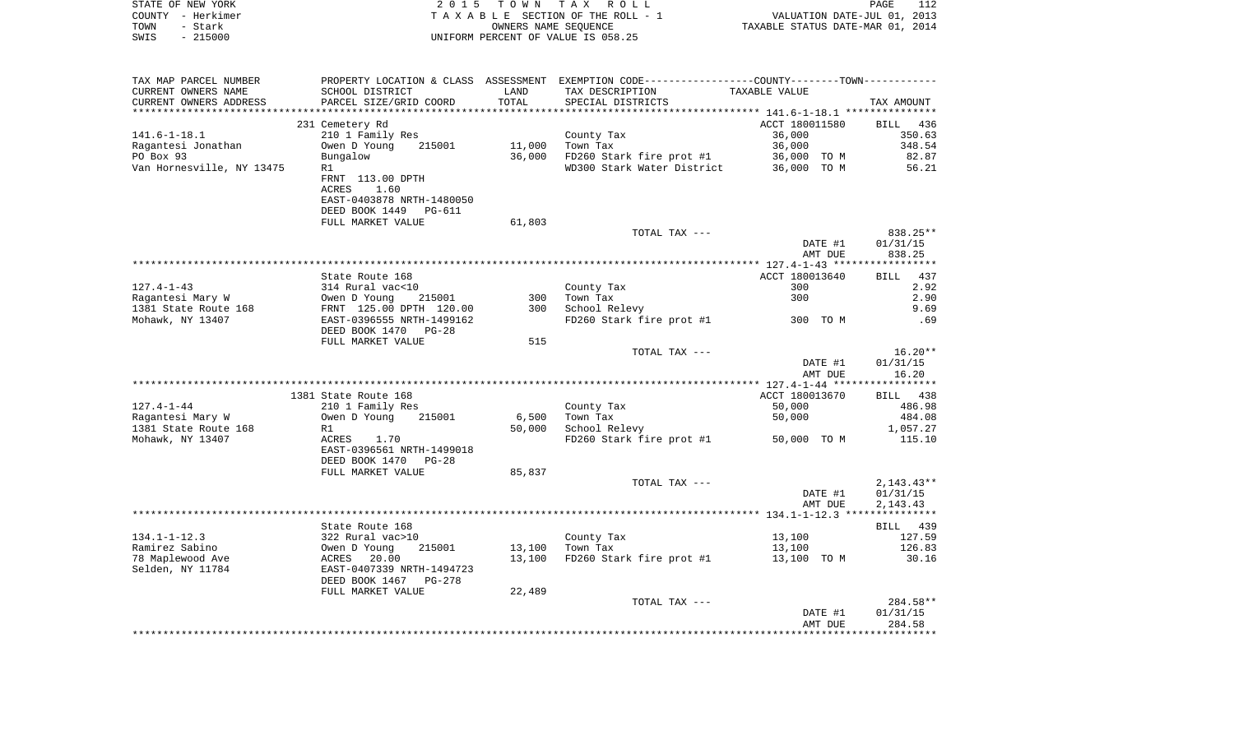| COUNTY - Herkimer                    | T A X A B L E SECTION OF THE ROLL - 1                                       | VALUATION DATE-JUL 01, 2013<br>TAXABLE STATUS DATE-MAR 01, 2014 |                                                                                               |                |                      |
|--------------------------------------|-----------------------------------------------------------------------------|-----------------------------------------------------------------|-----------------------------------------------------------------------------------------------|----------------|----------------------|
| TOWN<br>- Stark<br>$-215000$<br>SWIS | UNIFORM PERCENT OF VALUE IS 058.25                                          |                                                                 |                                                                                               |                |                      |
|                                      |                                                                             |                                                                 |                                                                                               |                |                      |
| TAX MAP PARCEL NUMBER                |                                                                             |                                                                 | PROPERTY LOCATION & CLASS ASSESSMENT EXEMPTION CODE---------------COUNTY-------TOWN---------- |                |                      |
| CURRENT OWNERS NAME                  | SCHOOL DISTRICT                                                             | LAND                                                            | TAX DESCRIPTION                                                                               | TAXABLE VALUE  |                      |
| CURRENT OWNERS ADDRESS               | PARCEL SIZE/GRID COORD                                                      | TOTAL                                                           | SPECIAL DISTRICTS                                                                             |                | TAX AMOUNT           |
|                                      |                                                                             |                                                                 |                                                                                               |                |                      |
|                                      | 231 Cemetery Rd                                                             |                                                                 |                                                                                               | ACCT 180011580 | BILL 436             |
| 141.6–1–18.1                         | 210 1 Family Res                                                            |                                                                 | County Tax                                                                                    | 36,000         | 350.63               |
| Ragantesi Jonathan                   | Owen D Young<br>215001                                                      | 11,000                                                          | Town Tax                                                                                      | 36,000         | 348.54               |
| PO Box 93                            | Bungalow                                                                    |                                                                 | 36,000 FD260 Stark fire prot #1 36,000 TO M<br>WD300 Stark Water District 36,000 TO M         |                | 82.87                |
| Van Hornesville, NY 13475            | R1                                                                          |                                                                 |                                                                                               |                | 56.21                |
|                                      | FRNT 113.00 DPTH<br>ACRES                                                   |                                                                 |                                                                                               |                |                      |
|                                      | 1.60<br>EAST-0403878 NRTH-1480050                                           |                                                                 |                                                                                               |                |                      |
|                                      | DEED BOOK 1449 PG-611                                                       |                                                                 |                                                                                               |                |                      |
|                                      | FULL MARKET VALUE                                                           | 61,803                                                          |                                                                                               |                |                      |
|                                      |                                                                             |                                                                 | TOTAL TAX ---                                                                                 |                | 838.25**             |
|                                      |                                                                             |                                                                 |                                                                                               | DATE #1        | 01/31/15             |
|                                      |                                                                             |                                                                 |                                                                                               | AMT DUE        | 838.25               |
|                                      |                                                                             |                                                                 |                                                                                               |                |                      |
|                                      | State Route 168                                                             |                                                                 |                                                                                               | ACCT 180013640 | BILL 437             |
| 127.4-1-43                           | 314 Rural vac<10                                                            |                                                                 | County Tax                                                                                    | 300            | 2.92                 |
| Ragantesi Mary W                     | Owen D Young 215001<br>FRNT 125.00 DPTH 120.00<br>EAST-0396555 NRTH-1499162 |                                                                 | 300 Town Tax                                                                                  | 300            | 2.90                 |
| 1381 State Route 168                 |                                                                             |                                                                 | 300 School Relevy                                                                             |                | 9.69                 |
| Mohawk, NY 13407                     |                                                                             |                                                                 | FD260 Stark fire prot #1 300 TO M                                                             |                | .69                  |
|                                      | DEED BOOK 1470 PG-28                                                        |                                                                 |                                                                                               |                |                      |
|                                      | FULL MARKET VALUE                                                           | 515                                                             | TOTAL TAX ---                                                                                 |                | $16.20**$            |
|                                      |                                                                             |                                                                 |                                                                                               | DATE #1        | 01/31/15             |
|                                      |                                                                             |                                                                 |                                                                                               | AMT DUE        | 16.20                |
|                                      |                                                                             |                                                                 |                                                                                               |                |                      |
|                                      | 1381 State Route 168                                                        |                                                                 |                                                                                               | ACCT 180013670 | BILL 438             |
| 127.4-1-44                           | 210 1 Family Res                                                            |                                                                 | County Tax                                                                                    | 50,000         | 486.98               |
| Ragantesi Mary W                     | 215001<br>Owen D Young                                                      | 6,500                                                           | Town Tax                                                                                      | 50,000         | 484.08               |
| 1381 State Route 168                 | R1                                                                          | 50,000                                                          | School Relevy                                                                                 |                | 1,057.27             |
| Mohawk, NY 13407                     | ACRES 1.70                                                                  |                                                                 | FD260 Stark fire prot $#1$ 50,000 TO M                                                        |                | 115.10               |
|                                      | EAST-0396561 NRTH-1499018                                                   |                                                                 |                                                                                               |                |                      |
|                                      | DEED BOOK 1470 PG-28<br>FULL MARKET VALUE                                   |                                                                 |                                                                                               |                |                      |
|                                      |                                                                             | 85,837                                                          | TOTAL TAX ---                                                                                 |                | $2,143.43**$         |
|                                      |                                                                             |                                                                 |                                                                                               | DATE #1        | 01/31/15             |
|                                      |                                                                             |                                                                 |                                                                                               | AMT DUE        | 2,143.43             |
|                                      |                                                                             |                                                                 |                                                                                               |                |                      |
|                                      | State Route 168                                                             |                                                                 |                                                                                               |                | BILL 439             |
| 134.1-1-12.3                         | 322 Rural vac>10                                                            |                                                                 | County Tax                                                                                    | 13,100         | 127.59               |
| Ramirez Sabino                       |                                                                             | 13,100                                                          | Town Tax                                                                                      | 13,100         | 126.83               |
| 78 Maplewood Ave                     | 00001 November 215001<br>ACRES 20.00<br>EAST-0407339 NRTH-1494723           | 13,100                                                          | $FD260$ Stark fire prot #1 $13,100$ TO M                                                      |                | 30.16                |
| Selden, NY 11784                     |                                                                             |                                                                 |                                                                                               |                |                      |
|                                      | DEED BOOK 1467 PG-278                                                       |                                                                 |                                                                                               |                |                      |
|                                      | FULL MARKET VALUE                                                           | 22,489                                                          |                                                                                               |                |                      |
|                                      |                                                                             |                                                                 | TOTAL TAX ---                                                                                 | DATE #1        | 284.58**<br>01/31/15 |
|                                      |                                                                             |                                                                 |                                                                                               | AMT DUE        | 284.58               |
|                                      |                                                                             |                                                                 |                                                                                               |                |                      |
|                                      |                                                                             |                                                                 |                                                                                               |                |                      |

PAGE 112

STATE OF NEW YORK **EXECUTE:** TOWN TAX ROLL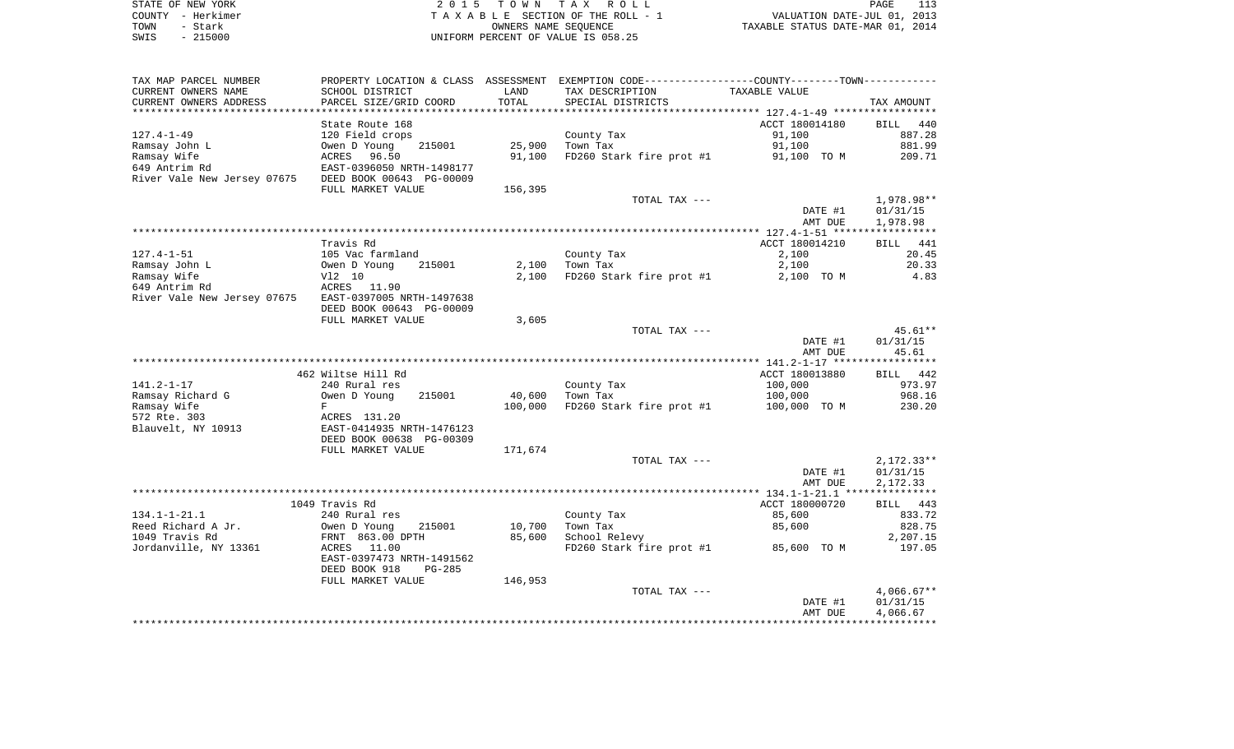| STATE OF NEW YORK |           | 2015 TOWN TAX ROLL                 |                                  | PAGE |  |
|-------------------|-----------|------------------------------------|----------------------------------|------|--|
| COUNTY - Herkimer |           | TAXABLE SECTION OF THE ROLL - 1    | VALUATION DATE-JUL 01, 2013      |      |  |
| TOWN              | - Stark   | OWNERS NAME SEOUENCE               | TAXABLE STATUS DATE-MAR 01, 2014 |      |  |
| SWIS              | $-215000$ | UNIFORM PERCENT OF VALUE IS 058.25 |                                  |      |  |

| TAX MAP PARCEL NUMBER       |                           |         | PROPERTY LOCATION & CLASS ASSESSMENT EXEMPTION CODE----------------COUNTY-------TOWN---------- |                |                    |
|-----------------------------|---------------------------|---------|------------------------------------------------------------------------------------------------|----------------|--------------------|
| CURRENT OWNERS NAME         | SCHOOL DISTRICT           | LAND    | TAX DESCRIPTION                                                                                | TAXABLE VALUE  |                    |
| CURRENT OWNERS ADDRESS      | PARCEL SIZE/GRID COORD    | TOTAL   | SPECIAL DISTRICTS                                                                              |                | TAX AMOUNT         |
| **************************  |                           |         |                                                                                                |                |                    |
|                             | State Route 168           |         |                                                                                                | ACCT 180014180 | <b>BILL</b><br>440 |
| 127.4-1-49                  | 120 Field crops           |         | County Tax                                                                                     | 91,100         | 887.28             |
| Ramsay John L               | Owen D Young<br>215001    | 25,900  | Town Tax                                                                                       | 91,100         | 881.99             |
| Ramsay Wife                 | ACRES<br>96.50            | 91,100  | FD260 Stark fire prot #1                                                                       | 91,100 TO M    | 209.71             |
| 649 Antrim Rd               | EAST-0396050 NRTH-1498177 |         |                                                                                                |                |                    |
| River Vale New Jersey 07675 | DEED BOOK 00643 PG-00009  |         |                                                                                                |                |                    |
|                             | FULL MARKET VALUE         | 156,395 |                                                                                                |                |                    |
|                             |                           |         | TOTAL TAX ---                                                                                  |                | 1,978.98**         |
|                             |                           |         |                                                                                                | DATE #1        | 01/31/15           |
|                             |                           |         |                                                                                                | AMT DUE        | 1,978.98           |
|                             |                           |         |                                                                                                |                |                    |
|                             | Travis Rd                 |         |                                                                                                | ACCT 180014210 | <b>BILL</b><br>441 |
| $127.4 - 1 - 51$            | 105 Vac farmland          |         | County Tax                                                                                     | 2,100          | 20.45              |
| Ramsay John L               | Owen D Young<br>215001    | 2,100   | Town Tax                                                                                       | 2,100          | 20.33              |
| Ramsay Wife                 | V12 10                    | 2,100   | FD260 Stark fire prot #1                                                                       | 2,100 TO M     | 4.83               |
| 649 Antrim Rd               | ACRES<br>11.90            |         |                                                                                                |                |                    |
| River Vale New Jersey 07675 | EAST-0397005 NRTH-1497638 |         |                                                                                                |                |                    |
|                             | DEED BOOK 00643 PG-00009  |         |                                                                                                |                |                    |
|                             | FULL MARKET VALUE         | 3,605   |                                                                                                |                |                    |
|                             |                           |         | TOTAL TAX ---                                                                                  |                | $45.61**$          |
|                             |                           |         |                                                                                                | DATE #1        | 01/31/15           |
|                             |                           |         |                                                                                                | AMT DUE        | 45.61              |
|                             | 462 Wiltse Hill Rd        |         |                                                                                                | ACCT 180013880 | BILL 442           |
| $141.2 - 1 - 17$            | 240 Rural res             |         | County Tax                                                                                     | 100,000        | 973.97             |
| Ramsay Richard G            | Owen D Young<br>215001    | 40,600  | Town Tax                                                                                       | 100,000        | 968.16             |
| Ramsay Wife                 | F                         | 100,000 | FD260 Stark fire prot #1                                                                       | 100,000 TO M   | 230.20             |
| 572 Rte. 303                | ACRES 131.20              |         |                                                                                                |                |                    |
| Blauvelt, NY 10913          | EAST-0414935 NRTH-1476123 |         |                                                                                                |                |                    |
|                             | DEED BOOK 00638 PG-00309  |         |                                                                                                |                |                    |
|                             | FULL MARKET VALUE         | 171,674 |                                                                                                |                |                    |
|                             |                           |         | TOTAL TAX ---                                                                                  |                | $2,172.33**$       |
|                             |                           |         |                                                                                                | DATE #1        | 01/31/15           |
|                             |                           |         |                                                                                                | AMT DUE        | 2,172.33           |
|                             |                           |         |                                                                                                |                |                    |
|                             | 1049 Travis Rd            |         |                                                                                                | ACCT 180000720 | BILL 443           |
| $134.1 - 1 - 21.1$          | 240 Rural res             |         | County Tax                                                                                     | 85,600         | 833.72             |
| Reed Richard A Jr.          | Owen D Young<br>215001    | 10,700  | Town Tax                                                                                       | 85,600         | 828.75             |
| 1049 Travis Rd              | FRNT 863.00 DPTH          | 85,600  | School Relevy                                                                                  |                | 2,207.15           |
| Jordanville, NY 13361       | 11.00<br>ACRES            |         | FD260 Stark fire prot #1                                                                       | 85,600 TO M    | 197.05             |
|                             | EAST-0397473 NRTH-1491562 |         |                                                                                                |                |                    |
|                             | DEED BOOK 918<br>PG-285   |         |                                                                                                |                |                    |
|                             | FULL MARKET VALUE         | 146,953 |                                                                                                |                |                    |
|                             |                           |         | TOTAL TAX ---                                                                                  |                | $4,066.67**$       |
|                             |                           |         |                                                                                                | DATE #1        | 01/31/15           |
|                             |                           |         |                                                                                                | AMT DUE        | 4,066.67           |
|                             |                           |         |                                                                                                |                |                    |
|                             |                           |         |                                                                                                |                |                    |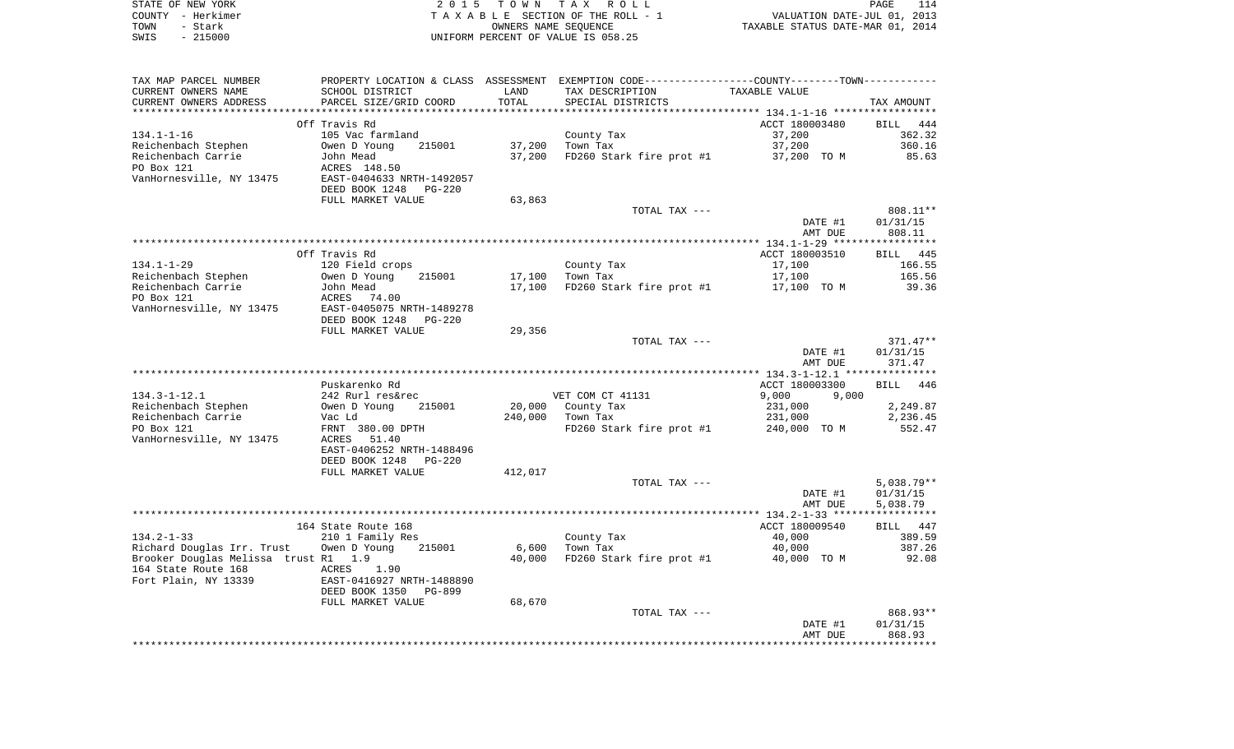| STATE OF NEW YORK | 2015 TOWN TAX ROLL<br>PAGE                                     |  |
|-------------------|----------------------------------------------------------------|--|
| COUNTY - Herkimer | VALUATION DATE-JUL 01, 2013<br>TAXABLE SECTION OF THE ROLL - 1 |  |
| TOWN<br>- Stark   | TAXABLE STATUS DATE-MAR 01, 2014<br>OWNERS NAME SEOUENCE       |  |
| SWIS<br>- 215000  | UNIFORM PERCENT OF VALUE IS 058.25                             |  |

 $\frac{114}{2013}$ <br>2014

| TAX MAP PARCEL NUMBER                | PROPERTY LOCATION & CLASS ASSESSMENT EXEMPTION CODE----------------COUNTY--------TOWN----------- |         |                                        |                                  |                    |
|--------------------------------------|--------------------------------------------------------------------------------------------------|---------|----------------------------------------|----------------------------------|--------------------|
| CURRENT OWNERS NAME                  | SCHOOL DISTRICT                                                                                  | LAND    | TAX DESCRIPTION                        | TAXABLE VALUE                    |                    |
| CURRENT OWNERS ADDRESS               | PARCEL SIZE/GRID COORD                                                                           | TOTAL   | SPECIAL DISTRICTS                      |                                  | TAX AMOUNT         |
|                                      |                                                                                                  |         |                                        |                                  |                    |
|                                      | Off Travis Rd                                                                                    |         |                                        | ACCT 180003480                   | BILL 444           |
| $134.1 - 1 - 16$                     | 105 Vac farmland                                                                                 |         | County Tax                             | 37,200                           | 362.32             |
| Reichenbach Stephen                  | 215001<br>Owen D Young                                                                           | 37,200  | Town Tax                               | 37,200                           | 360.16             |
| Reichenbach Carrie                   | John Mead                                                                                        | 37,200  | FD260 Stark fire prot #1               | 37,200 TO M                      | 85.63              |
| PO Box 121                           | ACRES 148.50<br>EAST-0404633 NRTH-1492057                                                        |         |                                        |                                  |                    |
| VanHornesville, NY 13475             |                                                                                                  |         |                                        |                                  |                    |
|                                      | DEED BOOK 1248 PG-220                                                                            |         |                                        |                                  |                    |
|                                      | FULL MARKET VALUE                                                                                | 63,863  |                                        |                                  |                    |
|                                      |                                                                                                  |         | TOTAL TAX ---                          |                                  | 808.11**           |
|                                      |                                                                                                  |         |                                        | DATE #1<br>AMT DUE               | 01/31/15<br>808.11 |
|                                      |                                                                                                  |         |                                        |                                  |                    |
|                                      | Off Travis Rd                                                                                    |         |                                        | ACCT 180003510                   | BILL 445           |
| $134.1 - 1 - 29$                     | 120 Field crops                                                                                  |         | County Tax                             | 17,100                           | 166.55             |
| Reichenbach Stephen                  | 215001                                                                                           | 17,100  | Town Tax                               | 17,100                           | 165.56             |
| Reichenbach Carrie                   | Owen D Young<br>John Mead                                                                        | 17,100  | FD260 Stark fire prot #1 $17,100$ TO M |                                  | 39.36              |
| PO Box 121                           | ACRES 74.00                                                                                      |         |                                        |                                  |                    |
| VanHornesville, NY 13475             | EAST-0405075 NRTH-1489278                                                                        |         |                                        |                                  |                    |
|                                      | DEED BOOK 1248 PG-220                                                                            |         |                                        |                                  |                    |
|                                      | FULL MARKET VALUE                                                                                | 29,356  |                                        |                                  |                    |
|                                      |                                                                                                  |         | TOTAL TAX ---                          |                                  | 371.47**           |
|                                      |                                                                                                  |         |                                        | DATE #1                          | 01/31/15           |
|                                      |                                                                                                  |         |                                        | AMT DUE                          | 371.47             |
|                                      |                                                                                                  |         |                                        |                                  |                    |
| $134.3 - 1 - 12.1$                   | Puskarenko Rd                                                                                    |         | VET COM CT 41131                       | ACCT 180003300<br>9,000<br>9,000 | BILL 446           |
| Reichenbach Stephen                  | 242 Rurl res&rec<br>Owen D Young 2<br>Vac Ld<br>215001                                           |         | 20,000 County Tax                      | 231,000                          | 2,249.87           |
| Reichenbach Carrie                   |                                                                                                  | 240,000 | Town Tax                               | 231,000                          | 2,236.45           |
| PO Box 121                           | FRNT 380.00 DPTH                                                                                 |         | FD260 Stark fire prot #1               | 240,000 TO M                     | 552.47             |
| VanHornesville, NY 13475             | ACRES 51.40                                                                                      |         |                                        |                                  |                    |
|                                      | EAST-0406252 NRTH-1488496                                                                        |         |                                        |                                  |                    |
|                                      | DEED BOOK 1248 PG-220                                                                            |         |                                        |                                  |                    |
|                                      | FULL MARKET VALUE                                                                                | 412,017 |                                        |                                  |                    |
|                                      |                                                                                                  |         | TOTAL TAX ---                          |                                  | $5,038.79**$       |
|                                      |                                                                                                  |         |                                        | DATE #1                          | 01/31/15           |
|                                      |                                                                                                  |         |                                        | AMT DUE                          | 5,038.79           |
|                                      |                                                                                                  |         |                                        |                                  |                    |
|                                      | 164 State Route 168                                                                              |         |                                        | ACCT 180009540                   | BILL 447           |
| 134.2-1-33                           | 210 1 Family Res                                                                                 |         | County Tax<br>Tarm Tax                 | 40,000                           | 389.59             |
| Richard Douglas Irr. Trust           | 215001<br>Owen D Young                                                                           | 6,600   | Town Tax                               | 40,000                           | 387.26             |
| Brooker Douglas Melissa trust R1 1.9 |                                                                                                  | 40,000  | FD260 Stark fire prot #1 40,000 TO M   |                                  | 92.08              |
| 164 State Route 168                  | ACRES 1.90                                                                                       |         |                                        |                                  |                    |
| Fort Plain, NY 13339                 | EAST-0416927 NRTH-1488890                                                                        |         |                                        |                                  |                    |
|                                      | DEED BOOK 1350<br>PG-899                                                                         |         |                                        |                                  |                    |
|                                      | FULL MARKET VALUE                                                                                | 68,670  |                                        |                                  |                    |
|                                      |                                                                                                  |         | TOTAL TAX ---                          |                                  | 868.93**           |
|                                      |                                                                                                  |         |                                        | DATE #1<br>AMT DUE               | 01/31/15<br>868.93 |
|                                      |                                                                                                  |         |                                        |                                  |                    |
|                                      |                                                                                                  |         |                                        |                                  |                    |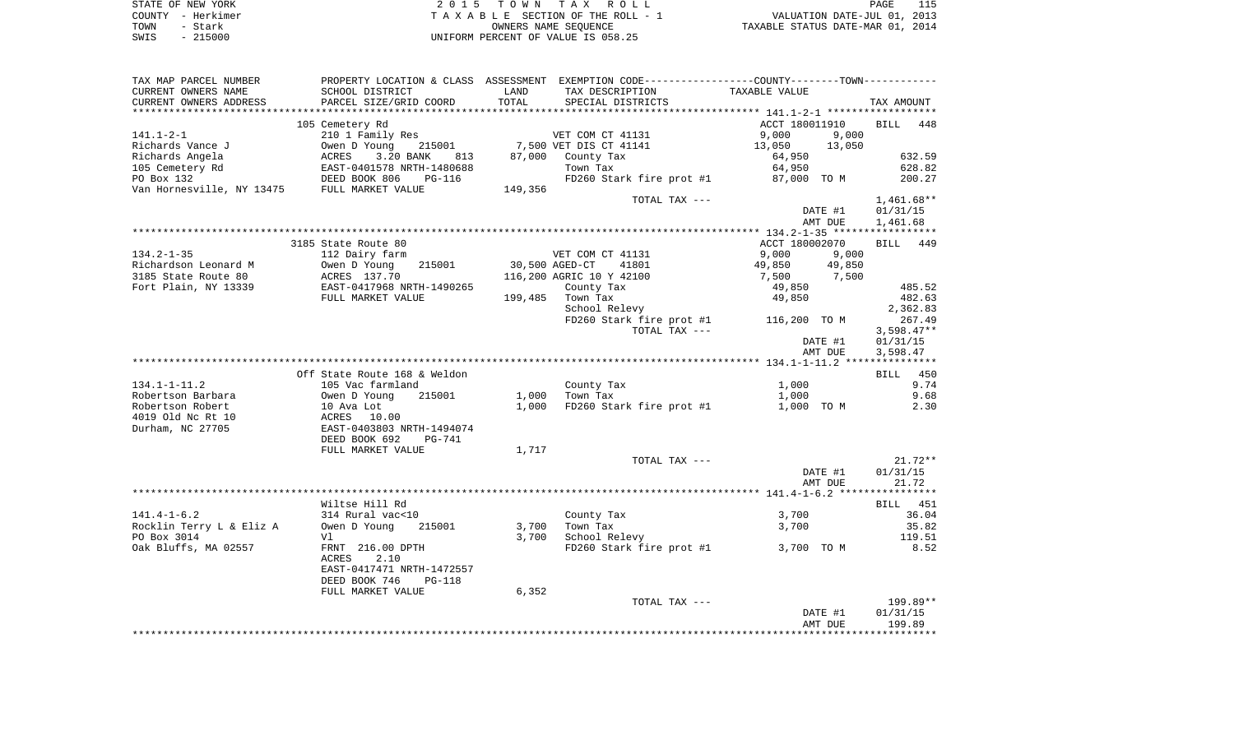| STATE OF NEW YORK | 2015 TOWN TAX ROLL                 | PAGE                             |
|-------------------|------------------------------------|----------------------------------|
| COUNTY - Herkimer | TAXABLE SECTION OF THE ROLL - 1    | VALUATION DATE-JUL 01, 2013      |
| TOWN<br>- Stark   | OWNERS NAME SEOUENCE               | TAXABLE STATUS DATE-MAR 01, 2014 |
| $-215000$<br>SWIS | UNIFORM PERCENT OF VALUE IS 058.25 |                                  |

| TAX MAP PARCEL NUMBER    |                                                                                           |                |                                | PROPERTY LOCATION & CLASS ASSESSMENT EXEMPTION CODE---------------COUNTY-------TOWN---------- |              |
|--------------------------|-------------------------------------------------------------------------------------------|----------------|--------------------------------|-----------------------------------------------------------------------------------------------|--------------|
| CURRENT OWNERS NAME      | SCHOOL DISTRICT                                                                           | LAND           | TAX DESCRIPTION                | TAXABLE VALUE                                                                                 |              |
| CURRENT OWNERS ADDRESS   | PARCEL SIZE/GRID COORD                                                                    | TOTAL          | SPECIAL DISTRICTS              |                                                                                               | TAX AMOUNT   |
|                          |                                                                                           |                |                                |                                                                                               |              |
|                          | 105 Cemetery Rd                                                                           |                |                                | ACCT 180011910                                                                                | BILL<br>448  |
| 141.1-2-1                | 210 1 Family Res                                                                          |                | VET COM CT 41131               | 9,000<br>9,000                                                                                |              |
| Richards Vance J         | 215001<br>Owen D Young                                                                    |                | 7,500 VET DIS CT 41141         | 13,050<br>13,050                                                                              |              |
| Richards Angela          | 3.20 BANK<br>ACRES<br>813                                                                 |                | 87,000 County Tax              | 64,950                                                                                        | 632.59       |
|                          |                                                                                           |                | Town Tax                       | 64,950                                                                                        | 628.82       |
|                          |                                                                                           |                | FD260 Stark fire prot #1       | 87,000 TO M                                                                                   | 200.27       |
|                          |                                                                                           | 149,356        |                                |                                                                                               |              |
|                          |                                                                                           |                | TOTAL TAX ---                  |                                                                                               | $1,461.68**$ |
|                          |                                                                                           |                |                                | DATE #1                                                                                       |              |
|                          |                                                                                           |                |                                |                                                                                               | 01/31/15     |
|                          |                                                                                           |                |                                | AMT DUE                                                                                       | 1,461.68     |
|                          |                                                                                           |                |                                |                                                                                               |              |
|                          | 3185 State Route 80                                                                       |                |                                | ACCT 180002070                                                                                | BILL 449     |
| $134.2 - 1 - 35$         | 112 Dairy farm                                                                            |                | VET COM CT 41131               | 9,000<br>9,000                                                                                |              |
| Richardson Leonard M     | Owen D Young<br>ACRES 137.70<br>EAST-0417968 NRTH-1490265<br>FIII I 11207068 NRTH-1490265 | 30,500 AGED-CT | 41801                          | 49,850<br>49,850<br>49,850 49,850<br>7,500 7,500                                              |              |
| 3185 State Route 80      |                                                                                           |                | 116,200 AGRIC 10 Y 42100       |                                                                                               |              |
| Fort Plain, NY 13339     |                                                                                           |                | County Tax                     | 49,850                                                                                        | 485.52       |
|                          | FULL MARKET VALUE                                                                         |                | 199,485 Town Tax               | 49,850                                                                                        | 482.63       |
|                          |                                                                                           |                | School Relevy                  |                                                                                               | 2,362.83     |
|                          |                                                                                           |                |                                | FD260 Stark fire prot #1 116,200 TO M                                                         | 267.49       |
|                          |                                                                                           |                | TOTAL TAX ---                  |                                                                                               | $3,598.47**$ |
|                          |                                                                                           |                |                                | DATE #1                                                                                       | 01/31/15     |
|                          |                                                                                           |                |                                | AMT DUE                                                                                       | 3,598.47     |
|                          |                                                                                           |                |                                |                                                                                               |              |
|                          | Off State Route 168 & Weldon                                                              |                |                                |                                                                                               | BILL 450     |
| 134.1-1-11.2             | 105 Vac farmland                                                                          |                | County Tax                     | 1,000                                                                                         | 9.74         |
| Robertson Barbara        |                                                                                           |                | $1,000$ Town Tax               | 1,000                                                                                         | 9.68         |
| Robertson Robert         | Owen D Young 215001<br>10 Ava Lot<br>ACRES 10.00<br>EAST-0403803 NRTH-1494074             |                | 1,000 FD260 Stark fire prot #1 | 1,000 TO M                                                                                    | 2.30         |
| 4019 Old Nc Rt 10        |                                                                                           |                |                                |                                                                                               |              |
| Durham, NC 27705         |                                                                                           |                |                                |                                                                                               |              |
|                          | DEED BOOK 692<br><b>PG-741</b>                                                            |                |                                |                                                                                               |              |
|                          | FULL MARKET VALUE                                                                         | 1,717          |                                |                                                                                               |              |
|                          |                                                                                           |                | TOTAL TAX ---                  |                                                                                               | $21.72**$    |
|                          |                                                                                           |                |                                | DATE #1                                                                                       | 01/31/15     |
|                          |                                                                                           |                |                                | AMT DUE                                                                                       | 21.72        |
|                          |                                                                                           |                |                                |                                                                                               |              |
|                          | Wiltse Hill Rd                                                                            |                |                                |                                                                                               | BILL 451     |
| $141.4 - 1 - 6.2$        | 314 Rural vac<10                                                                          |                |                                |                                                                                               | 36.04        |
|                          |                                                                                           |                | County Tax                     | 3,700                                                                                         |              |
| Rocklin Terry L & Eliz A | Owen D Young<br>215001                                                                    | 3,700          | Town Tax                       | 3,700                                                                                         | 35.82        |
| PO Box 3014              | Vl                                                                                        | 3,700          | School Relevy                  |                                                                                               | 119.51       |
| Oak Bluffs, MA 02557     | FRNT 216.00 DPTH                                                                          |                | FD260 Stark fire prot #1       | 3,700 TO M                                                                                    | 8.52         |
|                          | ACRES<br>2.10                                                                             |                |                                |                                                                                               |              |
|                          | EAST-0417471 NRTH-1472557                                                                 |                |                                |                                                                                               |              |
|                          | DEED BOOK 746<br><b>PG-118</b>                                                            |                |                                |                                                                                               |              |
|                          | FULL MARKET VALUE                                                                         | 6,352          |                                |                                                                                               |              |
|                          |                                                                                           |                | TOTAL TAX ---                  |                                                                                               | 199.89**     |
|                          |                                                                                           |                |                                | DATE #1                                                                                       | 01/31/15     |
|                          |                                                                                           |                |                                | AMT DUE                                                                                       | 199.89       |
|                          |                                                                                           |                |                                |                                                                                               |              |
|                          |                                                                                           |                |                                |                                                                                               |              |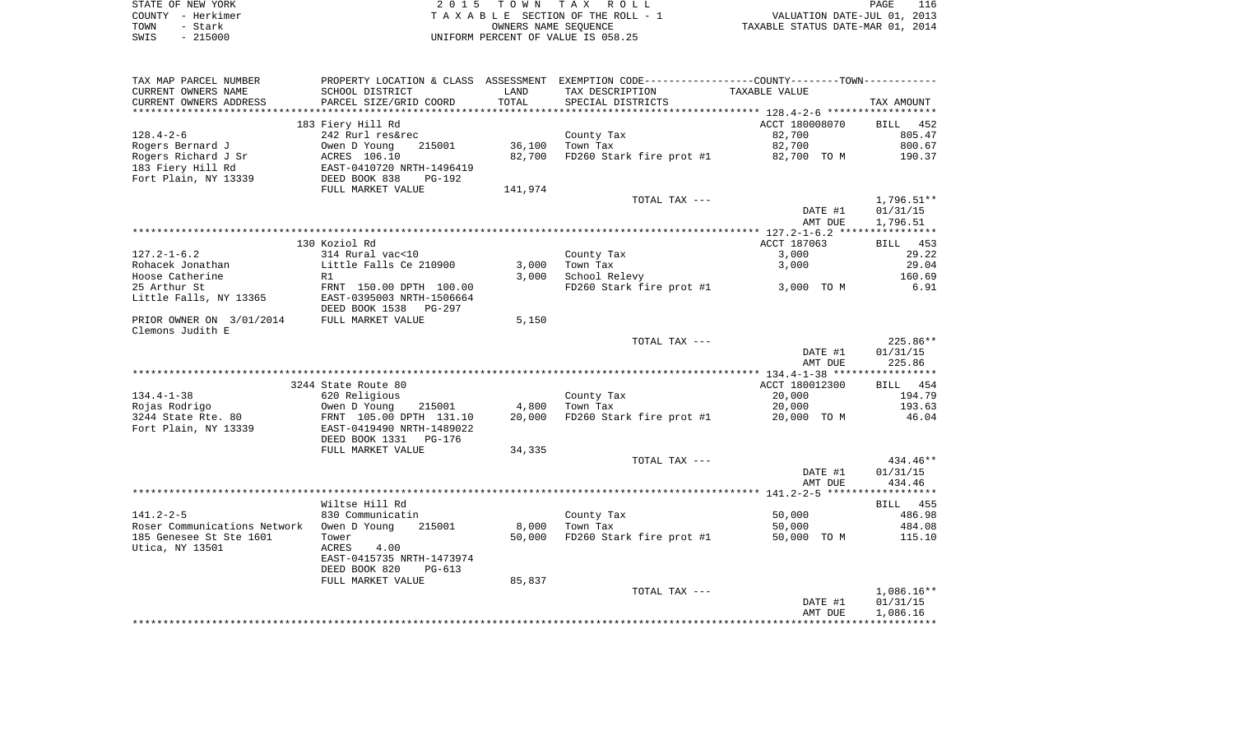| STATE OF NEW YORK | 2015 TOWN TAX ROLL                 | 116<br>PAGE                      |
|-------------------|------------------------------------|----------------------------------|
| COUNTY - Herkimer | TAXABLE SECTION OF THE ROLL - 1    | VALUATION DATE-JUL 01, 2013      |
| TOWN<br>- Stark   | OWNERS NAME SEOUENCE               | TAXABLE STATUS DATE-MAR 01, 2014 |
| $-215000$<br>SWIS | UNIFORM PERCENT OF VALUE IS 058.25 |                                  |

| TAX MAP PARCEL NUMBER                     |                                                                   |         | PROPERTY LOCATION & CLASS ASSESSMENT EXEMPTION CODE---------------COUNTY-------TOWN---------- |                |                    |
|-------------------------------------------|-------------------------------------------------------------------|---------|-----------------------------------------------------------------------------------------------|----------------|--------------------|
| CURRENT OWNERS NAME                       | SCHOOL DISTRICT                                                   | LAND    | TAX DESCRIPTION                                                                               | TAXABLE VALUE  |                    |
| CURRENT OWNERS ADDRESS                    | PARCEL SIZE/GRID COORD                                            | TOTAL   | SPECIAL DISTRICTS                                                                             |                | TAX AMOUNT         |
| *********************                     | **************************                                        |         |                                                                                               |                |                    |
|                                           | 183 Fiery Hill Rd                                                 |         |                                                                                               | ACCT 180008070 | BILL 452           |
| $128.4 - 2 - 6$                           | 242 Rurl res&rec                                                  |         | County Tax                                                                                    | 82,700         | 805.47             |
| Rogers Bernard J                          | 215001<br>Owen D Young                                            | 36,100  | Town Tax                                                                                      | 82,700         | 800.67             |
| Rogers Richard J Sr                       |                                                                   | 82,700  | FD260 Stark fire prot #1 82,700 TO M                                                          |                | 190.37             |
| 183 Fiery Hill Rd                         | ACRES 106.10<br>EAST-0410720 NRTH-1496419<br>DEED BOOK 838 PG-192 |         |                                                                                               |                |                    |
| Fort Plain, NY 13339                      |                                                                   |         |                                                                                               |                |                    |
|                                           | FULL MARKET VALUE                                                 | 141,974 |                                                                                               |                |                    |
|                                           |                                                                   |         | TOTAL TAX ---                                                                                 |                | 1,796.51**         |
|                                           |                                                                   |         |                                                                                               | DATE #1        | 01/31/15           |
|                                           |                                                                   |         |                                                                                               | AMT DUE        | 1,796.51           |
|                                           |                                                                   |         |                                                                                               |                |                    |
|                                           | 130 Koziol Rd                                                     |         |                                                                                               | ACCT 187063    | BILL 453           |
| $127.2 - 1 - 6.2$                         | 314 Rural vac<10                                                  |         | County Tax                                                                                    | 3,000          | 29.22              |
| Rohacek Jonathan                          | Little Falls Ce 210900                                            | 3,000   | Town Tax                                                                                      | 3,000          | 29.04              |
| Hoose Catherine                           | R1                                                                | 3,000   | School Relevy                                                                                 |                | 160.69             |
| 25 Arthur St                              | FRNT 150.00 DPTH 100.00                                           |         | FD260 Stark fire prot #1 3,000 TO M                                                           |                | 6.91               |
| Little Falls, NY 13365                    | EAST-0395003 NRTH-1506664                                         |         |                                                                                               |                |                    |
|                                           | DEED BOOK 1538<br>PG-297                                          |         |                                                                                               |                |                    |
| PRIOR OWNER ON 3/01/2014                  | FULL MARKET VALUE                                                 | 5,150   |                                                                                               |                |                    |
| Clemons Judith E                          |                                                                   |         |                                                                                               |                |                    |
|                                           |                                                                   |         | TOTAL TAX ---                                                                                 |                | 225.86**           |
|                                           |                                                                   |         |                                                                                               | DATE #1        | 01/31/15<br>225.86 |
|                                           |                                                                   |         |                                                                                               | AMT DUE        |                    |
|                                           | 3244 State Route 80                                               |         |                                                                                               | ACCT 180012300 | BILL 454           |
| $134.4 - 1 - 38$                          | 620 Religious                                                     |         |                                                                                               | 20,000         | 194.79             |
| Rojas Rodrigo                             | 215001                                                            | 4,800   | County Tax $\frac{1}{2}$                                                                      | 20,000         | 193.63             |
| 3244 State Rte. 80                        | Owen D Young 215001<br>FRNT 105.00 DPTH 131.10                    | 20,000  | FD260 Stark fire prot #1                                                                      | 20,000 TO M    | 46.04              |
| Fort Plain, NY 13339                      | EAST-0419490 NRTH-1489022                                         |         |                                                                                               |                |                    |
|                                           | DEED BOOK 1331 PG-176                                             |         |                                                                                               |                |                    |
|                                           | FULL MARKET VALUE                                                 | 34,335  |                                                                                               |                |                    |
|                                           |                                                                   |         | TOTAL TAX ---                                                                                 |                | 434.46**           |
|                                           |                                                                   |         |                                                                                               | DATE #1        | 01/31/15           |
|                                           |                                                                   |         |                                                                                               | AMT DUE        | 434.46             |
|                                           |                                                                   |         |                                                                                               |                |                    |
|                                           | Wiltse Hill Rd                                                    |         |                                                                                               |                | BILL 455           |
| $141.2 - 2 - 5$                           | 830 Communicatin                                                  |         | County Tax                                                                                    | 50,000         | 486.98             |
| Roser Communications Network Owen D Young | 215001                                                            | 8,000   | Town Tax                                                                                      | 50,000         | 484.08             |
| 185 Genesee St Ste 1601                   | Tower                                                             |         | 50,000 FD260 Stark fire prot #1                                                               | 50,000 TO M    | 115.10             |
| Utica, NY 13501                           | ACRES<br>4.00                                                     |         |                                                                                               |                |                    |
|                                           | EAST-0415735 NRTH-1473974                                         |         |                                                                                               |                |                    |
|                                           | DEED BOOK 820<br>PG-613                                           |         |                                                                                               |                |                    |
|                                           | FULL MARKET VALUE                                                 | 85,837  |                                                                                               |                |                    |
|                                           |                                                                   |         | TOTAL TAX ---                                                                                 |                | $1,086.16**$       |
|                                           |                                                                   |         |                                                                                               | DATE #1        | 01/31/15           |
|                                           |                                                                   |         |                                                                                               | AMT DUE        | 1,086.16           |
|                                           |                                                                   |         |                                                                                               |                |                    |
|                                           |                                                                   |         |                                                                                               |                |                    |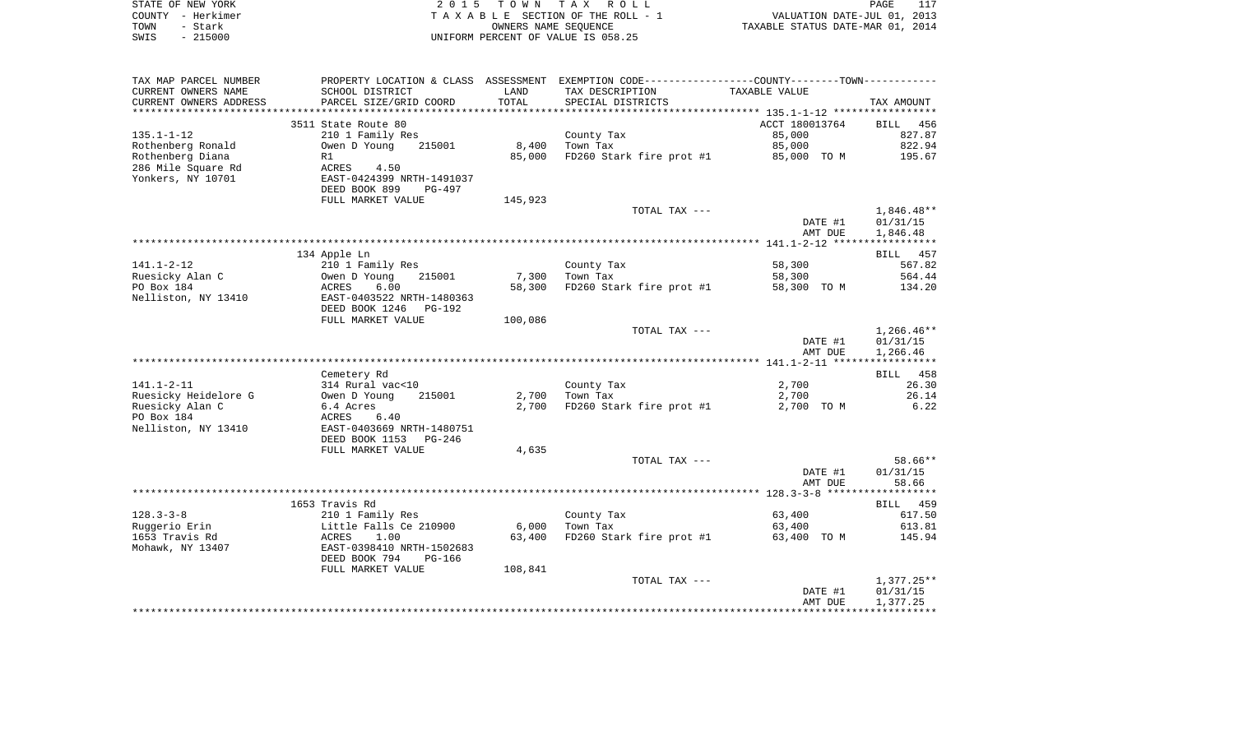|      | STATE OF NEW YORK | 2015 TOWN TAX ROLL                 | PAGE                             | 117 |
|------|-------------------|------------------------------------|----------------------------------|-----|
|      | COUNTY - Herkimer | TAXABLE SECTION OF THE ROLL - 1    | VALUATION DATE-JUL 01, 2013      |     |
| TOWN | - Stark           | OWNERS NAME SEOUENCE               | TAXABLE STATUS DATE-MAR 01, 2014 |     |
| SWIS | $-215000$         | UNIFORM PERCENT OF VALUE IS 058.25 |                                  |     |

| TAX MAP PARCEL NUMBER     |                           |         | PROPERTY LOCATION & CLASS ASSESSMENT EXEMPTION CODE----------------COUNTY-------TOWN--------- |                |                          |
|---------------------------|---------------------------|---------|-----------------------------------------------------------------------------------------------|----------------|--------------------------|
| CURRENT OWNERS NAME       | SCHOOL DISTRICT           | LAND    | TAX DESCRIPTION                                                                               | TAXABLE VALUE  |                          |
| CURRENT OWNERS ADDRESS    | PARCEL SIZE/GRID COORD    | TOTAL   | SPECIAL DISTRICTS                                                                             |                | TAX AMOUNT               |
| * * * * * * * * * * * * * |                           |         |                                                                                               |                |                          |
|                           | 3511 State Route 80       |         |                                                                                               | ACCT 180013764 | BILL 456                 |
| $135.1 - 1 - 12$          | 210 1 Family Res          |         | County Tax                                                                                    | 85,000         | 827.87                   |
| Rothenberg Ronald         | Owen D Young<br>215001    | 8,400   | Town Tax                                                                                      | 85,000         | 822.94                   |
| Rothenberg Diana          | R1                        | 85,000  | FD260 Stark fire prot #1                                                                      | 85,000 TO M    | 195.67                   |
| 286 Mile Square Rd        | ACRES<br>4.50             |         |                                                                                               |                |                          |
| Yonkers, NY 10701         | EAST-0424399 NRTH-1491037 |         |                                                                                               |                |                          |
|                           | DEED BOOK 899<br>PG-497   |         |                                                                                               |                |                          |
|                           | FULL MARKET VALUE         | 145,923 |                                                                                               |                |                          |
|                           |                           |         | TOTAL TAX ---                                                                                 |                | $1,846.48**$             |
|                           |                           |         |                                                                                               | DATE #1        | 01/31/15                 |
|                           |                           |         |                                                                                               | AMT DUE        | 1,846.48                 |
|                           |                           |         |                                                                                               |                |                          |
|                           | 134 Apple Ln              |         |                                                                                               |                | BILL 457                 |
| $141.1 - 2 - 12$          | 210 1 Family Res          |         | County Tax                                                                                    | 58,300         | 567.82                   |
| Ruesicky Alan C           | 215001<br>Owen D Young    | 7,300   | Town Tax                                                                                      | 58,300         | 564.44                   |
| PO Box 184                | ACRES<br>6.00             | 58,300  | FD260 Stark fire prot #1                                                                      | 58,300 TO M    | 134.20                   |
| Nelliston, NY 13410       | EAST-0403522 NRTH-1480363 |         |                                                                                               |                |                          |
|                           | DEED BOOK 1246 PG-192     |         |                                                                                               |                |                          |
|                           | FULL MARKET VALUE         | 100,086 |                                                                                               |                |                          |
|                           |                           |         | TOTAL TAX ---                                                                                 |                | $1,266.46**$             |
|                           |                           |         |                                                                                               | DATE #1        | 01/31/15                 |
|                           |                           |         |                                                                                               | AMT DUE        | 1,266.46                 |
|                           |                           |         |                                                                                               |                |                          |
|                           | Cemetery Rd               |         |                                                                                               |                | BILL 458                 |
| $141.1 - 2 - 11$          | 314 Rural vac<10          |         | County Tax                                                                                    | 2,700          | 26.30                    |
| Ruesicky Heidelore G      | Owen D Young<br>215001    | 2,700   | Town Tax                                                                                      | 2,700          | 26.14                    |
| Ruesicky Alan C           | 6.4 Acres                 | 2,700   | FD260 Stark fire prot #1                                                                      | 2,700 TO M     | 6.22                     |
| PO Box 184                | ACRES<br>6.40             |         |                                                                                               |                |                          |
| Nelliston, NY 13410       | EAST-0403669 NRTH-1480751 |         |                                                                                               |                |                          |
|                           | DEED BOOK 1153<br>PG-246  |         |                                                                                               |                |                          |
|                           | FULL MARKET VALUE         | 4,635   |                                                                                               |                |                          |
|                           |                           |         | TOTAL TAX ---                                                                                 |                | 58.66**                  |
|                           |                           |         |                                                                                               | DATE #1        | 01/31/15                 |
|                           |                           |         |                                                                                               | AMT DUE        | 58.66                    |
|                           |                           |         |                                                                                               |                |                          |
|                           | 1653 Travis Rd            |         |                                                                                               |                | BILL 459                 |
| $128.3 - 3 - 8$           | 210 1 Family Res          |         | County Tax                                                                                    | 63,400         | 617.50                   |
| Ruggerio Erin             | Little Falls Ce 210900    | 6,000   | Town Tax                                                                                      | 63,400         | 613.81                   |
| 1653 Travis Rd            | ACRES<br>1.00             | 63,400  | FD260 Stark fire prot #1                                                                      | 63,400 TO M    | 145.94                   |
| Mohawk, NY 13407          | EAST-0398410 NRTH-1502683 |         |                                                                                               |                |                          |
|                           | DEED BOOK 794<br>PG-166   |         |                                                                                               |                |                          |
|                           | FULL MARKET VALUE         | 108,841 |                                                                                               |                |                          |
|                           |                           |         | TOTAL TAX ---                                                                                 | DATE #1        | $1,377.25**$<br>01/31/15 |
|                           |                           |         |                                                                                               | AMT DUE        | 1,377.25                 |
|                           |                           |         |                                                                                               |                |                          |
|                           |                           |         |                                                                                               |                |                          |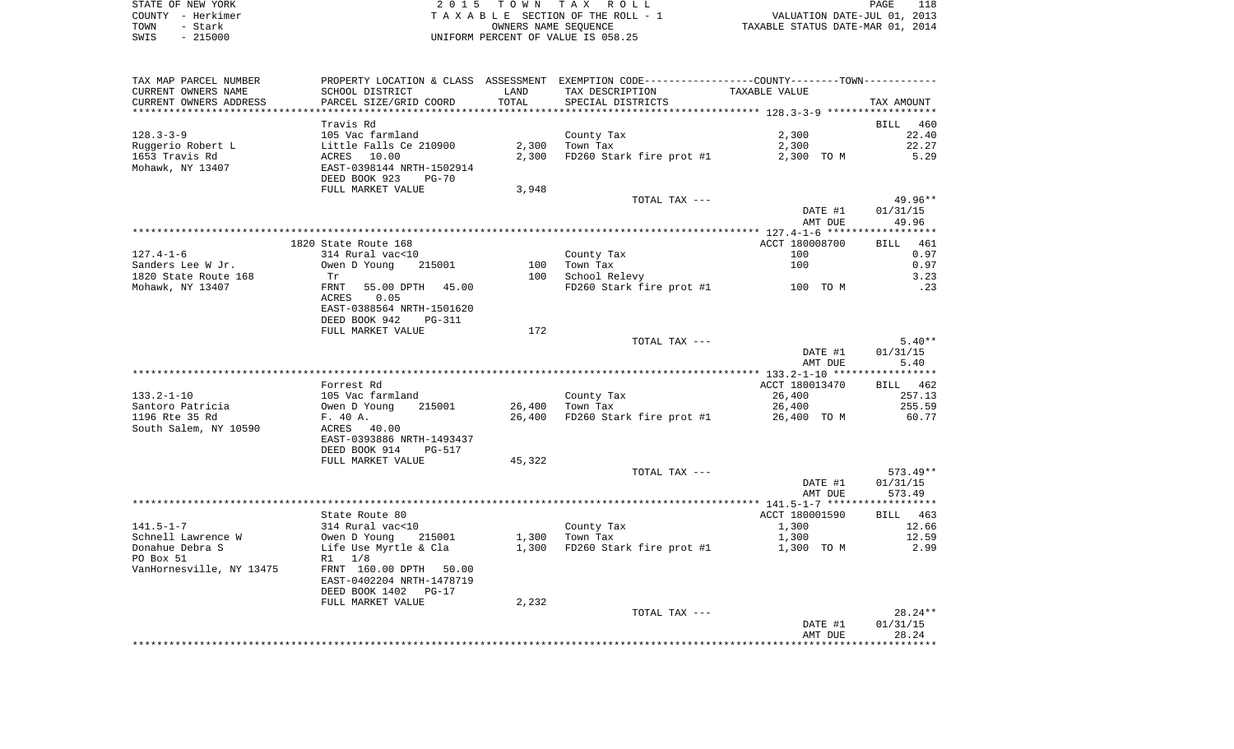| STATE OF NEW YORK | 2015 TOWN TAX ROLL                 | PAGE                             |
|-------------------|------------------------------------|----------------------------------|
| COUNTY - Herkimer | TAXABLE SECTION OF THE ROLL - 1    | VALUATION DATE-JUL 01, 2013      |
| TOWN<br>- Stark   | OWNERS NAME SEOUENCE               | TAXABLE STATUS DATE-MAR 01, 2014 |
| $-215000$<br>SWIS | UNIFORM PERCENT OF VALUE IS 058.25 |                                  |

| TAX MAP PARCEL NUMBER                    |                                            |            | PROPERTY LOCATION & CLASS ASSESSMENT EXEMPTION CODE---------------COUNTY-------TOWN---------- |                         |                   |
|------------------------------------------|--------------------------------------------|------------|-----------------------------------------------------------------------------------------------|-------------------------|-------------------|
| CURRENT OWNERS NAME                      | SCHOOL DISTRICT                            | LAND       | TAX DESCRIPTION                                                                               | TAXABLE VALUE           |                   |
| CURRENT OWNERS ADDRESS                   | PARCEL SIZE/GRID COORD                     | TOTAL      | SPECIAL DISTRICTS                                                                             |                         | TAX AMOUNT        |
| ***********************                  |                                            |            |                                                                                               |                         |                   |
|                                          | Travis Rd                                  |            |                                                                                               |                         | BILL 460          |
| $128.3 - 3 - 9$                          | 105 Vac farmland                           |            | County Tax                                                                                    | 2,300                   | 22.40             |
| Ruggerio Robert L                        | Little Falls Ce 210900                     | 2,300      | Town Tax                                                                                      | 2,300                   | 22.27             |
| 1653 Travis Rd                           | ACRES 10.00                                | 2,300      | FD260 Stark fire prot #1                                                                      | 2,300 TO M              | 5.29              |
| Mohawk, NY 13407                         | EAST-0398144 NRTH-1502914                  |            |                                                                                               |                         |                   |
|                                          | DEED BOOK 923<br>PG-70                     |            |                                                                                               |                         |                   |
|                                          | FULL MARKET VALUE                          | 3,948      |                                                                                               |                         |                   |
|                                          |                                            |            | TOTAL TAX ---                                                                                 |                         | 49.96**           |
|                                          |                                            |            |                                                                                               | DATE #1                 | 01/31/15          |
|                                          |                                            |            |                                                                                               | AMT DUE                 | 49.96             |
|                                          |                                            |            |                                                                                               |                         |                   |
|                                          | 1820 State Route 168                       |            |                                                                                               | ACCT 180008700          | 461<br>BILL       |
| $127.4 - 1 - 6$                          | 314 Rural vac<10                           |            | County Tax                                                                                    | 100                     | 0.97              |
| Sanders Lee W Jr.                        | Owen D Young<br>215001                     | 100<br>100 | Town Tax                                                                                      | 100                     | 0.97              |
| 1820 State Route 168<br>Mohawk, NY 13407 | Tr<br>FRNT<br>55.00 DPTH 45.00             |            | School Relevy<br>FD260 Stark fire prot #1                                                     | 100 TO M                | 3.23<br>.23       |
|                                          | ACRES<br>0.05                              |            |                                                                                               |                         |                   |
|                                          | EAST-0388564 NRTH-1501620                  |            |                                                                                               |                         |                   |
|                                          | DEED BOOK 942<br>PG-311                    |            |                                                                                               |                         |                   |
|                                          | FULL MARKET VALUE                          | 172        |                                                                                               |                         |                   |
|                                          |                                            |            | TOTAL TAX ---                                                                                 |                         | $5.40**$          |
|                                          |                                            |            |                                                                                               | DATE #1                 | 01/31/15          |
|                                          |                                            |            |                                                                                               | AMT DUE                 | 5.40              |
|                                          |                                            |            |                                                                                               |                         |                   |
|                                          | Forrest Rd                                 |            |                                                                                               | ACCT 180013470          | BILL 462          |
| $133.2 - 1 - 10$                         | 105 Vac farmland                           |            | County Tax                                                                                    | 26,400                  | 257.13            |
| Santoro Patricia                         | Owen D Young<br>215001                     | 26,400     | Town Tax                                                                                      | 26,400                  | 255.59            |
| 1196 Rte 35 Rd                           | F. 40 A.                                   | 26,400     | FD260 Stark fire prot #1                                                                      | 26,400 TO M             | 60.77             |
| South Salem, NY 10590                    | ACRES 40.00                                |            |                                                                                               |                         |                   |
|                                          | EAST-0393886 NRTH-1493437                  |            |                                                                                               |                         |                   |
|                                          | DEED BOOK 914<br><b>PG-517</b>             |            |                                                                                               |                         |                   |
|                                          | FULL MARKET VALUE                          | 45,322     |                                                                                               |                         |                   |
|                                          |                                            |            | TOTAL TAX ---                                                                                 |                         | 573.49**          |
|                                          |                                            |            |                                                                                               | DATE #1                 | 01/31/15          |
|                                          |                                            |            |                                                                                               | AMT DUE                 | 573.49            |
|                                          |                                            |            |                                                                                               |                         |                   |
| $141.5 - 1 - 7$                          | State Route 80                             |            |                                                                                               | ACCT 180001590<br>1,300 | BILL 463<br>12.66 |
| Schnell Lawrence W                       | 314 Rural vac<10<br>Owen D Young<br>215001 | 1,300      | County Tax<br>Town Tax                                                                        | 1,300                   | 12.59             |
| Donahue Debra S                          | Life Use Myrtle & Cla                      | 1,300      | FD260 Stark fire prot #1                                                                      | 1,300 TO M              | 2.99              |
| PO Box 51                                | R1 1/8                                     |            |                                                                                               |                         |                   |
| VanHornesville, NY 13475                 | FRNT 160.00 DPTH 50.00                     |            |                                                                                               |                         |                   |
|                                          | EAST-0402204 NRTH-1478719                  |            |                                                                                               |                         |                   |
|                                          | DEED BOOK 1402 PG-17                       |            |                                                                                               |                         |                   |
|                                          | FULL MARKET VALUE                          | 2,232      |                                                                                               |                         |                   |
|                                          |                                            |            | TOTAL TAX ---                                                                                 |                         | $28.24**$         |
|                                          |                                            |            |                                                                                               | DATE #1                 | 01/31/15          |
|                                          |                                            |            |                                                                                               | AMT DUE                 | 28.24             |
|                                          |                                            |            |                                                                                               |                         |                   |
|                                          |                                            |            |                                                                                               |                         |                   |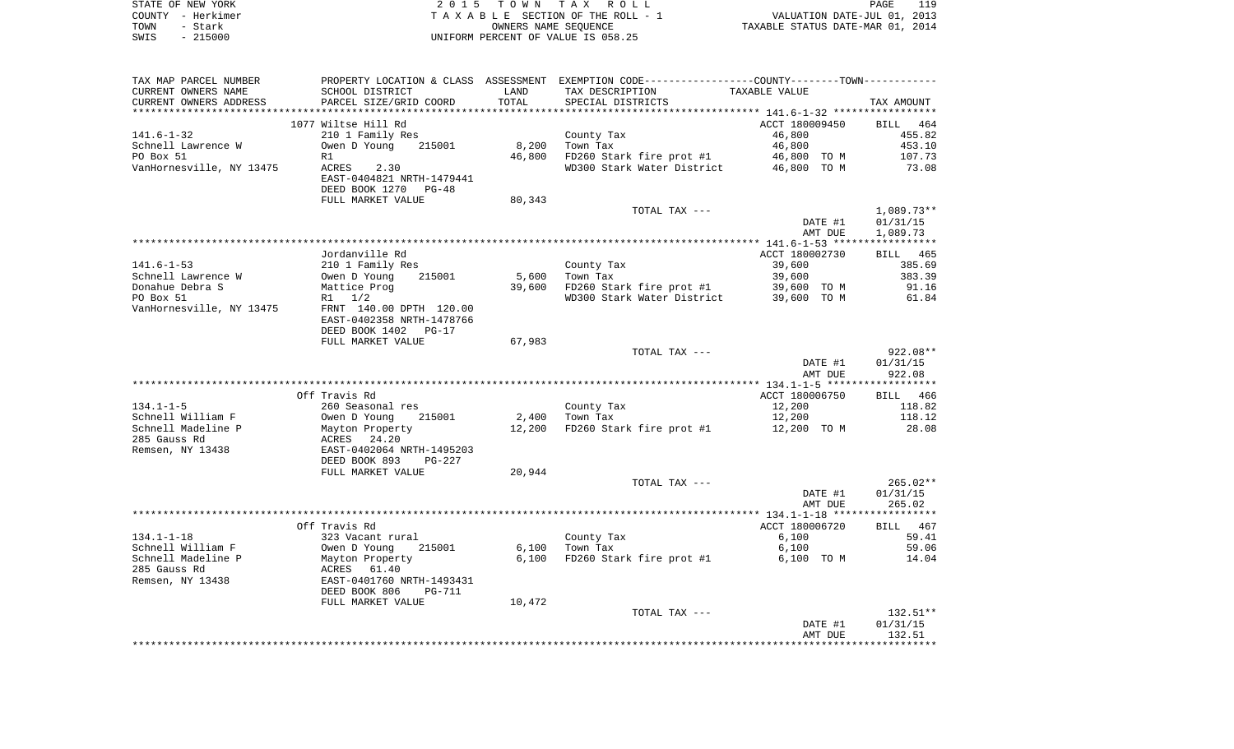|      | STATE OF NEW YORK | 2015 TOWN TAX ROLL                 | PAGE                             | 119 |
|------|-------------------|------------------------------------|----------------------------------|-----|
|      | COUNTY - Herkimer | TAXABLE SECTION OF THE ROLL - 1    | VALUATION DATE-JUL 01, 2013      |     |
| TOWN | - Stark           | OWNERS NAME SEOUENCE               | TAXABLE STATUS DATE-MAR 01, 2014 |     |
| SWIS | $-215000$         | UNIFORM PERCENT OF VALUE IS 058.25 |                                  |     |

| TAX MAP PARCEL NUMBER    |                                                             |        | PROPERTY LOCATION & CLASS ASSESSMENT EXEMPTION CODE---------------COUNTY-------TOWN---------- |                |            |
|--------------------------|-------------------------------------------------------------|--------|-----------------------------------------------------------------------------------------------|----------------|------------|
| CURRENT OWNERS NAME      | SCHOOL DISTRICT                                             | LAND   | TAX DESCRIPTION                                                                               | TAXABLE VALUE  |            |
| CURRENT OWNERS ADDRESS   | PARCEL SIZE/GRID COORD                                      | TOTAL  | SPECIAL DISTRICTS                                                                             |                | TAX AMOUNT |
|                          |                                                             |        |                                                                                               |                |            |
|                          | 1077 Wiltse Hill Rd                                         |        |                                                                                               | ACCT 180009450 | BILL 464   |
| $141.6 - 1 - 32$         | 210 1 Family Res                                            |        | County Tax                                                                                    | 46,800         | 455.82     |
| Schnell Lawrence W       | Owen D Young 215001                                         | 8,200  | Town Tax                                                                                      | 46,800         | 453.10     |
| PO Box 51                | R1                                                          | 46,800 | FD260 Stark fire prot #1 46,800 TO M                                                          |                | 107.73     |
| VanHornesville, NY 13475 | <b>ACRES</b><br>2.30                                        |        | WD300 Stark Water District                                                                    | 46,800 TO M    | 73.08      |
|                          | EAST-0404821 NRTH-1479441                                   |        |                                                                                               |                |            |
|                          | DEED BOOK 1270 PG-48                                        |        |                                                                                               |                |            |
|                          | FULL MARKET VALUE                                           | 80,343 |                                                                                               |                |            |
|                          |                                                             |        | TOTAL TAX ---                                                                                 |                | 1,089.73** |
|                          |                                                             |        |                                                                                               | DATE #1        | 01/31/15   |
|                          |                                                             |        |                                                                                               | AMT DUE        | 1,089.73   |
|                          |                                                             |        |                                                                                               |                |            |
|                          | Jordanville Rd                                              |        |                                                                                               | ACCT 180002730 | BILL 465   |
| $141.6 - 1 - 53$         |                                                             |        |                                                                                               | 39,600         | 385.69     |
|                          | 210 1 Family Res                                            |        | County Tax                                                                                    |                |            |
| Schnell Lawrence W       | Owen D Young<br>215001                                      | 5,600  | Town Tax                                                                                      | 39,600         | 383.39     |
| Donahue Debra S          | Mattice Prog                                                | 39,600 | FD260 Stark fire prot #1 39,600 TO M<br>WD300 Stark Water District 39,600 TO M                |                | 91.16      |
| PO Box 51                | $R1 \t1/2$                                                  |        |                                                                                               |                | 61.84      |
| VanHornesville, NY 13475 | FRNT 140.00 DPTH 120.00                                     |        |                                                                                               |                |            |
|                          | EAST-0402358 NRTH-1478766                                   |        |                                                                                               |                |            |
|                          | DEED BOOK 1402 PG-17                                        |        |                                                                                               |                |            |
|                          | FULL MARKET VALUE                                           | 67,983 |                                                                                               |                |            |
|                          |                                                             |        | TOTAL TAX ---                                                                                 |                | $922.08**$ |
|                          |                                                             |        |                                                                                               | DATE #1        | 01/31/15   |
|                          |                                                             |        |                                                                                               | AMT DUE        | 922.08     |
|                          |                                                             |        |                                                                                               |                |            |
|                          | Off Travis Rd                                               |        |                                                                                               | ACCT 180006750 | BILL 466   |
| $134.1 - 1 - 5$          | 260 Seasonal res                                            |        | County Tax                                                                                    | 12,200         | 118.82     |
| Schnell William F        | Owen D Young<br>215001                                      |        | 2,400 Town Tax                                                                                | 12,200         | 118.12     |
| Schnell Madeline P       | Mayton Property                                             | 12,200 | FD260 Stark fire prot $#1$ 12,200 TO M                                                        |                | 28.08      |
| 285 Gauss Rd             | ACRES 24.20                                                 |        |                                                                                               |                |            |
| Remsen, NY 13438         | EAST-0402064 NRTH-1495203                                   |        |                                                                                               |                |            |
|                          | DEED BOOK 893<br>$PG-227$                                   |        |                                                                                               |                |            |
|                          | FULL MARKET VALUE                                           | 20,944 |                                                                                               |                |            |
|                          |                                                             |        | TOTAL TAX ---                                                                                 |                | $265.02**$ |
|                          |                                                             |        |                                                                                               | DATE #1        | 01/31/15   |
|                          |                                                             |        |                                                                                               | AMT DUE        | 265.02     |
|                          |                                                             |        |                                                                                               |                |            |
|                          | Off Travis Rd                                               |        |                                                                                               | ACCT 180006720 | BILL 467   |
| $134.1 - 1 - 18$         | 323 Vacant rural                                            |        | County Tax                                                                                    | 6,100          | 59.41      |
| Schnell William F        | Owen D Young<br>215001                                      |        | $6,100$ Town Tax                                                                              | 6,100          | 59.06      |
| Schnell Madeline P       |                                                             | 6,100  | FD260 Stark fire prot #1                                                                      | 6,100 TO M     | 14.04      |
| 285 Gauss Rd             |                                                             |        |                                                                                               |                |            |
| Remsen, NY 13438         | Mayton Property<br>ACRES 61.40<br>EAST-0401760 NRTH-1493431 |        |                                                                                               |                |            |
|                          | DEED BOOK 806<br>PG-711                                     |        |                                                                                               |                |            |
|                          | FULL MARKET VALUE                                           | 10,472 |                                                                                               |                |            |
|                          |                                                             |        | TOTAL TAX ---                                                                                 |                | $132.51**$ |
|                          |                                                             |        |                                                                                               | DATE #1        | 01/31/15   |
|                          |                                                             |        |                                                                                               | AMT DUE        | 132.51     |
|                          |                                                             |        |                                                                                               |                |            |
|                          |                                                             |        |                                                                                               |                |            |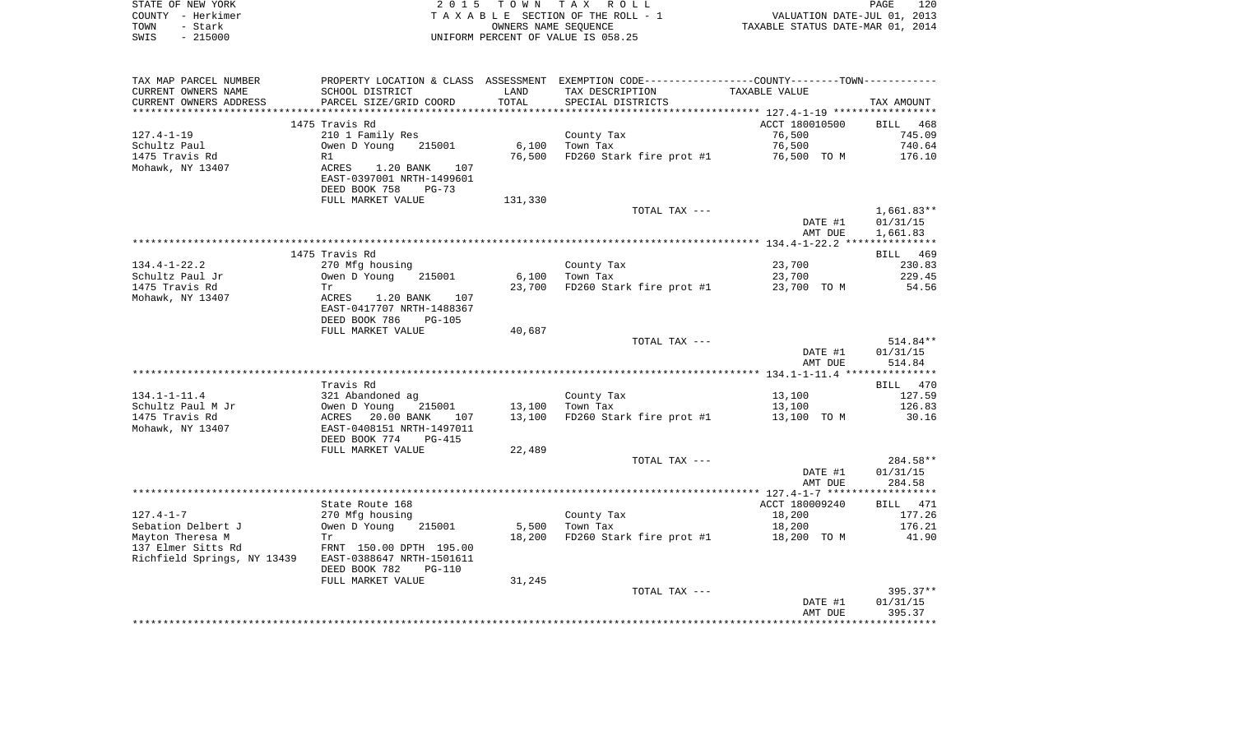| STATE OF NEW YORK | 2015 TOWN TAX ROLL                 | 120<br>PAGE                      |
|-------------------|------------------------------------|----------------------------------|
| COUNTY - Herkimer | TAXABLE SECTION OF THE ROLL - 1    | VALUATION DATE-JUL 01, 2013      |
| TOWN<br>- Stark   | OWNERS NAME SEOUENCE               | TAXABLE STATUS DATE-MAR 01, 2014 |
| $-215000$<br>SWIS | UNIFORM PERCENT OF VALUE IS 058.25 |                                  |

| TAX MAP PARCEL NUMBER<br>CURRENT OWNERS NAME<br>CURRENT OWNERS ADDRESS | PROPERTY LOCATION & CLASS ASSESSMENT<br>SCHOOL DISTRICT<br>PARCEL SIZE/GRID COORD | LAND<br>TOTAL | EXEMPTION CODE-----------------COUNTY-------TOWN-----------<br>TAX DESCRIPTION<br>SPECIAL DISTRICTS | TAXABLE VALUE  | TAX AMOUNT           |
|------------------------------------------------------------------------|-----------------------------------------------------------------------------------|---------------|-----------------------------------------------------------------------------------------------------|----------------|----------------------|
| **********************                                                 |                                                                                   |               |                                                                                                     |                |                      |
|                                                                        | 1475 Travis Rd                                                                    |               |                                                                                                     | ACCT 180010500 | BILL 468             |
| $127.4 - 1 - 19$                                                       | 210 1 Family Res                                                                  |               | County Tax                                                                                          | 76,500         | 745.09               |
| Schultz Paul                                                           | Owen D Young<br>215001                                                            | 6,100         | Town Tax                                                                                            | 76,500         | 740.64               |
| 1475 Travis Rd                                                         | R1                                                                                | 76,500        | FD260 Stark fire prot #1                                                                            | 76,500 TO M    | 176.10               |
| Mohawk, NY 13407                                                       | ACRES<br>1.20 BANK<br>107                                                         |               |                                                                                                     |                |                      |
|                                                                        | EAST-0397001 NRTH-1499601                                                         |               |                                                                                                     |                |                      |
|                                                                        | DEED BOOK 758<br>$PG-73$<br>FULL MARKET VALUE                                     | 131,330       |                                                                                                     |                |                      |
|                                                                        |                                                                                   |               | TOTAL TAX ---                                                                                       |                | $1,661.83**$         |
|                                                                        |                                                                                   |               |                                                                                                     | DATE #1        | 01/31/15             |
|                                                                        |                                                                                   |               |                                                                                                     | AMT DUE        | 1,661.83             |
|                                                                        |                                                                                   |               |                                                                                                     |                |                      |
|                                                                        | 1475 Travis Rd                                                                    |               |                                                                                                     |                | BILL 469             |
| $134.4 - 1 - 22.2$                                                     | 270 Mfg housing                                                                   |               | County Tax                                                                                          | 23,700         | 230.83               |
| Schultz Paul Jr                                                        | Owen D Young<br>215001                                                            | 6,100         | Town Tax                                                                                            | 23,700         | 229.45               |
| 1475 Travis Rd                                                         | Tr                                                                                | 23,700        | FD260 Stark fire prot #1                                                                            | 23,700 TO M    | 54.56                |
| Mohawk, NY 13407                                                       | ACRES<br>1.20 BANK<br>107                                                         |               |                                                                                                     |                |                      |
|                                                                        | EAST-0417707 NRTH-1488367                                                         |               |                                                                                                     |                |                      |
|                                                                        | DEED BOOK 786<br><b>PG-105</b>                                                    |               |                                                                                                     |                |                      |
|                                                                        | FULL MARKET VALUE                                                                 | 40,687        | TOTAL TAX ---                                                                                       |                | 514.84**             |
|                                                                        |                                                                                   |               |                                                                                                     | DATE #1        | 01/31/15             |
|                                                                        |                                                                                   |               |                                                                                                     | AMT DUE        | 514.84               |
|                                                                        |                                                                                   |               |                                                                                                     |                |                      |
|                                                                        | Travis Rd                                                                         |               |                                                                                                     |                | BILL 470             |
| $134.1 - 1 - 11.4$                                                     | 321 Abandoned ag                                                                  |               | County Tax                                                                                          | 13,100         | 127.59               |
| Schultz Paul M Jr                                                      | Owen D Young<br>215001                                                            | 13,100        | Town Tax                                                                                            | 13,100         | 126.83               |
| 1475 Travis Rd                                                         | ACRES<br>20.00 BANK<br>107                                                        | 13,100        | FD260 Stark fire prot #1                                                                            | 13,100 TO M    | 30.16                |
| Mohawk, NY 13407                                                       | EAST-0408151 NRTH-1497011                                                         |               |                                                                                                     |                |                      |
|                                                                        | DEED BOOK 774<br><b>PG-415</b>                                                    |               |                                                                                                     |                |                      |
|                                                                        | FULL MARKET VALUE                                                                 | 22,489        |                                                                                                     |                |                      |
|                                                                        |                                                                                   |               | TOTAL TAX ---                                                                                       | DATE #1        | 284.58**<br>01/31/15 |
|                                                                        |                                                                                   |               |                                                                                                     | AMT DUE        | 284.58               |
|                                                                        |                                                                                   |               |                                                                                                     |                |                      |
|                                                                        | State Route 168                                                                   |               |                                                                                                     | ACCT 180009240 | BILL 471             |
| $127.4 - 1 - 7$                                                        | 270 Mfg housing                                                                   |               | County Tax                                                                                          | 18,200         | 177.26               |
| Sebation Delbert J                                                     | Owen D Young<br>215001                                                            | 5,500         | Town Tax                                                                                            | 18,200         | 176.21               |
| Mayton Theresa M                                                       | Tr                                                                                | 18,200        | FD260 Stark fire prot #1                                                                            | 18,200 TO M    | 41.90                |
| 137 Elmer Sitts Rd                                                     | FRNT 150.00 DPTH 195.00                                                           |               |                                                                                                     |                |                      |
| Richfield Springs, NY 13439                                            | EAST-0388647 NRTH-1501611                                                         |               |                                                                                                     |                |                      |
|                                                                        | DEED BOOK 782<br><b>PG-110</b>                                                    |               |                                                                                                     |                |                      |
|                                                                        | FULL MARKET VALUE                                                                 | 31,245        |                                                                                                     |                |                      |
|                                                                        |                                                                                   |               | TOTAL TAX ---                                                                                       | DATE #1        | 395.37**<br>01/31/15 |
|                                                                        |                                                                                   |               |                                                                                                     | AMT DUE        | 395.37               |
|                                                                        |                                                                                   |               |                                                                                                     |                |                      |
|                                                                        |                                                                                   |               |                                                                                                     |                |                      |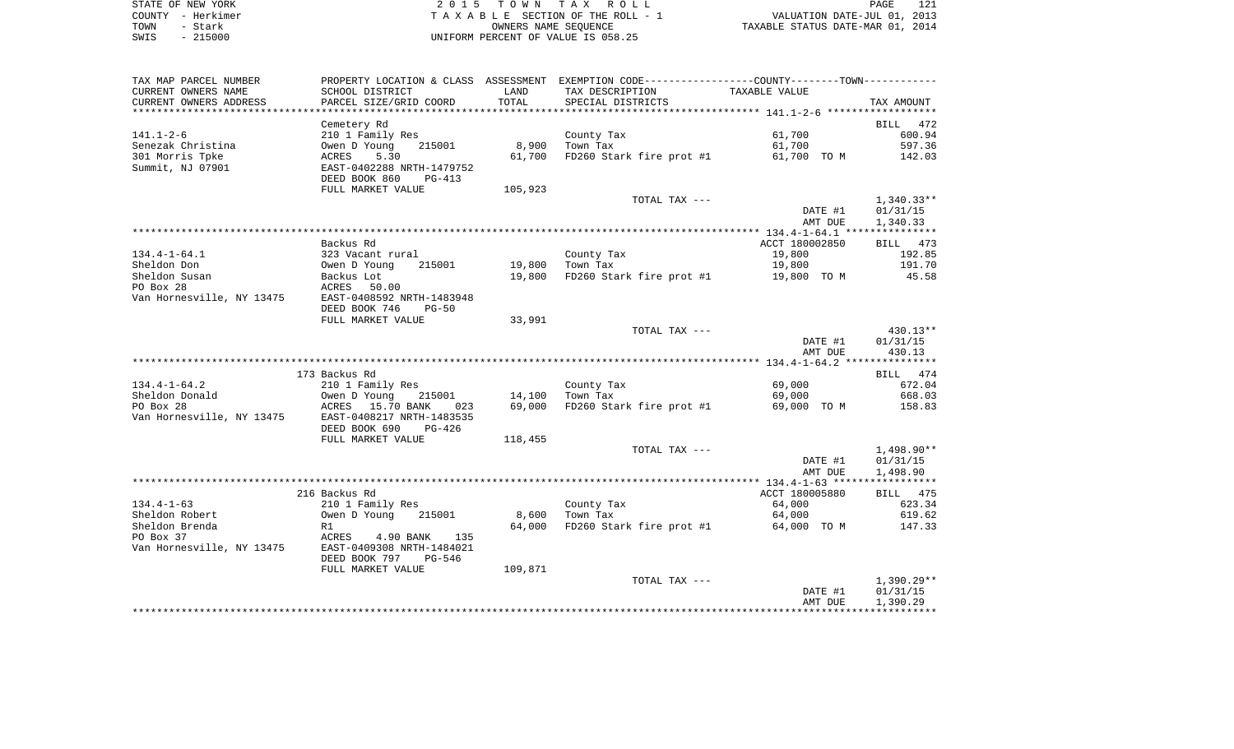| STATE OF NEW YORK | 2015 TOWN TAX ROLL                 | 121<br>PAGE                      |
|-------------------|------------------------------------|----------------------------------|
| COUNTY - Herkimer | TAXABLE SECTION OF THE ROLL - 1    | VALUATION DATE-JUL 01, 2013      |
| TOWN<br>- Stark   | OWNERS NAME SEOUENCE               | TAXABLE STATUS DATE-MAR 01, 2014 |
| $-215000$<br>SWIS | UNIFORM PERCENT OF VALUE IS 058.25 |                                  |

| TAX MAP PARCEL NUMBER     |                                                                          |         | PROPERTY LOCATION & CLASS ASSESSMENT EXEMPTION CODE----------------COUNTY--------TOWN---------- |                    |                    |
|---------------------------|--------------------------------------------------------------------------|---------|-------------------------------------------------------------------------------------------------|--------------------|--------------------|
| CURRENT OWNERS NAME       | SCHOOL DISTRICT                                                          | LAND    | TAX DESCRIPTION                                                                                 | TAXABLE VALUE      |                    |
| CURRENT OWNERS ADDRESS    | PARCEL SIZE/GRID COORD                                                   | TOTAL   | SPECIAL DISTRICTS                                                                               |                    | TAX AMOUNT         |
|                           |                                                                          |         |                                                                                                 |                    |                    |
|                           | Cemetery Rd                                                              |         |                                                                                                 |                    | BILL 472           |
| $141.1 - 2 - 6$           | 210 1 Family Res                                                         |         | County Tax                                                                                      | 61,700             | 600.94             |
| Senezak Christina         | Owen D Young<br>215001                                                   | 8,900   | Town Tax                                                                                        | 61,700             | 597.36             |
| 301 Morris Tpke           | ACRES<br>5.30                                                            | 61,700  | FD260 Stark fire prot #1                                                                        | 61,700 TO M        | 142.03             |
| Summit, NJ 07901          | EAST-0402288 NRTH-1479752                                                |         |                                                                                                 |                    |                    |
|                           | DEED BOOK 860<br>PG-413<br>FULL MARKET VALUE                             | 105,923 |                                                                                                 |                    |                    |
|                           |                                                                          |         | TOTAL TAX ---                                                                                   |                    | 1,340.33**         |
|                           |                                                                          |         |                                                                                                 | DATE #1            | 01/31/15           |
|                           |                                                                          |         |                                                                                                 | AMT DUE            | 1,340.33           |
|                           |                                                                          |         |                                                                                                 |                    |                    |
|                           | Backus Rd                                                                |         |                                                                                                 | ACCT 180002850     | BILL 473           |
| $134.4 - 1 - 64.1$        | 323 Vacant rural                                                         |         | County Tax                                                                                      | 19,800             | 192.85             |
| Sheldon Don               | 215001                                                                   | 19,800  | Town Tax                                                                                        | 19,800             | 191.70             |
| Sheldon Susan             | Owen D Young<br>Backus Lot                                               |         | 19,800 FD260 Stark fire prot #1                                                                 | 19,800 TO M        | 45.58              |
| PO Box 28                 | ACRES 50.00                                                              |         |                                                                                                 |                    |                    |
| Van Hornesville, NY 13475 | EAST-0408592 NRTH-1483948                                                |         |                                                                                                 |                    |                    |
|                           | DEED BOOK 746<br>$PG-50$                                                 |         |                                                                                                 |                    |                    |
|                           | FULL MARKET VALUE                                                        | 33,991  |                                                                                                 |                    |                    |
|                           |                                                                          |         | TOTAL TAX ---                                                                                   |                    | 430.13**           |
|                           |                                                                          |         |                                                                                                 | DATE #1<br>AMT DUE | 01/31/15<br>430.13 |
|                           |                                                                          |         |                                                                                                 |                    |                    |
|                           | 173 Backus Rd                                                            |         |                                                                                                 |                    | BILL 474           |
| $134.4 - 1 - 64.2$        | 210 1 Family Res                                                         |         | County Tax                                                                                      | 69,000             | 672.04             |
| Sheldon Donald            | Owen D Young 215001<br>ACRES 15.70 BANK 023<br>EAST-0408217 NRTH-1483535 | 14,100  | Town Tax                                                                                        | 69,000             | 668.03             |
| PO Box 28                 |                                                                          | 69,000  | FD260 Stark fire prot #1                                                                        | 69,000 TO M        | 158.83             |
| Van Hornesville, NY 13475 |                                                                          |         |                                                                                                 |                    |                    |
|                           | DEED BOOK 690<br>$PG-426$                                                |         |                                                                                                 |                    |                    |
|                           | FULL MARKET VALUE                                                        | 118,455 |                                                                                                 |                    |                    |
|                           |                                                                          |         | TOTAL TAX ---                                                                                   |                    | 1,498.90**         |
|                           |                                                                          |         |                                                                                                 | DATE #1            | 01/31/15           |
|                           |                                                                          |         |                                                                                                 | AMT DUE            | 1,498.90           |
|                           |                                                                          |         |                                                                                                 | ACCT 180005880     |                    |
| $134.4 - 1 - 63$          | 216 Backus Rd<br>210 1 Family Res                                        |         |                                                                                                 | 64,000             | BILL 475<br>623.34 |
| Sheldon Robert            | Owen D Young<br>215001                                                   | 8,600   | County Tax<br>Town Tax<br>Town Tax                                                              | 64,000             | 619.62             |
| Sheldon Brenda            | R1                                                                       | 64,000  | FD260 Stark fire prot #1                                                                        | 64,000 TO M        | 147.33             |
| PO Box 37                 | ACRES<br>4.90 BANK<br>135                                                |         |                                                                                                 |                    |                    |
| Van Hornesville, NY 13475 | EAST-0409308 NRTH-1484021                                                |         |                                                                                                 |                    |                    |
|                           | DEED BOOK 797<br>PG-546                                                  |         |                                                                                                 |                    |                    |
|                           | FULL MARKET VALUE                                                        | 109,871 |                                                                                                 |                    |                    |
|                           |                                                                          |         | TOTAL TAX ---                                                                                   |                    | 1,390.29**         |
|                           |                                                                          |         |                                                                                                 | DATE #1            | 01/31/15           |
|                           |                                                                          |         |                                                                                                 | AMT DUE            | 1,390.29           |
|                           |                                                                          |         |                                                                                                 |                    |                    |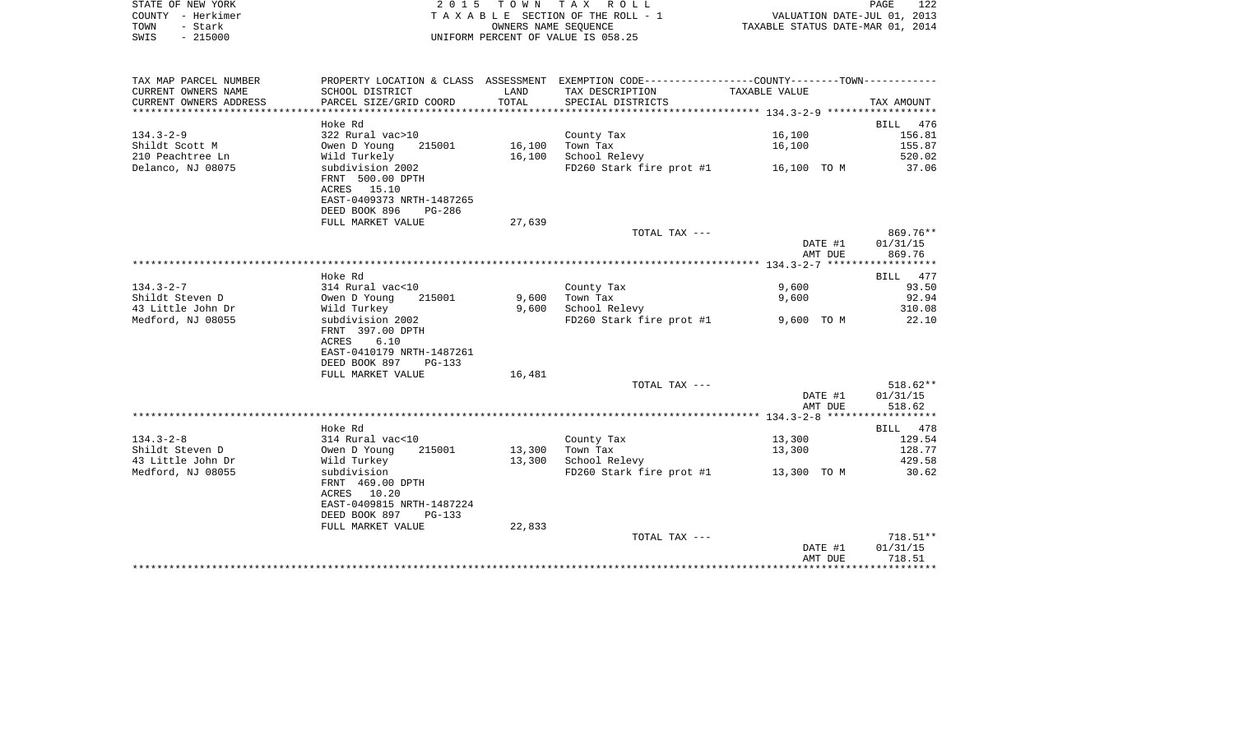| STATE OF NEW YORK | 2015 TOWN TAX ROLL                 |                      |                                  | PAGE | 122 |
|-------------------|------------------------------------|----------------------|----------------------------------|------|-----|
| COUNTY – Herkimer | TAXABLE SECTION OF THE ROLL - 1    |                      | VALUATION DATE-JUL 01, 2013      |      |     |
| TOWN<br>- Stark   |                                    | OWNERS NAME SEOUENCE | TAXABLE STATUS DATE-MAR 01, 2014 |      |     |
| $-215000$<br>SWIS | UNIFORM PERCENT OF VALUE IS 058.25 |                      |                                  |      |     |

| TAX MAP PARCEL NUMBER  |                           |        | PROPERTY LOCATION & CLASS ASSESSMENT EXEMPTION CODE---------------COUNTY--------TOWN---------- |               |            |
|------------------------|---------------------------|--------|------------------------------------------------------------------------------------------------|---------------|------------|
| CURRENT OWNERS NAME    | SCHOOL DISTRICT           | LAND   | TAX DESCRIPTION                                                                                | TAXABLE VALUE |            |
| CURRENT OWNERS ADDRESS | PARCEL SIZE/GRID COORD    | TOTAL  | SPECIAL DISTRICTS                                                                              |               | TAX AMOUNT |
|                        |                           |        |                                                                                                |               |            |
|                        | Hoke Rd                   |        |                                                                                                |               | BILL 476   |
| $134.3 - 2 - 9$        | 322 Rural vac>10          |        | County Tax                                                                                     | 16,100        | 156.81     |
| Shildt Scott M         | 215001<br>Owen D Young    | 16,100 | Town Tax                                                                                       | 16,100        | 155.87     |
| 210 Peachtree Ln       | Wild Turkely              | 16,100 | School Relevy                                                                                  |               | 520.02     |
| Delanco, NJ 08075      | subdivision 2002          |        | FD260 Stark fire prot #1 16,100 TO M                                                           |               | 37.06      |
|                        | FRNT 500.00 DPTH          |        |                                                                                                |               |            |
|                        | ACRES 15.10               |        |                                                                                                |               |            |
|                        | EAST-0409373 NRTH-1487265 |        |                                                                                                |               |            |
|                        | DEED BOOK 896<br>$PG-286$ |        |                                                                                                |               |            |
|                        | FULL MARKET VALUE         | 27,639 |                                                                                                |               |            |
|                        |                           |        | TOTAL TAX ---                                                                                  |               | 869.76**   |
|                        |                           |        |                                                                                                | DATE #1       | 01/31/15   |
|                        |                           |        |                                                                                                | AMT DUE       | 869.76     |
|                        |                           |        |                                                                                                |               |            |
|                        | Hoke Rd                   |        |                                                                                                |               | BILL 477   |
| $134.3 - 2 - 7$        | 314 Rural vac<10          |        | County Tax                                                                                     | 9,600         | 93.50      |
| Shildt Steven D        | Owen D Young<br>215001    | 9,600  | Town Tax                                                                                       | 9,600         | 92.94      |
| 43 Little John Dr      | Wild Turkey               | 9,600  | School Relevy                                                                                  |               | 310.08     |
| Medford, NJ 08055      | subdivision 2002          |        | FD260 Stark fire prot #1                                                                       | 9,600 TO M    | 22.10      |
|                        | FRNT 397.00 DPTH          |        |                                                                                                |               |            |
|                        | ACRES<br>6.10             |        |                                                                                                |               |            |
|                        | EAST-0410179 NRTH-1487261 |        |                                                                                                |               |            |
|                        | DEED BOOK 897<br>$PG-133$ |        |                                                                                                |               |            |
|                        | FULL MARKET VALUE         | 16,481 |                                                                                                |               |            |
|                        |                           |        | TOTAL TAX ---                                                                                  |               | $518.62**$ |
|                        |                           |        |                                                                                                | DATE #1       | 01/31/15   |
|                        |                           |        |                                                                                                | AMT DUE       | 518.62     |
|                        |                           |        |                                                                                                |               |            |
|                        | Hoke Rd                   |        |                                                                                                |               | BILL 478   |
| $134.3 - 2 - 8$        | 314 Rural vac<10          |        | County Tax                                                                                     | 13,300        | 129.54     |
| Shildt Steven D        | 215001<br>Owen D Young    | 13,300 | Town Tax                                                                                       | 13,300        | 128.77     |
| 43 Little John Dr      | Wild Turkey               | 13,300 | School Relevy                                                                                  |               | 429.58     |
| Medford, NJ 08055      | subdivision               |        | FD260 Stark fire prot #1 13,300 TO M                                                           |               | 30.62      |
|                        | FRNT 469.00 DPTH          |        |                                                                                                |               |            |
|                        | ACRES 10.20               |        |                                                                                                |               |            |
|                        | EAST-0409815 NRTH-1487224 |        |                                                                                                |               |            |
|                        | DEED BOOK 897<br>PG-133   |        |                                                                                                |               |            |
|                        | FULL MARKET VALUE         | 22,833 |                                                                                                |               |            |
|                        |                           |        | TOTAL TAX ---                                                                                  |               | 718.51**   |
|                        |                           |        |                                                                                                | DATE #1       | 01/31/15   |
|                        |                           |        |                                                                                                | AMT DUE       | 718.51     |
|                        |                           |        |                                                                                                |               |            |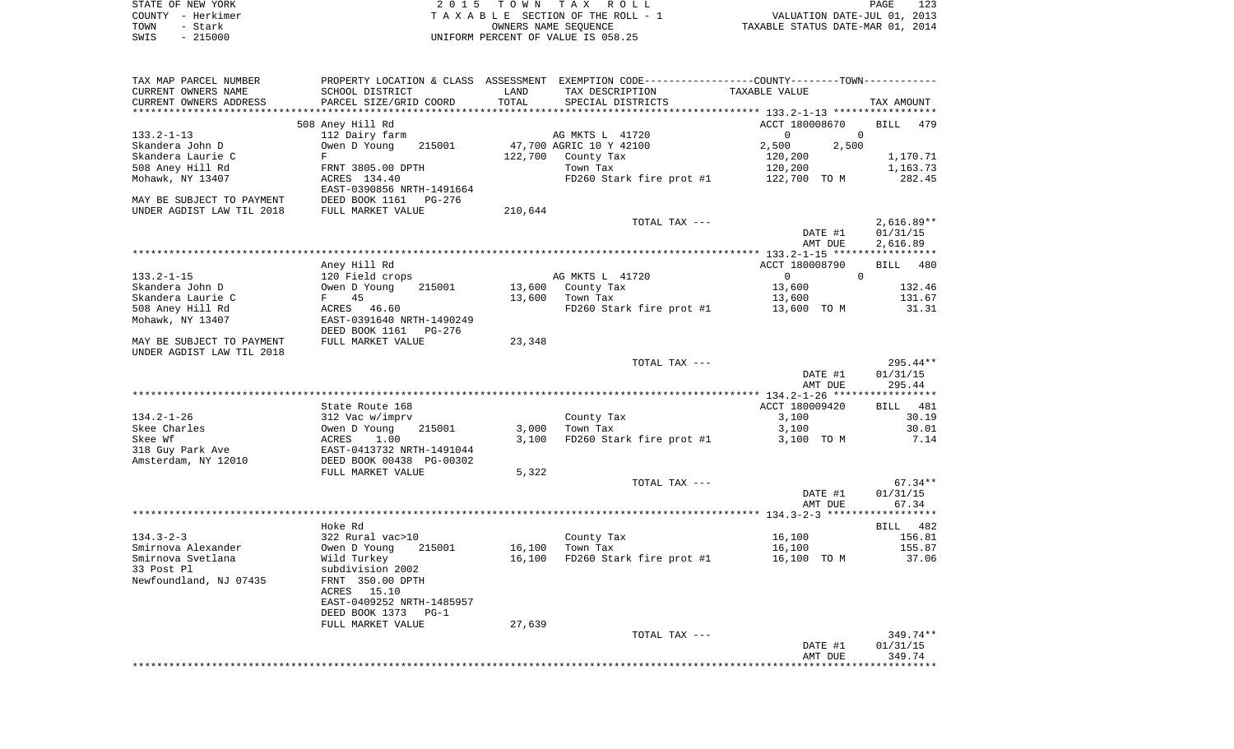|      | STATE OF NEW YORK | 2015 TOWN TAX ROLL                 | 123<br>PAGE                      |
|------|-------------------|------------------------------------|----------------------------------|
|      | COUNTY - Herkimer | TAXABLE SECTION OF THE ROLL - 1    | VALUATION DATE-JUL 01, 2013      |
| TOWN | - Stark           | OWNERS NAME SEOUENCE               | TAXABLE STATUS DATE-MAR 01, 2014 |
| SWIS | - 215000          | UNIFORM PERCENT OF VALUE IS 058.25 |                                  |

| TAX MAP PARCEL NUMBER     |                                |         | PROPERTY LOCATION & CLASS ASSESSMENT EXEMPTION CODE----------------COUNTY-------TOWN---------- |                            |                    |
|---------------------------|--------------------------------|---------|------------------------------------------------------------------------------------------------|----------------------------|--------------------|
| CURRENT OWNERS NAME       | SCHOOL DISTRICT                | LAND    | TAX DESCRIPTION                                                                                | TAXABLE VALUE              |                    |
| CURRENT OWNERS ADDRESS    | PARCEL SIZE/GRID COORD         | TOTAL   | SPECIAL DISTRICTS                                                                              |                            | TAX AMOUNT         |
| **********************    | ****************************** |         |                                                                                                |                            |                    |
|                           | 508 Aney Hill Rd               |         |                                                                                                | ACCT 180008670             | <b>BILL</b><br>479 |
| $133.2 - 1 - 13$          | 112 Dairy farm                 |         | AG MKTS L 41720                                                                                | $\mathbf 0$<br>$\mathbf 0$ |                    |
| Skandera John D           | Owen D Young<br>215001         |         | 47,700 AGRIC 10 Y 42100                                                                        | 2,500<br>2,500             |                    |
| Skandera Laurie C         | F                              | 122,700 | County Tax                                                                                     | 120,200                    | 1,170.71           |
| 508 Aney Hill Rd          | FRNT 3805.00 DPTH              |         | Town Tax                                                                                       | 120,200                    | 1,163.73           |
| Mohawk, NY 13407          | ACRES 134.40                   |         | FD260 Stark fire prot #1                                                                       | 122,700 TO M               | 282.45             |
|                           | EAST-0390856 NRTH-1491664      |         |                                                                                                |                            |                    |
| MAY BE SUBJECT TO PAYMENT | DEED BOOK 1161<br>PG-276       |         |                                                                                                |                            |                    |
| UNDER AGDIST LAW TIL 2018 | FULL MARKET VALUE              | 210,644 |                                                                                                |                            |                    |
|                           |                                |         | TOTAL TAX ---                                                                                  |                            | $2,616.89**$       |
|                           |                                |         |                                                                                                | DATE #1                    | 01/31/15           |
|                           |                                |         |                                                                                                | AMT DUE                    | 2,616.89           |
|                           |                                |         |                                                                                                |                            |                    |
|                           | Aney Hill Rd                   |         |                                                                                                | ACCT 180008790             | 480<br>BILL        |
| $133.2 - 1 - 15$          | 120 Field crops                |         | AG MKTS L 41720                                                                                | $\Omega$<br>$\overline{0}$ |                    |
| Skandera John D           | Owen D Young<br>215001         | 13,600  | County Tax                                                                                     | 13,600                     | 132.46             |
| Skandera Laurie C         | F<br>45                        | 13,600  | Town Tax                                                                                       | 13,600                     | 131.67             |
| 508 Aney Hill Rd          | ACRES 46.60                    |         | FD260 Stark fire prot #1                                                                       | 13,600 TO M                | 31.31              |
| Mohawk, NY 13407          | EAST-0391640 NRTH-1490249      |         |                                                                                                |                            |                    |
|                           | DEED BOOK 1161<br>PG-276       |         |                                                                                                |                            |                    |
| MAY BE SUBJECT TO PAYMENT | FULL MARKET VALUE              | 23,348  |                                                                                                |                            |                    |
| UNDER AGDIST LAW TIL 2018 |                                |         |                                                                                                |                            |                    |
|                           |                                |         | TOTAL TAX ---                                                                                  |                            | 295.44**           |
|                           |                                |         |                                                                                                | DATE #1                    | 01/31/15           |
|                           |                                |         |                                                                                                | AMT DUE                    | 295.44             |
|                           |                                |         |                                                                                                |                            |                    |
|                           | State Route 168                |         |                                                                                                | ACCT 180009420             | BILL 481           |
| $134.2 - 1 - 26$          | 312 Vac w/imprv                |         | County Tax                                                                                     | 3,100                      | 30.19              |
| Skee Charles              | Owen D Young<br>215001         | 3,000   | Town Tax                                                                                       | 3,100                      | 30.01              |
| Skee Wf                   | ACRES<br>1.00                  | 3,100   | FD260 Stark fire prot #1                                                                       | 3,100 TO M                 | 7.14               |
| 318 Guy Park Ave          | EAST-0413732 NRTH-1491044      |         |                                                                                                |                            |                    |
| Amsterdam, NY 12010       | DEED BOOK 00438 PG-00302       |         |                                                                                                |                            |                    |
|                           | FULL MARKET VALUE              | 5,322   |                                                                                                |                            |                    |
|                           |                                |         | TOTAL TAX ---                                                                                  |                            | $67.34**$          |
|                           |                                |         |                                                                                                | DATE #1                    | 01/31/15           |
|                           |                                |         |                                                                                                | AMT DUE                    | 67.34              |
|                           |                                |         |                                                                                                |                            |                    |
|                           | Hoke Rd                        |         |                                                                                                |                            | BILL<br>482        |
| $134.3 - 2 - 3$           | 322 Rural vac>10               |         | County Tax                                                                                     | 16,100                     | 156.81             |
| Smirnova Alexander        | Owen D Young<br>215001         | 16,100  | Town Tax                                                                                       | 16,100                     | 155.87             |
| Smirnova Svetlana         | Wild Turkey                    | 16,100  | FD260 Stark fire prot #1                                                                       | 16,100 TO M                | 37.06              |
| 33 Post Pl                | subdivision 2002               |         |                                                                                                |                            |                    |
| Newfoundland, NJ 07435    | FRNT 350.00 DPTH               |         |                                                                                                |                            |                    |
|                           | ACRES<br>15.10                 |         |                                                                                                |                            |                    |
|                           | EAST-0409252 NRTH-1485957      |         |                                                                                                |                            |                    |
|                           | DEED BOOK 1373<br>$PG-1$       |         |                                                                                                |                            |                    |
|                           | FULL MARKET VALUE              | 27,639  |                                                                                                |                            |                    |
|                           |                                |         | TOTAL TAX ---                                                                                  |                            | 349.74**           |
|                           |                                |         |                                                                                                |                            |                    |
|                           |                                |         |                                                                                                | DATE #1<br>AMT DUE         | 01/31/15<br>349.74 |
|                           |                                |         |                                                                                                |                            | ***********        |
|                           |                                |         |                                                                                                |                            |                    |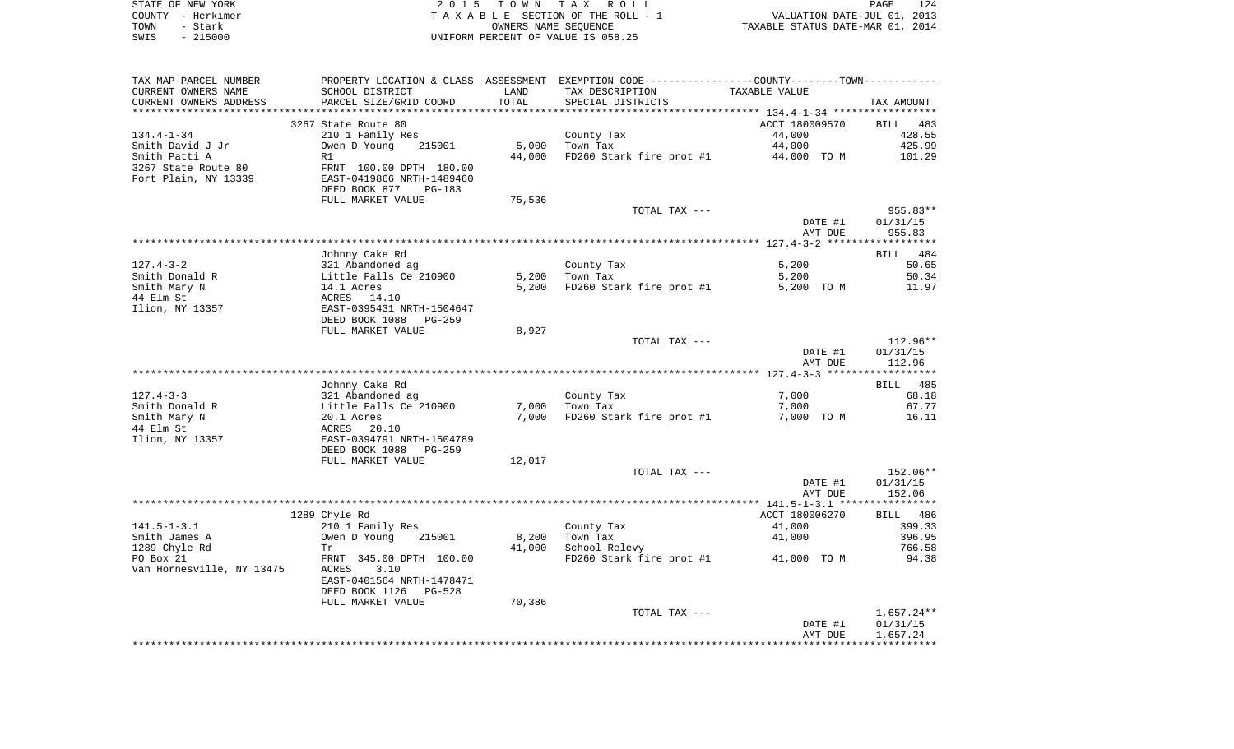| STATE OF NEW YORK |          | 2015 TOWN TAX ROLL                 | PAGE                             | 124 |
|-------------------|----------|------------------------------------|----------------------------------|-----|
| COUNTY - Herkimer |          | TAXABLE SECTION OF THE ROLL - 1    | VALUATION DATE-JUL 01, 2013      |     |
| TOWN              | - Stark  | OWNERS NAME SEOUENCE               | TAXABLE STATUS DATE-MAR 01, 2014 |     |
| SWIS              | - 215000 | UNIFORM PERCENT OF VALUE IS 058.25 |                                  |     |

| TAX MAP PARCEL NUMBER     |                                            |        | PROPERTY LOCATION & CLASS ASSESSMENT EXEMPTION CODE---------------COUNTY-------TOWN---------- |                |                 |
|---------------------------|--------------------------------------------|--------|-----------------------------------------------------------------------------------------------|----------------|-----------------|
| CURRENT OWNERS NAME       | SCHOOL DISTRICT                            | LAND   | TAX DESCRIPTION                                                                               | TAXABLE VALUE  |                 |
| CURRENT OWNERS ADDRESS    | PARCEL SIZE/GRID COORD                     | TOTAL  | SPECIAL DISTRICTS                                                                             |                | TAX AMOUNT      |
|                           |                                            |        |                                                                                               |                |                 |
|                           | 3267 State Route 80                        |        |                                                                                               | ACCT 180009570 | BILL 483        |
| 134.4-1-34                | 210 1 Family Res                           |        | County Tax                                                                                    | 44,000         | 428.55          |
| Smith David J Jr          | Owen D Young<br>215001                     | 5,000  | Town Tax                                                                                      | 44,000         | 425.99          |
| Smith Patti A             | R1                                         | 44,000 | FD260 Stark fire prot #1 44,000 TO M                                                          |                | 101.29          |
| 3267 State Route 80       | FRNT 100.00 DPTH 180.00                    |        |                                                                                               |                |                 |
| Fort Plain, NY 13339      | EAST-0419866 NRTH-1489460                  |        |                                                                                               |                |                 |
|                           | DEED BOOK 877<br><b>PG-183</b>             |        |                                                                                               |                |                 |
|                           | FULL MARKET VALUE                          | 75,536 |                                                                                               |                |                 |
|                           |                                            |        |                                                                                               |                |                 |
|                           |                                            |        | TOTAL TAX ---                                                                                 |                | 955.83**        |
|                           |                                            |        |                                                                                               | DATE #1        | 01/31/15        |
|                           |                                            |        |                                                                                               | AMT DUE        | 955.83          |
|                           |                                            |        |                                                                                               |                |                 |
|                           | Johnny Cake Rd                             |        |                                                                                               |                | BILL 484        |
| $127.4 - 3 - 2$           | 321 Abandoned ag<br>Little Falls Ce 210900 |        | County Tax                                                                                    | 5,200          | 50.65           |
| Smith Donald R            |                                            | 5,200  | Town Tax                                                                                      | 5,200          | 50.34           |
| Smith Mary N              | 14.1 Acres                                 | 5,200  | FD260 Stark fire prot #1                                                                      | 5,200 TO M     | 11.97           |
| 44 Elm St                 | ACRES 14.10                                |        |                                                                                               |                |                 |
| Ilion, NY 13357           | EAST-0395431 NRTH-1504647                  |        |                                                                                               |                |                 |
|                           | DEED BOOK 1088<br>PG-259                   |        |                                                                                               |                |                 |
|                           | FULL MARKET VALUE                          | 8,927  |                                                                                               |                |                 |
|                           |                                            |        | TOTAL TAX ---                                                                                 |                | 112.96**        |
|                           |                                            |        |                                                                                               | DATE #1        | 01/31/15        |
|                           |                                            |        |                                                                                               | AMT DUE        | 112.96          |
|                           |                                            |        |                                                                                               |                |                 |
|                           | Johnny Cake Rd                             |        |                                                                                               |                | <b>BILL</b> 485 |
| 127.4-3-3                 | 321 Abandoned ag                           |        | County Tax                                                                                    | 7,000          | 68.18           |
| Smith Donald R            | Little Falls Ce 210900                     | 7,000  | Town Tax                                                                                      | 7,000          | 67.77           |
| Smith Mary N              | 20.1 Acres                                 |        | 7,000 FD260 Stark fire prot #1                                                                | 7,000 TO M     | 16.11           |
| 44 Elm St                 |                                            |        |                                                                                               |                |                 |
| Ilion, NY 13357           | ACRES 20.10<br>EAST-0394791 NRTH-1504789   |        |                                                                                               |                |                 |
|                           | DEED BOOK 1088<br>PG-259                   |        |                                                                                               |                |                 |
|                           | FULL MARKET VALUE                          | 12,017 |                                                                                               |                |                 |
|                           |                                            |        | TOTAL TAX ---                                                                                 |                | 152.06**        |
|                           |                                            |        |                                                                                               | DATE #1        | 01/31/15        |
|                           |                                            |        |                                                                                               | AMT DUE        | 152.06          |
|                           |                                            |        |                                                                                               |                |                 |
|                           | 1289 Chyle Rd                              |        |                                                                                               | ACCT 180006270 | BILL 486        |
| $141.5 - 1 - 3.1$         | 210 1 Family Res                           |        | County Tax                                                                                    | 41,000         | 399.33          |
| Smith James A             | Owen D Young<br>215001                     | 8,200  | Town Tax                                                                                      | 41,000         | 396.95          |
| 1289 Chyle Rd             | Tr                                         | 41,000 | School Relevy                                                                                 |                | 766.58          |
| PO Box 21                 | FRNT 345.00 DPTH 100.00                    |        |                                                                                               | 41,000 TO M    | 94.38           |
| Van Hornesville, NY 13475 | ACRES<br>3.10                              |        | FD260 Stark fire prot #1                                                                      |                |                 |
|                           |                                            |        |                                                                                               |                |                 |
|                           | EAST-0401564 NRTH-1478471                  |        |                                                                                               |                |                 |
|                           | DEED BOOK 1126<br>PG-528                   |        |                                                                                               |                |                 |
|                           | FULL MARKET VALUE                          | 70,386 |                                                                                               |                |                 |
|                           |                                            |        | TOTAL TAX ---                                                                                 |                | 1,657.24**      |
|                           |                                            |        |                                                                                               | DATE #1        | 01/31/15        |
|                           |                                            |        |                                                                                               | AMT DUE        | 1,657.24        |
|                           |                                            |        |                                                                                               |                |                 |
|                           |                                            |        |                                                                                               |                |                 |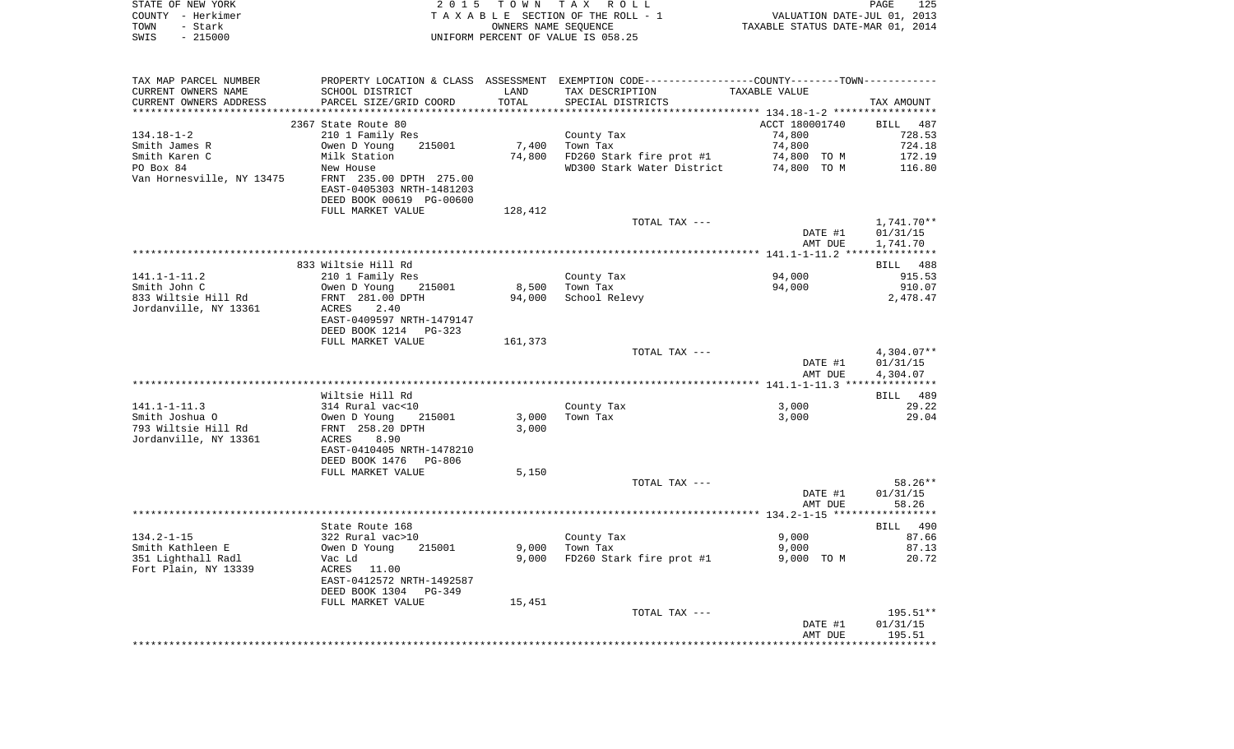|      | STATE OF NEW YORK | 2015 TOWN TAX ROLL                    | 125<br>PAGE                      |
|------|-------------------|---------------------------------------|----------------------------------|
|      | COUNTY - Herkimer | T A X A B L E SECTION OF THE ROLL - 1 | VALUATION DATE-JUL 01, 2013      |
| TOWN | - Stark           | OWNERS NAME SEOUENCE                  | TAXABLE STATUS DATE-MAR 01, 2014 |
| SWIS | $-215000$         | UNIFORM PERCENT OF VALUE IS 058.25    |                                  |

| TAX MAP PARCEL NUMBER          |                                                                   |         | PROPERTY LOCATION & CLASS ASSESSMENT EXEMPTION CODE---------------COUNTY-------TOWN---------- |                |                |
|--------------------------------|-------------------------------------------------------------------|---------|-----------------------------------------------------------------------------------------------|----------------|----------------|
| CURRENT OWNERS NAME            | SCHOOL DISTRICT                                                   | LAND    | TAX DESCRIPTION                                                                               | TAXABLE VALUE  |                |
| CURRENT OWNERS ADDRESS         | PARCEL SIZE/GRID COORD                                            | TOTAL   | SPECIAL DISTRICTS                                                                             |                | TAX AMOUNT     |
|                                |                                                                   |         |                                                                                               |                |                |
|                                | 2367 State Route 80                                               |         |                                                                                               | ACCT 180001740 | BILL 487       |
| 134.18-1-2                     | 210 1 Family Res                                                  |         | County Tax                                                                                    | 74,800         | 728.53         |
| Smith James R                  | 215001<br>Owen D Young                                            | 7,400   | Town Tax                                                                                      | 74,800         | 724.18         |
| Smith Karen C                  | Milk Station                                                      | 74,800  | FD260 Stark fire prot #1                                                                      | 74,800 TO M    | 172.19         |
| PO Box 84                      | New House<br>New House<br>FRNT 235.00 DPTH 275.00                 |         | WD300 Stark Water District 74,800 TO M                                                        |                | 116.80         |
| Van Hornesville, NY 13475      |                                                                   |         |                                                                                               |                |                |
|                                | EAST-0405303 NRTH-1481203                                         |         |                                                                                               |                |                |
|                                | DEED BOOK 00619 PG-00600                                          |         |                                                                                               |                |                |
|                                | FULL MARKET VALUE                                                 | 128,412 | TOTAL TAX ---                                                                                 |                | 1,741.70**     |
|                                |                                                                   |         |                                                                                               | DATE #1        | 01/31/15       |
|                                |                                                                   |         |                                                                                               | AMT DUE        | 1,741.70       |
|                                |                                                                   |         |                                                                                               |                |                |
|                                | 833 Wiltsie Hill Rd                                               |         |                                                                                               |                | BILL 488       |
| 141.1-1-11.2                   | 210 1 Family Res                                                  |         | County Tax                                                                                    | 94,000         | 915.53         |
| Smith John C                   | 210 I Family Res<br>Owen D Young 21<br>FRNT 281.00 DPTH<br>215001 | 8,500   | Town Tax                                                                                      | 94,000         | 910.07         |
| 833 Wiltsie Hill Rd            |                                                                   | 94,000  | School Relevy                                                                                 |                | 2,478.47       |
| Jordanville, NY 13361          | ACRES 2.40                                                        |         |                                                                                               |                |                |
|                                | EAST-0409597 NRTH-1479147                                         |         |                                                                                               |                |                |
|                                | DEED BOOK 1214 PG-323                                             |         |                                                                                               |                |                |
|                                | FULL MARKET VALUE                                                 | 161,373 |                                                                                               |                |                |
|                                |                                                                   |         | TOTAL TAX ---                                                                                 |                | 4,304.07**     |
|                                |                                                                   |         |                                                                                               | DATE #1        | 01/31/15       |
|                                |                                                                   |         |                                                                                               | AMT DUE        | 4,304.07       |
|                                |                                                                   |         |                                                                                               |                |                |
|                                | Wiltsie Hill Rd                                                   |         |                                                                                               |                | BILL 489       |
| 141.1-1-11.3<br>Smith Joshua O | 314 Rural vac<10                                                  | 3,000   | County Tax<br>Town Tax                                                                        | 3,000<br>3,000 | 29.22<br>29.04 |
| 793 Wiltsie Hill Rd            |                                                                   | 3,000   |                                                                                               |                |                |
| Jordanville, NY 13361          | ACRES<br>8.90                                                     |         |                                                                                               |                |                |
|                                | EAST-0410405 NRTH-1478210                                         |         |                                                                                               |                |                |
|                                | DEED BOOK 1476 PG-806                                             |         |                                                                                               |                |                |
|                                | FULL MARKET VALUE                                                 | 5,150   |                                                                                               |                |                |
|                                |                                                                   |         | TOTAL TAX ---                                                                                 |                | 58.26**        |
|                                |                                                                   |         |                                                                                               | DATE #1        | 01/31/15       |
|                                |                                                                   |         |                                                                                               | AMT DUE        | 58.26          |
|                                |                                                                   |         |                                                                                               |                |                |
|                                | State Route 168                                                   |         |                                                                                               |                | BILL 490       |
| $134.2 - 1 - 15$               | 322 Rural vac>10<br>Owen D Young 2                                |         | County Tax                                                                                    | 9,000          | 87.66          |
| Smith Kathleen E               | 215001                                                            | 9,000   | Town Tax                                                                                      | 9,000          | 87.13          |
| 351 Lighthall Radl             | Vac Ld                                                            | 9,000   | FD260 Stark fire prot #1                                                                      | 9,000 TO M     | 20.72          |
| Fort Plain, NY 13339           | ACRES 11.00                                                       |         |                                                                                               |                |                |
|                                | EAST-0412572 NRTH-1492587                                         |         |                                                                                               |                |                |
|                                | DEED BOOK 1304 PG-349                                             |         |                                                                                               |                |                |
|                                | FULL MARKET VALUE                                                 | 15,451  | TOTAL TAX ---                                                                                 |                | 195.51**       |
|                                |                                                                   |         |                                                                                               | DATE #1        | 01/31/15       |
|                                |                                                                   |         |                                                                                               | AMT DUE        | 195.51         |
|                                |                                                                   |         |                                                                                               |                |                |
|                                |                                                                   |         |                                                                                               |                |                |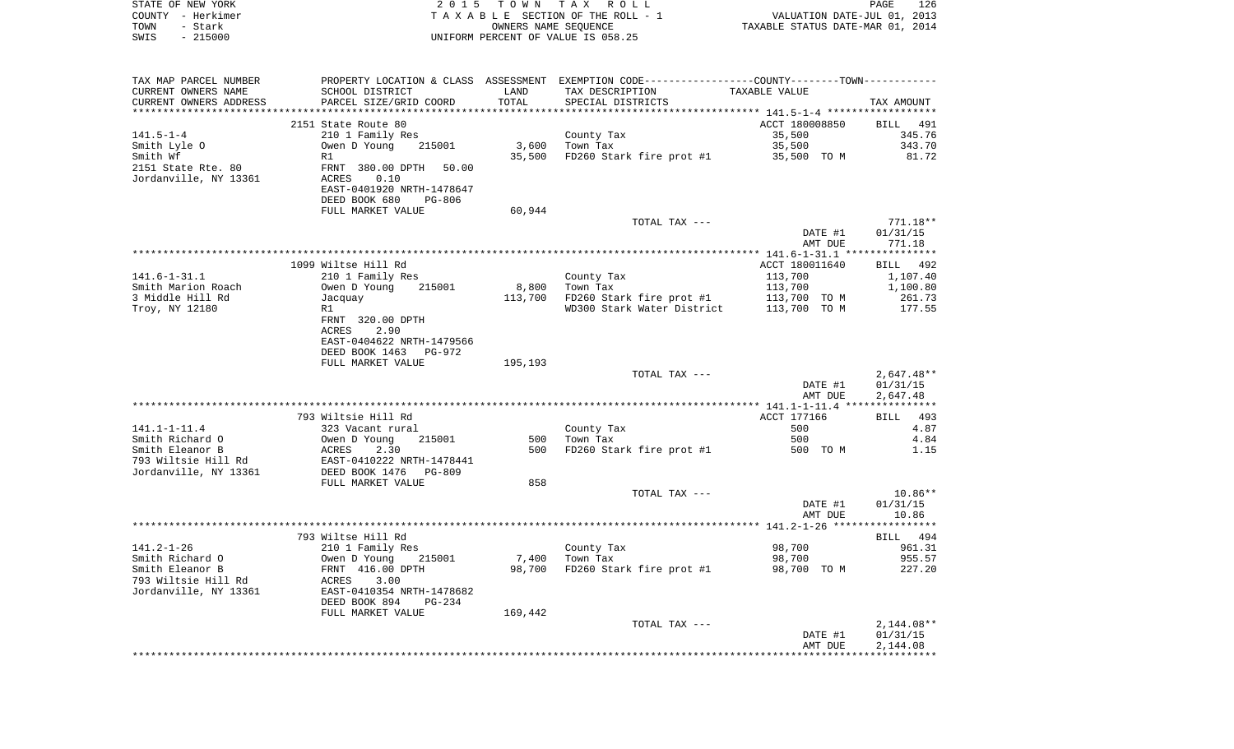| STATE OF NEW YORK<br>COUNTY - Herkimer<br>- Stark<br>TOWN                          | 2 0 1 5                                                                                                      |            | TOWN TAX ROLL<br>TAXABLE SECTION OF THE ROLL - 1<br>OWNERS NAME SEQUENCE                                         | VALUATION DATE-JUL 01, 2013<br>TAXABLE STATUS DATE-MAR 01, 2014 | PAGE<br>126           |
|------------------------------------------------------------------------------------|--------------------------------------------------------------------------------------------------------------|------------|------------------------------------------------------------------------------------------------------------------|-----------------------------------------------------------------|-----------------------|
| SWIS<br>$-215000$                                                                  |                                                                                                              |            | UNIFORM PERCENT OF VALUE IS 058.25                                                                               |                                                                 |                       |
| TAX MAP PARCEL NUMBER<br>CURRENT OWNERS NAME                                       | SCHOOL DISTRICT                                                                                              | LAND       | PROPERTY LOCATION & CLASS ASSESSMENT EXEMPTION CODE---------------COUNTY-------TOWN----------<br>TAX DESCRIPTION | TAXABLE VALUE                                                   |                       |
| CURRENT OWNERS ADDRESS                                                             | PARCEL SIZE/GRID COORD                                                                                       | TOTAL      | SPECIAL DISTRICTS                                                                                                |                                                                 | TAX AMOUNT            |
| **********************                                                             | ***************************                                                                                  |            |                                                                                                                  |                                                                 |                       |
|                                                                                    | 2151 State Route 80                                                                                          |            |                                                                                                                  | ACCT 180008850                                                  | BILL<br>491           |
| $141.5 - 1 - 4$                                                                    | 210 1 Family Res                                                                                             |            | County Tax                                                                                                       | 35,500                                                          | 345.76                |
| Smith Lyle O                                                                       | Owen D Young<br>215001                                                                                       | 3,600      | Town Tax                                                                                                         | 35,500                                                          | 343.70                |
| Smith Wf<br>2151 State Rte. 80<br>Jordanville, NY 13361                            | R1<br>FRNT 380.00 DPTH 50.00<br>ACRES<br>0.10<br>EAST-0401920 NRTH-1478647<br>DEED BOOK 680<br>PG-806        | 35,500     | FD260 Stark fire prot #1                                                                                         | 35,500 TO M                                                     | 81.72                 |
|                                                                                    | FULL MARKET VALUE                                                                                            | 60,944     |                                                                                                                  |                                                                 |                       |
|                                                                                    |                                                                                                              |            | TOTAL TAX ---                                                                                                    |                                                                 | $771.18**$            |
|                                                                                    |                                                                                                              |            |                                                                                                                  | DATE #1<br>AMT DUE                                              | 01/31/15<br>771.18    |
|                                                                                    |                                                                                                              |            |                                                                                                                  |                                                                 |                       |
|                                                                                    | 1099 Wiltse Hill Rd                                                                                          |            |                                                                                                                  | ACCT 180011640                                                  | BILL 492              |
| $141.6 - 1 - 31.1$                                                                 | 210 1 Family Res                                                                                             |            | County Tax                                                                                                       | 113,700                                                         | 1,107.40              |
| Smith Marion Roach<br>3 Middle Hill Rd                                             | Owen D Young<br>215001                                                                                       | 8,800      | Town Tax                                                                                                         | 113,700                                                         | 1,100.80<br>261.73    |
| Troy, NY 12180                                                                     | Jacquay<br>R1                                                                                                |            | $113,700$ FD260 Stark fire prot #1<br>WD300 Stark Water District                                                 | 113,700 TO M<br>113,700 TO M                                    | 177.55                |
|                                                                                    | FRNT 320.00 DPTH<br>ACRES<br>2.90<br>EAST-0404622 NRTH-1479566<br>DEED BOOK 1463 PG-972<br>FULL MARKET VALUE | 195,193    |                                                                                                                  |                                                                 |                       |
|                                                                                    |                                                                                                              |            | TOTAL TAX ---                                                                                                    |                                                                 | $2,647.48**$          |
|                                                                                    |                                                                                                              |            |                                                                                                                  | DATE #1<br>AMT DUE                                              | 01/31/15<br>2,647.48  |
|                                                                                    |                                                                                                              |            |                                                                                                                  |                                                                 |                       |
|                                                                                    | 793 Wiltsie Hill Rd                                                                                          |            |                                                                                                                  | ACCT 177166                                                     | 493<br>BILL           |
| $141.1 - 1 - 11.4$                                                                 | 323 Vacant rural                                                                                             |            | County Tax                                                                                                       | 500                                                             | 4.87                  |
| Smith Richard O<br>Smith Eleanor B<br>793 Wiltsie Hill Rd<br>Jordanville, NY 13361 | Owen D Young<br>215001<br>2.30<br>ACRES<br>EAST-0410222 NRTH-1478441<br>DEED BOOK 1476    PG-809             | 500<br>500 | Town Tax<br>FD260 Stark fire prot #1                                                                             | 500<br>500 TO M                                                 | 4.84<br>1.15          |
|                                                                                    | FULL MARKET VALUE                                                                                            | 858        |                                                                                                                  |                                                                 |                       |
|                                                                                    |                                                                                                              |            | TOTAL TAX ---                                                                                                    | DATE #1                                                         | $10.86**$<br>01/31/15 |
|                                                                                    |                                                                                                              |            |                                                                                                                  | AMT DUE                                                         | 10.86                 |
|                                                                                    | 793 Wiltse Hill Rd                                                                                           |            |                                                                                                                  |                                                                 | 494<br>BILL           |
| $141.2 - 1 - 26$                                                                   | 210 1 Family Res                                                                                             |            | County Tax                                                                                                       | 98,700                                                          | 961.31                |
| Smith Richard O                                                                    | 215001<br>Owen D Young                                                                                       | 7,400      | Town Tax                                                                                                         | 98,700                                                          | 955.57                |
| Smith Eleanor B                                                                    | FRNT 416.00 DPTH                                                                                             | 98,700     | FD260 Stark fire prot #1                                                                                         | 98,700 TO M                                                     | 227.20                |
| 793 Wiltsie Hill Rd<br>Jordanville, NY 13361                                       | ACRES<br>3.00<br>EAST-0410354 NRTH-1478682<br>DEED BOOK 894<br>PG-234                                        |            |                                                                                                                  |                                                                 |                       |
|                                                                                    | FULL MARKET VALUE                                                                                            | 169,442    |                                                                                                                  |                                                                 |                       |
|                                                                                    |                                                                                                              |            | TOTAL TAX ---                                                                                                    |                                                                 | $2,144.08**$          |
|                                                                                    |                                                                                                              |            |                                                                                                                  | DATE #1<br>AMT DUE                                              | 01/31/15<br>2,144.08  |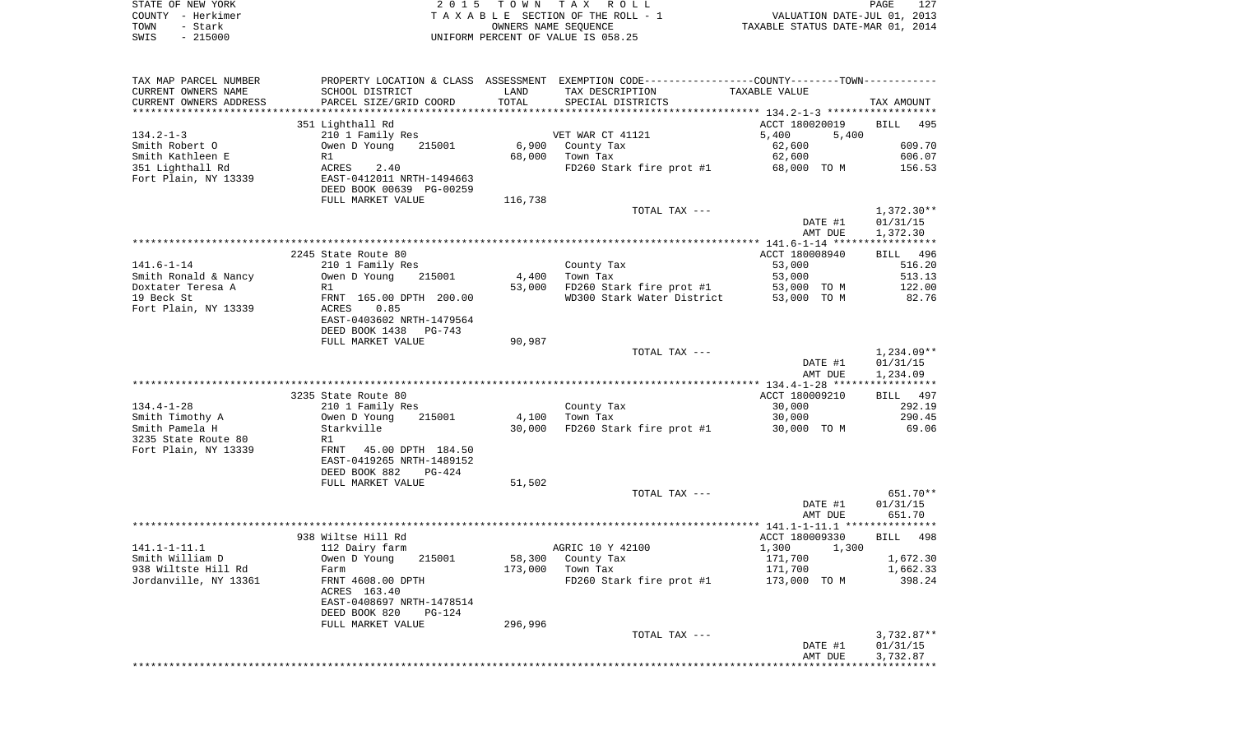|      | STATE OF NEW YORK | 2015 TOWN TAX ROLL                 | <b>PAGE</b>                      | 127 |
|------|-------------------|------------------------------------|----------------------------------|-----|
|      | COUNTY - Herkimer | TAXABLE SECTION OF THE ROLL - 1    | VALUATION DATE-JUL 01, 2013      |     |
| TOWN | – Stark           | OWNERS NAME SEOUENCE               | TAXABLE STATUS DATE-MAR 01, 2014 |     |
| SWIS | $-215000$         | UNIFORM PERCENT OF VALUE IS 058.25 |                                  |     |

| TAX MAP PARCEL NUMBER  |                           |         | PROPERTY LOCATION & CLASS ASSESSMENT EXEMPTION CODE----------------COUNTY--------TOWN----------- |                |              |
|------------------------|---------------------------|---------|--------------------------------------------------------------------------------------------------|----------------|--------------|
| CURRENT OWNERS NAME    | SCHOOL DISTRICT           | LAND    | TAX DESCRIPTION                                                                                  | TAXABLE VALUE  |              |
| CURRENT OWNERS ADDRESS | PARCEL SIZE/GRID COORD    | TOTAL   | SPECIAL DISTRICTS                                                                                |                | TAX AMOUNT   |
|                        |                           |         |                                                                                                  |                |              |
|                        | 351 Lighthall Rd          |         |                                                                                                  | ACCT 180020019 | BILL 495     |
| $134.2 - 1 - 3$        | 210 1 Family Res          |         | VET WAR CT 41121                                                                                 | 5,400<br>5,400 |              |
| Smith Robert O         | Owen D Young<br>215001    | 6,900   | County Tax                                                                                       | 62,600         | 609.70       |
| Smith Kathleen E       | R1                        | 68,000  | Town Tax                                                                                         | 62,600         | 606.07       |
| 351 Lighthall Rd       | 2.40<br>ACRES             |         | FD260 Stark fire prot #1                                                                         | 68,000 TO M    | 156.53       |
| Fort Plain, NY 13339   | EAST-0412011 NRTH-1494663 |         |                                                                                                  |                |              |
|                        | DEED BOOK 00639 PG-00259  |         |                                                                                                  |                |              |
|                        |                           |         |                                                                                                  |                |              |
|                        | FULL MARKET VALUE         | 116,738 |                                                                                                  |                |              |
|                        |                           |         | TOTAL TAX ---                                                                                    |                | $1,372.30**$ |
|                        |                           |         |                                                                                                  | DATE #1        | 01/31/15     |
|                        |                           |         |                                                                                                  | AMT DUE        | 1,372.30     |
|                        |                           |         |                                                                                                  |                |              |
|                        | 2245 State Route 80       |         |                                                                                                  | ACCT 180008940 | BILL 496     |
| $141.6 - 1 - 14$       | 210 1 Family Res          |         | County Tax                                                                                       | 53,000         | 516.20       |
| Smith Ronald & Nancy   | Owen D Young<br>215001    | 4,400   | Town Tax                                                                                         | 53,000         | 513.13       |
| Doxtater Teresa A      | R1                        | 53,000  | FD260 Stark fire prot #1 $53,000$ TO M                                                           |                | 122.00       |
| 19 Beck St             | FRNT 165.00 DPTH 200.00   |         | WD300 Stark Water District 53,000 TO M                                                           |                | 82.76        |
| Fort Plain, NY 13339   | ACRES<br>0.85             |         |                                                                                                  |                |              |
|                        | EAST-0403602 NRTH-1479564 |         |                                                                                                  |                |              |
|                        | DEED BOOK 1438<br>PG-743  |         |                                                                                                  |                |              |
|                        | FULL MARKET VALUE         | 90,987  |                                                                                                  |                |              |
|                        |                           |         | TOTAL TAX ---                                                                                    |                | $1,234.09**$ |
|                        |                           |         |                                                                                                  | DATE #1        | 01/31/15     |
|                        |                           |         |                                                                                                  | AMT DUE        | 1,234.09     |
|                        |                           |         |                                                                                                  |                |              |
|                        | 3235 State Route 80       |         |                                                                                                  | ACCT 180009210 | BILL 497     |
| $134.4 - 1 - 28$       | 210 1 Family Res          |         | County Tax                                                                                       | 30,000         | 292.19       |
| Smith Timothy A        | 215001<br>Owen D Young    | 4,100   | Town Tax                                                                                         | 30,000         | 290.45       |
| Smith Pamela H         | Starkville                | 30,000  | FD260 Stark fire prot #1 30,000 TO M                                                             |                | 69.06        |
|                        |                           |         |                                                                                                  |                |              |
| 3235 State Route 80    | R1                        |         |                                                                                                  |                |              |
| Fort Plain, NY 13339   | FRNT 45.00 DPTH 184.50    |         |                                                                                                  |                |              |
|                        | EAST-0419265 NRTH-1489152 |         |                                                                                                  |                |              |
|                        | DEED BOOK 882<br>$PG-424$ |         |                                                                                                  |                |              |
|                        | FULL MARKET VALUE         | 51,502  |                                                                                                  |                |              |
|                        |                           |         | TOTAL TAX ---                                                                                    |                | 651.70**     |
|                        |                           |         |                                                                                                  | DATE #1        | 01/31/15     |
|                        |                           |         |                                                                                                  | AMT DUE        | 651.70       |
|                        |                           |         |                                                                                                  |                |              |
|                        | 938 Wiltse Hill Rd        |         |                                                                                                  | ACCT 180009330 | BILL 498     |
| $141.1 - 1 - 11.1$     | 112 Dairy farm            |         | AGRIC 10 Y 42100                                                                                 | 1,300<br>1,300 |              |
| Smith William D        | Owen D Young<br>215001    | 58,300  | County Tax                                                                                       | 171,700        | 1,672.30     |
| 938 Wiltste Hill Rd    | Farm                      |         | 173,000 Town Tax                                                                                 | 171,700        | 1,662.33     |
| Jordanville, NY 13361  | FRNT 4608.00 DPTH         |         | FD260 Stark fire prot #1 173,000 TO M                                                            |                | 398.24       |
|                        | ACRES 163.40              |         |                                                                                                  |                |              |
|                        | EAST-0408697 NRTH-1478514 |         |                                                                                                  |                |              |
|                        | DEED BOOK 820<br>$PG-124$ |         |                                                                                                  |                |              |
|                        | FULL MARKET VALUE         | 296,996 |                                                                                                  |                |              |
|                        |                           |         | TOTAL TAX ---                                                                                    |                | $3,732.87**$ |
|                        |                           |         |                                                                                                  | DATE #1        | 01/31/15     |
|                        |                           |         |                                                                                                  | AMT DUE        | 3,732.87     |
|                        |                           |         |                                                                                                  |                |              |
|                        |                           |         |                                                                                                  |                |              |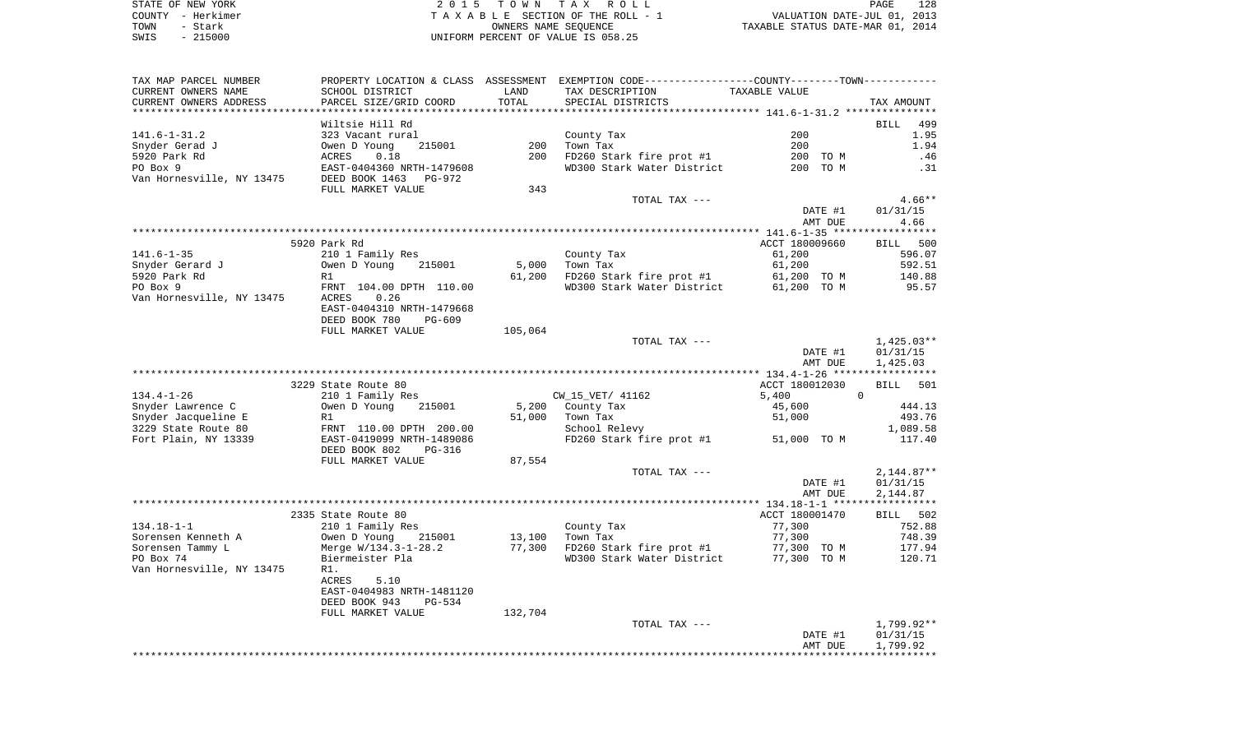STATE OF NEW YORK **EXECUTE:**  $2015$  TOWN TAX ROLL COUNTY - Herkimer T A X A B L E SECTION OF THE ROLL - 1 VALUATION DATE-JUL 01, 2013 TOWN - Stark OWNERS NAME SEQUENCE TAXABLE STATUS DATE-MAR 01, 2014 SWIS - 215000 UNIFORM PERCENT OF VALUE IS 058.25

| TAX MAP PARCEL NUMBER     |                           |         | PROPERTY LOCATION & CLASS ASSESSMENT EXEMPTION CODE----------------COUNTY--------TOWN---------- |                |              |
|---------------------------|---------------------------|---------|-------------------------------------------------------------------------------------------------|----------------|--------------|
| CURRENT OWNERS NAME       | SCHOOL DISTRICT           | LAND    | TAX DESCRIPTION                                                                                 | TAXABLE VALUE  |              |
| CURRENT OWNERS ADDRESS    | PARCEL SIZE/GRID COORD    | TOTAL   | SPECIAL DISTRICTS                                                                               |                | TAX AMOUNT   |
|                           |                           |         |                                                                                                 |                |              |
|                           | Wiltsie Hill Rd           |         |                                                                                                 |                | BILL 499     |
| $141.6 - 1 - 31.2$        | 323 Vacant rural          |         | County Tax                                                                                      | 200            | 1.95         |
| Snyder Gerad J            | Owen D Young<br>215001    | 200     | Town Tax                                                                                        | 200            | 1.94         |
| 5920 Park Rd              | ACRES<br>0.18             | 200     | FD260 Stark fire prot #1                                                                        | 200 TO M       | .46          |
| PO Box 9                  | EAST-0404360 NRTH-1479608 |         | WD300 Stark Water District                                                                      | 200 TO M       | .31          |
| Van Hornesville, NY 13475 | DEED BOOK 1463<br>PG-972  |         |                                                                                                 |                |              |
|                           | FULL MARKET VALUE         | 343     |                                                                                                 |                |              |
|                           |                           |         | TOTAL TAX ---                                                                                   |                | $4.66**$     |
|                           |                           |         |                                                                                                 | DATE #1        | 01/31/15     |
|                           |                           |         |                                                                                                 | AMT DUE        | 4.66         |
|                           |                           |         |                                                                                                 |                |              |
|                           | 5920 Park Rd              |         |                                                                                                 | ACCT 180009660 | BILL 500     |
| 141.6-1-35                | 210 1 Family Res          |         | County Tax                                                                                      | 61,200         | 596.07       |
| Snyder Gerard J           | Owen D Young<br>215001    | 5,000   | Town Tax                                                                                        | 61,200         | 592.51       |
| 5920 Park Rd              | R1                        | 61,200  | FD260 Stark fire prot #1                                                                        | 61,200 TO M    | 140.88       |
| PO Box 9                  | FRNT 104.00 DPTH 110.00   |         | WD300 Stark Water District 61,200 TO M                                                          |                | 95.57        |
| Van Hornesville, NY 13475 | ACRES<br>0.26             |         |                                                                                                 |                |              |
|                           | EAST-0404310 NRTH-1479668 |         |                                                                                                 |                |              |
|                           | DEED BOOK 780<br>PG-609   |         |                                                                                                 |                |              |
|                           | FULL MARKET VALUE         | 105,064 |                                                                                                 |                |              |
|                           |                           |         | TOTAL TAX ---                                                                                   |                | 1,425.03**   |
|                           |                           |         |                                                                                                 | DATE #1        | 01/31/15     |
|                           |                           |         |                                                                                                 | AMT DUE        | 1,425.03     |
|                           |                           |         |                                                                                                 |                |              |
|                           | 3229 State Route 80       |         |                                                                                                 | ACCT 180012030 | 501<br>BILL  |
| $134.4 - 1 - 26$          | 210 1 Family Res          |         | CW_15_VET/ 41162                                                                                | 5,400          | $\Omega$     |
| Snyder Lawrence C         | Owen D Young<br>215001    | 5,200   | County Tax                                                                                      | 45,600         | 444.13       |
| Snyder Jacqueline E       | R1                        | 51,000  | Town Tax                                                                                        | 51,000         | 493.76       |
| 3229 State Route 80       | FRNT 110.00 DPTH 200.00   |         | School Relevy                                                                                   |                | 1,089.58     |
| Fort Plain, NY 13339      | EAST-0419099 NRTH-1489086 |         | FD260 Stark fire prot #1 51,000 TO M                                                            |                | 117.40       |
|                           | DEED BOOK 802<br>PG-316   |         |                                                                                                 |                |              |
|                           | FULL MARKET VALUE         | 87,554  |                                                                                                 |                |              |
|                           |                           |         | TOTAL TAX ---                                                                                   |                |              |
|                           |                           |         |                                                                                                 |                | $2,144.87**$ |
|                           |                           |         |                                                                                                 | DATE #1        | 01/31/15     |
|                           |                           |         |                                                                                                 | AMT DUE        | 2,144.87     |
|                           |                           |         |                                                                                                 |                |              |
|                           | 2335 State Route 80       |         |                                                                                                 | ACCT 180001470 | BILL 502     |
| $134.18 - 1 - 1$          | 210 1 Family Res          |         | County Tax                                                                                      | 77,300         | 752.88       |
| Sorensen Kenneth A        | 215001<br>Owen D Young    | 13,100  | Town Tax                                                                                        | 77,300         | 748.39       |
| Sorensen Tammy L          | Merge W/134.3-1-28.2      | 77,300  | FD260 Stark fire prot #1                                                                        | 77,300 TO M    | 177.94       |
| PO Box 74                 | Biermeister Pla           |         | WD300 Stark Water District 77,300 TO M                                                          |                | 120.71       |
| Van Hornesville, NY 13475 | R1.                       |         |                                                                                                 |                |              |
|                           | 5.10<br>ACRES             |         |                                                                                                 |                |              |
|                           | EAST-0404983 NRTH-1481120 |         |                                                                                                 |                |              |
|                           | DEED BOOK 943<br>PG-534   |         |                                                                                                 |                |              |
|                           | FULL MARKET VALUE         | 132,704 |                                                                                                 |                |              |
|                           |                           |         | TOTAL TAX ---                                                                                   |                | 1,799.92**   |
|                           |                           |         |                                                                                                 | DATE #1        | 01/31/15     |
|                           |                           |         |                                                                                                 | AMT DUE        | 1,799.92     |
|                           |                           |         |                                                                                                 |                |              |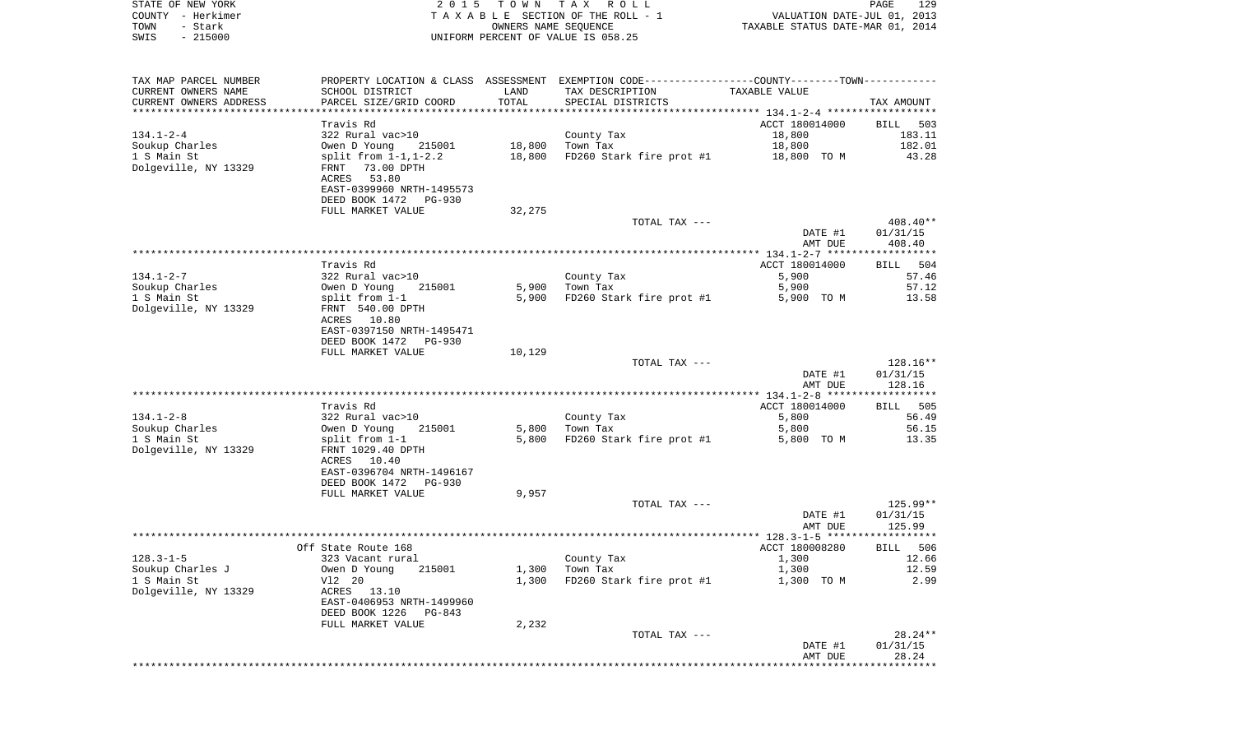|      | STATE OF NEW YORK | 2015 TOWN TAX ROLL                 | PAGE                             | 129 |
|------|-------------------|------------------------------------|----------------------------------|-----|
|      | COUNTY - Herkimer | TAXABLE SECTION OF THE ROLL - 1    | VALUATION DATE-JUL 01, 2013      |     |
| TOWN | – Stark           | OWNERS NAME SEOUENCE               | TAXABLE STATUS DATE-MAR 01, 2014 |     |
| SWIS | - 215000          | UNIFORM PERCENT OF VALUE IS 058.25 |                                  |     |

| TAX MAP PARCEL NUMBER<br>CURRENT OWNERS NAME     | PROPERTY LOCATION & CLASS ASSESSMENT EXEMPTION CODE---------------COUNTY-------TOWN----------<br>SCHOOL DISTRICT | LAND   | TAX DESCRIPTION          | TAXABLE VALUE  |                    |
|--------------------------------------------------|------------------------------------------------------------------------------------------------------------------|--------|--------------------------|----------------|--------------------|
| CURRENT OWNERS ADDRESS<br>********************** | PARCEL SIZE/GRID COORD                                                                                           | TOTAL  | SPECIAL DISTRICTS        |                | TAX AMOUNT         |
|                                                  |                                                                                                                  |        |                          |                |                    |
|                                                  | Travis Rd                                                                                                        |        |                          | ACCT 180014000 | <b>BILL</b><br>503 |
| $134.1 - 2 - 4$                                  | 322 Rural vac>10                                                                                                 |        | County Tax               | 18,800         | 183.11             |
| Soukup Charles                                   | Owen D Young<br>215001                                                                                           | 18,800 | Town Tax                 | 18,800         | 182.01             |
| 1 S Main St                                      | split from $1-1, 1-2.2$                                                                                          | 18,800 | FD260 Stark fire prot #1 | 18,800 TO M    | 43.28              |
| Dolgeville, NY 13329                             | 73.00 DPTH<br>FRNT                                                                                               |        |                          |                |                    |
|                                                  | ACRES<br>53.80                                                                                                   |        |                          |                |                    |
|                                                  | EAST-0399960 NRTH-1495573                                                                                        |        |                          |                |                    |
|                                                  | DEED BOOK 1472<br>PG-930                                                                                         |        |                          |                |                    |
|                                                  | FULL MARKET VALUE                                                                                                | 32,275 |                          |                |                    |
|                                                  |                                                                                                                  |        | TOTAL TAX ---            |                | 408.40**           |
|                                                  |                                                                                                                  |        |                          | DATE #1        | 01/31/15           |
|                                                  |                                                                                                                  |        |                          | AMT DUE        | 408.40             |
|                                                  |                                                                                                                  |        |                          |                |                    |
|                                                  | Travis Rd                                                                                                        |        |                          | ACCT 180014000 | 504<br>BILL        |
| $134.1 - 2 - 7$                                  | 322 Rural vac>10                                                                                                 |        | County Tax               | 5,900          | 57.46              |
| Soukup Charles                                   | Owen D Young<br>215001                                                                                           | 5,900  | Town Tax                 | 5,900          | 57.12              |
| 1 S Main St                                      | split from 1-1                                                                                                   | 5,900  | FD260 Stark fire prot #1 | 5,900 TO M     | 13.58              |
| Dolgeville, NY 13329                             | FRNT 540.00 DPTH                                                                                                 |        |                          |                |                    |
|                                                  | 10.80<br>ACRES                                                                                                   |        |                          |                |                    |
|                                                  | EAST-0397150 NRTH-1495471                                                                                        |        |                          |                |                    |
|                                                  | DEED BOOK 1472<br><b>PG-930</b>                                                                                  |        |                          |                |                    |
|                                                  | FULL MARKET VALUE                                                                                                | 10,129 |                          |                |                    |
|                                                  |                                                                                                                  |        | TOTAL TAX ---            |                | 128.16**           |
|                                                  |                                                                                                                  |        |                          |                |                    |
|                                                  |                                                                                                                  |        |                          | DATE #1        | 01/31/15           |
|                                                  |                                                                                                                  |        |                          | AMT DUE        | 128.16             |
|                                                  |                                                                                                                  |        |                          |                |                    |
|                                                  | Travis Rd                                                                                                        |        |                          | ACCT 180014000 | 505<br>BILL        |
| $134.1 - 2 - 8$                                  | 322 Rural vac>10                                                                                                 |        | County Tax               | 5,800          | 56.49              |
| Soukup Charles                                   | Owen D Young<br>215001                                                                                           | 5,800  | Town Tax                 | 5,800          | 56.15              |
| 1 S Main St                                      | split from 1-1                                                                                                   | 5,800  | FD260 Stark fire prot #1 | 5,800 TO M     | 13.35              |
| Dolgeville, NY 13329                             | FRNT 1029.40 DPTH                                                                                                |        |                          |                |                    |
|                                                  | ACRES 10.40                                                                                                      |        |                          |                |                    |
|                                                  | EAST-0396704 NRTH-1496167                                                                                        |        |                          |                |                    |
|                                                  | DEED BOOK 1472<br><b>PG-930</b>                                                                                  |        |                          |                |                    |
|                                                  | FULL MARKET VALUE                                                                                                | 9,957  |                          |                |                    |
|                                                  |                                                                                                                  |        | TOTAL TAX ---            |                | 125.99**           |
|                                                  |                                                                                                                  |        |                          | DATE #1        | 01/31/15           |
|                                                  |                                                                                                                  |        |                          | AMT DUE        | 125.99             |
|                                                  |                                                                                                                  |        |                          |                | ***********        |
|                                                  | Off State Route 168                                                                                              |        |                          | ACCT 180008280 | 506<br>BILL        |
| $128.3 - 1 - 5$                                  | 323 Vacant rural                                                                                                 |        | County Tax               | 1,300          | 12.66              |
| Soukup Charles J                                 | Owen D Young<br>215001                                                                                           | 1,300  | Town Tax                 | 1,300          | 12.59              |
| 1 S Main St                                      | V12 20                                                                                                           | 1,300  | FD260 Stark fire prot #1 | 1,300 TO M     | 2.99               |
| Dolgeville, NY 13329                             | ACRES 13.10                                                                                                      |        |                          |                |                    |
|                                                  | EAST-0406953 NRTH-1499960                                                                                        |        |                          |                |                    |
|                                                  | DEED BOOK 1226<br>PG-843                                                                                         |        |                          |                |                    |
|                                                  | FULL MARKET VALUE                                                                                                | 2,232  |                          |                |                    |
|                                                  |                                                                                                                  |        | TOTAL TAX ---            |                | 28.24**            |
|                                                  |                                                                                                                  |        |                          | DATE #1        | 01/31/15           |
|                                                  |                                                                                                                  |        |                          | AMT DUE        | 28.24              |
|                                                  |                                                                                                                  |        |                          |                |                    |
|                                                  |                                                                                                                  |        |                          |                |                    |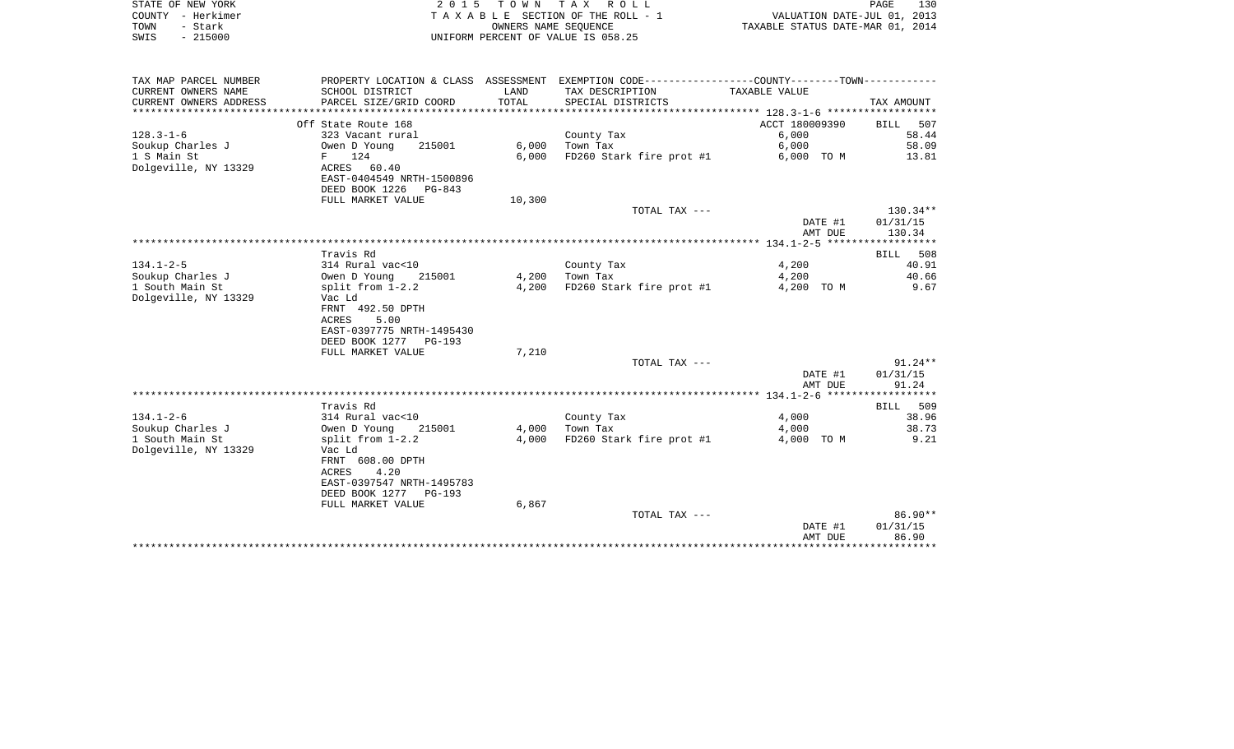|      | STATE OF NEW YORK | 2015 TOWN TAX ROLL                 | PAGE                             | 130 |
|------|-------------------|------------------------------------|----------------------------------|-----|
|      | COUNTY - Herkimer | TAXABLE SECTION OF THE ROLL - 1    | VALUATION DATE-JUL 01, 2013      |     |
| TOWN | - Stark           | OWNERS NAME SEOUENCE               | TAXABLE STATUS DATE-MAR 01, 2014 |     |
| SWIS | - 215000          | UNIFORM PERCENT OF VALUE IS 058.25 |                                  |     |

| TAX MAP PARCEL NUMBER     |                           |        | PROPERTY LOCATION & CLASS ASSESSMENT EXEMPTION CODE----------------COUNTY-------TOWN--------- |                                      |             |
|---------------------------|---------------------------|--------|-----------------------------------------------------------------------------------------------|--------------------------------------|-------------|
| CURRENT OWNERS NAME       | SCHOOL DISTRICT           | LAND   | TAX DESCRIPTION                                                                               | TAXABLE VALUE                        |             |
| CURRENT OWNERS ADDRESS    | PARCEL SIZE/GRID COORD    | TOTAL  | SPECIAL DISTRICTS                                                                             |                                      | TAX AMOUNT  |
| ************************* |                           |        |                                                                                               |                                      |             |
|                           | Off State Route 168       |        |                                                                                               | ACCT 180009390                       | 507<br>BILL |
| $128.3 - 1 - 6$           | 323 Vacant rural          |        | County Tax                                                                                    | 6,000                                | 58.44       |
| Soukup Charles J          | 215001<br>Owen D Young    | 6,000  | Town Tax                                                                                      | 6,000                                | 58.09       |
|                           |                           |        |                                                                                               |                                      |             |
| 1 S Main St               | 124<br>$F$ and $F$        | 6.000  | FD260 Stark fire prot #1                                                                      | 6,000 TO M                           | 13.81       |
| Dolgeville, NY 13329      | ACRES 60.40               |        |                                                                                               |                                      |             |
|                           | EAST-0404549 NRTH-1500896 |        |                                                                                               |                                      |             |
|                           | DEED BOOK 1226 PG-843     |        |                                                                                               |                                      |             |
|                           | FULL MARKET VALUE         | 10,300 |                                                                                               |                                      |             |
|                           |                           |        | TOTAL TAX ---                                                                                 |                                      | $130.34**$  |
|                           |                           |        |                                                                                               | DATE #1                              | 01/31/15    |
|                           |                           |        |                                                                                               | AMT DUE                              | 130.34      |
|                           |                           |        |                                                                                               |                                      |             |
|                           | Travis Rd                 |        |                                                                                               |                                      | BILL 508    |
| $134.1 - 2 - 5$           | 314 Rural vac<10          |        | County Tax                                                                                    | 4,200                                | 40.91       |
| Soukup Charles J          | Owen D Young<br>215001    | 4,200  | Town Tax                                                                                      | 4,200                                | 40.66       |
| 1 South Main St           | split from $1-2.2$        | 4,200  | FD260 Stark fire prot #1                                                                      | 4,200 TO M                           | 9.67        |
| Dolgeville, NY 13329      | Vac Ld                    |        |                                                                                               |                                      |             |
|                           | FRNT 492.50 DPTH          |        |                                                                                               |                                      |             |
|                           |                           |        |                                                                                               |                                      |             |
|                           | ACRES<br>5.00             |        |                                                                                               |                                      |             |
|                           | EAST-0397775 NRTH-1495430 |        |                                                                                               |                                      |             |
|                           | DEED BOOK 1277 PG-193     |        |                                                                                               |                                      |             |
|                           | FULL MARKET VALUE         | 7,210  |                                                                                               |                                      |             |
|                           |                           |        | TOTAL TAX ---                                                                                 |                                      | $91.24**$   |
|                           |                           |        |                                                                                               | DATE #1                              | 01/31/15    |
|                           |                           |        |                                                                                               | AMT DUE                              | 91.24       |
|                           |                           |        |                                                                                               |                                      |             |
|                           | Travis Rd                 |        |                                                                                               |                                      | BILL 509    |
| $134.1 - 2 - 6$           | 314 Rural vac<10          |        | County Tax                                                                                    | 4,000                                | 38.96       |
| Soukup Charles J          | Owen D Young<br>215001    | 4,000  | Town Tax                                                                                      | 4,000                                | 38.73       |
| 1 South Main St           | split from $1-2.2$        | 4,000  | FD260 Stark fire prot #1                                                                      | 4,000 TO M                           | 9.21        |
| Dolgeville, NY 13329      | Vac Ld                    |        |                                                                                               |                                      |             |
|                           | FRNT 608.00 DPTH          |        |                                                                                               |                                      |             |
|                           | 4.20<br>ACRES             |        |                                                                                               |                                      |             |
|                           |                           |        |                                                                                               |                                      |             |
|                           | EAST-0397547 NRTH-1495783 |        |                                                                                               |                                      |             |
|                           | DEED BOOK 1277 PG-193     |        |                                                                                               |                                      |             |
|                           | FULL MARKET VALUE         | 6,867  |                                                                                               |                                      |             |
|                           |                           |        | TOTAL TAX ---                                                                                 |                                      | 86.90**     |
|                           |                           |        |                                                                                               | DATE #1                              | 01/31/15    |
|                           |                           |        |                                                                                               | AMT DUE                              | 86.90       |
|                           |                           |        |                                                                                               | ************************************ |             |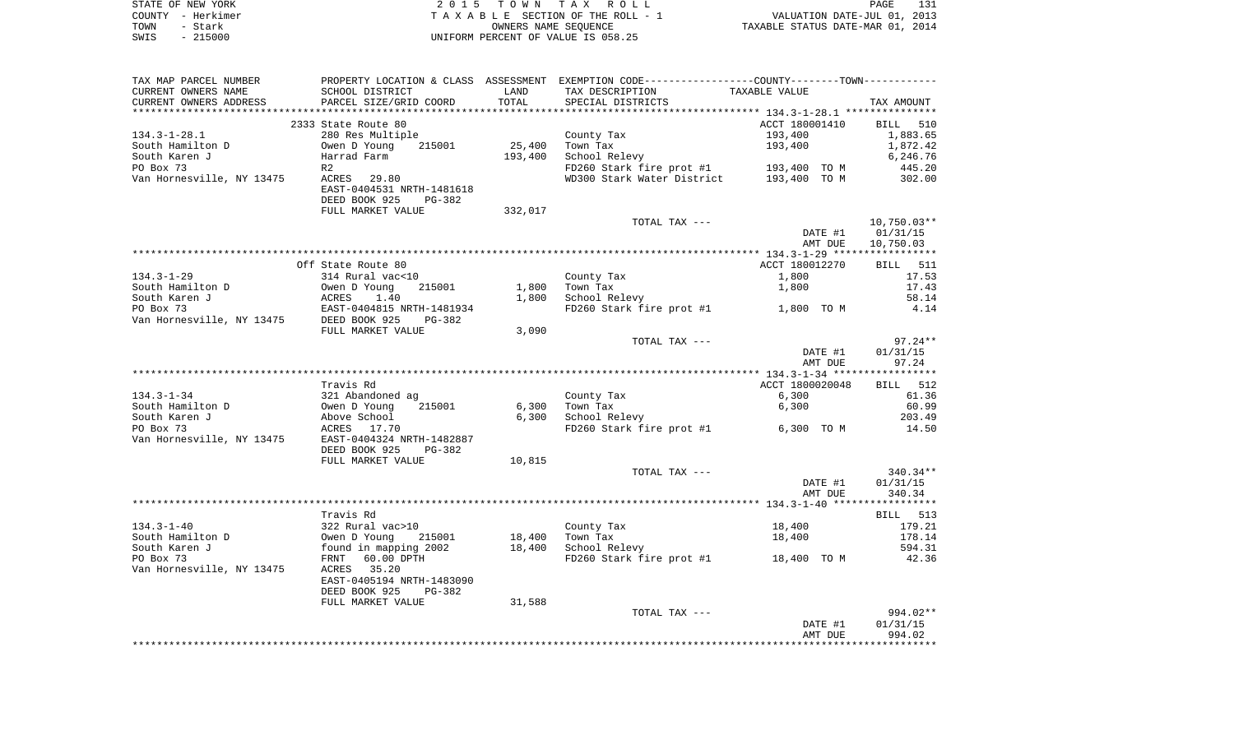|      | STATE OF NEW YORK | 2015 TOWN TAX ROLL                 | 131<br>PAGE                      |  |
|------|-------------------|------------------------------------|----------------------------------|--|
|      | COUNTY - Herkimer | TAXABLE SECTION OF THE ROLL - 1    | VALUATION DATE-JUL 01, 2013      |  |
| TOWN | – Stark           | OWNERS NAME SEOUENCE               | TAXABLE STATUS DATE-MAR 01, 2014 |  |
| SWIS | $-215000$         | UNIFORM PERCENT OF VALUE IS 058.25 |                                  |  |

| TAX MAP PARCEL NUMBER                 |                                                                                                                                                                                                                                                                 |         | PROPERTY LOCATION & CLASS ASSESSMENT EXEMPTION CODE---------------COUNTY-------TOWN---------- |                 |                   |
|---------------------------------------|-----------------------------------------------------------------------------------------------------------------------------------------------------------------------------------------------------------------------------------------------------------------|---------|-----------------------------------------------------------------------------------------------|-----------------|-------------------|
| CURRENT OWNERS NAME                   | SCHOOL DISTRICT                                                                                                                                                                                                                                                 | LAND    | TAX DESCRIPTION                                                                               | TAXABLE VALUE   |                   |
| CURRENT OWNERS ADDRESS                | SCHOOL DISTRICT<br>PARCEL SIZE/GRID COORD                                                                                                                                                                                                                       | TOTAL   | SPECIAL DISTRICTS                                                                             |                 | TAX AMOUNT        |
|                                       |                                                                                                                                                                                                                                                                 |         |                                                                                               |                 |                   |
|                                       | 2333 State Route 80                                                                                                                                                                                                                                             |         |                                                                                               | ACCT 180001410  | BILL 510          |
| $134.3 - 1 - 28.1$                    | 280 Res Multiple                                                                                                                                                                                                                                                |         | County Tax                                                                                    | 193,400         | 1,883.65          |
| South Hamilton D                      | Owen D Young<br>215001                                                                                                                                                                                                                                          | 25,400  | Town Tax                                                                                      | 193,400         | 1,872.42          |
| South Karen J                         | Harrad Farm                                                                                                                                                                                                                                                     | 193,400 | School Relevy                                                                                 |                 | 6,246.76          |
| PO Box 73                             | R2                                                                                                                                                                                                                                                              |         | FD260 Stark fire prot #1 193,400 TO M<br>WD300 Stark Water District 193,400 TO M              |                 | 445.20            |
| Van Hornesville, NY 13475 ACRES 29.80 |                                                                                                                                                                                                                                                                 |         |                                                                                               |                 | 302.00            |
|                                       | EAST-0404531 NRTH-1481618                                                                                                                                                                                                                                       |         |                                                                                               |                 |                   |
|                                       | DEED BOOK 925<br>PG-382                                                                                                                                                                                                                                         |         |                                                                                               |                 |                   |
|                                       | FULL MARKET VALUE                                                                                                                                                                                                                                               | 332,017 |                                                                                               |                 |                   |
|                                       |                                                                                                                                                                                                                                                                 |         | TOTAL TAX ---                                                                                 |                 | $10,750.03**$     |
|                                       |                                                                                                                                                                                                                                                                 |         |                                                                                               | DATE #1         | 01/31/15          |
|                                       |                                                                                                                                                                                                                                                                 |         |                                                                                               | AMT DUE         | 10,750.03         |
|                                       |                                                                                                                                                                                                                                                                 |         |                                                                                               |                 |                   |
| $134.3 - 1 - 29$                      | Off State Route 80<br>314 Rural vac<10                                                                                                                                                                                                                          |         |                                                                                               | ACCT 180012270  | BILL 511<br>17.53 |
| South Hamilton D                      | Owen D Young<br>215001                                                                                                                                                                                                                                          |         | County Tax<br>$1,800$ Town Tax                                                                | 1,800<br>1,800  | 17.43             |
|                                       |                                                                                                                                                                                                                                                                 | 1,800   | School Relevy                                                                                 |                 | 58.14             |
|                                       |                                                                                                                                                                                                                                                                 |         | FD260 Stark fire prot #1 1,800 TO M                                                           |                 | 4.14              |
|                                       |                                                                                                                                                                                                                                                                 |         |                                                                                               |                 |                   |
|                                       | FULL MARKET VALUE                                                                                                                                                                                                                                               | 3,090   |                                                                                               |                 |                   |
|                                       |                                                                                                                                                                                                                                                                 |         | TOTAL TAX ---                                                                                 |                 | $97.24**$         |
|                                       |                                                                                                                                                                                                                                                                 |         |                                                                                               | DATE #1         | 01/31/15          |
|                                       |                                                                                                                                                                                                                                                                 |         |                                                                                               | AMT DUE         | 97.24             |
|                                       |                                                                                                                                                                                                                                                                 |         |                                                                                               |                 |                   |
|                                       | Travis Rd                                                                                                                                                                                                                                                       |         |                                                                                               | ACCT 1800020048 | BILL 512          |
|                                       |                                                                                                                                                                                                                                                                 |         | County Tax                                                                                    | 6,300           | 61.36             |
|                                       |                                                                                                                                                                                                                                                                 |         | $6,300$ Town Tax                                                                              | 6,300           | 60.99             |
|                                       |                                                                                                                                                                                                                                                                 |         | 6,300 School Relevy                                                                           |                 | 203.49            |
|                                       | 134.3-1-34<br>South Hamilton D<br>South Karen J<br>PO Box 73<br>Van Hornesville, NY 13475<br>PO Box 73<br>Van Hornesville, NY 13475<br>PO Box 17.70<br>201432887<br>PO Box 73<br>PO Box 73<br>PO Box 73<br>PO Box 73<br>PO Box 73<br>PO Box 73<br>PO Box 73<br> |         | FD260 Stark fire prot #1 6,300 TO M                                                           |                 | 14.50             |
|                                       |                                                                                                                                                                                                                                                                 |         |                                                                                               |                 |                   |
|                                       | DEED BOOK 925<br>PG-382                                                                                                                                                                                                                                         |         |                                                                                               |                 |                   |
|                                       | FULL MARKET VALUE                                                                                                                                                                                                                                               | 10,815  |                                                                                               |                 |                   |
|                                       |                                                                                                                                                                                                                                                                 |         | TOTAL TAX ---                                                                                 |                 | 340.34**          |
|                                       |                                                                                                                                                                                                                                                                 |         |                                                                                               | DATE #1         | 01/31/15          |
|                                       |                                                                                                                                                                                                                                                                 |         |                                                                                               | AMT DUE         | 340.34            |
|                                       |                                                                                                                                                                                                                                                                 |         |                                                                                               |                 |                   |
|                                       | Travis Rd                                                                                                                                                                                                                                                       |         |                                                                                               |                 | BILL 513          |
| $134.3 - 1 - 40$                      | 322 Rural vac>10<br>Owen D Young 215001                                                                                                                                                                                                                         |         | County Tax                                                                                    | 18,400          | 179.21            |
| South Hamilton D                      | Owen D Young 215001<br>found in mapping 2002<br>FRNT 60.00 DPTH                                                                                                                                                                                                 |         | 18,400 Town Tax                                                                               | 18,400          | 178.14            |
| South Karen J<br>PO Box 73            |                                                                                                                                                                                                                                                                 | 18,400  | School Relevy<br>FD260 Stark fire prot #1 18,400 TO M                                         |                 | 594.31<br>42.36   |
| Van Hornesville, NY 13475 ACRES 35.20 | FRNT 60.00 DPTH                                                                                                                                                                                                                                                 |         |                                                                                               |                 |                   |
|                                       | EAST-0405194 NRTH-1483090                                                                                                                                                                                                                                       |         |                                                                                               |                 |                   |
|                                       | DEED BOOK 925<br>PG-382                                                                                                                                                                                                                                         |         |                                                                                               |                 |                   |
|                                       | FULL MARKET VALUE                                                                                                                                                                                                                                               | 31,588  |                                                                                               |                 |                   |
|                                       |                                                                                                                                                                                                                                                                 |         | TOTAL TAX ---                                                                                 |                 | 994.02**          |
|                                       |                                                                                                                                                                                                                                                                 |         |                                                                                               | DATE #1         | 01/31/15          |
|                                       |                                                                                                                                                                                                                                                                 |         |                                                                                               | AMT DUE         | 994.02            |
|                                       |                                                                                                                                                                                                                                                                 |         |                                                                                               |                 |                   |
|                                       |                                                                                                                                                                                                                                                                 |         |                                                                                               |                 |                   |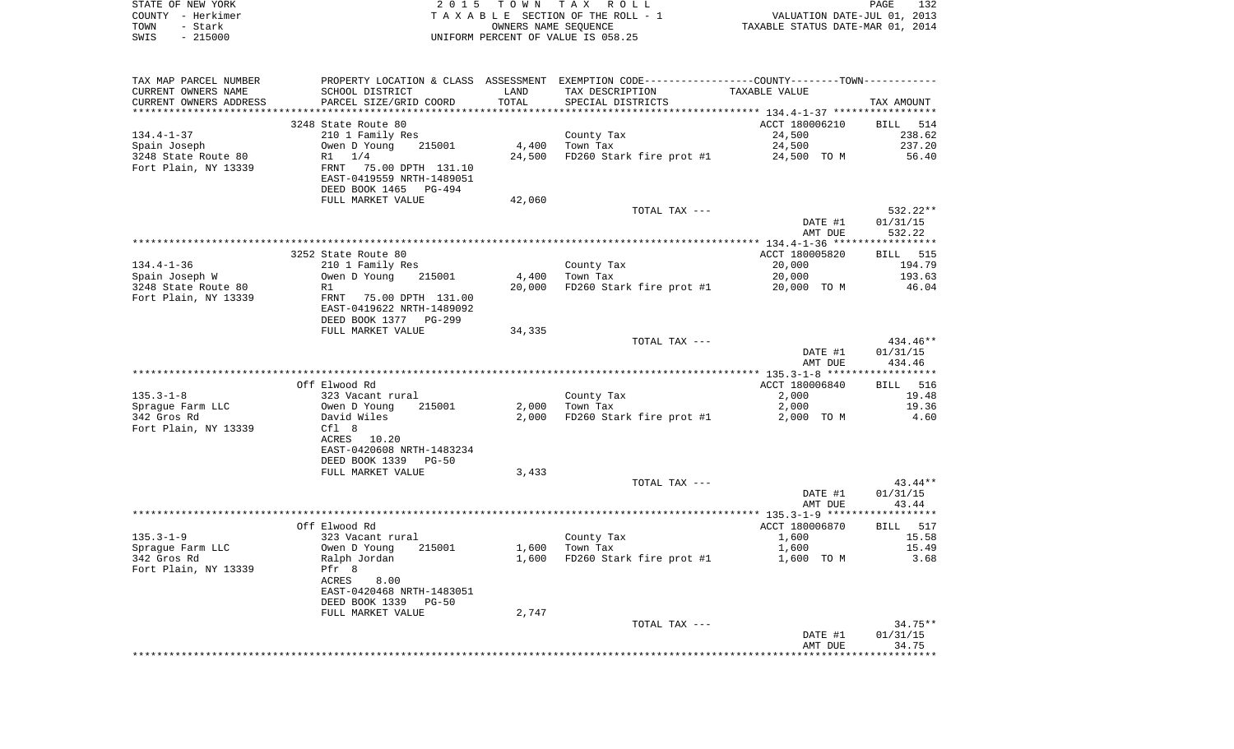| STATE OF NEW YORK |           | 2015 TOWN TAX ROLL                 |                      |  |                                  | PAGE | 132 |
|-------------------|-----------|------------------------------------|----------------------|--|----------------------------------|------|-----|
| COUNTY – Herkimer |           | TAXABLE SECTION OF THE ROLL - 1    |                      |  | VALUATION DATE-JUL 01, 2013      |      |     |
| TOWN<br>- Stark   |           |                                    | OWNERS NAME SEOUENCE |  | TAXABLE STATUS DATE-MAR 01, 2014 |      |     |
| SWIS              | $-215000$ | UNIFORM PERCENT OF VALUE IS 058.25 |                      |  |                                  |      |     |

| TAX MAP PARCEL NUMBER  | PROPERTY LOCATION & CLASS ASSESSMENT EXEMPTION CODE----------------COUNTY-------TOWN---------- |        |                                                             |                    |                    |
|------------------------|------------------------------------------------------------------------------------------------|--------|-------------------------------------------------------------|--------------------|--------------------|
| CURRENT OWNERS NAME    | SCHOOL DISTRICT                                                                                | LAND   | TAX DESCRIPTION                                             | TAXABLE VALUE      |                    |
| CURRENT OWNERS ADDRESS | PARCEL SIZE/GRID COORD                                                                         | TOTAL  | SPECIAL DISTRICTS                                           |                    | TAX AMOUNT         |
|                        | 3248 State Route 80                                                                            |        |                                                             | ACCT 180006210     | <b>BILL</b> 514    |
| 134.4-1-37             | 210 1 Family Res                                                                               |        | County Tax                                                  | 24,500             | 238.62             |
| Spain Joseph           |                                                                                                |        | 4,400 Town Tax                                              | 24,500             | 237.20             |
| 3248 State Route 80    |                                                                                                |        | 24,500 FD260 Stark fire prot #1 24,500 TO M                 |                    | 56.40              |
| Fort Plain, NY 13339   | Owen D Young 215001<br>R1 1/4<br>FRNT 75.00 DPTH 131.10<br>EAST-0419559 NRTH-1489051           |        |                                                             |                    |                    |
|                        |                                                                                                |        |                                                             |                    |                    |
|                        | DEED BOOK 1465 PG-494                                                                          |        |                                                             |                    |                    |
|                        | FULL MARKET VALUE                                                                              | 42,060 |                                                             |                    |                    |
|                        |                                                                                                |        | TOTAL TAX ---                                               |                    | 532.22**           |
|                        |                                                                                                |        |                                                             | DATE #1            | 01/31/15           |
|                        |                                                                                                |        |                                                             | AMT DUE            | 532.22             |
|                        | 3252 State Route 80                                                                            |        |                                                             | ACCT 180005820     | BILL 515           |
| 134.4-1-36             | 210 1 Family Res                                                                               |        |                                                             | 20,000             | 194.79             |
| Spain Joseph W         | $5 - 7 - 3$ $315001$                                                                           |        | County Tax<br>4,400 Town Tax                                | 20,000             | 193.63             |
| 3248 State Route 80    | R1                                                                                             |        | 20,000 FD260 Stark fire prot #1                             | 20,000 TO M        | 46.04              |
|                        | Fort Plain, NY 13339 FRNT 75.00 DPTH 131.00                                                    |        |                                                             |                    |                    |
|                        | EAST-0419622 NRTH-1489092                                                                      |        |                                                             |                    |                    |
|                        | DEED BOOK 1377 PG-299                                                                          |        |                                                             |                    |                    |
|                        | FULL MARKET VALUE                                                                              | 34,335 |                                                             |                    |                    |
|                        |                                                                                                |        | TOTAL TAX ---                                               |                    | 434.46**           |
|                        |                                                                                                |        |                                                             | DATE #1<br>AMT DUE | 01/31/15<br>434.46 |
|                        |                                                                                                |        |                                                             |                    |                    |
|                        | Off Elwood Rd                                                                                  |        |                                                             | ACCT 180006840     | <b>BILL</b> 516    |
|                        |                                                                                                |        | County Tax                                                  | 2,000              | 19.48              |
|                        |                                                                                                |        | 2,000 Town Tax                                              | 2,000              | 19.36              |
|                        |                                                                                                |        | 2,000 FD260 Stark fire prot #1 2,000 TO M                   |                    | 4.60               |
|                        |                                                                                                |        |                                                             |                    |                    |
|                        | ACRES 10.20                                                                                    |        |                                                             |                    |                    |
|                        | EAST-0420608 NRTH-1483234                                                                      |        |                                                             |                    |                    |
|                        | DEED BOOK 1339 PG-50                                                                           |        |                                                             |                    |                    |
|                        | FULL MARKET VALUE                                                                              | 3,433  | TOTAL TAX ---                                               |                    | 43.44**            |
|                        |                                                                                                |        |                                                             | DATE #1            | 01/31/15           |
|                        |                                                                                                |        |                                                             | AMT DUE            | 43.44              |
|                        |                                                                                                |        |                                                             |                    |                    |
|                        | Off Elwood Rd                                                                                  |        |                                                             | ACCT 180006870     | BILL 517           |
|                        |                                                                                                |        | County Tax<br>Town Tax                                      | 1,600              | 15.58              |
|                        |                                                                                                |        | $1,600$ County $\frac{1}{2}$<br>$\frac{1}{2}$ ,600 Town Tax | 1,600              | 15.49              |
|                        |                                                                                                |        | $1,600$ FD260 Stark fire prot #1 $1,600$ TO M               |                    | 3.68               |
|                        |                                                                                                |        |                                                             |                    |                    |
|                        | ACRES<br>8.00                                                                                  |        |                                                             |                    |                    |
|                        | EAST-0420468 NRTH-1483051<br>DEED BOOK 1339 PG-50                                              |        |                                                             |                    |                    |
|                        | FULL MARKET VALUE                                                                              | 2,747  |                                                             |                    |                    |
|                        |                                                                                                |        | TOTAL TAX ---                                               |                    | 34.75**            |
|                        |                                                                                                |        |                                                             | DATE #1            | 01/31/15           |
|                        |                                                                                                |        |                                                             | AMT DUE            | 34.75              |
|                        |                                                                                                |        |                                                             |                    |                    |
|                        |                                                                                                |        |                                                             |                    |                    |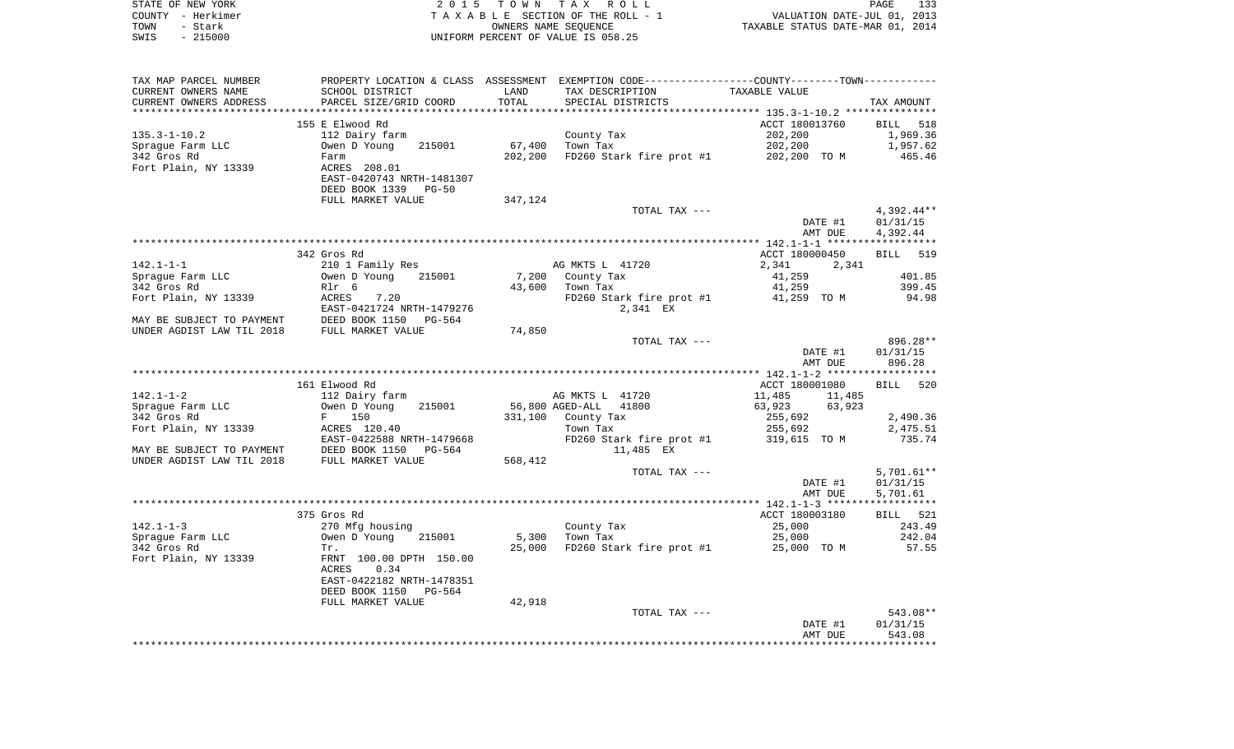|      | STATE OF NEW YORK | 2015 TOWN TAX ROLL                 | <b>PAGE</b>                      | 133 |
|------|-------------------|------------------------------------|----------------------------------|-----|
|      | COUNTY – Herkimer | TAXABLE SECTION OF THE ROLL - 1    | VALUATION DATE-JUL 01, 2013      |     |
| TOWN | – Stark           | OWNERS NAME SEOUENCE               | TAXABLE STATUS DATE-MAR 01, 2014 |     |
| SWIS | - 215000          | UNIFORM PERCENT OF VALUE IS 058.25 |                                  |     |

| TAX MAP PARCEL NUMBER     |                                                 |         | PROPERTY LOCATION & CLASS ASSESSMENT EXEMPTION CODE---------------COUNTY-------TOWN---------- |                  |              |
|---------------------------|-------------------------------------------------|---------|-----------------------------------------------------------------------------------------------|------------------|--------------|
| CURRENT OWNERS NAME       | SCHOOL DISTRICT                                 | LAND    | TAX DESCRIPTION                                                                               | TAXABLE VALUE    |              |
| CURRENT OWNERS ADDRESS    | PARCEL SIZE/GRID COORD                          | TOTAL   | SPECIAL DISTRICTS                                                                             |                  | TAX AMOUNT   |
|                           |                                                 |         |                                                                                               |                  |              |
|                           | 155 E Elwood Rd                                 |         |                                                                                               | ACCT 180013760   | BILL 518     |
| $135.3 - 1 - 10.2$        | 112 Dairy farm                                  |         | County Tax                                                                                    | 202,200          | 1,969.36     |
| Spraque Farm LLC          | Owen D Young<br>215001                          | 67,400  | Town Tax                                                                                      | 202,200          | 1,957.62     |
| 342 Gros Rd               | Farm                                            | 202,200 | FD260 Stark fire prot #1 202,200 TO M                                                         |                  | 465.46       |
| Fort Plain, NY 13339      | ACRES 208.01                                    |         |                                                                                               |                  |              |
|                           | EAST-0420743 NRTH-1481307                       |         |                                                                                               |                  |              |
|                           | DEED BOOK 1339<br>$PG-50$                       |         |                                                                                               |                  |              |
|                           | FULL MARKET VALUE                               | 347,124 |                                                                                               |                  |              |
|                           |                                                 |         | TOTAL TAX ---                                                                                 |                  | $4,392.44**$ |
|                           |                                                 |         |                                                                                               | DATE #1          | 01/31/15     |
|                           |                                                 |         |                                                                                               | AMT DUE          | 4,392.44     |
|                           |                                                 |         |                                                                                               |                  |              |
|                           | 342 Gros Rd                                     |         |                                                                                               | ACCT 180000450   | BILL 519     |
| $142.1 - 1 - 1$           | 210 1 Family Res                                |         | AG MKTS L 41720                                                                               | 2,341<br>2,341   |              |
| Spraque Farm LLC          | Owen D Young<br>215001                          |         | 7,200 County Tax                                                                              | 41,259           | 401.85       |
| 342 Gros Rd               | Rlr 6                                           | 43,600  | Town Tax                                                                                      | 41,259           | 399.45       |
| Fort Plain, NY 13339      | <b>ACRES</b><br>7.20                            |         | FD260 Stark fire prot #1 41,259 TO M                                                          |                  | 94.98        |
|                           | EAST-0421724 NRTH-1479276                       |         | 2,341 EX                                                                                      |                  |              |
| MAY BE SUBJECT TO PAYMENT | DEED BOOK 1150 PG-564<br>FULL MARKET VALUE      |         |                                                                                               |                  |              |
| UNDER AGDIST LAW TIL 2018 |                                                 | 74,850  |                                                                                               |                  |              |
|                           |                                                 |         | TOTAL TAX ---                                                                                 |                  | 896.28**     |
|                           |                                                 |         |                                                                                               | DATE #1          | 01/31/15     |
|                           |                                                 |         |                                                                                               | AMT DUE          | 896.28       |
|                           |                                                 |         |                                                                                               |                  |              |
|                           | 161 Elwood Rd                                   |         |                                                                                               | ACCT 180001080   | BILL 520     |
| $142.1 - 1 - 2$           | 112 Dairy farm                                  |         | AG MKTS L 41720                                                                               | 11,485<br>11,485 |              |
| Sprague Farm LLC          | Owen D Young<br>215001                          |         | 56,800 AGED-ALL 41800                                                                         | 63,923 63,923    |              |
| 342 Gros Rd               | F 150                                           |         | 331,100 County Tax                                                                            | 255,692          | 2,490.36     |
| Fort Plain, NY 13339      | ACRES 120.40                                    |         | Town Tax                                                                                      | 255,692          | 2,475.51     |
|                           | EAST-0422588 NRTH-1479668                       |         | FD260 Stark fire prot #1                                                                      | 319,615 TO M     | 735.74       |
| MAY BE SUBJECT TO PAYMENT | DEED BOOK 1150 I<br>FULL MARKET VALUE<br>PG-564 |         | 11,485 EX                                                                                     |                  |              |
| UNDER AGDIST LAW TIL 2018 |                                                 | 568,412 |                                                                                               |                  |              |
|                           |                                                 |         | TOTAL TAX ---                                                                                 |                  | $5,701.61**$ |
|                           |                                                 |         |                                                                                               | DATE #1          | 01/31/15     |
|                           |                                                 |         |                                                                                               | AMT DUE          | 5,701.61     |
|                           | 375 Gros Rd                                     |         |                                                                                               | ACCT 180003180   | BILL 521     |
| $142.1 - 1 - 3$           | 270 Mfg housing                                 |         | County Tax                                                                                    | 25,000           | 243.49       |
| Spraque Farm LLC          | Owen D Young<br>215001                          | 5,300   | Town Tax                                                                                      | 25,000           | 242.04       |
| 342 Gros Rd               | Tr.                                             | 25,000  | FD260 Stark fire prot #1                                                                      | 25,000 TO M      | 57.55        |
| Fort Plain, NY 13339      | FRNT 100.00 DPTH 150.00                         |         |                                                                                               |                  |              |
|                           | 0.34<br>ACRES                                   |         |                                                                                               |                  |              |
|                           | EAST-0422182 NRTH-1478351                       |         |                                                                                               |                  |              |
|                           | DEED BOOK 1150<br>PG-564                        |         |                                                                                               |                  |              |
|                           | FULL MARKET VALUE                               | 42,918  |                                                                                               |                  |              |
|                           |                                                 |         | TOTAL TAX ---                                                                                 |                  | $543.08**$   |
|                           |                                                 |         |                                                                                               | DATE #1          | 01/31/15     |
|                           |                                                 |         |                                                                                               | AMT DUE          | 543.08       |
|                           |                                                 |         |                                                                                               |                  |              |
|                           |                                                 |         |                                                                                               |                  |              |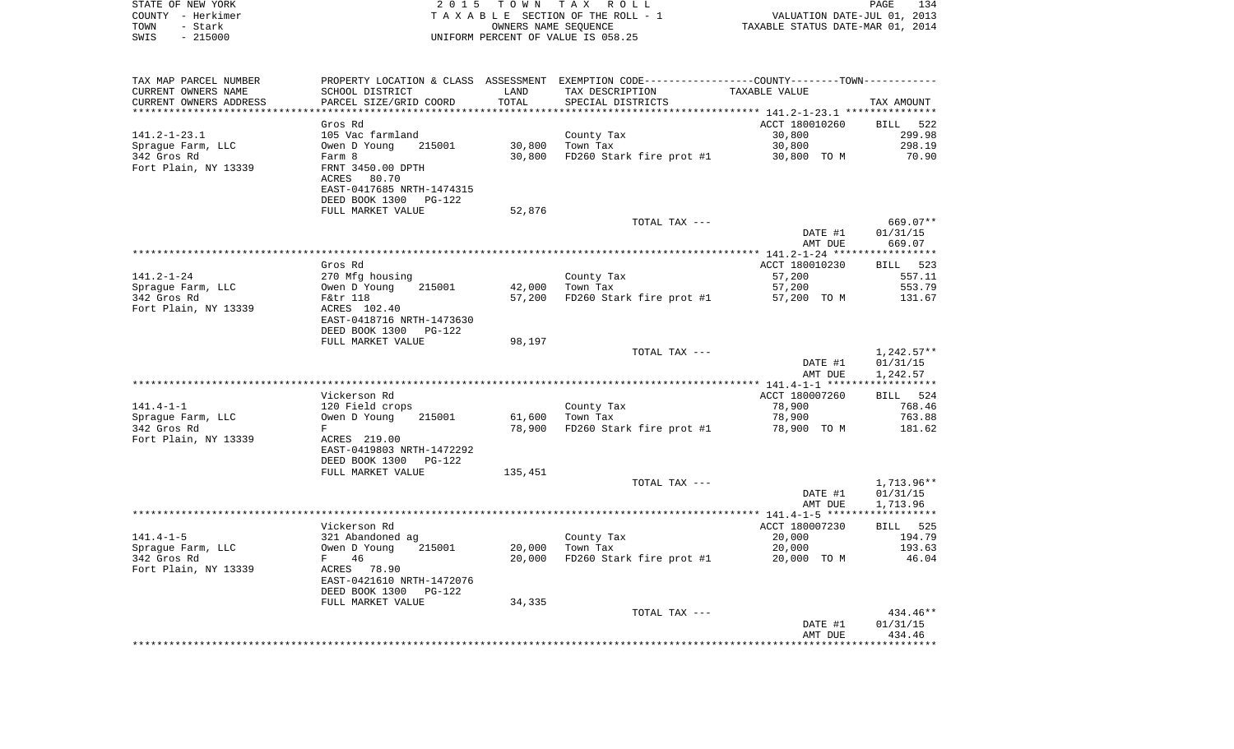| STATE OF NEW YORK                    | 2 0 1 5                                   |                      | TOWN TAX ROLL                                                                                 |                                  | PAGE<br>134              |
|--------------------------------------|-------------------------------------------|----------------------|-----------------------------------------------------------------------------------------------|----------------------------------|--------------------------|
| COUNTY - Herkimer                    |                                           |                      | TAXABLE SECTION OF THE ROLL - 1                                                               | VALUATION DATE-JUL 01, 2013      |                          |
| TOWN<br>- Stark<br>SWIS<br>$-215000$ |                                           | OWNERS NAME SEQUENCE | UNIFORM PERCENT OF VALUE IS 058.25                                                            | TAXABLE STATUS DATE-MAR 01, 2014 |                          |
|                                      |                                           |                      |                                                                                               |                                  |                          |
| TAX MAP PARCEL NUMBER                |                                           |                      | PROPERTY LOCATION & CLASS ASSESSMENT EXEMPTION CODE---------------COUNTY-------TOWN---------- |                                  |                          |
| CURRENT OWNERS NAME                  | SCHOOL DISTRICT                           | LAND                 | TAX DESCRIPTION                                                                               | TAXABLE VALUE                    |                          |
| CURRENT OWNERS ADDRESS               | PARCEL SIZE/GRID COORD                    | TOTAL                | SPECIAL DISTRICTS                                                                             |                                  | TAX AMOUNT               |
| *************************            |                                           |                      |                                                                                               |                                  |                          |
|                                      | Gros Rd                                   |                      |                                                                                               | ACCT 180010260                   | BILL 522                 |
| 141.2-1-23.1                         | 105 Vac farmland                          |                      | County Tax                                                                                    | 30,800                           | 299.98                   |
| Spraque Farm, LLC                    | Owen D Young<br>215001                    | 30,800               | Town Tax                                                                                      | 30,800                           | 298.19                   |
| 342 Gros Rd<br>Fort Plain, NY 13339  | Farm 8<br>FRNT 3450.00 DPTH               | 30,800               | FD260 Stark fire prot #1                                                                      | 30,800 TO M                      | 70.90                    |
|                                      | ACRES<br>80.70                            |                      |                                                                                               |                                  |                          |
|                                      | EAST-0417685 NRTH-1474315                 |                      |                                                                                               |                                  |                          |
|                                      | DEED BOOK 1300<br>PG-122                  |                      |                                                                                               |                                  |                          |
|                                      | FULL MARKET VALUE                         | 52,876               |                                                                                               |                                  |                          |
|                                      |                                           |                      | TOTAL TAX ---                                                                                 |                                  | 669.07**                 |
|                                      |                                           |                      |                                                                                               | DATE #1                          | 01/31/15                 |
|                                      |                                           |                      |                                                                                               | AMT DUE                          | 669.07                   |
|                                      | Gros Rd                                   |                      |                                                                                               | ACCT 180010230                   | BILL 523                 |
| 141.2-1-24                           | 270 Mfg housing                           |                      | County Tax                                                                                    | 57,200                           | 557.11                   |
| Spraque Farm, LLC                    | Owen D Young<br>215001                    | 42,000               | Town Tax                                                                                      | 57,200                           | 553.79                   |
| 342 Gros Rd                          | F&tr 118                                  | 57,200               | FD260 Stark fire prot #1                                                                      | 57,200 TO M                      | 131.67                   |
| Fort Plain, NY 13339                 | ACRES 102.40                              |                      |                                                                                               |                                  |                          |
|                                      | EAST-0418716 NRTH-1473630                 |                      |                                                                                               |                                  |                          |
|                                      | DEED BOOK 1300<br>PG-122                  |                      |                                                                                               |                                  |                          |
|                                      | FULL MARKET VALUE                         | 98,197               |                                                                                               |                                  |                          |
|                                      |                                           |                      | TOTAL TAX ---                                                                                 | DATE #1                          | $1,242.57**$<br>01/31/15 |
|                                      |                                           |                      |                                                                                               | AMT DUE                          | 1,242.57                 |
|                                      |                                           |                      |                                                                                               |                                  |                          |
|                                      | Vickerson Rd                              |                      |                                                                                               | ACCT 180007260                   | BILL 524                 |
| 141.4-1-1                            | 120 Field crops                           |                      | County Tax                                                                                    | 78,900                           | 768.46                   |
| Spraque Farm, LLC                    | 215001<br>Owen D Young                    | 61,600               | Town Tax                                                                                      | 78,900                           | 763.88                   |
| 342 Gros Rd                          | F                                         | 78,900               | FD260 Stark fire prot #1                                                                      | 78,900 TO M                      | 181.62                   |
| Fort Plain, NY 13339                 | ACRES 219.00<br>EAST-0419803 NRTH-1472292 |                      |                                                                                               |                                  |                          |
|                                      | DEED BOOK 1300 PG-122                     |                      |                                                                                               |                                  |                          |
|                                      | FULL MARKET VALUE                         | 135,451              |                                                                                               |                                  |                          |
|                                      |                                           |                      | TOTAL TAX ---                                                                                 |                                  | 1,713.96**               |
|                                      |                                           |                      |                                                                                               | DATE #1                          | 01/31/15                 |
|                                      |                                           |                      |                                                                                               | AMT DUE                          | 1,713.96                 |
|                                      |                                           |                      |                                                                                               |                                  |                          |
| 141.4-1-5                            | Vickerson Rd<br>321 Abandoned ag          |                      |                                                                                               | ACCT 180007230<br>20,000         | BILL 525<br>194.79       |
| Sprague Farm, LLC                    | Owen D Young 215001                       |                      | County Tax<br>20,000 Town Tax                                                                 | 20,000                           | 193.63                   |
| 342 Gros Rd                          | F 46                                      | 20,000               | FD260 Stark fire prot #1                                                                      | 20,000 TO M                      | 46.04                    |
| Fort Plain, NY 13339                 | ACRES 78.90                               |                      |                                                                                               |                                  |                          |
|                                      | EAST-0421610 NRTH-1472076                 |                      |                                                                                               |                                  |                          |
|                                      | DEED BOOK 1300<br>PG-122                  |                      |                                                                                               |                                  |                          |
|                                      | FULL MARKET VALUE                         | 34,335               |                                                                                               |                                  |                          |
|                                      |                                           |                      | TOTAL TAX ---                                                                                 |                                  | 434.46**                 |
|                                      |                                           |                      |                                                                                               | DATE #1<br>AMT DUE               | 01/31/15<br>434.46       |
|                                      |                                           |                      |                                                                                               |                                  |                          |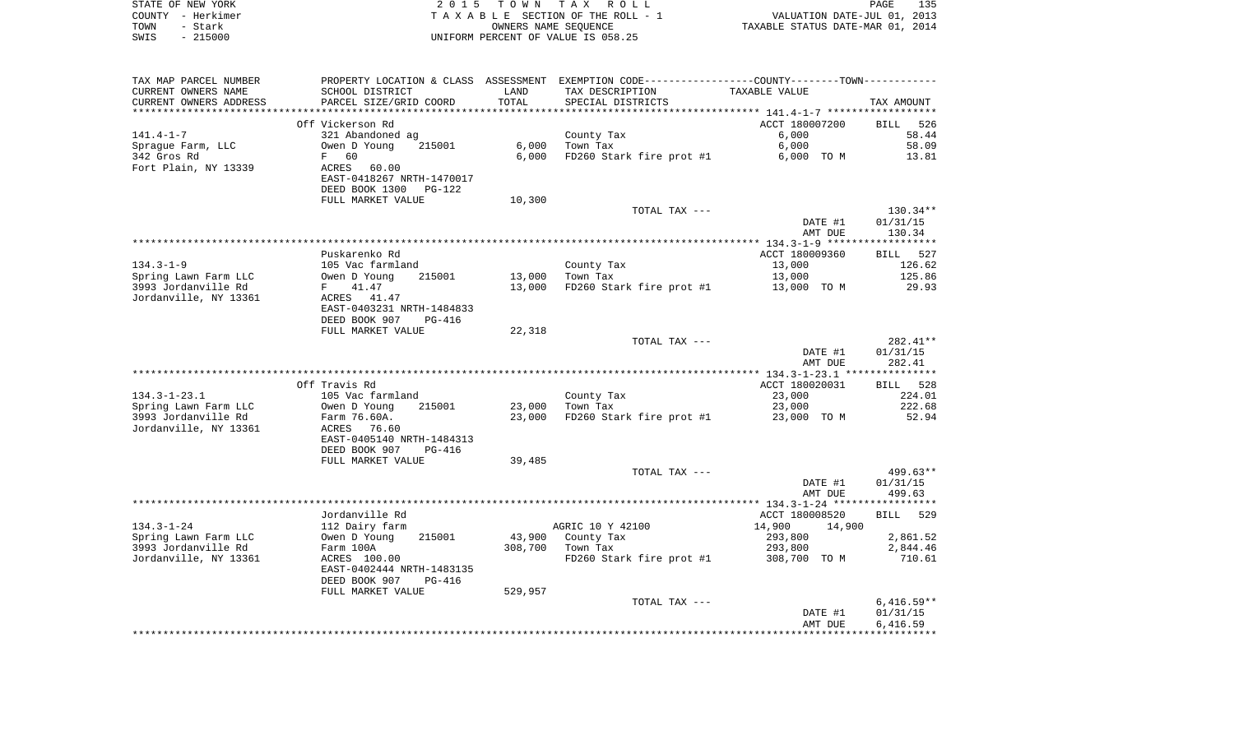|      | STATE OF NEW YORK | 2015 TOWN TAX ROLL                 | 135<br><b>PAGE</b>               |
|------|-------------------|------------------------------------|----------------------------------|
|      | COUNTY - Herkimer | TAXABLE SECTION OF THE ROLL - 1    | VALUATION DATE-JUL 01, 2013      |
| TOWN | – Stark           | OWNERS NAME SEOUENCE               | TAXABLE STATUS DATE-MAR 01, 2014 |
| SWIS | $-215000$         | UNIFORM PERCENT OF VALUE IS 058.25 |                                  |

| TAX MAP PARCEL NUMBER  | PROPERTY LOCATION & CLASS ASSESSMENT EXEMPTION CODE-----------------COUNTY--------TOWN--------- |         |                          |                  |              |
|------------------------|-------------------------------------------------------------------------------------------------|---------|--------------------------|------------------|--------------|
| CURRENT OWNERS NAME    | SCHOOL DISTRICT                                                                                 | LAND    | TAX DESCRIPTION          | TAXABLE VALUE    |              |
| CURRENT OWNERS ADDRESS | PARCEL SIZE/GRID COORD                                                                          | TOTAL   | SPECIAL DISTRICTS        |                  | TAX AMOUNT   |
|                        |                                                                                                 |         |                          |                  |              |
|                        | Off Vickerson Rd                                                                                |         |                          | ACCT 180007200   | BILL 526     |
| $141.4 - 1 - 7$        | 321 Abandoned ag                                                                                |         | County Tax               | 6,000            | 58.44        |
| Spraque Farm, LLC      | 215001<br>Owen D Young                                                                          | 6,000   | Town Tax                 | 6,000            | 58.09        |
| 342 Gros Rd            | 60<br>F                                                                                         | 6,000   | FD260 Stark fire prot #1 | 6,000 TO M       | 13.81        |
| Fort Plain, NY 13339   | ACRES<br>60.00                                                                                  |         |                          |                  |              |
|                        | EAST-0418267 NRTH-1470017                                                                       |         |                          |                  |              |
|                        | DEED BOOK 1300<br>$PG-122$                                                                      |         |                          |                  |              |
|                        | FULL MARKET VALUE                                                                               | 10,300  |                          |                  |              |
|                        |                                                                                                 |         |                          |                  |              |
|                        |                                                                                                 |         | TOTAL TAX ---            |                  | $130.34**$   |
|                        |                                                                                                 |         |                          | DATE #1          | 01/31/15     |
|                        |                                                                                                 |         |                          | AMT DUE          | 130.34       |
|                        |                                                                                                 |         |                          |                  |              |
|                        | Puskarenko Rd                                                                                   |         |                          | ACCT 180009360   | BILL 527     |
| $134.3 - 1 - 9$        | 105 Vac farmland                                                                                |         | County Tax               | 13,000           | 126.62       |
| Spring Lawn Farm LLC   | Owen D Young<br>215001                                                                          | 13,000  | Town Tax                 | 13,000           | 125.86       |
| 3993 Jordanville Rd    | 41.47<br>F                                                                                      | 13,000  | FD260 Stark fire prot #1 | 13,000 TO M      | 29.93        |
| Jordanville, NY 13361  | ACRES 41.47                                                                                     |         |                          |                  |              |
|                        | EAST-0403231 NRTH-1484833                                                                       |         |                          |                  |              |
|                        | DEED BOOK 907<br>PG-416                                                                         |         |                          |                  |              |
|                        | FULL MARKET VALUE                                                                               | 22,318  |                          |                  |              |
|                        |                                                                                                 |         | TOTAL TAX ---            |                  | 282.41**     |
|                        |                                                                                                 |         |                          | DATE #1          | 01/31/15     |
|                        |                                                                                                 |         |                          | AMT DUE          | 282.41       |
|                        |                                                                                                 |         |                          |                  |              |
|                        | Off Travis Rd                                                                                   |         |                          | ACCT 180020031   | BILL 528     |
| $134.3 - 1 - 23.1$     | 105 Vac farmland                                                                                |         | County Tax               | 23,000           | 224.01       |
| Spring Lawn Farm LLC   | Owen D Young<br>215001                                                                          | 23,000  | Town Tax                 | 23,000           | 222.68       |
| 3993 Jordanville Rd    | Farm 76.60A.                                                                                    | 23,000  | FD260 Stark fire prot #1 | 23,000 TO M      | 52.94        |
| Jordanville, NY 13361  | ACRES<br>76.60                                                                                  |         |                          |                  |              |
|                        |                                                                                                 |         |                          |                  |              |
|                        | EAST-0405140 NRTH-1484313                                                                       |         |                          |                  |              |
|                        | DEED BOOK 907<br><b>PG-416</b>                                                                  |         |                          |                  |              |
|                        | FULL MARKET VALUE                                                                               | 39,485  |                          |                  |              |
|                        |                                                                                                 |         | TOTAL TAX ---            |                  | $499.63**$   |
|                        |                                                                                                 |         |                          | DATE #1          | 01/31/15     |
|                        |                                                                                                 |         |                          | AMT DUE          | 499.63       |
|                        |                                                                                                 |         |                          |                  |              |
|                        | Jordanville Rd                                                                                  |         |                          | ACCT 180008520   | BILL 529     |
| $134.3 - 1 - 24$       | 112 Dairy farm                                                                                  |         | AGRIC 10 Y 42100         | 14,900<br>14,900 |              |
| Spring Lawn Farm LLC   | Owen D Young<br>215001                                                                          | 43,900  | County Tax               | 293,800          | 2,861.52     |
| 3993 Jordanville Rd    | Farm 100A                                                                                       | 308,700 | Town Tax                 | 293,800          | 2,844.46     |
| Jordanville, NY 13361  | ACRES 100.00                                                                                    |         | FD260 Stark fire prot #1 | 308,700 TO M     | 710.61       |
|                        | EAST-0402444 NRTH-1483135                                                                       |         |                          |                  |              |
|                        | DEED BOOK 907<br>$PG-416$                                                                       |         |                          |                  |              |
|                        | FULL MARKET VALUE                                                                               | 529,957 |                          |                  |              |
|                        |                                                                                                 |         | TOTAL TAX ---            |                  | $6,416.59**$ |
|                        |                                                                                                 |         |                          | DATE #1          | 01/31/15     |
|                        |                                                                                                 |         |                          | AMT DUE          | 6,416.59     |
|                        |                                                                                                 |         |                          |                  |              |
|                        |                                                                                                 |         |                          |                  |              |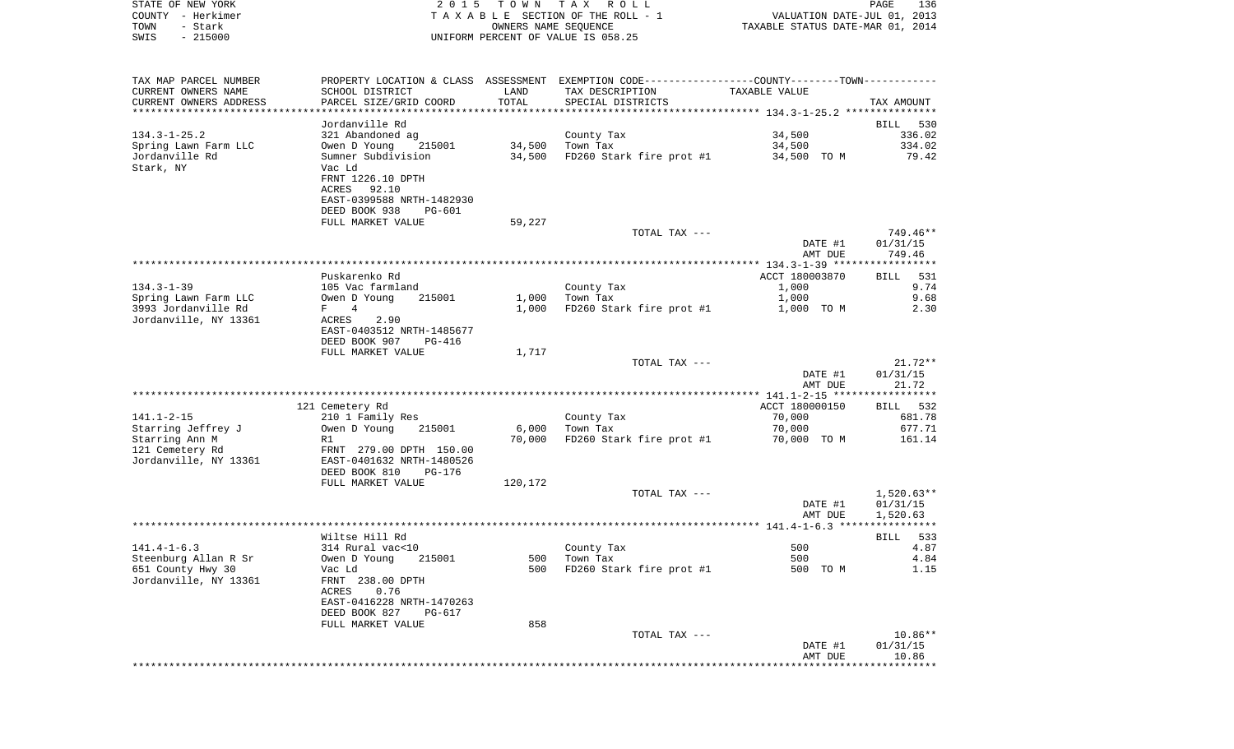|      | STATE OF NEW YORK | 2015 TOWN TAX ROLL                 | 136<br>PAGE                      |
|------|-------------------|------------------------------------|----------------------------------|
|      | COUNTY - Herkimer | TAXABLE SECTION OF THE ROLL - 1    | VALUATION DATE-JUL 01, 2013      |
| TOWN | - Stark           | OWNERS NAME SEOUENCE               | TAXABLE STATUS DATE-MAR 01, 2014 |
| SWIS | $-215000$         | UNIFORM PERCENT OF VALUE IS 058.25 |                                  |

| TAX MAP PARCEL NUMBER  |                                |                | PROPERTY LOCATION & CLASS ASSESSMENT EXEMPTION CODE----------------COUNTY-------TOWN---------- |                                                                |              |
|------------------------|--------------------------------|----------------|------------------------------------------------------------------------------------------------|----------------------------------------------------------------|--------------|
| CURRENT OWNERS NAME    | SCHOOL DISTRICT                | LAND           | TAX DESCRIPTION                                                                                | TAXABLE VALUE                                                  |              |
| CURRENT OWNERS ADDRESS | PARCEL SIZE/GRID COORD         | TOTAL          | SPECIAL DISTRICTS                                                                              |                                                                | TAX AMOUNT   |
|                        |                                | ************** |                                                                                                | ******************************** 134.3-1-25.2 **************** |              |
|                        | Jordanville Rd                 |                |                                                                                                |                                                                | BILL 530     |
| $134.3 - 1 - 25.2$     | 321 Abandoned ag               |                | County Tax                                                                                     | 34,500                                                         | 336.02       |
| Spring Lawn Farm LLC   | 215001<br>Owen D Young         | 34,500         | Town Tax                                                                                       | 34,500                                                         | 334.02       |
| Jordanville Rd         | Sumner Subdivision             | 34,500         | FD260 Stark fire prot #1                                                                       | 34,500 TO M                                                    | 79.42        |
| Stark, NY              | Vac Ld                         |                |                                                                                                |                                                                |              |
|                        | FRNT 1226.10 DPTH              |                |                                                                                                |                                                                |              |
|                        | ACRES<br>92.10                 |                |                                                                                                |                                                                |              |
|                        | EAST-0399588 NRTH-1482930      |                |                                                                                                |                                                                |              |
|                        |                                |                |                                                                                                |                                                                |              |
|                        | DEED BOOK 938<br><b>PG-601</b> |                |                                                                                                |                                                                |              |
|                        | FULL MARKET VALUE              | 59,227         |                                                                                                |                                                                |              |
|                        |                                |                | TOTAL TAX ---                                                                                  |                                                                | $749.46**$   |
|                        |                                |                |                                                                                                | DATE #1                                                        | 01/31/15     |
|                        |                                |                |                                                                                                | AMT DUE                                                        | 749.46       |
|                        |                                |                |                                                                                                |                                                                |              |
|                        | Puskarenko Rd                  |                |                                                                                                | ACCT 180003870                                                 | 531<br>BILL  |
| $134.3 - 1 - 39$       | 105 Vac farmland               |                | County Tax                                                                                     | 1,000                                                          | 9.74         |
| Spring Lawn Farm LLC   | Owen D Young<br>215001         | 1,000          | Town Tax                                                                                       | 1,000                                                          | 9.68         |
| 3993 Jordanville Rd    | 4<br>$F \sim$                  | 1,000          | FD260 Stark fire prot #1                                                                       | 1,000 TO M                                                     | 2.30         |
| Jordanville, NY 13361  | 2.90<br>ACRES                  |                |                                                                                                |                                                                |              |
|                        | EAST-0403512 NRTH-1485677      |                |                                                                                                |                                                                |              |
|                        | DEED BOOK 907<br><b>PG-416</b> |                |                                                                                                |                                                                |              |
|                        | FULL MARKET VALUE              | 1,717          |                                                                                                |                                                                |              |
|                        |                                |                | TOTAL TAX ---                                                                                  |                                                                | $21.72**$    |
|                        |                                |                |                                                                                                | DATE #1                                                        | 01/31/15     |
|                        |                                |                |                                                                                                | AMT DUE                                                        | 21.72        |
|                        |                                |                |                                                                                                |                                                                |              |
|                        | 121 Cemetery Rd                |                |                                                                                                | ACCT 180000150                                                 | BILL 532     |
| $141.1 - 2 - 15$       | 210 1 Family Res               |                | County Tax                                                                                     | 70,000                                                         | 681.78       |
| Starring Jeffrey J     | Owen D Young<br>215001         | 6,000          | Town Tax                                                                                       | 70,000                                                         | 677.71       |
| Starring Ann M         | R1                             | 70,000         | FD260 Stark fire prot #1                                                                       | 70,000 TO M                                                    | 161.14       |
| 121 Cemetery Rd        | FRNT 279.00 DPTH 150.00        |                |                                                                                                |                                                                |              |
| Jordanville, NY 13361  | EAST-0401632 NRTH-1480526      |                |                                                                                                |                                                                |              |
|                        |                                |                |                                                                                                |                                                                |              |
|                        | DEED BOOK 810<br>PG-176        |                |                                                                                                |                                                                |              |
|                        | FULL MARKET VALUE              | 120,172        |                                                                                                |                                                                |              |
|                        |                                |                | TOTAL TAX ---                                                                                  |                                                                | $1,520.63**$ |
|                        |                                |                |                                                                                                | DATE #1                                                        | 01/31/15     |
|                        |                                |                |                                                                                                | AMT DUE                                                        | 1,520.63     |
|                        |                                |                |                                                                                                |                                                                |              |
|                        | Wiltse Hill Rd                 |                |                                                                                                |                                                                | BILL 533     |
| $141.4 - 1 - 6.3$      | 314 Rural vac<10               |                | County Tax                                                                                     | 500                                                            | 4.87         |
| Steenburg Allan R Sr   | Owen D Young<br>215001         | 500            | Town Tax                                                                                       | 500                                                            | 4.84         |
| 651 County Hwy 30      | Vac Ld                         | 500            | FD260 Stark fire prot #1                                                                       | 500 TO M                                                       | 1.15         |
| Jordanville, NY 13361  | FRNT 238.00 DPTH               |                |                                                                                                |                                                                |              |
|                        | ACRES<br>0.76                  |                |                                                                                                |                                                                |              |
|                        | EAST-0416228 NRTH-1470263      |                |                                                                                                |                                                                |              |
|                        | DEED BOOK 827<br>PG-617        |                |                                                                                                |                                                                |              |
|                        | FULL MARKET VALUE              | 858            |                                                                                                |                                                                |              |
|                        |                                |                | TOTAL TAX ---                                                                                  |                                                                | 10.86**      |
|                        |                                |                |                                                                                                | DATE #1                                                        | 01/31/15     |
|                        |                                |                |                                                                                                | AMT DUE                                                        | 10.86        |
|                        |                                |                |                                                                                                |                                                                | ******       |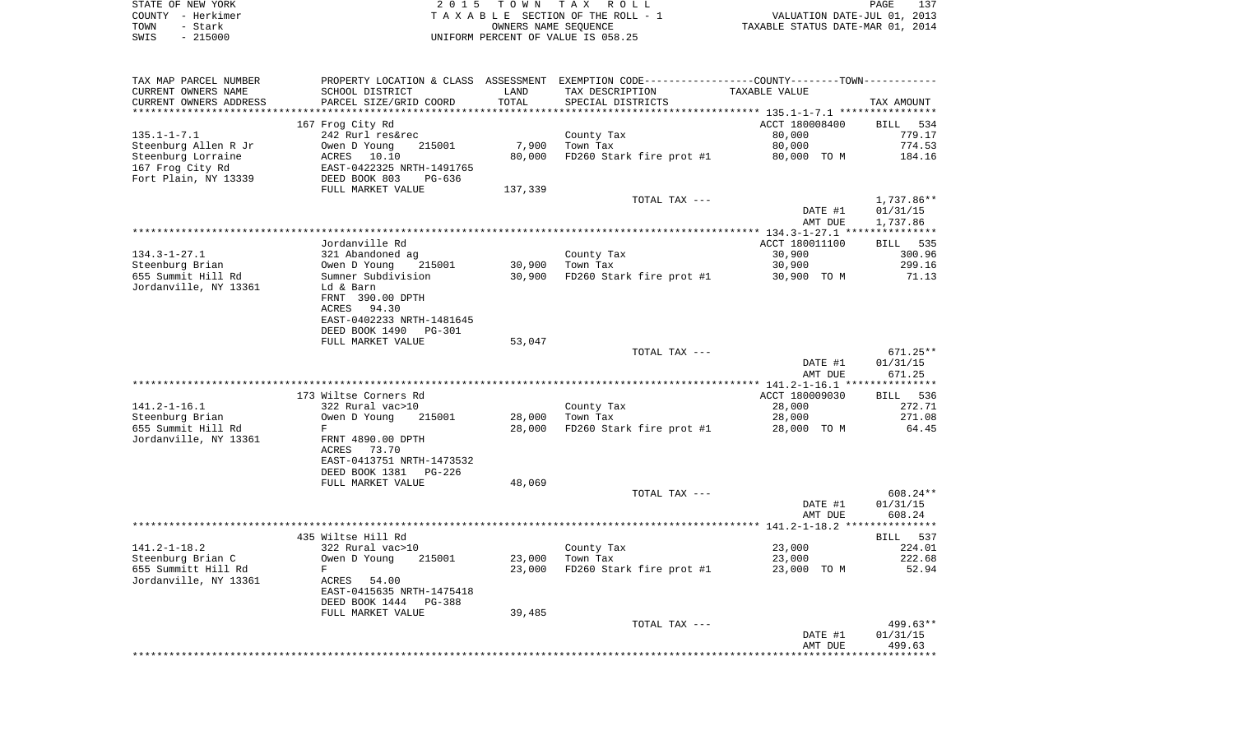|      | STATE OF NEW YORK | 2015 TOWN TAX ROLL                    | PAGE                             |  |
|------|-------------------|---------------------------------------|----------------------------------|--|
|      | COUNTY - Herkimer | T A X A B L E SECTION OF THE ROLL - 1 | VALUATION DATE-JUL 01, 2013      |  |
| TOWN | - Stark           | OWNERS NAME SEOUENCE                  | TAXABLE STATUS DATE-MAR 01, 2014 |  |
| SWIS | $-215000$         | UNIFORM PERCENT OF VALUE IS 058.25    |                                  |  |

| TAX MAP PARCEL NUMBER                           | PROPERTY LOCATION & CLASS ASSESSMENT EXEMPTION CODE----------------COUNTY-------TOWN---------- |         |                          |                  |                    |
|-------------------------------------------------|------------------------------------------------------------------------------------------------|---------|--------------------------|------------------|--------------------|
| CURRENT OWNERS NAME                             | SCHOOL DISTRICT                                                                                | LAND    | TAX DESCRIPTION          | TAXABLE VALUE    |                    |
| CURRENT OWNERS ADDRESS<br>********************* | PARCEL SIZE/GRID COORD<br>*****************************                                        | TOTAL   | SPECIAL DISTRICTS        |                  | TAX AMOUNT         |
|                                                 |                                                                                                |         |                          |                  |                    |
|                                                 | 167 Frog City Rd                                                                               |         |                          | ACCT 180008400   | BILL 534<br>779.17 |
| $135.1 - 1 - 7.1$<br>Steenburg Allen R Jr       | 242 Rurl res&rec<br>215001                                                                     | 7,900   | County Tax<br>Town Tax   | 80,000<br>80,000 | 774.53             |
| Steenburg Lorraine                              | Owen D Young<br>ACRES 10.10                                                                    | 80,000  | FD260 Stark fire prot #1 | 80,000 TO M      | 184.16             |
| 167 Frog City Rd                                | EAST-0422325 NRTH-1491765                                                                      |         |                          |                  |                    |
| Fort Plain, NY 13339                            | DEED BOOK 803<br>PG-636                                                                        |         |                          |                  |                    |
|                                                 | FULL MARKET VALUE                                                                              | 137,339 |                          |                  |                    |
|                                                 |                                                                                                |         | TOTAL TAX ---            |                  | 1,737.86**         |
|                                                 |                                                                                                |         |                          | DATE #1          | 01/31/15           |
|                                                 |                                                                                                |         |                          | AMT DUE          | 1,737.86           |
|                                                 |                                                                                                |         |                          |                  |                    |
|                                                 | Jordanville Rd                                                                                 |         |                          | ACCT 180011100   | <b>BILL</b> 535    |
| $134.3 - 1 - 27.1$                              | 321 Abandoned ag                                                                               |         | County Tax               | 30,900           | 300.96             |
| Steenburg Brian                                 | Owen D Young<br>215001                                                                         | 30,900  | Town Tax                 | 30,900           | 299.16             |
| 655 Summit Hill Rd                              | Sumner Subdivision                                                                             | 30,900  | FD260 Stark fire prot #1 | 30,900 TO M      | 71.13              |
| Jordanville, NY 13361                           | Ld & Barn                                                                                      |         |                          |                  |                    |
|                                                 | FRNT 390.00 DPTH                                                                               |         |                          |                  |                    |
|                                                 | ACRES<br>94.30                                                                                 |         |                          |                  |                    |
|                                                 | EAST-0402233 NRTH-1481645                                                                      |         |                          |                  |                    |
|                                                 | DEED BOOK 1490<br><b>PG-301</b>                                                                |         |                          |                  |                    |
|                                                 | FULL MARKET VALUE                                                                              | 53,047  |                          |                  |                    |
|                                                 |                                                                                                |         | TOTAL TAX ---            |                  | $671.25**$         |
|                                                 |                                                                                                |         |                          | DATE #1          | 01/31/15           |
|                                                 |                                                                                                |         |                          | AMT DUE          | 671.25             |
|                                                 | 173 Wiltse Corners Rd                                                                          |         |                          | ACCT 180009030   | BILL 536           |
| $141.2 - 1 - 16.1$                              | 322 Rural vac>10                                                                               |         | County Tax               | 28,000           | 272.71             |
| Steenburg Brian                                 | Owen D Young<br>215001                                                                         | 28,000  | Town Tax                 | 28,000           | 271.08             |
| 655 Summit Hill Rd                              | F                                                                                              | 28,000  | FD260 Stark fire prot #1 | 28,000 TO M      | 64.45              |
| Jordanville, NY 13361                           | FRNT 4890.00 DPTH                                                                              |         |                          |                  |                    |
|                                                 | ACRES 73.70                                                                                    |         |                          |                  |                    |
|                                                 | EAST-0413751 NRTH-1473532                                                                      |         |                          |                  |                    |
|                                                 | DEED BOOK 1381 PG-226                                                                          |         |                          |                  |                    |
|                                                 | FULL MARKET VALUE                                                                              | 48,069  |                          |                  |                    |
|                                                 |                                                                                                |         | TOTAL TAX ---            |                  | 608.24**           |
|                                                 |                                                                                                |         |                          | DATE #1          | 01/31/15           |
|                                                 |                                                                                                |         |                          | AMT DUE          | 608.24             |
|                                                 |                                                                                                |         |                          |                  |                    |
|                                                 | 435 Wiltse Hill Rd                                                                             |         |                          |                  | BILL 537           |
| $141.2 - 1 - 18.2$                              | 322 Rural vac>10                                                                               |         | County Tax               | 23,000           | 224.01             |
| Steenburg Brian C                               | Owen D Young<br>215001                                                                         | 23,000  | Town Tax                 | 23,000           | 222.68             |
| 655 Summitt Hill Rd                             | F                                                                                              | 23,000  | FD260 Stark fire prot #1 | 23,000 TO M      | 52.94              |
| Jordanville, NY 13361                           | ACRES 54.00                                                                                    |         |                          |                  |                    |
|                                                 | EAST-0415635 NRTH-1475418<br>DEED BOOK 1444 PG-388                                             |         |                          |                  |                    |
|                                                 | FULL MARKET VALUE                                                                              | 39,485  |                          |                  |                    |
|                                                 |                                                                                                |         | TOTAL TAX ---            |                  | 499.63**           |
|                                                 |                                                                                                |         |                          | DATE #1          | 01/31/15           |
|                                                 |                                                                                                |         |                          | AMT DUE          | 499.63             |
|                                                 |                                                                                                |         |                          |                  |                    |
|                                                 |                                                                                                |         |                          |                  |                    |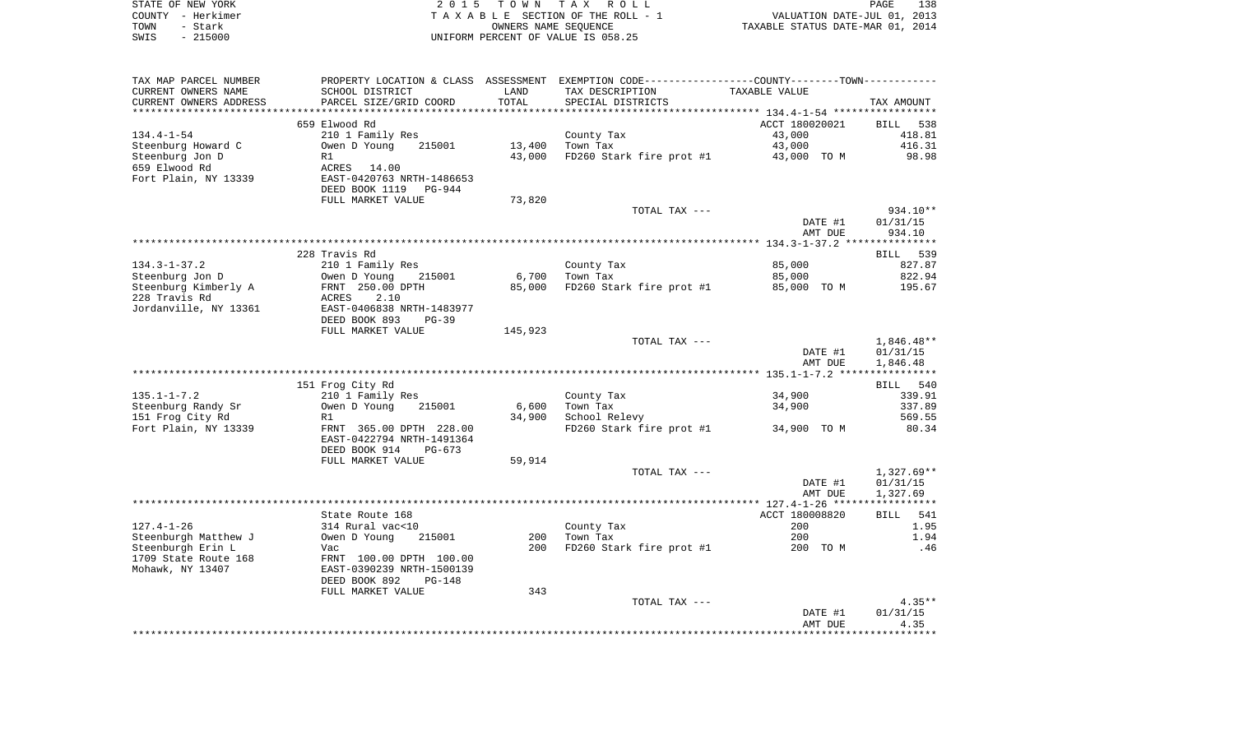|      | STATE OF NEW YORK | 2015 TOWN TAX ROLL                 | PAGE                             | 138 |
|------|-------------------|------------------------------------|----------------------------------|-----|
|      | COUNTY - Herkimer | TAXABLE SECTION OF THE ROLL - 1    | VALUATION DATE-JUL 01, 2013      |     |
| TOWN | – Stark           | OWNERS NAME SEOUENCE               | TAXABLE STATUS DATE-MAR 01, 2014 |     |
| SWIS | $-215000$         | UNIFORM PERCENT OF VALUE IS 058.25 |                                  |     |
|      |                   |                                    |                                  |     |

| TAX MAP PARCEL NUMBER<br>CURRENT OWNERS NAME | PROPERTY LOCATION & CLASS ASSESSMENT<br>SCHOOL DISTRICT                                   | LAND             | EXEMPTION CODE-----------------COUNTY-------TOWN-----------<br>TAX DESCRIPTION | TAXABLE VALUE      |                              |
|----------------------------------------------|-------------------------------------------------------------------------------------------|------------------|--------------------------------------------------------------------------------|--------------------|------------------------------|
| CURRENT OWNERS ADDRESS<br>****************   | PARCEL SIZE/GRID COORD                                                                    | TOTAL<br>******* | SPECIAL DISTRICTS                                                              |                    | TAX AMOUNT                   |
|                                              | 659 Elwood Rd                                                                             |                  |                                                                                | ACCT 180020021     | <b>BILL</b><br>538           |
| $134.4 - 1 - 54$                             | 210 1 Family Res                                                                          |                  | County Tax                                                                     | 43,000             | 418.81                       |
| Steenburg Howard C                           | Owen D Young<br>215001                                                                    | 13,400           | Town Tax                                                                       | 43,000             | 416.31                       |
| Steenburg Jon D                              | R1                                                                                        | 43,000           | FD260 Stark fire prot #1                                                       | 43,000 TO M        | 98.98                        |
| 659 Elwood Rd<br>Fort Plain, NY 13339        | ACRES<br>14.00<br>EAST-0420763 NRTH-1486653<br>DEED BOOK 1119 PG-944<br>FULL MARKET VALUE | 73,820           |                                                                                |                    |                              |
|                                              |                                                                                           |                  | TOTAL TAX ---                                                                  |                    | $934.10**$                   |
|                                              |                                                                                           |                  |                                                                                | DATE #1            | 01/31/15                     |
|                                              |                                                                                           |                  |                                                                                | AMT DUE            | 934.10                       |
|                                              |                                                                                           |                  |                                                                                |                    |                              |
|                                              | 228 Travis Rd                                                                             |                  |                                                                                |                    | 539<br>BILL                  |
| $134.3 - 1 - 37.2$                           | 210 1 Family Res                                                                          |                  | County Tax                                                                     | 85,000             | 827.87                       |
| Steenburg Jon D                              | Owen D Young<br>215001                                                                    | 6,700            | Town Tax                                                                       | 85,000             | 822.94                       |
| Steenburg Kimberly A                         | FRNT 250.00 DPTH                                                                          | 85,000           | FD260 Stark fire prot #1                                                       | 85,000 TO M        | 195.67                       |
| 228 Travis Rd<br>Jordanville, NY 13361       | 2.10<br>ACRES<br>EAST-0406838 NRTH-1483977<br>DEED BOOK 893<br>$PG-39$                    |                  |                                                                                |                    |                              |
|                                              | FULL MARKET VALUE                                                                         | 145,923          |                                                                                |                    |                              |
|                                              |                                                                                           |                  | TOTAL TAX ---                                                                  |                    | $1,846.48**$                 |
|                                              |                                                                                           |                  |                                                                                | DATE #1            | 01/31/15                     |
|                                              |                                                                                           |                  |                                                                                | AMT DUE            | 1,846.48                     |
|                                              |                                                                                           |                  |                                                                                |                    |                              |
| $135.1 - 1 - 7.2$                            | 151 Frog City Rd<br>210 1 Family Res                                                      |                  | County Tax                                                                     | 34,900             | 540<br><b>BILL</b><br>339.91 |
| Steenburg Randy Sr                           | Owen D Young<br>215001                                                                    | 6,600            | Town Tax                                                                       | 34,900             | 337.89                       |
| 151 Frog City Rd                             | R1                                                                                        | 34,900           | School Relevy                                                                  |                    | 569.55                       |
| Fort Plain, NY 13339                         | FRNT 365.00 DPTH 228.00<br>EAST-0422794 NRTH-1491364<br>DEED BOOK 914<br>$PG-673$         |                  | FD260 Stark fire prot #1                                                       | 34,900 TO M        | 80.34                        |
|                                              | FULL MARKET VALUE                                                                         | 59,914           |                                                                                |                    |                              |
|                                              |                                                                                           |                  | TOTAL TAX ---                                                                  |                    | $1,327.69**$                 |
|                                              |                                                                                           |                  |                                                                                | DATE #1<br>AMT DUE | 01/31/15<br>1,327.69         |
|                                              |                                                                                           |                  |                                                                                |                    |                              |
|                                              | State Route 168                                                                           |                  |                                                                                | ACCT 180008820     | <b>BILL</b><br>541           |
| $127.4 - 1 - 26$                             | 314 Rural vac<10                                                                          |                  | County Tax                                                                     | 200                | 1.95                         |
| Steenburgh Matthew J<br>Steenburgh Erin L    | 215001<br>Owen D Young                                                                    | 200<br>200       | Town Tax                                                                       | 200<br>200 TO M    | 1.94<br>.46                  |
| 1709 State Route 168                         | Vac<br>FRNT 100.00 DPTH 100.00                                                            |                  | FD260 Stark fire prot #1                                                       |                    |                              |
| Mohawk, NY 13407                             | EAST-0390239 NRTH-1500139<br>DEED BOOK 892<br>$PG-148$                                    |                  |                                                                                |                    |                              |
|                                              | FULL MARKET VALUE                                                                         | 343              |                                                                                |                    |                              |
|                                              |                                                                                           |                  | TOTAL TAX ---                                                                  |                    | $4.35**$                     |
|                                              |                                                                                           |                  |                                                                                | DATE #1            | 01/31/15                     |
|                                              |                                                                                           |                  |                                                                                | AMT DUE            | 4.35                         |
|                                              |                                                                                           |                  |                                                                                |                    |                              |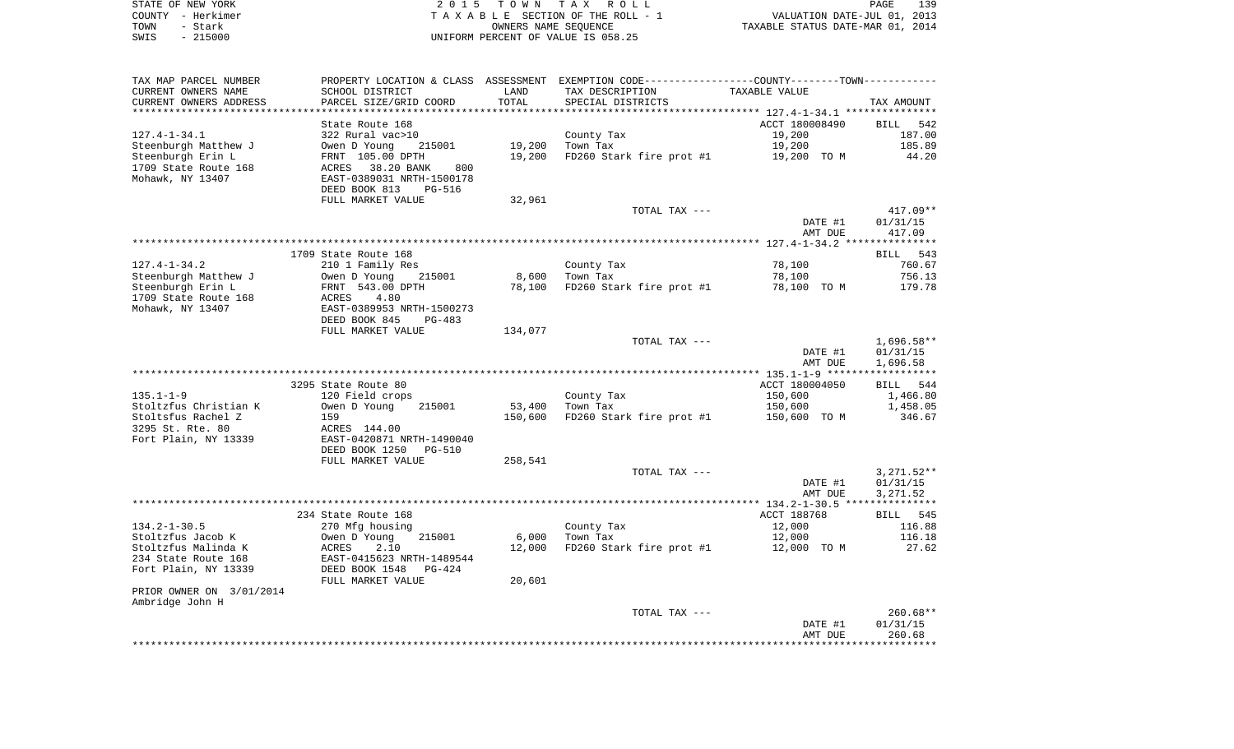|      | STATE OF NEW YORK | 2015 TOWN TAX ROLL                 | PAGE                             | 139 |
|------|-------------------|------------------------------------|----------------------------------|-----|
|      | COUNTY - Herkimer | TAXABLE SECTION OF THE ROLL - 1    | VALUATION DATE-JUL 01, 2013      |     |
| TOWN | - Stark           | OWNERS NAME SEOUENCE               | TAXABLE STATUS DATE-MAR 01, 2014 |     |
| SWIS | $-215000$         | UNIFORM PERCENT OF VALUE IS 058.25 |                                  |     |

| TAX MAP PARCEL NUMBER<br>CURRENT OWNERS NAME | SCHOOL DISTRICT                                 | LAND              | PROPERTY LOCATION & CLASS ASSESSMENT EXEMPTION CODE---------------COUNTY-------TOWN----------<br>TAX DESCRIPTION | TAXABLE VALUE           |                    |
|----------------------------------------------|-------------------------------------------------|-------------------|------------------------------------------------------------------------------------------------------------------|-------------------------|--------------------|
| CURRENT OWNERS ADDRESS                       | PARCEL SIZE/GRID COORD                          | TOTAL             | SPECIAL DISTRICTS                                                                                                |                         | TAX AMOUNT         |
|                                              |                                                 |                   |                                                                                                                  |                         |                    |
|                                              | State Route 168                                 |                   |                                                                                                                  | ACCT 180008490          | BILL 542           |
| $127.4 - 1 - 34.1$                           | 322 Rural vac>10                                |                   | County Tax                                                                                                       | 19,200                  | 187.00             |
| Steenburgh Matthew J                         | Owen D Young<br>215001                          | 19,200            | Town Tax                                                                                                         | 19,200                  | 185.89             |
| Steenburgh Erin L                            | FRNT 105.00 DPTH                                | 19,200            | FD260 Stark fire prot #1                                                                                         | 19,200 TO M             | 44.20              |
| 1709 State Route 168                         | ACRES<br>38.20 BANK<br>800                      |                   |                                                                                                                  |                         |                    |
| Mohawk, NY 13407                             | EAST-0389031 NRTH-1500178                       |                   |                                                                                                                  |                         |                    |
|                                              | DEED BOOK 813<br><b>PG-516</b>                  |                   |                                                                                                                  |                         |                    |
|                                              | FULL MARKET VALUE                               | 32,961            |                                                                                                                  |                         |                    |
|                                              |                                                 |                   | TOTAL TAX ---                                                                                                    |                         | $417.09**$         |
|                                              |                                                 |                   |                                                                                                                  | DATE #1                 | 01/31/15           |
|                                              |                                                 |                   |                                                                                                                  | AMT DUE                 | 417.09             |
|                                              |                                                 |                   |                                                                                                                  |                         |                    |
|                                              | 1709 State Route 168                            |                   |                                                                                                                  |                         | BILL 543           |
| $127.4 - 1 - 34.2$                           | 210 1 Family Res                                |                   | County Tax                                                                                                       | 78,100                  | 760.67             |
| Steenburgh Matthew J                         | Owen D Young<br>215001                          | 8,600             | Town Tax                                                                                                         | 78,100                  | 756.13             |
| Steenburgh Erin L                            | FRNT 543.00 DPTH                                | 78,100            | FD260 Stark fire prot #1                                                                                         | 78,100 TO M             | 179.78             |
| 1709 State Route 168                         | 4.80<br>ACRES                                   |                   |                                                                                                                  |                         |                    |
| Mohawk, NY 13407                             | EAST-0389953 NRTH-1500273                       |                   |                                                                                                                  |                         |                    |
|                                              | DEED BOOK 845<br>PG-483                         |                   |                                                                                                                  |                         |                    |
|                                              | FULL MARKET VALUE                               | 134,077           |                                                                                                                  |                         |                    |
|                                              |                                                 |                   | TOTAL TAX ---                                                                                                    |                         | $1,696.58**$       |
|                                              |                                                 |                   |                                                                                                                  | DATE #1                 | 01/31/15           |
|                                              |                                                 |                   |                                                                                                                  | AMT DUE                 | 1,696.58           |
|                                              |                                                 |                   |                                                                                                                  |                         |                    |
|                                              | 3295 State Route 80                             |                   |                                                                                                                  | ACCT 180004050          | BILL 544           |
| $135.1 - 1 - 9$                              | 120 Field crops                                 |                   | County Tax                                                                                                       | 150,600                 | 1,466.80           |
| Stoltzfus Christian K<br>Stoltsfus Rachel Z  | Owen D Young<br>215001<br>159                   | 53,400<br>150,600 | Town Tax<br>FD260 Stark fire prot #1                                                                             | 150,600<br>150,600 TO M | 1,458.05<br>346.67 |
| 3295 St. Rte. 80                             | ACRES 144.00                                    |                   |                                                                                                                  |                         |                    |
| Fort Plain, NY 13339                         | EAST-0420871 NRTH-1490040                       |                   |                                                                                                                  |                         |                    |
|                                              | DEED BOOK 1250<br><b>PG-510</b>                 |                   |                                                                                                                  |                         |                    |
|                                              | FULL MARKET VALUE                               | 258,541           |                                                                                                                  |                         |                    |
|                                              |                                                 |                   | TOTAL TAX ---                                                                                                    |                         | $3,271.52**$       |
|                                              |                                                 |                   |                                                                                                                  | DATE #1                 | 01/31/15           |
|                                              |                                                 |                   |                                                                                                                  | AMT DUE                 | 3,271.52           |
|                                              |                                                 |                   |                                                                                                                  |                         |                    |
|                                              | 234 State Route 168                             |                   |                                                                                                                  | ACCT 188768             | BILL 545           |
| $134.2 - 1 - 30.5$                           | 270 Mfg housing                                 |                   | County Tax                                                                                                       | 12,000                  | 116.88             |
| Stoltzfus Jacob K                            | 215001<br>Owen D Young                          | 6,000             | Town Tax                                                                                                         | 12,000                  | 116.18             |
| Stoltzfus Malinda K                          | ACRES<br>2.10                                   | 12,000            | FD260 Stark fire prot #1                                                                                         | 12,000 TO M             | 27.62              |
| 234 State Route 168                          | EAST-0415623 NRTH-1489544                       |                   |                                                                                                                  |                         |                    |
| Fort Plain, NY 13339                         | DEED BOOK 1548<br>$PG-424$<br>FULL MARKET VALUE | 20,601            |                                                                                                                  |                         |                    |
| PRIOR OWNER ON 3/01/2014                     |                                                 |                   |                                                                                                                  |                         |                    |
| Ambridge John H                              |                                                 |                   |                                                                                                                  |                         |                    |
|                                              |                                                 |                   | TOTAL TAX ---                                                                                                    |                         | 260.68**           |
|                                              |                                                 |                   |                                                                                                                  | DATE #1                 | 01/31/15           |
|                                              |                                                 |                   |                                                                                                                  | AMT DUE                 | 260.68             |
|                                              |                                                 |                   |                                                                                                                  |                         |                    |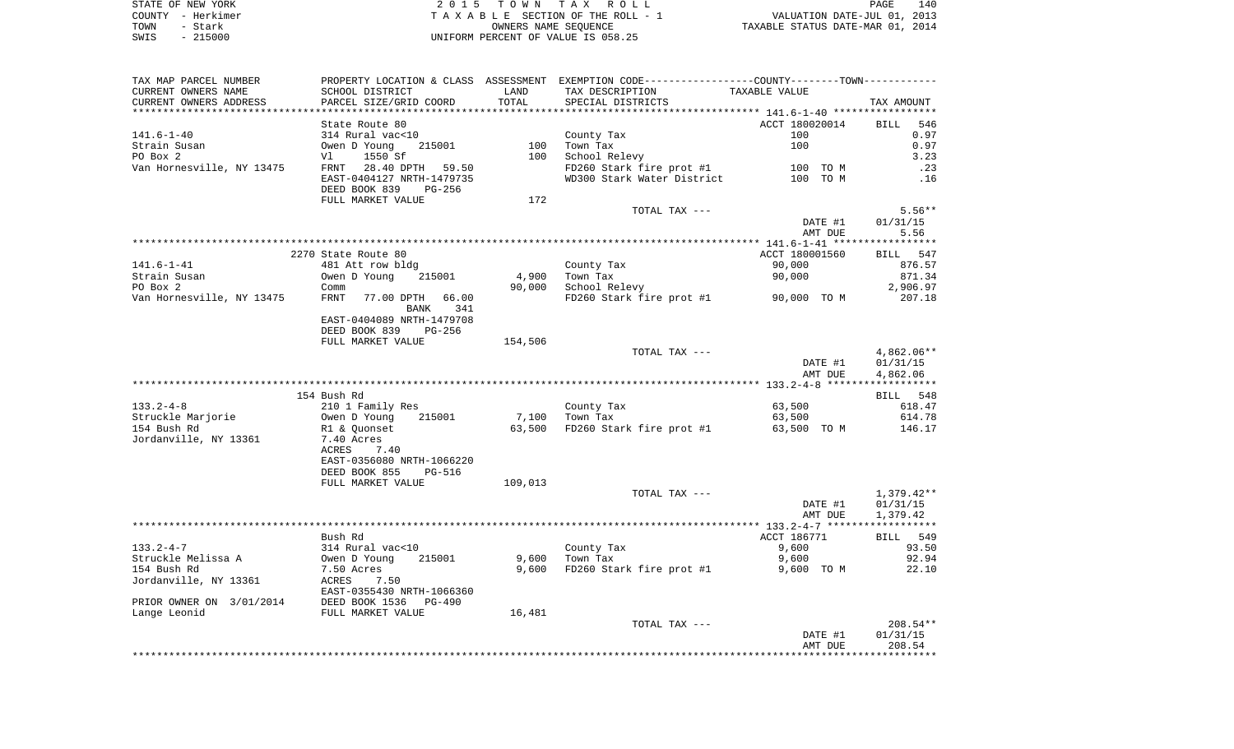| STATE OF NEW YORK | 2015 TOWN TAX ROLL                 | 140<br>PAGE                      |
|-------------------|------------------------------------|----------------------------------|
| COUNTY - Herkimer | TAXABLE SECTION OF THE ROLL - 1    | VALUATION DATE-JUL 01, 2013      |
| TOWN<br>- Stark   | OWNERS NAME SEOUENCE               | TAXABLE STATUS DATE-MAR 01, 2014 |
| $-215000$<br>SWIS | UNIFORM PERCENT OF VALUE IS 058.25 |                                  |

| TAX MAP PARCEL NUMBER<br>CURRENT OWNERS NAME                                           | SCHOOL DISTRICT                                          | LAND    | PROPERTY LOCATION & CLASS ASSESSMENT EXEMPTION CODE---------------COUNTY--------TOWN----------<br>TAX DESCRIPTION | TAXABLE VALUE         |              |
|----------------------------------------------------------------------------------------|----------------------------------------------------------|---------|-------------------------------------------------------------------------------------------------------------------|-----------------------|--------------|
| CURRENT OWNERS ADDRESS                                                                 | PARCEL SIZE/GRID COORD                                   | TOTAL   | SPECIAL DISTRICTS                                                                                                 |                       | TAX AMOUNT   |
|                                                                                        | State Route 80                                           |         |                                                                                                                   |                       | BILL 546     |
| 141.6-1-40                                                                             | 314 Rural vac<10                                         |         | County Tax                                                                                                        | ACCT 180020014<br>100 | 0.97         |
| Strain Susan                                                                           | Owen D Young<br>215001                                   |         | 100 Town Tax                                                                                                      | 100                   | 0.97         |
| PO Box 2                                                                               | 1550 Sf<br>V1                                            |         | 100 School Relevy                                                                                                 |                       | 3.23         |
|                                                                                        | Van Hornesville, NY 13475      FRNT   28.40 DPTH   59.50 |         |                                                                                                                   |                       | .23          |
|                                                                                        | EAST-0404127 NRTH-1479735                                |         | FD260 Stark fire prot #1 100 TO M<br>WD300 Stark Water District 100 TO M                                          |                       | .16          |
|                                                                                        | DEED BOOK 839 PG-256<br>FULL MARKET VALUE                | 172     |                                                                                                                   |                       |              |
|                                                                                        |                                                          |         | TOTAL TAX ---                                                                                                     |                       | $5.56**$     |
|                                                                                        |                                                          |         |                                                                                                                   | DATE #1               | 01/31/15     |
|                                                                                        |                                                          |         |                                                                                                                   | AMT DUE               | 5.56         |
|                                                                                        |                                                          |         |                                                                                                                   |                       |              |
|                                                                                        | 2270 State Route 80                                      |         |                                                                                                                   | ACCT 180001560        | BILL 547     |
| 141.6-1-41                                                                             | 481 Att row bldg                                         |         | County Tax                                                                                                        | 90,000                | 876.57       |
| Strain Susan                                                                           | Owen D Young 215001                                      |         | 4,900 Town Tax                                                                                                    | 90,000                | 871.34       |
| PO Box 2                                                                               | Comm                                                     | 90,000  | School Relevy                                                                                                     |                       | 2,906.97     |
| Van Hornesville, NY 13475                                                              | FRNT 77.00 DPTH 66.00<br>BANK 341                        |         | FD260 Stark fire prot #1 90,000 TO M                                                                              |                       | 207.18       |
|                                                                                        | EAST-0404089 NRTH-1479708                                |         |                                                                                                                   |                       |              |
|                                                                                        | DEED BOOK 839 PG-256                                     |         |                                                                                                                   |                       |              |
|                                                                                        | FULL MARKET VALUE                                        | 154,506 |                                                                                                                   |                       |              |
|                                                                                        |                                                          |         | TOTAL TAX ---                                                                                                     |                       | 4,862.06**   |
|                                                                                        |                                                          |         |                                                                                                                   | DATE #1               | 01/31/15     |
|                                                                                        |                                                          |         |                                                                                                                   | AMT DUE               | 4,862.06     |
|                                                                                        |                                                          |         |                                                                                                                   |                       |              |
|                                                                                        | 154 Bush Rd                                              |         |                                                                                                                   |                       | BILL 548     |
| $133.2 - 4 - 8$                                                                        | 210 1 Family Res                                         |         | County Tax                                                                                                        | 63,500                | 618.47       |
| Struckle Marjorie                                                                      | Owen D Young 215001<br>R1 & Quonset                      |         | 7,100 Town Tax                                                                                                    | 63,500                | 614.78       |
| 154 Bush Rd                                                                            |                                                          |         | 63,500 FD260 Stark fire prot #1 63,500 TO M                                                                       |                       | 146.17       |
| Jordanville, NY 13361                                                                  | 7.40 Acres                                               |         |                                                                                                                   |                       |              |
|                                                                                        | ACRES<br>7.40<br>EAST-0356080 NRTH-1066220               |         |                                                                                                                   |                       |              |
|                                                                                        | DEED BOOK 855<br>PG-516                                  |         |                                                                                                                   |                       |              |
|                                                                                        | FULL MARKET VALUE                                        | 109,013 |                                                                                                                   |                       |              |
|                                                                                        |                                                          |         | TOTAL TAX ---                                                                                                     |                       | $1,379.42**$ |
|                                                                                        |                                                          |         |                                                                                                                   | DATE #1               | 01/31/15     |
|                                                                                        |                                                          |         |                                                                                                                   | AMT DUE               | 1,379.42     |
|                                                                                        |                                                          |         |                                                                                                                   |                       |              |
|                                                                                        | Bush Rd                                                  |         |                                                                                                                   | ACCT 186771           | BILL 549     |
| 133.2-4-7                                                                              |                                                          |         | County Tax                                                                                                        | 9,600                 | 93.50        |
| Struckle Melissa A                                                                     | 314 Rural vac<10<br>Owen D Young 21<br>215001            |         | $9,600$ Town Tax                                                                                                  | 9,600                 | 92.94        |
| 154 Bush Rd                                                                            | 7.50 Acres                                               |         | 9,600 FD260 Stark fire prot #1                                                                                    | 9,600 TO M            | 22.10        |
| Jordanville, NY 13361                                                                  | ACRES 7.50                                               |         |                                                                                                                   |                       |              |
|                                                                                        | EAST-0355430 NRTH-1066360                                |         |                                                                                                                   |                       |              |
| PRIOR OWNER ON 3/01/2014 DEED BOOK 1536 PG-490<br>Tange Leonid Clare FULL MARKET VALUE |                                                          |         |                                                                                                                   |                       |              |
|                                                                                        |                                                          | 16,481  |                                                                                                                   |                       |              |
|                                                                                        |                                                          |         | TOTAL TAX ---                                                                                                     |                       | $208.54**$   |
|                                                                                        |                                                          |         |                                                                                                                   | DATE #1               | 01/31/15     |
|                                                                                        |                                                          |         |                                                                                                                   | AMT DUE               | 208.54       |
|                                                                                        |                                                          |         |                                                                                                                   |                       |              |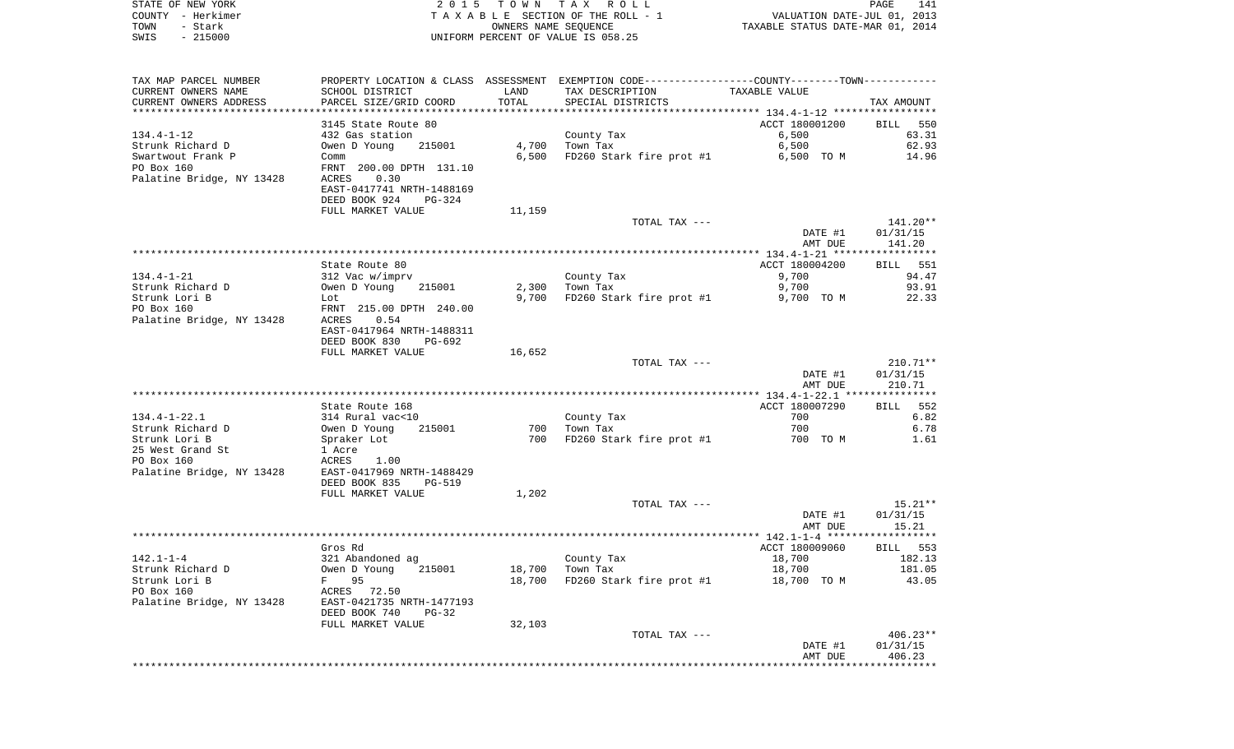| STATE OF NEW YORK         |                           |                      | 2015 TOWN TAX ROLL                                                                            |                                         | PAGE<br>141 |
|---------------------------|---------------------------|----------------------|-----------------------------------------------------------------------------------------------|-----------------------------------------|-------------|
| COUNTY - Herkimer         |                           |                      | TAXABLE SECTION OF THE ROLL - 1                                                               | VALUATION DATE-JUL 01, 2013             |             |
| TOWN<br>- Stark           |                           | OWNERS NAME SEQUENCE |                                                                                               | TAXABLE STATUS DATE-MAR 01, 2014        |             |
| SWIS<br>$-215000$         |                           |                      | UNIFORM PERCENT OF VALUE IS 058.25                                                            |                                         |             |
|                           |                           |                      |                                                                                               |                                         |             |
| TAX MAP PARCEL NUMBER     |                           |                      | PROPERTY LOCATION & CLASS ASSESSMENT EXEMPTION CODE---------------COUNTY-------TOWN---------- |                                         |             |
| CURRENT OWNERS NAME       | SCHOOL DISTRICT           | LAND                 | TAX DESCRIPTION                                                                               | TAXABLE VALUE                           |             |
| CURRENT OWNERS ADDRESS    | PARCEL SIZE/GRID COORD    | TOTAL                | SPECIAL DISTRICTS                                                                             |                                         | TAX AMOUNT  |
|                           |                           |                      |                                                                                               |                                         |             |
|                           | 3145 State Route 80       |                      |                                                                                               | ACCT 180001200                          | BILL 550    |
| 134.4-1-12                | 432 Gas station           |                      | County Tax                                                                                    | 6,500                                   | 63.31       |
| Strunk Richard D          | 215001<br>Owen D Young    | 4,700                | Town Tax                                                                                      | 6,500                                   | 62.93       |
| Swartwout Frank P         | Comm                      | 6,500                | FD260 Stark fire prot #1                                                                      | 6,500 TO M                              | 14.96       |
| PO Box 160                | FRNT 200.00 DPTH 131.10   |                      |                                                                                               |                                         |             |
| Palatine Bridge, NY 13428 | ACRES<br>0.30             |                      |                                                                                               |                                         |             |
|                           | EAST-0417741 NRTH-1488169 |                      |                                                                                               |                                         |             |
|                           | DEED BOOK 924<br>PG-324   |                      |                                                                                               |                                         |             |
|                           | FULL MARKET VALUE         | 11,159               |                                                                                               |                                         |             |
|                           |                           |                      | TOTAL TAX ---                                                                                 |                                         | 141.20**    |
|                           |                           |                      |                                                                                               | DATE #1                                 | 01/31/15    |
|                           |                           |                      |                                                                                               | AMT DUE                                 | 141.20      |
|                           |                           |                      |                                                                                               |                                         |             |
|                           | State Route 80            |                      |                                                                                               | ACCT 180004200                          | BILL 551    |
| 134.4-1-21                | 312 Vac w/imprv           |                      | County Tax                                                                                    | 9,700                                   | 94.47       |
| Strunk Richard D          | 215001<br>Owen D Young    | 2,300                | Town Tax                                                                                      | 9,700                                   | 93.91       |
| Strunk Lori B             | Lot                       | 9,700                | FD260 Stark fire prot #1                                                                      | 9,700 TO M                              | 22.33       |
| PO Box 160                | FRNT 215.00 DPTH 240.00   |                      |                                                                                               |                                         |             |
| Palatine Bridge, NY 13428 | 0.54<br>ACRES             |                      |                                                                                               |                                         |             |
|                           | EAST-0417964 NRTH-1488311 |                      |                                                                                               |                                         |             |
|                           | DEED BOOK 830<br>PG-692   |                      |                                                                                               |                                         |             |
|                           | FULL MARKET VALUE         | 16,652               |                                                                                               |                                         |             |
|                           |                           |                      | TOTAL TAX ---                                                                                 |                                         | 210.71**    |
|                           |                           |                      |                                                                                               | DATE #1                                 | 01/31/15    |
|                           |                           |                      |                                                                                               | AMT DUE                                 | 210.71      |
|                           |                           |                      |                                                                                               |                                         |             |
|                           | State Route 168           |                      |                                                                                               | ACCT 180007290                          | 552<br>BILL |
| $134.4 - 1 - 22.1$        | 314 Rural vac<10          |                      | County Tax                                                                                    | 700                                     | 6.82        |
| Strunk Richard D          | 215001<br>Owen D Young    | 700                  | Town Tax                                                                                      | 700                                     | 6.78        |
| Strunk Lori B             | Spraker Lot               | 700                  | FD260 Stark fire prot #1                                                                      | 700 TO M                                | 1.61        |
| 25 West Grand St          | 1 Acre                    |                      |                                                                                               |                                         |             |
| PO Box 160                | 1.00<br>ACRES             |                      |                                                                                               |                                         |             |
| Palatine Bridge, NY 13428 | EAST-0417969 NRTH-1488429 |                      |                                                                                               |                                         |             |
|                           | DEED BOOK 835<br>PG-519   |                      |                                                                                               |                                         |             |
|                           | FULL MARKET VALUE         | 1,202                |                                                                                               |                                         |             |
|                           |                           |                      | TOTAL TAX ---                                                                                 |                                         | 15.21**     |
|                           |                           |                      |                                                                                               | DATE #1                                 | 01/31/15    |
|                           |                           |                      |                                                                                               | AMT DUE                                 | 15.21       |
|                           |                           |                      |                                                                                               |                                         |             |
|                           | Gros Rd                   |                      |                                                                                               | ACCT 180009060                          | BILL 553    |
| $142.1 - 1 - 4$           | 321 Abandoned ag          |                      | County Tax                                                                                    | 18,700                                  | 182.13      |
| Strunk Richard D          | Owen D Young<br>215001    | 18,700               | Town Tax                                                                                      | 18,700                                  | 181.05      |
| Strunk Lori B             | 95<br>F                   | 18,700               | FD260 Stark fire prot #1                                                                      | 18,700 TO M                             | 43.05       |
| PO Box 160                | ACRES 72.50               |                      |                                                                                               |                                         |             |
| Palatine Bridge, NY 13428 | EAST-0421735 NRTH-1477193 |                      |                                                                                               |                                         |             |
|                           | DEED BOOK 740<br>$PG-32$  |                      |                                                                                               |                                         |             |
|                           | FULL MARKET VALUE         | 32,103               |                                                                                               |                                         |             |
|                           |                           |                      | TOTAL TAX ---                                                                                 |                                         | $406.23**$  |
|                           |                           |                      |                                                                                               | DATE #1                                 | 01/31/15    |
|                           |                           |                      |                                                                                               | AMT DUE<br>**************************** | 406.23      |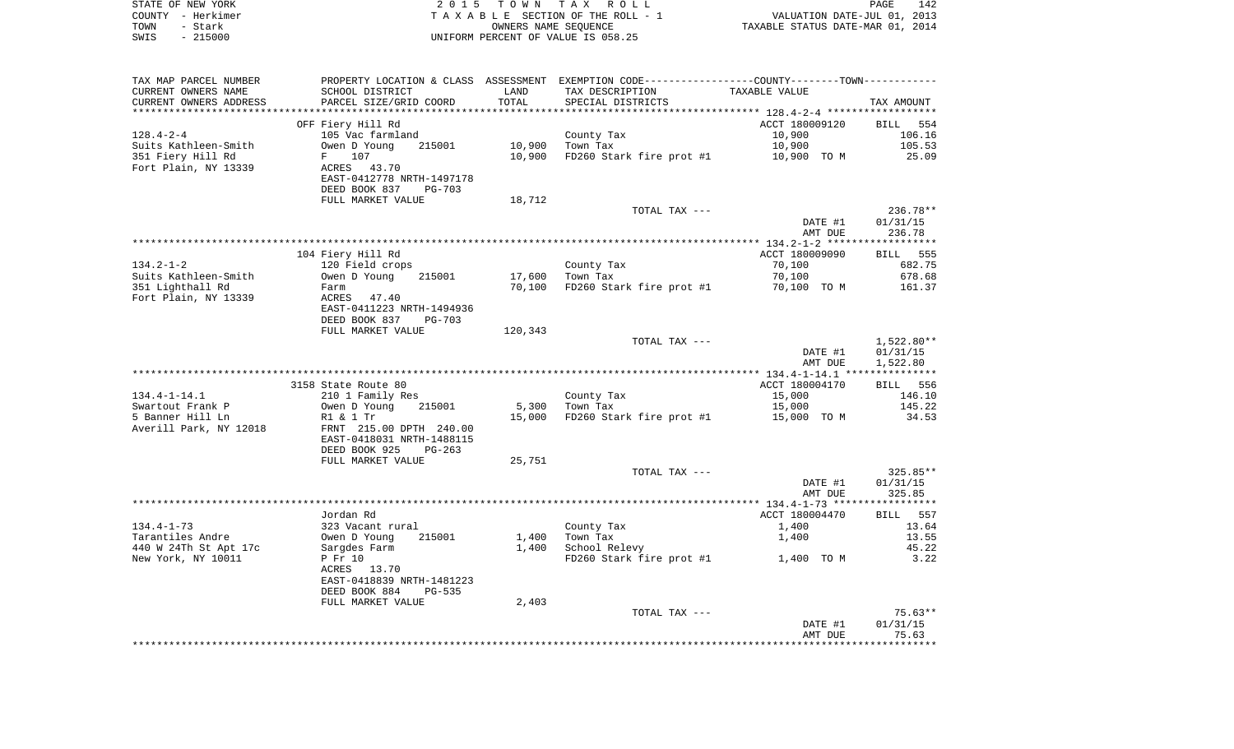|      | STATE OF NEW YORK | 2015 TOWN TAX ROLL                 | PAGE                             | 142 |
|------|-------------------|------------------------------------|----------------------------------|-----|
|      | COUNTY - Herkimer | TAXABLE SECTION OF THE ROLL - 1    | VALUATION DATE-JUL 01, 2013      |     |
| TOWN | – Stark           | OWNERS NAME SEOUENCE               | TAXABLE STATUS DATE-MAR 01, 2014 |     |
| SWIS | $-215000$         | UNIFORM PERCENT OF VALUE IS 058.25 |                                  |     |

| TAX MAP PARCEL NUMBER  | PROPERTY LOCATION & CLASS ASSESSMENT EXEMPTION CODE---------------COUNTY-------TOWN---------- |         |                                      |                |                 |
|------------------------|-----------------------------------------------------------------------------------------------|---------|--------------------------------------|----------------|-----------------|
| CURRENT OWNERS NAME    | SCHOOL DISTRICT                                                                               | LAND    | TAX DESCRIPTION                      | TAXABLE VALUE  |                 |
| CURRENT OWNERS ADDRESS | PARCEL SIZE/GRID COORD                                                                        | TOTAL   | SPECIAL DISTRICTS                    |                | TAX AMOUNT      |
|                        |                                                                                               |         |                                      |                |                 |
|                        | OFF Fiery Hill Rd                                                                             |         |                                      | ACCT 180009120 | BILL 554        |
| $128.4 - 2 - 4$        | 105 Vac farmland                                                                              |         | County Tax                           | 10,900         | 106.16          |
| Suits Kathleen-Smith   | Owen D Young<br>215001                                                                        | 10,900  | Town Tax                             | 10,900         | 105.53          |
| 351 Fiery Hill Rd      | 107<br>$F =$                                                                                  | 10,900  | FD260 Stark fire prot #1 10,900 TO M |                | 25.09           |
| Fort Plain, NY 13339   | ACRES 43.70                                                                                   |         |                                      |                |                 |
|                        | EAST-0412778 NRTH-1497178                                                                     |         |                                      |                |                 |
|                        | DEED BOOK 837<br>$PG-703$                                                                     |         |                                      |                |                 |
|                        |                                                                                               |         |                                      |                |                 |
|                        | FULL MARKET VALUE                                                                             | 18,712  |                                      |                |                 |
|                        |                                                                                               |         | TOTAL TAX ---                        |                | $236.78**$      |
|                        |                                                                                               |         |                                      | DATE #1        | 01/31/15        |
|                        |                                                                                               |         |                                      | AMT DUE        | 236.78          |
|                        |                                                                                               |         |                                      |                |                 |
|                        | 104 Fiery Hill Rd                                                                             |         |                                      | ACCT 180009090 | <b>BILL</b> 555 |
| $134.2 - 1 - 2$        | 120 Field crops                                                                               |         | County Tax                           | 70,100         | 682.75          |
| Suits Kathleen-Smith   | Owen D Young<br>215001                                                                        | 17,600  | Town Tax                             | 70,100         | 678.68          |
| 351 Lighthall Rd       | Farm                                                                                          | 70,100  | FD260 Stark fire prot #1 70,100 TO M |                | 161.37          |
| Fort Plain, NY 13339   | ACRES<br>47.40                                                                                |         |                                      |                |                 |
|                        | EAST-0411223 NRTH-1494936                                                                     |         |                                      |                |                 |
|                        | DEED BOOK 837<br>PG-703                                                                       |         |                                      |                |                 |
|                        | FULL MARKET VALUE                                                                             | 120,343 |                                      |                |                 |
|                        |                                                                                               |         | TOTAL TAX ---                        |                | $1,522.80**$    |
|                        |                                                                                               |         |                                      | DATE #1        | 01/31/15        |
|                        |                                                                                               |         |                                      | AMT DUE        | 1,522.80        |
|                        |                                                                                               |         |                                      |                |                 |
|                        | 3158 State Route 80                                                                           |         |                                      | ACCT 180004170 | BILL 556        |
| $134.4 - 1 - 14.1$     | 210 1 Family Res                                                                              |         | County Tax                           | 15,000         | 146.10          |
| Swartout Frank P       | Owen D Young<br>215001                                                                        | 5,300   | Town Tax                             | 15,000         | 145.22          |
| 5 Banner Hill Ln       | R1 & 1 Tr                                                                                     |         | 15,000 FD260 Stark fire prot #1      | 15,000 TO M    | 34.53           |
| Averill Park, NY 12018 | FRNT 215.00 DPTH 240.00                                                                       |         |                                      |                |                 |
|                        | EAST-0418031 NRTH-1488115                                                                     |         |                                      |                |                 |
|                        | DEED BOOK 925<br>$PG-263$                                                                     |         |                                      |                |                 |
|                        | FULL MARKET VALUE                                                                             | 25,751  |                                      |                |                 |
|                        |                                                                                               |         | TOTAL TAX ---                        |                | 325.85**        |
|                        |                                                                                               |         |                                      | DATE #1        | 01/31/15        |
|                        |                                                                                               |         |                                      | AMT DUE        | 325.85          |
|                        |                                                                                               |         |                                      |                |                 |
|                        | Jordan Rd                                                                                     |         |                                      | ACCT 180004470 | BILL 557        |
| $134.4 - 1 - 73$       | 323 Vacant rural                                                                              |         | County Tax                           | 1,400          | 13.64           |
|                        | 215001                                                                                        |         |                                      |                |                 |
| Tarantiles Andre       | Owen D Young                                                                                  | 1,400   | Town Tax                             | 1,400          | 13.55           |
| 440 W 24Th St Apt 17c  | Sargdes Farm                                                                                  | 1,400   | School Relevy                        |                | 45.22           |
| New York, NY 10011     | P Fr 10                                                                                       |         | FD260 Stark fire prot #1 1,400 TO M  |                | 3.22            |
|                        | ACRES 13.70                                                                                   |         |                                      |                |                 |
|                        | EAST-0418839 NRTH-1481223                                                                     |         |                                      |                |                 |
|                        | DEED BOOK 884<br>PG-535                                                                       |         |                                      |                |                 |
|                        | FULL MARKET VALUE                                                                             | 2,403   |                                      |                |                 |
|                        |                                                                                               |         | TOTAL TAX ---                        |                | 75.63**         |
|                        |                                                                                               |         |                                      | DATE #1        | 01/31/15        |
|                        |                                                                                               |         |                                      | AMT DUE        | 75.63           |
|                        |                                                                                               |         |                                      |                |                 |
|                        |                                                                                               |         |                                      |                |                 |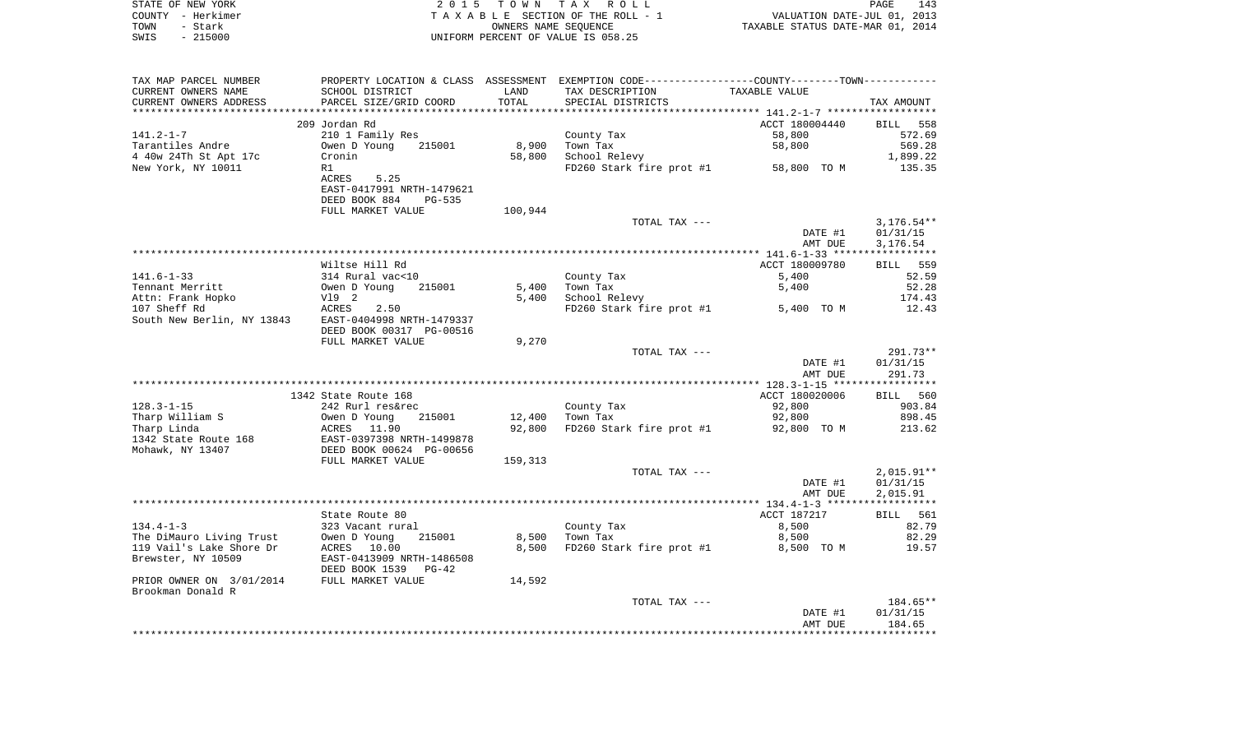|      | STATE OF NEW YORK | 2015 TOWN TAX ROLL                 | PAGE                             | 143 |
|------|-------------------|------------------------------------|----------------------------------|-----|
|      | COUNTY - Herkimer | TAXABLE SECTION OF THE ROLL - 1    | VALUATION DATE-JUL 01, 2013      |     |
| TOWN | - Stark           | OWNERS NAME SEOUENCE               | TAXABLE STATUS DATE-MAR 01, 2014 |     |
| SWIS | - 215000          | UNIFORM PERCENT OF VALUE IS 058.25 |                                  |     |

| TAX MAP PARCEL NUMBER                                |                                                       |         | PROPERTY LOCATION & CLASS ASSESSMENT EXEMPTION CODE---------------COUNTY-------TOWN--------- |                |              |
|------------------------------------------------------|-------------------------------------------------------|---------|----------------------------------------------------------------------------------------------|----------------|--------------|
| CURRENT OWNERS NAME                                  | SCHOOL DISTRICT                                       | LAND    | TAX DESCRIPTION                                                                              | TAXABLE VALUE  |              |
| CURRENT OWNERS ADDRESS                               | PARCEL SIZE/GRID COORD                                | TOTAL   | SPECIAL DISTRICTS                                                                            |                | TAX AMOUNT   |
|                                                      |                                                       |         |                                                                                              |                |              |
|                                                      | 209 Jordan Rd                                         |         |                                                                                              | ACCT 180004440 | BILL 558     |
| $141.2 - 1 - 7$                                      | 210 1 Family Res                                      |         | County Tax                                                                                   | 58,800         | 572.69       |
| Tarantiles Andre                                     | 215001<br>Owen D Young                                | 8,900   | Town Tax                                                                                     | 58,800         | 569.28       |
| 4 40w 24Th St Apt 17c                                | Cronin                                                | 58,800  | School Relevy                                                                                |                | 1,899.22     |
|                                                      |                                                       |         | FD260 Stark fire prot #1 58,800 TO M                                                         |                |              |
| New York, NY 10011                                   | R1                                                    |         |                                                                                              |                | 135.35       |
|                                                      | 5.25<br>ACRES                                         |         |                                                                                              |                |              |
|                                                      | EAST-0417991 NRTH-1479621                             |         |                                                                                              |                |              |
|                                                      | DEED BOOK 884<br>PG-535                               |         |                                                                                              |                |              |
|                                                      | FULL MARKET VALUE                                     | 100,944 |                                                                                              |                |              |
|                                                      |                                                       |         | TOTAL TAX ---                                                                                |                | $3,176.54**$ |
|                                                      |                                                       |         |                                                                                              | DATE #1        | 01/31/15     |
|                                                      |                                                       |         |                                                                                              | AMT DUE        | 3,176.54     |
|                                                      |                                                       |         |                                                                                              |                |              |
|                                                      | Wiltse Hill Rd                                        |         |                                                                                              | ACCT 180009780 | BILL 559     |
| $141.6 - 1 - 33$                                     | 314 Rural vac<10                                      |         | County Tax                                                                                   | 5,400          | 52.59        |
| Tennant Merritt                                      | Owen D Young 215001                                   | 5,400   | Town Tax                                                                                     | 5,400          | 52.28        |
|                                                      |                                                       | 5,400   | School Relevy                                                                                |                | 174.43       |
|                                                      | 2.50                                                  |         | FD260 Stark fire prot #1 5,400 TO M                                                          |                | 12.43        |
| South New Berlin, NY 13843 EAST-0404998 NRTH-1479337 |                                                       |         |                                                                                              |                |              |
|                                                      | DEED BOOK 00317 PG-00516                              |         |                                                                                              |                |              |
|                                                      |                                                       |         |                                                                                              |                |              |
|                                                      | FULL MARKET VALUE                                     | 9,270   |                                                                                              |                |              |
|                                                      |                                                       |         | TOTAL TAX ---                                                                                |                | $291.73**$   |
|                                                      |                                                       |         |                                                                                              | DATE #1        | 01/31/15     |
|                                                      |                                                       |         |                                                                                              | AMT DUE        | 291.73       |
|                                                      |                                                       |         |                                                                                              |                |              |
|                                                      | 1342 State Route 168                                  |         |                                                                                              | ACCT 180020006 | BILL 560     |
| $128.3 - 1 - 15$                                     | 242 Rurl res&rec                                      |         | County Tax                                                                                   | 92,800         | 903.84       |
| Tharp William S                                      | Owen D Young<br>215001                                |         | 12,400 Town Tax                                                                              | 92,800         | 898.45       |
| Tharp Linda                                          | ACRES 11.90                                           | 92,800  | FD260 Stark fire prot #1 92,800 TO M                                                         |                | 213.62       |
| 1342 State Route 168                                 | EAST-0397398 NRTH-1499878<br>DEED BOOK 00624 PG-00656 |         |                                                                                              |                |              |
| Mohawk, NY 13407                                     |                                                       |         |                                                                                              |                |              |
|                                                      | FULL MARKET VALUE                                     | 159,313 |                                                                                              |                |              |
|                                                      |                                                       |         | TOTAL TAX ---                                                                                |                | $2,015.91**$ |
|                                                      |                                                       |         |                                                                                              | DATE #1        | 01/31/15     |
|                                                      |                                                       |         |                                                                                              | AMT DUE        | 2,015.91     |
|                                                      |                                                       |         |                                                                                              |                |              |
|                                                      | State Route 80                                        |         |                                                                                              | ACCT 187217    | BILL 561     |
| $134.4 - 1 - 3$                                      | 323 Vacant rural                                      |         | County Tax                                                                                   | 8,500          | 82.79        |
|                                                      |                                                       |         |                                                                                              |                |              |
| The DiMauro Living Trust                             | 215001<br>Owen D Young                                | 8,500   | Town Tax                                                                                     | 8,500          | 82.29        |
| 119 Vail's Lake Shore Dr                             | ACRES 10.00                                           | 8,500   | FD260 Stark fire prot #1 8,500 TO M                                                          |                | 19.57        |
| Brewster, NY 10509                                   | EAST-0413909 NRTH-1486508                             |         |                                                                                              |                |              |
|                                                      | DEED BOOK 1539 PG-42                                  |         |                                                                                              |                |              |
| PRIOR OWNER ON 3/01/2014                             | FULL MARKET VALUE                                     | 14,592  |                                                                                              |                |              |
| Brookman Donald R                                    |                                                       |         |                                                                                              |                |              |
|                                                      |                                                       |         | TOTAL TAX ---                                                                                |                | 184.65**     |
|                                                      |                                                       |         |                                                                                              | DATE #1        | 01/31/15     |
|                                                      |                                                       |         |                                                                                              | AMT DUE        | 184.65       |
|                                                      |                                                       |         |                                                                                              |                |              |
|                                                      |                                                       |         |                                                                                              |                |              |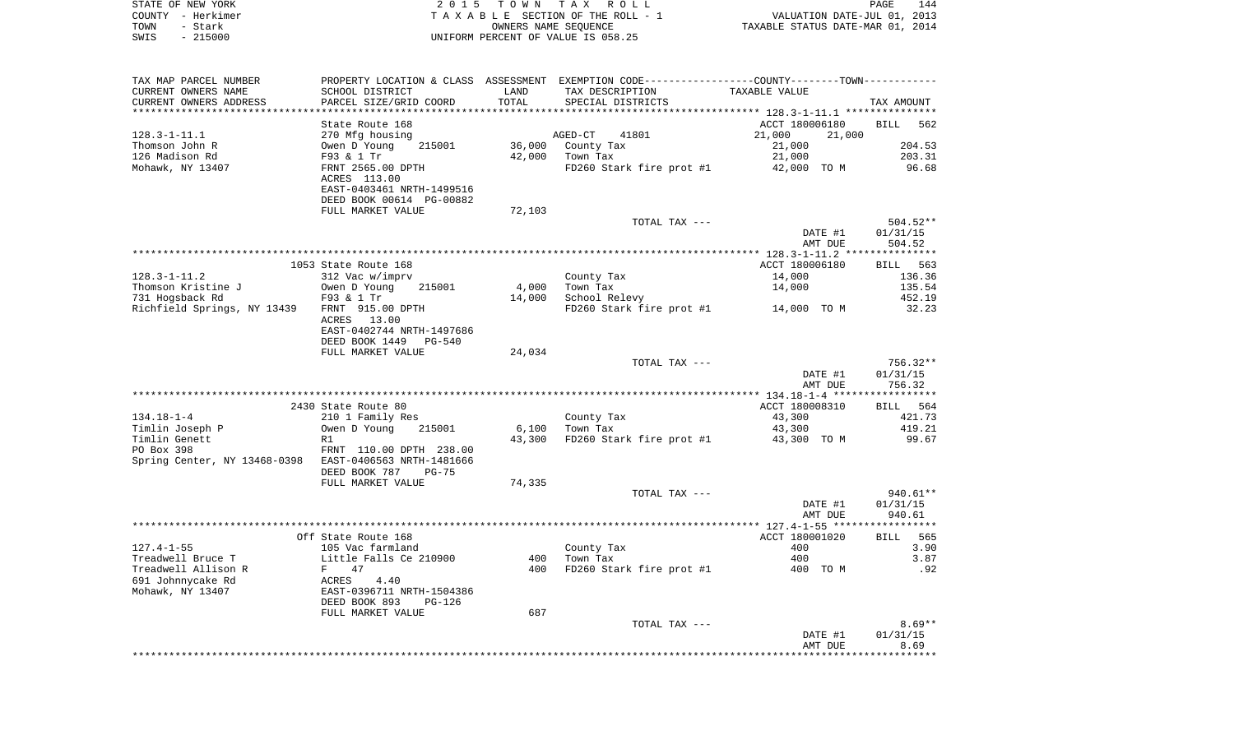| STATE OF NEW YORK | 2015 TOWN TAX ROLL                 | 144<br><b>PAGE</b>               |
|-------------------|------------------------------------|----------------------------------|
| COUNTY - Herkimer | TAXABLE SECTION OF THE ROLL - 1    | VALUATION DATE-JUL 01, 2013      |
| TOWN<br>- Stark   | OWNERS NAME SEOUENCE               | TAXABLE STATUS DATE-MAR 01, 2014 |
| $-215000$<br>SWIS | UNIFORM PERCENT OF VALUE IS 058.25 |                                  |

| TAX MAP PARCEL NUMBER                            | PROPERTY LOCATION & CLASS ASSESSMENT EXEMPTION CODE----------------COUNTY-------TOWN---------- |        |                          |                  |                    |
|--------------------------------------------------|------------------------------------------------------------------------------------------------|--------|--------------------------|------------------|--------------------|
| CURRENT OWNERS NAME                              | SCHOOL DISTRICT                                                                                | LAND   | TAX DESCRIPTION          | TAXABLE VALUE    |                    |
| CURRENT OWNERS ADDRESS<br>********************** | PARCEL SIZE/GRID COORD<br>***********************                                              | TOTAL  | SPECIAL DISTRICTS        |                  | TAX AMOUNT         |
|                                                  | State Route 168                                                                                |        |                          | ACCT 180006180   | <b>BILL</b>        |
| $128.3 - 1 - 11.1$                               | 270 Mfg housing                                                                                |        | $AGED-CT$<br>41801       | 21,000<br>21,000 | 562                |
| Thomson John R                                   | Owen D Young<br>215001                                                                         | 36,000 | County Tax               | 21,000           | 204.53             |
| 126 Madison Rd                                   | F93 & 1 Tr                                                                                     | 42,000 | Town Tax                 |                  | 203.31             |
| Mohawk, NY 13407                                 |                                                                                                |        |                          | 21,000           | 96.68              |
|                                                  | FRNT 2565.00 DPTH<br>ACRES 113.00                                                              |        | FD260 Stark fire prot #1 | 42,000 TO M      |                    |
|                                                  | EAST-0403461 NRTH-1499516                                                                      |        |                          |                  |                    |
|                                                  | DEED BOOK 00614 PG-00882                                                                       |        |                          |                  |                    |
|                                                  | FULL MARKET VALUE                                                                              | 72,103 |                          |                  |                    |
|                                                  |                                                                                                |        | TOTAL TAX ---            |                  | 504.52**           |
|                                                  |                                                                                                |        |                          | DATE #1          | 01/31/15           |
|                                                  |                                                                                                |        |                          | AMT DUE          | 504.52             |
|                                                  |                                                                                                |        |                          |                  |                    |
|                                                  | 1053 State Route 168                                                                           |        |                          | ACCT 180006180   | BILL 563           |
| $128.3 - 1 - 11.2$                               | 312 Vac w/imprv                                                                                |        | County Tax               | 14,000           | 136.36             |
| Thomson Kristine J                               | Owen D Young<br>215001                                                                         | 4,000  | Town Tax                 | 14,000           | 135.54             |
| 731 Hogsback Rd                                  | F93 & 1 Tr                                                                                     | 14,000 | School Relevy            |                  | 452.19             |
| Richfield Springs, NY 13439                      | FRNT 915.00 DPTH                                                                               |        | FD260 Stark fire prot #1 | 14,000 TO M      | 32.23              |
|                                                  | 13.00<br>ACRES                                                                                 |        |                          |                  |                    |
|                                                  | EAST-0402744 NRTH-1497686                                                                      |        |                          |                  |                    |
|                                                  | DEED BOOK 1449<br>$PG-540$                                                                     |        |                          |                  |                    |
|                                                  | FULL MARKET VALUE                                                                              | 24,034 |                          |                  |                    |
|                                                  |                                                                                                |        | TOTAL TAX ---            |                  | 756.32**           |
|                                                  |                                                                                                |        |                          | DATE #1          | 01/31/15           |
|                                                  |                                                                                                |        |                          | AMT DUE          | 756.32             |
|                                                  |                                                                                                |        |                          |                  |                    |
|                                                  | 2430 State Route 80                                                                            |        |                          | ACCT 180008310   | BILL 564           |
| $134.18 - 1 - 4$                                 | 210 1 Family Res                                                                               |        | County Tax               | 43,300           | 421.73             |
| Timlin Joseph P                                  | Owen D Young<br>215001                                                                         | 6,100  | Town Tax                 | 43,300           | 419.21             |
| Timlin Genett                                    | R1                                                                                             | 43,300 | FD260 Stark fire prot #1 | 43,300 TO M      | 99.67              |
| PO Box 398                                       | FRNT 110.00 DPTH 238.00                                                                        |        |                          |                  |                    |
| Spring Center, NY 13468-0398                     | EAST-0406563 NRTH-1481666                                                                      |        |                          |                  |                    |
|                                                  | DEED BOOK 787<br>$PG-75$                                                                       |        |                          |                  |                    |
|                                                  | FULL MARKET VALUE                                                                              | 74,335 |                          |                  |                    |
|                                                  |                                                                                                |        | TOTAL TAX ---            |                  | 940.61**           |
|                                                  |                                                                                                |        |                          | DATE #1          | 01/31/15           |
|                                                  |                                                                                                |        |                          | AMT DUE          | 940.61             |
|                                                  |                                                                                                |        |                          |                  |                    |
|                                                  | Off State Route 168                                                                            |        |                          | ACCT 180001020   | <b>BILL</b><br>565 |
| $127.4 - 1 - 55$                                 | 105 Vac farmland                                                                               |        | County Tax               | 400              | 3.90               |
| Treadwell Bruce T                                | Little Falls Ce 210900                                                                         | 400    | Town Tax                 | 400              | 3.87               |
| Treadwell Allison R                              | F<br>47                                                                                        | 400    | FD260 Stark fire prot #1 | 400 TO M         | .92                |
| 691 Johnnycake Rd                                | ACRES<br>4.40                                                                                  |        |                          |                  |                    |
| Mohawk, NY 13407                                 | EAST-0396711 NRTH-1504386                                                                      |        |                          |                  |                    |
|                                                  | DEED BOOK 893<br>PG-126                                                                        |        |                          |                  |                    |
|                                                  | FULL MARKET VALUE                                                                              | 687    |                          |                  |                    |
|                                                  |                                                                                                |        | TOTAL TAX ---            |                  | $8.69**$           |
|                                                  |                                                                                                |        |                          | DATE #1          | 01/31/15           |
|                                                  |                                                                                                |        |                          | AMT DUE          | 8.69               |
|                                                  |                                                                                                |        |                          |                  |                    |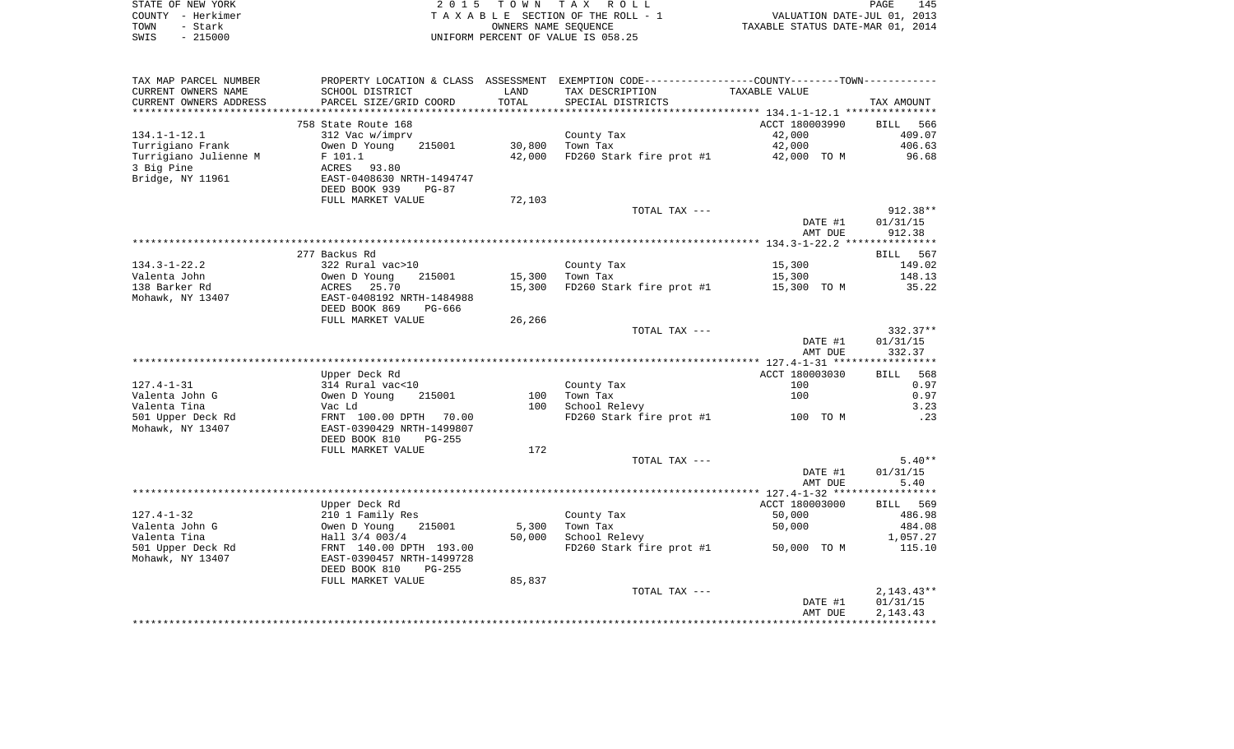|      | STATE OF NEW YORK | 2015 TOWN TAX ROLL                 | PAGE                             | 145 |
|------|-------------------|------------------------------------|----------------------------------|-----|
|      | COUNTY - Herkimer | TAXABLE SECTION OF THE ROLL - 1    | VALUATION DATE-JUL 01, 2013      |     |
| TOWN | – Stark           | OWNERS NAME SEOUENCE               | TAXABLE STATUS DATE-MAR 01, 2014 |     |
| SWIS | $-215000$         | UNIFORM PERCENT OF VALUE IS 058.25 |                                  |     |

| TAX MAP PARCEL NUMBER  |                           |        | PROPERTY LOCATION & CLASS ASSESSMENT EXEMPTION CODE----------------COUNTY-------TOWN-------- |                |                 |
|------------------------|---------------------------|--------|----------------------------------------------------------------------------------------------|----------------|-----------------|
| CURRENT OWNERS NAME    | SCHOOL DISTRICT           | LAND   | TAX DESCRIPTION                                                                              | TAXABLE VALUE  |                 |
| CURRENT OWNERS ADDRESS | PARCEL SIZE/GRID COORD    | TOTAL  | SPECIAL DISTRICTS                                                                            |                | TAX AMOUNT      |
|                        |                           |        |                                                                                              |                |                 |
|                        | 758 State Route 168       |        |                                                                                              | ACCT 180003990 | BILL 566        |
| $134.1 - 1 - 12.1$     | 312 Vac w/imprv           |        | County Tax                                                                                   | 42,000         | 409.07          |
| Turrigiano Frank       | Owen D Young<br>215001    | 30,800 | Town Tax                                                                                     | 42,000         | 406.63          |
|                        |                           |        |                                                                                              |                |                 |
| Turrigiano Julienne M  | F 101.1                   | 42,000 | FD260 Stark fire prot #1                                                                     | 42,000 TO M    | 96.68           |
| 3 Big Pine             | ACRES<br>93.80            |        |                                                                                              |                |                 |
| Bridge, NY 11961       | EAST-0408630 NRTH-1494747 |        |                                                                                              |                |                 |
|                        | DEED BOOK 939<br>$PG-87$  |        |                                                                                              |                |                 |
|                        | FULL MARKET VALUE         | 72,103 |                                                                                              |                |                 |
|                        |                           |        | TOTAL TAX ---                                                                                |                | $912.38**$      |
|                        |                           |        |                                                                                              | DATE #1        | 01/31/15        |
|                        |                           |        |                                                                                              | AMT DUE        | 912.38          |
|                        |                           |        |                                                                                              |                |                 |
|                        | 277 Backus Rd             |        |                                                                                              |                | BILL 567        |
| $134.3 - 1 - 22.2$     | 322 Rural vac>10          |        | County Tax                                                                                   | 15,300         | 149.02          |
| Valenta John           | 215001<br>Owen D Young    | 15,300 | Town Tax                                                                                     | 15,300         | 148.13          |
| 138 Barker Rd          | ACRES 25.70               | 15,300 | FD260 Stark fire prot $#1$ 15,300 TO M                                                       |                | 35.22           |
| Mohawk, NY 13407       | EAST-0408192 NRTH-1484988 |        |                                                                                              |                |                 |
|                        | DEED BOOK 869<br>PG-666   |        |                                                                                              |                |                 |
|                        | FULL MARKET VALUE         | 26,266 |                                                                                              |                |                 |
|                        |                           |        | TOTAL TAX ---                                                                                |                | $332.37**$      |
|                        |                           |        |                                                                                              |                |                 |
|                        |                           |        |                                                                                              | DATE #1        | 01/31/15        |
|                        |                           |        |                                                                                              | AMT DUE        | 332.37          |
|                        |                           |        |                                                                                              |                |                 |
|                        | Upper Deck Rd             |        |                                                                                              | ACCT 180003030 | <b>BILL</b> 568 |
| $127.4 - 1 - 31$       | 314 Rural vac<10          |        | County Tax                                                                                   | 100            | 0.97            |
| Valenta John G         | 215001<br>Owen D Young    | 100    | Town Tax                                                                                     | 100            | 0.97            |
| Valenta Tina           | Vac Ld                    | 100    | School Relevy                                                                                |                | 3.23            |
| 501 Upper Deck Rd      | FRNT 100.00 DPTH 70.00    |        | FD260 Stark fire prot #1                                                                     | 100 TO M       | .23             |
| Mohawk, NY 13407       | EAST-0390429 NRTH-1499807 |        |                                                                                              |                |                 |
|                        | DEED BOOK 810<br>$PG-255$ |        |                                                                                              |                |                 |
|                        | FULL MARKET VALUE         | 172    |                                                                                              |                |                 |
|                        |                           |        | TOTAL TAX ---                                                                                |                | $5.40**$        |
|                        |                           |        |                                                                                              | DATE #1        | 01/31/15        |
|                        |                           |        |                                                                                              | AMT DUE        | 5.40            |
|                        |                           |        |                                                                                              |                |                 |
|                        | Upper Deck Rd             |        |                                                                                              | ACCT 180003000 | BILL 569        |
| $127.4 - 1 - 32$       | 210 1 Family Res          |        | County Tax                                                                                   | 50,000         | 486.98          |
| Valenta John G         | Owen D Young<br>215001    | 5,300  | Town Tax                                                                                     | 50,000         | 484.08          |
|                        |                           |        |                                                                                              |                |                 |
| Valenta Tina           | Hall 3/4 003/4            | 50,000 | School Relevy                                                                                |                | 1,057.27        |
| 501 Upper Deck Rd      | FRNT 140.00 DPTH 193.00   |        | FD260 Stark fire prot #1                                                                     | 50,000 TO M    | 115.10          |
| Mohawk, NY 13407       | EAST-0390457 NRTH-1499728 |        |                                                                                              |                |                 |
|                        | DEED BOOK 810<br>PG-255   |        |                                                                                              |                |                 |
|                        | FULL MARKET VALUE         | 85,837 |                                                                                              |                |                 |
|                        |                           |        | TOTAL TAX ---                                                                                |                | $2,143.43**$    |
|                        |                           |        |                                                                                              | DATE #1        | 01/31/15        |
|                        |                           |        |                                                                                              | AMT DUE        | 2, 143. 43      |
|                        |                           |        |                                                                                              |                |                 |
|                        |                           |        |                                                                                              |                |                 |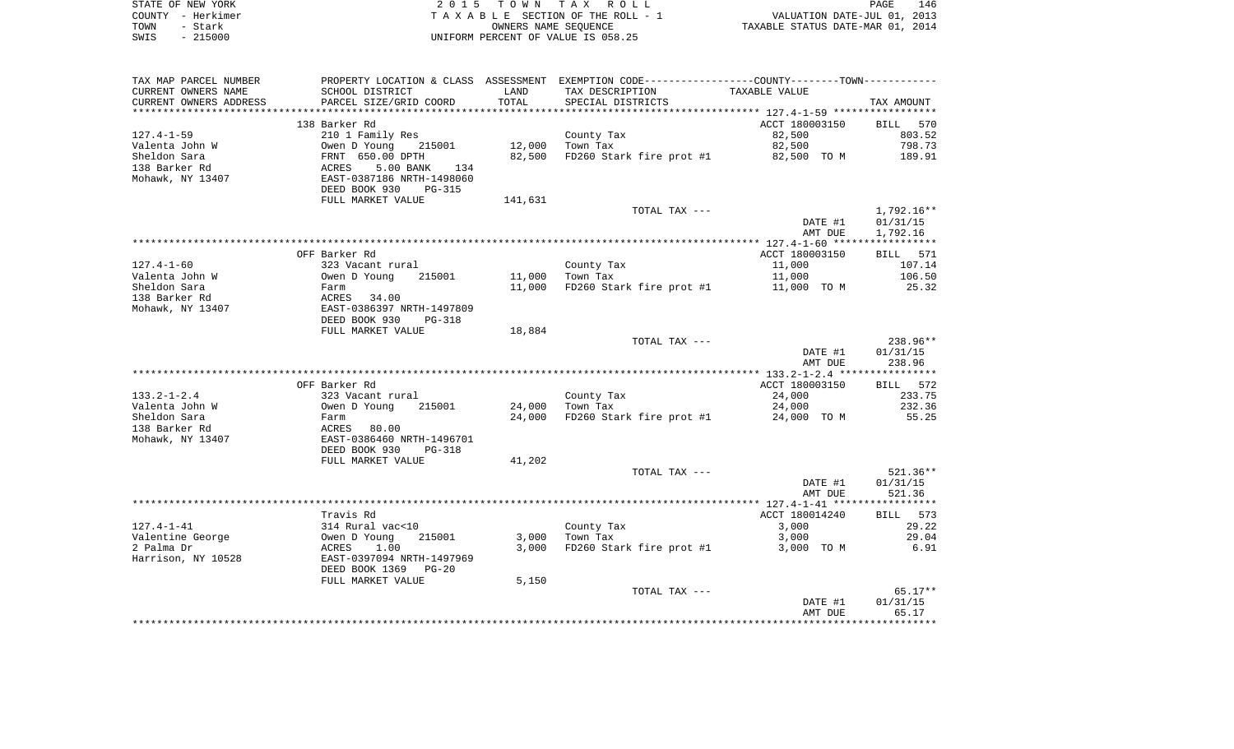| STATE OF NEW YORK |           | 2015 TOWN TAX ROLL                    | 146<br>PAGE                      |
|-------------------|-----------|---------------------------------------|----------------------------------|
| COUNTY - Herkimer |           | T A X A B L E SECTION OF THE ROLL - 1 | VALUATION DATE-JUL 01, 2013      |
| TOWN              | – Stark   | OWNERS NAME SEOUENCE                  | TAXABLE STATUS DATE-MAR 01, 2014 |
| SWIS              | $-215000$ | UNIFORM PERCENT OF VALUE IS 058.25    |                                  |

| TAX MAP PARCEL NUMBER         |                                                                                             |         | PROPERTY LOCATION & CLASS ASSESSMENT EXEMPTION CODE----------------COUNTY--------TOWN---------- |                  |                  |
|-------------------------------|---------------------------------------------------------------------------------------------|---------|-------------------------------------------------------------------------------------------------|------------------|------------------|
| CURRENT OWNERS NAME           | SCHOOL DISTRICT                                                                             | LAND    | TAX DESCRIPTION                                                                                 | TAXABLE VALUE    |                  |
| CURRENT OWNERS ADDRESS        | PARCEL SIZE/GRID COORD                                                                      | TOTAL   | SPECIAL DISTRICTS                                                                               |                  | TAX AMOUNT       |
| *********************         | ****************************                                                                |         |                                                                                                 |                  |                  |
|                               | 138 Barker Rd                                                                               |         |                                                                                                 | ACCT 180003150   | BILL 570         |
| 127.4-1-59                    | 210 1 Family Res                                                                            |         | County Tax                                                                                      | 82,500           | 803.52           |
| Valenta John W                |                                                                                             |         | 12,000 Town Tax                                                                                 | 82,500           | 798.73           |
| Sheldon Sara<br>138 Barker Rd | Owen D Young 215001<br>FRNT 650.00 DPTH<br>ACRES 5.00 BANK 134<br>EAST-0387186 NRTH-1498060 | 82,500  | FD260 Stark fire prot #1 82,500 TO M 189.91                                                     |                  |                  |
| Mohawk, NY 13407              |                                                                                             |         |                                                                                                 |                  |                  |
|                               | DEED BOOK 930<br>PG-315                                                                     |         |                                                                                                 |                  |                  |
|                               | FULL MARKET VALUE                                                                           | 141,631 |                                                                                                 |                  |                  |
|                               |                                                                                             |         | TOTAL TAX ---                                                                                   |                  | $1,792.16**$     |
|                               |                                                                                             |         |                                                                                                 | DATE #1          | 01/31/15         |
|                               |                                                                                             |         |                                                                                                 | AMT DUE          | 1,792.16         |
|                               |                                                                                             |         |                                                                                                 |                  |                  |
|                               | OFF Barker Rd                                                                               |         |                                                                                                 | ACCT 180003150   | BILL 571         |
| 127.4-1-60                    | 323 Vacant rural                                                                            |         | County Tax                                                                                      | 11,000           | 107.14           |
| Valenta John W                |                                                                                             |         | 11,000 Town Tax                                                                                 | 11,000           | 106.50           |
| Sheldon Sara                  |                                                                                             | 11,000  | FD260 Stark fire prot #1 $11,000$ TO M                                                          |                  | 25.32            |
| 138 Barker Rd                 | Owen D Young 215001<br>Farm<br>ACRES 34.00<br>EAST-0386397 NRTH-1497809                     |         |                                                                                                 |                  |                  |
| Mohawk, NY 13407              |                                                                                             |         |                                                                                                 |                  |                  |
|                               | DEED BOOK 930<br>PG-318                                                                     |         |                                                                                                 |                  |                  |
|                               | FULL MARKET VALUE                                                                           | 18,884  |                                                                                                 |                  |                  |
|                               |                                                                                             |         | TOTAL TAX ---                                                                                   |                  | 238.96**         |
|                               |                                                                                             |         |                                                                                                 | DATE #1          | 01/31/15         |
|                               |                                                                                             |         |                                                                                                 | AMT DUE          | 238.96           |
|                               |                                                                                             |         |                                                                                                 |                  |                  |
|                               | OFF Barker Rd                                                                               |         |                                                                                                 | ACCT 180003150   | BILL 572         |
| 133.2-1-2.4<br>Valenta John W | 323 Vacant rural<br>Owen D Young<br>215001                                                  |         | County Tax<br>Town Tax<br>24,000 Town Tax                                                       | 24,000<br>24,000 | 233.75<br>232.36 |
| Sheldon Sara                  |                                                                                             |         | 24,000 FD260 Stark fire prot #1 24,000 TO M                                                     |                  | 55.25            |
| 138 Barker Rd                 | Farm                                                                                        |         |                                                                                                 |                  |                  |
| Mohawk, NY 13407              | - 21 m<br>ACRES 80.00<br>EAST-0386460 NRTH-1496701                                          |         |                                                                                                 |                  |                  |
|                               | DEED BOOK 930<br>PG-318                                                                     |         |                                                                                                 |                  |                  |
|                               | FULL MARKET VALUE                                                                           | 41,202  |                                                                                                 |                  |                  |
|                               |                                                                                             |         | TOTAL TAX ---                                                                                   |                  | $521.36**$       |
|                               |                                                                                             |         |                                                                                                 | DATE #1          | 01/31/15         |
|                               |                                                                                             |         |                                                                                                 | AMT DUE          | 521.36           |
|                               |                                                                                             |         |                                                                                                 |                  |                  |
|                               | Travis Rd                                                                                   |         |                                                                                                 | ACCT 180014240   | BILL 573         |
| 127.4-1-41                    |                                                                                             |         | County Tax                                                                                      | 3,000            | 29.22            |
| Valentine George              | 314 Rural vac<10<br>Owen D Young 215001<br>ACRES 1.00<br>EAST-0397094 NRTH-1497969          |         | $3,000$ Town Tax                                                                                | 3,000            | 29.04            |
| 2 Palma Dr                    |                                                                                             |         | 3,000 FD260 Stark fire prot #1 3,000 TO M                                                       |                  | 6.91             |
| Harrison, NY 10528            |                                                                                             |         |                                                                                                 |                  |                  |
|                               | DEED BOOK 1369 PG-20                                                                        |         |                                                                                                 |                  |                  |
|                               | FULL MARKET VALUE                                                                           | 5,150   |                                                                                                 |                  |                  |
|                               |                                                                                             |         | TOTAL TAX ---                                                                                   |                  | $65.17**$        |
|                               |                                                                                             |         |                                                                                                 | DATE #1          | 01/31/15         |
|                               |                                                                                             |         |                                                                                                 | AMT DUE          | 65.17            |
|                               |                                                                                             |         |                                                                                                 |                  |                  |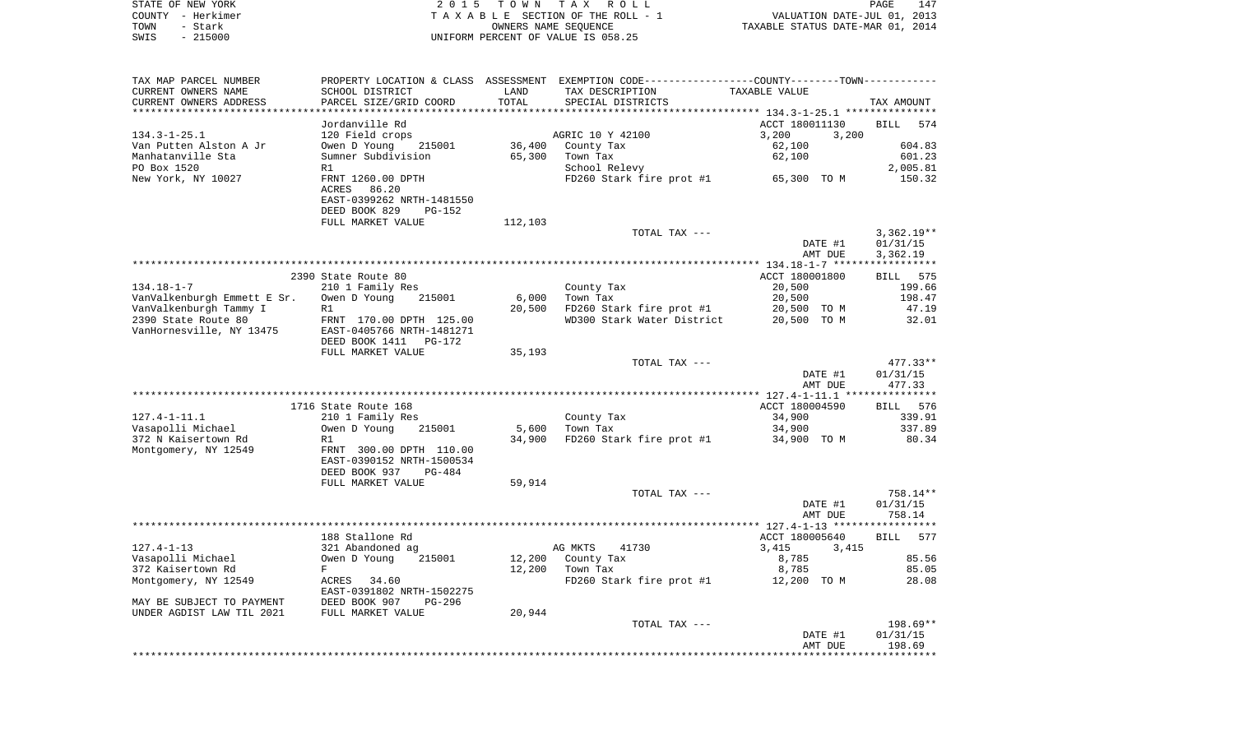| STATE OF NEW YORK           | 2 0 1 5                   | T O W N              | TAX ROLL                                                                                       |                                  | PAGE<br>147        |
|-----------------------------|---------------------------|----------------------|------------------------------------------------------------------------------------------------|----------------------------------|--------------------|
| COUNTY - Herkimer           |                           |                      | TAXABLE SECTION OF THE ROLL - 1                                                                | VALUATION DATE-JUL 01, 2013      |                    |
| - Stark<br>TOWN             |                           | OWNERS NAME SEQUENCE |                                                                                                | TAXABLE STATUS DATE-MAR 01, 2014 |                    |
| $-215000$<br>SWIS           |                           |                      | UNIFORM PERCENT OF VALUE IS 058.25                                                             |                                  |                    |
|                             |                           |                      |                                                                                                |                                  |                    |
|                             |                           |                      |                                                                                                |                                  |                    |
| TAX MAP PARCEL NUMBER       |                           |                      | PROPERTY LOCATION & CLASS ASSESSMENT EXEMPTION CODE----------------COUNTY-------TOWN---------- |                                  |                    |
| CURRENT OWNERS NAME         | SCHOOL DISTRICT           | LAND                 | TAX DESCRIPTION                                                                                | TAXABLE VALUE                    |                    |
| CURRENT OWNERS ADDRESS      | PARCEL SIZE/GRID COORD    | TOTAL                | SPECIAL DISTRICTS                                                                              |                                  | TAX AMOUNT         |
| *********************       | ************************  |                      |                                                                                                |                                  |                    |
|                             | Jordanville Rd            |                      |                                                                                                | ACCT 180011130                   | <b>BILL</b><br>574 |
| $134.3 - 1 - 25.1$          | 120 Field crops           |                      | AGRIC 10 Y 42100                                                                               | 3,200<br>3,200                   |                    |
| Van Putten Alston A Jr      | Owen D Young<br>215001    | 36,400               | County Tax                                                                                     | 62,100                           | 604.83             |
| Manhatanville Sta           | Sumner Subdivision        | 65,300               | Town Tax                                                                                       | 62,100                           | 601.23             |
| PO Box 1520                 | R1                        |                      | School Relevy                                                                                  |                                  | 2,005.81           |
| New York, NY 10027          | FRNT 1260.00 DPTH         |                      | FD260 Stark fire prot #1                                                                       | 65,300 TO M                      | 150.32             |
|                             | ACRES<br>86.20            |                      |                                                                                                |                                  |                    |
|                             | EAST-0399262 NRTH-1481550 |                      |                                                                                                |                                  |                    |
|                             |                           |                      |                                                                                                |                                  |                    |
|                             | DEED BOOK 829<br>PG-152   |                      |                                                                                                |                                  |                    |
|                             | FULL MARKET VALUE         | 112,103              |                                                                                                |                                  |                    |
|                             |                           |                      | TOTAL TAX ---                                                                                  |                                  | $3,362.19**$       |
|                             |                           |                      |                                                                                                | DATE #1                          | 01/31/15           |
|                             |                           |                      |                                                                                                | AMT DUE                          | 3,362.19           |
|                             |                           |                      |                                                                                                |                                  |                    |
|                             | 2390 State Route 80       |                      |                                                                                                | ACCT 180001800                   | 575<br>BILL        |
| $134.18 - 1 - 7$            | 210 1 Family Res          |                      | County Tax                                                                                     | 20,500                           | 199.66             |
| VanValkenburgh Emmett E Sr. | Owen D Young<br>215001    | 6,000                | Town Tax                                                                                       | 20,500                           | 198.47             |
| VanValkenburgh Tammy I      | R1                        | 20,500               | FD260 Stark fire prot #1                                                                       | 20,500 TO M                      | 47.19              |
| 2390 State Route 80         | FRNT 170.00 DPTH 125.00   |                      | WD300 Stark Water District                                                                     | 20,500 TO M                      | 32.01              |
| VanHornesville, NY 13475    | EAST-0405766 NRTH-1481271 |                      |                                                                                                |                                  |                    |
|                             | DEED BOOK 1411 PG-172     |                      |                                                                                                |                                  |                    |
|                             | FULL MARKET VALUE         | 35,193               |                                                                                                |                                  |                    |
|                             |                           |                      | TOTAL TAX ---                                                                                  |                                  | 477.33**           |
|                             |                           |                      |                                                                                                | DATE #1                          | 01/31/15           |
|                             |                           |                      |                                                                                                | AMT DUE                          | 477.33             |
|                             |                           |                      |                                                                                                |                                  |                    |
|                             | 1716 State Route 168      |                      |                                                                                                | ACCT 180004590                   | BILL 576           |
| $127.4 - 1 - 11.1$          | 210 1 Family Res          |                      | County Tax                                                                                     | 34,900                           | 339.91             |
| Vasapolli Michael           | Owen D Young<br>215001    | 5,600                | Town Tax                                                                                       | 34,900                           | 337.89             |
| 372 N Kaisertown Rd         | R1                        | 34,900               | FD260 Stark fire prot #1                                                                       | 34,900 TO M                      | 80.34              |
| Montgomery, NY 12549        | FRNT 300.00 DPTH 110.00   |                      |                                                                                                |                                  |                    |
|                             | EAST-0390152 NRTH-1500534 |                      |                                                                                                |                                  |                    |
|                             | DEED BOOK 937<br>PG-484   |                      |                                                                                                |                                  |                    |
|                             |                           |                      |                                                                                                |                                  |                    |
|                             | FULL MARKET VALUE         | 59,914               | TOTAL TAX ---                                                                                  |                                  |                    |
|                             |                           |                      |                                                                                                |                                  | 758.14**           |
|                             |                           |                      |                                                                                                | DATE #1                          | 01/31/15           |
|                             |                           |                      |                                                                                                | AMT DUE                          | 758.14             |
|                             |                           |                      |                                                                                                |                                  |                    |
|                             | 188 Stallone Rd           |                      |                                                                                                | ACCT 180005640                   | 577<br>BILL        |
| $127.4 - 1 - 13$            | 321 Abandoned ag          |                      | AG MKTS<br>41730                                                                               | 3,415 3,415                      |                    |
| Vasapolli Michael           | Owen D Young<br>215001    | 12,200               | County Tax                                                                                     | 8,785                            | 85.56              |
| 372 Kaisertown Rd           | F                         | 12,200               | Town Tax                                                                                       | 8,785                            | 85.05              |
| Montgomery, NY 12549        | ACRES<br>34.60            |                      | FD260 Stark fire prot #1                                                                       | 12,200 TO M                      | 28.08              |
|                             | EAST-0391802 NRTH-1502275 |                      |                                                                                                |                                  |                    |
| MAY BE SUBJECT TO PAYMENT   | DEED BOOK 907<br>PG-296   |                      |                                                                                                |                                  |                    |
| UNDER AGDIST LAW TIL 2021   | FULL MARKET VALUE         | 20,944               |                                                                                                |                                  |                    |
|                             |                           |                      | TOTAL TAX ---                                                                                  |                                  | 198.69**           |
|                             |                           |                      |                                                                                                | DATE #1                          | 01/31/15           |
|                             |                           |                      |                                                                                                | AMT DUE                          | 198.69             |
| *************               |                           |                      |                                                                                                |                                  |                    |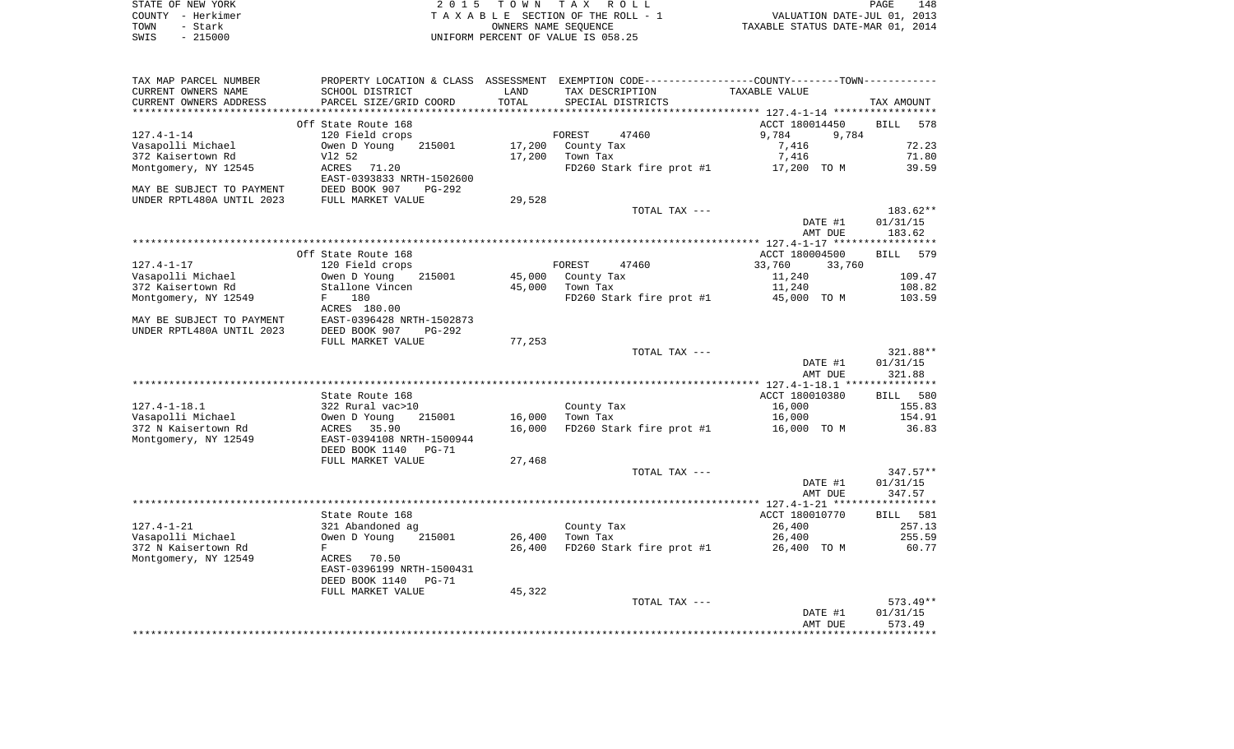|      | STATE OF NEW YORK | 2015 TOWN TAX ROLL                 | 148<br>PAGE                      |
|------|-------------------|------------------------------------|----------------------------------|
|      | COUNTY - Herkimer | TAXABLE SECTION OF THE ROLL - 1    | VALUATION DATE-JUL 01, 2013      |
| TOWN | – Stark           | OWNERS NAME SEOUENCE               | TAXABLE STATUS DATE-MAR 01, 2014 |
| SWIS | $-215000$         | INIFORM PERCENT OF VALUE IS 058.25 |                                  |

| TAX MAP PARCEL NUMBER     | PROPERTY LOCATION & CLASS ASSESSMENT |        | EXEMPTION CODE-----------------COUNTY-------TOWN----------- |                  |                    |
|---------------------------|--------------------------------------|--------|-------------------------------------------------------------|------------------|--------------------|
| CURRENT OWNERS NAME       | SCHOOL DISTRICT                      | LAND   | TAX DESCRIPTION                                             | TAXABLE VALUE    |                    |
| CURRENT OWNERS ADDRESS    | PARCEL SIZE/GRID COORD               | TOTAL  | SPECIAL DISTRICTS                                           |                  | TAX AMOUNT         |
| *********************     | ***************************          |        |                                                             |                  |                    |
|                           | Off State Route 168                  |        |                                                             | ACCT 180014450   | <b>BILL</b><br>578 |
| $127.4 - 1 - 14$          | 120 Field crops                      |        | FOREST<br>47460                                             | 9,784<br>9,784   |                    |
| Vasapolli Michael         | Owen D Young<br>215001               | 17,200 | County Tax                                                  | 7,416            | 72.23              |
| 372 Kaisertown Rd         | V12 52                               | 17,200 | Town Tax                                                    | 7,416            | 71.80              |
| Montgomery, NY 12545      | ACRES<br>71.20                       |        | FD260 Stark fire prot #1                                    | 17,200 TO M      | 39.59              |
|                           | EAST-0393833 NRTH-1502600            |        |                                                             |                  |                    |
| MAY BE SUBJECT TO PAYMENT | DEED BOOK 907<br>PG-292              |        |                                                             |                  |                    |
| UNDER RPTL480A UNTIL 2023 | FULL MARKET VALUE                    | 29,528 |                                                             |                  |                    |
|                           |                                      |        | TOTAL TAX ---                                               |                  | $183.62**$         |
|                           |                                      |        |                                                             | DATE #1          | 01/31/15           |
|                           |                                      |        |                                                             | AMT DUE          | 183.62             |
|                           |                                      |        |                                                             |                  |                    |
|                           | Off State Route 168                  |        |                                                             | ACCT 180004500   | 579<br>BILL        |
| $127.4 - 1 - 17$          | 120 Field crops                      |        | FOREST<br>47460                                             | 33,760<br>33,760 |                    |
| Vasapolli Michael         | Owen D Young<br>215001               | 45,000 | County Tax                                                  | 11,240           | 109.47             |
| 372 Kaisertown Rd         | Stallone Vincen                      | 45,000 | Town Tax                                                    | 11,240           | 108.82             |
| Montgomery, NY 12549      | 180<br>F                             |        | FD260 Stark fire prot #1                                    | 45,000 TO M      | 103.59             |
|                           | ACRES 180.00                         |        |                                                             |                  |                    |
| MAY BE SUBJECT TO PAYMENT | EAST-0396428 NRTH-1502873            |        |                                                             |                  |                    |
| UNDER RPTL480A UNTIL 2023 | DEED BOOK 907<br>$PG-292$            |        |                                                             |                  |                    |
|                           | FULL MARKET VALUE                    | 77,253 |                                                             |                  |                    |
|                           |                                      |        | TOTAL TAX ---                                               |                  | 321.88**           |
|                           |                                      |        |                                                             | DATE #1          | 01/31/15           |
|                           |                                      |        |                                                             | AMT DUE          | 321.88             |
|                           |                                      |        |                                                             |                  |                    |
|                           | State Route 168                      |        |                                                             | ACCT 180010380   | BILL 580           |
| $127.4 - 1 - 18.1$        | 322 Rural vac>10                     |        | County Tax                                                  | 16,000           | 155.83             |
| Vasapolli Michael         | 215001<br>Owen D Young               | 16,000 | Town Tax                                                    | 16,000           | 154.91             |
| 372 N Kaisertown Rd       | 35.90<br>ACRES                       | 16,000 | FD260 Stark fire prot #1                                    | 16,000 TO M      | 36.83              |
| Montgomery, NY 12549      | EAST-0394108 NRTH-1500944            |        |                                                             |                  |                    |
|                           | DEED BOOK 1140<br>$PG-71$            |        |                                                             |                  |                    |
|                           | FULL MARKET VALUE                    | 27,468 |                                                             |                  |                    |
|                           |                                      |        | TOTAL TAX ---                                               |                  | $347.57**$         |
|                           |                                      |        |                                                             | DATE #1          | 01/31/15           |
|                           |                                      |        |                                                             | AMT DUE          | 347.57             |
|                           |                                      |        |                                                             |                  |                    |
|                           | State Route 168                      |        |                                                             | ACCT 180010770   | <b>BILL</b> 581    |
| $127.4 - 1 - 21$          | 321 Abandoned ag                     |        | County Tax                                                  | 26,400           | 257.13             |
| Vasapolli Michael         | Owen D Young<br>215001               | 26,400 | Town Tax                                                    | 26,400           | 255.59             |
| 372 N Kaisertown Rd       | $\mathbf F$                          | 26,400 | FD260 Stark fire prot #1                                    | 26,400 TO M      | 60.77              |
| Montgomery, NY 12549      | ACRES<br>70.50                       |        |                                                             |                  |                    |
|                           | EAST-0396199 NRTH-1500431            |        |                                                             |                  |                    |
|                           | DEED BOOK 1140<br>$PG-71$            |        |                                                             |                  |                    |
|                           | FULL MARKET VALUE                    | 45,322 |                                                             |                  |                    |
|                           |                                      |        | TOTAL TAX ---                                               |                  | $573.49**$         |
|                           |                                      |        |                                                             | DATE #1          | 01/31/15           |
|                           |                                      |        |                                                             | AMT DUE          | 573.49             |
|                           |                                      |        |                                                             |                  |                    |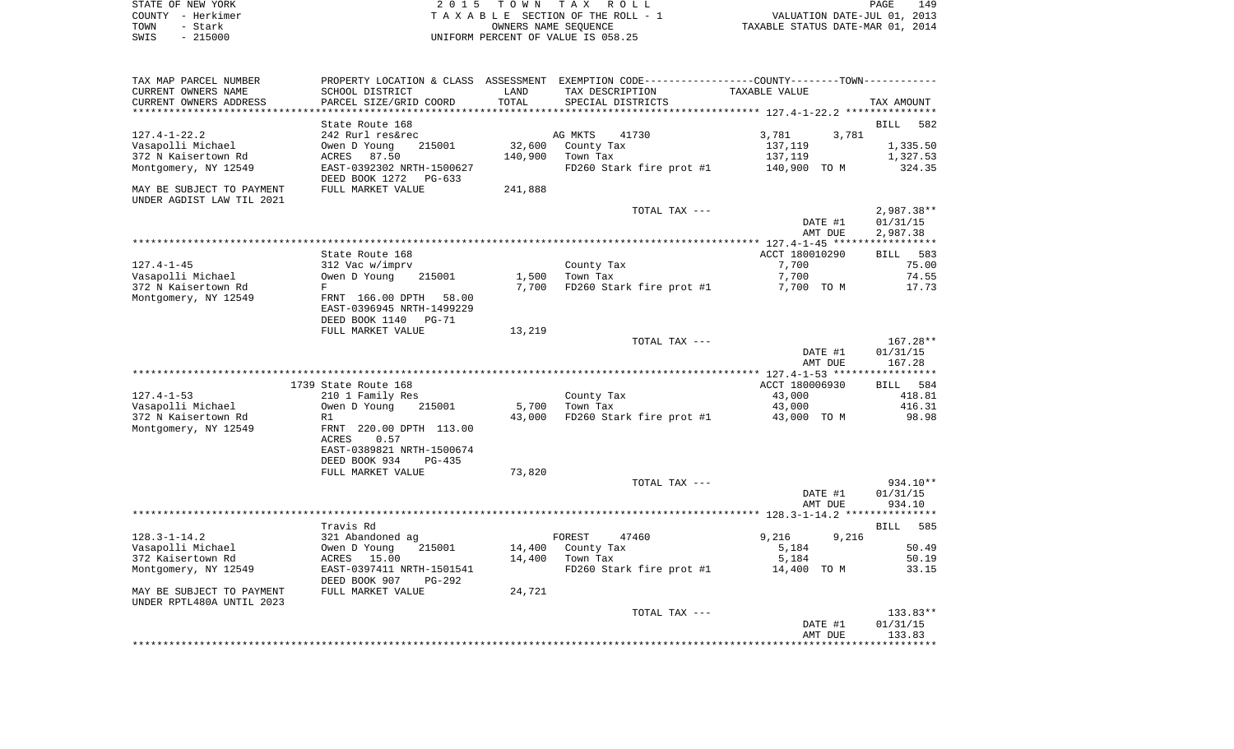|      | STATE OF NEW YORK | 2015 TOWN TAX ROLL                 | 149<br><b>PAGE</b>               |
|------|-------------------|------------------------------------|----------------------------------|
|      | COUNTY - Herkimer | TAXABLE SECTION OF THE ROLL - 1    | VALUATION DATE-JUL 01, 2013      |
| TOWN | - Stark           | OWNERS NAME SEOUENCE               | TAXABLE STATUS DATE-MAR 01, 2014 |
| SWIS | $-215000$         | UNIFORM PERCENT OF VALUE IS 058.25 |                                  |

| CURRENT OWNERS NAME                                                                    | SCHOOL DISTRICT                                                                                                       | LAND              | TAX DESCRIPTION                                                        | TAXABLE VALUE                                        | PROPERTY LOCATION & CLASS ASSESSMENT EXEMPTION CODE----------------COUNTY-------TOWN----------- |
|----------------------------------------------------------------------------------------|-----------------------------------------------------------------------------------------------------------------------|-------------------|------------------------------------------------------------------------|------------------------------------------------------|-------------------------------------------------------------------------------------------------|
| CURRENT OWNERS ADDRESS<br>********************                                         | PARCEL SIZE/GRID COORD                                                                                                | TOTAL             | SPECIAL DISTRICTS                                                      |                                                      | TAX AMOUNT                                                                                      |
|                                                                                        | State Route 168                                                                                                       |                   |                                                                        |                                                      | <b>BILL</b><br>582                                                                              |
| $127.4 - 1 - 22.2$<br>Vasapolli Michael<br>372 N Kaisertown Rd<br>Montgomery, NY 12549 | 242 Rurl res&rec<br>Owen D Young<br>215001<br>ACRES<br>87.50<br>EAST-0392302 NRTH-1500627<br>DEED BOOK 1272<br>PG-633 | 32,600<br>140,900 | AG MKTS<br>41730<br>County Tax<br>Town Tax<br>FD260 Stark fire prot #1 | 3,781<br>3,781<br>137,119<br>137,119<br>140,900 TO M | 1,335.50<br>1,327.53<br>324.35                                                                  |
| MAY BE SUBJECT TO PAYMENT<br>UNDER AGDIST LAW TIL 2021                                 | FULL MARKET VALUE                                                                                                     | 241,888           |                                                                        |                                                      |                                                                                                 |
|                                                                                        |                                                                                                                       |                   | TOTAL TAX ---                                                          | DATE #1<br>AMT DUE                                   | 2,987.38**<br>01/31/15<br>2,987.38                                                              |
|                                                                                        |                                                                                                                       |                   |                                                                        |                                                      |                                                                                                 |
| $127.4 - 1 - 45$                                                                       | State Route 168<br>312 Vac w/imprv                                                                                    |                   | County Tax                                                             | ACCT 180010290<br>7,700                              | <b>BILL</b><br>583<br>75.00                                                                     |
| Vasapolli Michael<br>372 N Kaisertown Rd                                               | Owen D Young<br>215001<br>F                                                                                           | 1,500<br>7,700    | Town Tax<br>FD260 Stark fire prot #1                                   | 7,700<br>7,700 TO M                                  | 74.55<br>17.73                                                                                  |
| Montgomery, NY 12549                                                                   | FRNT 166.00 DPTH<br>58.00<br>EAST-0396945 NRTH-1499229<br>DEED BOOK 1140<br>PG-71                                     |                   |                                                                        |                                                      |                                                                                                 |
|                                                                                        | FULL MARKET VALUE                                                                                                     | 13,219            |                                                                        |                                                      |                                                                                                 |
|                                                                                        |                                                                                                                       |                   | TOTAL TAX ---                                                          | DATE #1<br>AMT DUE                                   | 167.28**<br>01/31/15<br>167.28                                                                  |
|                                                                                        |                                                                                                                       |                   |                                                                        |                                                      |                                                                                                 |
|                                                                                        | 1739 State Route 168                                                                                                  |                   |                                                                        | ACCT 180006930                                       | BILL 584                                                                                        |
| $127.4 - 1 - 53$<br>Vasapolli Michael                                                  | 210 1 Family Res<br>Owen D Young<br>215001                                                                            | 5,700             | County Tax<br>Town Tax                                                 | 43,000<br>43,000                                     | 418.81<br>416.31                                                                                |
| 372 N Kaisertown Rd                                                                    | R1                                                                                                                    | 43,000            | FD260 Stark fire prot #1                                               | 43,000 TO M                                          | 98.98                                                                                           |
| Montgomery, NY 12549                                                                   | FRNT 220.00 DPTH 113.00<br>ACRES<br>0.57<br>EAST-0389821 NRTH-1500674<br>DEED BOOK 934<br>$PG-435$                    |                   |                                                                        |                                                      |                                                                                                 |
|                                                                                        | FULL MARKET VALUE                                                                                                     | 73,820            |                                                                        |                                                      |                                                                                                 |
|                                                                                        |                                                                                                                       |                   | TOTAL TAX ---                                                          | DATE #1<br>AMT DUE                                   | 934.10**<br>01/31/15<br>934.10                                                                  |
|                                                                                        |                                                                                                                       |                   |                                                                        |                                                      |                                                                                                 |
|                                                                                        | Travis Rd                                                                                                             |                   |                                                                        |                                                      | 585<br>BILL                                                                                     |
| $128.3 - 1 - 14.2$<br>Vasapolli Michael                                                | 321 Abandoned ag<br>Owen D Young<br>215001                                                                            | 14,400            | FOREST<br>47460<br>County Tax                                          | 9,216<br>9,216<br>5,184                              | 50.49                                                                                           |
| 372 Kaisertown Rd                                                                      | ACRES<br>15.00                                                                                                        | 14,400            | Town Tax                                                               | 5,184                                                | 50.19                                                                                           |
| Montgomery, NY 12549                                                                   | EAST-0397411 NRTH-1501541<br>DEED BOOK 907<br>PG-292                                                                  |                   | FD260 Stark fire prot #1                                               | 14,400 TO M                                          | 33.15                                                                                           |
| MAY BE SUBJECT TO PAYMENT<br>UNDER RPTL480A UNTIL 2023                                 | FULL MARKET VALUE                                                                                                     | 24,721            |                                                                        |                                                      |                                                                                                 |
|                                                                                        |                                                                                                                       |                   | TOTAL TAX ---                                                          | DATE #1<br>AMT DUE                                   | 133.83**<br>01/31/15<br>133.83                                                                  |
|                                                                                        |                                                                                                                       |                   |                                                                        |                                                      |                                                                                                 |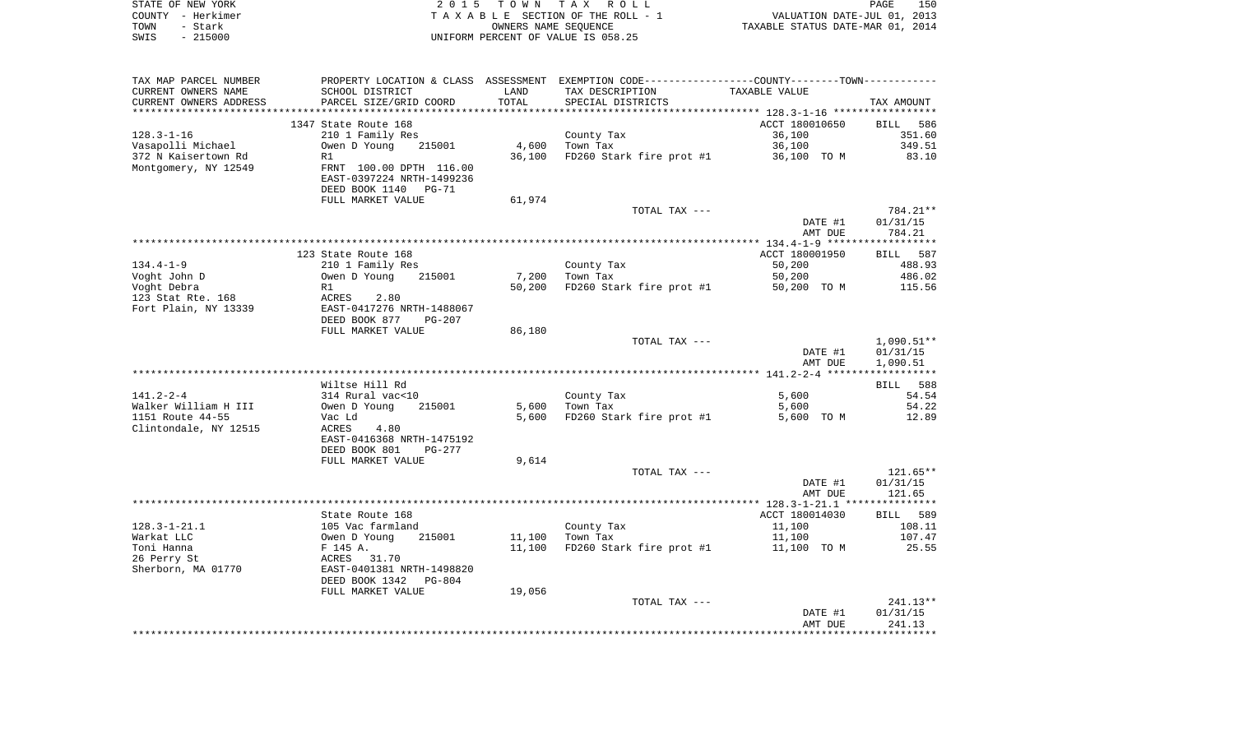| STATE OF NEW YORK |           | 2015 TOWN TAX ROLL                 | PAGE                             | 150 |
|-------------------|-----------|------------------------------------|----------------------------------|-----|
| COUNTY – Herkimer |           | TAXABLE SECTION OF THE ROLL - 1    | VALUATION DATE-JUL 01, 2013      |     |
| TOWN              | - Stark   | OWNERS NAME SEOUENCE               | TAXABLE STATUS DATE-MAR 01, 2014 |     |
| SWIS              | $-215000$ | UNIFORM PERCENT OF VALUE IS 058.25 |                                  |     |

| TAX MAP PARCEL NUMBER  | PROPERTY LOCATION & CLASS ASSESSMENT EXEMPTION CODE---------------COUNTY-------TOWN---------- |        |                          |                |            |
|------------------------|-----------------------------------------------------------------------------------------------|--------|--------------------------|----------------|------------|
| CURRENT OWNERS NAME    | SCHOOL DISTRICT                                                                               | LAND   | TAX DESCRIPTION          | TAXABLE VALUE  |            |
| CURRENT OWNERS ADDRESS | PARCEL SIZE/GRID COORD                                                                        | TOTAL  | SPECIAL DISTRICTS        |                | TAX AMOUNT |
|                        |                                                                                               |        |                          |                |            |
|                        | 1347 State Route 168                                                                          |        |                          | ACCT 180010650 | BILL 586   |
| $128.3 - 1 - 16$       | 210 1 Family Res                                                                              |        | County Tax               | 36,100         | 351.60     |
| Vasapolli Michael      | Owen D Young<br>215001                                                                        | 4,600  | Town Tax                 | 36,100         | 349.51     |
|                        |                                                                                               |        |                          |                |            |
| 372 N Kaisertown Rd    | R1                                                                                            | 36,100 | FD260 Stark fire prot #1 | 36,100 TO M    | 83.10      |
| Montgomery, NY 12549   | FRNT 100.00 DPTH 116.00                                                                       |        |                          |                |            |
|                        | EAST-0397224 NRTH-1499236                                                                     |        |                          |                |            |
|                        | DEED BOOK 1140 PG-71                                                                          |        |                          |                |            |
|                        | FULL MARKET VALUE                                                                             | 61,974 |                          |                |            |
|                        |                                                                                               |        | TOTAL TAX ---            |                | 784.21**   |
|                        |                                                                                               |        |                          | DATE #1        | 01/31/15   |
|                        |                                                                                               |        |                          | AMT DUE        | 784.21     |
|                        |                                                                                               |        |                          |                |            |
|                        | 123 State Route 168                                                                           |        |                          | ACCT 180001950 | BILL 587   |
| $134.4 - 1 - 9$        | 210 1 Family Res                                                                              |        | County Tax               | 50,200         | 488.93     |
| Voght John D           | 215001<br>Owen D Young                                                                        | 7,200  | Town Tax                 | 50,200         | 486.02     |
| Voght Debra            | R1                                                                                            | 50,200 | FD260 Stark fire prot #1 | 50,200 TO M    | 115.56     |
| 123 Stat Rte. 168      | ACRES<br>2.80                                                                                 |        |                          |                |            |
|                        |                                                                                               |        |                          |                |            |
| Fort Plain, NY 13339   | EAST-0417276 NRTH-1488067                                                                     |        |                          |                |            |
|                        | DEED BOOK 877<br>PG-207                                                                       |        |                          |                |            |
|                        | FULL MARKET VALUE                                                                             | 86,180 |                          |                |            |
|                        |                                                                                               |        | TOTAL TAX ---            |                | 1,090.51** |
|                        |                                                                                               |        |                          | DATE #1        | 01/31/15   |
|                        |                                                                                               |        |                          | AMT DUE        | 1,090.51   |
|                        |                                                                                               |        |                          |                |            |
|                        | Wiltse Hill Rd                                                                                |        |                          |                | BILL 588   |
| 141.2-2-4              | 314 Rural vac<10                                                                              |        | County Tax               | 5,600          | 54.54      |
| Walker William H III   | Owen D Young<br>215001                                                                        | 5,600  | Town Tax                 | 5,600          | 54.22      |
| 1151 Route 44-55       | Vac Ld                                                                                        | 5,600  | FD260 Stark fire prot #1 | 5,600 TO M     | 12.89      |
| Clintondale, NY 12515  | ACRES<br>4.80                                                                                 |        |                          |                |            |
|                        | EAST-0416368 NRTH-1475192                                                                     |        |                          |                |            |
|                        | DEED BOOK 801<br>PG-277                                                                       |        |                          |                |            |
|                        | FULL MARKET VALUE                                                                             | 9,614  |                          |                |            |
|                        |                                                                                               |        | TOTAL TAX ---            |                | $121.65**$ |
|                        |                                                                                               |        |                          |                |            |
|                        |                                                                                               |        |                          | DATE #1        | 01/31/15   |
|                        |                                                                                               |        |                          | AMT DUE        | 121.65     |
|                        |                                                                                               |        |                          |                |            |
|                        | State Route 168                                                                               |        |                          | ACCT 180014030 | BILL 589   |
| $128.3 - 1 - 21.1$     | 105 Vac farmland                                                                              |        | County Tax               | 11,100         | 108.11     |
| Warkat LLC             | 215001<br>Owen D Young                                                                        | 11,100 | Town Tax                 | 11,100         | 107.47     |
| Toni Hanna             | F 145 A.                                                                                      | 11,100 | FD260 Stark fire prot #1 | 11,100 TO M    | 25.55      |
| 26 Perry St            | ACRES 31.70                                                                                   |        |                          |                |            |
| Sherborn, MA 01770     | EAST-0401381 NRTH-1498820                                                                     |        |                          |                |            |
|                        | DEED BOOK 1342<br>PG-804                                                                      |        |                          |                |            |
|                        | FULL MARKET VALUE                                                                             | 19,056 |                          |                |            |
|                        |                                                                                               |        | TOTAL TAX ---            |                | $241.13**$ |
|                        |                                                                                               |        |                          | DATE #1        | 01/31/15   |
|                        |                                                                                               |        |                          | AMT DUE        | 241.13     |
|                        |                                                                                               |        |                          |                |            |
|                        |                                                                                               |        |                          |                |            |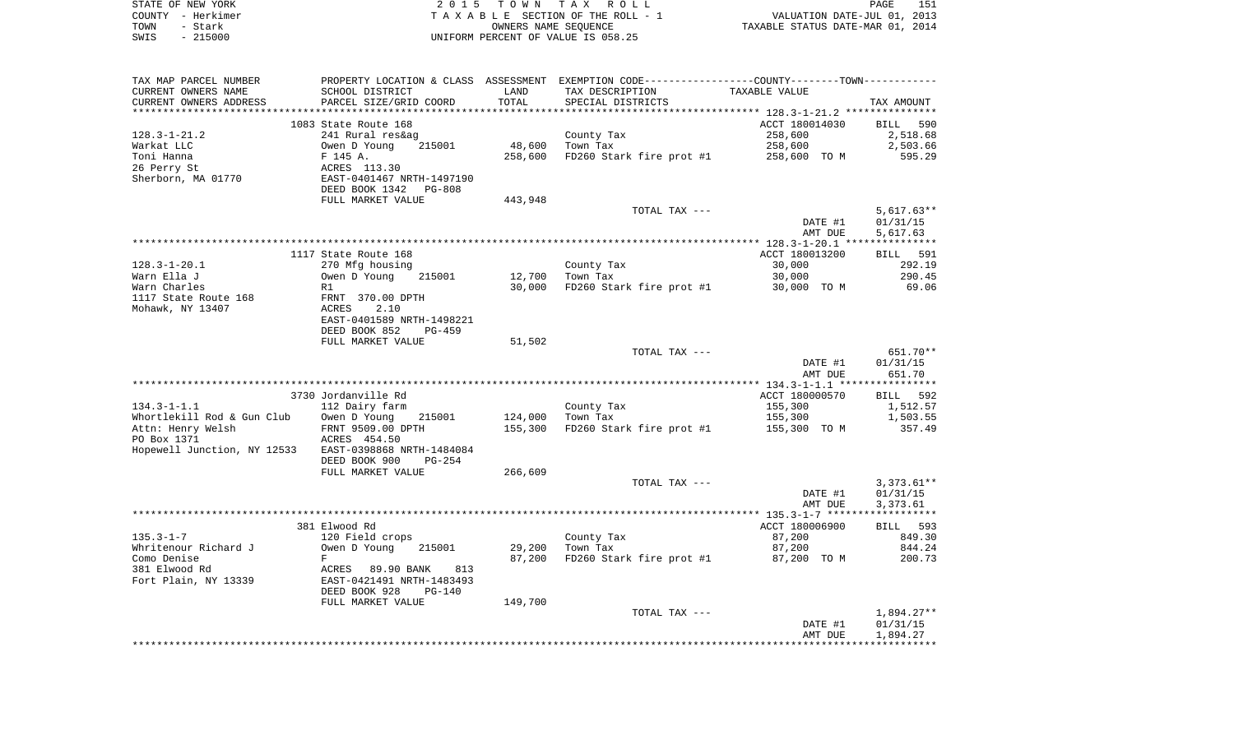| STATE OF NEW YORK | 2015 TOWN TAX ROLL                 | 151<br>PAGE                      |
|-------------------|------------------------------------|----------------------------------|
| COUNTY - Herkimer | TAXABLE SECTION OF THE ROLL - 1    | VALUATION DATE-JUL 01, 2013      |
| TOWN<br>– Stark   | OWNERS NAME SEOUENCE               | TAXABLE STATUS DATE-MAR 01, 2014 |
| $-215000$<br>SWIS | UNIFORM PERCENT OF VALUE IS 058.25 |                                  |

| TAX MAP PARCEL NUMBER                           | PROPERTY LOCATION & CLASS ASSESSMENT EXEMPTION CODE---------------COUNTY-------TOWN---------- |         |                          |                           |                      |
|-------------------------------------------------|-----------------------------------------------------------------------------------------------|---------|--------------------------|---------------------------|----------------------|
| CURRENT OWNERS NAME                             | SCHOOL DISTRICT                                                                               | LAND    | TAX DESCRIPTION          | TAXABLE VALUE             |                      |
| CURRENT OWNERS ADDRESS<br>********************* | PARCEL SIZE/GRID COORD<br>****************************                                        | TOTAL   | SPECIAL DISTRICTS        |                           | TAX AMOUNT           |
|                                                 |                                                                                               |         |                          |                           |                      |
| $128.3 - 1 - 21.2$                              | 1083 State Route 168                                                                          |         |                          | ACCT 180014030<br>258,600 | BILL 590<br>2,518.68 |
| Warkat LLC                                      | 241 Rural res&ag<br>Owen D Young<br>215001                                                    | 48,600  | County Tax<br>Town Tax   | 258,600                   | 2,503.66             |
| Toni Hanna                                      | F 145 A.                                                                                      | 258,600 |                          | 258,600 TO M              | 595.29               |
| 26 Perry St                                     | ACRES 113.30                                                                                  |         | FD260 Stark fire prot #1 |                           |                      |
| Sherborn, MA 01770                              | EAST-0401467 NRTH-1497190                                                                     |         |                          |                           |                      |
|                                                 | DEED BOOK 1342<br>PG-808                                                                      |         |                          |                           |                      |
|                                                 | FULL MARKET VALUE                                                                             | 443,948 |                          |                           |                      |
|                                                 |                                                                                               |         | TOTAL TAX ---            |                           | $5,617.63**$         |
|                                                 |                                                                                               |         |                          | DATE #1                   | 01/31/15             |
|                                                 |                                                                                               |         |                          | AMT DUE                   | 5,617.63             |
|                                                 |                                                                                               |         |                          |                           |                      |
|                                                 | 1117 State Route 168                                                                          |         |                          | ACCT 180013200            | BILL 591             |
| $128.3 - 1 - 20.1$                              | 270 Mfg housing                                                                               |         | County Tax               | 30,000                    | 292.19               |
| Warn Ella J                                     | Owen D Young<br>215001                                                                        | 12,700  | Town Tax                 | 30,000                    | 290.45               |
| Warn Charles                                    | R1                                                                                            | 30,000  | FD260 Stark fire prot #1 | 30,000 TO M               | 69.06                |
| 1117 State Route 168                            | FRNT 370.00 DPTH                                                                              |         |                          |                           |                      |
| Mohawk, NY 13407                                | ACRES<br>2.10                                                                                 |         |                          |                           |                      |
|                                                 | EAST-0401589 NRTH-1498221                                                                     |         |                          |                           |                      |
|                                                 | DEED BOOK 852<br>$PG-459$                                                                     |         |                          |                           |                      |
|                                                 | FULL MARKET VALUE                                                                             | 51,502  |                          |                           |                      |
|                                                 |                                                                                               |         | TOTAL TAX ---            |                           | 651.70**             |
|                                                 |                                                                                               |         |                          | DATE #1                   | 01/31/15             |
|                                                 |                                                                                               |         |                          | AMT DUE                   | 651.70               |
|                                                 |                                                                                               |         |                          |                           |                      |
|                                                 | 3730 Jordanville Rd                                                                           |         |                          | ACCT 180000570            | BILL 592             |
| $134.3 - 1 - 1.1$<br>Whortlekill Rod & Gun Club | 112 Dairy farm<br>Owen D Young<br>215001                                                      | 124,000 | County Tax<br>Town Tax   | 155,300<br>155,300        | 1,512.57<br>1,503.55 |
| Attn: Henry Welsh                               | FRNT 9509.00 DPTH                                                                             | 155,300 | FD260 Stark fire prot #1 | 155,300 TO M              | 357.49               |
| PO Box 1371                                     | ACRES 454.50                                                                                  |         |                          |                           |                      |
| Hopewell Junction, NY 12533                     | EAST-0398868 NRTH-1484084                                                                     |         |                          |                           |                      |
|                                                 | DEED BOOK 900<br>PG-254                                                                       |         |                          |                           |                      |
|                                                 | FULL MARKET VALUE                                                                             | 266,609 |                          |                           |                      |
|                                                 |                                                                                               |         | TOTAL TAX ---            |                           | $3,373.61**$         |
|                                                 |                                                                                               |         |                          | DATE #1                   | 01/31/15             |
|                                                 |                                                                                               |         |                          | AMT DUE                   | 3,373.61             |
|                                                 |                                                                                               |         |                          |                           |                      |
|                                                 | 381 Elwood Rd                                                                                 |         |                          | ACCT 180006900            | BILL 593             |
| $135.3 - 1 - 7$                                 | 120 Field crops                                                                               |         | County Tax               | 87,200                    | 849.30               |
| Whritenour Richard J                            | Owen D Young<br>215001                                                                        | 29,200  | Town Tax                 | 87,200                    | 844.24               |
| Como Denise                                     | F                                                                                             | 87,200  | FD260 Stark fire prot #1 | 87,200 TO M               | 200.73               |
| 381 Elwood Rd                                   | ACRES<br>89.90 BANK<br>813                                                                    |         |                          |                           |                      |
| Fort Plain, NY 13339                            | EAST-0421491 NRTH-1483493                                                                     |         |                          |                           |                      |
|                                                 | DEED BOOK 928<br><b>PG-140</b>                                                                |         |                          |                           |                      |
|                                                 | FULL MARKET VALUE                                                                             | 149,700 |                          |                           |                      |
|                                                 |                                                                                               |         | TOTAL TAX ---            |                           | $1,894.27**$         |
|                                                 |                                                                                               |         |                          | DATE #1                   | 01/31/15             |
|                                                 |                                                                                               |         |                          | AMT DUE                   | 1,894.27             |
|                                                 |                                                                                               |         |                          |                           |                      |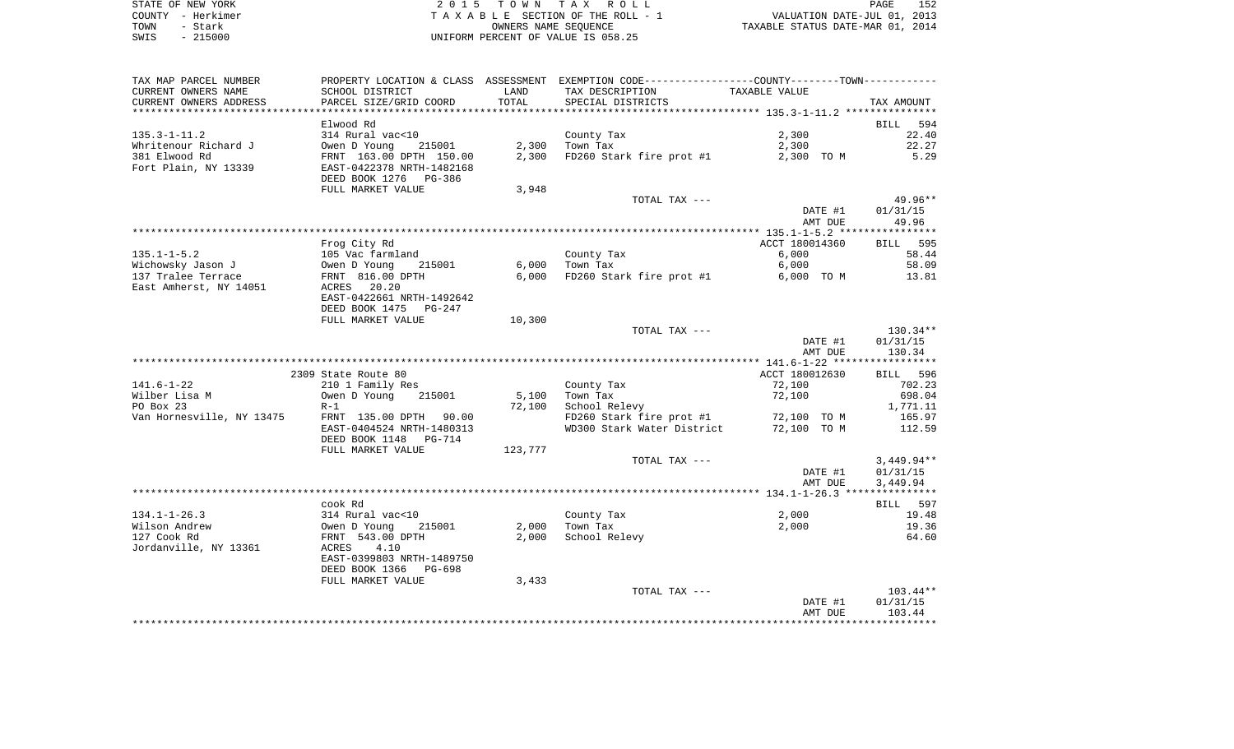| STATE OF NEW YORK | 2015 TOWN TAX ROLL                 | 152<br>PAGE                      |
|-------------------|------------------------------------|----------------------------------|
| COUNTY - Herkimer | TAXABLE SECTION OF THE ROLL - 1    | VALUATION DATE-JUL 01, 2013      |
| TOWN<br>- Stark   | OWNERS NAME SEOUENCE               | TAXABLE STATUS DATE-MAR 01, 2014 |
| $-215000$<br>SWIS | UNIFORM PERCENT OF VALUE IS 058.25 |                                  |

| TAX MAP PARCEL NUMBER<br>CURRENT OWNERS NAME | SCHOOL DISTRICT                                                            | LAND    | PROPERTY LOCATION & CLASS ASSESSMENT EXEMPTION CODE---------------COUNTY-------TOWN----------<br>TAX DESCRIPTION | TAXABLE VALUE  |                |
|----------------------------------------------|----------------------------------------------------------------------------|---------|------------------------------------------------------------------------------------------------------------------|----------------|----------------|
| CURRENT OWNERS ADDRESS                       | PARCEL SIZE/GRID COORD                                                     | TOTAL   | SPECIAL DISTRICTS                                                                                                |                | TAX AMOUNT     |
|                                              | Elwood Rd                                                                  |         |                                                                                                                  |                | BILL 594       |
| 135.3-1-11.2                                 | 314 Rural vac<10                                                           |         | County Tax                                                                                                       | 2,300          | 22.40          |
| Whritenour Richard J                         |                                                                            | 2,300   | Town Tax                                                                                                         | 2,300          | 22.27          |
| 381 Elwood Rd                                | Owen D Young 215001<br>FRNT 163.00 DPTH 150.00                             | 2,300   | FD260 Stark fire prot #1                                                                                         | 2,300 TO M     | 5.29           |
| Fort Plain, NY 13339                         | EAST-0422378 NRTH-1482168<br>DEED BOOK 1276 PG-386                         |         |                                                                                                                  |                |                |
|                                              | FULL MARKET VALUE                                                          | 3,948   |                                                                                                                  |                |                |
|                                              |                                                                            |         | TOTAL TAX ---                                                                                                    |                | 49.96**        |
|                                              |                                                                            |         |                                                                                                                  | DATE #1        | 01/31/15       |
|                                              |                                                                            |         |                                                                                                                  | AMT DUE        | 49.96          |
|                                              |                                                                            |         |                                                                                                                  |                |                |
|                                              | Frog City Rd                                                               |         |                                                                                                                  | ACCT 180014360 | BILL 595       |
| 135.1-1-5.2<br>Wichowsky Jason J             | 105 Vac farmland<br>Owen D Young 215001<br>FRNT 816.00 DPTH<br>ACRES 20.20 | 6,000   | County Tax<br>Town Tax                                                                                           | 6,000<br>6,000 | 58.44<br>58.09 |
| wichowswy Jason J<br>137 Tralee Terrace      |                                                                            | 6,000   | FD260 Stark fire prot #1 6,000 TO M                                                                              |                | 13.81          |
| East Amherst, NY 14051                       | ACRES 20.20                                                                |         |                                                                                                                  |                |                |
|                                              | EAST-0422661 NRTH-1492642                                                  |         |                                                                                                                  |                |                |
|                                              | DEED BOOK 1475 PG-247                                                      |         |                                                                                                                  |                |                |
|                                              | FULL MARKET VALUE                                                          | 10,300  |                                                                                                                  |                |                |
|                                              |                                                                            |         | TOTAL TAX ---                                                                                                    |                | 130.34**       |
|                                              |                                                                            |         |                                                                                                                  | DATE #1        | 01/31/15       |
|                                              |                                                                            |         |                                                                                                                  | AMT DUE        | 130.34         |
|                                              | 2309 State Route 80                                                        |         |                                                                                                                  | ACCT 180012630 | BILL 596       |
| 141.6-1-22                                   | 210 1 Family Res                                                           |         | County Tax                                                                                                       | 72,100         | 702.23         |
| Wilber Lisa M                                | 215001<br>Owen D Young                                                     | 5,100   | Town Tax                                                                                                         | 72,100         | 698.04         |
| PO Box 23                                    | $R-1$                                                                      | 72,100  | School Relevy                                                                                                    |                | 1,771.11       |
| Van Hornesville, NY 13475                    | FRNT 135.00 DPTH 90.00                                                     |         | FD260 Stark fire prot #1                                                                                         | 72,100 TO M    | 165.97         |
|                                              | EAST-0404524 NRTH-1480313<br>DEED BOOK 1148 PG-714                         |         | WD300 Stark Water District 72,100 TO M                                                                           |                | 112.59         |
|                                              | FULL MARKET VALUE                                                          | 123,777 |                                                                                                                  |                |                |
|                                              |                                                                            |         | TOTAL TAX ---                                                                                                    |                | 3,449.94**     |
|                                              |                                                                            |         |                                                                                                                  | DATE #1        | 01/31/15       |
|                                              |                                                                            |         |                                                                                                                  | AMT DUE        | 3,449.94       |
|                                              |                                                                            |         |                                                                                                                  |                |                |
|                                              | cook Rd                                                                    |         |                                                                                                                  |                | BILL 597       |
| $134.1 - 1 - 26.3$                           |                                                                            |         | County Tax                                                                                                       | 2,000          | 19.48          |
| Wilson Andrew<br>127 Cook Rd                 | 314 Rural vac<10<br>Owen D Young 21<br>FRNT 543.00 DPTH<br>215001          |         | $2,000$ Town Tax<br>2,000 School Relevy                                                                          | 2,000          | 19.36<br>64.60 |
| Jordanville, NY 13361                        | ACRES 4.10                                                                 |         |                                                                                                                  |                |                |
|                                              | EAST-0399803 NRTH-1489750                                                  |         |                                                                                                                  |                |                |
|                                              | DEED BOOK 1366 PG-698                                                      |         |                                                                                                                  |                |                |
|                                              | FULL MARKET VALUE                                                          | 3,433   |                                                                                                                  |                |                |
|                                              |                                                                            |         | TOTAL TAX ---                                                                                                    |                | $103.44**$     |
|                                              |                                                                            |         |                                                                                                                  | DATE #1        | 01/31/15       |
|                                              |                                                                            |         |                                                                                                                  | AMT DUE        | 103.44         |
|                                              |                                                                            |         |                                                                                                                  |                |                |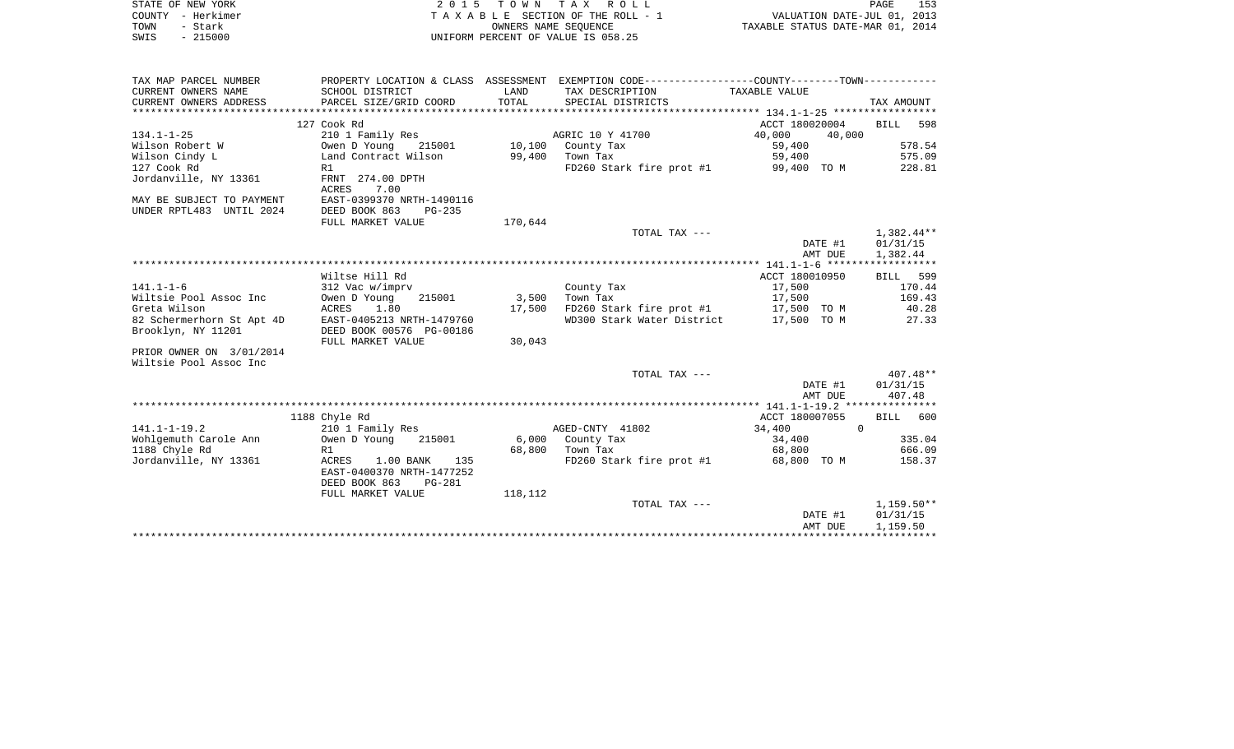| STATE OF NEW YORK                      |                                         |                      | 2015 TOWN TAX ROLL                                                                            |                                  | PAGE<br>153     |
|----------------------------------------|-----------------------------------------|----------------------|-----------------------------------------------------------------------------------------------|----------------------------------|-----------------|
| COUNTY - Herkimer                      |                                         |                      | TAXABLE SECTION OF THE ROLL - 1                                                               | VALUATION DATE-JUL 01, 2013      |                 |
| - Stark<br>TOWN                        |                                         | OWNERS NAME SEOUENCE |                                                                                               | TAXABLE STATUS DATE-MAR 01, 2014 |                 |
| $-215000$<br>SWIS                      |                                         |                      | UNIFORM PERCENT OF VALUE IS 058.25                                                            |                                  |                 |
|                                        |                                         |                      |                                                                                               |                                  |                 |
|                                        |                                         |                      |                                                                                               |                                  |                 |
| TAX MAP PARCEL NUMBER                  |                                         |                      | PROPERTY LOCATION & CLASS ASSESSMENT EXEMPTION CODE---------------COUNTY-------TOWN---------- |                                  |                 |
| CURRENT OWNERS NAME                    | SCHOOL DISTRICT                         | LAND                 | TAX DESCRIPTION                                                                               | TAXABLE VALUE                    |                 |
| CURRENT OWNERS ADDRESS                 | PARCEL SIZE/GRID COORD                  | TOTAL                | SPECIAL DISTRICTS                                                                             |                                  | TAX AMOUNT      |
|                                        |                                         |                      |                                                                                               |                                  |                 |
|                                        | 127 Cook Rd                             |                      |                                                                                               | ACCT 180020004                   | BILL 598        |
| $134.1 - 1 - 25$                       | 210 1 Family Res                        |                      | AGRIC 10 Y 41700                                                                              | 40,000<br>40,000                 |                 |
| Wilson Robert W                        | Owen D Young<br>215001                  |                      | 10,100 County Tax                                                                             | 59,400                           | 578.54          |
| Wilson Cindy L                         | Land Contract Wilson                    |                      | 99,400 Town Tax                                                                               | 59,400                           | 575.09          |
| 127 Cook Rd                            | R1                                      |                      | FD260 Stark fire prot #1                                                                      | 99,400 TO M                      | 228.81          |
| Jordanville, NY 13361                  | FRNT 274.00 DPTH                        |                      |                                                                                               |                                  |                 |
|                                        | ACRES<br>7.00                           |                      |                                                                                               |                                  |                 |
| MAY BE SUBJECT TO PAYMENT              | EAST-0399370 NRTH-1490116               |                      |                                                                                               |                                  |                 |
| UNDER RPTL483 UNTIL 2024               | DEED BOOK 863<br>$PG-235$               |                      |                                                                                               |                                  |                 |
|                                        | FULL MARKET VALUE                       | 170,644              |                                                                                               |                                  |                 |
|                                        |                                         |                      | TOTAL TAX ---                                                                                 |                                  | 1,382.44**      |
|                                        |                                         |                      |                                                                                               | DATE #1                          | 01/31/15        |
|                                        |                                         |                      |                                                                                               | AMT DUE                          | 1,382.44        |
|                                        |                                         |                      |                                                                                               |                                  |                 |
| $141.1 - 1 - 6$                        | Wiltse Hill Rd                          |                      |                                                                                               | ACCT 180010950                   | BILL 599        |
|                                        | 312 Vac w/imprv                         |                      | County Tax                                                                                    | 17,500                           | 170.44          |
| Wiltsie Pool Assoc Inc<br>Greta Wilson | Owen D Young<br>215001<br>ACRES<br>1.80 | 3,500                | Town Tax                                                                                      | 17,500                           | 169.43<br>40.28 |
| 82 Schermerhorn St Apt 4D              | EAST-0405213 NRTH-1479760               |                      | 17,500 FD260 Stark fire prot #1 17,500 TO M<br>WD300 Stark Water District 17,500 TO M         |                                  | 27.33           |
| Brooklyn, NY 11201                     | DEED BOOK 00576 PG-00186                |                      |                                                                                               |                                  |                 |
|                                        | FULL MARKET VALUE                       | 30,043               |                                                                                               |                                  |                 |
| PRIOR OWNER ON 3/01/2014               |                                         |                      |                                                                                               |                                  |                 |
| Wiltsie Pool Assoc Inc                 |                                         |                      |                                                                                               |                                  |                 |
|                                        |                                         |                      | TOTAL TAX ---                                                                                 |                                  | $407.48**$      |
|                                        |                                         |                      |                                                                                               | DATE #1                          | 01/31/15        |
|                                        |                                         |                      |                                                                                               | AMT DUE                          | 407.48          |
|                                        |                                         |                      |                                                                                               |                                  |                 |
|                                        | 1188 Chyle Rd                           |                      |                                                                                               | ACCT 180007055                   | BILL 600        |
| $141.1 - 1 - 19.2$                     | 210 1 Family Res                        |                      | AGED-CNTY 41802                                                                               | 34,400                           | $\Omega$        |
| Wohlgemuth Carole Ann                  | Owen D Young<br>215001                  |                      | 6,000 County Tax                                                                              | 34,400                           | 335.04          |
| 1188 Chyle Rd                          | R1                                      |                      | 68,800 Town Tax                                                                               | 68,800                           | 666.09          |
| Jordanville, NY 13361                  | ACRES<br>$1.00$ BANK<br>135             |                      | FD260 Stark fire prot #1                                                                      | 68,800 TO M                      | 158.37          |
|                                        | EAST-0400370 NRTH-1477252               |                      |                                                                                               |                                  |                 |
|                                        | DEED BOOK 863<br>PG-281                 |                      |                                                                                               |                                  |                 |
|                                        | FULL MARKET VALUE                       | 118,112              |                                                                                               |                                  |                 |
|                                        |                                         |                      | TOTAL TAX ---                                                                                 |                                  | $1,159.50**$    |
|                                        |                                         |                      |                                                                                               | DATE #1                          | 01/31/15        |
|                                        |                                         |                      |                                                                                               | AMT DUE                          | 1,159.50        |
|                                        |                                         |                      |                                                                                               |                                  |                 |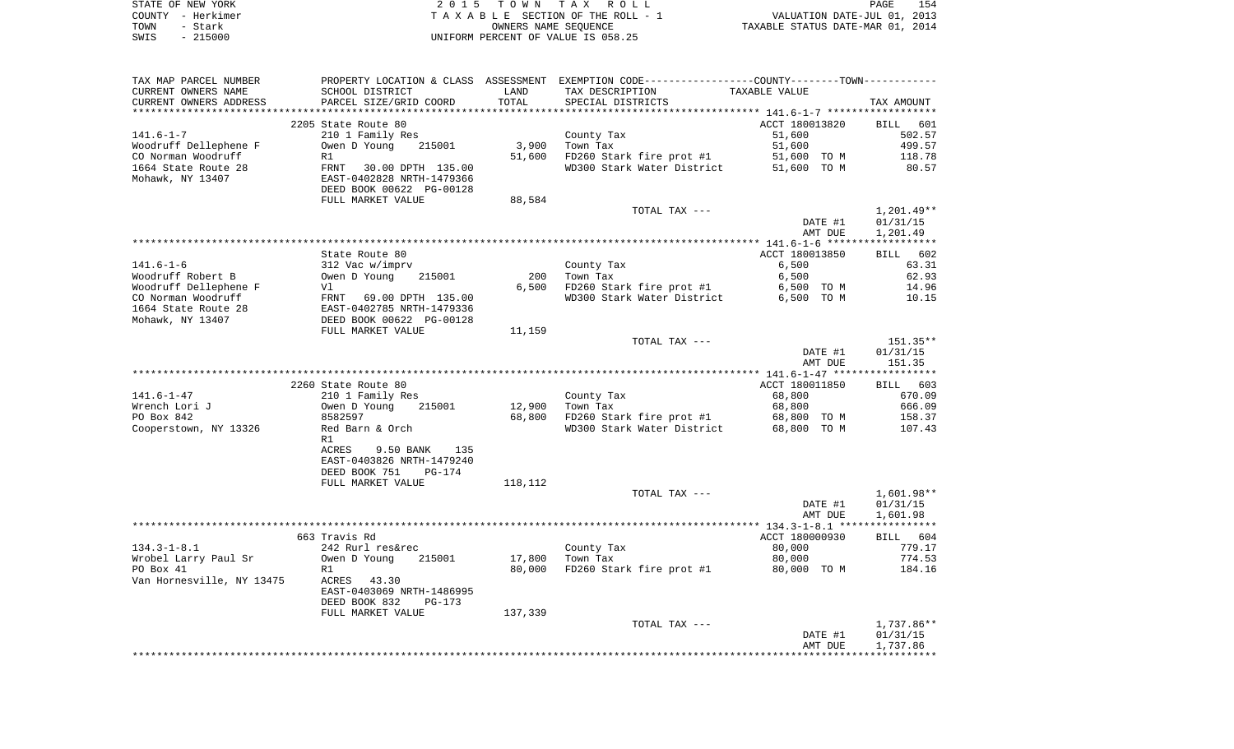| STATE OF NEW YORK | 2015 TOWN TAX ROLL                 | 154<br>PAGE                      |
|-------------------|------------------------------------|----------------------------------|
| COUNTY - Herkimer | TAXABLE SECTION OF THE ROLL - 1    | VALUATION DATE-JUL 01, 2013      |
| TOWN<br>- Stark   | OWNERS NAME SEOUENCE               | TAXABLE STATUS DATE-MAR 01, 2014 |
| $-215000$<br>SWIS | UNIFORM PERCENT OF VALUE IS 058.25 |                                  |

154<br>2013

| TAX MAP PARCEL NUMBER<br>CURRENT OWNERS NAME | SCHOOL DISTRICT                                     | LAND             | PROPERTY LOCATION & CLASS ASSESSMENT EXEMPTION CODE----------------COUNTY--------TOWN----------<br>TAX DESCRIPTION | TAXABLE VALUE      |                  |
|----------------------------------------------|-----------------------------------------------------|------------------|--------------------------------------------------------------------------------------------------------------------|--------------------|------------------|
| CURRENT OWNERS ADDRESS                       | PARCEL SIZE/GRID COORD                              | TOTAL            | SPECIAL DISTRICTS                                                                                                  |                    | TAX AMOUNT       |
|                                              | 2205 State Route 80                                 |                  |                                                                                                                    | ACCT 180013820     | BILL 601         |
| 141.6-1-7                                    | 210 1 Family Res                                    |                  | County Tax                                                                                                         | 51,600             | 502.57           |
| Woodruff Dellephene F                        | Owen D Young<br>215001                              | 3,900            | Town Tax                                                                                                           | 51,600             | 499.57           |
| CO Norman Woodruff                           | R1                                                  | 51,600           | FD260 Stark fire prot #1                                                                                           | 51,600 TO M        | 118.78           |
| 1664 State Route 28                          |                                                     |                  | WD300 Stark Water District 51,600 TO M                                                                             |                    | 80.57            |
| Mohawk, NY 13407                             | FRNT 30.00 DPTH 135.00<br>EAST-0402828 NRTH-1479366 |                  |                                                                                                                    |                    |                  |
|                                              | DEED BOOK 00622 PG-00128                            |                  |                                                                                                                    |                    |                  |
|                                              | FULL MARKET VALUE                                   | 88,584           | TOTAL TAX ---                                                                                                      |                    | 1,201.49**       |
|                                              |                                                     |                  |                                                                                                                    | DATE #1            | 01/31/15         |
|                                              |                                                     |                  |                                                                                                                    | AMT DUE            | 1,201.49         |
|                                              |                                                     |                  |                                                                                                                    |                    |                  |
|                                              | State Route 80                                      |                  |                                                                                                                    | ACCT 180013850     | BILL 602         |
| 141.6-1-6                                    | 312 Vac w/imprv                                     |                  | County Tax                                                                                                         | 6,500              | 63.31            |
| Woodruff Robert B                            | Owen D Young<br>215001                              | 200              | Town Tax                                                                                                           | 6,500              | 62.93            |
| Woodruff Dellephene F                        | Vl                                                  | 6,500            | FD260 Stark fire prot #1                                                                                           | 6,500 TO M         | 14.96            |
| CO Norman Woodruff                           | FRNT 69.00 DPTH 135.00<br>EAST-0402785 NRTH-1479336 |                  | WD300 Stark Water District                                                                                         | 6,500 TO M         | 10.15            |
| 1664 State Route 28                          |                                                     |                  |                                                                                                                    |                    |                  |
| Mohawk, NY 13407                             | DEED BOOK 00622 PG-00128<br>FULL MARKET VALUE       | 11,159           |                                                                                                                    |                    |                  |
|                                              |                                                     |                  | TOTAL TAX ---                                                                                                      |                    | 151.35**         |
|                                              |                                                     |                  |                                                                                                                    | DATE #1            | 01/31/15         |
|                                              |                                                     |                  |                                                                                                                    | AMT DUE            | 151.35           |
|                                              |                                                     |                  |                                                                                                                    |                    |                  |
|                                              | 2260 State Route 80                                 |                  |                                                                                                                    | ACCT 180011850     | BILL 603         |
| 141.6-1-47                                   | 210 1 Family Res                                    |                  | County Tax                                                                                                         | 68,800             | 670.09           |
| Wrench Lori J<br>PO Box 842                  | Owen D Young<br>215001<br>8582597                   | 12,900<br>68,800 | Town Tax<br>FD260 Stark fire prot #1 68,800 TO M                                                                   | 68,800             | 666.09<br>158.37 |
| Cooperstown, NY 13326                        | Red Barn & Orch                                     |                  | WD300 Stark Water District                                                                                         | 68,800 TO M        | 107.43           |
|                                              | R1                                                  |                  |                                                                                                                    |                    |                  |
|                                              | 9.50 BANK<br>ACRES<br>135                           |                  |                                                                                                                    |                    |                  |
|                                              | EAST-0403826 NRTH-1479240                           |                  |                                                                                                                    |                    |                  |
|                                              | DEED BOOK 751<br>PG-174                             |                  |                                                                                                                    |                    |                  |
|                                              | FULL MARKET VALUE                                   | 118,112          |                                                                                                                    |                    |                  |
|                                              |                                                     |                  | TOTAL TAX ---                                                                                                      |                    | 1,601.98**       |
|                                              |                                                     |                  |                                                                                                                    | DATE #1<br>AMT DUE | 01/31/15         |
|                                              |                                                     |                  |                                                                                                                    |                    | 1,601.98         |
|                                              | 663 Travis Rd                                       |                  |                                                                                                                    | ACCT 180000930     | BILL 604         |
| 134.3-1-8.1                                  | 242 Rurl res&rec                                    |                  | County Tax                                                                                                         | 80,000             | 779.17           |
| Wrobel Larry Paul Sr                         | 215001<br>Owen D Young                              | 17,800           | Town Tax                                                                                                           | 80,000             | 774.53           |
| PO Box 41                                    | R1                                                  | 80,000           | FD260 Stark fire prot #1                                                                                           | 80,000 TO M        | 184.16           |
| Van Hornesville, NY 13475                    | ACRES 43.30                                         |                  |                                                                                                                    |                    |                  |
|                                              | EAST-0403069 NRTH-1486995                           |                  |                                                                                                                    |                    |                  |
|                                              | DEED BOOK 832<br>PG-173                             |                  |                                                                                                                    |                    |                  |
|                                              | FULL MARKET VALUE                                   | 137,339          | TOTAL TAX ---                                                                                                      |                    | 1,737.86**       |
|                                              |                                                     |                  |                                                                                                                    | DATE #1            | 01/31/15         |
|                                              |                                                     |                  |                                                                                                                    | AMT DUE            | 1,737.86         |
|                                              |                                                     |                  |                                                                                                                    |                    |                  |
|                                              |                                                     |                  |                                                                                                                    |                    |                  |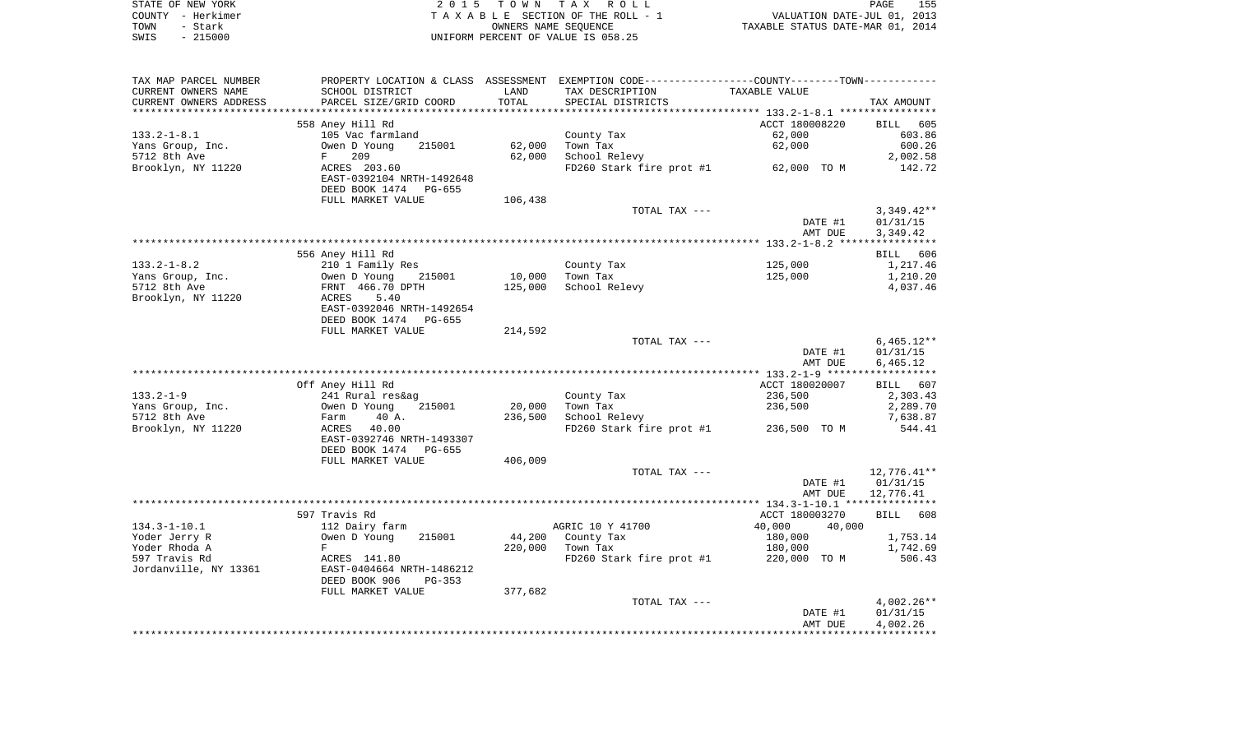|      | STATE OF NEW YORK | 2015 TOWN TAX ROLL                 | 155<br>PAGE                      |
|------|-------------------|------------------------------------|----------------------------------|
|      | COUNTY - Herkimer | TAXABLE SECTION OF THE ROLL - 1    | VALUATION DATE-JUL 01, 2013      |
| TOWN | – Stark           | OWNERS NAME SEOUENCE               | TAXABLE STATUS DATE-MAR 01, 2014 |
| SWIS | $-215000$         | INIFORM PERCENT OF VALUE IS 058.25 |                                  |

| TAX MAP PARCEL NUMBER            | PROPERTY LOCATION & CLASS ASSESSMENT EXEMPTION CODE---------------COUNTY--------TOWN---------- |         |                           |                                       |                      |
|----------------------------------|------------------------------------------------------------------------------------------------|---------|---------------------------|---------------------------------------|----------------------|
| CURRENT OWNERS NAME              | SCHOOL DISTRICT                                                                                | LAND    | TAX DESCRIPTION           | TAXABLE VALUE                         |                      |
| CURRENT OWNERS ADDRESS           | PARCEL SIZE/GRID COORD                                                                         | TOTAL   | SPECIAL DISTRICTS         |                                       | TAX AMOUNT           |
|                                  |                                                                                                |         |                           |                                       |                      |
|                                  | 558 Aney Hill Rd                                                                               |         |                           | ACCT 180008220                        | BILL 605             |
| $133.2 - 1 - 8.1$                | 105 Vac farmland                                                                               |         | County Tax                | 62,000                                | 603.86               |
| Yans Group, Inc.                 | 215001<br>Owen D Young                                                                         | 62,000  | Town Tax                  | 62,000                                | 600.26               |
| 5712 8th Ave                     | 209<br>F                                                                                       | 62,000  | School Relevy             |                                       | 2,002.58             |
| Brooklyn, NY 11220               | ACRES 203.60                                                                                   |         |                           | FD260 Stark fire prot #1 62,000 TO M  | 142.72               |
|                                  | EAST-0392104 NRTH-1492648                                                                      |         |                           |                                       |                      |
|                                  | DEED BOOK 1474 PG-655                                                                          |         |                           |                                       |                      |
|                                  | FULL MARKET VALUE                                                                              | 106,438 |                           |                                       |                      |
|                                  |                                                                                                |         | TOTAL TAX ---             |                                       | $3,349.42**$         |
|                                  |                                                                                                |         |                           | DATE #1                               | 01/31/15             |
|                                  |                                                                                                |         |                           | AMT DUE                               | 3,349.42             |
|                                  |                                                                                                |         |                           |                                       |                      |
|                                  | 556 Aney Hill Rd                                                                               |         |                           |                                       | BILL 606             |
| $133.2 - 1 - 8.2$                | 210 1 Family Res                                                                               |         | County Tax                | 125,000                               | 1,217.46             |
| Yans Group, Inc.                 | Owen D Young<br>215001                                                                         | 10,000  | Town Tax                  | 125,000                               | 1,210.20             |
| 5712 8th Ave                     | FRNT 466.70 DPTH                                                                               | 125,000 | School Relevy             |                                       | 4,037.46             |
| Brooklyn, NY 11220               | ACRES<br>5.40                                                                                  |         |                           |                                       |                      |
|                                  | EAST-0392046 NRTH-1492654                                                                      |         |                           |                                       |                      |
|                                  | DEED BOOK 1474<br>PG-655                                                                       |         |                           |                                       |                      |
|                                  | FULL MARKET VALUE                                                                              | 214,592 |                           |                                       |                      |
|                                  |                                                                                                |         | TOTAL TAX ---             |                                       | $6,465.12**$         |
|                                  |                                                                                                |         |                           | DATE #1                               | 01/31/15             |
|                                  |                                                                                                |         |                           | AMT DUE                               | 6,465.12             |
|                                  |                                                                                                |         |                           |                                       |                      |
|                                  | Off Aney Hill Rd                                                                               |         |                           | ACCT 180020007                        | BILL 607             |
| $133.2 - 1 - 9$                  | 241 Rural res&ag                                                                               | 20,000  | County Tax                | 236,500                               | 2,303.43<br>2,289.70 |
| Yans Group, Inc.<br>5712 8th Ave | Owen D Young<br>215001<br>40 A.                                                                | 236,500 | Town Tax<br>School Relevy | 236,500                               | 7,638.87             |
| Brooklyn, NY 11220               | Farm<br>40.00                                                                                  |         |                           | FD260 Stark fire prot #1 236,500 TO M | 544.41               |
|                                  | ACRES<br>EAST-0392746 NRTH-1493307                                                             |         |                           |                                       |                      |
|                                  | DEED BOOK 1474<br>PG-655                                                                       |         |                           |                                       |                      |
|                                  | FULL MARKET VALUE                                                                              | 406,009 |                           |                                       |                      |
|                                  |                                                                                                |         | TOTAL TAX ---             |                                       | 12,776.41**          |
|                                  |                                                                                                |         |                           | DATE #1                               | 01/31/15             |
|                                  |                                                                                                |         |                           | AMT DUE                               | 12,776.41            |
|                                  |                                                                                                |         |                           |                                       |                      |
|                                  | 597 Travis Rd                                                                                  |         |                           | ACCT 180003270                        | BILL 608             |
| $134.3 - 1 - 10.1$               | 112 Dairy farm                                                                                 |         | AGRIC 10 Y 41700          | 40,000<br>40,000                      |                      |
| Yoder Jerry R                    | Owen D Young<br>215001                                                                         | 44,200  | County Tax                | 180,000                               | 1,753.14             |
| Yoder Rhoda A                    | F                                                                                              | 220,000 | Town Tax                  | 180,000                               | 1,742.69             |
| 597 Travis Rd                    | ACRES 141.80                                                                                   |         | FD260 Stark fire prot #1  | 220,000 TO M                          | 506.43               |
| Jordanville, NY 13361            | EAST-0404664 NRTH-1486212                                                                      |         |                           |                                       |                      |
|                                  | DEED BOOK 906<br>$PG-353$                                                                      |         |                           |                                       |                      |
|                                  | FULL MARKET VALUE                                                                              | 377,682 |                           |                                       |                      |
|                                  |                                                                                                |         | TOTAL TAX ---             |                                       | $4,002.26**$         |
|                                  |                                                                                                |         |                           | DATE #1                               | 01/31/15             |
|                                  |                                                                                                |         |                           | AMT DUE                               | 4,002.26             |
|                                  |                                                                                                |         |                           |                                       |                      |
|                                  |                                                                                                |         |                           |                                       |                      |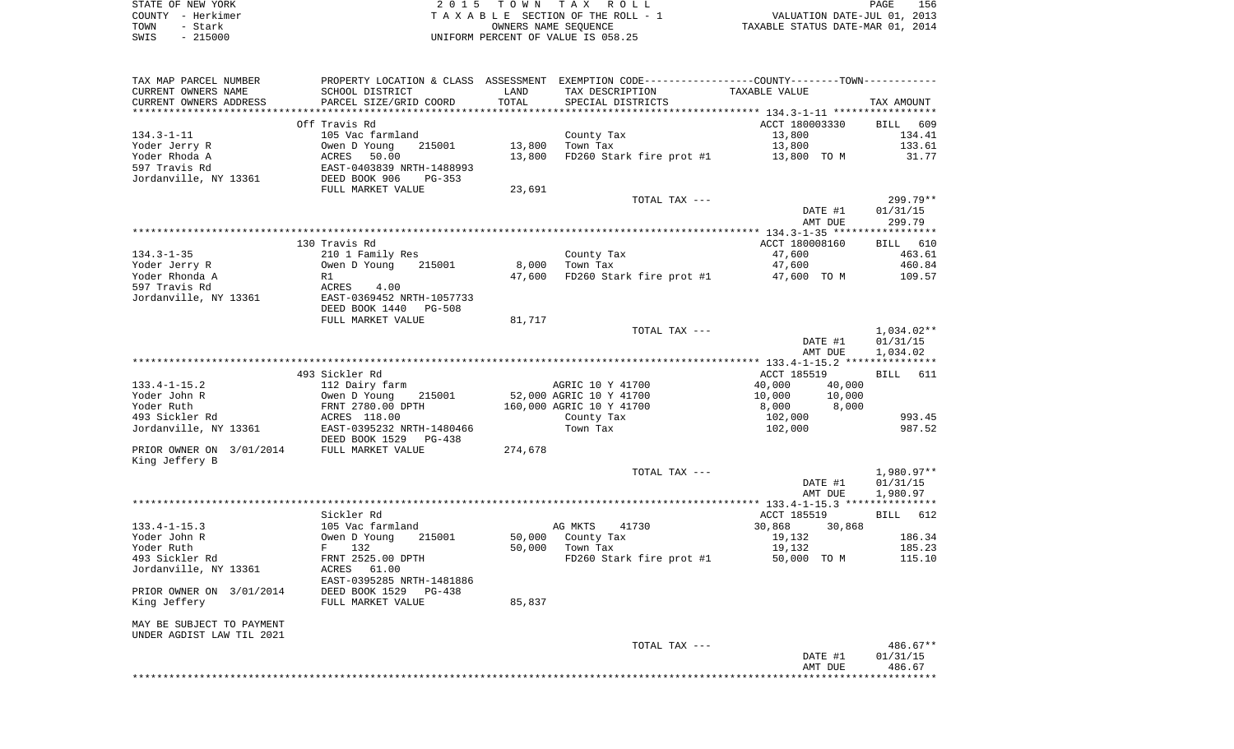|      | STATE OF NEW YORK | 2015 TOWN TAX ROLL                 | <b>PAGE</b>                      | 156 |
|------|-------------------|------------------------------------|----------------------------------|-----|
|      | COUNTY - Herkimer | TAXABLE SECTION OF THE ROLL - 1    | VALUATION DATE-JUL 01, 2013      |     |
| TOWN | – Stark           | OWNERS NAME SEOUENCE               | TAXABLE STATUS DATE-MAR 01, 2014 |     |
| SWIS | $-215000$         | UNIFORM PERCENT OF VALUE IS 058.25 |                                  |     |

| TAX MAP PARCEL NUMBER                      | PROPERTY LOCATION & CLASS ASSESSMENT EXEMPTION CODE---------------COUNTY-------TOWN----------     |         |                                      |                    |                      |
|--------------------------------------------|---------------------------------------------------------------------------------------------------|---------|--------------------------------------|--------------------|----------------------|
| CURRENT OWNERS NAME                        | SCHOOL DISTRICT                                                                                   | LAND    | TAX DESCRIPTION                      | TAXABLE VALUE      |                      |
| CURRENT OWNERS ADDRESS                     | PARCEL SIZE/GRID COORD                                                                            | TOTAL   | SPECIAL DISTRICTS                    |                    | TAX AMOUNT           |
|                                            |                                                                                                   |         |                                      |                    |                      |
|                                            | Off Travis Rd                                                                                     |         |                                      | ACCT 180003330     | BILL 609             |
| 134.3-1-11                                 | 105 Vac farmland                                                                                  |         | County Tax                           | 13,800             | 134.41               |
| Yoder Jerry R                              | 215001<br>Owen D Young 215001<br>ACRES 50.00<br>EAST-0403839 NRTH-1488993<br>DEED BOOK 906 PG-353 | 13,800  | Town Tax                             | 13,800             | 133.61               |
| Yoder Rhoda A                              |                                                                                                   | 13,800  | FD260 Stark fire prot #1 13,800 TO M |                    | 31.77                |
| 597 Travis Rd<br>Jordanville, NY 13361     |                                                                                                   |         |                                      |                    |                      |
|                                            | FULL MARKET VALUE                                                                                 | 23,691  |                                      |                    |                      |
|                                            |                                                                                                   |         | TOTAL TAX ---                        |                    | 299.79**             |
|                                            |                                                                                                   |         |                                      | DATE #1            | 01/31/15             |
|                                            |                                                                                                   |         |                                      | AMT DUE            | 299.79               |
|                                            |                                                                                                   |         |                                      |                    |                      |
|                                            | 130 Travis Rd                                                                                     |         |                                      | ACCT 180008160     | BILL 610             |
| 134.3-1-35                                 | 210 1 Family Res                                                                                  |         | County Tax                           | 47,600             | 463.61               |
| Yoder Jerry R                              | 215001<br>Owen D Young                                                                            | 8,000   | Town Tax                             | 47,600             | 460.84               |
| Yoder Rhonda A                             | R1                                                                                                | 47,600  | FD260 Stark fire prot #1             | 47,600 TO M        | 109.57               |
| 597 Travis Rd                              | ACRES 4.00<br>EAST-0369452 NRTH-1057733                                                           |         |                                      |                    |                      |
| Jordanville, NY 13361                      |                                                                                                   |         |                                      |                    |                      |
|                                            | DEED BOOK 1440 PG-508                                                                             |         |                                      |                    |                      |
|                                            | FULL MARKET VALUE                                                                                 | 81,717  |                                      |                    |                      |
|                                            |                                                                                                   |         | TOTAL TAX ---                        |                    | 1,034.02**           |
|                                            |                                                                                                   |         |                                      | DATE #1<br>AMT DUE | 01/31/15<br>1,034.02 |
|                                            |                                                                                                   |         |                                      |                    |                      |
|                                            | 493 Sickler Rd                                                                                    |         |                                      | ACCT 185519        | BILL 611             |
| 133.4-1-15.2                               | 112 Dairy farm                                                                                    |         | AGRIC 10 Y 41700                     | 40,000<br>40,000   |                      |
| Yoder John R                               |                                                                                                   |         | 52,000 AGRIC 10 Y 41700              | 10,000             |                      |
| Yoder Ruth                                 |                                                                                                   |         | 160,000 AGRIC 10 Y 41700             |                    |                      |
| 493 Sickler Rd                             | Owen D Young 215001<br>FRNT 2780.00 DPTH<br>ACRES 118.00                                          |         | County Tax                           | 102,000            | 993.45               |
| Jordanville, NY 13361                      | EAST-0395232 NRTH-1480466                                                                         |         | Town Tax                             | 102,000            | 987.52               |
|                                            | DEED BOOK 1529 PG-438                                                                             |         |                                      |                    |                      |
| PRIOR OWNER ON 3/01/2014 FULL MARKET VALUE |                                                                                                   | 274,678 |                                      |                    |                      |
| King Jeffery B                             |                                                                                                   |         |                                      |                    |                      |
|                                            |                                                                                                   |         | TOTAL TAX ---                        |                    | 1,980.97**           |
|                                            |                                                                                                   |         |                                      | DATE #1            | 01/31/15             |
|                                            |                                                                                                   |         |                                      | AMT DUE            | 1,980.97             |
|                                            | Sickler Rd                                                                                        |         |                                      | ACCT 185519        | BILL 612             |
| $133.4 - 1 - 15.3$                         | 105 Vac farmland                                                                                  |         | AG MKTS 41730                        | 30,868 30,868      |                      |
| Yoder John R                               | Owen D Young<br>215001                                                                            | 50,000  | County Tax                           | 19,132             | 186.34               |
| Yoder Ruth                                 |                                                                                                   |         | 50,000 Town Tax                      | 19,132             | 185.23               |
| 493 Sickler Rd                             | F 132<br>FRNT 2525.00 DPTH                                                                        |         | FD260 Stark fire prot #1             | 50,000 TO M        | 115.10               |
| Jordanville, NY 13361                      | ACRES 61.00                                                                                       |         |                                      |                    |                      |
|                                            | EAST-0395285 NRTH-1481886                                                                         |         |                                      |                    |                      |
| PRIOR OWNER ON 3/01/2014                   | DEED BOOK 1529 PG-438                                                                             |         |                                      |                    |                      |
| King Jeffery                               | FULL MARKET VALUE                                                                                 | 85,837  |                                      |                    |                      |
|                                            |                                                                                                   |         |                                      |                    |                      |
| MAY BE SUBJECT TO PAYMENT                  |                                                                                                   |         |                                      |                    |                      |
| UNDER AGDIST LAW TIL 2021                  |                                                                                                   |         |                                      |                    |                      |
|                                            |                                                                                                   |         | TOTAL TAX ---                        |                    | 486.67**             |
|                                            |                                                                                                   |         |                                      | DATE #1<br>AMT DUE | 01/31/15<br>486.67   |
|                                            |                                                                                                   |         |                                      |                    |                      |
|                                            |                                                                                                   |         |                                      |                    |                      |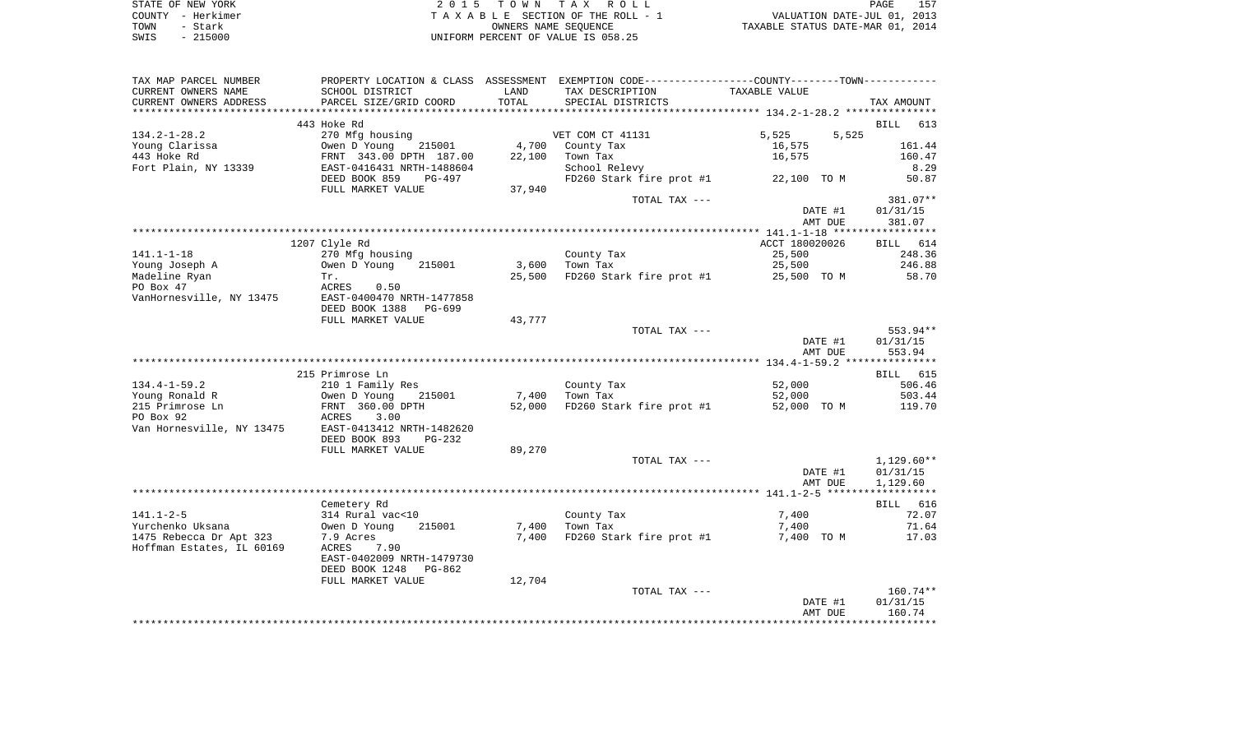| STATE OF NEW YORK |           | 2015 TOWN TAX ROLL                    |                      |                                  | PAGE                        | 157 |
|-------------------|-----------|---------------------------------------|----------------------|----------------------------------|-----------------------------|-----|
| COUNTY - Herkimer |           | T A X A B L E SECTION OF THE ROLL - 1 |                      |                                  | VALUATION DATE-JUL 01, 2013 |     |
| TOWN              | – Stark   |                                       | OWNERS NAME SEOUENCE | TAXABLE STATUS DATE-MAR 01, 2014 |                             |     |
| SWIS              | $-215000$ | UNIFORM PERCENT OF VALUE IS 058.25    |                      |                                  |                             |     |

| TAX MAP PARCEL NUMBER     | PROPERTY LOCATION & CLASS ASSESSMENT |        | EXEMPTION CODE-----------------COUNTY--------TOWN----------- |                |                    |
|---------------------------|--------------------------------------|--------|--------------------------------------------------------------|----------------|--------------------|
| CURRENT OWNERS NAME       | SCHOOL DISTRICT                      | LAND   | TAX DESCRIPTION                                              | TAXABLE VALUE  |                    |
| CURRENT OWNERS ADDRESS    | PARCEL SIZE/GRID COORD               | TOTAL  | SPECIAL DISTRICTS                                            |                | TAX AMOUNT         |
|                           |                                      |        |                                                              |                |                    |
|                           | 443 Hoke Rd                          |        |                                                              |                | <b>BILL</b><br>613 |
| $134.2 - 1 - 28.2$        | 270 Mfg housing                      |        | VET COM CT 41131                                             | 5,525<br>5,525 |                    |
| Young Clarissa            | Owen D Young<br>215001               | 4,700  | County Tax                                                   | 16,575         | 161.44             |
| 443 Hoke Rd               | FRNT 343.00 DPTH 187.00              | 22,100 | Town Tax                                                     | 16,575         | 160.47             |
| Fort Plain, NY 13339      | EAST-0416431 NRTH-1488604            |        | School Relevy                                                |                | 8.29               |
|                           | DEED BOOK 859<br>PG-497              |        | FD260 Stark fire prot #1                                     | 22,100 TO M    | 50.87              |
|                           | FULL MARKET VALUE                    | 37,940 |                                                              |                |                    |
|                           |                                      |        | TOTAL TAX ---                                                |                | 381.07**           |
|                           |                                      |        |                                                              | DATE #1        | 01/31/15           |
|                           |                                      |        |                                                              | AMT DUE        | 381.07             |
|                           |                                      |        |                                                              |                |                    |
|                           | 1207 Clyle Rd                        |        |                                                              | ACCT 180020026 | <b>BILL</b><br>614 |
| $141.1 - 1 - 18$          | 270 Mfg housing                      |        | County Tax                                                   | 25,500         | 248.36             |
| Young Joseph A            | Owen D Young<br>215001               | 3,600  | Town Tax                                                     | 25,500         | 246.88             |
| Madeline Ryan             | Tr.                                  | 25,500 | FD260 Stark fire prot #1                                     | 25,500 TO M    | 58.70              |
| PO Box 47                 | ACRES<br>0.50                        |        |                                                              |                |                    |
| VanHornesville, NY 13475  | EAST-0400470 NRTH-1477858            |        |                                                              |                |                    |
|                           | DEED BOOK 1388<br>PG-699             |        |                                                              |                |                    |
|                           | FULL MARKET VALUE                    | 43,777 |                                                              |                |                    |
|                           |                                      |        | TOTAL TAX ---                                                |                | 553.94**           |
|                           |                                      |        |                                                              | DATE #1        | 01/31/15           |
|                           |                                      |        |                                                              | AMT DUE        | 553.94             |
|                           |                                      |        |                                                              |                |                    |
|                           | 215 Primrose Ln                      |        |                                                              |                | BILL 615           |
| $134.4 - 1 - 59.2$        | 210 1 Family Res                     |        | County Tax                                                   | 52,000         | 506.46             |
| Young Ronald R            | Owen D Young<br>215001               | 7,400  | Town Tax                                                     | 52,000         | 503.44             |
| 215 Primrose Ln           | FRNT 360.00 DPTH                     | 52,000 | FD260 Stark fire prot #1                                     | 52,000 TO M    | 119.70             |
| PO Box 92                 | 3.00<br>ACRES                        |        |                                                              |                |                    |
| Van Hornesville, NY 13475 | EAST-0413412 NRTH-1482620            |        |                                                              |                |                    |
|                           | DEED BOOK 893<br>$PG-232$            |        |                                                              |                |                    |
|                           | FULL MARKET VALUE                    | 89,270 |                                                              |                |                    |
|                           |                                      |        | TOTAL TAX ---                                                |                | $1,129.60**$       |
|                           |                                      |        |                                                              | DATE #1        | 01/31/15           |
|                           |                                      |        |                                                              | AMT DUE        | 1,129.60           |
|                           |                                      |        |                                                              |                |                    |
|                           | Cemetery Rd                          |        |                                                              |                | BILL 616           |
| $141.1 - 2 - 5$           | 314 Rural vac<10                     |        | County Tax                                                   | 7,400          | 72.07              |
| Yurchenko Uksana          | 215001<br>Owen D Young               | 7,400  | Town Tax                                                     | 7,400          | 71.64              |
| 1475 Rebecca Dr Apt 323   | 7.9 Acres                            | 7,400  | FD260 Stark fire prot #1                                     | 7,400 TO M     | 17.03              |
| Hoffman Estates, IL 60169 | 7.90<br>ACRES                        |        |                                                              |                |                    |
|                           | EAST-0402009 NRTH-1479730            |        |                                                              |                |                    |
|                           | DEED BOOK 1248<br>PG-862             |        |                                                              |                |                    |
|                           | FULL MARKET VALUE                    | 12,704 |                                                              |                |                    |
|                           |                                      |        | TOTAL TAX ---                                                |                | $160.74**$         |
|                           |                                      |        |                                                              | DATE #1        | 01/31/15           |
|                           |                                      |        |                                                              | AMT DUE        | 160.74             |
|                           |                                      |        |                                                              |                |                    |
|                           |                                      |        |                                                              |                |                    |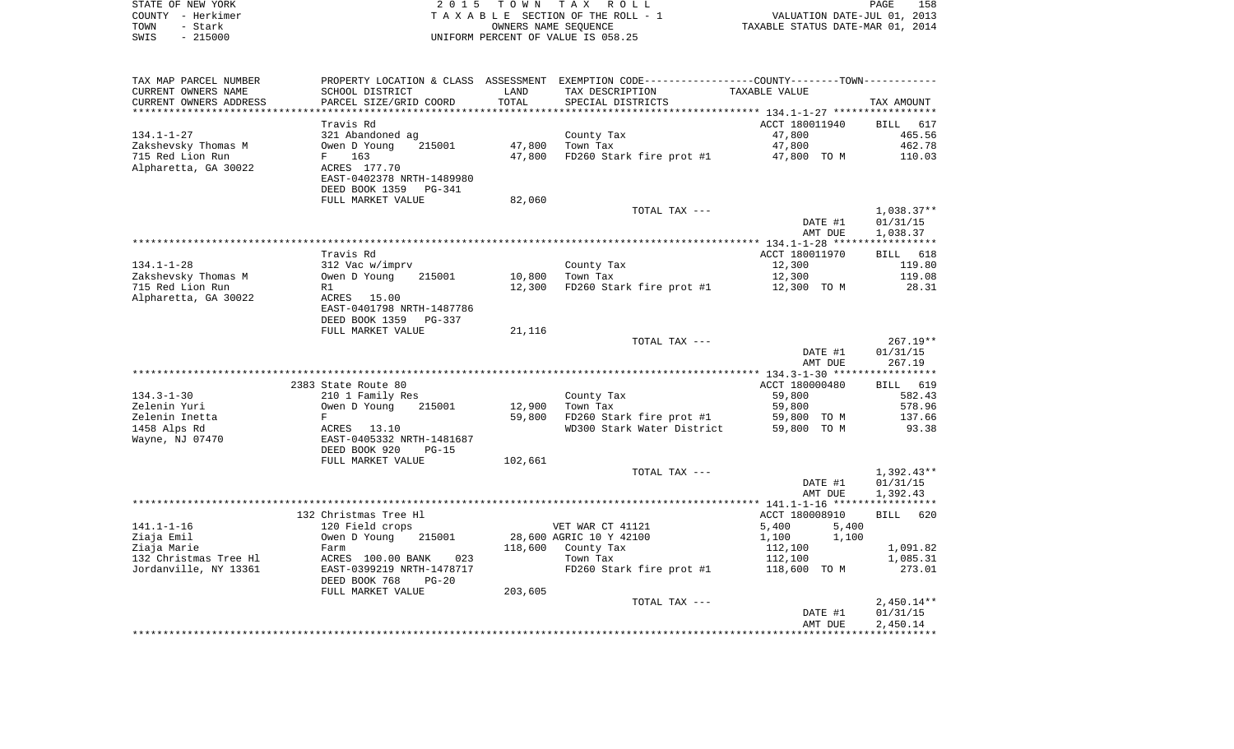|      | STATE OF NEW YORK | 2015 TOWN TAX ROLL                 | 158<br>PAGE                      |
|------|-------------------|------------------------------------|----------------------------------|
|      | COUNTY - Herkimer | TAXABLE SECTION OF THE ROLL - 1    | VALUATION DATE-JUL 01, 2013      |
| TOWN | - Stark           | OWNERS NAME SEOUENCE               | TAXABLE STATUS DATE-MAR 01, 2014 |
| SWIS | $-215000$         | UNIFORM PERCENT OF VALUE IS 058.25 |                                  |

| TAX MAP PARCEL NUMBER      |                           |         | PROPERTY LOCATION & CLASS ASSESSMENT EXEMPTION CODE----------------COUNTY-------TOWN---------- |                          |                          |
|----------------------------|---------------------------|---------|------------------------------------------------------------------------------------------------|--------------------------|--------------------------|
| CURRENT OWNERS NAME        | SCHOOL DISTRICT           | LAND    | TAX DESCRIPTION                                                                                | TAXABLE VALUE            |                          |
| CURRENT OWNERS ADDRESS     | PARCEL SIZE/GRID COORD    | TOTAL   | SPECIAL DISTRICTS                                                                              |                          | TAX AMOUNT               |
| ************************** |                           |         |                                                                                                |                          |                          |
|                            | Travis Rd                 |         |                                                                                                | ACCT 180011940           | BILL 617                 |
| $134.1 - 1 - 27$           | 321 Abandoned ag          |         | County Tax                                                                                     | 47,800                   | 465.56                   |
| Zakshevsky Thomas M        | Owen D Young<br>215001    | 47,800  | Town Tax                                                                                       | 47,800                   | 462.78                   |
| 715 Red Lion Run           | 163<br>$F$ and $F$        | 47,800  | FD260 Stark fire prot #1                                                                       | 47,800 TO M              | 110.03                   |
| Alpharetta, GA 30022       | ACRES 177.70              |         |                                                                                                |                          |                          |
|                            | EAST-0402378 NRTH-1489980 |         |                                                                                                |                          |                          |
|                            | DEED BOOK 1359<br>PG-341  |         |                                                                                                |                          |                          |
|                            | FULL MARKET VALUE         | 82,060  |                                                                                                |                          |                          |
|                            |                           |         | TOTAL TAX ---                                                                                  |                          | $1,038.37**$             |
|                            |                           |         |                                                                                                | DATE #1                  | 01/31/15                 |
|                            |                           |         |                                                                                                | AMT DUE                  | 1,038.37                 |
|                            | Travis Rd                 |         |                                                                                                |                          |                          |
| $134.1 - 1 - 28$           | 312 Vac w/imprv           |         | County Tax                                                                                     | ACCT 180011970<br>12,300 | BILL 618<br>119.80       |
| Zakshevsky Thomas M        | Owen D Young<br>215001    | 10,800  | Town Tax                                                                                       | 12,300                   | 119.08                   |
| 715 Red Lion Run           | R1                        | 12,300  | FD260 Stark fire prot #1                                                                       | 12,300 TO M              | 28.31                    |
| Alpharetta, GA 30022       | ACRES 15.00               |         |                                                                                                |                          |                          |
|                            | EAST-0401798 NRTH-1487786 |         |                                                                                                |                          |                          |
|                            | DEED BOOK 1359<br>PG-337  |         |                                                                                                |                          |                          |
|                            | FULL MARKET VALUE         | 21,116  |                                                                                                |                          |                          |
|                            |                           |         | TOTAL TAX ---                                                                                  |                          | $267.19**$               |
|                            |                           |         |                                                                                                | DATE #1                  | 01/31/15                 |
|                            |                           |         |                                                                                                | AMT DUE                  | 267.19                   |
|                            |                           |         |                                                                                                |                          |                          |
|                            | 2383 State Route 80       |         |                                                                                                | ACCT 180000480           | BILL 619                 |
| $134.3 - 1 - 30$           | 210 1 Family Res          |         | County Tax                                                                                     | 59,800                   | 582.43                   |
| Zelenin Yuri               | Owen D Young<br>215001    | 12,900  | Town Tax                                                                                       | 59,800                   | 578.96                   |
| Zelenin Inetta             | F                         | 59,800  | FD260 Stark fire prot #1                                                                       | 59,800 TO M              | 137.66                   |
| 1458 Alps Rd               | ACRES 13.10               |         | WD300 Stark Water District                                                                     | 59,800 TO M              | 93.38                    |
| Wayne, NJ 07470            | EAST-0405332 NRTH-1481687 |         |                                                                                                |                          |                          |
|                            | DEED BOOK 920<br>$PG-15$  |         |                                                                                                |                          |                          |
|                            | FULL MARKET VALUE         | 102,661 |                                                                                                |                          |                          |
|                            |                           |         | TOTAL TAX ---                                                                                  | DATE #1                  | $1,392.43**$<br>01/31/15 |
|                            |                           |         |                                                                                                | AMT DUE                  | 1,392.43                 |
|                            |                           |         |                                                                                                |                          |                          |
|                            | 132 Christmas Tree Hl     |         |                                                                                                | ACCT 180008910           | BILL 620                 |
| $141.1 - 1 - 16$           | 120 Field crops           |         | VET WAR CT 41121                                                                               | 5,400<br>5,400           |                          |
| Ziaja Emil                 | Owen D Young<br>215001    |         | 28,600 AGRIC 10 Y 42100                                                                        | 1,100<br>1,100           |                          |
| Ziaja Marie                | Farm                      | 118,600 | County Tax                                                                                     | 112,100                  | 1,091.82                 |
| 132 Christmas Tree Hl      | ACRES 100.00 BANK<br>023  |         | Town Tax                                                                                       | 112,100                  | 1,085.31                 |
| Jordanville, NY 13361      | EAST-0399219 NRTH-1478717 |         | FD260 Stark fire prot #1                                                                       | 118,600 TO M             | 273.01                   |
|                            | DEED BOOK 768<br>$PG-20$  |         |                                                                                                |                          |                          |
|                            | FULL MARKET VALUE         | 203,605 |                                                                                                |                          |                          |
|                            |                           |         | TOTAL TAX ---                                                                                  |                          | $2,450.14**$             |
|                            |                           |         |                                                                                                | DATE #1                  | 01/31/15                 |
|                            |                           |         |                                                                                                | AMT DUE                  | 2,450.14                 |
|                            |                           |         |                                                                                                |                          |                          |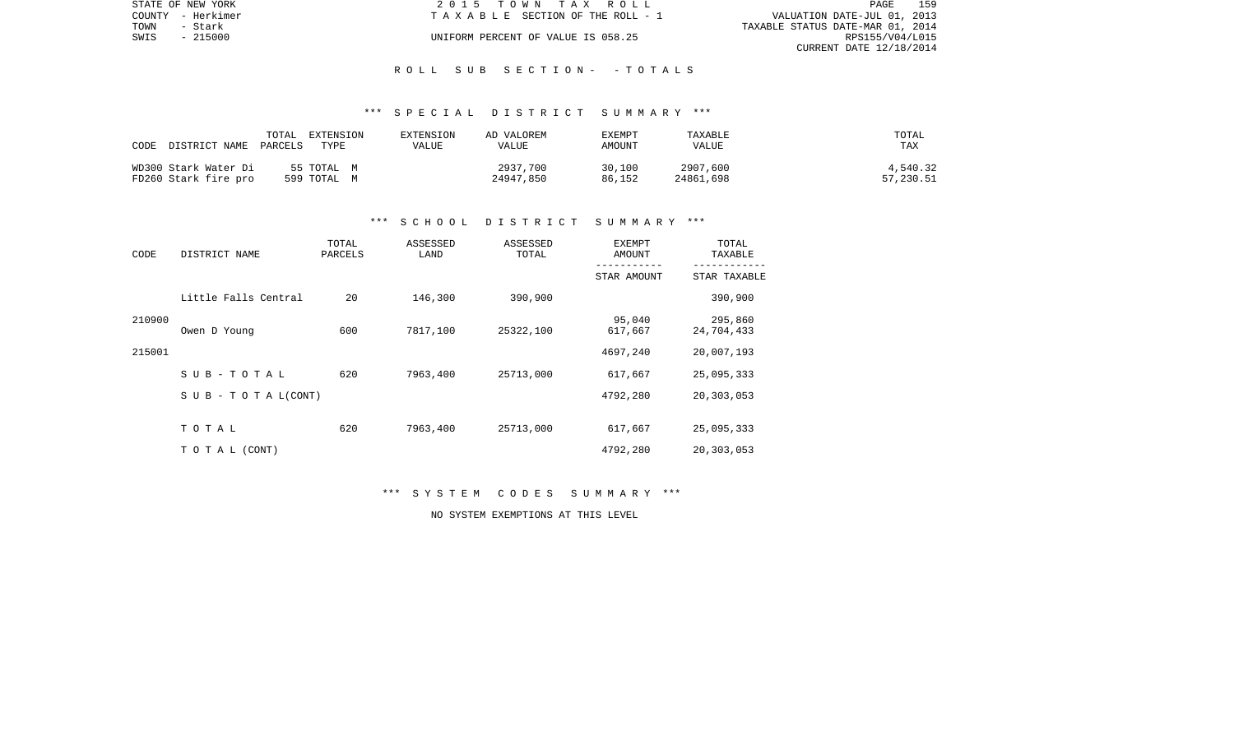| STATE OF NEW YORK |          | 2015 TOWN TAX ROLL                    | PAGE                             | 159 |
|-------------------|----------|---------------------------------------|----------------------------------|-----|
| COUNTY - Herkimer |          | T A X A B L E SECTION OF THE ROLL - 1 | VALUATION DATE-JUL 01, 2013      |     |
| TOWN              | – Stark  |                                       | TAXABLE STATUS DATE-MAR 01, 2014 |     |
| SWIS              | - 215000 | UNIFORM PERCENT OF VALUE IS 058.25    | RPS155/V04/L015                  |     |
|                   |          |                                       | CURRENT DATE 12/18/2014          |     |

#### R O L L S U B S E C T I O N - - T O T A L S

#### \*\*\* S P E C I A L D I S T R I C T S U M M A R Y \*\*\*

| DISTRICT NAME<br>CODE | TOTAL<br>EXTENSION<br>TYPE<br>PARCELS | EXTENSION<br>VALUE | AD VALOREM<br>VALUE | EXEMPT<br>AMOUNT | TAXABLE<br>VALUE | TOTAL<br>TAX |
|-----------------------|---------------------------------------|--------------------|---------------------|------------------|------------------|--------------|
| WD300 Stark Water Di  | 55 TOTAL M                            |                    | 2937,700            | 30,100           | 2907,600         | 4,540.32     |
| FD260 Stark fire pro  | 599 TOTAL M                           |                    | 24947,850           | 86,152           | 24861,698        | 57,230.51    |

#### \*\*\* S C H O O L D I S T R I C T S U M M A R Y \*\*\*

| CODE   | DISTRICT NAME                    | TOTAL<br>PARCELS | ASSESSED<br>LAND | ASSESSED<br>TOTAL | EXEMPT<br>AMOUNT  | TOTAL<br>TAXABLE      |
|--------|----------------------------------|------------------|------------------|-------------------|-------------------|-----------------------|
|        |                                  |                  |                  |                   | STAR AMOUNT       | STAR TAXABLE          |
|        | Little Falls Central             | 20               | 146,300          | 390,900           |                   | 390,900               |
| 210900 | Owen D Young                     | 600              | 7817,100         | 25322,100         | 95,040<br>617,667 | 295,860<br>24,704,433 |
| 215001 |                                  |                  |                  |                   | 4697,240          | 20,007,193            |
|        | SUB-TOTAL                        | 620              | 7963,400         | 25713,000         | 617,667           | 25,095,333            |
|        | $S \cup B - T \cup T A L (CONT)$ |                  |                  |                   | 4792,280          | 20,303,053            |
|        | TOTAL                            | 620              | 7963,400         | 25713,000         | 617,667           | 25,095,333            |
|        | TO TAL (CONT)                    |                  |                  |                   | 4792,280          | 20,303,053            |

\*\*\* S Y S T E M C O D E S S U M M A R Y \*\*\*

NO SYSTEM EXEMPTIONS AT THIS LEVEL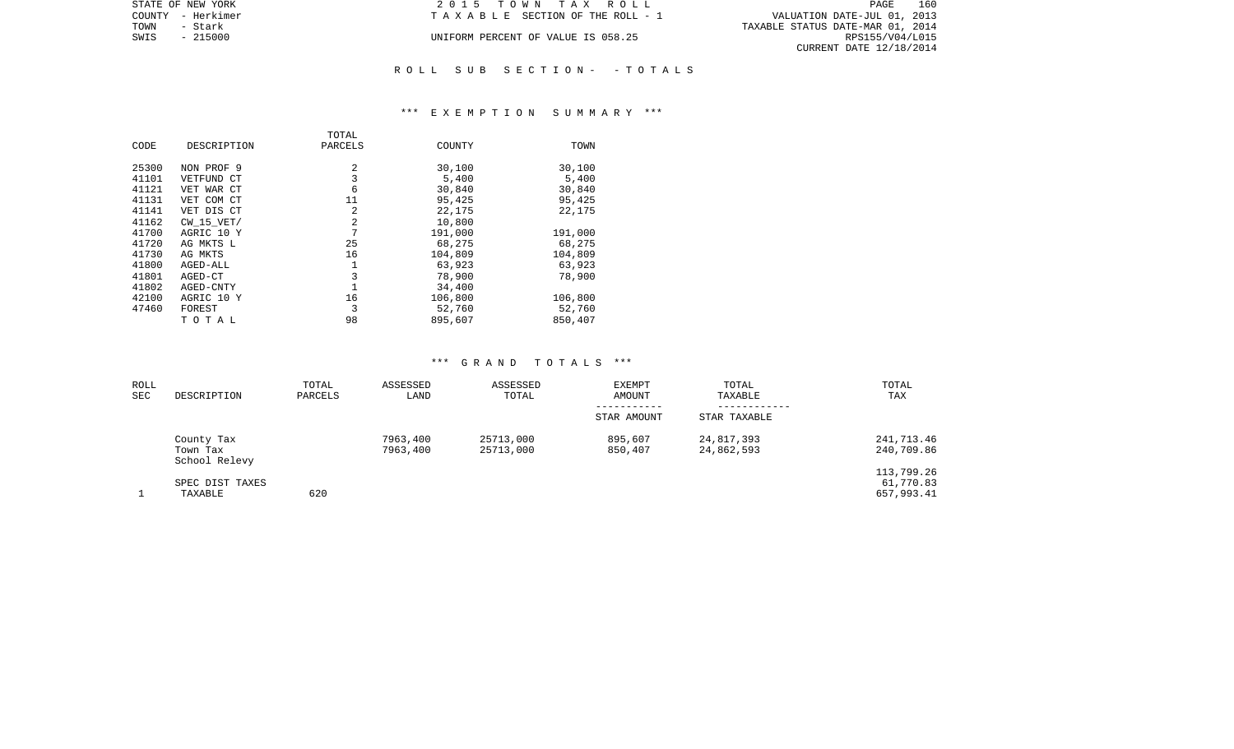| STATE OF NEW YORK | 2015 TOWN TAX ROLL                 | 160<br>PAGE                      |
|-------------------|------------------------------------|----------------------------------|
| COUNTY - Herkimer | TAXABLE SECTION OF THE ROLL - 1    | VALUATION DATE-JUL 01, 2013      |
| TOWN<br>- Stark   |                                    | TAXABLE STATUS DATE-MAR 01, 2014 |
| SWIS<br>- 215000  | UNIFORM PERCENT OF VALUE IS 058.25 | RPS155/V04/L015                  |
|                   |                                    | CURRENT DATE 12/18/2014          |
|                   |                                    |                                  |

# R O L L S U B S E C T I O N - - T O T A L S

#### \*\*\* E X E M P T I O N S U M M A R Y \*\*\*

|       |             | TOTAL   |         |         |
|-------|-------------|---------|---------|---------|
| CODE  | DESCRIPTION | PARCELS | COUNTY  | TOWN    |
| 25300 | NON PROF 9  | 2       | 30,100  | 30,100  |
| 41101 | VETFUND CT  | 3       | 5,400   | 5,400   |
| 41121 | VET WAR CT  | 6       | 30,840  | 30,840  |
| 41131 | VET COM CT  | 11      | 95,425  | 95,425  |
| 41141 | VET DIS CT  | 2       | 22,175  | 22,175  |
| 41162 | CW 15 VET/  | 2       | 10,800  |         |
| 41700 | AGRIC 10 Y  | 7       | 191,000 | 191,000 |
| 41720 | AG MKTS L   | 25      | 68,275  | 68,275  |
| 41730 | AG MKTS     | 16      | 104,809 | 104,809 |
| 41800 | AGED-ALL    | 1       | 63,923  | 63,923  |
| 41801 | AGED-CT     | 3       | 78,900  | 78,900  |
| 41802 | AGED-CNTY   |         | 34,400  |         |
| 42100 | AGRIC 10 Y  | 16      | 106,800 | 106,800 |
| 47460 | FOREST      | 3       | 52,760  | 52,760  |
|       | TOTAL       | 98      | 895,607 | 850,407 |

| ROLL<br>SEC | DESCRIPTION                             | TOTAL<br>PARCELS | ASSESSED<br>LAND     | ASSESSED<br>TOTAL      | <b>EXEMPT</b><br>AMOUNT<br>----------- | TOTAL<br>TAXABLE<br>---------- | TOTAL<br>TAX                          |
|-------------|-----------------------------------------|------------------|----------------------|------------------------|----------------------------------------|--------------------------------|---------------------------------------|
|             |                                         |                  |                      |                        | STAR AMOUNT                            | STAR TAXABLE                   |                                       |
|             | County Tax<br>Town Tax<br>School Relevy |                  | 7963,400<br>7963,400 | 25713,000<br>25713,000 | 895,607<br>850,407                     | 24,817,393<br>24,862,593       | 241,713.46<br>240,709.86              |
|             | SPEC DIST TAXES<br>TAXABLE              | 620              |                      |                        |                                        |                                | 113,799.26<br>61,770.83<br>657,993.41 |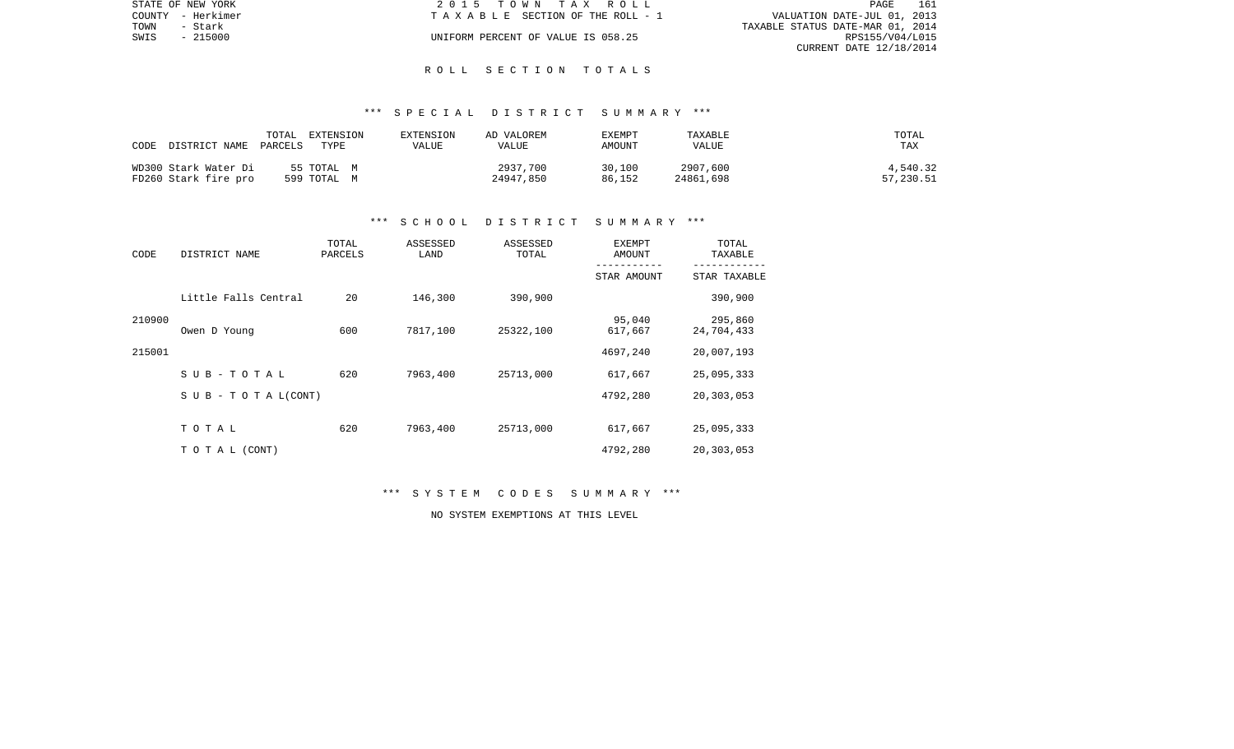|      | STATE OF NEW YORK | 2015 TOWN TAX ROLL                 | PAGE                             | 161 |
|------|-------------------|------------------------------------|----------------------------------|-----|
|      | COUNTY - Herkimer | TAXABLE SECTION OF THE ROLL - 1    | VALUATION DATE-JUL 01, 2013      |     |
| TOWN | - Stark           |                                    | TAXABLE STATUS DATE-MAR 01, 2014 |     |
| SWIS | $-215000$         | UNIFORM PERCENT OF VALUE IS 058.25 | RPS155/V04/L015                  |     |
|      |                   |                                    | CURRENT DATE $12/18/2014$        |     |

## \*\*\* S P E C I A L D I S T R I C T S U M M A R Y \*\*\*

| CODE<br>DISTRICT NAME | TOTAL<br>EXTENSION<br>PARCELS<br>TYPE | EXTENSION<br>VALUE | AD VALOREM<br>VALUE | EXEMPT<br>AMOUNT | TAXABLE<br>VALUE | TOTAL<br>TAX |
|-----------------------|---------------------------------------|--------------------|---------------------|------------------|------------------|--------------|
| WD300 Stark Water Di  | 55 TOTAL M                            |                    | 2937,700            | 30,100           | 2907,600         | 4,540.32     |
| FD260 Stark fire pro  | 599 TOTAL M                           |                    | 24947,850           | 86,152           | 24861,698        | 57,230.51    |

#### \*\*\* S C H O O L D I S T R I C T S U M M A R Y \*\*\*

| CODE   | DISTRICT NAME                    | TOTAL<br>PARCELS | ASSESSED<br>LAND | ASSESSED<br>TOTAL | <b>EXEMPT</b><br>AMOUNT | TOTAL<br>TAXABLE      |
|--------|----------------------------------|------------------|------------------|-------------------|-------------------------|-----------------------|
|        |                                  |                  |                  |                   | STAR AMOUNT             | STAR TAXABLE          |
|        | Little Falls Central             | 20               | 146,300          | 390,900           |                         | 390,900               |
| 210900 | Owen D Young                     | 600              | 7817,100         | 25322,100         | 95,040<br>617,667       | 295,860<br>24,704,433 |
| 215001 |                                  |                  |                  |                   | 4697,240                | 20,007,193            |
|        | SUB-TOTAL                        | 620              | 7963,400         | 25713,000         | 617,667                 | 25,095,333            |
|        | $S \cup B - T \cup T A L (CONT)$ |                  |                  |                   | 4792,280                | 20,303,053            |
|        | TOTAL                            | 620              | 7963,400         | 25713,000         | 617,667                 | 25,095,333            |
|        | TO TAL (CONT)                    |                  |                  |                   | 4792,280                | 20,303,053            |

\*\*\* S Y S T E M C O D E S S U M M A R Y \*\*\*

NO SYSTEM EXEMPTIONS AT THIS LEVEL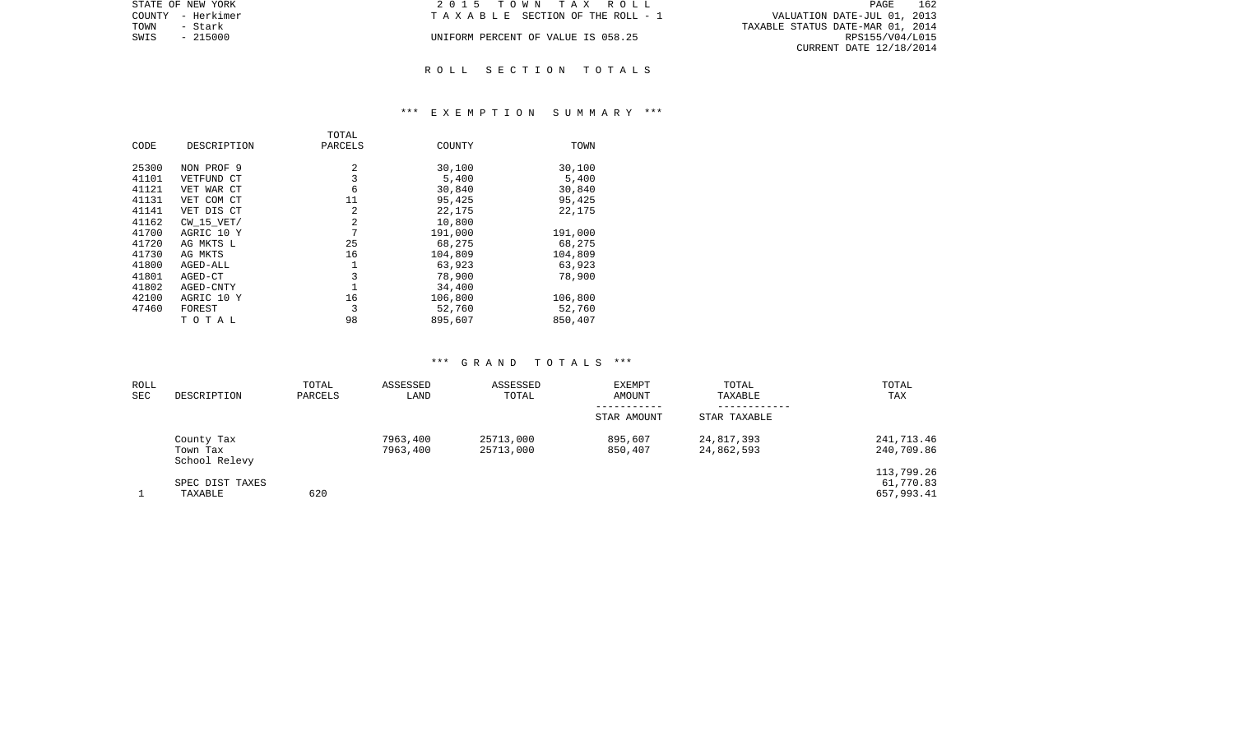| STATE OF NEW YORK | 2015 TOWN TAX ROLL                 | 162<br>PAGE                      |
|-------------------|------------------------------------|----------------------------------|
| COUNTY - Herkimer | TAXABLE SECTION OF THE ROLL - 1    | VALUATION DATE-JUL 01, 2013      |
| TOWN<br>- Stark   |                                    | TAXABLE STATUS DATE-MAR 01, 2014 |
| $-215000$<br>SWIS | UNIFORM PERCENT OF VALUE IS 058.25 | RPS155/V04/L015                  |
|                   |                                    | CURRENT DATE 12/18/2014          |
|                   |                                    |                                  |

## \*\*\* E X E M P T I O N S U M M A R Y \*\*\*

|       |                | TOTAL   |         |         |
|-------|----------------|---------|---------|---------|
| CODE  | DESCRIPTION    | PARCELS | COUNTY  | TOWN    |
|       |                |         |         |         |
| 25300 | NON PROF 9     | 2       | 30,100  | 30,100  |
| 41101 | VETFUND CT     | 3       | 5,400   | 5,400   |
| 41121 | VET WAR CT     | 6       | 30,840  | 30,840  |
| 41131 | VET COM CT     | 11      | 95,425  | 95,425  |
| 41141 | VET DIS CT     | 2       | 22,175  | 22,175  |
| 41162 | $CW$ 15 $VET/$ | 2       | 10,800  |         |
| 41700 | AGRIC 10 Y     | 7       | 191,000 | 191,000 |
| 41720 | AG MKTS L      | 25      | 68,275  | 68,275  |
| 41730 | AG MKTS        | 16      | 104,809 | 104,809 |
| 41800 | AGED-ALL       | 1       | 63,923  | 63,923  |
| 41801 | AGED-CT        | 3       | 78,900  | 78,900  |
| 41802 | AGED-CNTY      |         | 34,400  |         |
| 42100 | AGRIC 10 Y     | 16      | 106,800 | 106,800 |
| 47460 | FOREST         | 3       | 52,760  | 52,760  |
|       | TOTAL          | 98      | 895,607 | 850,407 |

| ROLL<br>SEC | DESCRIPTION                             | TOTAL<br>PARCELS | ASSESSED<br>LAND     | ASSESSED<br>TOTAL      | EXEMPT<br>AMOUNT           | TOTAL<br>TAXABLE           | TOTAL<br>TAX                          |
|-------------|-----------------------------------------|------------------|----------------------|------------------------|----------------------------|----------------------------|---------------------------------------|
|             |                                         |                  |                      |                        | -----------<br>STAR AMOUNT | ----------<br>STAR TAXABLE |                                       |
|             | County Tax<br>Town Tax<br>School Relevy |                  | 7963,400<br>7963,400 | 25713,000<br>25713,000 | 895,607<br>850,407         | 24,817,393<br>24,862,593   | 241,713.46<br>240,709.86              |
|             | SPEC DIST TAXES<br>TAXABLE              | 620              |                      |                        |                            |                            | 113,799.26<br>61,770.83<br>657,993.41 |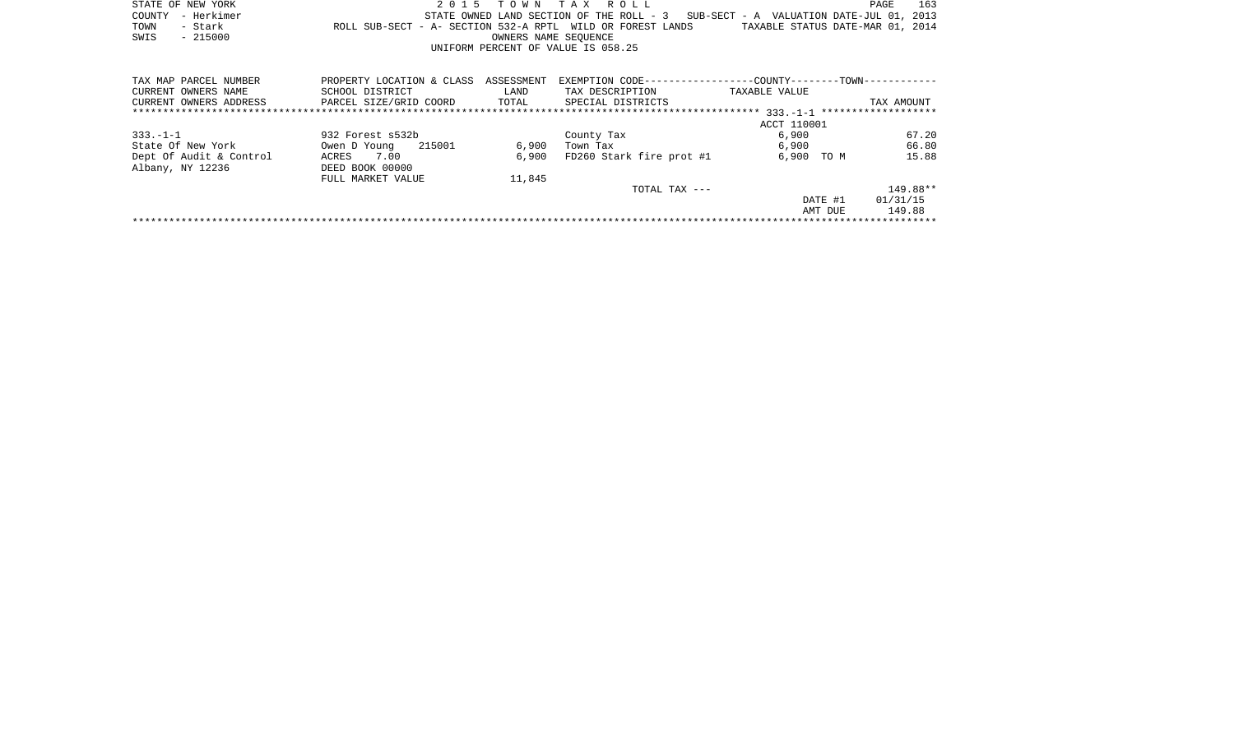|              | STATE OF NEW YORK |                                                            |  | 2015 TOWN TAX ROLL                 |  |  |                                                                                   |                                  | PAGE | 163 |
|--------------|-------------------|------------------------------------------------------------|--|------------------------------------|--|--|-----------------------------------------------------------------------------------|----------------------------------|------|-----|
|              | COUNTY - Herkimer |                                                            |  |                                    |  |  | STATE OWNED LAND SECTION OF THE ROLL - 3 SUB-SECT - A VALUATION DATE-JUL 01, 2013 |                                  |      |     |
| TOWN - Stark |                   | ROLL SUB-SECT - A- SECTION 532-A RPTL WILD OR FOREST LANDS |  |                                    |  |  |                                                                                   | TAXABLE STATUS DATE-MAR 01, 2014 |      |     |
| SWIS         | $-215000$         |                                                            |  | OWNERS NAME SEOUENCE               |  |  |                                                                                   |                                  |      |     |
|              |                   |                                                            |  | UNIFORM PERCENT OF VALUE IS 058.25 |  |  |                                                                                   |                                  |      |     |
|              |                   |                                                            |  |                                    |  |  |                                                                                   |                                  |      |     |

| TAX MAP PARCEL NUMBER   | PROPERTY LOCATION & CLASS | ASSESSMENT | EXEMPTION CODE--         | --COUNTY-------TOWN-----------     |            |
|-------------------------|---------------------------|------------|--------------------------|------------------------------------|------------|
| CURRENT OWNERS NAME     | SCHOOL DISTRICT           | LAND       | TAX DESCRIPTION          | TAXABLE VALUE                      |            |
| CURRENT OWNERS ADDRESS  | PARCEL SIZE/GRID COORD    | TOTAL      | SPECIAL DISTRICTS        |                                    | TAX AMOUNT |
|                         |                           |            |                          | $333 - 1 - 1$ ******************** |            |
|                         |                           |            |                          | ACCT 110001                        |            |
| $333. -1 - 1$           | 932 Forest s532b          |            | County Tax               | 6,900                              | 67.20      |
| State Of New York       | 215001<br>Owen D Young    | 6,900      | Town Tax                 | 6,900                              | 66.80      |
| Dept Of Audit & Control | 7.00<br>ACRES             | 6,900      | FD260 Stark fire prot #1 | 6,900<br>TO M                      | 15.88      |
| Albany, NY 12236        | DEED BOOK 00000           |            |                          |                                    |            |
|                         | FULL MARKET VALUE         | 11,845     |                          |                                    |            |
|                         |                           |            | TOTAL TAX ---            |                                    | 149.88**   |
|                         |                           |            |                          | DATE #1                            | 01/31/15   |
|                         |                           |            |                          | AMT DUE                            | 149.88     |
|                         |                           |            |                          |                                    |            |
|                         |                           |            |                          |                                    |            |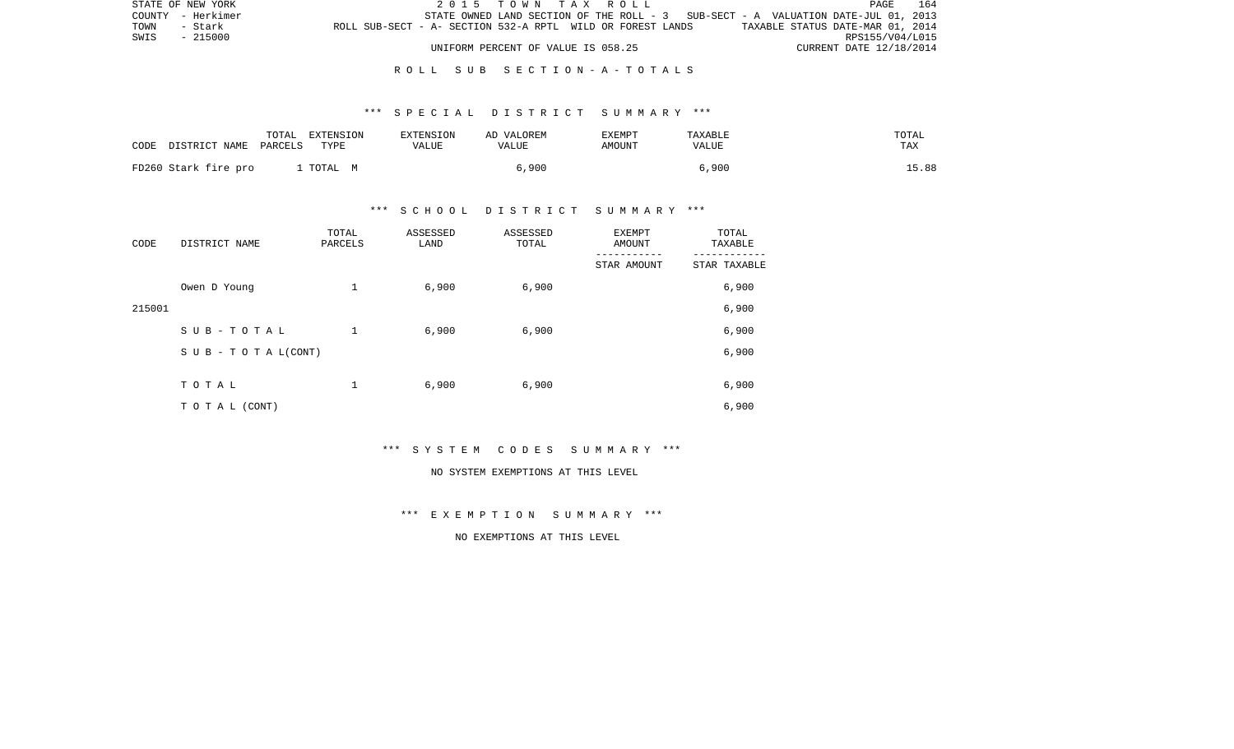| STATE OF NEW YORK                                                             |                                    | 2015 TOWN TAX ROLL |  |                                                                                   | PAGE                    | 164 |
|-------------------------------------------------------------------------------|------------------------------------|--------------------|--|-----------------------------------------------------------------------------------|-------------------------|-----|
| COUNTY - Herkimer                                                             |                                    |                    |  | STATE OWNED LAND SECTION OF THE ROLL - 3 SUB-SECT - A VALUATION DATE-JUL 01, 2013 |                         |     |
| ROLL SUB-SECT - A- SECTION 532-A RPTL WILD OR FOREST LANDS<br>TOWN<br>- Stark |                                    |                    |  | TAXABLE STATUS DATE-MAR 01, 2014                                                  |                         |     |
| SWIS<br>$-215000$                                                             |                                    |                    |  |                                                                                   | RPS155/V04/L015         |     |
|                                                                               | UNIFORM PERCENT OF VALUE IS 058.25 |                    |  |                                                                                   | CURRENT DATE 12/18/2014 |     |

## R O L L S U B S E C T I O N - A - T O T A L S

## \*\*\* S P E C I A L D I S T R I C T S U M M A R Y \*\*\*

| CODE | DISTRICT NAME PARCELS | TOTAL | EXTENSION<br>TYPE | <b>EXTENSION</b><br>VALUE | AD VALOREM<br>VALUE | EXEMPT<br>AMOUNT | TAXABLE<br>VALUE | TOTAL<br>TAX |
|------|-----------------------|-------|-------------------|---------------------------|---------------------|------------------|------------------|--------------|
|      | FD260 Stark fire pro  |       | TOTAL M           |                           | 5,900               |                  | 6,900            | 15.88        |

## \*\*\* S C H O O L D I S T R I C T S U M M A R Y \*\*\*

| CODE   | DISTRICT NAME      | TOTAL<br>PARCELS | ASSESSED<br>LAND | ASSESSED<br>TOTAL | EXEMPT<br>AMOUNT | TOTAL<br>TAXABLE |
|--------|--------------------|------------------|------------------|-------------------|------------------|------------------|
|        |                    |                  |                  |                   | STAR AMOUNT      | STAR TAXABLE     |
|        | Owen D Young       | 1                | 6,900            | 6,900             |                  | 6,900            |
| 215001 |                    |                  |                  |                   |                  | 6,900            |
|        | SUB-TOTAL          | $\mathbf{1}$     | 6,900            | 6,900             |                  | 6,900            |
|        | SUB - TO TAL(CONT) |                  |                  |                   |                  | 6,900            |
|        | TOTAL              | 1                | 6,900            | 6,900             |                  | 6,900            |
|        |                    |                  |                  |                   |                  |                  |
|        | TO TAL (CONT)      |                  |                  |                   |                  | 6,900            |

\*\*\* S Y S T E M C O D E S S U M M A R Y \*\*\*

#### NO SYSTEM EXEMPTIONS AT THIS LEVEL

\*\*\* E X E M P T I O N S U M M A R Y \*\*\*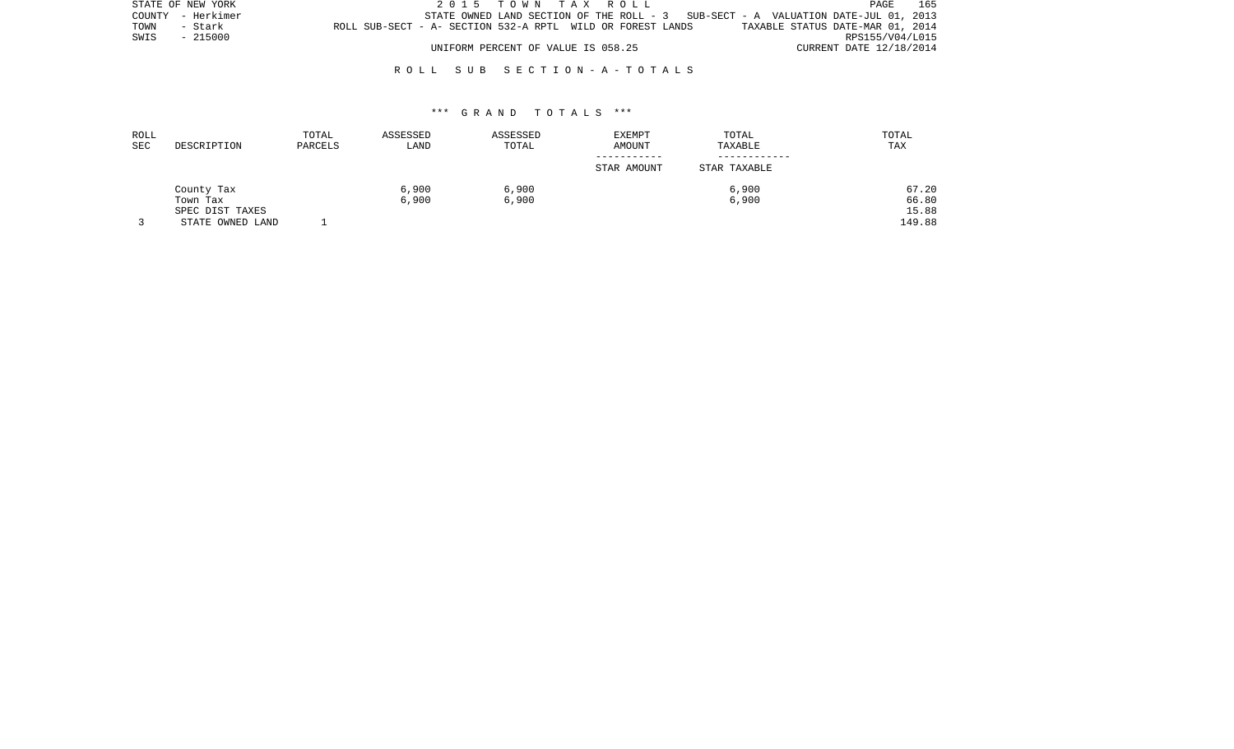| STATE OF NEW YORK |                                                            | 2015 TOWN TAX ROLL                                                                 |                                  | PAGE            | 165 |
|-------------------|------------------------------------------------------------|------------------------------------------------------------------------------------|----------------------------------|-----------------|-----|
| COUNTY - Herkimer |                                                            | STATE OWNED LAND SECTION OF THE ROLL $-3$ SUB-SECT - A VALUATION DATE-JUL 01, 2013 |                                  |                 |     |
| TOWN<br>- Stark   | ROLL SUB-SECT - A- SECTION 532-A RPTL WILD OR FOREST LANDS |                                                                                    | TAXABLE STATUS DATE-MAR 01, 2014 |                 |     |
| - 215000<br>SWIS  |                                                            |                                                                                    |                                  | RPS155/V04/L015 |     |
|                   |                                                            | UNIFORM PERCENT OF VALUE IS 058.25                                                 | CURRENT DATE 12/18/2014          |                 |     |

## R O L L S U B S E C T I O N - A - T O T A L S

| ROLL<br>SEC | DESCRIPTION      | TOTAL<br>PARCELS | ASSESSED<br>LAND | ASSESSED<br>TOTAL | <b>EXEMPT</b><br>AMOUNT | TOTAL<br>TAXABLE | TOTAL<br>TAX |
|-------------|------------------|------------------|------------------|-------------------|-------------------------|------------------|--------------|
|             |                  |                  |                  |                   | STAR AMOUNT             | STAR TAXABLE     |              |
|             | County Tax       |                  | 6,900            | 6,900             |                         | 6,900            | 67.20        |
|             | Town Tax         |                  | 6,900            | 6,900             |                         | 6,900            | 66.80        |
|             | SPEC DIST TAXES  |                  |                  |                   |                         |                  | 15.88        |
|             | STATE OWNED LAND |                  |                  |                   |                         |                  | 149.88       |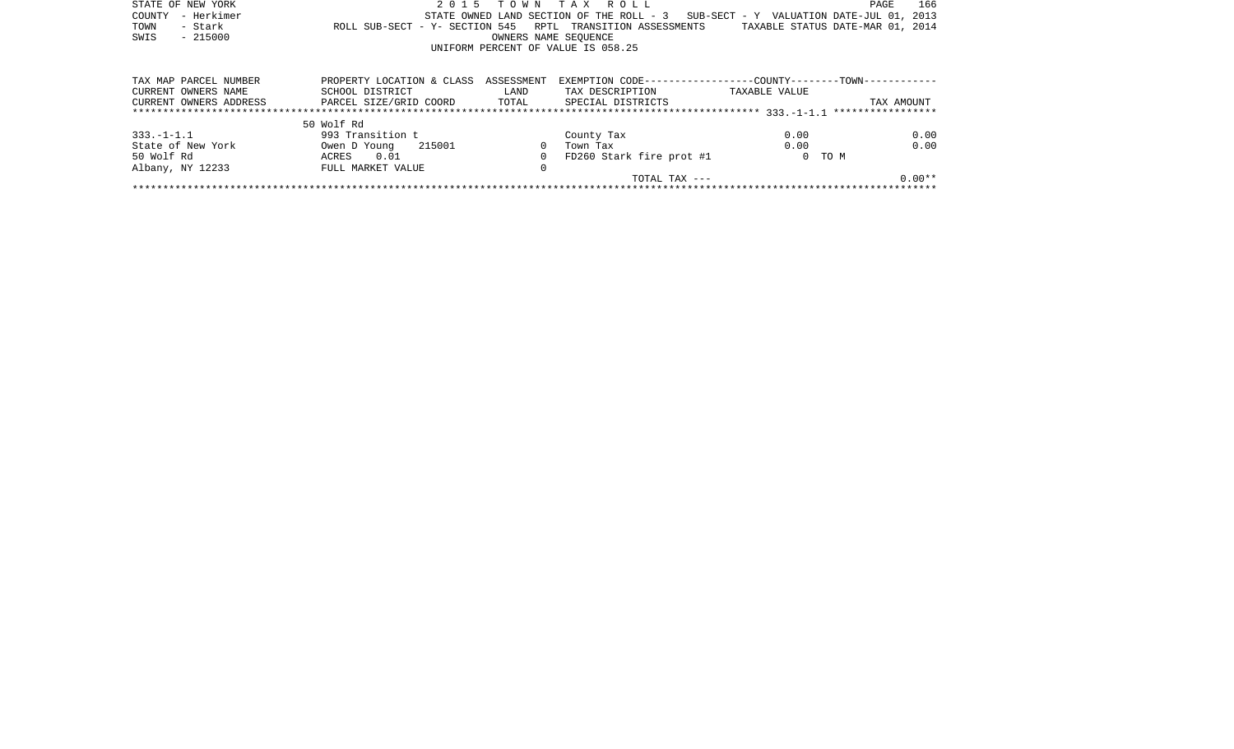| STATE OF NEW YORK      | 2 0 1 5                              | T O W N              | TAX ROLL                                                     |               | 166<br>PAGE                              |
|------------------------|--------------------------------------|----------------------|--------------------------------------------------------------|---------------|------------------------------------------|
| - Herkimer<br>COUNTY   |                                      |                      | STATE OWNED LAND SECTION OF THE ROLL - 3                     |               | SUB-SECT - Y VALUATION DATE-JUL 01, 2013 |
| - Stark<br>TOWN        | ROLL SUB-SECT - Y- SECTION 545       |                      | RPTL TRANSITION ASSESSMENTS                                  |               | TAXABLE STATUS DATE-MAR 01, 2014         |
| $-215000$<br>SWIS      |                                      | OWNERS NAME SEOUENCE |                                                              |               |                                          |
|                        |                                      |                      | UNIFORM PERCENT OF VALUE IS 058.25                           |               |                                          |
|                        |                                      |                      |                                                              |               |                                          |
| TAX MAP PARCEL NUMBER  | PROPERTY LOCATION & CLASS ASSESSMENT |                      | EXEMPTION CODE-----------------COUNTY--------TOWN----------- |               |                                          |
| CURRENT OWNERS NAME    | SCHOOL DISTRICT                      | LAND                 | TAX DESCRIPTION                                              | TAXABLE VALUE |                                          |
| CURRENT OWNERS ADDRESS | PARCEL SIZE/GRID COORD TOTAL         |                      | SPECIAL DISTRICTS                                            |               | TAX AMOUNT                               |
|                        |                                      |                      |                                                              |               |                                          |
|                        | 50 Wolf Rd                           |                      |                                                              |               |                                          |
| $333. - 1 - 1.1$       | 993 Transition t                     |                      | County Tax                                                   | 0.00          | 0.00                                     |
| State of New York      | 215001<br>Owen D Young               |                      | Town Tax                                                     | 0.00          | 0.00                                     |
| 50 Wolf Rd             | 0.01<br>ACRES                        |                      | FD260 Stark fire prot #1                                     |               | 0 TO M                                   |
| Albany, NY 12233       | FULL MARKET VALUE                    | 0                    |                                                              |               |                                          |
|                        |                                      |                      | TOTAL TAX ---                                                |               | $0.00**$                                 |
|                        |                                      |                      |                                                              |               |                                          |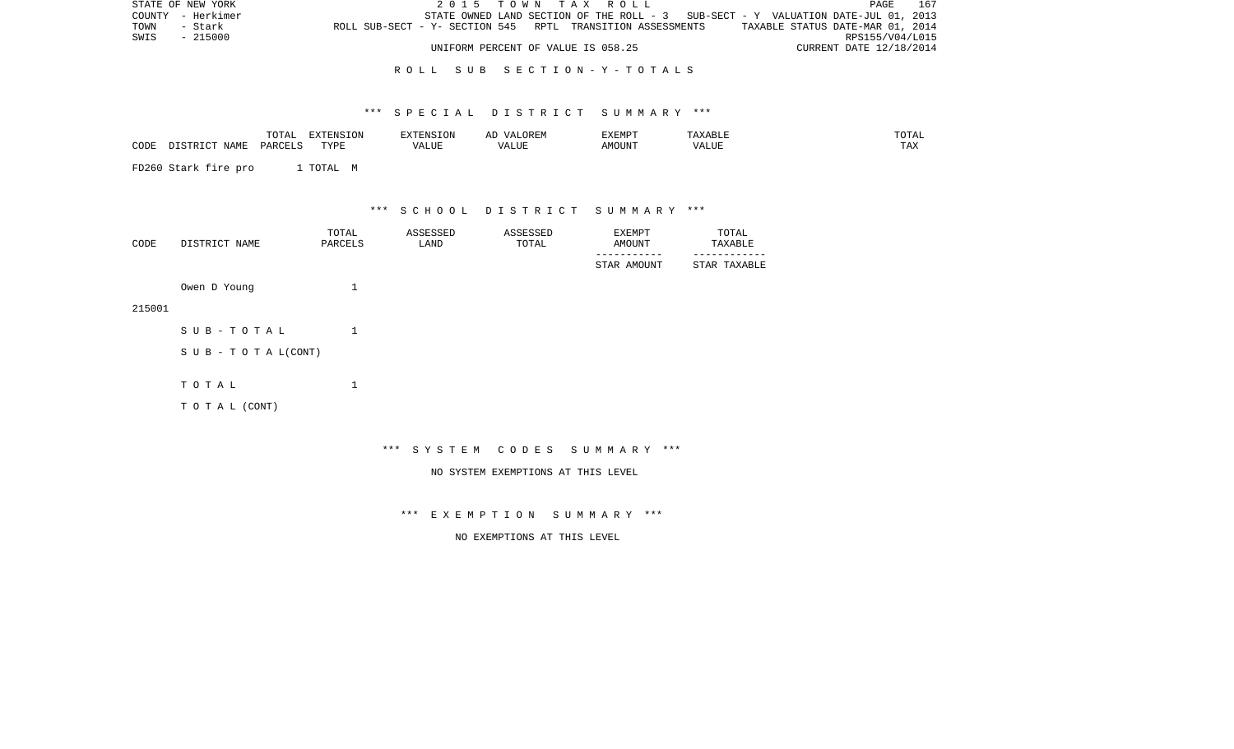| STATE OF NEW YORK | 2015 TOWN TAX ROLL                                                                | 167<br><b>PAGE</b>               |
|-------------------|-----------------------------------------------------------------------------------|----------------------------------|
| COUNTY - Herkimer | STATE OWNED LAND SECTION OF THE ROLL - 3 SUB-SECT - Y VALUATION DATE-JUL 01, 2013 |                                  |
| TOWN<br>- Stark   | ROLL SUB-SECT - Y- SECTION 545 RPTL TRANSITION ASSESSMENTS                        | TAXABLE STATUS DATE-MAR 01, 2014 |
| SWIS<br>$-215000$ |                                                                                   | RPS155/V04/L015                  |
|                   | UNIFORM PERCENT OF VALUE IS 058.25                                                | CURRENT DATE 12/18/2014          |

## R O L L S U B S E C T I O N - Y - T O T A L S

## \*\*\* S P E C I A L D I S T R I C T S U M M A R Y \*\*\*

|      |                    | TOTAL   | <b>EXTENSION</b><br>. <i>. .</i> | ₽YTFNST∩N    | VALOREM<br>Al | EXEMPT | AXABLE | TOTAL               |
|------|--------------------|---------|----------------------------------|--------------|---------------|--------|--------|---------------------|
| CODE | NAME<br>DISTRICT . | DARCELS | TYPE                             | <b>VALUE</b> | VALUE         | AMOUNT | VALUE  | $m \times r$<br>TAX |

FD260 Stark fire pro 1 TOTAL M

\*\*\* S C H O O L D I S T R I C T S U M M A R Y \*\*\*

| CODE | DISTRICT NAME | TOTAL<br>PARCELS | ASSESSED<br>LAND | ASSESSED<br>TOTAL | EXEMPT<br><b>AMOUNT</b> | TOTAL<br>TAXABLE |
|------|---------------|------------------|------------------|-------------------|-------------------------|------------------|
|      |               |                  |                  |                   | STAR AMOUNT             | STAR TAXABLE     |
|      | Owen D Young  |                  |                  |                   |                         |                  |

215001

| SUB-TOTAL                  |  |
|----------------------------|--|
| S U B - T O T A $L$ (CONT) |  |
| тотаь                      |  |
| T O T A L (CONT)           |  |

\*\*\* S Y S T E M C O D E S S U M M A R Y \*\*\*

NO SYSTEM EXEMPTIONS AT THIS LEVEL

\*\*\* E X E M P T I O N S U M M A R Y \*\*\*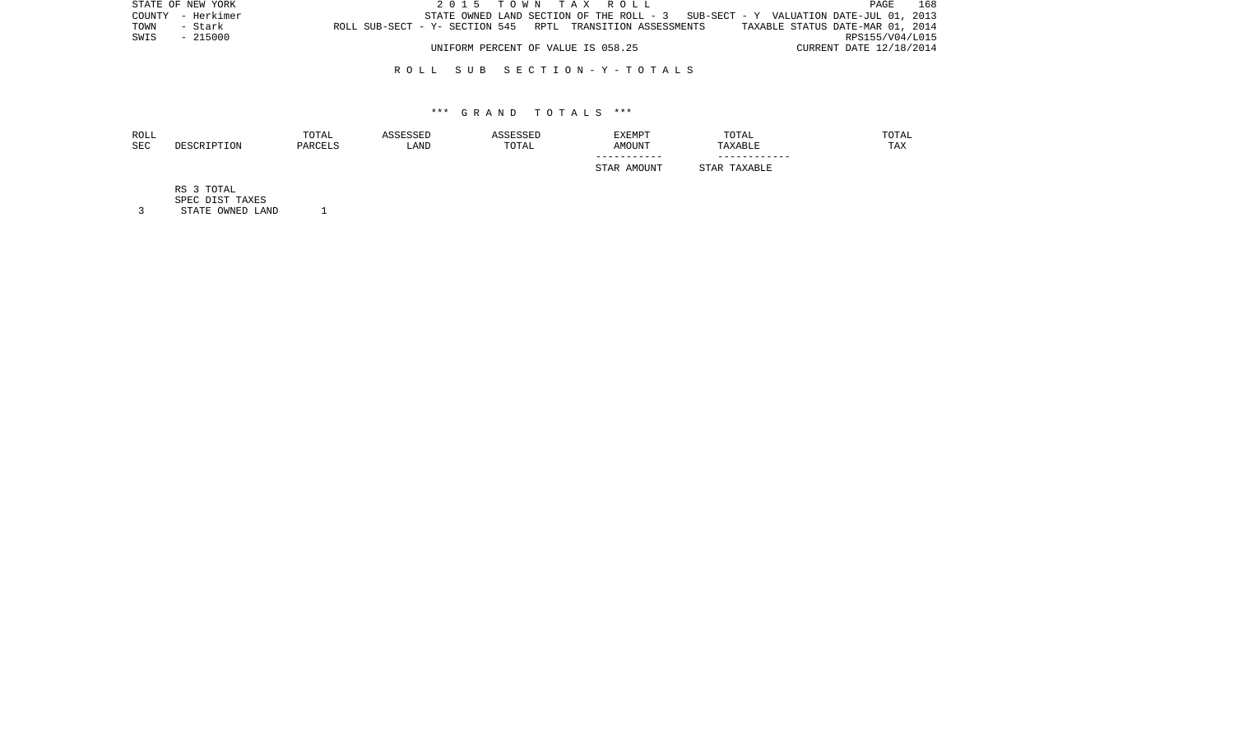| STATE OF NEW YORK |                                                            |                                    | 2015 TOWN TAX ROLL                                                                | PAGE                             | 168 |
|-------------------|------------------------------------------------------------|------------------------------------|-----------------------------------------------------------------------------------|----------------------------------|-----|
| COUNTY - Herkimer |                                                            |                                    | STATE OWNED LAND SECTION OF THE ROLL - 3 SUB-SECT - Y VALUATION DATE-JUL 01, 2013 |                                  |     |
| TOWN<br>- Stark   | ROLL SUB-SECT - Y- SECTION 545 RPTL TRANSITION ASSESSMENTS |                                    |                                                                                   | TAXABLE STATUS DATE-MAR 01, 2014 |     |
| SWIS<br>- 215000  |                                                            |                                    |                                                                                   | RPS155/V04/L015                  |     |
|                   |                                                            | UNIFORM PERCENT OF VALUE IS 058.25 |                                                                                   | CURRENT DATE 12/18/2014          |     |

## R O L L S U B S E C T I O N - Y - T O T A L S

## \*\*\* G R A N D T O T A L S \*\*\*

| ROLL<br>SEC | DESCRIPTION | TOTAL<br>PARCELS | ASSESSED<br>LAND | ASSESSED<br>TOTAL | EXEMPT<br>AMOUNT | TOTAL<br>TAXABLE | TOTAL<br>TAX |
|-------------|-------------|------------------|------------------|-------------------|------------------|------------------|--------------|
|             |             |                  |                  |                   | STAR AMOUNT      | STAR TAXABLE     |              |
|             | RS 3 TOTAL  |                  |                  |                   |                  |                  |              |

SPEC DIST TAXES

3 STATE OWNED LAND 1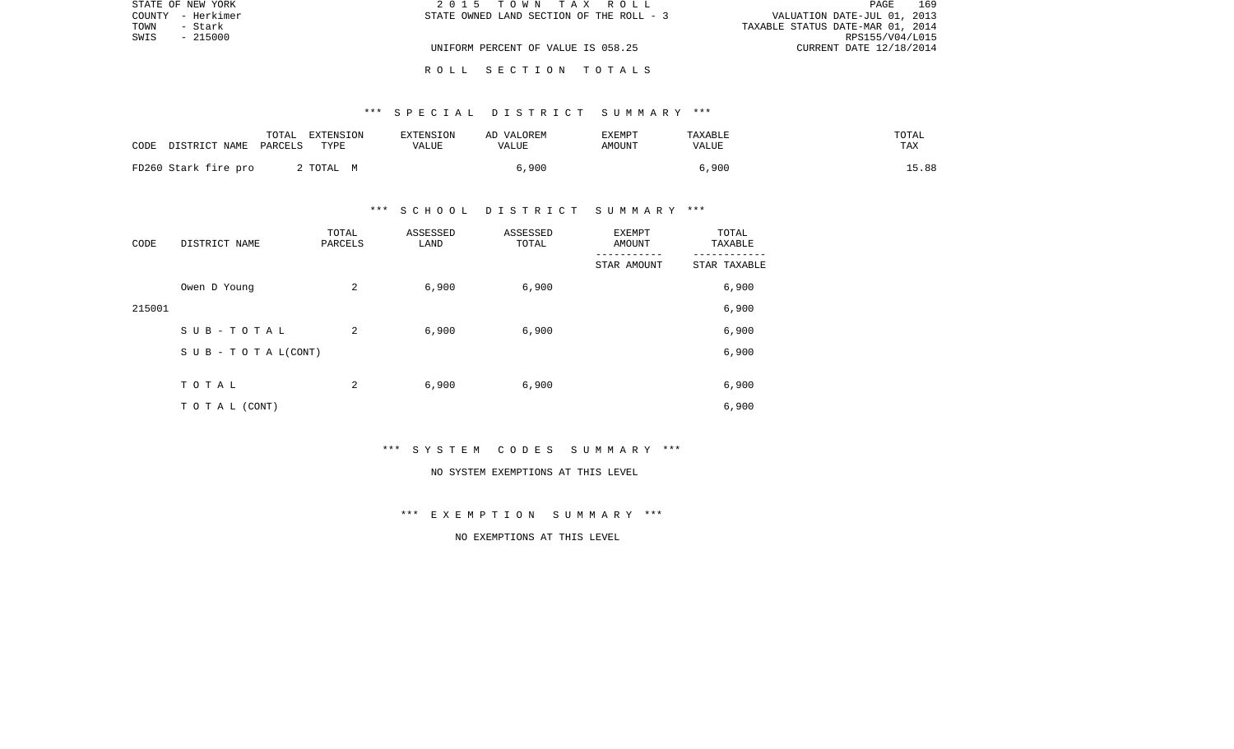|      | STATE OF NEW YORK | 2015 TOWN TAX ROLL                       | 169<br>PAGE                      |
|------|-------------------|------------------------------------------|----------------------------------|
|      | COUNTY - Herkimer | STATE OWNED LAND SECTION OF THE ROLL - 3 | VALUATION DATE-JUL 01, 2013      |
| TOWN | - Stark           |                                          | TAXABLE STATUS DATE-MAR 01, 2014 |
| SWIS | - 215000          |                                          | RPS155/V04/L015                  |
|      |                   | UNIFORM PERCENT OF VALUE IS 058.25       | CURRENT DATE 12/18/2014          |
|      |                   |                                          |                                  |

## \*\*\* S P E C I A L D I S T R I C T S U M M A R Y \*\*\*

| CODE | DISTRICT NAME PARCELS | TOTAL | EXTENSION<br>TYPE | EXTENSION<br>VALUE | AD VALOREM<br>VALUE | EXEMPT<br>AMOUNT | TAXABLE<br>VALUE | TOTAL<br>TAX |
|------|-----------------------|-------|-------------------|--------------------|---------------------|------------------|------------------|--------------|
|      | FD260 Stark fire pro  |       | 2 TOTAL M         |                    | 6,900               |                  | 6,900            | 15.88        |

## \*\*\* S C H O O L D I S T R I C T S U M M A R Y \*\*\*

| CODE   | DISTRICT NAME      | TOTAL<br>PARCELS | ASSESSED<br>LAND | ASSESSED<br>TOTAL | EXEMPT<br>AMOUNT | TOTAL<br>TAXABLE |
|--------|--------------------|------------------|------------------|-------------------|------------------|------------------|
|        |                    |                  |                  |                   | STAR AMOUNT      | STAR TAXABLE     |
|        | Owen D Young       | 2                | 6,900            | 6,900             |                  | 6,900            |
| 215001 |                    |                  |                  |                   |                  | 6,900            |
|        | SUB-TOTAL          | 2                | 6,900            | 6,900             |                  | 6,900            |
|        | SUB - TO TAL(CONT) |                  |                  |                   |                  | 6,900            |
|        |                    |                  |                  |                   |                  |                  |
|        | TOTAL              | 2                | 6,900            | 6,900             |                  | 6,900            |
|        | TO TAL (CONT)      |                  |                  |                   |                  | 6,900            |

\*\*\* S Y S T E M C O D E S S U M M A R Y \*\*\*

#### NO SYSTEM EXEMPTIONS AT THIS LEVEL

\*\*\* E X E M P T I O N S U M M A R Y \*\*\*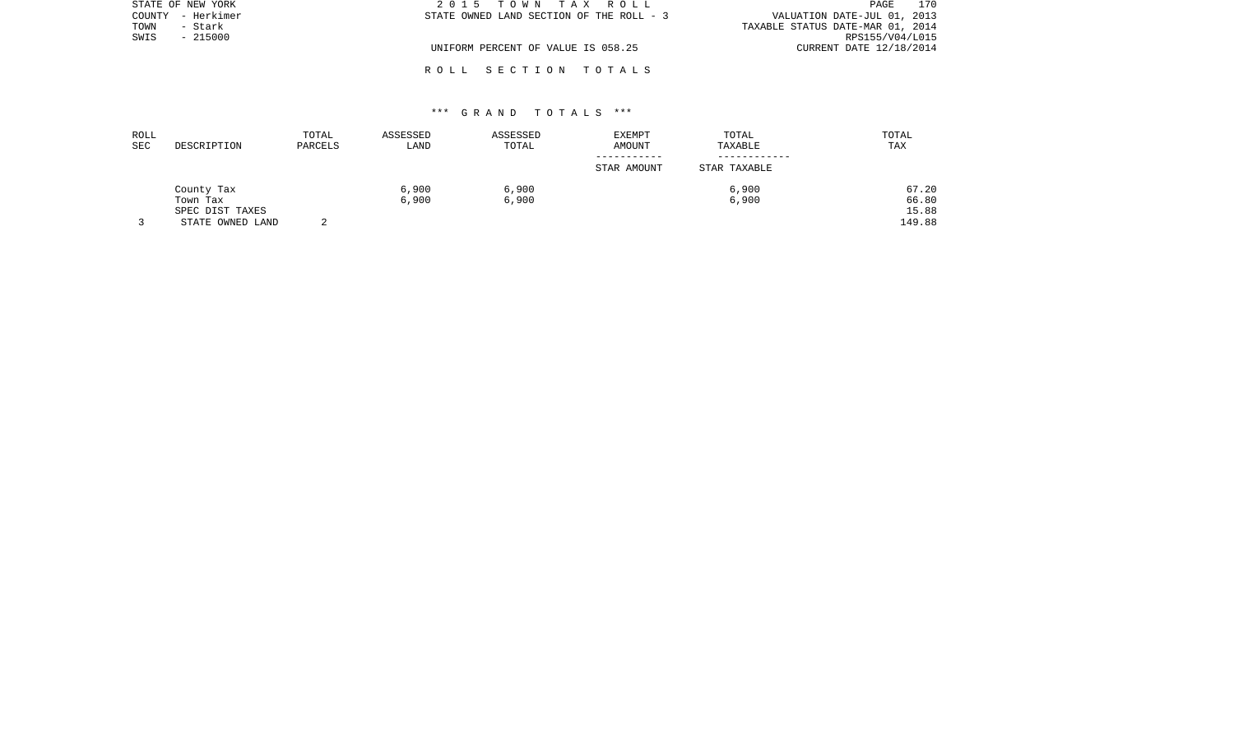|        | STATE OF NEW YORK | 2015 TOWN TAX ROLL                       | 170<br>PAGE                      |
|--------|-------------------|------------------------------------------|----------------------------------|
| COUNTY | – Herkimer        | STATE OWNED LAND SECTION OF THE ROLL - 3 | VALUATION DATE-JUL 01, 2013      |
| TOWN   | - Stark           |                                          | TAXABLE STATUS DATE-MAR 01, 2014 |
| SWIS   | $-215000$         |                                          | RPS155/V04/L015                  |
|        |                   | UNIFORM PERCENT OF VALUE IS 058.25       | CURRENT DATE 12/18/2014          |
|        |                   |                                          |                                  |

## \*\*\* G R A N D T O T A L S \*\*\*

R O L L S E C T I O N T O T A L S

| ROLL |                  | TOTAL   | ASSESSED | ASSESSED | EXEMPT      | TOTAL        | TOTAL  |
|------|------------------|---------|----------|----------|-------------|--------------|--------|
| SEC  | DESCRIPTION      | PARCELS | LAND     | TOTAL    | AMOUNT      | TAXABLE      | TAX    |
|      |                  |         |          |          | STAR AMOUNT | STAR TAXABLE |        |
|      | County Tax       |         | 6,900    | 6,900    |             | 6,900        | 67.20  |
|      | Town Tax         |         | 6,900    | 6,900    |             | 6,900        | 66.80  |
|      | SPEC DIST TAXES  |         |          |          |             |              | 15.88  |
|      | STATE OWNED LAND |         |          |          |             |              | 149.88 |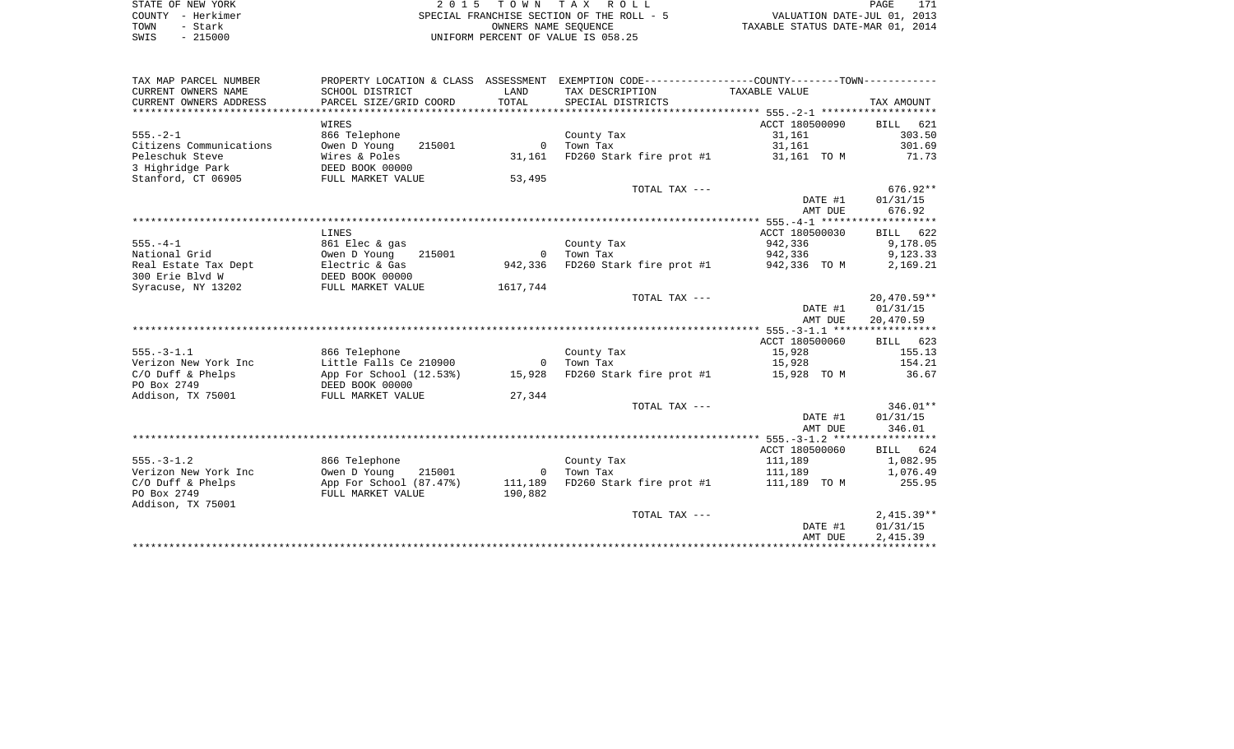| STATE OF NEW YORK | 2015 TOWN TAX ROLL                        | PAGE                             |
|-------------------|-------------------------------------------|----------------------------------|
| COUNTY - Herkimer | SPECIAL FRANCHISE SECTION OF THE ROLL - 5 | VALUATION DATE-JUL 01, 2013      |
| TOWN<br>- Stark   | OWNERS NAME SEOUENCE                      | TAXABLE STATUS DATE-MAR 01, 2014 |
| $-215000$<br>SWIS | UNIFORM PERCENT OF VALUE IS 058.25        |                                  |

| TAX MAP PARCEL NUMBER   |                         |                | PROPERTY LOCATION & CLASS ASSESSMENT EXEMPTION CODE---------------COUNTY-------TOWN---------- |                         |               |
|-------------------------|-------------------------|----------------|-----------------------------------------------------------------------------------------------|-------------------------|---------------|
| CURRENT OWNERS NAME     | SCHOOL DISTRICT         | LAND           | TAX DESCRIPTION                                                                               | TAXABLE VALUE           |               |
| CURRENT OWNERS ADDRESS  | PARCEL SIZE/GRID COORD  | TOTAL          | SPECIAL DISTRICTS                                                                             |                         | TAX AMOUNT    |
|                         |                         |                |                                                                                               |                         |               |
|                         | WIRES                   |                |                                                                                               | ACCT 180500090 BILL 621 |               |
| $555. - 2 - 1$          | 866 Telephone           |                | County Tax                                                                                    | 31,161                  | 303.50        |
| Citizens Communications | Owen D Young<br>215001  | $\circ$        | Town Tax                                                                                      | 31,161                  | 301.69        |
| Peleschuk Steve         | Wires & Poles           | 31,161         | FD260 Stark fire prot #1                                                                      | 31,161 TO M             | 71.73         |
| 3 Highridge Park        | DEED BOOK 00000         |                |                                                                                               |                         |               |
| Stanford, CT 06905      | FULL MARKET VALUE       | 53,495         |                                                                                               |                         |               |
|                         |                         |                | TOTAL TAX ---                                                                                 |                         | $676.92**$    |
|                         |                         |                |                                                                                               | DATE #1                 | 01/31/15      |
|                         |                         |                |                                                                                               | AMT DUE                 | 676.92        |
|                         |                         |                |                                                                                               |                         |               |
|                         | LINES                   |                |                                                                                               | ACCT 180500030          | BILL 622      |
| $555. - 4 - 1$          | 861 Elec & gas          |                | County Tax                                                                                    | 942,336                 | 9,178.05      |
| National Grid           | Owen D Young<br>215001  | $\overline{0}$ | Town Tax                                                                                      | 942,336                 | 9,123.33      |
| Real Estate Tax Dept    | Electric & Gas          | 942,336        | FD260 Stark fire prot #1                                                                      | 942,336 TO M            | 2,169.21      |
| 300 Erie Blyd W         | DEED BOOK 00000         |                |                                                                                               |                         |               |
| Syracuse, NY 13202      | FULL MARKET VALUE       | 1617,744       |                                                                                               |                         |               |
|                         |                         |                | TOTAL TAX ---                                                                                 |                         | $20,470.59**$ |
|                         |                         |                |                                                                                               | DATE #1                 | 01/31/15      |
|                         |                         |                |                                                                                               | AMT DUE                 | 20,470.59     |
|                         |                         |                |                                                                                               |                         |               |
|                         |                         |                |                                                                                               | ACCT 180500060          | BILL 623      |
| $555. - 3 - 1.1$        | 866 Telephone           |                | County Tax                                                                                    | 15,928                  | 155.13        |
| Verizon New York Inc    | Little Falls Ce 210900  | $\mathbf 0$    | Town Tax                                                                                      | 15,928                  | 154.21        |
| $C/O$ Duff & Phelps     | App For School (12.53%) | 15,928         | FD260 Stark fire prot #1 15,928 TO M                                                          |                         | 36.67         |
| PO Box 2749             | DEED BOOK 00000         |                |                                                                                               |                         |               |
| Addison, TX 75001       | FULL MARKET VALUE       | 27,344         |                                                                                               |                         |               |
|                         |                         |                | TOTAL TAX ---                                                                                 |                         | $346.01**$    |
|                         |                         |                |                                                                                               | DATE #1                 | 01/31/15      |
|                         |                         |                |                                                                                               | AMT DUE                 | 346.01        |
|                         |                         |                |                                                                                               |                         |               |
|                         |                         |                |                                                                                               | ACCT 180500060          | BILL 624      |
| $555. - 3 - 1.2$        | 866 Telephone           |                | County Tax                                                                                    | 111,189                 | 1,082.95      |
| Verizon New York Inc    | 215001<br>Owen D Young  | $\overline{0}$ | Town Tax                                                                                      | 111,189                 | 1,076.49      |
| $C/O$ Duff & Phelps     | App For School (87.47%) | 111,189        | FD260 Stark fire prot #1 111,189 TO M                                                         |                         | 255.95        |
| PO Box 2749             | FULL MARKET VALUE       | 190,882        |                                                                                               |                         |               |
| Addison, TX 75001       |                         |                |                                                                                               |                         |               |
|                         |                         |                | TOTAL TAX ---                                                                                 |                         | $2,415.39**$  |
|                         |                         |                |                                                                                               | DATE #1                 | 01/31/15      |
|                         |                         |                |                                                                                               | AMT DUE                 | 2,415.39      |
|                         |                         |                |                                                                                               |                         |               |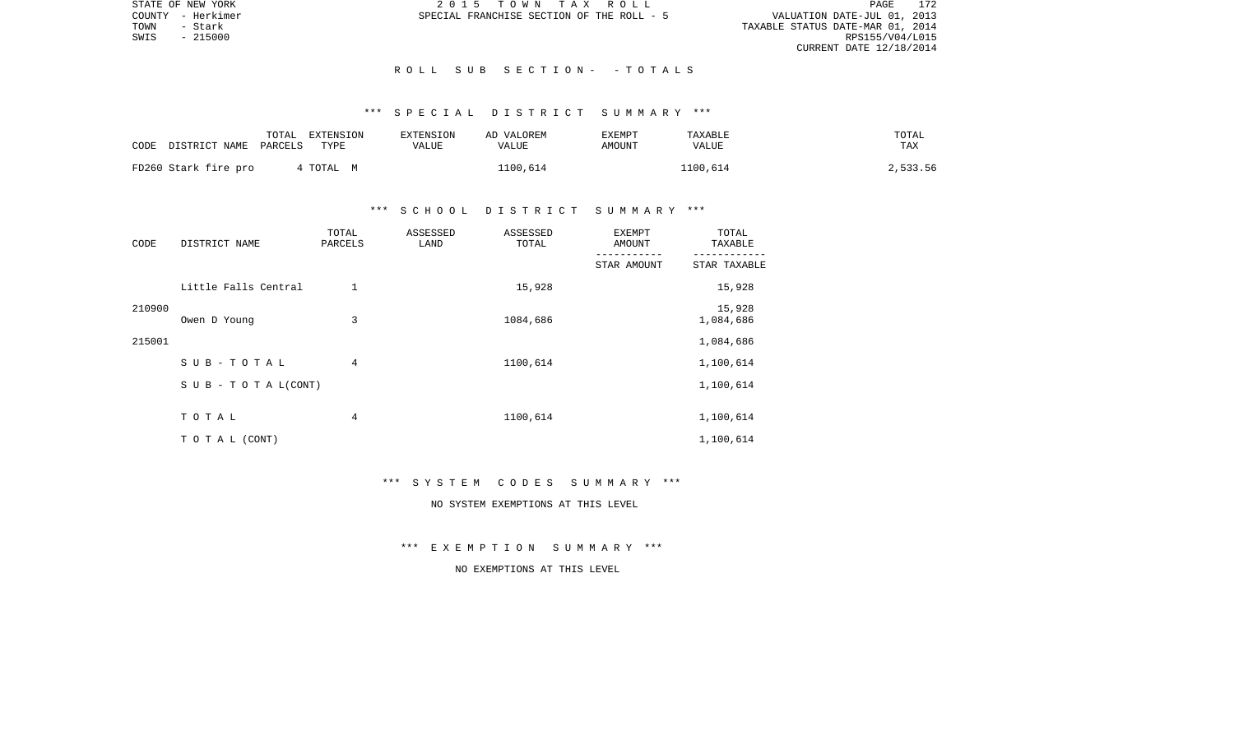STATE OF NEW YORK 2 0 1 5 T O W N T A X R O L L PAGE 172VALUATION DATE-JUL 01, 2013 TOWN - Stark TAXABLE STATUS DATE-MAR 01, 2014 CURRENT DATE 12/18/2014

COUNTY - Herkimer SPECIAL FRANCHISE SECTION OF THE ROLL - 5

 $SWIS$  - 215000

## R O L L S U B S E C T I O N - - T O T A L S

# \*\*\* S P E C I A L D I S T R I C T S U M M A R Y \*\*\*

| CODE | DISTRICT NAME        | TOTAL<br>PARCELS | EXTENSION<br>TYPE | EXTENSION<br>VALUE | AD VALOREM<br>VALUE | <b>EXEMPT</b><br>AMOUNT | TAXABLE<br>VALUE | TOTAL<br><b>TAX</b> |
|------|----------------------|------------------|-------------------|--------------------|---------------------|-------------------------|------------------|---------------------|
|      | FD260 Stark fire pro |                  | TOTAL M           |                    | 1100,614            |                         | 1100,614         | 2,533.56            |

## \*\*\* S C H O O L D I S T R I C T S U M M A R Y \*\*\*

| CODE   | DISTRICT NAME                    | TOTAL<br>PARCELS | ASSESSED<br>LAND | ASSESSED<br>TOTAL | <b>EXEMPT</b><br>AMOUNT | TOTAL<br>TAXABLE    |
|--------|----------------------------------|------------------|------------------|-------------------|-------------------------|---------------------|
|        |                                  |                  |                  |                   | STAR AMOUNT             | STAR TAXABLE        |
|        | Little Falls Central             |                  |                  | 15,928            |                         | 15,928              |
| 210900 | Owen D Young                     | 3                |                  | 1084,686          |                         | 15,928<br>1,084,686 |
| 215001 |                                  |                  |                  |                   |                         | 1,084,686           |
|        | SUB-TOTAL                        | 4                |                  | 1100,614          |                         | 1,100,614           |
|        | $S \cup B - T \cup T A L (CONT)$ |                  |                  |                   |                         | 1,100,614           |
|        | TOTAL                            | 4                |                  | 1100,614          |                         | 1,100,614           |
|        | TO TAL (CONT)                    |                  |                  |                   |                         | 1,100,614           |

#### \*\*\* S Y S T E M C O D E S S U M M A R Y \*\*\*

# NO SYSTEM EXEMPTIONS AT THIS LEVEL

\*\*\* E X E M P T I O N S U M M A R Y \*\*\*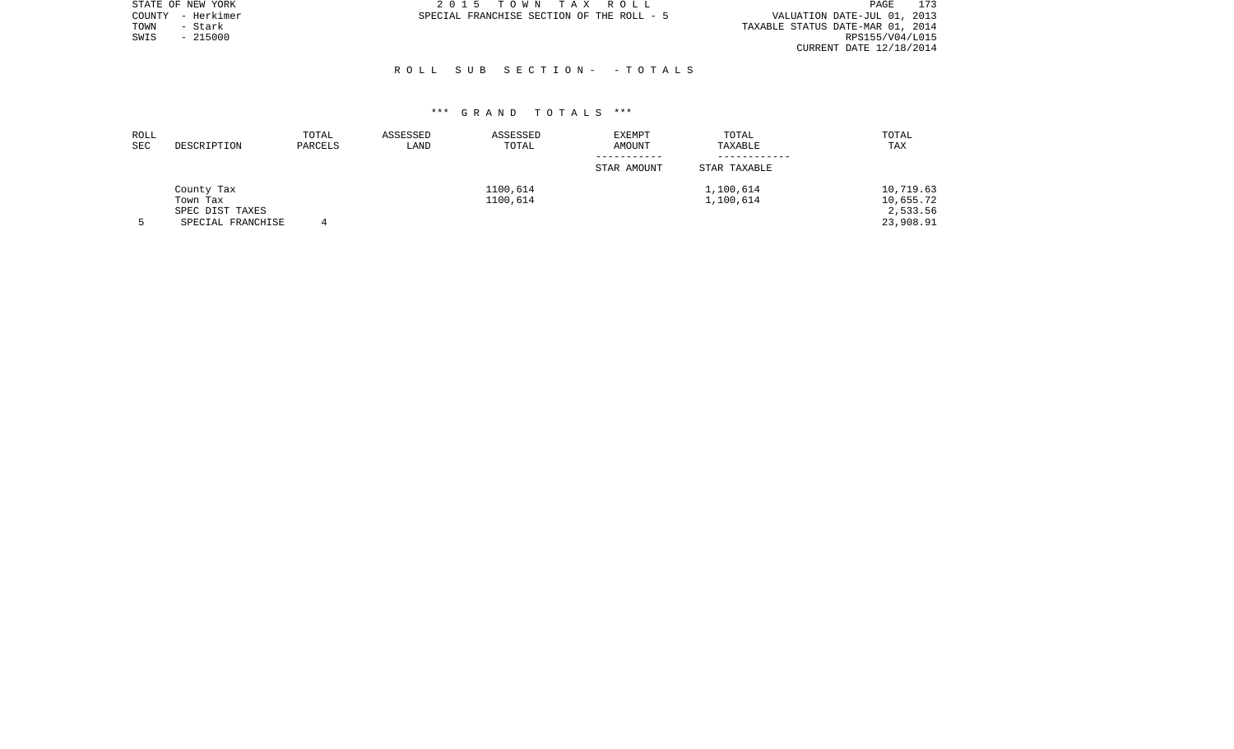|      | STATE OF NEW YORK | 2015 TOWN TAX ROLL                        | PAGE                             | 173 |
|------|-------------------|-------------------------------------------|----------------------------------|-----|
|      | COUNTY - Herkimer | SPECIAL FRANCHISE SECTION OF THE ROLL - 5 | VALUATION DATE-JUL 01, 2013      |     |
| TOWN | - Stark           |                                           | TAXABLE STATUS DATE-MAR 01, 2014 |     |
| SWIS | $-215000$         |                                           | RPS155/V04/L015                  |     |
|      |                   |                                           | CURRENT DATE 12/18/2014          |     |
|      |                   |                                           |                                  |     |

### R O L L S U B S E C T I O N - - T O T A L S

| ROLL<br>SEC | DESCRIPTION                                                    | TOTAL<br>PARCELS | ASSESSED<br>LAND | ASSESSED<br>TOTAL    | EXEMPT<br>AMOUNT<br>STAR AMOUNT | TOTAL<br>TAXABLE<br>STAR TAXABLE | TOTAL<br>TAX                                    |
|-------------|----------------------------------------------------------------|------------------|------------------|----------------------|---------------------------------|----------------------------------|-------------------------------------------------|
|             | County Tax<br>Town Tax<br>SPEC DIST TAXES<br>SPECIAL FRANCHISE |                  |                  | 1100,614<br>1100,614 |                                 | 1,100,614<br>1,100,614           | 10,719.63<br>10,655.72<br>2,533.56<br>23,908.91 |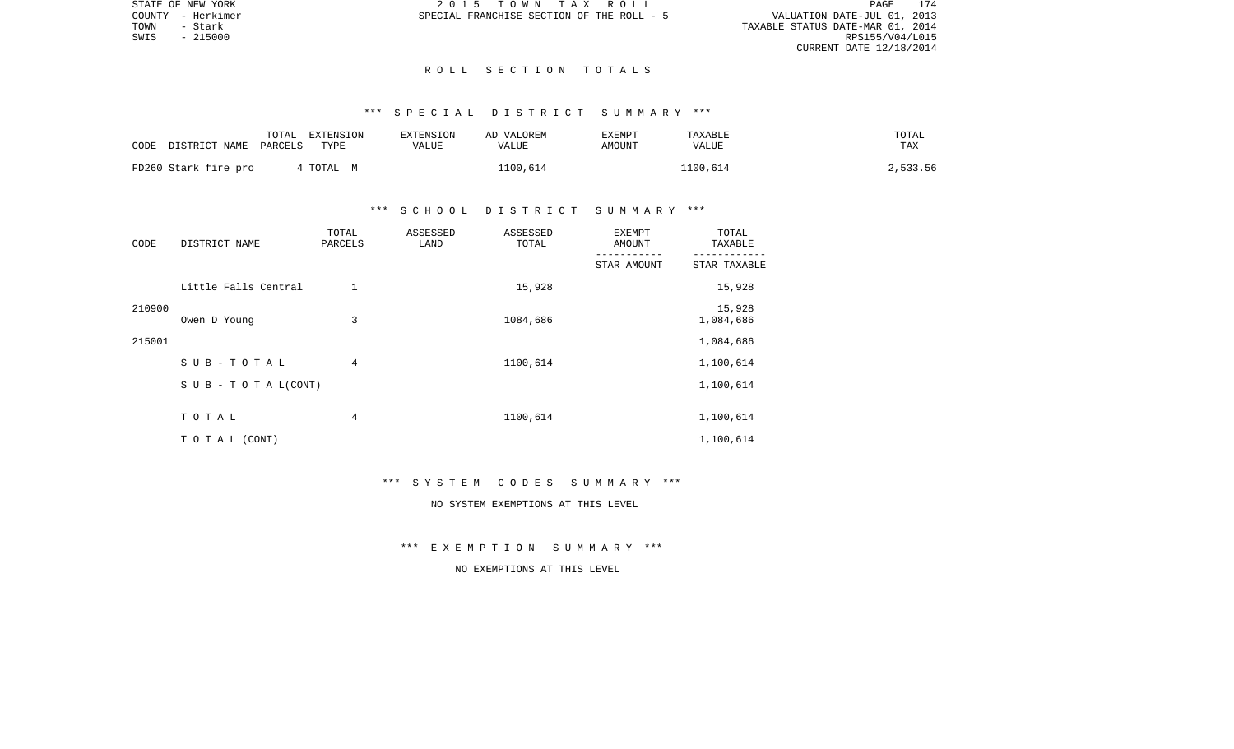VALUATION DATE-JUL 01, 2013 TOWN - Stark TAXABLE STATUS DATE-MAR 01, 2014 CURRENT DATE 12/18/2014

STATE OF NEW YORK 2 0 1 5 T O W N T A X R O L L PAGE 174COUNTY - Herkimer SPECIAL FRANCHISE SECTION OF THE ROLL - 5

 $SWIS$  - 215000

### R O L L S E C T I O N T O T A L S

# \*\*\* S P E C I A L D I S T R I C T S U M M A R Y \*\*\*

| CODE                 | TOTAL<br>DISTRICT NAME<br>PARCELS | EXTENSION<br>TYPE | <b>EXTENSION</b><br>VALUE | AD VALOREM<br>VALUE | EXEMPT<br>AMOUNT | TAXABLE<br><b>VALUE</b> | TOTAL<br>TAX |
|----------------------|-----------------------------------|-------------------|---------------------------|---------------------|------------------|-------------------------|--------------|
| FD260 Stark fire pro |                                   | TOTAL M           |                           | 1100,614            |                  | 1100,614                | 2,533.56     |

## \*\*\* S C H O O L D I S T R I C T S U M M A R Y \*\*\*

| CODE   | DISTRICT NAME                    | TOTAL<br>PARCELS | ASSESSED<br>LAND | ASSESSED<br>TOTAL | <b>EXEMPT</b><br>AMOUNT | TOTAL<br>TAXABLE    |
|--------|----------------------------------|------------------|------------------|-------------------|-------------------------|---------------------|
|        |                                  |                  |                  |                   | STAR AMOUNT             | STAR TAXABLE        |
|        | Little Falls Central             | 1                |                  | 15,928            |                         | 15,928              |
| 210900 | Owen D Young                     | 3                |                  | 1084,686          |                         | 15,928<br>1,084,686 |
| 215001 |                                  |                  |                  |                   |                         | 1,084,686           |
|        | SUB-TOTAL                        | $\overline{4}$   |                  | 1100,614          |                         | 1,100,614           |
|        | $S \cup B - T \cup T A L (CONT)$ |                  |                  |                   |                         | 1,100,614           |
|        | TOTAL                            | 4                |                  | 1100,614          |                         | 1,100,614           |
|        | TO TAL (CONT)                    |                  |                  |                   |                         | 1,100,614           |

#### \*\*\* S Y S T E M C O D E S S U M M A R Y \*\*\*

# NO SYSTEM EXEMPTIONS AT THIS LEVEL

\*\*\* E X E M P T I O N S U M M A R Y \*\*\*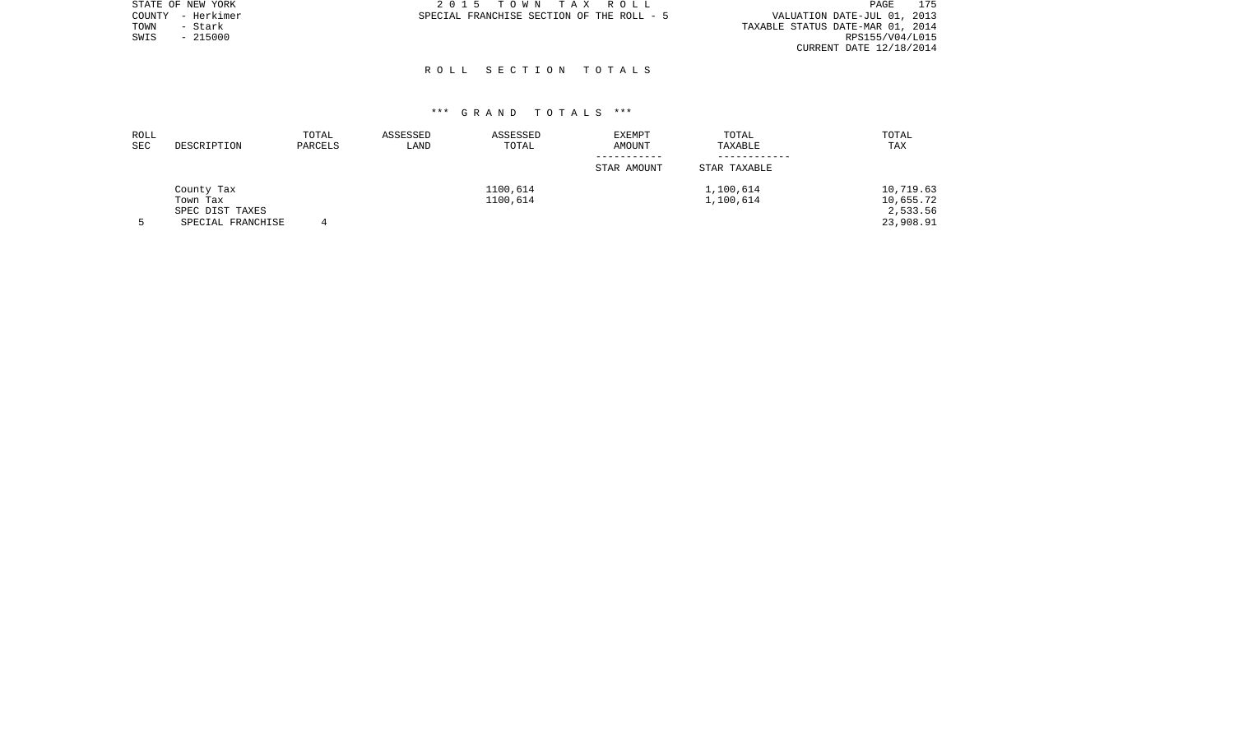|      | STATE OF NEW YORK | 2015 TOWN TAX ROLL                        | PAGE                             | 175 |
|------|-------------------|-------------------------------------------|----------------------------------|-----|
|      | COUNTY - Herkimer | SPECIAL FRANCHISE SECTION OF THE ROLL - 5 | VALUATION DATE-JUL 01, 2013      |     |
| TOWN | - Stark           |                                           | TAXABLE STATUS DATE-MAR 01, 2014 |     |
| SWIS | $-215000$         |                                           | RPS155/V04/L015                  |     |
|      |                   |                                           | CURRENT DATE 12/18/2014          |     |
|      |                   |                                           |                                  |     |

| ROLL<br><b>SEC</b> | DESCRIPTION       | TOTAL<br>PARCELS | ASSESSED<br>LAND | ASSESSED<br>TOTAL | EXEMPT<br>AMOUNT | TOTAL<br>TAXABLE | TOTAL<br>TAX |
|--------------------|-------------------|------------------|------------------|-------------------|------------------|------------------|--------------|
|                    |                   |                  |                  |                   | STAR AMOUNT      | STAR TAXABLE     |              |
|                    | County Tax        |                  |                  | 1100,614          |                  | 1,100,614        | 10,719.63    |
|                    | Town Tax          |                  |                  | 1100,614          |                  | 1,100,614        | 10,655.72    |
|                    | SPEC DIST TAXES   |                  |                  |                   |                  |                  | 2,533.56     |
|                    | SPECIAL FRANCHISE |                  |                  |                   |                  |                  | 23,908.91    |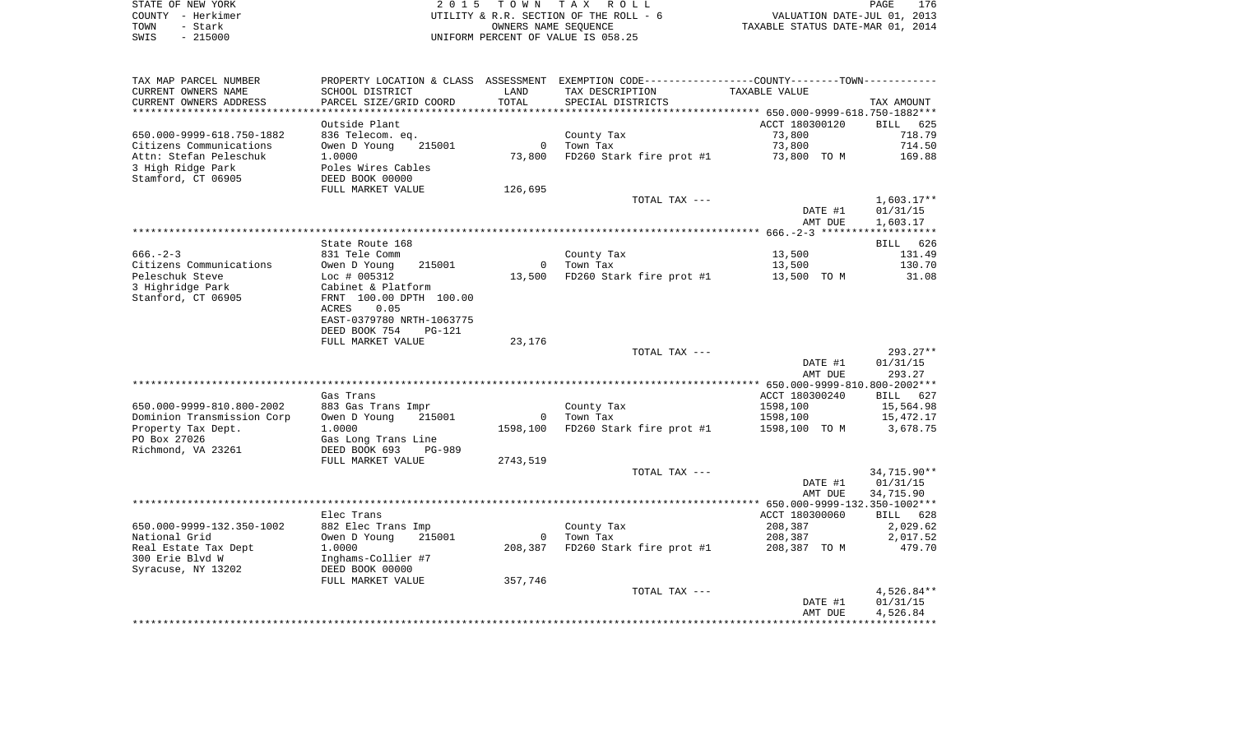|      | STATE OF NEW YORK | 2015 TOWN TAX ROLL                     | 176<br>PAGE                      |
|------|-------------------|----------------------------------------|----------------------------------|
|      | COUNTY - Herkimer | UTILITY & R.R. SECTION OF THE ROLL - 6 | VALUATION DATE-JUL 01, 2013      |
| TOWN | - Stark           | OWNERS NAME SEOUENCE                   | TAXABLE STATUS DATE-MAR 01, 2014 |
| SWIS | $-215000$         | UNIFORM PERCENT OF VALUE IS 058.25     |                                  |

| TAX MAP PARCEL NUMBER      |                                      |              | PROPERTY LOCATION & CLASS ASSESSMENT EXEMPTION CODE----------------COUNTY--------TOWN---------- |                |                  |
|----------------------------|--------------------------------------|--------------|-------------------------------------------------------------------------------------------------|----------------|------------------|
| CURRENT OWNERS NAME        | SCHOOL DISTRICT                      | LAND         | TAX DESCRIPTION                                                                                 | TAXABLE VALUE  |                  |
| CURRENT OWNERS ADDRESS     | PARCEL SIZE/GRID COORD               | TOTAL        | SPECIAL DISTRICTS                                                                               |                | TAX AMOUNT       |
| ************************   | ************************             |              |                                                                                                 |                |                  |
|                            | Outside Plant                        |              |                                                                                                 | ACCT 180300120 | BILL 625         |
| 650.000-9999-618.750-1882  | 836 Telecom. eq.                     |              | County Tax                                                                                      | 73,800         | 718.79           |
| Citizens Communications    | Owen D Young<br>215001               | $\Omega$     | Town Tax                                                                                        | 73,800         | 714.50           |
| Attn: Stefan Peleschuk     | 1.0000                               | 73,800       | FD260 Stark fire prot #1                                                                        | 73,800 TO M    | 169.88           |
| 3 High Ridge Park          | Poles Wires Cables                   |              |                                                                                                 |                |                  |
| Stamford, CT 06905         | DEED BOOK 00000                      |              |                                                                                                 |                |                  |
|                            | FULL MARKET VALUE                    | 126,695      |                                                                                                 |                |                  |
|                            |                                      |              | TOTAL TAX ---                                                                                   |                | $1,603.17**$     |
|                            |                                      |              |                                                                                                 | DATE #1        | 01/31/15         |
|                            |                                      |              |                                                                                                 | AMT DUE        | 1,603.17         |
|                            |                                      |              |                                                                                                 |                |                  |
| $666. - 2 - 3$             | State Route 168<br>831 Tele Comm     |              |                                                                                                 | 13,500         | BILL 626         |
| Citizens Communications    | Owen D Young<br>215001               | $\Omega$     | County Tax<br>Town Tax                                                                          | 13,500         | 131.49<br>130.70 |
| Peleschuk Steve            |                                      |              | FD260 Stark fire prot #1                                                                        |                | 31.08            |
| 3 Highridge Park           | $Loc$ # 005312<br>Cabinet & Platform | 13,500       |                                                                                                 | 13,500 TO M    |                  |
| Stanford, CT 06905         | FRNT 100.00 DPTH 100.00              |              |                                                                                                 |                |                  |
|                            | <b>ACRES</b><br>0.05                 |              |                                                                                                 |                |                  |
|                            | EAST-0379780 NRTH-1063775            |              |                                                                                                 |                |                  |
|                            | DEED BOOK 754<br>PG-121              |              |                                                                                                 |                |                  |
|                            | FULL MARKET VALUE                    | 23,176       |                                                                                                 |                |                  |
|                            |                                      |              | TOTAL TAX ---                                                                                   |                | $293.27**$       |
|                            |                                      |              |                                                                                                 | DATE #1        | 01/31/15         |
|                            |                                      |              |                                                                                                 | AMT DUE        | 293.27           |
|                            |                                      |              |                                                                                                 |                |                  |
|                            | Gas Trans                            |              |                                                                                                 | ACCT 180300240 | BILL 627         |
| 650.000-9999-810.800-2002  | 883 Gas Trans Impr                   |              | County Tax                                                                                      | 1598,100       | 15,564.98        |
| Dominion Transmission Corp | Owen D Young<br>215001               | $\mathbf{0}$ | Town Tax                                                                                        | 1598,100       | 15,472.17        |
| Property Tax Dept.         | 1.0000                               | 1598,100     | FD260 Stark fire prot #1                                                                        | 1598,100 TO M  | 3,678.75         |
| PO Box 27026               | Gas Long Trans Line                  |              |                                                                                                 |                |                  |
| Richmond, VA 23261         | DEED BOOK 693<br><b>PG-989</b>       |              |                                                                                                 |                |                  |
|                            | FULL MARKET VALUE                    | 2743,519     |                                                                                                 |                |                  |
|                            |                                      |              | TOTAL TAX ---                                                                                   |                | 34,715.90**      |
|                            |                                      |              |                                                                                                 | DATE #1        | 01/31/15         |
|                            |                                      |              |                                                                                                 | AMT DUE        | 34,715.90        |
|                            |                                      |              |                                                                                                 |                |                  |
|                            | Elec Trans                           |              |                                                                                                 | ACCT 180300060 | BILL 628         |
| 650.000-9999-132.350-1002  | 882 Elec Trans Imp                   |              | County Tax                                                                                      | 208,387        | 2,029.62         |
| National Grid              | Owen D Young<br>215001               | $\circ$      | Town Tax                                                                                        | 208,387        | 2,017.52         |
| Real Estate Tax Dept       | 1.0000                               | 208,387      | FD260 Stark fire prot #1                                                                        | 208,387 TO M   | 479.70           |
| 300 Erie Blvd W            | Inghams-Collier #7                   |              |                                                                                                 |                |                  |
| Syracuse, NY 13202         | DEED BOOK 00000                      |              |                                                                                                 |                |                  |
|                            | FULL MARKET VALUE                    | 357,746      |                                                                                                 |                |                  |
|                            |                                      |              | TOTAL TAX ---                                                                                   |                | $4,526.84**$     |
|                            |                                      |              |                                                                                                 | DATE #1        | 01/31/15         |
|                            |                                      |              |                                                                                                 | AMT DUE        | 4,526.84         |
|                            |                                      |              |                                                                                                 |                |                  |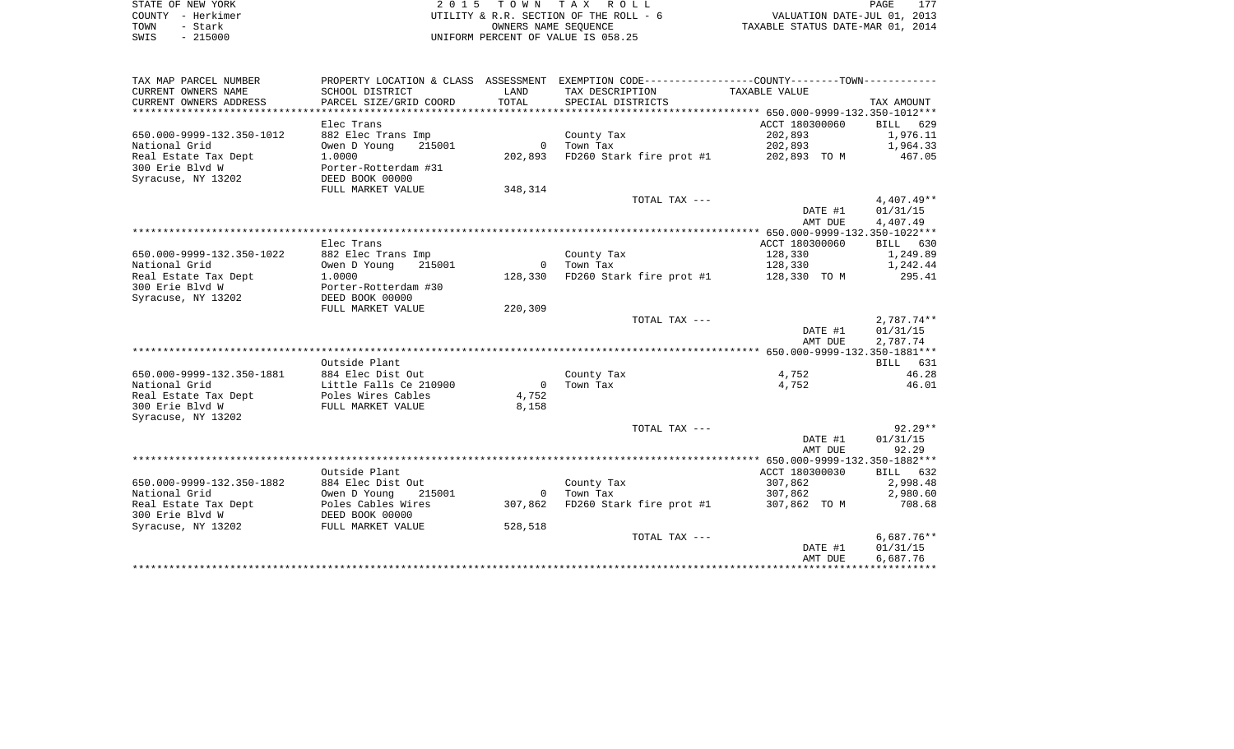|      | STATE OF NEW YORK | 2015 TOWN TAX ROLL                     | 177<br>PAGE                      |
|------|-------------------|----------------------------------------|----------------------------------|
|      | COUNTY - Herkimer | UTILITY & R.R. SECTION OF THE ROLL - 6 | VALUATION DATE-JUL 01, 2013      |
| TOWN | - Stark           | OWNERS NAME SEOUENCE                   | TAXABLE STATUS DATE-MAR 01, 2014 |
| SWIS | $-215000$         | INIFORM PERCENT OF VALUE IS 058.25     |                                  |

| TAX MAP PARCEL NUMBER     |                        |                | PROPERTY LOCATION & CLASS ASSESSMENT EXEMPTION CODE---------------COUNTY-------TOWN---------- |                |              |
|---------------------------|------------------------|----------------|-----------------------------------------------------------------------------------------------|----------------|--------------|
| CURRENT OWNERS NAME       | SCHOOL DISTRICT        | LAND           | TAX DESCRIPTION                                                                               | TAXABLE VALUE  |              |
| CURRENT OWNERS ADDRESS    | PARCEL SIZE/GRID COORD | TOTAL          | SPECIAL DISTRICTS                                                                             |                | TAX AMOUNT   |
|                           |                        |                |                                                                                               |                |              |
|                           | Elec Trans             |                |                                                                                               | ACCT 180300060 | BILL 629     |
| 650.000-9999-132.350-1012 | 882 Elec Trans Imp     |                | County Tax                                                                                    | 202,893        | 1,976.11     |
| National Grid             | 215001<br>Owen D Young |                | 0 Town Tax                                                                                    | 202,893        | 1,964.33     |
| Real Estate Tax Dept      | 1,0000                 | 202,893        | FD260 Stark fire prot #1 202,893 TO M                                                         |                | 467.05       |
| 300 Erie Blvd W           | Porter-Rotterdam #31   |                |                                                                                               |                |              |
| Syracuse, NY 13202        | DEED BOOK 00000        |                |                                                                                               |                |              |
|                           | FULL MARKET VALUE      | 348,314        |                                                                                               |                |              |
|                           |                        |                | TOTAL TAX ---                                                                                 |                | $4,407.49**$ |
|                           |                        |                |                                                                                               | DATE #1        | 01/31/15     |
|                           |                        |                |                                                                                               | AMT DUE        | 4,407.49     |
|                           |                        |                |                                                                                               |                |              |
|                           | Elec Trans             |                |                                                                                               | ACCT 180300060 | BILL 630     |
| 650.000-9999-132.350-1022 | 882 Elec Trans Imp     |                | County Tax                                                                                    | 128,330        | 1,249.89     |
| National Grid             | 215001<br>Owen D Young |                | 0 Town Tax                                                                                    | 128,330        | 1,242.44     |
| Real Estate Tax Dept      | 1,0000                 | 128,330        | FD260 Stark fire prot #1 128,330 TO M                                                         |                | 295.41       |
| 300 Erie Blvd W           | Porter-Rotterdam #30   |                |                                                                                               |                |              |
| Syracuse, NY 13202        | DEED BOOK 00000        |                |                                                                                               |                |              |
|                           | FULL MARKET VALUE      | 220,309        |                                                                                               |                |              |
|                           |                        |                | TOTAL TAX ---                                                                                 |                | $2,787.74**$ |
|                           |                        |                |                                                                                               | DATE #1        | 01/31/15     |
|                           |                        |                |                                                                                               | AMT DUE        | 2,787.74     |
|                           |                        |                |                                                                                               |                |              |
|                           | Outside Plant          |                |                                                                                               |                | BILL 631     |
| 650.000-9999-132.350-1881 | 884 Elec Dist Out      |                | County Tax                                                                                    | 4,752          | 46.28        |
| National Grid             | Little Falls Ce 210900 | $\overline{0}$ | Town Tax                                                                                      | 4,752          | 46.01        |
| Real Estate Tax Dept      | Poles Wires Cables     | 4,752          |                                                                                               |                |              |
| 300 Erie Blyd W           | FULL MARKET VALUE      | 8,158          |                                                                                               |                |              |
| Syracuse, NY 13202        |                        |                |                                                                                               |                |              |
|                           |                        |                | TOTAL TAX ---                                                                                 |                | $92.29**$    |
|                           |                        |                |                                                                                               | DATE #1        | 01/31/15     |
|                           |                        |                |                                                                                               | AMT DUE        | 92.29        |
|                           |                        |                |                                                                                               |                |              |
|                           | Outside Plant          |                |                                                                                               | ACCT 180300030 | BILL 632     |
| 650.000-9999-132.350-1882 | 884 Elec Dist Out      |                | County Tax                                                                                    | 307,862        | 2,998.48     |
| National Grid             | Owen D Young<br>215001 | $\overline{0}$ | Town Tax                                                                                      | 307,862        | 2,980.60     |
| Real Estate Tax Dept      | Poles Cables Wires     | 307,862        | FD260 Stark fire prot #1                                                                      | 307,862 TO M   | 708.68       |
| 300 Erie Blvd W           | DEED BOOK 00000        |                |                                                                                               |                |              |
| Syracuse, NY 13202        | FULL MARKET VALUE      | 528,518        |                                                                                               |                |              |
|                           |                        |                | TOTAL TAX ---                                                                                 |                | $6,687.76**$ |
|                           |                        |                |                                                                                               | DATE #1        | 01/31/15     |
|                           |                        |                |                                                                                               | AMT DUE        | 6,687.76     |
|                           |                        |                |                                                                                               |                |              |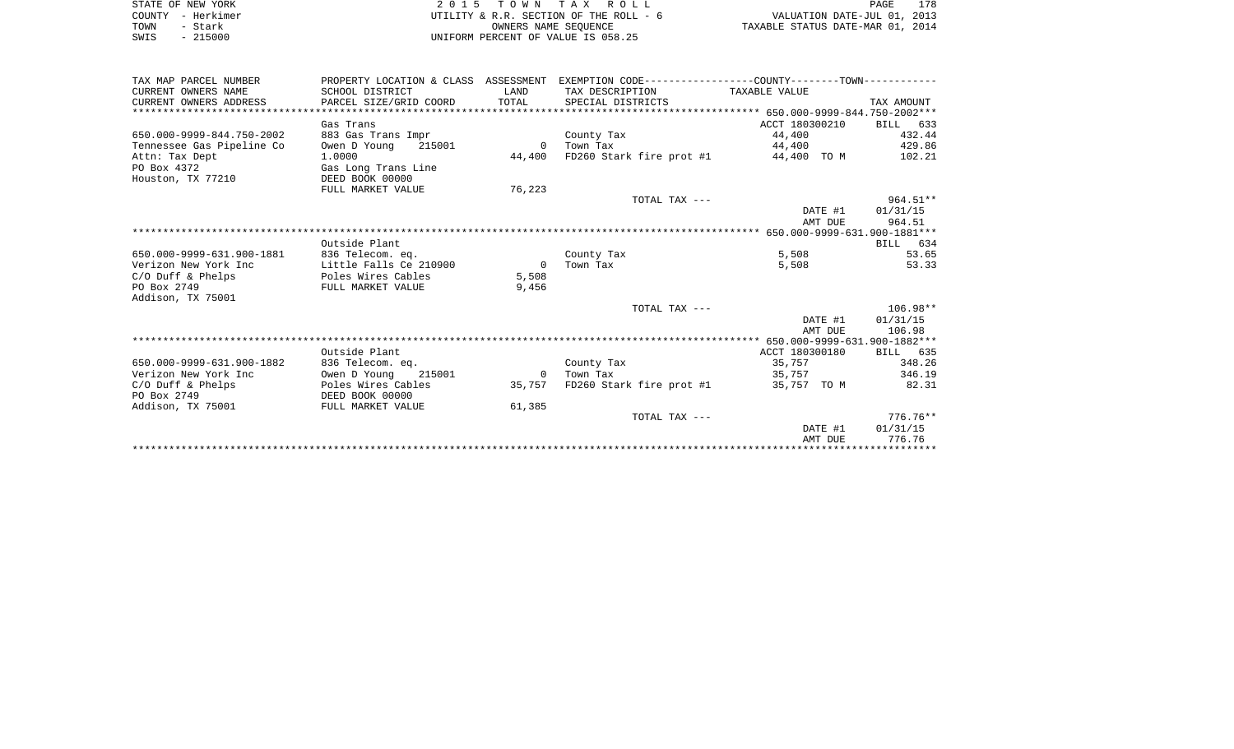| STATE OF NEW YORK         |                                        |                                  | 2015 TOWN TAX ROLL                                                                           |                    | 178<br>PAGE            |
|---------------------------|----------------------------------------|----------------------------------|----------------------------------------------------------------------------------------------|--------------------|------------------------|
| COUNTY - Herkimer         | UTILITY & R.R. SECTION OF THE ROLL - 6 | VALUATION DATE-JUL 01, 2013      |                                                                                              |                    |                        |
| TOWN<br>- Stark           |                                        | TAXABLE STATUS DATE-MAR 01, 2014 |                                                                                              |                    |                        |
| $-215000$<br>SWIS         | UNIFORM PERCENT OF VALUE IS 058.25     |                                  |                                                                                              |                    |                        |
|                           |                                        |                                  |                                                                                              |                    |                        |
| TAX MAP PARCEL NUMBER     |                                        |                                  | PROPERTY LOCATION & CLASS ASSESSMENT EXEMPTION CODE---------------COUNTY-------TOWN--------- |                    |                        |
| CURRENT OWNERS NAME       | SCHOOL DISTRICT                        | LAND                             | TAX DESCRIPTION                                                                              | TAXABLE VALUE      |                        |
| CURRENT OWNERS ADDRESS    | PARCEL SIZE/GRID COORD                 | TOTAL                            | SPECIAL DISTRICTS                                                                            |                    | TAX AMOUNT             |
|                           |                                        |                                  |                                                                                              |                    |                        |
|                           | Gas Trans                              |                                  |                                                                                              | ACCT 180300210     | BILL 633               |
| 650.000-9999-844.750-2002 | 883 Gas Trans Impr                     |                                  | County Tax                                                                                   | 44,400             | 432.44                 |
| Tennessee Gas Pipeline Co | Owen D Young<br>215001                 |                                  | 0 Town Tax                                                                                   | 44,400             | 429.86                 |
| Attn: Tax Dept            | 1.0000                                 | 44,400                           | FD260 Stark fire prot $#1$ 44,400 TO M                                                       |                    | 102.21                 |
| PO Box 4372               | Gas Long Trans Line                    |                                  |                                                                                              |                    |                        |
| Houston, TX 77210         | DEED BOOK 00000                        |                                  |                                                                                              |                    |                        |
|                           | FULL MARKET VALUE                      | 76,223                           |                                                                                              |                    |                        |
|                           |                                        |                                  | TOTAL TAX ---                                                                                |                    | $964.51**$<br>01/31/15 |
|                           |                                        |                                  |                                                                                              | DATE #1<br>AMT DUE | 964.51                 |
|                           |                                        |                                  |                                                                                              |                    |                        |
|                           | Outside Plant                          |                                  |                                                                                              |                    | BILL 634               |
| 650.000-9999-631.900-1881 | 836 Telecom. eq.                       |                                  | County Tax                                                                                   | 5,508              | 53.65                  |
| Verizon New York Inc      | Little Falls Ce 210900                 | $\overline{0}$                   | Town Tax                                                                                     | 5,508              | 53.33                  |
| $C/O$ Duff & Phelps       | Poles Wires Cables                     | 5,508                            |                                                                                              |                    |                        |
| PO Box 2749               | FULL MARKET VALUE                      | 9,456                            |                                                                                              |                    |                        |
| Addison, TX 75001         |                                        |                                  |                                                                                              |                    |                        |
|                           |                                        |                                  | TOTAL TAX ---                                                                                |                    | $106.98**$             |
|                           |                                        |                                  |                                                                                              | DATE #1            | 01/31/15               |
|                           |                                        |                                  |                                                                                              | AMT DUE            | 106.98                 |
|                           |                                        |                                  |                                                                                              |                    |                        |
|                           | Outside Plant                          |                                  |                                                                                              | ACCT 180300180     | BILL 635               |
| 650.000-9999-631.900-1882 | 836 Telecom. eq.                       |                                  | County Tax                                                                                   | 35,757             | 348.26                 |
| Verizon New York Inc      | Owen D Young<br>215001                 |                                  | 0 Town Tax                                                                                   | 35,757             | 346.19                 |
| $C/O$ Duff & Phelps       | Poles Wires Cables<br>DEED BOOK 00000  |                                  | 35,757 FD260 Stark fire prot #1                                                              | 35,757 TO M        | 82.31                  |
| PO Box 2749               |                                        |                                  |                                                                                              |                    |                        |
| Addison, TX 75001         | FULL MARKET VALUE                      | 61,385                           |                                                                                              |                    |                        |
|                           |                                        |                                  | TOTAL TAX ---                                                                                |                    | $776.76**$             |
|                           |                                        |                                  |                                                                                              | DATE #1            | 01/31/15               |
|                           |                                        |                                  |                                                                                              | AMT DUE            | 776.76                 |
|                           |                                        |                                  |                                                                                              |                    |                        |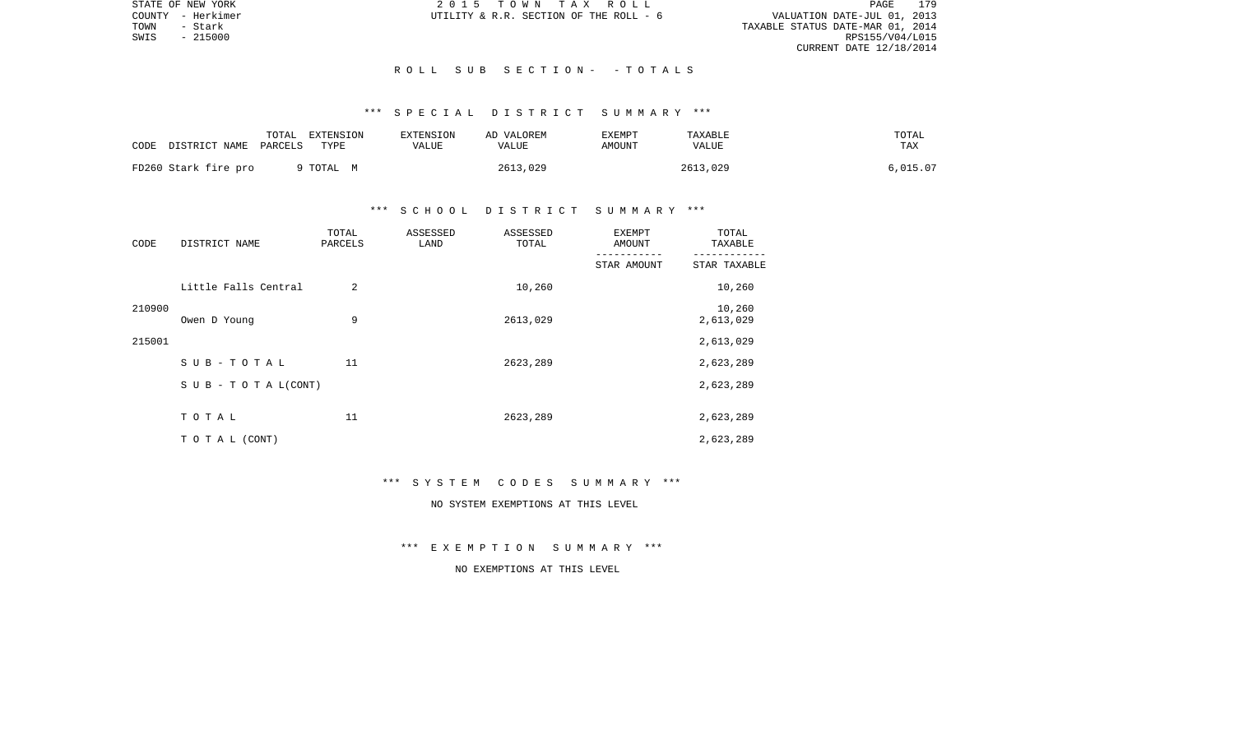STATE OF NEW YORK 2 0 1 5 T O W N T A X R O L L PAGE 179VALUATION DATE-JUL 01, 2013 TOWN - Stark TAXABLE STATUS DATE-MAR 01, 2014 RPS155/V04/L015 CURRENT DATE 12/18/2014

COUNTY - Herkimer  $U$ TILITY & R.R. SECTION OF THE ROLL - 6

## R O L L S U B S E C T I O N - - T O T A L S

# \*\*\* S P E C I A L D I S T R I C T S U M M A R Y \*\*\*

| CODE DISTRICT NAME PARCELS | TOTAL | EXTENSION<br>TYPE | <b>EXTENSION</b><br>VALUE | AD VALOREM<br>VALUE | EXEMPT<br>AMOUNT | TAXABLE<br>VALUE | TOTAL<br>TAX |
|----------------------------|-------|-------------------|---------------------------|---------------------|------------------|------------------|--------------|
| FD260 Stark fire pro       |       | TOTAL M           |                           | 2613,029            |                  | 2613,029         | 6,015.07     |

## \*\*\* S C H O O L D I S T R I C T S U M M A R Y \*\*\*

| CODE   | DISTRICT NAME                    | TOTAL<br>PARCELS | ASSESSED<br>LAND | ASSESSED<br>TOTAL | <b>EXEMPT</b><br>AMOUNT | TOTAL<br>TAXABLE    |
|--------|----------------------------------|------------------|------------------|-------------------|-------------------------|---------------------|
|        |                                  |                  |                  |                   | STAR AMOUNT             | STAR TAXABLE        |
|        | Little Falls Central             | 2                |                  | 10,260            |                         | 10,260              |
| 210900 | Owen D Young                     | 9                |                  | 2613,029          |                         | 10,260<br>2,613,029 |
| 215001 |                                  |                  |                  |                   |                         | 2,613,029           |
|        | $SUB - TO T AL$                  | 11               |                  | 2623,289          |                         | 2,623,289           |
|        | $S \cup B - T \cup T A L (CONT)$ |                  |                  |                   |                         | 2,623,289           |
|        | TOTAL                            | 11               |                  | 2623,289          |                         | 2,623,289           |
|        | TO TAL (CONT)                    |                  |                  |                   |                         | 2,623,289           |

#### \*\*\* S Y S T E M C O D E S S U M M A R Y \*\*\*

# NO SYSTEM EXEMPTIONS AT THIS LEVEL

\*\*\* E X E M P T I O N S U M M A R Y \*\*\*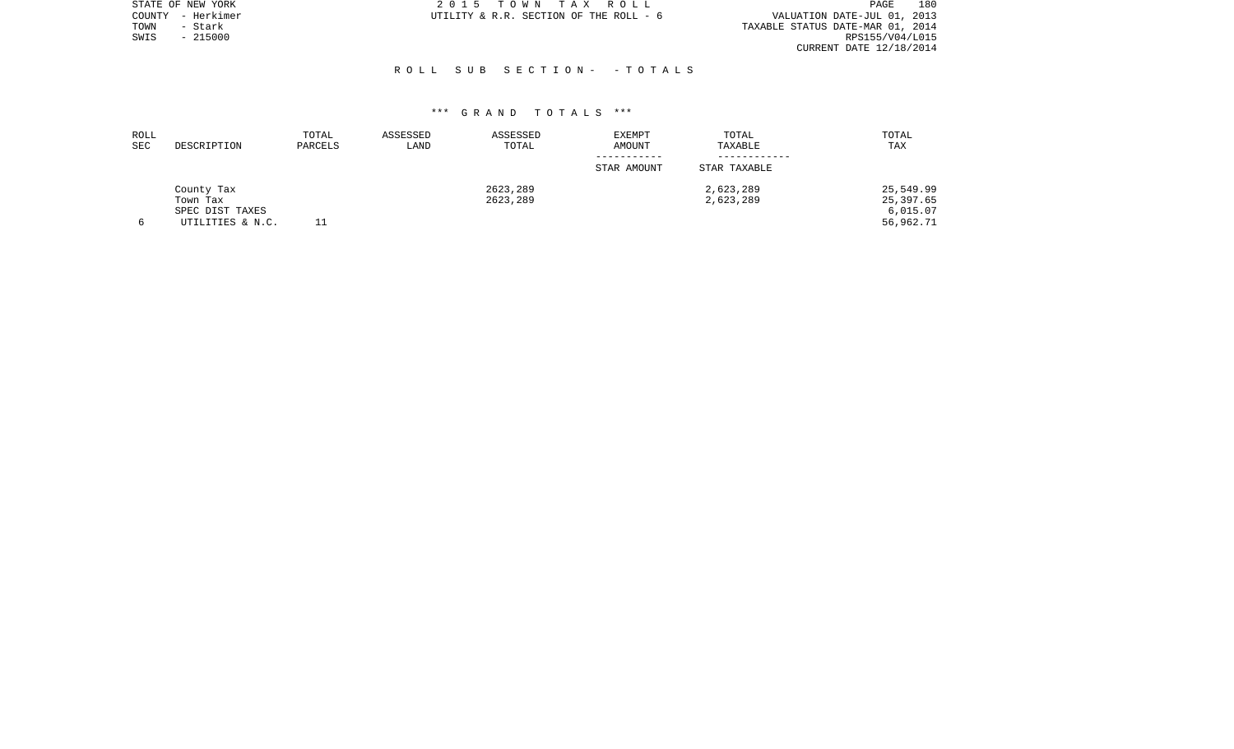|      | STATE OF NEW YORK | 2015 TOWN TAX ROLL                     | 180<br>PAGE                      |
|------|-------------------|----------------------------------------|----------------------------------|
|      | COUNTY - Herkimer | UTILITY & R.R. SECTION OF THE ROLL - 6 | VALUATION DATE-JUL 01, 2013      |
| TOWN | - Stark           |                                        | TAXABLE STATUS DATE-MAR 01, 2014 |
| SWIS | $-215000$         |                                        | RPS155/V04/L015                  |
|      |                   |                                        | CURRENT DATE 12/18/2014          |
|      |                   |                                        |                                  |

# R O L L S U B S E C T I O N - - T O T A L S

| ROLL |                  | TOTAL   | ASSESSED | ASSESSED | <b>EXEMPT</b> | TOTAL        | TOTAL     |
|------|------------------|---------|----------|----------|---------------|--------------|-----------|
| SEC  | DESCRIPTION      | PARCELS | LAND     | TOTAL    | AMOUNT        | TAXABLE      | TAX       |
|      |                  |         |          |          | -----------   |              |           |
|      |                  |         |          |          | STAR AMOUNT   | STAR TAXABLE |           |
|      | County Tax       |         |          | 2623,289 |               | 2,623,289    | 25,549.99 |
|      | Town Tax         |         |          | 2623,289 |               | 2,623,289    | 25,397.65 |
|      | SPEC DIST TAXES  |         |          |          |               |              | 6,015.07  |
|      | UTILITIES & N.C. |         |          |          |               |              | 56,962.71 |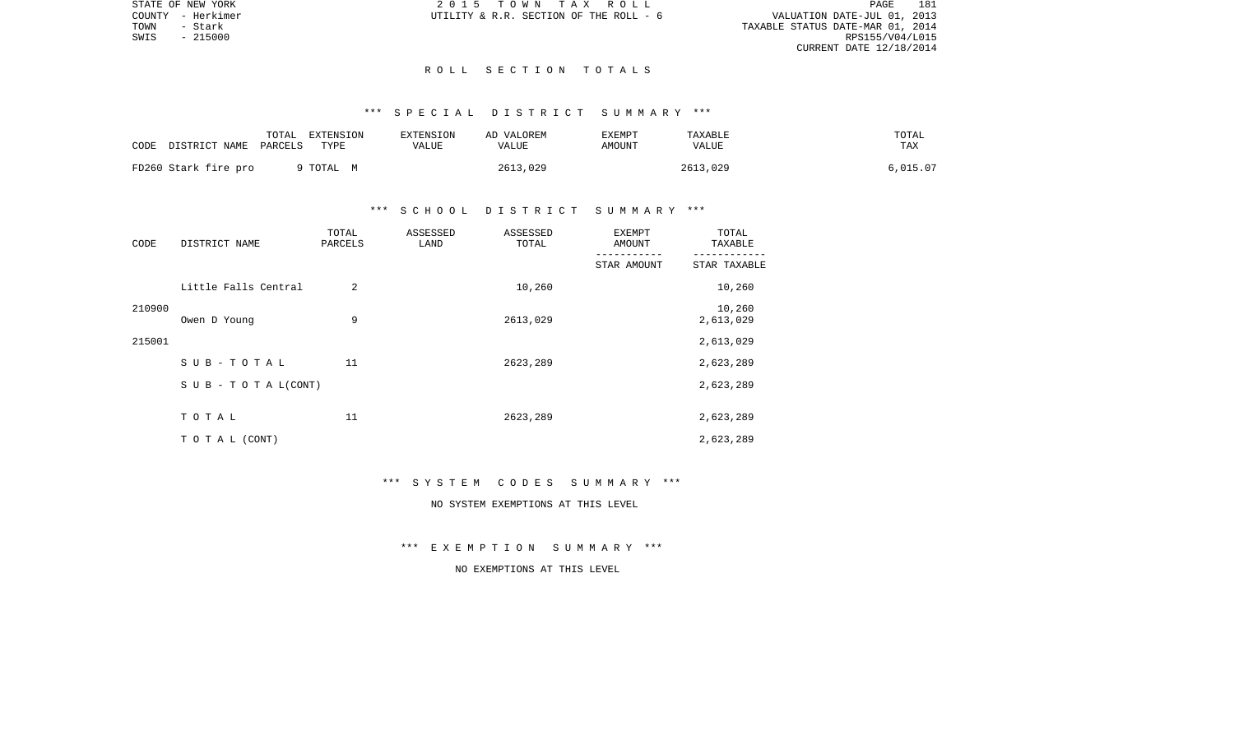STATE OF NEW YORK 2 0 1 5 T O W N T A X R O L L PAGE 181VALUATION DATE-JUL 01, 2013 TOWN - Stark TAXABLE STATUS DATE-MAR 01, 2014 CURRENT DATE 12/18/2014

COUNTY - Herkimer  $UTILLITY \& R.R.$  SECTION OF THE ROLL - 6

 $SWIS$  - 215000

#### R O L L S E C T I O N T O T A L S

## \*\*\* S P E C I A L D I S T R I C T S U M M A R Y \*\*\*

| CODE | DISTRICT NAME        | TOTAL<br>PARCELS | EXTENSION<br>TYPE | <b>EXTENSION</b><br>VALUE | AD VALOREM<br><b>VALUE</b> | EXEMPT<br>AMOUNT | TAXABLE<br><b>VALUE</b> | TOTAL<br>TAX |
|------|----------------------|------------------|-------------------|---------------------------|----------------------------|------------------|-------------------------|--------------|
|      | FD260 Stark fire pro |                  | 9 TOTAL M         |                           | 2613,029                   |                  | 2613,029                | 6.015.07     |

#### \*\*\* S C H O O L D I S T R I C T S U M M A R Y \*\*\*

| CODE   | DISTRICT NAME                    | TOTAL<br>PARCELS | ASSESSED<br>LAND | ASSESSED<br>TOTAL | <b>EXEMPT</b><br>AMOUNT | TOTAL<br>TAXABLE    |
|--------|----------------------------------|------------------|------------------|-------------------|-------------------------|---------------------|
|        |                                  |                  |                  |                   | STAR AMOUNT             | STAR TAXABLE        |
|        | Little Falls Central             | 2                |                  | 10,260            |                         | 10,260              |
| 210900 | Owen D Young                     | 9                |                  | 2613,029          |                         | 10,260<br>2,613,029 |
| 215001 |                                  |                  |                  |                   |                         | 2,613,029           |
|        | SUB-TOTAL                        | 11               |                  | 2623,289          |                         | 2,623,289           |
|        | $S \cup B - T \cup T A L (CONT)$ |                  |                  |                   |                         | 2,623,289           |
|        | TOTAL                            | 11               |                  | 2623,289          |                         | 2,623,289           |
|        | TO TAL (CONT)                    |                  |                  |                   |                         | 2,623,289           |

#### \*\*\* S Y S T E M C O D E S S U M M A R Y \*\*\*

## NO SYSTEM EXEMPTIONS AT THIS LEVEL

\*\*\* E X E M P T I O N S U M M A R Y \*\*\*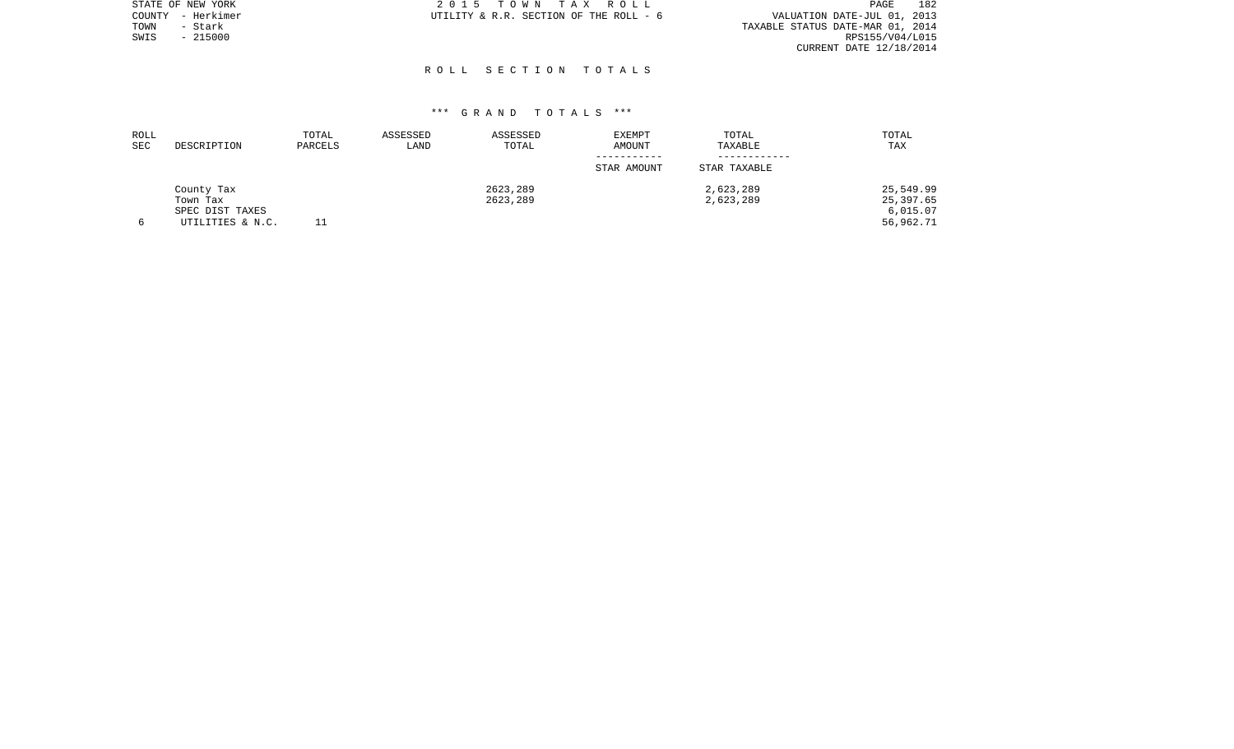| STATE OF NEW YORK | 2015 TOWN TAX ROLL                     | 182<br>PAGE                      |
|-------------------|----------------------------------------|----------------------------------|
| COUNTY - Herkimer | UTILITY & R.R. SECTION OF THE ROLL - 6 | VALUATION DATE-JUL 01, 2013      |
| - Stark<br>TOWN   |                                        | TAXABLE STATUS DATE-MAR 01, 2014 |
| $-215000$<br>SWIS |                                        | RPS155/V04/L015                  |
|                   |                                        | CURRENT DATE $12/18/2014$        |
|                   |                                        |                                  |
|                   | ROLL SECTION TOTALS                    |                                  |

| ROLL<br><b>SEC</b> | DESCRIPTION      | TOTAL<br>PARCELS | ASSESSED<br>LAND | ASSESSED<br>TOTAL | EXEMPT<br>AMOUNT | TOTAL<br>TAXABLE | TOTAL<br>TAX |
|--------------------|------------------|------------------|------------------|-------------------|------------------|------------------|--------------|
|                    |                  |                  |                  |                   | STAR AMOUNT      | STAR TAXABLE     |              |
|                    | County Tax       |                  |                  | 2623,289          |                  | 2,623,289        | 25,549.99    |
|                    | Town Tax         |                  |                  | 2623,289          |                  | 2,623,289        | 25,397.65    |
|                    | SPEC DIST TAXES  |                  |                  |                   |                  |                  | 6,015.07     |
|                    | UTILITIES & N.C. |                  |                  |                   |                  |                  | 56,962.71    |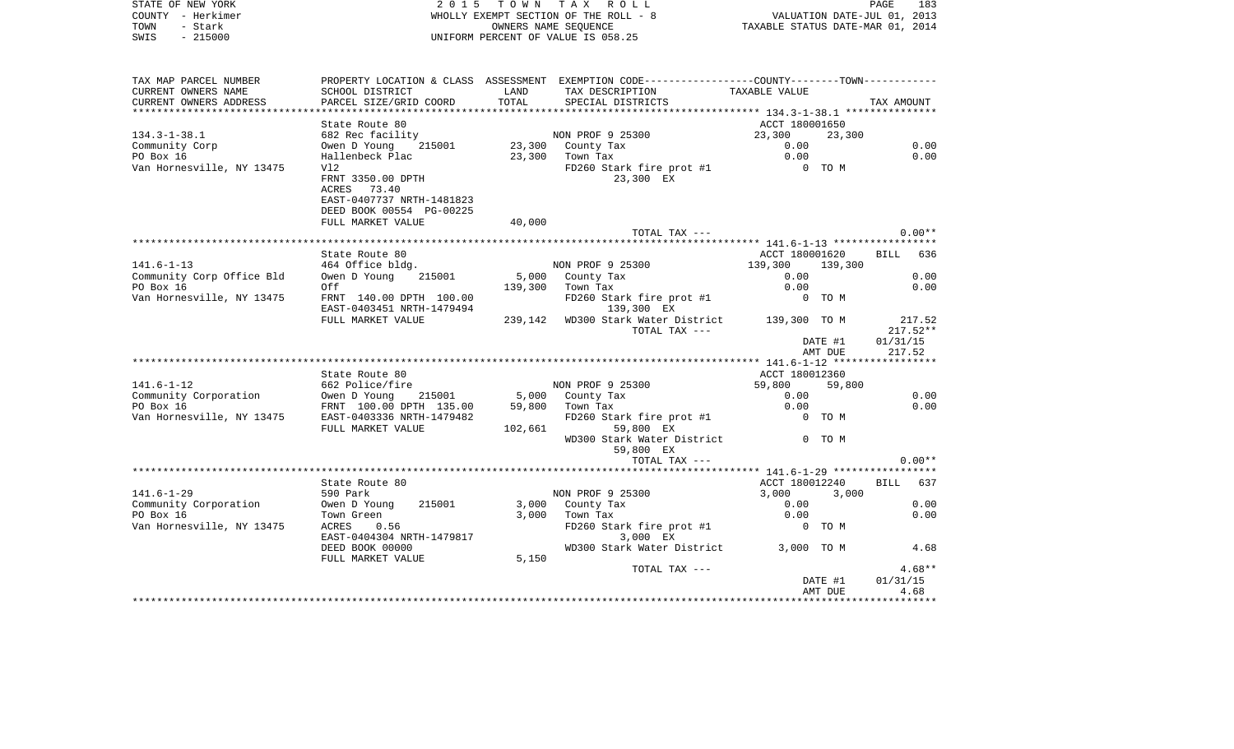| STATE OF NEW YORK<br>COUNTY - Herkimer<br>TOWN<br>- Stark<br>$-215000$ |                                                                                                |         | 2015 TOWN TAX ROLL<br>WHOLLY EXEMPT SECTION OF THE ROLL - 8<br>OWNERS NAME SEQUENCE<br>UNIFORM PERCENT OF VALUE IS 058.25 | PAGE 183<br>VALUATION DATE-JUL 01, 2013<br>TAXABLE STATIS DATE 11<br>TAXABLE STATUS DATE-MAR 01, 2014 |                    |                      |
|------------------------------------------------------------------------|------------------------------------------------------------------------------------------------|---------|---------------------------------------------------------------------------------------------------------------------------|-------------------------------------------------------------------------------------------------------|--------------------|----------------------|
| SWIS                                                                   |                                                                                                |         |                                                                                                                           |                                                                                                       |                    |                      |
| TAX MAP PARCEL NUMBER                                                  | PROPERTY LOCATION & CLASS ASSESSMENT EXEMPTION CODE----------------COUNTY-------TOWN---------- |         |                                                                                                                           |                                                                                                       |                    |                      |
| CURRENT OWNERS NAME                                                    | SCHOOL DISTRICT                                                                                | LAND    | TAX DESCRIPTION                                                                                                           | TAXABLE VALUE                                                                                         |                    |                      |
| CURRENT OWNERS ADDRESS                                                 | PARCEL SIZE/GRID COORD                                                                         | TOTAL   | SPECIAL DISTRICTS                                                                                                         |                                                                                                       |                    | TAX AMOUNT           |
|                                                                        |                                                                                                |         |                                                                                                                           |                                                                                                       |                    |                      |
| $134.3 - 1 - 38.1$                                                     | State Route 80<br>682 Rec facility                                                             |         | NON PROF 9 25300                                                                                                          | ACCT 180001650<br>23,300                                                                              | 23,300             |                      |
| Community Corp                                                         | Owen D Young 215001                                                                            |         | 23,300 County Tax                                                                                                         | 0.00                                                                                                  |                    | 0.00                 |
| PO Box 16                                                              | Hallenbeck Plac                                                                                |         | 23,300 Town Tax                                                                                                           | 0.00                                                                                                  |                    | 0.00                 |
| Van Hornesville, NY 13475                                              | V12                                                                                            |         | FD260 Stark fire prot #1                                                                                                  |                                                                                                       | 0 TO M             |                      |
|                                                                        | FRNT 3350.00 DPTH                                                                              |         | 23,300 EX                                                                                                                 |                                                                                                       |                    |                      |
|                                                                        | ACRES 73.40                                                                                    |         |                                                                                                                           |                                                                                                       |                    |                      |
|                                                                        | EAST-0407737 NRTH-1481823                                                                      |         |                                                                                                                           |                                                                                                       |                    |                      |
|                                                                        | DEED BOOK 00554 PG-00225                                                                       |         |                                                                                                                           |                                                                                                       |                    |                      |
|                                                                        | FULL MARKET VALUE                                                                              | 40,000  | TOTAL TAX ---                                                                                                             |                                                                                                       |                    | $0.00**$             |
|                                                                        |                                                                                                |         |                                                                                                                           |                                                                                                       |                    |                      |
|                                                                        | State Route 80                                                                                 |         |                                                                                                                           | ACCT 180001620                                                                                        |                    | BILL 636             |
| 141.6-1-13                                                             | 464 Office bldg.                                                                               |         | NON PROF 9 25300                                                                                                          | 139,300                                                                                               | 139,300            |                      |
| Community Corp Office Bld                                              | Owen D Young<br>215001                                                                         |         | 5,000 County Tax                                                                                                          | 0.00                                                                                                  |                    | 0.00                 |
| PO Box 16                                                              | Off                                                                                            |         | 139,300 Town Tax                                                                                                          | 0.00                                                                                                  |                    | 0.00                 |
| Van Hornesville, NY 13475                                              | FRNT 140.00 DPTH 100.00<br>EAST-0403451 NRTH-1479494                                           |         | FD260 Stark fire prot #1<br>139,300 EX                                                                                    |                                                                                                       | 0 TO M             |                      |
|                                                                        | FULL MARKET VALUE                                                                              |         | 239,142 WD300 Stark Water District 139,300 TO M                                                                           |                                                                                                       |                    | 217.52               |
|                                                                        |                                                                                                |         | TOTAL TAX ---                                                                                                             |                                                                                                       |                    | $217.52**$           |
|                                                                        |                                                                                                |         |                                                                                                                           |                                                                                                       | DATE #1<br>AMT DUE | 01/31/15<br>217.52   |
|                                                                        |                                                                                                |         |                                                                                                                           |                                                                                                       |                    |                      |
|                                                                        | State Route 80                                                                                 |         |                                                                                                                           | ACCT 180012360                                                                                        |                    |                      |
| $141.6 - 1 - 12$                                                       | 662 Police/fire                                                                                |         | NON PROF 9 25300                                                                                                          | 59,800                                                                                                | 59,800             |                      |
| Community Corporation                                                  | Owen D Young 215001                                                                            |         | 5,000 County Tax                                                                                                          | 0.00                                                                                                  |                    | 0.00                 |
| PO Box 16                                                              | FRNT 100.00 DPTH 135.00                                                                        |         | 59,800 Town Tax                                                                                                           | 0.00                                                                                                  |                    | 0.00                 |
|                                                                        | FULL MARKET VALUE                                                                              | 102,661 | FD260 Stark fire prot #1<br>59,800 EX                                                                                     |                                                                                                       | 0 TO M             |                      |
|                                                                        |                                                                                                |         | WD300 Stark Water District                                                                                                |                                                                                                       | 0 TO M             |                      |
|                                                                        |                                                                                                |         | 59,800 EX                                                                                                                 |                                                                                                       |                    |                      |
|                                                                        |                                                                                                |         | TOTAL TAX ---                                                                                                             |                                                                                                       |                    | $0.00**$             |
|                                                                        | State Route 80                                                                                 |         |                                                                                                                           | ACCT 180012240                                                                                        |                    | <b>BILL</b><br>637   |
| 141.6-1-29                                                             | 590 Park                                                                                       |         | NON PROF 9 25300                                                                                                          | 3,000                                                                                                 | 3,000              |                      |
| Community Corporation                                                  | Owen D Young<br>215001                                                                         |         | 3,000 County Tax                                                                                                          | 0.00                                                                                                  |                    | 0.00                 |
| PO Box 16                                                              | Town Green                                                                                     | 3,000   | Town Tax                                                                                                                  | 0.00                                                                                                  |                    | 0.00                 |
| Van Hornesville, NY 13475                                              | ACRES<br>0.56<br>EAST-0404304 NRTH-1479817                                                     |         | FD260 Stark fire prot #1<br>3,000 EX                                                                                      |                                                                                                       | 0 TO M             |                      |
|                                                                        | DEED BOOK 00000<br>FULL MARKET VALUE                                                           | 5,150   | WD300 Stark Water District                                                                                                | 3,000 TO M                                                                                            |                    | 4.68                 |
|                                                                        |                                                                                                |         | TOTAL TAX ---                                                                                                             |                                                                                                       | DATE #1            | $4.68**$<br>01/31/15 |
|                                                                        |                                                                                                |         |                                                                                                                           |                                                                                                       |                    |                      |

AMT DUE 4.68 \*\*\*\*\*\*\*\*\*\*\*\*\*\*\*\*\*\*\*\*\*\*\*\*\*\*\*\*\*\*\*\*\*\*\*\*\*\*\*\*\*\*\*\*\*\*\*\*\*\*\*\*\*\*\*\*\*\*\*\*\*\*\*\*\*\*\*\*\*\*\*\*\*\*\*\*\*\*\*\*\*\*\*\*\*\*\*\*\*\*\*\*\*\*\*\*\*\*\*\*\*\*\*\*\*\*\*\*\*\*\*\*\*\*\*\*\*\*\*\*\*\*\*\*\*\*\*\*\*\*\*\*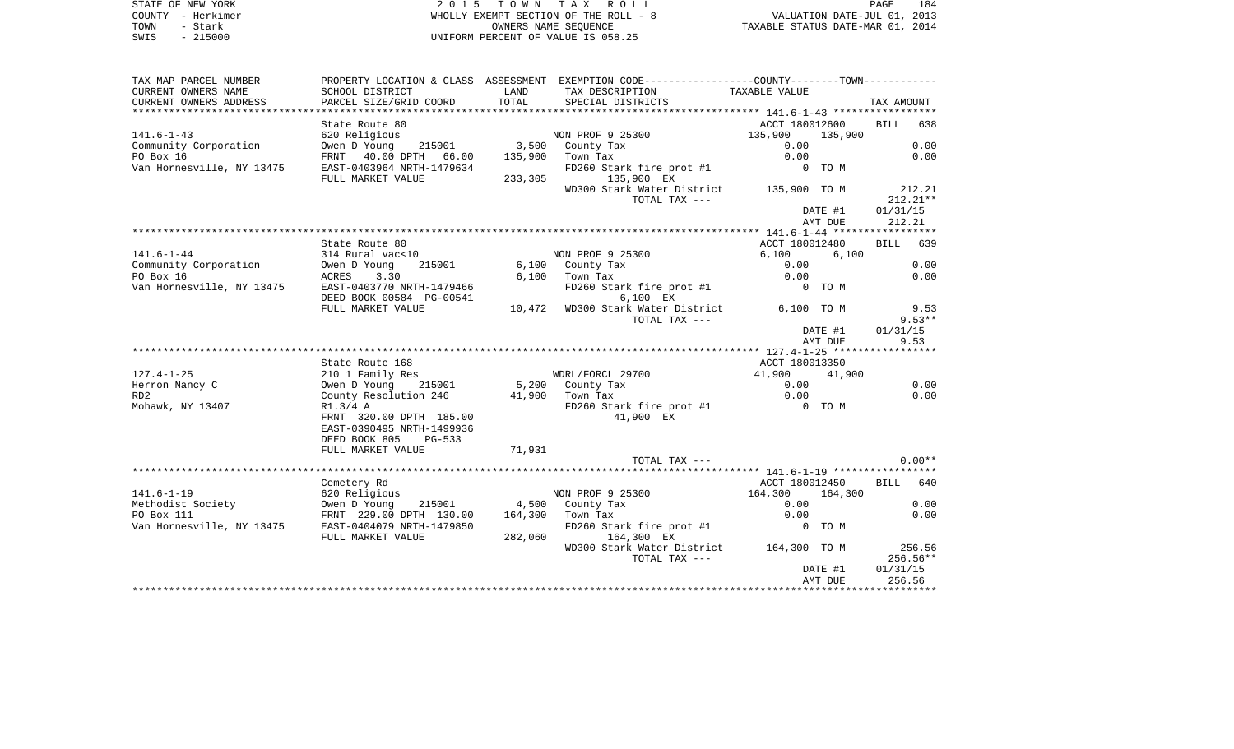STATE OF NEW YORK **EXECUTE:**  $2015$  TOWN TAX ROLL COUNTY - Herkimer WHOLLY EXEMPT SECTION OF THE ROLL - 8 VALUATION DATE-JUL 01, 2013 TOWN - Stark OWNERS NAME SEQUENCE TAXABLE STATUS DATE-MAR 01, 2014 SWIS - 215000 UNIFORM PERCENT OF VALUE IS 058.25

| CURRENT OWNERS NAME<br>SCHOOL DISTRICT<br>LAND<br>TAX DESCRIPTION<br>TAXABLE VALUE<br>CURRENT OWNERS ADDRESS<br>TOTAL<br>PARCEL SIZE/GRID COORD<br>SPECIAL DISTRICTS<br>TAX AMOUNT<br>ACCT 180012600<br>638<br>State Route 80<br>BILL<br>$141.6 - 1 - 43$<br>NON PROF 9 25300<br>135,900<br>135,900<br>620 Religious<br>0.00<br>215001 3,500 County Tax<br>Owen D Young<br>0.00<br>PO Box 16<br>FRNT 40.00 DPTH 66.00<br>0.00<br>0.00<br>135,900<br>Town Tax<br>EAST-0403964 NRTH-1479634<br>FD260 Stark fire prot #1<br>0 TO M<br>135,900 EX<br>FULL MARKET VALUE<br>233,305<br>WD300 Stark Water District 135,900 TO M<br>212.21<br>$212.21**$<br>TOTAL TAX ---<br>01/31/15<br>DATE #1<br>212.21<br>AMT DUE<br>BILL 639<br>State Route 80<br>ACCT 180012480<br>$141.6 - 1 - 44$<br>NON PROF 9 25300<br>314 Rural vac<10<br>6,100<br>6,100<br>0.00<br>Community Corporation<br>215001<br>6,100 County Tax<br>0.00<br>Owen D Young<br>PO Box 16<br>$6.100$ Town Tax<br>0.00<br>0.00<br>ACRES<br>3.30<br>Van Hornesville, NY 13475<br>EAST-0403770 NRTH-1479466<br>FD260 Stark fire prot #1<br>0 TO M<br>DEED BOOK 00584 PG-00541<br>6,100 EX<br>10,472 WD300 Stark Water District<br>6,100 TO M<br>FULL MARKET VALUE<br>9.53<br>$9.53**$<br>TOTAL TAX ---<br>01/31/15<br>DATE #1<br>9.53<br>AMT DUE<br>State Route 168<br>ACCT 180013350<br>$127.4 - 1 - 25$<br>210 1 Family Res<br>WDRL/FORCL 29700<br>41,900<br>41,900<br>Herron Nancy C<br>5,200 County Tax<br>0.00<br>0.00<br>Owen D Young<br>215001<br>0.00<br>County Resolution 246<br>41,900 Town Tax<br>0.00<br>RD <sub>2</sub><br>FD260 Stark fire prot #1<br>Mohawk, NY 13407<br>R1.3/4A<br>0 TO M<br>FRNT 320.00 DPTH 185.00<br>41,900 EX<br>EAST-0390495 NRTH-1499936<br>DEED BOOK 805<br>$PG-533$<br>FULL MARKET VALUE<br>71,931<br>$0.00**$<br>TOTAL TAX ---<br>BILL 640<br>ACCT 180012450<br>Cemetery Rd<br>$141.6 - 1 - 19$<br>620 Religious<br>NON PROF 9 25300<br>164,300<br>164,300<br>0.00<br>Methodist Society<br>4,500 County Tax<br>0.00<br>Owen D Young<br>215001<br>PO Box 111<br>FRNT 229.00 DPTH 130.00<br>164,300<br>0.00<br>0.00<br>Town Tax<br>Van Hornesville, NY 13475<br>EAST-0404079 NRTH-1479850<br>FD260 Stark fire prot #1<br>0 TO M<br>282,060<br>FULL MARKET VALUE<br>164,300 EX<br>WD300 Stark Water District<br>164,300 TO M<br>256.56<br>TOTAL TAX ---<br>$256.56**$<br>01/31/15<br>DATE #1<br>256.56<br>AMT DUE | TAX MAP PARCEL NUMBER     |  | PROPERTY LOCATION & CLASS ASSESSMENT EXEMPTION CODE---------------COUNTY--------TOWN---------- |  |
|------------------------------------------------------------------------------------------------------------------------------------------------------------------------------------------------------------------------------------------------------------------------------------------------------------------------------------------------------------------------------------------------------------------------------------------------------------------------------------------------------------------------------------------------------------------------------------------------------------------------------------------------------------------------------------------------------------------------------------------------------------------------------------------------------------------------------------------------------------------------------------------------------------------------------------------------------------------------------------------------------------------------------------------------------------------------------------------------------------------------------------------------------------------------------------------------------------------------------------------------------------------------------------------------------------------------------------------------------------------------------------------------------------------------------------------------------------------------------------------------------------------------------------------------------------------------------------------------------------------------------------------------------------------------------------------------------------------------------------------------------------------------------------------------------------------------------------------------------------------------------------------------------------------------------------------------------------------------------------------------------------------------------------------------------------------------------------------------------------------------------------------------------------------------------------------------------------------------------------------------------------------------------------------------------------------------------------------------------------------------------------------------------------|---------------------------|--|------------------------------------------------------------------------------------------------|--|
|                                                                                                                                                                                                                                                                                                                                                                                                                                                                                                                                                                                                                                                                                                                                                                                                                                                                                                                                                                                                                                                                                                                                                                                                                                                                                                                                                                                                                                                                                                                                                                                                                                                                                                                                                                                                                                                                                                                                                                                                                                                                                                                                                                                                                                                                                                                                                                                                            |                           |  |                                                                                                |  |
|                                                                                                                                                                                                                                                                                                                                                                                                                                                                                                                                                                                                                                                                                                                                                                                                                                                                                                                                                                                                                                                                                                                                                                                                                                                                                                                                                                                                                                                                                                                                                                                                                                                                                                                                                                                                                                                                                                                                                                                                                                                                                                                                                                                                                                                                                                                                                                                                            |                           |  |                                                                                                |  |
|                                                                                                                                                                                                                                                                                                                                                                                                                                                                                                                                                                                                                                                                                                                                                                                                                                                                                                                                                                                                                                                                                                                                                                                                                                                                                                                                                                                                                                                                                                                                                                                                                                                                                                                                                                                                                                                                                                                                                                                                                                                                                                                                                                                                                                                                                                                                                                                                            |                           |  |                                                                                                |  |
|                                                                                                                                                                                                                                                                                                                                                                                                                                                                                                                                                                                                                                                                                                                                                                                                                                                                                                                                                                                                                                                                                                                                                                                                                                                                                                                                                                                                                                                                                                                                                                                                                                                                                                                                                                                                                                                                                                                                                                                                                                                                                                                                                                                                                                                                                                                                                                                                            |                           |  |                                                                                                |  |
|                                                                                                                                                                                                                                                                                                                                                                                                                                                                                                                                                                                                                                                                                                                                                                                                                                                                                                                                                                                                                                                                                                                                                                                                                                                                                                                                                                                                                                                                                                                                                                                                                                                                                                                                                                                                                                                                                                                                                                                                                                                                                                                                                                                                                                                                                                                                                                                                            |                           |  |                                                                                                |  |
|                                                                                                                                                                                                                                                                                                                                                                                                                                                                                                                                                                                                                                                                                                                                                                                                                                                                                                                                                                                                                                                                                                                                                                                                                                                                                                                                                                                                                                                                                                                                                                                                                                                                                                                                                                                                                                                                                                                                                                                                                                                                                                                                                                                                                                                                                                                                                                                                            | Community Corporation     |  |                                                                                                |  |
|                                                                                                                                                                                                                                                                                                                                                                                                                                                                                                                                                                                                                                                                                                                                                                                                                                                                                                                                                                                                                                                                                                                                                                                                                                                                                                                                                                                                                                                                                                                                                                                                                                                                                                                                                                                                                                                                                                                                                                                                                                                                                                                                                                                                                                                                                                                                                                                                            |                           |  |                                                                                                |  |
|                                                                                                                                                                                                                                                                                                                                                                                                                                                                                                                                                                                                                                                                                                                                                                                                                                                                                                                                                                                                                                                                                                                                                                                                                                                                                                                                                                                                                                                                                                                                                                                                                                                                                                                                                                                                                                                                                                                                                                                                                                                                                                                                                                                                                                                                                                                                                                                                            | Van Hornesville, NY 13475 |  |                                                                                                |  |
|                                                                                                                                                                                                                                                                                                                                                                                                                                                                                                                                                                                                                                                                                                                                                                                                                                                                                                                                                                                                                                                                                                                                                                                                                                                                                                                                                                                                                                                                                                                                                                                                                                                                                                                                                                                                                                                                                                                                                                                                                                                                                                                                                                                                                                                                                                                                                                                                            |                           |  |                                                                                                |  |
|                                                                                                                                                                                                                                                                                                                                                                                                                                                                                                                                                                                                                                                                                                                                                                                                                                                                                                                                                                                                                                                                                                                                                                                                                                                                                                                                                                                                                                                                                                                                                                                                                                                                                                                                                                                                                                                                                                                                                                                                                                                                                                                                                                                                                                                                                                                                                                                                            |                           |  |                                                                                                |  |
|                                                                                                                                                                                                                                                                                                                                                                                                                                                                                                                                                                                                                                                                                                                                                                                                                                                                                                                                                                                                                                                                                                                                                                                                                                                                                                                                                                                                                                                                                                                                                                                                                                                                                                                                                                                                                                                                                                                                                                                                                                                                                                                                                                                                                                                                                                                                                                                                            |                           |  |                                                                                                |  |
|                                                                                                                                                                                                                                                                                                                                                                                                                                                                                                                                                                                                                                                                                                                                                                                                                                                                                                                                                                                                                                                                                                                                                                                                                                                                                                                                                                                                                                                                                                                                                                                                                                                                                                                                                                                                                                                                                                                                                                                                                                                                                                                                                                                                                                                                                                                                                                                                            |                           |  |                                                                                                |  |
|                                                                                                                                                                                                                                                                                                                                                                                                                                                                                                                                                                                                                                                                                                                                                                                                                                                                                                                                                                                                                                                                                                                                                                                                                                                                                                                                                                                                                                                                                                                                                                                                                                                                                                                                                                                                                                                                                                                                                                                                                                                                                                                                                                                                                                                                                                                                                                                                            |                           |  |                                                                                                |  |
|                                                                                                                                                                                                                                                                                                                                                                                                                                                                                                                                                                                                                                                                                                                                                                                                                                                                                                                                                                                                                                                                                                                                                                                                                                                                                                                                                                                                                                                                                                                                                                                                                                                                                                                                                                                                                                                                                                                                                                                                                                                                                                                                                                                                                                                                                                                                                                                                            |                           |  |                                                                                                |  |
|                                                                                                                                                                                                                                                                                                                                                                                                                                                                                                                                                                                                                                                                                                                                                                                                                                                                                                                                                                                                                                                                                                                                                                                                                                                                                                                                                                                                                                                                                                                                                                                                                                                                                                                                                                                                                                                                                                                                                                                                                                                                                                                                                                                                                                                                                                                                                                                                            |                           |  |                                                                                                |  |
|                                                                                                                                                                                                                                                                                                                                                                                                                                                                                                                                                                                                                                                                                                                                                                                                                                                                                                                                                                                                                                                                                                                                                                                                                                                                                                                                                                                                                                                                                                                                                                                                                                                                                                                                                                                                                                                                                                                                                                                                                                                                                                                                                                                                                                                                                                                                                                                                            |                           |  |                                                                                                |  |
|                                                                                                                                                                                                                                                                                                                                                                                                                                                                                                                                                                                                                                                                                                                                                                                                                                                                                                                                                                                                                                                                                                                                                                                                                                                                                                                                                                                                                                                                                                                                                                                                                                                                                                                                                                                                                                                                                                                                                                                                                                                                                                                                                                                                                                                                                                                                                                                                            |                           |  |                                                                                                |  |
|                                                                                                                                                                                                                                                                                                                                                                                                                                                                                                                                                                                                                                                                                                                                                                                                                                                                                                                                                                                                                                                                                                                                                                                                                                                                                                                                                                                                                                                                                                                                                                                                                                                                                                                                                                                                                                                                                                                                                                                                                                                                                                                                                                                                                                                                                                                                                                                                            |                           |  |                                                                                                |  |
|                                                                                                                                                                                                                                                                                                                                                                                                                                                                                                                                                                                                                                                                                                                                                                                                                                                                                                                                                                                                                                                                                                                                                                                                                                                                                                                                                                                                                                                                                                                                                                                                                                                                                                                                                                                                                                                                                                                                                                                                                                                                                                                                                                                                                                                                                                                                                                                                            |                           |  |                                                                                                |  |
|                                                                                                                                                                                                                                                                                                                                                                                                                                                                                                                                                                                                                                                                                                                                                                                                                                                                                                                                                                                                                                                                                                                                                                                                                                                                                                                                                                                                                                                                                                                                                                                                                                                                                                                                                                                                                                                                                                                                                                                                                                                                                                                                                                                                                                                                                                                                                                                                            |                           |  |                                                                                                |  |
|                                                                                                                                                                                                                                                                                                                                                                                                                                                                                                                                                                                                                                                                                                                                                                                                                                                                                                                                                                                                                                                                                                                                                                                                                                                                                                                                                                                                                                                                                                                                                                                                                                                                                                                                                                                                                                                                                                                                                                                                                                                                                                                                                                                                                                                                                                                                                                                                            |                           |  |                                                                                                |  |
|                                                                                                                                                                                                                                                                                                                                                                                                                                                                                                                                                                                                                                                                                                                                                                                                                                                                                                                                                                                                                                                                                                                                                                                                                                                                                                                                                                                                                                                                                                                                                                                                                                                                                                                                                                                                                                                                                                                                                                                                                                                                                                                                                                                                                                                                                                                                                                                                            |                           |  |                                                                                                |  |
|                                                                                                                                                                                                                                                                                                                                                                                                                                                                                                                                                                                                                                                                                                                                                                                                                                                                                                                                                                                                                                                                                                                                                                                                                                                                                                                                                                                                                                                                                                                                                                                                                                                                                                                                                                                                                                                                                                                                                                                                                                                                                                                                                                                                                                                                                                                                                                                                            |                           |  |                                                                                                |  |
|                                                                                                                                                                                                                                                                                                                                                                                                                                                                                                                                                                                                                                                                                                                                                                                                                                                                                                                                                                                                                                                                                                                                                                                                                                                                                                                                                                                                                                                                                                                                                                                                                                                                                                                                                                                                                                                                                                                                                                                                                                                                                                                                                                                                                                                                                                                                                                                                            |                           |  |                                                                                                |  |
|                                                                                                                                                                                                                                                                                                                                                                                                                                                                                                                                                                                                                                                                                                                                                                                                                                                                                                                                                                                                                                                                                                                                                                                                                                                                                                                                                                                                                                                                                                                                                                                                                                                                                                                                                                                                                                                                                                                                                                                                                                                                                                                                                                                                                                                                                                                                                                                                            |                           |  |                                                                                                |  |
|                                                                                                                                                                                                                                                                                                                                                                                                                                                                                                                                                                                                                                                                                                                                                                                                                                                                                                                                                                                                                                                                                                                                                                                                                                                                                                                                                                                                                                                                                                                                                                                                                                                                                                                                                                                                                                                                                                                                                                                                                                                                                                                                                                                                                                                                                                                                                                                                            |                           |  |                                                                                                |  |
|                                                                                                                                                                                                                                                                                                                                                                                                                                                                                                                                                                                                                                                                                                                                                                                                                                                                                                                                                                                                                                                                                                                                                                                                                                                                                                                                                                                                                                                                                                                                                                                                                                                                                                                                                                                                                                                                                                                                                                                                                                                                                                                                                                                                                                                                                                                                                                                                            |                           |  |                                                                                                |  |
|                                                                                                                                                                                                                                                                                                                                                                                                                                                                                                                                                                                                                                                                                                                                                                                                                                                                                                                                                                                                                                                                                                                                                                                                                                                                                                                                                                                                                                                                                                                                                                                                                                                                                                                                                                                                                                                                                                                                                                                                                                                                                                                                                                                                                                                                                                                                                                                                            |                           |  |                                                                                                |  |
|                                                                                                                                                                                                                                                                                                                                                                                                                                                                                                                                                                                                                                                                                                                                                                                                                                                                                                                                                                                                                                                                                                                                                                                                                                                                                                                                                                                                                                                                                                                                                                                                                                                                                                                                                                                                                                                                                                                                                                                                                                                                                                                                                                                                                                                                                                                                                                                                            |                           |  |                                                                                                |  |
|                                                                                                                                                                                                                                                                                                                                                                                                                                                                                                                                                                                                                                                                                                                                                                                                                                                                                                                                                                                                                                                                                                                                                                                                                                                                                                                                                                                                                                                                                                                                                                                                                                                                                                                                                                                                                                                                                                                                                                                                                                                                                                                                                                                                                                                                                                                                                                                                            |                           |  |                                                                                                |  |
|                                                                                                                                                                                                                                                                                                                                                                                                                                                                                                                                                                                                                                                                                                                                                                                                                                                                                                                                                                                                                                                                                                                                                                                                                                                                                                                                                                                                                                                                                                                                                                                                                                                                                                                                                                                                                                                                                                                                                                                                                                                                                                                                                                                                                                                                                                                                                                                                            |                           |  |                                                                                                |  |
|                                                                                                                                                                                                                                                                                                                                                                                                                                                                                                                                                                                                                                                                                                                                                                                                                                                                                                                                                                                                                                                                                                                                                                                                                                                                                                                                                                                                                                                                                                                                                                                                                                                                                                                                                                                                                                                                                                                                                                                                                                                                                                                                                                                                                                                                                                                                                                                                            |                           |  |                                                                                                |  |
|                                                                                                                                                                                                                                                                                                                                                                                                                                                                                                                                                                                                                                                                                                                                                                                                                                                                                                                                                                                                                                                                                                                                                                                                                                                                                                                                                                                                                                                                                                                                                                                                                                                                                                                                                                                                                                                                                                                                                                                                                                                                                                                                                                                                                                                                                                                                                                                                            |                           |  |                                                                                                |  |
|                                                                                                                                                                                                                                                                                                                                                                                                                                                                                                                                                                                                                                                                                                                                                                                                                                                                                                                                                                                                                                                                                                                                                                                                                                                                                                                                                                                                                                                                                                                                                                                                                                                                                                                                                                                                                                                                                                                                                                                                                                                                                                                                                                                                                                                                                                                                                                                                            |                           |  |                                                                                                |  |
|                                                                                                                                                                                                                                                                                                                                                                                                                                                                                                                                                                                                                                                                                                                                                                                                                                                                                                                                                                                                                                                                                                                                                                                                                                                                                                                                                                                                                                                                                                                                                                                                                                                                                                                                                                                                                                                                                                                                                                                                                                                                                                                                                                                                                                                                                                                                                                                                            |                           |  |                                                                                                |  |
|                                                                                                                                                                                                                                                                                                                                                                                                                                                                                                                                                                                                                                                                                                                                                                                                                                                                                                                                                                                                                                                                                                                                                                                                                                                                                                                                                                                                                                                                                                                                                                                                                                                                                                                                                                                                                                                                                                                                                                                                                                                                                                                                                                                                                                                                                                                                                                                                            |                           |  |                                                                                                |  |
|                                                                                                                                                                                                                                                                                                                                                                                                                                                                                                                                                                                                                                                                                                                                                                                                                                                                                                                                                                                                                                                                                                                                                                                                                                                                                                                                                                                                                                                                                                                                                                                                                                                                                                                                                                                                                                                                                                                                                                                                                                                                                                                                                                                                                                                                                                                                                                                                            |                           |  |                                                                                                |  |
|                                                                                                                                                                                                                                                                                                                                                                                                                                                                                                                                                                                                                                                                                                                                                                                                                                                                                                                                                                                                                                                                                                                                                                                                                                                                                                                                                                                                                                                                                                                                                                                                                                                                                                                                                                                                                                                                                                                                                                                                                                                                                                                                                                                                                                                                                                                                                                                                            |                           |  |                                                                                                |  |
|                                                                                                                                                                                                                                                                                                                                                                                                                                                                                                                                                                                                                                                                                                                                                                                                                                                                                                                                                                                                                                                                                                                                                                                                                                                                                                                                                                                                                                                                                                                                                                                                                                                                                                                                                                                                                                                                                                                                                                                                                                                                                                                                                                                                                                                                                                                                                                                                            |                           |  |                                                                                                |  |
|                                                                                                                                                                                                                                                                                                                                                                                                                                                                                                                                                                                                                                                                                                                                                                                                                                                                                                                                                                                                                                                                                                                                                                                                                                                                                                                                                                                                                                                                                                                                                                                                                                                                                                                                                                                                                                                                                                                                                                                                                                                                                                                                                                                                                                                                                                                                                                                                            |                           |  |                                                                                                |  |
|                                                                                                                                                                                                                                                                                                                                                                                                                                                                                                                                                                                                                                                                                                                                                                                                                                                                                                                                                                                                                                                                                                                                                                                                                                                                                                                                                                                                                                                                                                                                                                                                                                                                                                                                                                                                                                                                                                                                                                                                                                                                                                                                                                                                                                                                                                                                                                                                            |                           |  |                                                                                                |  |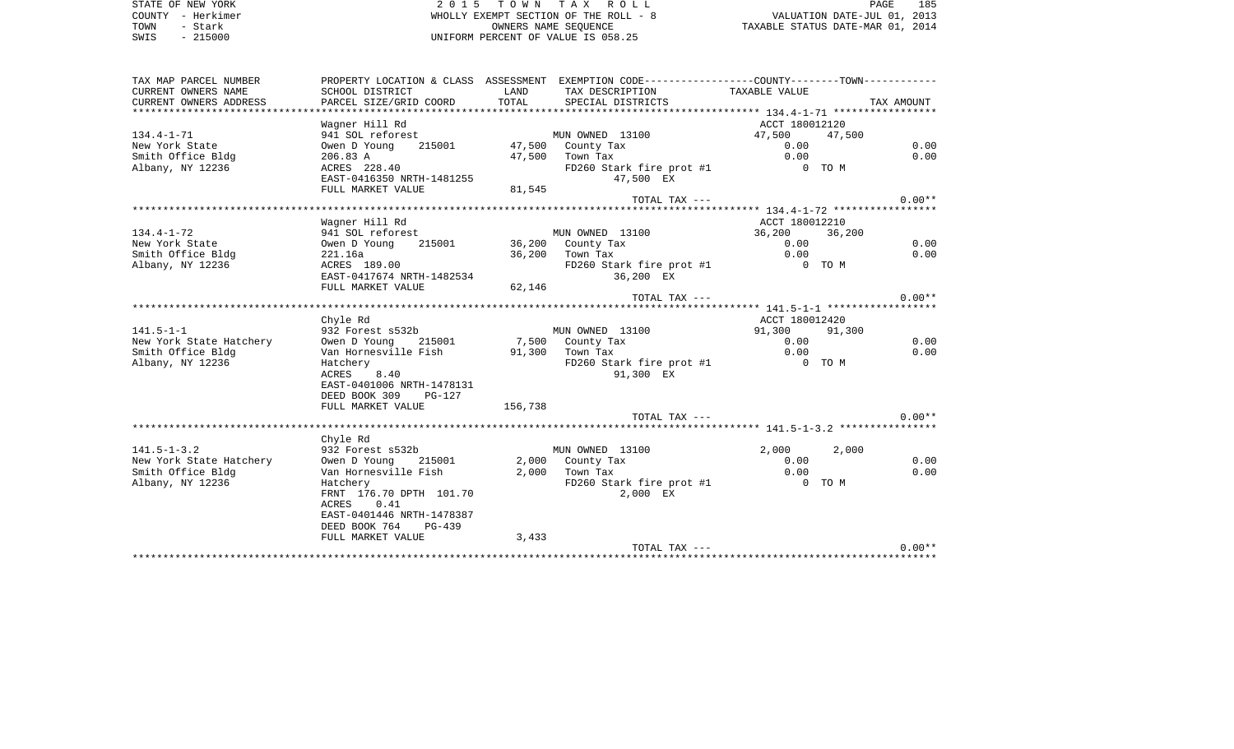STATE OF NEW YORK **EXECUTE:** A G ALL 2 0 1 5 T O W N T A X R O L L COUNTY - Herkimer WHOLLY EXEMPT SECTION OF THE ROLL - 8 VALUATION DATE-JUL 01, 2013 TOWN - Stark OWNERS NAME SEQUENCE TAXABLE STATUS DATE-MAR 01, 2014 SWIS - 215000 UNIFORM PERCENT OF VALUE IS 058.25

| TAX MAP PARCEL NUMBER   |                                                                           |         | PROPERTY LOCATION & CLASS ASSESSMENT EXEMPTION CODE---------------COUNTY-------TOWN---------- |                |        |            |
|-------------------------|---------------------------------------------------------------------------|---------|-----------------------------------------------------------------------------------------------|----------------|--------|------------|
| CURRENT OWNERS NAME     | SCHOOL DISTRICT                                                           | LAND    | TAX DESCRIPTION                                                                               | TAXABLE VALUE  |        |            |
| CURRENT OWNERS ADDRESS  | PARCEL SIZE/GRID COORD                                                    | TOTAL   | SPECIAL DISTRICTS                                                                             |                |        | TAX AMOUNT |
|                         |                                                                           |         |                                                                                               |                |        |            |
|                         | Wagner Hill Rd                                                            |         |                                                                                               | ACCT 180012120 |        |            |
| $134.4 - 1 - 71$        | 941 SOL reforest                                                          |         | t<br>215001                   47,500   County Tax                                             | 47,500 47,500  |        |            |
| New York State          | Owen D Young                                                              |         |                                                                                               | 0.00           |        | 0.00       |
| Smith Office Bldg       | 206.83 A                                                                  |         | 47,500 Town Tax                                                                               | 0.00           |        | 0.00       |
| Albany, NY 12236        | 206.83 A<br>ACRES 228.40                                                  |         | FD260 Stark fire prot #1                                                                      | 0 TO M         |        |            |
|                         | ALRED 228.40<br>EAST-0416350 NRTH-1481255                                 |         | 47,500 EX                                                                                     |                |        |            |
|                         | FULL MARKET VALUE                                                         | 81,545  |                                                                                               |                |        |            |
|                         |                                                                           |         | TOTAL TAX ---                                                                                 |                |        | $0.00**$   |
|                         |                                                                           |         |                                                                                               |                |        |            |
|                         |                                                                           |         |                                                                                               |                |        |            |
|                         | Wagner Hill Rd                                                            |         |                                                                                               | ACCT 180012210 |        |            |
| $134.4 - 1 - 72$        | 941 SOL reforest MUN OWNED 13100<br>Owen D Young 215001 36,200 County Tax |         |                                                                                               | 36,200 36,200  |        |            |
| New York State          |                                                                           |         |                                                                                               | 0.00           |        | 0.00       |
| Smith Office Bldg       | 221.16a<br>ACRES 189.00                                                   |         | 36,200 Town Tax                                                                               | 0.00           |        | 0.00       |
| Albany, NY 12236        | ACRES 189.00<br>EAST-0417674 NRTH-1482534                                 |         | FD260 Stark fire prot #1 0 TO M                                                               |                |        |            |
|                         |                                                                           |         | 36,200 EX                                                                                     |                |        |            |
|                         | FULL MARKET VALUE                                                         | 62,146  |                                                                                               |                |        |            |
|                         |                                                                           |         | TOTAL TAX ---                                                                                 |                |        | $0.00**$   |
|                         |                                                                           |         |                                                                                               |                |        |            |
|                         | Chyle Rd                                                                  |         |                                                                                               | ACCT 180012420 |        |            |
| $141.5 - 1 - 1$         | 932 Forest s532b                                                          |         | MUN OWNED 13100                                                                               | 91,300         | 91,300 |            |
| New York State Hatchery |                                                                           |         | Owen D Young 215001 7,500 County Tax<br>The Homeonille Fish 91.300 Town Tax                   | 0.00           |        | 0.00       |
| Smith Office Bldg       |                                                                           |         |                                                                                               | 0.00           |        | 0.00       |
| Albany, NY 12236        | Hatchery                                                                  |         | FD260 Stark fire prot #1 0 TO M                                                               |                |        |            |
|                         | ACRES 8.40                                                                |         | 91,300 EX                                                                                     |                |        |            |
|                         | EAST-0401006 NRTH-1478131                                                 |         |                                                                                               |                |        |            |
|                         | DEED BOOK 309 PG-127                                                      |         |                                                                                               |                |        |            |
|                         | FULL MARKET VALUE                                                         | 156,738 |                                                                                               |                |        |            |
|                         |                                                                           |         | TOTAL TAX ---                                                                                 |                |        | $0.00**$   |
|                         |                                                                           |         |                                                                                               |                |        |            |
|                         | Chyle Rd                                                                  |         |                                                                                               |                |        |            |
| $141.5 - 1 - 3.2$       | 932 Forest s532b                                                          |         | MUN OWNED 13100                                                                               | 2,000          | 2,000  |            |
| New York State Hatchery | Owen D Young                                                              |         | $2,000$ County Tax                                                                            | 0.00           |        | 0.00       |
|                         | 215001                                                                    |         |                                                                                               |                |        | 0.00       |
| Smith Office Bldg       | Van Hornesville Fish<br>Hatcherv                                          |         | -, 000 county Tax<br>2,000 Town Tax                                                           | 0.00           |        |            |
| Albany, NY 12236        | Hatchery                                                                  |         | FD260 Stark fire prot #1 0 TO M                                                               |                |        |            |
|                         | FRNT 176.70 DPTH 101.70                                                   |         | 2,000 EX                                                                                      |                |        |            |
|                         | ACRES 0.41                                                                |         |                                                                                               |                |        |            |
|                         | EAST-0401446 NRTH-1478387                                                 |         |                                                                                               |                |        |            |
|                         | DEED BOOK 764 PG-439                                                      |         |                                                                                               |                |        |            |
|                         | FULL MARKET VALUE                                                         | 3,433   |                                                                                               |                |        |            |
|                         |                                                                           |         | TOTAL TAX ---                                                                                 |                |        | $0.00**$   |
|                         |                                                                           |         |                                                                                               |                |        |            |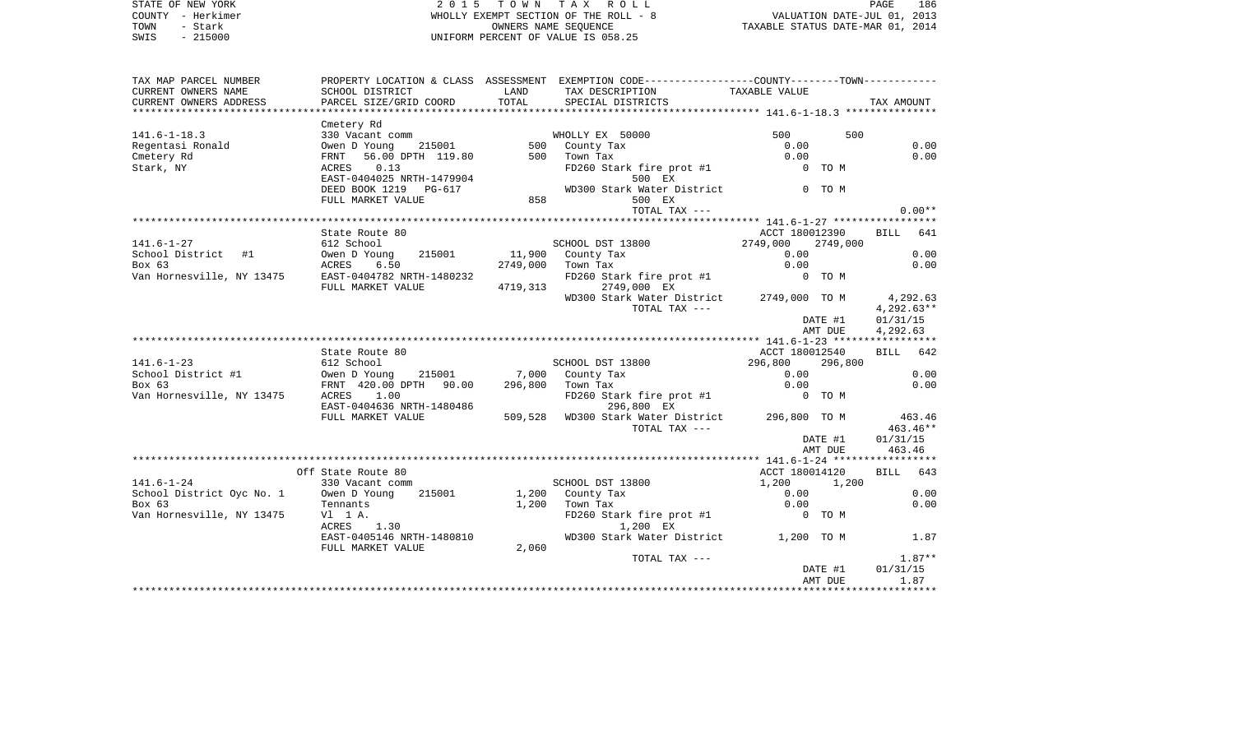| STATE OF NEW YORK | 2015 TOWN TAX ROLL                    | 186<br>PAGE                      |
|-------------------|---------------------------------------|----------------------------------|
| COUNTY - Herkimer | WHOLLY EXEMPT SECTION OF THE ROLL - 8 | VALUATION DATE-JUL 01, 2013      |
| TOWN<br>– Stark   | OWNERS NAME SEOUENCE                  | TAXABLE STATUS DATE-MAR 01, 2014 |
| $-215000$<br>SWIS | UNIFORM PERCENT OF VALUE IS 058.25    |                                  |

| TAX MAP PARCEL NUMBER<br>CURRENT OWNERS NAME<br>CURRENT OWNERS ADDRESS        | SCHOOL DISTRICT<br>PARCEL SIZE/GRID COORD                                                                                                                   | LAND<br>TOTAL    | PROPERTY LOCATION & CLASS ASSESSMENT EXEMPTION CODE---------------COUNTY-------TOWN----------<br>TAX DESCRIPTION<br>SPECIAL DISTRICTS | TAXABLE VALUE                                           |                    | TAX AMOUNT                                       |
|-------------------------------------------------------------------------------|-------------------------------------------------------------------------------------------------------------------------------------------------------------|------------------|---------------------------------------------------------------------------------------------------------------------------------------|---------------------------------------------------------|--------------------|--------------------------------------------------|
|                                                                               |                                                                                                                                                             |                  |                                                                                                                                       |                                                         |                    |                                                  |
| $141.6 - 1 - 18.3$<br>Regentasi Ronald<br>Cmetery Rd<br>Stark, NY             | Cmetery Rd<br>330 Vacant comm<br>215001<br>Owen D Young<br>56.00 DPTH 119.80<br>FRNT<br>0.13<br>ACRES<br>EAST-0404025 NRTH-1479904<br>DEED BOOK 1219 PG-617 |                  | WHOLLY EX 50000<br>500 County Tax<br>500 Town Tax<br>FD260 Stark fire prot #1<br>500 EX<br>WD300 Stark Water District 6 0 TO M        | 500<br>0.00<br>0.00<br>0 TO M                           | 500                | 0.00<br>0.00                                     |
|                                                                               | FULL MARKET VALUE                                                                                                                                           | 858              | 500 EX<br>TOTAL TAX ---                                                                                                               |                                                         |                    | $0.00**$                                         |
|                                                                               |                                                                                                                                                             |                  |                                                                                                                                       |                                                         |                    |                                                  |
| $141.6 - 1 - 27$<br>School District #1<br>Box 63<br>Van Hornesville, NY 13475 | State Route 80<br>612 School<br>215001<br>Owen D Young<br>ACRES<br>6.50<br>EAST-0404782 NRTH-1480232<br>FULL MARKET VALUE                                   | 2749,000         | SCHOOL DST 13800<br>11,900 County Tax<br>Town Tax<br>FD260 Stark fire prot #1 0 TO M<br>4719,313 2749,000 EX                          | ACCT 180012390<br>$2749,000$ $2749,000$<br>0.00<br>0.00 |                    | BILL 641<br>0.00<br>0.00                         |
|                                                                               |                                                                                                                                                             |                  | WD300 Stark Water District 2749,000 TO M<br>TOTAL TAX ---                                                                             |                                                         | DATE #1<br>AMT DUE | 4,292.63<br>$4.292.63**$<br>01/31/15<br>4,292.63 |
|                                                                               |                                                                                                                                                             |                  |                                                                                                                                       |                                                         |                    |                                                  |
|                                                                               | State Route 80                                                                                                                                              |                  |                                                                                                                                       | ACCT 180012540                                          |                    | BILL 642                                         |
| $141.6 - 1 - 23$<br>School District #1                                        | 612 School<br>Owen D Young 215001 7,000 County Tax                                                                                                          |                  | SCHOOL DST 13800                                                                                                                      | 296,800<br>0.00                                         | 296,800            | 0.00                                             |
| Box 63                                                                        | FRNT 420.00 DPTH 90.00                                                                                                                                      | 296,800 Town Tax |                                                                                                                                       | 0.00                                                    |                    | 0.00                                             |
| Van Hornesville, NY 13475                                                     | ACRES 1.00<br>EAST-0404636 NRTH-1480486                                                                                                                     |                  | FD260 Stark fire prot #1<br>296,800 EX                                                                                                | 0 TO M                                                  |                    |                                                  |
|                                                                               | FULL MARKET VALUE                                                                                                                                           |                  | 509,528 WD300 Stark Water District 296,800 TO M<br>TOTAL TAX ---                                                                      |                                                         |                    | 463.46<br>$463.46**$                             |
|                                                                               |                                                                                                                                                             |                  |                                                                                                                                       |                                                         | DATE #1<br>AMT DUE | 01/31/15<br>463.46                               |
|                                                                               |                                                                                                                                                             |                  |                                                                                                                                       |                                                         |                    |                                                  |
|                                                                               | Off State Route 80                                                                                                                                          |                  |                                                                                                                                       | ACCT 180014120                                          |                    | BILL 643                                         |
| $141.6 - 1 - 24$                                                              | 330 Vacant comm                                                                                                                                             |                  | SCHOOL DST 13800                                                                                                                      | 1,200                                                   | 1,200              |                                                  |
| School District Oyc No. 1                                                     | 215001<br>Owen D Young                                                                                                                                      |                  | 1,200 County Tax                                                                                                                      | 0.00                                                    |                    | 0.00                                             |
| Box 63                                                                        | Tennants                                                                                                                                                    | 1,200            | Town Tax                                                                                                                              | 0.00                                                    |                    | 0.00                                             |
| Van Hornesville, NY 13475                                                     | V1 1 A.<br>ACRES 1.30                                                                                                                                       |                  | FD260 Stark fire prot #1 0 TO M<br>1,200 EX                                                                                           |                                                         |                    |                                                  |
|                                                                               | EAST-0405146 NRTH-1480810<br>FULL MARKET VALUE                                                                                                              | 2,060            | WD300 Stark Water District 1,200 TO M                                                                                                 |                                                         |                    | 1.87                                             |
|                                                                               |                                                                                                                                                             |                  | TOTAL TAX ---                                                                                                                         |                                                         |                    | $1.87**$                                         |
|                                                                               |                                                                                                                                                             |                  |                                                                                                                                       |                                                         | DATE #1            | 01/31/15                                         |
|                                                                               |                                                                                                                                                             |                  |                                                                                                                                       |                                                         | AMT DUE            | 1.87                                             |
|                                                                               |                                                                                                                                                             |                  |                                                                                                                                       |                                                         |                    |                                                  |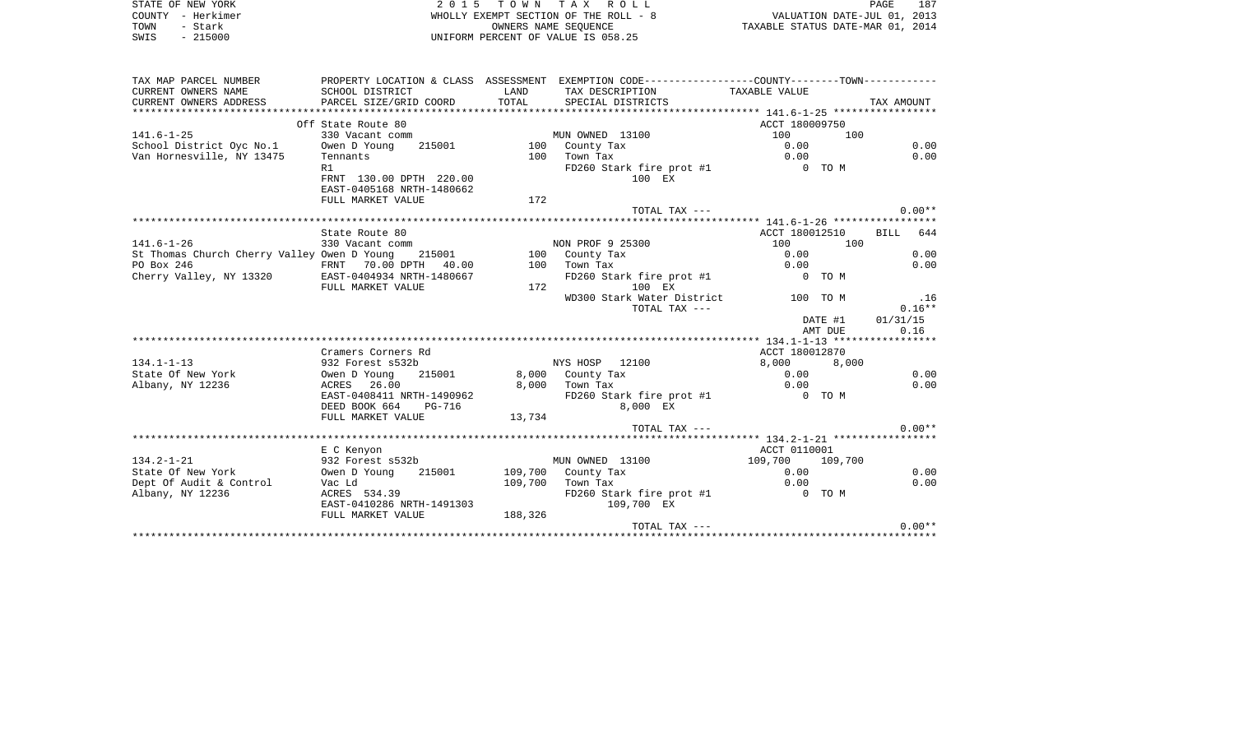| STATE OF NEW YORK | 2015 TOWN TAX ROLL                    | 187<br>PAGE                      |
|-------------------|---------------------------------------|----------------------------------|
| COUNTY - Herkimer | WHOLLY EXEMPT SECTION OF THE ROLL - 8 | VALUATION DATE-JUL 01, 2013      |
| TOWN<br>- Stark   | OWNERS NAME SEOUENCE                  | TAXABLE STATUS DATE-MAR 01, 2014 |
| $-215000$<br>SWIS | UNIFORM PERCENT OF VALUE IS 058.25    |                                  |
|                   |                                       |                                  |

 $\begin{array}{c} 187 \\ 2013 \\ 2014 \end{array}$ 

| TAX MAP PARCEL NUMBER                         |                                                |               | PROPERTY LOCATION & CLASS ASSESSMENT EXEMPTION CODE----------------COUNTY-------TOWN- |                 |                    |
|-----------------------------------------------|------------------------------------------------|---------------|---------------------------------------------------------------------------------------|-----------------|--------------------|
| CURRENT OWNERS NAME<br>CURRENT OWNERS ADDRESS | SCHOOL DISTRICT<br>PARCEL SIZE/GRID COORD      | LAND<br>TOTAL | TAX DESCRIPTION<br>SPECIAL DISTRICTS                                                  | TAXABLE VALUE   | TAX AMOUNT         |
|                                               |                                                |               |                                                                                       |                 |                    |
|                                               | Off State Route 80                             |               |                                                                                       | ACCT 180009750  |                    |
| $141.6 - 1 - 25$                              | 330 Vacant comm                                |               | MUN OWNED 13100                                                                       | 100             | 100                |
| School District Oyc No.1                      | Owen D Young<br>215001                         |               | 100 County Tax                                                                        | 0.00            | 0.00               |
| Van Hornesville, NY 13475                     | Tennants                                       | 100           | Town Tax                                                                              | 0.00            | 0.00               |
|                                               | R1                                             |               | FD260 Stark fire prot #1                                                              | 0 TO M          |                    |
|                                               | FRNT 130.00 DPTH 220.00                        |               | 100 EX                                                                                |                 |                    |
|                                               | EAST-0405168 NRTH-1480662                      |               |                                                                                       |                 |                    |
|                                               | FULL MARKET VALUE                              | 172           |                                                                                       |                 |                    |
|                                               |                                                |               | TOTAL TAX ---                                                                         |                 | $0.00**$           |
|                                               |                                                |               |                                                                                       |                 |                    |
|                                               | State Route 80                                 |               |                                                                                       | ACCT 180012510  | <b>BILL</b><br>644 |
| $141.6 - 1 - 26$                              | 330 Vacant comm                                |               | NON PROF 9 25300                                                                      | 100             | 100                |
| St Thomas Church Cherry Valley Owen D Young   | 215001                                         |               | 100 County Tax                                                                        | 0.00            | 0.00               |
| PO Box 246                                    | FRNT 70.00 DPTH 40.00                          | 100           | Town Tax                                                                              | 0.00            | 0.00               |
| Cherry Valley, NY 13320                       | EAST-0404934 NRTH-1480667<br>FULL MARKET VALUE | 172           | FD260 Stark fire prot #1<br>100 EX                                                    | 0 TO M          |                    |
|                                               |                                                |               | WD300 Stark Water District                                                            | 100 TO M        | .16                |
|                                               |                                                |               | TOTAL TAX ---                                                                         |                 | $0.16**$           |
|                                               |                                                |               |                                                                                       | DATE #1         | 01/31/15           |
|                                               |                                                |               |                                                                                       | AMT DUE         | 0.16               |
|                                               |                                                |               |                                                                                       |                 |                    |
|                                               | Cramers Corners Rd                             |               |                                                                                       | ACCT 180012870  |                    |
| $134.1 - 1 - 13$                              | 932 Forest s532b                               |               | NYS HOSP 12100                                                                        | 8,000<br>0.00   | 8,000<br>0.00      |
| State Of New York<br>Albany, NY 12236         | Owen D Young<br>215001<br>ACRES 26.00          | 8,000         | 8,000 County Tax<br>Town Tax                                                          | 0.00            | 0.00               |
|                                               | EAST-0408411 NRTH-1490962                      |               | FD260 Stark fire prot #1                                                              | O TOM           |                    |
|                                               | DEED BOOK 664<br>PG-716                        |               | 8,000 EX                                                                              |                 |                    |
|                                               | FULL MARKET VALUE                              | 13,734        |                                                                                       |                 |                    |
|                                               |                                                |               | TOTAL TAX ---                                                                         |                 | $0.00**$           |
|                                               |                                                |               |                                                                                       |                 |                    |
|                                               | E C Kenyon                                     |               |                                                                                       | ACCT 0110001    |                    |
| $134.2 - 1 - 21$                              | 932 Forest s532b                               |               | MUN OWNED 13100                                                                       | 109,700 109,700 |                    |
| State Of New York                             | Owen D Young<br>215001                         |               | 109,700 County Tax                                                                    | 0.00            | 0.00               |
| Dept Of Audit & Control                       | Vac Ld                                         | 109,700       | Town Tax                                                                              | 0.00            | 0.00               |
| Albany, NY 12236                              | ACRES 534.39                                   |               | FD260 Stark fire prot #1                                                              | COMPO TO M      |                    |
|                                               | EAST-0410286 NRTH-1491303                      |               | 109,700 EX                                                                            |                 |                    |
|                                               | FULL MARKET VALUE                              | 188,326       |                                                                                       |                 |                    |
|                                               |                                                |               | TOTAL TAX ---                                                                         |                 | $0.00**$           |
|                                               |                                                |               |                                                                                       |                 |                    |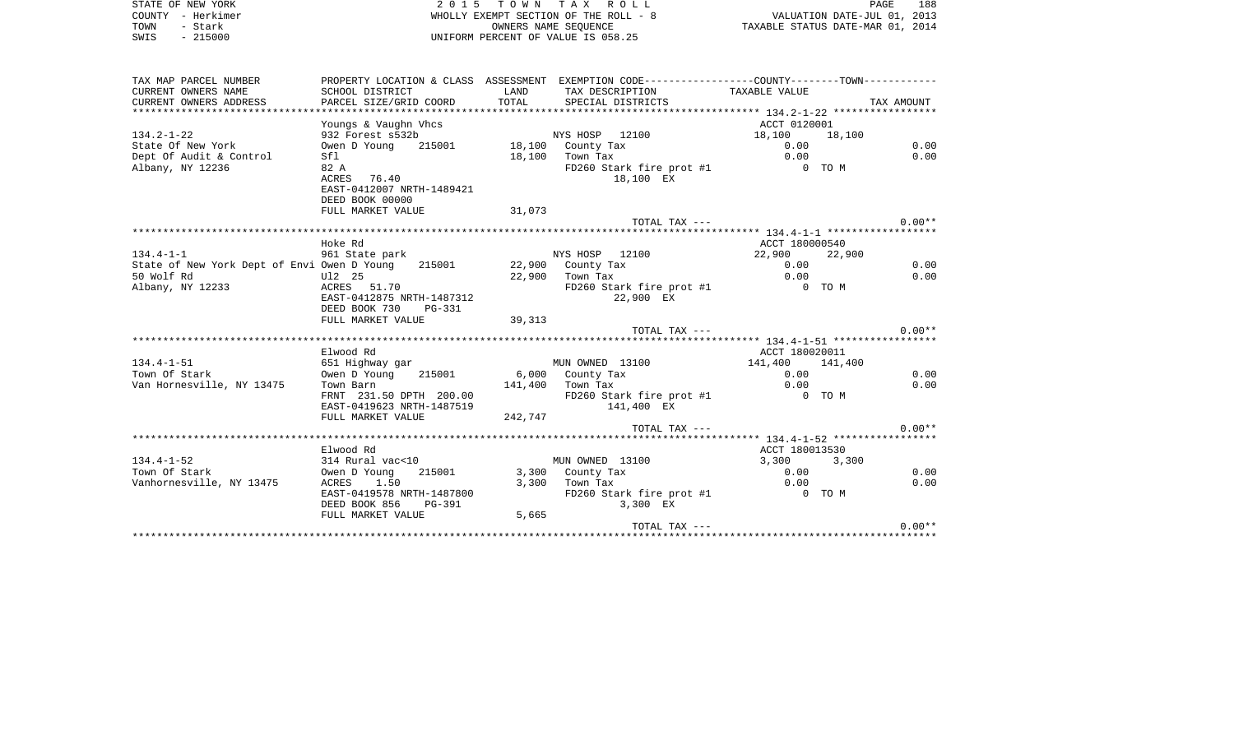| STATE OF NEW YORK | 2015 TOWN TAX ROLL                    | 188<br>PAGE                      |
|-------------------|---------------------------------------|----------------------------------|
| COUNTY - Herkimer | WHOLLY EXEMPT SECTION OF THE ROLL - 8 | VALUATION DATE-JUL 01, 2013      |
| TOWN<br>Stark     | OWNERS NAME SEOUENCE                  | TAXABLE STATUS DATE-MAR 01, 2014 |
| $-215000$<br>SWIS | UNIFORM PERCENT OF VALUE IS 058.25    |                                  |

| TAX MAP PARCEL NUMBER                                                |                                                       |                  | PROPERTY LOCATION & CLASS ASSESSMENT EXEMPTION CODE---------------COUNTY-------TOWN---------- |                |            |
|----------------------------------------------------------------------|-------------------------------------------------------|------------------|-----------------------------------------------------------------------------------------------|----------------|------------|
| CURRENT OWNERS NAME                                                  | SCHOOL DISTRICT                                       | LAND             | TAX DESCRIPTION                                                                               | TAXABLE VALUE  |            |
| CURRENT OWNERS ADDRESS                                               | PARCEL SIZE/GRID COORD                                | TOTAL            | SPECIAL DISTRICTS                                                                             |                | TAX AMOUNT |
|                                                                      |                                                       |                  |                                                                                               |                |            |
|                                                                      | Youngs & Vaughn Vhcs                                  |                  |                                                                                               | ACCT 0120001   |            |
| $134.2 - 1 - 22$                                                     | 932 Forest s532b                                      |                  | NYS HOSP 12100                                                                                | 18,100 18,100  |            |
| State Of New York                                                    | Owen D Young 215001 18,100 County Tax                 |                  |                                                                                               | 0.00           | 0.00       |
| Dept Of Audit & Control                                              | Sfl                                                   |                  | 18,100 Town Tax                                                                               | 0.00           | 0.00       |
| Albany, NY 12236                                                     | 82 A                                                  |                  | FD260 Stark fire prot #1                                                                      | 0 TO M         |            |
|                                                                      | ACRES 76.40                                           |                  | 18,100 EX                                                                                     |                |            |
|                                                                      | EAST-0412007 NRTH-1489421                             |                  |                                                                                               |                |            |
|                                                                      |                                                       |                  |                                                                                               |                |            |
|                                                                      | DEED BOOK 00000                                       |                  |                                                                                               |                |            |
|                                                                      | FULL MARKET VALUE                                     | 31,073           |                                                                                               |                |            |
|                                                                      |                                                       |                  | TOTAL TAX ---                                                                                 |                | $0.00**$   |
|                                                                      |                                                       |                  |                                                                                               |                |            |
|                                                                      | Hoke Rd                                               |                  |                                                                                               | ACCT 180000540 |            |
| $134.4 - 1 - 1$                                                      | 961 State park MYS HOSP 12100                         |                  |                                                                                               | 22,900 22,900  |            |
| State of New York Dept of Envi Owen D Young 215001 22,900 County Tax |                                                       |                  |                                                                                               | 0.00           | 0.00       |
| 50 Wolf Rd                                                           | U12 25<br>Ul2 25<br>ACRES 51.70                       |                  | 22,900 Town Tax                                                                               | 0.00           | 0.00       |
| Albany, NY 12233                                                     |                                                       |                  | FD260 Stark fire prot #1                                                                      | 0 TO M         |            |
|                                                                      | EAST-0412875 NRTH-1487312                             |                  | 22,900 EX                                                                                     |                |            |
|                                                                      | DEED BOOK 730<br>$PG-331$                             |                  |                                                                                               |                |            |
|                                                                      | FULL MARKET VALUE                                     | 39, 313          |                                                                                               |                |            |
|                                                                      |                                                       |                  | TOTAL TAX ---                                                                                 |                | $0.00**$   |
|                                                                      |                                                       |                  |                                                                                               |                |            |
|                                                                      | Elwood Rd                                             |                  |                                                                                               | ACCT 180020011 |            |
| $134.4 - 1 - 51$                                                     | 651 Highway gar                                       |                  | MUN OWNED 13100 141,400 141,400                                                               |                |            |
| Town Of Stark                                                        | Owen D Young 215001                                   |                  |                                                                                               | 0.00           | 0.00       |
| Van Hornesville, NY 13475                                            | Town Barn                                             | 141,400 Town Tax | $6,000$ County Tax                                                                            | 0.00           | 0.00       |
|                                                                      | FRNT 231.50 DPTH 200.00                               |                  | FD260 Stark fire prot #1 0 TO M                                                               |                |            |
|                                                                      | EAST-0419623 NRTH-1487519                             |                  | 141,400 EX                                                                                    |                |            |
|                                                                      | FULL MARKET VALUE                                     | 242,747          |                                                                                               |                |            |
|                                                                      |                                                       |                  | TOTAL TAX ---                                                                                 |                | $0.00**$   |
|                                                                      |                                                       |                  |                                                                                               |                |            |
|                                                                      | Elwood Rd                                             |                  |                                                                                               | ACCT 180013530 |            |
| $134.4 - 1 - 52$                                                     | 314 Rural vac<10                                      |                  | MUN OWNED 13100                                                                               | 3,300 3,300    |            |
| Town Of Stark                                                        | Owen D Young                                          |                  | 215001 3,300 County Tax                                                                       | 0.00           | 0.00       |
|                                                                      |                                                       |                  |                                                                                               | 0.00           | 0.00       |
| Vanhornesville, NY 13475                                             | ACRES 1.50<br>ACRES 1.30<br>EAST-0419578 NRTH-1487800 |                  | $3,300$ Town Tax                                                                              |                |            |
|                                                                      |                                                       |                  | FD260 Stark fire prot #1 0 TO M                                                               |                |            |
|                                                                      | DEED BOOK 856<br><b>PG-391</b>                        |                  | 3,300 EX                                                                                      |                |            |
|                                                                      | FULL MARKET VALUE                                     | 5,665            |                                                                                               |                |            |
|                                                                      |                                                       |                  | TOTAL TAX ---                                                                                 |                | $0.00**$   |
|                                                                      |                                                       |                  |                                                                                               |                |            |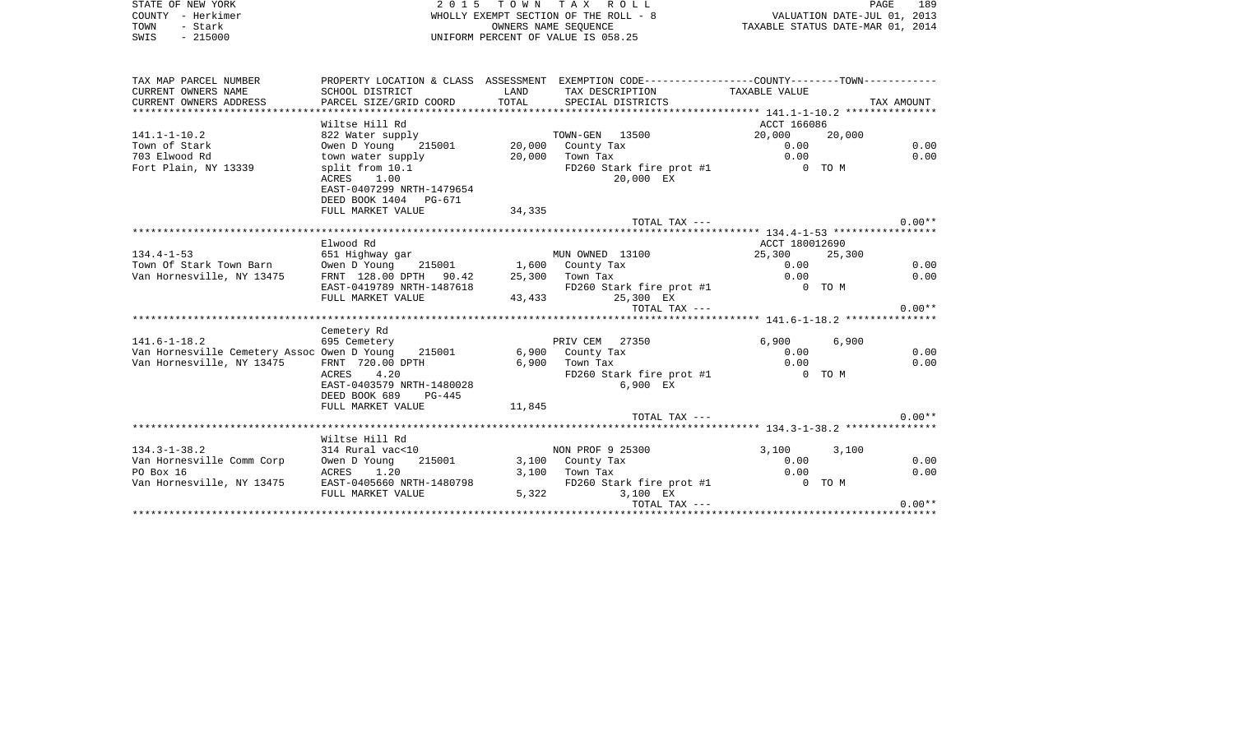|      | STATE OF NEW YORK | 2015 TOWN TAX ROLL                    | 189<br>PAGE                      |
|------|-------------------|---------------------------------------|----------------------------------|
|      | COUNTY - Herkimer | WHOLLY EXEMPT SECTION OF THE ROLL - 8 | VALUATION DATE-JUL 01, 2013      |
| TOWN | - Stark           | OWNERS NAME SEOUENCE                  | TAXABLE STATUS DATE-MAR 01, 2014 |
| SWIS | $-215000$         | UNIFORM PERCENT OF VALUE IS 058.25    |                                  |

| TAX MAP PARCEL NUMBER                                                                                                                                                |                                                                          |                                            | PROPERTY LOCATION & CLASS ASSESSMENT EXEMPTION CODE----------------COUNTY--------TOWN---------- |                  |       |          |
|----------------------------------------------------------------------------------------------------------------------------------------------------------------------|--------------------------------------------------------------------------|--------------------------------------------|-------------------------------------------------------------------------------------------------|------------------|-------|----------|
| CURRENT OWNERS NAME                                                                                                                                                  | SCHOOL DISTRICT                                                          | <b>EXAMPLE THE STATE OF STATE OF STATE</b> | TAX DESCRIPTION TAXABLE VALUE                                                                   |                  |       |          |
|                                                                                                                                                                      |                                                                          |                                            |                                                                                                 |                  |       |          |
| CURRENT OWNERS ADDRESS FORCEL SIZE/GRID COORD TOTAL SPECIAL DISTRICTS TO TAX AMOUNT CURRENT OWNERS ADDRESS FORCEL SIZE/GRID COORD TOTAL SPECIAL DISTRICTS TRX AMOUNT |                                                                          |                                            |                                                                                                 |                  |       |          |
|                                                                                                                                                                      | Wiltse Hill Rd                                                           |                                            |                                                                                                 | ACCT 166086      |       |          |
| $141.1 - 1 - 10.2$                                                                                                                                                   | 822 Water supply TOWN-GEN 13500<br>Owen D Young 215001 20,000 County Tax |                                            |                                                                                                 | 20,000 20,000    |       |          |
| Town of Stark                                                                                                                                                        |                                                                          |                                            |                                                                                                 |                  |       | 0.00     |
| 703 Elwood Rd                                                                                                                                                        | town water supply                                                        |                                            | 20,000 Town Tax                                                                                 | $0.00$<br>$0.00$ |       | 0.00     |
| Fort Plain, NY 13339                                                                                                                                                 | split from 10.1                                                          |                                            | FD260 Stark fire prot #1                                                                        | 0 TO M           |       |          |
|                                                                                                                                                                      | ACRES 1.00                                                               |                                            | 20,000 EX                                                                                       |                  |       |          |
|                                                                                                                                                                      | EAST-0407299 NRTH-1479654                                                |                                            |                                                                                                 |                  |       |          |
|                                                                                                                                                                      | DEED BOOK 1404 PG-671                                                    |                                            |                                                                                                 |                  |       |          |
|                                                                                                                                                                      | FULL MARKET VALUE                                                        | 34,335                                     |                                                                                                 |                  |       |          |
|                                                                                                                                                                      |                                                                          |                                            | TOTAL TAX ---                                                                                   |                  |       | $0.00**$ |
|                                                                                                                                                                      |                                                                          |                                            |                                                                                                 |                  |       |          |
|                                                                                                                                                                      | Elwood Rd                                                                |                                            |                                                                                                 | ACCT 180012690   |       |          |
| $134.4 - 1 - 53$                                                                                                                                                     | 651 Highway gar                                                          |                                            | MUN OWNED 13100 25,300 25,300                                                                   |                  |       |          |
| Town Of Stark Town Barn Owen D Young 215001 1,600 County Tax                                                                                                         |                                                                          |                                            |                                                                                                 | 0.00             |       | 0.00     |
| Van Hornesville, NY 13475                                                                                                                                            | FRNT 128.00 DPTH 90.42 25,300 Town Tax                                   |                                            |                                                                                                 | 0.00             |       | 0.00     |
|                                                                                                                                                                      |                                                                          |                                            |                                                                                                 | 0 TO M           |       |          |
|                                                                                                                                                                      |                                                                          |                                            | EAST-0419789 NRTH-1487618<br>FD260 Stark fire prot #1<br>FULL MARKET VALUE 43,433 25,300 EX     |                  |       |          |
|                                                                                                                                                                      |                                                                          |                                            | TOTAL TAX ---                                                                                   |                  |       | $0.00**$ |
|                                                                                                                                                                      |                                                                          |                                            |                                                                                                 |                  |       |          |
|                                                                                                                                                                      | Cemetery Rd                                                              |                                            |                                                                                                 |                  |       |          |
| $141.6 - 1 - 18.2$                                                                                                                                                   | 695 Cemetery                                                             |                                            | PRIV CEM 27350                                                                                  | 6,900            | 6,900 |          |
| Van Hornesville Cemetery Assoc Owen D Young 215001 6,900 County Tax                                                                                                  |                                                                          |                                            |                                                                                                 | 0.00             |       | 0.00     |
| Van Hornesville, NY 13475                                                                                                                                            | FRNT 720.00 DPTH<br>ACRES 4.20                                           |                                            | 6,900 Town Tax                                                                                  | 0.00             |       | 0.00     |
|                                                                                                                                                                      | ACRES 4.20                                                               |                                            | FD260 Stark fire prot #1 0 TO M                                                                 |                  |       |          |
|                                                                                                                                                                      | EAST-0403579 NRTH-1480028                                                |                                            | 6,900 EX                                                                                        |                  |       |          |
|                                                                                                                                                                      | DEED BOOK 689<br>$PG-445$                                                |                                            |                                                                                                 |                  |       |          |
|                                                                                                                                                                      | FULL MARKET VALUE                                                        | 11,845                                     |                                                                                                 |                  |       |          |
|                                                                                                                                                                      |                                                                          |                                            | TOTAL TAX ---                                                                                   |                  |       | $0.00**$ |
|                                                                                                                                                                      |                                                                          |                                            |                                                                                                 |                  |       |          |
|                                                                                                                                                                      | Wiltse Hill Rd                                                           |                                            |                                                                                                 |                  |       |          |
| $134.3 - 1 - 38.2$                                                                                                                                                   | 314 Rural vac<10                                                         |                                            | NON PROF 9 25300                                                                                | 3,100            | 3,100 |          |
| Van Hornesville Comm Corp                                                                                                                                            | Owen D Young                                                             |                                            | 215001 3,100 County Tax                                                                         | 0.00             |       | 0.00     |
| PO Box 16                                                                                                                                                            | ACRES 1.20                                                               |                                            | $3,100$ Town Tax                                                                                | 0.00             |       | 0.00     |
| Van Hornesville, NY 13475 EAST-0405660 NRTH-1480798                                                                                                                  |                                                                          |                                            | FD260 Stark fire prot #1 0 TO M                                                                 |                  |       |          |
|                                                                                                                                                                      | FULL MARKET VALUE                                                        |                                            | 5,322<br>3,100 EX                                                                               |                  |       |          |
|                                                                                                                                                                      |                                                                          |                                            | TOTAL TAX ---                                                                                   |                  |       | $0.00**$ |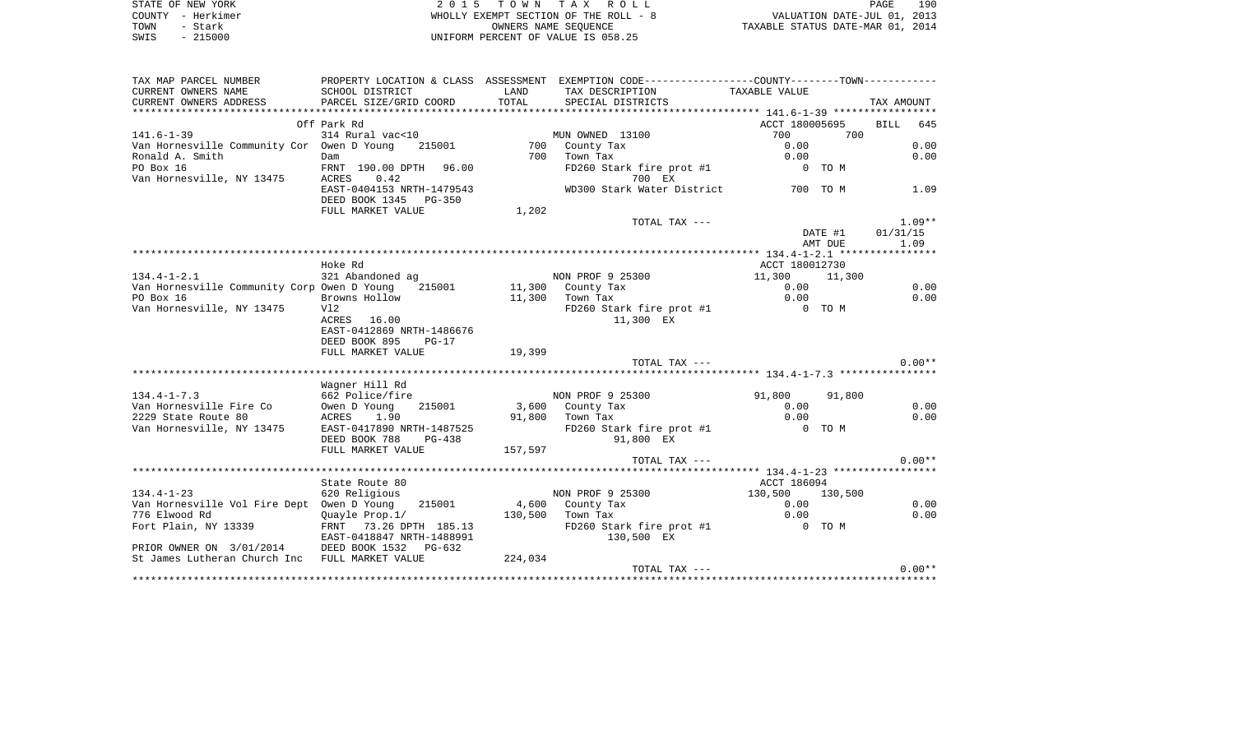| STATE OF NEW YORK<br>COUNTY - Herkimer<br>- Stark<br>TOWN<br>$-215000$<br>SWIS | 2 0 1 5                    | T O W N | TAX ROLL<br>WHOLLY EXEMPT SECTION OF THE ROLL - 8<br>OWNERS NAME SEOUENCE<br>UNIFORM PERCENT OF VALUE IS 058.25 | VALUATION DATE-JUL 01, 2013<br>TAXABLE STATUS DATE-MAR 01, 2014 |         | PAGE       | 190      |
|--------------------------------------------------------------------------------|----------------------------|---------|-----------------------------------------------------------------------------------------------------------------|-----------------------------------------------------------------|---------|------------|----------|
| TAX MAP PARCEL NUMBER                                                          |                            |         | PROPERTY LOCATION & CLASS ASSESSMENT EXEMPTION CODE---------------COUNTY-------TOWN----------                   |                                                                 |         |            |          |
| CURRENT OWNERS NAME                                                            | SCHOOL DISTRICT            | LAND    | TAX DESCRIPTION                                                                                                 | TAXABLE VALUE                                                   |         |            |          |
| CURRENT OWNERS ADDRESS                                                         | PARCEL SIZE/GRID COORD     | TOTAL   | SPECIAL DISTRICTS                                                                                               |                                                                 |         | TAX AMOUNT |          |
|                                                                                |                            |         |                                                                                                                 |                                                                 |         |            |          |
| $141.6 - 1 - 39$                                                               | Off Park Rd                |         |                                                                                                                 | ACCT 180005695<br>700                                           | 700     | BILL 645   |          |
| Van Hornesville Community Cor Owen D Young                                     | 314 Rural vac<10<br>215001 |         | MUN OWNED 13100<br>700 County Tax                                                                               | 0.00                                                            |         |            | 0.00     |
| Ronald A. Smith                                                                | Dam                        | 700     | Town Tax                                                                                                        | 0.00                                                            |         |            | 0.00     |
| PO Box 16                                                                      | FRNT 190.00 DPTH 96.00     |         | FD260 Stark fire prot #1                                                                                        | $0$ TOM                                                         |         |            |          |
| Van Hornesville, NY 13475                                                      | ACRES<br>0.42              |         |                                                                                                                 |                                                                 |         |            |          |
|                                                                                | EAST-0404153 NRTH-1479543  |         | WD300 Stark Water District 700 TO M                                                                             |                                                                 |         |            | 1.09     |
|                                                                                | DEED BOOK 1345 PG-350      |         |                                                                                                                 |                                                                 |         |            |          |
|                                                                                | FULL MARKET VALUE          | 1,202   |                                                                                                                 |                                                                 |         |            |          |
|                                                                                |                            |         | TOTAL TAX ---                                                                                                   |                                                                 |         |            | $1.09**$ |
|                                                                                |                            |         |                                                                                                                 |                                                                 | DATE #1 | 01/31/15   |          |
|                                                                                |                            |         |                                                                                                                 |                                                                 | AMT DUE |            | 1.09     |
|                                                                                | Hoke Rd                    |         |                                                                                                                 | ACCT 180012730                                                  |         |            |          |
| $134.4 - 1 - 2.1$                                                              | 321 Abandoned ag           |         | NON PROF 9 25300                                                                                                | 11,300                                                          | 11,300  |            |          |
| Van Hornesville Community Corp Owen D Young                                    | 215001                     |         | 11,300 County Tax                                                                                               | 0.00                                                            |         |            | 0.00     |
| PO Box 16                                                                      | Browns Hollow              |         | 11,300 Town Tax                                                                                                 | 0.00                                                            |         |            | 0.00     |
| Van Hornesville, NY 13475                                                      | Vl2                        |         | FD260 Stark fire prot #1                                                                                        | 0 TO M                                                          |         |            |          |
|                                                                                | ACRES 16.00                |         | 11,300 EX                                                                                                       |                                                                 |         |            |          |
|                                                                                | EAST-0412869 NRTH-1486676  |         |                                                                                                                 |                                                                 |         |            |          |
|                                                                                | DEED BOOK 895<br>$PG-17$   |         |                                                                                                                 |                                                                 |         |            |          |
|                                                                                | FULL MARKET VALUE          | 19,399  |                                                                                                                 |                                                                 |         |            | $0.00**$ |
|                                                                                |                            |         | TOTAL TAX ---                                                                                                   |                                                                 |         |            |          |
|                                                                                | Wagner Hill Rd             |         |                                                                                                                 |                                                                 |         |            |          |
| $134.4 - 1 - 7.3$                                                              | 662 Police/fire            |         | NON PROF 9 25300                                                                                                | 91,800                                                          | 91,800  |            |          |
| Van Hornesville Fire Co                                                        | Owen D Young<br>215001     |         | 3,600 County Tax                                                                                                | 0.00                                                            |         |            | 0.00     |
| 2229 State Route 80                                                            | ACRES<br>1.90              |         | 91,800 Town Tax                                                                                                 | 0.00                                                            |         |            | 0.00     |
| Van Hornesville, NY 13475                                                      | EAST-0417890 NRTH-1487525  |         | FD260 Stark fire prot #1                                                                                        | O TOM                                                           |         |            |          |
|                                                                                | DEED BOOK 788<br>PG-438    |         | 91,800 EX                                                                                                       |                                                                 |         |            |          |
|                                                                                | FULL MARKET VALUE          | 157,597 |                                                                                                                 |                                                                 |         |            |          |
|                                                                                |                            |         | TOTAL TAX ---                                                                                                   |                                                                 |         |            | $0.00**$ |
|                                                                                | State Route 80             |         |                                                                                                                 |                                                                 |         |            |          |
| $134.4 - 1 - 23$                                                               | 620 Religious              |         | NON PROF 9 25300                                                                                                | ACCT 186094<br>130,500                                          | 130,500 |            |          |
| Van Hornesville Vol Fire Dept Owen D Young                                     | 215001                     |         | 4,600 County Tax                                                                                                | 0.00                                                            |         |            | 0.00     |
| 776 Elwood Rd                                                                  | Quayle Prop.1/             |         | 130,500 Town Tax                                                                                                | 0.00                                                            |         |            | 0.00     |
| Fort Plain, NY 13339                                                           | FRNT 73.26 DPTH 185.13     |         | FD260 Stark fire prot #1                                                                                        | 0 TO M                                                          |         |            |          |
|                                                                                | EAST-0418847 NRTH-1488991  |         | 130,500 EX                                                                                                      |                                                                 |         |            |          |
| PRIOR OWNER ON 3/01/2014 DEED BOOK 1532 PG-632                                 |                            |         |                                                                                                                 |                                                                 |         |            |          |
| St James Lutheran Church Inc FULL MARKET VALUE                                 |                            | 224,034 |                                                                                                                 |                                                                 |         |            |          |
|                                                                                |                            |         | TOTAL TAX ---                                                                                                   |                                                                 |         |            | $0.00**$ |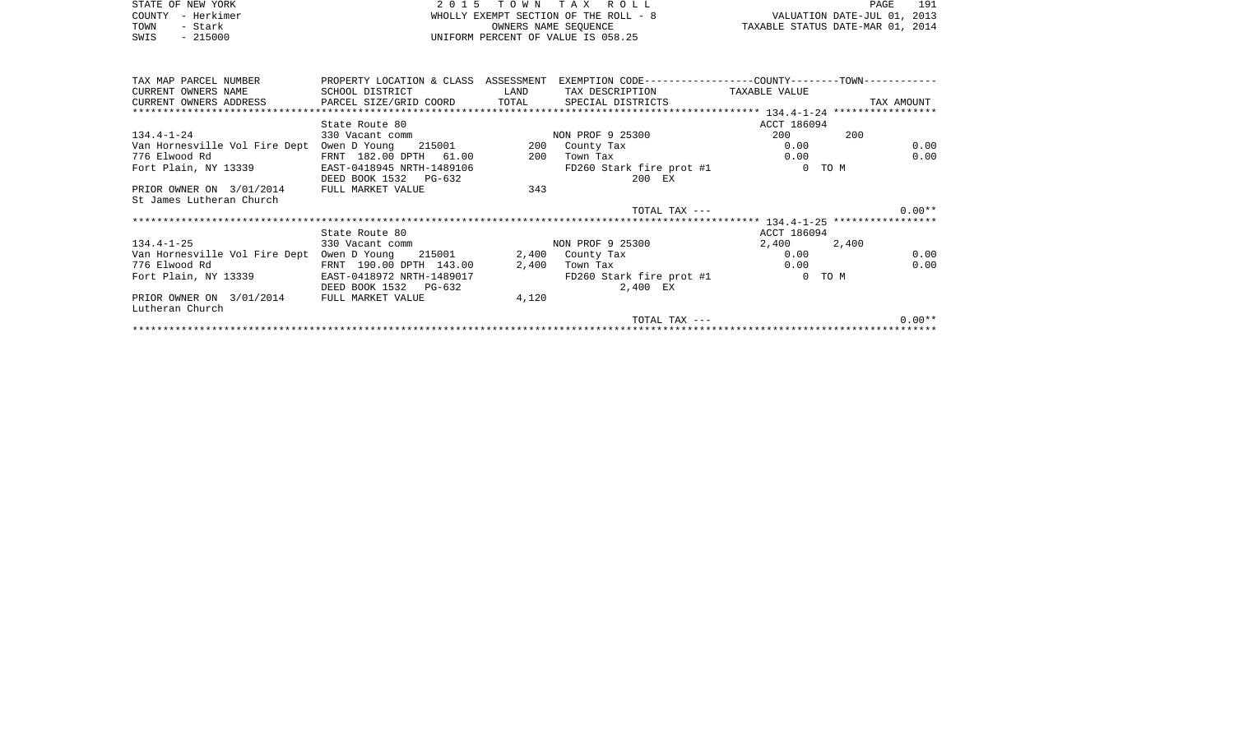| STATE OF NEW YORK | 2015 TOWN TAX ROLL                    | 191<br>PAGE                      |
|-------------------|---------------------------------------|----------------------------------|
| COUNTY - Herkimer | WHOLLY EXEMPT SECTION OF THE ROLL - 8 | VALUATION DATE-JUL 01, 2013      |
| TOWN<br>- Stark   | OWNERS NAME SEOUENCE                  | TAXABLE STATUS DATE-MAR 01, 2014 |
| $-215000$<br>SWIS | UNIFORM PERCENT OF VALUE IS 058.25    |                                  |
|                   |                                       |                                  |
|                   |                                       |                                  |

| TAX MAP PARCEL NUMBER                                                             | PROPERTY LOCATION & CLASS ASSESSMENT |                                                                                         | EXEMPTION CODE-----------------COUNTY-------TOWN----------- |             |            |
|-----------------------------------------------------------------------------------|--------------------------------------|-----------------------------------------------------------------------------------------|-------------------------------------------------------------|-------------|------------|
| CURRENT OWNERS NAME                                                               | SCHOOL DISTRICT                      | <b>EXAMPLE THE STATE OF STATE OF STATE OF STATE OF STATE OF STATE OF STATE OF STATE</b> | TAX DESCRIPTION TAXABLE VALUE                               |             |            |
| CURRENT OWNERS ADDRESS     PARCEL SIZE/GRID COORD     TOTAL     SPECIAL DISTRICTS |                                      |                                                                                         |                                                             |             | TAX AMOUNT |
|                                                                                   |                                      |                                                                                         |                                                             |             |            |
|                                                                                   | State Route 80                       |                                                                                         |                                                             | ACCT 186094 |            |
| $134.4 - 1 - 24$                                                                  | 330 Vacant comm                      |                                                                                         | NON PROF 9 25300                                            | 200         | 200        |
| Van Hornesville Vol Fire Dept                                                     | Owen D Young 215001                  |                                                                                         | 200 County Tax                                              | 0.00        | 0.00       |
| 776 Elwood Rd                                                                     | FRNT 182.00 DPTH 61.00               | 200                                                                                     | Town Tax                                                    | 0.00        | 0.00       |
| Fort Plain, NY 13339                                                              | EAST-0418945 NRTH-1489106            |                                                                                         | FD260 Stark fire prot #1                                    |             | 0 TO M     |
|                                                                                   | DEED BOOK 1532 PG-632                |                                                                                         | 200 EX                                                      |             |            |
| PRIOR OWNER ON 3/01/2014                                                          | FULL MARKET VALUE                    | 343                                                                                     |                                                             |             |            |
| St James Lutheran Church                                                          |                                      |                                                                                         |                                                             |             |            |
|                                                                                   |                                      |                                                                                         |                                                             |             |            |
|                                                                                   |                                      |                                                                                         | TOTAL TAX ---                                               |             | $0.00**$   |
|                                                                                   |                                      |                                                                                         |                                                             |             |            |
|                                                                                   | State Route 80                       |                                                                                         |                                                             | ACCT 186094 |            |
| $134.4 - 1 - 25$                                                                  | 330 Vacant comm                      |                                                                                         | NON PROF 9 25300                                            | 2,400       | 2,400      |
| Van Hornesville Vol Fire Dept                                                     | Owen D Young 215001                  |                                                                                         | 2,400 County Tax                                            | 0.00        | 0.00       |
| 776 Elwood Rd                                                                     | FRNT 190.00 DPTH 143.00              | 2,400                                                                                   | Town Tax                                                    | 0.00        | 0.00       |
| Fort Plain, NY 13339                                                              | EAST-0418972 NRTH-1489017            |                                                                                         | FD260 Stark fire prot #1                                    |             | 0 TO M     |
|                                                                                   | DEED BOOK 1532 PG-632                |                                                                                         | 2,400 EX                                                    |             |            |
| PRIOR OWNER ON 3/01/2014                                                          | FULL MARKET VALUE                    | 4,120                                                                                   |                                                             |             |            |
| Lutheran Church                                                                   |                                      |                                                                                         |                                                             |             |            |
|                                                                                   |                                      |                                                                                         | $TOTAI$ , $TAX$ $---$                                       |             | $0.00**$   |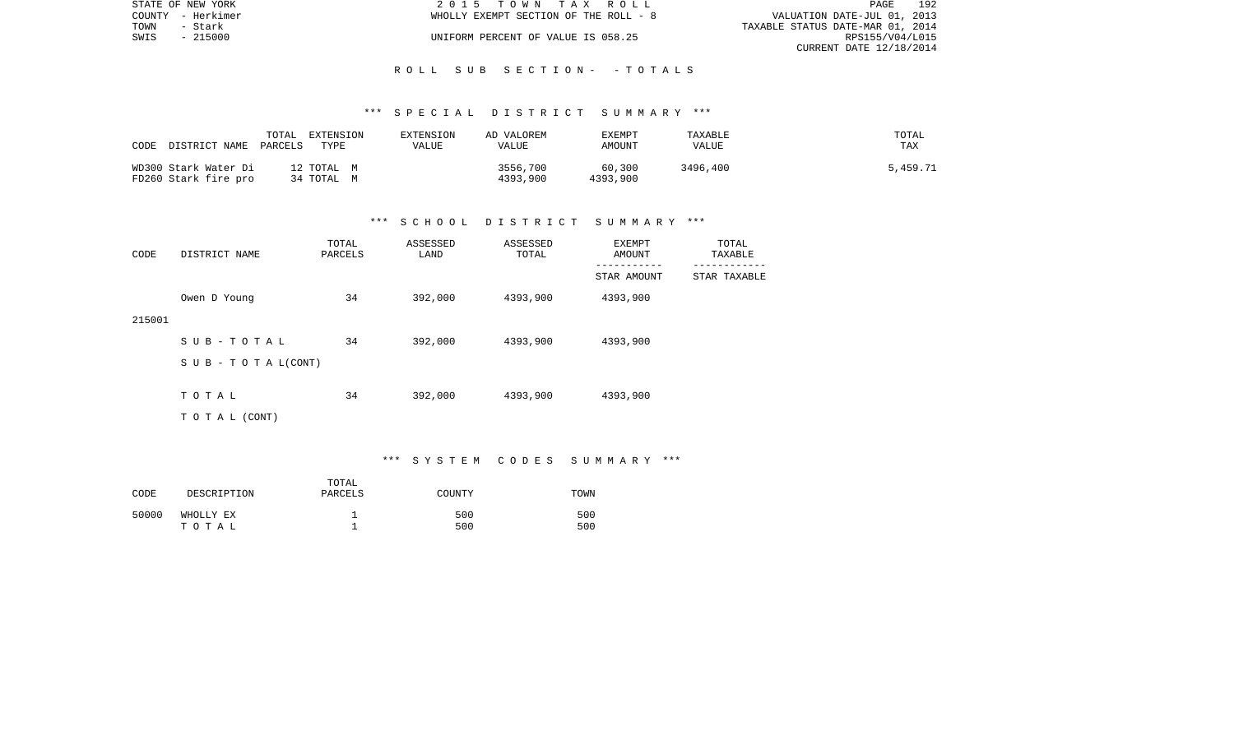|      | STATE OF NEW YORK | 2015 TOWN TAX ROLL                    | PAGE                             | 192 |
|------|-------------------|---------------------------------------|----------------------------------|-----|
|      | COUNTY - Herkimer | WHOLLY EXEMPT SECTION OF THE ROLL - 8 | VALUATION DATE-JUL 01, 2013      |     |
| TOWN | – Stark           |                                       | TAXABLE STATUS DATE-MAR 01, 2014 |     |
|      | SWIS - 215000     | UNIFORM PERCENT OF VALUE IS 058.25    | RPS155/V04/L015                  |     |
|      |                   |                                       | CURRENT DATE 12/18/2014          |     |

#### R O L L S U B S E C T I O N - - T O T A L S

#### \*\*\* S P E C I A L D I S T R I C T S U M M A R Y \*\*\*

| CODE<br>DISTRICT NAME                        | TOTAL<br>EXTENSION<br>TYPE<br>PARCELS | EXTENSION<br>VALUE | AD VALOREM<br>VALUE  | EXEMPT<br>AMOUNT   | TAXABLE<br>VALUE | TOTAL<br>TAX |
|----------------------------------------------|---------------------------------------|--------------------|----------------------|--------------------|------------------|--------------|
| WD300 Stark Water Di<br>FD260 Stark fire pro | 12 TOTAL M<br>34 TOTAL M              |                    | 3556,700<br>4393,900 | 60,300<br>4393,900 | 3496,400         | 5,459.71     |

#### \*\*\* S C H O O L D I S T R I C T S U M M A R Y \*\*\*

| CODE   | DISTRICT NAME                    | TOTAL<br>PARCELS | ASSESSED<br>LAND | ASSESSED<br>TOTAL | EXEMPT<br>AMOUNT | TOTAL<br>TAXABLE |
|--------|----------------------------------|------------------|------------------|-------------------|------------------|------------------|
|        |                                  |                  |                  |                   | STAR AMOUNT      | STAR TAXABLE     |
|        | Owen D Young                     | 34               | 392,000          | 4393,900          | 4393,900         |                  |
| 215001 |                                  |                  |                  |                   |                  |                  |
|        | SUB-TOTAL                        | 34               | 392,000          | 4393,900          | 4393,900         |                  |
|        | $S \cup B - T \cup T A L (CONT)$ |                  |                  |                   |                  |                  |
|        | TOTAL                            | 34               | 392,000          | 4393,900          | 4393,900         |                  |
|        |                                  |                  |                  |                   |                  |                  |
|        | T O T A L (CONT)                 |                  |                  |                   |                  |                  |

\*\*\* S Y S T E M C O D E S S U M M A R Y \*\*\*

| CODE  | DESCRIPTION        | TOTAL<br>PARCELS | COUNTY     | TOWN       |
|-------|--------------------|------------------|------------|------------|
| 50000 | WHOLLY EX<br>тотаь |                  | 500<br>500 | 500<br>500 |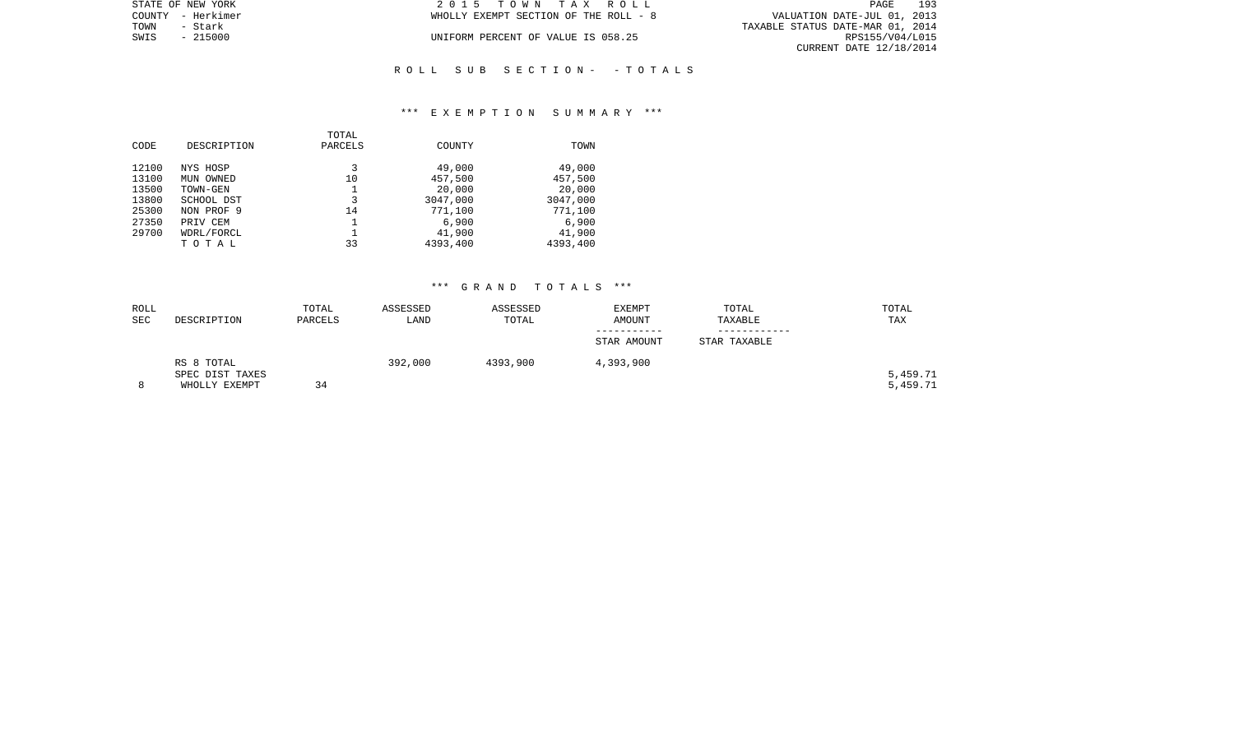| STATE OF NEW YORK | 2015 TOWN TAX ROLL                    | 193<br>PAGE                      |
|-------------------|---------------------------------------|----------------------------------|
| COUNTY - Herkimer | WHOLLY EXEMPT SECTION OF THE ROLL - 8 | VALUATION DATE-JUL 01, 2013      |
| TOWN<br>- Stark   |                                       | TAXABLE STATUS DATE-MAR 01, 2014 |
| SWIS<br>$-215000$ | UNIFORM PERCENT OF VALUE IS 058.25    | RPS155/V04/L015                  |
|                   |                                       | CURRENT DATE 12/18/2014          |
|                   |                                       |                                  |

## R O L L S U B S E C T I O N - - T O T A L S

#### \*\*\* E X E M P T I O N S U M M A R Y \*\*\*

|       |             | TOTAL   |          |          |
|-------|-------------|---------|----------|----------|
| CODE  | DESCRIPTION | PARCELS | COUNTY   | TOWN     |
|       |             |         |          |          |
| 12100 | NYS HOSP    | 3       | 49,000   | 49,000   |
| 13100 | MUN OWNED   | 10      | 457,500  | 457,500  |
| 13500 | TOWN-GEN    |         | 20,000   | 20,000   |
| 13800 | SCHOOL DST  | 3       | 3047,000 | 3047,000 |
| 25300 | NON PROF 9  | 14      | 771,100  | 771,100  |
| 27350 | PRIV CEM    |         | 6,900    | 6,900    |
| 29700 | WDRL/FORCL  |         | 41,900   | 41,900   |
|       | тотаь       | 33      | 4393,400 | 4393,400 |

| ROLL<br>SEC | DESCRIPTION                   | TOTAL<br>PARCELS | ASSESSED<br>LAND | ASSESSED<br>TOTAL | EXEMPT<br>AMOUNT | TOTAL<br>TAXABLE | TOTAL<br>TAX |
|-------------|-------------------------------|------------------|------------------|-------------------|------------------|------------------|--------------|
|             |                               |                  |                  |                   | STAR AMOUNT      | STAR TAXABLE     |              |
|             | RS 8 TOTAL<br>SPEC DIST TAXES |                  | 392,000          | 4393,900          | 4,393,900        |                  | 5,459.71     |
|             | WHOLLY EXEMPT                 | 34               |                  |                   |                  |                  | 5,459.71     |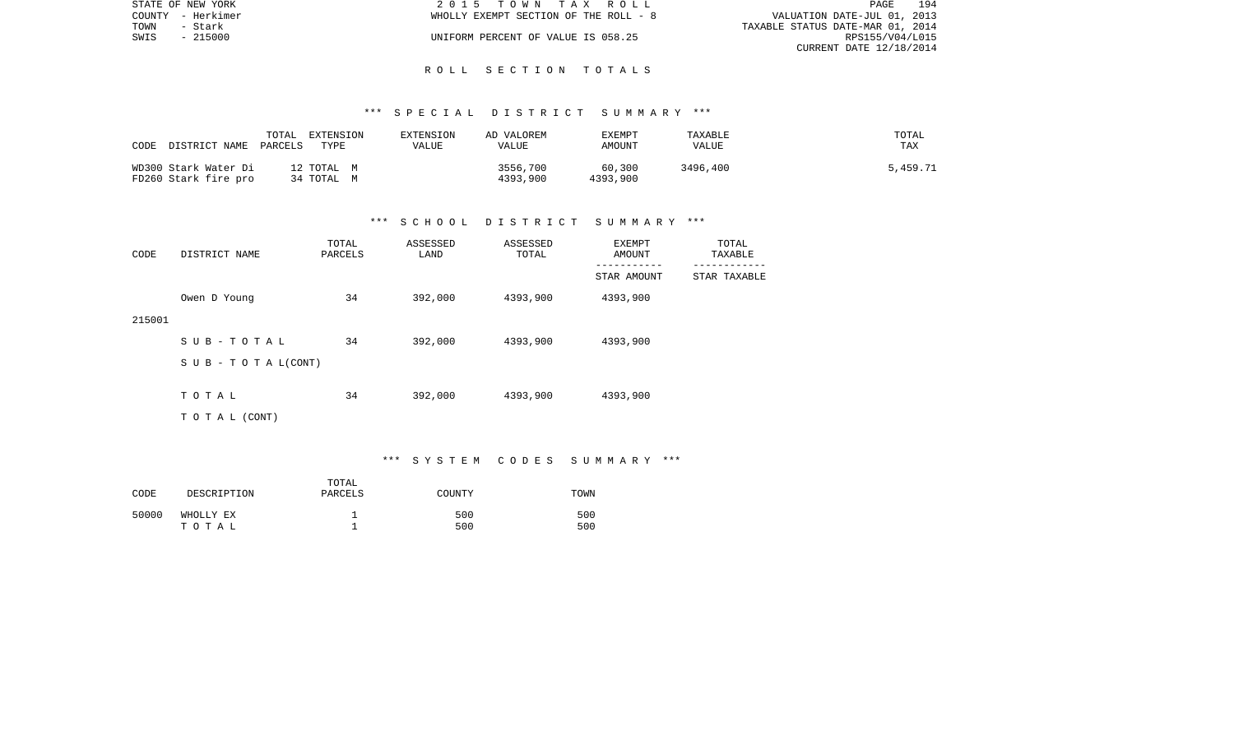| STATE OF NEW YORK | 2015 TOWN TAX ROLL                    | 194<br>PAGE                      |
|-------------------|---------------------------------------|----------------------------------|
| COUNTY - Herkimer | WHOLLY EXEMPT SECTION OF THE ROLL - 8 | VALUATION DATE-JUL 01, 2013      |
| TOWN<br>- Stark   |                                       | TAXABLE STATUS DATE-MAR 01, 2014 |
| SWIS<br>- 215000  | UNIFORM PERCENT OF VALUE IS 058.25    | RPS155/V04/L015                  |
|                   |                                       | CURRENT DATE 12/18/2014          |

#### R O L L S E C T I O N T O T A L S

#### \*\*\* S P E C I A L D I S T R I C T S U M M A R Y \*\*\*

| CODE<br>DISTRICT NAME                        | TOTAL<br>EXTENSION<br>TYPE<br>PARCELS | EXTENSION<br>VALUE | AD VALOREM<br>VALUE  | EXEMPT<br>AMOUNT   | TAXABLE<br>VALUE | TOTAL<br><b>TAX</b> |
|----------------------------------------------|---------------------------------------|--------------------|----------------------|--------------------|------------------|---------------------|
| WD300 Stark Water Di<br>FD260 Stark fire pro | 12 TOTAL M<br>34 TOTAL M              |                    | 3556,700<br>4393,900 | 60,300<br>4393,900 | 3496,400         | 5,459.71            |

#### \*\*\* S C H O O L D I S T R I C T S U M M A R Y \*\*\*

| CODE   | DISTRICT NAME                    | TOTAL<br>PARCELS | ASSESSED<br>LAND | ASSESSED<br>TOTAL | EXEMPT<br>AMOUNT | TOTAL<br>TAXABLE |
|--------|----------------------------------|------------------|------------------|-------------------|------------------|------------------|
|        |                                  |                  |                  |                   | STAR AMOUNT      | STAR TAXABLE     |
|        | Owen D Young                     | 34               | 392,000          | 4393,900          | 4393,900         |                  |
| 215001 |                                  |                  |                  |                   |                  |                  |
|        | SUB-TOTAL                        | 34               | 392,000          | 4393,900          | 4393,900         |                  |
|        | $S \cup B - T \cup T A L (CONT)$ |                  |                  |                   |                  |                  |
|        | TOTAL                            | 34               | 392,000          | 4393,900          | 4393,900         |                  |
|        |                                  |                  |                  |                   |                  |                  |
|        | T O T A L (CONT)                 |                  |                  |                   |                  |                  |

\*\*\* S Y S T E M C O D E S S U M M A R Y \*\*\*

| CODE  | DESCRIPTION        | TOTAL<br>PARCELS | COUNTY     | TOWN       |
|-------|--------------------|------------------|------------|------------|
| 50000 | WHOLLY EX<br>тотаь |                  | 500<br>500 | 500<br>500 |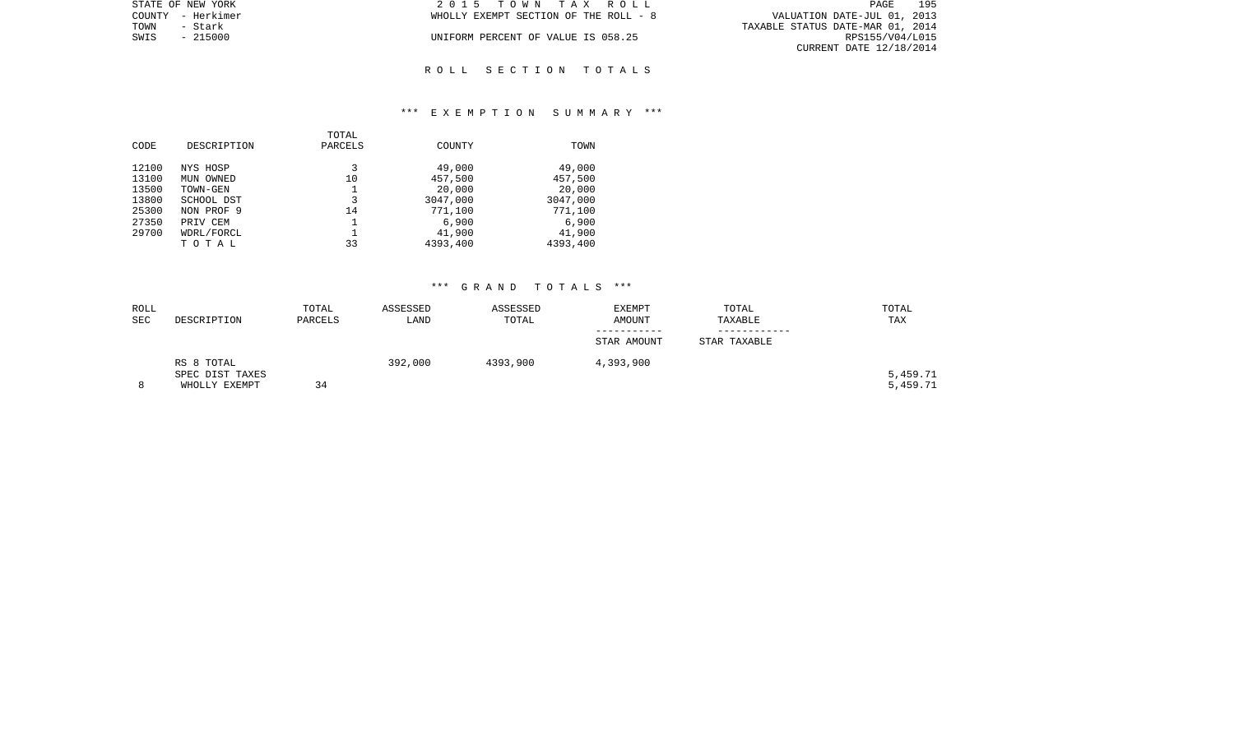| STATE OF NEW YORK | 2015 TOWN TAX ROLL                    | 195<br>PAGE                      |
|-------------------|---------------------------------------|----------------------------------|
| COUNTY - Herkimer | WHOLLY EXEMPT SECTION OF THE ROLL - 8 | VALUATION DATE-JUL 01, 2013      |
| TOWN<br>- Stark   |                                       | TAXABLE STATUS DATE-MAR 01, 2014 |
| SWIS<br>$-215000$ | UNIFORM PERCENT OF VALUE IS 058.25    | RPS155/V04/L015                  |
|                   |                                       | CURRENT DATE 12/18/2014          |
|                   |                                       |                                  |

R O L L S E C T I O N T O T A L S

#### \*\*\* E X E M P T I O N S U M M A R Y \*\*\*

| CODE  | DESCRIPTION | TOTAL<br>PARCELS | COUNTY   | TOWN     |
|-------|-------------|------------------|----------|----------|
| 12100 | NYS HOSP    | 3                | 49,000   | 49,000   |
| 13100 | MUN OWNED   | 10               | 457,500  | 457,500  |
| 13500 | TOWN-GEN    |                  | 20,000   | 20,000   |
| 13800 | SCHOOL DST  | 3                | 3047,000 | 3047,000 |
| 25300 | NON PROF 9  | 14               | 771,100  | 771,100  |
| 27350 | PRIV CEM    |                  | 6,900    | 6,900    |
| 29700 | WDRL/FORCL  |                  | 41,900   | 41,900   |
|       | TOTAL       | 33               | 4393,400 | 4393,400 |
|       |             |                  |          |          |

| ROLL<br>SEC | DESCRIPTION                                    | TOTAL<br>PARCELS | ASSESSED<br>LAND | ASSESSED<br>TOTAL | EXEMPT<br>AMOUNT | TOTAL<br>TAXABLE | TOTAL<br>TAX         |
|-------------|------------------------------------------------|------------------|------------------|-------------------|------------------|------------------|----------------------|
|             |                                                |                  |                  |                   | STAR AMOUNT      | STAR TAXABLE     |                      |
|             | RS 8 TOTAL<br>SPEC DIST TAXES<br>WHOLLY EXEMPT | 34               | 392,000          | 4393,900          | 4,393,900        |                  | 5,459.71<br>5,459.71 |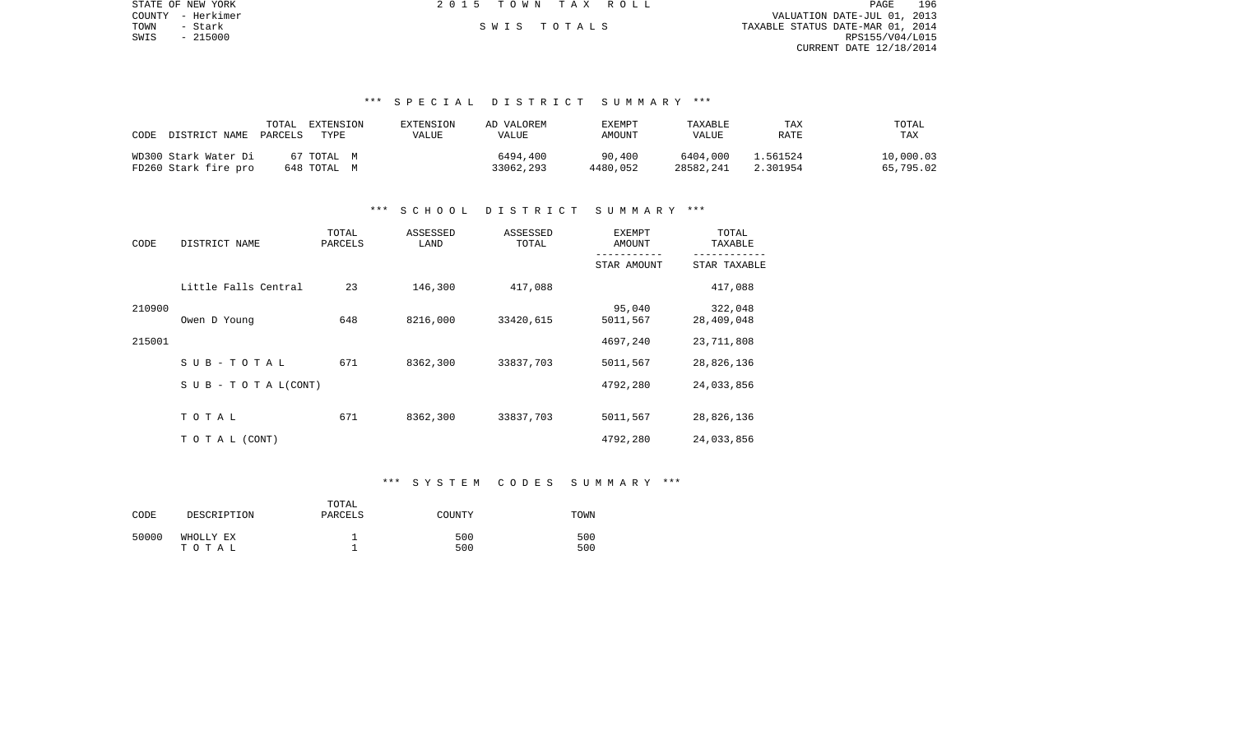| STATE OF NEW YORK | 2015 TOWN TAX ROLL | 196<br>PAGE                      |
|-------------------|--------------------|----------------------------------|
| COUNTY - Herkimer |                    | VALUATION DATE-JUL 01, 2013      |
| TOWN<br>- Stark   | SWIS TOTALS        | TAXABLE STATUS DATE-MAR 01, 2014 |
| SWIS<br>$-215000$ |                    | RPS155/V04/L015                  |
|                   |                    | CURRENT DATE 12/18/2014          |
|                   |                    |                                  |
|                   |                    |                                  |

#### \*\*\* S P E C I A L D I S T R I C T S U M M A R Y \*\*\*

| CODE<br>DISTRICT NAME PARCELS | TOTAL<br>EXTENSION<br>TYPE. | EXTENSION<br>VALUE | AD VALOREM<br>VALUE | EXEMPT<br>AMOUNT | TAXABLE<br>VALUE | TAX<br>RATE | TOTAL<br>TAX |
|-------------------------------|-----------------------------|--------------------|---------------------|------------------|------------------|-------------|--------------|
| WD300 Stark Water Di          | 67 TOTAL M                  |                    | 6494,400            | 90,400           | 6404,000         | 1.561524    | 10,000.03    |
| FD260 Stark fire pro          | 648 TOTAL M                 |                    | 33062,293           | 4480,052         | 28582,241        | 2.301954    | 65,795.02    |

#### \*\*\* S C H O O L D I S T R I C T S U M M A R Y \*\*\*

| CODE   | DISTRICT NAME                    | TOTAL<br>PARCELS | ASSESSED<br>LAND | ASSESSED<br>TOTAL | EXEMPT<br>AMOUNT   | TOTAL<br>TAXABLE<br>------- |  |
|--------|----------------------------------|------------------|------------------|-------------------|--------------------|-----------------------------|--|
|        |                                  |                  |                  |                   | STAR AMOUNT        | STAR TAXABLE                |  |
|        | Little Falls Central             | 23               | 146,300          | 417,088           |                    | 417,088                     |  |
| 210900 | Owen D Young                     | 648              | 8216,000         | 33420,615         | 95,040<br>5011,567 | 322,048<br>28,409,048       |  |
| 215001 |                                  |                  |                  |                   | 4697,240           | 23,711,808                  |  |
|        | SUB-TOTAL                        | 671              | 8362,300         | 33837,703         | 5011,567           | 28,826,136                  |  |
|        | $S \cup B - T \cup T A L (CONT)$ |                  |                  |                   | 4792,280           | 24,033,856                  |  |
|        | TOTAL                            | 671              | 8362,300         | 33837,703         | 5011,567           | 28,826,136                  |  |
|        | TO TAL (CONT)                    |                  |                  |                   | 4792,280           | 24,033,856                  |  |

#### \*\*\* S Y S T E M C O D E S S U M M A R Y \*\*\*

| CODE  | DESCRIPTION        | TOTAL<br>PARCELS | COUNTY     | TOWN       |
|-------|--------------------|------------------|------------|------------|
| 50000 | WHOLLY EX<br>тотаь |                  | 500<br>500 | 500<br>500 |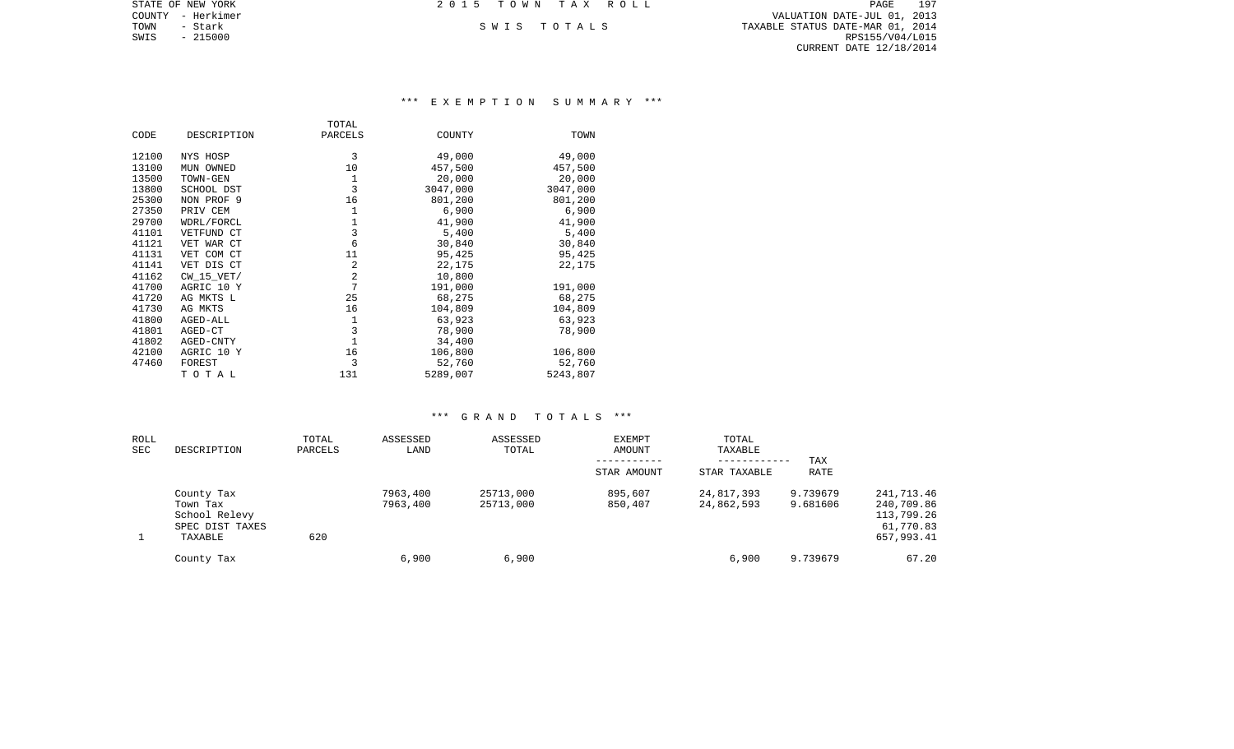| STATE OF NEW YORK | 2015 TOWN TAX ROLL | 197<br>PAGE                      |
|-------------------|--------------------|----------------------------------|
| COUNTY - Herkimer |                    | VALUATION DATE-JUL 01, 2013      |
| TOWN<br>– Stark   | SWIS TOTALS        | TAXABLE STATUS DATE-MAR 01, 2014 |
| SWIS<br>- 215000  |                    | RPS155/V04/L015                  |
|                   |                    | CURRENT DATE 12/18/2014          |
|                   |                    |                                  |

#### \*\*\* E X E M P T I O N S U M M A R Y \*\*\*

|       |             | TOTAL          |          |          |
|-------|-------------|----------------|----------|----------|
| CODE  | DESCRIPTION | PARCELS        | COUNTY   | TOWN     |
| 12100 | NYS HOSP    | 3              | 49,000   | 49,000   |
| 13100 | MUN OWNED   | 10             | 457,500  | 457,500  |
| 13500 | TOWN-GEN    | 1              | 20,000   | 20,000   |
| 13800 | SCHOOL DST  | 3              | 3047,000 | 3047,000 |
| 25300 | NON PROF 9  | 16             | 801,200  | 801,200  |
| 27350 | PRIV CEM    | 1              | 6,900    | 6,900    |
| 29700 | WDRL/FORCL  | 1              | 41,900   | 41,900   |
| 41101 | VETFUND CT  | 3              | 5,400    | 5,400    |
| 41121 | VET WAR CT  | 6              | 30,840   | 30,840   |
| 41131 | VET COM CT  | 11             | 95,425   | 95,425   |
| 41141 | VET DIS CT  | 2              | 22,175   | 22,175   |
| 41162 | CW 15 VET/  | $\overline{2}$ | 10,800   |          |
| 41700 | AGRIC 10 Y  | 7              | 191,000  | 191,000  |
| 41720 | AG MKTS L   | 25             | 68,275   | 68,275   |
| 41730 | AG MKTS     | 16             | 104,809  | 104,809  |
| 41800 | AGED-ALL    | 1              | 63,923   | 63,923   |
| 41801 | AGED-CT     | 3              | 78,900   | 78,900   |
| 41802 | AGED-CNTY   | $\mathbf{1}$   | 34,400   |          |
| 42100 | AGRIC 10 Y  | 16             | 106,800  | 106,800  |
| 47460 | FOREST      | 3              | 52,760   | 52,760   |
|       | TOTAL       | 131            | 5289,007 | 5243,807 |

| ROLL<br>SEC | DESCRIPTION                                                           | TOTAL<br>PARCELS | ASSESSED<br>LAND     | ASSESSED<br>TOTAL      | EXEMPT<br>AMOUNT   | TOTAL<br>TAXABLE<br>------------ | TAX                  |                                                                   |
|-------------|-----------------------------------------------------------------------|------------------|----------------------|------------------------|--------------------|----------------------------------|----------------------|-------------------------------------------------------------------|
|             |                                                                       |                  |                      |                        | STAR AMOUNT        | STAR TAXABLE                     | RATE                 |                                                                   |
|             | County Tax<br>Town Tax<br>School Relevy<br>SPEC DIST TAXES<br>TAXABLE | 620              | 7963,400<br>7963,400 | 25713,000<br>25713,000 | 895,607<br>850,407 | 24,817,393<br>24,862,593         | 9.739679<br>9.681606 | 241,713.46<br>240,709.86<br>113,799.26<br>61,770.83<br>657,993.41 |
|             | County Tax                                                            |                  | 6,900                | 6,900                  |                    | 6,900                            | 9.739679             | 67.20                                                             |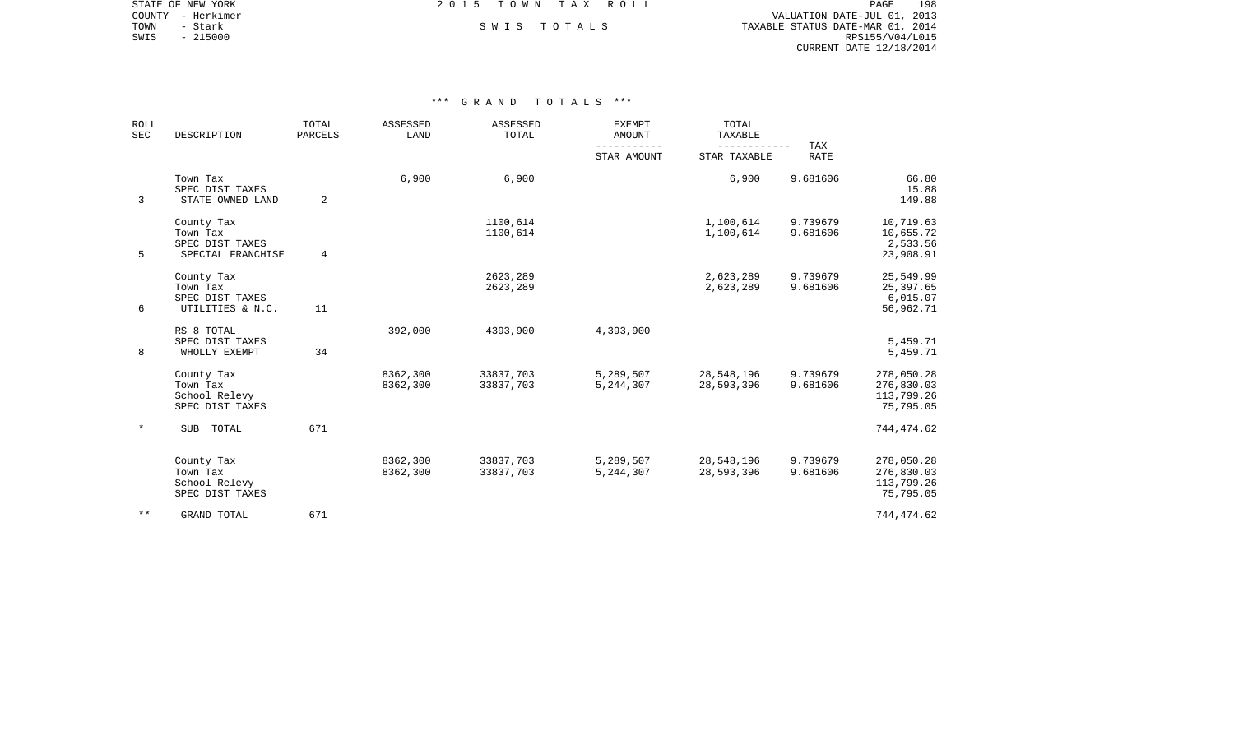COUNTY - Herkimer VALUATION DATE-JUL 01, 2013 TOWN - Stark South S W I S T O T A L S TO T A L S TAXABLE STATUS DATE-MAR 01, 2014 SWIS - 215000<br>SWIS - 215000<br>SWIS - 215000<br>RPS155/V04/L015 CURRENT DATE 12/18/2014

STATE OF NEW YORK **EXECUTE:**  $2015$  TOWN TAX ROLL

| <b>ROLL</b><br>SEC | DESCRIPTION                                                    | TOTAL<br>PARCELS | ASSESSED<br>LAND     | ASSESSED<br>TOTAL      | <b>EXEMPT</b><br><b>AMOUNT</b> | TOTAL<br>TAXABLE         |                           |                                                     |
|--------------------|----------------------------------------------------------------|------------------|----------------------|------------------------|--------------------------------|--------------------------|---------------------------|-----------------------------------------------------|
|                    |                                                                |                  |                      |                        | STAR AMOUNT                    | STAR TAXABLE             | <b>TAX</b><br><b>RATE</b> |                                                     |
| 3                  | Town Tax<br>SPEC DIST TAXES<br>STATE OWNED LAND                | 2                | 6,900                | 6,900                  |                                | 6,900                    | 9.681606                  | 66.80<br>15.88<br>149.88                            |
| 5                  | County Tax<br>Town Tax<br>SPEC DIST TAXES<br>SPECIAL FRANCHISE | 4                |                      | 1100,614<br>1100,614   |                                | 1,100,614<br>1,100,614   | 9.739679<br>9.681606      | 10,719.63<br>10,655.72<br>2,533.56<br>23,908.91     |
| 6                  | County Tax<br>Town Tax<br>SPEC DIST TAXES<br>UTILITIES & N.C.  | 11               |                      | 2623,289<br>2623,289   |                                | 2,623,289<br>2,623,289   | 9.739679<br>9.681606      | 25,549.99<br>25,397.65<br>6,015.07<br>56,962.71     |
| 8                  | RS 8 TOTAL<br>SPEC DIST TAXES<br>WHOLLY EXEMPT                 | 34               | 392,000              | 4393,900               | 4,393,900                      |                          |                           | 5,459.71<br>5,459.71                                |
|                    | County Tax<br>Town Tax<br>School Relevy<br>SPEC DIST TAXES     |                  | 8362,300<br>8362,300 | 33837,703<br>33837,703 | 5,289,507<br>5,244,307         | 28,548,196<br>28,593,396 | 9.739679<br>9.681606      | 278,050.28<br>276,830.03<br>113,799.26<br>75,795.05 |
| $\ast$             | SUB TOTAL                                                      | 671              |                      |                        |                                |                          |                           | 744,474.62                                          |
|                    | County Tax<br>Town Tax<br>School Relevy<br>SPEC DIST TAXES     |                  | 8362,300<br>8362,300 | 33837,703<br>33837,703 | 5,289,507<br>5, 244, 307       | 28,548,196<br>28,593,396 | 9.739679<br>9.681606      | 278,050.28<br>276,830.03<br>113,799.26<br>75,795.05 |
| $***$              | <b>GRAND TOTAL</b>                                             | 671              |                      |                        |                                |                          |                           | 744,474.62                                          |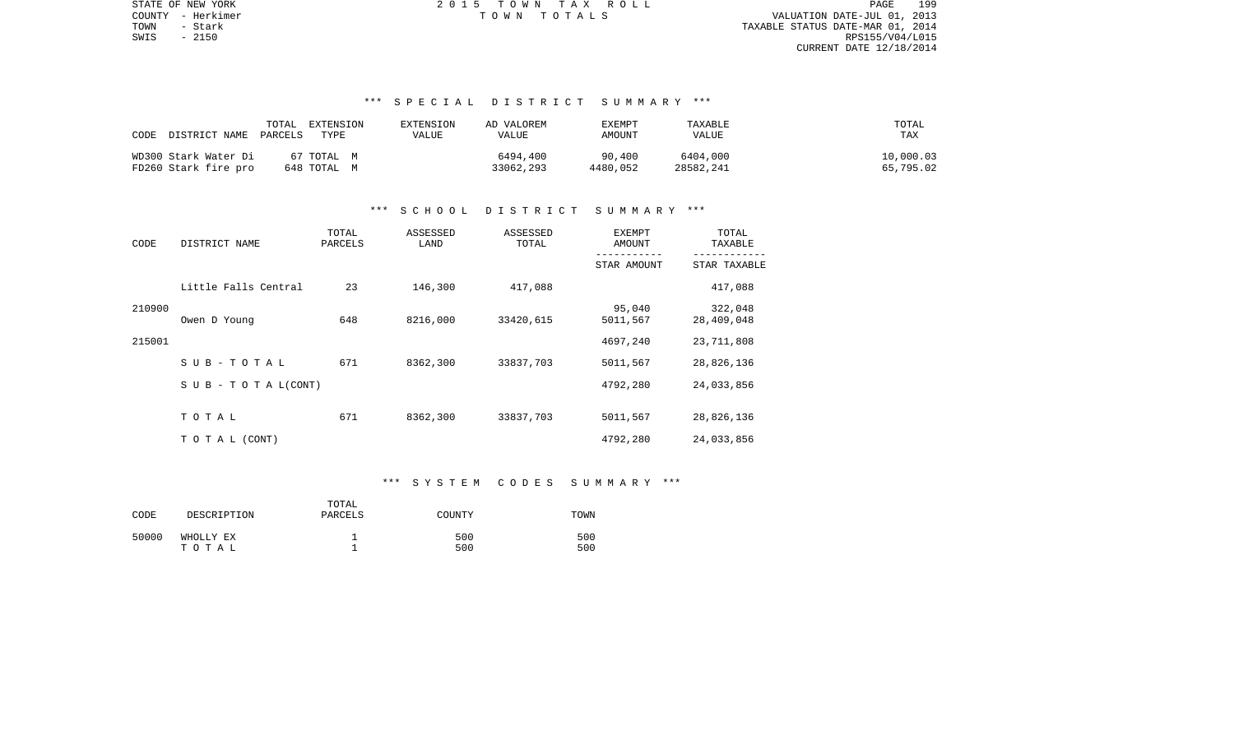PAGE 199 TOWN - Stark TAXABLE STATUS DATE-MAR 01, 2014 SWIS - 2150 RPS155/V04/L015 CURRENT DATE 12/18/2014

STATE OF NEW YORK **EXECUTE:**  $2015$  TOWN TAX ROLL COUNTY - Herkimer T O W N T O T A L S VALUATION DATE-JUL 01, 2013

## \*\*\* S P E C I A L D I S T R I C T S U M M A R Y \*\*\*

| DISTRICT NAME<br>CODE | TOTAL<br>EXTENSION<br>PARCELS<br>TYPE | EXTENSION<br>VALUE | AD VALOREM<br>VALUE | EXEMPT<br>AMOUNT | TAXABLE<br>VALUE | TOTAL<br>TAX |
|-----------------------|---------------------------------------|--------------------|---------------------|------------------|------------------|--------------|
| WD300 Stark Water Di  | 67 ТОТАL М                            |                    | 6494,400            | 90,400           | 6404,000         | 10,000.03    |
| FD260 Stark fire pro  | 648 TOTAL M                           |                    | 33062,293           | 4480,052         | 28582,241        | 65,795.02    |

#### \*\*\* S C H O O L D I S T R I C T S U M M A R Y \*\*\*

| CODE   | DISTRICT NAME                    | TOTAL<br>PARCELS | ASSESSED<br>LAND | ASSESSED<br>TOTAL | <b>EXEMPT</b><br><b>AMOUNT</b> | TOTAL<br>TAXABLE      |
|--------|----------------------------------|------------------|------------------|-------------------|--------------------------------|-----------------------|
|        |                                  |                  |                  |                   | STAR AMOUNT                    | STAR TAXABLE          |
|        | Little Falls Central             | 23               | 146,300          | 417,088           |                                | 417,088               |
| 210900 | Owen D Young                     | 648              | 8216,000         | 33420,615         | 95,040<br>5011,567             | 322,048<br>28,409,048 |
| 215001 |                                  |                  |                  |                   | 4697,240                       | 23,711,808            |
|        | SUB-TOTAL                        | 671              | 8362,300         | 33837,703         | 5011,567                       | 28,826,136            |
|        | $S \cup B - T \cup T A L (CONT)$ |                  |                  |                   | 4792,280                       | 24,033,856            |
|        | TOTAL                            | 671              | 8362,300         | 33837,703         | 5011,567                       | 28,826,136            |
|        | TO TAL (CONT)                    |                  |                  |                   | 4792,280                       | 24,033,856            |

#### \*\*\* S Y S T E M C O D E S S U M M A R Y \*\*\*

| CODE  | DESCRIPTION        | TOTAL<br>PARCELS | COUNTY     | TOWN       |
|-------|--------------------|------------------|------------|------------|
| 50000 | WHOLLY EX<br>тотаь |                  | 500<br>500 | 500<br>500 |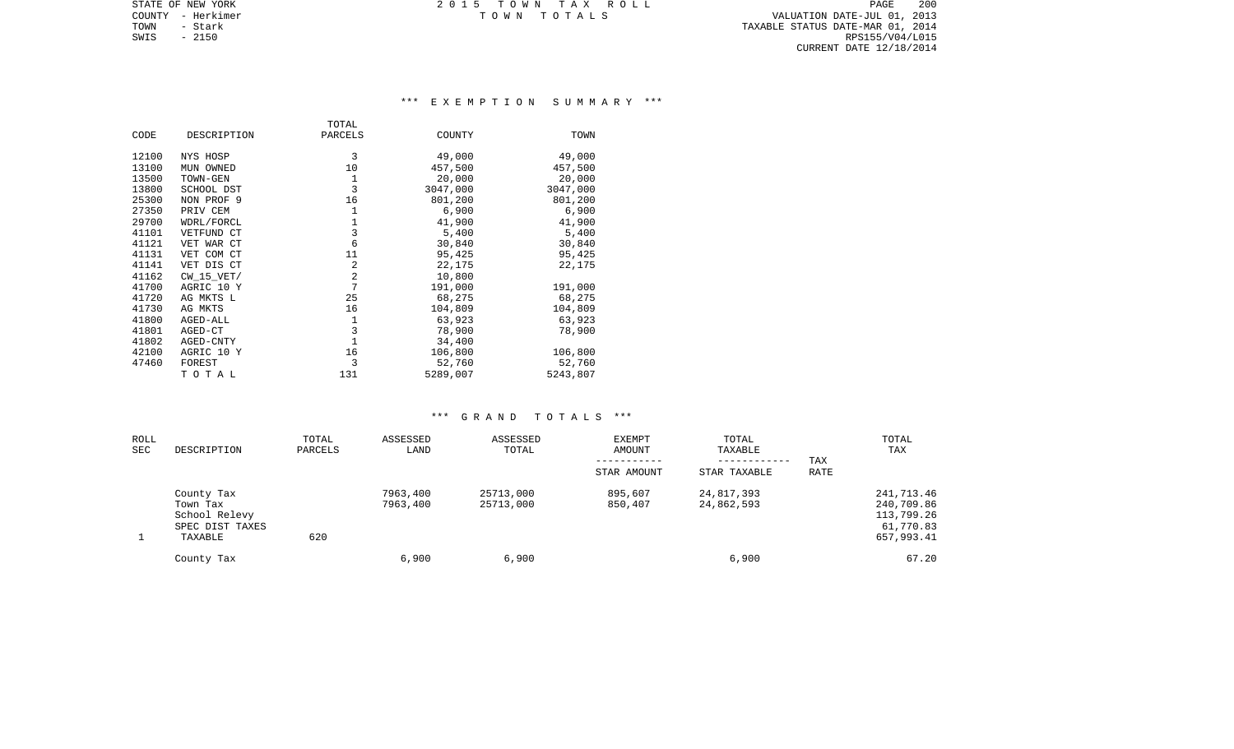TOWN - Stark TAXABLE STATUS DATE-MAR 01, 2014 SWIS - 2150 RPS155/V04/L015 CURRENT DATE 12/18/2014

STATE OF NEW YORK **EXECUTE:**  $2015$  TOWN TAX ROLL COUNTY - Herkimer T O W N T O T A L S VALUATION DATE-JUL 01, 2013

## \*\*\* E X E M P T I O N S U M M A R Y \*\*\*

|       |                | TOTAL          |          |          |
|-------|----------------|----------------|----------|----------|
| CODE  | DESCRIPTION    | PARCELS        | COUNTY   | TOWN     |
| 12100 | NYS HOSP       | 3              | 49,000   | 49,000   |
| 13100 | MUN OWNED      | 10             | 457,500  | 457,500  |
| 13500 | TOWN-GEN       | 1              | 20,000   | 20,000   |
| 13800 | SCHOOL DST     | 3              | 3047,000 | 3047,000 |
| 25300 | NON PROF 9     | 16             | 801,200  | 801,200  |
| 27350 | PRIV CEM       | 1              | 6,900    | 6,900    |
| 29700 | WDRL/FORCL     | 1              | 41,900   | 41,900   |
| 41101 | VETFUND CT     | 3              | 5,400    | 5,400    |
| 41121 | VET WAR CT     | 6              | 30,840   | 30,840   |
| 41131 | VET COM CT     | 11             | 95,425   | 95,425   |
| 41141 | VET DIS CT     | 2              | 22,175   | 22,175   |
| 41162 | $CW$ 15 $VET/$ | 2              | 10,800   |          |
| 41700 | AGRIC 10 Y     | $\overline{7}$ | 191,000  | 191,000  |
| 41720 | AG MKTS L      | 25             | 68,275   | 68,275   |
| 41730 | AG MKTS        | 16             | 104,809  | 104,809  |
| 41800 | AGED-ALL       | 1              | 63,923   | 63,923   |
| 41801 | AGED-CT        | 3              | 78,900   | 78,900   |
| 41802 | AGED-CNTY      | 1              | 34,400   |          |
| 42100 | AGRIC 10 Y     | 16             | 106,800  | 106,800  |
| 47460 | FOREST         | 3              | 52,760   | 52,760   |
|       | TOTAL          | 131            | 5289,007 | 5243,807 |

| ROLL<br>SEC | DESCRIPTION                                                           | TOTAL<br>PARCELS | ASSESSED<br>LAND     | ASSESSED<br>TOTAL      | EXEMPT<br>AMOUNT   | TOTAL<br>TAXABLE<br>------------ | TAX  | TOTAL<br>TAX                                                      |
|-------------|-----------------------------------------------------------------------|------------------|----------------------|------------------------|--------------------|----------------------------------|------|-------------------------------------------------------------------|
|             |                                                                       |                  |                      |                        | STAR AMOUNT        | STAR TAXABLE                     | RATE |                                                                   |
|             | County Tax<br>Town Tax<br>School Relevy<br>SPEC DIST TAXES<br>TAXABLE | 620              | 7963,400<br>7963,400 | 25713,000<br>25713,000 | 895,607<br>850,407 | 24,817,393<br>24,862,593         |      | 241,713.46<br>240,709.86<br>113,799.26<br>61,770.83<br>657,993.41 |
|             | County Tax                                                            |                  | 6,900                | 6,900                  |                    | 6,900                            |      | 67.20                                                             |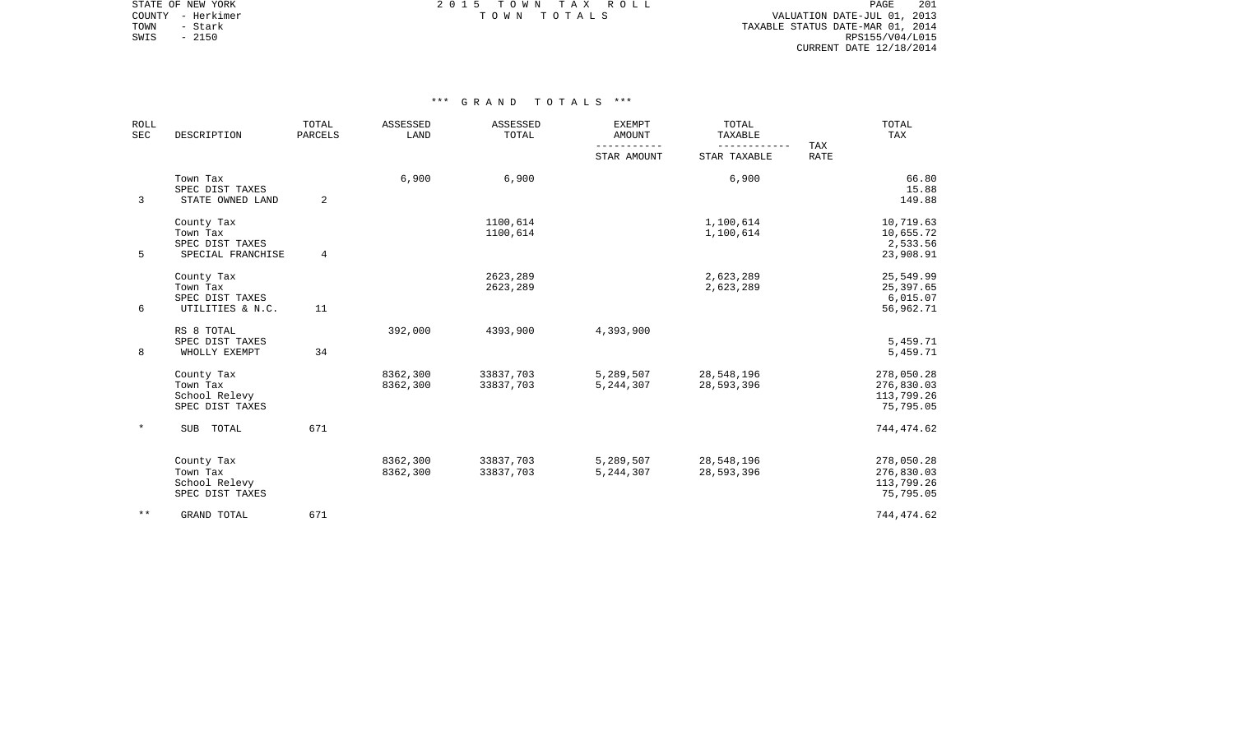STATE OF NEW YORK **EXECUTE:**  $2015$  TOWN TAX ROLL

 COUNTY - Herkimer T O W N T O T A L S VALUATION DATE-JUL 01, 2013 TOWN - Stark TAXABLE STATUS DATE-MAR 01, 2014 SWIS - 2150<br>
SWIS - 2150<br>
SWIS - 2150<br>
SWIS - 2150<br>
RPS155/V04/L015 CURRENT DATE 12/18/2014

| <b>ROLL</b><br>SEC | DESCRIPTION                                                    | TOTAL<br>PARCELS | ASSESSED<br>LAND     | ASSESSED<br>TOTAL      | <b>EXEMPT</b><br><b>AMOUNT</b> | TOTAL<br>TAXABLE         | TAX | TOTAL<br>TAX                                        |
|--------------------|----------------------------------------------------------------|------------------|----------------------|------------------------|--------------------------------|--------------------------|-----|-----------------------------------------------------|
|                    |                                                                |                  | STAR AMOUNT          | STAR TAXABLE           | <b>RATE</b>                    |                          |     |                                                     |
| 3                  | Town Tax<br>SPEC DIST TAXES<br>STATE OWNED LAND                | 2                | 6,900                | 6,900                  |                                | 6,900                    |     | 66.80<br>15.88<br>149.88                            |
| 5                  | County Tax<br>Town Tax<br>SPEC DIST TAXES<br>SPECIAL FRANCHISE | 4                |                      | 1100,614<br>1100,614   |                                | 1,100,614<br>1,100,614   |     | 10,719.63<br>10,655.72<br>2,533.56<br>23,908.91     |
| 6                  | County Tax<br>Town Tax<br>SPEC DIST TAXES<br>UTILITIES & N.C.  | 11               |                      | 2623,289<br>2623,289   |                                | 2,623,289<br>2,623,289   |     | 25,549.99<br>25,397.65<br>6,015.07<br>56,962.71     |
| 8                  | RS 8 TOTAL<br>SPEC DIST TAXES<br>WHOLLY EXEMPT                 | 34               | 392,000              | 4393,900               | 4,393,900                      |                          |     | 5,459.71<br>5,459.71                                |
|                    | County Tax<br>Town Tax<br>School Relevy<br>SPEC DIST TAXES     |                  | 8362,300<br>8362,300 | 33837,703<br>33837,703 | 5,289,507<br>5,244,307         | 28,548,196<br>28,593,396 |     | 278,050.28<br>276,830.03<br>113,799.26<br>75,795.05 |
|                    | SUB TOTAL                                                      | 671              |                      |                        |                                |                          |     | 744, 474.62                                         |
|                    | County Tax<br>Town Tax<br>School Relevy<br>SPEC DIST TAXES     |                  | 8362,300<br>8362,300 | 33837,703<br>33837,703 | 5,289,507<br>5, 244, 307       | 28,548,196<br>28,593,396 |     | 278,050.28<br>276,830.03<br>113,799.26<br>75,795.05 |
| $* *$              | GRAND TOTAL                                                    | 671              |                      |                        |                                |                          |     | 744,474.62                                          |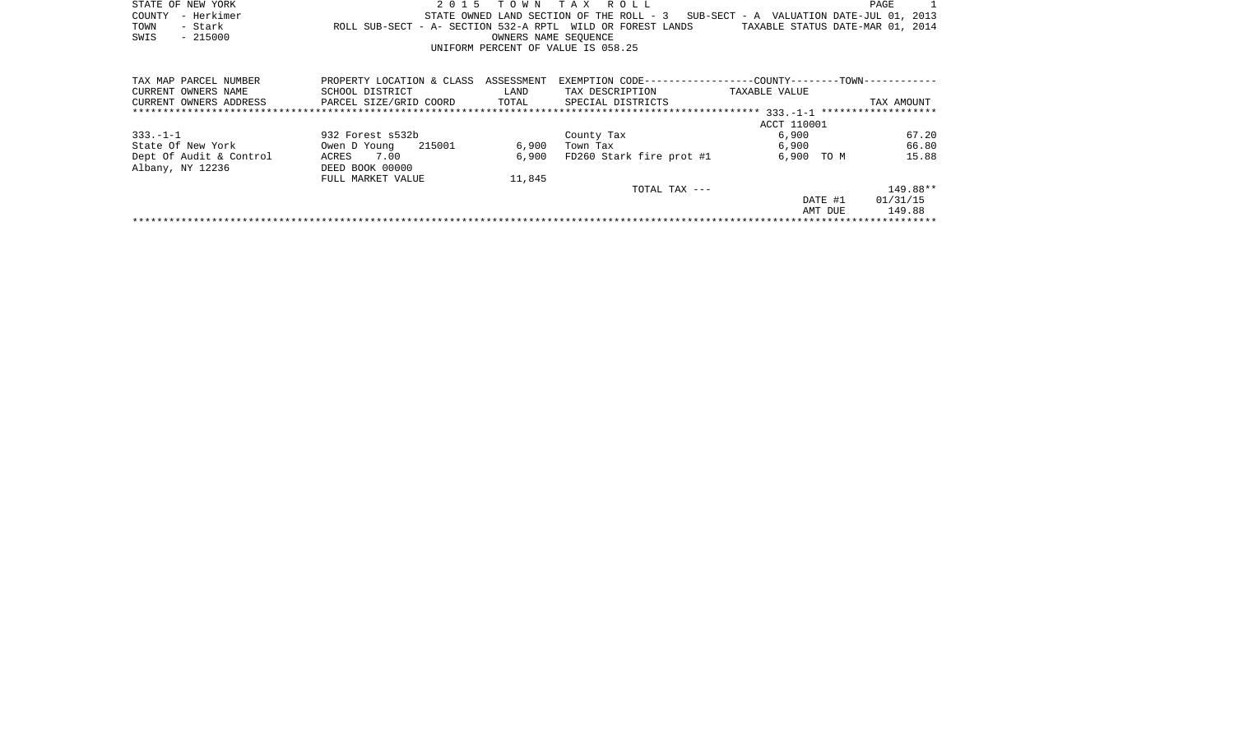|      | STATE OF NEW YORK |                                                            | 2015 TOWN TAX ROLL                 |                      |  |  |                                                                                   |                                  | PAGE |  |
|------|-------------------|------------------------------------------------------------|------------------------------------|----------------------|--|--|-----------------------------------------------------------------------------------|----------------------------------|------|--|
|      | COUNTY - Herkimer |                                                            |                                    |                      |  |  | STATE OWNED LAND SECTION OF THE ROLL - 3 SUB-SECT - A VALUATION DATE-JUL 01, 2013 |                                  |      |  |
| TOWN | - Stark           | ROLL SUB-SECT - A- SECTION 532-A RPTL WILD OR FOREST LANDS |                                    |                      |  |  |                                                                                   | TAXABLE STATUS DATE-MAR 01, 2014 |      |  |
| SWIS | - 215000          |                                                            |                                    | OWNERS NAME SEOUENCE |  |  |                                                                                   |                                  |      |  |
|      |                   |                                                            | UNIFORM PERCENT OF VALUE IS 058.25 |                      |  |  |                                                                                   |                                  |      |  |
|      |                   |                                                            |                                    |                      |  |  |                                                                                   |                                  |      |  |

| TAX MAP PARCEL NUMBER   | PROPERTY LOCATION & CLASS | ASSESSMENT | EXEMPTION CODE--         | --COUNTY--------TOWN------------   |            |  |  |  |  |  |
|-------------------------|---------------------------|------------|--------------------------|------------------------------------|------------|--|--|--|--|--|
| CURRENT OWNERS NAME     | SCHOOL DISTRICT           | LAND       | TAX DESCRIPTION          | TAXABLE VALUE                      |            |  |  |  |  |  |
| CURRENT OWNERS ADDRESS  | PARCEL SIZE/GRID COORD    | TOTAL      | SPECIAL DISTRICTS        |                                    | TAX AMOUNT |  |  |  |  |  |
|                         |                           |            |                          | $333 - 1 - 1$ ******************** |            |  |  |  |  |  |
|                         |                           |            |                          | ACCT 110001                        |            |  |  |  |  |  |
| $333. - 1 - 1$          | 932 Forest s532b          |            | County Tax               | 6,900                              | 67.20      |  |  |  |  |  |
| State Of New York       | 215001<br>Owen D Young    | 6,900      | Town Tax                 | 6,900                              | 66.80      |  |  |  |  |  |
| Dept Of Audit & Control | 7.00<br>ACRES             | 6,900      | FD260 Stark fire prot #1 | 6,900<br>TO M                      | 15.88      |  |  |  |  |  |
| Albany, NY 12236        | DEED BOOK 00000           |            |                          |                                    |            |  |  |  |  |  |
|                         | FULL MARKET VALUE         | 11,845     |                          |                                    |            |  |  |  |  |  |
|                         |                           |            | $TOTAL$ $TAX$ $---$      |                                    | 149.88**   |  |  |  |  |  |
|                         |                           |            |                          | DATE #1                            | 01/31/15   |  |  |  |  |  |
|                         |                           |            |                          | AMT DUE                            | 149.88     |  |  |  |  |  |
|                         |                           |            |                          |                                    |            |  |  |  |  |  |
|                         |                           |            |                          |                                    |            |  |  |  |  |  |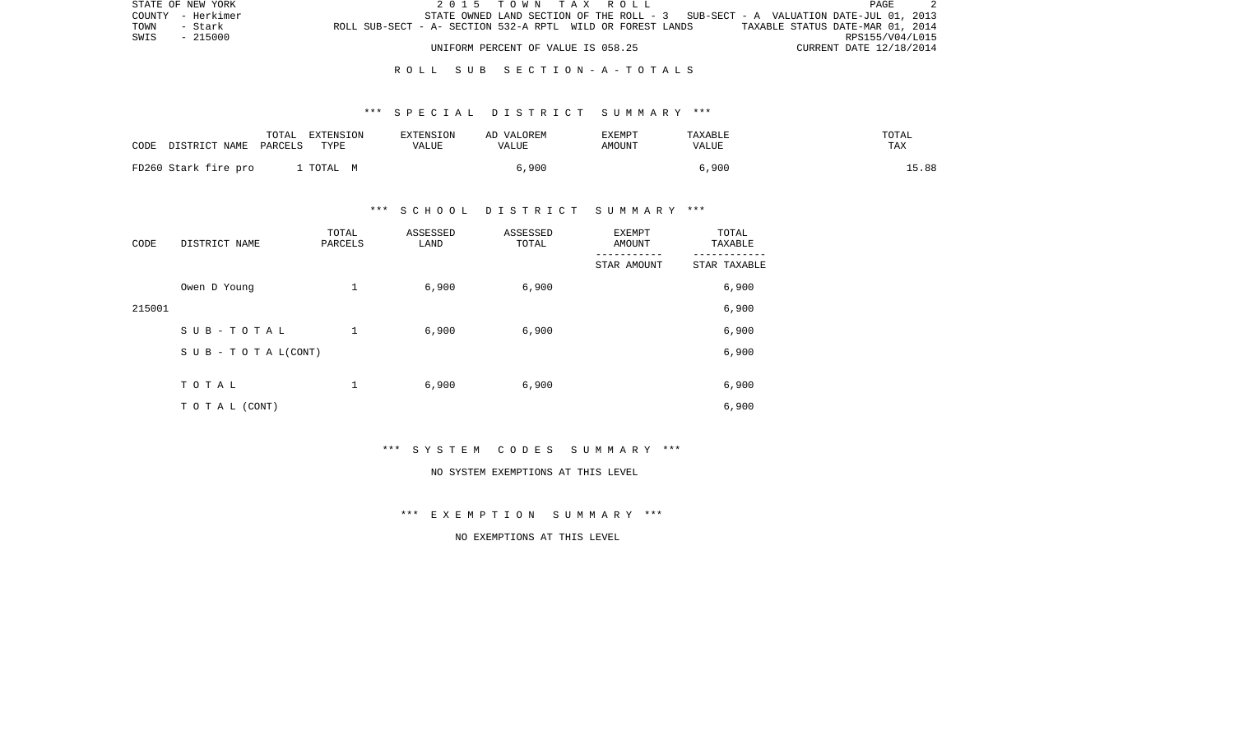| STATE OF NEW YORK |                                                            |  |                                    |  | 2015 TOWN TAX ROLL |                                                                                   |  |                                  | PAGE |  |
|-------------------|------------------------------------------------------------|--|------------------------------------|--|--------------------|-----------------------------------------------------------------------------------|--|----------------------------------|------|--|
| COUNTY - Herkimer |                                                            |  |                                    |  |                    | STATE OWNED LAND SECTION OF THE ROLL - 3 SUB-SECT - A VALUATION DATE-JUL 01, 2013 |  |                                  |      |  |
| TOWN<br>- Stark   | ROLL SUB-SECT - A- SECTION 532-A RPTL WILD OR FOREST LANDS |  |                                    |  |                    |                                                                                   |  | TAXABLE STATUS DATE-MAR 01, 2014 |      |  |
| SWIS<br>$-215000$ |                                                            |  |                                    |  |                    |                                                                                   |  | RPS155/V04/L015                  |      |  |
|                   |                                                            |  | UNIFORM PERCENT OF VALUE IS 058.25 |  |                    |                                                                                   |  | CURRENT DATE 12/18/2014          |      |  |

#### R O L L S U B S E C T I O N - A - T O T A L S

#### \*\*\* S P E C I A L D I S T R I C T S U M M A R Y \*\*\*

| CODE | DISTRICT NAME PARCELS | TOTAL | EXTENSION<br>TYPE | <b>EXTENSION</b><br>VALUE | AD VALOREM<br>VALUE | EXEMPT<br>AMOUNT | TAXABLE<br>VALUE | TOTAL<br><b>TAX</b> |
|------|-----------------------|-------|-------------------|---------------------------|---------------------|------------------|------------------|---------------------|
|      | FD260 Stark fire pro  |       | TOTAL M           |                           | 5,900               |                  | 6,900            | 15.88               |

#### \*\*\* S C H O O L D I S T R I C T S U M M A R Y \*\*\*

| CODE   | DISTRICT NAME                    | TOTAL<br>PARCELS | ASSESSED<br>LAND | ASSESSED<br>TOTAL | <b>EXEMPT</b><br>AMOUNT | TOTAL<br>TAXABLE |
|--------|----------------------------------|------------------|------------------|-------------------|-------------------------|------------------|
|        |                                  |                  |                  |                   | STAR AMOUNT             | STAR TAXABLE     |
|        | Owen D Young                     | 1                | 6,900            | 6,900             |                         | 6,900            |
| 215001 |                                  |                  |                  |                   |                         | 6,900            |
|        | SUB-TOTAL                        | 1                | 6,900            | 6,900             |                         | 6,900            |
|        | $S \cup B - T \cup T A L (CONT)$ |                  |                  |                   |                         | 6,900            |
|        |                                  |                  |                  |                   |                         |                  |
|        | TOTAL                            | 1                | 6,900            | 6,900             |                         | 6,900            |
|        | TO TAL (CONT)                    |                  |                  |                   |                         | 6,900            |

\*\*\* S Y S T E M C O D E S S U M M A R Y \*\*\*

#### NO SYSTEM EXEMPTIONS AT THIS LEVEL

\*\*\* E X E M P T I O N S U M M A R Y \*\*\*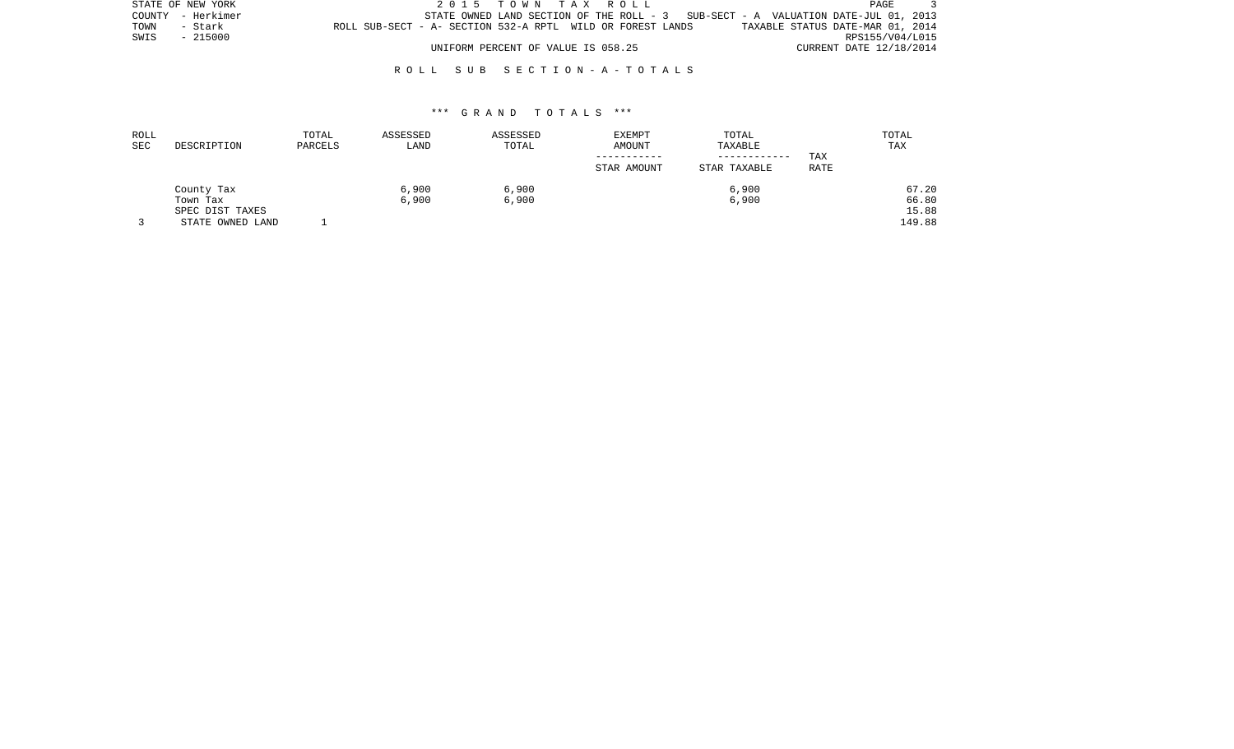|      | STATE OF NEW YORK |                                                            |                                    |  |  | 2015 TOWN TAX ROLL |                                                                                   |                                  | PAGE |                 |
|------|-------------------|------------------------------------------------------------|------------------------------------|--|--|--------------------|-----------------------------------------------------------------------------------|----------------------------------|------|-----------------|
|      | COUNTY - Herkimer |                                                            |                                    |  |  |                    | STATE OWNED LAND SECTION OF THE ROLL - 3 SUB-SECT - A VALUATION DATE-JUL 01, 2013 |                                  |      |                 |
| TOWN | - Stark           | ROLL SUB-SECT - A- SECTION 532-A RPTL WILD OR FOREST LANDS |                                    |  |  |                    |                                                                                   | TAXABLE STATUS DATE-MAR 01, 2014 |      |                 |
|      | SWIS - 215000     |                                                            |                                    |  |  |                    |                                                                                   |                                  |      | RPS155/V04/L015 |
|      |                   |                                                            | UNIFORM PERCENT OF VALUE IS 058.25 |  |  |                    |                                                                                   | CURRENT DATE 12/18/2014          |      |                 |

#### R O L L S U B S E C T I O N - A - T O T A L S

| ROLL |                  | TOTAL   | ASSESSED | ASSESSED | <b>EXEMPT</b> | TOTAL        |      | TOTAL  |
|------|------------------|---------|----------|----------|---------------|--------------|------|--------|
| SEC  | DESCRIPTION      | PARCELS | LAND     | TOTAL    | AMOUNT        | TAXABLE      |      | TAX    |
|      |                  |         |          |          |               | ------------ | TAX  |        |
|      |                  |         |          |          | STAR AMOUNT   | STAR TAXABLE | RATE |        |
|      | County Tax       |         | 6,900    | 6,900    |               | 6,900        |      | 67.20  |
|      | Town Tax         |         | 6,900    | 6,900    |               | 6,900        |      | 66.80  |
|      | SPEC DIST TAXES  |         |          |          |               |              |      | 15.88  |
|      | STATE OWNED LAND |         |          |          |               |              |      | 149.88 |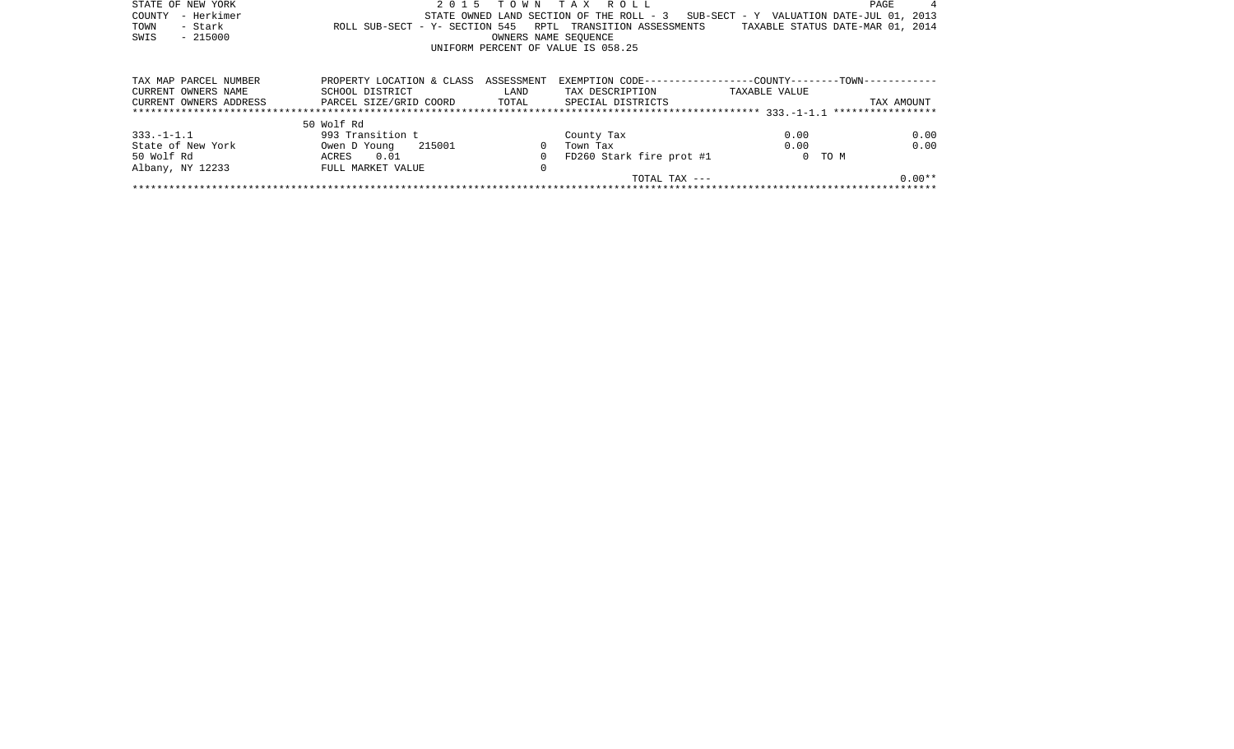| STATE OF NEW YORK      | 2 0 1 5                        |                      | TOWN TAX ROLL                                                |                                     | PAGE                             |
|------------------------|--------------------------------|----------------------|--------------------------------------------------------------|-------------------------------------|----------------------------------|
| - Herkimer<br>COUNTY   |                                |                      | STATE OWNED LAND SECTION OF THE ROLL - 3                     | SUB-SECT - Y VALUATION DATE-JUL 01, | 2013                             |
| - Stark<br>TOWN        | ROLL SUB-SECT - Y- SECTION 545 |                      | RPTL TRANSITION ASSESSMENTS                                  |                                     | TAXABLE STATUS DATE-MAR 01, 2014 |
| $-215000$<br>SWIS      |                                | OWNERS NAME SEOUENCE |                                                              |                                     |                                  |
|                        |                                |                      | UNIFORM PERCENT OF VALUE IS 058.25                           |                                     |                                  |
|                        |                                |                      |                                                              |                                     |                                  |
| TAX MAP PARCEL NUMBER  | PROPERTY LOCATION & CLASS      | ASSESSMENT           | EXEMPTION CODE-----------------COUNTY--------TOWN----------- |                                     |                                  |
| CURRENT OWNERS NAME    | SCHOOL DISTRICT                | LAND                 | TAX DESCRIPTION                                              | TAXABLE VALUE                       |                                  |
| CURRENT OWNERS ADDRESS | PARCEL SIZE/GRID COORD TOTAL   |                      | SPECIAL DISTRICTS                                            |                                     | TAX AMOUNT                       |
|                        |                                |                      |                                                              |                                     | *****************                |
|                        | 50 Wolf Rd                     |                      |                                                              |                                     |                                  |
| $333. - 1 - 1.1$       | 993 Transition t               |                      | County Tax                                                   | 0.00                                | 0.00                             |
| State of New York      | 215001<br>Owen D Young         |                      | Town Tax                                                     | 0.00                                | 0.00                             |
| 50 Wolf Rd             | ACRES<br>0.01                  |                      | FD260 Stark fire prot #1                                     | 0 TO M                              |                                  |
| Albany, NY 12233       | FULL MARKET VALUE              | 0                    |                                                              |                                     |                                  |
|                        |                                |                      | TOTAL TAX ---                                                |                                     | $0.00**$                         |
|                        |                                |                      |                                                              |                                     |                                  |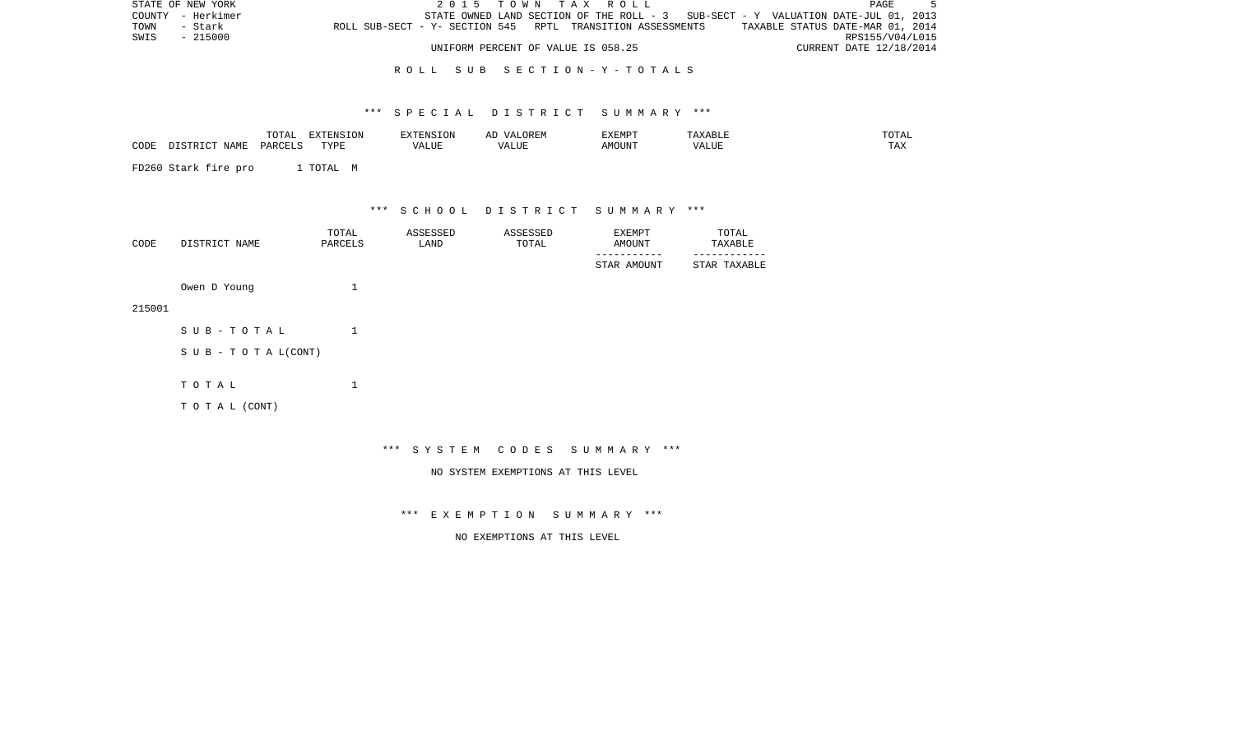| STATE OF NEW YORK | 2015 TOWN TAX ROLL                                                                | PAGE                             |
|-------------------|-----------------------------------------------------------------------------------|----------------------------------|
| COUNTY - Herkimer | STATE OWNED LAND SECTION OF THE ROLL - 3 SUB-SECT - Y VALUATION DATE-JUL 01, 2013 |                                  |
| TOWN<br>- Stark   | ROLL SUB-SECT - Y- SECTION 545 RPTL TRANSITION ASSESSMENTS                        | TAXABLE STATUS DATE-MAR 01, 2014 |
| SWIS - 215000     |                                                                                   | RPS155/V04/L015                  |
|                   | UNIFORM PERCENT OF VALUE IS 058.25                                                | CURRENT DATE 12/18/2014          |

#### R O L L S U B S E C T I O N - Y - T O T A L S

#### \*\*\* S P E C I A L D I S T R I C T S U M M A R Y \*\*\*

|      |   | $-\sim$<br>. |                     |                    | ,,, | ------- |                      |
|------|---|--------------|---------------------|--------------------|-----|---------|----------------------|
| CODE | . | ∕ ⊄∧د        | $-$<br>◡<br>- - - - | $V_{A}$<br>A LIU P |     | JN      | $m \times r$<br>LAL. |
|      |   |              |                     |                    |     |         |                      |

FD260 Stark fire pro 1 TOTAL M

\*\*\* S C H O O L D I S T R I C T S U M M A R Y \*\*\*

| CODE | DISTRICT NAME | TOTAL<br>PARCELS | ASSESSED<br>LAND | ASSESSED<br>TOTAL | EXEMPT<br>AMOUNT | TOTAL<br>TAXABLE |
|------|---------------|------------------|------------------|-------------------|------------------|------------------|
|      |               |                  |                  |                   | STAR AMOUNT      | STAR TAXABLE     |
|      | Owen D Young  |                  |                  |                   |                  |                  |

215001

| SUB-TOTAL                  |  |
|----------------------------|--|
| S U B - T O T A $L$ (CONT) |  |
| тотаь                      |  |
| T O T A L (CONT)           |  |

\*\*\* S Y S T E M C O D E S S U M M A R Y \*\*\*

NO SYSTEM EXEMPTIONS AT THIS LEVEL

\*\*\* E X E M P T I O N S U M M A R Y \*\*\*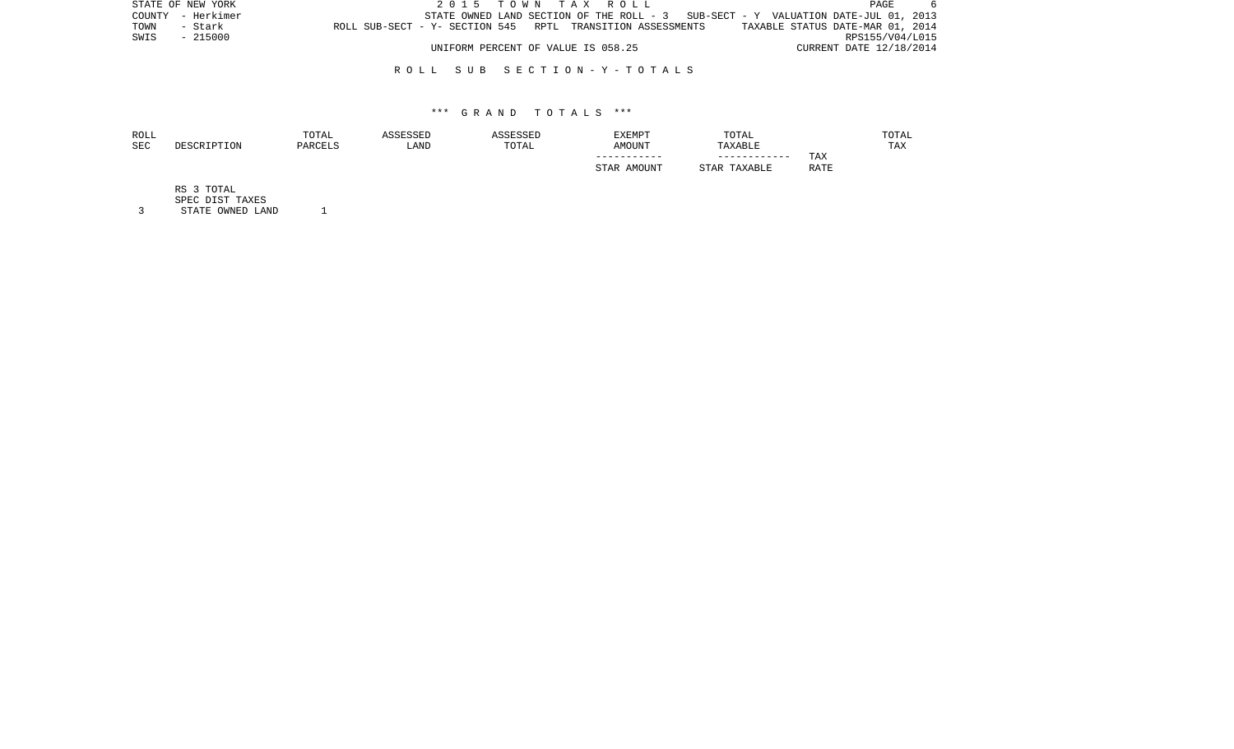| STATE OF NEW YORK | 2015 TOWN TAX ROLL                                                                | 6<br>PAGE                        |
|-------------------|-----------------------------------------------------------------------------------|----------------------------------|
| COUNTY - Herkimer | STATE OWNED LAND SECTION OF THE ROLL - 3 SUB-SECT - Y VALUATION DATE-JUL 01, 2013 |                                  |
| TOWN<br>- Stark   | ROLL SUB-SECT - Y- SECTION 545 RPTL TRANSITION ASSESSMENTS                        | TAXABLE STATUS DATE-MAR 01, 2014 |
| - 215000<br>SWIS  |                                                                                   | RPS155/V04/L015                  |
|                   | UNIFORM PERCENT OF VALUE IS 058.25                                                | CURRENT DATE 12/18/2014          |

#### R O L L S U B S E C T I O N - Y - T O T A L S

#### \*\*\* G R A N D T O T A L S \*\*\*

| ROLL |             | TOTAL   | ASSESSED | ASSESSED | EXEMPT      | TOTAL        |             | TOTAL |
|------|-------------|---------|----------|----------|-------------|--------------|-------------|-------|
| SEC  | DESCRIPTION | PARCELS | LAND     | TOTAL    | AMOUNT      | TAXABLE      |             | TAX   |
|      |             |         |          |          | ----------- | ------------ | TAX         |       |
|      |             |         |          |          | STAR AMOUNT | STAR TAXABLE | <b>RATE</b> |       |
|      |             |         |          |          |             |              |             |       |

RS 3 TOTAL

SPEC DIST TAXES

3 STATE OWNED LAND 1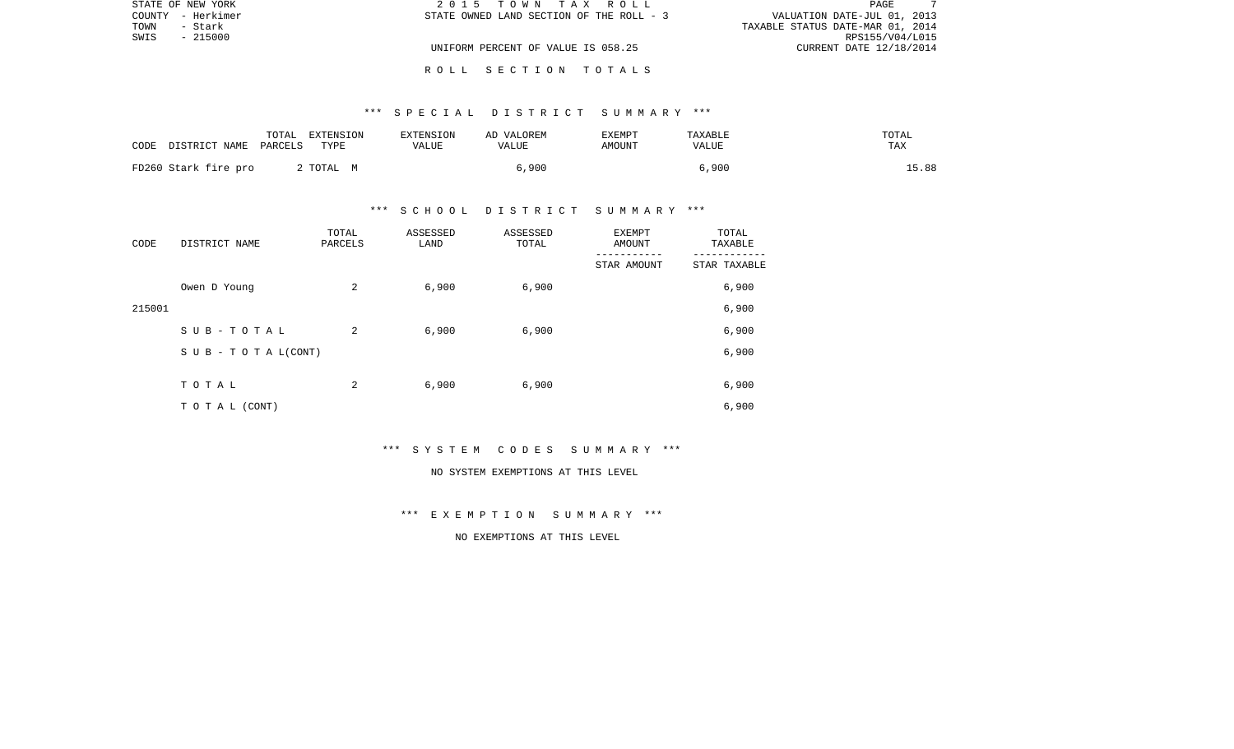| STATE OF NEW YORK | 2015 TOWN TAX ROLL                       | PAGE                             |  |
|-------------------|------------------------------------------|----------------------------------|--|
| COUNTY - Herkimer | STATE OWNED LAND SECTION OF THE ROLL - 3 | VALUATION DATE-JUL 01, 2013      |  |
| TOWN<br>- Stark   |                                          | TAXABLE STATUS DATE-MAR 01, 2014 |  |
| SWIS<br>- 215000  |                                          | RPS155/V04/L015                  |  |
|                   | UNIFORM PERCENT OF VALUE IS 058.25       | CURRENT DATE 12/18/2014          |  |
|                   |                                          |                                  |  |

#### \*\*\* S P E C I A L D I S T R I C T S U M M A R Y \*\*\*

R O L L S E C T I O N T O T A L S

| CODE DISTRICT NAME   | TOTAL<br>PARCELS | EXTENSION<br>TYPE | EXTENSION<br>VALUE | AD VALOREM<br>VALUE | <b>EXEMPT</b><br>AMOUNT | <b>TAXABLE</b><br>VALUE | TOTAL<br>TAX |
|----------------------|------------------|-------------------|--------------------|---------------------|-------------------------|-------------------------|--------------|
| FD260 Stark fire pro |                  | 2 TOTAL M         |                    | 900, ا              |                         | 6,900                   | 15.88        |

#### \*\*\* S C H O O L D I S T R I C T S U M M A R Y \*\*\*

| CODE   | DISTRICT NAME                    | TOTAL<br>PARCELS | ASSESSED<br>LAND | ASSESSED<br>TOTAL | EXEMPT<br>AMOUNT | TOTAL<br>TAXABLE |
|--------|----------------------------------|------------------|------------------|-------------------|------------------|------------------|
|        |                                  |                  |                  |                   | STAR AMOUNT      | STAR TAXABLE     |
|        | Owen D Young                     | 2                | 6,900            | 6,900             |                  | 6,900            |
| 215001 |                                  |                  |                  |                   |                  | 6,900            |
|        | SUB-TOTAL                        | 2                | 6,900            | 6,900             |                  | 6,900            |
|        | $S \cup B - T \cup T A L (CONT)$ |                  |                  |                   |                  | 6,900            |
|        |                                  |                  |                  |                   |                  |                  |
|        | TOTAL                            | 2                | 6,900            | 6,900             |                  | 6,900            |
|        | T O T A L (CONT)                 |                  |                  |                   |                  | 6,900            |

\*\*\* S Y S T E M C O D E S S U M M A R Y \*\*\*

#### NO SYSTEM EXEMPTIONS AT THIS LEVEL

\*\*\* E X E M P T I O N S U M M A R Y \*\*\*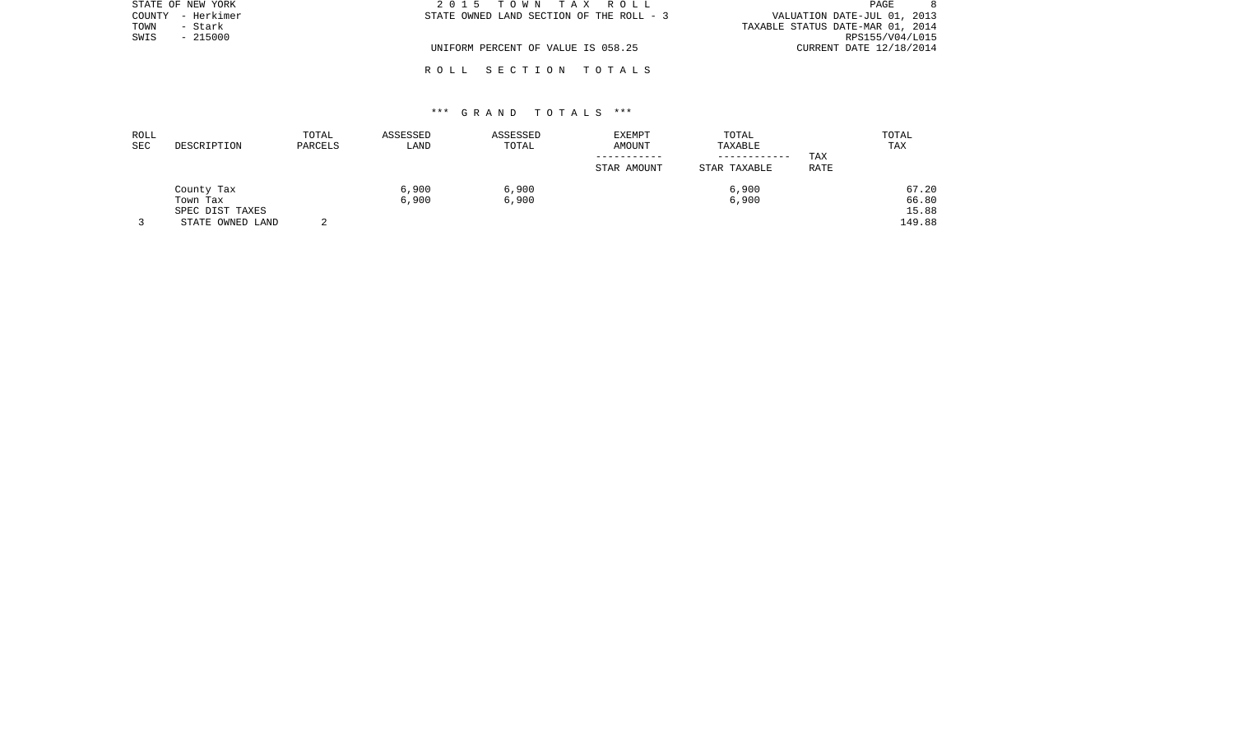| STATE OF NEW YORK    | 2015 TOWN TAX ROLL                       | PAGE                             |
|----------------------|------------------------------------------|----------------------------------|
| – Herkimer<br>COUNTY | STATE OWNED LAND SECTION OF THE ROLL - 3 | VALUATION DATE-JUL 01, 2013      |
| TOWN<br>- Stark      |                                          | TAXABLE STATUS DATE-MAR 01, 2014 |
| SWIS<br>$-215000$    |                                          | RPS155/V04/L015                  |
|                      | UNIFORM PERCENT OF VALUE IS 058.25       | CURRENT DATE 12/18/2014          |
|                      |                                          |                                  |

## \*\*\* G R A N D T O T A L S \*\*\*

R O L L S E C T I O N T O T A L S

| ROLL<br><b>SEC</b> | DESCRIPTION                                                   | TOTAL<br>PARCELS | ASSESSED<br>LAND | ASSESSED<br>TOTAL | EXEMPT<br>AMOUNT<br>STAR AMOUNT | TOTAL<br>TAXABLE<br>------------<br>STAR TAXABLE | TAX<br><b>RATE</b> | TOTAL<br>TAX                      |
|--------------------|---------------------------------------------------------------|------------------|------------------|-------------------|---------------------------------|--------------------------------------------------|--------------------|-----------------------------------|
|                    | County Tax<br>Town Tax<br>SPEC DIST TAXES<br>STATE OWNED LAND | ▵                | 6,900<br>6,900   | 6,900<br>6,900    |                                 | 6,900<br>6,900                                   |                    | 67.20<br>66.80<br>15.88<br>149.88 |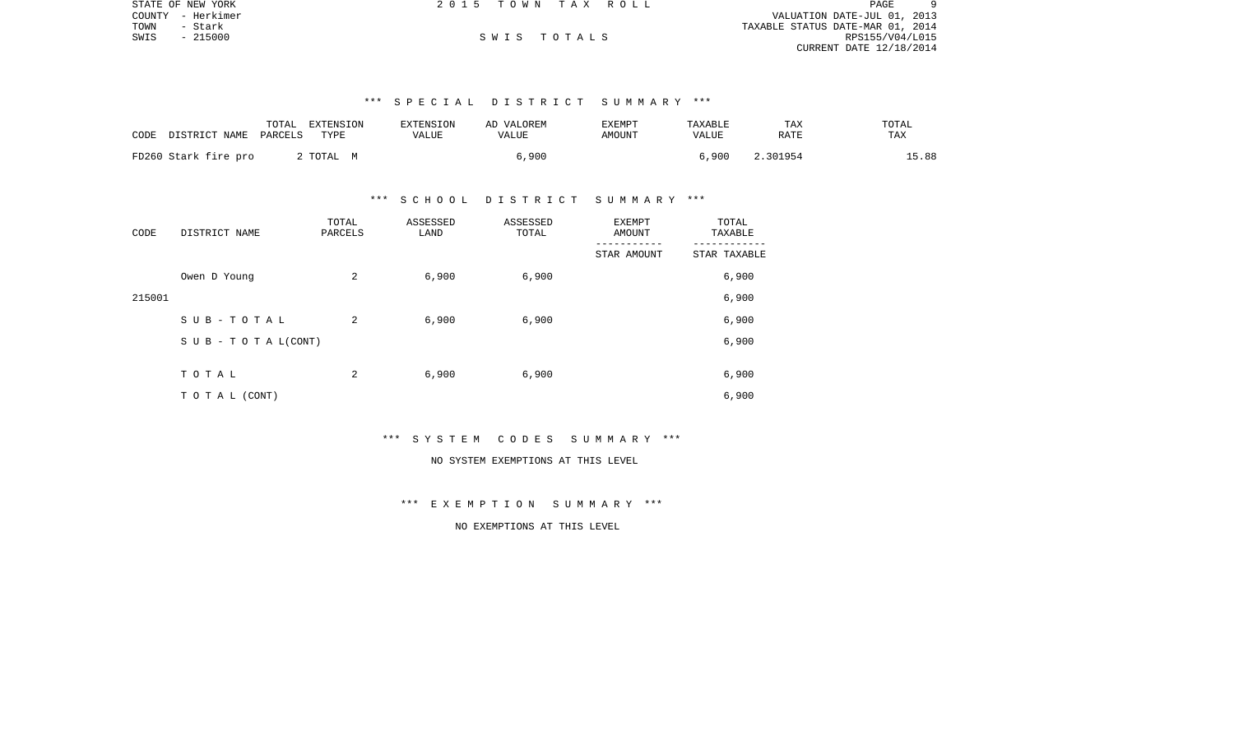|      | STATE OF NEW YORK | 2015 TOWN TAX ROLL |             |                                  | PAGE            | 9 |
|------|-------------------|--------------------|-------------|----------------------------------|-----------------|---|
|      | COUNTY - Herkimer |                    |             | VALUATION DATE-JUL 01, 2013      |                 |   |
| TOWN | - Stark           |                    |             | TAXABLE STATUS DATE-MAR 01, 2014 |                 |   |
| SWIS | - 215000          |                    | SWIS TOTALS |                                  | RPS155/V04/L015 |   |
|      |                   |                    |             | CURRENT DATE 12/18/2014          |                 |   |
|      |                   |                    |             |                                  |                 |   |

## \*\*\* S P E C I A L D I S T R I C T S U M M A R Y \*\*\*

| CODE<br>DISTRICT NAME PARCELS | TOTAL<br>EXTENSION<br>TYPE | EXTENSION<br>VALUE | AD VALOREM<br>VALUE | EXEMPT<br>AMOUNT | TAXABLE<br><b>VALUE</b> | TAX<br>RATE | TOTAL<br>TAX |
|-------------------------------|----------------------------|--------------------|---------------------|------------------|-------------------------|-------------|--------------|
| FD260 Stark fire pro          | 2 TOTAL M                  |                    | 6.900               |                  | 6.900                   | 2.301954    | 15.88        |

#### \*\*\* S C H O O L D I S T R I C T S U M M A R Y \*\*\*

| CODE   | DISTRICT NAME      | TOTAL<br>PARCELS | ASSESSED<br>LAND | ASSESSED<br>TOTAL | <b>EXEMPT</b><br>AMOUNT | TOTAL<br>TAXABLE |
|--------|--------------------|------------------|------------------|-------------------|-------------------------|------------------|
|        |                    |                  |                  |                   | STAR AMOUNT             | STAR TAXABLE     |
|        | Owen D Young       | 2                | 6,900            | 6,900             |                         | 6,900            |
| 215001 |                    |                  |                  |                   |                         | 6,900            |
|        | SUB-TOTAL          | 2                | 6,900            | 6,900             |                         | 6,900            |
|        | SUB - TO TAL(CONT) |                  |                  |                   |                         | 6,900            |
|        |                    |                  |                  |                   |                         |                  |
|        | TOTAL              | 2                | 6,900            | 6,900             |                         | 6,900            |
|        | T O T A L (CONT)   |                  |                  |                   |                         | 6,900            |

#### \*\*\* S Y S T E M C O D E S S U M M A R Y \*\*\*

## NO SYSTEM EXEMPTIONS AT THIS LEVEL

### \*\*\* E X E M P T I O N S U M M A R Y \*\*\*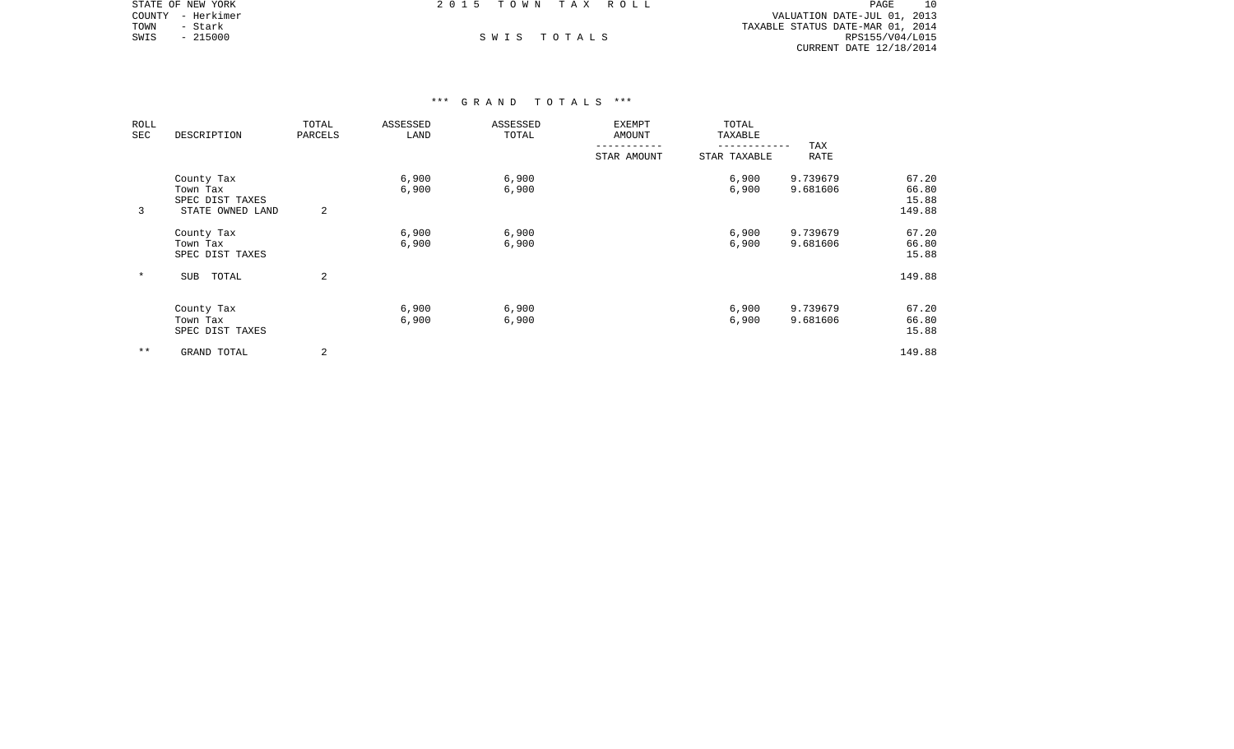|      | STATE OF NEW YORK | 2015 TOWN TAX ROLL |             |                                  | PAGE            | 10 |
|------|-------------------|--------------------|-------------|----------------------------------|-----------------|----|
|      | COUNTY - Herkimer |                    |             | VALUATION DATE-JUL 01, 2013      |                 |    |
| TOWN | - Stark           |                    |             | TAXABLE STATUS DATE-MAR 01, 2014 |                 |    |
| SWIS | $-215000$         |                    | SWIS TOTALS |                                  | RPS155/V04/L015 |    |
|      |                   |                    |             | CURRENT DATE 12/18/2014          |                 |    |

| ROLL<br>SEC | DESCRIPTION                                                   | TOTAL<br>PARCELS | ASSESSED<br>LAND | ASSESSED<br>TOTAL | EXEMPT<br>AMOUNT | TOTAL<br>TAXABLE |                      |                                   |
|-------------|---------------------------------------------------------------|------------------|------------------|-------------------|------------------|------------------|----------------------|-----------------------------------|
|             |                                                               |                  |                  |                   | STAR AMOUNT      | STAR TAXABLE     | TAX<br>RATE          |                                   |
| 3           | County Tax<br>Town Tax<br>SPEC DIST TAXES<br>STATE OWNED LAND | 2                | 6,900<br>6,900   | 6,900<br>6,900    |                  | 6,900<br>6,900   | 9.739679<br>9.681606 | 67.20<br>66.80<br>15.88<br>149.88 |
|             | County Tax<br>Town Tax<br>SPEC DIST TAXES                     |                  | 6,900<br>6,900   | 6,900<br>6,900    |                  | 6,900<br>6,900   | 9.739679<br>9.681606 | 67.20<br>66.80<br>15.88           |
| $\ast$      | TOTAL<br><b>SUB</b>                                           | $\overline{a}$   |                  |                   |                  |                  |                      | 149.88                            |
|             | County Tax<br>Town Tax<br>SPEC DIST TAXES                     |                  | 6,900<br>6,900   | 6,900<br>6,900    |                  | 6,900<br>6,900   | 9.739679<br>9.681606 | 67.20<br>66.80<br>15.88           |
| $* *$       | GRAND TOTAL                                                   | 2                |                  |                   |                  |                  |                      | 149.88                            |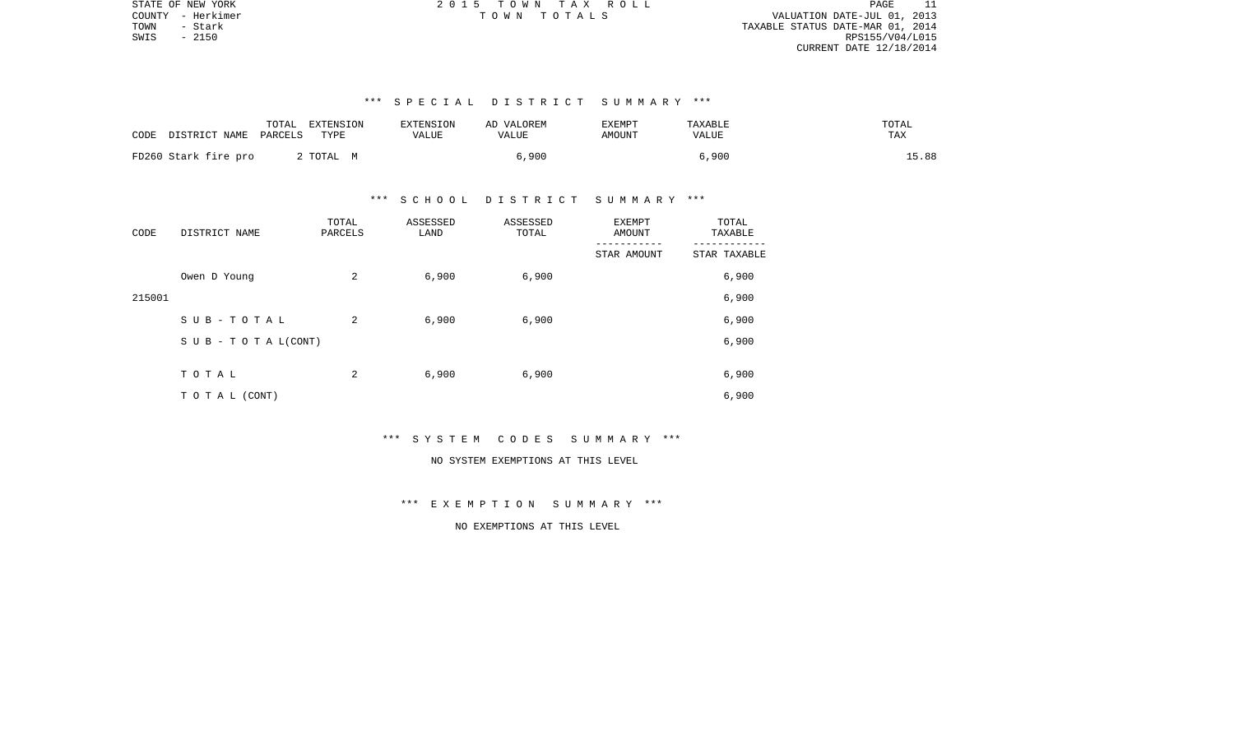| 11<br>PAGE                       |
|----------------------------------|
| VALUATION DATE-JUL 01, 2013      |
| TAXABLE STATUS DATE-MAR 01, 2014 |
| RPS155/V04/L015                  |
| CURRENT DATE 12/18/2014          |

## \*\*\* S P E C I A L D I S T R I C T S U M M A R Y \*\*\*

| DISTRICT NAME PARCELS<br>CODE | TOTAL<br>EXTENSION<br>TYPE | EXTENSION<br>VALUE | AD VALOREM<br>VALUE | <b>EXEMPT</b><br><b>AMOUNT</b> | TAXABLE<br>VALUE | TOTAL<br>TAX |
|-------------------------------|----------------------------|--------------------|---------------------|--------------------------------|------------------|--------------|
| FD260 Stark fire pro          | 2 ТОТАL М                  |                    | 6,900               |                                | 6,900            | 15.88        |

#### \*\*\* S C H O O L D I S T R I C T S U M M A R Y \*\*\*

| CODE   | DISTRICT NAME                    | TOTAL<br>PARCELS | ASSESSED<br>LAND | ASSESSED<br>TOTAL | <b>EXEMPT</b><br>AMOUNT | TOTAL<br>TAXABLE |  |
|--------|----------------------------------|------------------|------------------|-------------------|-------------------------|------------------|--|
|        |                                  |                  |                  |                   | STAR AMOUNT             | STAR TAXABLE     |  |
|        | Owen D Young                     | 2                | 6,900            | 6,900             |                         | 6,900            |  |
| 215001 |                                  |                  |                  |                   |                         | 6,900            |  |
|        | SUB-TOTAL                        | 2                | 6,900            | 6,900             |                         | 6,900            |  |
|        | $S \cup B - T \cup T A L (CONT)$ |                  |                  |                   |                         | 6,900            |  |
|        | TOTAL                            | 2                | 6,900            | 6,900             |                         | 6,900            |  |
|        |                                  |                  |                  |                   |                         |                  |  |
|        | T O T A L (CONT)                 |                  |                  |                   |                         | 6,900            |  |

## \*\*\* S Y S T E M C O D E S S U M M A R Y \*\*\*

## NO SYSTEM EXEMPTIONS AT THIS LEVEL

#### \*\*\* E X E M P T I O N S U M M A R Y \*\*\*